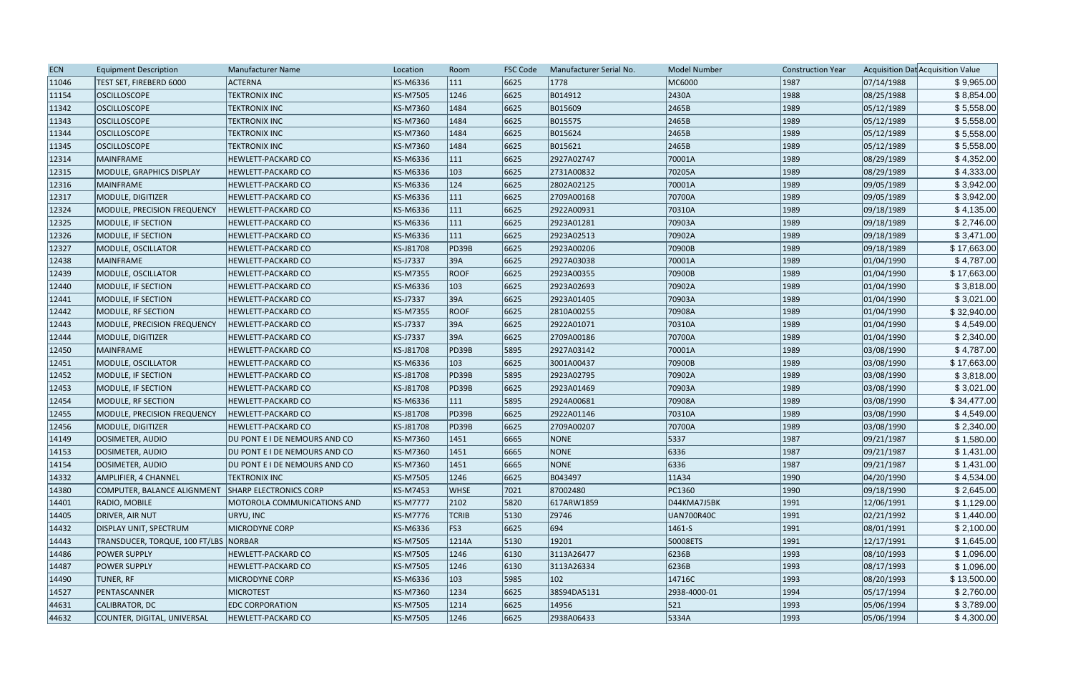| <b>ECN</b> | <b>Equipment Description</b>          | Manufacturer Name                  | Location        | Room          | <b>FSC Code</b> | Manufacturer Serial No. | <b>Model Number</b> | <b>Construction Year</b> |            | Acquisition Dat Acquisition Value |
|------------|---------------------------------------|------------------------------------|-----------------|---------------|-----------------|-------------------------|---------------------|--------------------------|------------|-----------------------------------|
| 11046      | TEST SET, FIREBERD 6000               | <b>ACTERNA</b>                     | KS-M6336        | $ 111\rangle$ | 6625            | 1778                    | MC6000              | 1987                     | 07/14/1988 | \$9,965.00                        |
| 11154      | <b>OSCILLOSCOPE</b>                   | <b>TEKTRONIX INC</b>               | <b>KS-M7505</b> | 1246          | 6625            | B014912                 | 2430A               | 1988                     | 08/25/1988 | \$8,854.00                        |
| 11342      | <b>OSCILLOSCOPE</b>                   | <b>TEKTRONIX INC</b>               | <b>KS-M7360</b> | 1484          | 6625            | B015609                 | 2465B               | 1989                     | 05/12/1989 | \$5,558.00                        |
| 11343      | <b>OSCILLOSCOPE</b>                   | <b>TEKTRONIX INC</b>               | <b>KS-M7360</b> | 1484          | 6625            | B015575                 | 2465B               | 1989                     | 05/12/1989 | \$5,558.00                        |
| 11344      | <b>OSCILLOSCOPE</b>                   | <b>TEKTRONIX INC</b>               | <b>KS-M7360</b> | 1484          | 6625            | B015624                 | 2465B               | 1989                     | 05/12/1989 | \$5,558.00                        |
| 11345      | <b>OSCILLOSCOPE</b>                   | <b>TEKTRONIX INC</b>               | <b>KS-M7360</b> | 1484          | 6625            | B015621                 | 2465B               | 1989                     | 05/12/1989 | \$5,558.00                        |
| 12314      | MAINFRAME                             | HEWLETT-PACKARD CO                 | KS-M6336        | $ 111\rangle$ | 6625            | 2927A02747              | 70001A              | 1989                     | 08/29/1989 | \$4,352.00                        |
| 12315      | MODULE, GRAPHICS DISPLAY              | HEWLETT-PACKARD CO                 | KS-M6336        | 103           | 6625            | 2731A00832              | 70205A              | 1989                     | 08/29/1989 | \$4,333.00                        |
| 12316      | MAINFRAME                             | <b>HEWLETT-PACKARD CO</b>          | KS-M6336        | $ 124\rangle$ | 6625            | 2802A02125              | 70001A              | 1989                     | 09/05/1989 | \$3,942.00                        |
| 12317      | MODULE, DIGITIZER                     | <b>HEWLETT-PACKARD CO</b>          | KS-M6336        | 111           | 6625            | 2709A00168              | 70700A              | 1989                     | 09/05/1989 | \$3,942.00                        |
| 12324      | MODULE, PRECISION FREQUENCY           | <b>HEWLETT-PACKARD CO</b>          | KS-M6336        | 111           | 6625            | 2922A00931              | 70310A              | 1989                     | 09/18/1989 | \$4,135.00                        |
| 12325      | <b>MODULE, IF SECTION</b>             | <b>HEWLETT-PACKARD CO</b>          | KS-M6336        | $ 111\rangle$ | 6625            | 2923A01281              | 70903A              | 1989                     | 09/18/1989 | \$2,746.00                        |
| 12326      | MODULE, IF SECTION                    | HEWLETT-PACKARD CO                 | <b>KS-M6336</b> | $ 111\rangle$ | 6625            | 2923A02513              | 70902A              | 1989                     | 09/18/1989 | \$3,471.00                        |
| 12327      | <b>MODULE, OSCILLATOR</b>             | HEWLETT-PACKARD CO                 | KS-J81708       | PD39B         | 6625            | 2923A00206              | 70900B              | 1989                     | 09/18/1989 | \$17,663.00                       |
| 12438      | MAINFRAME                             | <b>HEWLETT-PACKARD CO</b>          | <b>KS-J7337</b> | 39A           | 6625            | 2927A03038              | 70001A              | 1989                     | 01/04/1990 | \$4,787.00                        |
| 12439      | MODULE, OSCILLATOR                    | <b>HEWLETT-PACKARD CO</b>          | <b>KS-M7355</b> | <b>ROOF</b>   | 6625            | 2923A00355              | 70900B              | 1989                     | 01/04/1990 | \$17,663.00                       |
| 12440      | MODULE, IF SECTION                    | <b>HEWLETT-PACKARD CO</b>          | <b>KS-M6336</b> | 103           | 6625            | 2923A02693              | 70902A              | 1989                     | 01/04/1990 | \$3,818.00                        |
| 12441      | MODULE, IF SECTION                    | HEWLETT-PACKARD CO                 | <b>KS-J7337</b> | 39A           | 6625            | 2923A01405              | 70903A              | 1989                     | 01/04/1990 | \$3,021.00                        |
| 12442      | <b>MODULE, RF SECTION</b>             | HEWLETT-PACKARD CO                 | <b>KS-M7355</b> | <b>ROOF</b>   | 6625            | 2810A00255              | 70908A              | 1989                     | 01/04/1990 | \$32,940.00                       |
| 12443      | <b>MODULE, PRECISION FREQUENCY</b>    | <b>HEWLETT-PACKARD CO</b>          | <b>KS-J7337</b> | 39A           | 6625            | 2922A01071              | 70310A              | 1989                     | 01/04/1990 | \$4,549.00                        |
| 12444      | <b>MODULE, DIGITIZER</b>              | <b>HEWLETT-PACKARD CO</b>          | <b>KS-J7337</b> | 39A           | 6625            | 2709A00186              | 70700A              | 1989                     | 01/04/1990 | \$2,340.00                        |
| 12450      | MAINFRAME                             | <b>HEWLETT-PACKARD CO</b>          | KS-J81708       | PD39B         | 5895            | 2927A03142              | 70001A              | 1989                     | 03/08/1990 | \$4,787.00                        |
| 12451      | MODULE, OSCILLATOR                    | <b>HEWLETT-PACKARD CO</b>          | KS-M6336        | 103           | 6625            | 3001A00437              | 70900B              | 1989                     | 03/08/1990 | \$17,663.00                       |
| 12452      | MODULE, IF SECTION                    | HEWLETT-PACKARD CO                 | KS-J81708       | PD39B         | 5895            | 2923A02795              | 70902A              | 1989                     | 03/08/1990 | \$3,818.00                        |
| 12453      | MODULE, IF SECTION                    | <b>HEWLETT-PACKARD CO</b>          | KS-J81708       | PD39B         | 6625            | 2923A01469              | 70903A              | 1989                     | 03/08/1990 | \$3,021.00                        |
| 12454      | <b>MODULE, RF SECTION</b>             | <b>HEWLETT-PACKARD CO</b>          | KS-M6336        | $ 111\rangle$ | 5895            | 2924A00681              | 70908A              | 1989                     | 03/08/1990 | \$34,477.00                       |
| 12455      | <b>MODULE, PRECISION FREQUENCY</b>    | <b>HEWLETT-PACKARD CO</b>          | KS-J81708       | PD39B         | 6625            | 2922A01146              | 70310A              | 1989                     | 03/08/1990 | \$4,549.00                        |
| 12456      | MODULE, DIGITIZER                     | <b>HEWLETT-PACKARD CO</b>          | KS-J81708       | PD39B         | 6625            | 2709A00207              | 70700A              | 1989                     | 03/08/1990 | \$2,340.00                        |
| 14149      | DOSIMETER, AUDIO                      | DU PONT E I DE NEMOURS AND CO      | <b>KS-M7360</b> | 1451          | 6665            | NONE                    | 5337                | 1987                     | 09/21/1987 | \$1,580.00                        |
| 14153      | DOSIMETER, AUDIO                      | DU PONT E I DE NEMOURS AND CO      | KS-M7360        | 1451          | 6665            | <b>NONE</b>             | 6336                | 1987                     | 09/21/1987 | \$1,431.00                        |
| 14154      | DOSIMETER, AUDIO                      | DU PONT E I DE NEMOURS AND CO      | KS-M7360        | 1451          | 6665            | NONE                    | 6336                | 1987                     | 09/21/1987 | \$1,431.00                        |
| 14332      | AMPLIFIER, 4 CHANNEL                  | <b>TEKTRONIX INC</b>               | <b>KS-M7505</b> | 1246          | 6625            | B043497                 | 11A34               | 1990                     | 04/20/1990 | \$4,534.00                        |
| 14380      | COMPUTER, BALANCE ALIGNMENT           | <b>SHARP ELECTRONICS CORP</b>      | <b>KS-M7453</b> | <b>WHSE</b>   | 7021            | 87002480                | PC1360              | 1990                     | 09/18/1990 | \$2,645.00                        |
| 14401      | RADIO, MOBILE                         | <b>MOTOROLA COMMUNICATIONS AND</b> | <b>KS-M7777</b> | 2102          | 5820            | 617ARW1859              | D44KMA7J5BK         | 1991                     | 12/06/1991 | \$1,129.00                        |
| 14405      | DRIVER, AIR NUT                       | URYU, INC                          | <b>KS-M7776</b> | <b>TCRIB</b>  | 5130            | Z9746                   | UAN700R40C          | 1991                     | 02/21/1992 | \$1,440.00                        |
| 14432      | <b>DISPLAY UNIT, SPECTRUM</b>         | MICRODYNE CORP                     | KS-M6336        | FS3           | 6625            | 694                     | $ 1461-S$           | 1991                     | 08/01/1991 | \$2,100.00                        |
| 14443      | TRANSDUCER, TORQUE, 100 FT/LBS NORBAR |                                    | <b>KS-M7505</b> | 1214A         | 5130            | 19201                   | 50008ETS            | 1991                     | 12/17/1991 | \$1,645.00                        |
| 14486      | <b>POWER SUPPLY</b>                   | HEWLETT-PACKARD CO                 | <b>KS-M7505</b> | 1246          | 6130            | 3113A26477              | 6236B               | 1993                     | 08/10/1993 | \$1,096.00                        |
| 14487      | <b>POWER SUPPLY</b>                   | HEWLETT-PACKARD CO                 | <b>KS-M7505</b> | 1246          | 6130            | 3113A26334              | 6236B               | 1993                     | 08/17/1993 | \$1,096.00                        |
| 14490      | TUNER, RF                             | <b>MICRODYNE CORP</b>              | KS-M6336        | $ 103\rangle$ | 5985            | 102                     | 14716C              | 1993                     | 08/20/1993 | \$13,500.00                       |
| 14527      | PENTASCANNER                          | <b>MICROTEST</b>                   | KS-M7360        | 1234          | 6625            | 38S94DA5131             | 2938-4000-01        | 1994                     | 05/17/1994 | \$2,760.00                        |
| 44631      | CALIBRATOR, DC                        | <b>EDC CORPORATION</b>             | <b>KS-M7505</b> | 1214          | 6625            | 14956                   | $ 521\rangle$       | 1993                     | 05/06/1994 | \$3,789.00                        |
| 44632      |                                       | <b>HEWLETT-PACKARD CO</b>          |                 | 1246          | 6625            | 2938A06433              | 5334A               |                          |            | \$4,300.00                        |
|            | COUNTER, DIGITAL, UNIVERSAL           |                                    | <b>KS-M7505</b> |               |                 |                         |                     | 1993                     | 05/06/1994 |                                   |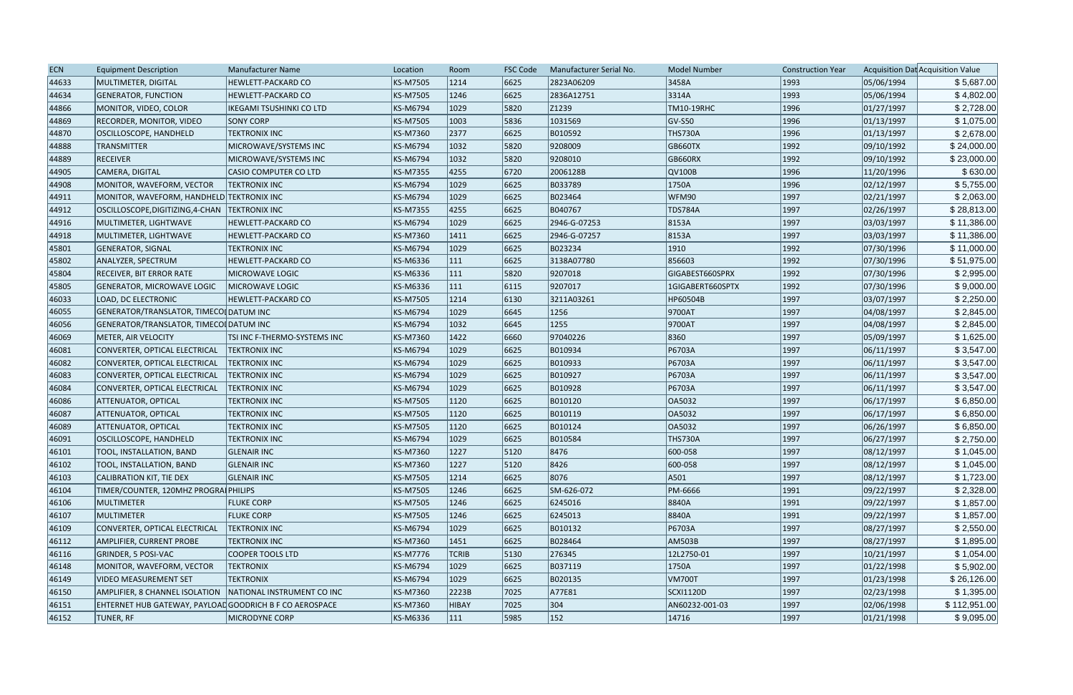| <b>ECN</b> | <b>Equipment Description</b>                                | Manufacturer Name               | Location        | Room         | <b>FSC Code</b> | Manufacturer Serial No. | <b>Model Number</b> | <b>Construction Year</b> |            | Acquisition Dat Acquisition Value |
|------------|-------------------------------------------------------------|---------------------------------|-----------------|--------------|-----------------|-------------------------|---------------------|--------------------------|------------|-----------------------------------|
| 44633      | MULTIMETER, DIGITAL                                         | HEWLETT-PACKARD CO              | KS-M7505        | 1214         | 6625            | 2823A06209              | 3458A               | 1993                     | 05/06/1994 | \$5,687.00                        |
| 44634      | <b>GENERATOR, FUNCTION</b>                                  | HEWLETT-PACKARD CO              | KS-M7505        | 1246         | 6625            | 2836A12751              | 3314A               | 1993                     | 05/06/1994 | \$4,802.00                        |
| 44866      | MONITOR, VIDEO, COLOR                                       | <b>IKEGAMI TSUSHINKI CO LTD</b> | KS-M6794        | 1029         | 5820            | Z1239                   | TM10-19RHC          | 1996                     | 01/27/1997 | \$2,728.00                        |
| 44869      | RECORDER, MONITOR, VIDEO                                    | <b>SONY CORP</b>                | KS-M7505        | 1003         | 5836            | 1031569                 | GV-S50              | 1996                     | 01/13/1997 | \$1,075.00                        |
| 44870      | OSCILLOSCOPE, HANDHELD                                      | <b>TEKTRONIX INC</b>            | KS-M7360        | 2377         | 6625            | B010592                 | <b>THS730A</b>      | 1996                     | 01/13/1997 | \$2,678.00                        |
| 44888      | <b>TRANSMITTER</b>                                          | MICROWAVE/SYSTEMS INC           | KS-M6794        | 1032         | 5820            | 9208009                 | <b>GB660TX</b>      | 1992                     | 09/10/1992 | \$24,000.00                       |
| 44889      | <b>RECEIVER</b>                                             | MICROWAVE/SYSTEMS INC           | KS-M6794        | 1032         | 5820            | 9208010                 | GB660RX             | 1992                     | 09/10/1992 | \$23,000.00                       |
| 44905      | CAMERA, DIGITAL                                             | <b>CASIO COMPUTER CO LTD</b>    | <b>KS-M7355</b> | 4255         | 6720            | 2006128B                | QV100B              | 1996                     | 11/20/1996 | \$630.00                          |
| 44908      | MONITOR, WAVEFORM, VECTOR                                   | <b>TEKTRONIX INC</b>            | KS-M6794        | 1029         | 6625            | B033789                 | 1750A               | 1996                     | 02/12/1997 | \$5,755.00                        |
| 44911      | MONITOR, WAVEFORM, HANDHELD TEKTRONIX INC                   |                                 | KS-M6794        | 1029         | 6625            | B023464                 | WFM90               | 1997                     | 02/21/1997 | \$2,063.00                        |
| 44912      | OSCILLOSCOPE, DIGITIZING, 4-CHAN   TEKTRONIX INC            |                                 | KS-M7355        | 4255         | 6625            | B040767                 | <b>TDS784A</b>      | 1997                     | 02/26/1997 | \$28,813.00                       |
| 44916      | MULTIMETER, LIGHTWAVE                                       | HEWLETT-PACKARD CO              | KS-M6794        | 1029         | 6625            | 2946-G-07253            | 8153A               | 1997                     | 03/03/1997 | \$11,386.00                       |
| 44918      | MULTIMETER, LIGHTWAVE                                       | <b>HEWLETT-PACKARD CO</b>       | KS-M7360        | 1411         | 6625            | 2946-G-07257            | 8153A               | 1997                     | 03/03/1997 | \$11,386.00                       |
| 45801      | <b>GENERATOR, SIGNAL</b>                                    | <b>TEKTRONIX INC</b>            | KS-M6794        | 1029         | 6625            | B023234                 | 1910                | 1992                     | 07/30/1996 | \$11,000.00                       |
| 45802      | ANALYZER, SPECTRUM                                          | HEWLETT-PACKARD CO              | KS-M6336        | 111          | 6625            | 3138A07780              | 856603              | 1992                     | 07/30/1996 | \$51,975.00                       |
| 45804      | <b>RECEIVER, BIT ERROR RATE</b>                             | <b>MICROWAVE LOGIC</b>          | KS-M6336        | 111          | 5820            | 9207018                 | GIGABEST660SPRX     | 1992                     | 07/30/1996 | \$2,995.00                        |
| 45805      | <b>GENERATOR, MICROWAVE LOGIC</b>                           | <b>MICROWAVE LOGIC</b>          | KS-M6336        | 111          | 6115            | 9207017                 | 1GIGABERT660SPTX    | 1992                     | 07/30/1996 | \$9,000.00                        |
| 46033      | <b>LOAD, DC ELECTRONIC</b>                                  | HEWLETT-PACKARD CO              | KS-M7505        | 1214         | 6130            | 3211A03261              | HP60504B            | 1997                     | 03/07/1997 | \$2,250.00                        |
| 46055      | GENERATOR/TRANSLATOR, TIMECOL DATUM INC                     |                                 | KS-M6794        | 1029         | 6645            | 1256                    | 9700AT              | 1997                     | 04/08/1997 | \$2,845.00                        |
| 46056      | GENERATOR/TRANSLATOR, TIMECOL DATUM INC                     |                                 | KS-M6794        | 1032         | 6645            | 1255                    | 9700AT              | 1997                     | 04/08/1997 | \$2,845.00                        |
| 46069      | METER, AIR VELOCITY                                         | TSI INC F-THERMO-SYSTEMS INC    | KS-M7360        | 1422         | 6660            | 97040226                | 8360                | 1997                     | 05/09/1997 | \$1,625.00                        |
| 46081      | CONVERTER, OPTICAL ELECTRICAL                               | <b>TEKTRONIX INC</b>            | KS-M6794        | 1029         | 6625            | B010934                 | P6703A              | 1997                     | 06/11/1997 | \$3,547.00                        |
| 46082      | CONVERTER, OPTICAL ELECTRICAL                               | <b>TEKTRONIX INC</b>            | KS-M6794        | 1029         | 6625            | B010933                 | P6703A              | 1997                     | 06/11/1997 | \$3,547.00                        |
| 46083      | CONVERTER, OPTICAL ELECTRICAL                               | <b>TEKTRONIX INC</b>            | KS-M6794        | 1029         | 6625            | B010927                 | P6703A              | 1997                     | 06/11/1997 | \$3,547.00                        |
| 46084      | CONVERTER, OPTICAL ELECTRICAL                               | <b>TEKTRONIX INC</b>            | KS-M6794        | 1029         | 6625            | B010928                 | P6703A              | 1997                     | 06/11/1997 | \$3,547.00                        |
| 46086      | <b>ATTENUATOR, OPTICAL</b>                                  | <b>TEKTRONIX INC</b>            | KS-M7505        | 1120         | 6625            | B010120                 | OA5032              | 1997                     | 06/17/1997 | \$6,850.00                        |
| 46087      | <b>ATTENUATOR, OPTICAL</b>                                  | <b>TEKTRONIX INC</b>            | KS-M7505        | 1120         | 6625            | B010119                 | OA5032              | 1997                     | 06/17/1997 | \$6,850.00                        |
| 46089      | <b>ATTENUATOR, OPTICAL</b>                                  | <b>TEKTRONIX INC</b>            | KS-M7505        | 1120         | 6625            | B010124                 | OA5032              | 1997                     | 06/26/1997 | \$6,850.00                        |
| 46091      | OSCILLOSCOPE, HANDHELD                                      | <b>TEKTRONIX INC</b>            | KS-M6794        | 1029         | 6625            | B010584                 | <b>THS730A</b>      | 1997                     | 06/27/1997 | \$2,750.00                        |
| 46101      | <b>TOOL, INSTALLATION, BAND</b>                             | <b>GLENAIR INC</b>              | KS-M7360        | 1227         | 5120            | 8476                    | 600-058             | 1997                     | 08/12/1997 | \$1,045.00                        |
| 46102      | <b>TOOL, INSTALLATION, BAND</b>                             | <b>GLENAIR INC</b>              | KS-M7360        | 1227         | 5120            | 8426                    | 600-058             | 1997                     | 08/12/1997 | \$1,045.00                        |
| 46103      | CALIBRATION KIT, TIE DEX                                    | <b>GLENAIR INC</b>              | KS-M7505        | 1214         | 6625            | 8076                    | A501                | 1997                     | 08/12/1997 | \$1,723.00                        |
| 46104      | TIMER/COUNTER, 120MHZ PROGRAI PHILIPS                       |                                 | KS-M7505        | 1246         | 6625            | SM-626-072              | PM-6666             | 1991                     | 09/22/1997 | \$2,328.00                        |
| 46106      | MULTIMETER                                                  | <b>FLUKE CORP</b>               | KS-M7505        | 1246         | 6625            | 6245016                 | 8840A               | 1991                     | 09/22/1997 | \$1,857.00                        |
| 46107      | MULTIMETER                                                  | <b>FLUKE CORP</b>               | KS-M7505        | 1246         | 6625            | 6245013                 | 8840A               | 1991                     | 09/22/1997 | \$1,857.00                        |
| 46109      | CONVERTER, OPTICAL ELECTRICAL                               | <b>TEKTRONIX INC</b>            | KS-M6794        | 1029         | 6625            | B010132                 | P6703A              | 1997                     | 08/27/1997 | \$2,550.00                        |
| 46112      | AMPLIFIER, CURRENT PROBE                                    | <b>TEKTRONIX INC</b>            | KS-M7360        | 1451         | 6625            | B028464                 | <b>AM503B</b>       | 1997                     | 08/27/1997 | \$1,895.00                        |
| 46116      | <b>GRINDER, 5 POSI-VAC</b>                                  | <b>COOPER TOOLS LTD</b>         | KS-M7776        | <b>TCRIB</b> | 5130            | 276345                  | 12L2750-01          | 1997                     | 10/21/1997 | \$1,054.00                        |
| 46148      | MONITOR, WAVEFORM, VECTOR                                   | <b>TEKTRONIX</b>                | KS-M6794        | 1029         | 6625            | B037119                 | 1750A               | 1997                     | 01/22/1998 | \$5,902.00                        |
| 46149      | <b>VIDEO MEASUREMENT SET</b>                                | <b>TEKTRONIX</b>                | KS-M6794        | 1029         | 6625            | B020135                 | VM700T              | 1997                     | 01/23/1998 | \$26,126.00                       |
| 46150      | AMPLIFIER, 8 CHANNEL ISOLATION   NATIONAL INSTRUMENT CO INC |                                 | KS-M7360        | 2223B        | 7025            | A77E81                  | SCXI1120D           | 1997                     | 02/23/1998 | \$1,395.00                        |
| 46151      | EHTERNET HUB GATEWAY, PAYLOAD GOODRICH B F CO AEROSPACE     |                                 | KS-M7360        | HIBAY        | 7025            | 304                     | AN60232-001-03      | 1997                     | 02/06/1998 | \$112,951.00                      |
| 46152      | <b>TUNER, RF</b>                                            | MICRODYNE CORP                  | KS-M6336        | 111          | 5985            | 152                     | 14716               | 1997                     | 01/21/1998 | \$9,095.00                        |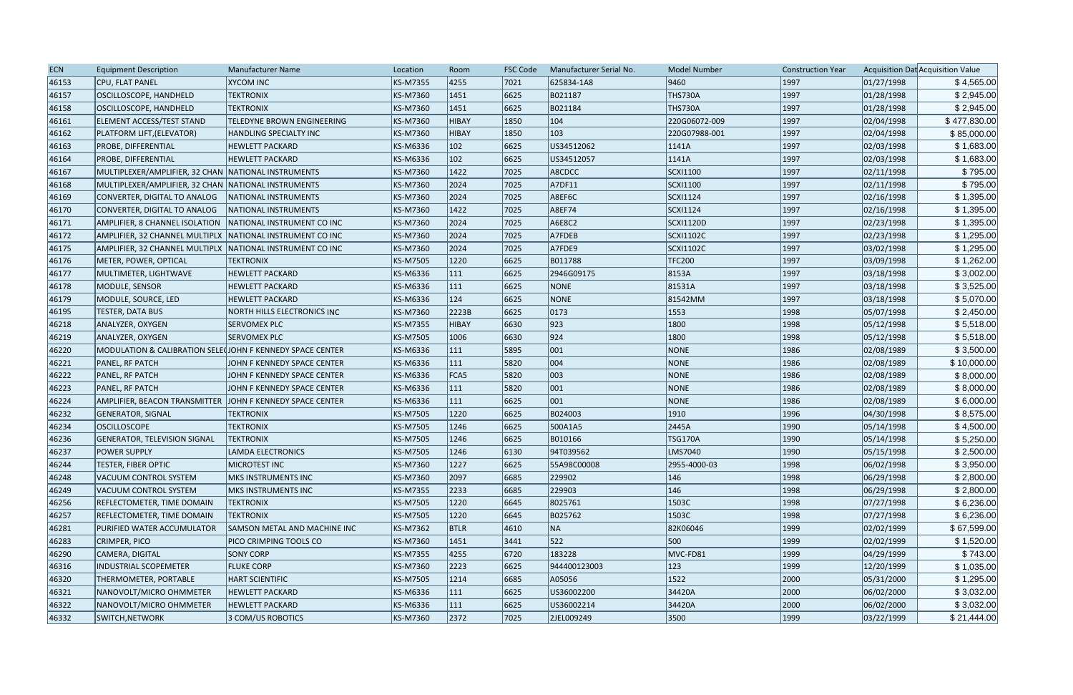| <b>ECN</b> | <b>Equipment Description</b>                                | <b>Manufacturer Name</b>            | Location        | Room          | <b>FSC Code</b> | Manufacturer Serial No. | <b>Model Number</b> | <b>Construction Year</b> |            | Acquisition Dat Acquisition Value |
|------------|-------------------------------------------------------------|-------------------------------------|-----------------|---------------|-----------------|-------------------------|---------------------|--------------------------|------------|-----------------------------------|
| 46153      | CPU, FLAT PANEL                                             | <b>XYCOM INC</b>                    | <b>KS-M7355</b> | 4255          | 7021            | 625834-1A8              | 9460                | 1997                     | 01/27/1998 | \$4,565.00                        |
| 46157      | OSCILLOSCOPE, HANDHELD                                      | <b>TEKTRONIX</b>                    | KS-M7360        | 1451          | 6625            | B021187                 | <b>THS730A</b>      | 1997                     | 01/28/1998 | \$2,945.00                        |
| 46158      | OSCILLOSCOPE, HANDHELD                                      | <b>TEKTRONIX</b>                    | KS-M7360        | 1451          | 6625            | B021184                 | THS730A             | 1997                     | 01/28/1998 | \$2,945.00                        |
| 46161      | ELEMENT ACCESS/TEST STAND                                   | <b>TELEDYNE BROWN ENGINEERING</b>   | KS-M7360        | HIBAY         | 1850            | $ 104\rangle$           | 220G06072-009       | 1997                     | 02/04/1998 | \$477,830.00                      |
| 46162      | PLATFORM LIFT, (ELEVATOR)                                   | HANDLING SPECIALTY INC              | KS-M7360        | HIBAY         | 1850            | 103                     | 220G07988-001       | 1997                     | 02/04/1998 | \$85,000.00                       |
| 46163      | <b>PROBE, DIFFERENTIAL</b>                                  | <b>HEWLETT PACKARD</b>              | KS-M6336        | $ 102\rangle$ | 6625            | US34512062              | 1141A               | 1997                     | 02/03/1998 | \$1,683.00                        |
| 46164      | <b>PROBE, DIFFERENTIAL</b>                                  | <b>HEWLETT PACKARD</b>              | KS-M6336        | $ 102\rangle$ | 6625            | US34512057              | 1141A               | 1997                     | 02/03/1998 | \$1,683.00                        |
| 46167      | MULTIPLEXER/AMPLIFIER, 32 CHAN NATIONAL INSTRUMENTS         |                                     | KS-M7360        | 1422          | 7025            | A8CDCC                  | SCXI1100            | 1997                     | 02/11/1998 | \$795.00                          |
| 46168      | MULTIPLEXER/AMPLIFIER, 32 CHAN NATIONAL INSTRUMENTS         |                                     | KS-M7360        | 2024          | 7025            | A7DF11                  | SCXI1100            | 1997                     | 02/11/1998 | \$795.00                          |
| 46169      | CONVERTER, DIGITAL TO ANALOG                                | NATIONAL INSTRUMENTS                | KS-M7360        | 2024          | 7025            | A8EF6C                  | SCXI1124            | 1997                     | 02/16/1998 | \$1,395.00                        |
| 46170      | CONVERTER, DIGITAL TO ANALOG                                | NATIONAL INSTRUMENTS                | KS-M7360        | 1422          | 7025            | A8EF74                  | SCXI1124            | 1997                     | 02/16/1998 | \$1,395.00                        |
| 46171      | AMPLIFIER, 8 CHANNEL ISOLATION   NATIONAL INSTRUMENT CO INC |                                     | KS-M7360        | 2024          | 7025            | A6E8C2                  | <b>SCXI1120D</b>    | 1997                     | 02/23/1998 | \$1,395.00                        |
| 46172      | AMPLIFIER, 32 CHANNEL MULTIPLX NATIONAL INSTRUMENT CO INC   |                                     | KS-M7360        | 2024          | 7025            | A7FDEB                  | SCXI1102C           | 1997                     | 02/23/1998 | \$1,295.00                        |
| 46175      | AMPLIFIER, 32 CHANNEL MULTIPLX   NATIONAL INSTRUMENT CO INC |                                     | KS-M7360        | 2024          | 7025            | A7FDE9                  | SCXI1102C           | 1997                     | 03/02/1998 | \$1,295.00                        |
| 46176      | METER, POWER, OPTICAL                                       | <b>TEKTRONIX</b>                    | KS-M7505        | 1220          | 6625            | B011788                 | <b>TFC200</b>       | 1997                     | 03/09/1998 | \$1,262.00                        |
| 46177      | MULTIMETER, LIGHTWAVE                                       | <b>HEWLETT PACKARD</b>              | KS-M6336        | 111           | 6625            | 2946G09175              | 8153A               | 1997                     | 03/18/1998 | \$3,002.00                        |
| 46178      | MODULE, SENSOR                                              | <b>HEWLETT PACKARD</b>              | KS-M6336        | 111           | 6625            | <b>NONE</b>             | 81531A              | 1997                     | 03/18/1998 | \$3,525.00                        |
| 46179      | MODULE, SOURCE, LED                                         | <b>HEWLETT PACKARD</b>              | KS-M6336        | 124           | 6625            | <b>NONE</b>             | 81542MM             | 1997                     | 03/18/1998 | \$5,070.00                        |
| 46195      | <b>TESTER, DATA BUS</b>                                     | NORTH HILLS ELECTRONICS INC         | KS-M7360        | 2223B         | 6625            | 0173                    | 1553                | 1998                     | 05/07/1998 | \$2,450.00                        |
| 46218      | ANALYZER, OXYGEN                                            | <b>SERVOMEX PLC</b>                 | KS-M7355        | HIBAY         | 6630            | 923                     | 1800                | 1998                     | 05/12/1998 | \$5,518.00                        |
| 46219      | ANALYZER, OXYGEN                                            | <b>SERVOMEX PLC</b>                 | KS-M7505        | 1006          | 6630            | 924                     | 1800                | 1998                     | 05/12/1998 | \$5,518.00                        |
| 46220      | MODULATION & CALIBRATION SELECTIONN F KENNEDY SPACE CENTER  |                                     | KS-M6336        | 111           | 5895            | 001                     | NONE                | 1986                     | 02/08/1989 | \$3,500.00                        |
| 46221      | <b>PANEL, RF PATCH</b>                                      | JOHN F KENNEDY SPACE CENTER         | KS-M6336        | 111           | 5820            | 004                     | NONE                | 1986                     | 02/08/1989 | \$10,000.00                       |
| 46222      | <b>PANEL, RF PATCH</b>                                      | JOHN F KENNEDY SPACE CENTER         | KS-M6336        | FCA5          | 5820            | 003                     | NONE                | 1986                     | 02/08/1989 | \$8,000.00                        |
| 46223      | <b>PANEL, RF PATCH</b>                                      | JOHN F KENNEDY SPACE CENTER         | KS-M6336        | $ 111\rangle$ | 5820            | 001                     | NONE                | 1986                     | 02/08/1989 | \$8,000.00                        |
| 46224      | AMPLIFIER, BEACON TRANSMITTER                               | JOHN F KENNEDY SPACE CENTER         | KS-M6336        | 111           | 6625            | 001                     | NONE                | 1986                     | 02/08/1989 | \$6,000.00                        |
| 46232      | <b>GENERATOR, SIGNAL</b>                                    | <b>TEKTRONIX</b>                    | KS-M7505        | 1220          | 6625            | B024003                 | 1910                | 1996                     | 04/30/1998 | \$8,575.00                        |
| 46234      | <b>OSCILLOSCOPE</b>                                         | <b>TEKTRONIX</b>                    | KS-M7505        | 1246          | 6625            | 500A1A5                 | 2445A               | 1990                     | 05/14/1998 | \$4,500.00                        |
| 46236      | <b>GENERATOR, TELEVISION SIGNAL</b>                         | <b>TEKTRONIX</b>                    | KS-M7505        | 1246          | 6625            | B010166                 | <b>TSG170A</b>      | 1990                     | 05/14/1998 | \$5,250.00                        |
| 46237      | <b>POWER SUPPLY</b>                                         | <b>LAMDA ELECTRONICS</b>            | KS-M7505        | 1246          | 6130            | 94T039562               | LMS7040             | 1990                     | 05/15/1998 | \$2,500.00                        |
| 46244      | <b>TESTER, FIBER OPTIC</b>                                  | MICROTEST INC                       | KS-M7360        | 1227          | 6625            | 55A98C00008             | 2955-4000-03        | 1998                     | 06/02/1998 | \$3,950.00                        |
| 46248      | VACUUM CONTROL SYSTEM                                       | MKS INSTRUMENTS INC                 | KS-M7360        | 2097          | 6685            | 229902                  | $ 146\rangle$       | 1998                     | 06/29/1998 | \$2,800.00                        |
| 46249      | <b>VACUUM CONTROL SYSTEM</b>                                | <b>MKS INSTRUMENTS INC</b>          | KS-M7355        | 2233          | 6685            | 229903                  | 146                 | 1998                     | 06/29/1998 | \$2,800.00                        |
| 46256      | <b>REFLECTOMETER, TIME DOMAIN</b>                           | <b>TEKTRONIX</b>                    | KS-M7505        | 1220          | 6645            | 8025761                 | 1503C               | 1998                     | 07/27/1998 | \$6,236.00                        |
| 46257      | <b>REFLECTOMETER, TIME DOMAIN</b>                           | <b>TEKTRONIX</b>                    | KS-M7505        | 1220          | 6645            | B025762                 | 1503C               | 1998                     | 07/27/1998 | \$6,236.00                        |
| 46281      | PURIFIED WATER ACCUMULATOR                                  | <b>SAMSON METAL AND MACHINE INC</b> | KS-M7362        | <b>BTLR</b>   | 4610            | NA                      | 82K06046            | 1999                     | 02/02/1999 | \$67,599.00                       |
| 46283      | CRIMPER, PICO                                               | PICO CRIMPING TOOLS CO              | KS-M7360        | 1451          | 3441            | 522                     | 500                 | 1999                     | 02/02/1999 | \$1,520.00                        |
| 46290      | CAMERA, DIGITAL                                             | <b>SONY CORP</b>                    | KS-M7355        | 4255          | 6720            | 183228                  | MVC-FD81            | 1999                     | 04/29/1999 | \$743.00                          |
| 46316      | <b>INDUSTRIAL SCOPEMETER</b>                                | <b>FLUKE CORP</b>                   | KS-M7360        | 2223          | 6625            | 944400123003            | $ 123\rangle$       | 1999                     | 12/20/1999 | \$1,035.00                        |
| 46320      | THERMOMETER, PORTABLE                                       | <b>HART SCIENTIFIC</b>              | KS-M7505        | 1214          | 6685            | A05056                  | 1522                | 2000                     | 05/31/2000 | \$1,295.00                        |
| 46321      | NANOVOLT/MICRO OHMMETER                                     | <b>HEWLETT PACKARD</b>              | KS-M6336        | 111           | 6625            | US36002200              | 34420A              | 2000                     | 06/02/2000 | \$3,032.00                        |
| 46322      | NANOVOLT/MICRO OHMMETER                                     | <b>HEWLETT PACKARD</b>              | KS-M6336        | 111           | 6625            | US36002214              | 34420A              | 2000                     | 06/02/2000 | \$3,032.00                        |
| 46332      | SWITCH, NETWORK                                             | 3 COM/US ROBOTICS                   | KS-M7360        | 2372          | 7025            | 2JEL009249              | 3500                | 1999                     | 03/22/1999 | \$21,444.00                       |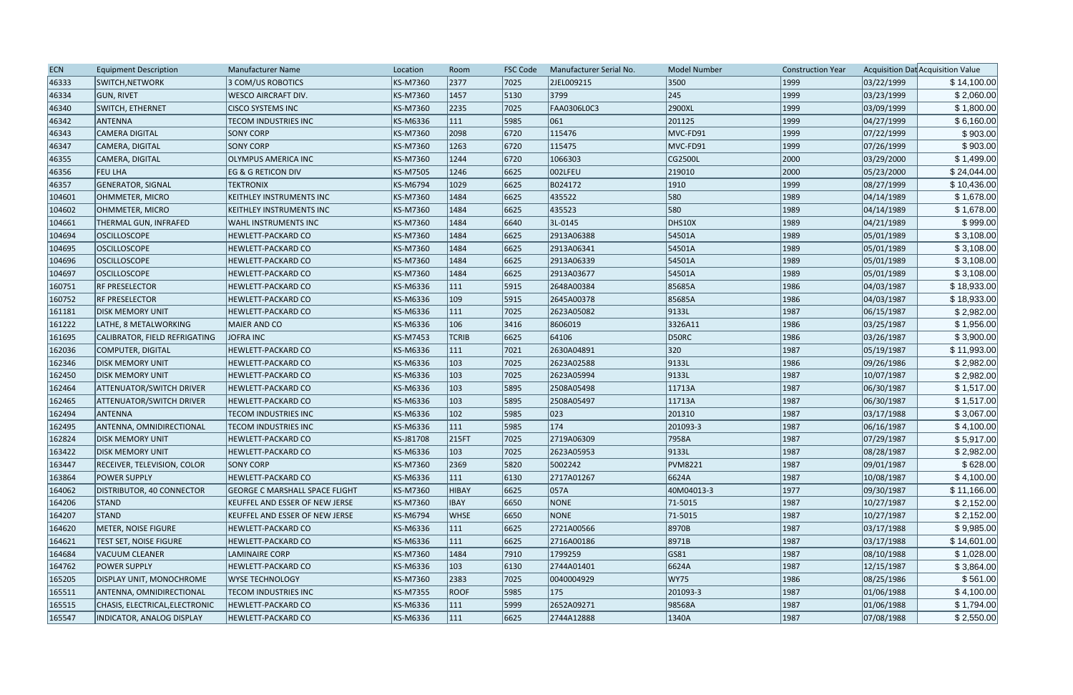| <b>ECN</b> | <b>Equipment Description</b>       | Manufacturer Name                     | Location        | Room          | <b>FSC Code</b> | Manufacturer Serial No. | <b>Model Number</b> | <b>Construction Year</b> |            | Acquisition Dat Acquisition Value |
|------------|------------------------------------|---------------------------------------|-----------------|---------------|-----------------|-------------------------|---------------------|--------------------------|------------|-----------------------------------|
| 46333      | SWITCH, NETWORK                    | 3 COM/US ROBOTICS                     | <b>KS-M7360</b> | 2377          | 7025            | 2JEL009215              | 3500                | 1999                     | 03/22/1999 | \$14,100.00                       |
| 46334      | <b>GUN, RIVET</b>                  | <b>WESCO AIRCRAFT DIV.</b>            | KS-M7360        | 1457          | 5130            | 3799                    | $ 245\rangle$       | 1999                     | 03/23/1999 | \$2,060.00                        |
| 46340      | SWITCH, ETHERNET                   | <b>CISCO SYSTEMS INC</b>              | <b>KS-M7360</b> | 2235          | 7025            | <b>FAA0306L0C3</b>      | 2900XL              | 1999                     | 03/09/1999 | \$1,800.00                        |
| 46342      | <b>ANTENNA</b>                     | <b>TECOM INDUSTRIES INC</b>           | KS-M6336        | $ 111\rangle$ | 5985            | 061                     | 201125              | 1999                     | 04/27/1999 | \$6,160.00                        |
| 46343      | <b>CAMERA DIGITAL</b>              | <b>SONY CORP</b>                      | <b>KS-M7360</b> | 2098          | 6720            | 115476                  | MVC-FD91            | 1999                     | 07/22/1999 | \$903.00                          |
| 46347      | CAMERA, DIGITAL                    | <b>SONY CORP</b>                      | <b>KS-M7360</b> | 1263          | 6720            | 115475                  | MVC-FD91            | 1999                     | 07/26/1999 | \$903.00                          |
| 46355      | CAMERA, DIGITAL                    | <b>OLYMPUS AMERICA INC</b>            | KS-M7360        | 1244          | 6720            | 1066303                 | CG2500L             | 2000                     | 03/29/2000 | \$1,499.00                        |
| 46356      | <b>FEU LHA</b>                     | EG & G RETICON DIV                    | <b>KS-M7505</b> | 1246          | 6625            | 002LFEU                 | 219010              | 2000                     | 05/23/2000 | \$24,044.00                       |
| 46357      | <b>GENERATOR, SIGNAL</b>           | <b>TEKTRONIX</b>                      | <b>KS-M6794</b> | 1029          | 6625            | B024172                 | 1910                | 1999                     | 08/27/1999 | \$10,436.00                       |
| 104601     | OHMMETER, MICRO                    | KEITHLEY INSTRUMENTS INC              | <b>KS-M7360</b> | 1484          | 6625            | 435522                  | 580                 | 1989                     | 04/14/1989 | \$1,678.00                        |
| 104602     | OHMMETER, MICRO                    | KEITHLEY INSTRUMENTS INC              | <b>KS-M7360</b> | 1484          | 6625            | 435523                  | 580                 | 1989                     | 04/14/1989 | \$1,678.00                        |
| 104661     | THERMAL GUN, INFRAFED              | WAHL INSTRUMENTS INC                  | <b>KS-M7360</b> | 1484          | 6640            | 3L-0145                 | DHS10X              | 1989                     | 04/21/1989 | \$999.00                          |
| 104694     | <b>OSCILLOSCOPE</b>                | HEWLETT-PACKARD CO                    | <b>KS-M7360</b> | 1484          | 6625            | 2913A06388              | 54501A              | 1989                     | 05/01/1989 | \$3,108.00                        |
| 104695     | <b>OSCILLOSCOPE</b>                | HEWLETT-PACKARD CO                    | <b>KS-M7360</b> | 1484          | 6625            | 2913A06341              | 54501A              | 1989                     | 05/01/1989 | \$3,108.00                        |
| 104696     | <b>OSCILLOSCOPE</b>                | <b>HEWLETT-PACKARD CO</b>             | <b>KS-M7360</b> | 1484          | 6625            | 2913A06339              | 54501A              | 1989                     | 05/01/1989 | \$3,108.00                        |
| 104697     | <b>OSCILLOSCOPE</b>                | <b>HEWLETT-PACKARD CO</b>             | <b>KS-M7360</b> | 1484          | 6625            | 2913A03677              | 54501A              | 1989                     | 05/01/1989 | \$3,108.00                        |
| 160751     | <b>RF PRESELECTOR</b>              | <b>HEWLETT-PACKARD CO</b>             | <b>KS-M6336</b> | $ 111\rangle$ | 5915            | 2648A00384              | 85685A              | 1986                     | 04/03/1987 | \$18,933.00                       |
| 160752     | <b>RF PRESELECTOR</b>              | <b>HEWLETT-PACKARD CO</b>             | KS-M6336        | $ 109\rangle$ | 5915            | 2645A00378              | 85685A              | 1986                     | 04/03/1987 | \$18,933.00                       |
| 161181     | DISK MEMORY UNIT                   | HEWLETT-PACKARD CO                    | <b>KS-M6336</b> | $ 111\rangle$ | 7025            | 2623A05082              | 9133L               | 1987                     | 06/15/1987 | \$2,982.00                        |
| 161222     | LATHE, 8 METALWORKING              | <b>MAIER AND CO</b>                   | KS-M6336        | 106           | 3416            | 8606019                 | 3326A11             | 1986                     | 03/25/1987 | \$1,956.00                        |
| 161695     | CALIBRATOR, FIELD REFRIGATING      | JOFRA INC                             | <b>KS-M7453</b> | <b>TCRIB</b>  | 6625            | 64106                   | D50RC               | 1986                     | 03/26/1987 | \$3,900.00                        |
| 162036     | COMPUTER, DIGITAL                  | <b>HEWLETT-PACKARD CO</b>             | KS-M6336        | $ 111\rangle$ | 7021            | 2630A04891              | 320                 | 1987                     | 05/19/1987 | \$11,993.00                       |
| 162346     | <b>DISK MEMORY UNIT</b>            | HEWLETT-PACKARD CO                    | KS-M6336        | 103           | 7025            | 2623A02588              | 9133L               | 1986                     | 09/26/1986 | \$2,982.00                        |
| 162450     | <b>DISK MEMORY UNIT</b>            | HEWLETT-PACKARD CO                    | <b>KS-M6336</b> | 103           | 7025            | 2623A05994              | 9133L               | 1987                     | 10/07/1987 | \$2,982.00                        |
| 162464     | <b>ATTENUATOR/SWITCH DRIVER</b>    | <b>HEWLETT-PACKARD CO</b>             | KS-M6336        | 103           | 5895            | 2508A05498              | 11713A              | 1987                     | 06/30/1987 | \$1,517.00                        |
| 162465     | <b>ATTENUATOR/SWITCH DRIVER</b>    | <b>HEWLETT-PACKARD CO</b>             | KS-M6336        | 103           | 5895            | 2508A05497              | 11713A              | 1987                     | 06/30/1987 | \$1,517.00                        |
| 162494     | <b>ANTENNA</b>                     | <b>TECOM INDUSTRIES INC</b>           | <b>KS-M6336</b> | $ 102\rangle$ | 5985            | 023                     | 201310              | 1987                     | 03/17/1988 | \$3,067.00                        |
| 162495     | ANTENNA, OMNIDIRECTIONAL           | <b>TECOM INDUSTRIES INC</b>           | KS-M6336        | 111           | 5985            | $ 174\rangle$           | 201093-3            | 1987                     | 06/16/1987 | \$4,100.00                        |
| 162824     | <b>IDISK MEMORY UNIT</b>           | <b>HEWLETT-PACKARD CO</b>             | KS-J81708       | 215FT         | 7025            | 2719A06309              | 7958A               | 1987                     | 07/29/1987 | \$5,917.00                        |
| 163422     | <b>IDISK MEMORY UNIT</b>           | <b>HEWLETT-PACKARD CO</b>             | KS-M6336        | 103           | 7025            | 2623A05953              | 9133L               | 1987                     | 08/28/1987 | \$2,982.00                        |
| 163447     | <b>RECEIVER, TELEVISION, COLOR</b> | <b>SONY CORP</b>                      | KS-M7360        | 2369          | 5820            | 5002242                 | <b>PVM8221</b>      | 1987                     | 09/01/1987 | \$628.00                          |
| 163864     | <b>POWER SUPPLY</b>                | <b>HEWLETT-PACKARD CO</b>             | KS-M6336        | $ 111\rangle$ | 6130            | 2717A01267              | 6624A               | 1987                     | 10/08/1987 | \$4,100.00                        |
| 164062     | <b>DISTRIBUTOR, 40 CONNECTOR</b>   | <b>GEORGE C MARSHALL SPACE FLIGHT</b> | <b>KS-M7360</b> | HIBAY         | 6625            | 057A                    | 40M04013-3          | 1977                     | 09/30/1987 | \$11,166.00                       |
| 164206     | <b>STAND</b>                       | KEUFFEL AND ESSER OF NEW JERSE        | <b>KS-M7360</b> | <b>IBAY</b>   | 6650            | <b>NONE</b>             | $ 71 - 5015 $       | 1987                     | 10/27/1987 | \$2,152.00                        |
| 164207     | <b>STAND</b>                       | <b>KEUFFEL AND ESSER OF NEW JERSE</b> | <b>KS-M6794</b> | <b>WHSE</b>   | 6650            | <b>NONE</b>             | 71-5015             | 1987                     | 10/27/1987 | \$2,152.00                        |
| 164620     | METER, NOISE FIGURE                | HEWLETT-PACKARD CO                    | KS-M6336        | 111           | 6625            | 2721A00566              | 8970B               | 1987                     | 03/17/1988 | \$9,985.00                        |
| 164621     | TEST SET, NOISE FIGURE             | <b>HEWLETT-PACKARD CO</b>             | KS-M6336        | $ 111\rangle$ | 6625            | 2716A00186              | 8971B               | 1987                     | 03/17/1988 | \$14,601.00                       |
| 164684     | <b>VACUUM CLEANER</b>              | <b>LAMINAIRE CORP</b>                 | <b>KS-M7360</b> | 1484          | 7910            | 1799259                 | GS81                | 1987                     | 08/10/1988 | \$1,028.00                        |
| 164762     | <b>POWER SUPPLY</b>                | <b>HEWLETT-PACKARD CO</b>             | KS-M6336        | $ 103\rangle$ | 6130            | 2744A01401              | 6624A               | 1987                     | 12/15/1987 | \$3,864.00                        |
| 165205     | <b>DISPLAY UNIT, MONOCHROME</b>    | WYSE TECHNOLOGY                       | <b>KS-M7360</b> | 2383          | 7025            | 0040004929              | <b>WY75</b>         | 1986                     | 08/25/1986 | \$561.00                          |
| 165511     | ANTENNA, OMNIDIRECTIONAL           | <b>TECOM INDUSTRIES INC</b>           | <b>KS-M7355</b> | <b>ROOF</b>   | 5985            | 175                     | 201093-3            | 1987                     | 01/06/1988 | \$4,100.00                        |
| 165515     | CHASIS, ELECTRICAL, ELECTRONIC     | <b>HEWLETT-PACKARD CO</b>             | KS-M6336        | 111           | 5999            | 2652A09271              | 98568A              | 1987                     | 01/06/1988 | \$1,794.00                        |
| 165547     | INDICATOR, ANALOG DISPLAY          | <b>HEWLETT-PACKARD CO</b>             | KS-M6336        | 111           | 6625            | 2744A12888              | 1340A               | 1987                     | 07/08/1988 | \$2,550.00                        |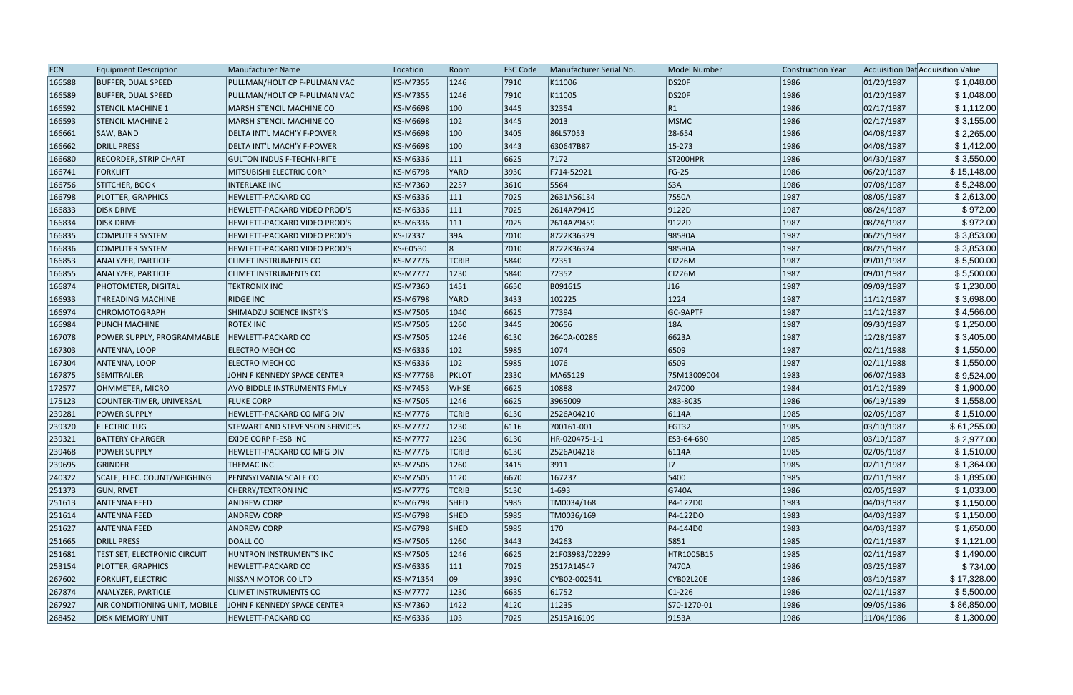| DS20F<br>166588<br><b>BUFFER, DUAL SPEED</b><br>PULLMAN/HOLT CP F-PULMAN VAC<br>KS-M7355<br>1246<br>7910<br>1986<br>01/20/1987<br>\$1,048.00<br>K11006<br>DS20F<br>1246<br>7910<br>1986<br>166589<br><b>BUFFER, DUAL SPEED</b><br>KS-M7355<br>K11005<br>01/20/1987<br>\$1,048.00<br>PULLMAN/HOLT CP F-PULMAN VAC<br>166592<br>KS-M6698<br>3445<br>32354<br> R1<br>1986<br>02/17/1987<br><b>STENCIL MACHINE 1</b><br>MARSH STENCIL MACHINE CO<br>$ 100\rangle$<br>$ 102\rangle$<br>3445<br>2013<br>1986<br>\$3,155.00<br>166593<br>KS-M6698<br> MSMC<br>02/17/1987<br><b>STENCIL MACHINE 2</b><br><b>MARSH STENCIL MACHINE CO</b><br>100<br>1986<br>166661<br>KS-M6698<br>3405<br>86L57053<br>28-654<br>04/08/1987<br>\$2,265.00<br>DELTA INT'L MACH'Y F-POWER<br>SAW, BAND<br>100<br>15-273<br>1986<br>\$1,412.00<br>166662<br>DRILL PRESS<br>KS-M6698<br>3443<br>630647B87<br>04/08/1987<br>DELTA INT'L MACH'Y F-POWER<br>166680<br>6625<br>1986<br>04/30/1987<br>\$3,550.00<br><b>RECORDER, STRIP CHART</b><br><b>GULTON INDUS F-TECHNI-RITE</b><br>KS-M6336<br>$ 111\rangle$<br>7172<br>ST200HPR<br>\$15,148.00<br>166741<br>3930<br>F714-52921<br>$FG-25$<br>1986<br>06/20/1987<br>FORKLIFT<br>MITSUBISHI ELECTRIC CORP<br><b>KS-M6798</b><br>YARD<br>S3A<br>1986<br>166756<br>2257<br>5564<br>07/08/1987<br>STITCHER, BOOK<br><b>INTERLAKE INC</b><br>KS-M7360<br>3610<br>\$5,248.00<br>7550A<br>1987<br>\$2,613.00<br>166798<br><b>PLOTTER, GRAPHICS</b><br>HEWLETT-PACKARD CO<br>KS-M6336<br> 111 <br>7025<br>2631A56134<br>08/05/1987<br>\$972.00<br> 111<br>08/24/1987<br>166833<br><b>DISK DRIVE</b><br>HEWLETT-PACKARD VIDEO PROD'S<br>KS-M6336<br>7025<br>2614A79419<br>9122D<br>1987<br>166834<br> 111<br>7025<br>9122D<br>1987<br>08/24/1987<br>\$972.00<br><b>DISK DRIVE</b><br>HEWLETT-PACKARD VIDEO PROD'S<br>KS-M6336<br>2614A79459<br>\$3,853.00<br>166835<br>KS-J7337<br>39A<br>7010<br>8722K36329<br>98580A<br>1987<br>06/25/1987<br><b>COMPUTER SYSTEM</b><br>HEWLETT-PACKARD VIDEO PROD'S<br>8722K36324<br>1987<br>08/25/1987<br>\$3,853.00<br>166836<br>KS-60530<br>7010<br>98580A<br><b>COMPUTER SYSTEM</b><br><b>HEWLETT-PACKARD VIDEO PROD'S</b><br>\$5,500.00<br><b>KS-M7776</b><br><b>TCRIB</b><br>5840<br>72351<br><b>CI226M</b><br>1987<br>09/01/1987<br>166853<br><b>ANALYZER, PARTICLE</b><br><b>CLIMET INSTRUMENTS CO</b><br>72352<br><b>CI226M</b><br>166855<br><b>KS-M7777</b><br>1230<br>1987<br>09/01/1987<br>\$5,500.00<br><b>ANALYZER, PARTICLE</b><br><b>CLIMET INSTRUMENTS CO</b><br>5840<br>J16<br>\$1,230.00<br>166874<br>KS-M7360<br>6650<br>B091615<br>1987<br>09/09/1987<br><b>PHOTOMETER, DIGITAL</b><br>TEKTRONIX INC<br>1451<br>1224<br>\$3,698.00<br><b>RIDGE INC</b><br>3433<br>1987<br>11/12/1987<br>166933<br>KS-M6798<br>YARD<br>102225<br><b>THREADING MACHINE</b><br>6625<br>77394<br>GC-9APTF<br>1987<br>11/12/1987<br>\$4,566.00<br>166974<br><b>CHROMOTOGRAPH</b><br>SHIMADZU SCIENCE INSTR'S<br>KS-M7505<br>1040<br>\$1,250.00<br>3445<br>20656<br>18A<br>1987<br>09/30/1987<br>166984<br><b>PUNCH MACHINE</b><br><b>ROTEX INC</b><br>KS-M7505<br>1260<br>1246<br>6623A<br>1987<br>\$3,405.00<br>167078<br>POWER SUPPLY, PROGRAMMABLE<br><b>HEWLETT-PACKARD CO</b><br>KS-M7505<br>6130<br>2640A-00286<br>12/28/1987<br>\$1,550.00<br>167303<br>$ 102\rangle$<br>5985<br>1074<br>6509<br>1987<br>ANTENNA, LOOP<br><b>ELECTRO MECH CO</b><br>KS-M6336<br>02/11/1988<br>6509<br>$ 102\rangle$<br>5985<br>1076<br>1987<br>167304<br>KS-M6336<br>02/11/1988<br>\$1,550.00<br>ANTENNA, LOOP<br>ELECTRO MECH CO<br>\$9,524.00<br><b>PKLOT</b><br>2330<br>1983<br>167875<br>SEMITRAILER<br>JOHN F KENNEDY SPACE CENTER<br><b>KS-M7776B</b><br>MA65129<br>75M13009004<br>06/07/1983<br>\$1,900.00<br>1984<br>172577<br>OHMMETER, MICRO<br>KS-M7453<br><b>WHSE</b><br>6625<br>10888<br>247000<br>01/12/1989<br>AVO BIDDLE INSTRUMENTS FMLY<br>1986<br>175123<br>COUNTER-TIMER, UNIVERSAL<br>KS-M7505<br>1246<br>6625<br>3965009<br>X83-8035<br>06/19/1989<br>\$1,558.00<br><b>FLUKE CORP</b><br>KS-M7776<br>6130<br>1985<br>02/05/1987<br>239281<br><b>POWER SUPPLY</b><br><b>TCRIB</b><br>2526A04210<br>6114A<br>\$1,510.00<br>HEWLETT-PACKARD CO MFG DIV<br>239320<br>1230<br>EGT32<br>1985<br>03/10/1987<br>\$61,255.00<br><b>ELECTRIC TUG</b><br><b>KS-M7777</b><br>6116<br>700161-001<br><b>STEWART AND STEVENSON SERVICES</b><br>1230<br>1985<br>\$2,977.00<br>239321<br><b>BATTERY CHARGER</b><br><b>KS-M7777</b><br>6130<br>HR-020475-1-1<br>ES3-64-680<br>03/10/1987<br>EXIDE CORP F-ESB INC<br>1985<br>239468<br>KS-M7776<br><b>TCRIB</b><br>6130<br>6114A<br>02/05/1987<br><b>POWER SUPPLY</b><br>HEWLETT-PACKARD CO MFG DIV<br>2526A04218<br>\$1,510.00<br>GRINDER<br>3911<br>J7<br>1985<br>\$1,364.00<br>239695<br>THEMAC INC<br>KS-M7505<br>1260<br>3415<br> 02/11/1987<br>167237<br>02/11/1987<br>\$1,895.00<br>240322<br>SCALE, ELEC. COUNT/WEIGHING<br>PENNSYLVANIA SCALE CO<br>KS-M7505<br>6670<br>5400<br>1985<br>1120<br>\$1,033.00<br>251373<br>GUN, RIVET<br><b>CHERRY/TEXTRON INC</b><br>KS-M7776<br><b>TCRIB</b><br>5130<br>$1-693$<br>G740A<br>1986<br>02/05/1987<br>1983<br>04/03/1987<br>251613<br><b>ANTENNA FEED</b><br><b>ANDREW CORP</b><br>KS-M6798<br><b>SHED</b><br>5985<br>TM0034/168<br>P4-122D0<br>\$1,150.00<br>P4-122DO<br>\$1,150.00<br>251614<br><b>ANTENNA FEED</b><br><b>ANDREW CORP</b><br>KS-M6798<br><b>SHED</b><br>5985<br>TM0036/169<br>1983<br>04/03/1987<br>\$1,650.00<br>251627<br><b>ANTENNA FEED</b><br><b>ANDREW CORP</b><br>KS-M6798<br><b>SHED</b><br>5985<br>P4-144D0<br>1983<br>04/03/1987<br>170<br>24263<br>251665<br>DRILL PRESS<br>DOALL CO<br>KS-M7505<br>1260<br>3443<br>5851<br>1985<br> 02/11/1987<br>\$1,121.00<br>21F03983/02299<br>\$1,490.00<br>251681<br><b>TEST SET, ELECTRONIC CIRCUIT</b><br>HUNTRON INSTRUMENTS INC<br>KS-M7505<br>1246<br>6625<br>HTR1005B15<br>1985<br>02/11/1987<br>\$734.00<br>7470A<br>03/25/1987<br>253154<br><b>PLOTTER, GRAPHICS</b><br><b>HEWLETT-PACKARD CO</b><br>KS-M6336<br>$ 111\rangle$<br>7025<br>2517A14547<br>1986<br>09<br>\$17,328.00<br>267602<br><b>FORKLIFT, ELECTRIC</b><br>KS-M71354<br>3930<br>CYB02-002541<br>CYB02L20E<br>1986<br>03/10/1987<br>NISSAN MOTOR CO LTD<br>267874<br><b>ANALYZER, PARTICLE</b><br><b>KS-M7777</b><br>$ 1230\rangle$<br>6635<br>$ C1-226 $<br>1986<br>02/11/1987<br>\$5,500.00<br><b>CLIMET INSTRUMENTS CO</b><br>61752<br>\$86,850.00<br>267927<br>AIR CONDITIONING UNIT, MOBILE<br>JOHN F KENNEDY SPACE CENTER<br>KS-M7360<br>1422<br>4120<br> 11235<br>S70-1270-01<br>1986<br>09/05/1986<br>\$1,300.00<br>268452<br><b>DISK MEMORY UNIT</b><br>HEWLETT-PACKARD CO<br>$ 103\rangle$<br> 7025<br>9153A<br>1986<br>11/04/1986<br>KS-M6336<br>2515A16109 | <b>ECN</b> | <b>Equipment Description</b> | <b>Manufacturer Name</b> | Location | Room | <b>FSC Code</b> | Manufacturer Serial No. | <b>Model Number</b> | <b>Construction Year</b> | Acquisition Dat Acquisition Value |
|--------------------------------------------------------------------------------------------------------------------------------------------------------------------------------------------------------------------------------------------------------------------------------------------------------------------------------------------------------------------------------------------------------------------------------------------------------------------------------------------------------------------------------------------------------------------------------------------------------------------------------------------------------------------------------------------------------------------------------------------------------------------------------------------------------------------------------------------------------------------------------------------------------------------------------------------------------------------------------------------------------------------------------------------------------------------------------------------------------------------------------------------------------------------------------------------------------------------------------------------------------------------------------------------------------------------------------------------------------------------------------------------------------------------------------------------------------------------------------------------------------------------------------------------------------------------------------------------------------------------------------------------------------------------------------------------------------------------------------------------------------------------------------------------------------------------------------------------------------------------------------------------------------------------------------------------------------------------------------------------------------------------------------------------------------------------------------------------------------------------------------------------------------------------------------------------------------------------------------------------------------------------------------------------------------------------------------------------------------------------------------------------------------------------------------------------------------------------------------------------------------------------------------------------------------------------------------------------------------------------------------------------------------------------------------------------------------------------------------------------------------------------------------------------------------------------------------------------------------------------------------------------------------------------------------------------------------------------------------------------------------------------------------------------------------------------------------------------------------------------------------------------------------------------------------------------------------------------------------------------------------------------------------------------------------------------------------------------------------------------------------------------------------------------------------------------------------------------------------------------------------------------------------------------------------------------------------------------------------------------------------------------------------------------------------------------------------------------------------------------------------------------------------------------------------------------------------------------------------------------------------------------------------------------------------------------------------------------------------------------------------------------------------------------------------------------------------------------------------------------------------------------------------------------------------------------------------------------------------------------------------------------------------------------------------------------------------------------------------------------------------------------------------------------------------------------------------------------------------------------------------------------------------------------------------------------------------------------------------------------------------------------------------------------------------------------------------------------------------------------------------------------------------------------------------------------------------------------------------------------------------------------------------------------------------------------------------------------------------------------------------------------------------------------------------------------------------------------------------------------------------------------------------------------------------------------------------------------------------------------------------------------------------------------------------------------------------------------------------------------------------------------------------------------------------------------------------------------------------------------------------------------------------------------------------------------------------------------------------------------------------------------------------------------------------------------------------------------------------------------------------------------------------------------------------------------------------------------------------------------------------------------------------------------------------------------------------------------------------------------------------------------------------------------------------------------------------------------------------------------------------------------------------------------------------------------------------------------------------------------------------------------------------------------------------------------------------------------------------------------------------------------------------------------------------------------------------------------------------------------------------------------------------------------------------------------------------------------------------------------------------------------------------------------------------------------------------------------------------------------------------------|------------|------------------------------|--------------------------|----------|------|-----------------|-------------------------|---------------------|--------------------------|-----------------------------------|
| \$1,112.00                                                                                                                                                                                                                                                                                                                                                                                                                                                                                                                                                                                                                                                                                                                                                                                                                                                                                                                                                                                                                                                                                                                                                                                                                                                                                                                                                                                                                                                                                                                                                                                                                                                                                                                                                                                                                                                                                                                                                                                                                                                                                                                                                                                                                                                                                                                                                                                                                                                                                                                                                                                                                                                                                                                                                                                                                                                                                                                                                                                                                                                                                                                                                                                                                                                                                                                                                                                                                                                                                                                                                                                                                                                                                                                                                                                                                                                                                                                                                                                                                                                                                                                                                                                                                                                                                                                                                                                                                                                                                                                                                                                                                                                                                                                                                                                                                                                                                                                                                                                                                                                                                                                                                                                                                                                                                                                                                                                                                                                                                                                                                                                                                                                                                                                                                                                                                                                                                                                                                                                                                                                                                                                                                                                                                                                                                                                                                                                                                                                                                                                                                                                                                                                                                                                                                   |            |                              |                          |          |      |                 |                         |                     |                          |                                   |
|                                                                                                                                                                                                                                                                                                                                                                                                                                                                                                                                                                                                                                                                                                                                                                                                                                                                                                                                                                                                                                                                                                                                                                                                                                                                                                                                                                                                                                                                                                                                                                                                                                                                                                                                                                                                                                                                                                                                                                                                                                                                                                                                                                                                                                                                                                                                                                                                                                                                                                                                                                                                                                                                                                                                                                                                                                                                                                                                                                                                                                                                                                                                                                                                                                                                                                                                                                                                                                                                                                                                                                                                                                                                                                                                                                                                                                                                                                                                                                                                                                                                                                                                                                                                                                                                                                                                                                                                                                                                                                                                                                                                                                                                                                                                                                                                                                                                                                                                                                                                                                                                                                                                                                                                                                                                                                                                                                                                                                                                                                                                                                                                                                                                                                                                                                                                                                                                                                                                                                                                                                                                                                                                                                                                                                                                                                                                                                                                                                                                                                                                                                                                                                                                                                                                                              |            |                              |                          |          |      |                 |                         |                     |                          |                                   |
|                                                                                                                                                                                                                                                                                                                                                                                                                                                                                                                                                                                                                                                                                                                                                                                                                                                                                                                                                                                                                                                                                                                                                                                                                                                                                                                                                                                                                                                                                                                                                                                                                                                                                                                                                                                                                                                                                                                                                                                                                                                                                                                                                                                                                                                                                                                                                                                                                                                                                                                                                                                                                                                                                                                                                                                                                                                                                                                                                                                                                                                                                                                                                                                                                                                                                                                                                                                                                                                                                                                                                                                                                                                                                                                                                                                                                                                                                                                                                                                                                                                                                                                                                                                                                                                                                                                                                                                                                                                                                                                                                                                                                                                                                                                                                                                                                                                                                                                                                                                                                                                                                                                                                                                                                                                                                                                                                                                                                                                                                                                                                                                                                                                                                                                                                                                                                                                                                                                                                                                                                                                                                                                                                                                                                                                                                                                                                                                                                                                                                                                                                                                                                                                                                                                                                              |            |                              |                          |          |      |                 |                         |                     |                          |                                   |
|                                                                                                                                                                                                                                                                                                                                                                                                                                                                                                                                                                                                                                                                                                                                                                                                                                                                                                                                                                                                                                                                                                                                                                                                                                                                                                                                                                                                                                                                                                                                                                                                                                                                                                                                                                                                                                                                                                                                                                                                                                                                                                                                                                                                                                                                                                                                                                                                                                                                                                                                                                                                                                                                                                                                                                                                                                                                                                                                                                                                                                                                                                                                                                                                                                                                                                                                                                                                                                                                                                                                                                                                                                                                                                                                                                                                                                                                                                                                                                                                                                                                                                                                                                                                                                                                                                                                                                                                                                                                                                                                                                                                                                                                                                                                                                                                                                                                                                                                                                                                                                                                                                                                                                                                                                                                                                                                                                                                                                                                                                                                                                                                                                                                                                                                                                                                                                                                                                                                                                                                                                                                                                                                                                                                                                                                                                                                                                                                                                                                                                                                                                                                                                                                                                                                                              |            |                              |                          |          |      |                 |                         |                     |                          |                                   |
|                                                                                                                                                                                                                                                                                                                                                                                                                                                                                                                                                                                                                                                                                                                                                                                                                                                                                                                                                                                                                                                                                                                                                                                                                                                                                                                                                                                                                                                                                                                                                                                                                                                                                                                                                                                                                                                                                                                                                                                                                                                                                                                                                                                                                                                                                                                                                                                                                                                                                                                                                                                                                                                                                                                                                                                                                                                                                                                                                                                                                                                                                                                                                                                                                                                                                                                                                                                                                                                                                                                                                                                                                                                                                                                                                                                                                                                                                                                                                                                                                                                                                                                                                                                                                                                                                                                                                                                                                                                                                                                                                                                                                                                                                                                                                                                                                                                                                                                                                                                                                                                                                                                                                                                                                                                                                                                                                                                                                                                                                                                                                                                                                                                                                                                                                                                                                                                                                                                                                                                                                                                                                                                                                                                                                                                                                                                                                                                                                                                                                                                                                                                                                                                                                                                                                              |            |                              |                          |          |      |                 |                         |                     |                          |                                   |
|                                                                                                                                                                                                                                                                                                                                                                                                                                                                                                                                                                                                                                                                                                                                                                                                                                                                                                                                                                                                                                                                                                                                                                                                                                                                                                                                                                                                                                                                                                                                                                                                                                                                                                                                                                                                                                                                                                                                                                                                                                                                                                                                                                                                                                                                                                                                                                                                                                                                                                                                                                                                                                                                                                                                                                                                                                                                                                                                                                                                                                                                                                                                                                                                                                                                                                                                                                                                                                                                                                                                                                                                                                                                                                                                                                                                                                                                                                                                                                                                                                                                                                                                                                                                                                                                                                                                                                                                                                                                                                                                                                                                                                                                                                                                                                                                                                                                                                                                                                                                                                                                                                                                                                                                                                                                                                                                                                                                                                                                                                                                                                                                                                                                                                                                                                                                                                                                                                                                                                                                                                                                                                                                                                                                                                                                                                                                                                                                                                                                                                                                                                                                                                                                                                                                                              |            |                              |                          |          |      |                 |                         |                     |                          |                                   |
|                                                                                                                                                                                                                                                                                                                                                                                                                                                                                                                                                                                                                                                                                                                                                                                                                                                                                                                                                                                                                                                                                                                                                                                                                                                                                                                                                                                                                                                                                                                                                                                                                                                                                                                                                                                                                                                                                                                                                                                                                                                                                                                                                                                                                                                                                                                                                                                                                                                                                                                                                                                                                                                                                                                                                                                                                                                                                                                                                                                                                                                                                                                                                                                                                                                                                                                                                                                                                                                                                                                                                                                                                                                                                                                                                                                                                                                                                                                                                                                                                                                                                                                                                                                                                                                                                                                                                                                                                                                                                                                                                                                                                                                                                                                                                                                                                                                                                                                                                                                                                                                                                                                                                                                                                                                                                                                                                                                                                                                                                                                                                                                                                                                                                                                                                                                                                                                                                                                                                                                                                                                                                                                                                                                                                                                                                                                                                                                                                                                                                                                                                                                                                                                                                                                                                              |            |                              |                          |          |      |                 |                         |                     |                          |                                   |
|                                                                                                                                                                                                                                                                                                                                                                                                                                                                                                                                                                                                                                                                                                                                                                                                                                                                                                                                                                                                                                                                                                                                                                                                                                                                                                                                                                                                                                                                                                                                                                                                                                                                                                                                                                                                                                                                                                                                                                                                                                                                                                                                                                                                                                                                                                                                                                                                                                                                                                                                                                                                                                                                                                                                                                                                                                                                                                                                                                                                                                                                                                                                                                                                                                                                                                                                                                                                                                                                                                                                                                                                                                                                                                                                                                                                                                                                                                                                                                                                                                                                                                                                                                                                                                                                                                                                                                                                                                                                                                                                                                                                                                                                                                                                                                                                                                                                                                                                                                                                                                                                                                                                                                                                                                                                                                                                                                                                                                                                                                                                                                                                                                                                                                                                                                                                                                                                                                                                                                                                                                                                                                                                                                                                                                                                                                                                                                                                                                                                                                                                                                                                                                                                                                                                                              |            |                              |                          |          |      |                 |                         |                     |                          |                                   |
|                                                                                                                                                                                                                                                                                                                                                                                                                                                                                                                                                                                                                                                                                                                                                                                                                                                                                                                                                                                                                                                                                                                                                                                                                                                                                                                                                                                                                                                                                                                                                                                                                                                                                                                                                                                                                                                                                                                                                                                                                                                                                                                                                                                                                                                                                                                                                                                                                                                                                                                                                                                                                                                                                                                                                                                                                                                                                                                                                                                                                                                                                                                                                                                                                                                                                                                                                                                                                                                                                                                                                                                                                                                                                                                                                                                                                                                                                                                                                                                                                                                                                                                                                                                                                                                                                                                                                                                                                                                                                                                                                                                                                                                                                                                                                                                                                                                                                                                                                                                                                                                                                                                                                                                                                                                                                                                                                                                                                                                                                                                                                                                                                                                                                                                                                                                                                                                                                                                                                                                                                                                                                                                                                                                                                                                                                                                                                                                                                                                                                                                                                                                                                                                                                                                                                              |            |                              |                          |          |      |                 |                         |                     |                          |                                   |
|                                                                                                                                                                                                                                                                                                                                                                                                                                                                                                                                                                                                                                                                                                                                                                                                                                                                                                                                                                                                                                                                                                                                                                                                                                                                                                                                                                                                                                                                                                                                                                                                                                                                                                                                                                                                                                                                                                                                                                                                                                                                                                                                                                                                                                                                                                                                                                                                                                                                                                                                                                                                                                                                                                                                                                                                                                                                                                                                                                                                                                                                                                                                                                                                                                                                                                                                                                                                                                                                                                                                                                                                                                                                                                                                                                                                                                                                                                                                                                                                                                                                                                                                                                                                                                                                                                                                                                                                                                                                                                                                                                                                                                                                                                                                                                                                                                                                                                                                                                                                                                                                                                                                                                                                                                                                                                                                                                                                                                                                                                                                                                                                                                                                                                                                                                                                                                                                                                                                                                                                                                                                                                                                                                                                                                                                                                                                                                                                                                                                                                                                                                                                                                                                                                                                                              |            |                              |                          |          |      |                 |                         |                     |                          |                                   |
|                                                                                                                                                                                                                                                                                                                                                                                                                                                                                                                                                                                                                                                                                                                                                                                                                                                                                                                                                                                                                                                                                                                                                                                                                                                                                                                                                                                                                                                                                                                                                                                                                                                                                                                                                                                                                                                                                                                                                                                                                                                                                                                                                                                                                                                                                                                                                                                                                                                                                                                                                                                                                                                                                                                                                                                                                                                                                                                                                                                                                                                                                                                                                                                                                                                                                                                                                                                                                                                                                                                                                                                                                                                                                                                                                                                                                                                                                                                                                                                                                                                                                                                                                                                                                                                                                                                                                                                                                                                                                                                                                                                                                                                                                                                                                                                                                                                                                                                                                                                                                                                                                                                                                                                                                                                                                                                                                                                                                                                                                                                                                                                                                                                                                                                                                                                                                                                                                                                                                                                                                                                                                                                                                                                                                                                                                                                                                                                                                                                                                                                                                                                                                                                                                                                                                              |            |                              |                          |          |      |                 |                         |                     |                          |                                   |
|                                                                                                                                                                                                                                                                                                                                                                                                                                                                                                                                                                                                                                                                                                                                                                                                                                                                                                                                                                                                                                                                                                                                                                                                                                                                                                                                                                                                                                                                                                                                                                                                                                                                                                                                                                                                                                                                                                                                                                                                                                                                                                                                                                                                                                                                                                                                                                                                                                                                                                                                                                                                                                                                                                                                                                                                                                                                                                                                                                                                                                                                                                                                                                                                                                                                                                                                                                                                                                                                                                                                                                                                                                                                                                                                                                                                                                                                                                                                                                                                                                                                                                                                                                                                                                                                                                                                                                                                                                                                                                                                                                                                                                                                                                                                                                                                                                                                                                                                                                                                                                                                                                                                                                                                                                                                                                                                                                                                                                                                                                                                                                                                                                                                                                                                                                                                                                                                                                                                                                                                                                                                                                                                                                                                                                                                                                                                                                                                                                                                                                                                                                                                                                                                                                                                                              |            |                              |                          |          |      |                 |                         |                     |                          |                                   |
|                                                                                                                                                                                                                                                                                                                                                                                                                                                                                                                                                                                                                                                                                                                                                                                                                                                                                                                                                                                                                                                                                                                                                                                                                                                                                                                                                                                                                                                                                                                                                                                                                                                                                                                                                                                                                                                                                                                                                                                                                                                                                                                                                                                                                                                                                                                                                                                                                                                                                                                                                                                                                                                                                                                                                                                                                                                                                                                                                                                                                                                                                                                                                                                                                                                                                                                                                                                                                                                                                                                                                                                                                                                                                                                                                                                                                                                                                                                                                                                                                                                                                                                                                                                                                                                                                                                                                                                                                                                                                                                                                                                                                                                                                                                                                                                                                                                                                                                                                                                                                                                                                                                                                                                                                                                                                                                                                                                                                                                                                                                                                                                                                                                                                                                                                                                                                                                                                                                                                                                                                                                                                                                                                                                                                                                                                                                                                                                                                                                                                                                                                                                                                                                                                                                                                              |            |                              |                          |          |      |                 |                         |                     |                          |                                   |
|                                                                                                                                                                                                                                                                                                                                                                                                                                                                                                                                                                                                                                                                                                                                                                                                                                                                                                                                                                                                                                                                                                                                                                                                                                                                                                                                                                                                                                                                                                                                                                                                                                                                                                                                                                                                                                                                                                                                                                                                                                                                                                                                                                                                                                                                                                                                                                                                                                                                                                                                                                                                                                                                                                                                                                                                                                                                                                                                                                                                                                                                                                                                                                                                                                                                                                                                                                                                                                                                                                                                                                                                                                                                                                                                                                                                                                                                                                                                                                                                                                                                                                                                                                                                                                                                                                                                                                                                                                                                                                                                                                                                                                                                                                                                                                                                                                                                                                                                                                                                                                                                                                                                                                                                                                                                                                                                                                                                                                                                                                                                                                                                                                                                                                                                                                                                                                                                                                                                                                                                                                                                                                                                                                                                                                                                                                                                                                                                                                                                                                                                                                                                                                                                                                                                                              |            |                              |                          |          |      |                 |                         |                     |                          |                                   |
|                                                                                                                                                                                                                                                                                                                                                                                                                                                                                                                                                                                                                                                                                                                                                                                                                                                                                                                                                                                                                                                                                                                                                                                                                                                                                                                                                                                                                                                                                                                                                                                                                                                                                                                                                                                                                                                                                                                                                                                                                                                                                                                                                                                                                                                                                                                                                                                                                                                                                                                                                                                                                                                                                                                                                                                                                                                                                                                                                                                                                                                                                                                                                                                                                                                                                                                                                                                                                                                                                                                                                                                                                                                                                                                                                                                                                                                                                                                                                                                                                                                                                                                                                                                                                                                                                                                                                                                                                                                                                                                                                                                                                                                                                                                                                                                                                                                                                                                                                                                                                                                                                                                                                                                                                                                                                                                                                                                                                                                                                                                                                                                                                                                                                                                                                                                                                                                                                                                                                                                                                                                                                                                                                                                                                                                                                                                                                                                                                                                                                                                                                                                                                                                                                                                                                              |            |                              |                          |          |      |                 |                         |                     |                          |                                   |
|                                                                                                                                                                                                                                                                                                                                                                                                                                                                                                                                                                                                                                                                                                                                                                                                                                                                                                                                                                                                                                                                                                                                                                                                                                                                                                                                                                                                                                                                                                                                                                                                                                                                                                                                                                                                                                                                                                                                                                                                                                                                                                                                                                                                                                                                                                                                                                                                                                                                                                                                                                                                                                                                                                                                                                                                                                                                                                                                                                                                                                                                                                                                                                                                                                                                                                                                                                                                                                                                                                                                                                                                                                                                                                                                                                                                                                                                                                                                                                                                                                                                                                                                                                                                                                                                                                                                                                                                                                                                                                                                                                                                                                                                                                                                                                                                                                                                                                                                                                                                                                                                                                                                                                                                                                                                                                                                                                                                                                                                                                                                                                                                                                                                                                                                                                                                                                                                                                                                                                                                                                                                                                                                                                                                                                                                                                                                                                                                                                                                                                                                                                                                                                                                                                                                                              |            |                              |                          |          |      |                 |                         |                     |                          |                                   |
|                                                                                                                                                                                                                                                                                                                                                                                                                                                                                                                                                                                                                                                                                                                                                                                                                                                                                                                                                                                                                                                                                                                                                                                                                                                                                                                                                                                                                                                                                                                                                                                                                                                                                                                                                                                                                                                                                                                                                                                                                                                                                                                                                                                                                                                                                                                                                                                                                                                                                                                                                                                                                                                                                                                                                                                                                                                                                                                                                                                                                                                                                                                                                                                                                                                                                                                                                                                                                                                                                                                                                                                                                                                                                                                                                                                                                                                                                                                                                                                                                                                                                                                                                                                                                                                                                                                                                                                                                                                                                                                                                                                                                                                                                                                                                                                                                                                                                                                                                                                                                                                                                                                                                                                                                                                                                                                                                                                                                                                                                                                                                                                                                                                                                                                                                                                                                                                                                                                                                                                                                                                                                                                                                                                                                                                                                                                                                                                                                                                                                                                                                                                                                                                                                                                                                              |            |                              |                          |          |      |                 |                         |                     |                          |                                   |
|                                                                                                                                                                                                                                                                                                                                                                                                                                                                                                                                                                                                                                                                                                                                                                                                                                                                                                                                                                                                                                                                                                                                                                                                                                                                                                                                                                                                                                                                                                                                                                                                                                                                                                                                                                                                                                                                                                                                                                                                                                                                                                                                                                                                                                                                                                                                                                                                                                                                                                                                                                                                                                                                                                                                                                                                                                                                                                                                                                                                                                                                                                                                                                                                                                                                                                                                                                                                                                                                                                                                                                                                                                                                                                                                                                                                                                                                                                                                                                                                                                                                                                                                                                                                                                                                                                                                                                                                                                                                                                                                                                                                                                                                                                                                                                                                                                                                                                                                                                                                                                                                                                                                                                                                                                                                                                                                                                                                                                                                                                                                                                                                                                                                                                                                                                                                                                                                                                                                                                                                                                                                                                                                                                                                                                                                                                                                                                                                                                                                                                                                                                                                                                                                                                                                                              |            |                              |                          |          |      |                 |                         |                     |                          |                                   |
|                                                                                                                                                                                                                                                                                                                                                                                                                                                                                                                                                                                                                                                                                                                                                                                                                                                                                                                                                                                                                                                                                                                                                                                                                                                                                                                                                                                                                                                                                                                                                                                                                                                                                                                                                                                                                                                                                                                                                                                                                                                                                                                                                                                                                                                                                                                                                                                                                                                                                                                                                                                                                                                                                                                                                                                                                                                                                                                                                                                                                                                                                                                                                                                                                                                                                                                                                                                                                                                                                                                                                                                                                                                                                                                                                                                                                                                                                                                                                                                                                                                                                                                                                                                                                                                                                                                                                                                                                                                                                                                                                                                                                                                                                                                                                                                                                                                                                                                                                                                                                                                                                                                                                                                                                                                                                                                                                                                                                                                                                                                                                                                                                                                                                                                                                                                                                                                                                                                                                                                                                                                                                                                                                                                                                                                                                                                                                                                                                                                                                                                                                                                                                                                                                                                                                              |            |                              |                          |          |      |                 |                         |                     |                          |                                   |
|                                                                                                                                                                                                                                                                                                                                                                                                                                                                                                                                                                                                                                                                                                                                                                                                                                                                                                                                                                                                                                                                                                                                                                                                                                                                                                                                                                                                                                                                                                                                                                                                                                                                                                                                                                                                                                                                                                                                                                                                                                                                                                                                                                                                                                                                                                                                                                                                                                                                                                                                                                                                                                                                                                                                                                                                                                                                                                                                                                                                                                                                                                                                                                                                                                                                                                                                                                                                                                                                                                                                                                                                                                                                                                                                                                                                                                                                                                                                                                                                                                                                                                                                                                                                                                                                                                                                                                                                                                                                                                                                                                                                                                                                                                                                                                                                                                                                                                                                                                                                                                                                                                                                                                                                                                                                                                                                                                                                                                                                                                                                                                                                                                                                                                                                                                                                                                                                                                                                                                                                                                                                                                                                                                                                                                                                                                                                                                                                                                                                                                                                                                                                                                                                                                                                                              |            |                              |                          |          |      |                 |                         |                     |                          |                                   |
|                                                                                                                                                                                                                                                                                                                                                                                                                                                                                                                                                                                                                                                                                                                                                                                                                                                                                                                                                                                                                                                                                                                                                                                                                                                                                                                                                                                                                                                                                                                                                                                                                                                                                                                                                                                                                                                                                                                                                                                                                                                                                                                                                                                                                                                                                                                                                                                                                                                                                                                                                                                                                                                                                                                                                                                                                                                                                                                                                                                                                                                                                                                                                                                                                                                                                                                                                                                                                                                                                                                                                                                                                                                                                                                                                                                                                                                                                                                                                                                                                                                                                                                                                                                                                                                                                                                                                                                                                                                                                                                                                                                                                                                                                                                                                                                                                                                                                                                                                                                                                                                                                                                                                                                                                                                                                                                                                                                                                                                                                                                                                                                                                                                                                                                                                                                                                                                                                                                                                                                                                                                                                                                                                                                                                                                                                                                                                                                                                                                                                                                                                                                                                                                                                                                                                              |            |                              |                          |          |      |                 |                         |                     |                          |                                   |
|                                                                                                                                                                                                                                                                                                                                                                                                                                                                                                                                                                                                                                                                                                                                                                                                                                                                                                                                                                                                                                                                                                                                                                                                                                                                                                                                                                                                                                                                                                                                                                                                                                                                                                                                                                                                                                                                                                                                                                                                                                                                                                                                                                                                                                                                                                                                                                                                                                                                                                                                                                                                                                                                                                                                                                                                                                                                                                                                                                                                                                                                                                                                                                                                                                                                                                                                                                                                                                                                                                                                                                                                                                                                                                                                                                                                                                                                                                                                                                                                                                                                                                                                                                                                                                                                                                                                                                                                                                                                                                                                                                                                                                                                                                                                                                                                                                                                                                                                                                                                                                                                                                                                                                                                                                                                                                                                                                                                                                                                                                                                                                                                                                                                                                                                                                                                                                                                                                                                                                                                                                                                                                                                                                                                                                                                                                                                                                                                                                                                                                                                                                                                                                                                                                                                                              |            |                              |                          |          |      |                 |                         |                     |                          |                                   |
|                                                                                                                                                                                                                                                                                                                                                                                                                                                                                                                                                                                                                                                                                                                                                                                                                                                                                                                                                                                                                                                                                                                                                                                                                                                                                                                                                                                                                                                                                                                                                                                                                                                                                                                                                                                                                                                                                                                                                                                                                                                                                                                                                                                                                                                                                                                                                                                                                                                                                                                                                                                                                                                                                                                                                                                                                                                                                                                                                                                                                                                                                                                                                                                                                                                                                                                                                                                                                                                                                                                                                                                                                                                                                                                                                                                                                                                                                                                                                                                                                                                                                                                                                                                                                                                                                                                                                                                                                                                                                                                                                                                                                                                                                                                                                                                                                                                                                                                                                                                                                                                                                                                                                                                                                                                                                                                                                                                                                                                                                                                                                                                                                                                                                                                                                                                                                                                                                                                                                                                                                                                                                                                                                                                                                                                                                                                                                                                                                                                                                                                                                                                                                                                                                                                                                              |            |                              |                          |          |      |                 |                         |                     |                          |                                   |
|                                                                                                                                                                                                                                                                                                                                                                                                                                                                                                                                                                                                                                                                                                                                                                                                                                                                                                                                                                                                                                                                                                                                                                                                                                                                                                                                                                                                                                                                                                                                                                                                                                                                                                                                                                                                                                                                                                                                                                                                                                                                                                                                                                                                                                                                                                                                                                                                                                                                                                                                                                                                                                                                                                                                                                                                                                                                                                                                                                                                                                                                                                                                                                                                                                                                                                                                                                                                                                                                                                                                                                                                                                                                                                                                                                                                                                                                                                                                                                                                                                                                                                                                                                                                                                                                                                                                                                                                                                                                                                                                                                                                                                                                                                                                                                                                                                                                                                                                                                                                                                                                                                                                                                                                                                                                                                                                                                                                                                                                                                                                                                                                                                                                                                                                                                                                                                                                                                                                                                                                                                                                                                                                                                                                                                                                                                                                                                                                                                                                                                                                                                                                                                                                                                                                                              |            |                              |                          |          |      |                 |                         |                     |                          |                                   |
|                                                                                                                                                                                                                                                                                                                                                                                                                                                                                                                                                                                                                                                                                                                                                                                                                                                                                                                                                                                                                                                                                                                                                                                                                                                                                                                                                                                                                                                                                                                                                                                                                                                                                                                                                                                                                                                                                                                                                                                                                                                                                                                                                                                                                                                                                                                                                                                                                                                                                                                                                                                                                                                                                                                                                                                                                                                                                                                                                                                                                                                                                                                                                                                                                                                                                                                                                                                                                                                                                                                                                                                                                                                                                                                                                                                                                                                                                                                                                                                                                                                                                                                                                                                                                                                                                                                                                                                                                                                                                                                                                                                                                                                                                                                                                                                                                                                                                                                                                                                                                                                                                                                                                                                                                                                                                                                                                                                                                                                                                                                                                                                                                                                                                                                                                                                                                                                                                                                                                                                                                                                                                                                                                                                                                                                                                                                                                                                                                                                                                                                                                                                                                                                                                                                                                              |            |                              |                          |          |      |                 |                         |                     |                          |                                   |
|                                                                                                                                                                                                                                                                                                                                                                                                                                                                                                                                                                                                                                                                                                                                                                                                                                                                                                                                                                                                                                                                                                                                                                                                                                                                                                                                                                                                                                                                                                                                                                                                                                                                                                                                                                                                                                                                                                                                                                                                                                                                                                                                                                                                                                                                                                                                                                                                                                                                                                                                                                                                                                                                                                                                                                                                                                                                                                                                                                                                                                                                                                                                                                                                                                                                                                                                                                                                                                                                                                                                                                                                                                                                                                                                                                                                                                                                                                                                                                                                                                                                                                                                                                                                                                                                                                                                                                                                                                                                                                                                                                                                                                                                                                                                                                                                                                                                                                                                                                                                                                                                                                                                                                                                                                                                                                                                                                                                                                                                                                                                                                                                                                                                                                                                                                                                                                                                                                                                                                                                                                                                                                                                                                                                                                                                                                                                                                                                                                                                                                                                                                                                                                                                                                                                                              |            |                              |                          |          |      |                 |                         |                     |                          |                                   |
|                                                                                                                                                                                                                                                                                                                                                                                                                                                                                                                                                                                                                                                                                                                                                                                                                                                                                                                                                                                                                                                                                                                                                                                                                                                                                                                                                                                                                                                                                                                                                                                                                                                                                                                                                                                                                                                                                                                                                                                                                                                                                                                                                                                                                                                                                                                                                                                                                                                                                                                                                                                                                                                                                                                                                                                                                                                                                                                                                                                                                                                                                                                                                                                                                                                                                                                                                                                                                                                                                                                                                                                                                                                                                                                                                                                                                                                                                                                                                                                                                                                                                                                                                                                                                                                                                                                                                                                                                                                                                                                                                                                                                                                                                                                                                                                                                                                                                                                                                                                                                                                                                                                                                                                                                                                                                                                                                                                                                                                                                                                                                                                                                                                                                                                                                                                                                                                                                                                                                                                                                                                                                                                                                                                                                                                                                                                                                                                                                                                                                                                                                                                                                                                                                                                                                              |            |                              |                          |          |      |                 |                         |                     |                          |                                   |
|                                                                                                                                                                                                                                                                                                                                                                                                                                                                                                                                                                                                                                                                                                                                                                                                                                                                                                                                                                                                                                                                                                                                                                                                                                                                                                                                                                                                                                                                                                                                                                                                                                                                                                                                                                                                                                                                                                                                                                                                                                                                                                                                                                                                                                                                                                                                                                                                                                                                                                                                                                                                                                                                                                                                                                                                                                                                                                                                                                                                                                                                                                                                                                                                                                                                                                                                                                                                                                                                                                                                                                                                                                                                                                                                                                                                                                                                                                                                                                                                                                                                                                                                                                                                                                                                                                                                                                                                                                                                                                                                                                                                                                                                                                                                                                                                                                                                                                                                                                                                                                                                                                                                                                                                                                                                                                                                                                                                                                                                                                                                                                                                                                                                                                                                                                                                                                                                                                                                                                                                                                                                                                                                                                                                                                                                                                                                                                                                                                                                                                                                                                                                                                                                                                                                                              |            |                              |                          |          |      |                 |                         |                     |                          |                                   |
|                                                                                                                                                                                                                                                                                                                                                                                                                                                                                                                                                                                                                                                                                                                                                                                                                                                                                                                                                                                                                                                                                                                                                                                                                                                                                                                                                                                                                                                                                                                                                                                                                                                                                                                                                                                                                                                                                                                                                                                                                                                                                                                                                                                                                                                                                                                                                                                                                                                                                                                                                                                                                                                                                                                                                                                                                                                                                                                                                                                                                                                                                                                                                                                                                                                                                                                                                                                                                                                                                                                                                                                                                                                                                                                                                                                                                                                                                                                                                                                                                                                                                                                                                                                                                                                                                                                                                                                                                                                                                                                                                                                                                                                                                                                                                                                                                                                                                                                                                                                                                                                                                                                                                                                                                                                                                                                                                                                                                                                                                                                                                                                                                                                                                                                                                                                                                                                                                                                                                                                                                                                                                                                                                                                                                                                                                                                                                                                                                                                                                                                                                                                                                                                                                                                                                              |            |                              |                          |          |      |                 |                         |                     |                          |                                   |
|                                                                                                                                                                                                                                                                                                                                                                                                                                                                                                                                                                                                                                                                                                                                                                                                                                                                                                                                                                                                                                                                                                                                                                                                                                                                                                                                                                                                                                                                                                                                                                                                                                                                                                                                                                                                                                                                                                                                                                                                                                                                                                                                                                                                                                                                                                                                                                                                                                                                                                                                                                                                                                                                                                                                                                                                                                                                                                                                                                                                                                                                                                                                                                                                                                                                                                                                                                                                                                                                                                                                                                                                                                                                                                                                                                                                                                                                                                                                                                                                                                                                                                                                                                                                                                                                                                                                                                                                                                                                                                                                                                                                                                                                                                                                                                                                                                                                                                                                                                                                                                                                                                                                                                                                                                                                                                                                                                                                                                                                                                                                                                                                                                                                                                                                                                                                                                                                                                                                                                                                                                                                                                                                                                                                                                                                                                                                                                                                                                                                                                                                                                                                                                                                                                                                                              |            |                              |                          |          |      |                 |                         |                     |                          |                                   |
|                                                                                                                                                                                                                                                                                                                                                                                                                                                                                                                                                                                                                                                                                                                                                                                                                                                                                                                                                                                                                                                                                                                                                                                                                                                                                                                                                                                                                                                                                                                                                                                                                                                                                                                                                                                                                                                                                                                                                                                                                                                                                                                                                                                                                                                                                                                                                                                                                                                                                                                                                                                                                                                                                                                                                                                                                                                                                                                                                                                                                                                                                                                                                                                                                                                                                                                                                                                                                                                                                                                                                                                                                                                                                                                                                                                                                                                                                                                                                                                                                                                                                                                                                                                                                                                                                                                                                                                                                                                                                                                                                                                                                                                                                                                                                                                                                                                                                                                                                                                                                                                                                                                                                                                                                                                                                                                                                                                                                                                                                                                                                                                                                                                                                                                                                                                                                                                                                                                                                                                                                                                                                                                                                                                                                                                                                                                                                                                                                                                                                                                                                                                                                                                                                                                                                              |            |                              |                          |          |      |                 |                         |                     |                          |                                   |
|                                                                                                                                                                                                                                                                                                                                                                                                                                                                                                                                                                                                                                                                                                                                                                                                                                                                                                                                                                                                                                                                                                                                                                                                                                                                                                                                                                                                                                                                                                                                                                                                                                                                                                                                                                                                                                                                                                                                                                                                                                                                                                                                                                                                                                                                                                                                                                                                                                                                                                                                                                                                                                                                                                                                                                                                                                                                                                                                                                                                                                                                                                                                                                                                                                                                                                                                                                                                                                                                                                                                                                                                                                                                                                                                                                                                                                                                                                                                                                                                                                                                                                                                                                                                                                                                                                                                                                                                                                                                                                                                                                                                                                                                                                                                                                                                                                                                                                                                                                                                                                                                                                                                                                                                                                                                                                                                                                                                                                                                                                                                                                                                                                                                                                                                                                                                                                                                                                                                                                                                                                                                                                                                                                                                                                                                                                                                                                                                                                                                                                                                                                                                                                                                                                                                                              |            |                              |                          |          |      |                 |                         |                     |                          |                                   |
|                                                                                                                                                                                                                                                                                                                                                                                                                                                                                                                                                                                                                                                                                                                                                                                                                                                                                                                                                                                                                                                                                                                                                                                                                                                                                                                                                                                                                                                                                                                                                                                                                                                                                                                                                                                                                                                                                                                                                                                                                                                                                                                                                                                                                                                                                                                                                                                                                                                                                                                                                                                                                                                                                                                                                                                                                                                                                                                                                                                                                                                                                                                                                                                                                                                                                                                                                                                                                                                                                                                                                                                                                                                                                                                                                                                                                                                                                                                                                                                                                                                                                                                                                                                                                                                                                                                                                                                                                                                                                                                                                                                                                                                                                                                                                                                                                                                                                                                                                                                                                                                                                                                                                                                                                                                                                                                                                                                                                                                                                                                                                                                                                                                                                                                                                                                                                                                                                                                                                                                                                                                                                                                                                                                                                                                                                                                                                                                                                                                                                                                                                                                                                                                                                                                                                              |            |                              |                          |          |      |                 |                         |                     |                          |                                   |
|                                                                                                                                                                                                                                                                                                                                                                                                                                                                                                                                                                                                                                                                                                                                                                                                                                                                                                                                                                                                                                                                                                                                                                                                                                                                                                                                                                                                                                                                                                                                                                                                                                                                                                                                                                                                                                                                                                                                                                                                                                                                                                                                                                                                                                                                                                                                                                                                                                                                                                                                                                                                                                                                                                                                                                                                                                                                                                                                                                                                                                                                                                                                                                                                                                                                                                                                                                                                                                                                                                                                                                                                                                                                                                                                                                                                                                                                                                                                                                                                                                                                                                                                                                                                                                                                                                                                                                                                                                                                                                                                                                                                                                                                                                                                                                                                                                                                                                                                                                                                                                                                                                                                                                                                                                                                                                                                                                                                                                                                                                                                                                                                                                                                                                                                                                                                                                                                                                                                                                                                                                                                                                                                                                                                                                                                                                                                                                                                                                                                                                                                                                                                                                                                                                                                                              |            |                              |                          |          |      |                 |                         |                     |                          |                                   |
|                                                                                                                                                                                                                                                                                                                                                                                                                                                                                                                                                                                                                                                                                                                                                                                                                                                                                                                                                                                                                                                                                                                                                                                                                                                                                                                                                                                                                                                                                                                                                                                                                                                                                                                                                                                                                                                                                                                                                                                                                                                                                                                                                                                                                                                                                                                                                                                                                                                                                                                                                                                                                                                                                                                                                                                                                                                                                                                                                                                                                                                                                                                                                                                                                                                                                                                                                                                                                                                                                                                                                                                                                                                                                                                                                                                                                                                                                                                                                                                                                                                                                                                                                                                                                                                                                                                                                                                                                                                                                                                                                                                                                                                                                                                                                                                                                                                                                                                                                                                                                                                                                                                                                                                                                                                                                                                                                                                                                                                                                                                                                                                                                                                                                                                                                                                                                                                                                                                                                                                                                                                                                                                                                                                                                                                                                                                                                                                                                                                                                                                                                                                                                                                                                                                                                              |            |                              |                          |          |      |                 |                         |                     |                          |                                   |
|                                                                                                                                                                                                                                                                                                                                                                                                                                                                                                                                                                                                                                                                                                                                                                                                                                                                                                                                                                                                                                                                                                                                                                                                                                                                                                                                                                                                                                                                                                                                                                                                                                                                                                                                                                                                                                                                                                                                                                                                                                                                                                                                                                                                                                                                                                                                                                                                                                                                                                                                                                                                                                                                                                                                                                                                                                                                                                                                                                                                                                                                                                                                                                                                                                                                                                                                                                                                                                                                                                                                                                                                                                                                                                                                                                                                                                                                                                                                                                                                                                                                                                                                                                                                                                                                                                                                                                                                                                                                                                                                                                                                                                                                                                                                                                                                                                                                                                                                                                                                                                                                                                                                                                                                                                                                                                                                                                                                                                                                                                                                                                                                                                                                                                                                                                                                                                                                                                                                                                                                                                                                                                                                                                                                                                                                                                                                                                                                                                                                                                                                                                                                                                                                                                                                                              |            |                              |                          |          |      |                 |                         |                     |                          |                                   |
|                                                                                                                                                                                                                                                                                                                                                                                                                                                                                                                                                                                                                                                                                                                                                                                                                                                                                                                                                                                                                                                                                                                                                                                                                                                                                                                                                                                                                                                                                                                                                                                                                                                                                                                                                                                                                                                                                                                                                                                                                                                                                                                                                                                                                                                                                                                                                                                                                                                                                                                                                                                                                                                                                                                                                                                                                                                                                                                                                                                                                                                                                                                                                                                                                                                                                                                                                                                                                                                                                                                                                                                                                                                                                                                                                                                                                                                                                                                                                                                                                                                                                                                                                                                                                                                                                                                                                                                                                                                                                                                                                                                                                                                                                                                                                                                                                                                                                                                                                                                                                                                                                                                                                                                                                                                                                                                                                                                                                                                                                                                                                                                                                                                                                                                                                                                                                                                                                                                                                                                                                                                                                                                                                                                                                                                                                                                                                                                                                                                                                                                                                                                                                                                                                                                                                              |            |                              |                          |          |      |                 |                         |                     |                          |                                   |
|                                                                                                                                                                                                                                                                                                                                                                                                                                                                                                                                                                                                                                                                                                                                                                                                                                                                                                                                                                                                                                                                                                                                                                                                                                                                                                                                                                                                                                                                                                                                                                                                                                                                                                                                                                                                                                                                                                                                                                                                                                                                                                                                                                                                                                                                                                                                                                                                                                                                                                                                                                                                                                                                                                                                                                                                                                                                                                                                                                                                                                                                                                                                                                                                                                                                                                                                                                                                                                                                                                                                                                                                                                                                                                                                                                                                                                                                                                                                                                                                                                                                                                                                                                                                                                                                                                                                                                                                                                                                                                                                                                                                                                                                                                                                                                                                                                                                                                                                                                                                                                                                                                                                                                                                                                                                                                                                                                                                                                                                                                                                                                                                                                                                                                                                                                                                                                                                                                                                                                                                                                                                                                                                                                                                                                                                                                                                                                                                                                                                                                                                                                                                                                                                                                                                                              |            |                              |                          |          |      |                 |                         |                     |                          |                                   |
|                                                                                                                                                                                                                                                                                                                                                                                                                                                                                                                                                                                                                                                                                                                                                                                                                                                                                                                                                                                                                                                                                                                                                                                                                                                                                                                                                                                                                                                                                                                                                                                                                                                                                                                                                                                                                                                                                                                                                                                                                                                                                                                                                                                                                                                                                                                                                                                                                                                                                                                                                                                                                                                                                                                                                                                                                                                                                                                                                                                                                                                                                                                                                                                                                                                                                                                                                                                                                                                                                                                                                                                                                                                                                                                                                                                                                                                                                                                                                                                                                                                                                                                                                                                                                                                                                                                                                                                                                                                                                                                                                                                                                                                                                                                                                                                                                                                                                                                                                                                                                                                                                                                                                                                                                                                                                                                                                                                                                                                                                                                                                                                                                                                                                                                                                                                                                                                                                                                                                                                                                                                                                                                                                                                                                                                                                                                                                                                                                                                                                                                                                                                                                                                                                                                                                              |            |                              |                          |          |      |                 |                         |                     |                          |                                   |
|                                                                                                                                                                                                                                                                                                                                                                                                                                                                                                                                                                                                                                                                                                                                                                                                                                                                                                                                                                                                                                                                                                                                                                                                                                                                                                                                                                                                                                                                                                                                                                                                                                                                                                                                                                                                                                                                                                                                                                                                                                                                                                                                                                                                                                                                                                                                                                                                                                                                                                                                                                                                                                                                                                                                                                                                                                                                                                                                                                                                                                                                                                                                                                                                                                                                                                                                                                                                                                                                                                                                                                                                                                                                                                                                                                                                                                                                                                                                                                                                                                                                                                                                                                                                                                                                                                                                                                                                                                                                                                                                                                                                                                                                                                                                                                                                                                                                                                                                                                                                                                                                                                                                                                                                                                                                                                                                                                                                                                                                                                                                                                                                                                                                                                                                                                                                                                                                                                                                                                                                                                                                                                                                                                                                                                                                                                                                                                                                                                                                                                                                                                                                                                                                                                                                                              |            |                              |                          |          |      |                 |                         |                     |                          |                                   |
|                                                                                                                                                                                                                                                                                                                                                                                                                                                                                                                                                                                                                                                                                                                                                                                                                                                                                                                                                                                                                                                                                                                                                                                                                                                                                                                                                                                                                                                                                                                                                                                                                                                                                                                                                                                                                                                                                                                                                                                                                                                                                                                                                                                                                                                                                                                                                                                                                                                                                                                                                                                                                                                                                                                                                                                                                                                                                                                                                                                                                                                                                                                                                                                                                                                                                                                                                                                                                                                                                                                                                                                                                                                                                                                                                                                                                                                                                                                                                                                                                                                                                                                                                                                                                                                                                                                                                                                                                                                                                                                                                                                                                                                                                                                                                                                                                                                                                                                                                                                                                                                                                                                                                                                                                                                                                                                                                                                                                                                                                                                                                                                                                                                                                                                                                                                                                                                                                                                                                                                                                                                                                                                                                                                                                                                                                                                                                                                                                                                                                                                                                                                                                                                                                                                                                              |            |                              |                          |          |      |                 |                         |                     |                          |                                   |
|                                                                                                                                                                                                                                                                                                                                                                                                                                                                                                                                                                                                                                                                                                                                                                                                                                                                                                                                                                                                                                                                                                                                                                                                                                                                                                                                                                                                                                                                                                                                                                                                                                                                                                                                                                                                                                                                                                                                                                                                                                                                                                                                                                                                                                                                                                                                                                                                                                                                                                                                                                                                                                                                                                                                                                                                                                                                                                                                                                                                                                                                                                                                                                                                                                                                                                                                                                                                                                                                                                                                                                                                                                                                                                                                                                                                                                                                                                                                                                                                                                                                                                                                                                                                                                                                                                                                                                                                                                                                                                                                                                                                                                                                                                                                                                                                                                                                                                                                                                                                                                                                                                                                                                                                                                                                                                                                                                                                                                                                                                                                                                                                                                                                                                                                                                                                                                                                                                                                                                                                                                                                                                                                                                                                                                                                                                                                                                                                                                                                                                                                                                                                                                                                                                                                                              |            |                              |                          |          |      |                 |                         |                     |                          |                                   |
|                                                                                                                                                                                                                                                                                                                                                                                                                                                                                                                                                                                                                                                                                                                                                                                                                                                                                                                                                                                                                                                                                                                                                                                                                                                                                                                                                                                                                                                                                                                                                                                                                                                                                                                                                                                                                                                                                                                                                                                                                                                                                                                                                                                                                                                                                                                                                                                                                                                                                                                                                                                                                                                                                                                                                                                                                                                                                                                                                                                                                                                                                                                                                                                                                                                                                                                                                                                                                                                                                                                                                                                                                                                                                                                                                                                                                                                                                                                                                                                                                                                                                                                                                                                                                                                                                                                                                                                                                                                                                                                                                                                                                                                                                                                                                                                                                                                                                                                                                                                                                                                                                                                                                                                                                                                                                                                                                                                                                                                                                                                                                                                                                                                                                                                                                                                                                                                                                                                                                                                                                                                                                                                                                                                                                                                                                                                                                                                                                                                                                                                                                                                                                                                                                                                                                              |            |                              |                          |          |      |                 |                         |                     |                          |                                   |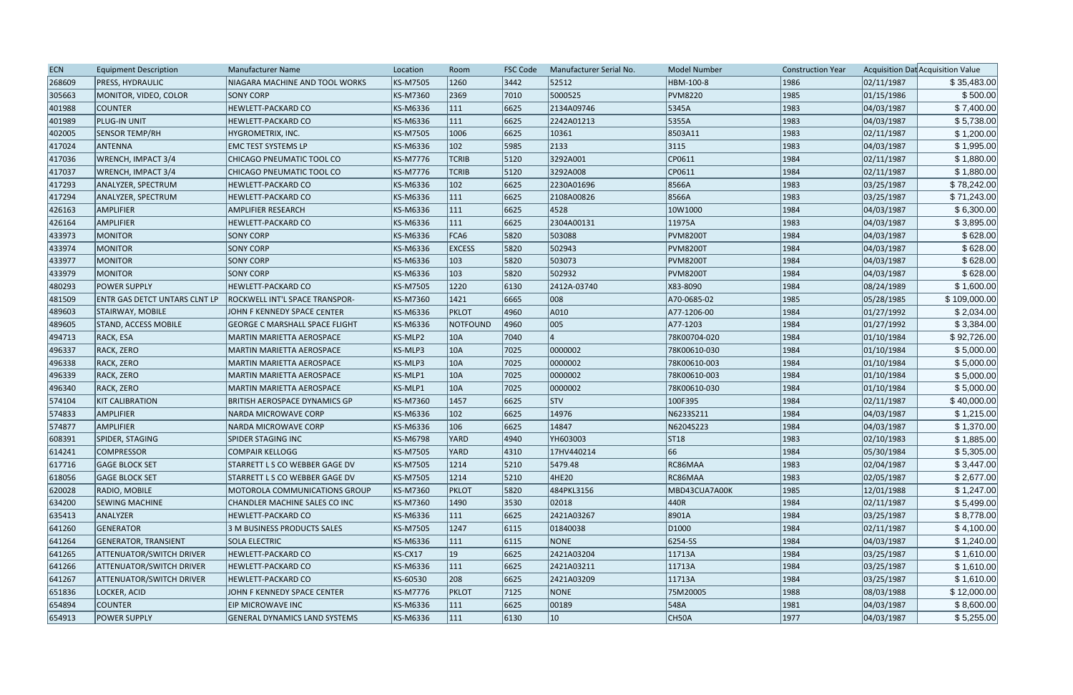| <b>ECN</b> | <b>Equipment Description</b>         | Manufacturer Name                     | Location        | Room          | <b>FSC Code</b> | Manufacturer Serial No. | <b>Model Number</b> | <b>Construction Year</b> |            | Acquisition Dat Acquisition Value |
|------------|--------------------------------------|---------------------------------------|-----------------|---------------|-----------------|-------------------------|---------------------|--------------------------|------------|-----------------------------------|
| 268609     | <b>PRESS, HYDRAULIC</b>              | NIAGARA MACHINE AND TOOL WORKS        | <b>KS-M7505</b> | 1260          | 3442            | 52512                   | HBM-100-8           | 1986                     | 02/11/1987 | \$35,483.00                       |
| 305663     | MONITOR, VIDEO, COLOR                | <b>SONY CORP</b>                      | <b>KS-M7360</b> | 2369          | 7010            | 5000525                 | <b>PVM8220</b>      | 1985                     | 01/15/1986 | \$500.00                          |
| 401988     | <b>COUNTER</b>                       | <b>HEWLETT-PACKARD CO</b>             | <b>KS-M6336</b> | 111           | 6625            | 2134A09746              | 5345A               | 1983                     | 04/03/1987 | \$7,400.00                        |
| 401989     | PLUG-IN UNIT                         | <b>HEWLETT-PACKARD CO</b>             | KS-M6336        | $ 111\rangle$ | 6625            | 2242A01213              | 5355A               | 1983                     | 04/03/1987 | \$5,738.00                        |
| 402005     | <b>SENSOR TEMP/RH</b>                | HYGROMETRIX, INC.                     | <b>KS-M7505</b> | 1006          | 6625            | 10361                   | 8503A11             | 1983                     | 02/11/1987 | \$1,200.00                        |
| 417024     | ANTENNA                              | <b>EMC TEST SYSTEMS LP</b>            | KS-M6336        | $ 102\rangle$ | 5985            | 2133                    | 3115                | 1983                     | 04/03/1987 | \$1,995.00                        |
| 417036     | WRENCH, IMPACT 3/4                   | CHICAGO PNEUMATIC TOOL CO             | KS-M7776        | <b>TCRIB</b>  | 5120            | 3292A001                | CP0611              | 1984                     | 02/11/1987 | \$1,880.00                        |
| 417037     | WRENCH, IMPACT 3/4                   | <b>CHICAGO PNEUMATIC TOOL CO</b>      | <b>KS-M7776</b> | <b>TCRIB</b>  | 5120            | 3292A008                | CP0611              | 1984                     | 02/11/1987 | \$1,880.00                        |
| 417293     | ANALYZER, SPECTRUM                   | HEWLETT-PACKARD CO                    | KS-M6336        | $ 102\rangle$ | 6625            | 2230A01696              | 8566A               | 1983                     | 03/25/1987 | \$78,242.00                       |
| 417294     | ANALYZER, SPECTRUM                   | <b>HEWLETT-PACKARD CO</b>             | KS-M6336        | $ 111\rangle$ | 6625            | 2108A00826              | 8566A               | 1983                     | 03/25/1987 | \$71,243.00                       |
| 426163     | <b>AMPLIFIER</b>                     | <b>AMPLIFIER RESEARCH</b>             | KS-M6336        | 111           | 6625            | 4528                    | 10W1000             | 1984                     | 04/03/1987 | \$6,300.00                        |
| 426164     | <b>AMPLIFIER</b>                     | HEWLETT-PACKARD CO                    | KS-M6336        | $ 111\rangle$ | 6625            | 2304A00131              | 11975A              | 1983                     | 04/03/1987 | \$3,895.00                        |
| 433973     | <b>MONITOR</b>                       | <b>SONY CORP</b>                      | KS-M6336        | FCA6          | 5820            | 503088                  | <b>PVM8200T</b>     | 1984                     | 04/03/1987 | \$628.00                          |
| 433974     | <b>MONITOR</b>                       | <b>SONY CORP</b>                      | <b>KS-M6336</b> | <b>EXCESS</b> | 5820            | 502943                  | <b>PVM8200T</b>     | 1984                     | 04/03/1987 | \$628.00                          |
| 433977     | <b>MONITOR</b>                       | <b>SONY CORP</b>                      | <b>KS-M6336</b> | $ 103\rangle$ | 5820            | 503073                  | <b>PVM8200T</b>     | 1984                     | 04/03/1987 | \$628.00                          |
| 433979     | <b>MONITOR</b>                       | <b>SONY CORP</b>                      | KS-M6336        | $ 103\rangle$ | 5820            | 502932                  | <b>PVM8200T</b>     | 1984                     | 04/03/1987 | \$628.00                          |
| 480293     | <b>POWER SUPPLY</b>                  | <b>HEWLETT-PACKARD CO</b>             | <b>KS-M7505</b> | 1220          | 6130            | 2412A-03740             | X83-8090            | 1984                     | 08/24/1989 | \$1,600.00                        |
| 481509     | <b>ENTR GAS DETCT UNTARS CLNT LP</b> | <b>ROCKWELL INT'L SPACE TRANSPOR-</b> | <b>KS-M7360</b> | 1421          | 6665            | 008                     | A70-0685-02         | 1985                     | 05/28/1985 | \$109,000.00                      |
| 489603     | STAIRWAY, MOBILE                     | JOHN F KENNEDY SPACE CENTER           | <b>KS-M6336</b> | <b>PKLOT</b>  | 4960            | A010                    | A77-1206-00         | 1984                     | 01/27/1992 | \$2,034.00                        |
| 489605     | STAND, ACCESS MOBILE                 | <b>GEORGE C MARSHALL SPACE FLIGHT</b> | <b>KS-M6336</b> | NOTFOUND      | 4960            | 005                     | A77-1203            | 1984                     | 01/27/1992 | \$3,384.00                        |
| 494713     | RACK, ESA                            | MARTIN MARIETTA AEROSPACE             | KS-MLP2         | 10A           | 7040            |                         | 78K00704-020        | 1984                     | 01/10/1984 | \$92,726.00                       |
| 496337     | RACK, ZERO                           | <b>MARTIN MARIETTA AEROSPACE</b>      | KS-MLP3         | 10A           | 7025            | 0000002                 | 78K00610-030        | 1984                     | 01/10/1984 | \$5,000.00                        |
| 496338     | <b>RACK, ZERO</b>                    | MARTIN MARIETTA AEROSPACE             | KS-MLP3         | 10A           | 7025            | 0000002                 | 78K00610-003        | 1984                     | 01/10/1984 | \$5,000.00                        |
| 496339     | RACK, ZERO                           | <b>MARTIN MARIETTA AEROSPACE</b>      | KS-MLP1         | 10A           | 7025            | 0000002                 | 78K00610-003        | 1984                     | 01/10/1984 | \$5,000.00                        |
| 496340     | RACK, ZERO                           | <b>MARTIN MARIETTA AEROSPACE</b>      | KS-MLP1         | 10A           | 7025            | 0000002                 | 78K00610-030        | 1984                     | 01/10/1984 | \$5,000.00                        |
| 574104     | <b>KIT CALIBRATION</b>               | BRITISH AEROSPACE DYNAMICS GP         | <b>KS-M7360</b> | 1457          | 6625            | <b>STV</b>              | 100F395             | 1984                     | 02/11/1987 | \$40,000.00                       |
| 574833     | <b>AMPLIFIER</b>                     | <b>NARDA MICROWAVE CORP</b>           | <b>KS-M6336</b> | $ 102\rangle$ | 6625            | 14976                   | N6233S211           | 1984                     | 04/03/1987 | \$1,215.00                        |
| 574877     | <b>AMPLIFIER</b>                     | <b>NARDA MICROWAVE CORP</b>           | KS-M6336        | 106           | 6625            | 14847                   | N6204S223           | 1984                     | 04/03/1987 | \$1,370.00                        |
| 608391     | SPIDER, STAGING                      | <b>SPIDER STAGING INC</b>             | <b>KS-M6798</b> | YARD          | 4940            | YH603003                | ST18                | 1983                     | 02/10/1983 | \$1,885.00                        |
| 614241     | <b>COMPRESSOR</b>                    | <b>COMPAIR KELLOGG</b>                | <b>KS-M7505</b> | YARD          | 4310            | 17HV440214              | 66                  | 1984                     | 05/30/1984 | \$5,305.00                        |
| 617716     | <b>GAGE BLOCK SET</b>                | STARRETT L S CO WEBBER GAGE DV        | <b>KS-M7505</b> | 1214          | 5210            | 5479.48                 | RC86MAA             | 1983                     | 02/04/1987 | \$3,447.00                        |
| 618056     | <b>GAGE BLOCK SET</b>                | STARRETT L S CO WEBBER GAGE DV        | <b>KS-M7505</b> | 1214          | 5210            | 4HE20                   | RC86MAA             | 1983                     | 02/05/1987 | \$2,677.00                        |
| 620028     | RADIO, MOBILE                        | MOTOROLA COMMUNICATIONS GROUP         | <b>KS-M7360</b> | <b>PKLOT</b>  | 5820            | 484PKL3156              | MBD43CUA7A00K       | 1985                     | 12/01/1988 | \$1,247.00                        |
| 634200     | <b>SEWING MACHINE</b>                | CHANDLER MACHINE SALES CO INC         | <b>KS-M7360</b> | 1490          | 3530            | 02018                   | 440R                | 1984                     | 02/11/1987 | \$5,499.00                        |
| 635413     | ANALYZER                             | <b>HEWLETT-PACKARD CO</b>             | KS-M6336        | $ 111\rangle$ | 6625            | 2421A03267              | 8901A               | 1984                     | 03/25/1987 | \$8,778.00                        |
| 641260     | <b>GENERATOR</b>                     | 3 M BUSINESS PRODUCTS SALES           | <b>KS-M7505</b> | 1247          | 6115            | 01840038                | D <sub>1000</sub>   | 1984                     | 02/11/1987 | \$4,100.00                        |
| 641264     | <b>GENERATOR, TRANSIENT</b>          | <b>SOLA ELECTRIC</b>                  | KS-M6336        | 111           | 6115            | NONE                    | 6254-55             | 1984                     | 04/03/1987 | \$1,240.00                        |
| 641265     | <b>ATTENUATOR/SWITCH DRIVER</b>      | <b>HEWLETT-PACKARD CO</b>             | KS-CX17         | $ 19\rangle$  | 6625            | 2421A03204              | 11713A              | 1984                     | 03/25/1987 | \$1,610.00                        |
| 641266     | <b>ATTENUATOR/SWITCH DRIVER</b>      | <b>HEWLETT-PACKARD CO</b>             | <b>KS-M6336</b> | $ 111\rangle$ | 6625            | 2421A03211              | 11713A              | 1984                     | 03/25/1987 | \$1,610.00                        |
| 641267     | <b>ATTENUATOR/SWITCH DRIVER</b>      | <b>HEWLETT-PACKARD CO</b>             | KS-60530        | 208           | 6625            | 2421A03209              | 11713A              | 1984                     | 03/25/1987 | \$1,610.00                        |
| 651836     | LOCKER, ACID                         | JOHN F KENNEDY SPACE CENTER           | <b>KS-M7776</b> | <b>PKLOT</b>  | 7125            | <b>NONE</b>             | 75M20005            | 1988                     | 08/03/1988 | \$12,000.00                       |
| 654894     | <b>COUNTER</b>                       | EIP MICROWAVE INC                     | KS-M6336        | 111           | 6625            | 00189                   | 548A                | 1981                     | 04/03/1987 | \$8,600.00                        |
| 654913     | <b>POWER SUPPLY</b>                  | <b>GENERAL DYNAMICS LAND SYSTEMS</b>  | KS-M6336        | 111           | 6130            | $ 10\rangle$            | CH50A               | 1977                     | 04/03/1987 | \$5,255.00                        |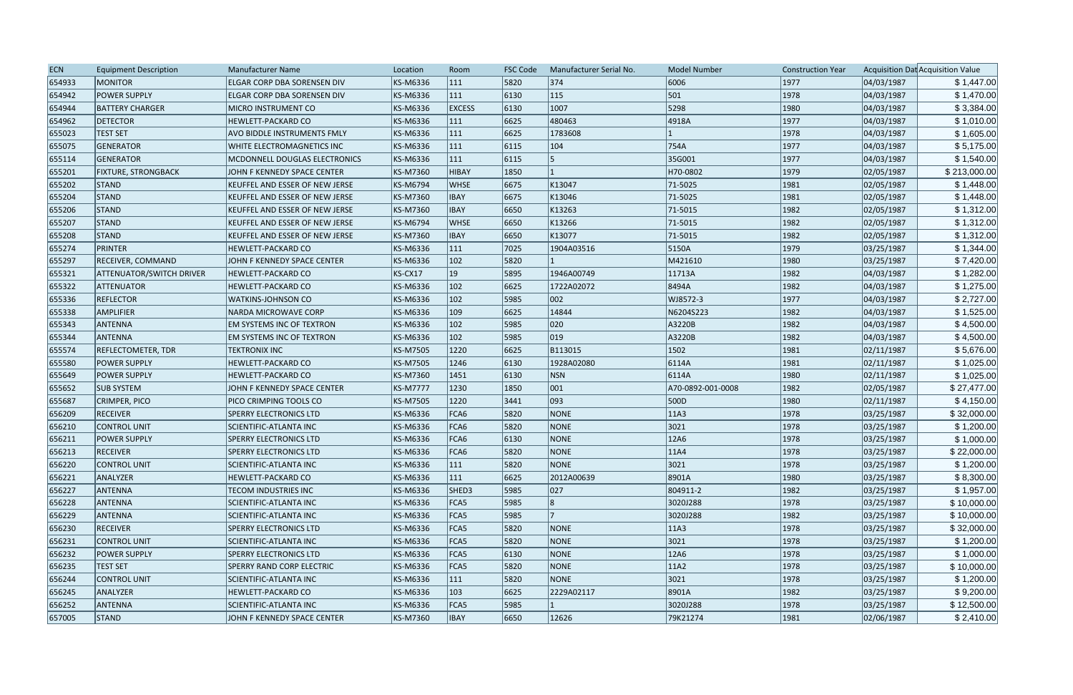| <b>ECN</b> | <b>Equipment Description</b>    | <b>Manufacturer Name</b>              | Location        | Room          | <b>FSC Code</b> | Manufacturer Serial No. | <b>Model Number</b> | <b>Construction Year</b> |            | Acquisition Dat Acquisition Value |
|------------|---------------------------------|---------------------------------------|-----------------|---------------|-----------------|-------------------------|---------------------|--------------------------|------------|-----------------------------------|
| 654933     | <b>MONITOR</b>                  | ELGAR CORP DBA SORENSEN DIV           | KS-M6336        | 111           | 5820            | 374                     | 6006                | 1977                     | 04/03/1987 | \$1,447.00                        |
| 654942     | <b>POWER SUPPLY</b>             | <b>ELGAR CORP DBA SORENSEN DIV</b>    | <b>KS-M6336</b> | 111           | 6130            | $ 115\rangle$           | 501                 | 1978                     | 04/03/1987 | \$1,470.00                        |
| 654944     | <b>BATTERY CHARGER</b>          | <b>MICRO INSTRUMENT CO</b>            | <b>KS-M6336</b> | <b>EXCESS</b> | 6130            | 1007                    | 5298                | 1980                     | 04/03/1987 | \$3,384.00                        |
| 654962     | <b>DETECTOR</b>                 | <b>HEWLETT-PACKARD CO</b>             | KS-M6336        | $ 111\rangle$ | 6625            | 480463                  | 4918A               | 1977                     | 04/03/1987 | \$1,010.00                        |
| 655023     | <b>TEST SET</b>                 | AVO BIDDLE INSTRUMENTS FMLY           | <b>KS-M6336</b> | 111           | 6625            | 1783608                 |                     | 1978                     | 04/03/1987 | \$1,605.00                        |
| 655075     | <b>GENERATOR</b>                | WHITE ELECTROMAGNETICS INC            | <b>KS-M6336</b> | $ 111\rangle$ | 6115            | $ 104\rangle$           | 754A                | 1977                     | 04/03/1987 | \$5,175.00                        |
| 655114     | <b>GENERATOR</b>                | MCDONNELL DOUGLAS ELECTRONICS         | <b>KS-M6336</b> | $ 111\rangle$ | 6115            |                         | 35G001              | 1977                     | 04/03/1987 | \$1,540.00                        |
| 655201     | <b>FIXTURE, STRONGBACK</b>      | JOHN F KENNEDY SPACE CENTER           | KS-M7360        | HIBAY         | 1850            |                         | H70-0802            | 1979                     | 02/05/1987 | \$213,000.00                      |
| 655202     | <b>STAND</b>                    | <b>KEUFFEL AND ESSER OF NEW JERSE</b> | <b>KS-M6794</b> | <b>WHSE</b>   | 6675            | K13047                  | 71-5025             | 1981                     | 02/05/1987 | \$1,448.00                        |
| 655204     | STAND                           | KEUFFEL AND ESSER OF NEW JERSE        | <b>KS-M7360</b> | <b>IBAY</b>   | 6675            | K13046                  | 71-5025             | 1981                     | 02/05/1987 | \$1,448.00                        |
| 655206     | STAND                           | KEUFFEL AND ESSER OF NEW JERSE        | <b>KS-M7360</b> | <b>IBAY</b>   | 6650            | K13263                  | 71-5015             | 1982                     | 02/05/1987 | \$1,312.00                        |
| 655207     | STAND                           | KEUFFEL AND ESSER OF NEW JERSE        | KS-M6794        | <b>WHSE</b>   | 6650            | K13266                  | 71-5015             | 1982                     | 02/05/1987 | \$1,312.00                        |
| 655208     | STAND                           | KEUFFEL AND ESSER OF NEW JERSE        | <b>KS-M7360</b> | <b>IBAY</b>   | 6650            | K13077                  | 71-5015             | 1982                     | 02/05/1987 | \$1,312.00                        |
| 655274     | PRINTER                         | <b>HEWLETT-PACKARD CO</b>             | <b>KS-M6336</b> | $ 111\rangle$ | 7025            | 1904A03516              | 5150A               | 1979                     | 03/25/1987 | \$1,344.00                        |
| 655297     | <b>RECEIVER, COMMAND</b>        | JOHN F KENNEDY SPACE CENTER           | <b>KS-M6336</b> | $ 102\rangle$ | 5820            |                         | M421610             | 1980                     | 03/25/1987 | \$7,420.00                        |
| 655321     | <b>ATTENUATOR/SWITCH DRIVER</b> | <b>HEWLETT-PACKARD CO</b>             | KS-CX17         | $ 19\rangle$  | 5895            | 1946A00749              | 11713A              | 1982                     | 04/03/1987 | \$1,282.00                        |
| 655322     | ATTENUATOR                      | <b>HEWLETT-PACKARD CO</b>             | <b>KS-M6336</b> | $ 102\rangle$ | 6625            | 1722A02072              | 8494A               | 1982                     | 04/03/1987 | \$1,275.00                        |
| 655336     | <b>REFLECTOR</b>                | <b>WATKINS-JOHNSON CO</b>             | KS-M6336        | $ 102\rangle$ | 5985            | 002                     | WJ8572-3            | 1977                     | 04/03/1987 | \$2,727.00                        |
| 655338     | AMPLIFIER                       | NARDA MICROWAVE CORP                  | <b>KS-M6336</b> | $ 109\rangle$ | 6625            | 14844                   | N6204S223           | 1982                     | 04/03/1987 | \$1,525.00                        |
| 655343     | <b>ANTENNA</b>                  | EM SYSTEMS INC OF TEXTRON             | KS-M6336        | $ 102\rangle$ | 5985            | 020                     | A3220B              | 1982                     | 04/03/1987 | \$4,500.00                        |
| 655344     | ANTENNA                         | <b>EM SYSTEMS INC OF TEXTRON</b>      | KS-M6336        | $ 102\rangle$ | 5985            | $ 019\rangle$           | A3220B              | 1982                     | 04/03/1987 | \$4,500.00                        |
| 655574     | REFLECTOMETER, TDR              | <b>TEKTRONIX INC</b>                  | <b>KS-M7505</b> | 1220          | 6625            | B113015                 | $ 1502\rangle$      | 1981                     | 02/11/1987 | \$5,676.00                        |
| 655580     | <b>POWER SUPPLY</b>             | <b>HEWLETT-PACKARD CO</b>             | <b>KS-M7505</b> | 1246          | 6130            | 1928A02080              | 6114A               | 1981                     | 02/11/1987 | \$1,025.00                        |
| 655649     | <b>POWER SUPPLY</b>             | HEWLETT-PACKARD CO                    | <b>KS-M7360</b> | 1451          | 6130            | NSN                     | 6114A               | 1980                     | 02/11/1987 | \$1,025.00                        |
| 655652     | <b>SUB SYSTEM</b>               | JOHN F KENNEDY SPACE CENTER           | <b>KS-M7777</b> | 1230          | 1850            | 001                     | A70-0892-001-0008   | 1982                     | 02/05/1987 | \$27,477.00                       |
| 655687     | CRIMPER, PICO                   | PICO CRIMPING TOOLS CO                | <b>KS-M7505</b> | 1220          | 3441            | 093                     | 500D                | 1980                     | 02/11/1987 | \$4,150.00                        |
| 656209     | <b>RECEIVER</b>                 | <b>SPERRY ELECTRONICS LTD</b>         | <b>KS-M6336</b> | FCA6          | 5820            | <b>NONE</b>             | 11A3                | 1978                     | 03/25/1987 | \$32,000.00                       |
| 656210     | CONTROL UNIT                    | SCIENTIFIC-ATLANTA INC                | KS-M6336        | FCA6          | 5820            | <b>NONE</b>             | 3021                | 1978                     | 03/25/1987 | \$1,200.00                        |
| 656211     | <b>POWER SUPPLY</b>             | <b>SPERRY ELECTRONICS LTD</b>         | <b>KS-M6336</b> | FCA6          | 6130            | NONE                    | 12A6                | 1978                     | 03/25/1987 | \$1,000.00                        |
| 656213     | <b>RECEIVER</b>                 | <b>SPERRY ELECTRONICS LTD</b>         | KS-M6336        | FCA6          | 5820            | <b>NONE</b>             | 11A4                | 1978                     | 03/25/1987 | \$22,000.00                       |
| 656220     | CONTROL UNIT                    | SCIENTIFIC-ATLANTA INC                | KS-M6336        | 111           | 5820            | NONE                    | 3021                | 1978                     | 03/25/1987 | \$1,200.00                        |
| 656221     | ANALYZER                        | <b>HEWLETT-PACKARD CO</b>             | KS-M6336        | $ 111\rangle$ | 6625            | 2012A00639              | 8901A               | 1980                     | 03/25/1987 | \$8,300.00                        |
| 656227     | ANTENNA                         | <b>TECOM INDUSTRIES INC</b>           | KS-M6336        | SHED3         | 5985            | 027                     | 804911-2            | 1982                     | 03/25/1987 | \$1,957.00                        |
| 656228     | <b>ANTENNA</b>                  | SCIENTIFIC-ATLANTA INC                | KS-M6336        | FCA5          | 5985            | 8                       | 3020J288            | 1978                     | 03/25/1987 | \$10,000.00                       |
| 656229     | <b>ANTENNA</b>                  | SCIENTIFIC-ATLANTA INC                | KS-M6336        | FCA5          | 5985            |                         | 3020J288            | 1982                     | 03/25/1987 | \$10,000.00                       |
| 656230     | <b>RECEIVER</b>                 | <b>SPERRY ELECTRONICS LTD</b>         | KS-M6336        | FCA5          | 5820            | <b>NONE</b>             | 11A3                | 1978                     | 03/25/1987 | \$32,000.00                       |
| 656231     | CONTROL UNIT                    | SCIENTIFIC-ATLANTA INC                | <b>KS-M6336</b> | FCA5          | 5820            | <b>NONE</b>             | 3021                | 1978                     | 03/25/1987 | \$1,200.00                        |
| 656232     | <b>POWER SUPPLY</b>             | <b>SPERRY ELECTRONICS LTD</b>         | KS-M6336        | FCA5          | 6130            | NONE                    | 12A6                | 1978                     | 03/25/1987 | \$1,000.00                        |
| 656235     | <b>TEST SET</b>                 | <b>SPERRY RAND CORP ELECTRIC</b>      | KS-M6336        | FCA5          | 5820            | <b>NONE</b>             | 11A2                | 1978                     | 03/25/1987 | \$10,000.00                       |
| 656244     | CONTROL UNIT                    | SCIENTIFIC-ATLANTA INC                | KS-M6336        | 111           | 5820            | NONE                    | 3021                | 1978                     | 03/25/1987 | \$1,200.00                        |
| 656245     | ANALYZER                        | <b>HEWLETT-PACKARD CO</b>             | KS-M6336        | $ 103\rangle$ | 6625            | 2229A02117              | 8901A               | 1982                     | 03/25/1987 | \$9,200.00                        |
| 656252     | <b>ANTENNA</b>                  | <b>SCIENTIFIC-ATLANTA INC</b>         | KS-M6336        | FCA5          | 5985            |                         | 3020J288            | 1978                     | 03/25/1987 | \$12,500.00                       |
| 657005     | STAND                           | JOHN F KENNEDY SPACE CENTER           | KS-M7360        | <b>IBAY</b>   | 6650            | 12626                   | 79K21274            | 1981                     | 02/06/1987 | \$2,410.00                        |
|            |                                 |                                       |                 |               |                 |                         |                     |                          |            |                                   |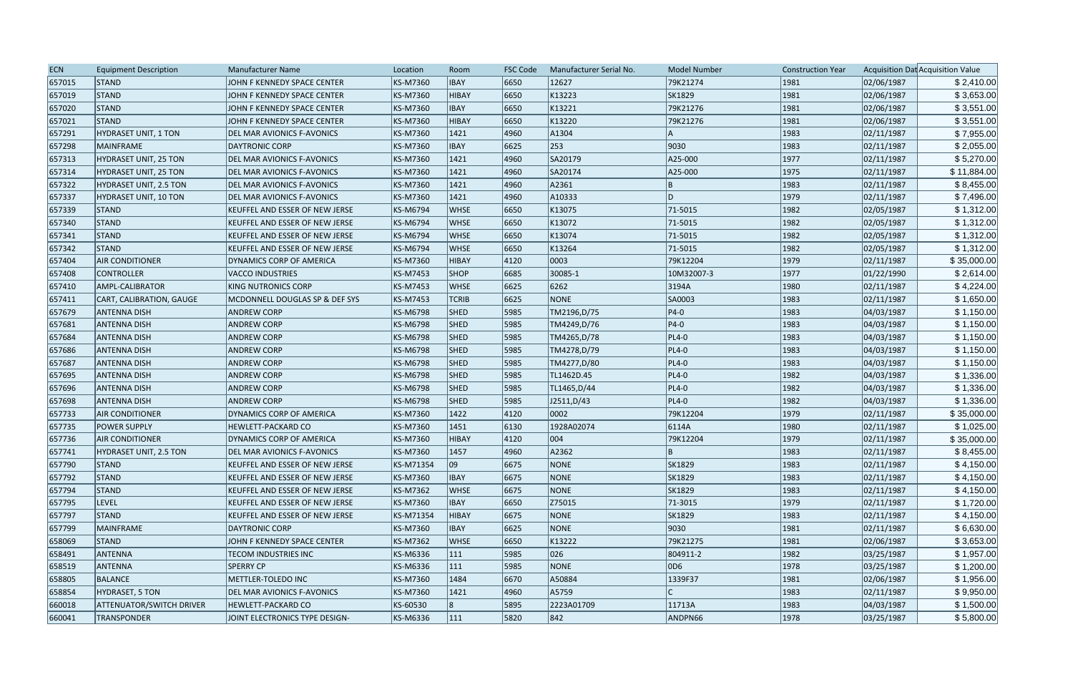| <b>ECN</b> | <b>Equipment Description</b>    | <b>Manufacturer Name</b>          | Location        | Room          | <b>FSC Code</b> | Manufacturer Serial No. | <b>Model Number</b> | <b>Construction Year</b> |            | Acquisition Dat Acquisition Value |
|------------|---------------------------------|-----------------------------------|-----------------|---------------|-----------------|-------------------------|---------------------|--------------------------|------------|-----------------------------------|
| 657015     | <b>STAND</b>                    | JOHN F KENNEDY SPACE CENTER       | KS-M7360        | <b>IBAY</b>   | 6650            | 12627                   | 79K21274            | 1981                     | 02/06/1987 | \$2,410.00                        |
| 657019     | STAND                           | JOHN F KENNEDY SPACE CENTER       | KS-M7360        | HIBAY         | 6650            | K13223                  | SK1829              | 1981                     | 02/06/1987 | \$3,653.00                        |
| 657020     | <b>STAND</b>                    | JOHN F KENNEDY SPACE CENTER       | KS-M7360        | <b>IBAY</b>   | 6650            | K13221                  | 79K21276            | 1981                     | 02/06/1987 | \$3,551.00                        |
| 657021     | <b>STAND</b>                    | JOHN F KENNEDY SPACE CENTER       | KS-M7360        | HIBAY         | 6650            | K13220                  | 79K21276            | 1981                     | 02/06/1987 | \$3,551.00                        |
| 657291     | HYDRASET UNIT, 1 TON            | DEL MAR AVIONICS F-AVONICS        | KS-M7360        | 1421          | 4960            | A1304                   |                     | 1983                     | 02/11/1987 | \$7,955.00                        |
| 657298     | <b>MAINFRAME</b>                | <b>DAYTRONIC CORP</b>             | KS-M7360        | <b>IBAY</b>   | 6625            | 253                     | 9030                | 1983                     | 02/11/1987 | \$2,055.00                        |
| 657313     | HYDRASET UNIT, 25 TON           | DEL MAR AVIONICS F-AVONICS        | KS-M7360        | 1421          | 4960            | SA20179                 | A25-000             | 1977                     | 02/11/1987 | \$5,270.00                        |
| 657314     | HYDRASET UNIT, 25 TON           | DEL MAR AVIONICS F-AVONICS        | KS-M7360        | 1421          | 4960            | SA20174                 | A25-000             | 1975                     | 02/11/1987 | \$11,884.00                       |
| 657322     | HYDRASET UNIT, 2.5 TON          | DEL MAR AVIONICS F-AVONICS        | KS-M7360        | 1421          | 4960            | A2361                   | ΙB                  | 1983                     | 02/11/1987 | \$8,455.00                        |
| 657337     | HYDRASET UNIT, 10 TON           | DEL MAR AVIONICS F-AVONICS        | KS-M7360        | 1421          | 4960            | A10333                  | ID                  | 1979                     | 02/11/1987 | \$7,496.00                        |
| 657339     | <b>STAND</b>                    | KEUFFEL AND ESSER OF NEW JERSE    | KS-M6794        | <b>WHSE</b>   | 6650            | K13075                  | 71-5015             | 1982                     | 02/05/1987 | \$1,312.00                        |
| 657340     | STAND                           | KEUFFEL AND ESSER OF NEW JERSE    | KS-M6794        | <b>WHSE</b>   | 6650            | K13072                  | 71-5015             | 1982                     | 02/05/1987 | \$1,312.00                        |
| 657341     | <b>STAND</b>                    | KEUFFEL AND ESSER OF NEW JERSE    | KS-M6794        | <b>WHSE</b>   | 6650            | K13074                  | 71-5015             | 1982                     | 02/05/1987 | \$1,312.00                        |
| 657342     | <b>STAND</b>                    | KEUFFEL AND ESSER OF NEW JERSE    | KS-M6794        | <b>WHSE</b>   | 6650            | K13264                  | 71-5015             | 1982                     | 02/05/1987 | \$1,312.00                        |
| 657404     | <b>AIR CONDITIONER</b>          | DYNAMICS CORP OF AMERICA          | KS-M7360        | HIBAY         | 4120            | 0003                    | 79K12204            | 1979                     | 02/11/1987 | \$35,000.00                       |
| 657408     | <b>CONTROLLER</b>               | <b>VACCO INDUSTRIES</b>           | KS-M7453        | <b>SHOP</b>   | 6685            | 30085-1                 | 10M32007-3          | 1977                     | 01/22/1990 | \$2,614.00                        |
| 657410     | AMPL-CALIBRATOR                 | <b>KING NUTRONICS CORP</b>        | KS-M7453        | <b>WHSE</b>   | 6625            | 6262                    | 3194A               | 1980                     | 02/11/1987 | \$4,224.00                        |
| 657411     | CART, CALIBRATION, GAUGE        | MCDONNELL DOUGLAS SP & DEF SYS    | KS-M7453        | <b>TCRIB</b>  | 6625            | <b>NONE</b>             | SA0003              | 1983                     | 02/11/1987 | \$1,650.00                        |
| 657679     | <b>ANTENNA DISH</b>             | <b>ANDREW CORP</b>                | <b>KS-M6798</b> | <b>SHED</b>   | 5985            | TM2196, D/75            | $ P4-0 $            | 1983                     | 04/03/1987 | \$1,150.00                        |
| 657681     | <b>ANTENNA DISH</b>             | <b>ANDREW CORP</b>                | KS-M6798        | <b>SHED</b>   | 5985            | TM4249,D/76             | $ P4-0 $            | 1983                     | 04/03/1987 | \$1,150.00                        |
| 657684     | <b>ANTENNA DISH</b>             | <b>ANDREW CORP</b>                | KS-M6798        | <b>SHED</b>   | 5985            | TM4265,D/78             | $PL4-0$             | 1983                     | 04/03/1987 | \$1,150.00                        |
| 657686     | <b>ANTENNA DISH</b>             | <b>ANDREW CORP</b>                | <b>KS-M6798</b> | <b>SHED</b>   | 5985            | TM4278,D/79             | $PL4-0$             | 1983                     | 04/03/1987 | \$1,150.00                        |
| 657687     | <b>ANTENNA DISH</b>             | <b>ANDREW CORP</b>                | <b>KS-M6798</b> | <b>SHED</b>   | 5985            | TM4277,D/80             | $PL4-0$             | 1983                     | 04/03/1987 | \$1,150.00                        |
| 657695     | <b>ANTENNA DISH</b>             | <b>ANDREW CORP</b>                | <b>KS-M6798</b> | <b>SHED</b>   | 5985            | TL1462D.45              | $PL4-0$             | 1982                     | 04/03/1987 | \$1,336.00                        |
| 657696     | <b>ANTENNA DISH</b>             | <b>ANDREW CORP</b>                | KS-M6798        | <b>SHED</b>   | 5985            | TL1465,D/44             | $PL4-0$             | 1982                     | 04/03/1987 | \$1,336.00                        |
| 657698     | <b>ANTENNA DISH</b>             | <b>ANDREW CORP</b>                | KS-M6798        | <b>SHED</b>   | 5985            | J2511, D/43             | $PL4-0$             | 1982                     | 04/03/1987 | \$1,336.00                        |
| 657733     | <b>AIR CONDITIONER</b>          | DYNAMICS CORP OF AMERICA          | KS-M7360        | 1422          | 4120            | 0002                    | 79K12204            | 1979                     | 02/11/1987 | \$35,000.00                       |
| 657735     | <b>POWER SUPPLY</b>             | <b>HEWLETT-PACKARD CO</b>         | KS-M7360        | 1451          | 6130            | 1928A02074              | 6114A               | 1980                     | 02/11/1987 | \$1,025.00                        |
| 657736     | <b>AIR CONDITIONER</b>          | DYNAMICS CORP OF AMERICA          | KS-M7360        | HIBAY         | 4120            | 004                     | 79K12204            | 1979                     | 02/11/1987 | \$35,000.00                       |
| 657741     | HYDRASET UNIT, 2.5 TON          | <b>DEL MAR AVIONICS F-AVONICS</b> | KS-M7360        | 1457          | 4960            | A2362                   | ΙB                  | 1983                     | 02/11/1987 | \$8,455.00                        |
| 657790     | STAND                           | KEUFFEL AND ESSER OF NEW JERSE    | KS-M71354       | 09            | 6675            | <b>NONE</b>             | SK1829              | 1983                     | 02/11/1987 | \$4,150.00                        |
| 657792     | <b>STAND</b>                    | KEUFFEL AND ESSER OF NEW JERSE    | KS-M7360        | <b>IBAY</b>   | 6675            | <b>NONE</b>             | SK1829              | 1983                     | 02/11/1987 | \$4,150.00                        |
| 657794     | <b>STAND</b>                    | KEUFFEL AND ESSER OF NEW JERSE    | KS-M7362        | <b>WHSE</b>   | 6675            | <b>NONE</b>             | SK1829              | 1983                     | 02/11/1987 | \$4,150.00                        |
| 657795     | <b>LEVEL</b>                    | KEUFFEL AND ESSER OF NEW JERSE    | KS-M7360        | <b>IBAY</b>   | 6650            | Z75015                  | 71-3015             | 1979                     | 02/11/1987 | \$1,720.00                        |
| 657797     | <b>STAND</b>                    | KEUFFEL AND ESSER OF NEW JERSE    | KS-M71354       | HIBAY         | 6675            | <b>NONE</b>             | SK1829              | 1983                     | 02/11/1987 | \$4,150.00                        |
| 657799     | MAINFRAME                       | <b>DAYTRONIC CORP</b>             | KS-M7360        | <b>IBAY</b>   | 6625            | <b>NONE</b>             | 9030                | 1981                     | 02/11/1987 | \$6,630.00                        |
| 658069     | <b>STAND</b>                    | JOHN F KENNEDY SPACE CENTER       | KS-M7362        | <b>WHSE</b>   | 6650            | K13222                  | 79K21275            | 1981                     | 02/06/1987 | \$3,653.00                        |
| 658491     | ANTENNA                         | TECOM INDUSTRIES INC              | KS-M6336        | $ 111\rangle$ | 5985            | 026                     | 804911-2            | 1982                     | 03/25/1987 | \$1,957.00                        |
| 658519     | <b>ANTENNA</b>                  | <b>SPERRY CP</b>                  | KS-M6336        | $ 111\rangle$ | 5985            | <b>NONE</b>             | <b>OD6</b>          | 1978                     | 03/25/1987 | \$1,200.00                        |
| 658805     | BALANCE                         | METTLER-TOLEDO INC                | KS-M7360        | 1484          | 6670            | A50884                  | 1339F37             | 1981                     | 02/06/1987 | \$1,956.00                        |
| 658854     | HYDRASET, 5 TON                 | DEL MAR AVIONICS F-AVONICS        | KS-M7360        | 1421          | 4960            | A5759                   |                     | 1983                     | 02/11/1987 | \$9,950.00                        |
| 660018     | <b>ATTENUATOR/SWITCH DRIVER</b> | HEWLETT-PACKARD CO                | KS-60530        |               | 5895            | 2223A01709              | 11713A              | 1983                     | 04/03/1987 | \$1,500.00                        |
| 660041     | <b>TRANSPONDER</b>              | JOINT ELECTRONICS TYPE DESIGN-    | KS-M6336        | $ 111\rangle$ | 5820            | 842                     | ANDPN66             | 1978                     | 03/25/1987 | \$5,800.00                        |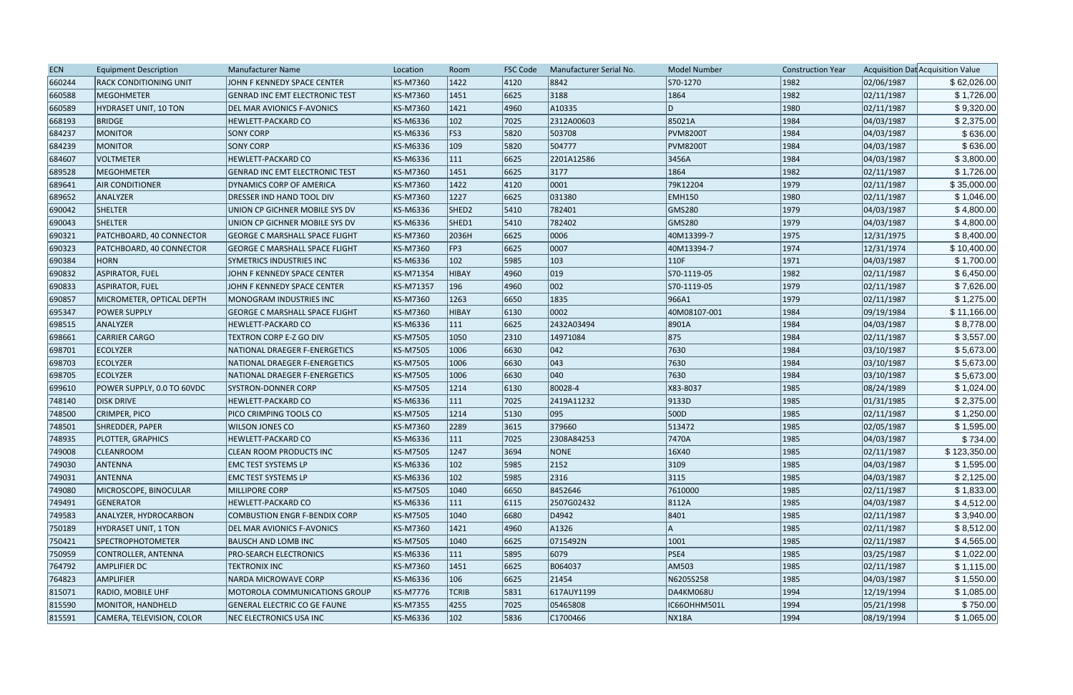| <b>ECN</b> | <b>Equipment Description</b>  | <b>Manufacturer Name</b>              | Location        | Room              | <b>FSC Code</b> | Manufacturer Serial No. | <b>Model Number</b> | <b>Construction Year</b> |            | Acquisition Dat Acquisition Value |
|------------|-------------------------------|---------------------------------------|-----------------|-------------------|-----------------|-------------------------|---------------------|--------------------------|------------|-----------------------------------|
| 660244     | <b>RACK CONDITIONING UNIT</b> | JOHN F KENNEDY SPACE CENTER           | KS-M7360        | 1422              | 4120            | 8842                    | S70-1270            | 1982                     | 02/06/1987 | \$62,026.00                       |
| 660588     | <b>MEGOHMETER</b>             | <b>GENRAD INC EMT ELECTRONIC TEST</b> | <b>KS-M7360</b> | 1451              | 6625            | 3188                    | 1864                | 1982                     | 02/11/1987 | \$1,726.00                        |
| 660589     | <b>HYDRASET UNIT, 10 TON</b>  | DEL MAR AVIONICS F-AVONICS            | <b>KS-M7360</b> | 1421              | 4960            | A10335                  | ID.                 | 1980                     | 02/11/1987 | \$9,320.00                        |
| 668193     | <b>BRIDGE</b>                 | <b>HEWLETT-PACKARD CO</b>             | KS-M6336        | $ 102\rangle$     | 7025            | 2312A00603              | 85021A              | 1984                     | 04/03/1987 | \$2,375.00                        |
| 684237     | MONITOR                       | <b>SONY CORP</b>                      | <b>KS-M6336</b> | FS3               | 5820            | 503708                  | <b>PVM8200T</b>     | 1984                     | 04/03/1987 | \$636.00                          |
| 684239     | <b>MONITOR</b>                | <b>SONY CORP</b>                      | KS-M6336        | $ 109\rangle$     | 5820            | 504777                  | <b>PVM8200T</b>     | 1984                     | 04/03/1987 | \$636.00                          |
| 684607     | <b>VOLTMETER</b>              | HEWLETT-PACKARD CO                    | <b>KS-M6336</b> | $ 111\rangle$     | 6625            | 2201A12586              | 3456A               | 1984                     | 04/03/1987 | \$3,800.00                        |
| 689528     | MEGOHMETER                    | <b>GENRAD INC EMT ELECTRONIC TEST</b> | KS-M7360        | 1451              | 6625            | 3177                    | 1864                | 1982                     | 02/11/1987 | \$1,726.00                        |
| 689641     | <b>AIR CONDITIONER</b>        | DYNAMICS CORP OF AMERICA              | <b>KS-M7360</b> | 1422              | 4120            | 0001                    | 79K12204            | 1979                     | 02/11/1987 | \$35,000.00                       |
| 689652     | ANALYZER                      | DRESSER IND HAND TOOL DIV             | <b>KS-M7360</b> | 1227              | 6625            | 031380                  | <b>EMH150</b>       | 1980                     | 02/11/1987 | \$1,046.00                        |
| 690042     | <b>SHELTER</b>                | UNION CP GICHNER MOBILE SYS DV        | KS-M6336        | SHED <sub>2</sub> | 5410            | 782401                  | GMS280              | 1979                     | 04/03/1987 | \$4,800.00                        |
| 690043     | <b>SHELTER</b>                | UNION CP GICHNER MOBILE SYS DV        | <b>KS-M6336</b> | SHED1             | 5410            | 782402                  | GMS280              | 1979                     | 04/03/1987 | \$4,800.00                        |
| 690321     | PATCHBOARD, 40 CONNECTOR      | <b>GEORGE C MARSHALL SPACE FLIGHT</b> | <b>KS-M7360</b> | 2036H             | 6625            | 0006                    | 40M13399-7          | 1975                     | 12/31/1975 | \$8,400.00                        |
| 690323     | PATCHBOARD, 40 CONNECTOR      | <b>GEORGE C MARSHALL SPACE FLIGHT</b> | <b>KS-M7360</b> | FP3               | 6625            | 0007                    | 40M13394-7          | 1974                     | 12/31/1974 | \$10,400.00                       |
| 690384     | <b>HORN</b>                   | <b>SYMETRICS INDUSTRIES INC</b>       | <b>KS-M6336</b> | 102               | 5985            | $ 103\rangle$           | 110F                | 1971                     | 04/03/1987 | \$1,700.00                        |
| 690832     | ASPIRATOR, FUEL               | JOHN F KENNEDY SPACE CENTER           | KS-M71354       | HIBAY             | 4960            | $ 019\rangle$           | S70-1119-05         | 1982                     | 02/11/1987 | \$6,450.00                        |
| 690833     | <b>ASPIRATOR, FUEL</b>        | JOHN F KENNEDY SPACE CENTER           | KS-M71357       | 196               | 4960            | 002                     | S70-1119-05         | 1979                     | 02/11/1987 | \$7,626.00                        |
| 690857     | MICROMETER, OPTICAL DEPTH     | MONOGRAM INDUSTRIES INC               | <b>KS-M7360</b> | 1263              | 6650            | 1835                    | 966A1               | 1979                     | 02/11/1987 | \$1,275.00                        |
| 695347     | <b>POWER SUPPLY</b>           | <b>GEORGE C MARSHALL SPACE FLIGHT</b> | <b>KS-M7360</b> | HIBAY             | 6130            | 0002                    | 40M08107-001        | 1984                     | 09/19/1984 | \$11,166.00                       |
| 698515     | ANALYZER                      | <b>HEWLETT-PACKARD CO</b>             | <b>KS-M6336</b> | $ 111\rangle$     | 6625            | 2432A03494              | 8901A               | 1984                     | 04/03/1987 | \$8,778.00                        |
| 698661     | <b>CARRIER CARGO</b>          | <b>TEXTRON CORP E-Z GO DIV</b>        | <b>KS-M7505</b> | 1050              | 2310            | 14971084                | 875                 | 1984                     | 02/11/1987 | \$3,557.00                        |
| 698701     | <b>ECOLYZER</b>               | NATIONAL DRAEGER F-ENERGETICS         | <b>KS-M7505</b> | 1006              | 6630            | 042                     | 7630                | 1984                     | 03/10/1987 | \$5,673.00                        |
| 698703     | <b>ECOLYZER</b>               | NATIONAL DRAEGER F-ENERGETICS         | <b>KS-M7505</b> | 1006              | 6630            | 043                     | 7630                | 1984                     | 03/10/1987 | \$5,673.00                        |
| 698705     | <b>ECOLYZER</b>               | NATIONAL DRAEGER F-ENERGETICS         | <b>KS-M7505</b> | 1006              | 6630            | 040                     | 7630                | 1984                     | 03/10/1987 | \$5,673.00                        |
| 699610     | POWER SUPPLY, 0.0 TO 60VDC    | <b>SYSTRON-DONNER CORP</b>            | <b>KS-M7505</b> | 1214              | 6130            | 80028-4                 | X83-8037            | 1985                     | 08/24/1989 | \$1,024.00                        |
| 748140     | <b>DISK DRIVE</b>             | <b>HEWLETT-PACKARD CO</b>             | KS-M6336        | 111               | 7025            | 2419A11232              | 9133D               | 1985                     | 01/31/1985 | \$2,375.00                        |
| 748500     | CRIMPER, PICO                 | PICO CRIMPING TOOLS CO                | <b>KS-M7505</b> | 1214              | 5130            | 095                     | 500D                | 1985                     | 02/11/1987 | \$1,250.00                        |
| 748501     | SHREDDER, PAPER               | <b>WILSON JONES CO</b>                | <b>KS-M7360</b> | 2289              | 3615            | 379660                  | 513472              | 1985                     | 02/05/1987 | \$1,595.00                        |
| 748935     | PLOTTER, GRAPHICS             | <b>HEWLETT-PACKARD CO</b>             | KS-M6336        | 111               | 7025            | 2308A84253              | 7470A               | 1985                     | 04/03/1987 | \$734.00                          |
| 749008     | <b>CLEANROOM</b>              | <b>CLEAN ROOM PRODUCTS INC</b>        | <b>KS-M7505</b> | 1247              | 3694            | <b>NONE</b>             | 16X40               | 1985                     | 02/11/1987 | \$123,350.00                      |
| 749030     | ANTENNA                       | <b>EMC TEST SYSTEMS LP</b>            | KS-M6336        | $ 102\rangle$     | 5985            | 2152                    | 3109                | 1985                     | 04/03/1987 | \$1,595.00                        |
| 749031     | ANTENNA                       | <b>EMC TEST SYSTEMS LP</b>            | <b>KS-M6336</b> | $ 102\rangle$     | 5985            | 2316                    | 3115                | 1985                     | 04/03/1987 | \$2,125.00                        |
| 749080     | MICROSCOPE, BINOCULAR         | <b>MILLIPORE CORP</b>                 | <b>KS-M7505</b> | 1040              | 6650            | 8452646                 | 7610000             | 1985                     | 02/11/1987 | \$1,833.00                        |
| 749491     | GENERATOR                     | <b>HEWLETT-PACKARD CO</b>             | KS-M6336        | 111               | 6115            | 2507G02432              | 8112A               | 1985                     | 04/03/1987 | \$4,512.00                        |
| 749583     | ANALYZER, HYDROCARBON         | COMBUSTION ENGR F-BENDIX CORP         | <b>KS-M7505</b> | 1040              | 6680            | D4942                   | 8401                | 1985                     | 02/11/1987 | \$3,940.00                        |
| 750189     | HYDRASET UNIT, 1 TON          | <b>DEL MAR AVIONICS F-AVONICS</b>     | <b>KS-M7360</b> | 1421              | 4960            | A1326                   | IA.                 | 1985                     | 02/11/1987 | \$8,512.00                        |
| 750421     | <b>SPECTROPHOTOMETER</b>      | <b>BAUSCH AND LOMB INC</b>            | <b>KS-M7505</b> | 1040              | 6625            | 0715492N                | 1001                | 1985                     | 02/11/1987 | \$4,565.00                        |
| 750959     | CONTROLLER, ANTENNA           | <b>PRO-SEARCH ELECTRONICS</b>         | <b>KS-M6336</b> | $ 111\rangle$     | 5895            | 6079                    | PSE4                | 1985                     | 03/25/1987 | \$1,022.00                        |
| 764792     | <b>AMPLIFIER DC</b>           | <b>TEKTRONIX INC</b>                  | KS-M7360        | 1451              | 6625            | B064037                 | AM503               | 1985                     | 02/11/1987 | \$1,115.00                        |
| 764823     | <b>AMPLIFIER</b>              | <b>NARDA MICROWAVE CORP</b>           | KS-M6336        | 106               | 6625            | 21454                   | N6205S258           | 1985                     | 04/03/1987 | \$1,550.00                        |
| 815071     | <b>RADIO, MOBILE UHF</b>      | MOTOROLA COMMUNICATIONS GROUP         | KS-M7776        | <b>TCRIB</b>      | 5831            | 617AUY1199              | DA4KM068U           | 1994                     | 12/19/1994 | \$1,085.00                        |
|            |                               |                                       |                 |                   | 7025            | 05465808                | IC66OHHM501L        | 1994                     |            | \$750.00                          |
| 815590     | MONITOR, HANDHELD             | GENERAL ELECTRIC CO GE FAUNE          | KS-M7355        | 4255              |                 |                         |                     |                          | 05/21/1998 |                                   |
| 815591     | CAMERA, TELEVISION, COLOR     | NEC ELECTRONICS USA INC               | KS-M6336        | $ 102\rangle$     | 5836            | C1700466                | <b>NX18A</b>        | 1994                     | 08/19/1994 | \$1,065.00                        |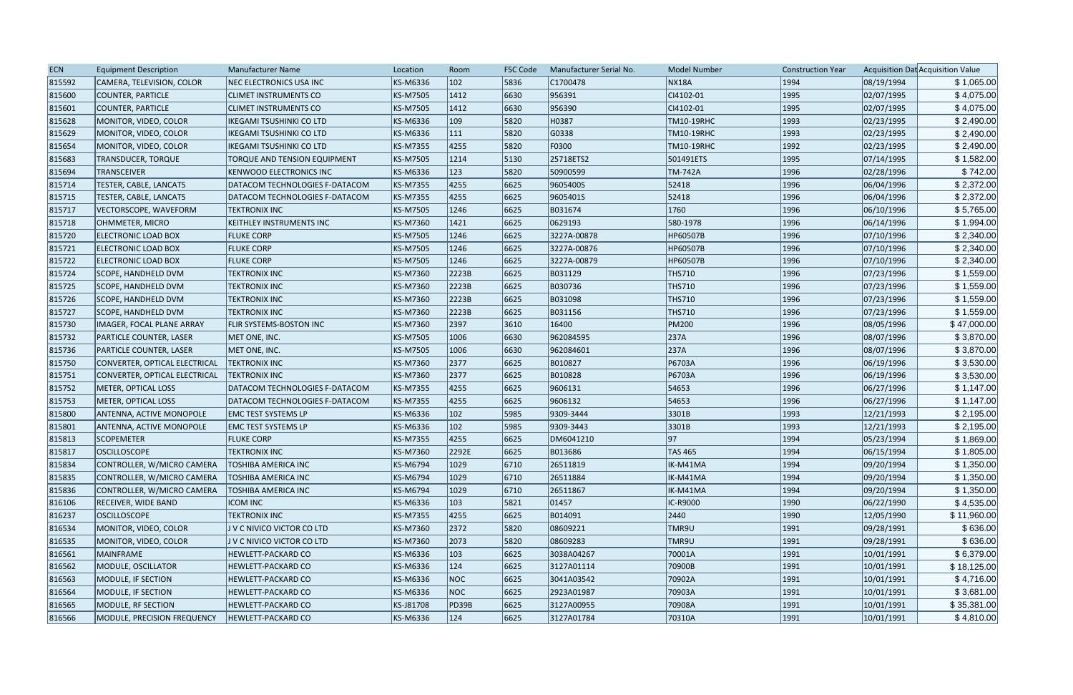| <b>ECN</b> | <b>Equipment Description</b>    | <b>Manufacturer Name</b>        | Location        | Room          | <b>FSC Code</b> | Manufacturer Serial No. | <b>Model Number</b> | <b>Construction Year</b> |            | Acquisition Dat Acquisition Value |
|------------|---------------------------------|---------------------------------|-----------------|---------------|-----------------|-------------------------|---------------------|--------------------------|------------|-----------------------------------|
| 815592     | CAMERA, TELEVISION, COLOR       | NEC ELECTRONICS USA INC         | KS-M6336        | $ 102\rangle$ | 5836            | C1700478                | <b>NX18A</b>        | 1994                     | 08/19/1994 | \$1,065.00                        |
| 815600     | COUNTER, PARTICLE               | <b>CLIMET INSTRUMENTS CO</b>    | KS-M7505        | 1412          | 6630            | 956391                  | CI4102-01           | 1995                     | 02/07/1995 | \$4,075.00                        |
| 815601     | COUNTER, PARTICLE               | <b>CLIMET INSTRUMENTS CO</b>    | <b>KS-M7505</b> | 1412          | 6630            | 956390                  | CI4102-01           | 1995                     | 02/07/1995 | \$4,075.00                        |
| 815628     | MONITOR, VIDEO, COLOR           | <b>IKEGAMI TSUSHINKI CO LTD</b> | KS-M6336        | $ 109\rangle$ | 5820            | H0387                   | TM10-19RHC          | 1993                     | 02/23/1995 | \$2,490.00                        |
| 815629     | MONITOR, VIDEO, COLOR           | <b>IKEGAMI TSUSHINKI CO LTD</b> | KS-M6336        | 111           | 5820            | G0338                   | TM10-19RHC          | 1993                     | 02/23/1995 | \$2,490.00                        |
| 815654     | MONITOR, VIDEO, COLOR           | <b>IKEGAMI TSUSHINKI CO LTD</b> | KS-M7355        | 4255          | 5820            | F0300                   | TM10-19RHC          | 1992                     | 02/23/1995 | \$2,490.00                        |
| 815683     | <b>TRANSDUCER, TORQUE</b>       | TORQUE AND TENSION EQUIPMENT    | KS-M7505        | 1214          | 5130            | 25718ETS2               | 501491ETS           | 1995                     | 07/14/1995 | \$1,582.00                        |
| 815694     | <b>TRANSCEIVER</b>              | KENWOOD ELECTRONICS INC         | KS-M6336        | 123           | 5820            | 50900599                | <b>TM-742A</b>      | 1996                     | 02/28/1996 | \$742.00                          |
| 815714     | TESTER, CABLE, LANCAT5          | DATACOM TECHNOLOGIES F-DATACOM  | KS-M7355        | 4255          | 6625            | 9605400S                | 52418               | 1996                     | 06/04/1996 | \$2,372.00                        |
| 815715     | TESTER, CABLE, LANCAT5          | DATACOM TECHNOLOGIES F-DATACOM  | KS-M7355        | 4255          | 6625            | 9605401S                | 52418               | 1996                     | 06/04/1996 | \$2,372.00                        |
| 815717     | VECTORSCOPE, WAVEFORM           | <b>TEKTRONIX INC</b>            | KS-M7505        | 1246          | 6625            | B031674                 | 1760                | 1996                     | 06/10/1996 | \$5,765.00                        |
| 815718     | OHMMETER, MICRO                 | KEITHLEY INSTRUMENTS INC        | KS-M7360        | 1421          | 6625            | 0629193                 | 580-1978            | 1996                     | 06/14/1996 | \$1,994.00                        |
| 815720     | <b>ELECTRONIC LOAD BOX</b>      | <b>FLUKE CORP</b>               | KS-M7505        | 1246          | 6625            | 3227A-00878             | <b>HP60507B</b>     | 1996                     | 07/10/1996 | \$2,340.00                        |
| 815721     | <b>ELECTRONIC LOAD BOX</b>      | <b>FLUKE CORP</b>               | KS-M7505        | 1246          | 6625            | 3227A-00876             | <b>HP60507B</b>     | 1996                     | 07/10/1996 | \$2,340.00                        |
| 815722     | <b>ELECTRONIC LOAD BOX</b>      | <b>FLUKE CORP</b>               | KS-M7505        | 1246          | 6625            | 3227A-00879             | <b>HP60507B</b>     | 1996                     | 07/10/1996 | \$2,340.00                        |
| 815724     | SCOPE, HANDHELD DVM             | <b>TEKTRONIX INC</b>            | KS-M7360        | 2223B         | 6625            | B031129                 | <b>THS710</b>       | 1996                     | 07/23/1996 | \$1,559.00                        |
| 815725     | SCOPE, HANDHELD DVM             | <b>TEKTRONIX INC</b>            | KS-M7360        | 2223B         | 6625            | B030736                 | <b>THS710</b>       | 1996                     | 07/23/1996 | \$1,559.00                        |
| 815726     | <b>SCOPE, HANDHELD DVM</b>      | <b>TEKTRONIX INC</b>            | KS-M7360        | 2223B         | 6625            | B031098                 | <b>THS710</b>       | 1996                     | 07/23/1996 | \$1,559.00                        |
| 815727     | SCOPE, HANDHELD DVM             | <b>TEKTRONIX INC</b>            | KS-M7360        | 2223B         | 6625            | B031156                 | <b>THS710</b>       | 1996                     | 07/23/1996 | \$1,559.00                        |
| 815730     | IMAGER, FOCAL PLANE ARRAY       | FLIR SYSTEMS-BOSTON INC         | KS-M7360        | 2397          | 3610            | 16400                   | <b>PM200</b>        | 1996                     | 08/05/1996 | \$47,000.00                       |
| 815732     | <b>PARTICLE COUNTER, LASER</b>  | MET ONE, INC.                   | KS-M7505        | 1006          | 6630            | 962084595               | 237A                | 1996                     | 08/07/1996 | \$3,870.00                        |
| 815736     | <b>PARTICLE COUNTER, LASER</b>  | MET ONE, INC.                   | KS-M7505        | 1006          | 6630            | 962084601               | 237A                | 1996                     | 08/07/1996 | \$3,870.00                        |
| 815750     | CONVERTER, OPTICAL ELECTRICAL   | <b>TEKTRONIX INC</b>            | KS-M7360        | 2377          | 6625            | B010827                 | P6703A              | 1996                     | 06/19/1996 | \$3,530.00                        |
| 815751     | CONVERTER, OPTICAL ELECTRICAL   | <b>TEKTRONIX INC</b>            | KS-M7360        | 2377          | 6625            | B010828                 | P6703A              | 1996                     | 06/19/1996 | \$3,530.00                        |
| 815752     | METER, OPTICAL LOSS             | DATACOM TECHNOLOGIES F-DATACOM  | KS-M7355        | 4255          | 6625            | 9606131                 | 54653               | 1996                     | 06/27/1996 | \$1,147.00                        |
| 815753     | METER, OPTICAL LOSS             | DATACOM TECHNOLOGIES F-DATACOM  | KS-M7355        | 4255          | 6625            | 9606132                 | 54653               | 1996                     | 06/27/1996 | \$1,147.00                        |
| 815800     | <b>ANTENNA, ACTIVE MONOPOLE</b> | <b>EMC TEST SYSTEMS LP</b>      | KS-M6336        | $ 102\rangle$ | 5985            | 9309-3444               | 3301B               | 1993                     | 12/21/1993 | \$2,195.00                        |
| 815801     | <b>ANTENNA, ACTIVE MONOPOLE</b> | <b>EMC TEST SYSTEMS LP</b>      | KS-M6336        | $ 102\rangle$ | 5985            | 9309-3443               | 3301B               | 1993                     | 12/21/1993 | \$2,195.00                        |
| 815813     | <b>SCOPEMETER</b>               | <b>FLUKE CORP</b>               | <b>KS-M7355</b> | 4255          | 6625            | DM6041210               | 97                  | 1994                     | 05/23/1994 | \$1,869.00                        |
| 815817     | <b>OSCILLOSCOPE</b>             | <b>TEKTRONIX INC</b>            | KS-M7360        | 2292E         | 6625            | B013686                 | TAS 465             | 1994                     | 06/15/1994 | \$1,805.00                        |
| 815834     | CONTROLLER, W/MICRO CAMERA      | <b>TOSHIBA AMERICA INC</b>      | KS-M6794        | 1029          | 6710            | 26511819                | IK-M41MA            | 1994                     | 09/20/1994 | \$1,350.00                        |
| 815835     | CONTROLLER, W/MICRO CAMERA      | TOSHIBA AMERICA INC             | KS-M6794        | 1029          | 6710            | 26511884                | IK-M41MA            | 1994                     | 09/20/1994 | \$1,350.00                        |
| 815836     | CONTROLLER, W/MICRO CAMERA      | TOSHIBA AMERICA INC             | KS-M6794        | 1029          | 6710            | 26511867                | IK-M41MA            | 1994                     | 09/20/1994 | \$1,350.00                        |
| 816106     | <b>RECEIVER, WIDE BAND</b>      | <b>ICOM INC</b>                 | KS-M6336        | $ 103\rangle$ | 5821            | 01457                   | IC-R9000            | 1990                     | 06/22/1990 | \$4,535.00                        |
| 816237     | <b>OSCILLOSCOPE</b>             | <b>TEKTRONIX INC</b>            | KS-M7355        | 4255          | 6625            | B014091                 | 2440                | 1990                     | 12/05/1990 | \$11,960.00                       |
| 816534     | MONITOR, VIDEO, COLOR           | J V C NIVICO VICTOR CO LTD      | KS-M7360        | 2372          | 5820            | 08609221                | TMR9U               | 1991                     | 09/28/1991 | \$636.00                          |
| 816535     | MONITOR, VIDEO, COLOR           | J V C NIVICO VICTOR CO LTD      | KS-M7360        | 2073          | 5820            | 08609283                | TMR9U               | 1991                     | 09/28/1991 | \$636.00                          |
| 816561     | MAINFRAME                       | HEWLETT-PACKARD CO              | KS-M6336        | 103           | 6625            | 3038A04267              | 70001A              | 1991                     | 10/01/1991 | \$6,379.00                        |
| 816562     | MODULE, OSCILLATOR              | HEWLETT-PACKARD CO              | KS-M6336        | 124           | 6625            | 3127A01114              | 70900B              | 1991                     | 10/01/1991 | \$18,125.00                       |
| 816563     | MODULE, IF SECTION              | HEWLETT-PACKARD CO              | KS-M6336        | NOC           | 6625            | 3041A03542              | 70902A              | 1991                     | 10/01/1991 | \$4,716.00                        |
| 816564     | MODULE, IF SECTION              | HEWLETT-PACKARD CO              | KS-M6336        | NOC           | 6625            | 2923A01987              | 70903A              | 1991                     | 10/01/1991 | \$3,681.00                        |
| 816565     | MODULE, RF SECTION              | HEWLETT-PACKARD CO              | KS-J81708       | <b>PD39B</b>  | 6625            | 3127A00955              | 70908A              | 1991                     | 10/01/1991 | \$35,381.00                       |
| 816566     | MODULE, PRECISION FREQUENCY     | HEWLETT-PACKARD CO              | KS-M6336        | $ 124\rangle$ | 6625            | 3127A01784              | 70310A              | 1991                     | 10/01/1991 | \$4,810.00                        |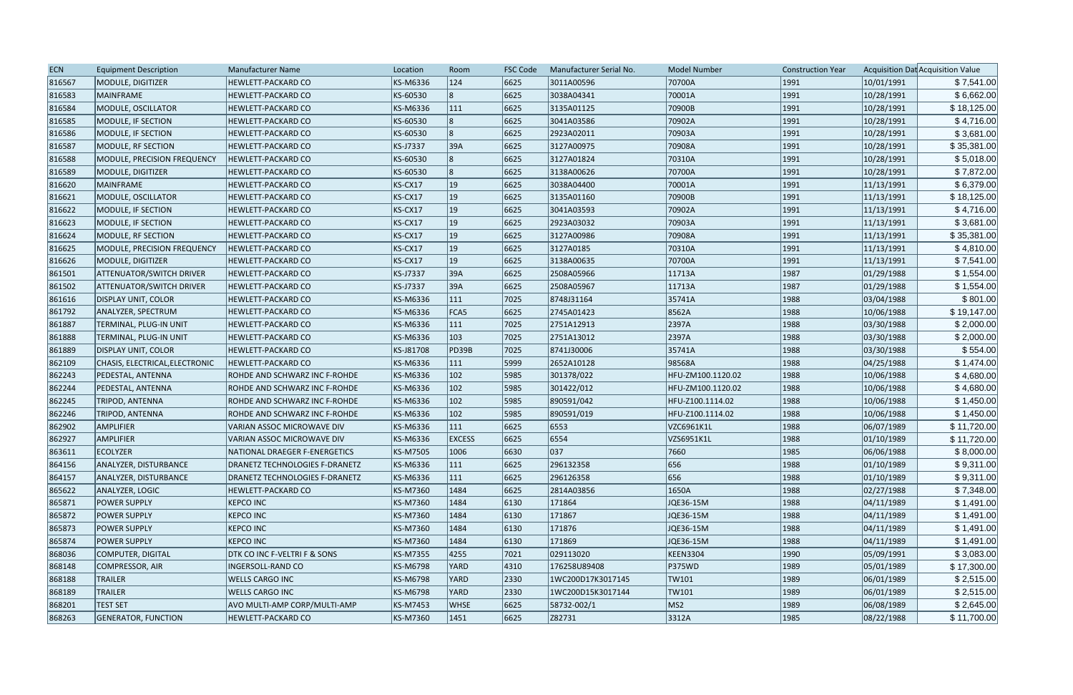| <b>ECN</b> | <b>Equipment Description</b>    | <b>Manufacturer Name</b>       | Location  | Room          | <b>FSC Code</b> | Manufacturer Serial No. | <b>Model Number</b> | <b>Construction Year</b> |            | Acquisition Dat Acquisition Value |
|------------|---------------------------------|--------------------------------|-----------|---------------|-----------------|-------------------------|---------------------|--------------------------|------------|-----------------------------------|
| 816567     | MODULE, DIGITIZER               | HEWLETT-PACKARD CO             | KS-M6336  | 124           | 6625            | 3011A00596              | 70700A              | 1991                     | 10/01/1991 | \$7,541.00                        |
| 816583     | <b>MAINFRAME</b>                | HEWLETT-PACKARD CO             | KS-60530  | 18            | 6625            | 3038A04341              | 70001A              | 1991                     | 10/28/1991 | \$6,662.00                        |
| 816584     | MODULE, OSCILLATOR              | <b>HEWLETT-PACKARD CO</b>      | KS-M6336  | 111           | 6625            | 3135A01125              | 70900B              | 1991                     | 10/28/1991 | \$18,125.00                       |
| 816585     | MODULE, IF SECTION              | <b>HEWLETT-PACKARD CO</b>      | KS-60530  |               | 6625            | 3041A03586              | 70902A              | 1991                     | 10/28/1991 | \$4,716.00                        |
| 816586     | MODULE, IF SECTION              | <b>HEWLETT-PACKARD CO</b>      | KS-60530  |               | 6625            | 2923A02011              | 70903A              | 1991                     | 10/28/1991 | \$3,681.00                        |
| 816587     | MODULE, RF SECTION              | HEWLETT-PACKARD CO             | KS-J7337  | 39A           | 6625            | 3127A00975              | 70908A              | 1991                     | 10/28/1991 | \$35,381.00                       |
| 816588     | MODULE, PRECISION FREQUENCY     | HEWLETT-PACKARD CO             | KS-60530  |               | 6625            | 3127A01824              | 70310A              | 1991                     | 10/28/1991 | \$5,018.00                        |
| 816589     | MODULE, DIGITIZER               | HEWLETT-PACKARD CO             | KS-60530  | 8             | 6625            | 3138A00626              | 70700A              | 1991                     | 10/28/1991 | \$7,872.00                        |
| 816620     | <b>MAINFRAME</b>                | <b>HEWLETT-PACKARD CO</b>      | KS-CX17   | 19            | 6625            | 3038A04400              | 70001A              | 1991                     | 11/13/1991 | \$6,379.00                        |
| 816621     | MODULE, OSCILLATOR              | <b>HEWLETT-PACKARD CO</b>      | KS-CX17   | 19            | 6625            | 3135A01160              | 70900B              | 1991                     | 11/13/1991 | \$18,125.00                       |
| 816622     | MODULE, IF SECTION              | HEWLETT-PACKARD CO             | KS-CX17   | 19            | 6625            | 3041A03593              | 70902A              | 1991                     | 11/13/1991 | \$4,716.00                        |
| 816623     | MODULE, IF SECTION              | HEWLETT-PACKARD CO             | KS-CX17   | 19            | 6625            | 2923A03032              | 70903A              | 1991                     | 11/13/1991 | \$3,681.00                        |
| 816624     | MODULE, RF SECTION              | HEWLETT-PACKARD CO             | KS-CX17   | 19            | 6625            | 3127A00986              | 70908A              | 1991                     | 11/13/1991 | \$35,381.00                       |
| 816625     | MODULE, PRECISION FREQUENCY     | HEWLETT-PACKARD CO             | KS-CX17   | 19            | 6625            | 3127A0185               | 70310A              | 1991                     | 11/13/1991 | \$4,810.00                        |
| 816626     | MODULE, DIGITIZER               | <b>HEWLETT-PACKARD CO</b>      | KS-CX17   | 19            | 6625            | 3138A00635              | 70700A              | 1991                     | 11/13/1991 | \$7,541.00                        |
| 861501     | <b>ATTENUATOR/SWITCH DRIVER</b> | HEWLETT-PACKARD CO             | KS-J7337  | 39A           | 6625            | 2508A05966              | 11713A              | 1987                     | 01/29/1988 | \$1,554.00                        |
| 861502     | <b>ATTENUATOR/SWITCH DRIVER</b> | <b>HEWLETT-PACKARD CO</b>      | KS-J7337  | 39A           | 6625            | 2508A05967              | 11713A              | 1987                     | 01/29/1988 | \$1,554.00                        |
| 861616     | <b>DISPLAY UNIT, COLOR</b>      | HEWLETT-PACKARD CO             | KS-M6336  | $ 111\rangle$ | 7025            | 8748J31164              | 35741A              | 1988                     | 03/04/1988 | \$801.00                          |
| 861792     | ANALYZER, SPECTRUM              | HEWLETT-PACKARD CO             | KS-M6336  | FCA5          | 6625            | 2745A01423              | 8562A               | 1988                     | 10/06/1988 | \$19,147.00                       |
| 861887     | TERMINAL, PLUG-IN UNIT          | HEWLETT-PACKARD CO             | KS-M6336  | $ 111\rangle$ | 7025            | 2751A12913              | 2397A               | 1988                     | 03/30/1988 | \$2,000.00                        |
| 861888     | <b>TERMINAL, PLUG-IN UNIT</b>   | HEWLETT-PACKARD CO             | KS-M6336  | $ 103\rangle$ | 7025            | 2751A13012              | 2397A               | 1988                     | 03/30/1988 | \$2,000.00                        |
| 861889     | DISPLAY UNIT, COLOR             | <b>HEWLETT-PACKARD CO</b>      | KS-J81708 | PD39B         | 7025            | 8741J30006              | 35741A              | 1988                     | 03/30/1988 | \$554.00                          |
| 862109     | CHASIS, ELECTRICAL, ELECTRONIC  | <b>HEWLETT-PACKARD CO</b>      | KS-M6336  | $ 111\rangle$ | 5999            | 2652A10128              | 98568A              | 1988                     | 04/25/1988 | \$1,474.00                        |
| 862243     | <b>PEDESTAL, ANTENNA</b>        | ROHDE AND SCHWARZ INC F-ROHDE  | KS-M6336  | $ 102\rangle$ | 5985            | 301378/022              | HFU-ZM100.1120.02   | 1988                     | 10/06/1988 | \$4,680.00                        |
| 862244     | <b>PEDESTAL, ANTENNA</b>        | ROHDE AND SCHWARZ INC F-ROHDE  | KS-M6336  | $ 102\rangle$ | 5985            | 301422/012              | HFU-ZM100.1120.02   | 1988                     | 10/06/1988 | \$4,680.00                        |
| 862245     | <b>TRIPOD, ANTENNA</b>          | ROHDE AND SCHWARZ INC F-ROHDE  | KS-M6336  | $ 102\rangle$ | 5985            | 890591/042              | HFU-Z100.1114.02    | 1988                     | 10/06/1988 | \$1,450.00                        |
| 862246     | <b>TRIPOD, ANTENNA</b>          | ROHDE AND SCHWARZ INC F-ROHDE  | KS-M6336  | $ 102\rangle$ | 5985            | 890591/019              | HFU-Z100.1114.02    | 1988                     | 10/06/1988 | \$1,450.00                        |
| 862902     | <b>AMPLIFIER</b>                | VARIAN ASSOC MICROWAVE DIV     | KS-M6336  | 111           | 6625            | 6553                    | VZC6961K1L          | 1988                     | 06/07/1989 | \$11,720.00                       |
| 862927     | <b>AMPLIFIER</b>                | VARIAN ASSOC MICROWAVE DIV     | KS-M6336  | <b>EXCESS</b> | 6625            | 6554                    | VZS6951K1L          | 1988                     | 01/10/1989 | \$11,720.00                       |
| 863611     | ECOLYZER                        | NATIONAL DRAEGER F-ENERGETICS  | KS-M7505  | 1006          | 6630            | 037                     | 7660                | 1985                     | 06/06/1988 | \$8,000.00                        |
| 864156     | ANALYZER, DISTURBANCE           | DRANETZ TECHNOLOGIES F-DRANETZ | KS-M6336  | 111           | 6625            | 296132358               | 656                 | 1988                     | 01/10/1989 | \$9,311.00                        |
| 864157     | ANALYZER, DISTURBANCE           | DRANETZ TECHNOLOGIES F-DRANETZ | KS-M6336  | $ 111\rangle$ | 6625            | 296126358               | 656                 | 1988                     | 01/10/1989 | \$9,311.00                        |
| 865622     | ANALYZER, LOGIC                 | <b>HEWLETT-PACKARD CO</b>      | KS-M7360  | 1484          | 6625            | 2814A03856              | 1650A               | 1988                     | 02/27/1988 | \$7,348.00                        |
| 865871     | <b>POWER SUPPLY</b>             | <b>KEPCO INC</b>               | KS-M7360  | 1484          | 6130            | 171864                  | JQE36-15M           | 1988                     | 04/11/1989 | \$1,491.00                        |
| 865872     | <b>POWER SUPPLY</b>             | <b>KEPCO INC</b>               | KS-M7360  | 1484          | 6130            | 171867                  | JQE36-15M           | 1988                     | 04/11/1989 | \$1,491.00                        |
| 865873     | <b>POWER SUPPLY</b>             | <b>KEPCO INC</b>               | KS-M7360  | 1484          | 6130            | 171876                  | JQE36-15M           | 1988                     | 04/11/1989 | \$1,491.00                        |
| 865874     | <b>POWER SUPPLY</b>             | <b>KEPCO INC</b>               | KS-M7360  | 1484          | 6130            | 171869                  | JQE36-15M           | 1988                     | 04/11/1989 | \$1,491.00                        |
| 868036     | COMPUTER, DIGITAL               | DTK CO INC F-VELTRI F & SONS   | KS-M7355  | 4255          | 7021            | 029113020               | <b>KEEN3304</b>     | 1990                     | 05/09/1991 | \$3,083.00                        |
| 868148     | COMPRESSOR, AIR                 | INGERSOLL-RAND CO              | KS-M6798  | <b>YARD</b>   | 4310            | 176258U89408            | <b>P375WD</b>       | 1989                     | 05/01/1989 | \$17,300.00                       |
| 868188     | <b>TRAILER</b>                  | <b>WELLS CARGO INC</b>         | KS-M6798  | YARD          | 2330            | 1WC200D17K3017145       | TW101               | 1989                     | 06/01/1989 | \$2,515.00                        |
| 868189     | TRAILER                         | <b>WELLS CARGO INC</b>         | KS-M6798  | YARD          | 2330            | 1WC200D15K3017144       | TW101               | 1989                     | 06/01/1989 | \$2,515.00                        |
| 868201     | <b>TEST SET</b>                 | AVO MULTI-AMP CORP/MULTI-AMP   | KS-M7453  | <b>WHSE</b>   | 6625            | 58732-002/1             | MS2                 | 1989                     | 06/08/1989 | \$2,645.00                        |
| 868263     | <b>GENERATOR, FUNCTION</b>      | HEWLETT-PACKARD CO             | KS-M7360  | 1451          | 6625            | Z82731                  | 3312A               | 1985                     | 08/22/1988 | \$11,700.00                       |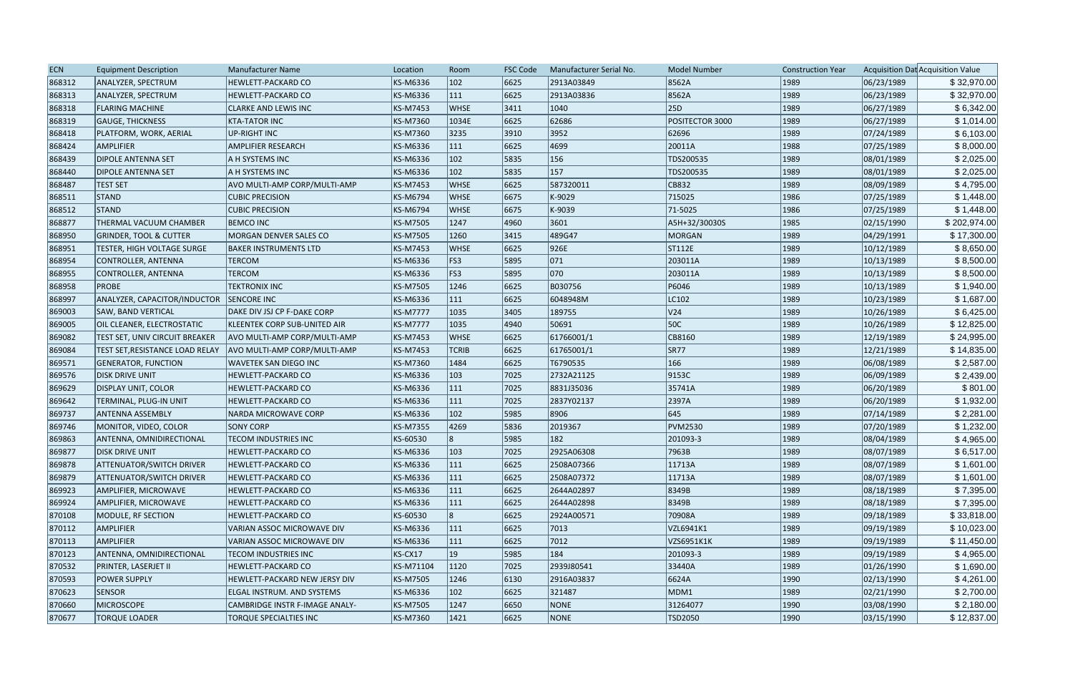| <b>ECN</b> | <b>Equipment Description</b>      | Manufacturer Name                     | Location        | Room          | <b>FSC Code</b> | Manufacturer Serial No. | <b>Model Number</b> | <b>Construction Year</b> |            | Acquisition Dat Acquisition Value |
|------------|-----------------------------------|---------------------------------------|-----------------|---------------|-----------------|-------------------------|---------------------|--------------------------|------------|-----------------------------------|
| 868312     | ANALYZER, SPECTRUM                | HEWLETT-PACKARD CO                    | KS-M6336        | $ 102\rangle$ | 6625            | 2913A03849              | 8562A               | 1989                     | 06/23/1989 | \$32,970.00                       |
| 868313     | ANALYZER, SPECTRUM                | HEWLETT-PACKARD CO                    | KS-M6336        | 111           | 6625            | 2913A03836              | 8562A               | 1989                     | 06/23/1989 | \$32,970.00                       |
| 868318     | <b>FLARING MACHINE</b>            | <b>CLARKE AND LEWIS INC</b>           | <b>KS-M7453</b> | <b>WHSE</b>   | 3411            | 1040                    | 25D                 | 1989                     | 06/27/1989 | \$6,342.00                        |
| 868319     | <b>GAUGE, THICKNESS</b>           | <b>KTA-TATOR INC</b>                  | <b>KS-M7360</b> | 1034E         | 6625            | 62686                   | POSITECTOR 3000     | 1989                     | 06/27/1989 | \$1,014.00                        |
| 868418     | PLATFORM, WORK, AERIAL            | <b>UP-RIGHT INC</b>                   | KS-M7360        | 3235          | 3910            | 3952                    | 62696               | 1989                     | 07/24/1989 | \$6,103.00                        |
| 868424     | <b>AMPLIFIER</b>                  | <b>AMPLIFIER RESEARCH</b>             | KS-M6336        | 111           | 6625            | 4699                    | 20011A              | 1988                     | 07/25/1989 | \$8,000.00                        |
| 868439     | <b>DIPOLE ANTENNA SET</b>         | A H SYSTEMS INC                       | KS-M6336        | $ 102\rangle$ | 5835            | 156                     | TDS200535           | 1989                     | 08/01/1989 | \$2,025.00                        |
| 868440     | <b>DIPOLE ANTENNA SET</b>         | A H SYSTEMS INC                       | KS-M6336        | 102           | 5835            | 157                     | TDS200535           | 1989                     | 08/01/1989 | \$2,025.00                        |
| 868487     | <b>TEST SET</b>                   | AVO MULTI-AMP CORP/MULTI-AMP          | <b>KS-M7453</b> | <b>WHSE</b>   | 6625            | 587320011               | CB832               | 1989                     | 08/09/1989 | \$4,795.00                        |
| 868511     | STAND                             | <b>CUBIC PRECISION</b>                | <b>KS-M6794</b> | WHSE          | 6675            | K-9029                  | 715025              | 1986                     | 07/25/1989 | \$1,448.00                        |
| 868512     | STAND                             | <b>CUBIC PRECISION</b>                | <b>KS-M6794</b> | <b>WHSE</b>   | 6675            | K-9039                  | 71-5025             | 1986                     | 07/25/1989 | \$1,448.00                        |
| 868877     | THERMAL VACUUM CHAMBER            | <b>BEMCO INC</b>                      | <b>KS-M7505</b> | 1247          | 4960            | 3601                    | A5H+32/30030S       | 1985                     | 02/15/1990 | \$202,974.00                      |
| 868950     | <b>GRINDER, TOOL &amp; CUTTER</b> | MORGAN DENVER SALES CO                | <b>KS-M7505</b> | 1260          | 3415            | 489G47                  | MORGAN              | 1989                     | 04/29/1991 | \$17,300.00                       |
| 868951     | TESTER, HIGH VOLTAGE SURGE        | <b>BAKER INSTRUMENTS LTD</b>          | <b>KS-M7453</b> | <b>WHSE</b>   | 6625            | 926E                    | ST112E              | 1989                     | 10/12/1989 | \$8,650.00                        |
| 868954     | CONTROLLER, ANTENNA               | <b>TERCOM</b>                         | KS-M6336        | FS3           | 5895            | $ 071\rangle$           | 203011A             | 1989                     | 10/13/1989 | \$8,500.00                        |
| 868955     | CONTROLLER, ANTENNA               | <b>TERCOM</b>                         | KS-M6336        | FS3           | 5895            | 070                     | 203011A             | 1989                     | 10/13/1989 | \$8,500.00                        |
| 868958     | <b>PROBE</b>                      | <b>TEKTRONIX INC</b>                  | <b>KS-M7505</b> | 1246          | 6625            | B030756                 | P6046               | 1989                     | 10/13/1989 | \$1,940.00                        |
| 868997     | ANALYZER, CAPACITOR/INDUCTOR      | <b>SENCORE INC</b>                    | KS-M6336        | 111           | 6625            | 6048948M                | LC102               | 1989                     | 10/23/1989 | \$1,687.00                        |
| 869003     | <b>SAW, BAND VERTICAL</b>         | DAKE DIV JSJ CP F-DAKE CORP           | <b>KS-M7777</b> | 1035          | 3405            | 189755                  | V <sub>24</sub>     | 1989                     | 10/26/1989 | \$6,425.00                        |
| 869005     | OIL CLEANER, ELECTROSTATIC        | <b>KLEENTEK CORP SUB-UNITED AIR</b>   | <b>KS-M7777</b> | 1035          | 4940            | 50691                   | <b>50C</b>          | 1989                     | 10/26/1989 | \$12,825.00                       |
| 869082     | TEST SET, UNIV CIRCUIT BREAKER    | AVO MULTI-AMP CORP/MULTI-AMP          | <b>KS-M7453</b> | <b>WHSE</b>   | 6625            | 61766001/1              | CB8160              | 1989                     | 12/19/1989 | \$24,995.00                       |
| 869084     | TEST SET, RESISTANCE LOAD RELAY   | AVO MULTI-AMP CORP/MULTI-AMP          | <b>KS-M7453</b> | <b>TCRIB</b>  | 6625            | 61765001/1              | <b>SR77</b>         | 1989                     | 12/21/1989 | \$14,835.00                       |
| 869571     | <b>GENERATOR, FUNCTION</b>        | <b>WAVETEK SAN DIEGO INC</b>          | KS-M7360        | 1484          | 6625            | T6790535                | 166                 | 1989                     | 06/08/1989 | \$2,587.00                        |
| 869576     | <b>DISK DRIVE UNIT</b>            | <b>HEWLETT-PACKARD CO</b>             | KS-M6336        | $ 103\rangle$ | 7025            | 2732A21125              | 9153C               | 1989                     | 06/09/1989 | \$2,439.00                        |
| 869629     | <b>DISPLAY UNIT, COLOR</b>        | <b>HEWLETT-PACKARD CO</b>             | KS-M6336        | 111           | 7025            | 8831J35036              | 35741A              | 1989                     | 06/20/1989 | \$801.00                          |
| 869642     | TERMINAL, PLUG-IN UNIT            | <b>HEWLETT-PACKARD CO</b>             | KS-M6336        | 111           | 7025            | 2837Y02137              | 2397A               | 1989                     | 06/20/1989 | \$1,932.00                        |
| 869737     | <b>ANTENNA ASSEMBLY</b>           | <b>NARDA MICROWAVE CORP</b>           | KS-M6336        | $ 102\rangle$ | 5985            | 8906                    | 645                 | 1989                     | 07/14/1989 | \$2,281.00                        |
| 869746     | MONITOR, VIDEO, COLOR             | <b>SONY CORP</b>                      | <b>KS-M7355</b> | 4269          | 5836            | 2019367                 | <b>PVM2530</b>      | 1989                     | 07/20/1989 | \$1,232.00                        |
| 869863     | ANTENNA, OMNIDIRECTIONAL          | <b>TECOM INDUSTRIES INC</b>           | KS-60530        | 8             | 5985            | 182                     | 201093-3            | 1989                     | 08/04/1989 | \$4,965.00                        |
| 869877     | <b>DISK DRIVE UNIT</b>            | <b>HEWLETT-PACKARD CO</b>             | KS-M6336        | $ 103\rangle$ | 7025            | 2925A06308              | 7963B               | 1989                     | 08/07/1989 | \$6,517.00                        |
| 869878     | <b>ATTENUATOR/SWITCH DRIVER</b>   | <b>HEWLETT-PACKARD CO</b>             | KS-M6336        | 111           | 6625            | 2508A07366              | 11713A              | 1989                     | 08/07/1989 | \$1,601.00                        |
| 869879     | <b>ATTENUATOR/SWITCH DRIVER</b>   | <b>HEWLETT-PACKARD CO</b>             | KS-M6336        | 111           | 6625            | 2508A07372              | 11713A              | 1989                     | 08/07/1989 | \$1,601.00                        |
| 869923     | AMPLIFIER, MICROWAVE              | <b>HEWLETT-PACKARD CO</b>             | KS-M6336        | 111           | 6625            | 2644A02897              | 8349B               | 1989                     | 08/18/1989 | \$7,395.00                        |
| 869924     | AMPLIFIER, MICROWAVE              | <b>HEWLETT-PACKARD CO</b>             | KS-M6336        | 111           | 6625            | 2644A02898              | 8349B               | 1989                     | 08/18/1989 | \$7,395.00                        |
| 870108     | MODULE, RF SECTION                | <b>HEWLETT-PACKARD CO</b>             | KS-60530        | 8             | 6625            | 2924A00571              | 70908A              | 1989                     | 09/18/1989 | \$33,818.00                       |
| 870112     | <b>AMPLIFIER</b>                  | VARIAN ASSOC MICROWAVE DIV            | KS-M6336        | 111           | 6625            | 7013                    | VZL6941K1           | 1989                     | 09/19/1989 | \$10,023.00                       |
| 870113     | <b>AMPLIFIER</b>                  | VARIAN ASSOC MICROWAVE DIV            | KS-M6336        | 111           | 6625            | 7012                    | VZS6951K1K          | 1989                     | 09/19/1989 | \$11,450.00                       |
| 870123     | ANTENNA, OMNIDIRECTIONAL          | <b>TECOM INDUSTRIES INC</b>           | KS-CX17         | 19            | 5985            | 184                     | 201093-3            | 1989                     | 09/19/1989 | \$4,965.00                        |
| 870532     | PRINTER, LASERJET II              | <b>HEWLETT-PACKARD CO</b>             | KS-M71104       | 1120          | 7025            | 2939J80541              | 33440A              | 1989                     | 01/26/1990 | \$1,690.00                        |
| 870593     | <b>POWER SUPPLY</b>               | HEWLETT-PACKARD NEW JERSY DIV         | <b>KS-M7505</b> | 1246          | 6130            | 2916A03837              | 6624A               | 1990                     | 02/13/1990 | \$4,261.00                        |
| 870623     | <b>SENSOR</b>                     | ELGAL INSTRUM. AND SYSTEMS            | KS-M6336        | $ 102\rangle$ | 6625            | 321487                  | MDM1                | 1989                     | 02/21/1990 | \$2,700.00                        |
| 870660     | MICROSCOPE                        | <b>CAMBRIDGE INSTR F-IMAGE ANALY-</b> | KS-M7505        | 1247          | 6650            | NONE                    | 31264077            | 1990                     | 03/08/1990 | \$2,180.00                        |
| 870677     | <b>TORQUE LOADER</b>              | TORQUE SPECIALTIES INC                | KS-M7360        | 1421          | 6625            | NONE                    | TSD2050             | 1990                     | 03/15/1990 | \$12,837.00                       |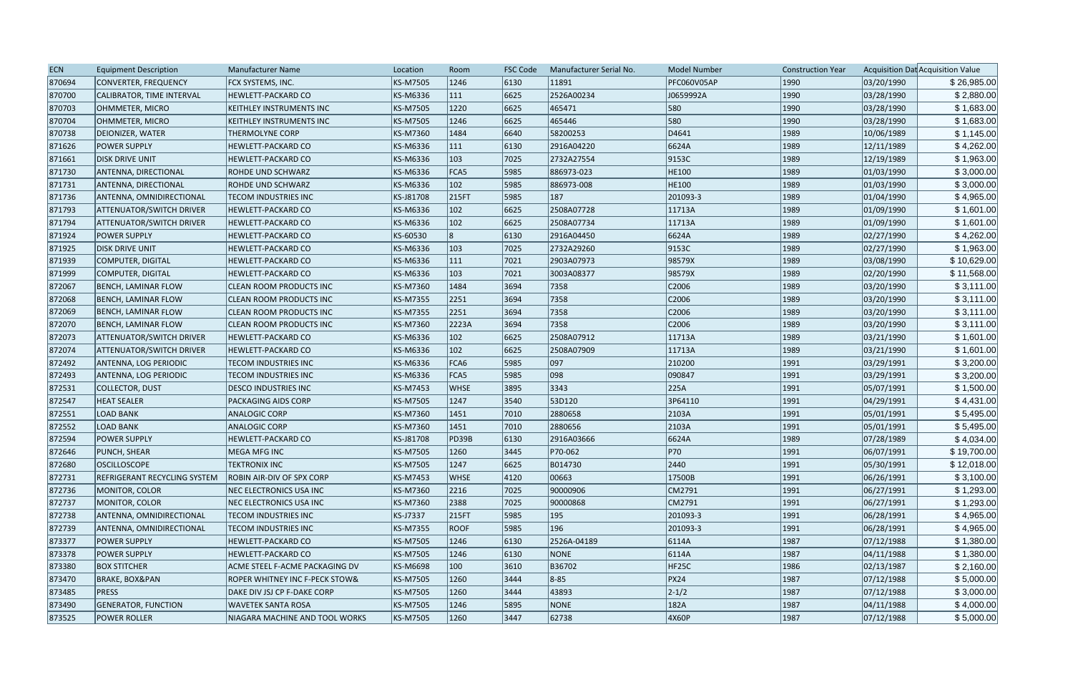| <b>ECN</b> | <b>Equipment Description</b>        | <b>Manufacturer Name</b>       | Location        | Room          | FSC Code | Manufacturer Serial No. | <b>Model Number</b> | <b>Construction Year</b> |            | Acquisition Dat Acquisition Value |
|------------|-------------------------------------|--------------------------------|-----------------|---------------|----------|-------------------------|---------------------|--------------------------|------------|-----------------------------------|
| 870694     | CONVERTER, FREQUENCY                | FCX SYSTEMS, INC.              | KS-M7505        | 1246          | 6130     | 11891                   | <b>PFC060V05AP</b>  | 1990                     | 03/20/1990 | \$26,985.00                       |
| 870700     | CALIBRATOR, TIME INTERVAL           | HEWLETT-PACKARD CO             | KS-M6336        | 111           | 6625     | 2526A00234              | J0659992A           | 1990                     | 03/28/1990 | \$2,880.00                        |
| 870703     | OHMMETER, MICRO                     | KEITHLEY INSTRUMENTS INC       | <b>KS-M7505</b> | 1220          | 6625     | 465471                  | 580                 | 1990                     | 03/28/1990 | \$1,683.00                        |
| 870704     | OHMMETER, MICRO                     | KEITHLEY INSTRUMENTS INC       | KS-M7505        | 1246          | 6625     | 465446                  | 580                 | 1990                     | 03/28/1990 | \$1,683.00                        |
| 870738     | DEIONIZER, WATER                    | THERMOLYNE CORP                | KS-M7360        | 1484          | 6640     | 58200253                | D4641               | 1989                     | 10/06/1989 | \$1,145.00                        |
| 871626     | <b>POWER SUPPLY</b>                 | HEWLETT-PACKARD CO             | KS-M6336        | $ 111\rangle$ | 6130     | 2916A04220              | 6624A               | 1989                     | 12/11/1989 | \$4,262.00                        |
| 871661     | <b>DISK DRIVE UNIT</b>              | HEWLETT-PACKARD CO             | KS-M6336        | $ 103\rangle$ | 7025     | 2732A27554              | 9153C               | 1989                     | 12/19/1989 | \$1,963.00                        |
| 871730     | ANTENNA, DIRECTIONAL                | ROHDE UND SCHWARZ              | KS-M6336        | FCA5          | 5985     | 886973-023              | HE100               | 1989                     | 01/03/1990 | \$3,000.00                        |
| 871731     | <b>ANTENNA, DIRECTIONAL</b>         | ROHDE UND SCHWARZ              | KS-M6336        | $ 102\rangle$ | 5985     | 886973-008              | HE100               | 1989                     | 01/03/1990 | \$3,000.00                        |
| 871736     | ANTENNA, OMNIDIRECTIONAL            | TECOM INDUSTRIES INC           | KS-J81708       | 215FT         | 5985     | 187                     | 201093-3            | 1989                     | 01/04/1990 | \$4,965.00                        |
| 871793     | <b>ATTENUATOR/SWITCH DRIVER</b>     | <b>HEWLETT-PACKARD CO</b>      | KS-M6336        | $ 102\rangle$ | 6625     | 2508A07728              | 11713A              | 1989                     | 01/09/1990 | \$1,601.00                        |
| 871794     | <b>ATTENUATOR/SWITCH DRIVER</b>     | HEWLETT-PACKARD CO             | KS-M6336        | $ 102\rangle$ | 6625     | 2508A07734              | 11713A              | 1989                     | 01/09/1990 | \$1,601.00                        |
| 871924     | <b>POWER SUPPLY</b>                 | HEWLETT-PACKARD CO             | KS-60530        |               | 6130     | 2916A04450              | 6624A               | 1989                     | 02/27/1990 | \$4,262.00                        |
| 871925     | <b>DISK DRIVE UNIT</b>              | HEWLETT-PACKARD CO             | KS-M6336        | $ 103\rangle$ | 7025     | 2732A29260              | 9153C               | 1989                     | 02/27/1990 | \$1,963.00                        |
| 871939     | COMPUTER, DIGITAL                   | HEWLETT-PACKARD CO             | KS-M6336        | 111           | 7021     | 2903A07973              | 98579X              | 1989                     | 03/08/1990 | \$10,629.00                       |
| 871999     | COMPUTER, DIGITAL                   | HEWLETT-PACKARD CO             | KS-M6336        | $ 103\rangle$ | 7021     | 3003A08377              | 98579X              | 1989                     | 02/20/1990 | \$11,568.00                       |
| 872067     | <b>BENCH, LAMINAR FLOW</b>          | <b>CLEAN ROOM PRODUCTS INC</b> | KS-M7360        | 1484          | 3694     | 7358                    | C2006               | 1989                     | 03/20/1990 | \$3,111.00                        |
| 872068     | BENCH, LAMINAR FLOW                 | CLEAN ROOM PRODUCTS INC        | KS-M7355        | 2251          | 3694     | 7358                    | C2006               | 1989                     | 03/20/1990 | \$3,111.00                        |
| 872069     | BENCH, LAMINAR FLOW                 | CLEAN ROOM PRODUCTS INC        | KS-M7355        | 2251          | 3694     | 7358                    | C2006               | 1989                     | 03/20/1990 | \$3,111.00                        |
| 872070     | BENCH, LAMINAR FLOW                 | CLEAN ROOM PRODUCTS INC        | KS-M7360        | 2223A         | 3694     | 7358                    | C2006               | 1989                     | 03/20/1990 | \$3,111.00                        |
| 872073     | <b>ATTENUATOR/SWITCH DRIVER</b>     | HEWLETT-PACKARD CO             | KS-M6336        | $ 102\rangle$ | 6625     | 2508A07912              | 11713A              | 1989                     | 03/21/1990 | \$1,601.00                        |
| 872074     | <b>ATTENUATOR/SWITCH DRIVER</b>     | <b>HEWLETT-PACKARD CO</b>      | KS-M6336        | $ 102\rangle$ | 6625     | 2508A07909              | 11713A              | 1989                     | 03/21/1990 | \$1,601.00                        |
| 872492     | ANTENNA, LOG PERIODIC               | TECOM INDUSTRIES INC           | KS-M6336        | FCA6          | 5985     | $ 097\rangle$           | 210200              | 1991                     | 03/29/1991 | \$3,200.00                        |
| 872493     | <b>ANTENNA, LOG PERIODIC</b>        | TECOM INDUSTRIES INC           | KS-M6336        | FCA5          | 5985     | 098                     | 090847              | 1991                     | 03/29/1991 | \$3,200.00                        |
| 872531     | COLLECTOR, DUST                     | DESCO INDUSTRIES INC           | KS-M7453        | <b>WHSE</b>   | 3895     | 3343                    | 225A                | 1991                     | 05/07/1991 | \$1,500.00                        |
| 872547     | <b>HEAT SEALER</b>                  | PACKAGING AIDS CORP            | KS-M7505        | 1247          | 3540     | 53D120                  | 3P64110             | 1991                     | 04/29/1991 | \$4,431.00                        |
| 872551     | <b>LOAD BANK</b>                    | <b>ANALOGIC CORP</b>           | KS-M7360        | 1451          | 7010     | 2880658                 | 2103A               | 1991                     | 05/01/1991 | \$5,495.00                        |
| 872552     | <b>LOAD BANK</b>                    | <b>ANALOGIC CORP</b>           | KS-M7360        | 1451          | 7010     | 2880656                 | 2103A               | 1991                     | 05/01/1991 | \$5,495.00                        |
| 872594     | <b>POWER SUPPLY</b>                 | HEWLETT-PACKARD CO             | KS-J81708       | <b>PD39B</b>  | 6130     | 2916A03666              | 6624A               | 1989                     | 07/28/1989 | \$4,034.00                        |
| 872646     | <b>PUNCH, SHEAR</b>                 | <b>MEGA MFG INC</b>            | KS-M7505        | 1260          | 3445     | P70-062                 | P70                 | 1991                     | 06/07/1991 | \$19,700.00                       |
| 872680     | <b>OSCILLOSCOPE</b>                 | <b>TEKTRONIX INC</b>           | KS-M7505        | 1247          | 6625     | B014730                 | 2440                | 1991                     | 05/30/1991 | \$12,018.00                       |
| 872731     | <b>REFRIGERANT RECYCLING SYSTEM</b> | ROBIN AIR-DIV OF SPX CORP      | KS-M7453        | <b>WHSE</b>   | 4120     | 00663                   | 17500B              | 1991                     | 06/26/1991 | \$3,100.00                        |
| 872736     | MONITOR, COLOR                      | NEC ELECTRONICS USA INC        | KS-M7360        | 2216          | 7025     | 90000906                | CM2791              | 1991                     | 06/27/1991 | \$1,293.00                        |
| 872737     | MONITOR, COLOR                      | NEC ELECTRONICS USA INC        | KS-M7360        | 2388          | 7025     | 90000868                | CM2791              | 1991                     | 06/27/1991 | \$1,293.00                        |
| 872738     | ANTENNA, OMNIDIRECTIONAL            | <b>TECOM INDUSTRIES INC</b>    | KS-J7337        | 215FT         | 5985     | 195                     | 201093-3            | 1991                     | 06/28/1991 | \$4,965.00                        |
| 872739     | ANTENNA, OMNIDIRECTIONAL            | TECOM INDUSTRIES INC           | KS-M7355        | <b>ROOF</b>   | 5985     | 196                     | 201093-3            | 1991                     | 06/28/1991 | \$4,965.00                        |
| 873377     | <b>POWER SUPPLY</b>                 | HEWLETT-PACKARD CO             | KS-M7505        | 1246          | 6130     | 2526A-04189             | 6114A               | 1987                     | 07/12/1988 | \$1,380.00                        |
| 873378     | <b>POWER SUPPLY</b>                 | HEWLETT-PACKARD CO             | KS-M7505        | 1246          | 6130     | <b>NONE</b>             | 6114A               | 1987                     | 04/11/1988 | \$1,380.00                        |
| 873380     | <b>BOX STITCHER</b>                 | ACME STEEL F-ACME PACKAGING DV | KS-M6698        | 100           | 3610     | B36702                  | HF25C               | 1986                     | 02/13/1987 | \$2,160.00                        |
| 873470     | <b>BRAKE, BOX&amp;PAN</b>           | ROPER WHITNEY INC F-PECK STOW& | KS-M7505        | 1260          | 3444     | $ 8-85 $                | PX24                | 1987                     | 07/12/1988 | \$5,000.00                        |
| 873485     | <b>PRESS</b>                        | DAKE DIV JSJ CP F-DAKE CORP    | KS-M7505        | 1260          | 3444     | 43893                   | $ 2 - 1/2 $         | 1987                     | 07/12/1988 | \$3,000.00                        |
| 873490     | <b>GENERATOR, FUNCTION</b>          | WAVETEK SANTA ROSA             | KS-M7505        | 1246          | 5895     | <b>NONE</b>             | 182A                | 1987                     | 04/11/1988 | \$4,000.00                        |
| 873525     | <b>POWER ROLLER</b>                 | NIAGARA MACHINE AND TOOL WORKS | KS-M7505        | 1260          | 3447     | 62738                   | 4X60P               | 1987                     | 07/12/1988 | \$5,000.00                        |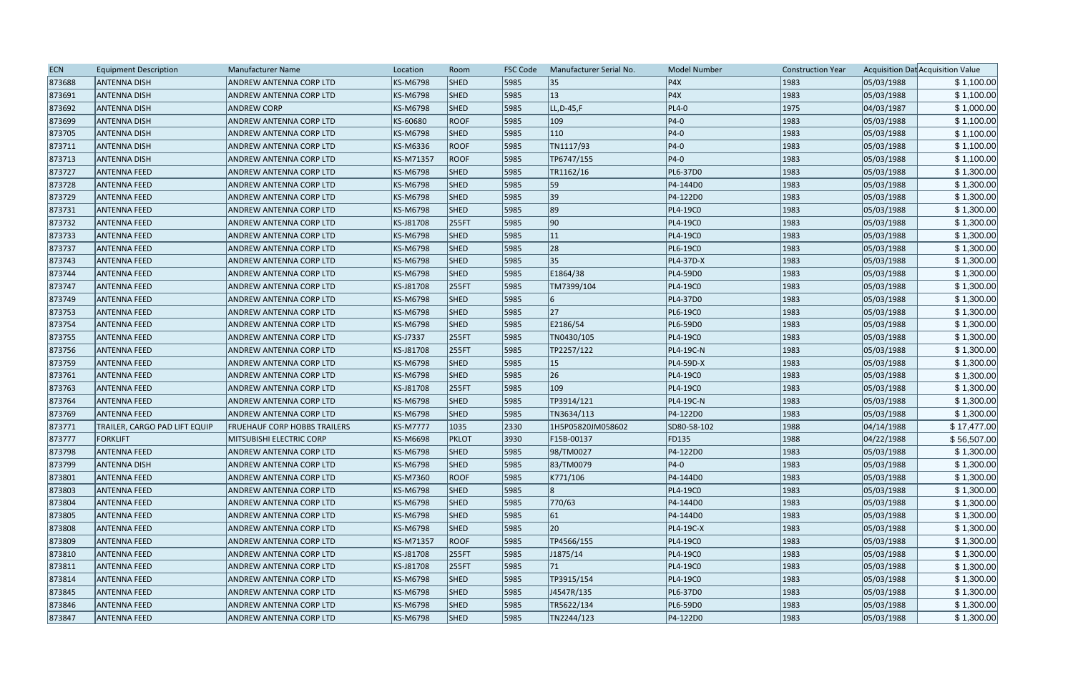| <b>ECN</b> | <b>Equipment Description</b>  | <b>Manufacturer Name</b>            | Location        | Room        | FSC Code | Manufacturer Serial No. | <b>Model Number</b> | <b>Construction Year</b> |            | Acquisition Dat Acquisition Value |
|------------|-------------------------------|-------------------------------------|-----------------|-------------|----------|-------------------------|---------------------|--------------------------|------------|-----------------------------------|
| 873688     | <b>ANTENNA DISH</b>           | ANDREW ANTENNA CORP LTD             | KS-M6798        | SHED        | 5985     | 35                      | P4X                 | 1983                     | 05/03/1988 | \$1,100.00                        |
| 873691     | <b>ANTENNA DISH</b>           | ANDREW ANTENNA CORP LTD             | KS-M6798        | <b>SHED</b> | 5985     | 13                      | PAX                 | 1983                     | 05/03/1988 | \$1,100.00                        |
| 873692     | <b>ANTENNA DISH</b>           | <b>ANDREW CORP</b>                  | KS-M6798        | <b>SHED</b> | 5985     | $LL, D-45, F$           | $PL4-0$             | 1975                     | 04/03/1987 | \$1,000.00                        |
| 873699     | <b>ANTENNA DISH</b>           | ANDREW ANTENNA CORP LTD             | KS-60680        | <b>ROOF</b> | 5985     | 109                     | $ P4-0 $            | 1983                     | 05/03/1988 | \$1,100.00                        |
| 873705     | <b>ANTENNA DISH</b>           | ANDREW ANTENNA CORP LTD             | <b>KS-M6798</b> | <b>SHED</b> | 5985     | $ 110\rangle$           | $ P4-0 $            | 1983                     | 05/03/1988 | \$1,100.00                        |
| 873711     | <b>ANTENNA DISH</b>           | ANDREW ANTENNA CORP LTD             | KS-M6336        | <b>ROOF</b> | 5985     | TN1117/93               | $ P4-0 $            | 1983                     | 05/03/1988 | \$1,100.00                        |
| 873713     | <b>ANTENNA DISH</b>           | ANDREW ANTENNA CORP LTD             | KS-M71357       | <b>ROOF</b> | 5985     | TP6747/155              | $ P4-0 $            | 1983                     | 05/03/1988 | \$1,100.00                        |
| 873727     | <b>ANTENNA FEED</b>           | ANDREW ANTENNA CORP LTD             | KS-M6798        | <b>SHED</b> | 5985     | TR1162/16               | PL6-37D0            | 1983                     | 05/03/1988 | \$1,300.00                        |
| 873728     | <b>ANTENNA FEED</b>           | ANDREW ANTENNA CORP LTD             | KS-M6798        | <b>SHED</b> | 5985     | 59                      | P4-144D0            | 1983                     | 05/03/1988 | \$1,300.00                        |
| 873729     | <b>ANTENNA FEED</b>           | ANDREW ANTENNA CORP LTD             | <b>KS-M6798</b> | <b>SHED</b> | 5985     | 39                      | P4-122D0            | 1983                     | 05/03/1988 | \$1,300.00                        |
| 873731     | <b>ANTENNA FEED</b>           | ANDREW ANTENNA CORP LTD             | <b>KS-M6798</b> | <b>SHED</b> | 5985     | 89                      | PL4-19C0            | 1983                     | 05/03/1988 | \$1,300.00                        |
| 873732     | <b>ANTENNA FEED</b>           | ANDREW ANTENNA CORP LTD             | KS-J81708       | 255FT       | 5985     | 90                      | PL4-19C0            | 1983                     | 05/03/1988 | \$1,300.00                        |
| 873733     | <b>ANTENNA FEED</b>           | ANDREW ANTENNA CORP LTD             | KS-M6798        | <b>SHED</b> | 5985     | 11                      | PL4-19C0            | 1983                     | 05/03/1988 | \$1,300.00                        |
| 873737     | <b>ANTENNA FEED</b>           | ANDREW ANTENNA CORP LTD             | KS-M6798        | <b>SHED</b> | 5985     | 28                      | PL6-19C0            | 1983                     | 05/03/1988 | \$1,300.00                        |
| 873743     | <b>ANTENNA FEED</b>           | ANDREW ANTENNA CORP LTD             | KS-M6798        | <b>SHED</b> | 5985     | 35                      | PL4-37D-X           | 1983                     | 05/03/1988 | \$1,300.00                        |
| 873744     | <b>ANTENNA FEED</b>           | ANDREW ANTENNA CORP LTD             | KS-M6798        | <b>SHED</b> | 5985     | E1864/38                | PL4-59D0            | 1983                     | 05/03/1988 | \$1,300.00                        |
| 873747     | <b>ANTENNA FEED</b>           | ANDREW ANTENNA CORP LTD             | KS-J81708       | 255FT       | 5985     | TM7399/104              | PL4-19C0            | 1983                     | 05/03/1988 | \$1,300.00                        |
| 873749     | <b>JANTENNA FEED</b>          | ANDREW ANTENNA CORP LTD             | <b>KS-M6798</b> | <b>SHED</b> | 5985     |                         | PL4-37D0            | 1983                     | 05/03/1988 | \$1,300.00                        |
| 873753     | <b>ANTENNA FEED</b>           | ANDREW ANTENNA CORP LTD             | KS-M6798        | <b>SHED</b> | 5985     | 27                      | PL6-19C0            | 1983                     | 05/03/1988 | \$1,300.00                        |
| 873754     | <b>ANTENNA FEED</b>           | ANDREW ANTENNA CORP LTD             | <b>KS-M6798</b> | <b>SHED</b> | 5985     | E2186/54                | PL6-59D0            | 1983                     | 05/03/1988 | \$1,300.00                        |
| 873755     | <b>ANTENNA FEED</b>           | ANDREW ANTENNA CORP LTD             | KS-J7337        | 255FT       | 5985     | TN0430/105              | PL4-19C0            | 1983                     | 05/03/1988 | \$1,300.00                        |
| 873756     | <b>ANTENNA FEED</b>           | ANDREW ANTENNA CORP LTD             | KS-J81708       | 255FT       | 5985     | TP2257/122              | PL4-19C-N           | 1983                     | 05/03/1988 | \$1,300.00                        |
| 873759     | <b>ANTENNA FEED</b>           | ANDREW ANTENNA CORP LTD             | <b>KS-M6798</b> | <b>SHED</b> | 5985     | 15                      | PL4-59D-X           | 1983                     | 05/03/1988 | \$1,300.00                        |
| 873761     | <b>ANTENNA FEED</b>           | ANDREW ANTENNA CORP LTD             | <b>KS-M6798</b> | <b>SHED</b> | 5985     | 26                      | PL4-19C0            | 1983                     | 05/03/1988 | \$1,300.00                        |
| 873763     | <b>ANTENNA FEED</b>           | ANDREW ANTENNA CORP LTD             | KS-J81708       | 255FT       | 5985     | 109                     | PL4-19C0            | 1983                     | 05/03/1988 | \$1,300.00                        |
| 873764     | <b>ANTENNA FEED</b>           | ANDREW ANTENNA CORP LTD             | KS-M6798        | <b>SHED</b> | 5985     | TP3914/121              | PL4-19C-N           | 1983                     | 05/03/1988 | \$1,300.00                        |
| 873769     | <b>ANTENNA FEED</b>           | ANDREW ANTENNA CORP LTD             | KS-M6798        | <b>SHED</b> | 5985     | TN3634/113              | P4-122D0            | 1983                     | 05/03/1988 | \$1,300.00                        |
| 873771     | TRAILER, CARGO PAD LIFT EQUIP | <b>FRUEHAUF CORP HOBBS TRAILERS</b> | <b>KS-M7777</b> | 1035        | 2330     | 1H5P05820JM058602       | SD80-58-102         | 1988                     | 04/14/1988 | \$17,477.00                       |
| 873777     | <b>FORKLIFT</b>               | MITSUBISHI ELECTRIC CORP            | KS-M6698        | PKLOT       | 3930     | F15B-00137              | FD135               | 1988                     | 04/22/1988 | \$56,507.00                       |
| 873798     | <b>ANTENNA FEED</b>           | ANDREW ANTENNA CORP LTD             | KS-M6798        | <b>SHED</b> | 5985     | 98/TM0027               | P4-122D0            | 1983                     | 05/03/1988 | \$1,300.00                        |
| 873799     | <b>ANTENNA DISH</b>           | ANDREW ANTENNA CORP LTD             | KS-M6798        | <b>SHED</b> | 5985     | 83/TM0079               | $ P4-0 $            | 1983                     | 05/03/1988 | \$1,300.00                        |
| 873801     | <b>ANTENNA FEED</b>           | ANDREW ANTENNA CORP LTD             | KS-M7360        | <b>ROOF</b> | 5985     | K771/106                | P4-144D0            | 1983                     | 05/03/1988 | \$1,300.00                        |
| 873803     | <b>ANTENNA FEED</b>           | ANDREW ANTENNA CORP LTD             | KS-M6798        | <b>SHED</b> | 5985     |                         | PL4-19C0            | 1983                     | 05/03/1988 | \$1,300.00                        |
| 873804     | <b>ANTENNA FEED</b>           | ANDREW ANTENNA CORP LTD             | KS-M6798        | <b>SHED</b> | 5985     | 770/63                  | P4-144D0            | 1983                     | 05/03/1988 | \$1,300.00                        |
| 873805     | <b>ANTENNA FEED</b>           | ANDREW ANTENNA CORP LTD             | KS-M6798        | <b>SHED</b> | 5985     | 61                      | P4-144D0            | 1983                     | 05/03/1988 | \$1,300.00                        |
| 873808     | <b>ANTENNA FEED</b>           | ANDREW ANTENNA CORP LTD             | KS-M6798        | <b>SHED</b> | 5985     | 20                      | PL4-19C-X           | 1983                     | 05/03/1988 | \$1,300.00                        |
| 873809     | <b>ANTENNA FEED</b>           | ANDREW ANTENNA CORP LTD             | KS-M71357       | <b>ROOF</b> | 5985     | TP4566/155              | PL4-19C0            | 1983                     | 05/03/1988 | \$1,300.00                        |
| 873810     | <b>ANTENNA FEED</b>           | ANDREW ANTENNA CORP LTD             | KS-J81708       | 255FT       | 5985     | J1875/14                | PL4-19C0            | 1983                     | 05/03/1988 | \$1,300.00                        |
| 873811     | <b>ANTENNA FEED</b>           | ANDREW ANTENNA CORP LTD             | KS-J81708       | 255FT       | 5985     | 71                      | PL4-19C0            | 1983                     | 05/03/1988 | \$1,300.00                        |
| 873814     | <b>ANTENNA FEED</b>           | ANDREW ANTENNA CORP LTD             | KS-M6798        | <b>SHED</b> | 5985     | TP3915/154              | PL4-19C0            | 1983                     | 05/03/1988 | \$1,300.00                        |
| 873845     | <b>ANTENNA FEED</b>           | ANDREW ANTENNA CORP LTD             | KS-M6798        | <b>SHED</b> | 5985     | J4547R/135              | PL6-37D0            | 1983                     | 05/03/1988 | \$1,300.00                        |
| 873846     | <b>ANTENNA FEED</b>           | ANDREW ANTENNA CORP LTD             | KS-M6798        | <b>SHED</b> | 5985     | TR5622/134              | PL6-59D0            | 1983                     | 05/03/1988 | \$1,300.00                        |
| 873847     | <b>ANTENNA FEED</b>           | ANDREW ANTENNA CORP LTD             | KS-M6798        | <b>SHED</b> | 5985     | TN2244/123              | P4-122D0            | 1983                     | 05/03/1988 | \$1,300.00                        |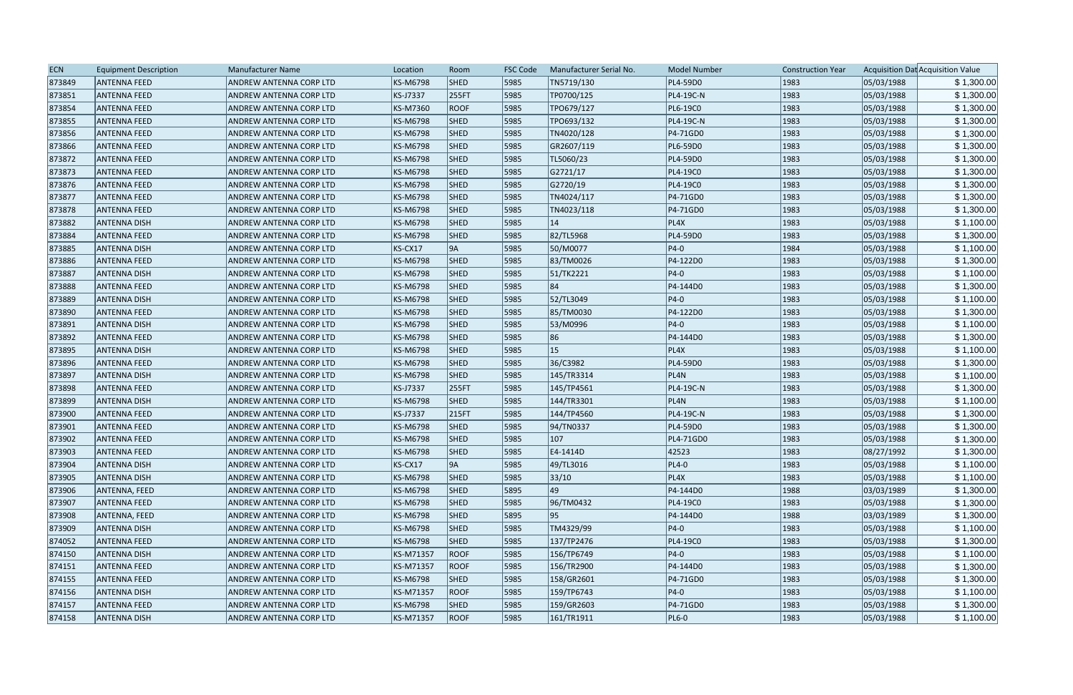| <b>ECN</b> | <b>Equipment Description</b> | <b>Manufacturer Name</b> | Location        | Room        | <b>FSC Code</b> | Manufacturer Serial No. | <b>Model Number</b> | <b>Construction Year</b> |            | Acquisition Dat Acquisition Value |
|------------|------------------------------|--------------------------|-----------------|-------------|-----------------|-------------------------|---------------------|--------------------------|------------|-----------------------------------|
| 873849     | <b>ANTENNA FEED</b>          | ANDREW ANTENNA CORP LTD  | KS-M6798        | <b>SHED</b> | 5985            | TN5719/130              | PL4-59D0            | 1983                     | 05/03/1988 | \$1,300.00                        |
| 873851     | <b>ANTENNA FEED</b>          | ANDREW ANTENNA CORP LTD  | KS-J7337        | 255FT       | 5985            | TP0700/125              | PL4-19C-N           | 1983                     | 05/03/1988 | \$1,300.00                        |
| 873854     | <b>ANTENNA FEED</b>          | ANDREW ANTENNA CORP LTD  | KS-M7360        | <b>ROOF</b> | 5985            | TPO679/127              | PL6-19C0            | 1983                     | 05/03/1988 | \$1,300.00                        |
| 873855     | <b>ANTENNA FEED</b>          | ANDREW ANTENNA CORP LTD  | <b>KS-M6798</b> | <b>SHED</b> | 5985            | TPO693/132              | PL4-19C-N           | 1983                     | 05/03/1988 | \$1,300.00                        |
| 873856     | <b>ANTENNA FEED</b>          | ANDREW ANTENNA CORP LTD  | <b>KS-M6798</b> | <b>SHED</b> | 5985            | TN4020/128              | P4-71GD0            | 1983                     | 05/03/1988 | \$1,300.00                        |
| 873866     | <b>ANTENNA FEED</b>          | ANDREW ANTENNA CORP LTD  | KS-M6798        | <b>SHED</b> | 5985            | GR2607/119              | PL6-59D0            | 1983                     | 05/03/1988 | \$1,300.00                        |
| 873872     | <b>ANTENNA FEED</b>          | ANDREW ANTENNA CORP LTD  | KS-M6798        | <b>SHED</b> | 5985            | TL5060/23               | PL4-59D0            | 1983                     | 05/03/1988 | \$1,300.00                        |
| 873873     | <b>ANTENNA FEED</b>          | ANDREW ANTENNA CORP LTD  | KS-M6798        | <b>SHED</b> | 5985            | G2721/17                | PL4-19C0            | 1983                     | 05/03/1988 | \$1,300.00                        |
| 873876     | <b>ANTENNA FEED</b>          | ANDREW ANTENNA CORP LTD  | KS-M6798        | <b>SHED</b> | 5985            | G2720/19                | PL4-19C0            | 1983                     | 05/03/1988 | \$1,300.00                        |
| 873877     | <b>ANTENNA FEED</b>          | ANDREW ANTENNA CORP LTD  | <b>KS-M6798</b> | <b>SHED</b> | 5985            | TN4024/117              | P4-71GD0            | 1983                     | 05/03/1988 | \$1,300.00                        |
| 873878     | <b>ANTENNA FEED</b>          | ANDREW ANTENNA CORP LTD  | KS-M6798        | <b>SHED</b> | 5985            | TN4023/118              | P4-71GD0            | 1983                     | 05/03/1988 | \$1,300.00                        |
| 873882     | <b>ANTENNA DISH</b>          | ANDREW ANTENNA CORP LTD  | KS-M6798        | <b>SHED</b> | 5985            | 14                      | PL4X                | 1983                     | 05/03/1988 | \$1,100.00                        |
| 873884     | <b>ANTENNA FEED</b>          | ANDREW ANTENNA CORP LTD  | <b>KS-M6798</b> | <b>SHED</b> | 5985            | 82/TL5968               | PL4-59D0            | 1983                     | 05/03/1988 | \$1,300.00                        |
| 873885     | <b>ANTENNA DISH</b>          | ANDREW ANTENNA CORP LTD  | KS-CX17         | 9A          | 5985            | 50/M0077                | $ P4-0 $            | 1984                     | 05/03/1988 | \$1,100.00                        |
| 873886     | <b>ANTENNA FEED</b>          | ANDREW ANTENNA CORP LTD  | <b>KS-M6798</b> | <b>SHED</b> | 5985            | 83/TM0026               | P4-122D0            | 1983                     | 05/03/1988 | \$1,300.00                        |
| 873887     | <b>ANTENNA DISH</b>          | ANDREW ANTENNA CORP LTD  | KS-M6798        | <b>SHED</b> | 5985            | 51/TK2221               | $ P4-0 $            | 1983                     | 05/03/1988 | \$1,100.00                        |
| 873888     | <b>ANTENNA FEED</b>          | ANDREW ANTENNA CORP LTD  | <b>KS-M6798</b> | <b>SHED</b> | 5985            | 84                      | P4-144D0            | 1983                     | 05/03/1988 | \$1,300.00                        |
| 873889     | <b>ANTENNA DISH</b>          | ANDREW ANTENNA CORP LTD  | KS-M6798        | <b>SHED</b> | 5985            | 52/TL3049               | $ P4-0 $            | 1983                     | 05/03/1988 | \$1,100.00                        |
| 873890     | <b>ANTENNA FEED</b>          | ANDREW ANTENNA CORP LTD  | KS-M6798        | <b>SHED</b> | 5985            | 85/TM0030               | P4-122D0            | 1983                     | 05/03/1988 | \$1,300.00                        |
| 873891     | <b>ANTENNA DISH</b>          | ANDREW ANTENNA CORP LTD  | KS-M6798        | <b>SHED</b> | 5985            | 53/M0996                | $ P4-0 $            | 1983                     | 05/03/1988 | \$1,100.00                        |
| 873892     | <b>ANTENNA FEED</b>          | ANDREW ANTENNA CORP LTD  | KS-M6798        | <b>SHED</b> | 5985            | 86                      | P4-144D0            | 1983                     | 05/03/1988 | \$1,300.00                        |
| 873895     | <b>ANTENNA DISH</b>          | ANDREW ANTENNA CORP LTD  | <b>KS-M6798</b> | <b>SHED</b> | 5985            | 15                      | PL4X                | 1983                     | 05/03/1988 | \$1,100.00                        |
| 873896     | <b>ANTENNA FEED</b>          | ANDREW ANTENNA CORP LTD  | KS-M6798        | <b>SHED</b> | 5985            | 36/C3982                | PL4-59D0            | 1983                     | 05/03/1988 | \$1,300.00                        |
| 873897     | <b>ANTENNA DISH</b>          | ANDREW ANTENNA CORP LTD  | <b>KS-M6798</b> | <b>SHED</b> | 5985            | 145/TR3314              | PL4N                | 1983                     | 05/03/1988 | \$1,100.00                        |
| 873898     | <b>ANTENNA FEED</b>          | ANDREW ANTENNA CORP LTD  | KS-J7337        | 255FT       | 5985            | 145/TP4561              | PL4-19C-N           | 1983                     | 05/03/1988 | \$1,300.00                        |
| 873899     | <b>ANTENNA DISH</b>          | ANDREW ANTENNA CORP LTD  | <b>KS-M6798</b> | <b>SHED</b> | 5985            | 144/TR3301              | PL4N                | 1983                     | 05/03/1988 | \$1,100.00                        |
| 873900     | <b>ANTENNA FEED</b>          | ANDREW ANTENNA CORP LTD  | KS-J7337        | 215FT       | 5985            | 144/TP4560              | <b>PL4-19C-N</b>    | 1983                     | 05/03/1988 | \$1,300.00                        |
| 873901     | <b>ANTENNA FEED</b>          | ANDREW ANTENNA CORP LTD  | KS-M6798        | <b>SHED</b> | 5985            | 94/TN0337               | PL4-59D0            | 1983                     | 05/03/1988 | \$1,300.00                        |
| 873902     | <b>ANTENNA FEED</b>          | ANDREW ANTENNA CORP LTD  | KS-M6798        | <b>SHED</b> | 5985            | $ 107\rangle$           | PL4-71GD0           | 1983                     | 05/03/1988 | \$1,300.00                        |
| 873903     | <b>ANTENNA FEED</b>          | ANDREW ANTENNA CORP LTD  | KS-M6798        | <b>SHED</b> | 5985            | E4-1414D                | 42523               | 1983                     | 08/27/1992 | \$1,300.00                        |
| 873904     | <b>ANTENNA DISH</b>          | ANDREW ANTENNA CORP LTD  | KS-CX17         | 9A          | 5985            | 49/TL3016               | $PL4-0$             | 1983                     | 05/03/1988 | \$1,100.00                        |
| 873905     | <b>ANTENNA DISH</b>          | ANDREW ANTENNA CORP LTD  | KS-M6798        | <b>SHED</b> | 5985            | 33/10                   | PL4X                | 1983                     | 05/03/1988 | \$1,100.00                        |
| 873906     | ANTENNA, FEED                | ANDREW ANTENNA CORP LTD  | KS-M6798        | <b>SHED</b> | 5895            | 49                      | P4-144D0            | 1988                     | 03/03/1989 | \$1,300.00                        |
| 873907     | <b>ANTENNA FEED</b>          | ANDREW ANTENNA CORP LTD  | KS-M6798        | <b>SHED</b> | 5985            | 96/TM0432               | PL4-19C0            | 1983                     | 05/03/1988 | \$1,300.00                        |
| 873908     | ANTENNA, FEED                | ANDREW ANTENNA CORP LTD  | KS-M6798        | <b>SHED</b> | 5895            | 95                      | P4-144D0            | 1988                     | 03/03/1989 | \$1,300.00                        |
| 873909     | <b>ANTENNA DISH</b>          | ANDREW ANTENNA CORP LTD  | KS-M6798        | <b>SHED</b> | 5985            | TM4329/99               | $ P4-0 $            | 1983                     | 05/03/1988 | \$1,100.00                        |
| 874052     | <b>ANTENNA FEED</b>          | ANDREW ANTENNA CORP LTD  | KS-M6798        | <b>SHED</b> | 5985            | 137/TP2476              | PL4-19C0            | 1983                     | 05/03/1988 | \$1,300.00                        |
| 874150     | <b>ANTENNA DISH</b>          | ANDREW ANTENNA CORP LTD  | KS-M71357       | <b>ROOF</b> | 5985            | 156/TP6749              | $ P4-0 $            | 1983                     | 05/03/1988 | \$1,100.00                        |
| 874151     | <b>ANTENNA FEED</b>          | ANDREW ANTENNA CORP LTD  | KS-M71357       | <b>ROOF</b> | 5985            | 156/TR2900              | P4-144D0            | 1983                     | 05/03/1988 | \$1,300.00                        |
| 874155     | <b>ANTENNA FEED</b>          | ANDREW ANTENNA CORP LTD  | KS-M6798        | <b>SHED</b> | 5985            | 158/GR2601              | P4-71GD0            | 1983                     | 05/03/1988 | \$1,300.00                        |
| 874156     | <b>ANTENNA DISH</b>          | ANDREW ANTENNA CORP LTD  | KS-M71357       | <b>ROOF</b> | 5985            | 159/TP6743              | $ P4-0 $            | 1983                     | 05/03/1988 | \$1,100.00                        |
| 874157     | <b>ANTENNA FEED</b>          | ANDREW ANTENNA CORP LTD  | KS-M6798        | <b>SHED</b> | 5985            | 159/GR2603              | P4-71GD0            | 1983                     | 05/03/1988 | \$1,300.00                        |
| 874158     | <b>ANTENNA DISH</b>          | ANDREW ANTENNA CORP LTD  | KS-M71357       | <b>ROOF</b> | 5985            | 161/TR1911              | $PL6-0$             | 1983                     | 05/03/1988 | \$1,100.00                        |
|            |                              |                          |                 |             |                 |                         |                     |                          |            |                                   |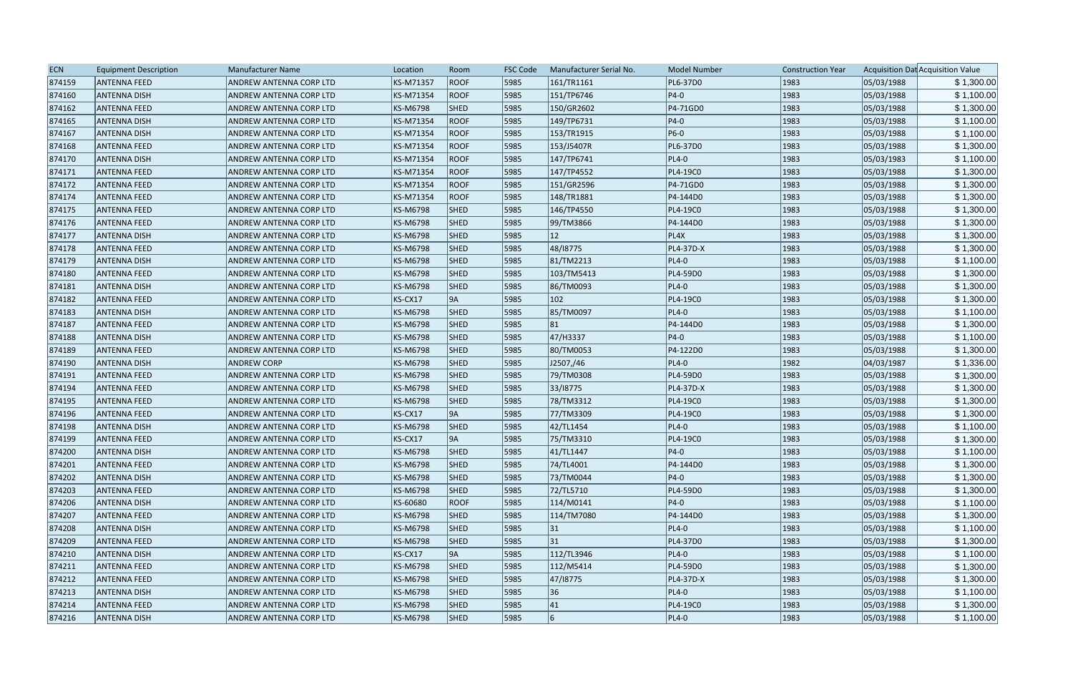| <b>ECN</b> | <b>Equipment Description</b> | <b>Manufacturer Name</b> | Location        | Room        | <b>FSC Code</b> | Manufacturer Serial No. | <b>Model Number</b> | <b>Construction Year</b> |            | Acquisition Dat Acquisition Value |
|------------|------------------------------|--------------------------|-----------------|-------------|-----------------|-------------------------|---------------------|--------------------------|------------|-----------------------------------|
| 874159     | <b>ANTENNA FEED</b>          | ANDREW ANTENNA CORP LTD  | KS-M71357       | <b>ROOF</b> | 5985            | 161/TR1161              | PL6-37D0            | 1983                     | 05/03/1988 | \$1,300.00                        |
| 874160     | <b>ANTENNA DISH</b>          | ANDREW ANTENNA CORP LTD  | KS-M71354       | <b>ROOF</b> | 5985            | 151/TP6746              | $ P4-0 $            | 1983                     | 05/03/1988 | \$1,100.00                        |
| 874162     | <b>ANTENNA FEED</b>          | ANDREW ANTENNA CORP LTD  | KS-M6798        | <b>SHED</b> | 5985            | 150/GR2602              | P4-71GD0            | 1983                     | 05/03/1988 | \$1,300.00                        |
| 874165     | <b>ANTENNA DISH</b>          | ANDREW ANTENNA CORP LTD  | KS-M71354       | <b>ROOF</b> | 5985            | 149/TP6731              | $ P4-0 $            | 1983                     | 05/03/1988 | \$1,100.00                        |
| 874167     | <b>ANTENNA DISH</b>          | ANDREW ANTENNA CORP LTD  | KS-M71354       | <b>ROOF</b> | 5985            | 153/TR1915              | $ P6-0 $            | 1983                     | 05/03/1988 | \$1,100.00                        |
| 874168     | <b>ANTENNA FEED</b>          | ANDREW ANTENNA CORP LTD  | KS-M71354       | <b>ROOF</b> | 5985            | 153/J5407R              | PL6-37D0            | 1983                     | 05/03/1988 | \$1,300.00                        |
| 874170     | <b>ANTENNA DISH</b>          | ANDREW ANTENNA CORP LTD  | KS-M71354       | <b>ROOF</b> | 5985            | 147/TP6741              | $PL4-0$             | 1983                     | 05/03/1983 | \$1,100.00                        |
| 874171     | <b>ANTENNA FEED</b>          | ANDREW ANTENNA CORP LTD  | KS-M71354       | <b>ROOF</b> | 5985            | 147/TP4552              | PL4-19C0            | 1983                     | 05/03/1988 | \$1,300.00                        |
| 874172     | <b>ANTENNA FEED</b>          | ANDREW ANTENNA CORP LTD  | KS-M71354       | <b>ROOF</b> | 5985            | 151/GR2596              | P4-71GD0            | 1983                     | 05/03/1988 | \$1,300.00                        |
| 874174     | <b>ANTENNA FEED</b>          | ANDREW ANTENNA CORP LTD  | KS-M71354       | <b>ROOF</b> | 5985            | 148/TR1881              | P4-144D0            | 1983                     | 05/03/1988 | \$1,300.00                        |
| 874175     | <b>ANTENNA FEED</b>          | ANDREW ANTENNA CORP LTD  | KS-M6798        | <b>SHED</b> | 5985            | 146/TP4550              | PL4-19C0            | 1983                     | 05/03/1988 | \$1,300.00                        |
| 874176     | <b>ANTENNA FEED</b>          | ANDREW ANTENNA CORP LTD  | <b>KS-M6798</b> | <b>SHED</b> | 5985            | 99/TM3866               | P4-144D0            | 1983                     | 05/03/1988 | \$1,300.00                        |
| 874177     | <b>ANTENNA DISH</b>          | ANDREW ANTENNA CORP LTD  | KS-M6798        | <b>SHED</b> | 5985            | $ 12\rangle$            | PL4X                | 1983                     | 05/03/1988 | \$1,300.00                        |
| 874178     | <b>ANTENNA FEED</b>          | ANDREW ANTENNA CORP LTD  | KS-M6798        | <b>SHED</b> | 5985            | 48/18775                | PL4-37D-X           | 1983                     | 05/03/1988 | \$1,300.00                        |
| 874179     | <b>ANTENNA DISH</b>          | ANDREW ANTENNA CORP LTD  | <b>KS-M6798</b> | <b>SHED</b> | 5985            | 81/TM2213               | $PL4-0$             | 1983                     | 05/03/1988 | \$1,100.00                        |
| 874180     | <b>ANTENNA FEED</b>          | ANDREW ANTENNA CORP LTD  | KS-M6798        | <b>SHED</b> | 5985            | 103/TM5413              | PL4-59D0            | 1983                     | 05/03/1988 | \$1,300.00                        |
| 874181     | <b>ANTENNA DISH</b>          | ANDREW ANTENNA CORP LTD  | KS-M6798        | <b>SHED</b> | 5985            | 86/TM0093               | $PL4-0$             | 1983                     | 05/03/1988 | \$1,300.00                        |
| 874182     | <b>ANTENNA FEED</b>          | ANDREW ANTENNA CORP LTD  | KS-CX17         | 9A          | 5985            | $ 102\rangle$           | PL4-19C0            | 1983                     | 05/03/1988 | \$1,300.00                        |
| 874183     | <b>ANTENNA DISH</b>          | ANDREW ANTENNA CORP LTD  | KS-M6798        | <b>SHED</b> | 5985            | 85/TM0097               | $PL4-0$             | 1983                     | 05/03/1988 | \$1,100.00                        |
| 874187     | <b>ANTENNA FEED</b>          | ANDREW ANTENNA CORP LTD  | <b>KS-M6798</b> | <b>SHED</b> | 5985            | 81                      | P4-144D0            | 1983                     | 05/03/1988 | \$1,300.00                        |
| 874188     | <b>ANTENNA DISH</b>          | ANDREW ANTENNA CORP LTD  | KS-M6798        | <b>SHED</b> | 5985            | 47/H3337                | $ P4-0 $            | 1983                     | 05/03/1988 | \$1,100.00                        |
| 874189     | <b>ANTENNA FEED</b>          | ANDREW ANTENNA CORP LTD  | <b>KS-M6798</b> | <b>SHED</b> | 5985            | 80/TM0053               | P4-122D0            | 1983                     | 05/03/1988 | \$1,300.00                        |
| 874190     | <b>ANTENNA DISH</b>          | <b>ANDREW CORP</b>       | KS-M6798        | <b>SHED</b> | 5985            | J2507,/46               | $PL4-0$             | 1982                     | 04/03/1987 | \$1,336.00                        |
| 874191     | <b>ANTENNA FEED</b>          | ANDREW ANTENNA CORP LTD  | <b>KS-M6798</b> | <b>SHED</b> | 5985            | 79/TM0308               | PL4-59D0            | 1983                     | 05/03/1988 | \$1,300.00                        |
| 874194     | <b>ANTENNA FEED</b>          | ANDREW ANTENNA CORP LTD  | KS-M6798        | <b>SHED</b> | 5985            | 33/18775                | PL4-37D-X           | 1983                     | 05/03/1988 | \$1,300.00                        |
| 874195     | <b>ANTENNA FEED</b>          | ANDREW ANTENNA CORP LTD  | KS-M6798        | <b>SHED</b> | 5985            | 78/TM3312               | PL4-19C0            | 1983                     | 05/03/1988 | \$1,300.00                        |
| 874196     | <b>ANTENNA FEED</b>          | ANDREW ANTENNA CORP LTD  | KS-CX17         | 9A          | 5985            | 77/TM3309               | PL4-19C0            | 1983                     | 05/03/1988 | \$1,300.00                        |
| 874198     | <b>ANTENNA DISH</b>          | ANDREW ANTENNA CORP LTD  | KS-M6798        | SHED        | 5985            | 42/TL1454               | $PL4-0$             | 1983                     | 05/03/1988 | \$1,100.00                        |
| 874199     | <b>ANTENNA FEED</b>          | ANDREW ANTENNA CORP LTD  | KS-CX17         | 9A          | 5985            | 75/TM3310               | PL4-19C0            | 1983                     | 05/03/1988 | \$1,300.00                        |
| 874200     | <b>ANTENNA DISH</b>          | ANDREW ANTENNA CORP LTD  | KS-M6798        | <b>SHED</b> | 5985            | 41/TL1447               | $ P4-0 $            | 1983                     | 05/03/1988 | \$1,100.00                        |
| 874201     | <b>ANTENNA FEED</b>          | ANDREW ANTENNA CORP LTD  | KS-M6798        | <b>SHED</b> | 5985            | 74/TL4001               | P4-144D0            | 1983                     | 05/03/1988 | \$1,300.00                        |
| 874202     | <b>ANTENNA DISH</b>          | ANDREW ANTENNA CORP LTD  | KS-M6798        | <b>SHED</b> | 5985            | 73/TM0044               | $ P4-0 $            | 1983                     | 05/03/1988 | \$1,300.00                        |
| 874203     | <b>ANTENNA FEED</b>          | ANDREW ANTENNA CORP LTD  | KS-M6798        | <b>SHED</b> | 5985            | 72/TL5710               | PL4-59D0            | 1983                     | 05/03/1988 | \$1,300.00                        |
| 874206     | <b>ANTENNA DISH</b>          | ANDREW ANTENNA CORP LTD  | KS-60680        | <b>ROOF</b> | 5985            | 114/M0141               | $ P4-0 $            | 1983                     | 05/03/1988 | \$1,100.00                        |
| 874207     | <b>ANTENNA FEED</b>          | ANDREW ANTENNA CORP LTD  | KS-M6798        | <b>SHED</b> | 5985            | 114/TM7080              | P4-144D0            | 1983                     | 05/03/1988 | \$1,300.00                        |
| 874208     | <b>ANTENNA DISH</b>          | ANDREW ANTENNA CORP LTD  | KS-M6798        | <b>SHED</b> | 5985            | 31                      | $PL4-0$             | 1983                     | 05/03/1988 | \$1,100.00                        |
| 874209     | <b>ANTENNA FEED</b>          | ANDREW ANTENNA CORP LTD  | KS-M6798        | <b>SHED</b> | 5985            | 31                      | PL4-37D0            | 1983                     | 05/03/1988 | \$1,300.00                        |
| 874210     | <b>ANTENNA DISH</b>          | ANDREW ANTENNA CORP LTD  | KS-CX17         | 9A          | 5985            | 112/TL3946              | $PL4-0$             | 1983                     | 05/03/1988 | \$1,100.00                        |
| 874211     | <b>ANTENNA FEED</b>          | ANDREW ANTENNA CORP LTD  | <b>KS-M6798</b> | <b>SHED</b> | 5985            | 112/M5414               | PL4-59D0            | 1983                     | 05/03/1988 | \$1,300.00                        |
| 874212     | <b>ANTENNA FEED</b>          | ANDREW ANTENNA CORP LTD  | KS-M6798        | <b>SHED</b> | 5985            | 47/18775                | PL4-37D-X           | 1983                     | 05/03/1988 | \$1,300.00                        |
| 874213     | <b>ANTENNA DISH</b>          | ANDREW ANTENNA CORP LTD  | KS-M6798        | <b>SHED</b> | 5985            | 36                      | $PL4-0$             | 1983                     | 05/03/1988 | \$1,100.00                        |
| 874214     | <b>ANTENNA FEED</b>          | ANDREW ANTENNA CORP LTD  | KS-M6798        | <b>SHED</b> | 5985            | 41                      | PL4-19C0            | 1983                     | 05/03/1988 | \$1,300.00                        |
| 874216     | <b>ANTENNA DISH</b>          | ANDREW ANTENNA CORP LTD  | KS-M6798        | <b>SHED</b> | 5985            | 6                       | $PL4-0$             | 1983                     | 05/03/1988 | \$1,100.00                        |
|            |                              |                          |                 |             |                 |                         |                     |                          |            |                                   |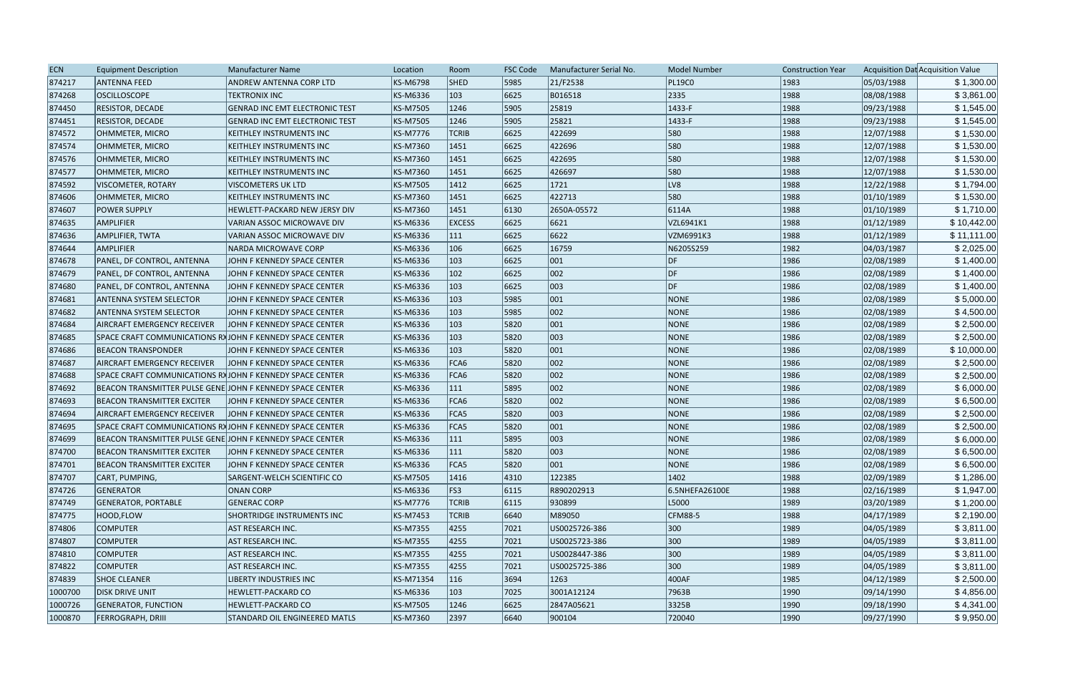| <b>KS-M6798</b><br><b>SHED</b><br>5985<br>21/F2538<br><b>PL19C0</b><br>1983<br>05/03/1988<br>874217<br><b>ANTENNA FEED</b><br>ANDREW ANTENNA CORP LTD<br>2335<br>1988<br>874268<br><b>OSCILLOSCOPE</b><br>KS-M6336<br>$ 103\rangle$<br>6625<br>B016518<br>08/08/1988<br><b>TEKTRONIX INC</b><br>874450<br><b>GENRAD INC EMT ELECTRONIC TEST</b><br><b>KS-M7505</b><br>1246<br>5905<br>25819<br>$ 1433-F$<br>1988<br>09/23/1988<br><b>RESISTOR, DECADE</b><br>25821<br>1988<br>09/23/1988<br>874451<br>RESISTOR, DECADE<br><b>KS-M7505</b><br>1246<br>5905<br>$ 1433-F$<br><b>GENRAD INC EMT ELECTRONIC TEST</b><br>874572<br><b>KS-M7776</b><br><b>TCRIB</b><br>6625<br>422699<br>580<br>1988<br>12/07/1988<br>OHMMETER, MICRO<br><b>KEITHLEY INSTRUMENTS INC</b><br>874574<br>KS-M7360<br>6625<br>422696<br>580<br>1988<br>12/07/1988<br>OHMMETER, MICRO<br>KEITHLEY INSTRUMENTS INC<br> 1451<br>580<br>6625<br>422695<br>1988<br>12/07/1988<br>874576<br>KS-M7360<br>1451<br>OHMMETER, MICRO<br>KEITHLEY INSTRUMENTS INC<br>580<br>874577<br>KS-M7360<br>6625<br>426697<br>1988<br>12/07/1988<br>OHMMETER, MICRO<br>KEITHLEY INSTRUMENTS INC<br>1451<br> 1721<br>LV8<br>1988<br>874592<br><b>KS-M7505</b><br>$ 1412\rangle$<br>6625<br>12/22/1988<br>VISCOMETER, ROTARY<br><b>VISCOMETERS UK LTD</b><br>580<br>1988<br>874606<br>KS-M7360<br> 1451<br>6625<br>422713<br> 01/10/1989<br>OHMMETER, MICRO<br>KEITHLEY INSTRUMENTS INC<br><b>KS-M7360</b><br>6130<br>2650A-05572<br>6114A<br>1988<br>01/10/1989<br>874607<br><b>POWER SUPPLY</b><br>HEWLETT-PACKARD NEW JERSY DIV<br> 1451<br>6625<br>6621<br>1988<br>01/12/1989<br>874635<br><b>AMPLIFIER</b><br>VARIAN ASSOC MICROWAVE DIV<br><b>KS-M6336</b><br><b>EXCESS</b><br>VZL6941K1<br>6625<br>6622<br>1988<br>01/12/1989<br>874636<br>AMPLIFIER, TWTA<br>VARIAN ASSOC MICROWAVE DIV<br><b>KS-M6336</b><br>111<br>VZM6991K3<br>KS-M6336<br> 106 <br>6625<br>N6205S259<br>1982<br>04/03/1987<br>874644<br><b>AMPLIFIER</b><br>16759<br><b>NARDA MICROWAVE CORP</b><br>874678<br>KS-M6336<br>$ 103\rangle$<br>6625<br>$ 001\rangle$<br>1986<br>02/08/1989<br>PANEL, DF CONTROL, ANTENNA<br>JOHN F KENNEDY SPACE CENTER<br> DF<br>002<br>DF<br>$ 102\rangle$<br>6625<br>1986<br>02/08/1989<br>874679<br>KS-M6336<br>PANEL, DF CONTROL, ANTENNA<br>JOHN F KENNEDY SPACE CENTER<br>DF<br>003<br>$ 103\rangle$<br>6625<br>1986<br>874680<br>KS-M6336<br>02/08/1989<br>PANEL, DF CONTROL, ANTENNA<br>JOHN F KENNEDY SPACE CENTER<br>103<br>5985<br>001<br>02/08/1989<br>874681<br>KS-M6336<br>NONE<br>1986<br><b>ANTENNA SYSTEM SELECTOR</b><br>JOHN F KENNEDY SPACE CENTER<br>002<br>103<br>5985<br>NONE<br>1986<br>02/08/1989<br>874682<br>ANTENNA SYSTEM SELECTOR<br>KS-M6336<br>\$4,500.00<br>JOHN F KENNEDY SPACE CENTER<br>001<br>\$2,500.00<br>KS-M6336<br>$ 103\rangle$<br>5820<br>NONE<br>1986<br>02/08/1989<br>874684<br>AIRCRAFT EMERGENCY RECEIVER<br>JOHN F KENNEDY SPACE CENTER<br>003<br>$ 103\rangle$<br>5820<br>NONE<br>1986<br>02/08/1989<br>\$2,500.00<br>874685<br>KS-M6336<br>SPACE CRAFT COMMUNICATIONS RAJOHN F KENNEDY SPACE CENTER<br>$ 001\rangle$<br>NONE<br>\$10,000.00<br>874686<br><b>BEACON TRANSPONDER</b><br><b>KS-M6336</b><br>$ 103\rangle$<br>5820<br>1986<br>02/08/1989<br>JOHN F KENNEDY SPACE CENTER<br>002<br>1986<br>02/08/1989<br>KS-M6336<br>FCA6<br>5820<br>NONE<br>\$2,500.00<br>874687<br><b>AIRCRAFT EMERGENCY RECEIVER</b><br>IJOHN F KENNEDY SPACE CENTER<br>002<br>874688<br>KS-M6336<br>FCA6<br>5820<br>NONE<br>1986<br>02/08/1989<br>SPACE CRAFT COMMUNICATIONS RAJOHN F KENNEDY SPACE CENTER<br>002<br>\$6,000.00<br>874692<br>111<br>5895<br>NONE<br>1986<br>02/08/1989<br>BEACON TRANSMITTER PULSE GENE JOHN F KENNEDY SPACE CENTER<br>KS-M6336<br>002<br>5820<br>1986<br>874693<br><b>BEACON TRANSMITTER EXCITER</b><br>KS-M6336<br>FCA6<br>NONE<br>02/08/1989<br>\$6,500.00<br>JOHN F KENNEDY SPACE CENTER<br>003<br>5820<br>NONE<br>1986<br>02/08/1989<br>874694<br><b>AIRCRAFT EMERGENCY RECEIVER</b><br>JOHN F KENNEDY SPACE CENTER<br>KS-M6336<br>FCA5<br>\$2,500.00<br> 001<br>NONE<br>1986<br>\$2,500.00<br>874695<br>KS-M6336<br>FCA5<br>5820<br>02/08/1989<br>SPACE CRAFT COMMUNICATIONS RAJOHN F KENNEDY SPACE CENTER<br>\$6,000.00<br>003<br>NONE<br>874699<br> 111 <br>5895<br>1986<br>02/08/1989<br>BEACON TRANSMITTER PULSE GENELJOHN F KENNEDY SPACE CENTER<br>KS-M6336<br>003<br> 111<br>5820<br>02/08/1989<br>874700<br>KS-M6336<br>NONE<br>1986<br>\$6,500.00<br><b>BEACON TRANSMITTER EXCITER</b><br>JOHN F KENNEDY SPACE CENTER<br>FCA5<br>\$6,500.00<br>5820<br>$ 001\rangle$<br>NONE<br>1986<br>02/08/1989<br>874701<br>KS-M6336<br><b>BEACON TRANSMITTER EXCITER</b><br>JOHN F KENNEDY SPACE CENTER<br>\$1,286.00<br>874707<br>122385<br> 1402 <br>02/09/1989<br>CART, PUMPING,<br><b>SARGENT-WELCH SCIENTIFIC CO</b><br><b>KS-M7505</b><br>1416<br>4310<br>1988<br>6.5NHEFA26100E<br>\$1,947.00<br>874726<br>GENERATOR<br><b>ONAN CORP</b><br>KS-M6336<br>FS3<br> 6115<br>R890202913<br>1988<br>02/16/1989<br>874749<br><b>GENERATOR, PORTABLE</b><br><b>GENERAC CORP</b><br><b>KS-M7776</b><br>930899<br>L5000<br>1989<br>03/20/1989<br>\$1,200.00<br><b>TCRIB</b><br> 6115<br>04/17/1989<br>\$2,190.00<br>874775<br>HOOD,FLOW<br><b>KS-M7453</b><br><b>TCRIB</b><br>6640<br>M89050<br>CFM88-5<br>1988<br><b>SHORTRIDGE INSTRUMENTS INC</b><br>\$3,811.00<br>874806<br><b>AST RESEARCH INC.</b><br><b>KS-M7355</b><br>4255<br>7021<br>US0025726-386<br>300<br>1989<br>04/05/1989<br> COMPUTER<br><b>AST RESEARCH INC.</b><br><b>KS-M7355</b><br>US0025723-386<br>300<br>04/05/1989<br>\$3,811.00<br>874807<br><b>COMPUTER</b><br>4255<br>7021<br>1989<br>300<br>\$3,811.00<br>874810<br><b>AST RESEARCH INC.</b><br><b>KS-M7355</b><br>4255<br>7021<br>US0028447-386<br>1989<br>04/05/1989<br><b>COMPUTER</b> | <b>ECN</b> | <b>Equipment Description</b> | Manufacturer Name | Location | Room | <b>FSC Code</b> | Manufacturer Serial No. | <b>Model Number</b> | <b>Construction Year</b> | Acquisition Dat Acquisition Value |
|-------------------------------------------------------------------------------------------------------------------------------------------------------------------------------------------------------------------------------------------------------------------------------------------------------------------------------------------------------------------------------------------------------------------------------------------------------------------------------------------------------------------------------------------------------------------------------------------------------------------------------------------------------------------------------------------------------------------------------------------------------------------------------------------------------------------------------------------------------------------------------------------------------------------------------------------------------------------------------------------------------------------------------------------------------------------------------------------------------------------------------------------------------------------------------------------------------------------------------------------------------------------------------------------------------------------------------------------------------------------------------------------------------------------------------------------------------------------------------------------------------------------------------------------------------------------------------------------------------------------------------------------------------------------------------------------------------------------------------------------------------------------------------------------------------------------------------------------------------------------------------------------------------------------------------------------------------------------------------------------------------------------------------------------------------------------------------------------------------------------------------------------------------------------------------------------------------------------------------------------------------------------------------------------------------------------------------------------------------------------------------------------------------------------------------------------------------------------------------------------------------------------------------------------------------------------------------------------------------------------------------------------------------------------------------------------------------------------------------------------------------------------------------------------------------------------------------------------------------------------------------------------------------------------------------------------------------------------------------------------------------------------------------------------------------------------------------------------------------------------------------------------------------------------------------------------------------------------------------------------------------------------------------------------------------------------------------------------------------------------------------------------------------------------------------------------------------------------------------------------------------------------------------------------------------------------------------------------------------------------------------------------------------------------------------------------------------------------------------------------------------------------------------------------------------------------------------------------------------------------------------------------------------------------------------------------------------------------------------------------------------------------------------------------------------------------------------------------------------------------------------------------------------------------------------------------------------------------------------------------------------------------------------------------------------------------------------------------------------------------------------------------------------------------------------------------------------------------------------------------------------------------------------------------------------------------------------------------------------------------------------------------------------------------------------------------------------------------------------------------------------------------------------------------------------------------------------------------------------------------------------------------------------------------------------------------------------------------------------------------------------------------------------------------------------------------------------------------------------------------------------------------------------------------------------------------------------------------------------------------------------------------------------------------------------------------------------------------------------------------------------------------------------------------------------------------------------------------------------------------------------------------------------------------------------------------------------------------------------------------------------------------------------------------------------------------------------------------------------------------------------------------------------------------------------------------------------------------------|------------|------------------------------|-------------------|----------|------|-----------------|-------------------------|---------------------|--------------------------|-----------------------------------|
|                                                                                                                                                                                                                                                                                                                                                                                                                                                                                                                                                                                                                                                                                                                                                                                                                                                                                                                                                                                                                                                                                                                                                                                                                                                                                                                                                                                                                                                                                                                                                                                                                                                                                                                                                                                                                                                                                                                                                                                                                                                                                                                                                                                                                                                                                                                                                                                                                                                                                                                                                                                                                                                                                                                                                                                                                                                                                                                                                                                                                                                                                                                                                                                                                                                                                                                                                                                                                                                                                                                                                                                                                                                                                                                                                                                                                                                                                                                                                                                                                                                                                                                                                                                                                                                                                                                                                                                                                                                                                                                                                                                                                                                                                                                                                                                                                                                                                                                                                                                                                                                                                                                                                                                                                                                                                                                                                                                                                                                                                                                                                                                                                                                                                                                                                                                                                                                 |            |                              |                   |          |      |                 |                         |                     |                          | \$1,300.00                        |
|                                                                                                                                                                                                                                                                                                                                                                                                                                                                                                                                                                                                                                                                                                                                                                                                                                                                                                                                                                                                                                                                                                                                                                                                                                                                                                                                                                                                                                                                                                                                                                                                                                                                                                                                                                                                                                                                                                                                                                                                                                                                                                                                                                                                                                                                                                                                                                                                                                                                                                                                                                                                                                                                                                                                                                                                                                                                                                                                                                                                                                                                                                                                                                                                                                                                                                                                                                                                                                                                                                                                                                                                                                                                                                                                                                                                                                                                                                                                                                                                                                                                                                                                                                                                                                                                                                                                                                                                                                                                                                                                                                                                                                                                                                                                                                                                                                                                                                                                                                                                                                                                                                                                                                                                                                                                                                                                                                                                                                                                                                                                                                                                                                                                                                                                                                                                                                                 |            |                              |                   |          |      |                 |                         |                     |                          | \$3,861.00                        |
|                                                                                                                                                                                                                                                                                                                                                                                                                                                                                                                                                                                                                                                                                                                                                                                                                                                                                                                                                                                                                                                                                                                                                                                                                                                                                                                                                                                                                                                                                                                                                                                                                                                                                                                                                                                                                                                                                                                                                                                                                                                                                                                                                                                                                                                                                                                                                                                                                                                                                                                                                                                                                                                                                                                                                                                                                                                                                                                                                                                                                                                                                                                                                                                                                                                                                                                                                                                                                                                                                                                                                                                                                                                                                                                                                                                                                                                                                                                                                                                                                                                                                                                                                                                                                                                                                                                                                                                                                                                                                                                                                                                                                                                                                                                                                                                                                                                                                                                                                                                                                                                                                                                                                                                                                                                                                                                                                                                                                                                                                                                                                                                                                                                                                                                                                                                                                                                 |            |                              |                   |          |      |                 |                         |                     |                          | \$1,545.00                        |
|                                                                                                                                                                                                                                                                                                                                                                                                                                                                                                                                                                                                                                                                                                                                                                                                                                                                                                                                                                                                                                                                                                                                                                                                                                                                                                                                                                                                                                                                                                                                                                                                                                                                                                                                                                                                                                                                                                                                                                                                                                                                                                                                                                                                                                                                                                                                                                                                                                                                                                                                                                                                                                                                                                                                                                                                                                                                                                                                                                                                                                                                                                                                                                                                                                                                                                                                                                                                                                                                                                                                                                                                                                                                                                                                                                                                                                                                                                                                                                                                                                                                                                                                                                                                                                                                                                                                                                                                                                                                                                                                                                                                                                                                                                                                                                                                                                                                                                                                                                                                                                                                                                                                                                                                                                                                                                                                                                                                                                                                                                                                                                                                                                                                                                                                                                                                                                                 |            |                              |                   |          |      |                 |                         |                     |                          | \$1,545.00                        |
|                                                                                                                                                                                                                                                                                                                                                                                                                                                                                                                                                                                                                                                                                                                                                                                                                                                                                                                                                                                                                                                                                                                                                                                                                                                                                                                                                                                                                                                                                                                                                                                                                                                                                                                                                                                                                                                                                                                                                                                                                                                                                                                                                                                                                                                                                                                                                                                                                                                                                                                                                                                                                                                                                                                                                                                                                                                                                                                                                                                                                                                                                                                                                                                                                                                                                                                                                                                                                                                                                                                                                                                                                                                                                                                                                                                                                                                                                                                                                                                                                                                                                                                                                                                                                                                                                                                                                                                                                                                                                                                                                                                                                                                                                                                                                                                                                                                                                                                                                                                                                                                                                                                                                                                                                                                                                                                                                                                                                                                                                                                                                                                                                                                                                                                                                                                                                                                 |            |                              |                   |          |      |                 |                         |                     |                          | \$1,530.00                        |
|                                                                                                                                                                                                                                                                                                                                                                                                                                                                                                                                                                                                                                                                                                                                                                                                                                                                                                                                                                                                                                                                                                                                                                                                                                                                                                                                                                                                                                                                                                                                                                                                                                                                                                                                                                                                                                                                                                                                                                                                                                                                                                                                                                                                                                                                                                                                                                                                                                                                                                                                                                                                                                                                                                                                                                                                                                                                                                                                                                                                                                                                                                                                                                                                                                                                                                                                                                                                                                                                                                                                                                                                                                                                                                                                                                                                                                                                                                                                                                                                                                                                                                                                                                                                                                                                                                                                                                                                                                                                                                                                                                                                                                                                                                                                                                                                                                                                                                                                                                                                                                                                                                                                                                                                                                                                                                                                                                                                                                                                                                                                                                                                                                                                                                                                                                                                                                                 |            |                              |                   |          |      |                 |                         |                     |                          | \$1,530.00                        |
|                                                                                                                                                                                                                                                                                                                                                                                                                                                                                                                                                                                                                                                                                                                                                                                                                                                                                                                                                                                                                                                                                                                                                                                                                                                                                                                                                                                                                                                                                                                                                                                                                                                                                                                                                                                                                                                                                                                                                                                                                                                                                                                                                                                                                                                                                                                                                                                                                                                                                                                                                                                                                                                                                                                                                                                                                                                                                                                                                                                                                                                                                                                                                                                                                                                                                                                                                                                                                                                                                                                                                                                                                                                                                                                                                                                                                                                                                                                                                                                                                                                                                                                                                                                                                                                                                                                                                                                                                                                                                                                                                                                                                                                                                                                                                                                                                                                                                                                                                                                                                                                                                                                                                                                                                                                                                                                                                                                                                                                                                                                                                                                                                                                                                                                                                                                                                                                 |            |                              |                   |          |      |                 |                         |                     |                          | \$1,530.00                        |
|                                                                                                                                                                                                                                                                                                                                                                                                                                                                                                                                                                                                                                                                                                                                                                                                                                                                                                                                                                                                                                                                                                                                                                                                                                                                                                                                                                                                                                                                                                                                                                                                                                                                                                                                                                                                                                                                                                                                                                                                                                                                                                                                                                                                                                                                                                                                                                                                                                                                                                                                                                                                                                                                                                                                                                                                                                                                                                                                                                                                                                                                                                                                                                                                                                                                                                                                                                                                                                                                                                                                                                                                                                                                                                                                                                                                                                                                                                                                                                                                                                                                                                                                                                                                                                                                                                                                                                                                                                                                                                                                                                                                                                                                                                                                                                                                                                                                                                                                                                                                                                                                                                                                                                                                                                                                                                                                                                                                                                                                                                                                                                                                                                                                                                                                                                                                                                                 |            |                              |                   |          |      |                 |                         |                     |                          | \$1,530.00                        |
|                                                                                                                                                                                                                                                                                                                                                                                                                                                                                                                                                                                                                                                                                                                                                                                                                                                                                                                                                                                                                                                                                                                                                                                                                                                                                                                                                                                                                                                                                                                                                                                                                                                                                                                                                                                                                                                                                                                                                                                                                                                                                                                                                                                                                                                                                                                                                                                                                                                                                                                                                                                                                                                                                                                                                                                                                                                                                                                                                                                                                                                                                                                                                                                                                                                                                                                                                                                                                                                                                                                                                                                                                                                                                                                                                                                                                                                                                                                                                                                                                                                                                                                                                                                                                                                                                                                                                                                                                                                                                                                                                                                                                                                                                                                                                                                                                                                                                                                                                                                                                                                                                                                                                                                                                                                                                                                                                                                                                                                                                                                                                                                                                                                                                                                                                                                                                                                 |            |                              |                   |          |      |                 |                         |                     |                          | \$1,794.00                        |
|                                                                                                                                                                                                                                                                                                                                                                                                                                                                                                                                                                                                                                                                                                                                                                                                                                                                                                                                                                                                                                                                                                                                                                                                                                                                                                                                                                                                                                                                                                                                                                                                                                                                                                                                                                                                                                                                                                                                                                                                                                                                                                                                                                                                                                                                                                                                                                                                                                                                                                                                                                                                                                                                                                                                                                                                                                                                                                                                                                                                                                                                                                                                                                                                                                                                                                                                                                                                                                                                                                                                                                                                                                                                                                                                                                                                                                                                                                                                                                                                                                                                                                                                                                                                                                                                                                                                                                                                                                                                                                                                                                                                                                                                                                                                                                                                                                                                                                                                                                                                                                                                                                                                                                                                                                                                                                                                                                                                                                                                                                                                                                                                                                                                                                                                                                                                                                                 |            |                              |                   |          |      |                 |                         |                     |                          | \$1,530.00                        |
|                                                                                                                                                                                                                                                                                                                                                                                                                                                                                                                                                                                                                                                                                                                                                                                                                                                                                                                                                                                                                                                                                                                                                                                                                                                                                                                                                                                                                                                                                                                                                                                                                                                                                                                                                                                                                                                                                                                                                                                                                                                                                                                                                                                                                                                                                                                                                                                                                                                                                                                                                                                                                                                                                                                                                                                                                                                                                                                                                                                                                                                                                                                                                                                                                                                                                                                                                                                                                                                                                                                                                                                                                                                                                                                                                                                                                                                                                                                                                                                                                                                                                                                                                                                                                                                                                                                                                                                                                                                                                                                                                                                                                                                                                                                                                                                                                                                                                                                                                                                                                                                                                                                                                                                                                                                                                                                                                                                                                                                                                                                                                                                                                                                                                                                                                                                                                                                 |            |                              |                   |          |      |                 |                         |                     |                          | \$1,710.00                        |
|                                                                                                                                                                                                                                                                                                                                                                                                                                                                                                                                                                                                                                                                                                                                                                                                                                                                                                                                                                                                                                                                                                                                                                                                                                                                                                                                                                                                                                                                                                                                                                                                                                                                                                                                                                                                                                                                                                                                                                                                                                                                                                                                                                                                                                                                                                                                                                                                                                                                                                                                                                                                                                                                                                                                                                                                                                                                                                                                                                                                                                                                                                                                                                                                                                                                                                                                                                                                                                                                                                                                                                                                                                                                                                                                                                                                                                                                                                                                                                                                                                                                                                                                                                                                                                                                                                                                                                                                                                                                                                                                                                                                                                                                                                                                                                                                                                                                                                                                                                                                                                                                                                                                                                                                                                                                                                                                                                                                                                                                                                                                                                                                                                                                                                                                                                                                                                                 |            |                              |                   |          |      |                 |                         |                     |                          | \$10,442.00                       |
|                                                                                                                                                                                                                                                                                                                                                                                                                                                                                                                                                                                                                                                                                                                                                                                                                                                                                                                                                                                                                                                                                                                                                                                                                                                                                                                                                                                                                                                                                                                                                                                                                                                                                                                                                                                                                                                                                                                                                                                                                                                                                                                                                                                                                                                                                                                                                                                                                                                                                                                                                                                                                                                                                                                                                                                                                                                                                                                                                                                                                                                                                                                                                                                                                                                                                                                                                                                                                                                                                                                                                                                                                                                                                                                                                                                                                                                                                                                                                                                                                                                                                                                                                                                                                                                                                                                                                                                                                                                                                                                                                                                                                                                                                                                                                                                                                                                                                                                                                                                                                                                                                                                                                                                                                                                                                                                                                                                                                                                                                                                                                                                                                                                                                                                                                                                                                                                 |            |                              |                   |          |      |                 |                         |                     |                          | \$11,111.00                       |
|                                                                                                                                                                                                                                                                                                                                                                                                                                                                                                                                                                                                                                                                                                                                                                                                                                                                                                                                                                                                                                                                                                                                                                                                                                                                                                                                                                                                                                                                                                                                                                                                                                                                                                                                                                                                                                                                                                                                                                                                                                                                                                                                                                                                                                                                                                                                                                                                                                                                                                                                                                                                                                                                                                                                                                                                                                                                                                                                                                                                                                                                                                                                                                                                                                                                                                                                                                                                                                                                                                                                                                                                                                                                                                                                                                                                                                                                                                                                                                                                                                                                                                                                                                                                                                                                                                                                                                                                                                                                                                                                                                                                                                                                                                                                                                                                                                                                                                                                                                                                                                                                                                                                                                                                                                                                                                                                                                                                                                                                                                                                                                                                                                                                                                                                                                                                                                                 |            |                              |                   |          |      |                 |                         |                     |                          | \$2,025.00                        |
|                                                                                                                                                                                                                                                                                                                                                                                                                                                                                                                                                                                                                                                                                                                                                                                                                                                                                                                                                                                                                                                                                                                                                                                                                                                                                                                                                                                                                                                                                                                                                                                                                                                                                                                                                                                                                                                                                                                                                                                                                                                                                                                                                                                                                                                                                                                                                                                                                                                                                                                                                                                                                                                                                                                                                                                                                                                                                                                                                                                                                                                                                                                                                                                                                                                                                                                                                                                                                                                                                                                                                                                                                                                                                                                                                                                                                                                                                                                                                                                                                                                                                                                                                                                                                                                                                                                                                                                                                                                                                                                                                                                                                                                                                                                                                                                                                                                                                                                                                                                                                                                                                                                                                                                                                                                                                                                                                                                                                                                                                                                                                                                                                                                                                                                                                                                                                                                 |            |                              |                   |          |      |                 |                         |                     |                          | \$1,400.00                        |
|                                                                                                                                                                                                                                                                                                                                                                                                                                                                                                                                                                                                                                                                                                                                                                                                                                                                                                                                                                                                                                                                                                                                                                                                                                                                                                                                                                                                                                                                                                                                                                                                                                                                                                                                                                                                                                                                                                                                                                                                                                                                                                                                                                                                                                                                                                                                                                                                                                                                                                                                                                                                                                                                                                                                                                                                                                                                                                                                                                                                                                                                                                                                                                                                                                                                                                                                                                                                                                                                                                                                                                                                                                                                                                                                                                                                                                                                                                                                                                                                                                                                                                                                                                                                                                                                                                                                                                                                                                                                                                                                                                                                                                                                                                                                                                                                                                                                                                                                                                                                                                                                                                                                                                                                                                                                                                                                                                                                                                                                                                                                                                                                                                                                                                                                                                                                                                                 |            |                              |                   |          |      |                 |                         |                     |                          | \$1,400.00                        |
|                                                                                                                                                                                                                                                                                                                                                                                                                                                                                                                                                                                                                                                                                                                                                                                                                                                                                                                                                                                                                                                                                                                                                                                                                                                                                                                                                                                                                                                                                                                                                                                                                                                                                                                                                                                                                                                                                                                                                                                                                                                                                                                                                                                                                                                                                                                                                                                                                                                                                                                                                                                                                                                                                                                                                                                                                                                                                                                                                                                                                                                                                                                                                                                                                                                                                                                                                                                                                                                                                                                                                                                                                                                                                                                                                                                                                                                                                                                                                                                                                                                                                                                                                                                                                                                                                                                                                                                                                                                                                                                                                                                                                                                                                                                                                                                                                                                                                                                                                                                                                                                                                                                                                                                                                                                                                                                                                                                                                                                                                                                                                                                                                                                                                                                                                                                                                                                 |            |                              |                   |          |      |                 |                         |                     |                          | \$1,400.00                        |
|                                                                                                                                                                                                                                                                                                                                                                                                                                                                                                                                                                                                                                                                                                                                                                                                                                                                                                                                                                                                                                                                                                                                                                                                                                                                                                                                                                                                                                                                                                                                                                                                                                                                                                                                                                                                                                                                                                                                                                                                                                                                                                                                                                                                                                                                                                                                                                                                                                                                                                                                                                                                                                                                                                                                                                                                                                                                                                                                                                                                                                                                                                                                                                                                                                                                                                                                                                                                                                                                                                                                                                                                                                                                                                                                                                                                                                                                                                                                                                                                                                                                                                                                                                                                                                                                                                                                                                                                                                                                                                                                                                                                                                                                                                                                                                                                                                                                                                                                                                                                                                                                                                                                                                                                                                                                                                                                                                                                                                                                                                                                                                                                                                                                                                                                                                                                                                                 |            |                              |                   |          |      |                 |                         |                     |                          | \$5,000.00                        |
|                                                                                                                                                                                                                                                                                                                                                                                                                                                                                                                                                                                                                                                                                                                                                                                                                                                                                                                                                                                                                                                                                                                                                                                                                                                                                                                                                                                                                                                                                                                                                                                                                                                                                                                                                                                                                                                                                                                                                                                                                                                                                                                                                                                                                                                                                                                                                                                                                                                                                                                                                                                                                                                                                                                                                                                                                                                                                                                                                                                                                                                                                                                                                                                                                                                                                                                                                                                                                                                                                                                                                                                                                                                                                                                                                                                                                                                                                                                                                                                                                                                                                                                                                                                                                                                                                                                                                                                                                                                                                                                                                                                                                                                                                                                                                                                                                                                                                                                                                                                                                                                                                                                                                                                                                                                                                                                                                                                                                                                                                                                                                                                                                                                                                                                                                                                                                                                 |            |                              |                   |          |      |                 |                         |                     |                          |                                   |
|                                                                                                                                                                                                                                                                                                                                                                                                                                                                                                                                                                                                                                                                                                                                                                                                                                                                                                                                                                                                                                                                                                                                                                                                                                                                                                                                                                                                                                                                                                                                                                                                                                                                                                                                                                                                                                                                                                                                                                                                                                                                                                                                                                                                                                                                                                                                                                                                                                                                                                                                                                                                                                                                                                                                                                                                                                                                                                                                                                                                                                                                                                                                                                                                                                                                                                                                                                                                                                                                                                                                                                                                                                                                                                                                                                                                                                                                                                                                                                                                                                                                                                                                                                                                                                                                                                                                                                                                                                                                                                                                                                                                                                                                                                                                                                                                                                                                                                                                                                                                                                                                                                                                                                                                                                                                                                                                                                                                                                                                                                                                                                                                                                                                                                                                                                                                                                                 |            |                              |                   |          |      |                 |                         |                     |                          |                                   |
|                                                                                                                                                                                                                                                                                                                                                                                                                                                                                                                                                                                                                                                                                                                                                                                                                                                                                                                                                                                                                                                                                                                                                                                                                                                                                                                                                                                                                                                                                                                                                                                                                                                                                                                                                                                                                                                                                                                                                                                                                                                                                                                                                                                                                                                                                                                                                                                                                                                                                                                                                                                                                                                                                                                                                                                                                                                                                                                                                                                                                                                                                                                                                                                                                                                                                                                                                                                                                                                                                                                                                                                                                                                                                                                                                                                                                                                                                                                                                                                                                                                                                                                                                                                                                                                                                                                                                                                                                                                                                                                                                                                                                                                                                                                                                                                                                                                                                                                                                                                                                                                                                                                                                                                                                                                                                                                                                                                                                                                                                                                                                                                                                                                                                                                                                                                                                                                 |            |                              |                   |          |      |                 |                         |                     |                          |                                   |
|                                                                                                                                                                                                                                                                                                                                                                                                                                                                                                                                                                                                                                                                                                                                                                                                                                                                                                                                                                                                                                                                                                                                                                                                                                                                                                                                                                                                                                                                                                                                                                                                                                                                                                                                                                                                                                                                                                                                                                                                                                                                                                                                                                                                                                                                                                                                                                                                                                                                                                                                                                                                                                                                                                                                                                                                                                                                                                                                                                                                                                                                                                                                                                                                                                                                                                                                                                                                                                                                                                                                                                                                                                                                                                                                                                                                                                                                                                                                                                                                                                                                                                                                                                                                                                                                                                                                                                                                                                                                                                                                                                                                                                                                                                                                                                                                                                                                                                                                                                                                                                                                                                                                                                                                                                                                                                                                                                                                                                                                                                                                                                                                                                                                                                                                                                                                                                                 |            |                              |                   |          |      |                 |                         |                     |                          |                                   |
|                                                                                                                                                                                                                                                                                                                                                                                                                                                                                                                                                                                                                                                                                                                                                                                                                                                                                                                                                                                                                                                                                                                                                                                                                                                                                                                                                                                                                                                                                                                                                                                                                                                                                                                                                                                                                                                                                                                                                                                                                                                                                                                                                                                                                                                                                                                                                                                                                                                                                                                                                                                                                                                                                                                                                                                                                                                                                                                                                                                                                                                                                                                                                                                                                                                                                                                                                                                                                                                                                                                                                                                                                                                                                                                                                                                                                                                                                                                                                                                                                                                                                                                                                                                                                                                                                                                                                                                                                                                                                                                                                                                                                                                                                                                                                                                                                                                                                                                                                                                                                                                                                                                                                                                                                                                                                                                                                                                                                                                                                                                                                                                                                                                                                                                                                                                                                                                 |            |                              |                   |          |      |                 |                         |                     |                          |                                   |
|                                                                                                                                                                                                                                                                                                                                                                                                                                                                                                                                                                                                                                                                                                                                                                                                                                                                                                                                                                                                                                                                                                                                                                                                                                                                                                                                                                                                                                                                                                                                                                                                                                                                                                                                                                                                                                                                                                                                                                                                                                                                                                                                                                                                                                                                                                                                                                                                                                                                                                                                                                                                                                                                                                                                                                                                                                                                                                                                                                                                                                                                                                                                                                                                                                                                                                                                                                                                                                                                                                                                                                                                                                                                                                                                                                                                                                                                                                                                                                                                                                                                                                                                                                                                                                                                                                                                                                                                                                                                                                                                                                                                                                                                                                                                                                                                                                                                                                                                                                                                                                                                                                                                                                                                                                                                                                                                                                                                                                                                                                                                                                                                                                                                                                                                                                                                                                                 |            |                              |                   |          |      |                 |                         |                     |                          | \$2,500.00                        |
|                                                                                                                                                                                                                                                                                                                                                                                                                                                                                                                                                                                                                                                                                                                                                                                                                                                                                                                                                                                                                                                                                                                                                                                                                                                                                                                                                                                                                                                                                                                                                                                                                                                                                                                                                                                                                                                                                                                                                                                                                                                                                                                                                                                                                                                                                                                                                                                                                                                                                                                                                                                                                                                                                                                                                                                                                                                                                                                                                                                                                                                                                                                                                                                                                                                                                                                                                                                                                                                                                                                                                                                                                                                                                                                                                                                                                                                                                                                                                                                                                                                                                                                                                                                                                                                                                                                                                                                                                                                                                                                                                                                                                                                                                                                                                                                                                                                                                                                                                                                                                                                                                                                                                                                                                                                                                                                                                                                                                                                                                                                                                                                                                                                                                                                                                                                                                                                 |            |                              |                   |          |      |                 |                         |                     |                          |                                   |
|                                                                                                                                                                                                                                                                                                                                                                                                                                                                                                                                                                                                                                                                                                                                                                                                                                                                                                                                                                                                                                                                                                                                                                                                                                                                                                                                                                                                                                                                                                                                                                                                                                                                                                                                                                                                                                                                                                                                                                                                                                                                                                                                                                                                                                                                                                                                                                                                                                                                                                                                                                                                                                                                                                                                                                                                                                                                                                                                                                                                                                                                                                                                                                                                                                                                                                                                                                                                                                                                                                                                                                                                                                                                                                                                                                                                                                                                                                                                                                                                                                                                                                                                                                                                                                                                                                                                                                                                                                                                                                                                                                                                                                                                                                                                                                                                                                                                                                                                                                                                                                                                                                                                                                                                                                                                                                                                                                                                                                                                                                                                                                                                                                                                                                                                                                                                                                                 |            |                              |                   |          |      |                 |                         |                     |                          |                                   |
|                                                                                                                                                                                                                                                                                                                                                                                                                                                                                                                                                                                                                                                                                                                                                                                                                                                                                                                                                                                                                                                                                                                                                                                                                                                                                                                                                                                                                                                                                                                                                                                                                                                                                                                                                                                                                                                                                                                                                                                                                                                                                                                                                                                                                                                                                                                                                                                                                                                                                                                                                                                                                                                                                                                                                                                                                                                                                                                                                                                                                                                                                                                                                                                                                                                                                                                                                                                                                                                                                                                                                                                                                                                                                                                                                                                                                                                                                                                                                                                                                                                                                                                                                                                                                                                                                                                                                                                                                                                                                                                                                                                                                                                                                                                                                                                                                                                                                                                                                                                                                                                                                                                                                                                                                                                                                                                                                                                                                                                                                                                                                                                                                                                                                                                                                                                                                                                 |            |                              |                   |          |      |                 |                         |                     |                          |                                   |
|                                                                                                                                                                                                                                                                                                                                                                                                                                                                                                                                                                                                                                                                                                                                                                                                                                                                                                                                                                                                                                                                                                                                                                                                                                                                                                                                                                                                                                                                                                                                                                                                                                                                                                                                                                                                                                                                                                                                                                                                                                                                                                                                                                                                                                                                                                                                                                                                                                                                                                                                                                                                                                                                                                                                                                                                                                                                                                                                                                                                                                                                                                                                                                                                                                                                                                                                                                                                                                                                                                                                                                                                                                                                                                                                                                                                                                                                                                                                                                                                                                                                                                                                                                                                                                                                                                                                                                                                                                                                                                                                                                                                                                                                                                                                                                                                                                                                                                                                                                                                                                                                                                                                                                                                                                                                                                                                                                                                                                                                                                                                                                                                                                                                                                                                                                                                                                                 |            |                              |                   |          |      |                 |                         |                     |                          |                                   |
|                                                                                                                                                                                                                                                                                                                                                                                                                                                                                                                                                                                                                                                                                                                                                                                                                                                                                                                                                                                                                                                                                                                                                                                                                                                                                                                                                                                                                                                                                                                                                                                                                                                                                                                                                                                                                                                                                                                                                                                                                                                                                                                                                                                                                                                                                                                                                                                                                                                                                                                                                                                                                                                                                                                                                                                                                                                                                                                                                                                                                                                                                                                                                                                                                                                                                                                                                                                                                                                                                                                                                                                                                                                                                                                                                                                                                                                                                                                                                                                                                                                                                                                                                                                                                                                                                                                                                                                                                                                                                                                                                                                                                                                                                                                                                                                                                                                                                                                                                                                                                                                                                                                                                                                                                                                                                                                                                                                                                                                                                                                                                                                                                                                                                                                                                                                                                                                 |            |                              |                   |          |      |                 |                         |                     |                          |                                   |
|                                                                                                                                                                                                                                                                                                                                                                                                                                                                                                                                                                                                                                                                                                                                                                                                                                                                                                                                                                                                                                                                                                                                                                                                                                                                                                                                                                                                                                                                                                                                                                                                                                                                                                                                                                                                                                                                                                                                                                                                                                                                                                                                                                                                                                                                                                                                                                                                                                                                                                                                                                                                                                                                                                                                                                                                                                                                                                                                                                                                                                                                                                                                                                                                                                                                                                                                                                                                                                                                                                                                                                                                                                                                                                                                                                                                                                                                                                                                                                                                                                                                                                                                                                                                                                                                                                                                                                                                                                                                                                                                                                                                                                                                                                                                                                                                                                                                                                                                                                                                                                                                                                                                                                                                                                                                                                                                                                                                                                                                                                                                                                                                                                                                                                                                                                                                                                                 |            |                              |                   |          |      |                 |                         |                     |                          |                                   |
|                                                                                                                                                                                                                                                                                                                                                                                                                                                                                                                                                                                                                                                                                                                                                                                                                                                                                                                                                                                                                                                                                                                                                                                                                                                                                                                                                                                                                                                                                                                                                                                                                                                                                                                                                                                                                                                                                                                                                                                                                                                                                                                                                                                                                                                                                                                                                                                                                                                                                                                                                                                                                                                                                                                                                                                                                                                                                                                                                                                                                                                                                                                                                                                                                                                                                                                                                                                                                                                                                                                                                                                                                                                                                                                                                                                                                                                                                                                                                                                                                                                                                                                                                                                                                                                                                                                                                                                                                                                                                                                                                                                                                                                                                                                                                                                                                                                                                                                                                                                                                                                                                                                                                                                                                                                                                                                                                                                                                                                                                                                                                                                                                                                                                                                                                                                                                                                 |            |                              |                   |          |      |                 |                         |                     |                          |                                   |
|                                                                                                                                                                                                                                                                                                                                                                                                                                                                                                                                                                                                                                                                                                                                                                                                                                                                                                                                                                                                                                                                                                                                                                                                                                                                                                                                                                                                                                                                                                                                                                                                                                                                                                                                                                                                                                                                                                                                                                                                                                                                                                                                                                                                                                                                                                                                                                                                                                                                                                                                                                                                                                                                                                                                                                                                                                                                                                                                                                                                                                                                                                                                                                                                                                                                                                                                                                                                                                                                                                                                                                                                                                                                                                                                                                                                                                                                                                                                                                                                                                                                                                                                                                                                                                                                                                                                                                                                                                                                                                                                                                                                                                                                                                                                                                                                                                                                                                                                                                                                                                                                                                                                                                                                                                                                                                                                                                                                                                                                                                                                                                                                                                                                                                                                                                                                                                                 |            |                              |                   |          |      |                 |                         |                     |                          |                                   |
|                                                                                                                                                                                                                                                                                                                                                                                                                                                                                                                                                                                                                                                                                                                                                                                                                                                                                                                                                                                                                                                                                                                                                                                                                                                                                                                                                                                                                                                                                                                                                                                                                                                                                                                                                                                                                                                                                                                                                                                                                                                                                                                                                                                                                                                                                                                                                                                                                                                                                                                                                                                                                                                                                                                                                                                                                                                                                                                                                                                                                                                                                                                                                                                                                                                                                                                                                                                                                                                                                                                                                                                                                                                                                                                                                                                                                                                                                                                                                                                                                                                                                                                                                                                                                                                                                                                                                                                                                                                                                                                                                                                                                                                                                                                                                                                                                                                                                                                                                                                                                                                                                                                                                                                                                                                                                                                                                                                                                                                                                                                                                                                                                                                                                                                                                                                                                                                 |            |                              |                   |          |      |                 |                         |                     |                          |                                   |
|                                                                                                                                                                                                                                                                                                                                                                                                                                                                                                                                                                                                                                                                                                                                                                                                                                                                                                                                                                                                                                                                                                                                                                                                                                                                                                                                                                                                                                                                                                                                                                                                                                                                                                                                                                                                                                                                                                                                                                                                                                                                                                                                                                                                                                                                                                                                                                                                                                                                                                                                                                                                                                                                                                                                                                                                                                                                                                                                                                                                                                                                                                                                                                                                                                                                                                                                                                                                                                                                                                                                                                                                                                                                                                                                                                                                                                                                                                                                                                                                                                                                                                                                                                                                                                                                                                                                                                                                                                                                                                                                                                                                                                                                                                                                                                                                                                                                                                                                                                                                                                                                                                                                                                                                                                                                                                                                                                                                                                                                                                                                                                                                                                                                                                                                                                                                                                                 |            |                              |                   |          |      |                 |                         |                     |                          |                                   |
|                                                                                                                                                                                                                                                                                                                                                                                                                                                                                                                                                                                                                                                                                                                                                                                                                                                                                                                                                                                                                                                                                                                                                                                                                                                                                                                                                                                                                                                                                                                                                                                                                                                                                                                                                                                                                                                                                                                                                                                                                                                                                                                                                                                                                                                                                                                                                                                                                                                                                                                                                                                                                                                                                                                                                                                                                                                                                                                                                                                                                                                                                                                                                                                                                                                                                                                                                                                                                                                                                                                                                                                                                                                                                                                                                                                                                                                                                                                                                                                                                                                                                                                                                                                                                                                                                                                                                                                                                                                                                                                                                                                                                                                                                                                                                                                                                                                                                                                                                                                                                                                                                                                                                                                                                                                                                                                                                                                                                                                                                                                                                                                                                                                                                                                                                                                                                                                 |            |                              |                   |          |      |                 |                         |                     |                          |                                   |
|                                                                                                                                                                                                                                                                                                                                                                                                                                                                                                                                                                                                                                                                                                                                                                                                                                                                                                                                                                                                                                                                                                                                                                                                                                                                                                                                                                                                                                                                                                                                                                                                                                                                                                                                                                                                                                                                                                                                                                                                                                                                                                                                                                                                                                                                                                                                                                                                                                                                                                                                                                                                                                                                                                                                                                                                                                                                                                                                                                                                                                                                                                                                                                                                                                                                                                                                                                                                                                                                                                                                                                                                                                                                                                                                                                                                                                                                                                                                                                                                                                                                                                                                                                                                                                                                                                                                                                                                                                                                                                                                                                                                                                                                                                                                                                                                                                                                                                                                                                                                                                                                                                                                                                                                                                                                                                                                                                                                                                                                                                                                                                                                                                                                                                                                                                                                                                                 |            |                              |                   |          |      |                 |                         |                     |                          |                                   |
|                                                                                                                                                                                                                                                                                                                                                                                                                                                                                                                                                                                                                                                                                                                                                                                                                                                                                                                                                                                                                                                                                                                                                                                                                                                                                                                                                                                                                                                                                                                                                                                                                                                                                                                                                                                                                                                                                                                                                                                                                                                                                                                                                                                                                                                                                                                                                                                                                                                                                                                                                                                                                                                                                                                                                                                                                                                                                                                                                                                                                                                                                                                                                                                                                                                                                                                                                                                                                                                                                                                                                                                                                                                                                                                                                                                                                                                                                                                                                                                                                                                                                                                                                                                                                                                                                                                                                                                                                                                                                                                                                                                                                                                                                                                                                                                                                                                                                                                                                                                                                                                                                                                                                                                                                                                                                                                                                                                                                                                                                                                                                                                                                                                                                                                                                                                                                                                 |            |                              |                   |          |      |                 |                         |                     |                          |                                   |
|                                                                                                                                                                                                                                                                                                                                                                                                                                                                                                                                                                                                                                                                                                                                                                                                                                                                                                                                                                                                                                                                                                                                                                                                                                                                                                                                                                                                                                                                                                                                                                                                                                                                                                                                                                                                                                                                                                                                                                                                                                                                                                                                                                                                                                                                                                                                                                                                                                                                                                                                                                                                                                                                                                                                                                                                                                                                                                                                                                                                                                                                                                                                                                                                                                                                                                                                                                                                                                                                                                                                                                                                                                                                                                                                                                                                                                                                                                                                                                                                                                                                                                                                                                                                                                                                                                                                                                                                                                                                                                                                                                                                                                                                                                                                                                                                                                                                                                                                                                                                                                                                                                                                                                                                                                                                                                                                                                                                                                                                                                                                                                                                                                                                                                                                                                                                                                                 |            |                              |                   |          |      |                 |                         |                     |                          |                                   |
| 300<br>04/05/1989<br>874822<br><b>COMPUTER</b><br><b>AST RESEARCH INC.</b><br><b>KS-M7355</b><br>4255<br>7021<br>US0025725-386<br>1989                                                                                                                                                                                                                                                                                                                                                                                                                                                                                                                                                                                                                                                                                                                                                                                                                                                                                                                                                                                                                                                                                                                                                                                                                                                                                                                                                                                                                                                                                                                                                                                                                                                                                                                                                                                                                                                                                                                                                                                                                                                                                                                                                                                                                                                                                                                                                                                                                                                                                                                                                                                                                                                                                                                                                                                                                                                                                                                                                                                                                                                                                                                                                                                                                                                                                                                                                                                                                                                                                                                                                                                                                                                                                                                                                                                                                                                                                                                                                                                                                                                                                                                                                                                                                                                                                                                                                                                                                                                                                                                                                                                                                                                                                                                                                                                                                                                                                                                                                                                                                                                                                                                                                                                                                                                                                                                                                                                                                                                                                                                                                                                                                                                                                                          |            |                              |                   |          |      |                 |                         |                     |                          | \$3,811.00                        |
| 400AF<br>1985<br>874839<br>SHOE CLEANER<br>KS-M71354<br>116<br>3694<br>1263<br>04/12/1989<br>LIBERTY INDUSTRIES INC                                                                                                                                                                                                                                                                                                                                                                                                                                                                                                                                                                                                                                                                                                                                                                                                                                                                                                                                                                                                                                                                                                                                                                                                                                                                                                                                                                                                                                                                                                                                                                                                                                                                                                                                                                                                                                                                                                                                                                                                                                                                                                                                                                                                                                                                                                                                                                                                                                                                                                                                                                                                                                                                                                                                                                                                                                                                                                                                                                                                                                                                                                                                                                                                                                                                                                                                                                                                                                                                                                                                                                                                                                                                                                                                                                                                                                                                                                                                                                                                                                                                                                                                                                                                                                                                                                                                                                                                                                                                                                                                                                                                                                                                                                                                                                                                                                                                                                                                                                                                                                                                                                                                                                                                                                                                                                                                                                                                                                                                                                                                                                                                                                                                                                                             |            |                              |                   |          |      |                 |                         |                     |                          | \$2,500.00                        |
| 1000700<br><b>DISK DRIVE UNIT</b><br><b>HEWLETT-PACKARD CO</b><br>KS-M6336<br>$ 103\rangle$<br>7025<br>7963B<br>1990<br>09/14/1990<br>3001A12124                                                                                                                                                                                                                                                                                                                                                                                                                                                                                                                                                                                                                                                                                                                                                                                                                                                                                                                                                                                                                                                                                                                                                                                                                                                                                                                                                                                                                                                                                                                                                                                                                                                                                                                                                                                                                                                                                                                                                                                                                                                                                                                                                                                                                                                                                                                                                                                                                                                                                                                                                                                                                                                                                                                                                                                                                                                                                                                                                                                                                                                                                                                                                                                                                                                                                                                                                                                                                                                                                                                                                                                                                                                                                                                                                                                                                                                                                                                                                                                                                                                                                                                                                                                                                                                                                                                                                                                                                                                                                                                                                                                                                                                                                                                                                                                                                                                                                                                                                                                                                                                                                                                                                                                                                                                                                                                                                                                                                                                                                                                                                                                                                                                                                                |            |                              |                   |          |      |                 |                         |                     |                          | \$4,856.00                        |
| 1000726<br>1246<br>6625<br>2847A05621<br>3325B<br>1990<br>09/18/1990<br><b>GENERATOR, FUNCTION</b><br><b>HEWLETT-PACKARD CO</b><br>KS-M7505                                                                                                                                                                                                                                                                                                                                                                                                                                                                                                                                                                                                                                                                                                                                                                                                                                                                                                                                                                                                                                                                                                                                                                                                                                                                                                                                                                                                                                                                                                                                                                                                                                                                                                                                                                                                                                                                                                                                                                                                                                                                                                                                                                                                                                                                                                                                                                                                                                                                                                                                                                                                                                                                                                                                                                                                                                                                                                                                                                                                                                                                                                                                                                                                                                                                                                                                                                                                                                                                                                                                                                                                                                                                                                                                                                                                                                                                                                                                                                                                                                                                                                                                                                                                                                                                                                                                                                                                                                                                                                                                                                                                                                                                                                                                                                                                                                                                                                                                                                                                                                                                                                                                                                                                                                                                                                                                                                                                                                                                                                                                                                                                                                                                                                     |            |                              |                   |          |      |                 |                         |                     |                          | \$4,341.00                        |
| 1000870<br>2397<br>6640<br>720040<br>09/27/1990<br><b>FERROGRAPH, DRIII</b><br>STANDARD OIL ENGINEERED MATLS<br>KS-M7360<br>900104<br>1990                                                                                                                                                                                                                                                                                                                                                                                                                                                                                                                                                                                                                                                                                                                                                                                                                                                                                                                                                                                                                                                                                                                                                                                                                                                                                                                                                                                                                                                                                                                                                                                                                                                                                                                                                                                                                                                                                                                                                                                                                                                                                                                                                                                                                                                                                                                                                                                                                                                                                                                                                                                                                                                                                                                                                                                                                                                                                                                                                                                                                                                                                                                                                                                                                                                                                                                                                                                                                                                                                                                                                                                                                                                                                                                                                                                                                                                                                                                                                                                                                                                                                                                                                                                                                                                                                                                                                                                                                                                                                                                                                                                                                                                                                                                                                                                                                                                                                                                                                                                                                                                                                                                                                                                                                                                                                                                                                                                                                                                                                                                                                                                                                                                                                                      |            |                              |                   |          |      |                 |                         |                     |                          | \$9,950.00                        |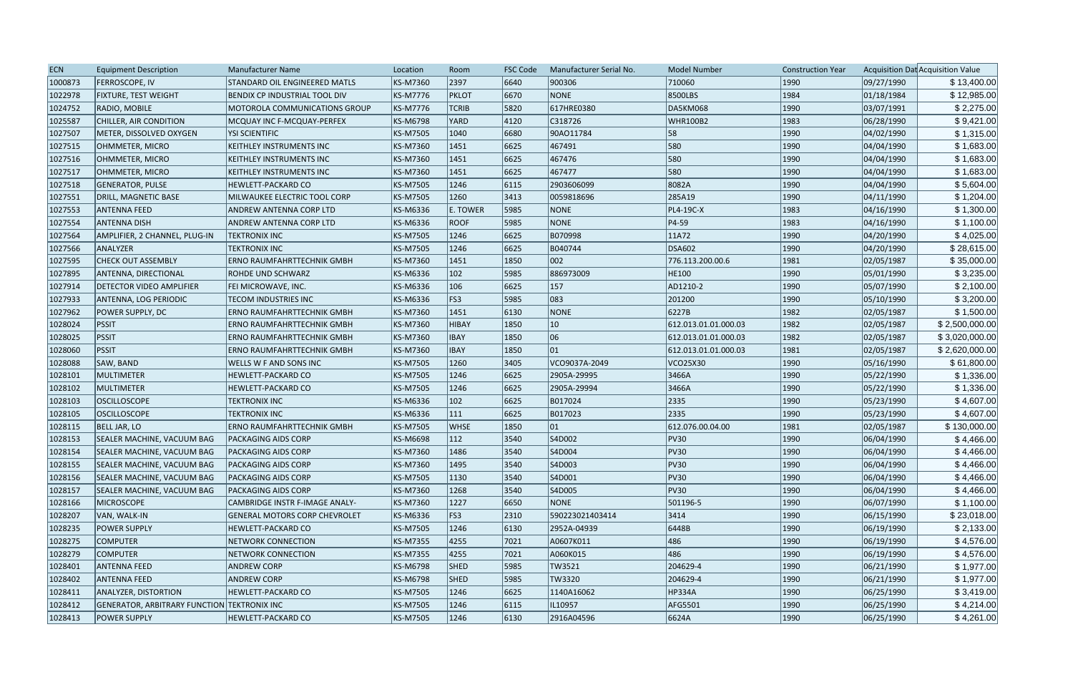| <b>ECN</b> | <b>Equipment Description</b>                | Manufacturer Name                     | Location        | Room          | <b>FSC Code</b> | Manufacturer Serial No. | <b>Model Number</b>  | <b>Construction Year</b> |            | Acquisition Dat Acquisition Value |
|------------|---------------------------------------------|---------------------------------------|-----------------|---------------|-----------------|-------------------------|----------------------|--------------------------|------------|-----------------------------------|
| 1000873    | <b>FERROSCOPE, IV</b>                       | STANDARD OIL ENGINEERED MATLS         | KS-M7360        | 2397          | 6640            | 900306                  | 710060               | 1990                     | 09/27/1990 | \$13,400.00                       |
| 1022978    | <b>FIXTURE, TEST WEIGHT</b>                 | BENDIX CP INDUSTRIAL TOOL DIV         | <b>KS-M7776</b> | PKLOT         | 6670            | NONE                    | 8500LBS              | 1984                     | 01/18/1984 | \$12,985.00                       |
| 1024752    | RADIO, MOBILE                               | <b>MOTOROLA COMMUNICATIONS GROUP</b>  | <b>KS-M7776</b> | <b>TCRIB</b>  | 5820            | 617HRE0380              | <b>DA5KM068</b>      | 1990                     | 03/07/1991 | \$2,275.00                        |
| 1025587    | CHILLER, AIR CONDITION                      | <b>MCQUAY INC F-MCQUAY-PERFEX</b>     | <b>KS-M6798</b> | YARD          | 4120            | C318726                 | <b>WHR100B2</b>      | 1983                     | 06/28/1990 | \$9,421.00                        |
| 1027507    | METER, DISSOLVED OXYGEN                     | <b>YSI SCIENTIFIC</b>                 | <b>KS-M7505</b> | 1040          | 6680            | 90AO11784               | 58                   | 1990                     | 04/02/1990 | \$1,315.00                        |
| 1027515    | OHMMETER, MICRO                             | <b>KEITHLEY INSTRUMENTS INC</b>       | KS-M7360        | 1451          | 6625            | 467491                  | 580                  | 1990                     | 04/04/1990 | \$1,683.00                        |
| 1027516    | OHMMETER, MICRO                             | KEITHLEY INSTRUMENTS INC              | <b>KS-M7360</b> | 1451          | 6625            | 467476                  | 580                  | 1990                     | 04/04/1990 | \$1,683.00                        |
| 1027517    | OHMMETER, MICRO                             | KEITHLEY INSTRUMENTS INC              | <b>KS-M7360</b> | 1451          | 6625            | 467477                  | 580                  | 1990                     | 04/04/1990 | \$1,683.00                        |
| 1027518    | <b>GENERATOR, PULSE</b>                     | HEWLETT-PACKARD CO                    | <b>KS-M7505</b> | 1246          | 6115            | 2903606099              | 8082A                | 1990                     | 04/04/1990 | \$5,604.00                        |
| 1027551    | DRILL, MAGNETIC BASE                        | MILWAUKEE ELECTRIC TOOL CORP          | <b>KS-M7505</b> | 1260          | 3413            | 0059818696              | 285A19               | 1990                     | 04/11/1990 | \$1,204.00                        |
| 1027553    | <b>ANTENNA FEED</b>                         | ANDREW ANTENNA CORP LTD               | <b>KS-M6336</b> | E. TOWER      | 5985            | NONE                    | PL4-19C-X            | 1983                     | 04/16/1990 | \$1,300.00                        |
| 1027554    | <b>ANTENNA DISH</b>                         | ANDREW ANTENNA CORP LTD               | <b>KS-M6336</b> | <b>ROOF</b>   | 5985            | NONE                    | $ P4-59 $            | 1983                     | 04/16/1990 | \$1,100.00                        |
| 1027564    | AMPLIFIER, 2 CHANNEL, PLUG-IN               | <b>TEKTRONIX INC</b>                  | <b>KS-M7505</b> | 1246          | 6625            | B070998                 | 11A72                | 1990                     | 04/20/1990 | \$4,025.00                        |
| 1027566    | ANALYZER                                    | <b>TEKTRONIX INC</b>                  | <b>KS-M7505</b> | 1246          | 6625            | B040744                 | <b>DSA602</b>        | 1990                     | 04/20/1990 | \$28,615.00                       |
| 1027595    | <b>CHECK OUT ASSEMBLY</b>                   | <b>ERNO RAUMFAHRTTECHNIK GMBH</b>     | KS-M7360        | 1451          | 1850            | 002                     | 776.113.200.00.6     | 1981                     | 02/05/1987 | \$35,000.00                       |
| 1027895    | <b>ANTENNA, DIRECTIONAL</b>                 | ROHDE UND SCHWARZ                     | KS-M6336        | $ 102\rangle$ | 5985            | 886973009               | HE100                | 1990                     | 05/01/1990 | \$3,235.00                        |
| 1027914    | <b>DETECTOR VIDEO AMPLIFIER</b>             | FEI MICROWAVE, INC.                   | <b>KS-M6336</b> | 106           | 6625            | 157                     | AD1210-2             | 1990                     | 05/07/1990 | \$2,100.00                        |
| 1027933    | ANTENNA, LOG PERIODIC                       | <b>TECOM INDUSTRIES INC</b>           | <b>KS-M6336</b> | FS3           | 5985            | 083                     | 201200               | 1990                     | 05/10/1990 | \$3,200.00                        |
| 1027962    | POWER SUPPLY, DC                            | <b>ERNO RAUMFAHRTTECHNIK GMBH</b>     | <b>KS-M7360</b> | 1451          | 6130            | <b>NONE</b>             | 6227B                | 1982                     | 02/05/1987 | \$1,500.00                        |
| 1028024    | <b>PSSIT</b>                                | <b>ERNO RAUMFAHRTTECHNIK GMBH</b>     | <b>KS-M7360</b> | HIBAY         | 1850            | $ 10\rangle$            | 612.013.01.01.000.03 | 1982                     | 02/05/1987 | \$2,500,000.00                    |
| 1028025    | <b>PSSIT</b>                                | ERNO RAUMFAHRTTECHNIK GMBH            | <b>KS-M7360</b> | <b>IBAY</b>   | 1850            | 06                      | 612.013.01.01.000.03 | 1982                     | 02/05/1987 | \$3,020,000.00                    |
| 1028060    | <b>PSSIT</b>                                | <b>ERNO RAUMFAHRTTECHNIK GMBH</b>     | <b>KS-M7360</b> | <b>IBAY</b>   | 1850            | 01                      | 612.013.01.01.000.03 | 1981                     | 02/05/1987 | \$2,620,000.00                    |
| 1028088    | SAW, BAND                                   | <b>WELLS W F AND SONS INC</b>         | <b>KS-M7505</b> | 1260          | 3405            | VCO9037A-2049           | VCO25X30             | 1990                     | 05/16/1990 | \$61,800.00                       |
| 1028101    | MULTIMETER                                  | HEWLETT-PACKARD CO                    | <b>KS-M7505</b> | 1246          | 6625            | 2905A-29995             | 3466A                | 1990                     | 05/22/1990 | \$1,336.00                        |
| 1028102    | MULTIMETER                                  | <b>HEWLETT-PACKARD CO</b>             | <b>KS-M7505</b> | 1246          | 6625            | 2905A-29994             | 3466A                | 1990                     | 05/22/1990 | \$1,336.00                        |
| 1028103    | <b>OSCILLOSCOPE</b>                         | <b>TEKTRONIX INC</b>                  | <b>KS-M6336</b> | $ 102\rangle$ | 6625            | B017024                 | 2335                 | 1990                     | 05/23/1990 | \$4,607.00                        |
| 1028105    | <b>OSCILLOSCOPE</b>                         | <b>TEKTRONIX INC</b>                  | <b>KS-M6336</b> | $ 111\rangle$ | 6625            | B017023                 | 2335                 | 1990                     | 05/23/1990 | \$4,607.00                        |
| 1028115    | <b>BELL JAR, LO</b>                         | <b>ERNO RAUMFAHRTTECHNIK GMBH</b>     | <b>KS-M7505</b> | <b>WHSE</b>   | 1850            | 01                      | 612.076.00.04.00     | 1981                     | 02/05/1987 | \$130,000.00                      |
| 1028153    | <b>SEALER MACHINE, VACUUM BAG</b>           | <b>PACKAGING AIDS CORP</b>            | <b>KS-M6698</b> | $ 112\rangle$ | 3540            | S4D002                  | PV30                 | 1990                     | 06/04/1990 | \$4,466.00                        |
| 1028154    | <b>SEALER MACHINE, VACUUM BAG</b>           | <b>PACKAGING AIDS CORP</b>            | KS-M7360        | 1486          | 3540            | S4D004                  | <b>PV30</b>          | 1990                     | 06/04/1990 | \$4,466.00                        |
| 1028155    | <b>SEALER MACHINE, VACUUM BAG</b>           | <b>PACKAGING AIDS CORP</b>            | KS-M7360        | 1495          | 3540            | S4D003                  | <b>PV30</b>          | 1990                     | 06/04/1990 | \$4,466.00                        |
| 1028156    | <b>SEALER MACHINE, VACUUM BAG</b>           | <b>PACKAGING AIDS CORP</b>            | <b>KS-M7505</b> | 1130          | 3540            | S4D001                  | <b>PV30</b>          | 1990                     | 06/04/1990 | \$4,466.00                        |
| 1028157    | <b>SEALER MACHINE, VACUUM BAG</b>           | <b>PACKAGING AIDS CORP</b>            | <b>KS-M7360</b> | 1268          | 3540            | S4D005                  | PV30                 | 1990                     | 06/04/1990 | \$4,466.00                        |
| 1028166    | <b>MICROSCOPE</b>                           | <b>CAMBRIDGE INSTR F-IMAGE ANALY-</b> | <b>KS-M7360</b> | 1227          | 6650            | NONE                    | 501196-5             | 1990                     | 06/07/1990 | \$1,100.00                        |
| 1028207    | VAN, WALK-IN                                | <b>GENERAL MOTORS CORP CHEVROLET</b>  | KS-M6336        | FS3           | 2310            | 590223021403414         | 3414                 | 1990                     | 06/15/1990 | \$23,018.00                       |
| 1028235    | <b>POWER SUPPLY</b>                         | <b>HEWLETT-PACKARD CO</b>             | <b>KS-M7505</b> | 1246          | 6130            | 2952A-04939             | 6448B                | 1990                     | 06/19/1990 | \$2,133.00                        |
| 1028275    | <b>COMPUTER</b>                             | NETWORK CONNECTION                    | <b>KS-M7355</b> | 4255          | 7021            | A0607K011               | 486                  | 1990                     | 06/19/1990 | \$4,576.00                        |
| 1028279    | <b>COMPUTER</b>                             | NETWORK CONNECTION                    | <b>KS-M7355</b> | 4255          | 7021            | A060K015                | 486                  | 1990                     | 06/19/1990 | \$4,576.00                        |
| 1028401    | <b>ANTENNA FEED</b>                         | <b>ANDREW CORP</b>                    | <b>KS-M6798</b> | <b>SHED</b>   | 5985            | TW3521                  | 204629-4             | 1990                     | 06/21/1990 | \$1,977.00                        |
| 1028402    | <b>ANTENNA FEED</b>                         | <b>ANDREW CORP</b>                    | <b>KS-M6798</b> | <b>SHED</b>   | 5985            | TW3320                  | 204629-4             | 1990                     | 06/21/1990 | \$1,977.00                        |
| 1028411    | ANALYZER, DISTORTION                        | <b>HEWLETT-PACKARD CO</b>             | <b>KS-M7505</b> | 1246          | 6625            | 1140A16062              | HP334A               | 1990                     | 06/25/1990 | \$3,419.00                        |
| 1028412    | GENERATOR, ARBITRARY FUNCTION TEKTRONIX INC |                                       | <b>KS-M7505</b> | 1246          | 6115            | IL10957                 | AFG5501              | 1990                     | 06/25/1990 | \$4,214.00                        |
| 1028413    | <b>POWER SUPPLY</b>                         | <b>HEWLETT-PACKARD CO</b>             | <b>KS-M7505</b> | 1246          | 6130            | 2916A04596              | 6624A                | 1990                     | 06/25/1990 | \$4,261.00                        |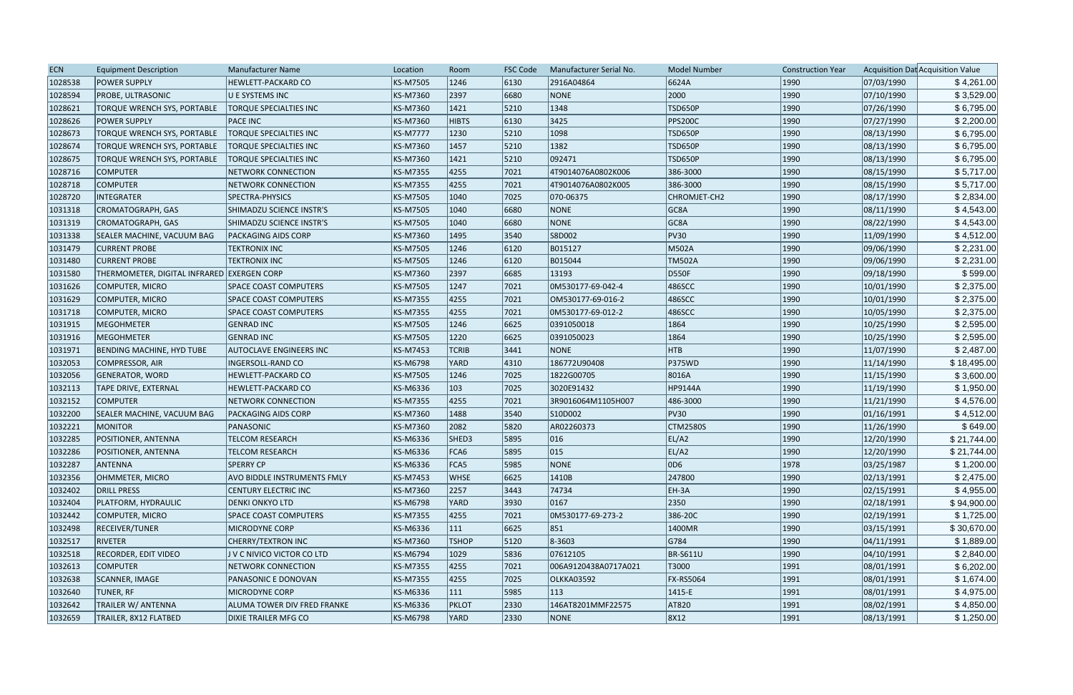| <b>ECN</b> | <b>Equipment Description</b>               | Manufacturer Name               | Location        | Room         | <b>FSC Code</b> | Manufacturer Serial No. | <b>Model Number</b> | <b>Construction Year</b> |            | Acquisition Dat Acquisition Value |
|------------|--------------------------------------------|---------------------------------|-----------------|--------------|-----------------|-------------------------|---------------------|--------------------------|------------|-----------------------------------|
| 1028538    | <b>POWER SUPPLY</b>                        | HEWLETT-PACKARD CO              | <b>KS-M7505</b> | 1246         | 6130            | 2916A04864              | 6624A               | 1990                     | 07/03/1990 | \$4,261.00                        |
| 1028594    | PROBE, ULTRASONIC                          | U E SYSTEMS INC                 | <b>KS-M7360</b> | 2397         | 6680            | <b>NONE</b>             | 2000                | 1990                     | 07/10/1990 | \$3,529.00                        |
| 1028621    | <b>TORQUE WRENCH SYS, PORTABLE</b>         | <b>TORQUE SPECIALTIES INC</b>   | <b>KS-M7360</b> | 1421         | 5210            | 1348                    | <b>TSD650P</b>      | 1990                     | 07/26/1990 | \$6,795.00                        |
| 1028626    | <b>POWER SUPPLY</b>                        | <b>PACE INC</b>                 | <b>KS-M7360</b> | <b>HIBTS</b> | 6130            | 3425                    | <b>PPS200C</b>      | 1990                     | 07/27/1990 | \$2,200.00                        |
| 1028673    | <b>TORQUE WRENCH SYS, PORTABLE</b>         | <b>TORQUE SPECIALTIES INC</b>   | <b>KS-M7777</b> | 1230         | 5210            | 1098                    | <b>TSD650P</b>      | 1990                     | 08/13/1990 | \$6,795.00                        |
| 1028674    | TORQUE WRENCH SYS, PORTABLE                | <b>TORQUE SPECIALTIES INC</b>   | KS-M7360        | 1457         | 5210            | 1382                    | <b>TSD650P</b>      | 1990                     | 08/13/1990 | \$6,795.00                        |
| 1028675    | TORQUE WRENCH SYS, PORTABLE                | <b>TORQUE SPECIALTIES INC</b>   | KS-M7360        | 1421         | 5210            | 092471                  | <b>TSD650P</b>      | 1990                     | 08/13/1990 | \$6,795.00                        |
| 1028716    | <b>COMPUTER</b>                            | NETWORK CONNECTION              | <b>KS-M7355</b> | 4255         | 7021            | 4T9014076A0802K006      | 386-3000            | 1990                     | 08/15/1990 | \$5,717.00                        |
| 1028718    | <b>COMPUTER</b>                            | <b>NETWORK CONNECTION</b>       | <b>KS-M7355</b> | 4255         | 7021            | 4T9014076A0802K005      | 386-3000            | 1990                     | 08/15/1990 | \$5,717.00                        |
| 1028720    | <b>INTEGRATER</b>                          | SPECTRA-PHYSICS                 | <b>KS-M7505</b> | 1040         | 7025            | 070-06375               | <b>CHROMJET-CH2</b> | 1990                     | 08/17/1990 | \$2,834.00                        |
| 1031318    | CROMATOGRAPH, GAS                          | <b>SHIMADZU SCIENCE INSTR'S</b> | <b>KS-M7505</b> | 1040         | 6680            | <b>NONE</b>             | GC8A                | 1990                     | 08/11/1990 | \$4,543.00                        |
| 1031319    | CROMATOGRAPH, GAS                          | SHIMADZU SCIENCE INSTR'S        | <b>KS-M7505</b> | 1040         | 6680            | NONE                    | GC8A                | 1990                     | 08/22/1990 | \$4,543.00                        |
| 1031338    | <b>SEALER MACHINE, VACUUM BAG</b>          | <b>PACKAGING AIDS CORP</b>      | <b>KS-M7360</b> | 1495         | 3540            | S8D002                  | <b>PV30</b>         | 1990                     | 11/09/1990 | \$4,512.00                        |
| 1031479    | <b>CURRENT PROBE</b>                       | <b>TEKTRONIX INC</b>            | <b>KS-M7505</b> | 1246         | 6120            | B015127                 | M502A               | 1990                     | 09/06/1990 | \$2,231.00                        |
| 1031480    | <b>CURRENT PROBE</b>                       | <b>TEKTRONIX INC</b>            | <b>KS-M7505</b> | 1246         | 6120            | B015044                 | <b>TM502A</b>       | 1990                     | 09/06/1990 | \$2,231.00                        |
| 1031580    | THERMOMETER, DIGITAL INFRARED EXERGEN CORP |                                 | <b>KS-M7360</b> | 2397         | 6685            | 13193                   | D550F               | 1990                     | 09/18/1990 | \$599.00                          |
| 1031626    | COMPUTER, MICRO                            | <b>SPACE COAST COMPUTERS</b>    | <b>KS-M7505</b> | 1247         | 7021            | 0M530177-69-042-4       | 486SCC              | 1990                     | 10/01/1990 | \$2,375.00                        |
| 1031629    | COMPUTER, MICRO                            | <b>SPACE COAST COMPUTERS</b>    | <b>KS-M7355</b> | 4255         | 7021            | OM530177-69-016-2       | 486SCC              | 1990                     | 10/01/1990 | \$2,375.00                        |
| 1031718    | COMPUTER, MICRO                            | SPACE COAST COMPUTERS           | <b>KS-M7355</b> | 4255         | 7021            | 0M530177-69-012-2       | 486SCC              | 1990                     | 10/05/1990 | \$2,375.00                        |
| 1031915    | MEGOHMETER                                 | <b>GENRAD INC</b>               | <b>KS-M7505</b> | 1246         | 6625            | 0391050018              | 1864                | 1990                     | 10/25/1990 | \$2,595.00                        |
| 1031916    | MEGOHMETER                                 | <b>GENRAD INC</b>               | <b>KS-M7505</b> | 1220         | 6625            | 0391050023              | 1864                | 1990                     | 10/25/1990 | \$2,595.00                        |
| 1031971    | <b>BENDING MACHINE, HYD TUBE</b>           | <b>AUTOCLAVE ENGINEERS INC</b>  | <b>KS-M7453</b> | <b>TCRIB</b> | 3441            | <b>NONE</b>             | <b>HTB</b>          | 1990                     | 11/07/1990 | \$2,487.00                        |
| 1032053    | COMPRESSOR, AIR                            | INGERSOLL-RAND CO               | <b>KS-M6798</b> | YARD         | 4310            | 186772U90408            | <b>P375WD</b>       | 1990                     | 11/14/1990 | \$18,495.00                       |
| 1032056    | <b>GENERATOR, WORD</b>                     | HEWLETT-PACKARD CO              | <b>KS-M7505</b> | 1246         | 7025            | 1822G00705              | 8016A               | 1990                     | 11/15/1990 | \$3,600.00                        |
| 1032113    | <b>TAPE DRIVE, EXTERNAL</b>                | <b>HEWLETT-PACKARD CO</b>       | KS-M6336        | 103          | 7025            | 3020E91432              | HP9144A             | 1990                     | 11/19/1990 | \$1,950.00                        |
| 1032152    | <b>COMPUTER</b>                            | <b>NETWORK CONNECTION</b>       | KS-M7355        | 4255         | 7021            | 3R9016064M1105H007      | 486-3000            | 1990                     | 11/21/1990 | \$4,576.00                        |
| 1032200    | <b>SEALER MACHINE, VACUUM BAG</b>          | PACKAGING AIDS CORP             | KS-M7360        | 1488         | 3540            | S10D002                 | <b>PV30</b>         | 1990                     | 01/16/1991 | \$4,512.00                        |
| 1032221    | <b>MONITOR</b>                             | PANASONIC                       | <b>KS-M7360</b> | 2082         | 5820            | AR02260373              | <b>CTM2580S</b>     | 1990                     | 11/26/1990 | \$649.00                          |
| 1032285    | POSITIONER, ANTENNA                        | <b>TELCOM RESEARCH</b>          | <b>KS-M6336</b> | SHED3        | 5895            | 016                     | EL/A2               | 1990                     | 12/20/1990 | \$21,744.00                       |
| 1032286    | POSITIONER, ANTENNA                        | <b>TELCOM RESEARCH</b>          | KS-M6336        | FCA6         | 5895            | 015                     | EL/A2               | 1990                     | 12/20/1990 | \$21,744.00                       |
| 1032287    | ANTENNA                                    | <b>SPERRY CP</b>                | KS-M6336        | FCA5         | 5985            | NONE                    | 0D6                 | 1978                     | 03/25/1987 | \$1,200.00                        |
| 1032356    | OHMMETER, MICRO                            | AVO BIDDLE INSTRUMENTS FMLY     | <b>KS-M7453</b> | <b>WHSE</b>  | 6625            | 1410B                   | 247800              | 1990                     | 02/13/1991 | \$2,475.00                        |
| 1032402    | <b>DRILL PRESS</b>                         | <b>CENTURY ELECTRIC INC</b>     | <b>KS-M7360</b> | 2257         | $ 3443\rangle$  | 74734                   | EH-3A               | 1990                     | 02/15/1991 | \$4,955.00                        |
| 1032404    | PLATFORM, HYDRAULIC                        | <b>DENKI ONKYO LTD</b>          | <b>KS-M6798</b> | <b>YARD</b>  | 3930            | 0167                    | 2350                | 1990                     | 02/18/1991 | \$94,900.00                       |
| 1032442    | COMPUTER, MICRO                            | <b>SPACE COAST COMPUTERS</b>    | <b>KS-M7355</b> | 4255         | 7021            | 0M530177-69-273-2       | 386-20C             | 1990                     | 02/19/1991 | \$1,725.00                        |
| 1032498    | <b>RECEIVER/TUNER</b>                      | MICRODYNE CORP                  | KS-M6336        | 111          | 6625            | 851                     | 1400MR              | 1990                     | 03/15/1991 | \$30,670.00                       |
| 1032517    | RIVETER                                    | <b>CHERRY/TEXTRON INC</b>       | KS-M7360        | <b>TSHOP</b> | 5120            | 8-3603                  | G784                | 1990                     | 04/11/1991 | \$1,889.00                        |
| 1032518    | <b>RECORDER, EDIT VIDEO</b>                | J V C NIVICO VICTOR CO LTD      | <b>KS-M6794</b> | 1029         | 5836            | 07612105                | <b>BR-S611U</b>     | 1990                     | 04/10/1991 | \$2,840.00                        |
| 1032613    | <b>COMPUTER</b>                            | NETWORK CONNECTION              | <b>KS-M7355</b> | 4255         | 7021            | 006A9120438A0717A021    | T3000               | 1991                     | 08/01/1991 | \$6,202.00                        |
| 1032638    | SCANNER, IMAGE                             | PANASONIC E DONOVAN             | <b>KS-M7355</b> | 4255         | 7025            | <b>OLKKA03592</b>       | <b>FX-RS5064</b>    | 1991                     | 08/01/1991 | \$1,674.00                        |
| 1032640    | TUNER, RF                                  | <b>MICRODYNE CORP</b>           | KS-M6336        | 111          | 5985            | 113                     | $ 1415 - E$         | 1991                     | 08/01/1991 | \$4,975.00                        |
| 1032642    | TRAILER W/ ANTENNA                         | ALUMA TOWER DIV FRED FRANKE     | KS-M6336        | <b>PKLOT</b> | 2330            | 146AT8201MMF22575       | AT820               | 1991                     | 08/02/1991 | \$4,850.00                        |
| 1032659    | TRAILER, 8X12 FLATBED                      | DIXIE TRAILER MFG CO            | <b>KS-M6798</b> | <b>YARD</b>  | 2330            | NONE                    | 8X12                | 1991                     | 08/13/1991 | \$1,250.00                        |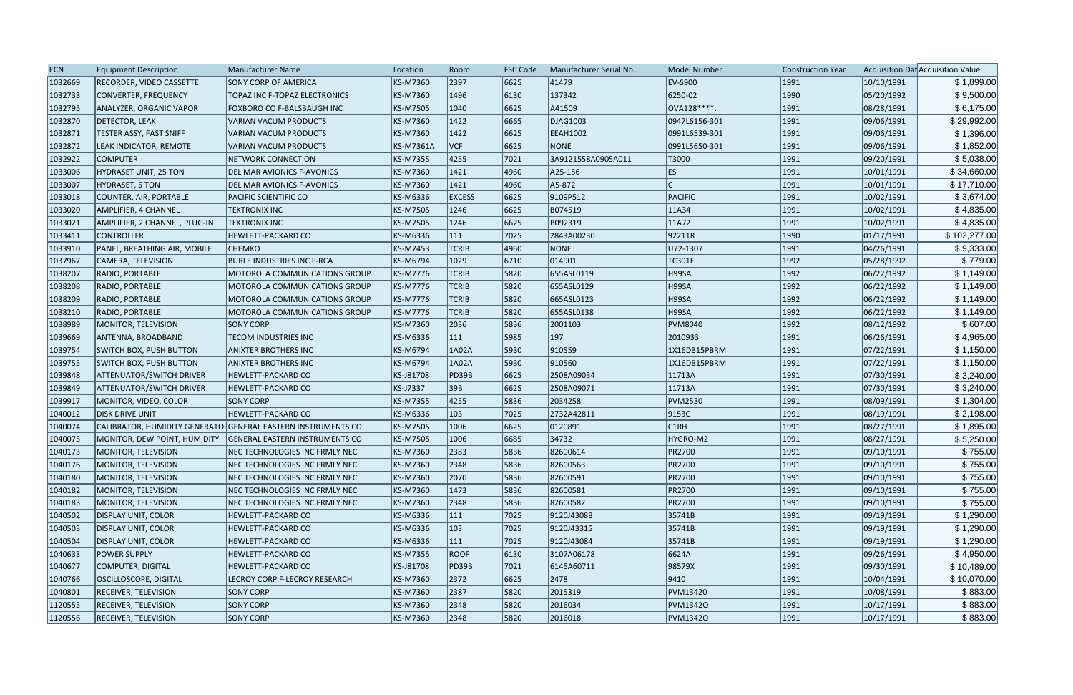| <b>ECN</b> | <b>Equipment Description</b>    | <b>Manufacturer Name</b>                                      | Location        | Room          | <b>FSC Code</b> | Manufacturer Serial No. | <b>Model Number</b> | <b>Construction Year</b> |            | Acquisition Dat Acquisition Value |
|------------|---------------------------------|---------------------------------------------------------------|-----------------|---------------|-----------------|-------------------------|---------------------|--------------------------|------------|-----------------------------------|
| 1032669    | <b>RECORDER, VIDEO CASSETTE</b> | <b>SONY CORP OF AMERICA</b>                                   | KS-M7360        | 2397          | 6625            | 41479                   | EV-S900             | 1991                     | 10/10/1991 | \$1,899.00                        |
| 1032733    | CONVERTER, FREQUENCY            | TOPAZ INC F-TOPAZ ELECTRONICS                                 | KS-M7360        | 1496          | 6130            | 137342                  | 6250-02             | 1990                     | 05/20/1992 | \$9,500.00                        |
| 1032795    | <b>ANALYZER, ORGANIC VAPOR</b>  | FOXBORO CO F-BALSBAUGH INC                                    | <b>KS-M7505</b> | 1040          | 6625            | A41509                  | OVA128 ****.        | 1991                     | 08/28/1991 | \$6,175.00                        |
| 1032870    | <b>DETECTOR, LEAK</b>           | <b>VARIAN VACUM PRODUCTS</b>                                  | KS-M7360        | 1422          | 6665            | DJAG1003                | 0947L6156-301       | 1991                     | 09/06/1991 | \$29,992.00                       |
| 1032871    | <b>TESTER ASSY, FAST SNIFF</b>  | VARIAN VACUM PRODUCTS                                         | KS-M7360        | 1422          | 6625            | <b>EEAH1002</b>         | 0991L6539-301       | 1991                     | 09/06/1991 | \$1,396.00                        |
| 1032872    | LEAK INDICATOR, REMOTE          | <b>VARIAN VACUM PRODUCTS</b>                                  | KS-M7361A       | VCF           | 6625            | <b>NONE</b>             | 0991L5650-301       | 1991                     | 09/06/1991 | \$1,852.00                        |
| 1032922    | <b>COMPUTER</b>                 | NETWORK CONNECTION                                            | KS-M7355        | 4255          | 7021            | 3A9121558A0905A011      | T3000               | 1991                     | 09/20/1991 | \$5,038.00                        |
| 1033006    | HYDRASET UNIT, 25 TON           | DEL MAR AVIONICS F-AVONICS                                    | KS-M7360        | 1421          | 4960            | A25-156                 | ES                  | 1991                     | 10/01/1991 | \$34,660.00                       |
| 1033007    | HYDRASET, 5 TON                 | DEL MAR AVIONICS F-AVONICS                                    | KS-M7360        | 1421          | 4960            | A5-872                  |                     | 1991                     | 10/01/1991 | \$17,710.00                       |
| 1033018    | COUNTER, AIR, PORTABLE          | PACIFIC SCIENTIFIC CO                                         | KS-M6336        | <b>EXCESS</b> | 6625            | 9109P512                | PACIFIC             | 1991                     | 10/02/1991 | \$3,674.00                        |
| 1033020    | AMPLIFIER, 4 CHANNEL            | <b>TEKTRONIX INC</b>                                          | KS-M7505        | 1246          | 6625            | B074519                 | 11A34               | 1991                     | 10/02/1991 | \$4,835.00                        |
| 1033021    | AMPLIFIER, 2 CHANNEL, PLUG-IN   | <b>TEKTRONIX INC</b>                                          | KS-M7505        | 1246          | 6625            | B092319                 | 11A72               | 1991                     | 10/02/1991 | \$4,835.00                        |
| 1033411    | <b>CONTROLLER</b>               | HEWLETT-PACKARD CO                                            | KS-M6336        | 111           | 7025            | 2843A00230              | 92211R              | 1990                     | 01/17/1991 | \$102,277.00                      |
| 1033910    | PANEL, BREATHING AIR, MOBILE    | <b>CHEMKO</b>                                                 | KS-M7453        | <b>TCRIB</b>  | 4960            | <b>NONE</b>             | U72-1307            | 1991                     | 04/26/1991 | \$9,333.00                        |
| 1037967    | CAMERA, TELEVISION              | <b>BURLE INDUSTRIES INC F-RCA</b>                             | KS-M6794        | 1029          | 6710            | 014901                  | <b>TC301E</b>       | 1992                     | 05/28/1992 | \$779.00                          |
| 1038207    | RADIO, PORTABLE                 | MOTOROLA COMMUNICATIONS GROUP                                 | KS-M7776        | <b>TCRIB</b>  | 5820            | 655ASL0119              | H99SA               | 1992                     | 06/22/1992 | \$1,149.00                        |
| 1038208    | RADIO, PORTABLE                 | <b>MOTOROLA COMMUNICATIONS GROUP</b>                          | KS-M7776        | <b>TCRIB</b>  | 5820            | 655ASL0129              | H99SA               | 1992                     | 06/22/1992 | \$1,149.00                        |
| 1038209    | RADIO, PORTABLE                 | MOTOROLA COMMUNICATIONS GROUP                                 | KS-M7776        | <b>TCRIB</b>  | 5820            | 665ASL0123              | H99SA               | 1992                     | 06/22/1992 | \$1,149.00                        |
| 1038210    | RADIO, PORTABLE                 | MOTOROLA COMMUNICATIONS GROUP                                 | KS-M7776        | <b>TCRIB</b>  | 5820            | 655ASL0138              | H99SA               | 1992                     | 06/22/1992 | \$1,149.00                        |
| 1038989    | MONITOR, TELEVISION             | <b>SONY CORP</b>                                              | KS-M7360        | 2036          | 5836            | 2001103                 | <b>PVM8040</b>      | 1992                     | 08/12/1992 | \$607.00                          |
| 1039669    | ANTENNA, BROADBAND              | TECOM INDUSTRIES INC                                          | KS-M6336        | 111           | 5985            | 197                     | 2010933             | 1991                     | 06/26/1991 | \$4,965.00                        |
| 1039754    | <b>SWITCH BOX, PUSH BUTTON</b>  | <b>ANIXTER BROTHERS INC</b>                                   | KS-M6794        | 1A02A         | 5930            | 910559                  | 1X16DB15PBRM        | 1991                     | 07/22/1991 | \$1,150.00                        |
| 1039755    | <b>SWITCH BOX, PUSH BUTTON</b>  | <b>ANIXTER BROTHERS INC</b>                                   | KS-M6794        | 1A02A         | 5930            | 910560                  | 1X16DB15PBRM        | 1991                     | 07/22/1991 | \$1,150.00                        |
| 1039848    | <b>ATTENUATOR/SWITCH DRIVER</b> | HEWLETT-PACKARD CO                                            | KS-J81708       | <b>PD39B</b>  | 6625            | 2508A09034              | 11713A              | 1991                     | 07/30/1991 | \$3,240.00                        |
| 1039849    | <b>ATTENUATOR/SWITCH DRIVER</b> | HEWLETT-PACKARD CO                                            | KS-J7337        | 39B           | 6625            | 2508A09071              | 11713A              | 1991                     | 07/30/1991 | \$3,240.00                        |
| 1039917    | MONITOR, VIDEO, COLOR           | <b>SONY CORP</b>                                              | <b>KS-M7355</b> | 4255          | 5836            | 2034258                 | <b>PVM2530</b>      | 1991                     | 08/09/1991 | \$1,304.00                        |
| 1040012    | <b>DISK DRIVE UNIT</b>          | HEWLETT-PACKARD CO                                            | KS-M6336        | 103           | 7025            | 2732A42811              | 9153C               | 1991                     | 08/19/1991 | \$2,198.00                        |
| 1040074    |                                 | CALIBRATOR, HUMIDITY GENERATOI GENERAL EASTERN INSTRUMENTS CO | KS-M7505        | 1006          | 6625            | 0120891                 | C <sub>1</sub> RH   | 1991                     | 08/27/1991 | \$1,895.00                        |
| 1040075    | MONITOR, DEW POINT, HUMIDITY    | <b>GENERAL EASTERN INSTRUMENTS CO</b>                         | KS-M7505        | 1006          | 6685            | 34732                   | HYGRO-M2            | 1991                     | 08/27/1991 | \$5,250.00                        |
| 1040173    | MONITOR, TELEVISION             | NEC TECHNOLOGIES INC FRMLY NEC                                | KS-M7360        | 2383          | 5836            | 82600614                | PR2700              | 1991                     | 09/10/1991 | \$755.00                          |
| 1040176    | MONITOR, TELEVISION             | NEC TECHNOLOGIES INC FRMLY NEC                                | KS-M7360        | 2348          | 5836            | 82600563                | PR2700              | 1991                     | 09/10/1991 | \$755.00                          |
| 1040180    | MONITOR, TELEVISION             | NEC TECHNOLOGIES INC FRMLY NEC                                | KS-M7360        | 2070          | 5836            | 82600591                | <b>PR2700</b>       | 1991                     | 09/10/1991 | \$755.00                          |
| 1040182    | MONITOR, TELEVISION             | NEC TECHNOLOGIES INC FRMLY NEC                                | KS-M7360        | 1473          | 5836            | 82600581                | <b>PR2700</b>       | 1991                     | 09/10/1991 | \$755.00                          |
| 1040183    | MONITOR, TELEVISION             | NEC TECHNOLOGIES INC FRMLY NEC                                | KS-M7360        | 2348          | 5836            | 82600582                | <b>PR2700</b>       | 1991                     | 09/10/1991 | \$755.00                          |
| 1040502    | <b>DISPLAY UNIT, COLOR</b>      | HEWLETT-PACKARD CO                                            | KS-M6336        | 111           | 7025            | 9120J43088              | 35741B              | 1991                     | 09/19/1991 | \$1,290.00                        |
| 1040503    | <b>DISPLAY UNIT, COLOR</b>      | HEWLETT-PACKARD CO                                            | KS-M6336        | $ 103\rangle$ | 7025            | 9120J43315              | 35741B              | 1991                     | 09/19/1991 | \$1,290.00                        |
| 1040504    | <b>DISPLAY UNIT, COLOR</b>      | HEWLETT-PACKARD CO                                            | KS-M6336        | 111           | 7025            | 9120J43084              | 35741B              | 1991                     | 09/19/1991 | \$1,290.00                        |
| 1040633    | <b>POWER SUPPLY</b>             | HEWLETT-PACKARD CO                                            | KS-M7355        | <b>ROOF</b>   | 6130            | 3107A06178              | 6624A               | 1991                     | 09/26/1991 | \$4,950.00                        |
| 1040677    | COMPUTER, DIGITAL               | HEWLETT-PACKARD CO                                            | KS-J81708       | PD39B         | 7021            | 6145A60711              | 98579X              | 1991                     | 09/30/1991 | \$10,489.00                       |
| 1040766    | OSCILLOSCOPE, DIGITAL           | LECROY CORP F-LECROY RESEARCH                                 | KS-M7360        | 2372          | 6625            | 2478                    | $ 9410\rangle$      | 1991                     | 10/04/1991 | \$10,070.00                       |
| 1040801    | <b>RECEIVER, TELEVISION</b>     | <b>SONY CORP</b>                                              | KS-M7360        | 2387          | 5820            | 2015319                 | PVM13420            | 1991                     | 10/08/1991 | \$883.00                          |
| 1120555    | <b>RECEIVER, TELEVISION</b>     | <b>SONY CORP</b>                                              | KS-M7360        | 2348          | 5820            | 2016034                 | <b>PVM1342Q</b>     | 1991                     | 10/17/1991 | \$883.00                          |
| 1120556    | <b>RECEIVER, TELEVISION</b>     | <b>SONY CORP</b>                                              | KS-M7360        | 2348          | 5820            | 2016018                 | <b>PVM1342Q</b>     | 1991                     | 10/17/1991 | \$883.00                          |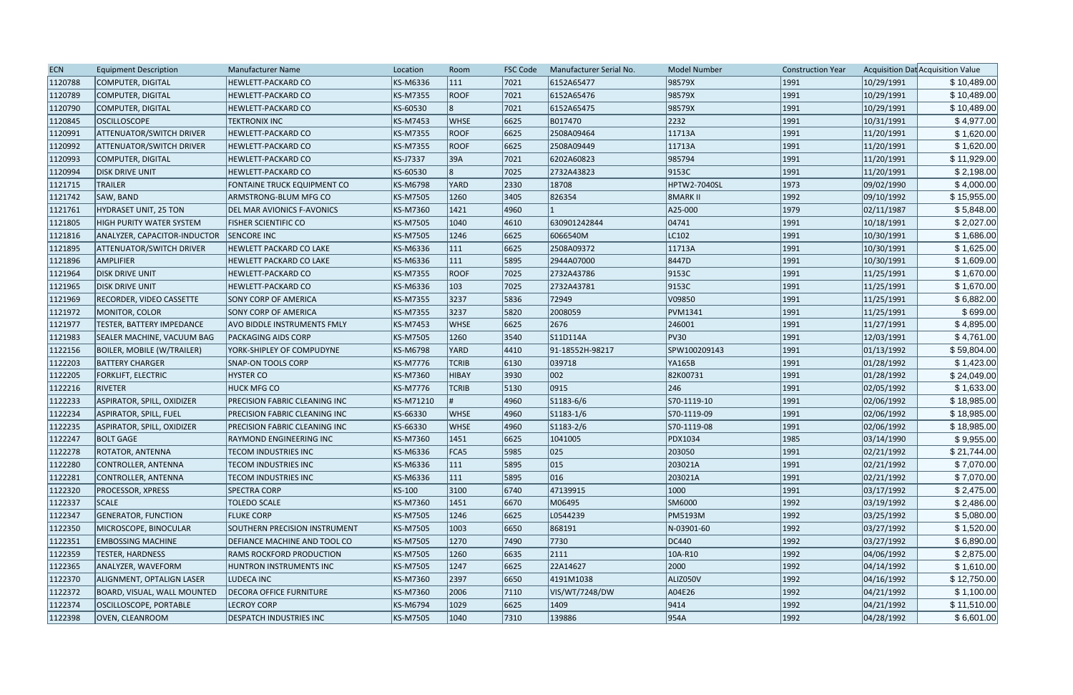| <b>ECN</b> | <b>Equipment Description</b>       | Manufacturer Name                  | Location        | Room           | <b>FSC Code</b> | Manufacturer Serial No. | <b>Model Number</b> | <b>Construction Year</b> |            | Acquisition Dat Acquisition Value |
|------------|------------------------------------|------------------------------------|-----------------|----------------|-----------------|-------------------------|---------------------|--------------------------|------------|-----------------------------------|
| 1120788    | COMPUTER, DIGITAL                  | HEWLETT-PACKARD CO                 | KS-M6336        | 111            | 7021            | 6152A65477              | 98579X              | 1991                     | 10/29/1991 | \$10,489.00                       |
| 1120789    | COMPUTER, DIGITAL                  | HEWLETT-PACKARD CO                 | <b>KS-M7355</b> | <b>ROOF</b>    | 7021            | 6152A65476              | 98579X              | 1991                     | 10/29/1991 | \$10,489.00                       |
| 1120790    | COMPUTER, DIGITAL                  | HEWLETT-PACKARD CO                 | KS-60530        | 8              | 7021            | 6152A65475              | 98579X              | 1991                     | 10/29/1991 | \$10,489.00                       |
| 1120845    | <b>OSCILLOSCOPE</b>                | <b>TEKTRONIX INC</b>               | <b>KS-M7453</b> | <b>WHSE</b>    | 6625            | B017470                 | 2232                | 1991                     | 10/31/1991 | \$4,977.00                        |
| 1120991    | <b>ATTENUATOR/SWITCH DRIVER</b>    | HEWLETT-PACKARD CO                 | <b>KS-M7355</b> | <b>ROOF</b>    | 6625            | 2508A09464              | 11713A              | 1991                     | 11/20/1991 | \$1,620.00                        |
| 1120992    | <b>ATTENUATOR/SWITCH DRIVER</b>    | <b>HEWLETT-PACKARD CO</b>          | <b>KS-M7355</b> | <b>ROOF</b>    | 6625            | 2508A09449              | 11713A              | 1991                     | 11/20/1991 | \$1,620.00                        |
| 1120993    | COMPUTER, DIGITAL                  | HEWLETT-PACKARD CO                 | <b>KS-J7337</b> | 39A            | 7021            | 6202A60823              | 985794              | 1991                     | 11/20/1991 | \$11,929.00                       |
| 1120994    | <b>DISK DRIVE UNIT</b>             | <b>HEWLETT-PACKARD CO</b>          | KS-60530        | 8              | 7025            | 2732A43823              | 9153C               | 1991                     | 11/20/1991 | \$2,198.00                        |
| 1121715    | <b>TRAILER</b>                     | FONTAINE TRUCK EQUIPMENT CO        | <b>KS-M6798</b> | YARD           | 2330            | 18708                   | <b>HPTW2-7040SL</b> | 1973                     | 09/02/1990 | \$4,000.00                        |
| 1121742    | SAW, BAND                          | ARMSTRONG-BLUM MFG CO              | <b>KS-M7505</b> | 1260           | 3405            | 826354                  | <b>8MARK II</b>     | 1992                     | 09/10/1992 | \$15,955.00                       |
| 1121761    | HYDRASET UNIT, 25 TON              | <b>DEL MAR AVIONICS F-AVONICS</b>  | <b>KS-M7360</b> | 1421           | 4960            |                         | A25-000             | 1979                     | 02/11/1987 | \$5,848.00                        |
| 1121805    | <b>HIGH PURITY WATER SYSTEM</b>    | <b>FISHER SCIENTIFIC CO</b>        | <b>KS-M7505</b> | 1040           | 4610            | 630901242844            | 04741               | 1991                     | 10/18/1991 | \$2,027.00                        |
| 1121816    | ANALYZER, CAPACITOR-INDUCTOR       | <b>SENCORE INC</b>                 | <b>KS-M7505</b> | 1246           | 6625            | 6066540M                | LC102               | 1991                     | 10/30/1991 | \$1,686.00                        |
| 1121895    | <b>ATTENUATOR/SWITCH DRIVER</b>    | <b>HEWLETT PACKARD CO LAKE</b>     | KS-M6336        | $ 111\rangle$  | 6625            | 2508A09372              | 11713A              | 1991                     | 10/30/1991 | \$1,625.00                        |
| 1121896    | <b>AMPLIFIER</b>                   | <b>HEWLETT PACKARD CO LAKE</b>     | KS-M6336        | $ 111\rangle$  | 5895            | 2944A07000              | 8447D               | 1991                     | 10/30/1991 | \$1,609.00                        |
| 1121964    | <b>DISK DRIVE UNIT</b>             | <b>HEWLETT-PACKARD CO</b>          | <b>KS-M7355</b> | <b>ROOF</b>    | 7025            | 2732A43786              | 9153C               | 1991                     | 11/25/1991 | \$1,670.00                        |
| 1121965    | <b>DISK DRIVE UNIT</b>             | <b>HEWLETT-PACKARD CO</b>          | <b>KS-M6336</b> | $ 103\rangle$  | 7025            | 2732A43781              | 9153C               | 1991                     | 11/25/1991 | \$1,670.00                        |
| 1121969    | <b>RECORDER, VIDEO CASSETTE</b>    | <b>SONY CORP OF AMERICA</b>        | <b>KS-M7355</b> | 3237           | 5836            | 72949                   | V09850              | 1991                     | 11/25/1991 | \$6,882.00                        |
| 1121972    | MONITOR, COLOR                     | SONY CORP OF AMERICA               | <b>KS-M7355</b> | 3237           | 5820            | 2008059                 | <b>PVM1341</b>      | 1991                     | 11/25/1991 | \$699.00                          |
| 1121977    | TESTER, BATTERY IMPEDANCE          | <b>AVO BIDDLE INSTRUMENTS FMLY</b> | <b>KS-M7453</b> | <b>WHSE</b>    | 6625            | 2676                    | 246001              | 1991                     | 11/27/1991 | \$4,895.00                        |
| 1121983    | <b>SEALER MACHINE, VACUUM BAG</b>  | <b>PACKAGING AIDS CORP</b>         | <b>KS-M7505</b> | 1260           | 3540            | S11D114A                | <b>PV30</b>         | 1991                     | 12/03/1991 | \$4,761.00                        |
| 1122156    | BOILER, MOBILE (W/TRAILER)         | YORK-SHIPLEY OF COMPUDYNE          | <b>KS-M6798</b> | YARD           | 4410            | 91-18552H-98217         | SPW100209143        | 1991                     | 01/13/1992 | \$59,804.00                       |
| 1122203    | <b>BATTERY CHARGER</b>             | <b>SNAP-ON TOOLS CORP</b>          | <b>KS-M7776</b> | <b>TCRIB</b>   | 6130            | 039718                  | YA165B              | 1991                     | 01/28/1992 | \$1,423.00                        |
| 1122205    | <b>FORKLIFT, ELECTRIC</b>          | <b>HYSTER CO</b>                   | <b>KS-M7360</b> | HIBAY          | 3930            | 002                     | 82K00731            | 1991                     | 01/28/1992 | \$24,049.00                       |
| 1122216    | <b>RIVETER</b>                     | <b>HUCK MFG CO</b>                 | <b>KS-M7776</b> | <b>TCRIB</b>   | 5130            | 0915                    | 246                 | 1991                     | 02/05/1992 | \$1,633.00                        |
| 1122233    | ASPIRATOR, SPILL, OXIDIZER         | PRECISION FABRIC CLEANING INC      | KS-M71210       |                | 4960            | S1183-6/6               | S70-1119-10         | 1991                     | 02/06/1992 | \$18,985.00                       |
| 1122234    | ASPIRATOR, SPILL, FUEL             | PRECISION FABRIC CLEANING INC      | KS-66330        | <b>WHSE</b>    | 4960            | S1183-1/6               | S70-1119-09         | 1991                     | 02/06/1992 | \$18,985.00                       |
| 1122235    | ASPIRATOR, SPILL, OXIDIZER         | PRECISION FABRIC CLEANING INC      | KS-66330        | <b>WHSE</b>    | 4960            | $ S1183-2/6 $           | S70-1119-08         | 1991                     | 02/06/1992 | \$18,985.00                       |
| 1122247    | <b>BOLT GAGE</b>                   | <b>RAYMOND ENGINEERING INC</b>     | <b>KS-M7360</b> | 1451           | 6625            | 1041005                 | PDX1034             | 1985                     | 03/14/1990 | \$9,955.00                        |
| 1122278    | <b>ROTATOR, ANTENNA</b>            | <b>TECOM INDUSTRIES INC</b>        | KS-M6336        | FCA5           | 5985            | 025                     | 203050              | 1991                     | 02/21/1992 | \$21,744.00                       |
| 1122280    | CONTROLLER, ANTENNA                | <b>TECOM INDUSTRIES INC</b>        | KS-M6336        | 111            | 5895            | $ 015\rangle$           | 203021A             | 1991                     | 02/21/1992 | \$7,070.00                        |
| 1122281    | CONTROLLER, ANTENNA                | <b>TECOM INDUSTRIES INC</b>        | KS-M6336        | $ 111\rangle$  | 5895            | 016                     | 203021A             | 1991                     | 02/21/1992 | \$7,070.00                        |
| 1122320    | <b>PROCESSOR, XPRESS</b>           | <b>SPECTRA CORP</b>                | KS-100          | 3100           | 6740            | 47139915                | 1000                | 1991                     | 03/17/1992 | \$2,475.00                        |
| 1122337    | <b>SCALE</b>                       | <b>TOLEDO SCALE</b>                | <b>KS-M7360</b> | 1451           | 6670            | M06495                  | SM6000              | 1992                     | 03/19/1992 | \$2,486.00                        |
| 1122347    | <b>GENERATOR, FUNCTION</b>         | <b>FLUKE CORP</b>                  | <b>KS-M7505</b> | 1246           | 6625            | L0544239                | <b>PM5193M</b>      | 1992                     | 03/25/1992 | \$5,080.00                        |
| 1122350    | MICROSCOPE, BINOCULAR              | SOUTHERN PRECISION INSTRUMENT      | <b>KS-M7505</b> | 1003           | 6650            | 868191                  | N-03901-60          | 1992                     | 03/27/1992 | \$1,520.00                        |
| 1122351    | <b>EMBOSSING MACHINE</b>           | DEFIANCE MACHINE AND TOOL CO       | <b>KS-M7505</b> | 1270           | 7490            | 7730                    | DC440               | 1992                     | 03/27/1992 | \$6,890.00                        |
| 1122359    | <b>TESTER, HARDNESS</b>            | RAMS ROCKFORD PRODUCTION           | <b>KS-M7505</b> | 1260           | 6635            | 2111                    | 10A-R10             | 1992                     | 04/06/1992 | \$2,875.00                        |
| 1122365    | ANALYZER, WAVEFORM                 | HUNTRON INSTRUMENTS INC            | <b>KS-M7505</b> | 1247           | 6625            | 22A14627                | 2000                | 1992                     | 04/14/1992 | \$1,610.00                        |
| 1122370    | ALIGNMENT, OPTALIGN LASER          | LUDECA INC                         | KS-M7360        | 2397           | 6650            | 4191M1038               | ALIZ050V            | 1992                     | 04/16/1992 | \$12,750.00                       |
| 1122372    | <b>BOARD, VISUAL, WALL MOUNTED</b> | <b>DECORA OFFICE FURNITURE</b>     | <b>KS-M7360</b> | 2006           | $ 7110\rangle$  | VIS/WT/7248/DW          | A04E26              | 1992                     | 04/21/1992 | \$1,100.00                        |
|            |                                    | <b>LECROY CORP</b>                 | <b>KS-M6794</b> |                | 6625            | 1409                    |                     | 1992                     |            | \$11,510.00                       |
| 1122374    | OSCILLOSCOPE, PORTABLE             |                                    |                 | 1029           |                 |                         | 9414                |                          | 04/21/1992 |                                   |
| 1122398    | <b>OVEN, CLEANROOM</b>             | <b>DESPATCH INDUSTRIES INC</b>     | <b>KS-M7505</b> | $ 1040\rangle$ | $ 7310$         | 139886                  | 954A                | 1992                     | 04/28/1992 | \$6,601.00                        |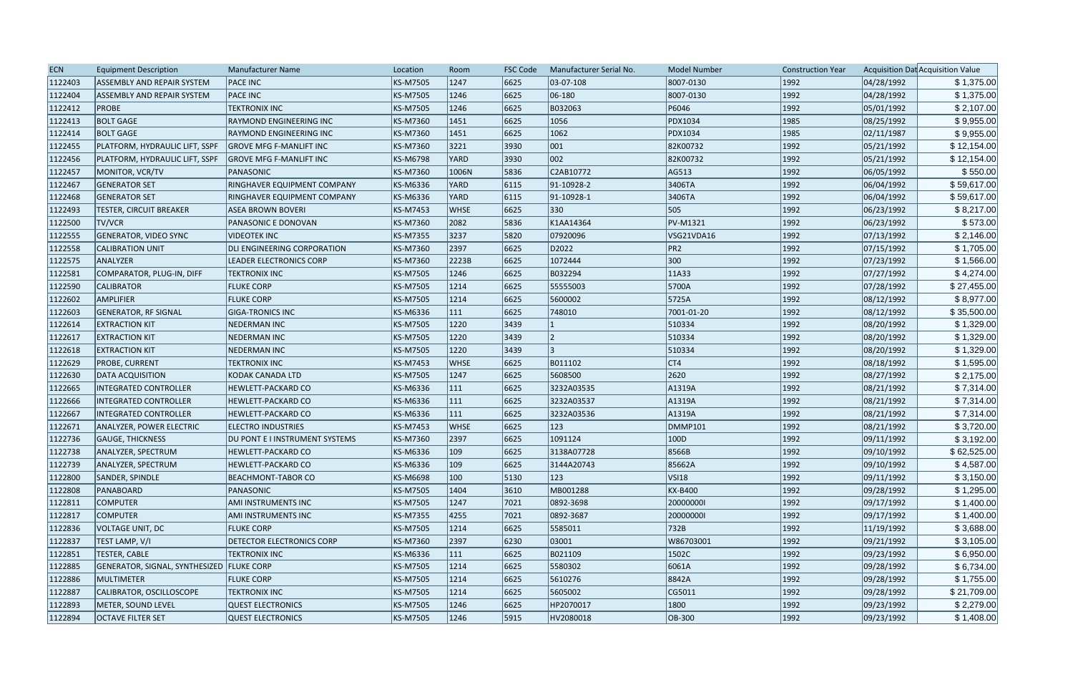| 1122403<br><b>KS-M7505</b><br>1247<br>6625<br>03-07-108<br>8007-0130<br> 1992 <br>04/28/1992<br>\$1,375.00<br><b>ASSEMBLY AND REPAIR SYSTEM</b><br><b>PACE INC</b><br>1246<br> 1992 <br>1122404<br><b>PACE INC</b><br><b>KS-M7505</b><br>6625<br>06-180<br>8007-0130<br>04/28/1992<br>ASSEMBLY AND REPAIR SYSTEM<br>\$1,375.00<br> 1992 <br>\$2,107.00<br>1122412<br><b>PROBE</b><br><b>TEKTRONIX INC</b><br><b>KS-M7505</b><br>1246<br>6625<br>B032063<br>P6046<br>05/01/1992<br>\$9,955.00<br>6625<br>1056<br>PDX1034<br>1985<br>08/25/1992<br>1122413<br><b>BOLT GAGE</b><br>RAYMOND ENGINEERING INC<br><b>KS-M7360</b><br>1451<br>1122414<br><b>BOLT GAGE</b><br>KS-M7360<br>6625<br>1062<br>PDX1034<br>1985<br>02/11/1987<br>\$9,955.00<br>RAYMOND ENGINEERING INC<br>1451<br>001<br>\$12,154.00<br>1122455<br>PLATFORM, HYDRAULIC LIFT, SSPF<br>KS-M7360<br>3221<br>3930<br>82K00732<br> 1992 <br>05/21/1992<br><b>GROVE MFG F-MANLIFT INC</b><br>002<br>3930<br> 1992 <br>\$12,154.00<br>1122456<br>PLATFORM, HYDRAULIC LIFT, SSPF<br><b>KS-M6798</b><br>YARD<br>82K00732<br>05/21/1992<br><b>GROVE MFG F-MANLIFT INC</b><br>\$550.00<br>1122457<br>KS-M7360<br>5836<br>C2AB10772<br> 1992 <br>06/05/1992<br>MONITOR, VCR/TV<br>PANASONIC<br>1006N<br>AG513<br>3406TA<br> 1992 <br>1122467<br>RINGHAVER EQUIPMENT COMPANY<br><b>KS-M6336</b><br>YARD<br>6115<br>$ 91-10928-2$<br>06/04/1992<br>\$59,617.00<br><b>GENERATOR SET</b><br>6115<br> 1992 <br>\$59,617.00<br>1122468<br><b>GENERATOR SET</b><br><b>KS-M6336</b><br>YARD<br>91-10928-1<br>3406TA<br>06/04/1992<br>RINGHAVER EQUIPMENT COMPANY<br>$ 330\rangle$<br>505<br> 1992 <br>06/23/1992<br>\$8,217.00<br>1122493<br><b>KS-M7453</b><br><b>WHSE</b><br>6625<br>TESTER, CIRCUIT BREAKER<br><b>ASEA BROWN BOVERI</b><br>2082<br>5836<br>PV-M1321<br> 1992 <br>06/23/1992<br>\$573.00<br>1122500<br><b>TV/VCR</b><br>PANASONIC E DONOVAN<br>KS-M7360<br>K1AA14364<br>3237<br>\$2,146.00<br>1122555<br><b>KS-M7355</b><br>5820<br>07920096<br> 1992 <br>07/13/1992<br><b>GENERATOR, VIDEO SYNC</b><br><b>VIDEOTEK INC</b><br>VSG21VDA16<br>D2022<br>PR <sub>2</sub><br>1122558<br>KS-M7360<br>2397<br>6625<br> 1992 <br>07/15/1992<br>\$1,705.00<br><b>CALIBRATION UNIT</b><br>DLI ENGINEERING CORPORATION<br>\$1,566.00<br>1122575<br>2223B<br>1072444<br>300<br> 1992 <br>07/23/1992<br>ANALYZER<br>LEADER ELECTRONICS CORP<br><b>KS-M7360</b><br>6625<br>1246<br>6625<br>B032294<br> 1992 <br>07/27/1992<br>1122581<br>COMPARATOR, PLUG-IN, DIFF<br><b>TEKTRONIX INC</b><br><b>KS-M7505</b><br> 11A33<br>\$4,274.00<br><b>FLUKE CORP</b><br>1214<br>6625<br>55555003<br>5700A<br> 1992 <br>07/28/1992<br>\$27,455.00<br>1122590<br><b>CALIBRATOR</b><br><b>KS-M7505</b><br>5600002<br>5725A<br> 1992 <br>08/12/1992<br>\$8,977.00<br>1122602<br>AMPLIFIER<br><b>FLUKE CORP</b><br><b>KS-M7505</b><br>1214<br>6625 |
|---------------------------------------------------------------------------------------------------------------------------------------------------------------------------------------------------------------------------------------------------------------------------------------------------------------------------------------------------------------------------------------------------------------------------------------------------------------------------------------------------------------------------------------------------------------------------------------------------------------------------------------------------------------------------------------------------------------------------------------------------------------------------------------------------------------------------------------------------------------------------------------------------------------------------------------------------------------------------------------------------------------------------------------------------------------------------------------------------------------------------------------------------------------------------------------------------------------------------------------------------------------------------------------------------------------------------------------------------------------------------------------------------------------------------------------------------------------------------------------------------------------------------------------------------------------------------------------------------------------------------------------------------------------------------------------------------------------------------------------------------------------------------------------------------------------------------------------------------------------------------------------------------------------------------------------------------------------------------------------------------------------------------------------------------------------------------------------------------------------------------------------------------------------------------------------------------------------------------------------------------------------------------------------------------------------------------------------------------------------------------------------------------------------------------------------------------------------------------------------------------------------------------------------------------------------------------------------------------------------------------------------------------------------------------------------------------------------------------------------------------------------------------------------------------------------------------------------------------------------------------------------|
|                                                                                                                                                                                                                                                                                                                                                                                                                                                                                                                                                                                                                                                                                                                                                                                                                                                                                                                                                                                                                                                                                                                                                                                                                                                                                                                                                                                                                                                                                                                                                                                                                                                                                                                                                                                                                                                                                                                                                                                                                                                                                                                                                                                                                                                                                                                                                                                                                                                                                                                                                                                                                                                                                                                                                                                                                                                                                       |
|                                                                                                                                                                                                                                                                                                                                                                                                                                                                                                                                                                                                                                                                                                                                                                                                                                                                                                                                                                                                                                                                                                                                                                                                                                                                                                                                                                                                                                                                                                                                                                                                                                                                                                                                                                                                                                                                                                                                                                                                                                                                                                                                                                                                                                                                                                                                                                                                                                                                                                                                                                                                                                                                                                                                                                                                                                                                                       |
|                                                                                                                                                                                                                                                                                                                                                                                                                                                                                                                                                                                                                                                                                                                                                                                                                                                                                                                                                                                                                                                                                                                                                                                                                                                                                                                                                                                                                                                                                                                                                                                                                                                                                                                                                                                                                                                                                                                                                                                                                                                                                                                                                                                                                                                                                                                                                                                                                                                                                                                                                                                                                                                                                                                                                                                                                                                                                       |
|                                                                                                                                                                                                                                                                                                                                                                                                                                                                                                                                                                                                                                                                                                                                                                                                                                                                                                                                                                                                                                                                                                                                                                                                                                                                                                                                                                                                                                                                                                                                                                                                                                                                                                                                                                                                                                                                                                                                                                                                                                                                                                                                                                                                                                                                                                                                                                                                                                                                                                                                                                                                                                                                                                                                                                                                                                                                                       |
|                                                                                                                                                                                                                                                                                                                                                                                                                                                                                                                                                                                                                                                                                                                                                                                                                                                                                                                                                                                                                                                                                                                                                                                                                                                                                                                                                                                                                                                                                                                                                                                                                                                                                                                                                                                                                                                                                                                                                                                                                                                                                                                                                                                                                                                                                                                                                                                                                                                                                                                                                                                                                                                                                                                                                                                                                                                                                       |
|                                                                                                                                                                                                                                                                                                                                                                                                                                                                                                                                                                                                                                                                                                                                                                                                                                                                                                                                                                                                                                                                                                                                                                                                                                                                                                                                                                                                                                                                                                                                                                                                                                                                                                                                                                                                                                                                                                                                                                                                                                                                                                                                                                                                                                                                                                                                                                                                                                                                                                                                                                                                                                                                                                                                                                                                                                                                                       |
|                                                                                                                                                                                                                                                                                                                                                                                                                                                                                                                                                                                                                                                                                                                                                                                                                                                                                                                                                                                                                                                                                                                                                                                                                                                                                                                                                                                                                                                                                                                                                                                                                                                                                                                                                                                                                                                                                                                                                                                                                                                                                                                                                                                                                                                                                                                                                                                                                                                                                                                                                                                                                                                                                                                                                                                                                                                                                       |
|                                                                                                                                                                                                                                                                                                                                                                                                                                                                                                                                                                                                                                                                                                                                                                                                                                                                                                                                                                                                                                                                                                                                                                                                                                                                                                                                                                                                                                                                                                                                                                                                                                                                                                                                                                                                                                                                                                                                                                                                                                                                                                                                                                                                                                                                                                                                                                                                                                                                                                                                                                                                                                                                                                                                                                                                                                                                                       |
|                                                                                                                                                                                                                                                                                                                                                                                                                                                                                                                                                                                                                                                                                                                                                                                                                                                                                                                                                                                                                                                                                                                                                                                                                                                                                                                                                                                                                                                                                                                                                                                                                                                                                                                                                                                                                                                                                                                                                                                                                                                                                                                                                                                                                                                                                                                                                                                                                                                                                                                                                                                                                                                                                                                                                                                                                                                                                       |
|                                                                                                                                                                                                                                                                                                                                                                                                                                                                                                                                                                                                                                                                                                                                                                                                                                                                                                                                                                                                                                                                                                                                                                                                                                                                                                                                                                                                                                                                                                                                                                                                                                                                                                                                                                                                                                                                                                                                                                                                                                                                                                                                                                                                                                                                                                                                                                                                                                                                                                                                                                                                                                                                                                                                                                                                                                                                                       |
|                                                                                                                                                                                                                                                                                                                                                                                                                                                                                                                                                                                                                                                                                                                                                                                                                                                                                                                                                                                                                                                                                                                                                                                                                                                                                                                                                                                                                                                                                                                                                                                                                                                                                                                                                                                                                                                                                                                                                                                                                                                                                                                                                                                                                                                                                                                                                                                                                                                                                                                                                                                                                                                                                                                                                                                                                                                                                       |
|                                                                                                                                                                                                                                                                                                                                                                                                                                                                                                                                                                                                                                                                                                                                                                                                                                                                                                                                                                                                                                                                                                                                                                                                                                                                                                                                                                                                                                                                                                                                                                                                                                                                                                                                                                                                                                                                                                                                                                                                                                                                                                                                                                                                                                                                                                                                                                                                                                                                                                                                                                                                                                                                                                                                                                                                                                                                                       |
|                                                                                                                                                                                                                                                                                                                                                                                                                                                                                                                                                                                                                                                                                                                                                                                                                                                                                                                                                                                                                                                                                                                                                                                                                                                                                                                                                                                                                                                                                                                                                                                                                                                                                                                                                                                                                                                                                                                                                                                                                                                                                                                                                                                                                                                                                                                                                                                                                                                                                                                                                                                                                                                                                                                                                                                                                                                                                       |
|                                                                                                                                                                                                                                                                                                                                                                                                                                                                                                                                                                                                                                                                                                                                                                                                                                                                                                                                                                                                                                                                                                                                                                                                                                                                                                                                                                                                                                                                                                                                                                                                                                                                                                                                                                                                                                                                                                                                                                                                                                                                                                                                                                                                                                                                                                                                                                                                                                                                                                                                                                                                                                                                                                                                                                                                                                                                                       |
|                                                                                                                                                                                                                                                                                                                                                                                                                                                                                                                                                                                                                                                                                                                                                                                                                                                                                                                                                                                                                                                                                                                                                                                                                                                                                                                                                                                                                                                                                                                                                                                                                                                                                                                                                                                                                                                                                                                                                                                                                                                                                                                                                                                                                                                                                                                                                                                                                                                                                                                                                                                                                                                                                                                                                                                                                                                                                       |
|                                                                                                                                                                                                                                                                                                                                                                                                                                                                                                                                                                                                                                                                                                                                                                                                                                                                                                                                                                                                                                                                                                                                                                                                                                                                                                                                                                                                                                                                                                                                                                                                                                                                                                                                                                                                                                                                                                                                                                                                                                                                                                                                                                                                                                                                                                                                                                                                                                                                                                                                                                                                                                                                                                                                                                                                                                                                                       |
|                                                                                                                                                                                                                                                                                                                                                                                                                                                                                                                                                                                                                                                                                                                                                                                                                                                                                                                                                                                                                                                                                                                                                                                                                                                                                                                                                                                                                                                                                                                                                                                                                                                                                                                                                                                                                                                                                                                                                                                                                                                                                                                                                                                                                                                                                                                                                                                                                                                                                                                                                                                                                                                                                                                                                                                                                                                                                       |
|                                                                                                                                                                                                                                                                                                                                                                                                                                                                                                                                                                                                                                                                                                                                                                                                                                                                                                                                                                                                                                                                                                                                                                                                                                                                                                                                                                                                                                                                                                                                                                                                                                                                                                                                                                                                                                                                                                                                                                                                                                                                                                                                                                                                                                                                                                                                                                                                                                                                                                                                                                                                                                                                                                                                                                                                                                                                                       |
| 6625<br>KS-M6336<br>$ 111\rangle$<br>748010<br> 1992 <br>08/12/1992<br>1122603<br><b>GENERATOR, RF SIGNAL</b><br><b>GIGA-TRONICS INC</b><br>7001-01-20<br>\$35,500.00                                                                                                                                                                                                                                                                                                                                                                                                                                                                                                                                                                                                                                                                                                                                                                                                                                                                                                                                                                                                                                                                                                                                                                                                                                                                                                                                                                                                                                                                                                                                                                                                                                                                                                                                                                                                                                                                                                                                                                                                                                                                                                                                                                                                                                                                                                                                                                                                                                                                                                                                                                                                                                                                                                                 |
| \$1,329.00<br><b>KS-M7505</b><br>1220<br>3439<br> 1992 <br>08/20/1992<br>1122614<br><b>EXTRACTION KIT</b><br><b>NEDERMAN INC</b><br>510334                                                                                                                                                                                                                                                                                                                                                                                                                                                                                                                                                                                                                                                                                                                                                                                                                                                                                                                                                                                                                                                                                                                                                                                                                                                                                                                                                                                                                                                                                                                                                                                                                                                                                                                                                                                                                                                                                                                                                                                                                                                                                                                                                                                                                                                                                                                                                                                                                                                                                                                                                                                                                                                                                                                                            |
| 1220<br>3439<br>510334<br> 1992 <br>08/20/1992<br>\$1,329.00<br>1122617<br><b>EXTRACTION KIT</b><br><b>NEDERMAN INC</b><br><b>KS-M7505</b>                                                                                                                                                                                                                                                                                                                                                                                                                                                                                                                                                                                                                                                                                                                                                                                                                                                                                                                                                                                                                                                                                                                                                                                                                                                                                                                                                                                                                                                                                                                                                                                                                                                                                                                                                                                                                                                                                                                                                                                                                                                                                                                                                                                                                                                                                                                                                                                                                                                                                                                                                                                                                                                                                                                                            |
| 3439<br> 1992 <br>\$1,329.00<br>1122618<br><b>NEDERMAN INC</b><br><b>KS-M7505</b><br>1220<br>510334<br>08/20/1992<br><b>EXTRACTION KIT</b>                                                                                                                                                                                                                                                                                                                                                                                                                                                                                                                                                                                                                                                                                                                                                                                                                                                                                                                                                                                                                                                                                                                                                                                                                                                                                                                                                                                                                                                                                                                                                                                                                                                                                                                                                                                                                                                                                                                                                                                                                                                                                                                                                                                                                                                                                                                                                                                                                                                                                                                                                                                                                                                                                                                                            |
| 6625<br> CT4<br> 1992 <br>1122629<br><b>WHSE</b><br>B011102<br>08/18/1992<br>\$1,595.00<br><b>PROBE, CURRENT</b><br><b>TEKTRONIX INC</b><br><b>KS-M7453</b>                                                                                                                                                                                                                                                                                                                                                                                                                                                                                                                                                                                                                                                                                                                                                                                                                                                                                                                                                                                                                                                                                                                                                                                                                                                                                                                                                                                                                                                                                                                                                                                                                                                                                                                                                                                                                                                                                                                                                                                                                                                                                                                                                                                                                                                                                                                                                                                                                                                                                                                                                                                                                                                                                                                           |
| \$2,175.00<br><b>KS-M7505</b><br>1247<br>6625<br>5608500<br>2620<br> 1992 <br>08/27/1992<br>1122630<br><b>DATA ACQUISITION</b><br>KODAK CANADA LTD                                                                                                                                                                                                                                                                                                                                                                                                                                                                                                                                                                                                                                                                                                                                                                                                                                                                                                                                                                                                                                                                                                                                                                                                                                                                                                                                                                                                                                                                                                                                                                                                                                                                                                                                                                                                                                                                                                                                                                                                                                                                                                                                                                                                                                                                                                                                                                                                                                                                                                                                                                                                                                                                                                                                    |
| \$7,314.00<br>1122665<br>KS-M6336<br>$ 111\rangle$<br>6625<br>3232A03535<br>A1319A<br> 1992 <br>08/21/1992<br><b>INTEGRATED CONTROLLER</b><br><b>HEWLETT-PACKARD CO</b>                                                                                                                                                                                                                                                                                                                                                                                                                                                                                                                                                                                                                                                                                                                                                                                                                                                                                                                                                                                                                                                                                                                                                                                                                                                                                                                                                                                                                                                                                                                                                                                                                                                                                                                                                                                                                                                                                                                                                                                                                                                                                                                                                                                                                                                                                                                                                                                                                                                                                                                                                                                                                                                                                                               |
| $ 111\rangle$<br>6625<br>3232A03537<br> 1992 <br>1122666<br>KS-M6336<br>A1319A<br>08/21/1992<br>\$7,314.00<br><b>INTEGRATED CONTROLLER</b><br><b>HEWLETT-PACKARD CO</b>                                                                                                                                                                                                                                                                                                                                                                                                                                                                                                                                                                                                                                                                                                                                                                                                                                                                                                                                                                                                                                                                                                                                                                                                                                                                                                                                                                                                                                                                                                                                                                                                                                                                                                                                                                                                                                                                                                                                                                                                                                                                                                                                                                                                                                                                                                                                                                                                                                                                                                                                                                                                                                                                                                               |
| 1122667<br> 111 <br> 1992 <br><b>INTEGRATED CONTROLLER</b><br><b>KS-M6336</b><br>6625<br>3232A03536<br>A1319A<br>08/21/1992<br>\$7,314.00<br><b>HEWLETT-PACKARD CO</b>                                                                                                                                                                                                                                                                                                                                                                                                                                                                                                                                                                                                                                                                                                                                                                                                                                                                                                                                                                                                                                                                                                                                                                                                                                                                                                                                                                                                                                                                                                                                                                                                                                                                                                                                                                                                                                                                                                                                                                                                                                                                                                                                                                                                                                                                                                                                                                                                                                                                                                                                                                                                                                                                                                                |
| 123<br> 1992 <br>\$3,720.00<br>1122671<br><b>KS-M7453</b><br><b>WHSE</b><br>6625<br><b>DMMP101</b><br>08/21/1992<br><b>ANALYZER, POWER ELECTRIC</b><br><b>ELECTRO INDUSTRIES</b>                                                                                                                                                                                                                                                                                                                                                                                                                                                                                                                                                                                                                                                                                                                                                                                                                                                                                                                                                                                                                                                                                                                                                                                                                                                                                                                                                                                                                                                                                                                                                                                                                                                                                                                                                                                                                                                                                                                                                                                                                                                                                                                                                                                                                                                                                                                                                                                                                                                                                                                                                                                                                                                                                                      |
| 6625<br> 1992 <br>\$3,192.00<br>1122736<br>DU PONT E I INSTRUMENT SYSTEMS<br>2397<br>1091124<br> 100D<br>09/11/1992<br><b>GAUGE, THICKNESS</b><br><b>KS-M7360</b>                                                                                                                                                                                                                                                                                                                                                                                                                                                                                                                                                                                                                                                                                                                                                                                                                                                                                                                                                                                                                                                                                                                                                                                                                                                                                                                                                                                                                                                                                                                                                                                                                                                                                                                                                                                                                                                                                                                                                                                                                                                                                                                                                                                                                                                                                                                                                                                                                                                                                                                                                                                                                                                                                                                     |
| 109<br>6625<br>8566B<br> 1992 <br>09/10/1992<br>1122738<br>KS-M6336<br>3138A07728<br>\$62,525.00<br>ANALYZER, SPECTRUM<br><b>HEWLETT-PACKARD CO</b>                                                                                                                                                                                                                                                                                                                                                                                                                                                                                                                                                                                                                                                                                                                                                                                                                                                                                                                                                                                                                                                                                                                                                                                                                                                                                                                                                                                                                                                                                                                                                                                                                                                                                                                                                                                                                                                                                                                                                                                                                                                                                                                                                                                                                                                                                                                                                                                                                                                                                                                                                                                                                                                                                                                                   |
| 6625<br>\$4,587.00<br>KS-M6336<br>$ 109\rangle$<br>85662A<br> 1992 <br>09/10/1992<br>1122739<br>ANALYZER, SPECTRUM<br><b>HEWLETT-PACKARD CO</b><br>3144A20743                                                                                                                                                                                                                                                                                                                                                                                                                                                                                                                                                                                                                                                                                                                                                                                                                                                                                                                                                                                                                                                                                                                                                                                                                                                                                                                                                                                                                                                                                                                                                                                                                                                                                                                                                                                                                                                                                                                                                                                                                                                                                                                                                                                                                                                                                                                                                                                                                                                                                                                                                                                                                                                                                                                         |
| \$3,150.00<br>1122800<br>SANDER, SPINDLE<br><b>KS-M6698</b><br>5130<br>123<br><b>VSI18</b><br> 1992 <br>09/11/1992<br><b>BEACHMONT-TABOR CO</b><br>$ 100\rangle$                                                                                                                                                                                                                                                                                                                                                                                                                                                                                                                                                                                                                                                                                                                                                                                                                                                                                                                                                                                                                                                                                                                                                                                                                                                                                                                                                                                                                                                                                                                                                                                                                                                                                                                                                                                                                                                                                                                                                                                                                                                                                                                                                                                                                                                                                                                                                                                                                                                                                                                                                                                                                                                                                                                      |
| 1992 <br>\$1,295.00<br>1122808<br>PANABOARD<br>PANASONIC<br><b>KS-M7505</b><br>1404<br>MB001288<br>KX-B400<br>09/28/1992<br> 3610                                                                                                                                                                                                                                                                                                                                                                                                                                                                                                                                                                                                                                                                                                                                                                                                                                                                                                                                                                                                                                                                                                                                                                                                                                                                                                                                                                                                                                                                                                                                                                                                                                                                                                                                                                                                                                                                                                                                                                                                                                                                                                                                                                                                                                                                                                                                                                                                                                                                                                                                                                                                                                                                                                                                                     |
| 1122811<br>AMI INSTRUMENTS INC<br><b>KS-M7505</b><br>1247<br>0892-3698<br>200000001<br> 1992 <br>09/17/1992<br>\$1,400.00<br> COMPUTER<br> 7021                                                                                                                                                                                                                                                                                                                                                                                                                                                                                                                                                                                                                                                                                                                                                                                                                                                                                                                                                                                                                                                                                                                                                                                                                                                                                                                                                                                                                                                                                                                                                                                                                                                                                                                                                                                                                                                                                                                                                                                                                                                                                                                                                                                                                                                                                                                                                                                                                                                                                                                                                                                                                                                                                                                                       |
| 200000001<br>09/17/1992<br>\$1,400.00<br>1122817<br><b>COMPUTER</b><br><b>KS-M7355</b><br>4255<br> 7021<br>0892-3687<br> 1992 <br><b>AMI INSTRUMENTS INC</b>                                                                                                                                                                                                                                                                                                                                                                                                                                                                                                                                                                                                                                                                                                                                                                                                                                                                                                                                                                                                                                                                                                                                                                                                                                                                                                                                                                                                                                                                                                                                                                                                                                                                                                                                                                                                                                                                                                                                                                                                                                                                                                                                                                                                                                                                                                                                                                                                                                                                                                                                                                                                                                                                                                                          |
| \$3,688.00<br>1214<br>6625<br> 1992 <br>11/19/1992<br>1122836<br><b>VOLTAGE UNIT, DC</b><br><b>FLUKE CORP</b><br><b>KS-M7505</b><br>5585011<br>732B                                                                                                                                                                                                                                                                                                                                                                                                                                                                                                                                                                                                                                                                                                                                                                                                                                                                                                                                                                                                                                                                                                                                                                                                                                                                                                                                                                                                                                                                                                                                                                                                                                                                                                                                                                                                                                                                                                                                                                                                                                                                                                                                                                                                                                                                                                                                                                                                                                                                                                                                                                                                                                                                                                                                   |
| 1122837<br>TEST LAMP, V/I<br>KS-M7360<br>2397<br>03001<br>W86703001<br>09/21/1992<br>\$3,105.00<br>DETECTOR ELECTRONICS CORP<br> 6230<br> 1992                                                                                                                                                                                                                                                                                                                                                                                                                                                                                                                                                                                                                                                                                                                                                                                                                                                                                                                                                                                                                                                                                                                                                                                                                                                                                                                                                                                                                                                                                                                                                                                                                                                                                                                                                                                                                                                                                                                                                                                                                                                                                                                                                                                                                                                                                                                                                                                                                                                                                                                                                                                                                                                                                                                                        |
| \$6,950.00<br>1122851<br><b>TESTER, CABLE</b><br>KS-M6336<br>$ 111\rangle$<br>6625<br>B021109<br> 1502C<br> 1992 <br>09/23/1992<br><b>TEKTRONIX INC</b>                                                                                                                                                                                                                                                                                                                                                                                                                                                                                                                                                                                                                                                                                                                                                                                                                                                                                                                                                                                                                                                                                                                                                                                                                                                                                                                                                                                                                                                                                                                                                                                                                                                                                                                                                                                                                                                                                                                                                                                                                                                                                                                                                                                                                                                                                                                                                                                                                                                                                                                                                                                                                                                                                                                               |
| \$6,734.00<br>1122885<br>5580302<br> 1992 <br>09/28/1992<br>GENERATOR, SIGNAL, SYNTHESIZED<br><b>FLUKE CORP</b><br><b>KS-M7505</b><br>1214<br>6625<br>6061A                                                                                                                                                                                                                                                                                                                                                                                                                                                                                                                                                                                                                                                                                                                                                                                                                                                                                                                                                                                                                                                                                                                                                                                                                                                                                                                                                                                                                                                                                                                                                                                                                                                                                                                                                                                                                                                                                                                                                                                                                                                                                                                                                                                                                                                                                                                                                                                                                                                                                                                                                                                                                                                                                                                           |
| 1122886<br>8842A<br> 1992 <br>\$1,755.00<br>MULTIMETER<br><b>FLUKE CORP</b><br><b>KS-M7505</b><br>1214<br>6625<br>5610276<br>09/28/1992                                                                                                                                                                                                                                                                                                                                                                                                                                                                                                                                                                                                                                                                                                                                                                                                                                                                                                                                                                                                                                                                                                                                                                                                                                                                                                                                                                                                                                                                                                                                                                                                                                                                                                                                                                                                                                                                                                                                                                                                                                                                                                                                                                                                                                                                                                                                                                                                                                                                                                                                                                                                                                                                                                                                               |
| 1122887<br>CALIBRATOR, OSCILLOSCOPE<br><b>TEKTRONIX INC</b><br><b>KS-M7505</b><br>1214<br>6625<br>5605002<br> CG5011<br> 1992 <br>09/28/1992<br>\$21,709.00                                                                                                                                                                                                                                                                                                                                                                                                                                                                                                                                                                                                                                                                                                                                                                                                                                                                                                                                                                                                                                                                                                                                                                                                                                                                                                                                                                                                                                                                                                                                                                                                                                                                                                                                                                                                                                                                                                                                                                                                                                                                                                                                                                                                                                                                                                                                                                                                                                                                                                                                                                                                                                                                                                                           |
| \$2,279.00<br>1122893<br><b>QUEST ELECTRONICS</b><br>6625<br>HP2070017<br>1800<br> 1992 <br>09/23/1992<br>METER, SOUND LEVEL<br><b>KS-M7505</b><br>1246                                                                                                                                                                                                                                                                                                                                                                                                                                                                                                                                                                                                                                                                                                                                                                                                                                                                                                                                                                                                                                                                                                                                                                                                                                                                                                                                                                                                                                                                                                                                                                                                                                                                                                                                                                                                                                                                                                                                                                                                                                                                                                                                                                                                                                                                                                                                                                                                                                                                                                                                                                                                                                                                                                                               |
| 1246 <br> 5915 <br>HV2080018<br>OB-300<br> 1992 <br>09/23/1992<br>\$1,408.00<br>1122894<br><b>OCTAVE FILTER SET</b><br><b>QUEST ELECTRONICS</b><br>KS-M7505                                                                                                                                                                                                                                                                                                                                                                                                                                                                                                                                                                                                                                                                                                                                                                                                                                                                                                                                                                                                                                                                                                                                                                                                                                                                                                                                                                                                                                                                                                                                                                                                                                                                                                                                                                                                                                                                                                                                                                                                                                                                                                                                                                                                                                                                                                                                                                                                                                                                                                                                                                                                                                                                                                                           |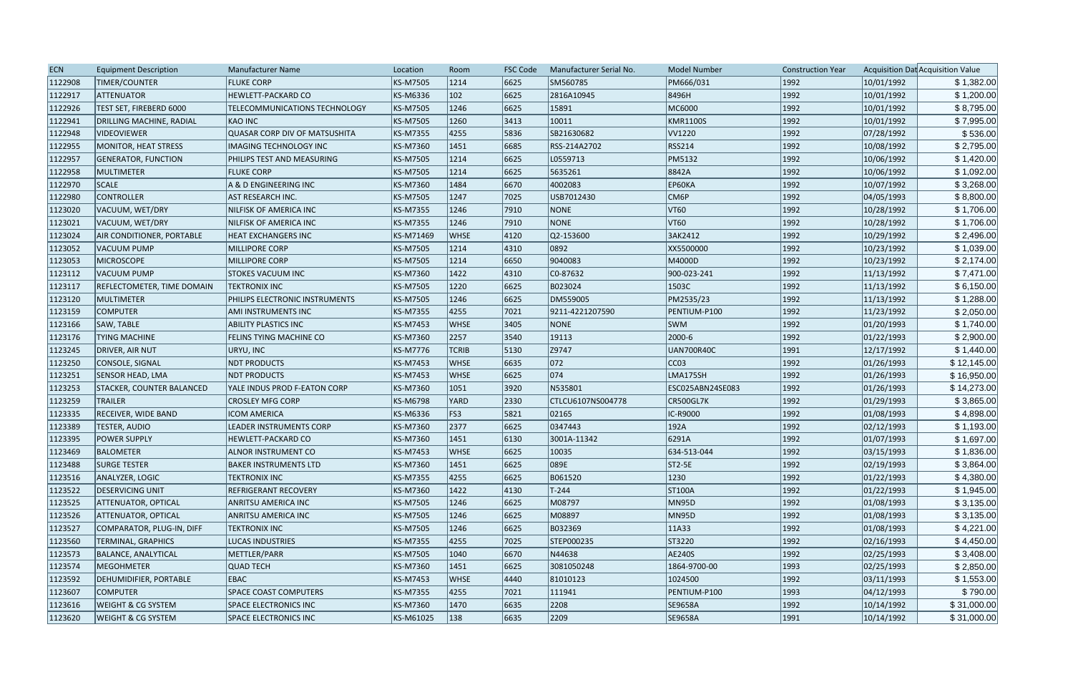| <b>ECN</b> | <b>Equipment Description</b>      | <b>Manufacturer Name</b>             | Location        | Room          | <b>FSC Code</b> | Manufacturer Serial No. | Model Number     | <b>Construction Year</b> |            | Acquisition Dat Acquisition Value |
|------------|-----------------------------------|--------------------------------------|-----------------|---------------|-----------------|-------------------------|------------------|--------------------------|------------|-----------------------------------|
| 1122908    | TIMER/COUNTER                     | <b>FLUKE CORP</b>                    | <b>KS-M7505</b> | 1214          | 6625            | SM560785                | PM666/031        | 1992                     | 10/01/1992 | \$1,382.00                        |
| 1122917    | ATTENUATOR                        | <b>HEWLETT-PACKARD CO</b>            | KS-M6336        | $ 102\rangle$ | 6625            | 2816A10945              | 8496H            | 1992                     | 10/01/1992 | \$1,200.00                        |
| 1122926    | TEST SET, FIREBERD 6000           | TELECOMMUNICATIONS TECHNOLOGY        | <b>KS-M7505</b> | 1246          | 6625            | 15891                   | MC6000           | 1992                     | 10/01/1992 | \$8,795.00                        |
| 1122941    | <b>DRILLING MACHINE, RADIAL</b>   | KAO INC                              | <b>KS-M7505</b> | 1260          | 3413            | 10011                   | KMR1100S         | 1992                     | 10/01/1992 | \$7,995.00                        |
| 1122948    | <b>VIDEOVIEWER</b>                | <b>QUASAR CORP DIV OF MATSUSHITA</b> | <b>KS-M7355</b> | 4255          | 5836            | SB21630682              | VV1220           | 1992                     | 07/28/1992 | \$536.00                          |
| 1122955    | MONITOR, HEAT STRESS              | <b>IMAGING TECHNOLOGY INC</b>        | KS-M7360        | 1451          | 6685            | RSS-214A2702            | <b>RSS214</b>    | 1992                     | 10/08/1992 | \$2,795.00                        |
| 1122957    | <b>GENERATOR, FUNCTION</b>        | PHILIPS TEST AND MEASURING           | KS-M7505        | 1214          | 6625            | L0559713                | <b>PM5132</b>    | 1992                     | 10/06/1992 | \$1,420.00                        |
| 1122958    | MULTIMETER                        | <b>FLUKE CORP</b>                    | <b>KS-M7505</b> | 1214          | 6625            | 5635261                 | 8842A            | 1992                     | 10/06/1992 | \$1,092.00                        |
| 1122970    | SCALE                             | A & D ENGINEERING INC                | <b>KS-M7360</b> | 1484          | 6670            | 4002083                 | EP60KA           | 1992                     | 10/07/1992 | \$3,268.00                        |
| 1122980    | <b>CONTROLLER</b>                 | <b>AST RESEARCH INC.</b>             | <b>KS-M7505</b> | 1247          | 7025            | USB7012430              | CM6P             | 1992                     | 04/05/1993 | \$8,800.00                        |
| 1123020    | VACUUM, WET/DRY                   | NILFISK OF AMERICA INC               | <b>KS-M7355</b> | 1246          | 7910            | <b>NONE</b>             | VT60             | 1992                     | 10/28/1992 | \$1,706.00                        |
| 1123021    | VACUUM, WET/DRY                   | NILFISK OF AMERICA INC               | <b>KS-M7355</b> | 1246          | 7910            | NONE                    | VT60             | 1992                     | 10/28/1992 | \$1,706.00                        |
| 1123024    | <b>AIR CONDITIONER, PORTABLE</b>  | <b>HEAT EXCHANGERS INC</b>           | KS-M71469       | <b>WHSE</b>   | 4120            | $ Q2 - 153600 $         | 3AK2412          | 1992                     | 10/29/1992 | \$2,496.00                        |
| 1123052    | VACUUM PUMP                       | <b>MILLIPORE CORP</b>                | <b>KS-M7505</b> | 1214          | 4310            | 0892                    | XX5500000        | 1992                     | 10/23/1992 | \$1,039.00                        |
| 1123053    | <b>MICROSCOPE</b>                 | <b>MILLIPORE CORP</b>                | <b>KS-M7505</b> | 1214          | 6650            | 9040083                 | M4000D           | 1992                     | 10/23/1992 | \$2,174.00                        |
| 1123112    | VACUUM PUMP                       | <b>STOKES VACUUM INC</b>             | <b>KS-M7360</b> | 1422          | 4310            | C <sub>0</sub> -87632   | 900-023-241      | 1992                     | 11/13/1992 | \$7,471.00                        |
| 1123117    | <b>REFLECTOMETER, TIME DOMAIN</b> | <b>TEKTRONIX INC</b>                 | <b>KS-M7505</b> | 1220          | 6625            | B023024                 | 1503C            | 1992                     | 11/13/1992 | \$6,150.00                        |
| 1123120    | MULTIMETER                        | PHILIPS ELECTRONIC INSTRUMENTS       | <b>KS-M7505</b> | 1246          | 6625            | DM559005                | PM2535/23        | 1992                     | 11/13/1992 | \$1,288.00                        |
| 1123159    | <b>COMPUTER</b>                   | AMI INSTRUMENTS INC                  | <b>KS-M7355</b> | 4255          | 7021            | 9211-4221207590         | PENTIUM-P100     | 1992                     | 11/23/1992 | \$2,050.00                        |
| 1123166    | SAW, TABLE                        | <b>ABILITY PLASTICS INC</b>          | <b>KS-M7453</b> | <b>WHSE</b>   | 3405            | <b>NONE</b>             | <b>SWM</b>       | 1992                     | 01/20/1993 | \$1,740.00                        |
| 1123176    | <b>TYING MACHINE</b>              | FELINS TYING MACHINE CO              | <b>KS-M7360</b> | 2257          | 3540            | 19113                   | 2000-6           | 1992                     | 01/22/1993 | \$2,900.00                        |
| 1123245    | DRIVER, AIR NUT                   | URYU, INC                            | <b>KS-M7776</b> | <b>TCRIB</b>  | 5130            | Z9747                   | UAN700R40C       | 1991                     | 12/17/1992 | \$1,440.00                        |
| 1123250    | CONSOLE, SIGNAL                   | <b>NDT PRODUCTS</b>                  | <b>KS-M7453</b> | <b>WHSE</b>   | 6635            | $ 072\rangle$           | CC03             | 1992                     | 01/26/1993 | \$12,145.00                       |
| 1123251    | <b>SENSOR HEAD, LMA</b>           | <b>NDT PRODUCTS</b>                  | <b>KS-M7453</b> | <b>WHSE</b>   | 6625            | 074                     | LMA175SH         | 1992                     | 01/26/1993 | \$16,950.00                       |
| 1123253    | <b>STACKER, COUNTER BALANCED</b>  | YALE INDUS PROD F-EATON CORP         | KS-M7360        | 1051          | 3920            | N535801                 | ESC025ABN24SE083 | 1992                     | 01/26/1993 | \$14,273.00                       |
| 1123259    | <b>TRAILER</b>                    | <b>CROSLEY MFG CORP</b>              | <b>KS-M6798</b> | YARD          | 2330            | CTLCU6107NS004778       | CR500GL7K        | 1992                     | 01/29/1993 | \$3,865.00                        |
| 1123335    | RECEIVER, WIDE BAND               | <b>ICOM AMERICA</b>                  | <b>KS-M6336</b> | FS3           | 5821            | 02165                   | IC-R9000         | 1992                     | 01/08/1993 | \$4,898.00                        |
| 1123389    | <b>TESTER, AUDIO</b>              | LEADER INSTRUMENTS CORP              | <b>KS-M7360</b> | 2377          | 6625            | 0347443                 | 192A             | 1992                     | 02/12/1993 | \$1,193.00                        |
| 1123395    | <b>POWER SUPPLY</b>               | HEWLETT-PACKARD CO                   | <b>KS-M7360</b> | 1451          | 6130            | 3001A-11342             | 6291A            | 1992                     | 01/07/1993 | \$1,697.00                        |
| 1123469    | BALOMETER                         | <b>ALNOR INSTRUMENT CO</b>           | <b>KS-M7453</b> | <b>WHSE</b>   | 6625            | 10035                   | 634-513-044      | 1992                     | 03/15/1993 | \$1,836.00                        |
| 1123488    | <b>SURGE TESTER</b>               | <b>BAKER INSTRUMENTS LTD</b>         | KS-M7360        | 1451          | 6625            | 089E                    | ST2-5E           | 1992                     | 02/19/1993 | \$3,864.00                        |
| 1123516    | ANALYZER, LOGIC                   | <b>TEKTRONIX INC</b>                 | <b>KS-M7355</b> | 4255          | 6625            | B061520                 | 1230             | 1992                     | 01/22/1993 | \$4,380.00                        |
| 1123522    | <b>DESERVICING UNIT</b>           | REFRIGERANT RECOVERY                 | <b>KS-M7360</b> | 1422          | 4130            | $T-244$                 | ST100A           | 1992                     | 01/22/1993 | \$1,945.00                        |
| 1123525    | <b>ATTENUATOR, OPTICAL</b>        | <b>ANRITSU AMERICA INC</b>           | <b>KS-M7505</b> | 1246          | 6625            | M08797                  | MN95D            | 1992                     | 01/08/1993 | \$3,135.00                        |
| 1123526    | <b>ATTENUATOR, OPTICAL</b>        | ANRITSU AMERICA INC                  | <b>KS-M7505</b> | 1246          | 6625            | M08897                  | MN95D            | 1992                     | 01/08/1993 | \$3,135.00                        |
| 1123527    | COMPARATOR, PLUG-IN, DIFF         | <b>TEKTRONIX INC</b>                 | <b>KS-M7505</b> | 1246          | 6625            | B032369                 | 11A33            | 1992                     | 01/08/1993 | \$4,221.00                        |
| 1123560    | <b>TERMINAL, GRAPHICS</b>         | <b>LUCAS INDUSTRIES</b>              | <b>KS-M7355</b> | 4255          | 7025            | STEP000235              | ST3220           | 1992                     | 02/16/1993 | \$4,450.00                        |
| 1123573    | <b>BALANCE, ANALYTICAL</b>        | METTLER/PARR                         | <b>KS-M7505</b> | 1040          | 6670            | N44638                  | AE240S           | 1992                     | 02/25/1993 | \$3,408.00                        |
| 1123574    | MEGOHMETER                        | <b>QUAD TECH</b>                     | <b>KS-M7360</b> | 1451          | 6625            | 3081050248              | 1864-9700-00     | 1993                     | 02/25/1993 | \$2,850.00                        |
| 1123592    | DEHUMIDIFIER, PORTABLE            | <b>EBAC</b>                          | <b>KS-M7453</b> | <b>WHSE</b>   | $ 4440\rangle$  | 81010123                | 1024500          | 1992                     | 03/11/1993 | \$1,553.00                        |
| 1123607    | COMPUTER                          | <b>SPACE COAST COMPUTERS</b>         | <b>KS-M7355</b> | 4255          | 7021            | 111941                  | PENTIUM-P100     | 1993                     | 04/12/1993 | \$790.00                          |
| 1123616    | <b>WEIGHT &amp; CG SYSTEM</b>     | <b>SPACE ELECTRONICS INC</b>         | KS-M7360        | 1470          | 6635            | 2208                    | SE9658A          | 1992                     | 10/14/1992 | \$31,000.00                       |
| 1123620    | <b>WEIGHT &amp; CG SYSTEM</b>     | <b>SPACE ELECTRONICS INC</b>         | KS-M61025       | 138           | 6635            | 2209                    | SE9658A          | 1991                     | 10/14/1992 | \$31,000.00                       |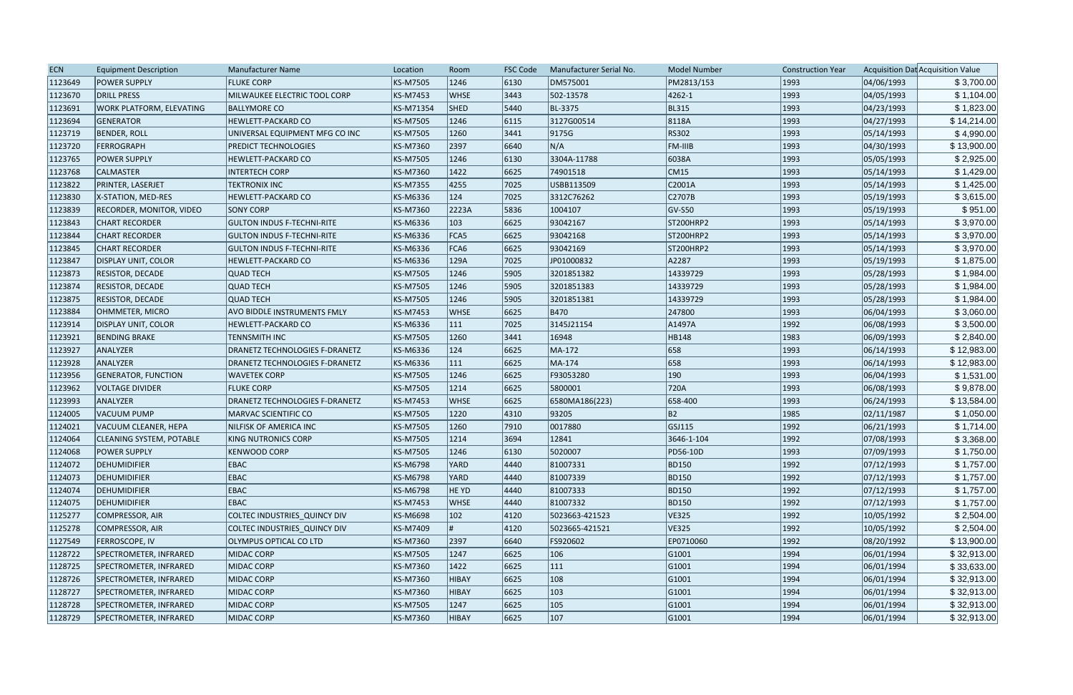| <b>ECN</b> | <b>Equipment Description</b>    | <b>Manufacturer Name</b>              | Location  | Room         | <b>FSC Code</b> | Manufacturer Serial No. | <b>Model Number</b> | <b>Construction Year</b> |            | Acquisition Dat Acquisition Value |
|------------|---------------------------------|---------------------------------------|-----------|--------------|-----------------|-------------------------|---------------------|--------------------------|------------|-----------------------------------|
| 1123649    | <b>POWER SUPPLY</b>             | <b>FLUKE CORP</b>                     | KS-M7505  | 1246         | 6130            | DM575001                | PM2813/153          | 1993                     | 04/06/1993 | \$3,700.00                        |
| 1123670    | DRILL PRESS                     | MILWAUKEE ELECTRIC TOOL CORP          | KS-M7453  | <b>WHSE</b>  | 3443            | 502-13578               | 4262-1              | 1993                     | 04/05/1993 | \$1,104.00                        |
| 1123691    | <b>WORK PLATFORM, ELEVATING</b> | <b>BALLYMORE CO</b>                   | KS-M71354 | <b>SHED</b>  | $ 5440\rangle$  | BL-3375                 | <b>BL315</b>        | 1993                     | 04/23/1993 | \$1,823.00                        |
| 1123694    | GENERATOR                       | <b>HEWLETT-PACKARD CO</b>             | KS-M7505  | 1246         | 6115            | 3127G00514              | 8118A               | 1993                     | 04/27/1993 | \$14,214.00                       |
| 1123719    | <b>BENDER, ROLL</b>             | UNIVERSAL EQUIPMENT MFG CO INC        | KS-M7505  | 1260         | 3441            | 9175G                   | RS302               | 1993                     | 05/14/1993 | \$4,990.00                        |
| 1123720    | FERROGRAPH                      | <b>PREDICT TECHNOLOGIES</b>           | KS-M7360  | 2397         | 6640            | N/A                     | <b>FM-IIIB</b>      | 1993                     | 04/30/1993 | \$13,900.00                       |
| 1123765    | <b>POWER SUPPLY</b>             | HEWLETT-PACKARD CO                    | KS-M7505  | 1246         | 6130            | 3304A-11788             | 6038A               | 1993                     | 05/05/1993 | \$2,925.00                        |
| 1123768    | <b>CALMASTER</b>                | <b>INTERTECH CORP</b>                 | KS-M7360  | 1422         | 6625            | 74901518                | CM15                | 1993                     | 05/14/1993 | \$1,429.00                        |
| 1123822    | <b>PRINTER, LASERJET</b>        | <b>TEKTRONIX INC</b>                  | KS-M7355  | 4255         | 7025            | USBB113509              | C2001A              | 1993                     | 05/14/1993 | \$1,425.00                        |
| 1123830    | <b>X-STATION, MED-RES</b>       | HEWLETT-PACKARD CO                    | KS-M6336  | 124          | 7025            | 3312C76262              | C2707B              | 1993                     | 05/19/1993 | \$3,615.00                        |
| 1123839    | <b>RECORDER, MONITOR, VIDEO</b> | <b>SONY CORP</b>                      | KS-M7360  | 2223A        | 5836            | 1004107                 | $GV-SSO$            | 1993                     | 05/19/1993 | \$951.00                          |
| 1123843    | <b>CHART RECORDER</b>           | <b>GULTON INDUS F-TECHNI-RITE</b>     | KS-M6336  | 103          | 6625            | 93042167                | ST200HRP2           | 1993                     | 05/14/1993 | \$3,970.00                        |
| 1123844    | <b>CHART RECORDER</b>           | <b>GULTON INDUS F-TECHNI-RITE</b>     | KS-M6336  | FCA5         | 6625            | 93042168                | ST200HRP2           | 1993                     | 05/14/1993 | \$3,970.00                        |
| 1123845    | <b>CHART RECORDER</b>           | <b>GULTON INDUS F-TECHNI-RITE</b>     | KS-M6336  | FCA6         | 6625            | 93042169                | ST200HRP2           | 1993                     | 05/14/1993 | \$3,970.00                        |
| 1123847    | <b>DISPLAY UNIT, COLOR</b>      | <b>HEWLETT-PACKARD CO</b>             | KS-M6336  | 129A         | 7025            | JP01000832              | A2287               | 1993                     | 05/19/1993 | \$1,875.00                        |
| 1123873    | <b>RESISTOR, DECADE</b>         | <b>QUAD TECH</b>                      | KS-M7505  | 1246         | 5905            | 3201851382              | 14339729            | 1993                     | 05/28/1993 | \$1,984.00                        |
| 1123874    | <b>RESISTOR, DECADE</b>         | <b>QUAD TECH</b>                      | KS-M7505  | 1246         | 5905            | 3201851383              | 14339729            | 1993                     | 05/28/1993 | \$1,984.00                        |
| 1123875    | <b>RESISTOR, DECADE</b>         | <b>QUAD TECH</b>                      | KS-M7505  | 1246         | 5905            | 3201851381              | 14339729            | 1993                     | 05/28/1993 | \$1,984.00                        |
| 1123884    | OHMMETER, MICRO                 | AVO BIDDLE INSTRUMENTS FMLY           | KS-M7453  | <b>WHSE</b>  | 6625            | <b>B470</b>             | 247800              | 1993                     | 06/04/1993 | \$3,060.00                        |
| 1123914    | <b>DISPLAY UNIT, COLOR</b>      | HEWLETT-PACKARD CO                    | KS-M6336  | 111          | 7025            | 3145J21154              | A1497A              | 1992                     | 06/08/1993 | \$3,500.00                        |
| 1123921    | <b>BENDING BRAKE</b>            | <b>TENNSMITH INC</b>                  | KS-M7505  | 1260         | 3441            | 16948                   | HB148               | 1983                     | 06/09/1993 | \$2,840.00                        |
| 1123927    | <b>ANALYZER</b>                 | <b>DRANETZ TECHNOLOGIES F-DRANETZ</b> | KS-M6336  | 124          | 6625            | MA-172                  | 658                 | 1993                     | 06/14/1993 | \$12,983.00                       |
| 1123928    | ANALYZER                        | <b>DRANETZ TECHNOLOGIES F-DRANETZ</b> | KS-M6336  | 111          | 6625            | MA-174                  | 658                 | 1993                     | 06/14/1993 | \$12,983.00                       |
| 1123956    | <b>GENERATOR, FUNCTION</b>      | <b>WAVETEK CORP</b>                   | KS-M7505  | 1246         | 6625            | F93053280               | 190                 | 1993                     | 06/04/1993 | \$1,531.00                        |
| 1123962    | <b>VOLTAGE DIVIDER</b>          | <b>FLUKE CORP</b>                     | KS-M7505  | 1214         | 6625            | 5800001                 | 720A                | 1993                     | 06/08/1993 | \$9,878.00                        |
| 1123993    | ANALYZER                        | <b>DRANETZ TECHNOLOGIES F-DRANETZ</b> | KS-M7453  | <b>WHSE</b>  | 6625            | 6580MA186(223)          | 658-400             | 1993                     | 06/24/1993 | \$13,584.00                       |
| 1124005    | VACUUM PUMP                     | <b>MARVAC SCIENTIFIC CO</b>           | KS-M7505  | 1220         | $ 4310\rangle$  | 93205                   | B2                  | 1985                     | 02/11/1987 | \$1,050.00                        |
| 1124021    | VACUUM CLEANER, HEPA            | NILFISK OF AMERICA INC                | KS-M7505  | 1260         | 7910            | 0017880                 | GSJ115              | 1992                     | 06/21/1993 | \$1,714.00                        |
| 1124064    | <b>CLEANING SYSTEM, POTABLE</b> | KING NUTRONICS CORP                   | KS-M7505  | 1214         | 3694            | 12841                   | 3646-1-104          | 1992                     | 07/08/1993 | \$3,368.00                        |
| 1124068    | <b>POWER SUPPLY</b>             | <b>KENWOOD CORP</b>                   | KS-M7505  | 1246         | 6130            | 5020007                 | PD56-10D            | 1993                     | 07/09/1993 | \$1,750.00                        |
| 1124072    | DEHUMIDIFIER                    | <b>EBAC</b>                           | KS-M6798  | YARD         | 4440            | 81007331                | <b>BD150</b>        | 1992                     | 07/12/1993 | \$1,757.00                        |
| 1124073    | DEHUMIDIFIER                    | <b>EBAC</b>                           | KS-M6798  | <b>YARD</b>  | 4440            | 81007339                | <b>BD150</b>        | 1992                     | 07/12/1993 | \$1,757.00                        |
| 1124074    | DEHUMIDIFIER                    | <b>EBAC</b>                           | KS-M6798  | HE YD        | $ 4440\rangle$  | 81007333                | <b>BD150</b>        | 1992                     | 07/12/1993 | \$1,757.00                        |
| 1124075    | <b>DEHUMIDIFIER</b>             | <b>EBAC</b>                           | KS-M7453  | <b>WHSE</b>  | $ 4440\rangle$  | 81007332                | <b>BD150</b>        | 1992                     | 07/12/1993 | \$1,757.00                        |
| 1125277    | COMPRESSOR, AIR                 | COLTEC INDUSTRIES_QUINCY DIV          | KS-M6698  | 102          | $ 4120\rangle$  | 5023663-421523          | VE325               | 1992                     | 10/05/1992 | \$2,504.00                        |
| 1125278    | COMPRESSOR, AIR                 | COLTEC INDUSTRIES_QUINCY DIV          | KS-M7409  |              | $ 4120\rangle$  | 5023665-421521          | VE325               | 1992                     | 10/05/1992 | \$2,504.00                        |
| 1127549    | <b>FERROSCOPE, IV</b>           | OLYMPUS OPTICAL CO LTD                | KS-M7360  | 2397         | 6640            | FS920602                | EP0710060           | 1992                     | 08/20/1992 | \$13,900.00                       |
| 1128722    | SPECTROMETER, INFRARED          | MIDAC CORP                            | KS-M7505  | 1247         | 6625            | 106                     | G1001               | 1994                     | 06/01/1994 | \$32,913.00                       |
| 1128725    | SPECTROMETER, INFRARED          | MIDAC CORP                            | KS-M7360  | 1422         | 6625            | $ 111\rangle$           | G1001               | 1994                     | 06/01/1994 | \$33,633.00                       |
| 1128726    | SPECTROMETER, INFRARED          | MIDAC CORP                            | KS-M7360  | <b>HIBAY</b> | 6625            | 108                     | G1001               | 1994                     | 06/01/1994 | \$32,913.00                       |
| 1128727    | SPECTROMETER, INFRARED          | MIDAC CORP                            | KS-M7360  | <b>HIBAY</b> | 6625            | 103                     | G1001               | 1994                     | 06/01/1994 | \$32,913.00                       |
| 1128728    | SPECTROMETER, INFRARED          | MIDAC CORP                            | KS-M7505  | 1247         | 6625            | 105                     | G1001               | 1994                     | 06/01/1994 | \$32,913.00                       |
| 1128729    | SPECTROMETER, INFRARED          | MIDAC CORP                            | KS-M7360  | <b>HIBAY</b> | 6625            | 107                     | G1001               | 1994                     | 06/01/1994 | \$32,913.00                       |
|            |                                 |                                       |           |              |                 |                         |                     |                          |            |                                   |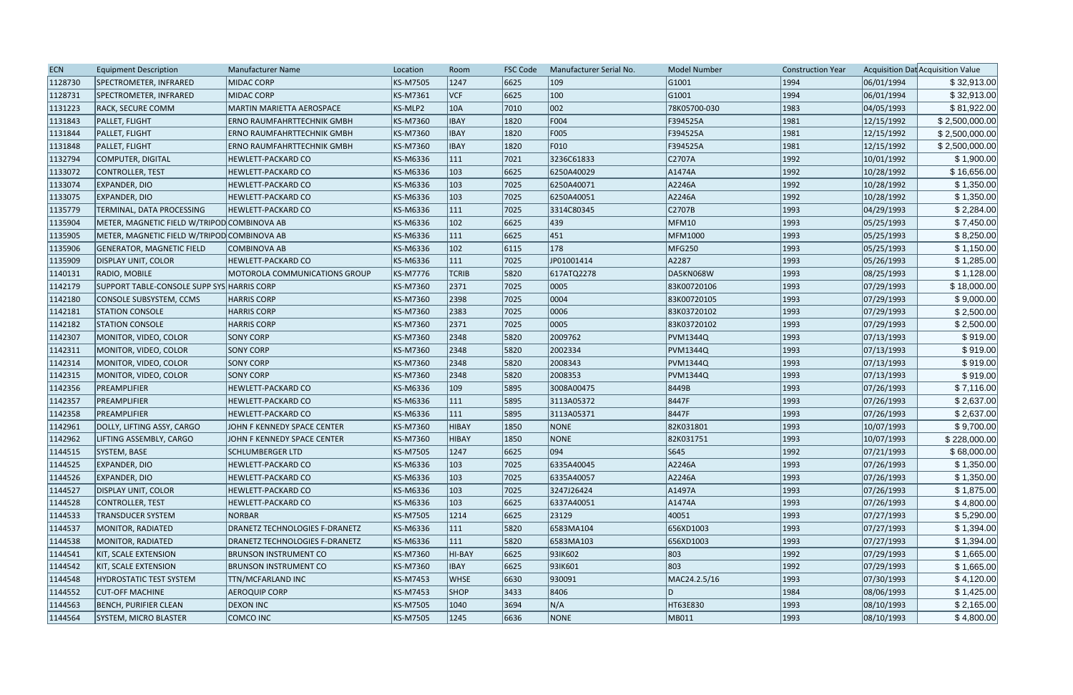| 1128730<br>MIDAC CORP<br><b>KS-M7505</b><br>1247<br>6625<br>109<br>G1001<br>06/01/1994<br>\$32,913.00<br>SPECTROMETER, INFRARED<br>1994<br>VCF<br>100<br> 1994 <br>1128731<br><b>KS-M7361</b><br>6625<br> G1001<br>06/01/1994<br>SPECTROMETER, INFRARED<br><b>MIDAC CORP</b><br>\$32,913.00<br>002<br>\$81,922.00<br>1131223<br><b>MARTIN MARIETTA AEROSPACE</b><br>KS-MLP2<br>10A<br>7010<br>78K05700-030<br> 1983 <br>04/05/1993<br><b>RACK, SECURE COMM</b><br>F004<br>1981<br>12/15/1992<br>\$2,500,000.00<br>1131843<br>PALLET, FLIGHT<br><b>KS-M7360</b><br><b>IBAY</b><br>1820<br>F394525A<br><b>ERNO RAUMFAHRTTECHNIK GMBH</b><br><b>IBAY</b><br>1820<br>F005<br>F394525A<br>1981<br>12/15/1992<br>1131844<br>PALLET, FLIGHT<br>ERNO RAUMFAHRTTECHNIK GMBH<br><b>KS-M7360</b><br>\$2,500,000.00<br>F010<br>\$2,500,000.00<br>1131848<br>PALLET, FLIGHT<br>KS-M7360<br><b>IBAY</b><br>1820<br>F394525A<br>1981<br>12/15/1992<br><b>ERNO RAUMFAHRTTECHNIK GMBH</b><br>7021<br>3236C61833<br>C2707A<br>\$1,900.00<br>1132794<br>COMPUTER, DIGITAL<br>KS-M6336<br>$ 111\rangle$<br> 1992 <br>10/01/1992<br>HEWLETT-PACKARD CO<br>1133072<br>KS-M6336<br>$ 103\rangle$<br>6625<br> 1992 <br>10/28/1992<br>\$16,656.00<br>CONTROLLER, TEST<br><b>HEWLETT-PACKARD CO</b><br>6250A40029<br>A1474A<br>A2246A<br> 1992 <br>1133074<br>KS-M6336<br>$ 103\rangle$<br>7025<br>6250A40071<br>10/28/1992<br>EXPANDER, DIO<br><b>HEWLETT-PACKARD CO</b><br>\$1,350.00<br>103<br> 1992 <br>\$1,350.00<br>1133075<br>EXPANDER, DIO<br>KS-M6336<br>7025<br>6250A40051<br>A2246A<br>10/28/1992<br><b>HEWLETT-PACKARD CO</b><br>C2707B<br>\$2,284.00<br>1135779<br>TERMINAL, DATA PROCESSING<br>KS-M6336<br> 111<br>7025<br> 1993 <br>04/29/1993<br><b>HEWLETT-PACKARD CO</b><br>3314C80345<br>$ 102\rangle$<br>6625<br>439<br>MFM10<br> 1993 <br>1135904<br>METER, MAGNETIC FIELD W/TRIPOD COMBINOVA AB<br>KS-M6336<br>05/25/1993<br>\$7,450.00<br>6625<br> 451<br>\$8,250.00<br>1135905<br>$ 111\rangle$<br> 1993 <br>05/25/1993<br>METER, MAGNETIC FIELD W/TRIPOD COMBINOVA AB<br><b>KS-M6336</b><br>MFM1000<br>178<br>1135906<br>KS-M6336<br>$ 102\rangle$<br>6115<br>MFG250<br> 1993 <br>05/25/1993<br>\$1,150.00<br><b>GENERATOR, MAGNETIC FIELD</b><br>COMBINOVA AB<br>1135909<br>$ 111\rangle$<br>7025<br>JP01001414<br>A2287<br> 1993<br>05/26/1993<br>\$1,285.00<br><b>DISPLAY UNIT, COLOR</b><br><b>HEWLETT-PACKARD CO</b><br>KS-M6336<br><b>TCRIB</b><br> 1993<br>08/25/1993<br>1140131<br>MOTOROLA COMMUNICATIONS GROUP<br><b>KS-M7776</b><br>5820<br>617ATQ2278<br>DA5KN068W<br>\$1,128.00<br>RADIO, MOBILE<br>7025<br> 1993<br>\$18,000.00<br>1142179<br>SUPPORT TABLE-CONSOLE SUPP SYS HARRIS CORP<br><b>KS-M7360</b><br>2371<br>0005<br>83K00720106<br>07/29/1993<br>7025<br>0004<br> 1993 <br>07/29/1993<br>\$9,000.00<br>1142180<br>KS-M7360<br>2398<br>83K00720105<br>CONSOLE SUBSYSTEM, CCMS<br><b>HARRIS CORP</b><br>2383<br>7025<br>0006<br> 1993<br>07/29/1993<br>1142181<br><b>STATION CONSOLE</b><br><b>HARRIS CORP</b><br><b>KS-M7360</b><br>83K03720102<br>\$2,500.00<br>\$2,500.00<br>KS-M7360<br>2371<br>7025<br>0005<br>83K03720102<br> 1993<br>07/29/1993<br>1142182<br><b>STATION CONSOLE</b><br><b>HARRIS CORP</b><br>2348<br> 1993 <br>\$919.00<br>1142307<br><b>SONY CORP</b><br><b>KS-M7360</b><br>5820<br>2009762<br><b>PVM1344Q</b><br>07/13/1993<br>MONITOR, VIDEO, COLOR<br>\$919.00<br>1142311<br><b>SONY CORP</b><br><b>KS-M7360</b><br>2348<br>5820<br>2002334<br><b>PVM1344Q</b><br> 1993 <br>07/13/1993<br>MONITOR, VIDEO, COLOR<br> 1993 <br>KS-M7360<br>2348<br>5820<br>2008343<br> 07/13/1993 <br>\$919.00<br>1142314<br>MONITOR, VIDEO, COLOR<br><b>SONY CORP</b><br><b>PVM1344Q</b><br>\$919.00<br>2348<br>5820<br>2008353<br> 1993 <br>07/13/1993<br>1142315<br>MONITOR, VIDEO, COLOR<br><b>SONY CORP</b><br><b>KS-M7360</b><br><b>PVM1344Q</b><br>\$7,116.00<br>$ 109\rangle$<br>5895<br>3008A00475<br>8449B<br> 1993<br>07/26/1993<br>1142356<br>PREAMPLIFIER<br><b>HEWLETT-PACKARD CO</b><br><b>KS-M6336</b><br>5895<br>8447F<br> 1993 <br>1142357<br>PREAMPLIFIER<br>KS-M6336<br> 111 <br>3113A05372<br>07/26/1993<br>\$2,637.00<br><b>HEWLETT-PACKARD CO</b><br>1142358<br>8447F<br> 1993 <br>PREAMPLIFIER<br><b>HEWLETT-PACKARD CO</b><br><b>KS-M6336</b><br>$ 111\rangle$<br>5895<br>3113A05371<br>07/26/1993<br>\$2,637.00<br><b>NONE</b><br>\$9,700.00<br>1142961<br>KS-M7360<br>HIBAY<br>1850<br>82K031801<br> 1993 <br>10/07/1993<br>DOLLY, LIFTING ASSY, CARGO<br>JOHN F KENNEDY SPACE CENTER<br>\$228,000.00<br>1142962<br>LIFTING ASSEMBLY, CARGO<br>JOHN F KENNEDY SPACE CENTER<br>HIBAY<br>1850<br>NONE<br>82K031751<br> 1993 <br>10/07/1993<br><b>KS-M7360</b><br>094<br>1247<br>6625<br>S645<br> 1992 <br>SYSTEM, BASE<br><b>KS-M7505</b><br> 07/21/1993 <br>\$68,000.00<br>1144515<br><b>SCHLUMBERGER LTD</b><br>\$1,350.00<br>$ 103\rangle$<br>7025<br>A2246A<br> 1993<br>1144525<br><b>EXPANDER, DIO</b><br>HEWLETT-PACKARD CO<br>KS-M6336<br>6335A40045<br> 07/26/1993<br>\$1,350.00<br>KS-M6336<br>7025<br>6335A40057<br> 1993 <br> 07/26/1993<br>1144526<br><b>EXPANDER, DIO</b><br><b>HEWLETT-PACKARD CO</b><br>103<br>A2246A<br>\$1,875.00<br>1144527<br><b>DISPLAY UNIT, COLOR</b><br>KS-M6336<br>$ 103\rangle$<br>7025<br>3247J26424<br>A1497A<br> 1993 <br>07/26/1993<br>HEWLETT-PACKARD CO<br>1144528<br><b>HEWLETT-PACKARD CO</b><br>KS-M6336<br>6625<br>6337A40051<br>A1474A<br> 1993 <br> 07/26/1993 <br>\$4,800.00<br>CONTROLLER, TEST<br>103<br>\$5,290.00<br>07/27/1993<br>1144533<br><b>NORBAR</b><br><b>KS-M7505</b><br>1214<br>6625<br>23129<br>40051<br> 1993 <br><b>TRANSDUCER SYSTEM</b><br>\$1,394.00<br>656XD1003<br>07/27/1993<br>1144537<br>MONITOR, RADIATED<br>DRANETZ TECHNOLOGIES F-DRANETZ<br>KS-M6336<br> 111 <br>5820<br>6583MA104<br> 1993 <br>6583MA103<br>656XD1003<br>07/27/1993<br>\$1,394.00<br>1144538<br>MONITOR, RADIATED<br><b>DRANETZ TECHNOLOGIES F-DRANETZ</b><br>KS-M6336<br>$ 111\rangle$<br>5820<br> 1993 <br>803<br>\$1,665.00<br>1144541<br><b>KS-M7360</b><br>HI-BAY<br>6625<br>93IK602<br> 1992 <br>07/29/1993<br>KIT, SCALE EXTENSION<br><b>BRUNSON INSTRUMENT CO</b><br>931K601<br>803<br> 1992 <br>07/29/1993<br>\$1,665.00<br>1144542<br><b>KIT, SCALE EXTENSION</b><br><b>BRUNSON INSTRUMENT CO</b><br><b>KS-M7360</b><br><b>IBAY</b><br>6625<br>930091<br>07/30/1993<br>\$4,120.00<br>1144548<br><b>KS-M7453</b><br><b>WHSE</b><br>6630<br>MAC24.2.5/16<br> 1993 <br><b>HYDROSTATIC TEST SYSTEM</b><br>TTN/MCFARLAND INC<br>1144552<br><b>CUT-OFF MACHINE</b><br><b>AEROQUIP CORP</b><br><b>KS-M7453</b><br><b>SHOP</b><br>$ 3433\rangle$<br>8406<br>1984<br>08/06/1993<br>\$1,425.00<br>ID<br>N/A<br>HT63E830<br>\$2,165.00<br><b>DEXON INC</b><br> 1993 <br>08/10/1993<br>1144563<br><b>BENCH, PURIFIER CLEAN</b><br><b>KS-M7505</b><br>1040<br>3694 | <b>ECN</b> | <b>Equipment Description</b> | Manufacturer Name | Location        | Room | <b>FSC Code</b> | Manufacturer Serial No. | <b>Model Number</b> | <b>Construction Year</b> |            | Acquisition Dat Acquisition Value |
|------------------------------------------------------------------------------------------------------------------------------------------------------------------------------------------------------------------------------------------------------------------------------------------------------------------------------------------------------------------------------------------------------------------------------------------------------------------------------------------------------------------------------------------------------------------------------------------------------------------------------------------------------------------------------------------------------------------------------------------------------------------------------------------------------------------------------------------------------------------------------------------------------------------------------------------------------------------------------------------------------------------------------------------------------------------------------------------------------------------------------------------------------------------------------------------------------------------------------------------------------------------------------------------------------------------------------------------------------------------------------------------------------------------------------------------------------------------------------------------------------------------------------------------------------------------------------------------------------------------------------------------------------------------------------------------------------------------------------------------------------------------------------------------------------------------------------------------------------------------------------------------------------------------------------------------------------------------------------------------------------------------------------------------------------------------------------------------------------------------------------------------------------------------------------------------------------------------------------------------------------------------------------------------------------------------------------------------------------------------------------------------------------------------------------------------------------------------------------------------------------------------------------------------------------------------------------------------------------------------------------------------------------------------------------------------------------------------------------------------------------------------------------------------------------------------------------------------------------------------------------------------------------------------------------------------------------------------------------------------------------------------------------------------------------------------------------------------------------------------------------------------------------------------------------------------------------------------------------------------------------------------------------------------------------------------------------------------------------------------------------------------------------------------------------------------------------------------------------------------------------------------------------------------------------------------------------------------------------------------------------------------------------------------------------------------------------------------------------------------------------------------------------------------------------------------------------------------------------------------------------------------------------------------------------------------------------------------------------------------------------------------------------------------------------------------------------------------------------------------------------------------------------------------------------------------------------------------------------------------------------------------------------------------------------------------------------------------------------------------------------------------------------------------------------------------------------------------------------------------------------------------------------------------------------------------------------------------------------------------------------------------------------------------------------------------------------------------------------------------------------------------------------------------------------------------------------------------------------------------------------------------------------------------------------------------------------------------------------------------------------------------------------------------------------------------------------------------------------------------------------------------------------------------------------------------------------------------------------------------------------------------------------------------------------------------------------------------------------------------------------------------------------------------------------------------------------------------------------------------------------------------------------------------------------------------------------------------------------------------------------------------------------------------------------------------------------------------------------------------------------------------------------------------------------------------------------------------------------------------------------------------------------------------------------------------------------------------------------------------------------------------------------------------------------------------------------------------------------------------------------------------------------------------------------------------------------------------------------------------------------------------------------------------------------------------------------------------------------------------------------------------------------------------------------------------------------------------------------------------------------------------------------------------------------------------------------------------------------------------------------------------------------------------------------------------------------------------------------------------------------------------------------------------------------------------------------------------------------------------------------|------------|------------------------------|-------------------|-----------------|------|-----------------|-------------------------|---------------------|--------------------------|------------|-----------------------------------|
|                                                                                                                                                                                                                                                                                                                                                                                                                                                                                                                                                                                                                                                                                                                                                                                                                                                                                                                                                                                                                                                                                                                                                                                                                                                                                                                                                                                                                                                                                                                                                                                                                                                                                                                                                                                                                                                                                                                                                                                                                                                                                                                                                                                                                                                                                                                                                                                                                                                                                                                                                                                                                                                                                                                                                                                                                                                                                                                                                                                                                                                                                                                                                                                                                                                                                                                                                                                                                                                                                                                                                                                                                                                                                                                                                                                                                                                                                                                                                                                                                                                                                                                                                                                                                                                                                                                                                                                                                                                                                                                                                                                                                                                                                                                                                                                                                                                                                                                                                                                                                                                                                                                                                                                                                                                                                                                                                                                                                                                                                                                                                                                                                                                                                                                                                                                                                                                                                                                                                                                                                                                                                                                                                                                                                                                                                                                                                                                                                                                                                                                                                                                                                                                                                                                                                                                                                                                                              |            |                              |                   |                 |      |                 |                         |                     |                          |            |                                   |
|                                                                                                                                                                                                                                                                                                                                                                                                                                                                                                                                                                                                                                                                                                                                                                                                                                                                                                                                                                                                                                                                                                                                                                                                                                                                                                                                                                                                                                                                                                                                                                                                                                                                                                                                                                                                                                                                                                                                                                                                                                                                                                                                                                                                                                                                                                                                                                                                                                                                                                                                                                                                                                                                                                                                                                                                                                                                                                                                                                                                                                                                                                                                                                                                                                                                                                                                                                                                                                                                                                                                                                                                                                                                                                                                                                                                                                                                                                                                                                                                                                                                                                                                                                                                                                                                                                                                                                                                                                                                                                                                                                                                                                                                                                                                                                                                                                                                                                                                                                                                                                                                                                                                                                                                                                                                                                                                                                                                                                                                                                                                                                                                                                                                                                                                                                                                                                                                                                                                                                                                                                                                                                                                                                                                                                                                                                                                                                                                                                                                                                                                                                                                                                                                                                                                                                                                                                                                              |            |                              |                   |                 |      |                 |                         |                     |                          |            |                                   |
|                                                                                                                                                                                                                                                                                                                                                                                                                                                                                                                                                                                                                                                                                                                                                                                                                                                                                                                                                                                                                                                                                                                                                                                                                                                                                                                                                                                                                                                                                                                                                                                                                                                                                                                                                                                                                                                                                                                                                                                                                                                                                                                                                                                                                                                                                                                                                                                                                                                                                                                                                                                                                                                                                                                                                                                                                                                                                                                                                                                                                                                                                                                                                                                                                                                                                                                                                                                                                                                                                                                                                                                                                                                                                                                                                                                                                                                                                                                                                                                                                                                                                                                                                                                                                                                                                                                                                                                                                                                                                                                                                                                                                                                                                                                                                                                                                                                                                                                                                                                                                                                                                                                                                                                                                                                                                                                                                                                                                                                                                                                                                                                                                                                                                                                                                                                                                                                                                                                                                                                                                                                                                                                                                                                                                                                                                                                                                                                                                                                                                                                                                                                                                                                                                                                                                                                                                                                                              |            |                              |                   |                 |      |                 |                         |                     |                          |            |                                   |
|                                                                                                                                                                                                                                                                                                                                                                                                                                                                                                                                                                                                                                                                                                                                                                                                                                                                                                                                                                                                                                                                                                                                                                                                                                                                                                                                                                                                                                                                                                                                                                                                                                                                                                                                                                                                                                                                                                                                                                                                                                                                                                                                                                                                                                                                                                                                                                                                                                                                                                                                                                                                                                                                                                                                                                                                                                                                                                                                                                                                                                                                                                                                                                                                                                                                                                                                                                                                                                                                                                                                                                                                                                                                                                                                                                                                                                                                                                                                                                                                                                                                                                                                                                                                                                                                                                                                                                                                                                                                                                                                                                                                                                                                                                                                                                                                                                                                                                                                                                                                                                                                                                                                                                                                                                                                                                                                                                                                                                                                                                                                                                                                                                                                                                                                                                                                                                                                                                                                                                                                                                                                                                                                                                                                                                                                                                                                                                                                                                                                                                                                                                                                                                                                                                                                                                                                                                                                              |            |                              |                   |                 |      |                 |                         |                     |                          |            |                                   |
|                                                                                                                                                                                                                                                                                                                                                                                                                                                                                                                                                                                                                                                                                                                                                                                                                                                                                                                                                                                                                                                                                                                                                                                                                                                                                                                                                                                                                                                                                                                                                                                                                                                                                                                                                                                                                                                                                                                                                                                                                                                                                                                                                                                                                                                                                                                                                                                                                                                                                                                                                                                                                                                                                                                                                                                                                                                                                                                                                                                                                                                                                                                                                                                                                                                                                                                                                                                                                                                                                                                                                                                                                                                                                                                                                                                                                                                                                                                                                                                                                                                                                                                                                                                                                                                                                                                                                                                                                                                                                                                                                                                                                                                                                                                                                                                                                                                                                                                                                                                                                                                                                                                                                                                                                                                                                                                                                                                                                                                                                                                                                                                                                                                                                                                                                                                                                                                                                                                                                                                                                                                                                                                                                                                                                                                                                                                                                                                                                                                                                                                                                                                                                                                                                                                                                                                                                                                                              |            |                              |                   |                 |      |                 |                         |                     |                          |            |                                   |
|                                                                                                                                                                                                                                                                                                                                                                                                                                                                                                                                                                                                                                                                                                                                                                                                                                                                                                                                                                                                                                                                                                                                                                                                                                                                                                                                                                                                                                                                                                                                                                                                                                                                                                                                                                                                                                                                                                                                                                                                                                                                                                                                                                                                                                                                                                                                                                                                                                                                                                                                                                                                                                                                                                                                                                                                                                                                                                                                                                                                                                                                                                                                                                                                                                                                                                                                                                                                                                                                                                                                                                                                                                                                                                                                                                                                                                                                                                                                                                                                                                                                                                                                                                                                                                                                                                                                                                                                                                                                                                                                                                                                                                                                                                                                                                                                                                                                                                                                                                                                                                                                                                                                                                                                                                                                                                                                                                                                                                                                                                                                                                                                                                                                                                                                                                                                                                                                                                                                                                                                                                                                                                                                                                                                                                                                                                                                                                                                                                                                                                                                                                                                                                                                                                                                                                                                                                                                              |            |                              |                   |                 |      |                 |                         |                     |                          |            |                                   |
|                                                                                                                                                                                                                                                                                                                                                                                                                                                                                                                                                                                                                                                                                                                                                                                                                                                                                                                                                                                                                                                                                                                                                                                                                                                                                                                                                                                                                                                                                                                                                                                                                                                                                                                                                                                                                                                                                                                                                                                                                                                                                                                                                                                                                                                                                                                                                                                                                                                                                                                                                                                                                                                                                                                                                                                                                                                                                                                                                                                                                                                                                                                                                                                                                                                                                                                                                                                                                                                                                                                                                                                                                                                                                                                                                                                                                                                                                                                                                                                                                                                                                                                                                                                                                                                                                                                                                                                                                                                                                                                                                                                                                                                                                                                                                                                                                                                                                                                                                                                                                                                                                                                                                                                                                                                                                                                                                                                                                                                                                                                                                                                                                                                                                                                                                                                                                                                                                                                                                                                                                                                                                                                                                                                                                                                                                                                                                                                                                                                                                                                                                                                                                                                                                                                                                                                                                                                                              |            |                              |                   |                 |      |                 |                         |                     |                          |            |                                   |
|                                                                                                                                                                                                                                                                                                                                                                                                                                                                                                                                                                                                                                                                                                                                                                                                                                                                                                                                                                                                                                                                                                                                                                                                                                                                                                                                                                                                                                                                                                                                                                                                                                                                                                                                                                                                                                                                                                                                                                                                                                                                                                                                                                                                                                                                                                                                                                                                                                                                                                                                                                                                                                                                                                                                                                                                                                                                                                                                                                                                                                                                                                                                                                                                                                                                                                                                                                                                                                                                                                                                                                                                                                                                                                                                                                                                                                                                                                                                                                                                                                                                                                                                                                                                                                                                                                                                                                                                                                                                                                                                                                                                                                                                                                                                                                                                                                                                                                                                                                                                                                                                                                                                                                                                                                                                                                                                                                                                                                                                                                                                                                                                                                                                                                                                                                                                                                                                                                                                                                                                                                                                                                                                                                                                                                                                                                                                                                                                                                                                                                                                                                                                                                                                                                                                                                                                                                                                              |            |                              |                   |                 |      |                 |                         |                     |                          |            |                                   |
|                                                                                                                                                                                                                                                                                                                                                                                                                                                                                                                                                                                                                                                                                                                                                                                                                                                                                                                                                                                                                                                                                                                                                                                                                                                                                                                                                                                                                                                                                                                                                                                                                                                                                                                                                                                                                                                                                                                                                                                                                                                                                                                                                                                                                                                                                                                                                                                                                                                                                                                                                                                                                                                                                                                                                                                                                                                                                                                                                                                                                                                                                                                                                                                                                                                                                                                                                                                                                                                                                                                                                                                                                                                                                                                                                                                                                                                                                                                                                                                                                                                                                                                                                                                                                                                                                                                                                                                                                                                                                                                                                                                                                                                                                                                                                                                                                                                                                                                                                                                                                                                                                                                                                                                                                                                                                                                                                                                                                                                                                                                                                                                                                                                                                                                                                                                                                                                                                                                                                                                                                                                                                                                                                                                                                                                                                                                                                                                                                                                                                                                                                                                                                                                                                                                                                                                                                                                                              |            |                              |                   |                 |      |                 |                         |                     |                          |            |                                   |
|                                                                                                                                                                                                                                                                                                                                                                                                                                                                                                                                                                                                                                                                                                                                                                                                                                                                                                                                                                                                                                                                                                                                                                                                                                                                                                                                                                                                                                                                                                                                                                                                                                                                                                                                                                                                                                                                                                                                                                                                                                                                                                                                                                                                                                                                                                                                                                                                                                                                                                                                                                                                                                                                                                                                                                                                                                                                                                                                                                                                                                                                                                                                                                                                                                                                                                                                                                                                                                                                                                                                                                                                                                                                                                                                                                                                                                                                                                                                                                                                                                                                                                                                                                                                                                                                                                                                                                                                                                                                                                                                                                                                                                                                                                                                                                                                                                                                                                                                                                                                                                                                                                                                                                                                                                                                                                                                                                                                                                                                                                                                                                                                                                                                                                                                                                                                                                                                                                                                                                                                                                                                                                                                                                                                                                                                                                                                                                                                                                                                                                                                                                                                                                                                                                                                                                                                                                                                              |            |                              |                   |                 |      |                 |                         |                     |                          |            |                                   |
|                                                                                                                                                                                                                                                                                                                                                                                                                                                                                                                                                                                                                                                                                                                                                                                                                                                                                                                                                                                                                                                                                                                                                                                                                                                                                                                                                                                                                                                                                                                                                                                                                                                                                                                                                                                                                                                                                                                                                                                                                                                                                                                                                                                                                                                                                                                                                                                                                                                                                                                                                                                                                                                                                                                                                                                                                                                                                                                                                                                                                                                                                                                                                                                                                                                                                                                                                                                                                                                                                                                                                                                                                                                                                                                                                                                                                                                                                                                                                                                                                                                                                                                                                                                                                                                                                                                                                                                                                                                                                                                                                                                                                                                                                                                                                                                                                                                                                                                                                                                                                                                                                                                                                                                                                                                                                                                                                                                                                                                                                                                                                                                                                                                                                                                                                                                                                                                                                                                                                                                                                                                                                                                                                                                                                                                                                                                                                                                                                                                                                                                                                                                                                                                                                                                                                                                                                                                                              |            |                              |                   |                 |      |                 |                         |                     |                          |            |                                   |
|                                                                                                                                                                                                                                                                                                                                                                                                                                                                                                                                                                                                                                                                                                                                                                                                                                                                                                                                                                                                                                                                                                                                                                                                                                                                                                                                                                                                                                                                                                                                                                                                                                                                                                                                                                                                                                                                                                                                                                                                                                                                                                                                                                                                                                                                                                                                                                                                                                                                                                                                                                                                                                                                                                                                                                                                                                                                                                                                                                                                                                                                                                                                                                                                                                                                                                                                                                                                                                                                                                                                                                                                                                                                                                                                                                                                                                                                                                                                                                                                                                                                                                                                                                                                                                                                                                                                                                                                                                                                                                                                                                                                                                                                                                                                                                                                                                                                                                                                                                                                                                                                                                                                                                                                                                                                                                                                                                                                                                                                                                                                                                                                                                                                                                                                                                                                                                                                                                                                                                                                                                                                                                                                                                                                                                                                                                                                                                                                                                                                                                                                                                                                                                                                                                                                                                                                                                                                              |            |                              |                   |                 |      |                 |                         |                     |                          |            |                                   |
|                                                                                                                                                                                                                                                                                                                                                                                                                                                                                                                                                                                                                                                                                                                                                                                                                                                                                                                                                                                                                                                                                                                                                                                                                                                                                                                                                                                                                                                                                                                                                                                                                                                                                                                                                                                                                                                                                                                                                                                                                                                                                                                                                                                                                                                                                                                                                                                                                                                                                                                                                                                                                                                                                                                                                                                                                                                                                                                                                                                                                                                                                                                                                                                                                                                                                                                                                                                                                                                                                                                                                                                                                                                                                                                                                                                                                                                                                                                                                                                                                                                                                                                                                                                                                                                                                                                                                                                                                                                                                                                                                                                                                                                                                                                                                                                                                                                                                                                                                                                                                                                                                                                                                                                                                                                                                                                                                                                                                                                                                                                                                                                                                                                                                                                                                                                                                                                                                                                                                                                                                                                                                                                                                                                                                                                                                                                                                                                                                                                                                                                                                                                                                                                                                                                                                                                                                                                                              |            |                              |                   |                 |      |                 |                         |                     |                          |            |                                   |
|                                                                                                                                                                                                                                                                                                                                                                                                                                                                                                                                                                                                                                                                                                                                                                                                                                                                                                                                                                                                                                                                                                                                                                                                                                                                                                                                                                                                                                                                                                                                                                                                                                                                                                                                                                                                                                                                                                                                                                                                                                                                                                                                                                                                                                                                                                                                                                                                                                                                                                                                                                                                                                                                                                                                                                                                                                                                                                                                                                                                                                                                                                                                                                                                                                                                                                                                                                                                                                                                                                                                                                                                                                                                                                                                                                                                                                                                                                                                                                                                                                                                                                                                                                                                                                                                                                                                                                                                                                                                                                                                                                                                                                                                                                                                                                                                                                                                                                                                                                                                                                                                                                                                                                                                                                                                                                                                                                                                                                                                                                                                                                                                                                                                                                                                                                                                                                                                                                                                                                                                                                                                                                                                                                                                                                                                                                                                                                                                                                                                                                                                                                                                                                                                                                                                                                                                                                                                              |            |                              |                   |                 |      |                 |                         |                     |                          |            |                                   |
|                                                                                                                                                                                                                                                                                                                                                                                                                                                                                                                                                                                                                                                                                                                                                                                                                                                                                                                                                                                                                                                                                                                                                                                                                                                                                                                                                                                                                                                                                                                                                                                                                                                                                                                                                                                                                                                                                                                                                                                                                                                                                                                                                                                                                                                                                                                                                                                                                                                                                                                                                                                                                                                                                                                                                                                                                                                                                                                                                                                                                                                                                                                                                                                                                                                                                                                                                                                                                                                                                                                                                                                                                                                                                                                                                                                                                                                                                                                                                                                                                                                                                                                                                                                                                                                                                                                                                                                                                                                                                                                                                                                                                                                                                                                                                                                                                                                                                                                                                                                                                                                                                                                                                                                                                                                                                                                                                                                                                                                                                                                                                                                                                                                                                                                                                                                                                                                                                                                                                                                                                                                                                                                                                                                                                                                                                                                                                                                                                                                                                                                                                                                                                                                                                                                                                                                                                                                                              |            |                              |                   |                 |      |                 |                         |                     |                          |            |                                   |
|                                                                                                                                                                                                                                                                                                                                                                                                                                                                                                                                                                                                                                                                                                                                                                                                                                                                                                                                                                                                                                                                                                                                                                                                                                                                                                                                                                                                                                                                                                                                                                                                                                                                                                                                                                                                                                                                                                                                                                                                                                                                                                                                                                                                                                                                                                                                                                                                                                                                                                                                                                                                                                                                                                                                                                                                                                                                                                                                                                                                                                                                                                                                                                                                                                                                                                                                                                                                                                                                                                                                                                                                                                                                                                                                                                                                                                                                                                                                                                                                                                                                                                                                                                                                                                                                                                                                                                                                                                                                                                                                                                                                                                                                                                                                                                                                                                                                                                                                                                                                                                                                                                                                                                                                                                                                                                                                                                                                                                                                                                                                                                                                                                                                                                                                                                                                                                                                                                                                                                                                                                                                                                                                                                                                                                                                                                                                                                                                                                                                                                                                                                                                                                                                                                                                                                                                                                                                              |            |                              |                   |                 |      |                 |                         |                     |                          |            |                                   |
|                                                                                                                                                                                                                                                                                                                                                                                                                                                                                                                                                                                                                                                                                                                                                                                                                                                                                                                                                                                                                                                                                                                                                                                                                                                                                                                                                                                                                                                                                                                                                                                                                                                                                                                                                                                                                                                                                                                                                                                                                                                                                                                                                                                                                                                                                                                                                                                                                                                                                                                                                                                                                                                                                                                                                                                                                                                                                                                                                                                                                                                                                                                                                                                                                                                                                                                                                                                                                                                                                                                                                                                                                                                                                                                                                                                                                                                                                                                                                                                                                                                                                                                                                                                                                                                                                                                                                                                                                                                                                                                                                                                                                                                                                                                                                                                                                                                                                                                                                                                                                                                                                                                                                                                                                                                                                                                                                                                                                                                                                                                                                                                                                                                                                                                                                                                                                                                                                                                                                                                                                                                                                                                                                                                                                                                                                                                                                                                                                                                                                                                                                                                                                                                                                                                                                                                                                                                                              |            |                              |                   |                 |      |                 |                         |                     |                          |            |                                   |
|                                                                                                                                                                                                                                                                                                                                                                                                                                                                                                                                                                                                                                                                                                                                                                                                                                                                                                                                                                                                                                                                                                                                                                                                                                                                                                                                                                                                                                                                                                                                                                                                                                                                                                                                                                                                                                                                                                                                                                                                                                                                                                                                                                                                                                                                                                                                                                                                                                                                                                                                                                                                                                                                                                                                                                                                                                                                                                                                                                                                                                                                                                                                                                                                                                                                                                                                                                                                                                                                                                                                                                                                                                                                                                                                                                                                                                                                                                                                                                                                                                                                                                                                                                                                                                                                                                                                                                                                                                                                                                                                                                                                                                                                                                                                                                                                                                                                                                                                                                                                                                                                                                                                                                                                                                                                                                                                                                                                                                                                                                                                                                                                                                                                                                                                                                                                                                                                                                                                                                                                                                                                                                                                                                                                                                                                                                                                                                                                                                                                                                                                                                                                                                                                                                                                                                                                                                                                              |            |                              |                   |                 |      |                 |                         |                     |                          |            |                                   |
|                                                                                                                                                                                                                                                                                                                                                                                                                                                                                                                                                                                                                                                                                                                                                                                                                                                                                                                                                                                                                                                                                                                                                                                                                                                                                                                                                                                                                                                                                                                                                                                                                                                                                                                                                                                                                                                                                                                                                                                                                                                                                                                                                                                                                                                                                                                                                                                                                                                                                                                                                                                                                                                                                                                                                                                                                                                                                                                                                                                                                                                                                                                                                                                                                                                                                                                                                                                                                                                                                                                                                                                                                                                                                                                                                                                                                                                                                                                                                                                                                                                                                                                                                                                                                                                                                                                                                                                                                                                                                                                                                                                                                                                                                                                                                                                                                                                                                                                                                                                                                                                                                                                                                                                                                                                                                                                                                                                                                                                                                                                                                                                                                                                                                                                                                                                                                                                                                                                                                                                                                                                                                                                                                                                                                                                                                                                                                                                                                                                                                                                                                                                                                                                                                                                                                                                                                                                                              |            |                              |                   |                 |      |                 |                         |                     |                          |            |                                   |
|                                                                                                                                                                                                                                                                                                                                                                                                                                                                                                                                                                                                                                                                                                                                                                                                                                                                                                                                                                                                                                                                                                                                                                                                                                                                                                                                                                                                                                                                                                                                                                                                                                                                                                                                                                                                                                                                                                                                                                                                                                                                                                                                                                                                                                                                                                                                                                                                                                                                                                                                                                                                                                                                                                                                                                                                                                                                                                                                                                                                                                                                                                                                                                                                                                                                                                                                                                                                                                                                                                                                                                                                                                                                                                                                                                                                                                                                                                                                                                                                                                                                                                                                                                                                                                                                                                                                                                                                                                                                                                                                                                                                                                                                                                                                                                                                                                                                                                                                                                                                                                                                                                                                                                                                                                                                                                                                                                                                                                                                                                                                                                                                                                                                                                                                                                                                                                                                                                                                                                                                                                                                                                                                                                                                                                                                                                                                                                                                                                                                                                                                                                                                                                                                                                                                                                                                                                                                              |            |                              |                   |                 |      |                 |                         |                     |                          |            |                                   |
|                                                                                                                                                                                                                                                                                                                                                                                                                                                                                                                                                                                                                                                                                                                                                                                                                                                                                                                                                                                                                                                                                                                                                                                                                                                                                                                                                                                                                                                                                                                                                                                                                                                                                                                                                                                                                                                                                                                                                                                                                                                                                                                                                                                                                                                                                                                                                                                                                                                                                                                                                                                                                                                                                                                                                                                                                                                                                                                                                                                                                                                                                                                                                                                                                                                                                                                                                                                                                                                                                                                                                                                                                                                                                                                                                                                                                                                                                                                                                                                                                                                                                                                                                                                                                                                                                                                                                                                                                                                                                                                                                                                                                                                                                                                                                                                                                                                                                                                                                                                                                                                                                                                                                                                                                                                                                                                                                                                                                                                                                                                                                                                                                                                                                                                                                                                                                                                                                                                                                                                                                                                                                                                                                                                                                                                                                                                                                                                                                                                                                                                                                                                                                                                                                                                                                                                                                                                                              |            |                              |                   |                 |      |                 |                         |                     |                          |            |                                   |
|                                                                                                                                                                                                                                                                                                                                                                                                                                                                                                                                                                                                                                                                                                                                                                                                                                                                                                                                                                                                                                                                                                                                                                                                                                                                                                                                                                                                                                                                                                                                                                                                                                                                                                                                                                                                                                                                                                                                                                                                                                                                                                                                                                                                                                                                                                                                                                                                                                                                                                                                                                                                                                                                                                                                                                                                                                                                                                                                                                                                                                                                                                                                                                                                                                                                                                                                                                                                                                                                                                                                                                                                                                                                                                                                                                                                                                                                                                                                                                                                                                                                                                                                                                                                                                                                                                                                                                                                                                                                                                                                                                                                                                                                                                                                                                                                                                                                                                                                                                                                                                                                                                                                                                                                                                                                                                                                                                                                                                                                                                                                                                                                                                                                                                                                                                                                                                                                                                                                                                                                                                                                                                                                                                                                                                                                                                                                                                                                                                                                                                                                                                                                                                                                                                                                                                                                                                                                              |            |                              |                   |                 |      |                 |                         |                     |                          |            |                                   |
|                                                                                                                                                                                                                                                                                                                                                                                                                                                                                                                                                                                                                                                                                                                                                                                                                                                                                                                                                                                                                                                                                                                                                                                                                                                                                                                                                                                                                                                                                                                                                                                                                                                                                                                                                                                                                                                                                                                                                                                                                                                                                                                                                                                                                                                                                                                                                                                                                                                                                                                                                                                                                                                                                                                                                                                                                                                                                                                                                                                                                                                                                                                                                                                                                                                                                                                                                                                                                                                                                                                                                                                                                                                                                                                                                                                                                                                                                                                                                                                                                                                                                                                                                                                                                                                                                                                                                                                                                                                                                                                                                                                                                                                                                                                                                                                                                                                                                                                                                                                                                                                                                                                                                                                                                                                                                                                                                                                                                                                                                                                                                                                                                                                                                                                                                                                                                                                                                                                                                                                                                                                                                                                                                                                                                                                                                                                                                                                                                                                                                                                                                                                                                                                                                                                                                                                                                                                                              |            |                              |                   |                 |      |                 |                         |                     |                          |            |                                   |
|                                                                                                                                                                                                                                                                                                                                                                                                                                                                                                                                                                                                                                                                                                                                                                                                                                                                                                                                                                                                                                                                                                                                                                                                                                                                                                                                                                                                                                                                                                                                                                                                                                                                                                                                                                                                                                                                                                                                                                                                                                                                                                                                                                                                                                                                                                                                                                                                                                                                                                                                                                                                                                                                                                                                                                                                                                                                                                                                                                                                                                                                                                                                                                                                                                                                                                                                                                                                                                                                                                                                                                                                                                                                                                                                                                                                                                                                                                                                                                                                                                                                                                                                                                                                                                                                                                                                                                                                                                                                                                                                                                                                                                                                                                                                                                                                                                                                                                                                                                                                                                                                                                                                                                                                                                                                                                                                                                                                                                                                                                                                                                                                                                                                                                                                                                                                                                                                                                                                                                                                                                                                                                                                                                                                                                                                                                                                                                                                                                                                                                                                                                                                                                                                                                                                                                                                                                                                              |            |                              |                   |                 |      |                 |                         |                     |                          |            |                                   |
|                                                                                                                                                                                                                                                                                                                                                                                                                                                                                                                                                                                                                                                                                                                                                                                                                                                                                                                                                                                                                                                                                                                                                                                                                                                                                                                                                                                                                                                                                                                                                                                                                                                                                                                                                                                                                                                                                                                                                                                                                                                                                                                                                                                                                                                                                                                                                                                                                                                                                                                                                                                                                                                                                                                                                                                                                                                                                                                                                                                                                                                                                                                                                                                                                                                                                                                                                                                                                                                                                                                                                                                                                                                                                                                                                                                                                                                                                                                                                                                                                                                                                                                                                                                                                                                                                                                                                                                                                                                                                                                                                                                                                                                                                                                                                                                                                                                                                                                                                                                                                                                                                                                                                                                                                                                                                                                                                                                                                                                                                                                                                                                                                                                                                                                                                                                                                                                                                                                                                                                                                                                                                                                                                                                                                                                                                                                                                                                                                                                                                                                                                                                                                                                                                                                                                                                                                                                                              |            |                              |                   |                 |      |                 |                         |                     |                          |            |                                   |
|                                                                                                                                                                                                                                                                                                                                                                                                                                                                                                                                                                                                                                                                                                                                                                                                                                                                                                                                                                                                                                                                                                                                                                                                                                                                                                                                                                                                                                                                                                                                                                                                                                                                                                                                                                                                                                                                                                                                                                                                                                                                                                                                                                                                                                                                                                                                                                                                                                                                                                                                                                                                                                                                                                                                                                                                                                                                                                                                                                                                                                                                                                                                                                                                                                                                                                                                                                                                                                                                                                                                                                                                                                                                                                                                                                                                                                                                                                                                                                                                                                                                                                                                                                                                                                                                                                                                                                                                                                                                                                                                                                                                                                                                                                                                                                                                                                                                                                                                                                                                                                                                                                                                                                                                                                                                                                                                                                                                                                                                                                                                                                                                                                                                                                                                                                                                                                                                                                                                                                                                                                                                                                                                                                                                                                                                                                                                                                                                                                                                                                                                                                                                                                                                                                                                                                                                                                                                              |            |                              |                   |                 |      |                 |                         |                     |                          |            |                                   |
|                                                                                                                                                                                                                                                                                                                                                                                                                                                                                                                                                                                                                                                                                                                                                                                                                                                                                                                                                                                                                                                                                                                                                                                                                                                                                                                                                                                                                                                                                                                                                                                                                                                                                                                                                                                                                                                                                                                                                                                                                                                                                                                                                                                                                                                                                                                                                                                                                                                                                                                                                                                                                                                                                                                                                                                                                                                                                                                                                                                                                                                                                                                                                                                                                                                                                                                                                                                                                                                                                                                                                                                                                                                                                                                                                                                                                                                                                                                                                                                                                                                                                                                                                                                                                                                                                                                                                                                                                                                                                                                                                                                                                                                                                                                                                                                                                                                                                                                                                                                                                                                                                                                                                                                                                                                                                                                                                                                                                                                                                                                                                                                                                                                                                                                                                                                                                                                                                                                                                                                                                                                                                                                                                                                                                                                                                                                                                                                                                                                                                                                                                                                                                                                                                                                                                                                                                                                                              |            |                              |                   |                 |      |                 |                         |                     |                          |            |                                   |
|                                                                                                                                                                                                                                                                                                                                                                                                                                                                                                                                                                                                                                                                                                                                                                                                                                                                                                                                                                                                                                                                                                                                                                                                                                                                                                                                                                                                                                                                                                                                                                                                                                                                                                                                                                                                                                                                                                                                                                                                                                                                                                                                                                                                                                                                                                                                                                                                                                                                                                                                                                                                                                                                                                                                                                                                                                                                                                                                                                                                                                                                                                                                                                                                                                                                                                                                                                                                                                                                                                                                                                                                                                                                                                                                                                                                                                                                                                                                                                                                                                                                                                                                                                                                                                                                                                                                                                                                                                                                                                                                                                                                                                                                                                                                                                                                                                                                                                                                                                                                                                                                                                                                                                                                                                                                                                                                                                                                                                                                                                                                                                                                                                                                                                                                                                                                                                                                                                                                                                                                                                                                                                                                                                                                                                                                                                                                                                                                                                                                                                                                                                                                                                                                                                                                                                                                                                                                              |            |                              |                   |                 |      |                 |                         |                     |                          |            |                                   |
|                                                                                                                                                                                                                                                                                                                                                                                                                                                                                                                                                                                                                                                                                                                                                                                                                                                                                                                                                                                                                                                                                                                                                                                                                                                                                                                                                                                                                                                                                                                                                                                                                                                                                                                                                                                                                                                                                                                                                                                                                                                                                                                                                                                                                                                                                                                                                                                                                                                                                                                                                                                                                                                                                                                                                                                                                                                                                                                                                                                                                                                                                                                                                                                                                                                                                                                                                                                                                                                                                                                                                                                                                                                                                                                                                                                                                                                                                                                                                                                                                                                                                                                                                                                                                                                                                                                                                                                                                                                                                                                                                                                                                                                                                                                                                                                                                                                                                                                                                                                                                                                                                                                                                                                                                                                                                                                                                                                                                                                                                                                                                                                                                                                                                                                                                                                                                                                                                                                                                                                                                                                                                                                                                                                                                                                                                                                                                                                                                                                                                                                                                                                                                                                                                                                                                                                                                                                                              |            |                              |                   |                 |      |                 |                         |                     |                          |            |                                   |
|                                                                                                                                                                                                                                                                                                                                                                                                                                                                                                                                                                                                                                                                                                                                                                                                                                                                                                                                                                                                                                                                                                                                                                                                                                                                                                                                                                                                                                                                                                                                                                                                                                                                                                                                                                                                                                                                                                                                                                                                                                                                                                                                                                                                                                                                                                                                                                                                                                                                                                                                                                                                                                                                                                                                                                                                                                                                                                                                                                                                                                                                                                                                                                                                                                                                                                                                                                                                                                                                                                                                                                                                                                                                                                                                                                                                                                                                                                                                                                                                                                                                                                                                                                                                                                                                                                                                                                                                                                                                                                                                                                                                                                                                                                                                                                                                                                                                                                                                                                                                                                                                                                                                                                                                                                                                                                                                                                                                                                                                                                                                                                                                                                                                                                                                                                                                                                                                                                                                                                                                                                                                                                                                                                                                                                                                                                                                                                                                                                                                                                                                                                                                                                                                                                                                                                                                                                                                              |            |                              |                   |                 |      |                 |                         |                     |                          |            |                                   |
|                                                                                                                                                                                                                                                                                                                                                                                                                                                                                                                                                                                                                                                                                                                                                                                                                                                                                                                                                                                                                                                                                                                                                                                                                                                                                                                                                                                                                                                                                                                                                                                                                                                                                                                                                                                                                                                                                                                                                                                                                                                                                                                                                                                                                                                                                                                                                                                                                                                                                                                                                                                                                                                                                                                                                                                                                                                                                                                                                                                                                                                                                                                                                                                                                                                                                                                                                                                                                                                                                                                                                                                                                                                                                                                                                                                                                                                                                                                                                                                                                                                                                                                                                                                                                                                                                                                                                                                                                                                                                                                                                                                                                                                                                                                                                                                                                                                                                                                                                                                                                                                                                                                                                                                                                                                                                                                                                                                                                                                                                                                                                                                                                                                                                                                                                                                                                                                                                                                                                                                                                                                                                                                                                                                                                                                                                                                                                                                                                                                                                                                                                                                                                                                                                                                                                                                                                                                                              |            |                              |                   |                 |      |                 |                         |                     |                          |            |                                   |
|                                                                                                                                                                                                                                                                                                                                                                                                                                                                                                                                                                                                                                                                                                                                                                                                                                                                                                                                                                                                                                                                                                                                                                                                                                                                                                                                                                                                                                                                                                                                                                                                                                                                                                                                                                                                                                                                                                                                                                                                                                                                                                                                                                                                                                                                                                                                                                                                                                                                                                                                                                                                                                                                                                                                                                                                                                                                                                                                                                                                                                                                                                                                                                                                                                                                                                                                                                                                                                                                                                                                                                                                                                                                                                                                                                                                                                                                                                                                                                                                                                                                                                                                                                                                                                                                                                                                                                                                                                                                                                                                                                                                                                                                                                                                                                                                                                                                                                                                                                                                                                                                                                                                                                                                                                                                                                                                                                                                                                                                                                                                                                                                                                                                                                                                                                                                                                                                                                                                                                                                                                                                                                                                                                                                                                                                                                                                                                                                                                                                                                                                                                                                                                                                                                                                                                                                                                                                              |            |                              |                   |                 |      |                 |                         |                     |                          |            |                                   |
|                                                                                                                                                                                                                                                                                                                                                                                                                                                                                                                                                                                                                                                                                                                                                                                                                                                                                                                                                                                                                                                                                                                                                                                                                                                                                                                                                                                                                                                                                                                                                                                                                                                                                                                                                                                                                                                                                                                                                                                                                                                                                                                                                                                                                                                                                                                                                                                                                                                                                                                                                                                                                                                                                                                                                                                                                                                                                                                                                                                                                                                                                                                                                                                                                                                                                                                                                                                                                                                                                                                                                                                                                                                                                                                                                                                                                                                                                                                                                                                                                                                                                                                                                                                                                                                                                                                                                                                                                                                                                                                                                                                                                                                                                                                                                                                                                                                                                                                                                                                                                                                                                                                                                                                                                                                                                                                                                                                                                                                                                                                                                                                                                                                                                                                                                                                                                                                                                                                                                                                                                                                                                                                                                                                                                                                                                                                                                                                                                                                                                                                                                                                                                                                                                                                                                                                                                                                                              |            |                              |                   |                 |      |                 |                         |                     |                          |            |                                   |
|                                                                                                                                                                                                                                                                                                                                                                                                                                                                                                                                                                                                                                                                                                                                                                                                                                                                                                                                                                                                                                                                                                                                                                                                                                                                                                                                                                                                                                                                                                                                                                                                                                                                                                                                                                                                                                                                                                                                                                                                                                                                                                                                                                                                                                                                                                                                                                                                                                                                                                                                                                                                                                                                                                                                                                                                                                                                                                                                                                                                                                                                                                                                                                                                                                                                                                                                                                                                                                                                                                                                                                                                                                                                                                                                                                                                                                                                                                                                                                                                                                                                                                                                                                                                                                                                                                                                                                                                                                                                                                                                                                                                                                                                                                                                                                                                                                                                                                                                                                                                                                                                                                                                                                                                                                                                                                                                                                                                                                                                                                                                                                                                                                                                                                                                                                                                                                                                                                                                                                                                                                                                                                                                                                                                                                                                                                                                                                                                                                                                                                                                                                                                                                                                                                                                                                                                                                                                              |            |                              |                   |                 |      |                 |                         |                     |                          |            |                                   |
|                                                                                                                                                                                                                                                                                                                                                                                                                                                                                                                                                                                                                                                                                                                                                                                                                                                                                                                                                                                                                                                                                                                                                                                                                                                                                                                                                                                                                                                                                                                                                                                                                                                                                                                                                                                                                                                                                                                                                                                                                                                                                                                                                                                                                                                                                                                                                                                                                                                                                                                                                                                                                                                                                                                                                                                                                                                                                                                                                                                                                                                                                                                                                                                                                                                                                                                                                                                                                                                                                                                                                                                                                                                                                                                                                                                                                                                                                                                                                                                                                                                                                                                                                                                                                                                                                                                                                                                                                                                                                                                                                                                                                                                                                                                                                                                                                                                                                                                                                                                                                                                                                                                                                                                                                                                                                                                                                                                                                                                                                                                                                                                                                                                                                                                                                                                                                                                                                                                                                                                                                                                                                                                                                                                                                                                                                                                                                                                                                                                                                                                                                                                                                                                                                                                                                                                                                                                                              |            |                              |                   |                 |      |                 |                         |                     |                          |            |                                   |
|                                                                                                                                                                                                                                                                                                                                                                                                                                                                                                                                                                                                                                                                                                                                                                                                                                                                                                                                                                                                                                                                                                                                                                                                                                                                                                                                                                                                                                                                                                                                                                                                                                                                                                                                                                                                                                                                                                                                                                                                                                                                                                                                                                                                                                                                                                                                                                                                                                                                                                                                                                                                                                                                                                                                                                                                                                                                                                                                                                                                                                                                                                                                                                                                                                                                                                                                                                                                                                                                                                                                                                                                                                                                                                                                                                                                                                                                                                                                                                                                                                                                                                                                                                                                                                                                                                                                                                                                                                                                                                                                                                                                                                                                                                                                                                                                                                                                                                                                                                                                                                                                                                                                                                                                                                                                                                                                                                                                                                                                                                                                                                                                                                                                                                                                                                                                                                                                                                                                                                                                                                                                                                                                                                                                                                                                                                                                                                                                                                                                                                                                                                                                                                                                                                                                                                                                                                                                              |            |                              |                   |                 |      |                 |                         |                     |                          |            |                                   |
|                                                                                                                                                                                                                                                                                                                                                                                                                                                                                                                                                                                                                                                                                                                                                                                                                                                                                                                                                                                                                                                                                                                                                                                                                                                                                                                                                                                                                                                                                                                                                                                                                                                                                                                                                                                                                                                                                                                                                                                                                                                                                                                                                                                                                                                                                                                                                                                                                                                                                                                                                                                                                                                                                                                                                                                                                                                                                                                                                                                                                                                                                                                                                                                                                                                                                                                                                                                                                                                                                                                                                                                                                                                                                                                                                                                                                                                                                                                                                                                                                                                                                                                                                                                                                                                                                                                                                                                                                                                                                                                                                                                                                                                                                                                                                                                                                                                                                                                                                                                                                                                                                                                                                                                                                                                                                                                                                                                                                                                                                                                                                                                                                                                                                                                                                                                                                                                                                                                                                                                                                                                                                                                                                                                                                                                                                                                                                                                                                                                                                                                                                                                                                                                                                                                                                                                                                                                                              |            |                              |                   |                 |      |                 |                         |                     |                          |            |                                   |
|                                                                                                                                                                                                                                                                                                                                                                                                                                                                                                                                                                                                                                                                                                                                                                                                                                                                                                                                                                                                                                                                                                                                                                                                                                                                                                                                                                                                                                                                                                                                                                                                                                                                                                                                                                                                                                                                                                                                                                                                                                                                                                                                                                                                                                                                                                                                                                                                                                                                                                                                                                                                                                                                                                                                                                                                                                                                                                                                                                                                                                                                                                                                                                                                                                                                                                                                                                                                                                                                                                                                                                                                                                                                                                                                                                                                                                                                                                                                                                                                                                                                                                                                                                                                                                                                                                                                                                                                                                                                                                                                                                                                                                                                                                                                                                                                                                                                                                                                                                                                                                                                                                                                                                                                                                                                                                                                                                                                                                                                                                                                                                                                                                                                                                                                                                                                                                                                                                                                                                                                                                                                                                                                                                                                                                                                                                                                                                                                                                                                                                                                                                                                                                                                                                                                                                                                                                                                              |            |                              |                   |                 |      |                 |                         |                     |                          |            |                                   |
|                                                                                                                                                                                                                                                                                                                                                                                                                                                                                                                                                                                                                                                                                                                                                                                                                                                                                                                                                                                                                                                                                                                                                                                                                                                                                                                                                                                                                                                                                                                                                                                                                                                                                                                                                                                                                                                                                                                                                                                                                                                                                                                                                                                                                                                                                                                                                                                                                                                                                                                                                                                                                                                                                                                                                                                                                                                                                                                                                                                                                                                                                                                                                                                                                                                                                                                                                                                                                                                                                                                                                                                                                                                                                                                                                                                                                                                                                                                                                                                                                                                                                                                                                                                                                                                                                                                                                                                                                                                                                                                                                                                                                                                                                                                                                                                                                                                                                                                                                                                                                                                                                                                                                                                                                                                                                                                                                                                                                                                                                                                                                                                                                                                                                                                                                                                                                                                                                                                                                                                                                                                                                                                                                                                                                                                                                                                                                                                                                                                                                                                                                                                                                                                                                                                                                                                                                                                                              |            |                              |                   |                 |      |                 |                         |                     |                          |            |                                   |
|                                                                                                                                                                                                                                                                                                                                                                                                                                                                                                                                                                                                                                                                                                                                                                                                                                                                                                                                                                                                                                                                                                                                                                                                                                                                                                                                                                                                                                                                                                                                                                                                                                                                                                                                                                                                                                                                                                                                                                                                                                                                                                                                                                                                                                                                                                                                                                                                                                                                                                                                                                                                                                                                                                                                                                                                                                                                                                                                                                                                                                                                                                                                                                                                                                                                                                                                                                                                                                                                                                                                                                                                                                                                                                                                                                                                                                                                                                                                                                                                                                                                                                                                                                                                                                                                                                                                                                                                                                                                                                                                                                                                                                                                                                                                                                                                                                                                                                                                                                                                                                                                                                                                                                                                                                                                                                                                                                                                                                                                                                                                                                                                                                                                                                                                                                                                                                                                                                                                                                                                                                                                                                                                                                                                                                                                                                                                                                                                                                                                                                                                                                                                                                                                                                                                                                                                                                                                              |            |                              |                   |                 |      |                 |                         |                     |                          |            |                                   |
|                                                                                                                                                                                                                                                                                                                                                                                                                                                                                                                                                                                                                                                                                                                                                                                                                                                                                                                                                                                                                                                                                                                                                                                                                                                                                                                                                                                                                                                                                                                                                                                                                                                                                                                                                                                                                                                                                                                                                                                                                                                                                                                                                                                                                                                                                                                                                                                                                                                                                                                                                                                                                                                                                                                                                                                                                                                                                                                                                                                                                                                                                                                                                                                                                                                                                                                                                                                                                                                                                                                                                                                                                                                                                                                                                                                                                                                                                                                                                                                                                                                                                                                                                                                                                                                                                                                                                                                                                                                                                                                                                                                                                                                                                                                                                                                                                                                                                                                                                                                                                                                                                                                                                                                                                                                                                                                                                                                                                                                                                                                                                                                                                                                                                                                                                                                                                                                                                                                                                                                                                                                                                                                                                                                                                                                                                                                                                                                                                                                                                                                                                                                                                                                                                                                                                                                                                                                                              |            |                              |                   |                 |      |                 |                         |                     |                          |            |                                   |
|                                                                                                                                                                                                                                                                                                                                                                                                                                                                                                                                                                                                                                                                                                                                                                                                                                                                                                                                                                                                                                                                                                                                                                                                                                                                                                                                                                                                                                                                                                                                                                                                                                                                                                                                                                                                                                                                                                                                                                                                                                                                                                                                                                                                                                                                                                                                                                                                                                                                                                                                                                                                                                                                                                                                                                                                                                                                                                                                                                                                                                                                                                                                                                                                                                                                                                                                                                                                                                                                                                                                                                                                                                                                                                                                                                                                                                                                                                                                                                                                                                                                                                                                                                                                                                                                                                                                                                                                                                                                                                                                                                                                                                                                                                                                                                                                                                                                                                                                                                                                                                                                                                                                                                                                                                                                                                                                                                                                                                                                                                                                                                                                                                                                                                                                                                                                                                                                                                                                                                                                                                                                                                                                                                                                                                                                                                                                                                                                                                                                                                                                                                                                                                                                                                                                                                                                                                                                              |            |                              |                   |                 |      |                 |                         |                     |                          |            |                                   |
|                                                                                                                                                                                                                                                                                                                                                                                                                                                                                                                                                                                                                                                                                                                                                                                                                                                                                                                                                                                                                                                                                                                                                                                                                                                                                                                                                                                                                                                                                                                                                                                                                                                                                                                                                                                                                                                                                                                                                                                                                                                                                                                                                                                                                                                                                                                                                                                                                                                                                                                                                                                                                                                                                                                                                                                                                                                                                                                                                                                                                                                                                                                                                                                                                                                                                                                                                                                                                                                                                                                                                                                                                                                                                                                                                                                                                                                                                                                                                                                                                                                                                                                                                                                                                                                                                                                                                                                                                                                                                                                                                                                                                                                                                                                                                                                                                                                                                                                                                                                                                                                                                                                                                                                                                                                                                                                                                                                                                                                                                                                                                                                                                                                                                                                                                                                                                                                                                                                                                                                                                                                                                                                                                                                                                                                                                                                                                                                                                                                                                                                                                                                                                                                                                                                                                                                                                                                                              | 1144564    | SYSTEM, MICRO BLASTER        | COMCO INC         | <b>KS-M7505</b> | 1245 | 6636            | NONE                    | MB011               | 1993                     | 08/10/1993 | \$4,800.00                        |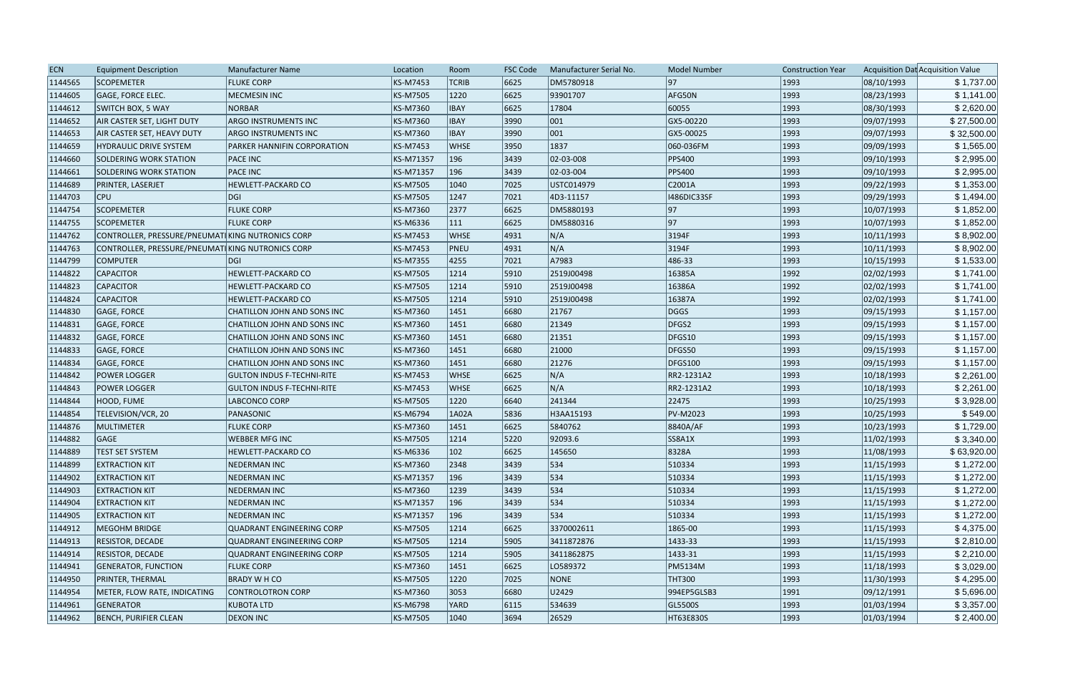| <b>ECN</b> | <b>Equipment Description</b>                     | Manufacturer Name                 | Location        | Room           | <b>FSC Code</b> | Manufacturer Serial No. | <b>Model Number</b> | <b>Construction Year</b> |            | Acquisition Dat Acquisition Value |
|------------|--------------------------------------------------|-----------------------------------|-----------------|----------------|-----------------|-------------------------|---------------------|--------------------------|------------|-----------------------------------|
| 1144565    | <b>SCOPEMETER</b>                                | <b>FLUKE CORP</b>                 | <b>KS-M7453</b> | <b>TCRIB</b>   | 6625            | DM5780918               | 97                  | 1993                     | 08/10/1993 | \$1,737.00                        |
| 1144605    | <b>GAGE, FORCE ELEC.</b>                         | <b>MECMESIN INC</b>               | <b>KS-M7505</b> | 1220           | 6625            | 93901707                | AFG50N              | 1993                     | 08/23/1993 | \$1,141.00                        |
| 1144612    | <b>SWITCH BOX, 5 WAY</b>                         | <b>NORBAR</b>                     | <b>KS-M7360</b> | <b>IBAY</b>    | 6625            | 17804                   | 60055               | 1993                     | 08/30/1993 | \$2,620.00                        |
| 1144652    | <b>AIR CASTER SET, LIGHT DUTY</b>                | <b>ARGO INSTRUMENTS INC</b>       | <b>KS-M7360</b> | <b>IBAY</b>    | 3990            | 001                     | GX5-00220           | 1993                     | 09/07/1993 | \$27,500.00                       |
| 1144653    | AIR CASTER SET, HEAVY DUTY                       | ARGO INSTRUMENTS INC              | KS-M7360        | <b>IBAY</b>    | 3990            | 001                     | GX5-00025           | 1993                     | 09/07/1993 | \$32,500.00                       |
| 1144659    | <b>HYDRAULIC DRIVE SYSTEM</b>                    | PARKER HANNIFIN CORPORATION       | <b>KS-M7453</b> | <b>WHSE</b>    | 3950            | 1837                    | 060-036FM           | 1993                     | 09/09/1993 | \$1,565.00                        |
| 1144660    | SOLDERING WORK STATION                           | <b>PACE INC</b>                   | KS-M71357       | 196            | 3439            | 02-03-008               | <b>PPS400</b>       | 1993                     | 09/10/1993 | \$2,995.00                        |
| 1144661    | SOLDERING WORK STATION                           | <b>PACE INC</b>                   | KS-M71357       | 196            | 3439            | 02-03-004               | <b>PPS400</b>       | 1993                     | 09/10/1993 | \$2,995.00                        |
| 1144689    | <b>PRINTER, LASERJET</b>                         | <b>HEWLETT-PACKARD CO</b>         | <b>KS-M7505</b> | 1040           | 7025            | USTC014979              | C2001A              | 1993                     | 09/22/1993 | \$1,353.00                        |
| 1144703    | <b>CPU</b>                                       | <b>DGI</b>                        | <b>KS-M7505</b> | 1247           | 7021            | 4D3-11157               | 1486DIC33SF         | 1993                     | 09/29/1993 | \$1,494.00                        |
| 1144754    | <b>SCOPEMETER</b>                                | <b>FLUKE CORP</b>                 | KS-M7360        | 2377           | 6625            | DM5880193               | 97                  | 1993                     | 10/07/1993 | \$1,852.00                        |
| 1144755    | <b>SCOPEMETER</b>                                | <b>FLUKE CORP</b>                 | <b>KS-M6336</b> | $ 111\rangle$  | 6625            | DM5880316               | 97                  | 1993                     | 10/07/1993 | \$1,852.00                        |
| 1144762    | CONTROLLER, PRESSURE/PNEUMAT KING NUTRONICS CORP |                                   | <b>KS-M7453</b> | <b>WHSE</b>    | 4931            | N/A                     | 3194F               | 1993                     | 10/11/1993 | \$8,902.00                        |
| 1144763    | CONTROLLER, PRESSURE/PNEUMATIKING NUTRONICS CORP |                                   | <b>KS-M7453</b> | PNEU           | 4931            | N/A                     | 3194F               | 1993                     | 10/11/1993 | \$8,902.00                        |
| 1144799    | <b>COMPUTER</b>                                  | <b>DGI</b>                        | <b>KS-M7355</b> | 4255           | 7021            | A7983                   | 486-33              | 1993                     | 10/15/1993 | \$1,533.00                        |
| 1144822    | <b>CAPACITOR</b>                                 | <b>HEWLETT-PACKARD CO</b>         | <b>KS-M7505</b> | 1214           | 5910            | 2519J00498              | 16385A              | 1992                     | 02/02/1993 | \$1,741.00                        |
| 1144823    | <b>CAPACITOR</b>                                 | HEWLETT-PACKARD CO                | <b>KS-M7505</b> | 1214           | 5910            | 2519J00498              | 16386A              | 1992                     | 02/02/1993 | \$1,741.00                        |
| 1144824    | <b>CAPACITOR</b>                                 | <b>HEWLETT-PACKARD CO</b>         | <b>KS-M7505</b> | 1214           | 5910            | 2519J00498              | 16387A              | 1992                     | 02/02/1993 | \$1,741.00                        |
| 1144830    | GAGE, FORCE                                      | CHATILLON JOHN AND SONS INC       | <b>KS-M7360</b> | 1451           | 6680            | 21767                   | DGGS                | 1993                     | 09/15/1993 | \$1,157.00                        |
| 1144831    | GAGE, FORCE                                      | CHATILLON JOHN AND SONS INC       | KS-M7360        | 1451           | 6680            | 21349                   | DFGS2               | 1993                     | 09/15/1993 | \$1,157.00                        |
| 1144832    | GAGE, FORCE                                      | CHATILLON JOHN AND SONS INC       | <b>KS-M7360</b> | 1451           | 6680            | 21351                   | DFGS10              | 1993                     | 09/15/1993 | \$1,157.00                        |
| 1144833    | GAGE, FORCE                                      | CHATILLON JOHN AND SONS INC       | <b>KS-M7360</b> | 1451           | 6680            | 21000                   | DFGS50              | 1993                     | 09/15/1993 | \$1,157.00                        |
| 1144834    | GAGE, FORCE                                      | CHATILLON JOHN AND SONS INC       | <b>KS-M7360</b> | 1451           | 6680            | 21276                   | <b>DFGS100</b>      | 1993                     | 09/15/1993 | \$1,157.00                        |
| 1144842    | <b>POWER LOGGER</b>                              | <b>GULTON INDUS F-TECHNI-RITE</b> | <b>KS-M7453</b> | <b>WHSE</b>    | 6625            | N/A                     | RR2-1231A2          | 1993                     | 10/18/1993 | \$2,261.00                        |
| 1144843    | <b>POWER LOGGER</b>                              | <b>GULTON INDUS F-TECHNI-RITE</b> | <b>KS-M7453</b> | <b>WHSE</b>    | 6625            | N/A                     | RR2-1231A2          | 1993                     | 10/18/1993 | \$2,261.00                        |
| 1144844    | HOOD, FUME                                       | LABCONCO CORP                     | <b>KS-M7505</b> | 1220           | 6640            | 241344                  | 22475               | 1993                     | 10/25/1993 | \$3,928.00                        |
| 1144854    | TELEVISION/VCR, 20                               | PANASONIC                         | <b>KS-M6794</b> | 1A02A          | 5836            | H3AA15193               | <b>PV-M2023</b>     | 1993                     | 10/25/1993 | \$549.00                          |
| 1144876    | MULTIMETER                                       | <b>FLUKE CORP</b>                 | <b>KS-M7360</b> | 1451           | 6625            | 5840762                 | 8840A/AF            | 1993                     | 10/23/1993 | \$1,729.00                        |
| 1144882    | <b>GAGE</b>                                      | <b>WEBBER MFG INC</b>             | <b>KS-M7505</b> | 1214           | 5220            | 92093.6                 | SS8A1X              | 1993                     | 11/02/1993 | \$3,340.00                        |
| 1144889    | <b>TEST SET SYSTEM</b>                           | <b>HEWLETT-PACKARD CO</b>         | KS-M6336        | 102            | 6625            | 145650                  | 8328A               | 1993                     | 11/08/1993 | \$63,920.00                       |
| 1144899    | <b>EXTRACTION KIT</b>                            | <b>NEDERMAN INC</b>               | KS-M7360        | 2348           | 3439            | 534                     | 510334              | 1993                     | 11/15/1993 | \$1,272.00                        |
| 1144902    | <b>EXTRACTION KIT</b>                            | <b>NEDERMAN INC</b>               | KS-M71357       | 196            | 3439            | 534                     | 510334              | 1993                     | 11/15/1993 | \$1,272.00                        |
| 1144903    | <b>EXTRACTION KIT</b>                            | <b>NEDERMAN INC</b>               | <b>KS-M7360</b> | 1239           | 3439            | 534                     | 510334              | 1993                     | 11/15/1993 | \$1,272.00                        |
| 1144904    | <b>EXTRACTION KIT</b>                            | <b>NEDERMAN INC</b>               | KS-M71357       | 196            | 3439            | 534                     | 510334              | 1993                     | 11/15/1993 | \$1,272.00                        |
| 1144905    | <b>EXTRACTION KIT</b>                            | <b>NEDERMAN INC</b>               | KS-M71357       | 196            | 3439            | 534                     | 510334              | 1993                     | 11/15/1993 | \$1,272.00                        |
| 1144912    | MEGOHM BRIDGE                                    | <b>QUADRANT ENGINEERING CORP</b>  | <b>KS-M7505</b> | 1214           | 6625            | 3370002611              | $1865 - 00$         | 1993                     | 11/15/1993 | \$4,375.00                        |
| 1144913    | RESISTOR, DECADE                                 | <b>QUADRANT ENGINEERING CORP</b>  | <b>KS-M7505</b> | 1214           | 5905            | 3411872876              | $ 1433-33 $         | 1993                     | 11/15/1993 | \$2,810.00                        |
| 1144914    | <b>RESISTOR, DECADE</b>                          | <b>QUADRANT ENGINEERING CORP</b>  | <b>KS-M7505</b> | 1214           | 5905            | 3411862875              | $ 1433-31 $         | 1993                     | 11/15/1993 | \$2,210.00                        |
| 1144941    | <b>GENERATOR, FUNCTION</b>                       | <b>FLUKE CORP</b>                 | <b>KS-M7360</b> | 1451           | 6625            | LO589372                | <b>PM5134M</b>      | 1993                     | 11/18/1993 | \$3,029.00                        |
| 1144950    | PRINTER, THERMAL                                 | <b>BRADY W H CO</b>               | <b>KS-M7505</b> | 1220           | 7025            | NONE                    | <b>THT300</b>       | 1993                     | 11/30/1993 | \$4,295.00                        |
| 1144954    | METER, FLOW RATE, INDICATING                     | <b>CONTROLOTRON CORP</b>          | <b>KS-M7360</b> | 3053           | 6680            | U2429                   | 994EP5GLSB3         | 1991                     | 09/12/1991 | \$5,696.00                        |
| 1144961    | GENERATOR                                        | <b>KUBOTA LTD</b>                 | <b>KS-M6798</b> | <b>YARD</b>    | 6115            | 534639                  | GL5500S             | 1993                     | 01/03/1994 | \$3,357.00                        |
| 1144962    | <b>BENCH, PURIFIER CLEAN</b>                     | <b>DEXON INC</b>                  | <b>KS-M7505</b> | $ 1040\rangle$ | 3694            | 26529                   | HT63E830S           | 1993                     | 01/03/1994 | \$2,400.00                        |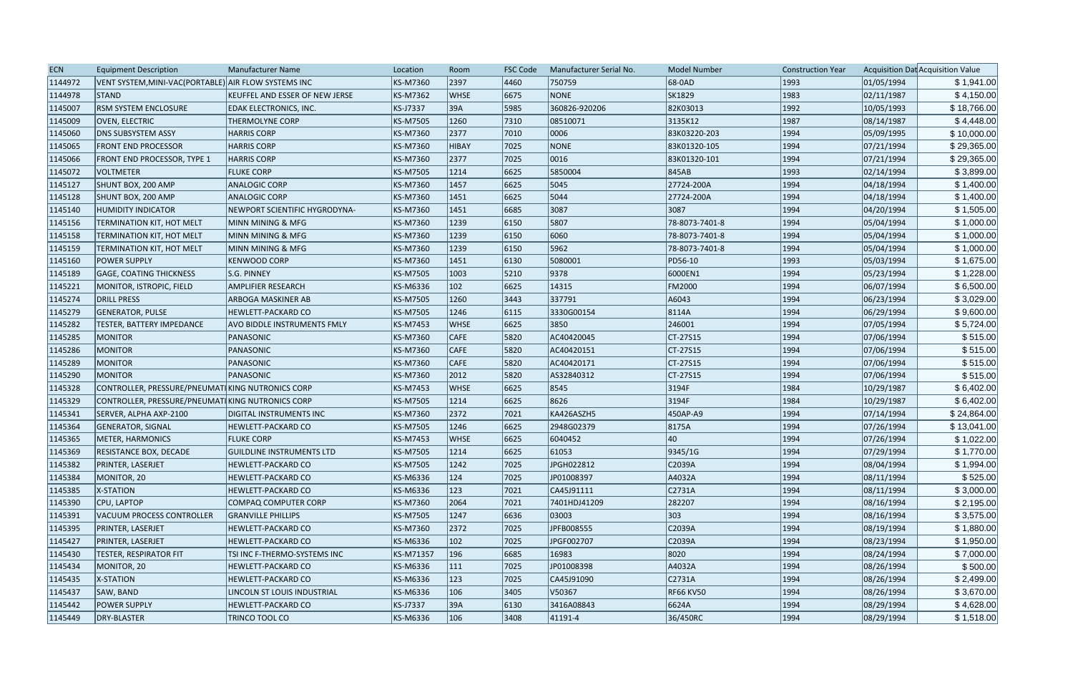| <b>ECN</b> | <b>Equipment Description</b>                         | Manufacturer Name                | Location        | Room          | <b>FSC Code</b> | Manufacturer Serial No. | <b>Model Number</b> | <b>Construction Year</b> |            | Acquisition Dat Acquisition Value |
|------------|------------------------------------------------------|----------------------------------|-----------------|---------------|-----------------|-------------------------|---------------------|--------------------------|------------|-----------------------------------|
| 1144972    | VENT SYSTEM, MINI-VAC(PORTABLE) AIR FLOW SYSTEMS INC |                                  | KS-M7360        | 2397          | 4460            | 750759                  | 68-0AD              | 1993                     | 01/05/1994 | \$1,941.00                        |
| 1144978    | STAND                                                | KEUFFEL AND ESSER OF NEW JERSE   | <b>KS-M7362</b> | <b>WHSE</b>   | 6675            | NONE                    | SK1829              | 1983                     | 02/11/1987 | \$4,150.00                        |
| 1145007    | <b>RSM SYSTEM ENCLOSURE</b>                          | EDAK ELECTRONICS, INC.           | <b>KS-J7337</b> | 39A           | 5985            | 360826-920206           | 82K03013            | 1992                     | 10/05/1993 | \$18,766.00                       |
| 1145009    | OVEN, ELECTRIC                                       | <b>THERMOLYNE CORP</b>           | <b>KS-M7505</b> | 1260          | 7310            | 08510071                | 3135K12             | 1987                     | 08/14/1987 | \$4,448.00                        |
| 1145060    | <b>DNS SUBSYSTEM ASSY</b>                            | <b>HARRIS CORP</b>               | <b>KS-M7360</b> | 2377          | 7010            | 0006                    | 83K03220-203        | 1994                     | 05/09/1995 | \$10,000.00                       |
| 1145065    | <b>FRONT END PROCESSOR</b>                           | <b>HARRIS CORP</b>               | KS-M7360        | HIBAY         | 7025            | NONE                    | 83K01320-105        | 1994                     | 07/21/1994 | \$29,365.00                       |
| 1145066    | FRONT END PROCESSOR, TYPE 1                          | <b>HARRIS CORP</b>               | <b>KS-M7360</b> | 2377          | 7025            | 0016                    | 83K01320-101        | 1994                     | 07/21/1994 | \$29,365.00                       |
| 1145072    | <b>VOLTMETER</b>                                     | <b>FLUKE CORP</b>                | <b>KS-M7505</b> | 1214          | 6625            | 5850004                 | 845AB               | 1993                     | 02/14/1994 | \$3,899.00                        |
| 1145127    | SHUNT BOX, 200 AMP                                   | <b>ANALOGIC CORP</b>             | KS-M7360        | 1457          | 6625            | 5045                    | 27724-200A          | 1994                     | 04/18/1994 | \$1,400.00                        |
| 1145128    | SHUNT BOX, 200 AMP                                   | <b>ANALOGIC CORP</b>             | KS-M7360        | 1451          | 6625            | 5044                    | 27724-200A          | 1994                     | 04/18/1994 | \$1,400.00                        |
| 1145140    | <b>HUMIDITY INDICATOR</b>                            | NEWPORT SCIENTIFIC HYGRODYNA-    | KS-M7360        | 1451          | 6685            | 3087                    | 3087                | 1994                     | 04/20/1994 | \$1,505.00                        |
| 1145156    | TERMINATION KIT, HOT MELT                            | MINN MINING & MFG                | <b>KS-M7360</b> | 1239          | 6150            | 5807                    | 78-8073-7401-8      | 1994                     | 05/04/1994 | \$1,000.00                        |
| 1145158    | TERMINATION KIT, HOT MELT                            | MINN MINING & MFG                | <b>KS-M7360</b> | 1239          | 6150            | 6060                    | 78-8073-7401-8      | 1994                     | 05/04/1994 | \$1,000.00                        |
| 1145159    | <b>TERMINATION KIT, HOT MELT</b>                     | MINN MINING & MFG                | KS-M7360        | 1239          | 6150            | 5962                    | 78-8073-7401-8      | 1994                     | 05/04/1994 | \$1,000.00                        |
| 1145160    | <b>POWER SUPPLY</b>                                  | <b>KENWOOD CORP</b>              | <b>KS-M7360</b> | 1451          | 6130            | 5080001                 | PD56-10             | 1993                     | 05/03/1994 | \$1,675.00                        |
| 1145189    | <b>GAGE, COATING THICKNESS</b>                       | S.G. PINNEY                      | <b>KS-M7505</b> | 1003          | 5210            | 9378                    | 6000EN1             | 1994                     | 05/23/1994 | \$1,228.00                        |
| 1145221    | MONITOR, ISTROPIC, FIELD                             | <b>AMPLIFIER RESEARCH</b>        | KS-M6336        | $ 102\rangle$ | 6625            | 14315                   | <b>FM2000</b>       | 1994                     | 06/07/1994 | \$6,500.00                        |
| 1145274    | <b>DRILL PRESS</b>                                   | <b>ARBOGA MASKINER AB</b>        | <b>KS-M7505</b> | 1260          | 3443            | 337791                  | A6043               | 1994                     | 06/23/1994 | \$3,029.00                        |
| 1145279    | <b>GENERATOR, PULSE</b>                              | HEWLETT-PACKARD CO               | <b>KS-M7505</b> | 1246          | 6115            | 3330G00154              | 8114A               | 1994                     | 06/29/1994 | \$9,600.00                        |
| 1145282    | TESTER, BATTERY IMPEDANCE                            | AVO BIDDLE INSTRUMENTS FMLY      | <b>KS-M7453</b> | <b>WHSE</b>   | 6625            | 3850                    | 246001              | 1994                     | 07/05/1994 | \$5,724.00                        |
| 1145285    | <b>MONITOR</b>                                       | PANASONIC                        | KS-M7360        | <b>CAFE</b>   | 5820            | AC40420045              | $CT-27S15$          | 1994                     | 07/06/1994 | \$515.00                          |
| 1145286    | <b>MONITOR</b>                                       | PANASONIC                        | <b>KS-M7360</b> | CAFE          | 5820            | AC40420151              | CT-27S15            | 1994                     | 07/06/1994 | \$515.00                          |
| 1145289    | MONITOR                                              | PANASONIC                        | KS-M7360        | CAFE          | 5820            | AC40420171              | $CT-27S15$          | 1994                     | 07/06/1994 | \$515.00                          |
| 1145290    | <b>MONITOR</b>                                       | PANASONIC                        | <b>KS-M7360</b> | 2012          | 5820            | AS32840312              | CT-27S15            | 1994                     | 07/06/1994 | \$515.00                          |
| 1145328    | CONTROLLER, PRESSURE/PNEUMAT KING NUTRONICS CORP     |                                  | <b>KS-M7453</b> | <b>WHSE</b>   | 6625            | 8545                    | 3194F               | 1984                     | 10/29/1987 | \$6,402.00                        |
| 1145329    | CONTROLLER, PRESSURE/PNEUMAT KING NUTRONICS CORP     |                                  | <b>KS-M7505</b> | 1214          | 6625            | 8626                    | 3194F               | 1984                     | 10/29/1987 | \$6,402.00                        |
| 1145341    | SERVER, ALPHA AXP-2100                               | DIGITAL INSTRUMENTS INC          | <b>KS-M7360</b> | 2372          | 7021            | KA426ASZH5              | 450AP-A9            | 1994                     | 07/14/1994 | \$24,864.00                       |
| 1145364    | <b>GENERATOR, SIGNAL</b>                             | <b>HEWLETT-PACKARD CO</b>        | <b>KS-M7505</b> | 1246          | 6625            | 2948G02379              | 8175A               | 1994                     | 07/26/1994 | \$13,041.00                       |
| 1145365    | METER, HARMONICS                                     | <b>FLUKE CORP</b>                | <b>KS-M7453</b> | <b>WHSE</b>   | 6625            | 6040452                 | 40                  | 1994                     | 07/26/1994 | \$1,022.00                        |
| 1145369    | <b>RESISTANCE BOX, DECADE</b>                        | <b>GUILDLINE INSTRUMENTS LTD</b> | <b>KS-M7505</b> | 1214          | 6625            | 61053                   | 9345/1G             | 1994                     | 07/29/1994 | \$1,770.00                        |
| 1145382    | PRINTER, LASERJET                                    | <b>HEWLETT-PACKARD CO</b>        | <b>KS-M7505</b> | 1242          | 7025            | JPGH022812              | C2039A              | 1994                     | 08/04/1994 | \$1,994.00                        |
| 1145384    | MONITOR, 20                                          | <b>HEWLETT-PACKARD CO</b>        | KS-M6336        | 124           | 7025            | JP01008397              | A4032A              | 1994                     | 08/11/1994 | \$525.00                          |
| 1145385    | X-STATION                                            | <b>HEWLETT-PACKARD CO</b>        | KS-M6336        | 123           | 7021            | CA45J91111              | C2731A              | 1994                     | 08/11/1994 | \$3,000.00                        |
| 1145390    | CPU, LAPTOP                                          | <b>COMPAQ COMPUTER CORP</b>      | KS-M7360        | 2064          | 7021            | 7401HDJ41209            | 282207              | 1994                     | 08/16/1994 | \$2,195.00                        |
| 1145391    | VACUUM PROCESS CONTROLLER                            | <b>GRANVILLE PHILLIPS</b>        | <b>KS-M7505</b> | 1247          | 6636            | 03003                   | 303                 | 1994                     | 08/16/1994 | \$3,575.00                        |
| 1145395    | PRINTER, LASERJET                                    | <b>HEWLETT-PACKARD CO</b>        | KS-M7360        | 2372          | 7025            | JPFB008555              | C2039A              | 1994                     | 08/19/1994 | \$1,880.00                        |
| 1145427    | PRINTER, LASERJET                                    | <b>HEWLETT-PACKARD CO</b>        | KS-M6336        | $ 102\rangle$ | 7025            | JPGF002707              | C2039A              | 1994                     | 08/23/1994 | \$1,950.00                        |
| 1145430    | TESTER, RESPIRATOR FIT                               | TSI INC F-THERMO-SYSTEMS INC     | KS-M71357       | 196           | 6685            | 16983                   | 8020                | 1994                     | 08/24/1994 | \$7,000.00                        |
| 1145434    | MONITOR, 20                                          | <b>HEWLETT-PACKARD CO</b>        | KS-M6336        | 111           | 7025            | JP01008398              | A4032A              | 1994                     | 08/26/1994 | \$500.00                          |
| 1145435    | X-STATION                                            | <b>HEWLETT-PACKARD CO</b>        | KS-M6336        | $ 123\rangle$ | 7025            | CA45J91090              | C2731A              | 1994                     | 08/26/1994 | \$2,499.00                        |
| 1145437    | SAW, BAND                                            | LINCOLN ST LOUIS INDUSTRIAL      | KS-M6336        | 106           | 3405            | V50367                  | <b>RF66 KV50</b>    | 1994                     | 08/26/1994 | \$3,670.00                        |
| 1145442    | <b>POWER SUPPLY</b>                                  | <b>HEWLETT-PACKARD CO</b>        | KS-J7337        | 39A           | 6130            | 3416A08843              | 6624A               | 1994                     | 08/29/1994 | \$4,628.00                        |
| 1145449    | DRY-BLASTER                                          | TRINCO TOOL CO                   | KS-M6336        | 106           | 3408            | $ 41191 - 4 $           | 36/450RC            | 1994                     | 08/29/1994 | \$1,518.00                        |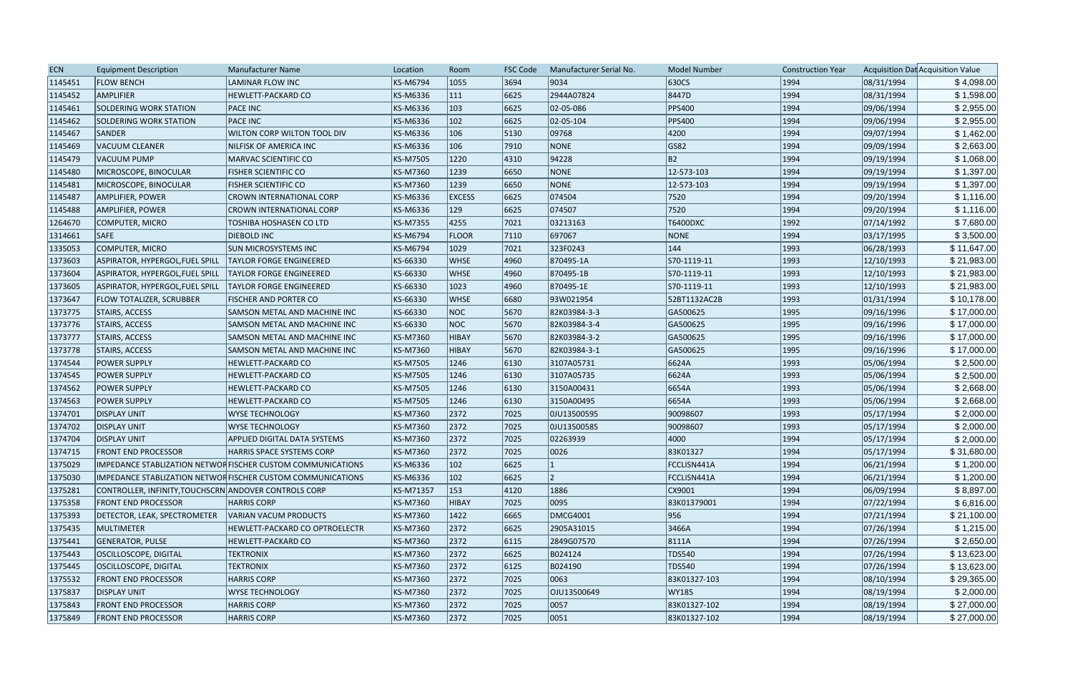| <b>ECN</b> | <b>Equipment Description</b>                          | Manufacturer Name                                           | Location  | Room          | <b>FSC Code</b> | Manufacturer Serial No. | <b>Model Number</b> | <b>Construction Year</b> |            | Acquisition Dat Acquisition Value |
|------------|-------------------------------------------------------|-------------------------------------------------------------|-----------|---------------|-----------------|-------------------------|---------------------|--------------------------|------------|-----------------------------------|
| 1145451    | <b>FLOW BENCH</b>                                     | LAMINAR FLOW INC                                            | KS-M6794  | 1055          | 3694            | 9034                    | 630CS               | 1994                     | 08/31/1994 | \$4,098.00                        |
| 1145452    | AMPLIFIER                                             | <b>HEWLETT-PACKARD CO</b>                                   | KS-M6336  | 111           | 6625            | 2944A07824              | 8447D               | 1994                     | 08/31/1994 | \$1,598.00                        |
| 1145461    | SOLDERING WORK STATION                                | <b>PACE INC</b>                                             | KS-M6336  | 103           | 6625            | 02-05-086               | <b>PPS400</b>       | 1994                     | 09/06/1994 | \$2,955.00                        |
| 1145462    | <b>SOLDERING WORK STATION</b>                         | <b>PACE INC</b>                                             | KS-M6336  | $ 102\rangle$ | 6625            | $ 02 - 05 - 104 $       | <b>PPS400</b>       | 1994                     | 09/06/1994 | \$2,955.00                        |
| 1145467    | <b>SANDER</b>                                         | WILTON CORP WILTON TOOL DIV                                 | KS-M6336  | 106           | 5130            | 09768                   | 4200                | 1994                     | 09/07/1994 | \$1,462.00                        |
| 1145469    | VACUUM CLEANER                                        | <b>NILFISK OF AMERICA INC</b>                               | KS-M6336  | 106           | 7910            | NONE                    | GS82                | 1994                     | 09/09/1994 | \$2,663.00                        |
| 1145479    | <b>VACUUM PUMP</b>                                    | MARVAC SCIENTIFIC CO                                        | KS-M7505  | 1220          | 4310            | 94228                   | B <sub>2</sub>      | 1994                     | 09/19/1994 | \$1,068.00                        |
| 1145480    | MICROSCOPE, BINOCULAR                                 | <b>FISHER SCIENTIFIC CO</b>                                 | KS-M7360  | 1239          | 6650            | <b>NONE</b>             | 12-573-103          | 1994                     | 09/19/1994 | \$1,397.00                        |
| 1145481    | MICROSCOPE, BINOCULAR                                 | <b>FISHER SCIENTIFIC CO</b>                                 | KS-M7360  | 1239          | 6650            | NONE                    | 12-573-103          | 1994                     | 09/19/1994 | \$1,397.00                        |
| 1145487    | AMPLIFIER, POWER                                      | CROWN INTERNATIONAL CORP                                    | KS-M6336  | <b>EXCESS</b> | 6625            | 074504                  | 7520                | 1994                     | 09/20/1994 | \$1,116.00                        |
| 1145488    | AMPLIFIER, POWER                                      | <b>CROWN INTERNATIONAL CORP</b>                             | KS-M6336  | 129           | 6625            | 074507                  | 7520                | 1994                     | 09/20/1994 | \$1,116.00                        |
| 1264670    | COMPUTER, MICRO                                       | TOSHIBA HOSHASEN CO LTD                                     | KS-M7355  | 4255          | 7021            | 03213163                | T6400DXC            | 1992                     | 07/14/1992 | \$7,680.00                        |
| 1314661    | <b>SAFE</b>                                           | <b>DIEBOLD INC</b>                                          | KS-M6794  | <b>FLOOR</b>  | 7110            | 697067                  | NONE                | 1994                     | 03/17/1995 | \$3,500.00                        |
| 1335053    | <b>COMPUTER, MICRO</b>                                | <b>SUN MICROSYSTEMS INC</b>                                 | KS-M6794  | 1029          | 7021            | 323F0243                | $ 144\rangle$       | 1993                     | 06/28/1993 | \$11,647.00                       |
| 1373603    | ASPIRATOR, HYPERGOL, FUEL SPILL                       | <b>TAYLOR FORGE ENGINEERED</b>                              | KS-66330  | <b>WHSE</b>   | 4960            | 870495-1A               | S70-1119-11         | 1993                     | 12/10/1993 | \$21,983.00                       |
| 1373604    | ASPIRATOR, HYPERGOL,FUEL SPILL                        | <b>TAYLOR FORGE ENGINEERED</b>                              | KS-66330  | <b>WHSE</b>   | 4960            | 870495-1B               | S70-1119-11         | 1993                     | 12/10/1993 | \$21,983.00                       |
| 1373605    | ASPIRATOR, HYPERGOL, FUEL SPILL                       | <b>TAYLOR FORGE ENGINEERED</b>                              | KS-66330  | 1023          | 4960            | 870495-1E               | S70-1119-11         | 1993                     | 12/10/1993 | \$21,983.00                       |
| 1373647    | <b>FLOW TOTALIZER, SCRUBBER</b>                       | <b>FISCHER AND PORTER CO</b>                                | KS-66330  | <b>WHSE</b>   | 6680            | 93W021954               | 52BT1132AC2B        | 1993                     | 01/31/1994 | \$10,178.00                       |
| 1373775    | STAIRS, ACCESS                                        | SAMSON METAL AND MACHINE INC                                | KS-66330  | NOC           | 5670            | 82K03984-3-3            | GA500625            | 1995                     | 09/16/1996 | \$17,000.00                       |
| 1373776    | <b>STAIRS, ACCESS</b>                                 | SAMSON METAL AND MACHINE INC                                | KS-66330  | NOC           | 5670            | 82K03984-3-4            | GA500625            | 1995                     | 09/16/1996 | \$17,000.00                       |
| 1373777    | <b>STAIRS, ACCESS</b>                                 | SAMSON METAL AND MACHINE INC                                | KS-M7360  | HIBAY         | 5670            | 82K03984-3-2            | GA500625            | 1995                     | 09/16/1996 | \$17,000.00                       |
| 1373778    | <b>STAIRS, ACCESS</b>                                 | SAMSON METAL AND MACHINE INC                                | KS-M7360  | <b>HIBAY</b>  | 5670            | 82K03984-3-1            | GA500625            | 1995                     | 09/16/1996 | \$17,000.00                       |
| 1374544    | <b>POWER SUPPLY</b>                                   | <b>HEWLETT-PACKARD CO</b>                                   | KS-M7505  | 1246          | 6130            | 3107A05731              | 6624A               | 1993                     | 05/06/1994 | \$2,500.00                        |
| 1374545    | <b>POWER SUPPLY</b>                                   | HEWLETT-PACKARD CO                                          | KS-M7505  | 1246          | 6130            | 3107A05735              | 6624A               | 1993                     | 05/06/1994 | \$2,500.00                        |
| 1374562    | <b>POWER SUPPLY</b>                                   | <b>HEWLETT-PACKARD CO</b>                                   | KS-M7505  | 1246          | 6130            | 3150A00431              | 6654A               | 1993                     | 05/06/1994 | \$2,668.00                        |
| 1374563    | <b>POWER SUPPLY</b>                                   | <b>HEWLETT-PACKARD CO</b>                                   | KS-M7505  | 1246          | 6130            | 3150A00495              | 6654A               | 1993                     | 05/06/1994 | \$2,668.00                        |
| 1374701    | <b>DISPLAY UNIT</b>                                   | <b>WYSE TECHNOLOGY</b>                                      | KS-M7360  | 2372          | 7025            | 0JU13500595             | 90098607            | 1993                     | 05/17/1994 | \$2,000.00                        |
| 1374702    | <b>DISPLAY UNIT</b>                                   | WYSE TECHNOLOGY                                             | KS-M7360  | 2372          | 7025            | 0JU13500585             | 90098607            | 1993                     | 05/17/1994 | \$2,000.00                        |
| 1374704    | <b>DISPLAY UNIT</b>                                   | <b>APPLIED DIGITAL DATA SYSTEMS</b>                         | KS-M7360  | 2372          | 7025            | 02263939                | 4000                | 1994                     | 05/17/1994 | \$2,000.00                        |
| 1374715    | <b>FRONT END PROCESSOR</b>                            | HARRIS SPACE SYSTEMS CORP                                   | KS-M7360  | 2372          | 7025            | 0026                    | 83K01327            | 1994                     | 05/17/1994 | \$31,680.00                       |
| 1375029    |                                                       | IMPEDANCE STABLIZATION NETWOR FISCHER CUSTOM COMMUNICATIONS | KS-M6336  | $ 102\rangle$ | 6625            |                         | FCCLISN441A         | 1994                     | 06/21/1994 | \$1,200.00                        |
| 1375030    |                                                       | IMPEDANCE STABLIZATION NETWOR FISCHER CUSTOM COMMUNICATIONS | KS-M6336  | 102           | 6625            |                         | FCCLISN441A         | 1994                     | 06/21/1994 | \$1,200.00                        |
| 1375281    | CONTROLLER, INFINITY, TOUCHSCRN ANDOVER CONTROLS CORP |                                                             | KS-M71357 | 153           | 4120            | 1886                    | CX9001              | 1994                     | 06/09/1994 | \$8,897.00                        |
| 1375358    | <b>FRONT END PROCESSOR</b>                            | <b>HARRIS CORP</b>                                          | KS-M7360  | <b>HIBAY</b>  | 7025            | 0095                    | 83K01379001         | 1994                     | 07/22/1994 | \$6,816.00                        |
| 1375393    | DETECTOR, LEAK, SPECTROMETER                          | <b>VARIAN VACUM PRODUCTS</b>                                | KS-M7360  | 1422          | 6665            | <b>DMCG4001</b>         | 956                 | 1994                     | 07/21/1994 | \$21,100.00                       |
| 1375435    | <b>MULTIMETER</b>                                     | HEWLETT-PACKARD CO OPTROELECTR                              | KS-M7360  | 2372          | 6625            | 2905A31015              | 3466A               | 1994                     | 07/26/1994 | \$1,215.00                        |
| 1375441    | <b>GENERATOR, PULSE</b>                               | <b>HEWLETT-PACKARD CO</b>                                   | KS-M7360  | 2372          | 6115            | 2849G07570              | 8111A               | 1994                     | 07/26/1994 | \$2,650.00                        |
| 1375443    | <b>OSCILLOSCOPE, DIGITAL</b>                          | <b>TEKTRONIX</b>                                            | KS-M7360  | 2372          | 6625            | B024124                 | <b>TDS540</b>       | 1994                     | 07/26/1994 | \$13,623.00                       |
| 1375445    | <b>OSCILLOSCOPE, DIGITAL</b>                          | <b>TEKTRONIX</b>                                            | KS-M7360  | 2372          | 6125            | B024190                 | <b>TDS540</b>       | 1994                     | 07/26/1994 | \$13,623.00                       |
| 1375532    | <b>FRONT END PROCESSOR</b>                            | <b>HARRIS CORP</b>                                          | KS-M7360  | 2372          | 7025            | 0063                    | 83K01327-103        | 1994                     | 08/10/1994 | \$29,365.00                       |
| 1375837    | <b>DISPLAY UNIT</b>                                   | <b>WYSE TECHNOLOGY</b>                                      | KS-M7360  | 2372          | 7025            | OJU13500649             | <b>WY185</b>        | 1994                     | 08/19/1994 | \$2,000.00                        |
| 1375843    | <b>FRONT END PROCESSOR</b>                            | <b>HARRIS CORP</b>                                          | KS-M7360  | 2372          | 7025            | 0057                    | 83K01327-102        | 1994                     | 08/19/1994 | \$27,000.00                       |
| 1375849    | <b>FRONT END PROCESSOR</b>                            | <b>HARRIS CORP</b>                                          | KS-M7360  | 2372          | 7025            | 0051                    | 83K01327-102        | 1994                     | 08/19/1994 | \$27,000.00                       |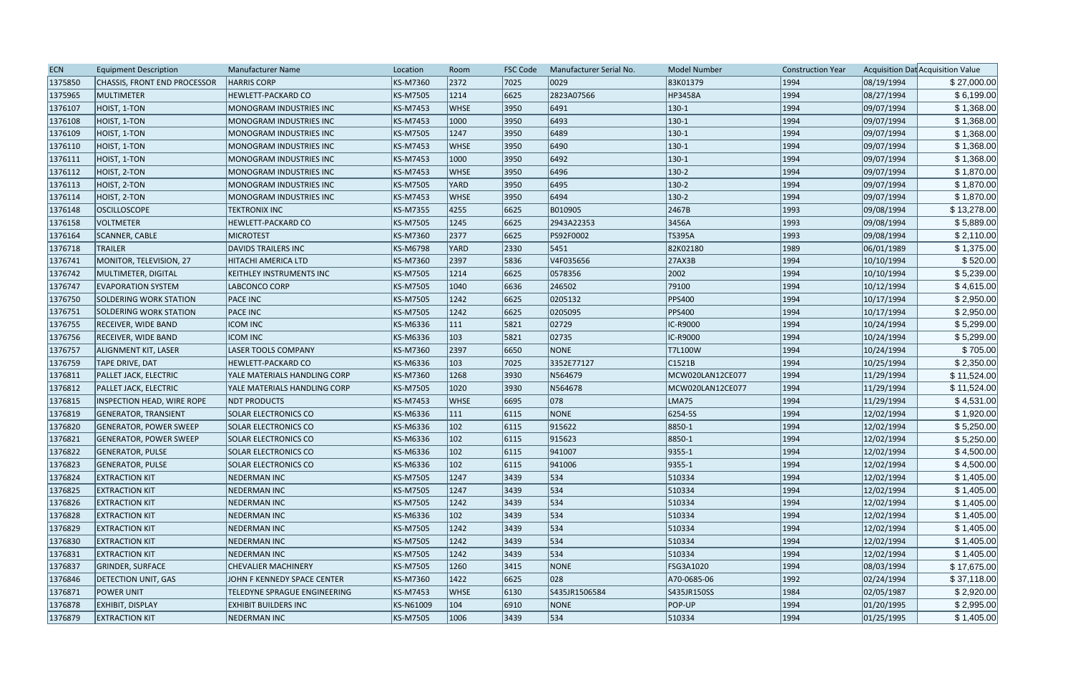| <b>ECN</b> | <b>Equipment Description</b>      | <b>Manufacturer Name</b>        | Location        | Room           | <b>FSC Code</b> | Manufacturer Serial No. | <b>Model Number</b> | <b>Construction Year</b> |            | Acquisition Dat Acquisition Value |
|------------|-----------------------------------|---------------------------------|-----------------|----------------|-----------------|-------------------------|---------------------|--------------------------|------------|-----------------------------------|
| 1375850    | CHASSIS, FRONT END PROCESSOR      | <b>HARRIS CORP</b>              | KS-M7360        | 2372           | 7025            | 0029                    | 83K01379            | 1994                     | 08/19/1994 | \$27,000.00                       |
| 1375965    | MULTIMETER                        | HEWLETT-PACKARD CO              | <b>KS-M7505</b> | 1214           | 6625            | 2823A07566              | <b>HP3458A</b>      | 1994                     | 08/27/1994 | \$6,199.00                        |
| 1376107    | HOIST, 1-TON                      | MONOGRAM INDUSTRIES INC         | <b>KS-M7453</b> | <b>WHSE</b>    | 3950            | 6491                    | $ 130-1$            | 1994                     | 09/07/1994 | \$1,368.00                        |
| 1376108    | HOIST, 1-TON                      | MONOGRAM INDUSTRIES INC         | <b>KS-M7453</b> | 1000           | 3950            | 6493                    | $ 130-1$            | 1994                     | 09/07/1994 | \$1,368.00                        |
| 1376109    | HOIST, 1-TON                      | MONOGRAM INDUSTRIES INC         | <b>KS-M7505</b> | 1247           | 3950            | 6489                    | $ 130-1 $           | 1994                     | 09/07/1994 | \$1,368.00                        |
| 1376110    | HOIST, 1-TON                      | MONOGRAM INDUSTRIES INC         | <b>KS-M7453</b> | <b>WHSE</b>    | 3950            | 6490                    | $ 130-1 $           | 1994                     | 09/07/1994 | \$1,368.00                        |
| 1376111    | HOIST, 1-TON                      | MONOGRAM INDUSTRIES INC         | KS-M7453        | 1000           | 3950            | 6492                    | $ 130-1 $           | 1994                     | 09/07/1994 | \$1,368.00                        |
| 1376112    | HOIST, 2-TON                      | MONOGRAM INDUSTRIES INC         | <b>KS-M7453</b> | <b>WHSE</b>    | 3950            | 6496                    | $ 130-2 $           | 1994                     | 09/07/1994 | \$1,870.00                        |
| 1376113    | HOIST, 2-TON                      | <b>MONOGRAM INDUSTRIES INC</b>  | <b>KS-M7505</b> | YARD           | 3950            | 6495                    | $ 130-2 $           | 1994                     | 09/07/1994 | \$1,870.00                        |
| 1376114    | HOIST, 2-TON                      | MONOGRAM INDUSTRIES INC         | <b>KS-M7453</b> | <b>WHSE</b>    | 3950            | 6494                    | $ 130-2 $           | 1994                     | 09/07/1994 | \$1,870.00                        |
| 1376148    | <b>OSCILLOSCOPE</b>               | <b>TEKTRONIX INC</b>            | <b>KS-M7355</b> | 4255           | 6625            | B010905                 | 2467B               | 1993                     | 09/08/1994 | \$13,278.00                       |
| 1376158    | <b>VOLTMETER</b>                  | HEWLETT-PACKARD CO              | KS-M7505        | 1245           | 6625            | 2943A22353              | 3456A               | 1993                     | 09/08/1994 | \$5,889.00                        |
| 1376164    | SCANNER, CABLE                    | <b>MICROTEST</b>                | KS-M7360        | 2377           | 6625            | PS92F0002               | <b>TS395A</b>       | 1993                     | 09/08/1994 | \$2,110.00                        |
| 1376718    | <b>TRAILER</b>                    | <b>DAVIDS TRAILERS INC</b>      | <b>KS-M6798</b> | YARD           | 2330            | 5451                    | 82K02180            | 1989                     | 06/01/1989 | \$1,375.00                        |
| 1376741    | MONITOR, TELEVISION, 27           | <b>HITACHI AMERICA LTD</b>      | KS-M7360        | 2397           | 5836            | V4F035656               | 27AX3B              | 1994                     | 10/10/1994 | \$520.00                          |
| 1376742    | MULTIMETER, DIGITAL               | <b>KEITHLEY INSTRUMENTS INC</b> | <b>KS-M7505</b> | 1214           | 6625            | 0578356                 | 2002                | 1994                     | 10/10/1994 | \$5,239.00                        |
| 1376747    | <b>EVAPORATION SYSTEM</b>         | LABCONCO CORP                   | <b>KS-M7505</b> | 1040           | 6636            | 246502                  | 79100               | 1994                     | 10/12/1994 | \$4,615.00                        |
| 1376750    | <b>SOLDERING WORK STATION</b>     | <b>PACE INC</b>                 | <b>KS-M7505</b> | 1242           | 6625            | 0205132                 | <b>PPS400</b>       | 1994                     | 10/17/1994 | \$2,950.00                        |
| 1376751    | SOLDERING WORK STATION            | <b>PACE INC</b>                 | <b>KS-M7505</b> | 1242           | 6625            | 0205095                 | <b>PPS400</b>       | 1994                     | 10/17/1994 | \$2,950.00                        |
| 1376755    | <b>RECEIVER, WIDE BAND</b>        | <b>ICOM INC</b>                 | <b>KS-M6336</b> | $ 111\rangle$  | 5821            | 02729                   | IC-R9000            | 1994                     | 10/24/1994 | \$5,299.00                        |
| 1376756    | <b>RECEIVER, WIDE BAND</b>        | <b>ICOM INC</b>                 | KS-M6336        | $ 103\rangle$  | 5821            | 02735                   | IC-R9000            | 1994                     | 10/24/1994 | \$5,299.00                        |
| 1376757    | ALIGNMENT KIT, LASER              | <b>LASER TOOLS COMPANY</b>      | <b>KS-M7360</b> | 2397           | 6650            | NONE                    | T7L100W             | 1994                     | 10/24/1994 | \$705.00                          |
| 1376759    | TAPE DRIVE, DAT                   | <b>HEWLETT-PACKARD CO</b>       | KS-M6336        | $ 103\rangle$  | 7025            | 3352E77127              | C1521B              | 1994                     | 10/25/1994 | \$2,350.00                        |
| 1376811    | <b>PALLET JACK, ELECTRIC</b>      | YALE MATERIALS HANDLING CORP    | <b>KS-M7360</b> | 1268           | 3930            | N564679                 | MCW020LAN12CE077    | 1994                     | 11/29/1994 | \$11,524.00                       |
| 1376812    | <b>PALLET JACK, ELECTRIC</b>      | YALE MATERIALS HANDLING CORP    | <b>KS-M7505</b> | 1020           | 3930            | N564678                 | MCW020LAN12CE077    | 1994                     | 11/29/1994 | \$11,524.00                       |
| 1376815    | <b>INSPECTION HEAD, WIRE ROPE</b> | <b>NDT PRODUCTS</b>             | <b>KS-M7453</b> | <b>WHSE</b>    | 6695            | 078                     | LMA75               | 1994                     | 11/29/1994 | \$4,531.00                        |
| 1376819    | <b>GENERATOR, TRANSIENT</b>       | <b>SOLAR ELECTRONICS CO</b>     | <b>KS-M6336</b> | $ 111\rangle$  | 6115            | <b>NONE</b>             | 6254-55             | 1994                     | 12/02/1994 | \$1,920.00                        |
| 1376820    | <b>GENERATOR, POWER SWEEP</b>     | <b>SOLAR ELECTRONICS CO</b>     | KS-M6336        | $ 102\rangle$  | 6115            | 915622                  | 8850-1              | 1994                     | 12/02/1994 | \$5,250.00                        |
| 1376821    | <b>GENERATOR, POWER SWEEP</b>     | <b>SOLAR ELECTRONICS CO</b>     | <b>KS-M6336</b> | $ 102\rangle$  | 6115            | 915623                  | 8850-1              | 1994                     | 12/02/1994 | \$5,250.00                        |
| 1376822    | <b>GENERATOR, PULSE</b>           | <b>SOLAR ELECTRONICS CO</b>     | KS-M6336        | $ 102\rangle$  | 6115            | 941007                  | $ 9355-1$           | 1994                     | 12/02/1994 | \$4,500.00                        |
| 1376823    | <b>GENERATOR, PULSE</b>           | <b>SOLAR ELECTRONICS CO</b>     | KS-M6336        | $ 102\rangle$  | 6115            | 941006                  | $ 9355-1 $          | 1994                     | 12/02/1994 | \$4,500.00                        |
| 1376824    | <b>EXTRACTION KIT</b>             | <b>NEDERMAN INC</b>             | <b>KS-M7505</b> | 1247           | 3439            | 534                     | 510334              | 1994                     | 12/02/1994 | \$1,405.00                        |
| 1376825    | <b>EXTRACTION KIT</b>             | <b>NEDERMAN INC</b>             | <b>KS-M7505</b> | 1247           | 3439            | 534                     | 510334              | 1994                     | 12/02/1994 | \$1,405.00                        |
| 1376826    | <b>EXTRACTION KIT</b>             | <b>NEDERMAN INC</b>             | <b>KS-M7505</b> | 1242           | 3439            | 534                     | 510334              | 1994                     | 12/02/1994 | \$1,405.00                        |
| 1376828    | <b>EXTRACTION KIT</b>             | <b>NEDERMAN INC</b>             | KS-M6336        | $ 102\rangle$  | 3439            | 534                     | 510334              | 1994                     | 12/02/1994 | \$1,405.00                        |
| 1376829    | <b>EXTRACTION KIT</b>             | <b>NEDERMAN INC</b>             | <b>KS-M7505</b> | 1242           | 3439            | 534                     | 510334              | 1994                     | 12/02/1994 | \$1,405.00                        |
| 1376830    | <b>EXTRACTION KIT</b>             | <b>NEDERMAN INC</b>             | <b>KS-M7505</b> | 1242           | 3439            | 534                     | 510334              | 1994                     | 12/02/1994 | \$1,405.00                        |
| 1376831    | <b>EXTRACTION KIT</b>             | NEDERMAN INC                    | <b>KS-M7505</b> | 1242           | $ 3439\rangle$  | 534                     | 510334              | 1994                     | 12/02/1994 | \$1,405.00                        |
| 1376837    | <b>GRINDER, SURFACE</b>           | <b>CHEVALIER MACHINERY</b>      | <b>KS-M7505</b> | 1260           | 3415            | <b>NONE</b>             | FSG3A1020           | 1994                     | 08/03/1994 | \$17,675.00                       |
| 1376846    | DETECTION UNIT, GAS               | JOHN F KENNEDY SPACE CENTER     | <b>KS-M7360</b> | $ 1422\rangle$ | 6625            | 028                     | A70-0685-06         | 1992                     | 02/24/1994 | \$37,118.00                       |
| 1376871    | <b>POWER UNIT</b>                 | TELEDYNE SPRAGUE ENGINEERING    | <b>KS-M7453</b> | WHSE           | 6130            | S435JR1506584           | S435JR150SS         | 1984                     | 02/05/1987 | \$2,920.00                        |
| 1376878    | <b>EXHIBIT, DISPLAY</b>           | <b>EXHIBIT BUILDERS INC</b>     | KS-N61009       | $ 104\rangle$  | 6910            | NONE                    | POP-UP              | 1994                     | 01/20/1995 | \$2,995.00                        |
| 1376879    | <b>EXTRACTION KIT</b>             | <b>NEDERMAN INC</b>             | <b>KS-M7505</b> | 1006           | $ 3439\rangle$  | $ 534\rangle$           | 510334              | 1994                     | 01/25/1995 | \$1,405.00                        |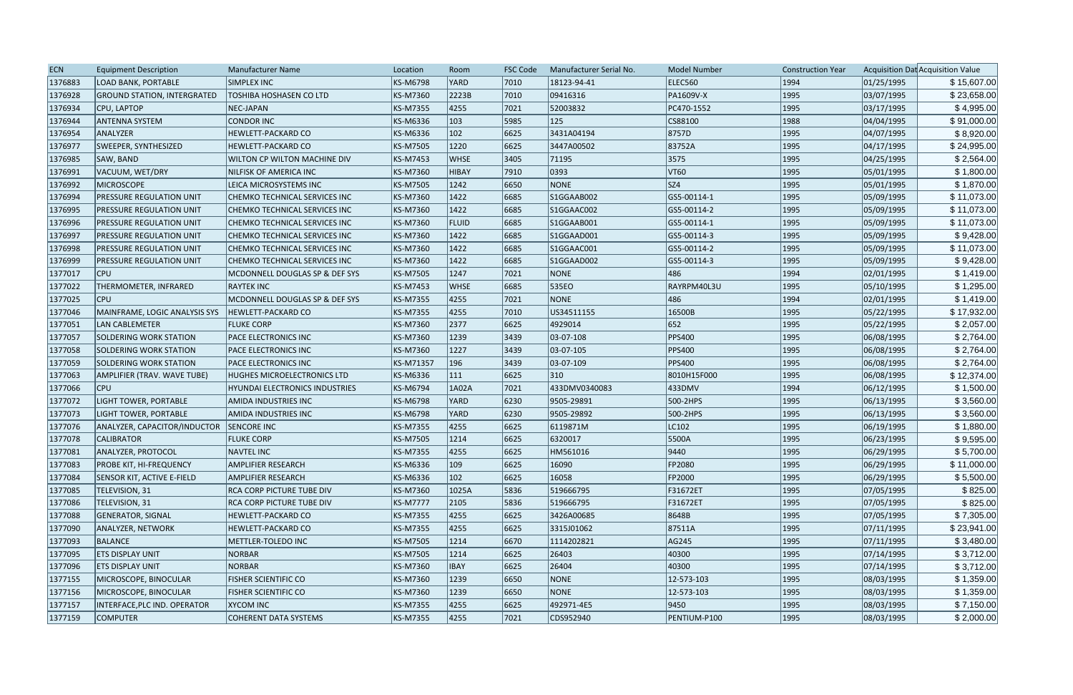| 1376883<br><b>KS-M6798</b><br>YARD<br>7010<br>18123-94-41<br>ELEC560<br>01/25/1995<br>\$15,607.00<br><b>LOAD BANK, PORTABLE</b><br>SIMPLEX INC<br>1994<br>2223B<br>09416316<br>1376928<br><b>GROUND STATION, INTERGRATED</b><br><b>TOSHIBA HOSHASEN CO LTD</b><br><b>KS-M7360</b><br> 7010<br>PA1609V-X<br>1995<br>03/07/1995<br>\$23,658.00<br>\$4,995.00<br>1376934<br>CPU, LAPTOP<br>NEC-JAPAN<br><b>KS-M7355</b><br>4255<br> 7021<br>52003832<br>PC470-1552<br>1995<br>03/17/1995<br>5985<br>125<br>1988<br>04/04/1995<br>\$91,000.00<br>1376944<br><b>CONDOR INC</b><br>KS-M6336<br>$ 103\rangle$<br>CS88100<br><b>ANTENNA SYSTEM</b><br>1376954<br>$ 102\rangle$<br>6625<br>3431A04194<br>8757D<br>1995<br>04/07/1995<br>\$8,920.00<br>ANALYZER<br>HEWLETT-PACKARD CO<br>KS-M6336<br>\$24,995.00<br>1376977<br>SWEEPER, SYNTHESIZED<br><b>KS-M7505</b><br>1220<br>6625<br>3447A00502<br>83752A<br>1995<br>04/17/1995<br>HEWLETT-PACKARD CO<br>3405<br>3575<br>\$2,564.00<br>1376985<br>SAW, BAND<br>WILTON CP WILTON MACHINE DIV<br>KS-M7453<br><b>WHSE</b><br>71195<br>1995<br>04/25/1995<br>VT60<br>\$1,800.00<br>1376991<br>KS-M7360<br>7910<br>0393<br>1995<br>05/01/1995<br>VACUUM, WET/DRY<br>NILFISK OF AMERICA INC<br>HIBAY<br>SZ4<br>NONE<br>1376992<br><b>MICROSCOPE</b><br><b>KS-M7505</b><br>1242<br>6650<br>1995<br>05/01/1995<br>\$1,870.00<br>LEICA MICROSYSTEMS INC<br>6685<br>1995<br>\$11,073.00<br>1376994<br><b>PRESSURE REGULATION UNIT</b><br><b>KS-M7360</b><br>1422<br>S1GGAAB002<br>GS5-00114-1<br>05/09/1995<br>CHEMKO TECHNICAL SERVICES INC<br>05/09/1995<br>\$11,073.00<br>1376995<br>1422<br>6685<br>GS5-00114-2<br>1995<br><b>PRESSURE REGULATION UNIT</b><br><b>CHEMKO TECHNICAL SERVICES INC</b><br><b>KS-M7360</b><br>S1GGAAC002<br>6685<br>1995<br>1376996<br><b>PRESSURE REGULATION UNIT</b><br>KS-M7360<br>FLUID<br>S1GGAAB001<br>GS5-00114-1<br>05/09/1995<br>\$11,073.00<br>CHEMKO TECHNICAL SERVICES INC<br>\$9,428.00<br>1376997<br>6685<br>1995<br>05/09/1995<br><b>PRESSURE REGULATION UNIT</b><br>CHEMKO TECHNICAL SERVICES INC<br><b>KS-M7360</b><br>1422<br>S1GGAAD001<br>GS5-00114-3<br>1376998<br>KS-M7360<br>6685<br>1995<br>05/09/1995<br>\$11,073.00<br><b>PRESSURE REGULATION UNIT</b><br>1422<br>S1GGAAC001<br>GS5-00114-2<br><b>CHEMKO TECHNICAL SERVICES INC</b><br>1376999<br>1422<br>1995<br>05/09/1995<br>\$9,428.00<br><b>PRESSURE REGULATION UNIT</b><br>CHEMKO TECHNICAL SERVICES INC<br><b>KS-M7360</b><br>6685<br>S1GGAAD002<br>GS5-00114-3<br><b>CPU</b><br>NONE<br>486<br> 1994<br>02/01/1995<br>1377017<br><b>KS-M7505</b><br>1247<br>7021<br>\$1,419.00<br>MCDONNELL DOUGLAS SP & DEF SYS<br>1377022<br>6685<br>1995<br>\$1,295.00<br>THERMOMETER, INFRARED<br><b>KS-M7453</b><br><b>WHSE</b><br>535EO<br>RAYRPM40L3U<br>05/10/1995<br><b>RAYTEK INC</b><br><b>CPU</b><br>1377025<br>NONE<br>486<br> 1994<br>02/01/1995<br>\$1,419.00<br><b>KS-M7355</b><br>4255<br>7021<br>MCDONNELL DOUGLAS SP & DEF SYS<br>1377046<br>4255<br>7010<br>1995<br>05/22/1995<br>MAINFRAME, LOGIC ANALYSIS SYS<br><b>HEWLETT-PACKARD CO</b><br><b>KS-M7355</b><br>US34511155<br>16500B<br>\$17,932.00<br>\$2,057.00<br>1377051<br>KS-M7360<br>2377<br>4929014<br>652<br>1995<br>05/22/1995<br>LAN CABLEMETER<br><b>FLUKE CORP</b><br>6625<br>1239<br>03-07-108<br><b>PPS400</b><br>1995<br>06/08/1995<br>\$2,764.00<br>1377057<br>SOLDERING WORK STATION<br>PACE ELECTRONICS INC<br><b>KS-M7360</b><br> 3439<br>\$2,764.00<br>1377058<br><b>KS-M7360</b><br>1227<br> 3439<br>03-07-105<br><b>PPS400</b><br>1995<br>06/08/1995<br>SOLDERING WORK STATION<br>PACE ELECTRONICS INC<br>1995<br>1377059<br>196<br>3439<br><b>PPS400</b><br>06/08/1995<br>\$2,764.00<br><b>SOLDERING WORK STATION</b><br>KS-M71357<br>03-07-109<br><b>PACE ELECTRONICS INC</b><br>6625<br>\$12,374.00<br>1377063<br>$ 111\rangle$<br>310<br>1995<br>06/08/1995<br>HUGHES MICROELECTRONICS LTD<br><b>KS-M6336</b><br>8010H15F000 |
|------------------------------------------------------------------------------------------------------------------------------------------------------------------------------------------------------------------------------------------------------------------------------------------------------------------------------------------------------------------------------------------------------------------------------------------------------------------------------------------------------------------------------------------------------------------------------------------------------------------------------------------------------------------------------------------------------------------------------------------------------------------------------------------------------------------------------------------------------------------------------------------------------------------------------------------------------------------------------------------------------------------------------------------------------------------------------------------------------------------------------------------------------------------------------------------------------------------------------------------------------------------------------------------------------------------------------------------------------------------------------------------------------------------------------------------------------------------------------------------------------------------------------------------------------------------------------------------------------------------------------------------------------------------------------------------------------------------------------------------------------------------------------------------------------------------------------------------------------------------------------------------------------------------------------------------------------------------------------------------------------------------------------------------------------------------------------------------------------------------------------------------------------------------------------------------------------------------------------------------------------------------------------------------------------------------------------------------------------------------------------------------------------------------------------------------------------------------------------------------------------------------------------------------------------------------------------------------------------------------------------------------------------------------------------------------------------------------------------------------------------------------------------------------------------------------------------------------------------------------------------------------------------------------------------------------------------------------------------------------------------------------------------------------------------------------------------------------------------------------------------------------------------------------------------------------------------------------------------------------------------------------------------------------------------------------------------------------------------------------------------------------------------------------------------------------------------------------------------------------------------------------------------------------------------------------------------------------------------------------------------------------------------------------------------------------------------------------------------------------------------------------------------------------------------------------------------------------------------------------------------------------------------------------------------------------------------------------|
|                                                                                                                                                                                                                                                                                                                                                                                                                                                                                                                                                                                                                                                                                                                                                                                                                                                                                                                                                                                                                                                                                                                                                                                                                                                                                                                                                                                                                                                                                                                                                                                                                                                                                                                                                                                                                                                                                                                                                                                                                                                                                                                                                                                                                                                                                                                                                                                                                                                                                                                                                                                                                                                                                                                                                                                                                                                                                                                                                                                                                                                                                                                                                                                                                                                                                                                                                                                                                                                                                                                                                                                                                                                                                                                                                                                                                                                                                                                                                                  |
|                                                                                                                                                                                                                                                                                                                                                                                                                                                                                                                                                                                                                                                                                                                                                                                                                                                                                                                                                                                                                                                                                                                                                                                                                                                                                                                                                                                                                                                                                                                                                                                                                                                                                                                                                                                                                                                                                                                                                                                                                                                                                                                                                                                                                                                                                                                                                                                                                                                                                                                                                                                                                                                                                                                                                                                                                                                                                                                                                                                                                                                                                                                                                                                                                                                                                                                                                                                                                                                                                                                                                                                                                                                                                                                                                                                                                                                                                                                                                                  |
|                                                                                                                                                                                                                                                                                                                                                                                                                                                                                                                                                                                                                                                                                                                                                                                                                                                                                                                                                                                                                                                                                                                                                                                                                                                                                                                                                                                                                                                                                                                                                                                                                                                                                                                                                                                                                                                                                                                                                                                                                                                                                                                                                                                                                                                                                                                                                                                                                                                                                                                                                                                                                                                                                                                                                                                                                                                                                                                                                                                                                                                                                                                                                                                                                                                                                                                                                                                                                                                                                                                                                                                                                                                                                                                                                                                                                                                                                                                                                                  |
|                                                                                                                                                                                                                                                                                                                                                                                                                                                                                                                                                                                                                                                                                                                                                                                                                                                                                                                                                                                                                                                                                                                                                                                                                                                                                                                                                                                                                                                                                                                                                                                                                                                                                                                                                                                                                                                                                                                                                                                                                                                                                                                                                                                                                                                                                                                                                                                                                                                                                                                                                                                                                                                                                                                                                                                                                                                                                                                                                                                                                                                                                                                                                                                                                                                                                                                                                                                                                                                                                                                                                                                                                                                                                                                                                                                                                                                                                                                                                                  |
|                                                                                                                                                                                                                                                                                                                                                                                                                                                                                                                                                                                                                                                                                                                                                                                                                                                                                                                                                                                                                                                                                                                                                                                                                                                                                                                                                                                                                                                                                                                                                                                                                                                                                                                                                                                                                                                                                                                                                                                                                                                                                                                                                                                                                                                                                                                                                                                                                                                                                                                                                                                                                                                                                                                                                                                                                                                                                                                                                                                                                                                                                                                                                                                                                                                                                                                                                                                                                                                                                                                                                                                                                                                                                                                                                                                                                                                                                                                                                                  |
|                                                                                                                                                                                                                                                                                                                                                                                                                                                                                                                                                                                                                                                                                                                                                                                                                                                                                                                                                                                                                                                                                                                                                                                                                                                                                                                                                                                                                                                                                                                                                                                                                                                                                                                                                                                                                                                                                                                                                                                                                                                                                                                                                                                                                                                                                                                                                                                                                                                                                                                                                                                                                                                                                                                                                                                                                                                                                                                                                                                                                                                                                                                                                                                                                                                                                                                                                                                                                                                                                                                                                                                                                                                                                                                                                                                                                                                                                                                                                                  |
|                                                                                                                                                                                                                                                                                                                                                                                                                                                                                                                                                                                                                                                                                                                                                                                                                                                                                                                                                                                                                                                                                                                                                                                                                                                                                                                                                                                                                                                                                                                                                                                                                                                                                                                                                                                                                                                                                                                                                                                                                                                                                                                                                                                                                                                                                                                                                                                                                                                                                                                                                                                                                                                                                                                                                                                                                                                                                                                                                                                                                                                                                                                                                                                                                                                                                                                                                                                                                                                                                                                                                                                                                                                                                                                                                                                                                                                                                                                                                                  |
|                                                                                                                                                                                                                                                                                                                                                                                                                                                                                                                                                                                                                                                                                                                                                                                                                                                                                                                                                                                                                                                                                                                                                                                                                                                                                                                                                                                                                                                                                                                                                                                                                                                                                                                                                                                                                                                                                                                                                                                                                                                                                                                                                                                                                                                                                                                                                                                                                                                                                                                                                                                                                                                                                                                                                                                                                                                                                                                                                                                                                                                                                                                                                                                                                                                                                                                                                                                                                                                                                                                                                                                                                                                                                                                                                                                                                                                                                                                                                                  |
|                                                                                                                                                                                                                                                                                                                                                                                                                                                                                                                                                                                                                                                                                                                                                                                                                                                                                                                                                                                                                                                                                                                                                                                                                                                                                                                                                                                                                                                                                                                                                                                                                                                                                                                                                                                                                                                                                                                                                                                                                                                                                                                                                                                                                                                                                                                                                                                                                                                                                                                                                                                                                                                                                                                                                                                                                                                                                                                                                                                                                                                                                                                                                                                                                                                                                                                                                                                                                                                                                                                                                                                                                                                                                                                                                                                                                                                                                                                                                                  |
|                                                                                                                                                                                                                                                                                                                                                                                                                                                                                                                                                                                                                                                                                                                                                                                                                                                                                                                                                                                                                                                                                                                                                                                                                                                                                                                                                                                                                                                                                                                                                                                                                                                                                                                                                                                                                                                                                                                                                                                                                                                                                                                                                                                                                                                                                                                                                                                                                                                                                                                                                                                                                                                                                                                                                                                                                                                                                                                                                                                                                                                                                                                                                                                                                                                                                                                                                                                                                                                                                                                                                                                                                                                                                                                                                                                                                                                                                                                                                                  |
|                                                                                                                                                                                                                                                                                                                                                                                                                                                                                                                                                                                                                                                                                                                                                                                                                                                                                                                                                                                                                                                                                                                                                                                                                                                                                                                                                                                                                                                                                                                                                                                                                                                                                                                                                                                                                                                                                                                                                                                                                                                                                                                                                                                                                                                                                                                                                                                                                                                                                                                                                                                                                                                                                                                                                                                                                                                                                                                                                                                                                                                                                                                                                                                                                                                                                                                                                                                                                                                                                                                                                                                                                                                                                                                                                                                                                                                                                                                                                                  |
|                                                                                                                                                                                                                                                                                                                                                                                                                                                                                                                                                                                                                                                                                                                                                                                                                                                                                                                                                                                                                                                                                                                                                                                                                                                                                                                                                                                                                                                                                                                                                                                                                                                                                                                                                                                                                                                                                                                                                                                                                                                                                                                                                                                                                                                                                                                                                                                                                                                                                                                                                                                                                                                                                                                                                                                                                                                                                                                                                                                                                                                                                                                                                                                                                                                                                                                                                                                                                                                                                                                                                                                                                                                                                                                                                                                                                                                                                                                                                                  |
|                                                                                                                                                                                                                                                                                                                                                                                                                                                                                                                                                                                                                                                                                                                                                                                                                                                                                                                                                                                                                                                                                                                                                                                                                                                                                                                                                                                                                                                                                                                                                                                                                                                                                                                                                                                                                                                                                                                                                                                                                                                                                                                                                                                                                                                                                                                                                                                                                                                                                                                                                                                                                                                                                                                                                                                                                                                                                                                                                                                                                                                                                                                                                                                                                                                                                                                                                                                                                                                                                                                                                                                                                                                                                                                                                                                                                                                                                                                                                                  |
|                                                                                                                                                                                                                                                                                                                                                                                                                                                                                                                                                                                                                                                                                                                                                                                                                                                                                                                                                                                                                                                                                                                                                                                                                                                                                                                                                                                                                                                                                                                                                                                                                                                                                                                                                                                                                                                                                                                                                                                                                                                                                                                                                                                                                                                                                                                                                                                                                                                                                                                                                                                                                                                                                                                                                                                                                                                                                                                                                                                                                                                                                                                                                                                                                                                                                                                                                                                                                                                                                                                                                                                                                                                                                                                                                                                                                                                                                                                                                                  |
|                                                                                                                                                                                                                                                                                                                                                                                                                                                                                                                                                                                                                                                                                                                                                                                                                                                                                                                                                                                                                                                                                                                                                                                                                                                                                                                                                                                                                                                                                                                                                                                                                                                                                                                                                                                                                                                                                                                                                                                                                                                                                                                                                                                                                                                                                                                                                                                                                                                                                                                                                                                                                                                                                                                                                                                                                                                                                                                                                                                                                                                                                                                                                                                                                                                                                                                                                                                                                                                                                                                                                                                                                                                                                                                                                                                                                                                                                                                                                                  |
|                                                                                                                                                                                                                                                                                                                                                                                                                                                                                                                                                                                                                                                                                                                                                                                                                                                                                                                                                                                                                                                                                                                                                                                                                                                                                                                                                                                                                                                                                                                                                                                                                                                                                                                                                                                                                                                                                                                                                                                                                                                                                                                                                                                                                                                                                                                                                                                                                                                                                                                                                                                                                                                                                                                                                                                                                                                                                                                                                                                                                                                                                                                                                                                                                                                                                                                                                                                                                                                                                                                                                                                                                                                                                                                                                                                                                                                                                                                                                                  |
|                                                                                                                                                                                                                                                                                                                                                                                                                                                                                                                                                                                                                                                                                                                                                                                                                                                                                                                                                                                                                                                                                                                                                                                                                                                                                                                                                                                                                                                                                                                                                                                                                                                                                                                                                                                                                                                                                                                                                                                                                                                                                                                                                                                                                                                                                                                                                                                                                                                                                                                                                                                                                                                                                                                                                                                                                                                                                                                                                                                                                                                                                                                                                                                                                                                                                                                                                                                                                                                                                                                                                                                                                                                                                                                                                                                                                                                                                                                                                                  |
|                                                                                                                                                                                                                                                                                                                                                                                                                                                                                                                                                                                                                                                                                                                                                                                                                                                                                                                                                                                                                                                                                                                                                                                                                                                                                                                                                                                                                                                                                                                                                                                                                                                                                                                                                                                                                                                                                                                                                                                                                                                                                                                                                                                                                                                                                                                                                                                                                                                                                                                                                                                                                                                                                                                                                                                                                                                                                                                                                                                                                                                                                                                                                                                                                                                                                                                                                                                                                                                                                                                                                                                                                                                                                                                                                                                                                                                                                                                                                                  |
|                                                                                                                                                                                                                                                                                                                                                                                                                                                                                                                                                                                                                                                                                                                                                                                                                                                                                                                                                                                                                                                                                                                                                                                                                                                                                                                                                                                                                                                                                                                                                                                                                                                                                                                                                                                                                                                                                                                                                                                                                                                                                                                                                                                                                                                                                                                                                                                                                                                                                                                                                                                                                                                                                                                                                                                                                                                                                                                                                                                                                                                                                                                                                                                                                                                                                                                                                                                                                                                                                                                                                                                                                                                                                                                                                                                                                                                                                                                                                                  |
|                                                                                                                                                                                                                                                                                                                                                                                                                                                                                                                                                                                                                                                                                                                                                                                                                                                                                                                                                                                                                                                                                                                                                                                                                                                                                                                                                                                                                                                                                                                                                                                                                                                                                                                                                                                                                                                                                                                                                                                                                                                                                                                                                                                                                                                                                                                                                                                                                                                                                                                                                                                                                                                                                                                                                                                                                                                                                                                                                                                                                                                                                                                                                                                                                                                                                                                                                                                                                                                                                                                                                                                                                                                                                                                                                                                                                                                                                                                                                                  |
|                                                                                                                                                                                                                                                                                                                                                                                                                                                                                                                                                                                                                                                                                                                                                                                                                                                                                                                                                                                                                                                                                                                                                                                                                                                                                                                                                                                                                                                                                                                                                                                                                                                                                                                                                                                                                                                                                                                                                                                                                                                                                                                                                                                                                                                                                                                                                                                                                                                                                                                                                                                                                                                                                                                                                                                                                                                                                                                                                                                                                                                                                                                                                                                                                                                                                                                                                                                                                                                                                                                                                                                                                                                                                                                                                                                                                                                                                                                                                                  |
|                                                                                                                                                                                                                                                                                                                                                                                                                                                                                                                                                                                                                                                                                                                                                                                                                                                                                                                                                                                                                                                                                                                                                                                                                                                                                                                                                                                                                                                                                                                                                                                                                                                                                                                                                                                                                                                                                                                                                                                                                                                                                                                                                                                                                                                                                                                                                                                                                                                                                                                                                                                                                                                                                                                                                                                                                                                                                                                                                                                                                                                                                                                                                                                                                                                                                                                                                                                                                                                                                                                                                                                                                                                                                                                                                                                                                                                                                                                                                                  |
|                                                                                                                                                                                                                                                                                                                                                                                                                                                                                                                                                                                                                                                                                                                                                                                                                                                                                                                                                                                                                                                                                                                                                                                                                                                                                                                                                                                                                                                                                                                                                                                                                                                                                                                                                                                                                                                                                                                                                                                                                                                                                                                                                                                                                                                                                                                                                                                                                                                                                                                                                                                                                                                                                                                                                                                                                                                                                                                                                                                                                                                                                                                                                                                                                                                                                                                                                                                                                                                                                                                                                                                                                                                                                                                                                                                                                                                                                                                                                                  |
| AMPLIFIER (TRAV. WAVE TUBE)                                                                                                                                                                                                                                                                                                                                                                                                                                                                                                                                                                                                                                                                                                                                                                                                                                                                                                                                                                                                                                                                                                                                                                                                                                                                                                                                                                                                                                                                                                                                                                                                                                                                                                                                                                                                                                                                                                                                                                                                                                                                                                                                                                                                                                                                                                                                                                                                                                                                                                                                                                                                                                                                                                                                                                                                                                                                                                                                                                                                                                                                                                                                                                                                                                                                                                                                                                                                                                                                                                                                                                                                                                                                                                                                                                                                                                                                                                                                      |
| \$1,500.00<br>1377066<br><b>CPU</b><br><b>KS-M6794</b><br>7021<br>433DMV0340083<br>433DMV<br> 1994<br>06/12/1995<br>HYUNDAI ELECTRONICS INDUSTRIES<br>1A02A                                                                                                                                                                                                                                                                                                                                                                                                                                                                                                                                                                                                                                                                                                                                                                                                                                                                                                                                                                                                                                                                                                                                                                                                                                                                                                                                                                                                                                                                                                                                                                                                                                                                                                                                                                                                                                                                                                                                                                                                                                                                                                                                                                                                                                                                                                                                                                                                                                                                                                                                                                                                                                                                                                                                                                                                                                                                                                                                                                                                                                                                                                                                                                                                                                                                                                                                                                                                                                                                                                                                                                                                                                                                                                                                                                                                      |
| 1377072<br>6230<br><b>LIGHT TOWER, PORTABLE</b><br><b>KS-M6798</b><br>YARD<br>9505-29891<br>500-2HPS<br>1995<br>06/13/1995<br>\$3,560.00<br>AMIDA INDUSTRIES INC                                                                                                                                                                                                                                                                                                                                                                                                                                                                                                                                                                                                                                                                                                                                                                                                                                                                                                                                                                                                                                                                                                                                                                                                                                                                                                                                                                                                                                                                                                                                                                                                                                                                                                                                                                                                                                                                                                                                                                                                                                                                                                                                                                                                                                                                                                                                                                                                                                                                                                                                                                                                                                                                                                                                                                                                                                                                                                                                                                                                                                                                                                                                                                                                                                                                                                                                                                                                                                                                                                                                                                                                                                                                                                                                                                                                 |
| 1377073<br>1995<br><b>LIGHT TOWER, PORTABLE</b><br><b>KS-M6798</b><br>YARD<br>6230<br>9505-29892<br>500-2HPS<br>06/13/1995<br>\$3,560.00<br>AMIDA INDUSTRIES INC                                                                                                                                                                                                                                                                                                                                                                                                                                                                                                                                                                                                                                                                                                                                                                                                                                                                                                                                                                                                                                                                                                                                                                                                                                                                                                                                                                                                                                                                                                                                                                                                                                                                                                                                                                                                                                                                                                                                                                                                                                                                                                                                                                                                                                                                                                                                                                                                                                                                                                                                                                                                                                                                                                                                                                                                                                                                                                                                                                                                                                                                                                                                                                                                                                                                                                                                                                                                                                                                                                                                                                                                                                                                                                                                                                                                 |
| LC102<br>\$1,880.00<br>1377076<br>SENCORE INC<br><b>KS-M7355</b><br>4255<br>6625<br>6119871M<br>1995<br>06/19/1995<br>ANALYZER, CAPACITOR/INDUCTOR                                                                                                                                                                                                                                                                                                                                                                                                                                                                                                                                                                                                                                                                                                                                                                                                                                                                                                                                                                                                                                                                                                                                                                                                                                                                                                                                                                                                                                                                                                                                                                                                                                                                                                                                                                                                                                                                                                                                                                                                                                                                                                                                                                                                                                                                                                                                                                                                                                                                                                                                                                                                                                                                                                                                                                                                                                                                                                                                                                                                                                                                                                                                                                                                                                                                                                                                                                                                                                                                                                                                                                                                                                                                                                                                                                                                               |
| 5500A<br>\$9,595.00<br>1377078<br><b>CALIBRATOR</b><br><b>FLUKE CORP</b><br>1214<br>6625<br>6320017<br>1995<br>06/23/1995<br><b>KS-M7505</b>                                                                                                                                                                                                                                                                                                                                                                                                                                                                                                                                                                                                                                                                                                                                                                                                                                                                                                                                                                                                                                                                                                                                                                                                                                                                                                                                                                                                                                                                                                                                                                                                                                                                                                                                                                                                                                                                                                                                                                                                                                                                                                                                                                                                                                                                                                                                                                                                                                                                                                                                                                                                                                                                                                                                                                                                                                                                                                                                                                                                                                                                                                                                                                                                                                                                                                                                                                                                                                                                                                                                                                                                                                                                                                                                                                                                                     |
| 4255<br>6625<br>9440<br> 06/29/1995 <br>1377081<br>ANALYZER, PROTOCOL<br>NAVTEL INC<br><b>KS-M7355</b><br>HM561016<br>1995<br>\$5,700.00                                                                                                                                                                                                                                                                                                                                                                                                                                                                                                                                                                                                                                                                                                                                                                                                                                                                                                                                                                                                                                                                                                                                                                                                                                                                                                                                                                                                                                                                                                                                                                                                                                                                                                                                                                                                                                                                                                                                                                                                                                                                                                                                                                                                                                                                                                                                                                                                                                                                                                                                                                                                                                                                                                                                                                                                                                                                                                                                                                                                                                                                                                                                                                                                                                                                                                                                                                                                                                                                                                                                                                                                                                                                                                                                                                                                                         |
| 6625<br>\$11,000.00<br>KS-M6336<br>$ 109\rangle$<br>16090<br>FP2080<br>1995<br>1377083<br>AMPLIFIER RESEARCH<br>06/29/1995<br><b>PROBE KIT, HI-FREQUENCY</b>                                                                                                                                                                                                                                                                                                                                                                                                                                                                                                                                                                                                                                                                                                                                                                                                                                                                                                                                                                                                                                                                                                                                                                                                                                                                                                                                                                                                                                                                                                                                                                                                                                                                                                                                                                                                                                                                                                                                                                                                                                                                                                                                                                                                                                                                                                                                                                                                                                                                                                                                                                                                                                                                                                                                                                                                                                                                                                                                                                                                                                                                                                                                                                                                                                                                                                                                                                                                                                                                                                                                                                                                                                                                                                                                                                                                     |
| \$5,500.00<br>1377084<br>AMPLIFIER RESEARCH<br>KS-M6336<br>$ 102\rangle$<br>6625<br>16058<br>1995<br>06/29/1995<br><b>SENSOR KIT, ACTIVE E-FIELD</b><br>FP2000                                                                                                                                                                                                                                                                                                                                                                                                                                                                                                                                                                                                                                                                                                                                                                                                                                                                                                                                                                                                                                                                                                                                                                                                                                                                                                                                                                                                                                                                                                                                                                                                                                                                                                                                                                                                                                                                                                                                                                                                                                                                                                                                                                                                                                                                                                                                                                                                                                                                                                                                                                                                                                                                                                                                                                                                                                                                                                                                                                                                                                                                                                                                                                                                                                                                                                                                                                                                                                                                                                                                                                                                                                                                                                                                                                                                   |
| 1377085<br>\$825.00<br>TELEVISION, 31<br><b>KS-M7360</b><br>1025A<br>5836<br>519666795<br>F31672ET<br>1995<br>07/05/1995<br>RCA CORP PICTURE TUBE DIV                                                                                                                                                                                                                                                                                                                                                                                                                                                                                                                                                                                                                                                                                                                                                                                                                                                                                                                                                                                                                                                                                                                                                                                                                                                                                                                                                                                                                                                                                                                                                                                                                                                                                                                                                                                                                                                                                                                                                                                                                                                                                                                                                                                                                                                                                                                                                                                                                                                                                                                                                                                                                                                                                                                                                                                                                                                                                                                                                                                                                                                                                                                                                                                                                                                                                                                                                                                                                                                                                                                                                                                                                                                                                                                                                                                                            |
| 1377086<br><b>KS-M7777</b><br>2105<br>5836<br>519666795<br>F31672ET<br>1995<br>07/05/1995<br>\$825.00<br>TELEVISION, 31<br>RCA CORP PICTURE TUBE DIV                                                                                                                                                                                                                                                                                                                                                                                                                                                                                                                                                                                                                                                                                                                                                                                                                                                                                                                                                                                                                                                                                                                                                                                                                                                                                                                                                                                                                                                                                                                                                                                                                                                                                                                                                                                                                                                                                                                                                                                                                                                                                                                                                                                                                                                                                                                                                                                                                                                                                                                                                                                                                                                                                                                                                                                                                                                                                                                                                                                                                                                                                                                                                                                                                                                                                                                                                                                                                                                                                                                                                                                                                                                                                                                                                                                                             |
| 07/05/1995<br>\$7,305.00<br>1377088<br><b>GENERATOR, SIGNAL</b><br>HEWLETT-PACKARD CO<br><b>KS-M7355</b><br>4255<br>6625<br>3426A00685<br>8648B<br>1995                                                                                                                                                                                                                                                                                                                                                                                                                                                                                                                                                                                                                                                                                                                                                                                                                                                                                                                                                                                                                                                                                                                                                                                                                                                                                                                                                                                                                                                                                                                                                                                                                                                                                                                                                                                                                                                                                                                                                                                                                                                                                                                                                                                                                                                                                                                                                                                                                                                                                                                                                                                                                                                                                                                                                                                                                                                                                                                                                                                                                                                                                                                                                                                                                                                                                                                                                                                                                                                                                                                                                                                                                                                                                                                                                                                                          |
| 1995<br>07/11/1995<br>\$23,941.00<br>1377090<br><b>ANALYZER, NETWORK</b><br>HEWLETT-PACKARD CO<br><b>KS-M7355</b><br>4255<br>6625<br>3315J01062<br>87511A                                                                                                                                                                                                                                                                                                                                                                                                                                                                                                                                                                                                                                                                                                                                                                                                                                                                                                                                                                                                                                                                                                                                                                                                                                                                                                                                                                                                                                                                                                                                                                                                                                                                                                                                                                                                                                                                                                                                                                                                                                                                                                                                                                                                                                                                                                                                                                                                                                                                                                                                                                                                                                                                                                                                                                                                                                                                                                                                                                                                                                                                                                                                                                                                                                                                                                                                                                                                                                                                                                                                                                                                                                                                                                                                                                                                        |
| 1377093<br>METTLER-TOLEDO INC<br><b>KS-M7505</b><br>1114202821<br>AG245<br>07/11/1995<br>\$3,480.00<br>BALANCE<br>1214<br>6670<br>1995                                                                                                                                                                                                                                                                                                                                                                                                                                                                                                                                                                                                                                                                                                                                                                                                                                                                                                                                                                                                                                                                                                                                                                                                                                                                                                                                                                                                                                                                                                                                                                                                                                                                                                                                                                                                                                                                                                                                                                                                                                                                                                                                                                                                                                                                                                                                                                                                                                                                                                                                                                                                                                                                                                                                                                                                                                                                                                                                                                                                                                                                                                                                                                                                                                                                                                                                                                                                                                                                                                                                                                                                                                                                                                                                                                                                                           |
| \$3,712.00<br>1377095<br><b>ETS DISPLAY UNIT</b><br><b>NORBAR</b><br><b>KS-M7505</b><br>1214<br>6625<br>26403<br>40300<br>1995<br>07/14/1995                                                                                                                                                                                                                                                                                                                                                                                                                                                                                                                                                                                                                                                                                                                                                                                                                                                                                                                                                                                                                                                                                                                                                                                                                                                                                                                                                                                                                                                                                                                                                                                                                                                                                                                                                                                                                                                                                                                                                                                                                                                                                                                                                                                                                                                                                                                                                                                                                                                                                                                                                                                                                                                                                                                                                                                                                                                                                                                                                                                                                                                                                                                                                                                                                                                                                                                                                                                                                                                                                                                                                                                                                                                                                                                                                                                                                     |
| 1377096<br>KS-M7360<br>40300<br>07/14/1995<br>\$3,712.00<br><b>ETS DISPLAY UNIT</b><br><b>NORBAR</b><br><b>IBAY</b><br>6625<br>26404<br>1995                                                                                                                                                                                                                                                                                                                                                                                                                                                                                                                                                                                                                                                                                                                                                                                                                                                                                                                                                                                                                                                                                                                                                                                                                                                                                                                                                                                                                                                                                                                                                                                                                                                                                                                                                                                                                                                                                                                                                                                                                                                                                                                                                                                                                                                                                                                                                                                                                                                                                                                                                                                                                                                                                                                                                                                                                                                                                                                                                                                                                                                                                                                                                                                                                                                                                                                                                                                                                                                                                                                                                                                                                                                                                                                                                                                                                     |
| 1377155<br>NONE<br>$12 - 573 - 103$<br>1995<br>\$1,359.00<br>MICROSCOPE, BINOCULAR<br><b>FISHER SCIENTIFIC CO</b><br>KS-M7360<br>1239<br>6650<br>08/03/1995                                                                                                                                                                                                                                                                                                                                                                                                                                                                                                                                                                                                                                                                                                                                                                                                                                                                                                                                                                                                                                                                                                                                                                                                                                                                                                                                                                                                                                                                                                                                                                                                                                                                                                                                                                                                                                                                                                                                                                                                                                                                                                                                                                                                                                                                                                                                                                                                                                                                                                                                                                                                                                                                                                                                                                                                                                                                                                                                                                                                                                                                                                                                                                                                                                                                                                                                                                                                                                                                                                                                                                                                                                                                                                                                                                                                      |
| 1377156<br><b>FISHER SCIENTIFIC CO</b><br><b>KS-M7360</b><br>1239<br>6650<br>NONE<br>$12 - 573 - 103$<br>1995<br>08/03/1995<br>\$1,359.00<br>MICROSCOPE, BINOCULAR                                                                                                                                                                                                                                                                                                                                                                                                                                                                                                                                                                                                                                                                                                                                                                                                                                                                                                                                                                                                                                                                                                                                                                                                                                                                                                                                                                                                                                                                                                                                                                                                                                                                                                                                                                                                                                                                                                                                                                                                                                                                                                                                                                                                                                                                                                                                                                                                                                                                                                                                                                                                                                                                                                                                                                                                                                                                                                                                                                                                                                                                                                                                                                                                                                                                                                                                                                                                                                                                                                                                                                                                                                                                                                                                                                                               |
| \$7,150.00<br>1377157<br>6625<br>492971-4E5<br>9450<br>1995<br>08/03/1995<br>INTERFACE, PLC IND. OPERATOR<br><b>XYCOM INC</b><br><b>KS-M7355</b><br>4255                                                                                                                                                                                                                                                                                                                                                                                                                                                                                                                                                                                                                                                                                                                                                                                                                                                                                                                                                                                                                                                                                                                                                                                                                                                                                                                                                                                                                                                                                                                                                                                                                                                                                                                                                                                                                                                                                                                                                                                                                                                                                                                                                                                                                                                                                                                                                                                                                                                                                                                                                                                                                                                                                                                                                                                                                                                                                                                                                                                                                                                                                                                                                                                                                                                                                                                                                                                                                                                                                                                                                                                                                                                                                                                                                                                                         |
| COMPUTER<br>4255<br>$ 7021$<br>CDS952940<br>08/03/1995<br>\$2,000.00<br>1377159<br><b>COHERENT DATA SYSTEMS</b><br><b>KS-M7355</b><br>PENTIUM-P100<br>1995                                                                                                                                                                                                                                                                                                                                                                                                                                                                                                                                                                                                                                                                                                                                                                                                                                                                                                                                                                                                                                                                                                                                                                                                                                                                                                                                                                                                                                                                                                                                                                                                                                                                                                                                                                                                                                                                                                                                                                                                                                                                                                                                                                                                                                                                                                                                                                                                                                                                                                                                                                                                                                                                                                                                                                                                                                                                                                                                                                                                                                                                                                                                                                                                                                                                                                                                                                                                                                                                                                                                                                                                                                                                                                                                                                                                       |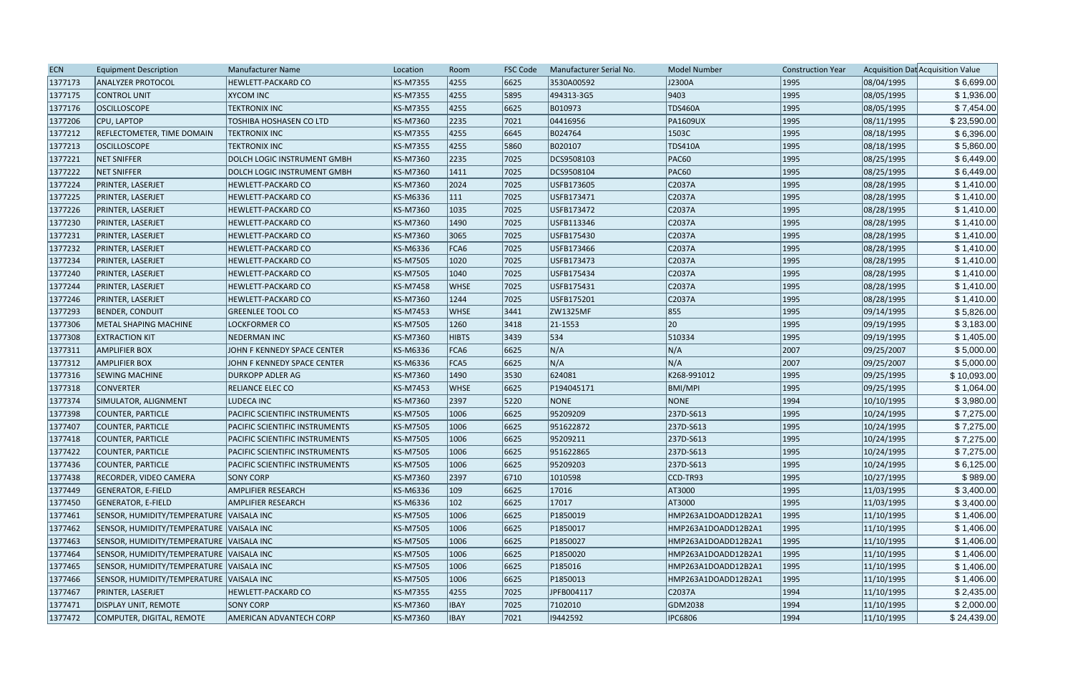| <b>ECN</b> | <b>Equipment Description</b>             | Manufacturer Name                     | Location        | Room          | <b>FSC Code</b> | Manufacturer Serial No. | <b>Model Number</b> | <b>Construction Year</b> |            | Acquisition Dat Acquisition Value |
|------------|------------------------------------------|---------------------------------------|-----------------|---------------|-----------------|-------------------------|---------------------|--------------------------|------------|-----------------------------------|
| 1377173    | <b>ANALYZER PROTOCOL</b>                 | HEWLETT-PACKARD CO                    | <b>KS-M7355</b> | 4255          | 6625            | 3530A00592              | J2300A              | 1995                     | 08/04/1995 | \$6,699.00                        |
| 1377175    | CONTROL UNIT                             | <b>XYCOM INC</b>                      | <b>KS-M7355</b> | 4255          | 5895            | 494313-3G5              | 9403                | 1995                     | 08/05/1995 | \$1,936.00                        |
| 1377176    | <b>OSCILLOSCOPE</b>                      | <b>TEKTRONIX INC</b>                  | <b>KS-M7355</b> | 4255          | 6625            | B010973                 | <b>TDS460A</b>      | 1995                     | 08/05/1995 | \$7,454.00                        |
| 1377206    | CPU, LAPTOP                              | <b>TOSHIBA HOSHASEN CO LTD</b>        | KS-M7360        | 2235          | 7021            | 04416956                | <b>PA1609UX</b>     | 1995                     | 08/11/1995 | \$23,590.00                       |
| 1377212    | <b>REFLECTOMETER, TIME DOMAIN</b>        | <b>TEKTRONIX INC</b>                  | <b>KS-M7355</b> | 4255          | 6645            | B024764                 | 1503C               | 1995                     | 08/18/1995 | \$6,396.00                        |
| 1377213    | <b>OSCILLOSCOPE</b>                      | <b>TEKTRONIX INC</b>                  | <b>KS-M7355</b> | 4255          | 5860            | B020107                 | <b>TDS410A</b>      | 1995                     | 08/18/1995 | \$5,860.00                        |
| 1377221    | NET SNIFFER                              | DOLCH LOGIC INSTRUMENT GMBH           | <b>KS-M7360</b> | 2235          | 7025            | DCS9508103              | <b>PAC60</b>        | 1995                     | 08/25/1995 | \$6,449.00                        |
| 1377222    | <b>NET SNIFFER</b>                       | DOLCH LOGIC INSTRUMENT GMBH           | KS-M7360        | 1411          | 7025            | DCS9508104              | <b>PAC60</b>        | 1995                     | 08/25/1995 | \$6,449.00                        |
| 1377224    | PRINTER, LASERJET                        | <b>HEWLETT-PACKARD CO</b>             | KS-M7360        | 2024          | 7025            | USFB173605              | C2037A              | 1995                     | 08/28/1995 | \$1,410.00                        |
| 1377225    | PRINTER, LASERJET                        | <b>HEWLETT-PACKARD CO</b>             | KS-M6336        | 111           | 7025            | USFB173471              | C2037A              | 1995                     | 08/28/1995 | \$1,410.00                        |
| 1377226    | PRINTER, LASERJET                        | <b>HEWLETT-PACKARD CO</b>             | KS-M7360        | 1035          | 7025            | USFB173472              | C2037A              | 1995                     | 08/28/1995 | \$1,410.00                        |
| 1377230    | PRINTER, LASERJET                        | HEWLETT-PACKARD CO                    | <b>KS-M7360</b> | 1490          | 7025            | USFB113346              | C2037A              | 1995                     | 08/28/1995 | \$1,410.00                        |
| 1377231    | PRINTER, LASERJET                        | <b>HEWLETT-PACKARD CO</b>             | <b>KS-M7360</b> | 3065          | 7025            | USFB175430              | C2037A              | 1995                     | 08/28/1995 | \$1,410.00                        |
| 1377232    | PRINTER, LASERJET                        | HEWLETT-PACKARD CO                    | KS-M6336        | FCA6          | 7025            | USFB173466              | C2037A              | 1995                     | 08/28/1995 | \$1,410.00                        |
| 1377234    | PRINTER, LASERJET                        | <b>HEWLETT-PACKARD CO</b>             | <b>KS-M7505</b> | 1020          | 7025            | USFB173473              | C2037A              | 1995                     | 08/28/1995 | \$1,410.00                        |
| 1377240    | PRINTER, LASERJET                        | <b>HEWLETT-PACKARD CO</b>             | <b>KS-M7505</b> | 1040          | 7025            | USFB175434              | C2037A              | 1995                     | 08/28/1995 | \$1,410.00                        |
| 1377244    | PRINTER, LASERJET                        | <b>HEWLETT-PACKARD CO</b>             | <b>KS-M7458</b> | <b>WHSE</b>   | 7025            | USFB175431              | C2037A              | 1995                     | 08/28/1995 | \$1,410.00                        |
| 1377246    | PRINTER, LASERJET                        | <b>HEWLETT-PACKARD CO</b>             | KS-M7360        | 1244          | 7025            | USFB175201              | C2037A              | 1995                     | 08/28/1995 | \$1,410.00                        |
| 1377293    | BENDER, CONDUIT                          | <b>GREENLEE TOOL CO</b>               | <b>KS-M7453</b> | <b>WHSE</b>   | 3441            | ZW1325MF                | 855                 | 1995                     | 09/14/1995 | \$5,826.00                        |
| 1377306    | METAL SHAPING MACHINE                    | <b>LOCKFORMER CO</b>                  | <b>KS-M7505</b> | 1260          | 3418            | 21-1553                 | 20                  | 1995                     | 09/19/1995 | \$3,183.00                        |
| 1377308    | <b>EXTRACTION KIT</b>                    | <b>NEDERMAN INC</b>                   | <b>KS-M7360</b> | <b>HIBTS</b>  | 3439            | 534                     | 510334              | 1995                     | 09/19/1995 | \$1,405.00                        |
| 1377311    | <b>AMPLIFIER BOX</b>                     | JOHN F KENNEDY SPACE CENTER           | <b>KS-M6336</b> | FCA6          | 6625            | N/A                     | N/A                 | 2007                     | 09/25/2007 | \$5,000.00                        |
| 1377312    | <b>AMPLIFIER BOX</b>                     | JOHN F KENNEDY SPACE CENTER           | KS-M6336        | FCA5          | 6625            | N/A                     | N/A                 | 2007                     | 09/25/2007 | \$5,000.00                        |
| 1377316    | <b>SEWING MACHINE</b>                    | <b>DURKOPP ADLER AG</b>               | <b>KS-M7360</b> | 1490          | 3530            | 624081                  | K268-991012         | 1995                     | 09/25/1995 | \$10,093.00                       |
| 1377318    | <b>CONVERTER</b>                         | RELIANCE ELEC CO                      | <b>KS-M7453</b> | <b>WHSE</b>   | 6625            | P194045171              | BMI/MPI             | 1995                     | 09/25/1995 | \$1,064.00                        |
| 1377374    | SIMULATOR, ALIGNMENT                     | LUDECA INC                            | <b>KS-M7360</b> | 2397          | 5220            | NONE                    | NONE                | 1994                     | 10/10/1995 | \$3,980.00                        |
| 1377398    | COUNTER, PARTICLE                        | PACIFIC SCIENTIFIC INSTRUMENTS        | <b>KS-M7505</b> | 1006          | 6625            | 95209209                | 237D-S613           | 1995                     | 10/24/1995 | \$7,275.00                        |
| 1377407    | COUNTER, PARTICLE                        | <b>PACIFIC SCIENTIFIC INSTRUMENTS</b> | <b>KS-M7505</b> | 1006          | 6625            | 951622872               | 237D-S613           | 1995                     | 10/24/1995 | \$7,275.00                        |
| 1377418    | COUNTER, PARTICLE                        | PACIFIC SCIENTIFIC INSTRUMENTS        | <b>KS-M7505</b> | 1006          | 6625            | 95209211                | 237D-S613           | 1995                     | 10/24/1995 | \$7,275.00                        |
| 1377422    | COUNTER, PARTICLE                        | PACIFIC SCIENTIFIC INSTRUMENTS        | <b>KS-M7505</b> | 1006          | 6625            | 951622865               | 237D-S613           | 1995                     | 10/24/1995 | \$7,275.00                        |
| 1377436    | COUNTER, PARTICLE                        | PACIFIC SCIENTIFIC INSTRUMENTS        | <b>KS-M7505</b> | 1006          | 6625            | 95209203                | 237D-S613           | 1995                     | 10/24/1995 | \$6,125.00                        |
| 1377438    | RECORDER, VIDEO CAMERA                   | <b>SONY CORP</b>                      | KS-M7360        | 2397          | 6710            | 1010598                 | CCD-TR93            | 1995                     | 10/27/1995 | \$989.00                          |
| 1377449    | <b>GENERATOR, E-FIELD</b>                | <b>AMPLIFIER RESEARCH</b>             | KS-M6336        | $ 109\rangle$ | 6625            | 17016                   | AT3000              | 1995                     | 11/03/1995 | \$3,400.00                        |
| 1377450    | <b>GENERATOR, E-FIELD</b>                | <b>AMPLIFIER RESEARCH</b>             | KS-M6336        | $ 102\rangle$ | 6625            | 17017                   | AT3000              | 1995                     | 11/03/1995 | \$3,400.00                        |
| 1377461    | SENSOR, HUMIDITY/TEMPERATURE VAISALA INC |                                       | <b>KS-M7505</b> | 1006          | 6625            | P1850019                | HMP263A1DOADD12B2A1 | 1995                     | 11/10/1995 | \$1,406.00                        |
| 1377462    | SENSOR, HUMIDITY/TEMPERATURE VAISALA INC |                                       | <b>KS-M7505</b> | 1006          | 6625            | P1850017                | HMP263A1DOADD12B2A1 | 1995                     | 11/10/1995 | \$1,406.00                        |
| 1377463    | SENSOR, HUMIDITY/TEMPERATURE VAISALA INC |                                       | <b>KS-M7505</b> | 1006          | 6625            | P1850027                | HMP263A1DOADD12B2A1 | 1995                     | 11/10/1995 | \$1,406.00                        |
| 1377464    | SENSOR, HUMIDITY/TEMPERATURE VAISALA INC |                                       | <b>KS-M7505</b> | 1006          | 6625            | P1850020                | HMP263A1DOADD12B2A1 | 1995                     | 11/10/1995 | \$1,406.00                        |
| 1377465    | SENSOR, HUMIDITY/TEMPERATURE VAISALA INC |                                       | <b>KS-M7505</b> | 1006          | 6625            | P185016                 | HMP263A1DOADD12B2A1 | 1995                     | 11/10/1995 | \$1,406.00                        |
| 1377466    | SENSOR, HUMIDITY/TEMPERATURE VAISALA INC |                                       | <b>KS-M7505</b> | 1006          | 6625            | P1850013                | HMP263A1DOADD12B2A1 | 1995                     | 11/10/1995 | \$1,406.00                        |
| 1377467    | PRINTER, LASERJET                        | <b>HEWLETT-PACKARD CO</b>             | <b>KS-M7355</b> | 4255          | 7025            | JPFB004117              | C2037A              | 1994                     | 11/10/1995 | \$2,435.00                        |
| 1377471    | <b>DISPLAY UNIT, REMOTE</b>              | <b>SONY CORP</b>                      | KS-M7360        | <b>IBAY</b>   | 7025            | 7102010                 | GDM2038             | 1994                     | 11/10/1995 | \$2,000.00                        |
| 1377472    | COMPUTER, DIGITAL, REMOTE                | AMERICAN ADVANTECH CORP               | KS-M7360        | <b>IBAY</b>   | 7021            | 19442592                | IPC6806             | 1994                     | 11/10/1995 | \$24,439.00                       |
|            |                                          |                                       |                 |               |                 |                         |                     |                          |            |                                   |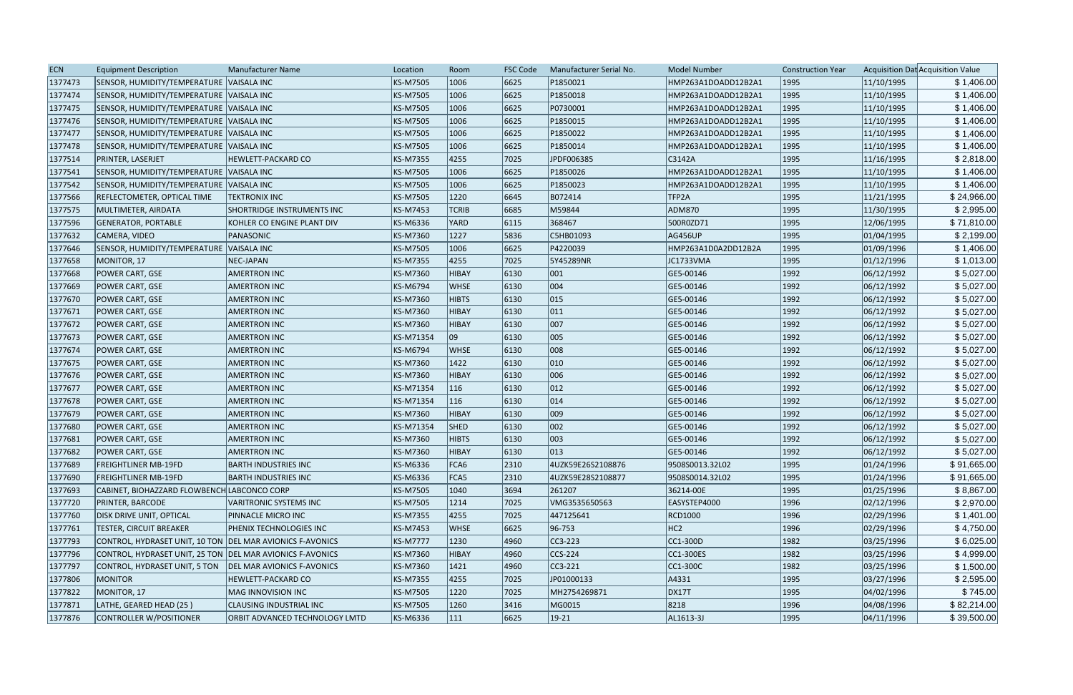| 1377473<br>6625<br>SENSOR, HUMIDITY/TEMPERATURE VAISALA INC<br>KS-M7505<br>1006<br>P1850021<br>11/10/1995<br>HMP263A1DOADD12B2A1<br>1995<br>1377474<br>6625<br>P1850018<br>1995<br>SENSOR, HUMIDITY/TEMPERATURE VAISALA INC<br>KS-M7505<br>1006<br>HMP263A1DOADD12B2A1<br>11/10/1995<br>1377475<br>P0730001<br>1995<br>SENSOR, HUMIDITY/TEMPERATURE VAISALA INC<br><b>KS-M7505</b><br>1006<br>6625<br>HMP263A1DOADD12B2A1<br>11/10/1995<br>1377476<br>SENSOR, HUMIDITY/TEMPERATURE VAISALA INC<br>KS-M7505<br>1006<br>6625<br>P1850015<br>1995<br>11/10/1995<br>HMP263A1DOADD12B2A1<br>1377477<br>1006<br>6625<br>P1850022<br>1995<br>SENSOR, HUMIDITY/TEMPERATURE VAISALA INC<br>KS-M7505<br>HMP263A1DOADD12B2A1<br>11/10/1995<br>P1850014<br>1995<br>1377478<br>KS-M7505<br>1006<br>6625<br>11/10/1995<br>SENSOR, HUMIDITY/TEMPERATURE VAISALA INC<br>HMP263A1DOADD12B2A1<br>1377514<br>4255<br>7025<br>11/16/1995<br><b>PRINTER, LASERJET</b><br><b>HEWLETT-PACKARD CO</b><br>KS-M7355<br>JPDF006385<br>C3142A<br>1995<br>1377541<br>6625<br>P1850026<br>11/10/1995<br>SENSOR, HUMIDITY/TEMPERATURE VAISALA INC<br>KS-M7505<br>1006<br>HMP263A1DOADD12B2A1<br>1995<br>1377542<br>6625<br>P1850023<br>1995<br>SENSOR, HUMIDITY/TEMPERATURE VAISALA INC<br>KS-M7505<br>1006<br>HMP263A1DOADD12B2A1<br>11/10/1995<br>1377566<br>1995<br><b>TEKTRONIX INC</b><br>KS-M7505<br>1220<br>6645<br>B072414<br>TFP2A<br>11/21/1995<br><b>REFLECTOMETER, OPTICAL TIME</b> | \$1,406.00<br>\$1,406.00<br>\$1,406.00<br>\$1,406.00<br>\$1,406.00<br>\$2,818.00<br>\$1,406.00<br>\$1,406.00<br>\$24,966.00<br>\$2,995.00<br>\$71,810.00<br>\$2,199.00<br>\$1,406.00<br>\$1,013.00 |
|------------------------------------------------------------------------------------------------------------------------------------------------------------------------------------------------------------------------------------------------------------------------------------------------------------------------------------------------------------------------------------------------------------------------------------------------------------------------------------------------------------------------------------------------------------------------------------------------------------------------------------------------------------------------------------------------------------------------------------------------------------------------------------------------------------------------------------------------------------------------------------------------------------------------------------------------------------------------------------------------------------------------------------------------------------------------------------------------------------------------------------------------------------------------------------------------------------------------------------------------------------------------------------------------------------------------------------------------------------------------------------------------------------------------------------------------------------------|----------------------------------------------------------------------------------------------------------------------------------------------------------------------------------------------------|
|                                                                                                                                                                                                                                                                                                                                                                                                                                                                                                                                                                                                                                                                                                                                                                                                                                                                                                                                                                                                                                                                                                                                                                                                                                                                                                                                                                                                                                                                  |                                                                                                                                                                                                    |
|                                                                                                                                                                                                                                                                                                                                                                                                                                                                                                                                                                                                                                                                                                                                                                                                                                                                                                                                                                                                                                                                                                                                                                                                                                                                                                                                                                                                                                                                  | \$1,406.00                                                                                                                                                                                         |
|                                                                                                                                                                                                                                                                                                                                                                                                                                                                                                                                                                                                                                                                                                                                                                                                                                                                                                                                                                                                                                                                                                                                                                                                                                                                                                                                                                                                                                                                  |                                                                                                                                                                                                    |
|                                                                                                                                                                                                                                                                                                                                                                                                                                                                                                                                                                                                                                                                                                                                                                                                                                                                                                                                                                                                                                                                                                                                                                                                                                                                                                                                                                                                                                                                  |                                                                                                                                                                                                    |
|                                                                                                                                                                                                                                                                                                                                                                                                                                                                                                                                                                                                                                                                                                                                                                                                                                                                                                                                                                                                                                                                                                                                                                                                                                                                                                                                                                                                                                                                  |                                                                                                                                                                                                    |
|                                                                                                                                                                                                                                                                                                                                                                                                                                                                                                                                                                                                                                                                                                                                                                                                                                                                                                                                                                                                                                                                                                                                                                                                                                                                                                                                                                                                                                                                  |                                                                                                                                                                                                    |
|                                                                                                                                                                                                                                                                                                                                                                                                                                                                                                                                                                                                                                                                                                                                                                                                                                                                                                                                                                                                                                                                                                                                                                                                                                                                                                                                                                                                                                                                  |                                                                                                                                                                                                    |
|                                                                                                                                                                                                                                                                                                                                                                                                                                                                                                                                                                                                                                                                                                                                                                                                                                                                                                                                                                                                                                                                                                                                                                                                                                                                                                                                                                                                                                                                  |                                                                                                                                                                                                    |
|                                                                                                                                                                                                                                                                                                                                                                                                                                                                                                                                                                                                                                                                                                                                                                                                                                                                                                                                                                                                                                                                                                                                                                                                                                                                                                                                                                                                                                                                  |                                                                                                                                                                                                    |
|                                                                                                                                                                                                                                                                                                                                                                                                                                                                                                                                                                                                                                                                                                                                                                                                                                                                                                                                                                                                                                                                                                                                                                                                                                                                                                                                                                                                                                                                  |                                                                                                                                                                                                    |
| 1377575<br><b>SHORTRIDGE INSTRUMENTS INC</b><br>KS-M7453<br><b>TCRIB</b><br>6685<br>M59844<br><b>ADM870</b><br>1995<br>11/30/1995<br>MULTIMETER, AIRDATA                                                                                                                                                                                                                                                                                                                                                                                                                                                                                                                                                                                                                                                                                                                                                                                                                                                                                                                                                                                                                                                                                                                                                                                                                                                                                                         |                                                                                                                                                                                                    |
| 1377596<br>6115<br>368467<br>1995<br><b>GENERATOR, PORTABLE</b><br>KOHLER CO ENGINE PLANT DIV<br>KS-M6336<br>YARD<br>500R0ZD71<br>12/06/1995                                                                                                                                                                                                                                                                                                                                                                                                                                                                                                                                                                                                                                                                                                                                                                                                                                                                                                                                                                                                                                                                                                                                                                                                                                                                                                                     |                                                                                                                                                                                                    |
| 1377632<br>CAMERA, VIDEO<br>1227<br>5836<br>C5HB01093<br><b>AG456UP</b><br>1995<br>01/04/1995<br>PANASONIC<br>KS-M7360                                                                                                                                                                                                                                                                                                                                                                                                                                                                                                                                                                                                                                                                                                                                                                                                                                                                                                                                                                                                                                                                                                                                                                                                                                                                                                                                           |                                                                                                                                                                                                    |
| P4220039<br>1995<br>01/09/1996<br>1377646<br>SENSOR, HUMIDITY/TEMPERATURE VAISALA INC<br>KS-M7505<br>1006<br>6625<br>HMP263A1D0A2DD12B2A                                                                                                                                                                                                                                                                                                                                                                                                                                                                                                                                                                                                                                                                                                                                                                                                                                                                                                                                                                                                                                                                                                                                                                                                                                                                                                                         |                                                                                                                                                                                                    |
| 1377658<br>4255<br>5Y45289NR<br>1995<br>01/12/1996<br>MONITOR, 17<br>NEC-JAPAN<br><b>KS-M7355</b><br>7025<br>JC1733VMA                                                                                                                                                                                                                                                                                                                                                                                                                                                                                                                                                                                                                                                                                                                                                                                                                                                                                                                                                                                                                                                                                                                                                                                                                                                                                                                                           |                                                                                                                                                                                                    |
| 1377668<br><b>AMERTRON INC</b><br>KS-M7360<br>HIBAY<br>6130<br>$ 001\rangle$<br>GE5-00146<br>1992<br>06/12/1992<br>POWER CART, GSE                                                                                                                                                                                                                                                                                                                                                                                                                                                                                                                                                                                                                                                                                                                                                                                                                                                                                                                                                                                                                                                                                                                                                                                                                                                                                                                               | \$5,027.00                                                                                                                                                                                         |
| 004<br>1377669<br><b>AMERTRON INC</b><br>6130<br>GE5-00146<br>1992<br>06/12/1992<br><b>POWER CART, GSE</b><br>KS-M6794<br>WHSE                                                                                                                                                                                                                                                                                                                                                                                                                                                                                                                                                                                                                                                                                                                                                                                                                                                                                                                                                                                                                                                                                                                                                                                                                                                                                                                                   | \$5,027.00                                                                                                                                                                                         |
| 6130<br> 015<br>GE5-00146<br>1992<br>06/12/1992<br>1377670<br><b>POWER CART, GSE</b><br><b>AMERTRON INC</b><br>KS-M7360<br><b>HIBTS</b>                                                                                                                                                                                                                                                                                                                                                                                                                                                                                                                                                                                                                                                                                                                                                                                                                                                                                                                                                                                                                                                                                                                                                                                                                                                                                                                          | \$5,027.00                                                                                                                                                                                         |
| 6130<br>$ 011\rangle$<br>1992<br>06/12/1992<br>1377671<br>POWER CART, GSE<br><b>AMERTRON INC</b><br>KS-M7360<br>HIBAY<br>GE5-00146                                                                                                                                                                                                                                                                                                                                                                                                                                                                                                                                                                                                                                                                                                                                                                                                                                                                                                                                                                                                                                                                                                                                                                                                                                                                                                                               | \$5,027.00                                                                                                                                                                                         |
| 007<br>1377672<br><b>AMERTRON INC</b><br>6130<br>1992<br>06/12/1992<br>POWER CART, GSE<br>KS-M7360<br>HIBAY<br>GE5-00146                                                                                                                                                                                                                                                                                                                                                                                                                                                                                                                                                                                                                                                                                                                                                                                                                                                                                                                                                                                                                                                                                                                                                                                                                                                                                                                                         | \$5,027.00                                                                                                                                                                                         |
| 005<br>09<br>1992<br>1377673<br><b>AMERTRON INC</b><br>KS-M71354<br>6130<br>GE5-00146<br>06/12/1992<br><b>POWER CART, GSE</b>                                                                                                                                                                                                                                                                                                                                                                                                                                                                                                                                                                                                                                                                                                                                                                                                                                                                                                                                                                                                                                                                                                                                                                                                                                                                                                                                    | \$5,027.00                                                                                                                                                                                         |
| 008<br>1377674<br>6130<br>1992<br>06/12/1992<br>POWER CART, GSE<br><b>AMERTRON INC</b><br>KS-M6794<br>GE5-00146<br><b>WHSE</b>                                                                                                                                                                                                                                                                                                                                                                                                                                                                                                                                                                                                                                                                                                                                                                                                                                                                                                                                                                                                                                                                                                                                                                                                                                                                                                                                   | \$5,027.00                                                                                                                                                                                         |
| $ 010\rangle$<br>1992<br>1377675<br><b>AMERTRON INC</b><br>KS-M7360<br>$ 1422\rangle$<br>6130<br>GE5-00146<br>06/12/1992<br><b>POWER CART, GSE</b>                                                                                                                                                                                                                                                                                                                                                                                                                                                                                                                                                                                                                                                                                                                                                                                                                                                                                                                                                                                                                                                                                                                                                                                                                                                                                                               | \$5,027.00                                                                                                                                                                                         |
| 006<br>6130<br>1992<br>1377676<br>POWER CART, GSE<br><b>AMERTRON INC</b><br>KS-M7360<br>HIBAY<br>GE5-00146<br>06/12/1992                                                                                                                                                                                                                                                                                                                                                                                                                                                                                                                                                                                                                                                                                                                                                                                                                                                                                                                                                                                                                                                                                                                                                                                                                                                                                                                                         | \$5,027.00                                                                                                                                                                                         |
| $ 012\rangle$<br>1992<br>06/12/1992<br>1377677<br><b>AMERTRON INC</b><br>KS-M71354<br>116<br>6130<br>GE5-00146<br>POWER CART, GSE                                                                                                                                                                                                                                                                                                                                                                                                                                                                                                                                                                                                                                                                                                                                                                                                                                                                                                                                                                                                                                                                                                                                                                                                                                                                                                                                | \$5,027.00                                                                                                                                                                                         |
| 014<br>1377678<br><b>POWER CART, GSE</b><br><b>AMERTRON INC</b><br>KS-M71354<br>116<br>6130<br>GE5-00146<br>1992<br>06/12/1992                                                                                                                                                                                                                                                                                                                                                                                                                                                                                                                                                                                                                                                                                                                                                                                                                                                                                                                                                                                                                                                                                                                                                                                                                                                                                                                                   | \$5,027.00                                                                                                                                                                                         |
| 009<br>1377679<br>KS-M7360<br>6130<br>1992<br><b>POWER CART, GSE</b><br><b>AMERTRON INC</b><br>HIBAY<br>GE5-00146<br>06/12/1992                                                                                                                                                                                                                                                                                                                                                                                                                                                                                                                                                                                                                                                                                                                                                                                                                                                                                                                                                                                                                                                                                                                                                                                                                                                                                                                                  | \$5,027.00                                                                                                                                                                                         |
| 002<br>1377680<br><b>SHED</b><br>1992<br>06/12/1992<br>POWER CART, GSE<br><b>AMERTRON INC</b><br>KS-M71354<br>6130<br>GE5-00146                                                                                                                                                                                                                                                                                                                                                                                                                                                                                                                                                                                                                                                                                                                                                                                                                                                                                                                                                                                                                                                                                                                                                                                                                                                                                                                                  | \$5,027.00                                                                                                                                                                                         |
| 003<br>1992<br>1377681<br>POWER CART, GSE<br><b>AMERTRON INC</b><br>KS-M7360<br><b>HIBTS</b><br>6130<br>GE5-00146<br>06/12/1992                                                                                                                                                                                                                                                                                                                                                                                                                                                                                                                                                                                                                                                                                                                                                                                                                                                                                                                                                                                                                                                                                                                                                                                                                                                                                                                                  | \$5,027.00                                                                                                                                                                                         |
| $ 013\rangle$<br> 1992 <br>1377682<br><b>AMERTRON INC</b><br>KS-M7360<br>HIBAY<br>6130<br>GE5-00146<br>06/12/1992<br><b>POWER CART, GSE</b>                                                                                                                                                                                                                                                                                                                                                                                                                                                                                                                                                                                                                                                                                                                                                                                                                                                                                                                                                                                                                                                                                                                                                                                                                                                                                                                      | \$5,027.00                                                                                                                                                                                         |
| FCA6<br>1377689<br>KS-M6336<br>2310<br>9508S0013.32L02<br>1995<br> 01/24/1996 <br><b>FREIGHTLINER MB-19FD</b><br><b>BARTH INDUSTRIES INC</b><br>4UZK59E26S2108876                                                                                                                                                                                                                                                                                                                                                                                                                                                                                                                                                                                                                                                                                                                                                                                                                                                                                                                                                                                                                                                                                                                                                                                                                                                                                                | \$91,665.00                                                                                                                                                                                        |
| 01/24/1996<br>1377690<br>KS-M6336<br>FCA5<br>2310<br>4UZK59E28S2108877<br>9508S0014.32L02<br>1995<br><b>FREIGHTLINER MB-19FD</b><br><b>BARTH INDUSTRIES INC</b>                                                                                                                                                                                                                                                                                                                                                                                                                                                                                                                                                                                                                                                                                                                                                                                                                                                                                                                                                                                                                                                                                                                                                                                                                                                                                                  | \$91,665.00                                                                                                                                                                                        |
| 1377693<br>KS-M7505<br>3694<br>261207<br>36214-00E<br>1995<br>01/25/1996<br>CABINET, BIOHAZZARD FLOWBENCH LABCONCO CORP<br>1040                                                                                                                                                                                                                                                                                                                                                                                                                                                                                                                                                                                                                                                                                                                                                                                                                                                                                                                                                                                                                                                                                                                                                                                                                                                                                                                                  | \$8,867.00                                                                                                                                                                                         |
| 1377720<br>1996<br><b>PRINTER, BARCODE</b><br>KS-M7505<br>1214<br>7025<br>VMG3535650563<br>EASYSTEP4000<br>02/12/1996<br>VARITRONIC SYSTEMS INC                                                                                                                                                                                                                                                                                                                                                                                                                                                                                                                                                                                                                                                                                                                                                                                                                                                                                                                                                                                                                                                                                                                                                                                                                                                                                                                  | \$2,970.00                                                                                                                                                                                         |
| 02/29/1996<br>1377760<br>KS-M7355<br>4255<br>7025<br>447125641<br>RCD1000<br>1996<br><b>DISK DRIVE UNIT, OPTICAL</b><br>PINNACLE MICRO INC                                                                                                                                                                                                                                                                                                                                                                                                                                                                                                                                                                                                                                                                                                                                                                                                                                                                                                                                                                                                                                                                                                                                                                                                                                                                                                                       | \$1,401.00                                                                                                                                                                                         |
| 1377761<br><b>TESTER, CIRCUIT BREAKER</b><br>KS-M7453<br>$ 96 - 753$<br>HC2<br>1996<br>02/29/1996<br>PHENIX TECHNOLOGIES INC<br><b>WHSE</b><br>6625                                                                                                                                                                                                                                                                                                                                                                                                                                                                                                                                                                                                                                                                                                                                                                                                                                                                                                                                                                                                                                                                                                                                                                                                                                                                                                              | \$4,750.00                                                                                                                                                                                         |
| 1377793<br>CONTROL, HYDRASET UNIT, 10 TON DEL MAR AVIONICS F-AVONICS<br><b>KS-M7777</b><br>4960<br>$CC3-223$<br>$ CC1-300D$<br>1982<br>03/25/1996<br>1230                                                                                                                                                                                                                                                                                                                                                                                                                                                                                                                                                                                                                                                                                                                                                                                                                                                                                                                                                                                                                                                                                                                                                                                                                                                                                                        | \$6,025.00                                                                                                                                                                                         |
| 1377796<br>CONTROL, HYDRASET UNIT, 25 TON DEL MAR AVIONICS F-AVONICS<br>KS-M7360<br>4960<br>$CCS-224$<br>CC1-300ES<br>1982<br>03/25/1996<br><b>HIBAY</b>                                                                                                                                                                                                                                                                                                                                                                                                                                                                                                                                                                                                                                                                                                                                                                                                                                                                                                                                                                                                                                                                                                                                                                                                                                                                                                         | \$4,999.00                                                                                                                                                                                         |
| 1377797<br>03/25/1996<br>CONTROL, HYDRASET UNIT, 5 TON<br>KS-M7360<br>4960<br>$CC3-221$<br>$ CC1-300C $<br>1982<br><b>DEL MAR AVIONICS F-AVONICS</b><br>1421                                                                                                                                                                                                                                                                                                                                                                                                                                                                                                                                                                                                                                                                                                                                                                                                                                                                                                                                                                                                                                                                                                                                                                                                                                                                                                     | \$1,500.00                                                                                                                                                                                         |
| 1377806<br><b>MONITOR</b><br>4255<br>JP01000133<br>A4331<br>1995<br>03/27/1996<br><b>HEWLETT-PACKARD CO</b><br>KS-M7355<br>7025                                                                                                                                                                                                                                                                                                                                                                                                                                                                                                                                                                                                                                                                                                                                                                                                                                                                                                                                                                                                                                                                                                                                                                                                                                                                                                                                  | \$2,595.00                                                                                                                                                                                         |
| 1377822<br>MONITOR, 17<br> 1220 <br>MH2754269871<br><b>DX17T</b><br>1995<br>04/02/1996<br>MAG INNOVISION INC<br>KS-M7505<br>7025                                                                                                                                                                                                                                                                                                                                                                                                                                                                                                                                                                                                                                                                                                                                                                                                                                                                                                                                                                                                                                                                                                                                                                                                                                                                                                                                 | \$745.00                                                                                                                                                                                           |
| 8218<br>1377871<br>LATHE, GEARED HEAD (25)<br>KS-M7505<br>3416<br>1996<br>04/08/1996<br><b>CLAUSING INDUSTRIAL INC</b><br> 1260<br>MG0015                                                                                                                                                                                                                                                                                                                                                                                                                                                                                                                                                                                                                                                                                                                                                                                                                                                                                                                                                                                                                                                                                                                                                                                                                                                                                                                        | \$82,214.00                                                                                                                                                                                        |
| 1377876<br>CONTROLLER W/POSITIONER<br> 111 <br>6625<br>$ 19-21 $<br>AL1613-3J<br>1995<br>04/11/1996<br>ORBIT ADVANCED TECHNOLOGY LMTD<br>KS-M6336                                                                                                                                                                                                                                                                                                                                                                                                                                                                                                                                                                                                                                                                                                                                                                                                                                                                                                                                                                                                                                                                                                                                                                                                                                                                                                                | \$39,500.00                                                                                                                                                                                        |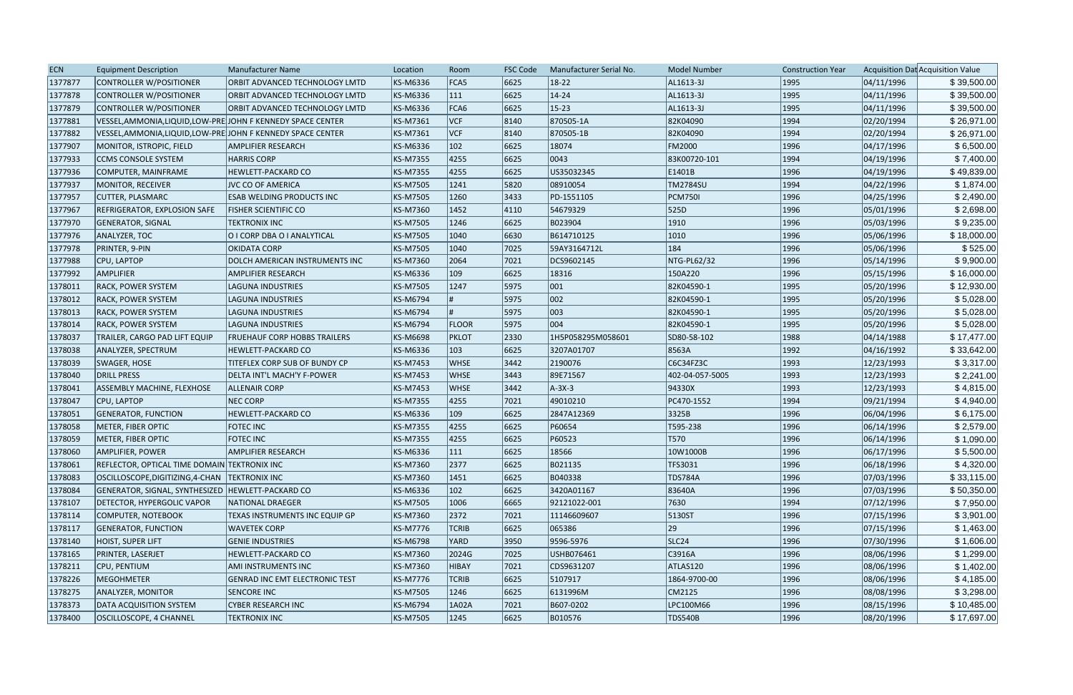| <b>ECN</b> | <b>Equipment Description</b>                                 | <b>Manufacturer Name</b>              | Location        | Room          | <b>FSC Code</b> | Manufacturer Serial No. | <b>Model Number</b> | <b>Construction Year</b> |            | Acquisition Dat Acquisition Value |
|------------|--------------------------------------------------------------|---------------------------------------|-----------------|---------------|-----------------|-------------------------|---------------------|--------------------------|------------|-----------------------------------|
| 1377877    | CONTROLLER W/POSITIONER                                      | ORBIT ADVANCED TECHNOLOGY LMTD        | KS-M6336        | FCA5          | 6625            | $18-22$                 | AL1613-3J           | 1995                     | 04/11/1996 | \$39,500.00                       |
| 1377878    | CONTROLLER W/POSITIONER                                      | ORBIT ADVANCED TECHNOLOGY LMTD        | KS-M6336        | $ 111\rangle$ | 6625            | $14 - 24$               | AL1613-3J           | 1995                     | 04/11/1996 | \$39,500.00                       |
| 1377879    | CONTROLLER W/POSITIONER                                      | ORBIT ADVANCED TECHNOLOGY LMTD        | <b>KS-M6336</b> | FCA6          | 6625            | $15-23$                 | AL1613-3J           | 1995                     | 04/11/1996 | \$39,500.00                       |
| 1377881    | VESSEL,AMMONIA,LIQUID,LOW-PRE JOHN F KENNEDY SPACE CENTER    |                                       | <b>KS-M7361</b> | VCF           | 8140            | 870505-1A               | 82K04090            | 1994                     | 02/20/1994 | \$26,971.00                       |
| 1377882    | VESSEL, AMMONIA, LIQUID, LOW-PRE JOHN F KENNEDY SPACE CENTER |                                       | KS-M7361        | VCF           | 8140            | 870505-1B               | 82K04090            | 1994                     | 02/20/1994 | \$26,971.00                       |
| 1377907    | MONITOR, ISTROPIC, FIELD                                     | <b>AMPLIFIER RESEARCH</b>             | KS-M6336        | $ 102\rangle$ | 6625            | 18074                   | <b>FM2000</b>       | 1996                     | 04/17/1996 | \$6,500.00                        |
| 1377933    | <b>CCMS CONSOLE SYSTEM</b>                                   | <b>HARRIS CORP</b>                    | KS-M7355        | 4255          | 6625            | 0043                    | 83K00720-101        | 1994                     | 04/19/1996 | \$7,400.00                        |
| 1377936    | COMPUTER, MAINFRAME                                          | <b>HEWLETT-PACKARD CO</b>             | <b>KS-M7355</b> | 4255          | 6625            | US35032345              | E1401B              | 1996                     | 04/19/1996 | \$49,839.00                       |
| 1377937    | MONITOR, RECEIVER                                            | <b>JVC CO OF AMERICA</b>              | <b>KS-M7505</b> | 1241          | 5820            | 08910054                | <b>TM2784SU</b>     | 1994                     | 04/22/1996 | \$1,874.00                        |
| 1377957    | <b>CUTTER, PLASMARC</b>                                      | <b>ESAB WELDING PRODUCTS INC</b>      | <b>KS-M7505</b> | 1260          | 3433            | PD-1551105              | <b>PCM750I</b>      | 1996                     | 04/25/1996 | \$2,490.00                        |
| 1377967    | <b>REFRIGERATOR, EXPLOSION SAFE</b>                          | <b>FISHER SCIENTIFIC CO</b>           | <b>KS-M7360</b> | 1452          | 4110            | 54679329                | 525D                | 1996                     | 05/01/1996 | \$2,698.00                        |
| 1377970    | <b>GENERATOR, SIGNAL</b>                                     | <b>TEKTRONIX INC</b>                  | <b>KS-M7505</b> | 1246          | 6625            | B023904                 | 1910                | 1996                     | 05/03/1996 | \$9,235.00                        |
| 1377976    | ANALYZER, TOC                                                | O I CORP DBA O I ANALYTICAL           | KS-M7505        | 1040          | 6630            | B614710125              | 1010                | 1996                     | 05/06/1996 | \$18,000.00                       |
| 1377978    | <b>PRINTER, 9-PIN</b>                                        | <b>OKIDATA CORP</b>                   | <b>KS-M7505</b> | 1040          | 7025            | 59AY3164712L            | 184                 | 1996                     | 05/06/1996 | \$525.00                          |
| 1377988    | CPU, LAPTOP                                                  | DOLCH AMERICAN INSTRUMENTS INC        | <b>KS-M7360</b> | 2064          | 7021            | DCS9602145              | NTG-PL62/32         | 1996                     | 05/14/1996 | \$9,900.00                        |
| 1377992    | <b>AMPLIFIER</b>                                             | AMPLIFIER RESEARCH                    | KS-M6336        | 109           | 6625            | 18316                   | 150A220             | 1996                     | 05/15/1996 | \$16,000.00                       |
| 1378011    | <b>RACK, POWER SYSTEM</b>                                    | LAGUNA INDUSTRIES                     | <b>KS-M7505</b> | 1247          | 5975            | $ 001\rangle$           | 82K04590-1          | 1995                     | 05/20/1996 | \$12,930.00                       |
| 1378012    | <b>RACK, POWER SYSTEM</b>                                    | LAGUNA INDUSTRIES                     | KS-M6794        |               | 5975            | 002                     | 82K04590-1          | 1995                     | 05/20/1996 | \$5,028.00                        |
| 1378013    | <b>RACK, POWER SYSTEM</b>                                    | <b>LAGUNA INDUSTRIES</b>              | KS-M6794        |               | 5975            | 003                     | 82K04590-1          | 1995                     | 05/20/1996 | \$5,028.00                        |
| 1378014    | <b>RACK, POWER SYSTEM</b>                                    | LAGUNA INDUSTRIES                     | <b>KS-M6794</b> | <b>FLOOR</b>  | 5975            | 004                     | 82K04590-1          | 1995                     | 05/20/1996 | \$5,028.00                        |
| 1378037    | <b>TRAILER, CARGO PAD LIFT EQUIP</b>                         | <b>FRUEHAUF CORP HOBBS TRAILERS</b>   | KS-M6698        | PKLOT         | 2330            | 1H5P058295M058601       | SD80-58-102         | 1988                     | 04/14/1988 | \$17,477.00                       |
| 1378038    | ANALYZER, SPECTRUM                                           | HEWLETT-PACKARD CO                    | <b>KS-M6336</b> | $ 103\rangle$ | 6625            | 3207A01707              | 8563A               | 1992                     | 04/16/1992 | \$33,642.00                       |
| 1378039    | SWAGER, HOSE                                                 | TITEFLEX CORP SUB OF BUNDY CP         | <b>KS-M7453</b> | <b>WHSE</b>   | $ 3442\rangle$  | 2190076                 | C6C34FZ3C           | 1993                     | 12/23/1993 | \$3,317.00                        |
| 1378040    | DRILL PRESS                                                  | DELTA INT'L MACH'Y F-POWER            | KS-M7453        | <b>WHSE</b>   | $ 3443\rangle$  | 89E71567                | 402-04-057-5005     | 1993                     | 12/23/1993 | \$2,241.00                        |
| 1378041    | ASSEMBLY MACHINE, FLEXHOSE                                   | <b>ALLENAIR CORP</b>                  | <b>KS-M7453</b> | <b>WHSE</b>   | 3442            | $A-3X-3$                | 94330X              | 1993                     | 12/23/1993 | \$4,815.00                        |
| 1378047    | CPU, LAPTOP                                                  | <b>NEC CORP</b>                       | KS-M7355        | 4255          | 7021            | 49010210                | PC470-1552          | 1994                     | 09/21/1994 | \$4,940.00                        |
| 1378051    | <b>GENERATOR, FUNCTION</b>                                   | HEWLETT-PACKARD CO                    | <b>KS-M6336</b> | $ 109\rangle$ | 6625            | 2847A12369              | 3325B               | 1996                     | 06/04/1996 | \$6,175.00                        |
| 1378058    | METER, FIBER OPTIC                                           | <b>FOTEC INC</b>                      | <b>KS-M7355</b> | 4255          | 6625            | P60654                  | T595-238            | 1996                     | 06/14/1996 | \$2,579.00                        |
| 1378059    | METER, FIBER OPTIC                                           | <b>FOTEC INC</b>                      | <b>KS-M7355</b> | 4255          | 6625            | P60523                  | T570                | 1996                     | 06/14/1996 | \$1,090.00                        |
| 1378060    | AMPLIFIER, POWER                                             | AMPLIFIER RESEARCH                    | KS-M6336        | 111           | 6625            | 18566                   | 10W1000B            | 1996                     | 06/17/1996 | \$5,500.00                        |
| 1378061    | REFLECTOR, OPTICAL TIME DOMAIN TEKTRONIX INC                 |                                       | KS-M7360        | 2377          | 6625            | B021135                 | TFS3031             | 1996                     | 06/18/1996 | \$4,320.00                        |
| 1378083    | OSCILLOSCOPE, DIGITIZING, 4-CHAN   TEKTRONIX INC             |                                       | <b>KS-M7360</b> | 1451          | 6625            | B040338                 | <b>TDS784A</b>      | 1996                     | 07/03/1996 | \$33,115.00                       |
| 1378084    | GENERATOR, SIGNAL, SYNTHESIZED   HEWLETT-PACKARD CO          |                                       | KS-M6336        | $ 102\rangle$ | 6625            | 3420A01167              | 83640A              | 1996                     | 07/03/1996 | \$50,350.00                       |
| 1378107    | <b>DETECTOR, HYPERGOLIC VAPOR</b>                            | NATIONAL DRAEGER                      | <b>KS-M7505</b> | 1006          | 6665            | 92121022-001            | 7630                | 1994                     | 07/12/1996 | \$7,950.00                        |
| 1378114    | COMPUTER, NOTEBOOK                                           | TEXAS INSTRUMENTS INC EQUIP GP        | KS-M7360        | 2372          | 7021            | 11146609607             | 5130ST              | 1996                     | 07/15/1996 | \$3,901.00                        |
| 1378117    | <b>GENERATOR, FUNCTION</b>                                   | <b>WAVETEK CORP</b>                   | <b>KS-M7776</b> | <b>TCRIB</b>  | 6625            | 065386                  | 29                  | 1996                     | 07/15/1996 | \$1,463.00                        |
| 1378140    | HOIST, SUPER LIFT                                            | <b>GENIE INDUSTRIES</b>               | <b>KS-M6798</b> | YARD          | 3950            | 9596-5976               | SLC <sub>24</sub>   | 1996                     | 07/30/1996 | \$1,606.00                        |
| 1378165    | <b>PRINTER, LASERJET</b>                                     | HEWLETT-PACKARD CO                    | <b>KS-M7360</b> | 2024G         | 7025            | USHB076461              | C3916A              | 1996                     | 08/06/1996 | \$1,299.00                        |
| 1378211    | CPU, PENTIUM                                                 | AMI INSTRUMENTS INC                   | <b>KS-M7360</b> | HIBAY         | 7021            | CDS9631207              | ATLAS120            | 1996                     | 08/06/1996 | \$1,402.00                        |
| 1378226    | <b>MEGOHMETER</b>                                            | <b>GENRAD INC EMT ELECTRONIC TEST</b> | <b>KS-M7776</b> | <b>TCRIB</b>  | 6625            | 5107917                 | 1864-9700-00        | 1996                     | 08/06/1996 | \$4,185.00                        |
| 1378275    | <b>ANALYZER, MONITOR</b>                                     | <b>SENCORE INC</b>                    | <b>KS-M7505</b> | 1246          | 6625            | 6131996M                | CM2125              | 1996                     | 08/08/1996 | \$3,298.00                        |
| 1378373    | DATA ACQUISITION SYSTEM                                      | <b>CYBER RESEARCH INC</b>             | <b>KS-M6794</b> | 1A02A         | 7021            | B607-0202               | LPC100M66           | 1996                     | 08/15/1996 | \$10,485.00                       |
| 1378400    | OSCILLOSCOPE, 4 CHANNEL                                      | <b>TEKTRONIX INC</b>                  | <b>KS-M7505</b> | 1245          | 6625            | B010576                 | <b>TDS540B</b>      | 1996                     | 08/20/1996 | \$17,697.00                       |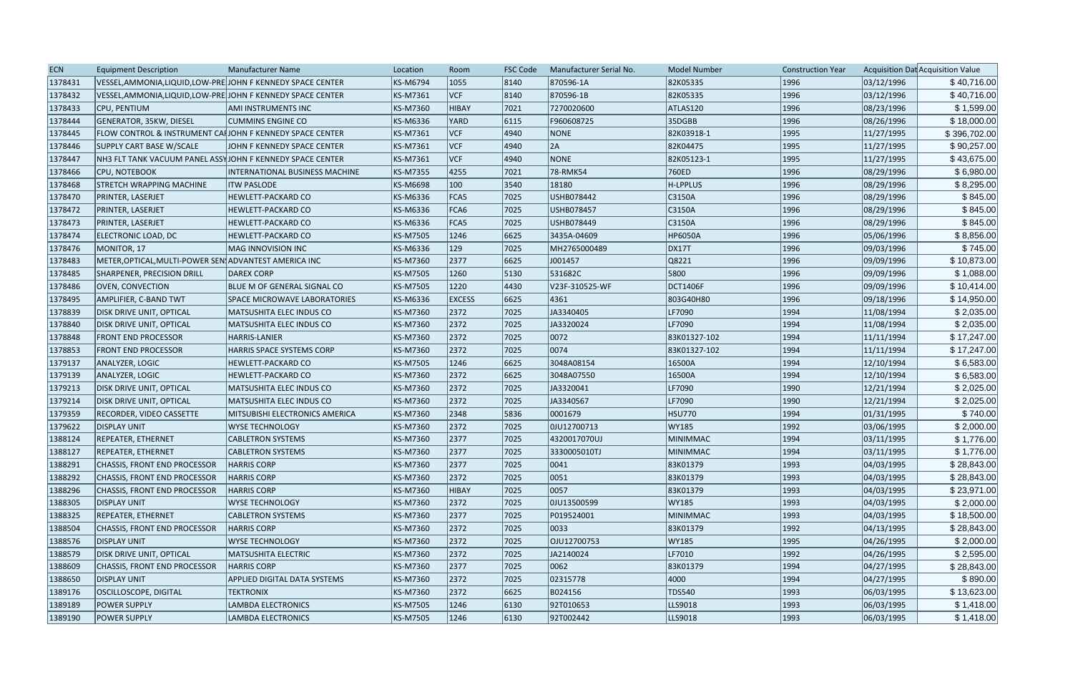| <b>ECN</b> | <b>Equipment Description</b>                                        | <b>Manufacturer Name</b>              | Location        | Room          | <b>FSC Code</b> | Manufacturer Serial No. | <b>Model Number</b> | <b>Construction Year</b> |            | Acquisition Dat Acquisition Value |
|------------|---------------------------------------------------------------------|---------------------------------------|-----------------|---------------|-----------------|-------------------------|---------------------|--------------------------|------------|-----------------------------------|
| 1378431    | VESSEL, AMMONIA, LIQUID, LOW-PRE JOHN F KENNEDY SPACE CENTER        |                                       | KS-M6794        | 1055          | 8140            | 870596-1A               | 82K05335            | 1996                     | 03/12/1996 | \$40,716.00                       |
| 1378432    | VESSEL, AMMONIA, LIQUID, LOW-PRE JOHN F KENNEDY SPACE CENTER        |                                       | KS-M7361        | <b>VCF</b>    | 8140            | 870596-1B               | 82K05335            | 1996                     | 03/12/1996 | \$40,716.00                       |
| 1378433    | CPU, PENTIUM                                                        | AMI INSTRUMENTS INC                   | KS-M7360        | HIBAY         | 7021            | 7270020600              | ATLAS120            | 1996                     | 08/23/1996 | \$1,599.00                        |
| 1378444    | GENERATOR, 35KW, DIESEL                                             | <b>CUMMINS ENGINE CO</b>              | KS-M6336        | YARD          | 6115            | F960608725              | 35DGBB              | 1996                     | 08/26/1996 | \$18,000.00                       |
| 1378445    | <b>FLOW CONTROL &amp; INSTRUMENT CALJOHN F KENNEDY SPACE CENTER</b> |                                       | KS-M7361        | VCF           | 4940            | NONE                    | 82K03918-1          | 1995                     | 11/27/1995 | \$396,702.00                      |
| 1378446    | SUPPLY CART BASE W/SCALE                                            | JOHN F KENNEDY SPACE CENTER           | KS-M7361        | VCF           | 4940            | 2A                      | 82K04475            | 1995                     | 11/27/1995 | \$90,257.00                       |
| 1378447    | NH3 FLT TANK VACUUM PANEL ASSYJOHN F KENNEDY SPACE CENTER           |                                       | KS-M7361        | <b>VCF</b>    | 4940            | <b>NONE</b>             | 82K05123-1          | 1995                     | 11/27/1995 | \$43,675.00                       |
| 1378466    | <b>CPU, NOTEBOOK</b>                                                | <b>INTERNATIONAL BUSINESS MACHINE</b> | <b>KS-M7355</b> | 4255          | 7021            | 78-RMK54                | 760ED               | 1996                     | 08/29/1996 | \$6,980.00                        |
| 1378468    | <b>STRETCH WRAPPING MACHINE</b>                                     | <b>ITW PASLODE</b>                    | KS-M6698        | 100           | 3540            | 18180                   | H-LPPLUS            | 1996                     | 08/29/1996 | \$8,295.00                        |
| 1378470    | PRINTER, LASERJET                                                   | HEWLETT-PACKARD CO                    | KS-M6336        | FCA5          | 7025            | USHB078442              | C3150A              | 1996                     | 08/29/1996 | \$845.00                          |
| 1378472    | <b>PRINTER, LASERJET</b>                                            | <b>HEWLETT-PACKARD CO</b>             | KS-M6336        | FCA6          | 7025            | USHB078457              | C3150A              | 1996                     | 08/29/1996 | \$845.00                          |
| 1378473    | <b>PRINTER, LASERJET</b>                                            | <b>HEWLETT-PACKARD CO</b>             | KS-M6336        | FCA5          | 7025            | USHB078449              | C3150A              | 1996                     | 08/29/1996 | \$845.00                          |
| 1378474    | ELECTRONIC LOAD, DC                                                 | HEWLETT-PACKARD CO                    | KS-M7505        | 1246          | 6625            | 3435A-04609             | <b>HP6050A</b>      | 1996                     | 05/06/1996 | \$8,856.00                        |
| 1378476    | MONITOR, 17                                                         | MAG INNOVISION INC                    | KS-M6336        | 129           | 7025            | MH2765000489            | <b>DX17T</b>        | 1996                     | 09/03/1996 | \$745.00                          |
| 1378483    | METER, OPTICAL, MULTI-POWER SEN ADVANTEST AMERICA INC               |                                       | KS-M7360        | 2377          | 6625            | J001457                 | Q8221               | 1996                     | 09/09/1996 | \$10,873.00                       |
| 1378485    | SHARPENER, PRECISION DRILL                                          | DAREX CORP                            | KS-M7505        | 1260          | 5130            | 531682C                 | 5800                | 1996                     | 09/09/1996 | \$1,088.00                        |
| 1378486    | <b>OVEN, CONVECTION</b>                                             | BLUE M OF GENERAL SIGNAL CO           | <b>KS-M7505</b> | 1220          | 4430            | V23F-310525-WF          | <b>DCT1406F</b>     | 1996                     | 09/09/1996 | \$10,414.00                       |
| 1378495    | AMPLIFIER, C-BAND TWT                                               | <b>SPACE MICROWAVE LABORATORIES</b>   | KS-M6336        | <b>EXCESS</b> | 6625            | 4361                    | 803G40H80           | 1996                     | 09/18/1996 | \$14,950.00                       |
| 1378839    | <b>DISK DRIVE UNIT, OPTICAL</b>                                     | MATSUSHITA ELEC INDUS CO              | KS-M7360        | 2372          | 7025            | JA3340405               | LF7090              | 1994                     | 11/08/1994 | \$2,035.00                        |
| 1378840    | <b>DISK DRIVE UNIT, OPTICAL</b>                                     | MATSUSHITA ELEC INDUS CO              | KS-M7360        | 2372          | 7025            | JA3320024               | LF7090              | 1994                     | 11/08/1994 | \$2,035.00                        |
| 1378848    | <b>FRONT END PROCESSOR</b>                                          | <b>HARRIS-LANIER</b>                  | KS-M7360        | 2372          | 7025            | 0072                    | 83K01327-102        | 1994                     | 11/11/1994 | \$17,247.00                       |
| 1378853    | <b>FRONT END PROCESSOR</b>                                          | HARRIS SPACE SYSTEMS CORP             | KS-M7360        | 2372          | 7025            | 0074                    | 83K01327-102        | 1994                     | 11/11/1994 | \$17,247.00                       |
| 1379137    | ANALYZER, LOGIC                                                     | <b>HEWLETT-PACKARD CO</b>             | KS-M7505        | 1246          | 6625            | 3048A08154              | 16500A              | 1994                     | 12/10/1994 | \$6,583.00                        |
| 1379139    | ANALYZER, LOGIC                                                     | <b>HEWLETT-PACKARD CO</b>             | KS-M7360        | 2372          | 6625            | 3048A07550              | 16500A              | 1994                     | 12/10/1994 | \$6,583.00                        |
| 1379213    | <b>DISK DRIVE UNIT, OPTICAL</b>                                     | MATSUSHITA ELEC INDUS CO              | KS-M7360        | 2372          | 7025            | JA3320041               | LF7090              | 1990                     | 12/21/1994 | \$2,025.00                        |
| 1379214    | <b>DISK DRIVE UNIT, OPTICAL</b>                                     | MATSUSHITA ELEC INDUS CO              | KS-M7360        | 2372          | 7025            | JA3340567               | LF7090              | 1990                     | 12/21/1994 | \$2,025.00                        |
| 1379359    | <b>RECORDER, VIDEO CASSETTE</b>                                     | MITSUBISHI ELECTRONICS AMERICA        | KS-M7360        | 2348          | 5836            | 0001679                 | <b>HSU770</b>       | 1994                     | 01/31/1995 | \$740.00                          |
| 1379622    | <b>DISPLAY UNIT</b>                                                 | <b>WYSE TECHNOLOGY</b>                | KS-M7360        | 2372          | 7025            | 0JU12700713             | <b>WY185</b>        | 1992                     | 03/06/1995 | \$2,000.00                        |
| 1388124    | <b>REPEATER, ETHERNET</b>                                           | <b>CABLETRON SYSTEMS</b>              | KS-M7360        | 2377          | 7025            | 4320017070UJ            | <b>MINIMMAC</b>     | 1994                     | 03/11/1995 | \$1,776.00                        |
| 1388127    | <b>REPEATER, ETHERNET</b>                                           | <b>CABLETRON SYSTEMS</b>              | KS-M7360        | 2377          | 7025            | 3330005010TJ            | <b>MINIMMAC</b>     | 1994                     | 03/11/1995 | \$1,776.00                        |
| 1388291    | CHASSIS, FRONT END PROCESSOR                                        | <b>HARRIS CORP</b>                    | KS-M7360        | 2377          | 7025            | 0041                    | 83K01379            | 1993                     | 04/03/1995 | \$28,843.00                       |
| 1388292    | CHASSIS, FRONT END PROCESSOR                                        | <b>HARRIS CORP</b>                    | KS-M7360        | 2372          | 7025            | 0051                    | 83K01379            | 1993                     | 04/03/1995 | \$28,843.00                       |
| 1388296    | CHASSIS, FRONT END PROCESSOR                                        | <b>HARRIS CORP</b>                    | KS-M7360        | HIBAY         | 7025            | 0057                    | 83K01379            | 1993                     | 04/03/1995 | \$23,971.00                       |
| 1388305    | <b>DISPLAY UNIT</b>                                                 | <b>WYSE TECHNOLOGY</b>                | KS-M7360        | 2372          | 7025            | 0JU13500599             | <b>WY185</b>        | 1993                     | 04/03/1995 | \$2,000.00                        |
| 1388325    | REPEATER, ETHERNET                                                  | <b>CABLETRON SYSTEMS</b>              | KS-M7360        | 2377          | 7025            | P019524001              | <b>MINIMMAC</b>     | 1993                     | 04/03/1995 | \$18,500.00                       |
| 1388504    | CHASSIS, FRONT END PROCESSOR                                        | <b>HARRIS CORP</b>                    | KS-M7360        | 2372          | 7025            | 0033                    | 83K01379            | 1992                     | 04/13/1995 | \$28,843.00                       |
| 1388576    | <b>DISPLAY UNIT</b>                                                 | <b>WYSE TECHNOLOGY</b>                | KS-M7360        | 2372          | 7025            | OJU12700753             | <b>WY185</b>        | 1995                     | 04/26/1995 | \$2,000.00                        |
| 1388579    | <b>DISK DRIVE UNIT, OPTICAL</b>                                     | MATSUSHITA ELECTRIC                   | KS-M7360        | 2372          | 7025            | JA2140024               | LF7010              | 1992                     | 04/26/1995 | \$2,595.00                        |
| 1388609    | CHASSIS, FRONT END PROCESSOR                                        | <b>HARRIS CORP</b>                    | KS-M7360        | 2377          | 7025            | 0062                    | 83K01379            | 1994                     | 04/27/1995 | \$28,843.00                       |
| 1388650    | <b>DISPLAY UNIT</b>                                                 | APPLIED DIGITAL DATA SYSTEMS          | KS-M7360        | 2372          | 7025            | 02315778                | 4000                | 1994                     | 04/27/1995 | \$890.00                          |
| 1389176    | <b>OSCILLOSCOPE, DIGITAL</b>                                        | <b>TEKTRONIX</b>                      | KS-M7360        | 2372          | 6625            | B024156                 | <b>TDS540</b>       | 1993                     | 06/03/1995 | \$13,623.00                       |
| 1389189    | <b>POWER SUPPLY</b>                                                 | <b>LAMBDA ELECTRONICS</b>             | KS-M7505        | 1246          | 6130            | 92T010653               | LLS9018             | 1993                     | 06/03/1995 | \$1,418.00                        |
| 1389190    | <b>POWER SUPPLY</b>                                                 | <b>LAMBDA ELECTRONICS</b>             | KS-M7505        | 1246          | 6130            | 92T002442               | LLS9018             | 1993                     | 06/03/1995 | \$1,418.00                        |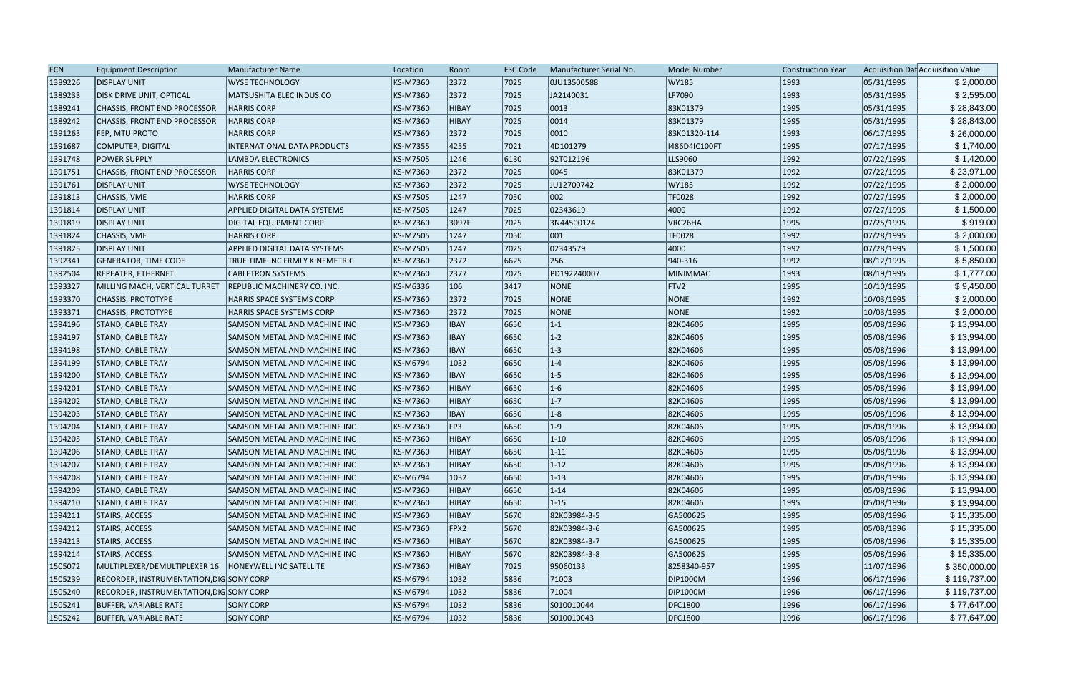| <b>ECN</b> | <b>Equipment Description</b>                    | <b>Manufacturer Name</b>            | Location | Room         | <b>FSC Code</b> | Manufacturer Serial No. | <b>Model Number</b> | <b>Construction Year</b> |            | Acquisition Dat Acquisition Value |
|------------|-------------------------------------------------|-------------------------------------|----------|--------------|-----------------|-------------------------|---------------------|--------------------------|------------|-----------------------------------|
| 1389226    | <b>DISPLAY UNIT</b>                             | <b>WYSE TECHNOLOGY</b>              | KS-M7360 | 2372         | 7025            | 0JU13500588             | <b>WY185</b>        | 1993                     | 05/31/1995 | \$2,000.00                        |
| 1389233    | <b>DISK DRIVE UNIT, OPTICAL</b>                 | MATSUSHITA ELEC INDUS CO            | KS-M7360 | 2372         | 7025            | JA2140031               | LF7090              | 1993                     | 05/31/1995 | \$2,595.00                        |
| 1389241    | CHASSIS, FRONT END PROCESSOR                    | <b>HARRIS CORP</b>                  | KS-M7360 | <b>HIBAY</b> | 7025            | 0013                    | 83K01379            | 1995                     | 05/31/1995 | \$28,843.00                       |
| 1389242    | CHASSIS, FRONT END PROCESSOR                    | <b>HARRIS CORP</b>                  | KS-M7360 | <b>HIBAY</b> | 7025            | 0014                    | 83K01379            | 1995                     | 05/31/1995 | \$28,843.00                       |
| 1391263    | FEP, MTU PROTO                                  | <b>HARRIS CORP</b>                  | KS-M7360 | 2372         | 7025            | 0010                    | 83K01320-114        | 1993                     | 06/17/1995 | \$26,000.00                       |
| 1391687    | COMPUTER, DIGITAL                               | <b>INTERNATIONAL DATA PRODUCTS</b>  | KS-M7355 | 4255         | 7021            | 4D101279                | 1486D4IC100FT       | 1995                     | 07/17/1995 | \$1,740.00                        |
| 1391748    | <b>POWER SUPPLY</b>                             | LAMBDA ELECTRONICS                  | KS-M7505 | 1246         | 6130            | 92T012196               | LLS9060             | 1992                     | 07/22/1995 | \$1,420.00                        |
| 1391751    | CHASSIS, FRONT END PROCESSOR                    | <b>HARRIS CORP</b>                  | KS-M7360 | 2372         | 7025            | 0045                    | 83K01379            | 1992                     | 07/22/1995 | \$23,971.00                       |
| 1391761    | <b>DISPLAY UNIT</b>                             | WYSE TECHNOLOGY                     | KS-M7360 | 2372         | 7025            | JU12700742              | <b>WY185</b>        | 1992                     | 07/22/1995 | \$2,000.00                        |
| 1391813    | CHASSIS, VME                                    | <b>HARRIS CORP</b>                  | KS-M7505 | 1247         | 7050            | 002                     | TF0028              | 1992                     | 07/27/1995 | \$2,000.00                        |
| 1391814    | <b>DISPLAY UNIT</b>                             | <b>APPLIED DIGITAL DATA SYSTEMS</b> | KS-M7505 | 1247         | 7025            | 02343619                | 4000                | 1992                     | 07/27/1995 | \$1,500.00                        |
| 1391819    | <b>DISPLAY UNIT</b>                             | <b>DIGITAL EQUIPMENT CORP</b>       | KS-M7360 | 3097F        | 7025            | 3N44500124              | VRC26HA             | 1995                     | 07/25/1995 | \$919.00                          |
| 1391824    | CHASSIS, VME                                    | <b>HARRIS CORP</b>                  | KS-M7505 | 1247         | 7050            | 001                     | TF0028              | 1992                     | 07/28/1995 | \$2,000.00                        |
| 1391825    | <b>DISPLAY UNIT</b>                             | <b>APPLIED DIGITAL DATA SYSTEMS</b> | KS-M7505 | 1247         | 7025            | 02343579                | 4000                | 1992                     | 07/28/1995 | \$1,500.00                        |
| 1392341    | GENERATOR, TIME CODE                            | TRUE TIME INC FRMLY KINEMETRIC      | KS-M7360 | 2372         | 6625            | 256                     | $ 940-316 $         | 1992                     | 08/12/1995 | \$5,850.00                        |
| 1392504    | REPEATER, ETHERNET                              | <b>CABLETRON SYSTEMS</b>            | KS-M7360 | 2377         | 7025            | PD192240007             | MINIMMAC            | 1993                     | 08/19/1995 | \$1,777.00                        |
| 1393327    | MILLING MACH, VERTICAL TURRET                   | <b>REPUBLIC MACHINERY CO. INC.</b>  | KS-M6336 | 106          | 3417            | NONE                    | FTV2                | 1995                     | 10/10/1995 | \$9,450.00                        |
| 1393370    | <b>CHASSIS, PROTOTYPE</b>                       | <b>HARRIS SPACE SYSTEMS CORP</b>    | KS-M7360 | 2372         | 7025            | <b>NONE</b>             | NONE                | 1992                     | 10/03/1995 | \$2,000.00                        |
| 1393371    | <b>CHASSIS, PROTOTYPE</b>                       | HARRIS SPACE SYSTEMS CORP           | KS-M7360 | 2372         | 7025            | NONE                    | NONE                | 1992                     | 10/03/1995 | \$2,000.00                        |
| 1394196    | <b>STAND, CABLE TRAY</b>                        | SAMSON METAL AND MACHINE INC        | KS-M7360 | <b>IBAY</b>  | 6650            | $ 1-1 $                 | 82K04606            | 1995                     | 05/08/1996 | \$13,994.00                       |
| 1394197    | <b>STAND, CABLE TRAY</b>                        | SAMSON METAL AND MACHINE INC        | KS-M7360 | <b>IBAY</b>  | 6650            | $1-2$                   | 82K04606            | 1995                     | 05/08/1996 | \$13,994.00                       |
| 1394198    | <b>STAND, CABLE TRAY</b>                        | SAMSON METAL AND MACHINE INC        | KS-M7360 | <b>IBAY</b>  | 6650            | $ 1-3 $                 | 82K04606            | 1995                     | 05/08/1996 | \$13,994.00                       |
| 1394199    | <b>STAND, CABLE TRAY</b>                        | SAMSON METAL AND MACHINE INC        | KS-M6794 | 1032         | 6650            | $ 1 - 4 $               | 82K04606            | 1995                     | 05/08/1996 | \$13,994.00                       |
| 1394200    | <b>STAND, CABLE TRAY</b>                        | SAMSON METAL AND MACHINE INC        | KS-M7360 | <b>IBAY</b>  | 6650            | $1-5$                   | 82K04606            | 1995                     | 05/08/1996 | \$13,994.00                       |
| 1394201    | <b>STAND, CABLE TRAY</b>                        | SAMSON METAL AND MACHINE INC        | KS-M7360 | <b>HIBAY</b> | 6650            | $1-6$                   | 82K04606            | 1995                     | 05/08/1996 | \$13,994.00                       |
| 1394202    | <b>STAND, CABLE TRAY</b>                        | SAMSON METAL AND MACHINE INC        | KS-M7360 | <b>HIBAY</b> | 6650            | $1 - 7$                 | 82K04606            | 1995                     | 05/08/1996 | \$13,994.00                       |
| 1394203    | <b>STAND, CABLE TRAY</b>                        | SAMSON METAL AND MACHINE INC        | KS-M7360 | <b>IBAY</b>  | 6650            | $ 1-8 $                 | 82K04606            | 1995                     | 05/08/1996 | \$13,994.00                       |
| 1394204    | <b>STAND, CABLE TRAY</b>                        | ISAMSON METAL AND MACHINE INC       | KS-M7360 | FP3          | 6650            | $ 1-9 $                 | 82K04606            | 1995                     | 05/08/1996 | \$13,994.00                       |
| 1394205    | <b>STAND, CABLE TRAY</b>                        | SAMSON METAL AND MACHINE INC        | KS-M7360 | <b>HIBAY</b> | 6650            | $1 - 10$                | 82K04606            | 1995                     | 05/08/1996 | \$13,994.00                       |
| 1394206    | <b>STAND, CABLE TRAY</b>                        | SAMSON METAL AND MACHINE INC        | KS-M7360 | <b>HIBAY</b> | 6650            | $1 - 11$                | 82K04606            | 1995                     | 05/08/1996 | \$13,994.00                       |
| 1394207    | <b>STAND, CABLE TRAY</b>                        | SAMSON METAL AND MACHINE INC        | KS-M7360 | <b>HIBAY</b> | 6650            | $1 - 12$                | 82K04606            | 1995                     | 05/08/1996 | \$13,994.00                       |
| 1394208    | <b>STAND, CABLE TRAY</b>                        | SAMSON METAL AND MACHINE INC        | KS-M6794 | 1032         | 6650            | $1 - 13$                | 82K04606            | 1995                     | 05/08/1996 | \$13,994.00                       |
| 1394209    | <b>STAND, CABLE TRAY</b>                        | SAMSON METAL AND MACHINE INC        | KS-M7360 | HIBAY        | 6650            | $1 - 14$                | 82K04606            | 1995                     | 05/08/1996 | \$13,994.00                       |
| 1394210    | <b>STAND, CABLE TRAY</b>                        | SAMSON METAL AND MACHINE INC        | KS-M7360 | <b>HIBAY</b> | 6650            | $ 1 - 15 $              | 82K04606            | 1995                     | 05/08/1996 | \$13,994.00                       |
| 1394211    | <b>STAIRS, ACCESS</b>                           | SAMSON METAL AND MACHINE INC        | KS-M7360 | <b>HIBAY</b> | 5670            | 82K03984-3-5            | GA500625            | 1995                     | 05/08/1996 | \$15,335.00                       |
| 1394212    | STAIRS, ACCESS                                  | SAMSON METAL AND MACHINE INC        | KS-M7360 | FPX2         | 5670            | 82K03984-3-6            | GA500625            | 1995                     | 05/08/1996 | \$15,335.00                       |
| 1394213    | STAIRS, ACCESS                                  | SAMSON METAL AND MACHINE INC        | KS-M7360 | <b>HIBAY</b> | 5670            | 82K03984-3-7            | GA500625            | 1995                     | 05/08/1996 | \$15,335.00                       |
| 1394214    | STAIRS, ACCESS                                  | SAMSON METAL AND MACHINE INC        | KS-M7360 | <b>HIBAY</b> | 5670            | 82K03984-3-8            | GA500625            | 1995                     | 05/08/1996 | \$15,335.00                       |
| 1505072    | MULTIPLEXER/DEMULTIPLEXER 16                    | HONEYWELL INC SATELLITE             | KS-M7360 | <b>HIBAY</b> | 7025            | 95060133                | 8258340-957         | 1995                     | 11/07/1996 | \$350,000.00                      |
| 1505239    | <b>RECORDER, INSTRUMENTATION, DIG SONY CORP</b> |                                     | KS-M6794 | 1032         | 5836            | 71003                   | DIP1000M            | 1996                     | 06/17/1996 | \$119,737.00                      |
| 1505240    | RECORDER, INSTRUMENTATION, DIG SONY CORP        |                                     | KS-M6794 | 1032         | 5836            | 71004                   | DIP1000M            | 1996                     | 06/17/1996 | \$119,737.00                      |
| 1505241    | <b>BUFFER, VARIABLE RATE</b>                    | <b>SONY CORP</b>                    | KS-M6794 | 1032         | 5836            | S010010044              | <b>DFC1800</b>      | 1996                     | 06/17/1996 | \$77,647.00                       |
| 1505242    | <b>BUFFER, VARIABLE RATE</b>                    | SONY CORP                           | KS-M6794 | 1032         | 5836            | S010010043              | <b>DFC1800</b>      | 1996                     | 06/17/1996 | \$77,647.00                       |
|            |                                                 |                                     |          |              |                 |                         |                     |                          |            |                                   |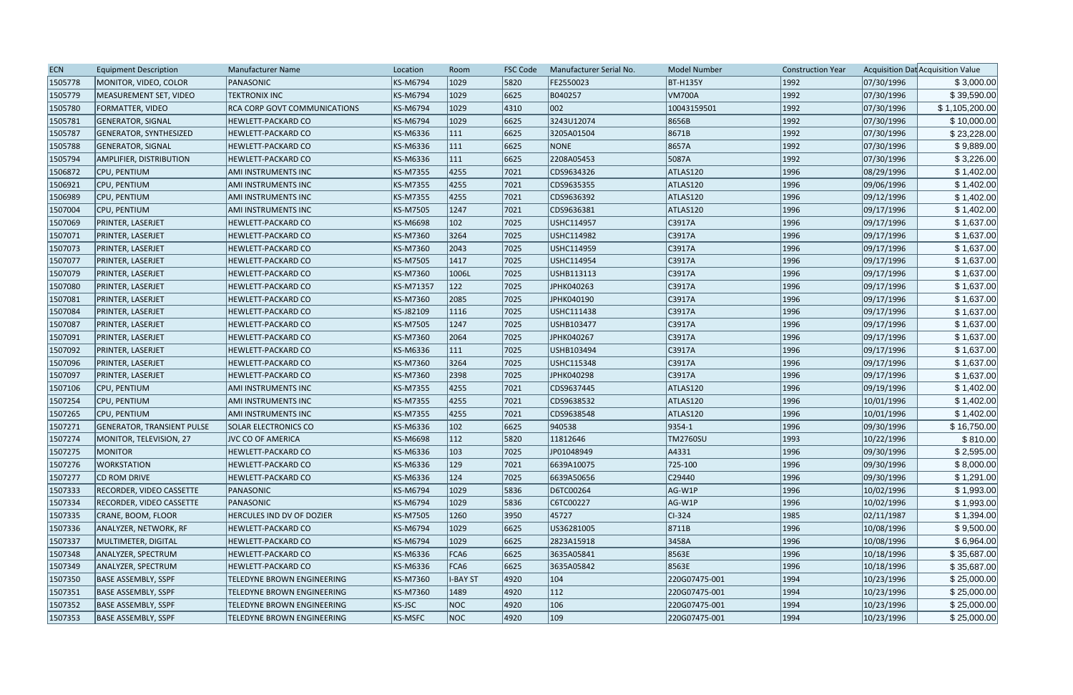| <b>ECN</b> | <b>Equipment Description</b>      | <b>Manufacturer Name</b>            | Location        | Room            | <b>FSC Code</b> | Manufacturer Serial No. | <b>Model Number</b> | <b>Construction Year</b> |            | Acquisition Dat Acquisition Value |
|------------|-----------------------------------|-------------------------------------|-----------------|-----------------|-----------------|-------------------------|---------------------|--------------------------|------------|-----------------------------------|
| 1505778    | MONITOR, VIDEO, COLOR             | PANASONIC                           | KS-M6794        | 1029            | 5820            | FE2550023               | <b>BT-H135Y</b>     | 1992                     | 07/30/1996 | \$3,000.00                        |
| 1505779    | MEASUREMENT SET, VIDEO            | <b>TEKTRONIX INC</b>                | <b>KS-M6794</b> | 1029            | 6625            | B040257                 | <b>VM700A</b>       | 1992                     | 07/30/1996 | \$39,590.00                       |
| 1505780    | <b>FORMATTER, VIDEO</b>           | <b>RCA CORP GOVT COMMUNICATIONS</b> | <b>KS-M6794</b> | 1029            | 4310            | 002                     | 10043159501         | 1992                     | 07/30/1996 | \$1,105,200.00                    |
| 1505781    | <b>GENERATOR, SIGNAL</b>          | HEWLETT-PACKARD CO                  | <b>KS-M6794</b> | 1029            | 6625            | 3243U12074              | 8656B               | 1992                     | 07/30/1996 | \$10,000.00                       |
| 1505787    | GENERATOR, SYNTHESIZED            | HEWLETT-PACKARD CO                  | <b>KS-M6336</b> | 111             | 6625            | 3205A01504              | 8671B               | 1992                     | 07/30/1996 | \$23,228.00                       |
| 1505788    | <b>GENERATOR, SIGNAL</b>          | HEWLETT-PACKARD CO                  | KS-M6336        | 111             | 6625            | NONE                    | 8657A               | 1992                     | 07/30/1996 | \$9,889.00                        |
| 1505794    | AMPLIFIER, DISTRIBUTION           | HEWLETT-PACKARD CO                  | KS-M6336        | $ 111\rangle$   | 6625            | 2208A05453              | 5087A               | 1992                     | 07/30/1996 | \$3,226.00                        |
| 1506872    | CPU, PENTIUM                      | <b>AMI INSTRUMENTS INC</b>          | <b>KS-M7355</b> | 4255            | 7021            | CDS9634326              | ATLAS120            | 1996                     | 08/29/1996 | \$1,402.00                        |
| 1506921    | CPU, PENTIUM                      | AMI INSTRUMENTS INC                 | <b>KS-M7355</b> | 4255            | 7021            | CDS9635355              | ATLAS120            | 1996                     | 09/06/1996 | \$1,402.00                        |
| 1506989    | CPU, PENTIUM                      | AMI INSTRUMENTS INC                 | <b>KS-M7355</b> | 4255            | 7021            | CDS9636392              | ATLAS120            | 1996                     | 09/12/1996 | \$1,402.00                        |
| 1507004    | CPU, PENTIUM                      | <b>AMI INSTRUMENTS INC</b>          | <b>KS-M7505</b> | 1247            | 7021            | CDS9636381              | ATLAS120            | 1996                     | 09/17/1996 | \$1,402.00                        |
| 1507069    | PRINTER, LASERJET                 | HEWLETT-PACKARD CO                  | <b>KS-M6698</b> | $ 102\rangle$   | 7025            | USHC114957              | C3917A              | 1996                     | 09/17/1996 | \$1,637.00                        |
| 1507071    | PRINTER, LASERJET                 | HEWLETT-PACKARD CO                  | <b>KS-M7360</b> | 3264            | 7025            | USHC114982              | C3917A              | 1996                     | 09/17/1996 | \$1,637.00                        |
| 1507073    | PRINTER, LASERJET                 | <b>HEWLETT-PACKARD CO</b>           | KS-M7360        | 2043            | 7025            | USHC114959              | C3917A              | 1996                     | 09/17/1996 | \$1,637.00                        |
| 1507077    | PRINTER, LASERJET                 | <b>HEWLETT-PACKARD CO</b>           | <b>KS-M7505</b> | 1417            | 7025            | USHC114954              | C3917A              | 1996                     | 09/17/1996 | \$1,637.00                        |
| 1507079    | PRINTER, LASERJET                 | <b>HEWLETT-PACKARD CO</b>           | <b>KS-M7360</b> | 1006L           | 7025            | USHB113113              | C3917A              | 1996                     | 09/17/1996 | \$1,637.00                        |
| 1507080    | PRINTER, LASERJET                 | <b>HEWLETT-PACKARD CO</b>           | KS-M71357       | 122             | 7025            | JPHK040263              | C3917A              | 1996                     | 09/17/1996 | \$1,637.00                        |
| 1507081    | PRINTER, LASERJET                 | <b>HEWLETT-PACKARD CO</b>           | <b>KS-M7360</b> | 2085            | 7025            | JPHK040190              | C3917A              | 1996                     | 09/17/1996 | \$1,637.00                        |
| 1507084    | PRINTER, LASERJET                 | HEWLETT-PACKARD CO                  | KS-J82109       | 1116            | 7025            | USHC111438              | C3917A              | 1996                     | 09/17/1996 | \$1,637.00                        |
| 1507087    | PRINTER, LASERJET                 | <b>HEWLETT-PACKARD CO</b>           | <b>KS-M7505</b> | 1247            | 7025            | USHB103477              | C3917A              | 1996                     | 09/17/1996 | \$1,637.00                        |
| 1507091    | PRINTER, LASERJET                 | <b>HEWLETT-PACKARD CO</b>           | <b>KS-M7360</b> | 2064            | 7025            | JPHK040267              | C3917A              | 1996                     | 09/17/1996 | \$1,637.00                        |
| 1507092    | PRINTER, LASERJET                 | <b>HEWLETT-PACKARD CO</b>           | <b>KS-M6336</b> | 111             | 7025            | USHB103494              | C3917A              | 1996                     | 09/17/1996 | \$1,637.00                        |
| 1507096    | PRINTER, LASERJET                 | <b>HEWLETT-PACKARD CO</b>           | <b>KS-M7360</b> | 3264            | 7025            | USHC115348              | C3917A              | 1996                     | 09/17/1996 | \$1,637.00                        |
| 1507097    | PRINTER, LASERJET                 | HEWLETT-PACKARD CO                  | <b>KS-M7360</b> | 2398            | 7025            | JPHK040298              | C3917A              | 1996                     | 09/17/1996 | \$1,637.00                        |
| 1507106    | CPU, PENTIUM                      | AMI INSTRUMENTS INC                 | <b>KS-M7355</b> | 4255            | 7021            | CDS9637445              | ATLAS120            | 1996                     | 09/19/1996 | \$1,402.00                        |
| 1507254    | CPU, PENTIUM                      | AMI INSTRUMENTS INC                 | <b>KS-M7355</b> | 4255            | 7021            | CDS9638532              | ATLAS120            | 1996                     | 10/01/1996 | \$1,402.00                        |
| 1507265    | <b>CPU, PENTIUM</b>               | <b>AMI INSTRUMENTS INC</b>          | <b>KS-M7355</b> | 4255            | 7021            | CDS9638548              | ATLAS120            | 1996                     | 10/01/1996 | \$1,402.00                        |
| 1507271    | <b>GENERATOR, TRANSIENT PULSE</b> | <b>SOLAR ELECTRONICS CO</b>         | KS-M6336        | $ 102\rangle$   | 6625            | 940538                  | $ 9354-1 $          | 1996                     | 09/30/1996 | \$16,750.00                       |
| 1507274    | MONITOR, TELEVISION, 27           | JVC CO OF AMERICA                   | <b>KS-M6698</b> | $ 112\rangle$   | 5820            | 11812646                | <b>TM2760SU</b>     | 1993                     | 10/22/1996 | \$810.00                          |
| 1507275    | <b>MONITOR</b>                    | <b>HEWLETT-PACKARD CO</b>           | KS-M6336        | 103             | 7025            | JP01048949              | A4331               | 1996                     | 09/30/1996 | \$2,595.00                        |
| 1507276    | <b>WORKSTATION</b>                | HEWLETT-PACKARD CO                  | KS-M6336        | 129             | 7021            | 6639A10075              | 725-100             | 1996                     | 09/30/1996 | \$8,000.00                        |
| 1507277    | CD ROM DRIVE                      | <b>HEWLETT-PACKARD CO</b>           | KS-M6336        | 124             | 7025            | 6639A50656              | C29440              | 1996                     | 09/30/1996 | \$1,291.00                        |
| 1507333    | <b>RECORDER, VIDEO CASSETTE</b>   | PANASONIC                           | <b>KS-M6794</b> | 1029            | 5836            | D6TC00264               | AG-W1P              | 1996                     | 10/02/1996 | \$1,993.00                        |
| 1507334    | <b>RECORDER, VIDEO CASSETTE</b>   | PANASONIC                           | <b>KS-M6794</b> | 1029            | 5836            | C6TC00227               | $AG-W1P$            | 1996                     | 10/02/1996 | \$1,993.00                        |
| 1507335    | CRANE, BOOM, FLOOR                | HERCULES IND DV OF DOZIER           | <b>KS-M7505</b> | 1260            | 3950            | 45727                   | $ CI-324 $          | 1985                     | 02/11/1987 | \$1,394.00                        |
| 1507336    | ANALYZER, NETWORK, RF             | <b>HEWLETT-PACKARD CO</b>           | <b>KS-M6794</b> | 1029            | 6625            | US36281005              | 8711B               | 1996                     | 10/08/1996 | \$9,500.00                        |
| 1507337    | MULTIMETER, DIGITAL               | <b>HEWLETT-PACKARD CO</b>           | <b>KS-M6794</b> | 1029            | 6625            | 2823A15918              | 3458A               | 1996                     | 10/08/1996 | \$6,964.00                        |
| 1507348    | ANALYZER, SPECTRUM                | HEWLETT-PACKARD CO                  | KS-M6336        | FCA6            | 6625            | 3635A05841              | 8563E               | 1996                     | 10/18/1996 | \$35,687.00                       |
| 1507349    | ANALYZER, SPECTRUM                | <b>HEWLETT-PACKARD CO</b>           | KS-M6336        | FCA6            | 6625            | 3635A05842              | 8563E               | 1996                     | 10/18/1996 | \$35,687.00                       |
| 1507350    | <b>BASE ASSEMBLY, SSPF</b>        | TELEDYNE BROWN ENGINEERING          | <b>KS-M7360</b> | <b>I-BAY ST</b> | 4920            | $ 104\rangle$           | 220G07475-001       | 1994                     | 10/23/1996 | \$25,000.00                       |
| 1507351    | BASE ASSEMBLY, SSPF               | TELEDYNE BROWN ENGINEERING          | <b>KS-M7360</b> | 1489            | 4920            | $ 112\rangle$           | 220G07475-001       | 1994                     | 10/23/1996 | \$25,000.00                       |
| 1507352    | BASE ASSEMBLY, SSPF               | TELEDYNE BROWN ENGINEERING          | KS-JSC          | NOC             | 4920            | 106                     | 220G07475-001       | 1994                     | 10/23/1996 | \$25,000.00                       |
| 1507353    | BASE ASSEMBLY, SSPF               | TELEDYNE BROWN ENGINEERING          | <b>KS-MSFC</b>  | NOC             | 4920            | $ 109\rangle$           | 220G07475-001       | 1994                     | 10/23/1996 | \$25,000.00                       |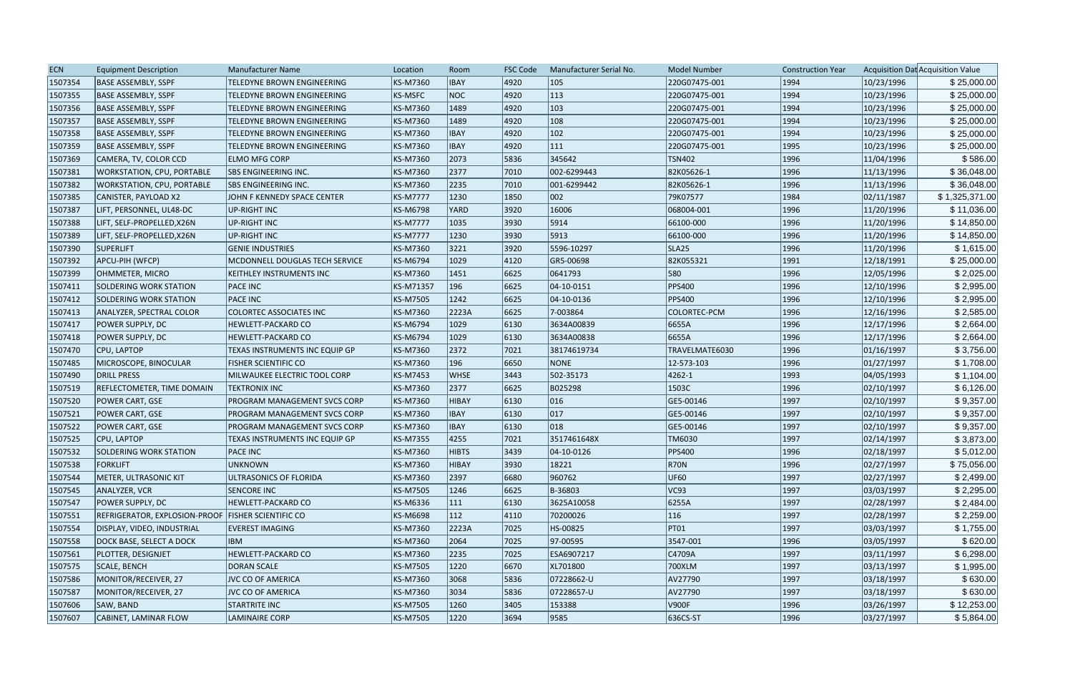| <b>ECN</b> | <b>Equipment Description</b>                         | <b>Manufacturer Name</b>          | Location        | Room          | <b>FSC Code</b> | Manufacturer Serial No. | <b>Model Number</b> | <b>Construction Year</b> |            | Acquisition Dat Acquisition Value |
|------------|------------------------------------------------------|-----------------------------------|-----------------|---------------|-----------------|-------------------------|---------------------|--------------------------|------------|-----------------------------------|
| 1507354    | <b>BASE ASSEMBLY, SSPF</b>                           | TELEDYNE BROWN ENGINEERING        | KS-M7360        | <b>IBAY</b>   | 4920            | 105                     | 220G07475-001       | 1994                     | 10/23/1996 | \$25,000.00                       |
| 1507355    | <b>BASE ASSEMBLY, SSPF</b>                           | TELEDYNE BROWN ENGINEERING        | <b>KS-MSFC</b>  | NOC           | 4920            | 113                     | 220G07475-001       | 1994                     | 10/23/1996 | \$25,000.00                       |
| 1507356    | <b>BASE ASSEMBLY, SSPF</b>                           | TELEDYNE BROWN ENGINEERING        | KS-M7360        | 1489          | 4920            | $ 103\rangle$           | 220G07475-001       | 1994                     | 10/23/1996 | \$25,000.00                       |
| 1507357    | <b>BASE ASSEMBLY, SSPF</b>                           | <b>TELEDYNE BROWN ENGINEERING</b> | KS-M7360        | 1489          | 4920            | 108                     | 220G07475-001       | 1994                     | 10/23/1996 | \$25,000.00                       |
| 1507358    | <b>BASE ASSEMBLY, SSPF</b>                           | TELEDYNE BROWN ENGINEERING        | KS-M7360        | <b>IBAY</b>   | 4920            | $ 102\rangle$           | 220G07475-001       | 1994                     | 10/23/1996 | \$25,000.00                       |
| 1507359    | <b>BASE ASSEMBLY, SSPF</b>                           | TELEDYNE BROWN ENGINEERING        | KS-M7360        | <b>IBAY</b>   | 4920            | $ 111\rangle$           | 220G07475-001       | 1995                     | 10/23/1996 | \$25,000.00                       |
| 1507369    | CAMERA, TV, COLOR CCD                                | <b>ELMO MFG CORP</b>              | KS-M7360        | 2073          | 5836            | 345642                  | <b>TSN402</b>       | 1996                     | 11/04/1996 | \$586.00                          |
| 1507381    | <b>WORKSTATION, CPU, PORTABLE</b>                    | <b>ISBS ENGINEERING INC.</b>      | KS-M7360        | 2377          | 7010            | 002-6299443             | 82K05626-1          | 1996                     | 11/13/1996 | \$36,048.00                       |
| 1507382    | WORKSTATION, CPU, PORTABLE                           | <b>ISBS ENGINEERING INC.</b>      | KS-M7360        | 2235          | 7010            | 001-6299442             | 82K05626-1          | 1996                     | 11/13/1996 | \$36,048.00                       |
| 1507385    | CANISTER, PAYLOAD X2                                 | JOHN F KENNEDY SPACE CENTER       | <b>KS-M7777</b> | 1230          | 1850            | 002                     | 79K07577            | 1984                     | 02/11/1987 | \$1,325,371.00                    |
| 1507387    | LIFT, PERSONNEL, UL48-DC                             | <b>UP-RIGHT INC</b>               | KS-M6798        | YARD          | 3920            | 16006                   | 068004-001          | 1996                     | 11/20/1996 | \$11,036.00                       |
| 1507388    | LIFT, SELF-PROPELLED, X26N                           | <b>UP-RIGHT INC</b>               | <b>KS-M7777</b> | 1035          | 3930            | 5914                    | 66100-000           | 1996                     | 11/20/1996 | \$14,850.00                       |
| 1507389    | LIFT, SELF-PROPELLED, X26N                           | <b>UP-RIGHT INC</b>               | <b>KS-M7777</b> | 1230          | 3930            | 5913                    | 66100-000           | 1996                     | 11/20/1996 | \$14,850.00                       |
| 1507390    | <b>SUPERLIFT</b>                                     | <b>GENIE INDUSTRIES</b>           | KS-M7360        | 3221          | 3920            | 5596-10297              | SLA <sub>25</sub>   | 1996                     | 11/20/1996 | \$1,615.00                        |
| 1507392    | APCU-PIH (WFCP)                                      | MCDONNELL DOUGLAS TECH SERVICE    | KS-M6794        | 1029          | 4120            | GR5-00698               | 82K055321           | 1991                     | 12/18/1991 | \$25,000.00                       |
| 1507399    | <b>OHMMETER, MICRO</b>                               | KEITHLEY INSTRUMENTS INC          | KS-M7360        | 1451          | 6625            | 0641793                 | 580                 | 1996                     | 12/05/1996 | \$2,025.00                        |
| 1507411    | <b>SOLDERING WORK STATION</b>                        | <b>PACE INC</b>                   | KS-M71357       | 196           | 6625            | $ 04 - 10 - 0151$       | <b>PPS400</b>       | 1996                     | 12/10/1996 | \$2,995.00                        |
| 1507412    | <b>SOLDERING WORK STATION</b>                        | <b>PACE INC</b>                   | KS-M7505        | 1242          | 6625            | 04-10-0136              | <b>PPS400</b>       | 1996                     | 12/10/1996 | \$2,995.00                        |
| 1507413    | ANALYZER, SPECTRAL COLOR                             | <b>COLORTEC ASSOCIATES INC</b>    | KS-M7360        | 2223A         | 6625            | 7-003864                | COLORTEC-PCM        | 1996                     | 12/16/1996 | \$2,585.00                        |
| 1507417    | <b>POWER SUPPLY, DC</b>                              | HEWLETT-PACKARD CO                | KS-M6794        | 1029          | 6130            | 3634A00839              | 6655A               | 1996                     | 12/17/1996 | \$2,664.00                        |
| 1507418    | <b>POWER SUPPLY, DC</b>                              | HEWLETT-PACKARD CO                | KS-M6794        | 1029          | 6130            | 3634A00838              | 6655A               | 1996                     | 12/17/1996 | \$2,664.00                        |
| 1507470    | CPU, LAPTOP                                          | TEXAS INSTRUMENTS INC EQUIP GP    | KS-M7360        | 2372          | 7021            | 38174619734             | TRAVELMATE6030      | 1996                     | 01/16/1997 | \$3,756.00                        |
| 1507485    | MICROSCOPE, BINOCULAR                                | <b>FISHER SCIENTIFIC CO</b>       | KS-M7360        | 196           | 6650            | NONE                    | 12-573-103          | 1996                     | 01/27/1997 | \$1,708.00                        |
| 1507490    | <b>DRILL PRESS</b>                                   | MILWAUKEE ELECTRIC TOOL CORP      | KS-M7453        | <b>WHSE</b>   | 3443            | 502-35173               | $ 4262 - 1$         | 1993                     | 04/05/1993 | \$1,104.00                        |
| 1507519    | <b>REFLECTOMETER, TIME DOMAIN</b>                    | <b>TEKTRONIX INC</b>              | KS-M7360        | 2377          | 6625            | B025298                 | 1503C               | 1996                     | 02/10/1997 | \$6,126.00                        |
| 1507520    | <b>POWER CART, GSE</b>                               | PROGRAM MANAGEMENT SVCS CORP      | KS-M7360        | HIBAY         | 6130            | 016                     | GE5-00146           | 1997                     | 02/10/1997 | \$9,357.00                        |
| 1507521    | POWER CART, GSE                                      | PROGRAM MANAGEMENT SVCS CORP      | KS-M7360        | <b>IBAY</b>   | 6130            | 017                     | GE5-00146           | 1997                     | 02/10/1997 | \$9,357.00                        |
| 1507522    | <b>POWER CART, GSE</b>                               | PROGRAM MANAGEMENT SVCS CORP      | KS-M7360        | <b>IBAY</b>   | 6130            | 018                     | GE5-00146           | 1997                     | 02/10/1997 | \$9,357.00                        |
| 1507525    | CPU, LAPTOP                                          | TEXAS INSTRUMENTS INC EQUIP GP    | <b>KS-M7355</b> | 4255          | 7021            | 3517461648X             | TM6030              | 1997                     | 02/14/1997 | \$3,873.00                        |
| 1507532    | SOLDERING WORK STATION                               | <b>PACE INC</b>                   | KS-M7360        | <b>HIBTS</b>  | 3439            | 04-10-0126              | <b>PPS400</b>       | 1996                     | 02/18/1997 | \$5,012.00                        |
| 1507538    | <b>FORKLIFT</b>                                      | <b>UNKNOWN</b>                    | KS-M7360        | <b>HIBAY</b>  | 3930            | 18221                   | $ $ R70N            | 1996                     | 02/27/1997 | \$75,056.00                       |
| 1507544    | METER, ULTRASONIC KIT                                | ULTRASONICS OF FLORIDA            | KS-M7360        | 2397          | 6680            | 960762                  | UF60                | 1997                     | 02/27/1997 | \$2,499.00                        |
| 1507545    | ANALYZER, VCR                                        | <b>SENCORE INC</b>                | KS-M7505        | 1246          | 6625            | B-36803                 | VC93                | 1997                     | 03/03/1997 | \$2,295.00                        |
| 1507547    | POWER SUPPLY, DC                                     | HEWLETT-PACKARD CO                | KS-M6336        | $ 111\rangle$ | 6130            | 3625A10058              | 6255A               | 1997                     | 02/28/1997 | \$2,484.00                        |
| 1507551    | REFRIGERATOR, EXPLOSION-PROOF   FISHER SCIENTIFIC CO |                                   | KS-M6698        | $ 112\rangle$ | 4110            | 70200026                | 116                 | 1997                     | 02/28/1997 | \$2,259.00                        |
| 1507554    | DISPLAY, VIDEO, INDUSTRIAL                           | <b>EVEREST IMAGING</b>            | KS-M7360        | 2223A         | 7025            | HS-00825                | PT01                | 1997                     | 03/03/1997 | \$1,755.00                        |
| 1507558    | <b>DOCK BASE, SELECT A DOCK</b>                      | <b>IBM</b>                        | KS-M7360        | 2064          | 7025            | 97-00595                | 3547-001            | 1996                     | 03/05/1997 | \$620.00                          |
| 1507561    | PLOTTER, DESIGNJET                                   | HEWLETT-PACKARD CO                | KS-M7360        | 2235          | 7025            | ESA6907217              | C4709A              | 1997                     | 03/11/1997 | \$6,298.00                        |
| 1507575    | <b>SCALE, BENCH</b>                                  | <b>DORAN SCALE</b>                | KS-M7505        | 1220          | 6670            | XL701800                | 700XLM              | 1997                     | 03/13/1997 | \$1,995.00                        |
| 1507586    | MONITOR/RECEIVER, 27                                 | <b>JVC CO OF AMERICA</b>          | KS-M7360        | 3068          | 5836            | 07228662-U              | AV27790             | 1997                     | 03/18/1997 | \$630.00                          |
| 1507587    | MONITOR/RECEIVER, 27                                 | <b>JVC CO OF AMERICA</b>          | KS-M7360        | 3034          | 5836            | 07228657-U              | AV27790             | 1997                     | 03/18/1997 | \$630.00                          |
| 1507606    | SAW, BAND                                            | <b>STARTRITE INC</b>              | KS-M7505        | 1260          | 3405            | 153388                  | V900F               | 1996                     | 03/26/1997 | \$12,253.00                       |
| 1507607    | CABINET, LAMINAR FLOW                                | <b>LAMINAIRE CORP</b>             | KS-M7505        | 1220          | 3694            | 9585                    | 636CS-ST            | 1996                     | 03/27/1997 | \$5,864.00                        |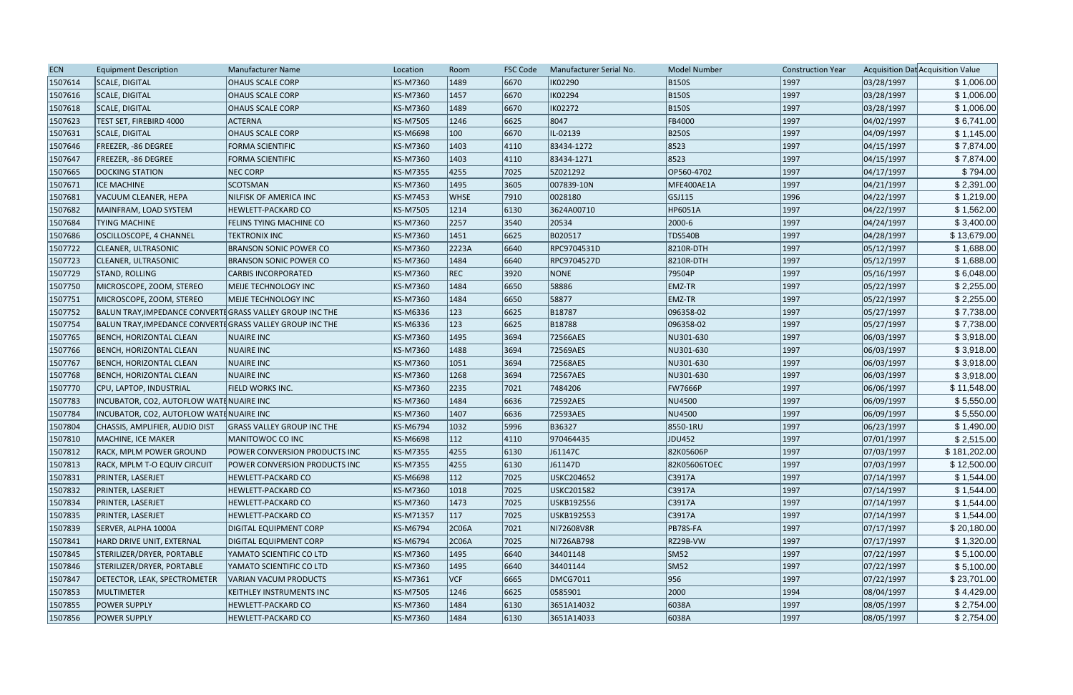| <b>ECN</b> | <b>Equipment Description</b>                              | <b>Manufacturer Name</b>          | Location  | Room          | <b>FSC Code</b> | Manufacturer Serial No. | <b>Model Number</b> | <b>Construction Year</b> |            | Acquisition Dat Acquisition Value |
|------------|-----------------------------------------------------------|-----------------------------------|-----------|---------------|-----------------|-------------------------|---------------------|--------------------------|------------|-----------------------------------|
| 1507614    | SCALE, DIGITAL                                            | <b>OHAUS SCALE CORP</b>           | KS-M7360  | 1489          | 6670            | <b>IK02290</b>          | <b>B150S</b>        | 1997                     | 03/28/1997 | \$1,006.00                        |
| 1507616    | SCALE, DIGITAL                                            | <b>OHAUS SCALE CORP</b>           | KS-M7360  | 1457          | 6670            | IK02294                 | <b>B150S</b>        | 1997                     | 03/28/1997 | \$1,006.00                        |
| 1507618    | SCALE, DIGITAL                                            | <b>OHAUS SCALE CORP</b>           | KS-M7360  | 1489          | 6670            | <b>IK02272</b>          | <b>B150S</b>        | 1997                     | 03/28/1997 | \$1,006.00                        |
| 1507623    | <b>TEST SET, FIREBIRD 4000</b>                            | <b>ACTERNA</b>                    | KS-M7505  | 1246          | 6625            | 8047                    | <b>FB4000</b>       | 1997                     | 04/02/1997 | \$6,741.00                        |
| 1507631    | SCALE, DIGITAL                                            | <b>OHAUS SCALE CORP</b>           | KS-M6698  | $ 100\rangle$ | 6670            | IL-02139                | <b>B250S</b>        | 1997                     | 04/09/1997 | \$1,145.00                        |
| 1507646    | <b>FREEZER, -86 DEGREE</b>                                | <b>FORMA SCIENTIFIC</b>           | KS-M7360  | 1403          | 4110            | 83434-1272              | 8523                | 1997                     | 04/15/1997 | \$7,874.00                        |
| 1507647    | <b>FREEZER, -86 DEGREE</b>                                | FORMA SCIENTIFIC                  | KS-M7360  | 1403          | 4110            | 83434-1271              | 8523                | 1997                     | 04/15/1997 | \$7,874.00                        |
| 1507665    | <b>DOCKING STATION</b>                                    | <b>NEC CORP</b>                   | KS-M7355  | 4255          | 7025            | 5Z021292                | OP560-4702          | 1997                     | 04/17/1997 | \$794.00                          |
| 1507671    | <b>ICE MACHINE</b>                                        | <b>SCOTSMAN</b>                   | KS-M7360  | 1495          | 3605            | 007839-10N              | MFE400AE1A          | 1997                     | 04/21/1997 | \$2,391.00                        |
| 1507681    | VACUUM CLEANER, HEPA                                      | NILFISK OF AMERICA INC            | KS-M7453  | <b>WHSE</b>   | 7910            | 0028180                 | GSJ115              | 1996                     | 04/22/1997 | \$1,219.00                        |
| 1507682    | MAINFRAM, LOAD SYSTEM                                     | HEWLETT-PACKARD CO                | KS-M7505  | 1214          | 6130            | 3624A00710              | HP6051A             | 1997                     | 04/22/1997 | \$1,562.00                        |
| 1507684    | <b>TYING MACHINE</b>                                      | FELINS TYING MACHINE CO           | KS-M7360  | 2257          | 3540            | 20534                   | 2000-6              | 1997                     | 04/24/1997 | \$3,400.00                        |
| 1507686    | OSCILLOSCOPE, 4 CHANNEL                                   | <b>TEKTRONIX INC</b>              | KS-M7360  | 1451          | 6625            | B020517                 | <b>TDS540B</b>      | 1997                     | 04/28/1997 | \$13,679.00                       |
| 1507722    | <b>CLEANER, ULTRASONIC</b>                                | <b>BRANSON SONIC POWER CO</b>     | KS-M7360  | 2223A         | 6640            | RPC9704531D             | 8210R-DTH           | 1997                     | 05/12/1997 | \$1,688.00                        |
| 1507723    | <b>CLEANER, ULTRASONIC</b>                                | <b>BRANSON SONIC POWER CO</b>     | KS-M7360  | 1484          | 6640            | RPC9704527D             | 8210R-DTH           | 1997                     | 05/12/1997 | \$1,688.00                        |
| 1507729    | STAND, ROLLING                                            | <b>CARBIS INCORPORATED</b>        | KS-M7360  | REC           | 3920            | <b>NONE</b>             | 79504P              | 1997                     | 05/16/1997 | \$6,048.00                        |
| 1507750    | MICROSCOPE, ZOOM, STEREO                                  | MEIJE TECHNOLOGY INC              | KS-M7360  | 1484          | 6650            | 58886                   | <b>EMZ-TR</b>       | 1997                     | 05/22/1997 | \$2,255.00                        |
| 1507751    | MICROSCOPE, ZOOM, STEREO                                  | MEIJE TECHNOLOGY INC              | KS-M7360  | 1484          | 6650            | 58877                   | EMZ-TR              | 1997                     | 05/22/1997 | \$2,255.00                        |
| 1507752    | BALUN TRAY, IMPEDANCE CONVERTE GRASS VALLEY GROUP INC THE |                                   | KS-M6336  | 123           | 6625            | B18787                  | 096358-02           | 1997                     | 05/27/1997 | \$7,738.00                        |
| 1507754    | BALUN TRAY, IMPEDANCE CONVERTE GRASS VALLEY GROUP INC THE |                                   | KS-M6336  | 123           | 6625            | B18788                  | 096358-02           | 1997                     | 05/27/1997 | \$7,738.00                        |
| 1507765    | BENCH, HORIZONTAL CLEAN                                   | NUAIRE INC                        | KS-M7360  | 1495          | 3694            | 72566AES                | NU301-630           | 1997                     | 06/03/1997 | \$3,918.00                        |
| 1507766    | BENCH, HORIZONTAL CLEAN                                   | <b>NUAIRE INC</b>                 | KS-M7360  | 1488          | 3694            | 72569AES                | NU301-630           | 1997                     | 06/03/1997 | \$3,918.00                        |
| 1507767    | <b>BENCH, HORIZONTAL CLEAN</b>                            | <b>NUAIRE INC</b>                 | KS-M7360  | 1051          | 3694            | 72568AES                | NU301-630           | 1997                     | 06/03/1997 | \$3,918.00                        |
| 1507768    | <b>BENCH, HORIZONTAL CLEAN</b>                            | <b>NUAIRE INC</b>                 | KS-M7360  | 1268          | 3694            | 72567AES                | NU301-630           | 1997                     | 06/03/1997 | \$3,918.00                        |
| 1507770    | CPU, LAPTOP, INDUSTRIAL                                   | <b>FIELD WORKS INC.</b>           | KS-M7360  | 2235          | 7021            | 7484206                 | <b>FW7666P</b>      | 1997                     | 06/06/1997 | \$11,548.00                       |
| 1507783    | INCUBATOR, CO2, AUTOFLOW WATENUAIRE INC                   |                                   | KS-M7360  | 1484          | 6636            | 72592AES                | NU4500              | 1997                     | 06/09/1997 | \$5,550.00                        |
| 1507784    | INCUBATOR, CO2, AUTOFLOW WATENUAIRE INC                   |                                   | KS-M7360  | 1407          | 6636            | 72593AES                | NU4500              | 1997                     | 06/09/1997 | \$5,550.00                        |
| 1507804    | CHASSIS, AMPLIFIER, AUDIO DIST                            | <b>GRASS VALLEY GROUP INC THE</b> | KS-M6794  | 1032          | 5996            | B36327                  | 8550-1RU            | 1997                     | 06/23/1997 | \$1,490.00                        |
| 1507810    | MACHINE, ICE MAKER                                        | MANITOWOC CO INC                  | KS-M6698  | $ 112\rangle$ | 4110            | 970464435               | JDU452              | 1997                     | 07/01/1997 | \$2,515.00                        |
| 1507812    | <b>RACK, MPLM POWER GROUND</b>                            | POWER CONVERSION PRODUCTS INC     | KS-M7355  | 4255          | 6130            | J61147C                 | 82K05606P           | 1997                     | 07/03/1997 | \$181,202.00                      |
| 1507813    | <b>RACK, MPLM T-O EQUIV CIRCUIT</b>                       | POWER CONVERSION PRODUCTS INC     | KS-M7355  | 4255          | 6130            | J61147D                 | 82K05606TOEC        | 1997                     | 07/03/1997 | \$12,500.00                       |
| 1507831    | <b>PRINTER, LASERJET</b>                                  | <b>HEWLETT-PACKARD CO</b>         | KS-M6698  | $ 112\rangle$ | 7025            | <b>USKC204652</b>       | C3917A              | 1997                     | 07/14/1997 | \$1,544.00                        |
| 1507832    | <b>PRINTER, LASERJET</b>                                  | HEWLETT-PACKARD CO                | KS-M7360  | 1018          | 7025            | USKC201582              | C3917A              | 1997                     | 07/14/1997 | \$1,544.00                        |
| 1507834    | <b>PRINTER, LASERJET</b>                                  | HEWLETT-PACKARD CO                | KS-M7360  | 1473          | 7025            | USKB192556              | C3917A              | 1997                     | 07/14/1997 | \$1,544.00                        |
| 1507835    | <b>PRINTER, LASERJET</b>                                  | HEWLETT-PACKARD CO                | KS-M71357 | $ 117\rangle$ | 7025            | USKB192553              | C3917A              | 1997                     | 07/14/1997 | \$1,544.00                        |
| 1507839    | SERVER, ALPHA 1000A                                       | DIGITAL EQUIPMENT CORP            | KS-M6794  | 2C06A         | 7021            | NI72608V8R              | PB78S-FA            | 1997                     | 07/17/1997 | \$20,180.00                       |
| 1507841    | HARD DRIVE UNIT, EXTERNAL                                 | <b>DIGITAL EQUIPMENT CORP</b>     | KS-M6794  | 2C06A         | 7025            | NI726AB798              | <b>RZ29B-VW</b>     | 1997                     | 07/17/1997 | \$1,320.00                        |
| 1507845    | STERILIZER/DRYER, PORTABLE                                | YAMATO SCIENTIFIC CO LTD          | KS-M7360  | 1495          | 6640            | 34401148                | SM52                | 1997                     | 07/22/1997 | \$5,100.00                        |
| 1507846    | STERILIZER/DRYER, PORTABLE                                | YAMATO SCIENTIFIC CO LTD          | KS-M7360  | 1495          | 6640            | 34401144                | SM52                | 1997                     | 07/22/1997 | \$5,100.00                        |
| 1507847    | DETECTOR, LEAK, SPECTROMETER                              | <b>VARIAN VACUM PRODUCTS</b>      | KS-M7361  | VCF           | 6665            | DMCG7011                | 956                 | 1997                     | 07/22/1997 | \$23,701.00                       |
| 1507853    | MULTIMETER                                                | KEITHLEY INSTRUMENTS INC          | KS-M7505  | 1246          | 6625            | 0585901                 | 2000                | 1994                     | 08/04/1997 | \$4,429.00                        |
| 1507855    | <b>POWER SUPPLY</b>                                       | HEWLETT-PACKARD CO                | KS-M7360  | 1484          | 6130            | 3651A14032              | 6038A               | 1997                     | 08/05/1997 | \$2,754.00                        |
| 1507856    | <b>POWER SUPPLY</b>                                       | HEWLETT-PACKARD CO                | KS-M7360  | 1484          | 6130            | 3651A14033              | 6038A               | 1997                     | 08/05/1997 | \$2,754.00                        |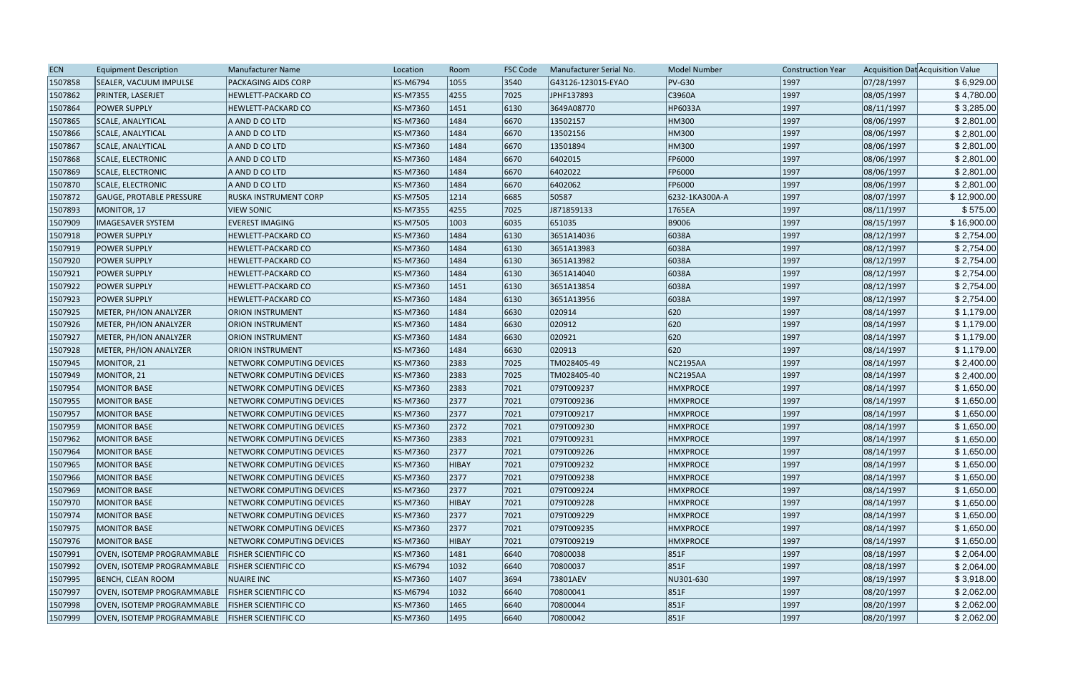| <b>ECN</b> | <b>Equipment Description</b>                      | Manufacturer Name           | Location        | Room         | <b>FSC Code</b> | Manufacturer Serial No. | <b>Model Number</b> | <b>Construction Year</b> |            | Acquisition Dat Acquisition Value |
|------------|---------------------------------------------------|-----------------------------|-----------------|--------------|-----------------|-------------------------|---------------------|--------------------------|------------|-----------------------------------|
| 1507858    | SEALER, VACUUM IMPULSE                            | PACKAGING AIDS CORP         | <b>KS-M6794</b> | 1055         | 3540            | G43126-123015-EYAO      | $PV-G30$            | 1997                     | 07/28/1997 | \$6,929.00                        |
| 1507862    | PRINTER, LASERJET                                 | HEWLETT-PACKARD CO          | <b>KS-M7355</b> | 4255         | 7025            | JPHF137893              | C3960A              | 1997                     | 08/05/1997 | \$4,780.00                        |
| 1507864    | <b>POWER SUPPLY</b>                               | <b>HEWLETT-PACKARD CO</b>   | KS-M7360        | 1451         | 6130            | 3649A08770              | <b>HP6033A</b>      | 1997                     | 08/11/1997 | \$3,285.00                        |
| 1507865    | <b>SCALE, ANALYTICAL</b>                          | A AND D CO LTD              | <b>KS-M7360</b> | 1484         | 6670            | 13502157                | HM300               | 1997                     | 08/06/1997 | \$2,801.00                        |
| 1507866    | SCALE, ANALYTICAL                                 | A AND D CO LTD              | KS-M7360        | 1484         | 6670            | 13502156                | HM300               | 1997                     | 08/06/1997 | \$2,801.00                        |
| 1507867    | <b>SCALE, ANALYTICAL</b>                          | A AND D CO LTD              | KS-M7360        | 1484         | 6670            | 13501894                | HM300               | 1997                     | 08/06/1997 | \$2,801.00                        |
| 1507868    | SCALE, ELECTRONIC                                 | A AND D CO LTD              | KS-M7360        | 1484         | 6670            | 6402015                 | <b>FP6000</b>       | 1997                     | 08/06/1997 | \$2,801.00                        |
| 1507869    | SCALE, ELECTRONIC                                 | A AND D CO LTD              | <b>KS-M7360</b> | 1484         | 6670            | 6402022                 | FP6000              | 1997                     | 08/06/1997 | \$2,801.00                        |
| 1507870    | SCALE, ELECTRONIC                                 | A AND D CO LTD              | <b>KS-M7360</b> | 1484         | 6670            | 6402062                 | FP6000              | 1997                     | 08/06/1997 | \$2,801.00                        |
| 1507872    | GAUGE, PROTABLE PRESSURE                          | RUSKA INSTRUMENT CORP       | <b>KS-M7505</b> | 1214         | 6685            | 50587                   | 6232-1KA300A-A      | 1997                     | 08/07/1997 | \$12,900.00                       |
| 1507893    | MONITOR, 17                                       | <b>VIEW SONIC</b>           | <b>KS-M7355</b> | 4255         | 7025            | J871859133              | 1765EA              | 1997                     | 08/11/1997 | \$575.00                          |
| 1507909    | <b>IMAGESAVER SYSTEM</b>                          | <b>EVEREST IMAGING</b>      | <b>KS-M7505</b> | 1003         | 6035            | 651035                  | B9006               | 1997                     | 08/15/1997 | \$16,900.00                       |
| 1507918    | <b>POWER SUPPLY</b>                               | HEWLETT-PACKARD CO          | KS-M7360        | 1484         | 6130            | 3651A14036              | 6038A               | 1997                     | 08/12/1997 | \$2,754.00                        |
| 1507919    | <b>POWER SUPPLY</b>                               | HEWLETT-PACKARD CO          | KS-M7360        | 1484         | 6130            | 3651A13983              | 6038A               | 1997                     | 08/12/1997 | \$2,754.00                        |
| 1507920    | <b>POWER SUPPLY</b>                               | <b>HEWLETT-PACKARD CO</b>   | KS-M7360        | 1484         | 6130            | 3651A13982              | 6038A               | 1997                     | 08/12/1997 | \$2,754.00                        |
| 1507921    | <b>POWER SUPPLY</b>                               | <b>HEWLETT-PACKARD CO</b>   | <b>KS-M7360</b> | 1484         | 6130            | 3651A14040              | 6038A               | 1997                     | 08/12/1997 | \$2,754.00                        |
| 1507922    | <b>POWER SUPPLY</b>                               | <b>HEWLETT-PACKARD CO</b>   | <b>KS-M7360</b> | 1451         | 6130            | 3651A13854              | 6038A               | 1997                     | 08/12/1997 | \$2,754.00                        |
| 1507923    | <b>POWER SUPPLY</b>                               | <b>HEWLETT-PACKARD CO</b>   | KS-M7360        | 1484         | 6130            | 3651A13956              | 6038A               | 1997                     | 08/12/1997 | \$2,754.00                        |
| 1507925    | METER, PH/ION ANALYZER                            | <b>ORION INSTRUMENT</b>     | <b>KS-M7360</b> | 1484         | 6630            | 020914                  | 620                 | 1997                     | 08/14/1997 | \$1,179.00                        |
| 1507926    | METER, PH/ION ANALYZER                            | <b>ORION INSTRUMENT</b>     | <b>KS-M7360</b> | 1484         | 6630            | 020912                  | 620                 | 1997                     | 08/14/1997 | \$1,179.00                        |
| 1507927    | METER, PH/ION ANALYZER                            | <b>ORION INSTRUMENT</b>     | <b>KS-M7360</b> | 1484         | 6630            | 020921                  | 620                 | 1997                     | 08/14/1997 | \$1,179.00                        |
| 1507928    | METER, PH/ION ANALYZER                            | <b>ORION INSTRUMENT</b>     | <b>KS-M7360</b> | 1484         | 6630            | 020913                  | 620                 | 1997                     | 08/14/1997 | \$1,179.00                        |
| 1507945    | MONITOR, 21                                       | NETWORK COMPUTING DEVICES   | <b>KS-M7360</b> | 2383         | 7025            | TM028405-49             | <b>NC2195AA</b>     | 1997                     | 08/14/1997 | \$2,400.00                        |
| 1507949    | MONITOR, 21                                       | NETWORK COMPUTING DEVICES   | <b>KS-M7360</b> | 2383         | 7025            | TM028405-40             | <b>NC2195AA</b>     | 1997                     | 08/14/1997 | \$2,400.00                        |
| 1507954    | <b>MONITOR BASE</b>                               | NETWORK COMPUTING DEVICES   | KS-M7360        | 2383         | 7021            | 079T009237              | <b>HMXPROCE</b>     | 1997                     | 08/14/1997 | \$1,650.00                        |
| 1507955    | <b>MONITOR BASE</b>                               | NETWORK COMPUTING DEVICES   | KS-M7360        | 2377         | 7021            | 079T009236              | <b>HMXPROCE</b>     | 1997                     | 08/14/1997 | \$1,650.00                        |
| 1507957    | <b>MONITOR BASE</b>                               | NETWORK COMPUTING DEVICES   | KS-M7360        | 2377         | 7021            | 079T009217              | <b>HMXPROCE</b>     | 1997                     | 08/14/1997 | \$1,650.00                        |
| 1507959    | MONITOR BASE                                      | NETWORK COMPUTING DEVICES   | <b>KS-M7360</b> | 2372         | 7021            | 079T009230              | <b>HMXPROCE</b>     | 1997                     | 08/14/1997 | \$1,650.00                        |
| 1507962    | MONITOR BASE                                      | NETWORK COMPUTING DEVICES   | <b>KS-M7360</b> | 2383         | 7021            | 079T009231              | <b>HMXPROCE</b>     | 1997                     | 08/14/1997 | \$1,650.00                        |
| 1507964    | MONITOR BASE                                      | NETWORK COMPUTING DEVICES   | KS-M7360        | 2377         | 7021            | 079T009226              | <b>HMXPROCE</b>     | 1997                     | 08/14/1997 | \$1,650.00                        |
| 1507965    | MONITOR BASE                                      | NETWORK COMPUTING DEVICES   | KS-M7360        | <b>HIBAY</b> | 7021            | 079T009232              | <b>HMXPROCE</b>     | 1997                     | 08/14/1997 | \$1,650.00                        |
| 1507966    | <b>MONITOR BASE</b>                               | NETWORK COMPUTING DEVICES   | <b>KS-M7360</b> | 2377         | 7021            | 079T009238              | <b>HMXPROCE</b>     | 1997                     | 08/14/1997 | \$1,650.00                        |
| 1507969    | MONITOR BASE                                      | NETWORK COMPUTING DEVICES   | <b>KS-M7360</b> | 2377         | 7021            | 079T009224              | <b>HMXPROCE</b>     | 1997                     | 08/14/1997 | \$1,650.00                        |
| 1507970    | MONITOR BASE                                      | NETWORK COMPUTING DEVICES   | <b>KS-M7360</b> | HIBAY        | 7021            | 079T009228              | <b>HMXPROCE</b>     | 1997                     | 08/14/1997 | \$1,650.00                        |
| 1507974    | MONITOR BASE                                      | NETWORK COMPUTING DEVICES   | KS-M7360        | 2377         | 7021            | 079T009229              | <b>HMXPROCE</b>     | 1997                     | 08/14/1997 | \$1,650.00                        |
| 1507975    | MONITOR BASE                                      | NETWORK COMPUTING DEVICES   | KS-M7360        | 2377         | 7021            | 079T009235              | <b>HMXPROCE</b>     | 1997                     | 08/14/1997 | \$1,650.00                        |
| 1507976    | MONITOR BASE                                      | NETWORK COMPUTING DEVICES   | <b>KS-M7360</b> | HIBAY        | 7021            | 079T009219              | <b>HMXPROCE</b>     | 1997                     | 08/14/1997 | \$1,650.00                        |
| 1507991    | OVEN, ISOTEMP PROGRAMMABLE                        | <b>FISHER SCIENTIFIC CO</b> | <b>KS-M7360</b> | 1481         | 6640            | 70800038                | 851F                | 1997                     | 08/18/1997 | \$2,064.00                        |
| 1507992    | OVEN, ISOTEMP PROGRAMMABLE                        | <b>FISHER SCIENTIFIC CO</b> | <b>KS-M6794</b> | 1032         | 6640            | 70800037                | 851F                | 1997                     | 08/18/1997 | \$2,064.00                        |
| 1507995    | <b>BENCH, CLEAN ROOM</b>                          | <b>NUAIRE INC</b>           | KS-M7360        | 1407         | 3694            | 73801AEV                | NU301-630           | 1997                     | 08/19/1997 | \$3,918.00                        |
| 1507997    | OVEN, ISOTEMP PROGRAMMABLE                        | <b>FISHER SCIENTIFIC CO</b> | KS-M6794        | 1032         | 6640            | 70800041                | 851F                | 1997                     | 08/20/1997 | \$2,062.00                        |
| 1507998    | OVEN, ISOTEMP PROGRAMMABLE   FISHER SCIENTIFIC CO |                             | KS-M7360        | 1465         | 6640            | 70800044                | 851F                | 1997                     | 08/20/1997 | \$2,062.00                        |
| 1507999    | OVEN, ISOTEMP PROGRAMMABLE   FISHER SCIENTIFIC CO |                             | <b>KS-M7360</b> | 1495         | 6640            | 70800042                | 851F                | 1997                     | 08/20/1997 | \$2,062.00                        |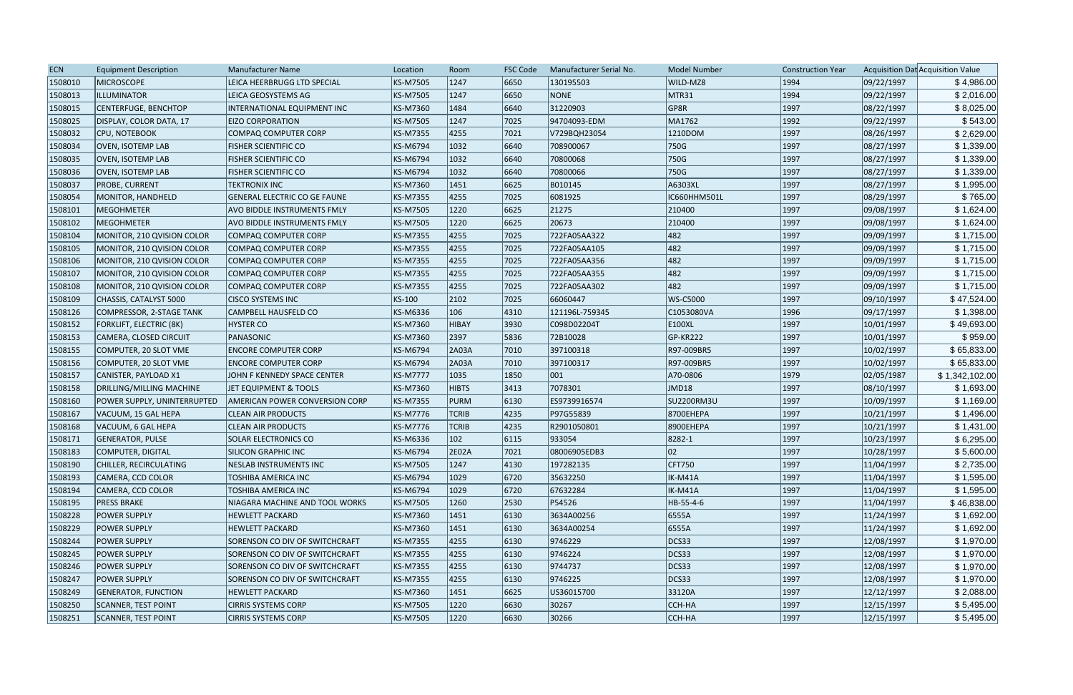| <b>ECN</b> | <b>Equipment Description</b> | Manufacturer Name                     | Location        | Room          | <b>FSC Code</b> | Manufacturer Serial No. | <b>Model Number</b> | <b>Construction Year</b> |            | Acquisition Dat Acquisition Value |
|------------|------------------------------|---------------------------------------|-----------------|---------------|-----------------|-------------------------|---------------------|--------------------------|------------|-----------------------------------|
| 1508010    | <b>MICROSCOPE</b>            | LEICA HEERBRUGG LTD SPECIAL           | <b>KS-M7505</b> | 1247          | 6650            | 130195503               | WILD-MZ8            | 1994                     | 09/22/1997 | \$4,986.00                        |
| 1508013    | ILLUMINATOR                  | LEICA GEOSYSTEMS AG                   | <b>KS-M7505</b> | 1247          | 6650            | <b>NONE</b>             | MTR31               | 1994                     | 09/22/1997 | \$2,016.00                        |
| 1508015    | CENTERFUGE, BENCHTOP         | INTERNATIONAL EQUIPMENT INC           | <b>KS-M7360</b> | 1484          | 6640            | 31220903                | GP8R                | 1997                     | 08/22/1997 | \$8,025.00                        |
| 1508025    | DISPLAY, COLOR DATA, 17      | <b>EIZO CORPORATION</b>               | <b>KS-M7505</b> | 1247          | 7025            | 94704093-EDM            | MA1762              | 1992                     | 09/22/1997 | \$543.00                          |
| 1508032    | CPU, NOTEBOOK                | COMPAQ COMPUTER CORP                  | <b>KS-M7355</b> | 4255          | 7021            | V729BQH23054            | 1210DOM             | 1997                     | 08/26/1997 | \$2,629.00                        |
| 1508034    | <b>OVEN, ISOTEMP LAB</b>     | <b>FISHER SCIENTIFIC CO</b>           | <b>KS-M6794</b> | 1032          | 6640            | 708900067               | 750G                | 1997                     | 08/27/1997 | \$1,339.00                        |
| 1508035    | <b>OVEN, ISOTEMP LAB</b>     | <b>FISHER SCIENTIFIC CO</b>           | KS-M6794        | 1032          | 6640            | 70800068                | 750G                | 1997                     | 08/27/1997 | \$1,339.00                        |
| 1508036    | <b>OVEN, ISOTEMP LAB</b>     | <b>FISHER SCIENTIFIC CO</b>           | <b>KS-M6794</b> | 1032          | 6640            | 70800066                | 750G                | 1997                     | 08/27/1997 | \$1,339.00                        |
| 1508037    | <b>PROBE, CURRENT</b>        | <b>TEKTRONIX INC</b>                  | <b>KS-M7360</b> | 1451          | 6625            | B010145                 | A6303XL             | 1997                     | 08/27/1997 | \$1,995.00                        |
| 1508054    | MONITOR, HANDHELD            | <b>GENERAL ELECTRIC CO GE FAUNE</b>   | <b>KS-M7355</b> | 4255          | 7025            | 6081925                 | IC660HHM501L        | 1997                     | 08/29/1997 | \$765.00                          |
| 1508101    | <b>MEGOHMETER</b>            | <b>AVO BIDDLE INSTRUMENTS FMLY</b>    | <b>KS-M7505</b> | 1220          | 6625            | 21275                   | 210400              | 1997                     | 09/08/1997 | \$1,624.00                        |
| 1508102    | MEGOHMETER                   | AVO BIDDLE INSTRUMENTS FMLY           | <b>KS-M7505</b> | 1220          | 6625            | 20673                   | 210400              | 1997                     | 09/08/1997 | \$1,624.00                        |
| 1508104    | MONITOR, 210 QVISION COLOR   | <b>COMPAQ COMPUTER CORP</b>           | <b>KS-M7355</b> | 4255          | 7025            | 722FA05AA322            | 482                 | 1997                     | 09/09/1997 | \$1,715.00                        |
| 1508105    | MONITOR, 210 QVISION COLOR   | COMPAQ COMPUTER CORP                  | <b>KS-M7355</b> | 4255          | 7025            | 722FA05AA105            | 482                 | 1997                     | 09/09/1997 | \$1,715.00                        |
| 1508106    | MONITOR, 210 QVISION COLOR   | COMPAQ COMPUTER CORP                  | <b>KS-M7355</b> | 4255          | 7025            | 722FA05AA356            | 482                 | 1997                     | 09/09/1997 | \$1,715.00                        |
| 1508107    | MONITOR, 210 QVISION COLOR   | COMPAQ COMPUTER CORP                  | <b>KS-M7355</b> | 4255          | 7025            | 722FA05AA355            | 482                 | 1997                     | 09/09/1997 | \$1,715.00                        |
| 1508108    | MONITOR, 210 QVISION COLOR   | COMPAQ COMPUTER CORP                  | <b>KS-M7355</b> | 4255          | 7025            | 722FA05AA302            | 482                 | 1997                     | 09/09/1997 | \$1,715.00                        |
| 1508109    | CHASSIS, CATALYST 5000       | <b>CISCO SYSTEMS INC</b>              | KS-100          | 2102          | 7025            | 66060447                | WS-C5000            | 1997                     | 09/10/1997 | \$47,524.00                       |
| 1508126    | COMPRESSOR, 2-STAGE TANK     | CAMPBELL HAUSFELD CO                  | KS-M6336        | 106           | 4310            | 121196L-759345          | C1053080VA          | 1996                     | 09/17/1997 | \$1,398.00                        |
| 1508152    | FORKLIFT, ELECTRIC (8K)      | <b>HYSTER CO</b>                      | <b>KS-M7360</b> | HIBAY         | 3930            | C098D02204T             | E100XL              | 1997                     | 10/01/1997 | \$49,693.00                       |
| 1508153    | CAMERA, CLOSED CIRCUIT       | PANASONIC                             | <b>KS-M7360</b> | 2397          | 5836            | 72B10028                | $ GP-KR222 $        | 1997                     | 10/01/1997 | \$959.00                          |
| 1508155    | COMPUTER, 20 SLOT VME        | <b>ENCORE COMPUTER CORP</b>           | <b>KS-M6794</b> | 2A03A         | 7010            | 397100318               | R97-009BR5          | 1997                     | 10/02/1997 | \$65,833.00                       |
| 1508156    | COMPUTER, 20 SLOT VME        | <b>ENCORE COMPUTER CORP</b>           | <b>KS-M6794</b> | 2A03A         | 7010            | 397100317               | R97-009BR5          | 1997                     | 10/02/1997 | \$65,833.00                       |
| 1508157    | CANISTER, PAYLOAD X1         | JOHN F KENNEDY SPACE CENTER           | <b>KS-M7777</b> | 1035          | 1850            | $ 001\rangle$           | A70-0806            | 1979                     | 02/05/1987 | \$1,342,102.00                    |
| 1508158    | DRILLING/MILLING MACHINE     | JET EQUIPMENT & TOOLS                 | <b>KS-M7360</b> | <b>HIBTS</b>  | 3413            | 7078301                 | JMD18               | 1997                     | 08/10/1997 | \$1,693.00                        |
| 1508160    | POWER SUPPLY, UNINTERRUPTED  | <b>AMERICAN POWER CONVERSION CORP</b> | <b>KS-M7355</b> | PURM          | 6130            | ES9739916574            | <b>SU2200RM3U</b>   | 1997                     | 10/09/1997 | \$1,169.00                        |
| 1508167    | VACUUM, 15 GAL HEPA          | <b>CLEAN AIR PRODUCTS</b>             | <b>KS-M7776</b> | <b>TCRIB</b>  | 4235            | P97G55839               | 8700EHEPA           | 1997                     | 10/21/1997 | \$1,496.00                        |
| 1508168    | VACUUM, 6 GAL HEPA           | <b>CLEAN AIR PRODUCTS</b>             | <b>KS-M7776</b> | <b>TCRIB</b>  | 4235            | R2901050801             | 8900EHEPA           | 1997                     | 10/21/1997 | \$1,431.00                        |
| 1508171    | <b>GENERATOR, PULSE</b>      | <b>SOLAR ELECTRONICS CO</b>           | <b>KS-M6336</b> | $ 102\rangle$ | 6115            | 933054                  | 8282-1              | 1997                     | 10/23/1997 | \$6,295.00                        |
| 1508183    | COMPUTER, DIGITAL            | <b>SILICON GRAPHIC INC</b>            | KS-M6794        | 2E02A         | 7021            | 08006905EDB3            | 02                  | 1997                     | 10/28/1997 | \$5,600.00                        |
| 1508190    | CHILLER, RECIRCULATING       | <b>NESLAB INSTRUMENTS INC</b>         | <b>KS-M7505</b> | 1247          | $ 4130\rangle$  | 197282135               | CFT750              | 1997                     | 11/04/1997 | \$2,735.00                        |
| 1508193    | CAMERA, CCD COLOR            | <b>TOSHIBA AMERICA INC</b>            | <b>KS-M6794</b> | 1029          | 6720            | 35632250                | IK-M41A             | 1997                     | 11/04/1997 | \$1,595.00                        |
| 1508194    | CAMERA, CCD COLOR            | TOSHIBA AMERICA INC                   | <b>KS-M6794</b> | 1029          | 6720            | 67632284                | IK-M41A             | 1997                     | 11/04/1997 | \$1,595.00                        |
| 1508195    | <b>PRESS BRAKE</b>           | NIAGARA MACHINE AND TOOL WORKS        | <b>KS-M7505</b> | 1260          | 2530            | P54526                  | HB-55-4-6           | 1997                     | 11/04/1997 | \$46,838.00                       |
| 1508228    | <b>POWER SUPPLY</b>          | <b>HEWLETT PACKARD</b>                | KS-M7360        | 1451          | 6130            | 3634A00256              | 6555A               | 1997                     | 11/24/1997 | \$1,692.00                        |
| 1508229    | <b>POWER SUPPLY</b>          | <b>HEWLETT PACKARD</b>                | KS-M7360        | 1451          | 6130            | 3634A00254              | 6555A               | 1997                     | 11/24/1997 | \$1,692.00                        |
| 1508244    | <b>POWER SUPPLY</b>          | SORENSON CO DIV OF SWITCHCRAFT        | <b>KS-M7355</b> | 4255          | 6130            | 9746229                 | DCS33               | 1997                     | 12/08/1997 | \$1,970.00                        |
| 1508245    | <b>POWER SUPPLY</b>          | SORENSON CO DIV OF SWITCHCRAFT        | <b>KS-M7355</b> | 4255          | 6130            | 9746224                 | DCS33               | 1997                     | 12/08/1997 | \$1,970.00                        |
| 1508246    | <b>POWER SUPPLY</b>          | SORENSON CO DIV OF SWITCHCRAFT        | <b>KS-M7355</b> | 4255          | 6130            | 9744737                 | DCS33               | 1997                     | 12/08/1997 | \$1,970.00                        |
| 1508247    | <b>POWER SUPPLY</b>          | SORENSON CO DIV OF SWITCHCRAFT        | <b>KS-M7355</b> | 4255          | 6130            | 9746225                 | DCS33               | 1997                     | 12/08/1997 | \$1,970.00                        |
| 1508249    | <b>GENERATOR, FUNCTION</b>   | <b>HEWLETT PACKARD</b>                | <b>KS-M7360</b> | 1451          | 6625            | US36015700              | 33120A              | 1997                     | 12/12/1997 | \$2,088.00                        |
| 1508250    | <b>SCANNER, TEST POINT</b>   | <b>CIRRIS SYSTEMS CORP</b>            | <b>KS-M7505</b> | 1220          | 6630            | 30267                   | CCH-HA              | 1997                     | 12/15/1997 | \$5,495.00                        |
| 1508251    | <b>SCANNER, TEST POINT</b>   | <b>CIRRIS SYSTEMS CORP</b>            | <b>KS-M7505</b> | 1220          | 6630            | 30266                   | CCH-HA              | 1997                     | 12/15/1997 | \$5,495.00                        |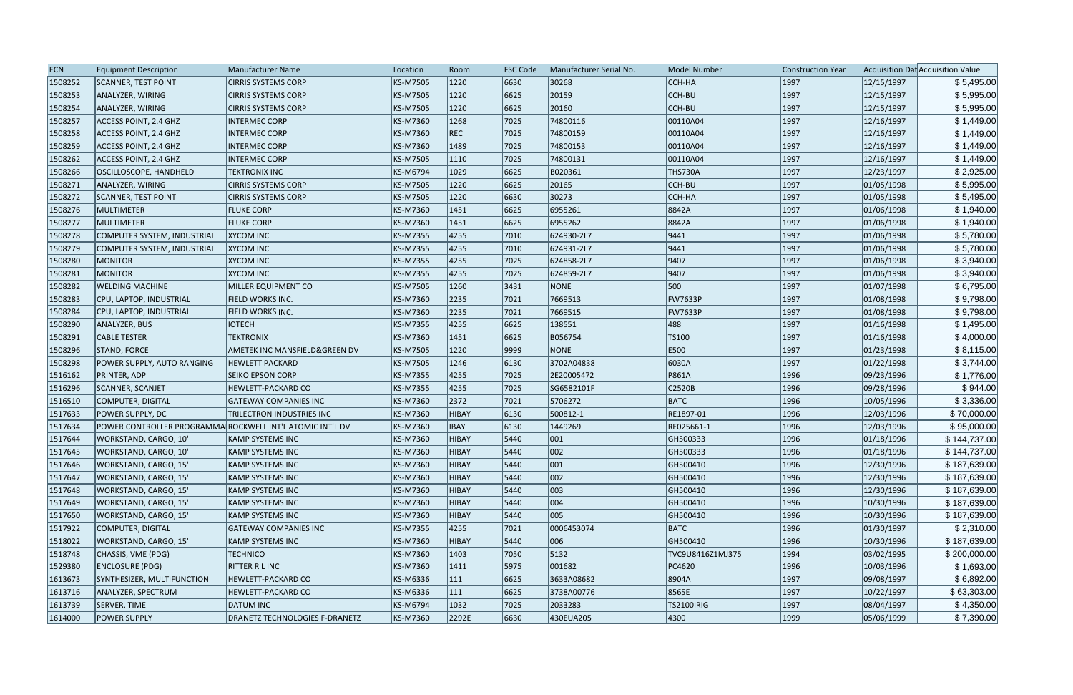| <b>ECN</b> | <b>Equipment Description</b>                              | <b>Manufacturer Name</b>       | Location        | Room         | <b>FSC Code</b> | Manufacturer Serial No. | <b>Model Number</b> | <b>Construction Year</b> |            | Acquisition Dat Acquisition Value |
|------------|-----------------------------------------------------------|--------------------------------|-----------------|--------------|-----------------|-------------------------|---------------------|--------------------------|------------|-----------------------------------|
| 1508252    | <b>SCANNER, TEST POINT</b>                                | <b>CIRRIS SYSTEMS CORP</b>     | KS-M7505        | 1220         | 6630            | 30268                   | CCH-HA              | 1997                     | 12/15/1997 | \$5,495.00                        |
| 1508253    | ANALYZER, WIRING                                          | <b>CIRRIS SYSTEMS CORP</b>     | KS-M7505        | 1220         | 6625            | 20159                   | CCH-BU              | 1997                     | 12/15/1997 | \$5,995.00                        |
| 1508254    | ANALYZER, WIRING                                          | <b>CIRRIS SYSTEMS CORP</b>     | <b>KS-M7505</b> | 1220         | 6625            | 20160                   | CCH-BU              | 1997                     | 12/15/1997 | \$5,995.00                        |
| 1508257    | ACCESS POINT, 2.4 GHZ                                     | <b>INTERMEC CORP</b>           | KS-M7360        | 1268         | 7025            | 74800116                | 00110A04            | 1997                     | 12/16/1997 | \$1,449.00                        |
| 1508258    | <b>ACCESS POINT, 2.4 GHZ</b>                              | <b>INTERMEC CORP</b>           | KS-M7360        | REC          | 7025            | 74800159                | 00110A04            | 1997                     | 12/16/1997 | \$1,449.00                        |
| 1508259    | ACCESS POINT, 2.4 GHZ                                     | <b>INTERMEC CORP</b>           | KS-M7360        | 1489         | 7025            | 74800153                | 00110A04            | 1997                     | 12/16/1997 | \$1,449.00                        |
| 1508262    | ACCESS POINT, 2.4 GHZ                                     | <b>INTERMEC CORP</b>           | KS-M7505        | 1110         | 7025            | 74800131                | 00110A04            | 1997                     | 12/16/1997 | \$1,449.00                        |
| 1508266    | OSCILLOSCOPE, HANDHELD                                    | <b>TEKTRONIX INC</b>           | KS-M6794        | 1029         | 6625            | B020361                 | <b>THS730A</b>      | 1997                     | 12/23/1997 | \$2,925.00                        |
| 1508271    | ANALYZER, WIRING                                          | <b>CIRRIS SYSTEMS CORP</b>     | KS-M7505        | 1220         | 6625            | 20165                   | CCH-BU              | 1997                     | 01/05/1998 | \$5,995.00                        |
| 1508272    | <b>SCANNER, TEST POINT</b>                                | <b>CIRRIS SYSTEMS CORP</b>     | KS-M7505        | 1220         | 6630            | 30273                   | CCH-HA              | 1997                     | 01/05/1998 | \$5,495.00                        |
| 1508276    | MULTIMETER                                                | <b>FLUKE CORP</b>              | KS-M7360        | 1451         | 6625            | 6955261                 | 8842A               | 1997                     | 01/06/1998 | \$1,940.00                        |
| 1508277    | MULTIMETER                                                | <b>FLUKE CORP</b>              | KS-M7360        | 1451         | 6625            | 6955262                 | 8842A               | 1997                     | 01/06/1998 | \$1,940.00                        |
| 1508278    | COMPUTER SYSTEM, INDUSTRIAL                               | <b>XYCOM INC</b>               | KS-M7355        | 4255         | 7010            | 624930-2L7              | 9441                | 1997                     | 01/06/1998 | \$5,780.00                        |
| 1508279    | COMPUTER SYSTEM, INDUSTRIAL                               | <b>XYCOM INC</b>               | KS-M7355        | 4255         | 7010            | 624931-2L7              | 9441                | 1997                     | 01/06/1998 | \$5,780.00                        |
| 1508280    | <b>MONITOR</b>                                            | <b>XYCOM INC</b>               | KS-M7355        | 4255         | 7025            | 624858-2L7              | 9407                | 1997                     | 01/06/1998 | \$3,940.00                        |
| 1508281    | <b>MONITOR</b>                                            | <b>XYCOM INC</b>               | KS-M7355        | 4255         | 7025            | 624859-2L7              | 9407                | 1997                     | 01/06/1998 | \$3,940.00                        |
| 1508282    | <b>WELDING MACHINE</b>                                    | MILLER EQUIPMENT CO            | KS-M7505        | 1260         | 3431            | <b>NONE</b>             | 500                 | 1997                     | 01/07/1998 | \$6,795.00                        |
| 1508283    | CPU, LAPTOP, INDUSTRIAL                                   | <b>FIELD WORKS INC.</b>        | KS-M7360        | 2235         | 7021            | 7669513                 | <b>FW7633P</b>      | 1997                     | 01/08/1998 | \$9,798.00                        |
| 1508284    | CPU, LAPTOP, INDUSTRIAL                                   | FIELD WORKS INC.               | KS-M7360        | 2235         | 7021            | 7669515                 | <b>FW7633P</b>      | 1997                     | 01/08/1998 | \$9,798.00                        |
| 1508290    | ANALYZER, BUS                                             | <b>IOTECH</b>                  | <b>KS-M7355</b> | 4255         | 6625            | 138551                  | 488                 | 1997                     | 01/16/1998 | \$1,495.00                        |
| 1508291    | <b>CABLE TESTER</b>                                       | <b>TEKTRONIX</b>               | KS-M7360        | 1451         | 6625            | B056754                 | TS100               | 1997                     | 01/16/1998 | \$4,000.00                        |
| 1508296    | <b>STAND, FORCE</b>                                       | AMETEK INC MANSFIELD&GREEN DV  | KS-M7505        | 1220         | 9999            | <b>NONE</b>             | <b>E500</b>         | 1997                     | 01/23/1998 | \$8,115.00                        |
| 1508298    | POWER SUPPLY, AUTO RANGING                                | <b>HEWLETT PACKARD</b>         | KS-M7505        | 1246         | 6130            | 3702A04838              | 6030A               | 1997                     | 01/22/1998 | \$3,744.00                        |
| 1516162    | <b>PRINTER, ADP</b>                                       | <b>SEIKO EPSON CORP</b>        | <b>KS-M7355</b> | 4255         | 7025            | 2E20005472              | P861A               | 1996                     | 09/23/1996 | \$1,776.00                        |
| 1516296    | <b>SCANNER, SCANJET</b>                                   | HEWLETT-PACKARD CO             | KS-M7355        | 4255         | 7025            | SG6582101F              | C2520B              | 1996                     | 09/28/1996 | \$944.00                          |
| 1516510    | COMPUTER, DIGITAL                                         | <b>GATEWAY COMPANIES INC</b>   | KS-M7360        | 2372         | 7021            | 5706272                 | <b>BATC</b>         | 1996                     | 10/05/1996 | \$3,336.00                        |
| 1517633    | <b>POWER SUPPLY, DC</b>                                   | TRILECTRON INDUSTRIES INC      | KS-M7360        | HIBAY        | 6130            | 500812-1                | RE1897-01           | 1996                     | 12/03/1996 | \$70,000.00                       |
| 1517634    | POWER CONTROLLER PROGRAMMA ROCKWELL INT'L ATOMIC INT'L DV |                                | KS-M7360        | <b>IBAY</b>  | 6130            | 1449269                 | RE025661-1          | 1996                     | 12/03/1996 | \$95,000.00                       |
| 1517644    | WORKSTAND, CARGO, 10'                                     | <b>KAMP SYSTEMS INC</b>        | KS-M7360        | HIBAY        | 5440            | 001                     | GH500333            | 1996                     | 01/18/1996 | \$144,737.00                      |
| 1517645    | WORKSTAND, CARGO, 10'                                     | <b>KAMP SYSTEMS INC</b>        | KS-M7360        | HIBAY        | 5440            | 002                     | GH500333            | 1996                     | 01/18/1996 | \$144,737.00                      |
| 1517646    | WORKSTAND, CARGO, 15'                                     | <b>KAMP SYSTEMS INC</b>        | KS-M7360        | <b>HIBAY</b> | 5440            | 001                     | GH500410            | 1996                     | 12/30/1996 | \$187,639.00                      |
| 1517647    | WORKSTAND, CARGO, 15'                                     | <b>KAMP SYSTEMS INC</b>        | KS-M7360        | HIBAY        | 5440            | 002                     | GH500410            | 1996                     | 12/30/1996 | \$187,639.00                      |
| 1517648    | WORKSTAND, CARGO, 15'                                     | <b>KAMP SYSTEMS INC</b>        | KS-M7360        | <b>HIBAY</b> | 5440            | 003                     | GH500410            | 1996                     | 12/30/1996 | \$187,639.00                      |
| 1517649    | WORKSTAND, CARGO, 15'                                     | <b>KAMP SYSTEMS INC</b>        | KS-M7360        | HIBAY        | 5440            | 004                     | GH500410            | 1996                     | 10/30/1996 | \$187,639.00                      |
| 1517650    | WORKSTAND, CARGO, 15'                                     | KAMP SYSTEMS INC               | KS-M7360        | <b>HIBAY</b> | 5440            | 005                     | GH500410            | 1996                     | 10/30/1996 | \$187,639.00                      |
| 1517922    | COMPUTER, DIGITAL                                         | <b>GATEWAY COMPANIES INC</b>   | KS-M7355        | 4255         | 7021            | 0006453074              | BATC                | 1996                     | 01/30/1997 | \$2,310.00                        |
| 1518022    | WORKSTAND, CARGO, 15'                                     | <b>KAMP SYSTEMS INC</b>        | KS-M7360        | HIBAY        | 5440            | 006                     | GH500410            | 1996                     | 10/30/1996 | \$187,639.00                      |
| 1518748    | CHASSIS, VME (PDG)                                        | <b>TECHNICO</b>                | KS-M7360        | 1403         | 7050            | 5132                    | TVC9U8416Z1MJ375    | 1994                     | 03/02/1995 | \$200,000.00                      |
| 1529380    | <b>ENCLOSURE (PDG)</b>                                    | <b>RITTER R L INC</b>          | KS-M7360        | 1411         | 5975            | 001682                  | PC4620              | 1996                     | 10/03/1996 | \$1,693.00                        |
| 1613673    | SYNTHESIZER, MULTIFUNCTION                                | HEWLETT-PACKARD CO             | KS-M6336        | 111          | 6625            | 3633A08682              | 8904A               | 1997                     | 09/08/1997 | \$6,892.00                        |
| 1613716    | ANALYZER, SPECTRUM                                        | HEWLETT-PACKARD CO             | KS-M6336        | 111          | 6625            | 3738A00776              | 8565E               | 1997                     | 10/22/1997 | \$63,303.00                       |
| 1613739    | SERVER, TIME                                              | <b>DATUM INC</b>               | KS-M6794        | 1032         | 7025            | 2033283                 | <b>TS2100IRIG</b>   | 1997                     | 08/04/1997 | \$4,350.00                        |
| 1614000    | <b>POWER SUPPLY</b>                                       | DRANETZ TECHNOLOGIES F-DRANETZ | KS-M7360        | 2292E        | 6630            | 430EUA205               | 4300                | 1999                     | 05/06/1999 | \$7,390.00                        |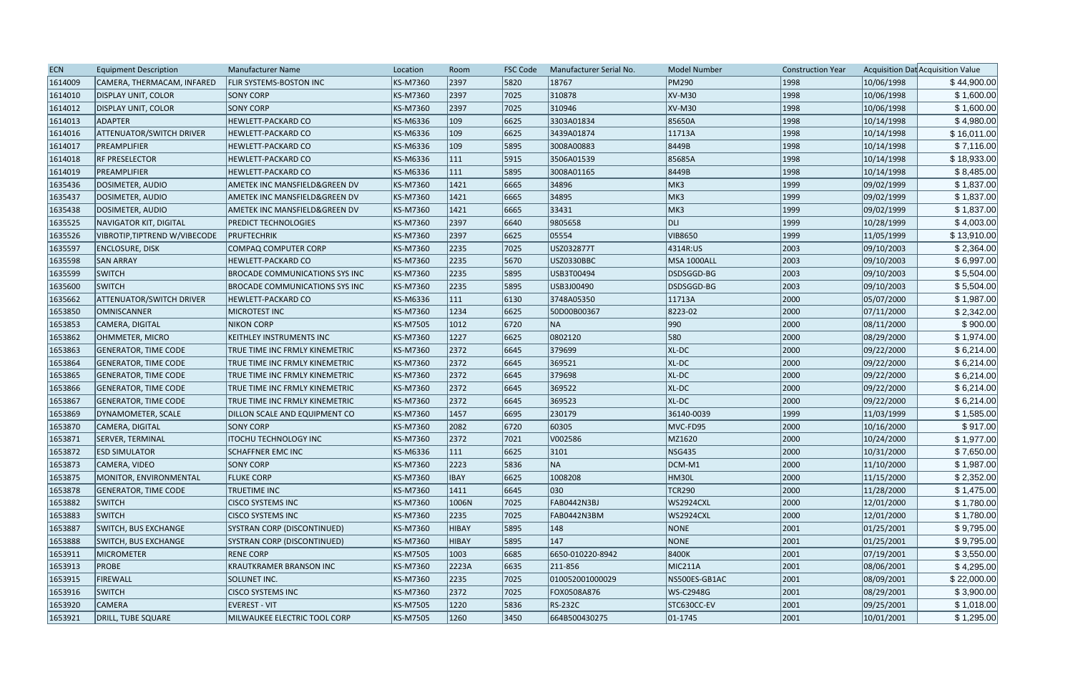| <b>ECN</b> | <b>Equipment Description</b>    | <b>Manufacturer Name</b>              | Location | Room          | <b>FSC Code</b> | Manufacturer Serial No. | <b>Model Number</b> | <b>Construction Year</b> |            | Acquisition Dat Acquisition Value |
|------------|---------------------------------|---------------------------------------|----------|---------------|-----------------|-------------------------|---------------------|--------------------------|------------|-----------------------------------|
| 1614009    | CAMERA, THERMACAM, INFARED      | <b>FLIR SYSTEMS-BOSTON INC</b>        | KS-M7360 | 2397          | 5820            | 18767                   | <b>PM290</b>        | 1998                     | 10/06/1998 | \$44,900.00                       |
| 1614010    | <b>DISPLAY UNIT, COLOR</b>      | <b>SONY CORP</b>                      | KS-M7360 | 2397          | 7025            | 310878                  | XV-M30              | 1998                     | 10/06/1998 | \$1,600.00                        |
| 1614012    | <b>DISPLAY UNIT, COLOR</b>      | <b>SONY CORP</b>                      | KS-M7360 | 2397          | 7025            | 310946                  | XV-M30              | 1998                     | 10/06/1998 | \$1,600.00                        |
| 1614013    | <b>ADAPTER</b>                  | HEWLETT-PACKARD CO                    | KS-M6336 | $ 109\rangle$ | 6625            | 3303A01834              | 85650A              | 1998                     | 10/14/1998 | \$4,980.00                        |
| 1614016    | <b>ATTENUATOR/SWITCH DRIVER</b> | <b>HEWLETT-PACKARD CO</b>             | KS-M6336 | $ 109\rangle$ | 6625            | 3439A01874              | 11713A              | 1998                     | 10/14/1998 | \$16,011.00                       |
| 1614017    | PREAMPLIFIER                    | HEWLETT-PACKARD CO                    | KS-M6336 | $ 109\rangle$ | 5895            | 3008A00883              | 8449B               | 1998                     | 10/14/1998 | \$7,116.00                        |
| 1614018    | <b>RF PRESELECTOR</b>           | <b>HEWLETT-PACKARD CO</b>             | KS-M6336 | 111           | 5915            | 3506A01539              | 85685A              | 1998                     | 10/14/1998 | \$18,933.00                       |
| 1614019    | PREAMPLIFIER                    | <b>HEWLETT-PACKARD CO</b>             | KS-M6336 | 111           | 5895            | 3008A01165              | 8449B               | 1998                     | 10/14/1998 | \$8,485.00                        |
| 1635436    | DOSIMETER, AUDIO                | AMETEK INC MANSFIELD&GREEN DV         | KS-M7360 | 1421          | 6665            | 34896                   | MK3                 | 1999                     | 09/02/1999 | \$1,837.00                        |
| 1635437    | DOSIMETER, AUDIO                | AMETEK INC MANSFIELD&GREEN DV         | KS-M7360 | 1421          | 6665            | 34895                   | MK3                 | 1999                     | 09/02/1999 | \$1,837.00                        |
| 1635438    | DOSIMETER, AUDIO                | AMETEK INC MANSFIELD&GREEN DV         | KS-M7360 | 1421          | 6665            | 33431                   | MK3                 | 1999                     | 09/02/1999 | \$1,837.00                        |
| 1635525    | NAVIGATOR KIT, DIGITAL          | <b>PREDICT TECHNOLOGIES</b>           | KS-M7360 | 2397          | 6640            | 9805658                 | DLI <sub>I</sub>    | 1999                     | 10/28/1999 | \$4,003.00                        |
| 1635526    | VIBROTIP, TIPTREND W/VIBECODE   | PRUFTECHRIK                           | KS-M7360 | 2397          | 6625            | 05554                   | VIB8650             | 1999                     | 11/05/1999 | \$13,910.00                       |
| 1635597    | ENCLOSURE, DISK                 | COMPAQ COMPUTER CORP                  | KS-M7360 | 2235          | 7025            | USZ032877T              | 4314R:US            | 2003                     | 09/10/2003 | \$2,364.00                        |
| 1635598    | <b>SAN ARRAY</b>                | <b>HEWLETT-PACKARD CO</b>             | KS-M7360 | 2235          | 5670            | USZ0330BBC              | <b>MSA 1000ALL</b>  | 2003                     | 09/10/2003 | \$6,997.00                        |
| 1635599    | <b>SWITCH</b>                   | <b>BROCADE COMMUNICATIONS SYS INC</b> | KS-M7360 | 2235          | 5895            | USB3T00494              | DSDSGGD-BG          | 2003                     | 09/10/2003 | \$5,504.00                        |
| 1635600    | <b>SWITCH</b>                   | <b>BROCADE COMMUNICATIONS SYS INC</b> | KS-M7360 | 2235          | 5895            | USB3J00490              | DSDSGGD-BG          | 2003                     | 09/10/2003 | \$5,504.00                        |
| 1635662    | <b>ATTENUATOR/SWITCH DRIVER</b> | <b>HEWLETT-PACKARD CO</b>             | KS-M6336 | 111           | 6130            | 3748A05350              | 11713A              | 2000                     | 05/07/2000 | \$1,987.00                        |
| 1653850    | <b>OMNISCANNER</b>              | MICROTEST INC                         | KS-M7360 | 1234          | 6625            | 50D00B00367             | 8223-02             | 2000                     | 07/11/2000 | \$2,342.00                        |
| 1653853    | CAMERA, DIGITAL                 | <b>NIKON CORP</b>                     | KS-M7505 | 1012          | 6720            | NA                      | 990                 | 2000                     | 08/11/2000 | \$900.00                          |
| 1653862    | OHMMETER, MICRO                 | <b>KEITHLEY INSTRUMENTS INC</b>       | KS-M7360 | 1227          | 6625            | 0802120                 | 580                 | 2000                     | 08/29/2000 | \$1,974.00                        |
| 1653863    | GENERATOR, TIME CODE            | TRUE TIME INC FRMLY KINEMETRIC        | KS-M7360 | 2372          | 6645            | 379699                  | XL-DC               | 2000                     | 09/22/2000 | \$6,214.00                        |
| 1653864    | <b>GENERATOR, TIME CODE</b>     | TRUE TIME INC FRMLY KINEMETRIC        | KS-M7360 | 2372          | 6645            | 369521                  | XL-DC               | 2000                     | 09/22/2000 | \$6,214.00                        |
| 1653865    | <b>GENERATOR, TIME CODE</b>     | TRUE TIME INC FRMLY KINEMETRIC        | KS-M7360 | 2372          | 6645            | 379698                  | XL-DC               | 2000                     | 09/22/2000 | \$6,214.00                        |
| 1653866    | <b>GENERATOR, TIME CODE</b>     | TRUE TIME INC FRMLY KINEMETRIC        | KS-M7360 | 2372          | 6645            | 369522                  | XL-DC               | 2000                     | 09/22/2000 | \$6,214.00                        |
| 1653867    | <b>GENERATOR, TIME CODE</b>     | TRUE TIME INC FRMLY KINEMETRIC        | KS-M7360 | 2372          | 6645            | 369523                  | XL-DC               | 2000                     | 09/22/2000 | \$6,214.00                        |
| 1653869    | DYNAMOMETER, SCALE              | DILLON SCALE AND EQUIPMENT CO         | KS-M7360 | 1457          | 6695            | 230179                  | 36140-0039          | 1999                     | 11/03/1999 | \$1,585.00                        |
| 1653870    | CAMERA, DIGITAL                 | <b>SONY CORP</b>                      | KS-M7360 | 2082          | 6720            | 60305                   | MVC-FD95            | 2000                     | 10/16/2000 | \$917.00                          |
| 1653871    | <b>SERVER, TERMINAL</b>         | <b>ITOCHU TECHNOLOGY INC</b>          | KS-M7360 | 2372          | 7021            | V002586                 | MZ1620              | 2000                     | 10/24/2000 | \$1,977.00                        |
| 1653872    | <b>ESD SIMULATOR</b>            | <b>SCHAFFNER EMC INC</b>              | KS-M6336 | 111           | 6625            | 3101                    | NSG435              | 2000                     | 10/31/2000 | \$7,650.00                        |
| 1653873    | CAMERA, VIDEO                   | <b>SONY CORP</b>                      | KS-M7360 | 2223          | 5836            | NA                      | DCM-M1              | 2000                     | 11/10/2000 | \$1,987.00                        |
| 1653875    | MONITOR, ENVIRONMENTAL          | <b>FLUKE CORP</b>                     | KS-M7360 | <b>IBAY</b>   | 6625            | 1008208                 | HM30L               | 2000                     | 11/15/2000 | \$2,352.00                        |
| 1653878    | GENERATOR, TIME CODE            | TRUETIME INC                          | KS-M7360 | 1411          | 6645            | 030                     | <b>TCR290</b>       | 2000                     | 11/28/2000 | \$1,475.00                        |
| 1653882    | <b>SWITCH</b>                   | <b>CISCO SYSTEMS INC</b>              | KS-M7360 | 1006N         | 7025            | FAB0442N3BJ             | <b>WS2924CXL</b>    | 2000                     | 12/01/2000 | \$1,780.00                        |
| 1653883    | <b>SWITCH</b>                   | <b>CISCO SYSTEMS INC</b>              | KS-M7360 | 2235          | 7025            | FAB0442N3BM             | <b>WS2924CXL</b>    | 2000                     | 12/01/2000 | \$1,780.00                        |
| 1653887    | <b>SWITCH, BUS EXCHANGE</b>     | SYSTRAN CORP (DISCONTINUED)           | KS-M7360 | <b>HIBAY</b>  | 5895            | 148                     | NONE                | 2001                     | 01/25/2001 | \$9,795.00                        |
| 1653888    | SWITCH, BUS EXCHANGE            | SYSTRAN CORP (DISCONTINUED)           | KS-M7360 | <b>HIBAY</b>  | 5895            | $ 147\rangle$           | NONE                | 2001                     | 01/25/2001 | \$9,795.00                        |
| 1653911    | MICROMETER                      | <b>RENE CORP</b>                      | KS-M7505 | 1003          | 6685            | 6650-010220-8942        | 8400K               | 2001                     | 07/19/2001 | \$3,550.00                        |
| 1653913    | <b>PROBE</b>                    | <b>KRAUTKRAMER BRANSON INC</b>        | KS-M7360 | 2223A         | 6635            | 211-856                 | MIC211A             | 2001                     | 08/06/2001 | \$4,295.00                        |
| 1653915    | <b>FIREWALL</b>                 | SOLUNET INC.                          | KS-M7360 | 2235          | 7025            | 010052001000029         | NS500ES-GB1AC       | 2001                     | 08/09/2001 | \$22,000.00                       |
| 1653916    | <b>SWITCH</b>                   | <b>CISCO SYSTEMS INC</b>              | KS-M7360 | 2372          | 7025            | FOX0508A876             | WS-C2948G           | 2001                     | 08/29/2001 | \$3,900.00                        |
| 1653920    | <b>CAMERA</b>                   | EVEREST - VIT                         | KS-M7505 | 1220          | 5836            | RS-232C                 | STC630CC-EV         | 2001                     | 09/25/2001 | \$1,018.00                        |
| 1653921    | DRILL, TUBE SQUARE              | MILWAUKEE ELECTRIC TOOL CORP          | KS-M7505 | 1260          | 3450            | 664B500430275           | $ 01 - 1745 $       | 2001                     | 10/01/2001 | \$1,295.00                        |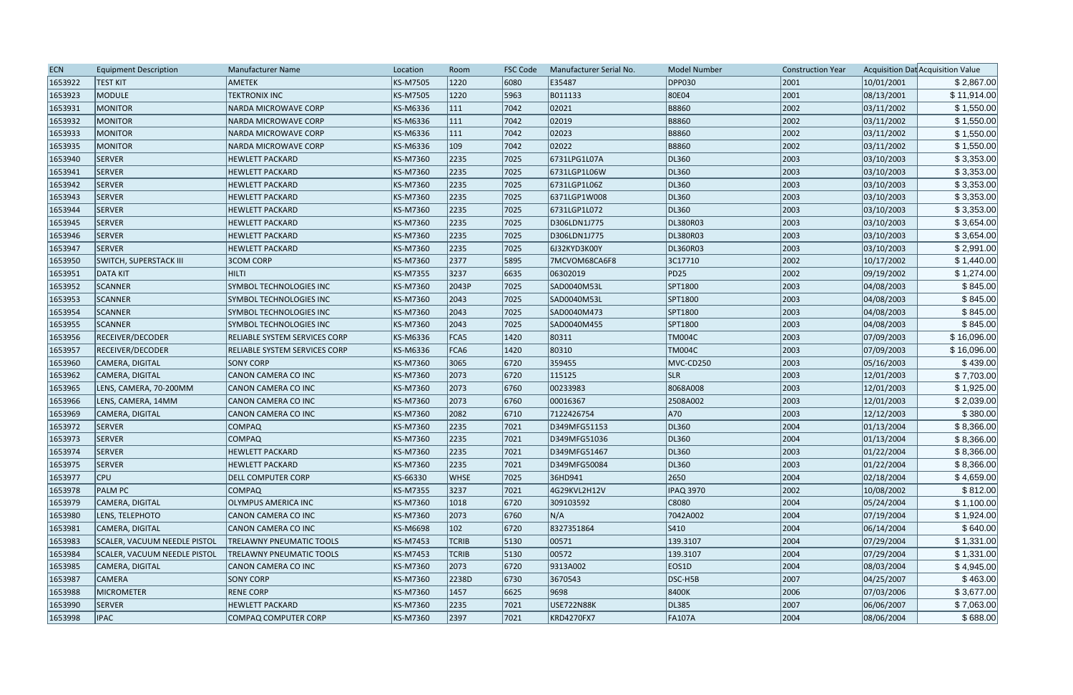| 1653922<br><b>TEST KIT</b><br><b>AMETEK</b><br>KS-M7505<br>1220<br>6080<br>E35487<br><b>DPP030</b><br>2001<br>10/01/2001<br>5963<br>80E04<br>2001<br>08/13/2001<br>1653923<br>MODULE<br><b>TEKTRONIX INC</b><br>KS-M7505<br>1220<br>B011133<br><b>B8860</b><br>1653931<br>KS-M6336<br>7042<br>02021<br>2002<br>03/11/2002<br><b>MONITOR</b><br><b>NARDA MICROWAVE CORP</b><br>111<br> 7042<br>02019<br><b>B8860</b><br>2002<br>03/11/2002<br>1653932<br><b>MONITOR</b><br>KS-M6336<br>111<br><b>NARDA MICROWAVE CORP</b> | \$2,867.00<br>\$11,914.00<br>\$1,550.00<br>\$1,550.00<br>\$1,550.00<br>\$1,550.00<br>\$3,353.00 |
|--------------------------------------------------------------------------------------------------------------------------------------------------------------------------------------------------------------------------------------------------------------------------------------------------------------------------------------------------------------------------------------------------------------------------------------------------------------------------------------------------------------------------|-------------------------------------------------------------------------------------------------|
|                                                                                                                                                                                                                                                                                                                                                                                                                                                                                                                          |                                                                                                 |
|                                                                                                                                                                                                                                                                                                                                                                                                                                                                                                                          |                                                                                                 |
|                                                                                                                                                                                                                                                                                                                                                                                                                                                                                                                          |                                                                                                 |
|                                                                                                                                                                                                                                                                                                                                                                                                                                                                                                                          |                                                                                                 |
| KS-M6336<br>111<br>7042<br>02023<br><b>B8860</b><br>2002<br>03/11/2002<br>1653933<br><b>MONITOR</b><br><b>NARDA MICROWAVE CORP</b>                                                                                                                                                                                                                                                                                                                                                                                       |                                                                                                 |
| 109<br>02022<br>2002<br>03/11/2002<br>1653935<br>MONITOR<br>KS-M6336<br>7042<br><b>B8860</b><br><b>NARDA MICROWAVE CORP</b>                                                                                                                                                                                                                                                                                                                                                                                              |                                                                                                 |
| 1653940<br>2235<br>7025<br>6731LPG1L07A<br>DL360<br>2003<br>03/10/2003<br><b>SERVER</b><br><b>HEWLETT PACKARD</b><br>KS-M7360                                                                                                                                                                                                                                                                                                                                                                                            |                                                                                                 |
| 1653941<br>SERVER<br>2235<br>7025<br>DL360<br>2003<br>03/10/2003<br><b>HEWLETT PACKARD</b><br>KS-M7360<br>6731LGP1L06W                                                                                                                                                                                                                                                                                                                                                                                                   | \$3,353.00                                                                                      |
| 2003<br>SERVER<br>2235<br>7025<br>DL360<br>03/10/2003<br>1653942<br><b>HEWLETT PACKARD</b><br>KS-M7360<br>6731LGP1L06Z                                                                                                                                                                                                                                                                                                                                                                                                   | \$3,353.00                                                                                      |
| 2235<br>DL360<br>2003<br>03/10/2003<br>1653943<br><b>SERVER</b><br>KS-M7360<br>7025<br>6371LGP1W008<br><b>HEWLETT PACKARD</b>                                                                                                                                                                                                                                                                                                                                                                                            | \$3,353.00                                                                                      |
| DL360<br>2003<br>03/10/2003<br>1653944<br><b>SERVER</b><br>KS-M7360<br>2235<br>7025<br>6731LGP1L072<br><b>HEWLETT PACKARD</b>                                                                                                                                                                                                                                                                                                                                                                                            | \$3,353.00                                                                                      |
| 2003<br>1653945<br><b>SERVER</b><br>2235<br>7025<br>DL380R03<br>03/10/2003<br><b>HEWLETT PACKARD</b><br>KS-M7360<br>D306LDN1J775                                                                                                                                                                                                                                                                                                                                                                                         | \$3,654.00                                                                                      |
| 1653946<br><b>SERVER</b><br>KS-M7360<br>2235<br>7025<br>DL380R03<br>2003<br>03/10/2003<br><b>HEWLETT PACKARD</b><br>D306LDN1J775                                                                                                                                                                                                                                                                                                                                                                                         | \$3,654.00                                                                                      |
| 2003<br>2235<br>7025<br>03/10/2003<br>1653947<br><b>SERVER</b><br><b>HEWLETT PACKARD</b><br>KS-M7360<br>6J32KYD3K00Y<br>DL360R03                                                                                                                                                                                                                                                                                                                                                                                         | \$2,991.00                                                                                      |
| 1653950<br>KS-M7360<br>2377<br>5895<br>3C17710<br>2002<br>10/17/2002<br><b>SWITCH, SUPERSTACK III</b><br><b>3COM CORP</b><br>7MCVOM68CA6F8                                                                                                                                                                                                                                                                                                                                                                               | \$1,440.00                                                                                      |
| <b>PD25</b><br>2002<br>09/19/2002<br>1653951<br><b>DATA KIT</b><br><b>HILTI</b><br>KS-M7355<br>3237<br>6635<br>06302019                                                                                                                                                                                                                                                                                                                                                                                                  | \$1,274.00                                                                                      |
| 2003<br>1653952<br><b>SCANNER</b><br>SYMBOL TECHNOLOGIES INC<br>KS-M7360<br>2043P<br>7025<br>SAD0040M53L<br>SPT1800<br>04/08/2003                                                                                                                                                                                                                                                                                                                                                                                        | \$845.00                                                                                        |
| 2003<br>1653953<br>KS-M7360<br>7025<br>SPT1800<br>04/08/2003<br><b>SCANNER</b><br>2043<br>SAD0040M53L<br><b>SYMBOL TECHNOLOGIES INC</b>                                                                                                                                                                                                                                                                                                                                                                                  | \$845.00                                                                                        |
| 2003<br>1653954<br>2043<br>7025<br>04/08/2003<br>SCANNER<br>SYMBOL TECHNOLOGIES INC<br>KS-M7360<br>SAD0040M473<br>SPT1800                                                                                                                                                                                                                                                                                                                                                                                                | \$845.00                                                                                        |
| 2003<br>1653955<br>KS-M7360<br>2043<br>7025<br>SPT1800<br>04/08/2003<br><b>SCANNER</b><br>SYMBOL TECHNOLOGIES INC<br>SAD0040M455                                                                                                                                                                                                                                                                                                                                                                                         | \$845.00                                                                                        |
| 2003<br>07/09/2003<br>1653956<br>RECEIVER/DECODER<br>KS-M6336<br>FCA5<br>$ 1420\rangle$<br>80311<br><b>TM004C</b><br>RELIABLE SYSTEM SERVICES CORP                                                                                                                                                                                                                                                                                                                                                                       | \$16,096.00                                                                                     |
| 1653957<br>$ 1420\rangle$<br>80310<br>2003<br>07/09/2003<br>RECEIVER/DECODER<br>KS-M6336<br>FCA6<br><b>TM004C</b><br><b>RELIABLE SYSTEM SERVICES CORP</b>                                                                                                                                                                                                                                                                                                                                                                | \$16,096.00                                                                                     |
| 359455<br>2003<br>05/16/2003<br>1653960<br>CAMERA, DIGITAL<br><b>SONY CORP</b><br>KS-M7360<br>3065<br> 6720 <br>MVC-CD250                                                                                                                                                                                                                                                                                                                                                                                                | \$439.00                                                                                        |
| 2003<br>1653962<br>2073<br> 6720 <br><b>SLR</b><br>12/01/2003<br>CANON CAMERA CO INC<br>KS-M7360<br>115125<br>CAMERA, DIGITAL                                                                                                                                                                                                                                                                                                                                                                                            | \$7,703.00                                                                                      |
| 1653965<br>00233983<br>8068A008<br>2003<br>12/01/2003<br>LENS, CAMERA, 70-200MM<br>KS-M7360<br>2073<br>6760<br>CANON CAMERA CO INC                                                                                                                                                                                                                                                                                                                                                                                       | \$1,925.00                                                                                      |
| 2508A002<br>2003<br>1653966<br>LENS, CAMERA, 14MM<br>KS-M7360<br>2073<br>6760<br>00016367<br>12/01/2003<br>CANON CAMERA CO INC                                                                                                                                                                                                                                                                                                                                                                                           | \$2,039.00                                                                                      |
| A70<br>1653969<br>KS-M7360<br>6710<br>2003<br>12/12/2003<br>CAMERA, DIGITAL<br>CANON CAMERA CO INC<br>2082<br>7122426754                                                                                                                                                                                                                                                                                                                                                                                                 | \$380.00                                                                                        |
| 2004<br>1653972<br>2235<br> 7021<br>DL360<br>01/13/2004<br><b>SERVER</b><br><b>COMPAQ</b><br>KS-M7360<br>D349MFG51153                                                                                                                                                                                                                                                                                                                                                                                                    | \$8,366.00                                                                                      |
| DL360<br>2004<br>1653973<br><b>SERVER</b><br><b>COMPAQ</b><br>KS-M7360<br>2235<br>7021<br>D349MFG51036<br>01/13/2004                                                                                                                                                                                                                                                                                                                                                                                                     | \$8,366.00                                                                                      |
| 01/22/2004<br>1653974<br>SERVER<br>KS-M7360<br>2235<br>7021<br>DL360<br>2003<br><b>HEWLETT PACKARD</b><br>D349MFG51467                                                                                                                                                                                                                                                                                                                                                                                                   | \$8,366.00                                                                                      |
| SERVER<br>2003<br>1653975<br>KS-M7360<br>2235<br> 7021<br>D349MFG50084<br>DL360<br> 01/22/2004<br><b>HEWLETT PACKARD</b>                                                                                                                                                                                                                                                                                                                                                                                                 | \$8,366.00                                                                                      |
| 1653977<br>2650<br>02/18/2004<br>$ $ CPU<br><b>DELL COMPUTER CORP</b><br>KS-66330<br><b>WHSE</b><br>7025<br>36HD941<br>2004                                                                                                                                                                                                                                                                                                                                                                                              | \$4,659.00                                                                                      |
| 3237<br>2002<br>1653978<br><b>PALM PC</b><br>KS-M7355<br> 7021<br>4G29KVL2H12V<br><b>IPAQ 3970</b><br>10/08/2002<br><b>COMPAQ</b>                                                                                                                                                                                                                                                                                                                                                                                        | \$812.00                                                                                        |
| 1653979<br>C8080<br>2004<br> 05/24/2004<br>CAMERA, DIGITAL<br><b>OLYMPUS AMERICA INC</b><br>KS-M7360<br>1018<br> 6720 <br>309103592                                                                                                                                                                                                                                                                                                                                                                                      | \$1,100.00                                                                                      |
| N/A<br>2004<br>07/19/2004<br>1653980<br>LENS, TELEPHOTO<br>KS-M7360<br>2073<br> 6760 <br>7042A002<br>CANON CAMERA CO INC                                                                                                                                                                                                                                                                                                                                                                                                 | \$1,924.00                                                                                      |
| 2004<br>1653981<br>CAMERA, DIGITAL<br>CANON CAMERA CO INC<br>KS-M6698<br>102<br> 6720 <br>8327351864<br>$ S410\rangle$<br>06/14/2004                                                                                                                                                                                                                                                                                                                                                                                     | \$640.00                                                                                        |
| 00571<br>07/29/2004<br>1653983<br>SCALER, VACUUM NEEDLE PISTOL<br>139.3107<br>2004<br><b>TRELAWNY PNEUMATIC TOOLS</b><br>KS-M7453<br><b>TCRIB</b><br> 5130                                                                                                                                                                                                                                                                                                                                                               | \$1,331.00                                                                                      |
| 1653984<br>2004<br>07/29/2004<br>SCALER, VACUUM NEEDLE PISTOL<br>KS-M7453<br> 5130 <br>00572<br>139.3107<br><b>TRELAWNY PNEUMATIC TOOLS</b><br><b>TCRIB</b>                                                                                                                                                                                                                                                                                                                                                              | \$1,331.00                                                                                      |
| 1653985<br>9313A002<br>2004<br>08/03/2004<br>CAMERA, DIGITAL<br>CANON CAMERA CO INC<br>KS-M7360<br>2073<br>6720<br>EOS1D                                                                                                                                                                                                                                                                                                                                                                                                 | \$4,945.00                                                                                      |
| 2007<br>04/25/2007<br>1653987<br><b>CAMERA</b><br><b>SONY CORP</b><br>KS-M7360<br>2238D<br> 6730 <br>3670543<br>DSC-H5B                                                                                                                                                                                                                                                                                                                                                                                                  | \$463.00                                                                                        |
| 2006<br>1653988<br>MICROMETER<br><b>RENE CORP</b><br>KS-M7360<br>1457<br> 6625 <br>9698<br>8400K<br>07/03/2006                                                                                                                                                                                                                                                                                                                                                                                                           | \$3,677.00                                                                                      |
| <b>USE722N88K</b><br>2007<br>06/06/2007<br>1653990<br>SERVER<br><b>HEWLETT PACKARD</b><br>KS-M7360<br>2235<br> 7021<br>DL385                                                                                                                                                                                                                                                                                                                                                                                             | \$7,063.00                                                                                      |
| 1653998<br>2397<br> 7021<br><b>IPAC</b><br>COMPAQ COMPUTER CORP<br>KS-M7360<br>KRD4270FX7<br><b>FA107A</b><br>2004<br>08/06/2004                                                                                                                                                                                                                                                                                                                                                                                         | \$688.00                                                                                        |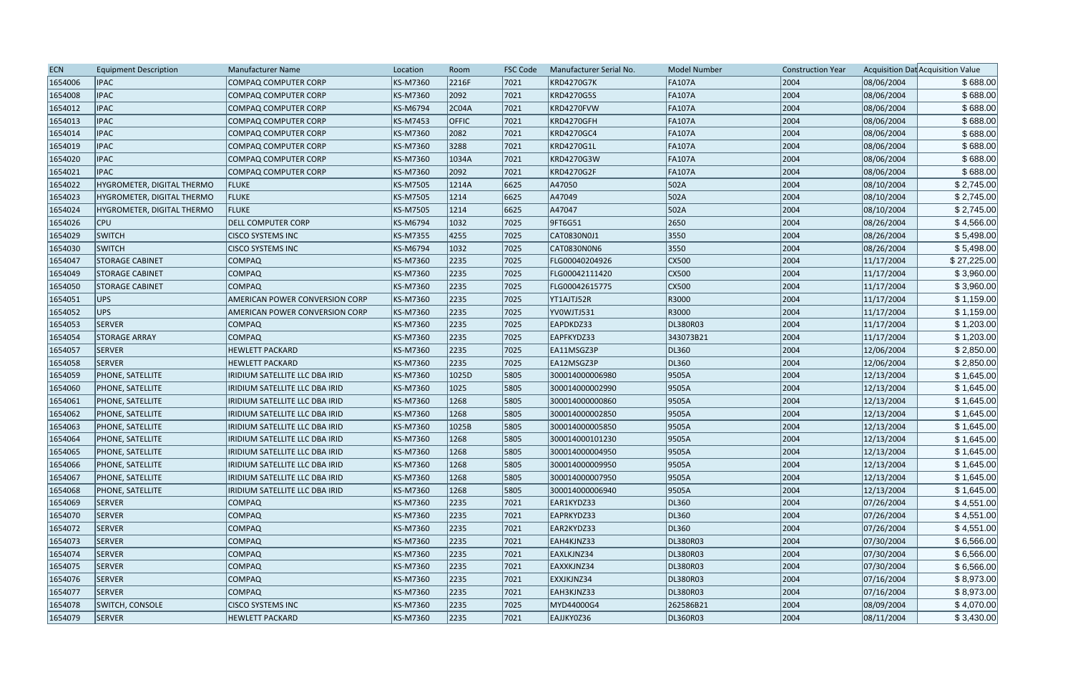| <b>ECN</b> | <b>Equipment Description</b> | Manufacturer Name                     | Location | Room         | <b>FSC Code</b> | Manufacturer Serial No. | <b>Model Number</b> | <b>Construction Year</b> |            | Acquisition Dat Acquisition Value |
|------------|------------------------------|---------------------------------------|----------|--------------|-----------------|-------------------------|---------------------|--------------------------|------------|-----------------------------------|
| 1654006    | <b>IPAC</b>                  | <b>COMPAQ COMPUTER CORP</b>           | KS-M7360 | 2216F        | 7021            | <b>KRD4270G7K</b>       | <b>FA107A</b>       | 2004                     | 08/06/2004 | \$688.00                          |
| 1654008    | <b>IPAC</b>                  | <b>COMPAQ COMPUTER CORP</b>           | KS-M7360 | 2092         | 7021            | KRD4270G5S              | <b>FA107A</b>       | 2004                     | 08/06/2004 | \$688.00                          |
| 1654012    | <b>IPAC</b>                  | COMPAQ COMPUTER CORP                  | KS-M6794 | 2C04A        | 7021            | KRD4270FVW              | <b>FA107A</b>       | 2004                     | 08/06/2004 | \$688.00                          |
| 1654013    | <b>IPAC</b>                  | <b>COMPAQ COMPUTER CORP</b>           | KS-M7453 | <b>OFFIC</b> | 7021            | KRD4270GFH              | <b>FA107A</b>       | 2004                     | 08/06/2004 | \$688.00                          |
| 1654014    | <b>IPAC</b>                  | COMPAQ COMPUTER CORP                  | KS-M7360 | 2082         | 7021            | KRD4270GC4              | <b>FA107A</b>       | 2004                     | 08/06/2004 | \$688.00                          |
| 1654019    | <b>IPAC</b>                  | <b>COMPAQ COMPUTER CORP</b>           | KS-M7360 | 3288         | 7021            | KRD4270G1L              | <b>FA107A</b>       | 2004                     | 08/06/2004 | \$688.00                          |
| 1654020    | <b>IPAC</b>                  | <b>COMPAQ COMPUTER CORP</b>           | KS-M7360 | 1034A        | 7021            | <b>KRD4270G3W</b>       | <b>FA107A</b>       | 2004                     | 08/06/2004 | \$688.00                          |
| 1654021    | <b>IPAC</b>                  | <b>COMPAQ COMPUTER CORP</b>           | KS-M7360 | 2092         | 7021            | KRD4270G2F              | <b>FA107A</b>       | 2004                     | 08/06/2004 | \$688.00                          |
| 1654022    | HYGROMETER, DIGITAL THERMO   | <b>FLUKE</b>                          | KS-M7505 | 1214A        | 6625            | A47050                  | 502A                | 2004                     | 08/10/2004 | \$2,745.00                        |
| 1654023    | HYGROMETER, DIGITAL THERMO   | <b>FLUKE</b>                          | KS-M7505 | 1214         | 6625            | A47049                  | 502A                | 2004                     | 08/10/2004 | \$2,745.00                        |
| 1654024    | HYGROMETER, DIGITAL THERMO   | <b>FLUKE</b>                          | KS-M7505 | 1214         | 6625            | A47047                  | 502A                | 2004                     | 08/10/2004 | \$2,745.00                        |
| 1654026    | <b>CPU</b>                   | <b>DELL COMPUTER CORP</b>             | KS-M6794 | 1032         | 7025            | 9FT6G51                 | 2650                | 2004                     | 08/26/2004 | \$4,566.00                        |
| 1654029    | <b>SWITCH</b>                | <b>CISCO SYSTEMS INC</b>              | KS-M7355 | 4255         | 7025            | CAT0830N0J1             | 3550                | 2004                     | 08/26/2004 | \$5,498.00                        |
| 1654030    | <b>SWITCH</b>                | <b>CISCO SYSTEMS INC</b>              | KS-M6794 | 1032         | 7025            | CAT0830N0N6             | 3550                | 2004                     | 08/26/2004 | \$5,498.00                        |
| 1654047    | <b>STORAGE CABINET</b>       | <b>COMPAQ</b>                         | KS-M7360 | 2235         | 7025            | FLG00040204926          | CX500               | 2004                     | 11/17/2004 | \$27,225.00                       |
| 1654049    | <b>STORAGE CABINET</b>       | <b>COMPAQ</b>                         | KS-M7360 | 2235         | 7025            | FLG00042111420          | CX500               | 2004                     | 11/17/2004 | \$3,960.00                        |
| 1654050    | <b>STORAGE CABINET</b>       | <b>COMPAQ</b>                         | KS-M7360 | 2235         | 7025            | FLG00042615775          | CX500               | 2004                     | 11/17/2004 | \$3,960.00                        |
| 1654051    | UPS                          | <b>AMERICAN POWER CONVERSION CORP</b> | KS-M7360 | 2235         | 7025            | YT1AJTJ52R              | R3000               | 2004                     | 11/17/2004 | \$1,159.00                        |
| 1654052    | UPS                          | <b>AMERICAN POWER CONVERSION CORP</b> | KS-M7360 | 2235         | 7025            | YV0WJTJ531              | R3000               | 2004                     | 11/17/2004 | \$1,159.00                        |
| 1654053    | <b>SERVER</b>                | <b>COMPAQ</b>                         | KS-M7360 | 2235         | 7025            | EAPDKDZ33               | DL380R03            | 2004                     | 11/17/2004 | \$1,203.00                        |
| 1654054    | <b>STORAGE ARRAY</b>         | <b>COMPAQ</b>                         | KS-M7360 | 2235         | 7025            | EAPFKYDZ33              | 343073B21           | 2004                     | 11/17/2004 | \$1,203.00                        |
| 1654057    | <b>SERVER</b>                | <b>HEWLETT PACKARD</b>                | KS-M7360 | 2235         | 7025            | EA11MSGZ3P              | DL360               | 2004                     | 12/06/2004 | \$2,850.00                        |
| 1654058    | <b>SERVER</b>                | <b>HEWLETT PACKARD</b>                | KS-M7360 | 2235         | 7025            | EA12MSGZ3P              | DL360               | 2004                     | 12/06/2004 | \$2,850.00                        |
| 1654059    | <b>PHONE, SATELLITE</b>      | IRIDIUM SATELLITE LLC DBA IRID        | KS-M7360 | 1025D        | 5805            | 300014000006980         | 9505A               | 2004                     | 12/13/2004 | \$1,645.00                        |
| 1654060    | <b>PHONE, SATELLITE</b>      | IRIDIUM SATELLITE LLC DBA IRID        | KS-M7360 | 1025         | 5805            | 300014000002990         | 9505A               | 2004                     | 12/13/2004 | \$1,645.00                        |
| 1654061    | <b>PHONE, SATELLITE</b>      | IRIDIUM SATELLITE LLC DBA IRID        | KS-M7360 | 1268         | 5805            | 300014000000860         | 9505A               | 2004                     | 12/13/2004 | \$1,645.00                        |
| 1654062    | <b>PHONE, SATELLITE</b>      | IRIDIUM SATELLITE LLC DBA IRID        | KS-M7360 | 1268         | 5805            | 300014000002850         | 9505A               | 2004                     | 12/13/2004 | \$1,645.00                        |
| 1654063    | <b>PHONE, SATELLITE</b>      | <b>IRIDIUM SATELLITE LLC DBA IRID</b> | KS-M7360 | 1025B        | 5805            | 300014000005850         | 9505A               | 2004                     | 12/13/2004 | \$1,645.00                        |
| 1654064    | <b>PHONE, SATELLITE</b>      | IRIDIUM SATELLITE LLC DBA IRID        | KS-M7360 | 1268         | 5805            | 300014000101230         | 9505A               | 2004                     | 12/13/2004 | \$1,645.00                        |
| 1654065    | <b>PHONE, SATELLITE</b>      | IRIDIUM SATELLITE LLC DBA IRID        | KS-M7360 | 1268         | 5805            | 300014000004950         | 9505A               | 2004                     | 12/13/2004 | \$1,645.00                        |
| 1654066    | <b>PHONE, SATELLITE</b>      | IRIDIUM SATELLITE LLC DBA IRID        | KS-M7360 | 1268         | 5805            | 300014000009950         | 9505A               | 2004                     | 12/13/2004 | \$1,645.00                        |
| 1654067    | <b>PHONE, SATELLITE</b>      | IRIDIUM SATELLITE LLC DBA IRID        | KS-M7360 | 1268         | 5805            | 300014000007950         | 9505A               | 2004                     | 12/13/2004 | \$1,645.00                        |
| 1654068    | <b>PHONE, SATELLITE</b>      | <b>IRIDIUM SATELLITE LLC DBA IRID</b> | KS-M7360 | 1268         | 5805            | 300014000006940         | 9505A               | 2004                     | 12/13/2004 | \$1,645.00                        |
| 1654069    | SERVER                       | <b>COMPAQ</b>                         | KS-M7360 | 2235         | 7021            | EAR1KYDZ33              | DL360               | 2004                     | 07/26/2004 | \$4,551.00                        |
| 1654070    | SERVER                       | <b>COMPAQ</b>                         | KS-M7360 | 2235         | 7021            | EAPRKYDZ33              | DL360               | 2004                     | 07/26/2004 | \$4,551.00                        |
| 1654072    | SERVER                       | <b>COMPAQ</b>                         | KS-M7360 | 2235         | 7021            | EAR2KYDZ33              | DL360               | 2004                     | 07/26/2004 | \$4,551.00                        |
| 1654073    | SERVER                       | <b>COMPAQ</b>                         | KS-M7360 | 2235         | 7021            | EAH4KJNZ33              | DL380R03            | 2004                     | 07/30/2004 | \$6,566.00                        |
| 1654074    | <b>SERVER</b>                | <b>COMPAQ</b>                         | KS-M7360 | 2235         | 7021            | EAXLKJNZ34              | DL380R03            | 2004                     | 07/30/2004 | \$6,566.00                        |
| 1654075    | <b>SERVER</b>                | <b>COMPAQ</b>                         | KS-M7360 | 2235         | 7021            | EAXXKJNZ34              | DL380R03            | 2004                     | 07/30/2004 | \$6,566.00                        |
| 1654076    | SERVER                       | <b>COMPAQ</b>                         | KS-M7360 | 2235         | 7021            | EXXJKJNZ34              | DL380R03            | 2004                     | 07/16/2004 | \$8,973.00                        |
| 1654077    | SERVER                       | <b>COMPAQ</b>                         | KS-M7360 | 2235         | 7021            | EAH3KJNZ33              | DL380R03            | 2004                     | 07/16/2004 | \$8,973.00                        |
| 1654078    | SWITCH, CONSOLE              | <b>CISCO SYSTEMS INC</b>              | KS-M7360 | 2235         | 7025            | MYD44000G4              | 262586B21           | 2004                     | 08/09/2004 | \$4,070.00                        |
| 1654079    | SERVER                       | <b>HEWLETT PACKARD</b>                | KS-M7360 | 2235         | 7021            | EAJJKY0Z36              | DL360R03            | 2004                     | 08/11/2004 | \$3,430.00                        |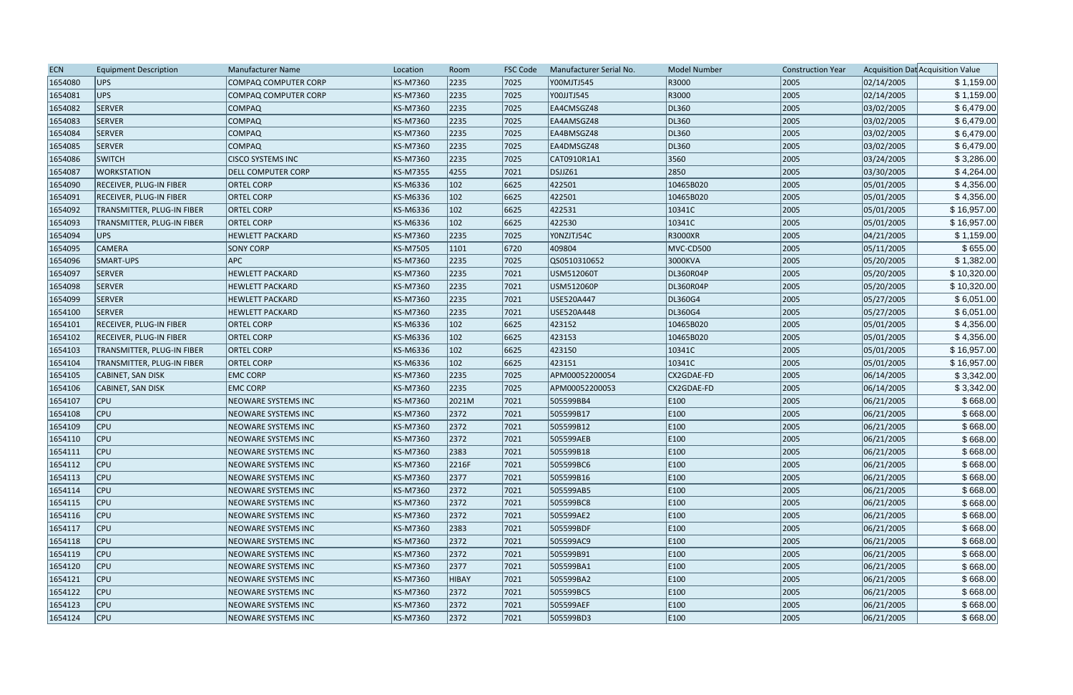| <b>ECN</b> | <b>Equipment Description</b>      | <b>Manufacturer Name</b>    | Location | Room         | <b>FSC Code</b> | Manufacturer Serial No. | <b>Model Number</b> | <b>Construction Year</b> |            | Acquisition Dat Acquisition Value |
|------------|-----------------------------------|-----------------------------|----------|--------------|-----------------|-------------------------|---------------------|--------------------------|------------|-----------------------------------|
| 1654080    | UPS                               | COMPAQ COMPUTER CORP        | KS-M7360 | 2235         | 7025            | Y00MJTJ545              | R3000               | 2005                     | 02/14/2005 | \$1,159.00                        |
| 1654081    | UPS                               | <b>COMPAQ COMPUTER CORP</b> | KS-M7360 | 2235         | 7025            | Y00JJTJ545              | R3000               | 2005                     | 02/14/2005 | \$1,159.00                        |
| 1654082    | <b>SERVER</b>                     | <b>COMPAQ</b>               | KS-M7360 | 2235         | 7025            | EA4CMSGZ48              | DL360               | 2005                     | 03/02/2005 | \$6,479.00                        |
| 1654083    | <b>SERVER</b>                     | <b>COMPAQ</b>               | KS-M7360 | 2235         | 7025            | EA4AMSGZ48              | DL360               | 2005                     | 03/02/2005 | \$6,479.00                        |
| 1654084    | <b>SERVER</b>                     | <b>COMPAQ</b>               | KS-M7360 | 2235         | 7025            | EA4BMSGZ48              | DL360               | 2005                     | 03/02/2005 | \$6,479.00                        |
| 1654085    | <b>SERVER</b>                     | <b>COMPAQ</b>               | KS-M7360 | 2235         | 7025            | EA4DMSGZ48              | DL360               | 2005                     | 03/02/2005 | \$6,479.00                        |
| 1654086    | <b>SWITCH</b>                     | <b>CISCO SYSTEMS INC</b>    | KS-M7360 | 2235         | 7025            | CAT0910R1A1             | 3560                | 2005                     | 03/24/2005 | \$3,286.00                        |
| 1654087    | <b>WORKSTATION</b>                | <b>DELL COMPUTER CORP</b>   | KS-M7355 | 4255         | 7021            | DSJJZ61                 | 2850                | 2005                     | 03/30/2005 | \$4,264.00                        |
| 1654090    | <b>RECEIVER, PLUG-IN FIBER</b>    | <b>ORTEL CORP</b>           | KS-M6336 | 102          | 6625            | 422501                  | 10465B020           | 2005                     | 05/01/2005 | \$4,356.00                        |
| 1654091    | <b>RECEIVER, PLUG-IN FIBER</b>    | <b>ORTEL CORP</b>           | KS-M6336 | 102          | 6625            | 422501                  | 10465B020           | 2005                     | 05/01/2005 | \$4,356.00                        |
| 1654092    | TRANSMITTER, PLUG-IN FIBER        | <b>ORTEL CORP</b>           | KS-M6336 | 102          | 6625            | 422531                  | 10341C              | 2005                     | 05/01/2005 | \$16,957.00                       |
| 1654093    | <b>TRANSMITTER, PLUG-IN FIBER</b> | <b>ORTEL CORP</b>           | KS-M6336 | 102          | 6625            | 422530                  | 10341C              | 2005                     | 05/01/2005 | \$16,957.00                       |
| 1654094    | UPS                               | <b>HEWLETT PACKARD</b>      | KS-M7360 | 2235         | 7025            | YONZJTJ54C              | R3000XR             | 2005                     | 04/21/2005 | \$1,159.00                        |
| 1654095    | <b>CAMERA</b>                     | <b>SONY CORP</b>            | KS-M7505 | 1101         | 6720            | 409804                  | MVC-CD500           | 2005                     | 05/11/2005 | \$655.00                          |
| 1654096    | SMART-UPS                         | <b>APC</b>                  | KS-M7360 | 2235         | 7025            | QS0510310652            | 3000KVA             | 2005                     | 05/20/2005 | \$1,382.00                        |
| 1654097    | <b>SERVER</b>                     | <b>HEWLETT PACKARD</b>      | KS-M7360 | 2235         | 7021            | USM512060T              | DL360R04P           | 2005                     | 05/20/2005 | \$10,320.00                       |
| 1654098    | <b>SERVER</b>                     | <b>HEWLETT PACKARD</b>      | KS-M7360 | 2235         | 7021            | USM512060P              | DL360R04P           | 2005                     | 05/20/2005 | \$10,320.00                       |
| 1654099    | <b>SERVER</b>                     | <b>HEWLETT PACKARD</b>      | KS-M7360 | 2235         | 7021            | USE520A447              | DL360G4             | 2005                     | 05/27/2005 | \$6,051.00                        |
| 1654100    | <b>SERVER</b>                     | <b>HEWLETT PACKARD</b>      | KS-M7360 | 2235         | 7021            | USE520A448              | DL360G4             | 2005                     | 05/27/2005 | \$6,051.00                        |
| 1654101    | RECEIVER, PLUG-IN FIBER           | <b>ORTEL CORP</b>           | KS-M6336 | 102          | 6625            | 423152                  | 10465B020           | 2005                     | 05/01/2005 | \$4,356.00                        |
| 1654102    | <b>RECEIVER, PLUG-IN FIBER</b>    | <b>ORTEL CORP</b>           | KS-M6336 | 102          | 6625            | 423153                  | 10465B020           | 2005                     | 05/01/2005 | \$4,356.00                        |
| 1654103    | <b>TRANSMITTER, PLUG-IN FIBER</b> | <b>ORTEL CORP</b>           | KS-M6336 | 102          | 6625            | 423150                  | 10341C              | 2005                     | 05/01/2005 | \$16,957.00                       |
| 1654104    | <b>TRANSMITTER, PLUG-IN FIBER</b> | <b>ORTEL CORP</b>           | KS-M6336 | 102          | 6625            | 423151                  | 10341C              | 2005                     | 05/01/2005 | \$16,957.00                       |
| 1654105    | CABINET, SAN DISK                 | <b>EMC CORP</b>             | KS-M7360 | 2235         | 7025            | APM00052200054          | CX2GDAE-FD          | 2005                     | 06/14/2005 | \$3,342.00                        |
| 1654106    | CABINET, SAN DISK                 | <b>EMC CORP</b>             | KS-M7360 | 2235         | 7025            | APM00052200053          | CX2GDAE-FD          | 2005                     | 06/14/2005 | \$3,342.00                        |
| 1654107    | $ $ CPU                           | NEOWARE SYSTEMS INC         | KS-M7360 | 2021M        | 7021            | 505599BB4               | E100                | 2005                     | 06/21/2005 | \$668.00                          |
| 1654108    | <b>CPU</b>                        | NEOWARE SYSTEMS INC         | KS-M7360 | 2372         | 7021            | 505599B17               | E100                | 2005                     | 06/21/2005 | \$668.00                          |
| 1654109    | $ $ CPU                           | <b>NEOWARE SYSTEMS INC</b>  | KS-M7360 | 2372         | 7021            | 505599B12               | E100                | 2005                     | 06/21/2005 | \$668.00                          |
| 1654110    | $ $ CPU                           | <b>NEOWARE SYSTEMS INC</b>  | KS-M7360 | 2372         | 7021            | 505599AEB               | E100                | 2005                     | 06/21/2005 | \$668.00                          |
| 1654111    | $ $ CPU                           | NEOWARE SYSTEMS INC         | KS-M7360 | 2383         | 7021            | 505599B18               | E100                | 2005                     | 06/21/2005 | \$668.00                          |
| 1654112    | $ $ CPU                           | NEOWARE SYSTEMS INC         | KS-M7360 | 2216F        | 7021            | 505599BC6               | E100                | 2005                     | 06/21/2005 | \$668.00                          |
| 1654113    | $ $ CPU                           | NEOWARE SYSTEMS INC         | KS-M7360 | 2377         | 7021            | 505599B16               | E100                | 2005                     | 06/21/2005 | \$668.00                          |
| 1654114    | $ $ CPU                           | NEOWARE SYSTEMS INC         | KS-M7360 | 2372         | 7021            | 505599AB5               | E100                | 2005                     | 06/21/2005 | \$668.00                          |
| 1654115    | $ $ CPU                           | <b>NEOWARE SYSTEMS INC</b>  | KS-M7360 | 2372         | 7021            | 505599BC8               | E100                | 2005                     | 06/21/2005 | \$668.00                          |
| 1654116    | $ $ CPU                           | NEOWARE SYSTEMS INC         | KS-M7360 | 2372         | 7021            | 505599AE2               | E100                | 2005                     | 06/21/2005 | \$668.00                          |
| 1654117    | $ $ CPU                           | NEOWARE SYSTEMS INC         | KS-M7360 | 2383         | 7021            | 505599BDF               | E100                | 2005                     | 06/21/2005 | \$668.00                          |
| 1654118    | $ $ CPU                           | NEOWARE SYSTEMS INC         | KS-M7360 | 2372         | 7021            | 505599AC9               | E100                | 2005                     | 06/21/2005 | \$668.00                          |
| 1654119    | <b>CPU</b>                        | <b>NEOWARE SYSTEMS INC</b>  | KS-M7360 | 2372         | 7021            | 505599B91               | E100                | 2005                     | 06/21/2005 | \$668.00                          |
| 1654120    | <b>CPU</b>                        | NEOWARE SYSTEMS INC         | KS-M7360 | 2377         | 7021            | 505599BA1               | E100                | 2005                     | 06/21/2005 | \$668.00                          |
| 1654121    | $ $ CPU                           | NEOWARE SYSTEMS INC         | KS-M7360 | <b>HIBAY</b> | 7021            | 505599BA2               | E100                | 2005                     | 06/21/2005 | \$668.00                          |
| 1654122    | $ $ CPU                           | <b>NEOWARE SYSTEMS INC</b>  | KS-M7360 | 2372         | 7021            | 505599BC5               | E100                | 2005                     | 06/21/2005 | \$668.00                          |
| 1654123    | $ $ CPU                           | NEOWARE SYSTEMS INC         | KS-M7360 | 2372         | 7021            | 505599AEF               | E100                | 2005                     | 06/21/2005 | \$668.00                          |
| 1654124    | $ $ CPU                           | NEOWARE SYSTEMS INC         | KS-M7360 | 2372         | 7021            | 505599BD3               | E100                | 2005                     | 06/21/2005 | \$668.00                          |
|            |                                   |                             |          |              |                 |                         |                     |                          |            |                                   |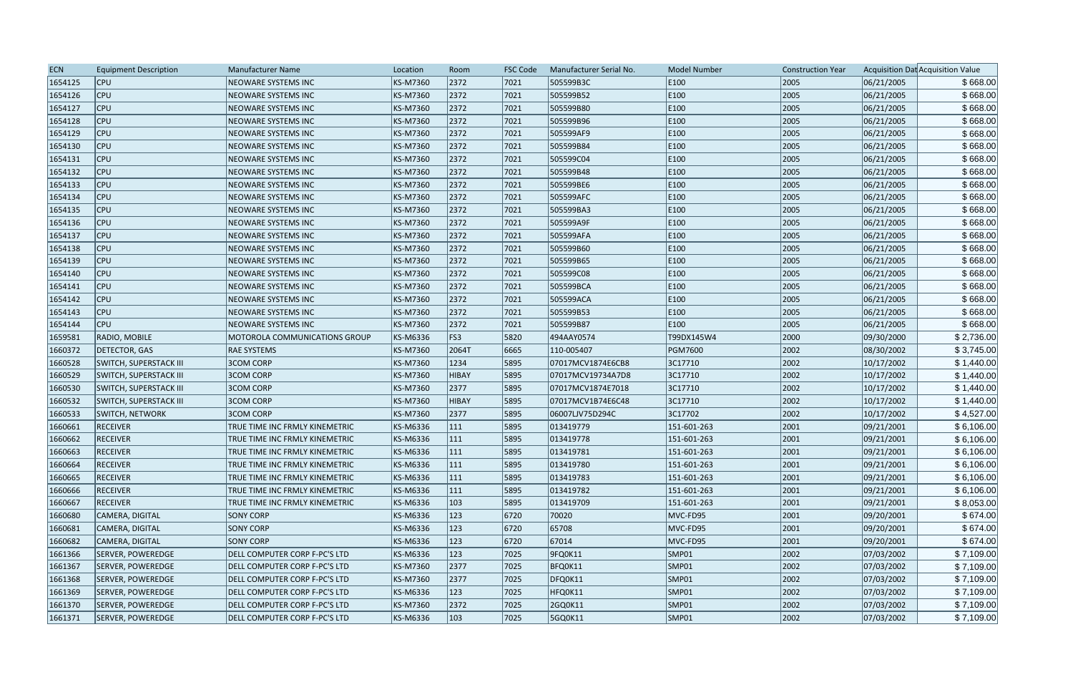| <b>ECN</b> | <b>Equipment Description</b>  | Manufacturer Name              | Location | Room         | <b>FSC Code</b> | Manufacturer Serial No. | <b>Model Number</b> | <b>Construction Year</b> |            | Acquisition Dat Acquisition Value |
|------------|-------------------------------|--------------------------------|----------|--------------|-----------------|-------------------------|---------------------|--------------------------|------------|-----------------------------------|
| 1654125    | <b>CPU</b>                    | <b>NEOWARE SYSTEMS INC</b>     | KS-M7360 | 2372         | 7021            | 505599B3C               | E100                | 2005                     | 06/21/2005 | \$668.00                          |
| 1654126    | <b>CPU</b>                    | <b>NEOWARE SYSTEMS INC</b>     | KS-M7360 | 2372         | 7021            | 505599B52               | E100                | 2005                     | 06/21/2005 | \$668.00                          |
| 1654127    | <b>CPU</b>                    | NEOWARE SYSTEMS INC            | KS-M7360 | 2372         | 7021            | 505599B80               | E100                | 2005                     | 06/21/2005 | \$668.00                          |
| 1654128    | $ $ CPU                       | NEOWARE SYSTEMS INC            | KS-M7360 | 2372         | 7021            | 505599B96               | E100                | 2005                     | 06/21/2005 | \$668.00                          |
| 1654129    | $ $ CPU                       | NEOWARE SYSTEMS INC            | KS-M7360 | 2372         | 7021            | 505599AF9               | E100                | 2005                     | 06/21/2005 | \$668.00                          |
| 1654130    | <b>CPU</b>                    | NEOWARE SYSTEMS INC            | KS-M7360 | 2372         | 7021            | 505599B84               | E100                | 2005                     | 06/21/2005 | \$668.00                          |
| 1654131    | <b>CPU</b>                    | NEOWARE SYSTEMS INC            | KS-M7360 | 2372         | 7021            | 505599C04               | E100                | 2005                     | 06/21/2005 | \$668.00                          |
| 1654132    | <b>CPU</b>                    | <b>NEOWARE SYSTEMS INC</b>     | KS-M7360 | 2372         | $ 7021$         | 505599B48               | E100                | 2005                     | 06/21/2005 | \$668.00                          |
| 1654133    | $ $ CPU                       | <b>NEOWARE SYSTEMS INC</b>     | KS-M7360 | 2372         | 7021            | 505599BE6               | E100                | 2005                     | 06/21/2005 | \$668.00                          |
| 1654134    | $ $ CPU                       | <b>NEOWARE SYSTEMS INC</b>     | KS-M7360 | 2372         | 7021            | 505599AFC               | E100                | 2005                     | 06/21/2005 | \$668.00                          |
| 1654135    | $ $ CPU                       | <b>NEOWARE SYSTEMS INC</b>     | KS-M7360 | 2372         | 7021            | 505599BA3               | E100                | 2005                     | 06/21/2005 | \$668.00                          |
| 1654136    | <b>CPU</b>                    | NEOWARE SYSTEMS INC            | KS-M7360 | 2372         | 7021            | 505599A9F               | E100                | 2005                     | 06/21/2005 | \$668.00                          |
| 1654137    | <b>CPU</b>                    | <b>NEOWARE SYSTEMS INC</b>     | KS-M7360 | 2372         | 7021            | 505599AFA               | E100                | 2005                     | 06/21/2005 | \$668.00                          |
| 1654138    | <b>CPU</b>                    | <b>NEOWARE SYSTEMS INC</b>     | KS-M7360 | 2372         | 7021            | 505599B60               | E100                | 2005                     | 06/21/2005 | \$668.00                          |
| 1654139    | <b>CPU</b>                    | <b>NEOWARE SYSTEMS INC</b>     | KS-M7360 | 2372         | 7021            | 505599B65               | E100                | 2005                     | 06/21/2005 | \$668.00                          |
| 1654140    | $ $ CPU                       | NEOWARE SYSTEMS INC            | KS-M7360 | 2372         | 7021            | 505599C08               | E100                | 2005                     | 06/21/2005 | \$668.00                          |
| 1654141    | $ $ CPU                       | <b>NEOWARE SYSTEMS INC</b>     | KS-M7360 | 2372         | 7021            | 505599BCA               | E100                | 2005                     | 06/21/2005 | \$668.00                          |
| 1654142    | $ $ CPU                       | NEOWARE SYSTEMS INC            | KS-M7360 | 2372         | 7021            | 505599ACA               | E100                | 2005                     | 06/21/2005 | \$668.00                          |
| 1654143    | <b>CPU</b>                    | NEOWARE SYSTEMS INC            | KS-M7360 | 2372         | 7021            | 505599B53               | E100                | 2005                     | 06/21/2005 | \$668.00                          |
| 1654144    | <b>CPU</b>                    | NEOWARE SYSTEMS INC            | KS-M7360 | 2372         | 7021            | 505599B87               | E100                | 2005                     | 06/21/2005 | \$668.00                          |
| 1659581    | RADIO, MOBILE                 | MOTOROLA COMMUNICATIONS GROUP  | KS-M6336 | FS3          | 5820            | 494AAY0574              | T99DX145W4          | 2000                     | 09/30/2000 | \$2,736.00                        |
| 1660372    | DETECTOR, GAS                 | <b>RAE SYSTEMS</b>             | KS-M7360 | 2064T        | 6665            | 110-005407              | PGM7600             | 2002                     | 08/30/2002 | \$3,745.00                        |
| 1660528    | <b>SWITCH, SUPERSTACK III</b> | <b>3COM CORP</b>               | KS-M7360 | 1234         | 5895            | 07017MCV1874E6CB8       | 3C17710             | 2002                     | 10/17/2002 | \$1,440.00                        |
| 1660529    | <b>SWITCH, SUPERSTACK III</b> | <b>3COM CORP</b>               | KS-M7360 | <b>HIBAY</b> | 5895            | 07017MCV19734A7D8       | 3C17710             | 2002                     | 10/17/2002 | \$1,440.00                        |
| 1660530    | <b>SWITCH, SUPERSTACK III</b> | <b>3COM CORP</b>               | KS-M7360 | 2377         | 5895            | 07017MCV1874E7018       | 3C17710             | 2002                     | 10/17/2002 | \$1,440.00                        |
| 1660532    | <b>SWITCH, SUPERSTACK III</b> | <b>3COM CORP</b>               | KS-M7360 | <b>HIBAY</b> | 5895            | 07017MCV1B74E6C48       | 3C17710             | 2002                     | 10/17/2002 | \$1,440.00                        |
| 1660533    | <b>SWITCH, NETWORK</b>        | <b>3COM CORP</b>               | KS-M7360 | 2377         | 5895            | 06007LJV75D294C         | 3C17702             | 2002                     | 10/17/2002 | \$4,527.00                        |
| 1660661    | <b>RECEIVER</b>               | TRUE TIME INC FRMLY KINEMETRIC | KS-M6336 | 111          | 5895            | 013419779               | 151-601-263         | 2001                     | 09/21/2001 | \$6,106.00                        |
| 1660662    | <b>RECEIVER</b>               | TRUE TIME INC FRMLY KINEMETRIC | KS-M6336 | 111          | 5895            | 013419778               | 151-601-263         | 2001                     | 09/21/2001 | \$6,106.00                        |
| 1660663    | <b>RECEIVER</b>               | TRUE TIME INC FRMLY KINEMETRIC | KS-M6336 | 111          | 5895            | 013419781               | 151-601-263         | 2001                     | 09/21/2001 | \$6,106.00                        |
| 1660664    | <b>RECEIVER</b>               | TRUE TIME INC FRMLY KINEMETRIC | KS-M6336 | 111          | 5895            | 013419780               | 151-601-263         | 2001                     | 09/21/2001 | \$6,106.00                        |
| 1660665    | <b>RECEIVER</b>               | TRUE TIME INC FRMLY KINEMETRIC | KS-M6336 | 111          | 5895            | 013419783               | 151-601-263         | 2001                     | 09/21/2001 | \$6,106.00                        |
| 1660666    | <b>RECEIVER</b>               | TRUE TIME INC FRMLY KINEMETRIC | KS-M6336 | 111          | 5895            | 013419782               | $151 - 601 - 263$   | 2001                     | 09/21/2001 | \$6,106.00                        |
| 1660667    | <b>RECEIVER</b>               | TRUE TIME INC FRMLY KINEMETRIC | KS-M6336 | 103          | 5895            | 013419709               | 151-601-263         | 2001                     | 09/21/2001 | \$8,053.00                        |
| 1660680    | CAMERA, DIGITAL               | <b>SONY CORP</b>               | KS-M6336 | 123          | 6720            | 70020                   | MVC-FD95            | 2001                     | 09/20/2001 | \$674.00                          |
| 1660681    | CAMERA, DIGITAL               | <b>SONY CORP</b>               | KS-M6336 | 123          | 6720            | 65708                   | MVC-FD95            | 2001                     | 09/20/2001 | \$674.00                          |
| 1660682    | CAMERA, DIGITAL               | <b>SONY CORP</b>               | KS-M6336 | 123          | 6720            | 67014                   | MVC-FD95            | 2001                     | 09/20/2001 | \$674.00                          |
| 1661366    | SERVER, POWEREDGE             | DELL COMPUTER CORP F-PC'S LTD  | KS-M6336 | 123          | 7025            | 9FQ0K11                 | SMP01               | 2002                     | 07/03/2002 | \$7,109.00                        |
| 1661367    | SERVER, POWEREDGE             | DELL COMPUTER CORP F-PC'S LTD  | KS-M7360 | 2377         | 7025            | BFQ0K11                 | SMP01               | 2002                     | 07/03/2002 | \$7,109.00                        |
| 1661368    | SERVER, POWEREDGE             | DELL COMPUTER CORP F-PC'S LTD  | KS-M7360 | 2377         | 7025            | DFQ0K11                 | SMP01               | 2002                     | 07/03/2002 | \$7,109.00                        |
| 1661369    | SERVER, POWEREDGE             | DELL COMPUTER CORP F-PC'S LTD  | KS-M6336 | 123          | 7025            | HFQ0K11                 | SMP01               | 2002                     | 07/03/2002 | \$7,109.00                        |
| 1661370    | SERVER, POWEREDGE             | DELL COMPUTER CORP F-PC'S LTD  | KS-M7360 | 2372         | 7025            | 2GQ0K11                 | SMP01               | 2002                     | 07/03/2002 | \$7,109.00                        |
| 1661371    | SERVER, POWEREDGE             | DELL COMPUTER CORP F-PC'S LTD  | KS-M6336 | 103          | 7025            | 5GQ0K11                 | SMP01               | 2002                     | 07/03/2002 | \$7,109.00                        |
|            |                               |                                |          |              |                 |                         |                     |                          |            |                                   |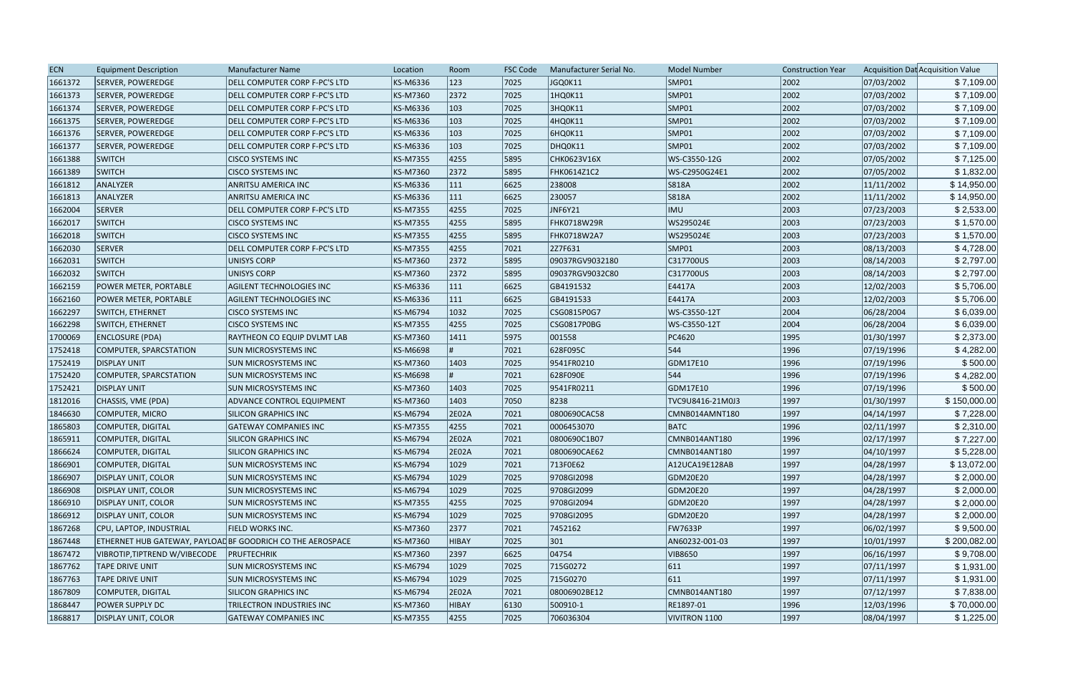| <b>ECN</b> | <b>Equipment Description</b>  | <b>Manufacturer Name</b>                                   | Location | Room           | <b>FSC Code</b> | Manufacturer Serial No. | <b>Model Number</b> | <b>Construction Year</b> |            | Acquisition Dat Acquisition Value |
|------------|-------------------------------|------------------------------------------------------------|----------|----------------|-----------------|-------------------------|---------------------|--------------------------|------------|-----------------------------------|
| 1661372    | SERVER, POWEREDGE             | DELL COMPUTER CORP F-PC'S LTD                              | KS-M6336 | 123            | 7025            | JGQ0K11                 | SMP01               | 2002                     | 07/03/2002 | \$7,109.00                        |
| 1661373    | <b>SERVER, POWEREDGE</b>      | DELL COMPUTER CORP F-PC'S LTD                              | KS-M7360 | 2372           | 7025            | 1HQ0K11                 | SMP01               | 2002                     | 07/03/2002 | \$7,109.00                        |
| 1661374    | <b>SERVER, POWEREDGE</b>      | DELL COMPUTER CORP F-PC'S LTD                              | KS-M6336 | 103            | 7025            | 3HQ0K11                 | SMP01               | 2002                     | 07/03/2002 | \$7,109.00                        |
| 1661375    | <b>SERVER, POWEREDGE</b>      | DELL COMPUTER CORP F-PC'S LTD                              | KS-M6336 | 103            | 7025            | 4HQ0K11                 | SMP01               | 2002                     | 07/03/2002 | \$7,109.00                        |
| 1661376    | SERVER, POWEREDGE             | DELL COMPUTER CORP F-PC'S LTD                              | KS-M6336 | $ 103\rangle$  | 7025            | 6HQ0K11                 | SMP01               | 2002                     | 07/03/2002 | \$7,109.00                        |
| 1661377    | SERVER, POWEREDGE             | DELL COMPUTER CORP F-PC'S LTD                              | KS-M6336 | 103            | 7025            | DHQ0K11                 | SMP01               | 2002                     | 07/03/2002 | \$7,109.00                        |
| 1661388    | <b>SWITCH</b>                 | <b>CISCO SYSTEMS INC</b>                                   | KS-M7355 | 4255           | 5895            | CHK0623V16X             | WS-C3550-12G        | 2002                     | 07/05/2002 | \$7,125.00                        |
| 1661389    | <b>SWITCH</b>                 | <b>CISCO SYSTEMS INC</b>                                   | KS-M7360 | 2372           | 5895            | <b>FHK0614Z1C2</b>      | WS-C2950G24E1       | 2002                     | 07/05/2002 | \$1,832.00                        |
| 1661812    | ANALYZER                      | <b>ANRITSU AMERICA INC</b>                                 | KS-M6336 | 111            | 6625            | 238008                  | S818A               | 2002                     | 11/11/2002 | \$14,950.00                       |
| 1661813    | ANALYZER                      | <b>ANRITSU AMERICA INC</b>                                 | KS-M6336 | 111            | 6625            | 230057                  | S818A               | 2002                     | 11/11/2002 | \$14,950.00                       |
| 1662004    | SERVER                        | DELL COMPUTER CORP F-PC'S LTD                              | KS-M7355 | 4255           | 7025            | JNF6Y21                 | <b>IMU</b>          | 2003                     | 07/23/2003 | \$2,533.00                        |
| 1662017    | <b>SWITCH</b>                 | <b>CISCO SYSTEMS INC</b>                                   | KS-M7355 | 4255           | 5895            | <b>FHK0718W29R</b>      | WS295024E           | 2003                     | 07/23/2003 | \$1,570.00                        |
| 1662018    | <b>SWITCH</b>                 | <b>CISCO SYSTEMS INC</b>                                   | KS-M7355 | 4255           | 5895            | <b>FHK0718W2A7</b>      | WS295024E           | 2003                     | 07/23/2003 | \$1,570.00                        |
| 1662030    | <b>SERVER</b>                 | DELL COMPUTER CORP F-PC'S LTD                              | KS-M7355 | 4255           | 7021            | 2Z7F631                 | SMP01               | 2003                     | 08/13/2003 | \$4,728.00                        |
| 1662031    | <b>SWITCH</b>                 | <b>UNISYS CORP</b>                                         | KS-M7360 | 2372           | 5895            | 09037RGV9032180         | C317700US           | 2003                     | 08/14/2003 | \$2,797.00                        |
| 1662032    | <b>SWITCH</b>                 | UNISYS CORP                                                | KS-M7360 | 2372           | 5895            | 09037RGV9032C80         | C317700US           | 2003                     | 08/14/2003 | \$2,797.00                        |
| 1662159    | POWER METER, PORTABLE         | <b>AGILENT TECHNOLOGIES INC</b>                            | KS-M6336 | 111            | 6625            | GB4191532               | E4417A              | 2003                     | 12/02/2003 | \$5,706.00                        |
| 1662160    | POWER METER, PORTABLE         | <b>AGILENT TECHNOLOGIES INC</b>                            | KS-M6336 | 111            | 6625            | GB4191533               | E4417A              | 2003                     | 12/02/2003 | \$5,706.00                        |
| 1662297    | <b>SWITCH, ETHERNET</b>       | <b>CISCO SYSTEMS INC</b>                                   | KS-M6794 | 1032           | 7025            | CSG0815P0G7             | WS-C3550-12T        | 2004                     | 06/28/2004 | \$6,039.00                        |
| 1662298    | SWITCH, ETHERNET              | <b>CISCO SYSTEMS INC</b>                                   | KS-M7355 | 4255           | 7025            | CSG0817P0BG             | WS-C3550-12T        | 2004                     | 06/28/2004 | \$6,039.00                        |
| 1700069    | ENCLOSURE (PDA)               | RAYTHEON CO EQUIP DVLMT LAB                                | KS-M7360 | 1411           | 5975            | 001558                  | PC4620              | 1995                     | 01/30/1997 | \$2,373.00                        |
| 1752418    | COMPUTER, SPARCSTATION        | <b>SUN MICROSYSTEMS INC</b>                                | KS-M6698 |                | 7021            | 628F095C                | 544                 | 1996                     | 07/19/1996 | \$4,282.00                        |
| 1752419    | <b>DISPLAY UNIT</b>           | <b>SUN MICROSYSTEMS INC</b>                                | KS-M7360 | 1403           | 7025            | 9541FR0210              | GDM17E10            | 1996                     | 07/19/1996 | \$500.00                          |
| 1752420    | <b>COMPUTER, SPARCSTATION</b> | <b>SUN MICROSYSTEMS INC</b>                                | KS-M6698 |                | 7021            | 628F090E                | 544                 | 1996                     | 07/19/1996 | \$4,282.00                        |
| 1752421    | <b>DISPLAY UNIT</b>           | <b>SUN MICROSYSTEMS INC</b>                                | KS-M7360 | 1403           | 7025            | 9541FR0211              | GDM17E10            | 1996                     | 07/19/1996 | \$500.00                          |
| 1812016    | CHASSIS, VME (PDA)            | ADVANCE CONTROL EQUIPMENT                                  | KS-M7360 | 1403           | 7050            | 8238                    | TVC9U8416-21M0J3    | 1997                     | 01/30/1997 | \$150,000.00                      |
| 1846630    | COMPUTER, MICRO               | <b>SILICON GRAPHICS INC</b>                                | KS-M6794 | 2E02A          | 7021            | 0800690CAC58            | CMNB014AMNT180      | 1997                     | 04/14/1997 | \$7,228.00                        |
| 1865803    | COMPUTER, DIGITAL             | <b>GATEWAY COMPANIES INC</b>                               | KS-M7355 | 4255           | 7021            | 0006453070              | <b>BATC</b>         | 1996                     | 02/11/1997 | \$2,310.00                        |
| 1865911    | COMPUTER, DIGITAL             | <b>SILICON GRAPHICS INC</b>                                | KS-M6794 | 2E02A          | 7021            | 0800690C1B07            | CMNB014ANT180       | 1996                     | 02/17/1997 | \$7,227.00                        |
| 1866624    | COMPUTER, DIGITAL             | <b>SILICON GRAPHICS INC</b>                                | KS-M6794 | 2E02A          | 7021            | 0800690CAE62            | CMNB014ANT180       | 1997                     | 04/10/1997 | \$5,228.00                        |
| 1866901    | COMPUTER, DIGITAL             | <b>SUN MICROSYSTEMS INC</b>                                | KS-M6794 | $ 1029\rangle$ | 7021            | 713F0E62                | A12UCA19E128AB      | 1997                     | 04/28/1997 | \$13,072.00                       |
| 1866907    | <b>DISPLAY UNIT, COLOR</b>    | <b>SUN MICROSYSTEMS INC</b>                                | KS-M6794 | 1029           | 7025            | 9708GI2098              | GDM20E20            | 1997                     | 04/28/1997 | \$2,000.00                        |
| 1866908    | DISPLAY UNIT, COLOR           | <b>SUN MICROSYSTEMS INC</b>                                | KS-M6794 | $ 1029\rangle$ | 7025            | 9708GI2099              | GDM20E20            | 1997                     | 04/28/1997 | \$2,000.00                        |
| 1866910    | DISPLAY UNIT, COLOR           | <b>SUN MICROSYSTEMS INC</b>                                | KS-M7355 | 4255           | 7025            | 9708GI2094              | GDM20E20            | 1997                     | 04/28/1997 | \$2,000.00                        |
| 1866912    | <b>DISPLAY UNIT, COLOR</b>    | <b>SUN MICROSYSTEMS INC</b>                                | KS-M6794 | $ 1029\rangle$ | 7025            | 9708GI2095              | GDM20E20            | 1997                     | 04/28/1997 | \$2,000.00                        |
| 1867268    | CPU, LAPTOP, INDUSTRIAL       | <b>FIELD WORKS INC.</b>                                    | KS-M7360 | 2377           | 7021            | 7452162                 | <b>FW7633P</b>      | 1997                     | 06/02/1997 | \$9,500.00                        |
| 1867448    |                               | ETHERNET HUB GATEWAY, PAYLOAD BF GOODRICH CO THE AEROSPACE | KS-M7360 | HIBAY          | 7025            | 301                     | AN60232-001-03      | 1997                     | 10/01/1997 | \$200,082.00                      |
| 1867472    | VIBROTIP, TIPTREND W/VIBECODE | <b>PRUFTECHRIK</b>                                         | KS-M7360 | 2397           | 6625            | 04754                   | VIB8650             | 1997                     | 06/16/1997 | \$9,708.00                        |
| 1867762    | <b>TAPE DRIVE UNIT</b>        | <b>SUN MICROSYSTEMS INC</b>                                | KS-M6794 | $ 1029\rangle$ | 7025            | 715G0272                | $ 611\rangle$       | 1997                     | 07/11/1997 | \$1,931.00                        |
| 1867763    | <b>TAPE DRIVE UNIT</b>        | <b>SUN MICROSYSTEMS INC</b>                                | KS-M6794 | $ 1029\rangle$ | 7025            | 715G0270                | $ 611\rangle$       | 1997                     | 07/11/1997 | \$1,931.00                        |
| 1867809    | COMPUTER, DIGITAL             | SILICON GRAPHICS INC                                       | KS-M6794 | 2E02A          | 7021            | 08006902BE12            | CMNB014ANT180       | 1997                     | 07/12/1997 | \$7,838.00                        |
| 1868447    | <b>POWER SUPPLY DC</b>        | TRILECTRON INDUSTRIES INC                                  | KS-M7360 | HIBAY          | 6130            | 500910-1                | RE1897-01           | 1996                     | 12/03/1996 | \$70,000.00                       |
| 1868817    | <b>DISPLAY UNIT, COLOR</b>    | <b>GATEWAY COMPANIES INC</b>                               | KS-M7355 | 4255           | 7025            | 706036304               | VIVITRON 1100       | 1997                     | 08/04/1997 | \$1,225.00                        |
|            |                               |                                                            |          |                |                 |                         |                     |                          |            |                                   |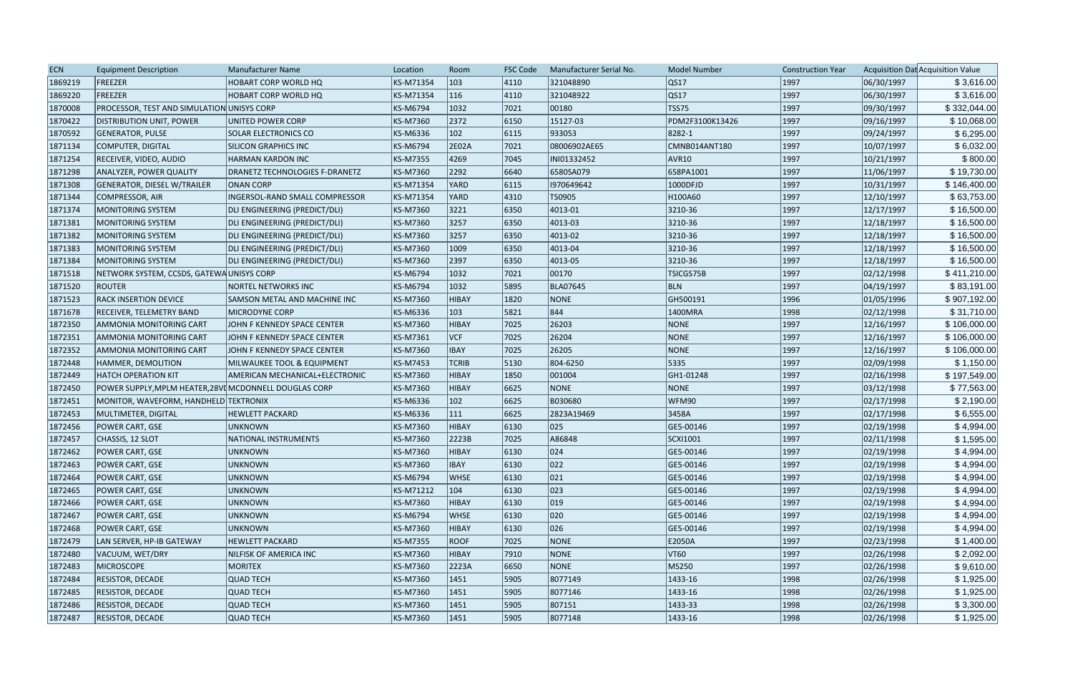| <b>ECN</b> | <b>Equipment Description</b>                           | Manufacturer Name              | Location        | Room          | <b>FSC Code</b> | Manufacturer Serial No. | <b>Model Number</b> | <b>Construction Year</b> |            | Acquisition Dat Acquisition Value |
|------------|--------------------------------------------------------|--------------------------------|-----------------|---------------|-----------------|-------------------------|---------------------|--------------------------|------------|-----------------------------------|
| 1869219    | FREEZER                                                | HOBART CORP WORLD HQ           | KS-M71354       | 103           | 4110            | 321048890               | QS17                | 1997                     | 06/30/1997 | \$3,616.00                        |
| 1869220    | FREEZER                                                | <b>HOBART CORP WORLD HQ</b>    | KS-M71354       | 116           | 4110            | 321048922               | QS17                | 1997                     | 06/30/1997 | \$3,616.00                        |
| 1870008    | PROCESSOR, TEST AND SIMULATION UNISYS CORP             |                                | <b>KS-M6794</b> | 1032          | 7021            | 00180                   | <b>TSS75</b>        | 1997                     | 09/30/1997 | \$332,044.00                      |
| 1870422    | <b>DISTRIBUTION UNIT, POWER</b>                        | UNITED POWER CORP              | <b>KS-M7360</b> | 2372          | 6150            | 15127-03                | PDM2F3100K13426     | 1997                     | 09/16/1997 | \$10,068.00                       |
| 1870592    | <b>GENERATOR, PULSE</b>                                | <b>SOLAR ELECTRONICS CO</b>    | <b>KS-M6336</b> | $ 102\rangle$ | 6115            | 933053                  | 8282-1              | 1997                     | 09/24/1997 | \$6,295.00                        |
| 1871134    | COMPUTER, DIGITAL                                      | <b>SILICON GRAPHICS INC</b>    | <b>KS-M6794</b> | 2E02A         | 7021            | 08006902AE65            | CMNB014ANT180       | 1997                     | 10/07/1997 | \$6,032.00                        |
| 1871254    | RECEIVER, VIDEO, AUDIO                                 | HARMAN KARDON INC              | KS-M7355        | 4269          | 7045            | INI01332452             | AVR <sub>10</sub>   | 1997                     | 10/21/1997 | \$800.00                          |
| 1871298    | <b>ANALYZER, POWER QUALITY</b>                         | DRANETZ TECHNOLOGIES F-DRANETZ | <b>KS-M7360</b> | 2292          | 6640            | 6580SA079               | 658PA1001           | 1997                     | 11/06/1997 | \$19,730.00                       |
| 1871308    | GENERATOR, DIESEL W/TRAILER                            | <b>ONAN CORP</b>               | KS-M71354       | YARD          | 6115            | 1970649642              | 1000DFJD            | 1997                     | 10/31/1997 | \$146,400.00                      |
| 1871344    | COMPRESSOR, AIR                                        | INGERSOL-RAND SMALL COMPRESSOR | KS-M71354       | YARD          | 4310            | TS0905                  | H100A60             | 1997                     | 12/10/1997 | \$63,753.00                       |
| 1871374    | MONITORING SYSTEM                                      | DLI ENGINEERING (PREDICT/DLI)  | <b>KS-M7360</b> | 3221          | 6350            | 4013-01                 | 3210-36             | 1997                     | 12/17/1997 | \$16,500.00                       |
| 1871381    | MONITORING SYSTEM                                      | DLI ENGINEERING (PREDICT/DLI)  | <b>KS-M7360</b> | 3257          | 6350            | 4013-03                 | 3210-36             | 1997                     | 12/18/1997 | \$16,500.00                       |
| 1871382    | <b>MONITORING SYSTEM</b>                               | DLI ENGINEERING (PREDICT/DLI)  | <b>KS-M7360</b> | 3257          | 6350            | 4013-02                 | 3210-36             | 1997                     | 12/18/1997 | \$16,500.00                       |
| 1871383    | <b>MONITORING SYSTEM</b>                               | DLI ENGINEERING (PREDICT/DLI)  | <b>KS-M7360</b> | 1009          | 6350            | 4013-04                 | 3210-36             | 1997                     | 12/18/1997 | \$16,500.00                       |
| 1871384    | <b>MONITORING SYSTEM</b>                               | DLI ENGINEERING (PREDICT/DLI)  | <b>KS-M7360</b> | 2397          | 6350            | 4013-05                 | 3210-36             | 1997                     | 12/18/1997 | \$16,500.00                       |
| 1871518    | NETWORK SYSTEM, CCSDS, GATEWAUNISYS CORP               |                                | <b>KS-M6794</b> | 1032          | 7021            | 00170                   | TSICGS75B           | 1997                     | 02/12/1998 | \$411,210.00                      |
| 1871520    | <b>ROUTER</b>                                          | <b>NORTEL NETWORKS INC</b>     | <b>KS-M6794</b> | 1032          | 5895            | <b>BLA07645</b>         | BLN                 | 1997                     | 04/19/1997 | \$83,191.00                       |
| 1871523    | <b>RACK INSERTION DEVICE</b>                           | SAMSON METAL AND MACHINE INC   | <b>KS-M7360</b> | HIBAY         | 1820            | <b>NONE</b>             | GH500191            | 1996                     | 01/05/1996 | \$907,192.00                      |
| 1871678    | <b>RECEIVER, TELEMETRY BAND</b>                        | MICRODYNE CORP                 | <b>KS-M6336</b> | 103           | 5821            | 844                     | 1400MRA             | 1998                     | 02/12/1998 | \$31,710.00                       |
| 1872350    | AMMONIA MONITORING CART                                | JOHN F KENNEDY SPACE CENTER    | <b>KS-M7360</b> | HIBAY         | 7025            | 26203                   | NONE                | 1997                     | 12/16/1997 | \$106,000.00                      |
| 1872351    | AMMONIA MONITORING CART                                | JOHN F KENNEDY SPACE CENTER    | KS-M7361        | VCF           | 7025            | 26204                   | NONE                | 1997                     | 12/16/1997 | \$106,000.00                      |
| 1872352    | <b>AMMONIA MONITORING CART</b>                         | JOHN F KENNEDY SPACE CENTER    | <b>KS-M7360</b> | <b>IBAY</b>   | 7025            | 26205                   | NONE                | 1997                     | 12/16/1997 | \$106,000.00                      |
| 1872448    | HAMMER, DEMOLITION                                     | MILWAUKEE TOOL & EQUIPMENT     | <b>KS-M7453</b> | <b>TCRIB</b>  | 5130            | 804-6250                | 5335                | 1997                     | 02/09/1998 | \$1,150.00                        |
| 1872449    | <b>HATCH OPERATION KIT</b>                             | AMERICAN MECHANICAL+ELECTRONIC | <b>KS-M7360</b> | HIBAY         | 1850            | 001004                  | GH1-01248           | 1997                     | 02/16/1998 | \$197,549.00                      |
| 1872450    | POWER SUPPLY, MPLM HEATER, 28VI MCDONNELL DOUGLAS CORP |                                | <b>KS-M7360</b> | HIBAY         | 6625            | NONE                    | NONE                | 1997                     | 03/12/1998 | \$77,563.00                       |
| 1872451    | MONITOR, WAVEFORM, HANDHELD TEKTRONIX                  |                                | <b>KS-M6336</b> | $ 102\rangle$ | 6625            | B030680                 | WFM90               | 1997                     | 02/17/1998 | \$2,190.00                        |
| 1872453    | MULTIMETER, DIGITAL                                    | <b>HEWLETT PACKARD</b>         | <b>KS-M6336</b> | $ 111\rangle$ | 6625            | 2823A19469              | 3458A               | 1997                     | 02/17/1998 | \$6,555.00                        |
| 1872456    | POWER CART, GSE                                        | <b>UNKNOWN</b>                 | <b>KS-M7360</b> | HIBAY         | 6130            | 025                     | GE5-00146           | 1997                     | 02/19/1998 | \$4,994.00                        |
| 1872457    | CHASSIS, 12 SLOT                                       | NATIONAL INSTRUMENTS           | <b>KS-M7360</b> | 2223B         | 7025            | A86848                  | SCXI1001            | 1997                     | 02/11/1998 | \$1,595.00                        |
| 1872462    | POWER CART, GSE                                        | UNKNOWN                        | KS-M7360        | HIBAY         | 6130            | 024                     | GE5-00146           | 1997                     | 02/19/1998 | \$4,994.00                        |
| 1872463    | POWER CART, GSE                                        | <b>UNKNOWN</b>                 | KS-M7360        | <b>IBAY</b>   | 6130            | 022                     | GE5-00146           | 1997                     | 02/19/1998 | \$4,994.00                        |
| 1872464    | POWER CART, GSE                                        | <b>UNKNOWN</b>                 | <b>KS-M6794</b> | <b>WHSE</b>   | 6130            | 021                     | GE5-00146           | 1997                     | 02/19/1998 | \$4,994.00                        |
| 1872465    | POWER CART, GSE                                        | <b>UNKNOWN</b>                 | KS-M71212       | $ 104\rangle$ | 6130            | 023                     | GE5-00146           | 1997                     | 02/19/1998 | \$4,994.00                        |
| 1872466    | POWER CART, GSE                                        | <b>UNKNOWN</b>                 | KS-M7360        | <b>HIBAY</b>  | 6130            | $ 019\rangle$           | GE5-00146           | 1997                     | 02/19/1998 | \$4,994.00                        |
| 1872467    | POWER CART, GSE                                        | <b>UNKNOWN</b>                 | <b>KS-M6794</b> | <b>WHSE</b>   | 6130            | $ 020\rangle$           | GE5-00146           | 1997                     | 02/19/1998 | \$4,994.00                        |
| 1872468    | POWER CART, GSE                                        | <b>UNKNOWN</b>                 | KS-M7360        | HIBAY         | 6130            | 026                     | GE5-00146           | 1997                     | 02/19/1998 | \$4,994.00                        |
| 1872479    | LAN SERVER, HP-IB GATEWAY                              | <b>HEWLETT PACKARD</b>         | <b>KS-M7355</b> | <b>ROOF</b>   | 7025            | <b>NONE</b>             | E2050A              | 1997                     | 02/23/1998 | \$1,400.00                        |
| 1872480    | VACUUM, WET/DRY                                        | NILFISK OF AMERICA INC         | <b>KS-M7360</b> | HIBAY         | 7910            | NONE                    | VT60                | 1997                     | 02/26/1998 | \$2,092.00                        |
| 1872483    | <b>MICROSCOPE</b>                                      | <b>MORITEX</b>                 | <b>KS-M7360</b> | 2223A         | 6650            | NONE                    | MS250               | 1997                     | 02/26/1998 | \$9,610.00                        |
| 1872484    | <b>RESISTOR, DECADE</b>                                | <b>QUAD TECH</b>               | <b>KS-M7360</b> | 1451          | 5905            | 8077149                 | $ 1433-16 $         | 1998                     | 02/26/1998 | \$1,925.00                        |
| 1872485    | <b>RESISTOR, DECADE</b>                                | <b>QUAD TECH</b>               | <b>KS-M7360</b> | 1451          | 5905            | 8077146                 | $ 1433-16 $         | 1998                     | 02/26/1998 | \$1,925.00                        |
| 1872486    | <b>RESISTOR, DECADE</b>                                | <b>QUAD TECH</b>               | KS-M7360        | 1451          | 5905            | 807151                  | $ 1433-33 $         | 1998                     | 02/26/1998 | \$3,300.00                        |
| 1872487    | <b>RESISTOR, DECADE</b>                                | <b>QUAD TECH</b>               | <b>KS-M7360</b> | 1451          | 5905            | 8077148                 | $ 1433-16 $         | 1998                     | 02/26/1998 | \$1,925.00                        |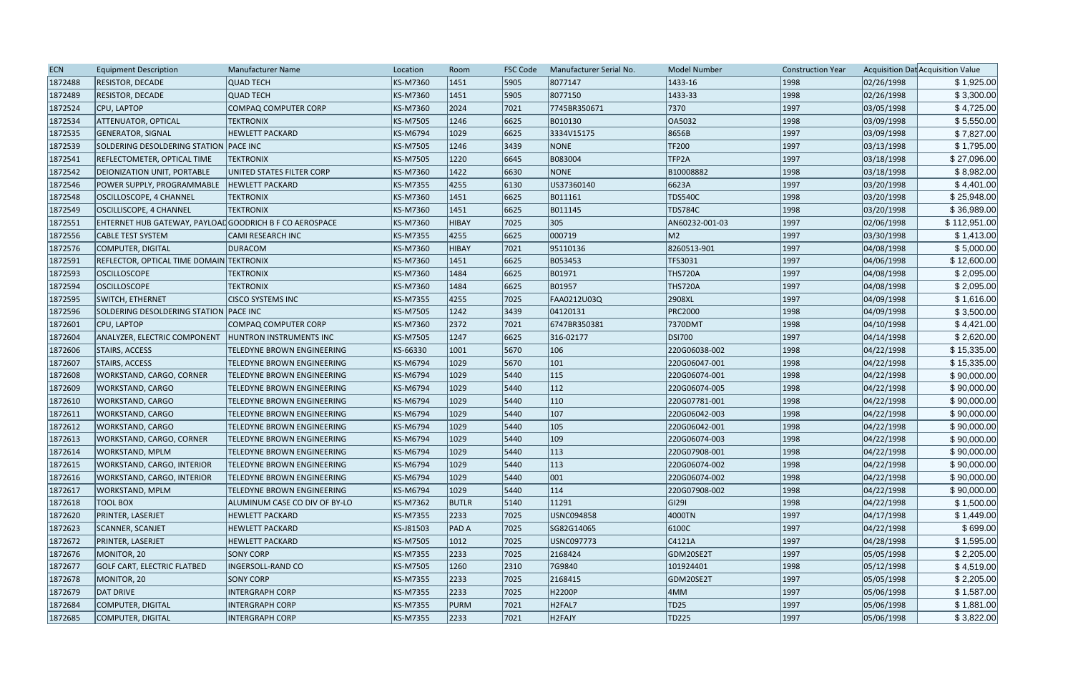| <b>ECN</b> | <b>Equipment Description</b>                            | Manufacturer Name                 | Location        | Room         | <b>FSC Code</b> | Manufacturer Serial No. | <b>Model Number</b> | <b>Construction Year</b> |            | Acquisition Dat Acquisition Value |
|------------|---------------------------------------------------------|-----------------------------------|-----------------|--------------|-----------------|-------------------------|---------------------|--------------------------|------------|-----------------------------------|
| 1872488    | <b>RESISTOR, DECADE</b>                                 | <b>QUAD TECH</b>                  | <b>KS-M7360</b> | 1451         | 5905            | 8077147                 | 1433-16             | 1998                     | 02/26/1998 | \$1,925.00                        |
| 1872489    | <b>RESISTOR, DECADE</b>                                 | <b>QUAD TECH</b>                  | <b>KS-M7360</b> | 1451         | 5905            | 8077150                 | $ 1433-33 $         | 1998                     | 02/26/1998 | \$3,300.00                        |
| 1872524    | CPU, LAPTOP                                             | <b>COMPAQ COMPUTER CORP</b>       | <b>KS-M7360</b> | 2024         | 7021            | 7745BR350671            | 7370                | 1997                     | 03/05/1998 | \$4,725.00                        |
| 1872534    | <b>ATTENUATOR, OPTICAL</b>                              | <b>TEKTRONIX</b>                  | <b>KS-M7505</b> | 1246         | 6625            | B010130                 | OA5032              | 1998                     | 03/09/1998 | \$5,550.00                        |
| 1872535    | <b>GENERATOR, SIGNAL</b>                                | <b>HEWLETT PACKARD</b>            | <b>KS-M6794</b> | 1029         | 6625            | 3334V15175              | 8656B               | 1997                     | 03/09/1998 | \$7,827.00                        |
| 1872539    | SOLDERING DESOLDERING STATION PACE INC                  |                                   | <b>KS-M7505</b> | 1246         | 3439            | <b>NONE</b>             | <b>TF200</b>        | 1997                     | 03/13/1998 | \$1,795.00                        |
| 1872541    | REFLECTOMETER, OPTICAL TIME                             | <b>TEKTRONIX</b>                  | <b>KS-M7505</b> | 1220         | 6645            | B083004                 | TFP <sub>2A</sub>   | 1997                     | 03/18/1998 | \$27,096.00                       |
| 1872542    | DEIONIZATION UNIT, PORTABLE                             | UNITED STATES FILTER CORP         | KS-M7360        | 1422         | 6630            | <b>NONE</b>             | B10008882           | 1998                     | 03/18/1998 | \$8,982.00                        |
| 1872546    | POWER SUPPLY, PROGRAMMABLE                              | <b>HEWLETT PACKARD</b>            | <b>KS-M7355</b> | 4255         | 6130            | US37360140              | 6623A               | 1997                     | 03/20/1998 | \$4,401.00                        |
| 1872548    | OSCILLOSCOPE, 4 CHANNEL                                 | <b>TEKTRONIX</b>                  | <b>KS-M7360</b> | 1451         | 6625            | B011161                 | <b>TDS540C</b>      | 1998                     | 03/20/1998 | \$25,948.00                       |
| 1872549    | OSCILLISCOPE, 4 CHANNEL                                 | <b>TEKTRONIX</b>                  | KS-M7360        | 1451         | 6625            | B011145                 | <b>TDS784C</b>      | 1998                     | 03/20/1998 | \$36,989.00                       |
| 1872551    | EHTERNET HUB GATEWAY, PAYLOAD GOODRICH B F CO AEROSPACE |                                   | KS-M7360        | HIBAY        | 7025            | 305                     | AN60232-001-03      | 1997                     | 02/06/1998 | \$112,951.00                      |
| 1872556    | <b>CABLE TEST SYSTEM</b>                                | CAMI RESEARCH INC                 | <b>KS-M7355</b> | 4255         | 6625            | 000719                  | M2                  | 1997                     | 03/30/1998 | \$1,413.00                        |
| 1872576    | COMPUTER, DIGITAL                                       | <b>DURACOM</b>                    | <b>KS-M7360</b> | HIBAY        | 7021            | 95110136                | 8260513-901         | 1997                     | 04/08/1998 | \$5,000.00                        |
| 1872591    | REFLECTOR, OPTICAL TIME DOMAIN TEKTRONIX                |                                   | <b>KS-M7360</b> | 1451         | 6625            | B053453                 | <b>TFS3031</b>      | 1997                     | 04/06/1998 | \$12,600.00                       |
| 1872593    | <b>OSCILLOSCOPE</b>                                     | <b>TEKTRONIX</b>                  | <b>KS-M7360</b> | 1484         | 6625            | B01971                  | <b>THS720A</b>      | 1997                     | 04/08/1998 | \$2,095.00                        |
| 1872594    | <b>OSCILLOSCOPE</b>                                     | <b>TEKTRONIX</b>                  | <b>KS-M7360</b> | 1484         | 6625            | B01957                  | <b>THS720A</b>      | 1997                     | 04/08/1998 | \$2,095.00                        |
| 1872595    | <b>SWITCH, ETHERNET</b>                                 | <b>CISCO SYSTEMS INC</b>          | <b>KS-M7355</b> | 4255         | 7025            | FAA0212U03Q             | 2908XL              | 1997                     | 04/09/1998 | \$1,616.00                        |
| 1872596    | SOLDERING DESOLDERING STATION PACE INC                  |                                   | <b>KS-M7505</b> | 1242         | 3439            | 04120131                | <b>PRC2000</b>      | 1998                     | 04/09/1998 | \$3,500.00                        |
| 1872601    | CPU, LAPTOP                                             | COMPAQ COMPUTER CORP              | KS-M7360        | 2372         | 7021            | 6747BR350381            | 7370DMT             | 1998                     | 04/10/1998 | \$4,421.00                        |
| 1872604    | ANALYZER, ELECTRIC COMPONENT                            | <b>HUNTRON INSTRUMENTS INC</b>    | <b>KS-M7505</b> | 1247         | 6625            | 316-02177               | <b>DSI700</b>       | 1997                     | 04/14/1998 | \$2,620.00                        |
| 1872606    | STAIRS, ACCESS                                          | TELEDYNE BROWN ENGINEERING        | KS-66330        | 1001         | 5670            | 106                     | 220G06038-002       | 1998                     | 04/22/1998 | \$15,335.00                       |
| 1872607    | <b>STAIRS, ACCESS</b>                                   | <b>TELEDYNE BROWN ENGINEERING</b> | <b>KS-M6794</b> | 1029         | 5670            | 101                     | 220G06047-001       | 1998                     | 04/22/1998 | \$15,335.00                       |
| 1872608    | <b>WORKSTAND, CARGO, CORNER</b>                         | TELEDYNE BROWN ENGINEERING        | <b>KS-M6794</b> | 1029         | 5440            | 115                     | 220G06074-001       | 1998                     | 04/22/1998 | \$90,000.00                       |
| 1872609    | <b>WORKSTAND, CARGO</b>                                 | TELEDYNE BROWN ENGINEERING        | <b>KS-M6794</b> | 1029         | 5440            | 112                     | 220G06074-005       | 1998                     | 04/22/1998 | \$90,000.00                       |
| 1872610    | WORKSTAND, CARGO                                        | TELEDYNE BROWN ENGINEERING        | <b>KS-M6794</b> | 1029         | 5440            | $ 110\rangle$           | 220G07781-001       | 1998                     | 04/22/1998 | \$90,000.00                       |
| 1872611    | <b>WORKSTAND, CARGO</b>                                 | <b>TELEDYNE BROWN ENGINEERING</b> | <b>KS-M6794</b> | 1029         | 5440            | $ 107\rangle$           | 220G06042-003       | 1998                     | 04/22/1998 | \$90,000.00                       |
| 1872612    | WORKSTAND, CARGO                                        | <b>TELEDYNE BROWN ENGINEERING</b> | <b>KS-M6794</b> | 1029         | 5440            | $ 105\rangle$           | 220G06042-001       | 1998                     | 04/22/1998 | \$90,000.00                       |
| 1872613    | WORKSTAND, CARGO, CORNER                                | <b>TELEDYNE BROWN ENGINEERING</b> | <b>KS-M6794</b> | 1029         | 5440            | $ 109\rangle$           | 220G06074-003       | 1998                     | 04/22/1998 | \$90,000.00                       |
| 1872614    | <b>WORKSTAND, MPLM</b>                                  | <b>TELEDYNE BROWN ENGINEERING</b> | <b>KS-M6794</b> | 1029         | 5440            | 113                     | 220G07908-001       | 1998                     | 04/22/1998 | \$90,000.00                       |
| 1872615    | <b>WORKSTAND, CARGO, INTERIOR</b>                       | <b>TELEDYNE BROWN ENGINEERING</b> | <b>KS-M6794</b> | 1029         | 5440            | $ 113\rangle$           | 220G06074-002       | 1998                     | 04/22/1998 | \$90,000.00                       |
| 1872616    | WORKSTAND, CARGO, INTERIOR                              | TELEDYNE BROWN ENGINEERING        | <b>KS-M6794</b> | 1029         | 5440            | 001                     | 220G06074-002       | 1998                     | 04/22/1998 | \$90,000.00                       |
| 1872617    | <b>WORKSTAND, MPLM</b>                                  | TELEDYNE BROWN ENGINEERING        | <b>KS-M6794</b> | 1029         | 5440            | 114                     | 220G07908-002       | 1998                     | 04/22/1998 | \$90,000.00                       |
| 1872618    | <b>TOOL BOX</b>                                         | ALUMINUM CASE CO DIV OF BY-LO     | <b>KS-M7362</b> | <b>BUTLR</b> | 5140            | 11291                   | GI291               | 1998                     | 04/22/1998 | \$1,500.00                        |
| 1872620    | PRINTER, LASERJET                                       | <b>HEWLETT PACKARD</b>            | <b>KS-M7355</b> | 2233         | 7025            | USNC094858              | 4000TN              | 1997                     | 04/17/1998 | \$1,449.00                        |
| 1872623    | SCANNER, SCANJET                                        | <b>HEWLETT PACKARD</b>            | KS-J81503       | <b>PADA</b>  | 7025            | SG82G14065              | 6100C               | 1997                     | 04/22/1998 | \$699.00                          |
| 1872672    | PRINTER, LASERJET                                       | <b>HEWLETT PACKARD</b>            | <b>KS-M7505</b> | 1012         | 7025            | USNC097773              | C4121A              | 1997                     | 04/28/1998 | \$1,595.00                        |
| 1872676    | MONITOR, 20                                             | <b>SONY CORP</b>                  | <b>KS-M7355</b> | 2233         | 7025            | 2168424                 | GDM20SE2T           | 1997                     | 05/05/1998 | \$2,205.00                        |
| 1872677    | GOLF CART, ELECTRIC FLATBED                             | INGERSOLL-RAND CO                 | <b>KS-M7505</b> | 1260         | 2310            | 7G9840                  | 101924401           | 1998                     | 05/12/1998 | \$4,519.00                        |
| 1872678    | MONITOR, 20                                             | <b>SONY CORP</b>                  | <b>KS-M7355</b> | 2233         | 7025            | 2168415                 | GDM20SE2T           | 1997                     | 05/05/1998 | \$2,205.00                        |
| 1872679    | DAT DRIVE                                               | <b>INTERGRAPH CORP</b>            | <b>KS-M7355</b> | 2233         | 7025            | H2200P                  | 4MM                 | 1997                     | 05/06/1998 | \$1,587.00                        |
| 1872684    | COMPUTER, DIGITAL                                       | <b>INTERGRAPH CORP</b>            | <b>KS-M7355</b> | PURM         | 7021            | H <sub>2FAL7</sub>      | TD25                | 1997                     | 05/06/1998 | \$1,881.00                        |
| 1872685    | COMPUTER, DIGITAL                                       | <b>INTERGRAPH CORP</b>            | <b>KS-M7355</b> | 2233         | $ 7021$         | H2FAJY                  | TD225               | 1997                     | 05/06/1998 | \$3,822.00                        |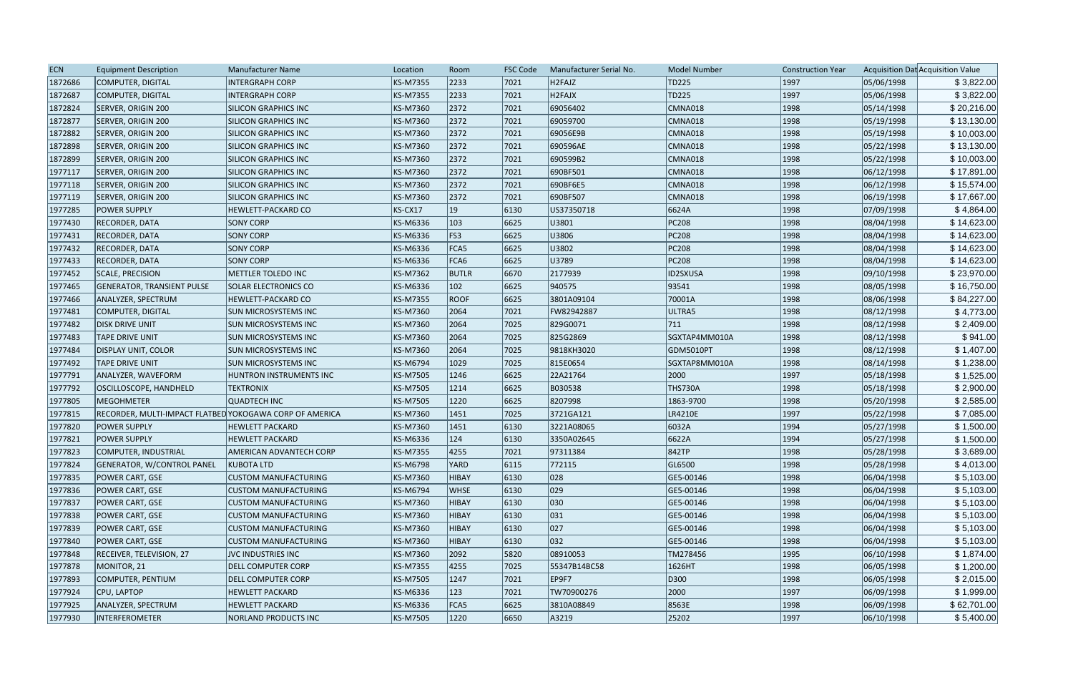| <b>ECN</b> | <b>Equipment Description</b>                            | <b>Manufacturer Name</b>    | Location        | Room          | <b>FSC Code</b> | Manufacturer Serial No. | <b>Model Number</b> | <b>Construction Year</b> |            | Acquisition Dat Acquisition Value |
|------------|---------------------------------------------------------|-----------------------------|-----------------|---------------|-----------------|-------------------------|---------------------|--------------------------|------------|-----------------------------------|
| 1872686    | COMPUTER, DIGITAL                                       | <b>INTERGRAPH CORP</b>      | KS-M7355        | 2233          | 7021            | H <sub>2FAJZ</sub>      | TD225               | 1997                     | 05/06/1998 | \$3,822.00                        |
| 1872687    | COMPUTER, DIGITAL                                       | <b>INTERGRAPH CORP</b>      | KS-M7355        | 2233          | 7021            | H <sub>2FAJX</sub>      | TD225               | 1997                     | 05/06/1998 | \$3,822.00                        |
| 1872824    | SERVER, ORIGIN 200                                      | <b>SILICON GRAPHICS INC</b> | KS-M7360        | 2372          | 7021            | 69056402                | CMNA018             | 1998                     | 05/14/1998 | \$20,216.00                       |
| 1872877    | SERVER, ORIGIN 200                                      | <b>SILICON GRAPHICS INC</b> | KS-M7360        | 2372          | 7021            | 69059700                | CMNA018             | 1998                     | 05/19/1998 | \$13,130.00                       |
| 1872882    | SERVER, ORIGIN 200                                      | SILICON GRAPHICS INC        | KS-M7360        | 2372          | 7021            | 69056E9B                | CMNA018             | 1998                     | 05/19/1998 | \$10,003.00                       |
| 1872898    | SERVER, ORIGIN 200                                      | <b>SILICON GRAPHICS INC</b> | KS-M7360        | 2372          | 7021            | 690596AE                | CMNA018             | 1998                     | 05/22/1998 | \$13,130.00                       |
| 1872899    | SERVER, ORIGIN 200                                      | SILICON GRAPHICS INC        | KS-M7360        | 2372          | 7021            | 690599B2                | CMNA018             | 1998                     | 05/22/1998 | \$10,003.00                       |
| 1977117    | SERVER, ORIGIN 200                                      | <b>SILICON GRAPHICS INC</b> | KS-M7360        | 2372          | 7021            | 690BF501                | CMNA018             | 1998                     | 06/12/1998 | \$17,891.00                       |
| 1977118    | SERVER, ORIGIN 200                                      | <b>SILICON GRAPHICS INC</b> | KS-M7360        | 2372          | 7021            | 690BF6E5                | CMNA018             | 1998                     | 06/12/1998 | \$15,574.00                       |
| 1977119    | SERVER, ORIGIN 200                                      | SILICON GRAPHICS INC        | KS-M7360        | 2372          | 7021            | 690BF507                | CMNA018             | 1998                     | 06/19/1998 | \$17,667.00                       |
| 1977285    | <b>POWER SUPPLY</b>                                     | <b>HEWLETT-PACKARD CO</b>   | KS-CX17         | 19            | 6130            | US37350718              | 6624A               | 1998                     | 07/09/1998 | \$4,864.00                        |
| 1977430    | <b>RECORDER, DATA</b>                                   | <b>SONY CORP</b>            | KS-M6336        | $ 103\rangle$ | 6625            | U3801                   | PC208               | 1998                     | 08/04/1998 | \$14,623.00                       |
| 1977431    | <b>RECORDER, DATA</b>                                   | <b>SONY CORP</b>            | KS-M6336        | FS3           | 6625            | U3806                   | PC208               | 1998                     | 08/04/1998 | \$14,623.00                       |
| 1977432    | <b>RECORDER, DATA</b>                                   | <b>SONY CORP</b>            | KS-M6336        | FCA5          | 6625            | U3802                   | PC208               | 1998                     | 08/04/1998 | \$14,623.00                       |
| 1977433    | <b>RECORDER, DATA</b>                                   | <b>SONY CORP</b>            | KS-M6336        | FCA6          | 6625            | U3789                   | PC208               | 1998                     | 08/04/1998 | \$14,623.00                       |
| 1977452    | SCALE, PRECISION                                        | METTLER TOLEDO INC          | KS-M7362        | <b>BUTLR</b>  | 6670            | 2177939                 | ID2SXUSA            | 1998                     | 09/10/1998 | \$23,970.00                       |
| 1977465    | <b>GENERATOR, TRANSIENT PULSE</b>                       | <b>SOLAR ELECTRONICS CO</b> | KS-M6336        | $ 102\rangle$ | 6625            | 940575                  | 93541               | 1998                     | 08/05/1998 | \$16,750.00                       |
| 1977466    | ANALYZER, SPECTRUM                                      | <b>HEWLETT-PACKARD CO</b>   | <b>KS-M7355</b> | <b>ROOF</b>   | 6625            | 3801A09104              | 70001A              | 1998                     | 08/06/1998 | \$84,227.00                       |
| 1977481    | COMPUTER, DIGITAL                                       | SUN MICROSYSTEMS INC        | KS-M7360        | 2064          | 7021            | FW82942887              | ULTRA5              | 1998                     | 08/12/1998 | \$4,773.00                        |
| 1977482    | <b>DISK DRIVE UNIT</b>                                  | <b>SUN MICROSYSTEMS INC</b> | KS-M7360        | 2064          | 7025            | 829G0071                | 711                 | 1998                     | 08/12/1998 | \$2,409.00                        |
| 1977483    | <b>TAPE DRIVE UNIT</b>                                  | <b>SUN MICROSYSTEMS INC</b> | KS-M7360        | 2064          | 7025            | 825G2869                | SGXTAP4MM010A       | 1998                     | 08/12/1998 | \$941.00                          |
| 1977484    | <b>DISPLAY UNIT, COLOR</b>                              | <b>SUN MICROSYSTEMS INC</b> | KS-M7360        | 2064          | 7025            | 9818KH3020              | GDM5010PT           | 1998                     | 08/12/1998 | \$1,407.00                        |
| 1977492    | <b>TAPE DRIVE UNIT</b>                                  | <b>SUN MICROSYSTEMS INC</b> | KS-M6794        | 1029          | 7025            | 815E0654                | SGXTAP8MM010A       | 1998                     | 08/14/1998 | \$1,238.00                        |
| 1977791    | ANALYZER, WAVEFORM                                      | HUNTRON INSTRUMENTS INC     | KS-M7505        | 1246          | 6625            | 22A21764                | 2000                | 1997                     | 05/18/1998 | \$1,525.00                        |
| 1977792    | OSCILLOSCOPE, HANDHELD                                  | <b>TEKTRONIX</b>            | KS-M7505        | 1214          | 6625            | B030538                 | <b>THS730A</b>      | 1998                     | 05/18/1998 | \$2,900.00                        |
| 1977805    | <b>MEGOHMETER</b>                                       | <b>QUADTECH INC</b>         | KS-M7505        | 1220          | 6625            | 8207998                 | 1863-9700           | 1998                     | 05/20/1998 | \$2,585.00                        |
| 1977815    | RECORDER, MULTI-IMPACT FLATBED YOKOGAWA CORP OF AMERICA |                             | KS-M7360        | 1451          | 7025            | 3721GA121               | LR4210E             | 1997                     | 05/22/1998 | \$7,085.00                        |
| 1977820    | <b>POWER SUPPLY</b>                                     | <b>HEWLETT PACKARD</b>      | KS-M7360        | 1451          | 6130            | 3221A08065              | 6032A               | 1994                     | 05/27/1998 | \$1,500.00                        |
| 1977821    | <b>POWER SUPPLY</b>                                     | <b>HEWLETT PACKARD</b>      | KS-M6336        | 124           | 6130            | 3350A02645              | 6622A               | 1994                     | 05/27/1998 | \$1,500.00                        |
| 1977823    | COMPUTER, INDUSTRIAL                                    | AMERICAN ADVANTECH CORP     | KS-M7355        | 4255          | 7021            | 97311384                | 842TP               | 1998                     | 05/28/1998 | \$3,689.00                        |
| 1977824    | GENERATOR, W/CONTROL PANEL                              | KUBOTA LTD                  | KS-M6798        | YARD          | 6115            | 772115                  | GL6500              | 1998                     | 05/28/1998 | \$4,013.00                        |
| 1977835    | POWER CART, GSE                                         | <b>CUSTOM MANUFACTURING</b> | KS-M7360        | HIBAY         | 6130            | 028                     | GE5-00146           | 1998                     | 06/04/1998 | \$5,103.00                        |
| 1977836    | <b>POWER CART, GSE</b>                                  | <b>CUSTOM MANUFACTURING</b> | KS-M6794        | <b>WHSE</b>   | 6130            | 029                     | GE5-00146           | 1998                     | 06/04/1998 | \$5,103.00                        |
| 1977837    | POWER CART, GSE                                         | <b>CUSTOM MANUFACTURING</b> | KS-M7360        | HIBAY         | 6130            | 030                     | GE5-00146           | 1998                     | 06/04/1998 | \$5,103.00                        |
| 1977838    | POWER CART, GSE                                         | <b>CUSTOM MANUFACTURING</b> | KS-M7360        | HIBAY         | 6130            | $ 031\rangle$           | GE5-00146           | 1998                     | 06/04/1998 | \$5,103.00                        |
| 1977839    | POWER CART, GSE                                         | <b>CUSTOM MANUFACTURING</b> | KS-M7360        | <b>HIBAY</b>  | 6130            | 027                     | GE5-00146           | 1998                     | 06/04/1998 | \$5,103.00                        |
| 1977840    | POWER CART, GSE                                         | <b>CUSTOM MANUFACTURING</b> | KS-M7360        | HIBAY         | 6130            | 032                     | GE5-00146           | 1998                     | 06/04/1998 | \$5,103.00                        |
| 1977848    | <b>RECEIVER, TELEVISION, 27</b>                         | <b>JVC INDUSTRIES INC</b>   | KS-M7360        | 2092          | 5820            | 08910053                | TM278456            | 1995                     | 06/10/1998 | \$1,874.00                        |
| 1977878    | MONITOR, 21                                             | <b>DELL COMPUTER CORP</b>   | KS-M7355        | 4255          | 7025            | 55347B14BC58            | 1626HT              | 1998                     | 06/05/1998 | \$1,200.00                        |
| 1977893    | COMPUTER, PENTIUM                                       | DELL COMPUTER CORP          | KS-M7505        | 1247          | 7021            | EP9F7                   | D300                | 1998                     | 06/05/1998 | \$2,015.00                        |
| 1977924    | CPU, LAPTOP                                             | <b>HEWLETT PACKARD</b>      | KS-M6336        | $ 123\rangle$ | 7021            | TW70900276              | 2000                | 1997                     | 06/09/1998 | \$1,999.00                        |
| 1977925    | ANALYZER, SPECTRUM                                      | <b>HEWLETT PACKARD</b>      | KS-M6336        | FCA5          | 6625            | 3810A08849              | 8563E               | 1998                     | 06/09/1998 | \$62,701.00                       |
| 1977930    | <b>INTERFEROMETER</b>                                   | NORLAND PRODUCTS INC        | KS-M7505        | 1220          | 6650            | A3219                   | 25202               | 1997                     | 06/10/1998 | \$5,400.00                        |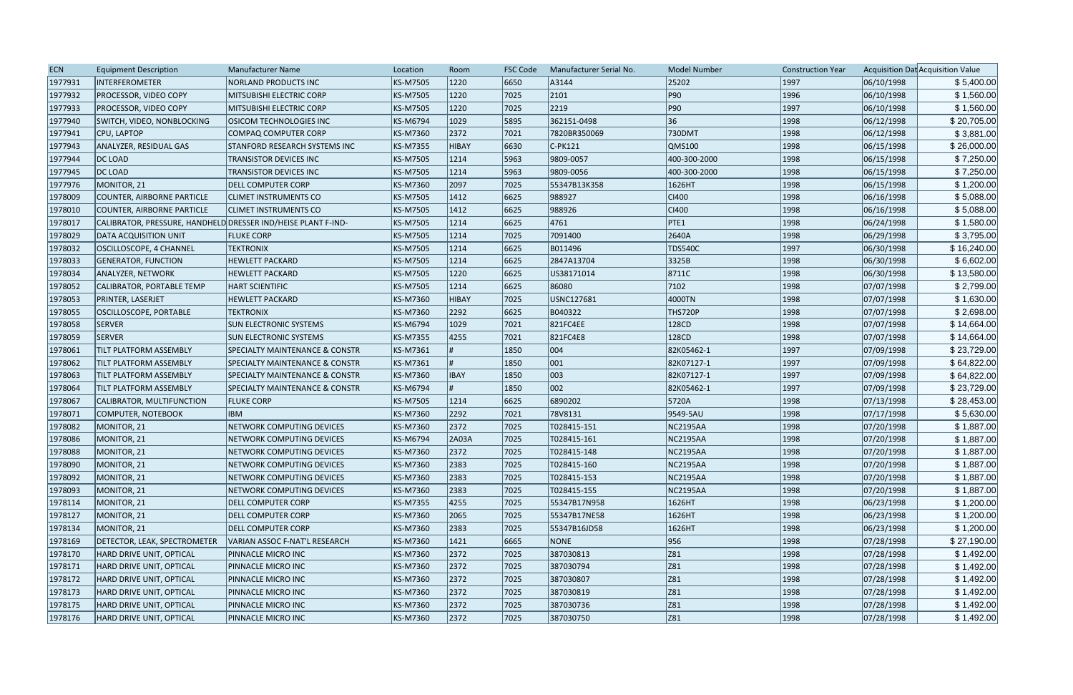| <b>ECN</b> | <b>Equipment Description</b>                                  | Manufacturer Name                         | Location        | Room           | <b>FSC Code</b> | Manufacturer Serial No. | <b>Model Number</b> | <b>Construction Year</b> |            | Acquisition Dat Acquisition Value |
|------------|---------------------------------------------------------------|-------------------------------------------|-----------------|----------------|-----------------|-------------------------|---------------------|--------------------------|------------|-----------------------------------|
| 1977931    | INTERFEROMETER                                                | NORLAND PRODUCTS INC                      | <b>KS-M7505</b> | 1220           | 6650            | A3144                   | 25202               | 1997                     | 06/10/1998 | \$5,400.00                        |
| 1977932    | <b>PROCESSOR, VIDEO COPY</b>                                  | MITSUBISHI ELECTRIC CORP                  | <b>KS-M7505</b> | 1220           | 7025            | 2101                    | P90                 | 1996                     | 06/10/1998 | \$1,560.00                        |
| 1977933    | <b>PROCESSOR, VIDEO COPY</b>                                  | MITSUBISHI ELECTRIC CORP                  | <b>KS-M7505</b> | 1220           | 7025            | 2219                    | P90                 | 1997                     | 06/10/1998 | \$1,560.00                        |
| 1977940    | SWITCH, VIDEO, NONBLOCKING                                    | <b>OSICOM TECHNOLOGIES INC</b>            | <b>KS-M6794</b> | 1029           | 5895            | 362151-0498             | 36                  | 1998                     | 06/12/1998 | \$20,705.00                       |
| 1977941    | <b>CPU, LAPTOP</b>                                            | <b>COMPAQ COMPUTER CORP</b>               | KS-M7360        | 2372           | 7021            | 7820BR350069            | 730DMT              | 1998                     | 06/12/1998 | \$3,881.00                        |
| 1977943    | ANALYZER, RESIDUAL GAS                                        | <b>STANFORD RESEARCH SYSTEMS INC</b>      | <b>KS-M7355</b> | HIBAY          | 6630            | $C-PK121$               | QMS100              | 1998                     | 06/15/1998 | \$26,000.00                       |
| 1977944    | DC LOAD                                                       | TRANSISTOR DEVICES INC                    | <b>KS-M7505</b> | 1214           | 5963            | 9809-0057               | 400-300-2000        | 1998                     | 06/15/1998 | \$7,250.00                        |
| 1977945    | DC LOAD                                                       | TRANSISTOR DEVICES INC                    | <b>KS-M7505</b> | 1214           | 5963            | 9809-0056               | 400-300-2000        | 1998                     | 06/15/1998 | \$7,250.00                        |
| 1977976    | MONITOR, 21                                                   | <b>DELL COMPUTER CORP</b>                 | KS-M7360        | 2097           | 7025            | 55347B13K358            | 1626HT              | 1998                     | 06/15/1998 | \$1,200.00                        |
| 1978009    | COUNTER, AIRBORNE PARTICLE                                    | <b>CLIMET INSTRUMENTS CO</b>              | <b>KS-M7505</b> | $ 1412\rangle$ | 6625            | 988927                  | $ C $ 400           | 1998                     | 06/16/1998 | \$5,088.00                        |
| 1978010    | COUNTER, AIRBORNE PARTICLE                                    | <b>CLIMET INSTRUMENTS CO</b>              | <b>KS-M7505</b> | $ 1412\rangle$ | 6625            | 988926                  | $ C $ 400           | 1998                     | 06/16/1998 | \$5,088.00                        |
| 1978017    | CALIBRATOR, PRESSURE, HANDHELD DRESSER IND/HEISE PLANT F-IND- |                                           | <b>KS-M7505</b> | 1214           | 6625            | 4761                    | PTE1                | 1998                     | 06/24/1998 | \$1,580.00                        |
| 1978029    | <b>DATA ACQUISITION UNIT</b>                                  | <b>FLUKE CORP</b>                         | <b>KS-M7505</b> | 1214           | 7025            | 7091400                 | 2640A               | 1998                     | 06/29/1998 | \$3,795.00                        |
| 1978032    | OSCILLOSCOPE, 4 CHANNEL                                       | <b>TEKTRONIX</b>                          | <b>KS-M7505</b> | 1214           | 6625            | B011496                 | <b>TDS540C</b>      | 1997                     | 06/30/1998 | \$16,240.00                       |
| 1978033    | <b>GENERATOR, FUNCTION</b>                                    | <b>HEWLETT PACKARD</b>                    | <b>KS-M7505</b> | 1214           | 6625            | 2847A13704              | 3325B               | 1998                     | 06/30/1998 | \$6,602.00                        |
| 1978034    | <b>ANALYZER, NETWORK</b>                                      | <b>HEWLETT PACKARD</b>                    | <b>KS-M7505</b> | 1220           | 6625            | US38171014              | 8711C               | 1998                     | 06/30/1998 | \$13,580.00                       |
| 1978052    | CALIBRATOR, PORTABLE TEMP                                     | <b>HART SCIENTIFIC</b>                    | <b>KS-M7505</b> | 1214           | 6625            | 86080                   | 7102                | 1998                     | 07/07/1998 | \$2,799.00                        |
| 1978053    | PRINTER, LASERJET                                             | <b>HEWLETT PACKARD</b>                    | <b>KS-M7360</b> | <b>HIBAY</b>   | 7025            | USNC127681              | 4000TN              | 1998                     | 07/07/1998 | \$1,630.00                        |
| 1978055    | <b>OSCILLOSCOPE, PORTABLE</b>                                 | <b>TEKTRONIX</b>                          | <b>KS-M7360</b> | 2292           | 6625            | B040322                 | THS720P             | 1998                     | 07/07/1998 | \$2,698.00                        |
| 1978058    | <b>SERVER</b>                                                 | <b>SUN ELECTRONIC SYSTEMS</b>             | <b>KS-M6794</b> | 1029           | 7021            | 821FC4EE                | 128CD               | 1998                     | 07/07/1998 | \$14,664.00                       |
| 1978059    | SERVER                                                        | <b>SUN ELECTRONIC SYSTEMS</b>             | <b>KS-M7355</b> | 4255           | 7021            | 821FC4E8                | 128CD               | 1998                     | 07/07/1998 | \$14,664.00                       |
| 1978061    | TILT PLATFORM ASSEMBLY                                        | <b>SPECIALTY MAINTENANCE &amp; CONSTR</b> | KS-M7361        |                | 1850            | 004                     | 82K05462-1          | 1997                     | 07/09/1998 | \$23,729.00                       |
| 1978062    | TILT PLATFORM ASSEMBLY                                        | <b>SPECIALTY MAINTENANCE &amp; CONSTR</b> | KS-M7361        |                | 1850            | 001                     | 82K07127-1          | 1997                     | 07/09/1998 | \$64,822.00                       |
| 1978063    | TILT PLATFORM ASSEMBLY                                        | <b>SPECIALTY MAINTENANCE &amp; CONSTR</b> | KS-M7360        | <b>IBAY</b>    | 1850            | 003                     | 82K07127-1          | 1997                     | 07/09/1998 | \$64,822.00                       |
| 1978064    | TILT PLATFORM ASSEMBLY                                        | <b>SPECIALTY MAINTENANCE &amp; CONSTR</b> | KS-M6794        |                | 1850            | 002                     | 82K05462-1          | 1997                     | 07/09/1998 | \$23,729.00                       |
| 1978067    | CALIBRATOR, MULTIFUNCTION                                     | <b>FLUKE CORP</b>                         | <b>KS-M7505</b> | 1214           | 6625            | 6890202                 | 5720A               | 1998                     | 07/13/1998 | \$28,453.00                       |
| 1978071    | COMPUTER, NOTEBOOK                                            | <b>IBM</b>                                | KS-M7360        | 2292           | 7021            | 78V8131                 | 9549-5AU            | 1998                     | 07/17/1998 | \$5,630.00                        |
| 1978082    | MONITOR, 21                                                   | NETWORK COMPUTING DEVICES                 | KS-M7360        | 2372           | 7025            | T028415-151             | <b>NC2195AA</b>     | 1998                     | 07/20/1998 | \$1,887.00                        |
| 1978086    | MONITOR, 21                                                   | NETWORK COMPUTING DEVICES                 | <b>KS-M6794</b> | 2A03A          | 7025            | T028415-161             | <b>NC2195AA</b>     | 1998                     | 07/20/1998 | \$1,887.00                        |
| 1978088    | MONITOR, 21                                                   | NETWORK COMPUTING DEVICES                 | KS-M7360        | 2372           | 7025            | T028415-148             | NC2195AA            | 1998                     | 07/20/1998 | \$1,887.00                        |
| 1978090    | MONITOR, 21                                                   | NETWORK COMPUTING DEVICES                 | KS-M7360        | 2383           | 7025            | T028415-160             | NC2195AA            | 1998                     | 07/20/1998 | \$1,887.00                        |
| 1978092    | MONITOR, 21                                                   | NETWORK COMPUTING DEVICES                 | KS-M7360        | 2383           | 7025            | T028415-153             | NC2195AA            | 1998                     | 07/20/1998 | \$1,887.00                        |
| 1978093    | MONITOR, 21                                                   | NETWORK COMPUTING DEVICES                 | KS-M7360        | 2383           | 7025            | T028415-155             | <b>NC2195AA</b>     | 1998                     | 07/20/1998 | \$1,887.00                        |
| 1978114    | MONITOR, 21                                                   | <b>DELL COMPUTER CORP</b>                 | <b>KS-M7355</b> | 4255           | 7025            | 55347B17N958            | 1626HT              | 1998                     | 06/23/1998 | \$1,200.00                        |
| 1978127    | MONITOR, 21                                                   | <b>DELL COMPUTER CORP</b>                 | KS-M7360        | 2065           | 7025            | 55347B17NE58            | 1626HT              | 1998                     | 06/23/1998 | \$1,200.00                        |
| 1978134    | MONITOR, 21                                                   | <b>DELL COMPUTER CORP</b>                 | KS-M7360        | 2383           | 7025            | 55347B16JD58            | 1626HT              | 1998                     | 06/23/1998 | \$1,200.00                        |
| 1978169    | DETECTOR, LEAK, SPECTROMETER                                  | VARIAN ASSOC F-NAT'L RESEARCH             | KS-M7360        | 1421           | 6665            | NONE                    | 956                 | 1998                     | 07/28/1998 | \$27,190.00                       |
| 1978170    | HARD DRIVE UNIT, OPTICAL                                      | PINNACLE MICRO INC                        | KS-M7360        | 2372           | 7025            | 387030813               | Z81                 | 1998                     | 07/28/1998 | \$1,492.00                        |
| 1978171    | HARD DRIVE UNIT, OPTICAL                                      | PINNACLE MICRO INC                        | KS-M7360        | 2372           | 7025            | 387030794               | Z81                 | 1998                     | 07/28/1998 | \$1,492.00                        |
| 1978172    | HARD DRIVE UNIT, OPTICAL                                      | PINNACLE MICRO INC                        | KS-M7360        | 2372           | 7025            | 387030807               | Z81                 | 1998                     | 07/28/1998 | \$1,492.00                        |
| 1978173    | HARD DRIVE UNIT, OPTICAL                                      | PINNACLE MICRO INC                        | KS-M7360        | 2372           | 7025            | 387030819               | Z81                 | 1998                     | 07/28/1998 | \$1,492.00                        |
| 1978175    | HARD DRIVE UNIT, OPTICAL                                      | PINNACLE MICRO INC                        | KS-M7360        | 2372           | 7025            | 387030736               | Z81                 | 1998                     | 07/28/1998 | \$1,492.00                        |
| 1978176    | HARD DRIVE UNIT, OPTICAL                                      | PINNACLE MICRO INC                        | KS-M7360        | 2372           | 7025            | 387030750               | Z81                 | 1998                     | 07/28/1998 | \$1,492.00                        |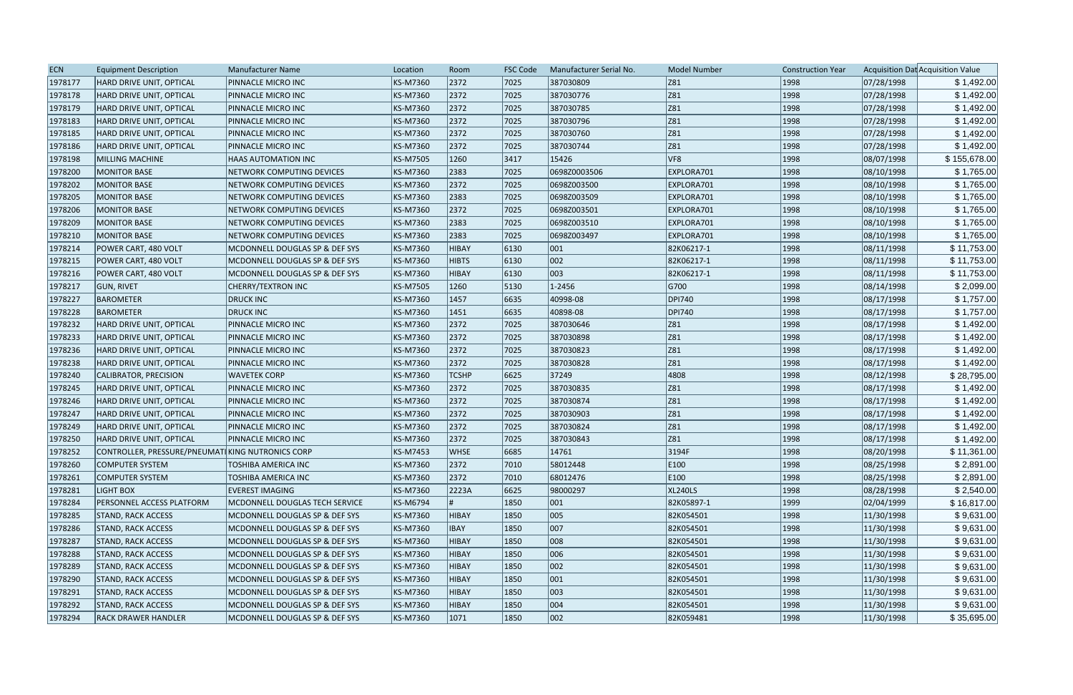| <b>ECN</b> | <b>Equipment Description</b>                     | Manufacturer Name                     | Location        | Room         | <b>FSC Code</b> | Manufacturer Serial No. | <b>Model Number</b> | <b>Construction Year</b> |            | Acquisition Dat Acquisition Value |
|------------|--------------------------------------------------|---------------------------------------|-----------------|--------------|-----------------|-------------------------|---------------------|--------------------------|------------|-----------------------------------|
| 1978177    | HARD DRIVE UNIT, OPTICAL                         | PINNACLE MICRO INC                    | KS-M7360        | 2372         | 7025            | 387030809               | Z81                 | 1998                     | 07/28/1998 | \$1,492.00                        |
| 1978178    | <b>HARD DRIVE UNIT, OPTICAL</b>                  | PINNACLE MICRO INC                    | <b>KS-M7360</b> | 2372         | 7025            | 387030776               | Z81                 | 1998                     | 07/28/1998 | \$1,492.00                        |
| 1978179    | HARD DRIVE UNIT, OPTICAL                         | PINNACLE MICRO INC                    | <b>KS-M7360</b> | 2372         | 7025            | 387030785               | Z81                 | 1998                     | 07/28/1998 | \$1,492.00                        |
| 1978183    | HARD DRIVE UNIT, OPTICAL                         | PINNACLE MICRO INC                    | <b>KS-M7360</b> | 2372         | 7025            | 387030796               | Z81                 | 1998                     | 07/28/1998 | \$1,492.00                        |
| 1978185    | HARD DRIVE UNIT, OPTICAL                         | PINNACLE MICRO INC                    | <b>KS-M7360</b> | 2372         | 7025            | 387030760               | Z81                 | 1998                     | 07/28/1998 | \$1,492.00                        |
| 1978186    | HARD DRIVE UNIT, OPTICAL                         | PINNACLE MICRO INC                    | <b>KS-M7360</b> | 2372         | 7025            | 387030744               | Z81                 | 1998                     | 07/28/1998 | \$1,492.00                        |
| 1978198    | MILLING MACHINE                                  | <b>HAAS AUTOMATION INC</b>            | <b>KS-M7505</b> | 1260         | 3417            | 15426                   | VF <sub>8</sub>     | 1998                     | 08/07/1998 | \$155,678.00                      |
| 1978200    | <b>MONITOR BASE</b>                              | NETWORK COMPUTING DEVICES             | KS-M7360        | 2383         | 7025            | 0698Z0003506            | EXPLORA701          | 1998                     | 08/10/1998 | \$1,765.00                        |
| 1978202    | MONITOR BASE                                     | NETWORK COMPUTING DEVICES             | <b>KS-M7360</b> | 2372         | 7025            | 0698Z003500             | EXPLORA701          | 1998                     | 08/10/1998 | \$1,765.00                        |
| 1978205    | MONITOR BASE                                     | NETWORK COMPUTING DEVICES             | <b>KS-M7360</b> | 2383         | 7025            | 0698Z003509             | EXPLORA701          | 1998                     | 08/10/1998 | \$1,765.00                        |
| 1978206    | MONITOR BASE                                     | NETWORK COMPUTING DEVICES             | <b>KS-M7360</b> | 2372         | 7025            | 0698Z003501             | EXPLORA701          | 1998                     | 08/10/1998 | \$1,765.00                        |
| 1978209    | <b>MONITOR BASE</b>                              | NETWORK COMPUTING DEVICES             | <b>KS-M7360</b> | 2383         | 7025            | 0698Z003510             | EXPLORA701          | 1998                     | 08/10/1998 | \$1,765.00                        |
| 1978210    | <b>MONITOR BASE</b>                              | NETWORK COMPUTING DEVICES             | <b>KS-M7360</b> | 2383         | 7025            | 0698Z003497             | EXPLORA701          | 1998                     | 08/10/1998 | \$1,765.00                        |
| 1978214    | POWER CART, 480 VOLT                             | MCDONNELL DOUGLAS SP & DEF SYS        | <b>KS-M7360</b> | HIBAY        | 6130            | 001                     | 82K06217-1          | 1998                     | 08/11/1998 | \$11,753.00                       |
| 1978215    | POWER CART, 480 VOLT                             | MCDONNELL DOUGLAS SP & DEF SYS        | <b>KS-M7360</b> | <b>HIBTS</b> | 6130            | 002                     | 82K06217-1          | 1998                     | 08/11/1998 | \$11,753.00                       |
| 1978216    | POWER CART, 480 VOLT                             | MCDONNELL DOUGLAS SP & DEF SYS        | <b>KS-M7360</b> | HIBAY        | 6130            | 003                     | 82K06217-1          | 1998                     | 08/11/1998 | \$11,753.00                       |
| 1978217    | <b>GUN, RIVET</b>                                | <b>CHERRY/TEXTRON INC</b>             | <b>KS-M7505</b> | 1260         | 5130            | $1 - 2456$              | G700                | 1998                     | 08/14/1998 | \$2,099.00                        |
| 1978227    | <b>BAROMETER</b>                                 | <b>DRUCK INC</b>                      | <b>KS-M7360</b> | 1457         | 6635            | 40998-08                | <b>DPI740</b>       | 1998                     | 08/17/1998 | \$1,757.00                        |
| 1978228    | <b>BAROMETER</b>                                 | <b>DRUCK INC</b>                      | <b>KS-M7360</b> | 1451         | 6635            | 40898-08                | <b>DPI740</b>       | 1998                     | 08/17/1998 | \$1,757.00                        |
| 1978232    | HARD DRIVE UNIT, OPTICAL                         | PINNACLE MICRO INC                    | <b>KS-M7360</b> | 2372         | 7025            | 387030646               | Z81                 | 1998                     | 08/17/1998 | \$1,492.00                        |
| 1978233    | HARD DRIVE UNIT, OPTICAL                         | PINNACLE MICRO INC                    | <b>KS-M7360</b> | 2372         | 7025            | 387030898               | Z81                 | 1998                     | 08/17/1998 | \$1,492.00                        |
| 1978236    | HARD DRIVE UNIT, OPTICAL                         | PINNACLE MICRO INC                    | <b>KS-M7360</b> | 2372         | 7025            | 387030823               | Z81                 | 1998                     | 08/17/1998 | \$1,492.00                        |
| 1978238    | HARD DRIVE UNIT, OPTICAL                         | PINNACLE MICRO INC                    | <b>KS-M7360</b> | 2372         | 7025            | 387030828               | Z81                 | 1998                     | 08/17/1998 | \$1,492.00                        |
| 1978240    | CALIBRATOR, PRECISION                            | <b>WAVETEK CORP</b>                   | <b>KS-M7360</b> | <b>TCSHP</b> | 6625            | 37249                   | 4808                | 1998                     | 08/12/1998 | \$28,795.00                       |
| 1978245    | HARD DRIVE UNIT, OPTICAL                         | PINNACLE MICRO INC                    | <b>KS-M7360</b> | 2372         | 7025            | 387030835               | Z81                 | 1998                     | 08/17/1998 | \$1,492.00                        |
| 1978246    | HARD DRIVE UNIT, OPTICAL                         | PINNACLE MICRO INC                    | <b>KS-M7360</b> | 2372         | 7025            | 387030874               | Z81                 | 1998                     | 08/17/1998 | \$1,492.00                        |
| 1978247    | HARD DRIVE UNIT, OPTICAL                         | PINNACLE MICRO INC                    | <b>KS-M7360</b> | 2372         | 7025            | 387030903               | Z81                 | 1998                     | 08/17/1998 | \$1,492.00                        |
| 1978249    | HARD DRIVE UNIT, OPTICAL                         | PINNACLE MICRO INC                    | KS-M7360        | 2372         | 7025            | 387030824               | Z81                 | 1998                     | 08/17/1998 | \$1,492.00                        |
| 1978250    | HARD DRIVE UNIT. OPTICAL                         | PINNACLE MICRO INC                    | <b>KS-M7360</b> | 2372         | 7025            | 387030843               | Z81                 | 1998                     | 08/17/1998 | \$1,492.00                        |
| 1978252    | CONTROLLER, PRESSURE/PNEUMATIKING NUTRONICS CORP |                                       | <b>KS-M7453</b> | <b>WHSE</b>  | 6685            | 14761                   | 3194F               | 1998                     | 08/20/1998 | \$11,361.00                       |
| 1978260    | COMPUTER SYSTEM                                  | <b>TOSHIBA AMERICA INC</b>            | KS-M7360        | 2372         | 7010            | 58012448                | E100                | 1998                     | 08/25/1998 | \$2,891.00                        |
| 1978261    | COMPUTER SYSTEM                                  | TOSHIBA AMERICA INC                   | <b>KS-M7360</b> | 2372         | 7010            | 68012476                | E100                | 1998                     | 08/25/1998 | \$2,891.00                        |
| 1978281    | LIGHT BOX                                        | <b>EVEREST IMAGING</b>                | <b>KS-M7360</b> | 2223A        | 6625            | 98000297                | <b>XL240LS</b>      | 1998                     | 08/28/1998 | \$2,540.00                        |
| 1978284    | <b>PERSONNEL ACCESS PLATFORM</b>                 | <b>MCDONNELL DOUGLAS TECH SERVICE</b> | KS-M6794        |              | 1850            | 001                     | 82K05897-1          | 1999                     | 02/04/1999 | \$16,817.00                       |
| 1978285    | <b>STAND, RACK ACCESS</b>                        | MCDONNELL DOUGLAS SP & DEF SYS        | KS-M7360        | HIBAY        | 1850            | 005                     | 82K054501           | 1998                     | 11/30/1998 | \$9,631.00                        |
| 1978286    | <b>STAND, RACK ACCESS</b>                        | MCDONNELL DOUGLAS SP & DEF SYS        | <b>KS-M7360</b> | <b>IBAY</b>  | 1850            | 007                     | 82K054501           | 1998                     | 11/30/1998 | \$9,631.00                        |
| 1978287    | <b>STAND, RACK ACCESS</b>                        | MCDONNELL DOUGLAS SP & DEF SYS        | <b>KS-M7360</b> | HIBAY        | 1850            | 008                     | 82K054501           | 1998                     | 11/30/1998 | \$9,631.00                        |
| 1978288    | <b>STAND, RACK ACCESS</b>                        | MCDONNELL DOUGLAS SP & DEF SYS        | <b>KS-M7360</b> | HIBAY        | 1850            | 006                     | 82K054501           | 1998                     | 11/30/1998 | \$9,631.00                        |
| 1978289    | <b>STAND, RACK ACCESS</b>                        | MCDONNELL DOUGLAS SP & DEF SYS        | <b>KS-M7360</b> | HIBAY        | 1850            | 002                     | 82K054501           | 1998                     | 11/30/1998 | \$9,631.00                        |
| 1978290    | <b>STAND, RACK ACCESS</b>                        | MCDONNELL DOUGLAS SP & DEF SYS        | KS-M7360        | HIBAY        | 1850            | 001                     | 82K054501           | 1998                     | 11/30/1998 | \$9,631.00                        |
| 1978291    | <b>STAND, RACK ACCESS</b>                        | MCDONNELL DOUGLAS SP & DEF SYS        | KS-M7360        | HIBAY        | 1850            | 003                     | 82K054501           | 1998                     | 11/30/1998 | \$9,631.00                        |
| 1978292    | <b>STAND, RACK ACCESS</b>                        | MCDONNELL DOUGLAS SP & DEF SYS        | KS-M7360        | HIBAY        | 1850            | 004                     | 82K054501           | 1998                     | 11/30/1998 | \$9,631.00                        |
| 1978294    | <b>RACK DRAWER HANDLER</b>                       | MCDONNELL DOUGLAS SP & DEF SYS        | KS-M7360        | 1071         | 1850            | $ 002\rangle$           | 82K059481           | 1998                     | 11/30/1998 | \$35,695.00                       |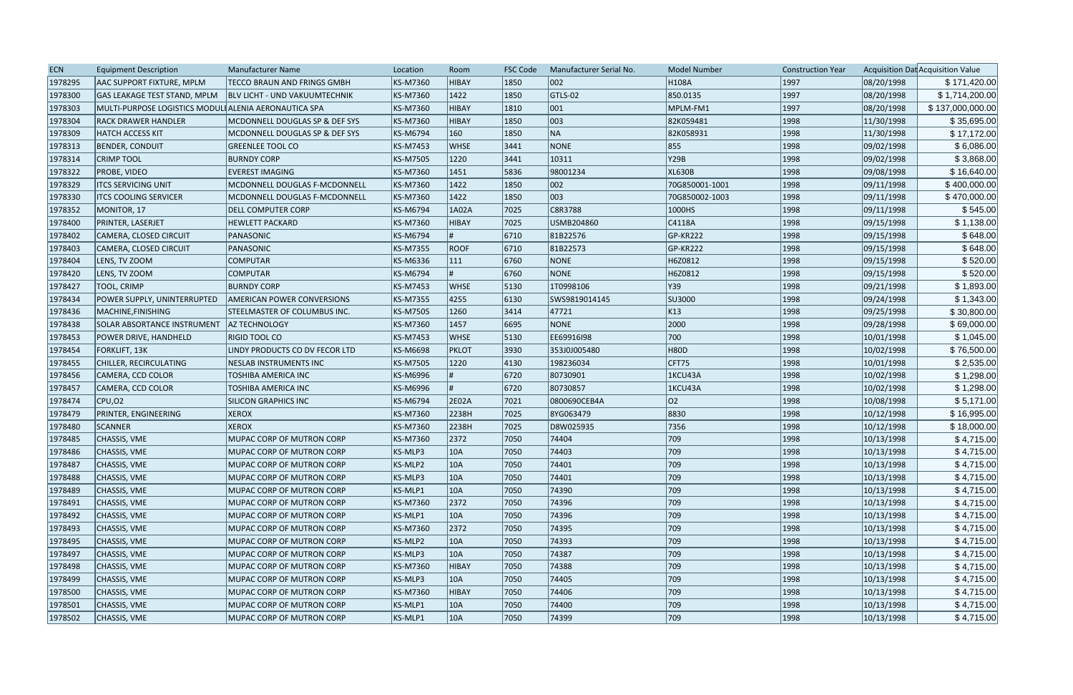| <b>ECN</b> | <b>Equipment Description</b>                          | <b>Manufacturer Name</b>             | Location | Room         | <b>FSC Code</b> | Manufacturer Serial No. | <b>Model Number</b> | <b>Construction Year</b> |            | Acquisition Dat Acquisition Value |
|------------|-------------------------------------------------------|--------------------------------------|----------|--------------|-----------------|-------------------------|---------------------|--------------------------|------------|-----------------------------------|
| 1978295    | AAC SUPPORT FIXTURE, MPLM                             | <b>TECCO BRAUN AND FRINGS GMBH</b>   | KS-M7360 | HIBAY        | 1850            | 002                     | H <sub>108</sub> A  | 1997                     | 08/20/1998 | \$171,420.00                      |
| 1978300    | GAS LEAKAGE TEST STAND, MPLM                          | <b>BLV LICHT - UND VAKUUMTECHNIK</b> | KS-M7360 | 1422         | 1850            | GTLS-02                 | 850.0135            | 1997                     | 08/20/1998 | \$1,714,200.00                    |
| 1978303    | MULTI-PURPOSE LOGISTICS MODULI ALENIA AERONAUTICA SPA |                                      | KS-M7360 | <b>HIBAY</b> | 1810            | $ 001\rangle$           | MPLM-FM1            | 1997                     | 08/20/1998 | \$137,000,000.00                  |
| 1978304    | RACK DRAWER HANDLER                                   | MCDONNELL DOUGLAS SP & DEF SYS       | KS-M7360 | <b>HIBAY</b> | 1850            | 003                     | 82K059481           | 1998                     | 11/30/1998 | \$35,695.00                       |
| 1978309    | <b>HATCH ACCESS KIT</b>                               | MCDONNELL DOUGLAS SP & DEF SYS       | KS-M6794 | 160          | 1850            | NA                      | 82K058931           | 1998                     | 11/30/1998 | \$17,172.00                       |
| 1978313    | <b>BENDER, CONDUIT</b>                                | <b>GREENLEE TOOL CO</b>              | KS-M7453 | <b>WHSE</b>  | 3441            | NONE                    | 855                 | 1998                     | 09/02/1998 | \$6,086.00                        |
| 1978314    | <b>CRIMP TOOL</b>                                     | <b>BURNDY CORP</b>                   | KS-M7505 | 1220         | 3441            | 10311                   | Y29B                | 1998                     | 09/02/1998 | \$3,868.00                        |
| 1978322    | PROBE, VIDEO                                          | <b>EVEREST IMAGING</b>               | KS-M7360 | 1451         | 5836            | 98001234                | <b>XL630B</b>       | 1998                     | 09/08/1998 | \$16,640.00                       |
| 1978329    | <b>ITCS SERVICING UNIT</b>                            | MCDONNELL DOUGLAS F-MCDONNELL        | KS-M7360 | 1422         | 1850            | 002                     | 70G850001-1001      | 1998                     | 09/11/1998 | \$400,000.00                      |
| 1978330    | <b>ITCS COOLING SERVICER</b>                          | MCDONNELL DOUGLAS F-MCDONNELL        | KS-M7360 | 1422         | 1850            | 003                     | 70G850002-1003      | 1998                     | 09/11/1998 | \$470,000.00                      |
| 1978352    | MONITOR, 17                                           | <b>DELL COMPUTER CORP</b>            | KS-M6794 | 1A02A        | 7025            | C8R3788                 | 1000HS              | 1998                     | 09/11/1998 | \$545.00                          |
| 1978400    | PRINTER, LASERJET                                     | <b>HEWLETT PACKARD</b>               | KS-M7360 | <b>HIBAY</b> | 7025            | USMB204860              | C4118A              | 1998                     | 09/15/1998 | \$1,138.00                        |
| 1978402    | CAMERA, CLOSED CIRCUIT                                | PANASONIC                            | KS-M6794 |              | 6710            | 81B22576                | GP-KR222            | 1998                     | 09/15/1998 | \$648.00                          |
| 1978403    | CAMERA, CLOSED CIRCUIT                                | PANASONIC                            | KS-M7355 | <b>ROOF</b>  | 6710            | 81B22573                | GP-KR222            | 1998                     | 09/15/1998 | \$648.00                          |
| 1978404    | LENS, TV ZOOM                                         | <b>COMPUTAR</b>                      | KS-M6336 | 111          | 6760            | NONE                    | H6Z0812             | 1998                     | 09/15/1998 | \$520.00                          |
| 1978420    | LENS, TV ZOOM                                         | <b>COMPUTAR</b>                      | KS-M6794 |              | 6760            | NONE                    | H6Z0812             | 1998                     | 09/15/1998 | \$520.00                          |
| 1978427    | TOOL, CRIMP                                           | <b>BURNDY CORP</b>                   | KS-M7453 | <b>WHSE</b>  | 5130            | 1T0998106               | Y39                 | 1998                     | 09/21/1998 | \$1,893.00                        |
| 1978434    | POWER SUPPLY, UNINTERRUPTED                           | <b>AMERICAN POWER CONVERSIONS</b>    | KS-M7355 | 4255         | 6130            | SWS9819014145           | SU3000              | 1998                     | 09/24/1998 | \$1,343.00                        |
| 1978436    | MACHINE, FINISHING                                    | <b>STEELMASTER OF COLUMBUS INC.</b>  | KS-M7505 | 1260         | 3414            | 47721                   | K13                 | 1998                     | 09/25/1998 | \$30,800.00                       |
| 1978438    | <b>SOLAR ABSORTANCE INSTRUMENT</b>                    | <b>AZ TECHNOLOGY</b>                 | KS-M7360 | 1457         | 6695            | NONE                    | 2000                | 1998                     | 09/28/1998 | \$69,000.00                       |
| 1978453    | POWER DRIVE, HANDHELD                                 | <b>RIGID TOOL CO</b>                 | KS-M7453 | <b>WHSE</b>  | 5130            | EE69916I98              | 700                 | 1998                     | 10/01/1998 | \$1,045.00                        |
| 1978454    | FORKLIFT, 13K                                         | LINDY PRODUCTS CO DV FECOR LTD       | KS-M6698 | <b>PKLOT</b> | 3930            | 353J0J005480            | <b>H80D</b>         | 1998                     | 10/02/1998 | \$76,500.00                       |
| 1978455    | CHILLER, RECIRCULATING                                | NESLAB INSTRUMENTS INC               | KS-M7505 | 1220         | 4130            | 198236034               | CFT75               | 1998                     | 10/01/1998 | \$2,535.00                        |
| 1978456    | CAMERA, CCD COLOR                                     | TOSHIBA AMERICA INC                  | KS-M6996 |              | 6720            | 80730901                | 1KCU43A             | 1998                     | 10/02/1998 | \$1,298.00                        |
| 1978457    | CAMERA, CCD COLOR                                     | <b>TOSHIBA AMERICA INC</b>           | KS-M6996 |              | 6720            | 80730857                | 1KCU43A             | 1998                     | 10/02/1998 | \$1,298.00                        |
| 1978474    | CPU,O <sub>2</sub>                                    | <b>SILICON GRAPHICS INC</b>          | KS-M6794 | 2E02A        | 7021            | 0800690CEB4A            | 02                  | 1998                     | 10/08/1998 | \$5,171.00                        |
| 1978479    | PRINTER, ENGINEERING                                  | <b>XEROX</b>                         | KS-M7360 | 2238H        | 7025            | 8YG063479               | 8830                | 1998                     | 10/12/1998 | \$16,995.00                       |
| 1978480    | <b>SCANNER</b>                                        | <b>XEROX</b>                         | KS-M7360 | 2238H        | 7025            | D8W025935               | 7356                | 1998                     | 10/12/1998 | \$18,000.00                       |
| 1978485    | CHASSIS, VME                                          | MUPAC CORP OF MUTRON CORP            | KS-M7360 | 2372         | 7050            | 74404                   | 709                 | 1998                     | 10/13/1998 | \$4,715.00                        |
| 1978486    | CHASSIS, VME                                          | MUPAC CORP OF MUTRON CORP            | KS-MLP3  | 10A          | 7050            | 74403                   | 709                 | 1998                     | 10/13/1998 | \$4,715.00                        |
| 1978487    | CHASSIS, VME                                          | MUPAC CORP OF MUTRON CORP            | KS-MLP2  | 10A          | 7050            | 74401                   | 709                 | 1998                     | 10/13/1998 | \$4,715.00                        |
| 1978488    | CHASSIS, VME                                          | MUPAC CORP OF MUTRON CORP            | KS-MLP3  | 10A          | 7050            | 74401                   | 709                 | 1998                     | 10/13/1998 | \$4,715.00                        |
| 1978489    | CHASSIS, VME                                          | MUPAC CORP OF MUTRON CORP            | KS-MLP1  | 10A          | 7050            | 74390                   | 709                 | 1998                     | 10/13/1998 | \$4,715.00                        |
| 1978491    | CHASSIS, VME                                          | MUPAC CORP OF MUTRON CORP            | KS-M7360 | 2372         | 7050            | 74396                   | 709                 | 1998                     | 10/13/1998 | \$4,715.00                        |
| 1978492    | CHASSIS, VME                                          | MUPAC CORP OF MUTRON CORP            | KS-MLP1  | 10A          | 7050            | 74396                   | 709                 | 1998                     | 10/13/1998 | \$4,715.00                        |
| 1978493    | CHASSIS, VME                                          | <b>MUPAC CORP OF MUTRON CORP</b>     | KS-M7360 | 2372         | 7050            | 74395                   | 709                 | 1998                     | 10/13/1998 | \$4,715.00                        |
| 1978495    | CHASSIS, VME                                          | MUPAC CORP OF MUTRON CORP            | KS-MLP2  | 10A          | 7050            | 74393                   | 709                 | 1998                     | 10/13/1998 | \$4,715.00                        |
| 1978497    | CHASSIS, VME                                          | MUPAC CORP OF MUTRON CORP            | KS-MLP3  | 10A          | 7050            | 74387                   | 709                 | 1998                     | 10/13/1998 | \$4,715.00                        |
| 1978498    | CHASSIS, VME                                          | MUPAC CORP OF MUTRON CORP            | KS-M7360 | HIBAY        | 7050            | 74388                   | 709                 | 1998                     | 10/13/1998 | \$4,715.00                        |
| 1978499    | CHASSIS, VME                                          | <b>MUPAC CORP OF MUTRON CORP</b>     | KS-MLP3  | 10A          | 7050            | 74405                   | 709                 | 1998                     | 10/13/1998 | \$4,715.00                        |
| 1978500    | CHASSIS, VME                                          | MUPAC CORP OF MUTRON CORP            | KS-M7360 | HIBAY        | 7050            | 74406                   | 709                 | 1998                     | 10/13/1998 | \$4,715.00                        |
| 1978501    | CHASSIS, VME                                          | MUPAC CORP OF MUTRON CORP            | KS-MLP1  | 10A          | 7050            | 74400                   | 709                 | 1998                     | 10/13/1998 | \$4,715.00                        |
| 1978502    | CHASSIS, VME                                          | MUPAC CORP OF MUTRON CORP            | KS-MLP1  | 10A          | 7050            | 74399                   | 709                 | 1998                     | 10/13/1998 | \$4,715.00                        |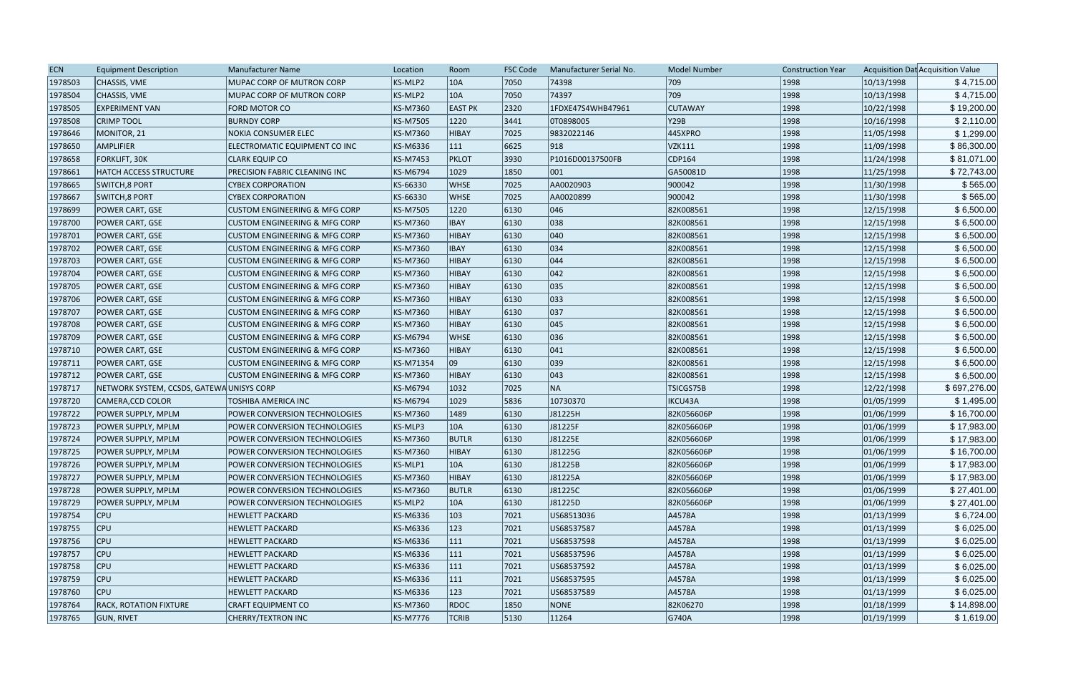| <b>ECN</b> | <b>Equipment Description</b>             | <b>Manufacturer Name</b>                 | Location        | Room           | <b>FSC Code</b> | Manufacturer Serial No. | <b>Model Number</b> | <b>Construction Year</b> |            | Acquisition Dat Acquisition Value |
|------------|------------------------------------------|------------------------------------------|-----------------|----------------|-----------------|-------------------------|---------------------|--------------------------|------------|-----------------------------------|
| 1978503    | CHASSIS, VME                             | MUPAC CORP OF MUTRON CORP                | KS-MLP2         | 10A            | 7050            | 74398                   | 709                 | 1998                     | 10/13/1998 | \$4,715.00                        |
| 1978504    | CHASSIS, VME                             | MUPAC CORP OF MUTRON CORP                | KS-MLP2         | 10A            | 7050            | 74397                   | 709                 | 1998                     | 10/13/1998 | \$4,715.00                        |
| 1978505    | <b>EXPERIMENT VAN</b>                    | FORD MOTOR CO                            | <b>KS-M7360</b> | <b>EAST PK</b> | 2320            | 1FDXE47S4WHB47961       | <b>CUTAWAY</b>      | 1998                     | 10/22/1998 | \$19,200.00                       |
| 1978508    | <b>CRIMP TOOL</b>                        | <b>BURNDY CORP</b>                       | <b>KS-M7505</b> | 1220           | 3441            | OT0898005               | <b>Y29B</b>         | 1998                     | 10/16/1998 | \$2,110.00                        |
| 1978646    | MONITOR, 21                              | NOKIA CONSUMER ELEC                      | <b>KS-M7360</b> | HIBAY          | 7025            | 9832022146              | 445XPRO             | 1998                     | 11/05/1998 | \$1,299.00                        |
| 1978650    | <b>AMPLIFIER</b>                         | ELECTROMATIC EQUIPMENT CO INC            | <b>KS-M6336</b> | $ 111\rangle$  | 6625            | 918                     | <b>VZK111</b>       | 1998                     | 11/09/1998 | \$86,300.00                       |
| 1978658    | <b>FORKLIFT, 30K</b>                     | <b>CLARK EQUIP CO</b>                    | <b>KS-M7453</b> | PKLOT          | 3930            | P1016D00137500FB        | CDP164              | 1998                     | 11/24/1998 | \$81,071.00                       |
| 1978661    | HATCH ACCESS STRUCTURE                   | PRECISION FABRIC CLEANING INC            | <b>KS-M6794</b> | 1029           | 1850            | $ 001\rangle$           | GA50081D            | 1998                     | 11/25/1998 | \$72,743.00                       |
| 1978665    | <b>SWITCH, 8 PORT</b>                    | <b>CYBEX CORPORATION</b>                 | KS-66330        | <b>WHSE</b>    | 7025            | AA0020903               | 900042              | 1998                     | 11/30/1998 | \$565.00                          |
| 1978667    | <b>SWITCH, 8 PORT</b>                    | <b>CYBEX CORPORATION</b>                 | KS-66330        | <b>WHSE</b>    | 7025            | AA0020899               | 900042              | 1998                     | 11/30/1998 | \$565.00                          |
| 1978699    | POWER CART, GSE                          | <b>CUSTOM ENGINEERING &amp; MFG CORP</b> | <b>KS-M7505</b> | 1220           | 6130            | 046                     | 82K008561           | 1998                     | 12/15/1998 | \$6,500.00                        |
| 1978700    | POWER CART, GSE                          | <b>CUSTOM ENGINEERING &amp; MFG CORP</b> | KS-M7360        | <b>IBAY</b>    | 6130            | 038                     | 82K008561           | 1998                     | 12/15/1998 | \$6,500.00                        |
| 1978701    | POWER CART, GSE                          | <b>CUSTOM ENGINEERING &amp; MFG CORP</b> | <b>KS-M7360</b> | <b>HIBAY</b>   | 6130            | 040                     | 82K008561           | 1998                     | 12/15/1998 | \$6,500.00                        |
| 1978702    | POWER CART, GSE                          | <b>CUSTOM ENGINEERING &amp; MFG CORP</b> | KS-M7360        | <b>IBAY</b>    | 6130            | 034                     | 82K008561           | 1998                     | 12/15/1998 | \$6,500.00                        |
| 1978703    | POWER CART, GSE                          | <b>CUSTOM ENGINEERING &amp; MFG CORP</b> | <b>KS-M7360</b> | HIBAY          | 6130            | 044                     | 82K008561           | 1998                     | 12/15/1998 | \$6,500.00                        |
| 1978704    | POWER CART, GSE                          | <b>CUSTOM ENGINEERING &amp; MFG CORP</b> | <b>KS-M7360</b> | HIBAY          | 6130            | 042                     | 82K008561           | 1998                     | 12/15/1998 | \$6,500.00                        |
| 1978705    | POWER CART, GSE                          | <b>CUSTOM ENGINEERING &amp; MFG CORP</b> | <b>KS-M7360</b> | HIBAY          | 6130            | 035                     | 82K008561           | 1998                     | 12/15/1998 | \$6,500.00                        |
| 1978706    | POWER CART, GSE                          | <b>CUSTOM ENGINEERING &amp; MFG CORP</b> | KS-M7360        | <b>HIBAY</b>   | 6130            | 033                     | 82K008561           | 1998                     | 12/15/1998 | \$6,500.00                        |
| 1978707    | POWER CART, GSE                          | <b>CUSTOM ENGINEERING &amp; MFG CORP</b> | <b>KS-M7360</b> | HIBAY          | 6130            | 037                     | 82K008561           | 1998                     | 12/15/1998 | \$6,500.00                        |
| 1978708    | POWER CART, GSE                          | <b>CUSTOM ENGINEERING &amp; MFG CORP</b> | KS-M7360        | HIBAY          | 6130            | 045                     | 82K008561           | 1998                     | 12/15/1998 | \$6,500.00                        |
| 1978709    | <b>POWER CART, GSE</b>                   | <b>CUSTOM ENGINEERING &amp; MFG CORP</b> | <b>KS-M6794</b> | <b>WHSE</b>    | 6130            | 036                     | 82K008561           | 1998                     | 12/15/1998 | \$6,500.00                        |
| 1978710    | POWER CART, GSE                          | <b>CUSTOM ENGINEERING &amp; MFG CORP</b> | <b>KS-M7360</b> | HIBAY          | 6130            | $ 041\rangle$           | 82K008561           | 1998                     | 12/15/1998 | \$6,500.00                        |
| 1978711    | POWER CART, GSE                          | <b>CUSTOM ENGINEERING &amp; MFG CORP</b> | KS-M71354       | 09             | 6130            | $ 039\rangle$           | 82K008561           | 1998                     | 12/15/1998 | \$6,500.00                        |
| 1978712    | POWER CART, GSE                          | <b>CUSTOM ENGINEERING &amp; MFG CORP</b> | <b>KS-M7360</b> | HIBAY          | 6130            | 043                     | 82K008561           | 1998                     | 12/15/1998 | \$6,500.00                        |
| 1978717    | NETWORK SYSTEM, CCSDS, GATEWAUNISYS CORP |                                          | <b>KS-M6794</b> | 1032           | 7025            | NA                      | TSICGS75B           | 1998                     | 12/22/1998 | \$697,276.00                      |
| 1978720    | CAMERA,CCD COLOR                         | TOSHIBA AMERICA INC                      | <b>KS-M6794</b> | 1029           | 5836            | 10730370                | IKCU43A             | 1998                     | 01/05/1999 | \$1,495.00                        |
| 1978722    | POWER SUPPLY, MPLM                       | POWER CONVERSION TECHNOLOGIES            | <b>KS-M7360</b> | 1489           | 6130            | J81225H                 | 82K056606P          | 1998                     | 01/06/1999 | \$16,700.00                       |
| 1978723    | POWER SUPPLY, MPLM                       | POWER CONVERSION TECHNOLOGIES            | KS-MLP3         | 10A            | 6130            | J81225F                 | 82K056606P          | 1998                     | 01/06/1999 | \$17,983.00                       |
| 1978724    | POWER SUPPLY, MPLM                       | POWER CONVERSION TECHNOLOGIES            | <b>KS-M7360</b> | <b>BUTLR</b>   | 6130            | J81225E                 | 82K056606P          | 1998                     | 01/06/1999 | \$17,983.00                       |
| 1978725    | POWER SUPPLY, MPLM                       | POWER CONVERSION TECHNOLOGIES            | <b>KS-M7360</b> | HIBAY          | 6130            | J81225G                 | 82K056606P          | 1998                     | 01/06/1999 | \$16,700.00                       |
| 1978726    | POWER SUPPLY, MPLM                       | POWER CONVERSION TECHNOLOGIES            | KS-MLP1         | 10A            | 6130            | J81225B                 | 82K056606P          | 1998                     | 01/06/1999 | \$17,983.00                       |
| 1978727    | POWER SUPPLY, MPLM                       | POWER CONVERSION TECHNOLOGIES            | KS-M7360        | HIBAY          | 6130            | J81225A                 | 82K056606P          | 1998                     | 01/06/1999 | \$17,983.00                       |
| 1978728    | POWER SUPPLY, MPLM                       | POWER CONVERSION TECHNOLOGIES            | <b>KS-M7360</b> | <b>BUTLR</b>   | 6130            | J81225C                 | 82K056606P          | 1998                     | 01/06/1999 | \$27,401.00                       |
| 1978729    | POWER SUPPLY, MPLM                       | POWER CONVERSION TECHNOLOGIES            | KS-MLP2         | 10A            | 6130            | J81225D                 | 82K056606P          | 1998                     | 01/06/1999 | \$27,401.00                       |
| 1978754    | $ $ CPU                                  | <b>HEWLETT PACKARD</b>                   | KS-M6336        | $ 103\rangle$  | 7021            | US68513036              | A4578A              | 1998                     | 01/13/1999 | \$6,724.00                        |
| 1978755    | $ $ CPU                                  | <b>HEWLETT PACKARD</b>                   | KS-M6336        | 123            | 7021            | US68537587              | A4578A              | 1998                     | 01/13/1999 | \$6,025.00                        |
| 1978756    | $ $ CPU                                  | <b>HEWLETT PACKARD</b>                   | KS-M6336        | 111            | 7021            | US68537598              | A4578A              | 1998                     | 01/13/1999 | \$6,025.00                        |
| 1978757    | <b>CPU</b>                               | <b>HEWLETT PACKARD</b>                   | KS-M6336        | 111            | 7021            | US68537596              | A4578A              | 1998                     | 01/13/1999 | \$6,025.00                        |
| 1978758    | <b>CPU</b>                               | <b>HEWLETT PACKARD</b>                   | KS-M6336        | $ 111\rangle$  | 7021            | US68537592              | A4578A              | 1998                     | 01/13/1999 | \$6,025.00                        |
| 1978759    | <b>CPU</b>                               | <b>HEWLETT PACKARD</b>                   | KS-M6336        | 111            | 7021            | US68537595              | A4578A              | 1998                     | 01/13/1999 | \$6,025.00                        |
| 1978760    | <b>CPU</b>                               | <b>HEWLETT PACKARD</b>                   | KS-M6336        | 123            | 7021            | US68537589              | A4578A              | 1998                     | 01/13/1999 | \$6,025.00                        |
| 1978764    | <b>RACK, ROTATION FIXTURE</b>            | <b>CRAFT EQUIPMENT CO</b>                | KS-M7360        | RDOC           | 1850            | NONE                    | 82K06270            | 1998                     | 01/18/1999 | \$14,898.00                       |
| 1978765    | <b>GUN, RIVET</b>                        | <b>CHERRY/TEXTRON INC</b>                | <b>KS-M7776</b> | <b>TCRIB</b>   | 5130            | 11264                   | G740A               | 1998                     | 01/19/1999 | \$1,619.00                        |
|            |                                          |                                          |                 |                |                 |                         |                     |                          |            |                                   |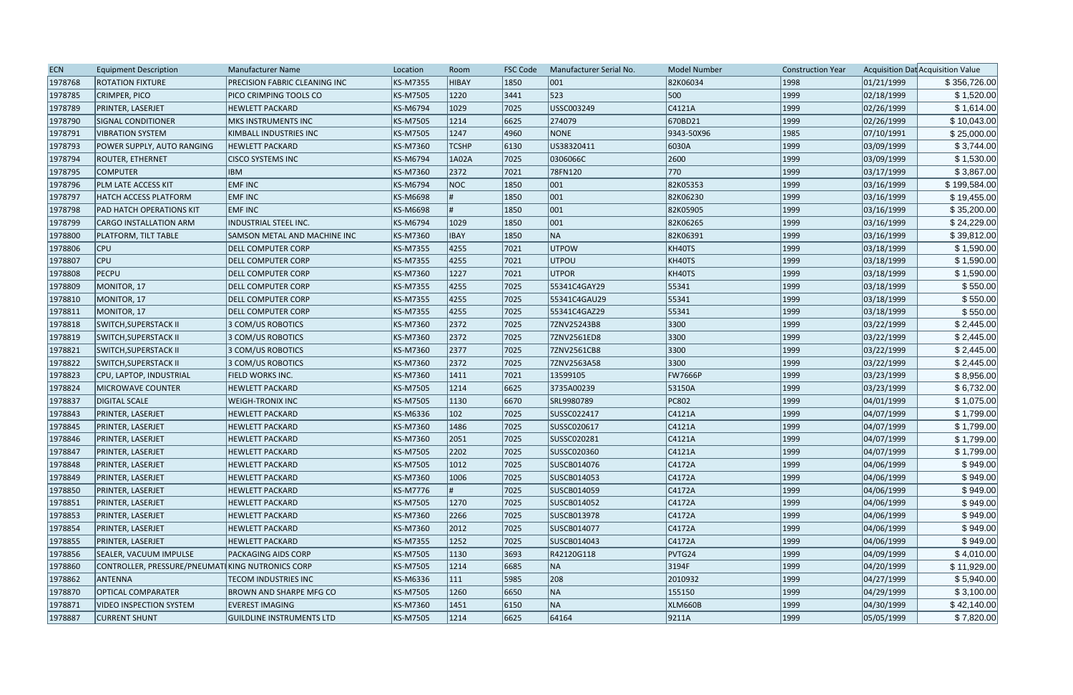| <b>ECN</b> | <b>Equipment Description</b>                     | <b>Manufacturer Name</b>         | Location        | Room           | <b>FSC Code</b> | Manufacturer Serial No. | <b>Model Number</b> | <b>Construction Year</b> |            | Acquisition Dat Acquisition Value |
|------------|--------------------------------------------------|----------------------------------|-----------------|----------------|-----------------|-------------------------|---------------------|--------------------------|------------|-----------------------------------|
| 1978768    | <b>ROTATION FIXTURE</b>                          | PRECISION FABRIC CLEANING INC    | <b>KS-M7355</b> | HIBAY          | 1850            | 001                     | 82K06034            | 1998                     | 01/21/1999 | \$356,726.00                      |
| 1978785    | <b>CRIMPER, PICO</b>                             | PICO CRIMPING TOOLS CO           | <b>KS-M7505</b> | 1220           | 3441            | 523                     | 500                 | 1999                     | 02/18/1999 | \$1,520.00                        |
| 1978789    | PRINTER, LASERJET                                | <b>HEWLETT PACKARD</b>           | <b>KS-M6794</b> | 1029           | 7025            | USSC003249              | C4121A              | 1999                     | 02/26/1999 | \$1,614.00                        |
| 1978790    | <b>SIGNAL CONDITIONER</b>                        | <b>MKS INSTRUMENTS INC</b>       | <b>KS-M7505</b> | 1214           | 6625            | 274079                  | 670BD21             | 1999                     | 02/26/1999 | \$10,043.00                       |
| 1978791    | <b>VIBRATION SYSTEM</b>                          | KIMBALL INDUSTRIES INC           | <b>KS-M7505</b> | 1247           | 4960            | <b>NONE</b>             | 9343-50X96          | 1985                     | 07/10/1991 | \$25,000.00                       |
| 1978793    | POWER SUPPLY, AUTO RANGING                       | <b>HEWLETT PACKARD</b>           | <b>KS-M7360</b> | <b>TCSHP</b>   | 6130            | US38320411              | 6030A               | 1999                     | 03/09/1999 | \$3,744.00                        |
| 1978794    | ROUTER, ETHERNET                                 | <b>CISCO SYSTEMS INC</b>         | <b>KS-M6794</b> | 1A02A          | 7025            | 0306066C                | 2600                | 1999                     | 03/09/1999 | \$1,530.00                        |
| 1978795    | <b>COMPUTER</b>                                  | <b>IBM</b>                       | KS-M7360        | 2372           | 7021            | 78FN120                 | 770                 | 1999                     | 03/17/1999 | \$3,867.00                        |
| 1978796    | PLM LATE ACCESS KIT                              | <b>EMFINC</b>                    | <b>KS-M6794</b> | NOC            | 1850            | 001                     | 82K05353            | 1999                     | 03/16/1999 | \$199,584.00                      |
| 1978797    | <b>HATCH ACCESS PLATFORM</b>                     | <b>EMF INC</b>                   | KS-M6698        |                | 1850            | 001                     | 82K06230            | 1999                     | 03/16/1999 | \$19,455.00                       |
| 1978798    | <b>PAD HATCH OPERATIONS KIT</b>                  | <b>EMFINC</b>                    | KS-M6698        |                | 1850            | 001                     | 82K05905            | 1999                     | 03/16/1999 | \$35,200.00                       |
| 1978799    | CARGO INSTALLATION ARM                           | INDUSTRIAL STEEL INC.            | <b>KS-M6794</b> | 1029           | 1850            | 001                     | 82K06265            | 1999                     | 03/16/1999 | \$24,229.00                       |
| 1978800    | PLATFORM, TILT TABLE                             | SAMSON METAL AND MACHINE INC     | KS-M7360        | <b>IBAY</b>    | 1850            | NA                      | 82K06391            | 1999                     | 03/16/1999 | \$39,812.00                       |
| 1978806    | <b>CPU</b>                                       | <b>DELL COMPUTER CORP</b>        | <b>KS-M7355</b> | 4255           | 7021            | UTPOW                   | KH40TS              | 1999                     | 03/18/1999 | \$1,590.00                        |
| 1978807    | <b>CPU</b>                                       | <b>DELL COMPUTER CORP</b>        | <b>KS-M7355</b> | 4255           | 7021            | UTPOU                   | KH40TS              | 1999                     | 03/18/1999 | \$1,590.00                        |
| 1978808    | PECPU                                            | <b>DELL COMPUTER CORP</b>        | KS-M7360        | 1227           | 7021            | UTPOR                   | KH40TS              | 1999                     | 03/18/1999 | \$1,590.00                        |
| 1978809    | MONITOR, 17                                      | DELL COMPUTER CORP               | <b>KS-M7355</b> | 4255           | 7025            | 55341C4GAY29            | 55341               | 1999                     | 03/18/1999 | \$550.00                          |
| 1978810    | MONITOR, 17                                      | <b>DELL COMPUTER CORP</b>        | <b>KS-M7355</b> | 4255           | 7025            | 55341C4GAU29            | 55341               | 1999                     | 03/18/1999 | \$550.00                          |
| 1978811    | MONITOR, 17                                      | <b>DELL COMPUTER CORP</b>        | <b>KS-M7355</b> | 4255           | 7025            | 55341C4GAZ29            | 55341               | 1999                     | 03/18/1999 | \$550.00                          |
| 1978818    | <b>SWITCH, SUPERSTACK II</b>                     | 3 COM/US ROBOTICS                | <b>KS-M7360</b> | 2372           | 7025            | 7ZNV25243B8             | 3300                | 1999                     | 03/22/1999 | \$2,445.00                        |
| 1978819    | SWITCH, SUPERSTACK II                            | 3 COM/US ROBOTICS                | KS-M7360        | 2372           | 7025            | 7ZNV2561ED8             | 3300                | 1999                     | 03/22/1999 | \$2,445.00                        |
| 1978821    | SWITCH, SUPERSTACK II                            | 3 COM/US ROBOTICS                | <b>KS-M7360</b> | 2377           | 7025            | 7ZNV2561CB8             | 3300                | 1999                     | 03/22/1999 | \$2,445.00                        |
| 1978822    | <b>SWITCH, SUPERSTACK II</b>                     | 3 COM/US ROBOTICS                | KS-M7360        | 2372           | 7025            | 7ZNV2563A58             | 3300                | 1999                     | 03/22/1999 | \$2,445.00                        |
| 1978823    | CPU, LAPTOP, INDUSTRIAL                          | FIELD WORKS INC.                 | <b>KS-M7360</b> | 1411           | 7021            | 13599105                | <b>FW7666P</b>      | 1999                     | 03/23/1999 | \$8,956.00                        |
| 1978824    | <b>MICROWAVE COUNTER</b>                         | <b>HEWLETT PACKARD</b>           | <b>KS-M7505</b> | 1214           | 6625            | 3735A00239              | 53150A              | 1999                     | 03/23/1999 | \$6,732.00                        |
| 1978837    | <b>DIGITAL SCALE</b>                             | <b>WEIGH-TRONIX INC</b>          | <b>KS-M7505</b> | 1130           | 6670            | SRL9980789              | PC802               | 1999                     | 04/01/1999 | \$1,075.00                        |
| 1978843    | PRINTER, LASERJET                                | <b>HEWLETT PACKARD</b>           | KS-M6336        | 102            | 7025            | SUSSC022417             | C4121A              | 1999                     | 04/07/1999 | \$1,799.00                        |
| 1978845    | PRINTER, LASERJET                                | <b>HEWLETT PACKARD</b>           | KS-M7360        | 1486           | 7025            | SUSSC020617             | C4121A              | 1999                     | 04/07/1999 | \$1,799.00                        |
| 1978846    | PRINTER, LASERJET                                | <b>HEWLETT PACKARD</b>           | <b>KS-M7360</b> | 2051           | 7025            | SUSSC020281             | C4121A              | 1999                     | 04/07/1999 | \$1,799.00                        |
| 1978847    | PRINTER, LASERJET                                | <b>HEWLETT PACKARD</b>           | <b>KS-M7505</b> | 2202           | 7025            | SUSSC020360             | C4121A              | 1999                     | 04/07/1999 | \$1,799.00                        |
| 1978848    | PRINTER, LASERJET                                | <b>HEWLETT PACKARD</b>           | <b>KS-M7505</b> | $ 1012\rangle$ | 7025            | SUSCB014076             | C4172A              | 1999                     | 04/06/1999 | \$949.00                          |
| 1978849    | PRINTER, LASERJET                                | <b>HEWLETT PACKARD</b>           | KS-M7360        | 1006           | 7025            | SUSCB014053             | C4172A              | 1999                     | 04/06/1999 | \$949.00                          |
| 1978850    | PRINTER, LASERJET                                | <b>HEWLETT PACKARD</b>           | <b>KS-M7776</b> |                | 7025            | SUSCB014059             | C4172A              | 1999                     | 04/06/1999 | \$949.00                          |
| 1978851    | PRINTER, LASERJET                                | <b>HEWLETT PACKARD</b>           | <b>KS-M7505</b> | 1270           | 7025            | SUSCB014052             | C4172A              | 1999                     | 04/06/1999 | \$949.00                          |
| 1978853    | PRINTER, LASERJET                                | <b>HEWLETT PACKARD</b>           | KS-M7360        | 2266           | 7025            | SUSCB013978             | C4172A              | 1999                     | 04/06/1999 | \$949.00                          |
| 1978854    | PRINTER, LASERJET                                | <b>HEWLETT PACKARD</b>           | KS-M7360        | 2012           | 7025            | SUSCB014077             | C4172A              | 1999                     | 04/06/1999 | \$949.00                          |
| 1978855    | PRINTER, LASERJET                                | <b>HEWLETT PACKARD</b>           | <b>KS-M7355</b> | 1252           | 7025            | SUSCB014043             | C4172A              | 1999                     | 04/06/1999 | \$949.00                          |
| 1978856    | SEALER, VACUUM IMPULSE                           | <b>PACKAGING AIDS CORP</b>       | <b>KS-M7505</b> | 1130           | 3693            | R42120G118              | PVTG24              | 1999                     | 04/09/1999 | \$4,010.00                        |
| 1978860    | CONTROLLER, PRESSURE/PNEUMATIKING NUTRONICS CORP |                                  | <b>KS-M7505</b> | 1214           | 6685            | NA                      | 3194F               | 1999                     | 04/20/1999 | \$11,929.00                       |
| 1978862    | <b>ANTENNA</b>                                   | <b>TECOM INDUSTRIES INC</b>      | KS-M6336        | 111            | 5985            | 208                     | 2010932             | 1999                     | 04/27/1999 | \$5,940.00                        |
| 1978870    | <b>OPTICAL COMPARATER</b>                        | <b>BROWN AND SHARPE MFG CO</b>   | <b>KS-M7505</b> | 1260           | 6650            | NA                      | 155150              | 1999                     | 04/29/1999 | \$3,100.00                        |
| 1978871    | <b>VIDEO INSPECTION SYSTEM</b>                   | <b>EVEREST IMAGING</b>           | KS-M7360        | 1451           | 6150            | NA                      | <b>XLM660B</b>      | 1999                     | 04/30/1999 | \$42,140.00                       |
| 1978887    | <b>CURRENT SHUNT</b>                             | <b>GUILDLINE INSTRUMENTS LTD</b> | <b>KS-M7505</b> | 1214           | 6625            | 64164                   | 9211A               | 1999                     | 05/05/1999 | \$7,820.00                        |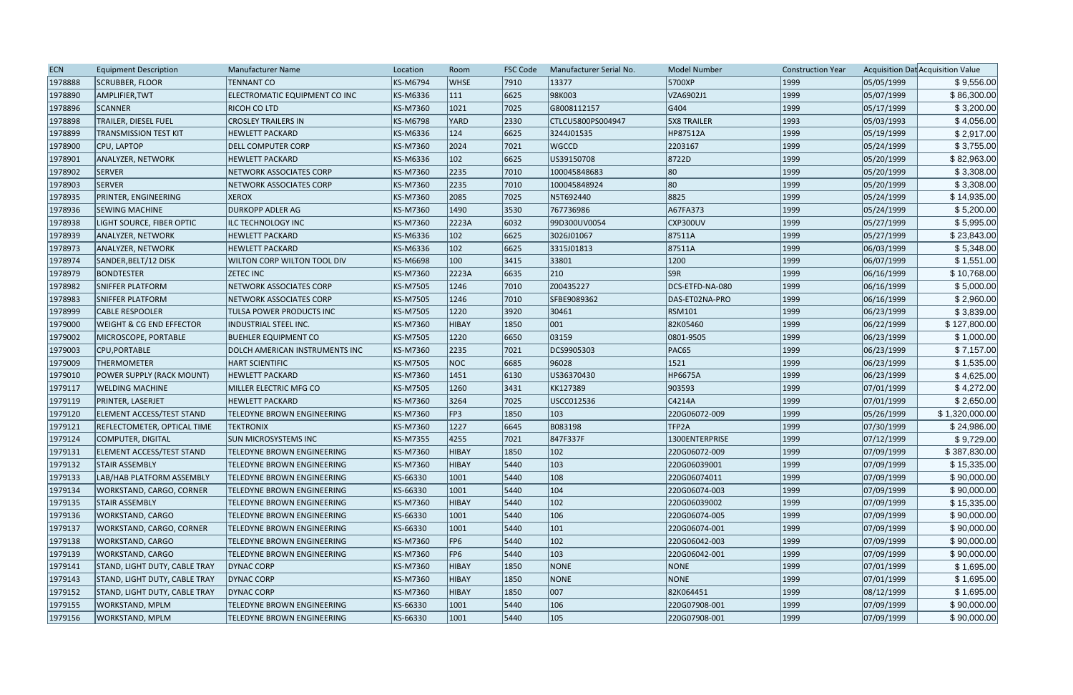| <b>ECN</b> | <b>Equipment Description</b>        | Manufacturer Name                 | Location        | Room          | <b>FSC Code</b> | Manufacturer Serial No. | <b>Model Number</b> | <b>Construction Year</b> |            | Acquisition Dat Acquisition Value |
|------------|-------------------------------------|-----------------------------------|-----------------|---------------|-----------------|-------------------------|---------------------|--------------------------|------------|-----------------------------------|
| 1978888    | <b>SCRUBBER, FLOOR</b>              | <b>TENNANT CO</b>                 | <b>KS-M6794</b> | <b>WHSE</b>   | 7910            | 13377                   | 5700XP              | 1999                     | 05/05/1999 | \$9,556.00                        |
| 1978890    | AMPLIFIER, TWT                      | ELECTROMATIC EQUIPMENT CO INC     | KS-M6336        | 111           | 6625            | 98K003                  | VZA6902J1           | 1999                     | 05/07/1999 | \$86,300.00                       |
| 1978896    | <b>SCANNER</b>                      | <b>RICOH CO LTD</b>               | <b>KS-M7360</b> | 1021          | 7025            | G8008112157             | G404                | 1999                     | 05/17/1999 | \$3,200.00                        |
| 1978898    | TRAILER, DIESEL FUEL                | <b>CROSLEY TRAILERS IN</b>        | <b>KS-M6798</b> | YARD          | 2330            | CTLCU5800PS004947       | <b>5X8 TRAILER</b>  | 1993                     | 05/03/1993 | \$4,056.00                        |
| 1978899    | <b>TRANSMISSION TEST KIT</b>        | <b>HEWLETT PACKARD</b>            | <b>KS-M6336</b> | $ 124\rangle$ | 6625            | 3244J01535              | HP87512A            | 1999                     | 05/19/1999 | \$2,917.00                        |
| 1978900    | CPU, LAPTOP                         | <b>DELL COMPUTER CORP</b>         | KS-M7360        | 2024          | 7021            | WGCCD                   | 2203167             | 1999                     | 05/24/1999 | \$3,755.00                        |
| 1978901    | ANALYZER, NETWORK                   | <b>HEWLETT PACKARD</b>            | <b>KS-M6336</b> | $ 102\rangle$ | 6625            | US39150708              | 8722D               | 1999                     | 05/20/1999 | \$82,963.00                       |
| 1978902    | <b>SERVER</b>                       | NETWORK ASSOCIATES CORP           | KS-M7360        | 2235          | 7010            | 100045848683            | 80                  | 1999                     | 05/20/1999 | \$3,308.00                        |
| 1978903    | <b>SERVER</b>                       | NETWORK ASSOCIATES CORP           | <b>KS-M7360</b> | 2235          | 7010            | 100045848924            | 80                  | 1999                     | 05/20/1999 | \$3,308.00                        |
| 1978935    | PRINTER, ENGINEERING                | <b>XEROX</b>                      | <b>KS-M7360</b> | 2085          | 7025            | N5T692440               | 8825                | 1999                     | 05/24/1999 | \$14,935.00                       |
| 1978936    | <b>SEWING MACHINE</b>               | <b>DURKOPP ADLER AG</b>           | KS-M7360        | 1490          | 3530            | 767736986               | A67FA373            | 1999                     | 05/24/1999 | \$5,200.00                        |
| 1978938    | LIGHT SOURCE, FIBER OPTIC           | ILC TECHNOLOGY INC                | KS-M7360        | 2223A         | 6032            | 99D300UV0054            | CXP300UV            | 1999                     | 05/27/1999 | \$5,995.00                        |
| 1978939    | <b>ANALYZER, NETWORK</b>            | <b>HEWLETT PACKARD</b>            | <b>KS-M6336</b> | 102           | 6625            | 3026J01067              | 87511A              | 1999                     | 05/27/1999 | \$23,843.00                       |
| 1978973    | ANALYZER, NETWORK                   | <b>HEWLETT PACKARD</b>            | KS-M6336        | $ 102\rangle$ | 6625            | 3315J01813              | 87511A              | 1999                     | 06/03/1999 | \$5,348.00                        |
| 1978974    | SANDER, BELT/12 DISK                | WILTON CORP WILTON TOOL DIV       | <b>KS-M6698</b> | $ 100\rangle$ | 3415            | 33801                   | 1200                | 1999                     | 06/07/1999 | \$1,551.00                        |
| 1978979    | <b>BONDTESTER</b>                   | <b>ZETEC INC</b>                  | <b>KS-M7360</b> | 2223A         | 6635            | $ 210\rangle$           | S9R                 | 1999                     | 06/16/1999 | \$10,768.00                       |
| 1978982    | <b>SNIFFER PLATFORM</b>             | NETWORK ASSOCIATES CORP           | <b>KS-M7505</b> | 1246          | 7010            | Z00435227               | DCS-ETFD-NA-080     | 1999                     | 06/16/1999 | \$5,000.00                        |
| 1978983    | <b>SNIFFER PLATFORM</b>             | <b>NETWORK ASSOCIATES CORP</b>    | <b>KS-M7505</b> | 1246          | 7010            | SFBE9089362             | DAS-ET02NA-PRO      | 1999                     | 06/16/1999 | \$2,960.00                        |
| 1978999    | <b>CABLE RESPOOLER</b>              | TULSA POWER PRODUCTS INC          | KS-M7505        | 1220          | 3920            | 30461                   | <b>RSM101</b>       | 1999                     | 06/23/1999 | \$3,839.00                        |
| 1979000    | <b>WEIGHT &amp; CG END EFFECTOR</b> | INDUSTRIAL STEEL INC.             | KS-M7360        | HIBAY         | 1850            | 001                     | 82K05460            | 1999                     | 06/22/1999 | \$127,800.00                      |
| 1979002    | MICROSCOPE, PORTABLE                | <b>BUEHLER EQUIPMENT CO</b>       | <b>KS-M7505</b> | 1220          | 6650            | 03159                   | 0801-9505           | 1999                     | 06/23/1999 | \$1,000.00                        |
| 1979003    | CPU, PORTABLE                       | DOLCH AMERICAN INSTRUMENTS INC    | <b>KS-M7360</b> | 2235          | 7021            | DCS9905303              | PAC65               | 1999                     | 06/23/1999 | \$7,157.00                        |
| 1979009    | <b>THERMOMETER</b>                  | <b>HART SCIENTIFIC</b>            | <b>KS-M7505</b> | NOC           | 6685            | 96028                   | 1521                | 1999                     | 06/23/1999 | \$1,535.00                        |
| 1979010    | POWER SUPPLY (RACK MOUNT)           | <b>HEWLETT PACKARD</b>            | <b>KS-M7360</b> | 1451          | 6130            | US36370430              | <b>HP6675A</b>      | 1999                     | 06/23/1999 | \$4,625.00                        |
| 1979117    | <b>WELDING MACHINE</b>              | MILLER ELECTRIC MFG CO            | <b>KS-M7505</b> | 1260          | 3431            | KK127389                | 903593              | 1999                     | 07/01/1999 | \$4,272.00                        |
| 1979119    | PRINTER, LASERJET                   | <b>HEWLETT PACKARD</b>            | <b>KS-M7360</b> | 3264          | 7025            | USCC012536              | C4214A              | 1999                     | 07/01/1999 | \$2,650.00                        |
| 1979120    | <b>ELEMENT ACCESS/TEST STAND</b>    | <b>TELEDYNE BROWN ENGINEERING</b> | <b>KS-M7360</b> | FP3           | 1850            | 103                     | 220G06072-009       | 1999                     | 05/26/1999 | \$1,320,000.00                    |
| 1979121    | <b>REFLECTOMETER, OPTICAL TIME</b>  | <b>TEKTRONIX</b>                  | <b>KS-M7360</b> | 1227          | 6645            | B083198                 | TFP2A               | 1999                     | 07/30/1999 | \$24,986.00                       |
| 1979124    | COMPUTER, DIGITAL                   | <b>SUN MICROSYSTEMS INC</b>       | <b>KS-M7355</b> | 4255          | 7021            | 847F337F                | 1300ENTERPRISE      | 1999                     | 07/12/1999 | \$9,729.00                        |
| 1979131    | <b>ELEMENT ACCESS/TEST STAND</b>    | <b>TELEDYNE BROWN ENGINEERING</b> | KS-M7360        | HIBAY         | 1850            | $ 102\rangle$           | 220G06072-009       | 1999                     | 07/09/1999 | \$387,830.00                      |
| 1979132    | <b>STAIR ASSEMBLY</b>               | <b>TELEDYNE BROWN ENGINEERING</b> | KS-M7360        | <b>HIBAY</b>  | 5440            | 103                     | 220G06039001        | 1999                     | 07/09/1999 | \$15,335.00                       |
| 1979133    | LAB/HAB PLATFORM ASSEMBLY           | <b>TELEDYNE BROWN ENGINEERING</b> | KS-66330        | 1001          | 5440            | 108                     | 220G06074011        | 1999                     | 07/09/1999 | \$90,000.00                       |
| 1979134    | WORKSTAND, CARGO, CORNER            | TELEDYNE BROWN ENGINEERING        | KS-66330        | 1001          | 5440            | 104                     | 220G06074-003       | 1999                     | 07/09/1999 | \$90,000.00                       |
| 1979135    | <b>STAIR ASSEMBLY</b>               | <b>TELEDYNE BROWN ENGINEERING</b> | <b>KS-M7360</b> | HIBAY         | 5440            | $ 102\rangle$           | 220G06039002        | 1999                     | 07/09/1999 | \$15,335.00                       |
| 1979136    | <b>WORKSTAND, CARGO</b>             | <b>TELEDYNE BROWN ENGINEERING</b> | KS-66330        | 1001          | 5440            | 106                     | 220G06074-005       | 1999                     | 07/09/1999 | \$90,000.00                       |
| 1979137    | <b>WORKSTAND, CARGO, CORNER</b>     | TELEDYNE BROWN ENGINEERING        | KS-66330        | 1001          | $ 5440\rangle$  | 101                     | 220G06074-001       | 1999                     | 07/09/1999 | \$90,000.00                       |
| 1979138    | <b>WORKSTAND, CARGO</b>             | TELEDYNE BROWN ENGINEERING        | <b>KS-M7360</b> | FP6           | 5440            | $ 102\rangle$           | 220G06042-003       | 1999                     | 07/09/1999 | \$90,000.00                       |
| 1979139    | <b>WORKSTAND, CARGO</b>             | TELEDYNE BROWN ENGINEERING        | <b>KS-M7360</b> | FP6           | 5440            | 103                     | 220G06042-001       | 1999                     | 07/09/1999 | \$90,000.00                       |
| 1979141    | STAND, LIGHT DUTY, CABLE TRAY       | DYNAC CORP                        | <b>KS-M7360</b> | HIBAY         | 1850            | <b>NONE</b>             | NONE                | 1999                     | 07/01/1999 | \$1,695.00                        |
| 1979143    | STAND, LIGHT DUTY, CABLE TRAY       | DYNAC CORP                        | KS-M7360        | HIBAY         | 1850            | <b>NONE</b>             | NONE                | 1999                     | 07/01/1999 | \$1,695.00                        |
| 1979152    | STAND, LIGHT DUTY, CABLE TRAY       | DYNAC CORP                        | <b>KS-M7360</b> | HIBAY         | 1850            | 007                     | 82K064451           | 1999                     | 08/12/1999 | \$1,695.00                        |
| 1979155    | <b>WORKSTAND, MPLM</b>              | TELEDYNE BROWN ENGINEERING        | KS-66330        | 1001          | 5440            | 106                     | 220G07908-001       | 1999                     | 07/09/1999 | \$90,000.00                       |
| 1979156    | <b>WORKSTAND, MPLM</b>              | TELEDYNE BROWN ENGINEERING        | KS-66330        | 1001          | 5440            | $ 105\rangle$           | 220G07908-001       | 1999                     | 07/09/1999 | \$90,000.00                       |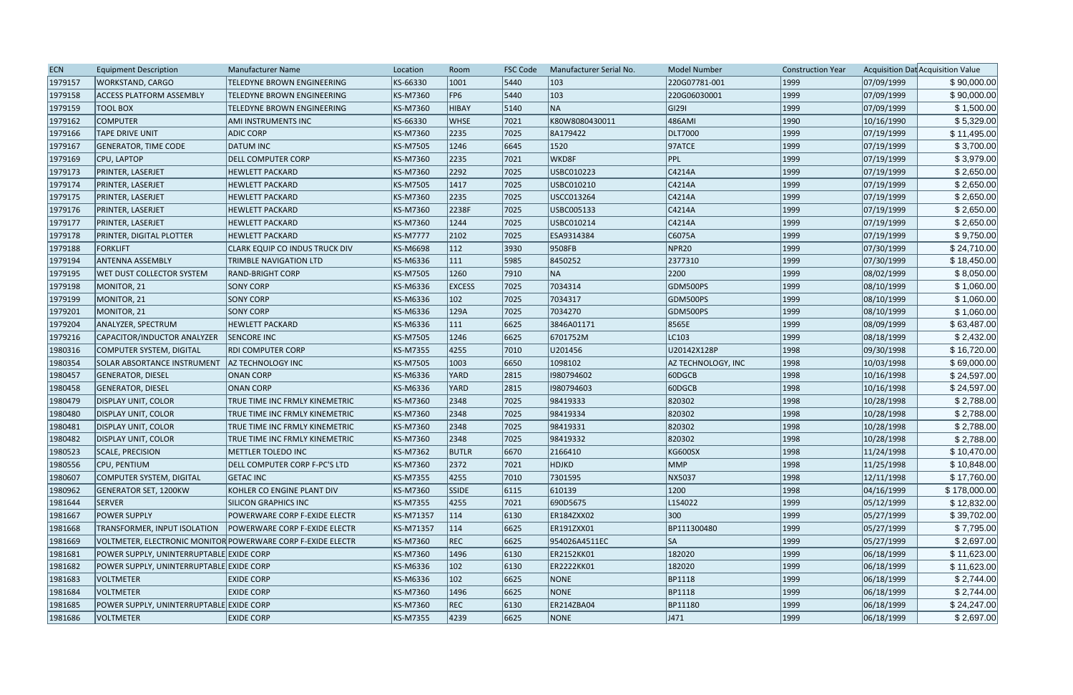| <b>ECN</b> | <b>Equipment Description</b>             | <b>Manufacturer Name</b>                                    | Location        | Room            | <b>FSC Code</b> | Manufacturer Serial No. | <b>Model Number</b> | <b>Construction Year</b> |            | Acquisition Dat Acquisition Value |
|------------|------------------------------------------|-------------------------------------------------------------|-----------------|-----------------|-----------------|-------------------------|---------------------|--------------------------|------------|-----------------------------------|
| 1979157    | <b>WORKSTAND, CARGO</b>                  | TELEDYNE BROWN ENGINEERING                                  | KS-66330        | 1001            | 5440            | 103                     | 220G07781-001       | 1999                     | 07/09/1999 | \$90,000.00                       |
| 1979158    | <b>ACCESS PLATFORM ASSEMBLY</b>          | <b>TELEDYNE BROWN ENGINEERING</b>                           | KS-M7360        | FP <sub>6</sub> | 5440            | 103                     | 220G06030001        | 1999                     | 07/09/1999 | \$90,000.00                       |
| 1979159    | <b>TOOL BOX</b>                          | TELEDYNE BROWN ENGINEERING                                  | KS-M7360        | <b>HIBAY</b>    | 5140            | NA                      | GI291               | 1999                     | 07/09/1999 | \$1,500.00                        |
| 1979162    | <b>COMPUTER</b>                          | AMI INSTRUMENTS INC                                         | KS-66330        | <b>WHSE</b>     | 7021            | K80W8080430011          | 486AMI              | 1990                     | 10/16/1990 | \$5,329.00                        |
| 1979166    | <b>TAPE DRIVE UNIT</b>                   | <b>ADIC CORP</b>                                            | KS-M7360        | 2235            | 7025            | 8A179422                | <b>DLT7000</b>      | 1999                     | 07/19/1999 | \$11,495.00                       |
| 1979167    | <b>GENERATOR, TIME CODE</b>              | DATUM INC                                                   | KS-M7505        | 1246            | 6645            | 1520                    | $97$ ATCE           | 1999                     | 07/19/1999 | \$3,700.00                        |
| 1979169    | CPU, LAPTOP                              | <b>DELL COMPUTER CORP</b>                                   | KS-M7360        | 2235            | 7021            | WKD8F                   | PPL                 | 1999                     | 07/19/1999 | \$3,979.00                        |
| 1979173    | PRINTER, LASERJET                        | <b>HEWLETT PACKARD</b>                                      | KS-M7360        | 2292            | 7025            | USBC010223              | C4214A              | 1999                     | 07/19/1999 | \$2,650.00                        |
| 1979174    | PRINTER, LASERJET                        | <b>HEWLETT PACKARD</b>                                      | KS-M7505        | 1417            | 7025            | USBC010210              | C4214A              | 1999                     | 07/19/1999 | \$2,650.00                        |
| 1979175    | PRINTER, LASERJET                        | <b>HEWLETT PACKARD</b>                                      | KS-M7360        | 2235            | 7025            | USCC013264              | C4214A              | 1999                     | 07/19/1999 | \$2,650.00                        |
| 1979176    | PRINTER, LASERJET                        | <b>HEWLETT PACKARD</b>                                      | KS-M7360        | 2238F           | 7025            | USBC005133              | C4214A              | 1999                     | 07/19/1999 | \$2,650.00                        |
| 1979177    | PRINTER, LASERJET                        | <b>HEWLETT PACKARD</b>                                      | KS-M7360        | 1244            | 7025            | USBC010214              | C4214A              | 1999                     | 07/19/1999 | \$2,650.00                        |
| 1979178    | PRINTER, DIGITAL PLOTTER                 | <b>HEWLETT PACKARD</b>                                      | <b>KS-M7777</b> | 2102            | 7025            | ESA9314384              | C6075A              | 1999                     | 07/19/1999 | \$9,750.00                        |
| 1979188    | <b>FORKLIFT</b>                          | <b>CLARK EQUIP CO INDUS TRUCK DIV</b>                       | KS-M6698        | 112             | 3930            | 9508FB                  | NPR <sub>20</sub>   | 1999                     | 07/30/1999 | \$24,710.00                       |
| 1979194    | <b>ANTENNA ASSEMBLY</b>                  | <b>TRIMBLE NAVIGATION LTD</b>                               | KS-M6336        | 111             | 5985            | 8450252                 | 2377310             | 1999                     | 07/30/1999 | \$18,450.00                       |
| 1979195    | WET DUST COLLECTOR SYSTEM                | <b>RAND-BRIGHT CORP</b>                                     | KS-M7505        | 1260            | 7910            | NA                      | 2200                | 1999                     | 08/02/1999 | \$8,050.00                        |
| 1979198    | MONITOR, 21                              | <b>SONY CORP</b>                                            | KS-M6336        | <b>EXCESS</b>   | 7025            | 7034314                 | GDM500PS            | 1999                     | 08/10/1999 | \$1,060.00                        |
| 1979199    | MONITOR, 21                              | <b>SONY CORP</b>                                            | KS-M6336        | 102             | 7025            | 7034317                 | GDM500PS            | 1999                     | 08/10/1999 | \$1,060.00                        |
| 1979201    | MONITOR, 21                              | <b>SONY CORP</b>                                            | KS-M6336        | 129A            | 7025            | 7034270                 | GDM500PS            | 1999                     | 08/10/1999 | \$1,060.00                        |
| 1979204    | ANALYZER, SPECTRUM                       | <b>HEWLETT PACKARD</b>                                      | KS-M6336        | 111             | 6625            | 3846A01171              | 8565E               | 1999                     | 08/09/1999 | \$63,487.00                       |
| 1979216    | CAPACITOR/INDUCTOR ANALYZER              | <b>SENCORE INC</b>                                          | KS-M7505        | 1246            | 6625            | 6701752M                | LC103               | 1999                     | 08/18/1999 | \$2,432.00                        |
| 1980316    | <b>COMPUTER SYSTEM, DIGITAL</b>          | <b>RDI COMPUTER CORP</b>                                    | KS-M7355        | 4255            | 7010            | U201456                 | U20142X128P         | 1998                     | 09/30/1998 | \$16,720.00                       |
| 1980354    | <b>SOLAR ABSORTANCE INSTRUMENT</b>       | <b>AZ TECHNOLOGY INC</b>                                    | KS-M7505        | 1003            | 6650            | 1098102                 | AZ TECHNOLOGY, INC  | 1998                     | 10/03/1998 | \$69,000.00                       |
| 1980457    | <b>GENERATOR, DIESEL</b>                 | <b>ONAN CORP</b>                                            | KS-M6336        | <b>YARD</b>     | 2815            | 1980794602              | $\vert$ 60DGCB      | 1998                     | 10/16/1998 | \$24,597.00                       |
| 1980458    | <b>GENERATOR, DIESEL</b>                 | ONAN CORP                                                   | KS-M6336        | <b>YARD</b>     | 2815            | 1980794603              | 60DGCB              | 1998                     | 10/16/1998 | \$24,597.00                       |
| 1980479    | <b>DISPLAY UNIT, COLOR</b>               | TRUE TIME INC FRMLY KINEMETRIC                              | KS-M7360        | 2348            | 7025            | 98419333                | 820302              | 1998                     | 10/28/1998 | \$2,788.00                        |
| 1980480    | <b>DISPLAY UNIT, COLOR</b>               | TRUE TIME INC FRMLY KINEMETRIC                              | KS-M7360        | 2348            | 7025            | 98419334                | 820302              | 1998                     | 10/28/1998 | \$2,788.00                        |
| 1980481    | <b>DISPLAY UNIT, COLOR</b>               | TRUE TIME INC FRMLY KINEMETRIC                              | KS-M7360        | 2348            | 7025            | 98419331                | 820302              | 1998                     | 10/28/1998 | \$2,788.00                        |
| 1980482    | <b>DISPLAY UNIT, COLOR</b>               | TRUE TIME INC FRMLY KINEMETRIC                              | KS-M7360        | 2348            | 7025            | 98419332                | 820302              | 1998                     | 10/28/1998 | \$2,788.00                        |
| 1980523    | SCALE, PRECISION                         | METTLER TOLEDO INC                                          | KS-M7362        | <b>BUTLR</b>    | 6670            | 2166410                 | KG600SX             | 1998                     | 11/24/1998 | \$10,470.00                       |
| 1980556    | CPU, PENTIUM                             | DELL COMPUTER CORP F-PC'S LTD                               | KS-M7360        | 2372            | 7021            | <b>HDJKD</b>            | MMP                 | 1998                     | 11/25/1998 | \$10,848.00                       |
| 1980607    | <b>COMPUTER SYSTEM, DIGITAL</b>          | <b>GETAC INC</b>                                            | KS-M7355        | 4255            | 7010            | 7301595                 | NX5037              | 1998                     | 12/11/1998 | \$17,760.00                       |
| 1980962    | <b>GENERATOR SET, 1200KW</b>             | KOHLER CO ENGINE PLANT DIV                                  | KS-M7360        | <b>SSIDE</b>    | 6115            | 610139                  | 1200                | 1998                     | 04/16/1999 | \$178,000.00                      |
| 1981644    | SERVER                                   | <b>SILICON GRAPHICS INC</b>                                 | KS-M7355        | 4255            | 7021            | 690D5675                | L1S4022             | 1999                     | 05/12/1999 | \$12,832.00                       |
| 1981667    | <b>POWER SUPPLY</b>                      | POWERWARE CORP F-EXIDE ELECTR                               | KS-M71357       | 114             | 6130            | ER184ZXX02              | $ 300\rangle$       | 1999                     | 05/27/1999 | \$39,702.00                       |
| 1981668    | TRANSFORMER, INPUT ISOLATION             | <b>POWERWARE CORP F-EXIDE ELECTR</b>                        | KS-M71357       | 114             | 6625            | ER191ZXX01              | BP111300480         | 1999                     | 05/27/1999 | \$7,795.00                        |
| 1981669    |                                          | VOLTMETER, ELECTRONIC MONITOR POWERWARE CORP F-EXIDE ELECTR | KS-M7360        | <b>REC</b>      | 6625            | 954026A4511EC           | SA                  | 1999                     | 05/27/1999 | \$2,697.00                        |
| 1981681    | POWER SUPPLY, UNINTERRUPTABLE EXIDE CORP |                                                             | KS-M7360        | 1496            | $ 6130\rangle$  | ER2152KK01              | 182020              | 1999                     | 06/18/1999 | \$11,623.00                       |
| 1981682    | POWER SUPPLY, UNINTERRUPTABLE EXIDE CORP |                                                             | KS-M6336        | 102             | 6130            | <b>ER2222KK01</b>       | 182020              | 1999                     | 06/18/1999 | \$11,623.00                       |
| 1981683    | <b>VOLTMETER</b>                         | <b>EXIDE CORP</b>                                           | KS-M6336        | 102             | 6625            | NONE                    | <b>BP1118</b>       | 1999                     | 06/18/1999 | \$2,744.00                        |
| 1981684    | VOLTMETER                                | <b>EXIDE CORP</b>                                           | KS-M7360        | 1496            | 6625            | <b>NONE</b>             | <b>BP1118</b>       | 1999                     | 06/18/1999 | \$2,744.00                        |
| 1981685    | POWER SUPPLY, UNINTERRUPTABLE EXIDE CORP |                                                             | KS-M7360        | <b>REC</b>      | 6130            | ER214ZBA04              | <b>BP11180</b>      | 1999                     | 06/18/1999 | \$24,247.00                       |
| 1981686    | <b>VOLTMETER</b>                         | <b>EXIDE CORP</b>                                           | KS-M7355        | 4239            | 6625            | NONE                    | $ J471\rangle$      | 1999                     | 06/18/1999 | \$2,697.00                        |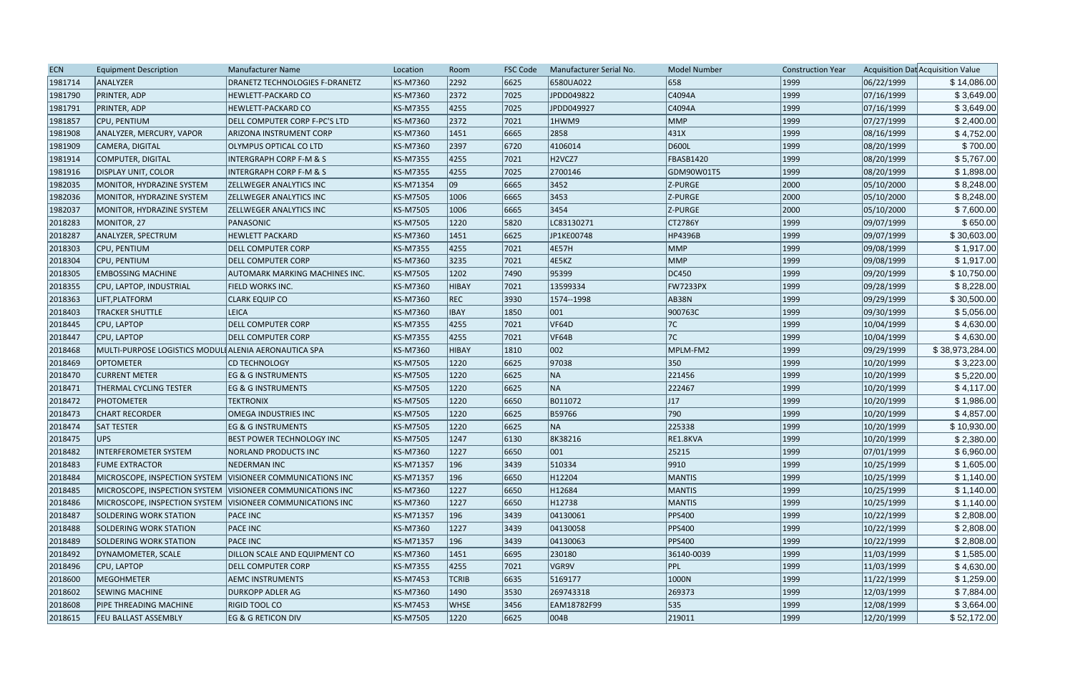| <b>ECN</b> | <b>Equipment Description</b>                               | <b>Manufacturer Name</b>                                   | Location        | Room         | <b>FSC Code</b> | Manufacturer Serial No. | <b>Model Number</b> | <b>Construction Year</b> |            | Acquisition Dat Acquisition Value |
|------------|------------------------------------------------------------|------------------------------------------------------------|-----------------|--------------|-----------------|-------------------------|---------------------|--------------------------|------------|-----------------------------------|
| 1981714    | ANALYZER                                                   | DRANETZ TECHNOLOGIES F-DRANETZ                             | KS-M7360        | 2292         | 6625            | 6580UA022               | 658                 | 1999                     | 06/22/1999 | \$14,086.00                       |
| 1981790    | <b>PRINTER, ADP</b>                                        | <b>HEWLETT-PACKARD CO</b>                                  | <b>KS-M7360</b> | 2372         | 7025            | JPDD049822              | C4094A              | 1999                     | 07/16/1999 | \$3,649.00                        |
| 1981791    | PRINTER, ADP                                               | <b>HEWLETT-PACKARD CO</b>                                  | <b>KS-M7355</b> | 4255         | 7025            | JPDD049927              | C4094A              | 1999                     | 07/16/1999 | \$3,649.00                        |
| 1981857    | <b>CPU, PENTIUM</b>                                        | DELL COMPUTER CORP F-PC'S LTD                              | <b>KS-M7360</b> | 2372         | 7021            | 1HWM9                   | MMP                 | 1999                     | 07/27/1999 | \$2,400.00                        |
| 1981908    | ANALYZER, MERCURY, VAPOR                                   | ARIZONA INSTRUMENT CORP                                    | <b>KS-M7360</b> | 1451         | 6665            | 2858                    | 431X                | 1999                     | 08/16/1999 | \$4,752.00                        |
| 1981909    | CAMERA, DIGITAL                                            | <b>OLYMPUS OPTICAL CO LTD</b>                              | KS-M7360        | 2397         | 6720            | 4106014                 | D600L               | 1999                     | 08/20/1999 | \$700.00                          |
| 1981914    | COMPUTER, DIGITAL                                          | <b>INTERGRAPH CORP F-M &amp; S</b>                         | <b>KS-M7355</b> | 4255         | 7021            | H <sub>2</sub> VCZ7     | FBASB1420           | 1999                     | 08/20/1999 | \$5,767.00                        |
| 1981916    | <b>DISPLAY UNIT, COLOR</b>                                 | <b>INTERGRAPH CORP F-M &amp; S</b>                         | <b>KS-M7355</b> | 4255         | 7025            | 2700146                 | GDM90W01T5          | 1999                     | 08/20/1999 | \$1,898.00                        |
| 1982035    | MONITOR, HYDRAZINE SYSTEM                                  | <b>ZELLWEGER ANALYTICS INC</b>                             | KS-M71354       | 09           | 6665            | 3452                    | Z-PURGE             | 2000                     | 05/10/2000 | \$8,248.00                        |
| 1982036    | MONITOR, HYDRAZINE SYSTEM                                  | <b>ZELLWEGER ANALYTICS INC</b>                             | <b>KS-M7505</b> | 1006         | 6665            | 3453                    | Z-PURGE             | 2000                     | 05/10/2000 | \$8,248.00                        |
| 1982037    | MONITOR, HYDRAZINE SYSTEM                                  | <b>ZELLWEGER ANALYTICS INC</b>                             | <b>KS-M7505</b> | 1006         | 6665            | 3454                    | Z-PURGE             | 2000                     | 05/10/2000 | \$7,600.00                        |
| 2018283    | MONITOR, 27                                                | PANASONIC                                                  | <b>KS-M7505</b> | 1220         | 5820            | LC83130271              | <b>CT2786Y</b>      | 1999                     | 09/07/1999 | \$650.00                          |
| 2018287    | ANALYZER, SPECTRUM                                         | <b>HEWLETT PACKARD</b>                                     | KS-M7360        | 1451         | 6625            | JP1KE00748              | <b>HP4396B</b>      | 1999                     | 09/07/1999 | \$30,603.00                       |
| 2018303    | CPU, PENTIUM                                               | <b>DELL COMPUTER CORP</b>                                  | <b>KS-M7355</b> | 4255         | 7021            | 4E57H                   | <b>MMP</b>          | 1999                     | 09/08/1999 | \$1,917.00                        |
| 2018304    | <b>CPU, PENTIUM</b>                                        | <b>DELL COMPUTER CORP</b>                                  | KS-M7360        | 3235         | 7021            | 4E5KZ                   | MMP                 | 1999                     | 09/08/1999 | \$1,917.00                        |
| 2018305    | <b>EMBOSSING MACHINE</b>                                   | <b>AUTOMARK MARKING MACHINES INC.</b>                      | <b>KS-M7505</b> | 1202         | 7490            | 95399                   | DC450               | 1999                     | 09/20/1999 | \$10,750.00                       |
| 2018355    | CPU, LAPTOP, INDUSTRIAL                                    | FIELD WORKS INC.                                           | <b>KS-M7360</b> | <b>HIBAY</b> | 7021            | 13599334                | FW7233PX            | 1999                     | 09/28/1999 | \$8,228.00                        |
| 2018363    | LIFT, PLATFORM                                             | <b>CLARK EQUIP CO</b>                                      | <b>KS-M7360</b> | REC          | 3930            | 1574--1998              | AB38N               | 1999                     | 09/29/1999 | \$30,500.00                       |
| 2018403    | <b>TRACKER SHUTTLE</b>                                     | <b>LEICA</b>                                               | <b>KS-M7360</b> | <b>IBAY</b>  | 1850            | 001                     | 900763C             | 1999                     | 09/30/1999 | \$5,056.00                        |
| 2018445    | <b>CPU, LAPTOP</b>                                         | <b>DELL COMPUTER CORP</b>                                  | <b>KS-M7355</b> | 4255         | 7021            | VF64D                   | 7C                  | 1999                     | 10/04/1999 | \$4,630.00                        |
| 2018447    | CPU, LAPTOP                                                | <b>DELL COMPUTER CORP</b>                                  | <b>KS-M7355</b> | 4255         | 7021            | <b>VF64B</b>            | 7C                  | 1999                     | 10/04/1999 | \$4,630.00                        |
| 2018468    | MULTI-PURPOSE LOGISTICS MODULI ALENIA AERONAUTICA SPA      |                                                            | <b>KS-M7360</b> | HIBAY        | 1810            | 002                     | MPLM-FM2            | 1999                     | 09/29/1999 | \$38,973,284.00                   |
| 2018469    | <b>OPTOMETER</b>                                           | <b>CD TECHNOLOGY</b>                                       | <b>KS-M7505</b> | 1220         | 6625            | 97038                   | 350                 | 1999                     | 10/20/1999 | \$3,223.00                        |
| 2018470    | <b>CURRENT METER</b>                                       | <b>EG &amp; G INSTRUMENTS</b>                              | <b>KS-M7505</b> | 1220         | 6625            | NA                      | 221456              | 1999                     | 10/20/1999 | \$5,220.00                        |
| 2018471    | <b>THERMAL CYCLING TESTER</b>                              | <b>EG &amp; G INSTRUMENTS</b>                              | <b>KS-M7505</b> | 1220         | 6625            | NA                      | 222467              | 1999                     | 10/20/1999 | \$4,117.00                        |
| 2018472    | <b>PHOTOMETER</b>                                          | <b>TEKTRONIX</b>                                           | <b>KS-M7505</b> | 1220         | 6650            | B011072                 | $ J17\rangle$       | 1999                     | 10/20/1999 | \$1,986.00                        |
| 2018473    | <b>CHART RECORDER</b>                                      | <b>OMEGA INDUSTRIES INC</b>                                | <b>KS-M7505</b> | 1220         | 6625            | B59766                  | 790                 | 1999                     | 10/20/1999 | \$4,857.00                        |
| 2018474    | <b>SAT TESTER</b>                                          | <b>EG &amp; G INSTRUMENTS</b>                              | <b>KS-M7505</b> | 1220         | 6625            | NA                      | 225338              | 1999                     | 10/20/1999 | \$10,930.00                       |
| 2018475    | UPS                                                        | <b>BEST POWER TECHNOLOGY INC</b>                           | <b>KS-M7505</b> | 1247         | 6130            | 8K38216                 | RE1.8KVA            | 1999                     | 10/20/1999 | \$2,380.00                        |
| 2018482    | INTERFEROMETER SYSTEM                                      | <b>NORLAND PRODUCTS INC</b>                                | KS-M7360        | 1227         | 6650            | 001                     | 25215               | 1999                     | 07/01/1999 | \$6,960.00                        |
| 2018483    | <b>FUME EXTRACTOR</b>                                      | <b>NEDERMAN INC</b>                                        | KS-M71357       | 196          | 3439            | 510334                  | 9910                | 1999                     | 10/25/1999 | \$1,605.00                        |
| 2018484    | MICROSCOPE, INSPECTION SYSTEM VISIONEER COMMUNICATIONS INC |                                                            | KS-M71357       | 196          | 6650            | H12204                  | <b>MANTIS</b>       | 1999                     | 10/25/1999 | \$1,140.00                        |
| 2018485    |                                                            | MICROSCOPE, INSPECTION SYSTEM VISIONEER COMMUNICATIONS INC | <b>KS-M7360</b> | 1227         | 6650            | H12684                  | <b>MANTIS</b>       | 1999                     | 10/25/1999 | \$1,140.00                        |
| 2018486    |                                                            | MICROSCOPE, INSPECTION SYSTEM VISIONEER COMMUNICATIONS INC | <b>KS-M7360</b> | 1227         | 6650            | H12738                  | <b>MANTIS</b>       | 1999                     | 10/25/1999 | \$1,140.00                        |
| 2018487    | <b>SOLDERING WORK STATION</b>                              | <b>PACE INC</b>                                            | KS-M71357       | 196          | 3439            | 04130061                | <b>PPS400</b>       | 1999                     | 10/22/1999 | \$2,808.00                        |
| 2018488    | SOLDERING WORK STATION                                     | <b>PACE INC</b>                                            | KS-M7360        | 1227         | 3439            | 04130058                | <b>PPS400</b>       | 1999                     | 10/22/1999 | \$2,808.00                        |
| 2018489    | SOLDERING WORK STATION                                     | <b>PACE INC</b>                                            | KS-M71357       | 196          | 3439            | 04130063                | <b>PPS400</b>       | 1999                     | 10/22/1999 | \$2,808.00                        |
| 2018492    | DYNAMOMETER, SCALE                                         | DILLON SCALE AND EQUIPMENT CO                              | <b>KS-M7360</b> | 1451         | 6695            | 230180                  | 36140-0039          | 1999                     | 11/03/1999 | \$1,585.00                        |
| 2018496    | CPU, LAPTOP                                                | <b>DELL COMPUTER CORP</b>                                  | <b>KS-M7355</b> | 4255         | 7021            | VGR9V                   | <b>PPL</b>          | 1999                     | 11/03/1999 | \$4,630.00                        |
| 2018600    | MEGOHMETER                                                 | <b>AEMC INSTRUMENTS</b>                                    | <b>KS-M7453</b> | <b>TCRIB</b> | 6635            | 5169177                 | 1000N               | 1999                     | 11/22/1999 | \$1,259.00                        |
| 2018602    | <b>SEWING MACHINE</b>                                      | <b>DURKOPP ADLER AG</b>                                    | <b>KS-M7360</b> | 1490         | 3530            | 269743318               | 269373              | 1999                     | 12/03/1999 | \$7,884.00                        |
| 2018608    | PIPE THREADING MACHINE                                     | <b>RIGID TOOL CO</b>                                       | <b>KS-M7453</b> | <b>WHSE</b>  | 3456            | EAM18782F99             | 535                 | 1999                     | 12/08/1999 | \$3,664.00                        |
| 2018615    | <b>FEU BALLAST ASSEMBLY</b>                                | EG & G RETICON DIV                                         | <b>KS-M7505</b> | 1220         | 6625            | 004B                    | 219011              | 1999                     | 12/20/1999 | \$52,172.00                       |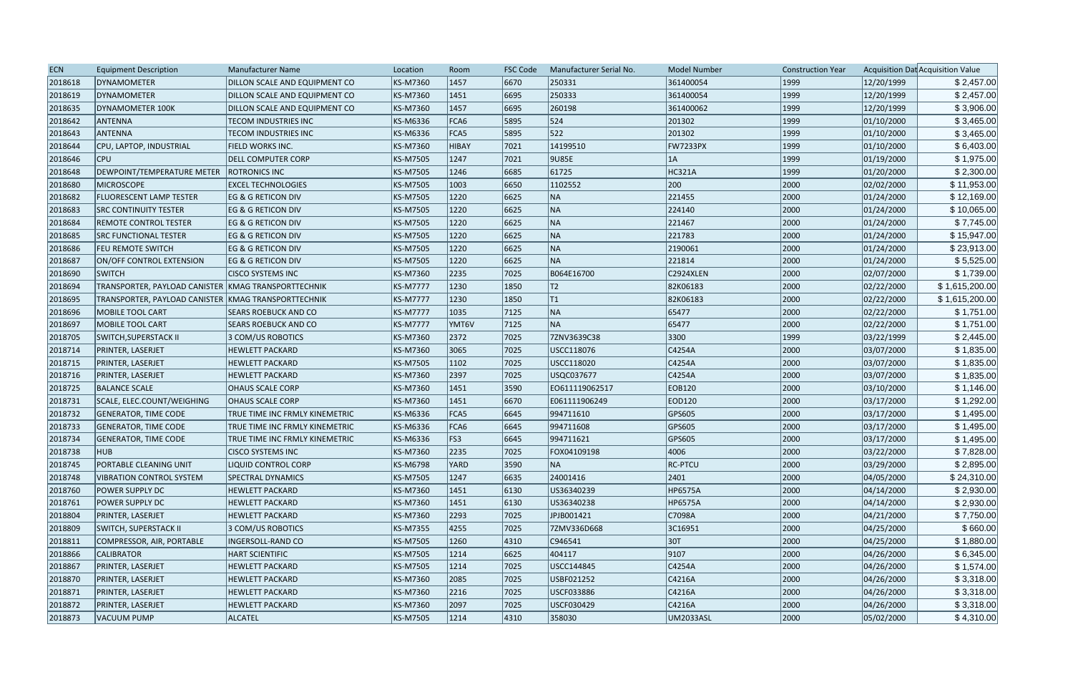| 6670<br>12/20/1999<br>DYNAMOMETER<br>KS-M7360<br>1457<br>250331<br>361400054<br>2018618<br>DILLON SCALE AND EQUIPMENT CO<br> 1999<br>6695<br>250333<br> 1999<br>12/20/1999<br>2018619<br>DYNAMOMETER<br>KS-M7360<br> 1451<br>361400054<br>DILLON SCALE AND EQUIPMENT CO<br>2018635<br>1457<br>6695<br>260198<br>1999<br>12/20/1999<br>DYNAMOMETER 100K<br>DILLON SCALE AND EQUIPMENT CO<br>KS-M7360<br>361400062<br>5895<br>$ 524\rangle$<br>201302<br> 1999<br>01/10/2000<br>2018642<br>ANTENNA<br>KS-M6336<br>FCA6<br><b>TECOM INDUSTRIES INC</b><br>522<br>FCA5<br> 1999<br>01/10/2000<br>2018643<br><b>ANTENNA</b><br>KS-M6336<br>5895<br>201302<br><b>TECOM INDUSTRIES INC</b><br>14199510<br>01/10/2000<br>2018644<br>CPU, LAPTOP, INDUSTRIAL<br>KS-M7360<br><b>HIBAY</b><br>7021<br><b>FW7233PX</b><br>1999<br><b>FIELD WORKS INC.</b><br>1247<br>7021<br>9U85E<br> 1999<br>01/19/2000<br>2018646<br><b>CPU</b><br><b>DELL COMPUTER CORP</b><br>KS-M7505<br> 1A<br>61725<br>2018648<br>DEWPOINT/TEMPERATURE METER<br>KS-M7505<br>1246<br>6685<br>HC321A<br>1999<br>01/20/2000<br><b>ROTRONICS INC</b><br>200<br>1003<br>2000<br>02/02/2000<br>2018680<br><b>MICROSCOPE</b><br><b>EXCEL TECHNOLOGIES</b><br>KS-M7505<br>6650<br>1102552<br>1220<br>NA<br>221455<br>2000<br>01/24/2000<br>2018682<br><b>FLUORESCENT LAMP TESTER</b><br><b>EG &amp; G RETICON DIV</b><br>KS-M7505<br>6625<br>NA<br>1220<br>6625<br>2000<br>01/24/2000<br>2018683<br><b>EG &amp; G RETICON DIV</b><br>KS-M7505<br>224140<br><b>SRC CONTINUITY TESTER</b><br> NA<br>1220<br>6625<br>221467<br>2000<br>01/24/2000<br>2018684<br><b>REMOTE CONTROL TESTER</b><br>EG & G RETICON DIV<br>KS-M7505 | Acquisition Dat Acquisition Value |
|---------------------------------------------------------------------------------------------------------------------------------------------------------------------------------------------------------------------------------------------------------------------------------------------------------------------------------------------------------------------------------------------------------------------------------------------------------------------------------------------------------------------------------------------------------------------------------------------------------------------------------------------------------------------------------------------------------------------------------------------------------------------------------------------------------------------------------------------------------------------------------------------------------------------------------------------------------------------------------------------------------------------------------------------------------------------------------------------------------------------------------------------------------------------------------------------------------------------------------------------------------------------------------------------------------------------------------------------------------------------------------------------------------------------------------------------------------------------------------------------------------------------------------------------------------------------------------------------------------------------------------------------------------------------------------|-----------------------------------|
|                                                                                                                                                                                                                                                                                                                                                                                                                                                                                                                                                                                                                                                                                                                                                                                                                                                                                                                                                                                                                                                                                                                                                                                                                                                                                                                                                                                                                                                                                                                                                                                                                                                                                 | \$2,457.00                        |
|                                                                                                                                                                                                                                                                                                                                                                                                                                                                                                                                                                                                                                                                                                                                                                                                                                                                                                                                                                                                                                                                                                                                                                                                                                                                                                                                                                                                                                                                                                                                                                                                                                                                                 | \$2,457.00                        |
|                                                                                                                                                                                                                                                                                                                                                                                                                                                                                                                                                                                                                                                                                                                                                                                                                                                                                                                                                                                                                                                                                                                                                                                                                                                                                                                                                                                                                                                                                                                                                                                                                                                                                 | \$3,906.00                        |
|                                                                                                                                                                                                                                                                                                                                                                                                                                                                                                                                                                                                                                                                                                                                                                                                                                                                                                                                                                                                                                                                                                                                                                                                                                                                                                                                                                                                                                                                                                                                                                                                                                                                                 | \$3,465.00                        |
|                                                                                                                                                                                                                                                                                                                                                                                                                                                                                                                                                                                                                                                                                                                                                                                                                                                                                                                                                                                                                                                                                                                                                                                                                                                                                                                                                                                                                                                                                                                                                                                                                                                                                 | \$3,465.00                        |
|                                                                                                                                                                                                                                                                                                                                                                                                                                                                                                                                                                                                                                                                                                                                                                                                                                                                                                                                                                                                                                                                                                                                                                                                                                                                                                                                                                                                                                                                                                                                                                                                                                                                                 | \$6,403.00                        |
|                                                                                                                                                                                                                                                                                                                                                                                                                                                                                                                                                                                                                                                                                                                                                                                                                                                                                                                                                                                                                                                                                                                                                                                                                                                                                                                                                                                                                                                                                                                                                                                                                                                                                 | \$1,975.00                        |
|                                                                                                                                                                                                                                                                                                                                                                                                                                                                                                                                                                                                                                                                                                                                                                                                                                                                                                                                                                                                                                                                                                                                                                                                                                                                                                                                                                                                                                                                                                                                                                                                                                                                                 | \$2,300.00                        |
|                                                                                                                                                                                                                                                                                                                                                                                                                                                                                                                                                                                                                                                                                                                                                                                                                                                                                                                                                                                                                                                                                                                                                                                                                                                                                                                                                                                                                                                                                                                                                                                                                                                                                 | \$11,953.00                       |
|                                                                                                                                                                                                                                                                                                                                                                                                                                                                                                                                                                                                                                                                                                                                                                                                                                                                                                                                                                                                                                                                                                                                                                                                                                                                                                                                                                                                                                                                                                                                                                                                                                                                                 | \$12,169.00                       |
|                                                                                                                                                                                                                                                                                                                                                                                                                                                                                                                                                                                                                                                                                                                                                                                                                                                                                                                                                                                                                                                                                                                                                                                                                                                                                                                                                                                                                                                                                                                                                                                                                                                                                 | \$10,065.00                       |
|                                                                                                                                                                                                                                                                                                                                                                                                                                                                                                                                                                                                                                                                                                                                                                                                                                                                                                                                                                                                                                                                                                                                                                                                                                                                                                                                                                                                                                                                                                                                                                                                                                                                                 | \$7,745.00                        |
| 6625<br> NA<br>01/24/2000<br>2018685<br>KS-M7505<br>1220<br>221783<br>2000<br><b>SRC FUNCTIONAL TESTER</b><br><b>EG &amp; G RETICON DIV</b>                                                                                                                                                                                                                                                                                                                                                                                                                                                                                                                                                                                                                                                                                                                                                                                                                                                                                                                                                                                                                                                                                                                                                                                                                                                                                                                                                                                                                                                                                                                                     | \$15,947.00                       |
| NA<br>1220<br>6625<br>2000<br>01/24/2000<br>2018686<br>FEU REMOTE SWITCH<br><b>EG &amp; G RETICON DIV</b><br>KS-M7505<br>2190061                                                                                                                                                                                                                                                                                                                                                                                                                                                                                                                                                                                                                                                                                                                                                                                                                                                                                                                                                                                                                                                                                                                                                                                                                                                                                                                                                                                                                                                                                                                                                | \$23,913.00                       |
| NA<br>2018687<br>KS-M7505<br>1220<br>6625<br>221814<br>2000<br>01/24/2000<br>ON/OFF CONTROL EXTENSION<br><b>EG &amp; G RETICON DIV</b>                                                                                                                                                                                                                                                                                                                                                                                                                                                                                                                                                                                                                                                                                                                                                                                                                                                                                                                                                                                                                                                                                                                                                                                                                                                                                                                                                                                                                                                                                                                                          | \$5,525.00                        |
| 2000<br>2018690<br><b>SWITCH</b><br>KS-M7360<br>2235<br>7025<br>B064E16700<br>C2924XLEN<br>02/07/2000<br><b>CISCO SYSTEMS INC</b>                                                                                                                                                                                                                                                                                                                                                                                                                                                                                                                                                                                                                                                                                                                                                                                                                                                                                                                                                                                                                                                                                                                                                                                                                                                                                                                                                                                                                                                                                                                                               | \$1,739.00                        |
| 1850<br>T2<br>2000<br>2018694<br>TRANSPORTER, PAYLOAD CANISTER KMAG TRANSPORTTECHNIK<br><b>KS-M7777</b><br>1230<br>82K06183<br>02/22/2000                                                                                                                                                                                                                                                                                                                                                                                                                                                                                                                                                                                                                                                                                                                                                                                                                                                                                                                                                                                                                                                                                                                                                                                                                                                                                                                                                                                                                                                                                                                                       | \$1,615,200.00                    |
| T1 <br>2000<br>2018695<br><b>KS-M7777</b><br>1230<br>1850<br>82K06183<br>02/22/2000<br>TRANSPORTER, PAYLOAD CANISTER KMAG TRANSPORTTECHNIK                                                                                                                                                                                                                                                                                                                                                                                                                                                                                                                                                                                                                                                                                                                                                                                                                                                                                                                                                                                                                                                                                                                                                                                                                                                                                                                                                                                                                                                                                                                                      | \$1,615,200.00                    |
| NA<br>65477<br>7125<br>2000<br>02/22/2000<br>2018696<br><b>MOBILE TOOL CART</b><br><b>KS-M7777</b><br>1035<br><b>SEARS ROEBUCK AND CO</b>                                                                                                                                                                                                                                                                                                                                                                                                                                                                                                                                                                                                                                                                                                                                                                                                                                                                                                                                                                                                                                                                                                                                                                                                                                                                                                                                                                                                                                                                                                                                       | \$1,751.00                        |
| NA<br>65477<br>2018697<br><b>KS-M7777</b><br>YMT6V<br>7125<br>2000<br>02/22/2000<br>MOBILE TOOL CART<br><b>SEARS ROEBUCK AND CO</b>                                                                                                                                                                                                                                                                                                                                                                                                                                                                                                                                                                                                                                                                                                                                                                                                                                                                                                                                                                                                                                                                                                                                                                                                                                                                                                                                                                                                                                                                                                                                             | \$1,751.00                        |
| 3300<br>2372<br>7025<br>7ZNV3639C38<br>1999<br>2018705<br>KS-M7360<br>03/22/1999<br><b>SWITCH, SUPERSTACK II</b><br>3 COM/US ROBOTICS                                                                                                                                                                                                                                                                                                                                                                                                                                                                                                                                                                                                                                                                                                                                                                                                                                                                                                                                                                                                                                                                                                                                                                                                                                                                                                                                                                                                                                                                                                                                           | \$2,445.00                        |
| 2018714<br>KS-M7360<br>3065<br>7025<br>2000<br>03/07/2000<br>PRINTER, LASERJET<br><b>HEWLETT PACKARD</b><br>USCC118076<br> C4254A                                                                                                                                                                                                                                                                                                                                                                                                                                                                                                                                                                                                                                                                                                                                                                                                                                                                                                                                                                                                                                                                                                                                                                                                                                                                                                                                                                                                                                                                                                                                               | \$1,835.00                        |
| C4254A<br>2000<br>03/07/2000<br>2018715<br>PRINTER, LASERJET<br>KS-M7505<br>1102<br>7025<br>USCC118020<br><b>HEWLETT PACKARD</b>                                                                                                                                                                                                                                                                                                                                                                                                                                                                                                                                                                                                                                                                                                                                                                                                                                                                                                                                                                                                                                                                                                                                                                                                                                                                                                                                                                                                                                                                                                                                                | \$1,835.00                        |
| 2397<br>7025<br>C4254A<br>2000<br>03/07/2000<br>2018716<br>PRINTER, LASERJET<br><b>HEWLETT PACKARD</b><br>KS-M7360<br>USQC037677                                                                                                                                                                                                                                                                                                                                                                                                                                                                                                                                                                                                                                                                                                                                                                                                                                                                                                                                                                                                                                                                                                                                                                                                                                                                                                                                                                                                                                                                                                                                                | \$1,835.00                        |
| 2000<br>03/10/2000<br>2018725<br>KS-M7360<br>1451<br>3590<br>EOB120<br><b>BALANCE SCALE</b><br><b>OHAUS SCALE CORP</b><br>EO611119062517                                                                                                                                                                                                                                                                                                                                                                                                                                                                                                                                                                                                                                                                                                                                                                                                                                                                                                                                                                                                                                                                                                                                                                                                                                                                                                                                                                                                                                                                                                                                        | \$1,146.00                        |
| 6670<br>2000<br>03/17/2000<br>2018731<br>SCALE, ELEC.COUNT/WEIGHING<br>KS-M7360<br>1451<br>E061111906249<br>EOD120<br><b>OHAUS SCALE CORP</b>                                                                                                                                                                                                                                                                                                                                                                                                                                                                                                                                                                                                                                                                                                                                                                                                                                                                                                                                                                                                                                                                                                                                                                                                                                                                                                                                                                                                                                                                                                                                   | \$1,292.00                        |
| 2018732<br>FCA5<br>6645<br>994711610<br>2000<br>03/17/2000<br><b>GENERATOR, TIME CODE</b><br>TRUE TIME INC FRMLY KINEMETRIC<br>KS-M6336<br>GPS605                                                                                                                                                                                                                                                                                                                                                                                                                                                                                                                                                                                                                                                                                                                                                                                                                                                                                                                                                                                                                                                                                                                                                                                                                                                                                                                                                                                                                                                                                                                               | \$1,495.00                        |
| FCA6<br>994711608<br>GPS605<br>2000<br>03/17/2000<br>2018733<br>KS-M6336<br>6645<br><b>GENERATOR, TIME CODE</b><br>TRUE TIME INC FRMLY KINEMETRIC                                                                                                                                                                                                                                                                                                                                                                                                                                                                                                                                                                                                                                                                                                                                                                                                                                                                                                                                                                                                                                                                                                                                                                                                                                                                                                                                                                                                                                                                                                                               | \$1,495.00                        |
| 2018734<br>FS3<br>2000<br>KS-M6336<br>6645<br>994711621<br>GPS605<br>03/17/2000<br><b>GENERATOR, TIME CODE</b><br>TRUE TIME INC FRMLY KINEMETRIC                                                                                                                                                                                                                                                                                                                                                                                                                                                                                                                                                                                                                                                                                                                                                                                                                                                                                                                                                                                                                                                                                                                                                                                                                                                                                                                                                                                                                                                                                                                                | \$1,495.00                        |
| 2018738<br>2235<br>4006<br><b>HUB</b><br>KS-M7360<br>7025<br>2000<br>03/22/2000<br><b>CISCO SYSTEMS INC</b><br>FOX04109198                                                                                                                                                                                                                                                                                                                                                                                                                                                                                                                                                                                                                                                                                                                                                                                                                                                                                                                                                                                                                                                                                                                                                                                                                                                                                                                                                                                                                                                                                                                                                      | \$7,828.00                        |
| 2000<br>2018745<br>KS-M6798<br>YARD<br>3590<br>NA<br><b>RC-PTCU</b><br>03/29/2000<br>PORTABLE CLEANING UNIT<br><b>LIQUID CONTROL CORP</b>                                                                                                                                                                                                                                                                                                                                                                                                                                                                                                                                                                                                                                                                                                                                                                                                                                                                                                                                                                                                                                                                                                                                                                                                                                                                                                                                                                                                                                                                                                                                       | \$2,895.00                        |
| 24001416<br>04/05/2000<br>2018748<br>KS-M7505<br>1247<br>6635<br>2401<br>2000<br><b>VIBRATION CONTROL SYSTEM</b><br><b>SPECTRAL DYNAMICS</b>                                                                                                                                                                                                                                                                                                                                                                                                                                                                                                                                                                                                                                                                                                                                                                                                                                                                                                                                                                                                                                                                                                                                                                                                                                                                                                                                                                                                                                                                                                                                    | \$24,310.00                       |
| <b>HP6575A</b><br>2018760<br>KS-M7360<br>6130<br>US36340239<br>2000<br>04/14/2000<br>POWER SUPPLY DC<br><b>HEWLETT PACKARD</b><br> 1451                                                                                                                                                                                                                                                                                                                                                                                                                                                                                                                                                                                                                                                                                                                                                                                                                                                                                                                                                                                                                                                                                                                                                                                                                                                                                                                                                                                                                                                                                                                                         | \$2,930.00                        |
| 2018761<br>2000<br><b>POWER SUPPLY DC</b><br><b>HEWLETT PACKARD</b><br>KS-M7360<br>1451<br>6130<br>US36340238<br><b>HP6575A</b><br>04/14/2000                                                                                                                                                                                                                                                                                                                                                                                                                                                                                                                                                                                                                                                                                                                                                                                                                                                                                                                                                                                                                                                                                                                                                                                                                                                                                                                                                                                                                                                                                                                                   | \$2,930.00                        |
| 2018804<br>PRINTER, LASERJET<br>KS-M7360<br>2293<br>7025<br>JPJB001421<br> C7098A <br>2000<br>04/21/2000<br><b>HEWLETT PACKARD</b>                                                                                                                                                                                                                                                                                                                                                                                                                                                                                                                                                                                                                                                                                                                                                                                                                                                                                                                                                                                                                                                                                                                                                                                                                                                                                                                                                                                                                                                                                                                                              | \$7,750.00                        |
| 2018809<br><b>SWITCH, SUPERSTACK II</b><br>3 COM/US ROBOTICS<br>KS-M7355<br>4255<br>7025<br>7ZMV336D668<br>3C16951<br>2000<br>04/25/2000                                                                                                                                                                                                                                                                                                                                                                                                                                                                                                                                                                                                                                                                                                                                                                                                                                                                                                                                                                                                                                                                                                                                                                                                                                                                                                                                                                                                                                                                                                                                        | \$660.00                          |
| 2018811<br>KS-M7505<br>1260<br>$\big $ C946541<br>30T<br>2000<br>04/25/2000<br>COMPRESSOR, AIR, PORTABLE<br>INGERSOLL-RAND CO<br>$ 4310\rangle$                                                                                                                                                                                                                                                                                                                                                                                                                                                                                                                                                                                                                                                                                                                                                                                                                                                                                                                                                                                                                                                                                                                                                                                                                                                                                                                                                                                                                                                                                                                                 | \$1,880.00                        |
| 9107<br>04/26/2000<br>2018866<br><b>CALIBRATOR</b><br><b>HART SCIENTIFIC</b><br>KS-M7505<br>1214<br>6625<br>404117<br>2000                                                                                                                                                                                                                                                                                                                                                                                                                                                                                                                                                                                                                                                                                                                                                                                                                                                                                                                                                                                                                                                                                                                                                                                                                                                                                                                                                                                                                                                                                                                                                      | \$6,345.00                        |
| 7025<br>04/26/2000<br>2018867<br>PRINTER, LASERJET<br><b>HEWLETT PACKARD</b><br>KS-M7505<br>1214<br>USCC144845<br>C4254A<br>2000                                                                                                                                                                                                                                                                                                                                                                                                                                                                                                                                                                                                                                                                                                                                                                                                                                                                                                                                                                                                                                                                                                                                                                                                                                                                                                                                                                                                                                                                                                                                                | \$1,574.00                        |
| 2085<br>2000<br>2018870<br>PRINTER, LASERJET<br>KS-M7360<br>7025<br>USBF021252<br>C4216A<br>04/26/2000<br><b>HEWLETT PACKARD</b>                                                                                                                                                                                                                                                                                                                                                                                                                                                                                                                                                                                                                                                                                                                                                                                                                                                                                                                                                                                                                                                                                                                                                                                                                                                                                                                                                                                                                                                                                                                                                | \$3,318.00                        |
| 2018871<br><b>PRINTER, LASERJET</b><br><b>HEWLETT PACKARD</b><br>KS-M7360<br>2216<br>7025<br>USCF033886<br>C4216A<br>2000<br>04/26/2000                                                                                                                                                                                                                                                                                                                                                                                                                                                                                                                                                                                                                                                                                                                                                                                                                                                                                                                                                                                                                                                                                                                                                                                                                                                                                                                                                                                                                                                                                                                                         | \$3,318.00                        |
| 2097<br>04/26/2000<br>2018872<br><b>PRINTER, LASERJET</b><br><b>HEWLETT PACKARD</b><br>KS-M7360<br>7025<br>USCF030429<br>C4216A<br>2000                                                                                                                                                                                                                                                                                                                                                                                                                                                                                                                                                                                                                                                                                                                                                                                                                                                                                                                                                                                                                                                                                                                                                                                                                                                                                                                                                                                                                                                                                                                                         | \$3,318.00                        |
| \$4,310.00<br>2018873<br>ALCATEL<br>KS-M7505<br> 1214<br>$ 4310\rangle$<br>358030<br>UM2033ASL<br>2000<br>05/02/2000<br>VACUUM PUMP                                                                                                                                                                                                                                                                                                                                                                                                                                                                                                                                                                                                                                                                                                                                                                                                                                                                                                                                                                                                                                                                                                                                                                                                                                                                                                                                                                                                                                                                                                                                             |                                   |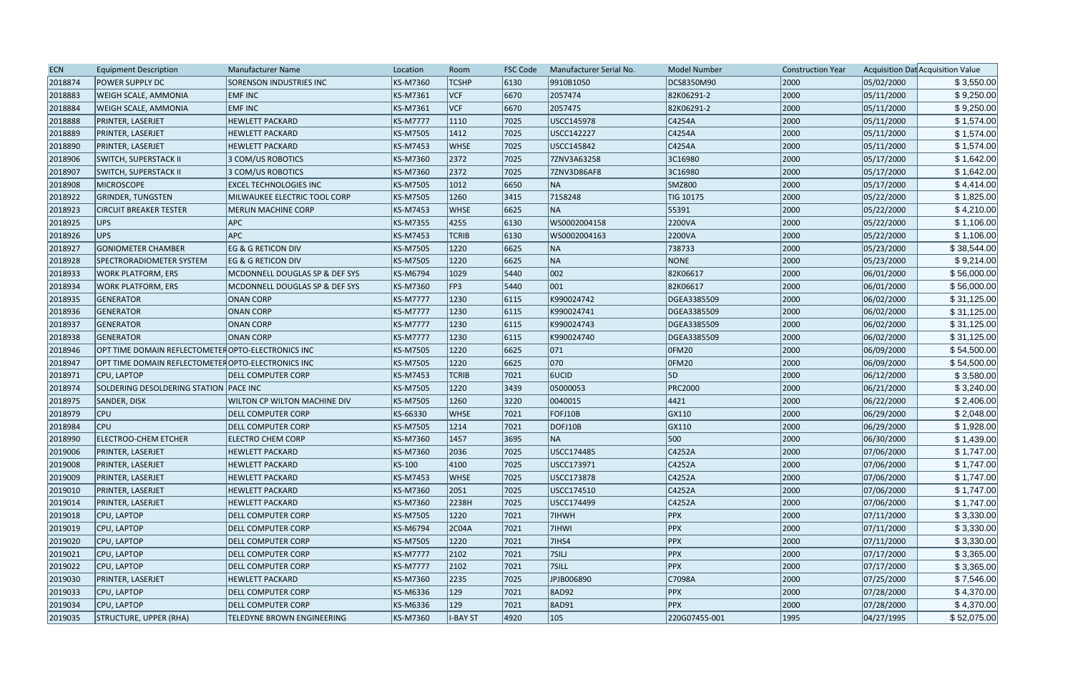| <b>ECN</b> | <b>Equipment Description</b>                       | Manufacturer Name              | Location        | Room            | <b>FSC Code</b> | Manufacturer Serial No. | <b>Model Number</b> | <b>Construction Year</b> |            | Acquisition Dat Acquisition Value |
|------------|----------------------------------------------------|--------------------------------|-----------------|-----------------|-----------------|-------------------------|---------------------|--------------------------|------------|-----------------------------------|
| 2018874    | <b>POWER SUPPLY DC</b>                             | <b>SORENSON INDUSTRIES INC</b> | KS-M7360        | <b>TCSHP</b>    | 6130            | 9910B1050               | DCS8350M90          | 2000                     | 05/02/2000 | \$3,550.00                        |
| 2018883    | <b>WEIGH SCALE, AMMONIA</b>                        | <b>EMFINC</b>                  | <b>KS-M7361</b> | VCF             | 6670            | 2057474                 | 82K06291-2          | 2000                     | 05/11/2000 | \$9,250.00                        |
| 2018884    | WEIGH SCALE, AMMONIA                               | <b>EMFINC</b>                  | <b>KS-M7361</b> | VCF             | 6670            | 2057475                 | 82K06291-2          | 2000                     | 05/11/2000 | \$9,250.00                        |
| 2018888    | PRINTER, LASERJET                                  | <b>HEWLETT PACKARD</b>         | <b>KS-M7777</b> | 1110            | 7025            | USCC145978              | C4254A              | 2000                     | 05/11/2000 | \$1,574.00                        |
| 2018889    | PRINTER, LASERJET                                  | <b>HEWLETT PACKARD</b>         | <b>KS-M7505</b> | $ 1412\rangle$  | 7025            | USCC142227              | C4254A              | 2000                     | 05/11/2000 | \$1,574.00                        |
| 2018890    | PRINTER, LASERJET                                  | <b>HEWLETT PACKARD</b>         | <b>KS-M7453</b> | <b>WHSE</b>     | 7025            | USCC145842              | C4254A              | 2000                     | 05/11/2000 | \$1,574.00                        |
| 2018906    | <b>SWITCH, SUPERSTACK II</b>                       | 3 COM/US ROBOTICS              | <b>KS-M7360</b> | 2372            | 7025            | 7ZNV3A63258             | 3C16980             | 2000                     | 05/17/2000 | \$1,642.00                        |
| 2018907    | <b>SWITCH, SUPERSTACK II</b>                       | 3 COM/US ROBOTICS              | <b>KS-M7360</b> | 2372            | 7025            | 7ZNV3D86AF8             | 3C16980             | 2000                     | 05/17/2000 | \$1,642.00                        |
| 2018908    | <b>MICROSCOPE</b>                                  | <b>EXCEL TECHNOLOGIES INC</b>  | <b>KS-M7505</b> | 1012            | 6650            | NA                      | <b>SMZ800</b>       | 2000                     | 05/17/2000 | \$4,414.00                        |
| 2018922    | <b>GRINDER, TUNGSTEN</b>                           | MILWAUKEE ELECTRIC TOOL CORP   | <b>KS-M7505</b> | 1260            | 3415            | 7158248                 | TIG 10175           | 2000                     | 05/22/2000 | \$1,825.00                        |
| 2018923    | <b>CIRCUIT BREAKER TESTER</b>                      | <b>MERLIN MACHINE CORP</b>     | <b>KS-M7453</b> | <b>WHSE</b>     | 6625            | NA                      | 55391               | 2000                     | 05/22/2000 | \$4,210.00                        |
| 2018925    | UPS                                                | <b>APC</b>                     | <b>KS-M7355</b> | 4255            | 6130            | WS0002004158            | 2200VA              | 2000                     | 05/22/2000 | \$1,106.00                        |
| 2018926    | UPS                                                | <b>APC</b>                     | <b>KS-M7453</b> | <b>TCRIB</b>    | 6130            | WS0002004163            | 2200VA              | 2000                     | 05/22/2000 | \$1,106.00                        |
| 2018927    | <b>GONIOMETER CHAMBER</b>                          | EG & G RETICON DIV             | <b>KS-M7505</b> | 1220            | 6625            | NA                      | 738733              | 2000                     | 05/23/2000 | \$38,544.00                       |
| 2018928    | SPECTRORADIOMETER SYSTEM                           | EG & G RETICON DIV             | <b>KS-M7505</b> | 1220            | 6625            | NA                      | NONE                | 2000                     | 05/23/2000 | \$9,214.00                        |
| 2018933    | <b>WORK PLATFORM, ERS</b>                          | MCDONNELL DOUGLAS SP & DEF SYS | <b>KS-M6794</b> | 1029            | 5440            | 002                     | 82K06617            | 2000                     | 06/01/2000 | \$56,000.00                       |
| 2018934    | <b>WORK PLATFORM, ERS</b>                          | MCDONNELL DOUGLAS SP & DEF SYS | <b>KS-M7360</b> | FP3             | 5440            | $ 001\rangle$           | 82K06617            | 2000                     | 06/01/2000 | \$56,000.00                       |
| 2018935    | <b>GENERATOR</b>                                   | ONAN CORP                      | <b>KS-M7777</b> | 1230            | 6115            | K990024742              | DGEA3385509         | 2000                     | 06/02/2000 | \$31,125.00                       |
| 2018936    | GENERATOR                                          | <b>ONAN CORP</b>               | <b>KS-M7777</b> | 1230            | 6115            | K990024741              | DGEA3385509         | 2000                     | 06/02/2000 | \$31,125.00                       |
| 2018937    | <b>GENERATOR</b>                                   | <b>ONAN CORP</b>               | <b>KS-M7777</b> | 1230            | 6115            | K990024743              | DGEA3385509         | 2000                     | 06/02/2000 | \$31,125.00                       |
| 2018938    | <b>GENERATOR</b>                                   | <b>ONAN CORP</b>               | <b>KS-M7777</b> | 1230            | 6115            | K990024740              | DGEA3385509         | 2000                     | 06/02/2000 | \$31,125.00                       |
| 2018946    | OPT TIME DOMAIN REFLECTOMETER OPTO-ELECTRONICS INC |                                | <b>KS-M7505</b> | 1220            | 6625            | $ 071\rangle$           | <b>OFM20</b>        | 2000                     | 06/09/2000 | \$54,500.00                       |
| 2018947    | OPT TIME DOMAIN REFLECTOMETER OPTO-ELECTRONICS INC |                                | <b>KS-M7505</b> | 1220            | 6625            | $ 070\rangle$           | OFM20               | 2000                     | 06/09/2000 | \$54,500.00                       |
| 2018971    | <b>CPU, LAPTOP</b>                                 | <b>DELL COMPUTER CORP</b>      | <b>KS-M7453</b> | <b>TCRIB</b>    | 7021            | 6UCID                   | 5D                  | 2000                     | 06/12/2000 | \$3,580.00                        |
| 2018974    | SOLDERING DESOLDERING STATION   PACE INC           |                                | <b>KS-M7505</b> | 1220            | 3439            | 05000053                | <b>PRC2000</b>      | 2000                     | 06/21/2000 | \$3,240.00                        |
| 2018975    | SANDER, DISK                                       | WILTON CP WILTON MACHINE DIV   | KS-M7505        | 1260            | 3220            | 0040015                 | 4421                | 2000                     | 06/22/2000 | \$2,406.00                        |
| 2018979    | <b>CPU</b>                                         | <b>DELL COMPUTER CORP</b>      | KS-66330        | <b>WHSE</b>     | 7021            | FOFJ10B                 | GX110               | 2000                     | 06/29/2000 | \$2,048.00                        |
| 2018984    | <b>CPU</b>                                         | <b>DELL COMPUTER CORP</b>      | <b>KS-M7505</b> | 1214            | 7021            | DOFJ10B                 | GX110               | 2000                     | 06/29/2000 | \$1,928.00                        |
| 2018990    | <b>ELECTROO-CHEM ETCHER</b>                        | <b>ELECTRO CHEM CORP</b>       | <b>KS-M7360</b> | 1457            | 3695            | NA                      | 500                 | 2000                     | 06/30/2000 | \$1,439.00                        |
| 2019006    | PRINTER, LASERJET                                  | <b>HEWLETT PACKARD</b>         | KS-M7360        | 2036            | 7025            | USCC174485              | C4252A              | 2000                     | 07/06/2000 | \$1,747.00                        |
| 2019008    | PRINTER, LASERJET                                  | <b>HEWLETT PACKARD</b>         | KS-100          | 4100            | 7025            | USCC173971              | C4252A              | 2000                     | 07/06/2000 | \$1,747.00                        |
| 2019009    | PRINTER, LASERJET                                  | <b>HEWLETT PACKARD</b>         | <b>KS-M7453</b> | <b>WHSE</b>     | 7025            | USCC173878              | C4252A              | 2000                     | 07/06/2000 | \$1,747.00                        |
| 2019010    | PRINTER, LASERJET                                  | <b>HEWLETT PACKARD</b>         | <b>KS-M7360</b> | 2051            | 7025            | USCC174510              | C4252A              | 2000                     | 07/06/2000 | \$1,747.00                        |
| 2019014    | PRINTER, LASERJET                                  | <b>HEWLETT PACKARD</b>         | <b>KS-M7360</b> | 2238H           | 7025            | USCC174499              | C4252A              | 2000                     | 07/06/2000 | \$1,747.00                        |
| 2019018    | CPU, LAPTOP                                        | <b>DELL COMPUTER CORP</b>      | <b>KS-M7505</b> | 1220            | 7021            | 7IHWH                   | PPX                 | 2000                     | 07/11/2000 | \$3,330.00                        |
| 2019019    | CPU, LAPTOP                                        | <b>DELL COMPUTER CORP</b>      | <b>KS-M6794</b> | 2CO4A           | 7021            | 7IHWI                   | <b>PPX</b>          | 2000                     | 07/11/2000 | \$3,330.00                        |
| 2019020    | CPU, LAPTOP                                        | <b>DELL COMPUTER CORP</b>      | <b>KS-M7505</b> | 1220            | 7021            | 71HS4                   | <b>PPX</b>          | 2000                     | 07/11/2000 | \$3,330.00                        |
| 2019021    | <b>CPU, LAPTOP</b>                                 | <b>DELL COMPUTER CORP</b>      | <b>KS-M7777</b> | 2102            | 7021            | 7SILJ                   | <b>PPX</b>          | 2000                     | 07/17/2000 | \$3,365.00                        |
| 2019022    | CPU, LAPTOP                                        | <b>DELL COMPUTER CORP</b>      | <b>KS-M7777</b> | 2102            | 7021            | 7SILL                   | <b>PPX</b>          | 2000                     | 07/17/2000 | \$3,365.00                        |
| 2019030    | PRINTER, LASERJET                                  | <b>HEWLETT PACKARD</b>         | <b>KS-M7360</b> | 2235            | 7025            | JPJB006890              | C7098A              | 2000                     | 07/25/2000 | \$7,546.00                        |
| 2019033    | CPU, LAPTOP                                        | <b>DELL COMPUTER CORP</b>      | KS-M6336        | $ 129\rangle$   | 7021            | <b>8AD92</b>            | PPX                 | 2000                     | 07/28/2000 | \$4,370.00                        |
| 2019034    | CPU, LAPTOP                                        | <b>DELL COMPUTER CORP</b>      | KS-M6336        | 129             | 7021            | 8AD91                   | <b>PPX</b>          | 2000                     | 07/28/2000 | \$4,370.00                        |
| 2019035    | STRUCTURE, UPPER (RHA)                             | TELEDYNE BROWN ENGINEERING     | KS-M7360        | <b>I-BAY ST</b> | 4920            | 105                     | 220G07455-001       | 1995                     | 04/27/1995 | \$52,075.00                       |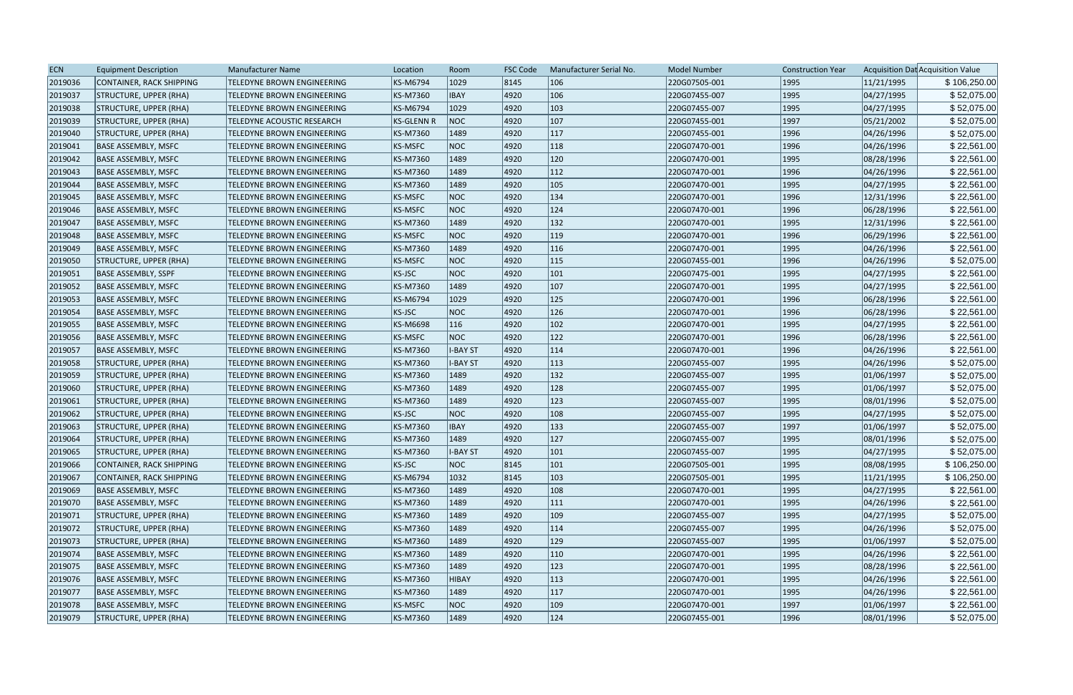| <b>ECN</b> | <b>Equipment Description</b>  | Manufacturer Name                 | Location          | Room            | <b>FSC Code</b> | Manufacturer Serial No. | <b>Model Number</b> | <b>Construction Year</b> |            | Acquisition Dat Acquisition Value |
|------------|-------------------------------|-----------------------------------|-------------------|-----------------|-----------------|-------------------------|---------------------|--------------------------|------------|-----------------------------------|
| 2019036    | CONTAINER, RACK SHIPPING      | TELEDYNE BROWN ENGINEERING        | KS-M6794          | 1029            | 8145            | 106                     | 220G07505-001       | 1995                     | 11/21/1995 | \$106,250.00                      |
| 2019037    | STRUCTURE, UPPER (RHA)        | TELEDYNE BROWN ENGINEERING        | KS-M7360          | <b>IBAY</b>     | 4920            | 106                     | 220G07455-007       | 1995                     | 04/27/1995 | \$52,075.00                       |
| 2019038    | STRUCTURE, UPPER (RHA)        | TELEDYNE BROWN ENGINEERING        | KS-M6794          | 1029            | 4920            | $ 103\rangle$           | 220G07455-007       | 1995                     | 04/27/1995 | \$52,075.00                       |
| 2019039    | STRUCTURE, UPPER (RHA)        | <b>TELEDYNE ACOUSTIC RESEARCH</b> | <b>KS-GLENN R</b> | NOC             | 4920            | 107                     | 220G07455-001       | 1997                     | 05/21/2002 | \$52,075.00                       |
| 2019040    | STRUCTURE, UPPER (RHA)        | TELEDYNE BROWN ENGINEERING        | KS-M7360          | 1489            | 4920            | 117                     | 220G07455-001       | 1996                     | 04/26/1996 | \$52,075.00                       |
| 2019041    | <b>BASE ASSEMBLY, MSFC</b>    | TELEDYNE BROWN ENGINEERING        | <b>KS-MSFC</b>    | NOC             | 4920            | 118                     | 220G07470-001       | 1996                     | 04/26/1996 | \$22,561.00                       |
| 2019042    | <b>BASE ASSEMBLY, MSFC</b>    | TELEDYNE BROWN ENGINEERING        | KS-M7360          | 1489            | 4920            | 120                     | 220G07470-001       | 1995                     | 08/28/1996 | \$22,561.00                       |
| 2019043    | <b>BASE ASSEMBLY, MSFC</b>    | TELEDYNE BROWN ENGINEERING        | KS-M7360          | 1489            | 4920            | $ 112\rangle$           | 220G07470-001       | 1996                     | 04/26/1996 | \$22,561.00                       |
| 2019044    | <b>BASE ASSEMBLY, MSFC</b>    | TELEDYNE BROWN ENGINEERING        | KS-M7360          | 1489            | 4920            | 105                     | 220G07470-001       | 1995                     | 04/27/1995 | \$22,561.00                       |
| 2019045    | <b>BASE ASSEMBLY, MSFC</b>    | TELEDYNE BROWN ENGINEERING        | <b>KS-MSFC</b>    | NOC             | 4920            | 134                     | 220G07470-001       | 1996                     | 12/31/1996 | \$22,561.00                       |
| 2019046    | <b>BASE ASSEMBLY, MSFC</b>    | TELEDYNE BROWN ENGINEERING        | <b>KS-MSFC</b>    | NOC             | 4920            | 124                     | 220G07470-001       | 1996                     | 06/28/1996 | \$22,561.00                       |
| 2019047    | <b>BASE ASSEMBLY, MSFC</b>    | TELEDYNE BROWN ENGINEERING        | KS-M7360          | 1489            | 4920            | 132                     | 220G07470-001       | 1995                     | 12/31/1996 | \$22,561.00                       |
| 2019048    | <b>BASE ASSEMBLY, MSFC</b>    | TELEDYNE BROWN ENGINEERING        | <b>KS-MSFC</b>    | NOC             | 4920            | 119                     | 220G07470-001       | 1996                     | 06/29/1996 | \$22,561.00                       |
| 2019049    | <b>BASE ASSEMBLY, MSFC</b>    | TELEDYNE BROWN ENGINEERING        | KS-M7360          | 1489            | 4920            | 116                     | 220G07470-001       | 1995                     | 04/26/1996 | \$22,561.00                       |
| 2019050    | <b>STRUCTURE, UPPER (RHA)</b> | TELEDYNE BROWN ENGINEERING        | <b>KS-MSFC</b>    | NOC             | 4920            | $ 115\rangle$           | 220G07455-001       | 1996                     | 04/26/1996 | \$52,075.00                       |
| 2019051    | <b>BASE ASSEMBLY, SSPF</b>    | TELEDYNE BROWN ENGINEERING        | <b>KS-JSC</b>     | NOC             | 4920            | 101                     | 220G07475-001       | 1995                     | 04/27/1995 | \$22,561.00                       |
| 2019052    | <b>BASE ASSEMBLY, MSFC</b>    | TELEDYNE BROWN ENGINEERING        | KS-M7360          | 1489            | 4920            | 107                     | 220G07470-001       | 1995                     | 04/27/1995 | \$22,561.00                       |
| 2019053    | BASE ASSEMBLY, MSFC           | TELEDYNE BROWN ENGINEERING        | KS-M6794          | 1029            | 4920            | 125                     | 220G07470-001       | 1996                     | 06/28/1996 | \$22,561.00                       |
| 2019054    | <b>BASE ASSEMBLY, MSFC</b>    | TELEDYNE BROWN ENGINEERING        | <b>KS-JSC</b>     | NOC             | 4920            | 126                     | 220G07470-001       | 1996                     | 06/28/1996 | \$22,561.00                       |
| 2019055    | <b>BASE ASSEMBLY, MSFC</b>    | TELEDYNE BROWN ENGINEERING        | KS-M6698          | 116             | 4920            | 102                     | 220G07470-001       | 1995                     | 04/27/1995 | \$22,561.00                       |
| 2019056    | <b>BASE ASSEMBLY, MSFC</b>    | TELEDYNE BROWN ENGINEERING        | <b>KS-MSFC</b>    | NOC             | 4920            | 122                     | 220G07470-001       | 1996                     | 06/28/1996 | \$22,561.00                       |
| 2019057    | <b>BASE ASSEMBLY, MSFC</b>    | TELEDYNE BROWN ENGINEERING        | KS-M7360          | <b>I-BAY ST</b> | 4920            | 114                     | 220G07470-001       | 1996                     | 04/26/1996 | \$22,561.00                       |
| 2019058    | STRUCTURE, UPPER (RHA)        | <b>TELEDYNE BROWN ENGINEERING</b> | KS-M7360          | <b>I-BAY ST</b> | 4920            | $ 113\rangle$           | 220G07455-007       | 1995                     | 04/26/1996 | \$52,075.00                       |
| 2019059    | STRUCTURE, UPPER (RHA)        | TELEDYNE BROWN ENGINEERING        | KS-M7360          | 1489            | 4920            | 132                     | 220G07455-007       | 1995                     | 01/06/1997 | \$52,075.00                       |
| 2019060    | STRUCTURE, UPPER (RHA)        | TELEDYNE BROWN ENGINEERING        | KS-M7360          | 1489            | 4920            | 128                     | 220G07455-007       | 1995                     | 01/06/1997 | \$52,075.00                       |
| 2019061    | STRUCTURE, UPPER (RHA)        | TELEDYNE BROWN ENGINEERING        | KS-M7360          | 1489            | 4920            | 123                     | 220G07455-007       | 1995                     | 08/01/1996 | \$52,075.00                       |
| 2019062    | STRUCTURE, UPPER (RHA)        | TELEDYNE BROWN ENGINEERING        | KS-JSC            | NOC             | 4920            | 108                     | 220G07455-007       | 1995                     | 04/27/1995 | \$52,075.00                       |
| 2019063    | STRUCTURE, UPPER (RHA)        | TELEDYNE BROWN ENGINEERING        | KS-M7360          | <b>IBAY</b>     | 4920            | 133                     | 220G07455-007       | 1997                     | 01/06/1997 | \$52,075.00                       |
| 2019064    | STRUCTURE, UPPER (RHA)        | TELEDYNE BROWN ENGINEERING        | KS-M7360          | 1489            | 4920            | $ 127\rangle$           | 220G07455-007       | 1995                     | 08/01/1996 | \$52,075.00                       |
| 2019065    | <b>STRUCTURE, UPPER (RHA)</b> | <b>TELEDYNE BROWN ENGINEERING</b> | KS-M7360          | <b>I-BAY ST</b> | 4920            | 101                     | 220G07455-007       | 1995                     | 04/27/1995 | \$52,075.00                       |
| 2019066    | CONTAINER, RACK SHIPPING      | <b>TELEDYNE BROWN ENGINEERING</b> | KS-JSC            | NOC             | 8145            | $ 101\rangle$           | 220G07505-001       | 1995                     | 08/08/1995 | \$106,250.00                      |
| 2019067    | CONTAINER, RACK SHIPPING      | TELEDYNE BROWN ENGINEERING        | KS-M6794          | 1032            | 8145            | 103                     | 220G07505-001       | 1995                     | 11/21/1995 | \$106,250.00                      |
| 2019069    | <b>BASE ASSEMBLY, MSFC</b>    | TELEDYNE BROWN ENGINEERING        | KS-M7360          | 1489            | 4920            | 108                     | 220G07470-001       | 1995                     | 04/27/1995 | \$22,561.00                       |
| 2019070    | <b>BASE ASSEMBLY, MSFC</b>    | TELEDYNE BROWN ENGINEERING        | KS-M7360          | 1489            | 4920            | $ 111\rangle$           | 220G07470-001       | 1995                     | 04/26/1996 | \$22,561.00                       |
| 2019071    | <b>STRUCTURE, UPPER (RHA)</b> | <b>TELEDYNE BROWN ENGINEERING</b> | KS-M7360          | 1489            | 4920            | $ 109\rangle$           | 220G07455-007       | 1995                     | 04/27/1995 | \$52,075.00                       |
| 2019072    | STRUCTURE, UPPER (RHA)        | TELEDYNE BROWN ENGINEERING        | KS-M7360          | 1489            | 4920            | 114                     | 220G07455-007       | 1995                     | 04/26/1996 | \$52,075.00                       |
| 2019073    | STRUCTURE, UPPER (RHA)        | TELEDYNE BROWN ENGINEERING        | KS-M7360          | 1489            | 4920            | 129                     | 220G07455-007       | 1995                     | 01/06/1997 | \$52,075.00                       |
| 2019074    | <b>BASE ASSEMBLY, MSFC</b>    | TELEDYNE BROWN ENGINEERING        | KS-M7360          | 1489            | 4920            | $ 110\rangle$           | 220G07470-001       | 1995                     | 04/26/1996 | \$22,561.00                       |
| 2019075    | <b>BASE ASSEMBLY, MSFC</b>    | TELEDYNE BROWN ENGINEERING        | KS-M7360          | 1489            | 4920            | 123                     | 220G07470-001       | 1995                     | 08/28/1996 | \$22,561.00                       |
| 2019076    | BASE ASSEMBLY, MSFC           | TELEDYNE BROWN ENGINEERING        | KS-M7360          | <b>HIBAY</b>    | 4920            | 113                     | 220G07470-001       | 1995                     | 04/26/1996 | \$22,561.00                       |
| 2019077    | BASE ASSEMBLY, MSFC           | TELEDYNE BROWN ENGINEERING        | KS-M7360          | 1489            | 4920            | 117                     | 220G07470-001       | 1995                     | 04/26/1996 | \$22,561.00                       |
| 2019078    | <b>BASE ASSEMBLY, MSFC</b>    | TELEDYNE BROWN ENGINEERING        | <b>KS-MSFC</b>    | NOC             | 4920            | $ 109\rangle$           | 220G07470-001       | 1997                     | 01/06/1997 | \$22,561.00                       |
| 2019079    | <b>STRUCTURE, UPPER (RHA)</b> | TELEDYNE BROWN ENGINEERING        | KS-M7360          | 1489            | 4920            | 124                     | 220G07455-001       | 1996                     | 08/01/1996 | \$52,075.00                       |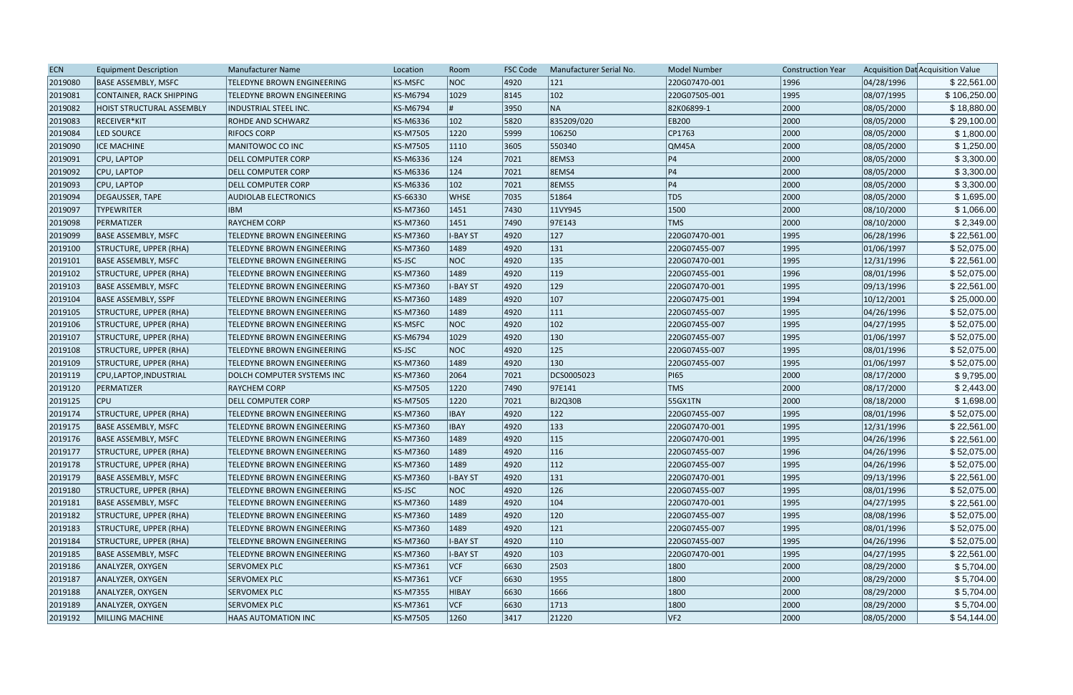| <b>ECN</b> | <b>Equipment Description</b>    | <b>Manufacturer Name</b>          | Location       | Room            | <b>FSC Code</b> | Manufacturer Serial No. | <b>Model Number</b> | <b>Construction Year</b> |            | Acquisition Dat Acquisition Value |
|------------|---------------------------------|-----------------------------------|----------------|-----------------|-----------------|-------------------------|---------------------|--------------------------|------------|-----------------------------------|
| 2019080    | <b>BASE ASSEMBLY, MSFC</b>      | <b>TELEDYNE BROWN ENGINEERING</b> | <b>KS-MSFC</b> | <b>NOC</b>      | 4920            | 121                     | 220G07470-001       | 1996                     | 04/28/1996 | \$22,561.00                       |
| 2019081    | <b>CONTAINER, RACK SHIPPING</b> | <b>TELEDYNE BROWN ENGINEERING</b> | KS-M6794       | 1029            | 8145            | 102                     | 220G07505-001       | 1995                     | 08/07/1995 | \$106,250.00                      |
| 2019082    | HOIST STRUCTURAL ASSEMBLY       | <b>INDUSTRIAL STEEL INC.</b>      | KS-M6794       |                 | 3950            | NA                      | 82K06899-1          | 2000                     | 08/05/2000 | \$18,880.00                       |
| 2019083    | RECEIVER*KIT                    | <b>ROHDE AND SCHWARZ</b>          | KS-M6336       | 102             | 5820            | 835209/020              | <b>EB200</b>        | 2000                     | 08/05/2000 | \$29,100.00                       |
| 2019084    | LED SOURCE                      | <b>RIFOCS CORP</b>                | KS-M7505       | 1220            | 5999            | 106250                  | CP1763              | 2000                     | 08/05/2000 | \$1,800.00                        |
| 2019090    | <b>ICE MACHINE</b>              | MANITOWOC CO INC                  | KS-M7505       | 1110            | 3605            | 550340                  | QM45A               | 2000                     | 08/05/2000 | \$1,250.00                        |
| 2019091    | CPU, LAPTOP                     | <b>DELL COMPUTER CORP</b>         | KS-M6336       | 124             | 7021            | <b>8EMS3</b>            | P4                  | 2000                     | 08/05/2000 | \$3,300.00                        |
| 2019092    | CPU, LAPTOP                     | <b>DELL COMPUTER CORP</b>         | KS-M6336       | 124             | 7021            | 8EMS4                   | P4                  | 2000                     | 08/05/2000 | \$3,300.00                        |
| 2019093    | CPU, LAPTOP                     | <b>DELL COMPUTER CORP</b>         | KS-M6336       | 102             | 7021            | <b>8EMS5</b>            | P4                  | 2000                     | 08/05/2000 | \$3,300.00                        |
| 2019094    | DEGAUSSER, TAPE                 | <b>AUDIOLAB ELECTRONICS</b>       | KS-66330       | <b>WHSE</b>     | 7035            | 51864                   | TD5                 | 2000                     | 08/05/2000 | \$1,695.00                        |
| 2019097    | <b>TYPEWRITER</b>               | <b>IBM</b>                        | KS-M7360       | 1451            | 7430            | 11VY945                 | 1500                | 2000                     | 08/10/2000 | \$1,066.00                        |
| 2019098    | PERMATIZER                      | <b>RAYCHEM CORP</b>               | KS-M7360       | 1451            | 7490            | 97E143                  | <b>TMS</b>          | 2000                     | 08/10/2000 | \$2,349.00                        |
| 2019099    | <b>BASE ASSEMBLY, MSFC</b>      | <b>TELEDYNE BROWN ENGINEERING</b> | KS-M7360       | <b>I-BAY ST</b> | 4920            | 127                     | 220G07470-001       | 1995                     | 06/28/1996 | \$22,561.00                       |
| 2019100    | STRUCTURE, UPPER (RHA)          | <b>TELEDYNE BROWN ENGINEERING</b> | KS-M7360       | 1489            | 4920            | 131                     | 220G07455-007       | 1995                     | 01/06/1997 | \$52,075.00                       |
| 2019101    | <b>BASE ASSEMBLY, MSFC</b>      | <b>TELEDYNE BROWN ENGINEERING</b> | KS-JSC         | <b>NOC</b>      | 4920            | 135                     | 220G07470-001       | 1995                     | 12/31/1996 | \$22,561.00                       |
| 2019102    | STRUCTURE, UPPER (RHA)          | TELEDYNE BROWN ENGINEERING        | KS-M7360       | 1489            | 4920            | $ 119\rangle$           | 220G07455-001       | 1996                     | 08/01/1996 | \$52,075.00                       |
| 2019103    | BASE ASSEMBLY, MSFC             | TELEDYNE BROWN ENGINEERING        | KS-M7360       | <b>I-BAY ST</b> | 4920            | 129                     | 220G07470-001       | 1995                     | 09/13/1996 | \$22,561.00                       |
| 2019104    | <b>BASE ASSEMBLY, SSPF</b>      | <b>TELEDYNE BROWN ENGINEERING</b> | KS-M7360       | 1489            | 4920            | 107                     | 220G07475-001       | 1994                     | 10/12/2001 | \$25,000.00                       |
| 2019105    | STRUCTURE, UPPER (RHA)          | TELEDYNE BROWN ENGINEERING        | KS-M7360       | 1489            | 4920            | 111                     | 220G07455-007       | 1995                     | 04/26/1996 | \$52,075.00                       |
| 2019106    | STRUCTURE, UPPER (RHA)          | <b>TELEDYNE BROWN ENGINEERING</b> | <b>KS-MSFC</b> | <b>NOC</b>      | 4920            | 102                     | 220G07455-007       | 1995                     | 04/27/1995 | \$52,075.00                       |
| 2019107    | STRUCTURE, UPPER (RHA)          | <b>TELEDYNE BROWN ENGINEERING</b> | KS-M6794       | 1029            | 4920            | 130                     | 220G07455-007       | 1995                     | 01/06/1997 | \$52,075.00                       |
| 2019108    | STRUCTURE, UPPER (RHA)          | TELEDYNE BROWN ENGINEERING        | KS-JSC         | <b>NOC</b>      | 4920            | 125                     | 220G07455-007       | 1995                     | 08/01/1996 | \$52,075.00                       |
| 2019109    | STRUCTURE, UPPER (RHA)          | TELEDYNE BROWN ENGINEERING        | KS-M7360       | 1489            | 4920            | 130                     | 220G07455-007       | 1995                     | 01/06/1997 | \$52,075.00                       |
| 2019119    | CPU, LAPTOP, INDUSTRIAL         | <b>DOLCH COMPUTER SYSTEMS INC</b> | KS-M7360       | 2064            | 7021            | DCS0005023              | PI65                | 2000                     | 08/17/2000 | \$9,795.00                        |
| 2019120    | PERMATIZER                      | <b>RAYCHEM CORP</b>               | KS-M7505       | 1220            | 7490            | 97E141                  | <b>TMS</b>          | 2000                     | 08/17/2000 | \$2,443.00                        |
| 2019125    | <b>CPU</b>                      | <b>DELL COMPUTER CORP</b>         | KS-M7505       | 1220            | 7021            | <b>BJ2Q30B</b>          | 55GX1TN             | 2000                     | 08/18/2000 | \$1,698.00                        |
| 2019174    | STRUCTURE, UPPER (RHA)          | <b>TELEDYNE BROWN ENGINEERING</b> | KS-M7360       | <b>IBAY</b>     | 4920            | 122                     | 220G07455-007       | 1995                     | 08/01/1996 | \$52,075.00                       |
| 2019175    | <b>BASE ASSEMBLY, MSFC</b>      | <b>TELEDYNE BROWN ENGINEERING</b> | KS-M7360       | <b>IBAY</b>     | 4920            | $ 133\rangle$           | 220G07470-001       | 1995                     | 12/31/1996 | \$22,561.00                       |
| 2019176    | <b>BASE ASSEMBLY, MSFC</b>      | TELEDYNE BROWN ENGINEERING        | KS-M7360       | 1489            | 4920            | $ 115\rangle$           | 220G07470-001       | 1995                     | 04/26/1996 | \$22,561.00                       |
| 2019177    | STRUCTURE, UPPER (RHA)          | TELEDYNE BROWN ENGINEERING        | KS-M7360       | 1489            | 4920            | 116                     | 220G07455-007       | 1996                     | 04/26/1996 | \$52,075.00                       |
| 2019178    | STRUCTURE, UPPER (RHA)          | <b>TELEDYNE BROWN ENGINEERING</b> | KS-M7360       | 1489            | 4920            | 112                     | 220G07455-007       | 1995                     | 04/26/1996 | \$52,075.00                       |
| 2019179    | <b>BASE ASSEMBLY, MSFC</b>      | TELEDYNE BROWN ENGINEERING        | KS-M7360       | <b>I-BAY ST</b> | 4920            | 131                     | 220G07470-001       | 1995                     | 09/13/1996 | \$22,561.00                       |
| 2019180    | STRUCTURE, UPPER (RHA)          | <b>TELEDYNE BROWN ENGINEERING</b> | KS-JSC         | <b>NOC</b>      | 4920            | 126                     | 220G07455-007       | 1995                     | 08/01/1996 | \$52,075.00                       |
| 2019181    | <b>BASE ASSEMBLY, MSFC</b>      | TELEDYNE BROWN ENGINEERING        | KS-M7360       | 1489            | 4920            | 104                     | 220G07470-001       | 1995                     | 04/27/1995 | \$22,561.00                       |
| 2019182    | STRUCTURE, UPPER (RHA)          | TELEDYNE BROWN ENGINEERING        | KS-M7360       | 1489            | 4920            | 120                     | 220G07455-007       | 1995                     | 08/08/1996 | \$52,075.00                       |
| 2019183    | STRUCTURE, UPPER (RHA)          | TELEDYNE BROWN ENGINEERING        | KS-M7360       | 1489            | 4920            | 121                     | 220G07455-007       | 1995                     | 08/01/1996 | \$52,075.00                       |
| 2019184    | STRUCTURE, UPPER (RHA)          | <b>TELEDYNE BROWN ENGINEERING</b> | KS-M7360       | <b>I-BAY ST</b> | 4920            | $ 110\rangle$           | 220G07455-007       | 1995                     | 04/26/1996 | \$52,075.00                       |
| 2019185    | <b>BASE ASSEMBLY, MSFC</b>      | <b>TELEDYNE BROWN ENGINEERING</b> | KS-M7360       | <b>I-BAY ST</b> | 4920            | 103                     | 220G07470-001       | 1995                     | 04/27/1995 | \$22,561.00                       |
| 2019186    | ANALYZER, OXYGEN                | SERVOMEX PLC                      | KS-M7361       | <b>VCF</b>      | 6630            | 2503                    | 1800                | 2000                     | 08/29/2000 | \$5,704.00                        |
| 2019187    | ANALYZER, OXYGEN                | <b>SERVOMEX PLC</b>               | KS-M7361       | <b>VCF</b>      | 6630            | 1955                    | 1800                | 2000                     | 08/29/2000 | \$5,704.00                        |
| 2019188    | ANALYZER, OXYGEN                | <b>SERVOMEX PLC</b>               | KS-M7355       | <b>HIBAY</b>    | 6630            | 1666                    | 1800                | 2000                     | 08/29/2000 | \$5,704.00                        |
| 2019189    | ANALYZER, OXYGEN                | SERVOMEX PLC                      | KS-M7361       | <b>VCF</b>      | 6630            | 1713                    | 1800                | 2000                     | 08/29/2000 | \$5,704.00                        |
| 2019192    | MILLING MACHINE                 | <b>HAAS AUTOMATION INC</b>        | KS-M7505       | 1260            | 3417            | 21220                   | VF <sub>2</sub>     | 2000                     | 08/05/2000 | \$54,144.00                       |
|            |                                 |                                   |                |                 |                 |                         |                     |                          |            |                                   |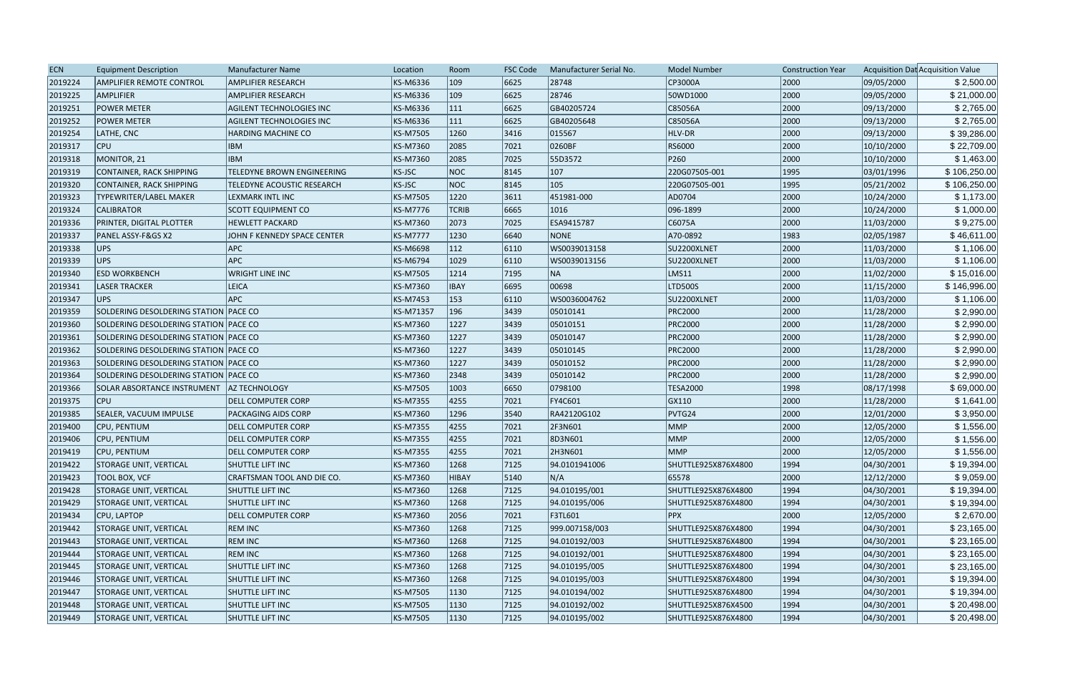| <b>ECN</b> | <b>Equipment Description</b>            | Manufacturer Name               | Location        | Room           | <b>FSC Code</b> | Manufacturer Serial No. | <b>Model Number</b> | <b>Construction Year</b> |            | Acquisition Dat Acquisition Value |
|------------|-----------------------------------------|---------------------------------|-----------------|----------------|-----------------|-------------------------|---------------------|--------------------------|------------|-----------------------------------|
| 2019224    | <b>AMPLIFIER REMOTE CONTROL</b>         | <b>AMPLIFIER RESEARCH</b>       | KS-M6336        | $ 109\rangle$  | 6625            | 28748                   | CP3000A             | 2000                     | 09/05/2000 | \$2,500.00                        |
| 2019225    | <b>AMPLIFIER</b>                        | <b>AMPLIFIER RESEARCH</b>       | KS-M6336        | $ 109\rangle$  | 6625            | 28746                   | 50WD1000            | 2000                     | 09/05/2000 | \$21,000.00                       |
| 2019251    | <b>POWER METER</b>                      | <b>AGILENT TECHNOLOGIES INC</b> | <b>KS-M6336</b> | 111            | 6625            | GB40205724              | C85056A             | 2000                     | 09/13/2000 | \$2,765.00                        |
| 2019252    | <b>POWER METER</b>                      | <b>AGILENT TECHNOLOGIES INC</b> | KS-M6336        | 111            | 6625            | GB40205648              | C85056A             | 2000                     | 09/13/2000 | \$2,765.00                        |
| 2019254    | LATHE, CNC                              | HARDING MACHINE CO              | <b>KS-M7505</b> | 1260           | 3416            | 015567                  | HLV-DR              | 2000                     | 09/13/2000 | \$39,286.00                       |
| 2019317    | <b>CPU</b>                              | <b>IBM</b>                      | <b>KS-M7360</b> | 2085           | 7021            | 0260BF                  | RS6000              | 2000                     | 10/10/2000 | \$22,709.00                       |
| 2019318    | MONITOR, 21                             | <b>IBM</b>                      | <b>KS-M7360</b> | 2085           | 7025            | 55D3572                 | P260                | 2000                     | 10/10/2000 | \$1,463.00                        |
| 2019319    | CONTAINER, RACK SHIPPING                | TELEDYNE BROWN ENGINEERING      | <b>KS-JSC</b>   | NOC            | 8145            | 107                     | 220G07505-001       | 1995                     | 03/01/1996 | \$106,250.00                      |
| 2019320    | CONTAINER, RACK SHIPPING                | TELEDYNE ACOUSTIC RESEARCH      | <b>KS-JSC</b>   | NOC            | 8145            | $ 105\rangle$           | 220G07505-001       | 1995                     | 05/21/2002 | \$106,250.00                      |
| 2019323    | TYPEWRITER/LABEL MAKER                  | LEXMARK INTL INC                | <b>KS-M7505</b> | 1220           | 3611            | 451981-000              | AD0704              | 2000                     | 10/24/2000 | \$1,173.00                        |
| 2019324    | <b>CALIBRATOR</b>                       | <b>SCOTT EQUIPMENT CO</b>       | <b>KS-M7776</b> | <b>TCRIB</b>   | 6665            | 1016                    | 096-1899            | 2000                     | 10/24/2000 | \$1,000.00                        |
| 2019336    | PRINTER, DIGITAL PLOTTER                | <b>HEWLETT PACKARD</b>          | <b>KS-M7360</b> | 2073           | 7025            | ESA9415787              | C6075A              | 2000                     | 11/03/2000 | \$9,275.00                        |
| 2019337    | PANEL ASSY-F&GS X2                      | JOHN F KENNEDY SPACE CENTER     | <b>KS-M7777</b> | 1230           | 6640            | <b>NONE</b>             | A70-0892            | 1983                     | 02/05/1987 | \$46,611.00                       |
| 2019338    | UPS                                     | <b>APC</b>                      | <b>KS-M6698</b> | 112            | 6110            | WS0039013158            | SU2200XLNET         | 2000                     | 11/03/2000 | \$1,106.00                        |
| 2019339    | <b>UPS</b>                              | <b>APC</b>                      | <b>KS-M6794</b> | 1029           | 6110            | WS0039013156            | SU2200XLNET         | 2000                     | 11/03/2000 | \$1,106.00                        |
| 2019340    | <b>ESD WORKBENCH</b>                    | <b>WRIGHT LINE INC</b>          | <b>KS-M7505</b> | 1214           | 7195            | NA                      | LMS11               | 2000                     | 11/02/2000 | \$15,016.00                       |
| 2019341    | <b>LASER TRACKER</b>                    | <b>LEICA</b>                    | <b>KS-M7360</b> | <b>IBAY</b>    | 6695            | 00698                   | <b>LTD500S</b>      | 2000                     | 11/15/2000 | \$146,996.00                      |
| 2019347    | UPS                                     | <b>APC</b>                      | <b>KS-M7453</b> | 153            | 6110            | WS0036004762            | SU2200XLNET         | 2000                     | 11/03/2000 | \$1,106.00                        |
| 2019359    | SOLDERING DESOLDERING STATION PACE CO   |                                 | KS-M71357       | 196            | 3439            | 05010141                | <b>PRC2000</b>      | 2000                     | 11/28/2000 | \$2,990.00                        |
| 2019360    | SOLDERING DESOLDERING STATION PACE CO   |                                 | KS-M7360        | 1227           | 3439            | 05010151                | <b>PRC2000</b>      | 2000                     | 11/28/2000 | \$2,990.00                        |
| 2019361    | SOLDERING DESOLDERING STATION   PACE CO |                                 | KS-M7360        | 1227           | 3439            | 05010147                | <b>PRC2000</b>      | 2000                     | 11/28/2000 | \$2,990.00                        |
| 2019362    | SOLDERING DESOLDERING STATION PACE CO   |                                 | <b>KS-M7360</b> | 1227           | $ 3439\rangle$  | 05010145                | <b>PRC2000</b>      | 2000                     | 11/28/2000 | \$2,990.00                        |
| 2019363    | SOLDERING DESOLDERING STATION PACE CO   |                                 | KS-M7360        | 1227           | 3439            | 05010152                | <b>PRC2000</b>      | 2000                     | 11/28/2000 | \$2,990.00                        |
| 2019364    | SOLDERING DESOLDERING STATION PACE CO   |                                 | <b>KS-M7360</b> | 2348           | 3439            | 05010142                | <b>PRC2000</b>      | 2000                     | 11/28/2000 | \$2,990.00                        |
| 2019366    | SOLAR ABSORTANCE INSTRUMENT             | <b>AZ TECHNOLOGY</b>            | <b>KS-M7505</b> | 1003           | 6650            | 0798100                 | <b>TESA2000</b>     | 1998                     | 08/17/1998 | \$69,000.00                       |
| 2019375    | <b>CPU</b>                              | <b>DELL COMPUTER CORP</b>       | <b>KS-M7355</b> | 4255           | 7021            | FY4C601                 | GX110               | 2000                     | 11/28/2000 | \$1,641.00                        |
| 2019385    | SEALER, VACUUM IMPULSE                  | <b>PACKAGING AIDS CORP</b>      | <b>KS-M7360</b> | 1296           | 3540            | RA42120G102             | PVTG24              | 2000                     | 12/01/2000 | \$3,950.00                        |
| 2019400    | <b>CPU, PENTIUM</b>                     | <b>DELL COMPUTER CORP</b>       | <b>KS-M7355</b> | 4255           | 7021            | 2F3N601                 | MMP                 | 2000                     | 12/05/2000 | \$1,556.00                        |
| 2019406    | CPU, PENTIUM                            | <b>DELL COMPUTER CORP</b>       | <b>KS-M7355</b> | 4255           | 7021            | 8D3N601                 | MMP                 | 2000                     | 12/05/2000 | \$1,556.00                        |
| 2019419    | <b>CPU, PENTIUM</b>                     | <b>DELL COMPUTER CORP</b>       | <b>KS-M7355</b> | 4255           | 7021            | 2H3N601                 | MMP                 | 2000                     | 12/05/2000 | \$1,556.00                        |
| 2019422    | <b>STORAGE UNIT, VERTICAL</b>           | SHUTTLE LIFT INC                | KS-M7360        | 1268           | 7125            | 94.0101941006           | SHUTTLE925X876X4800 | 1994                     | 04/30/2001 | \$19,394.00                       |
| 2019423    | <b>TOOL BOX, VCF</b>                    | CRAFTSMAN TOOL AND DIE CO.      | KS-M7360        | HIBAY          | $ 5140\rangle$  | N/A                     | 65578               | 2000                     | 12/12/2000 | \$9,059.00                        |
| 2019428    | <b>STORAGE UNIT, VERTICAL</b>           | SHUTTLE LIFT INC                | <b>KS-M7360</b> | 1268           | 7125            | 94.010195/001           | SHUTTLE925X876X4800 | 1994                     | 04/30/2001 | \$19,394.00                       |
| 2019429    | <b>STORAGE UNIT, VERTICAL</b>           | <b>SHUTTLE LIFT INC</b>         | <b>KS-M7360</b> | 1268           | 7125            | 94.010195/006           | SHUTTLE925X876X4800 | 1994                     | 04/30/2001 | \$19,394.00                       |
| 2019434    | CPU, LAPTOP                             | <b>DELL COMPUTER CORP</b>       | KS-M7360        | 2056           | 7021            | F3TL601                 | <b>PPX</b>          | 2000                     | 12/05/2000 | \$2,670.00                        |
| 2019442    | <b>STORAGE UNIT, VERTICAL</b>           | <b>REM INC</b>                  | KS-M7360        | 1268           | 7125            | 999.007158/003          | SHUTTLE925X876X4800 | 1994                     | 04/30/2001 | \$23,165.00                       |
| 2019443    | STORAGE UNIT, VERTICAL                  | <b>REM INC</b>                  | <b>KS-M7360</b> | 1268           | 7125            | 94.010192/003           | SHUTTLE925X876X4800 | 1994                     | 04/30/2001 | \$23,165.00                       |
| 2019444    | <b>STORAGE UNIT, VERTICAL</b>           | <b>REM INC</b>                  | KS-M7360        | 1268           | 7125            | 94.010192/001           | SHUTTLE925X876X4800 | 1994                     | 04/30/2001 | \$23,165.00                       |
| 2019445    | <b>STORAGE UNIT, VERTICAL</b>           | <b>SHUTTLE LIFT INC</b>         | <b>KS-M7360</b> | 1268           | 7125            | 94.010195/005           | SHUTTLE925X876X4800 | 1994                     | 04/30/2001 | \$23,165.00                       |
| 2019446    | <b>STORAGE UNIT, VERTICAL</b>           | <b>SHUTTLE LIFT INC</b>         | KS-M7360        | 1268           | 7125            | 94.010195/003           | SHUTTLE925X876X4800 | 1994                     | 04/30/2001 | \$19,394.00                       |
| 2019447    | STORAGE UNIT, VERTICAL                  | SHUTTLE LIFT INC                | <b>KS-M7505</b> | 1130           | 7125            | 94.010194/002           | SHUTTLE925X876X4800 | 1994                     | 04/30/2001 | \$19,394.00                       |
| 2019448    | <b>STORAGE UNIT, VERTICAL</b>           | SHUTTLE LIFT INC                | KS-M7505        | 1130           | 7125            | 94.010192/002           | SHUTTLE925X876X4500 | 1994                     | 04/30/2001 | \$20,498.00                       |
| 2019449    | <b>STORAGE UNIT, VERTICAL</b>           | SHUTTLE LIFT INC                | <b>KS-M7505</b> | $ 1130\rangle$ | 7125            | 94.010195/002           | SHUTTLE925X876X4800 | 1994                     | 04/30/2001 | \$20,498.00                       |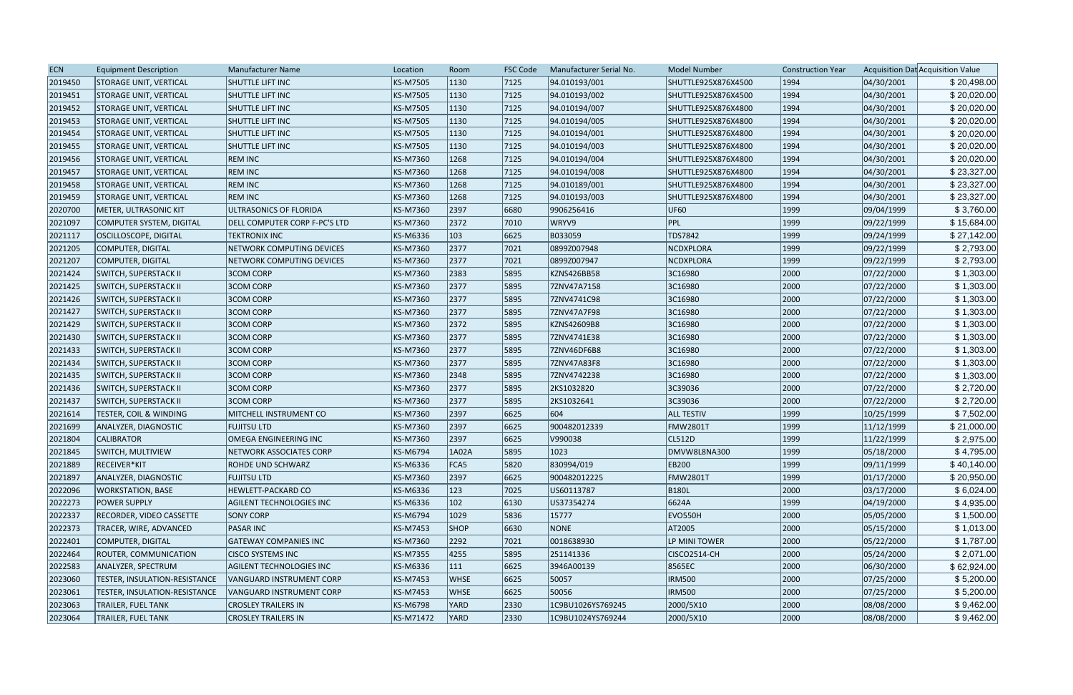| <b>ECN</b> | <b>Equipment Description</b>    | Manufacturer Name               | Location        | Room          | <b>FSC Code</b> | Manufacturer Serial No. | <b>Model Number</b> | <b>Construction Year</b> |            | Acquisition Dat Acquisition Value |
|------------|---------------------------------|---------------------------------|-----------------|---------------|-----------------|-------------------------|---------------------|--------------------------|------------|-----------------------------------|
| 2019450    | <b>STORAGE UNIT, VERTICAL</b>   | SHUTTLE LIFT INC                | KS-M7505        | 1130          | 7125            | 94.010193/001           | SHUTTLE925X876X4500 | 1994                     | 04/30/2001 | \$20,498.00                       |
| 2019451    | <b>STORAGE UNIT, VERTICAL</b>   | <b>SHUTTLE LIFT INC</b>         | <b>KS-M7505</b> | 1130          | 7125            | 94.010193/002           | SHUTTLE925X876X4500 | 1994                     | 04/30/2001 | \$20,020.00                       |
| 2019452    | STORAGE UNIT, VERTICAL          | <b>SHUTTLE LIFT INC</b>         | <b>KS-M7505</b> | 1130          | 7125            | 94.010194/007           | SHUTTLE925X876X4800 | 1994                     | 04/30/2001 | \$20,020.00                       |
| 2019453    | <b>STORAGE UNIT, VERTICAL</b>   | <b>SHUTTLE LIFT INC</b>         | <b>KS-M7505</b> | 1130          | 7125            | 94.010194/005           | SHUTTLE925X876X4800 | 1994                     | 04/30/2001 | \$20,020.00                       |
| 2019454    | <b>STORAGE UNIT, VERTICAL</b>   | <b>SHUTTLE LIFT INC</b>         | <b>KS-M7505</b> | 1130          | 7125            | 94.010194/001           | SHUTTLE925X876X4800 | 1994                     | 04/30/2001 | \$20,020.00                       |
| 2019455    | <b>STORAGE UNIT, VERTICAL</b>   | SHUTTLE LIFT INC                | <b>KS-M7505</b> | 1130          | 7125            | 94.010194/003           | SHUTTLE925X876X4800 | 1994                     | 04/30/2001 | \$20,020.00                       |
| 2019456    | STORAGE UNIT, VERTICAL          | <b>REM INC</b>                  | KS-M7360        | 1268          | 7125            | 94.010194/004           | SHUTTLE925X876X4800 | 1994                     | 04/30/2001 | \$20,020.00                       |
| 2019457    | <b>STORAGE UNIT, VERTICAL</b>   | <b>REM INC</b>                  | <b>KS-M7360</b> | 1268          | 7125            | 94.010194/008           | SHUTTLE925X876X4800 | 1994                     | 04/30/2001 | \$23,327.00                       |
| 2019458    | <b>STORAGE UNIT, VERTICAL</b>   | <b>REM INC</b>                  | <b>KS-M7360</b> | 1268          | 7125            | 94.010189/001           | SHUTTLE925X876X4800 | 1994                     | 04/30/2001 | \$23,327.00                       |
| 2019459    | <b>STORAGE UNIT, VERTICAL</b>   | <b>REM INC</b>                  | <b>KS-M7360</b> | 1268          | 7125            | 94.010193/003           | SHUTTLE925X876X4800 | 1994                     | 04/30/2001 | \$23,327.00                       |
| 2020700    | <b>METER, ULTRASONIC KIT</b>    | ULTRASONICS OF FLORIDA          | <b>KS-M7360</b> | 2397          | 6680            | 9906256416              | <b>UF60</b>         | 1999                     | 09/04/1999 | \$3,760.00                        |
| 2021097    | COMPUTER SYSTEM, DIGITAL        | DELL COMPUTER CORP F-PC'S LTD   | KS-M7360        | 2372          | 7010            | WRYV9                   | PPL                 | 1999                     | 09/22/1999 | \$15,684.00                       |
| 2021117    | <b>OSCILLOSCOPE, DIGITAL</b>    | <b>TEKTRONIX INC</b>            | KS-M6336        | 103           | 6625            | B033059                 | TDS7842             | 1999                     | 09/24/1999 | \$27,142.00                       |
| 2021205    | COMPUTER, DIGITAL               | NETWORK COMPUTING DEVICES       | KS-M7360        | 2377          | 7021            | 0899Z007948             | NCDXPLORA           | 1999                     | 09/22/1999 | \$2,793.00                        |
| 2021207    | COMPUTER, DIGITAL               | NETWORK COMPUTING DEVICES       | <b>KS-M7360</b> | 2377          | 7021            | 0899Z007947             | NCDXPLORA           | 1999                     | 09/22/1999 | \$2,793.00                        |
| 2021424    | <b>SWITCH, SUPERSTACK II</b>    | <b>3COM CORP</b>                | <b>KS-M7360</b> | 2383          | 5895            | KZNS426BB58             | 3C16980             | 2000                     | 07/22/2000 | \$1,303.00                        |
| 2021425    | <b>SWITCH, SUPERSTACK II</b>    | <b>3COM CORP</b>                | <b>KS-M7360</b> | 2377          | 5895            | 7ZNV47A7158             | 3C16980             | 2000                     | 07/22/2000 | \$1,303.00                        |
| 2021426    | <b>SWITCH, SUPERSTACK II</b>    | <b>3COM CORP</b>                | <b>KS-M7360</b> | 2377          | 5895            | 7ZNV4741C98             | 3C16980             | 2000                     | 07/22/2000 | \$1,303.00                        |
| 2021427    | <b>SWITCH, SUPERSTACK II</b>    | <b>3COM CORP</b>                | KS-M7360        | 2377          | 5895            | 7ZNV47A7F98             | 3C16980             | 2000                     | 07/22/2000 | \$1,303.00                        |
| 2021429    | <b>SWITCH, SUPERSTACK II</b>    | <b>3COM CORP</b>                | <b>KS-M7360</b> | 2372          | 5895            | KZNS42609B8             | 3C16980             | 2000                     | 07/22/2000 | \$1,303.00                        |
| 2021430    | <b>SWITCH, SUPERSTACK II</b>    | <b>3COM CORP</b>                | <b>KS-M7360</b> | 2377          | 5895            | 7ZNV4741E38             | 3C16980             | 2000                     | 07/22/2000 | \$1,303.00                        |
| 2021433    | <b>SWITCH, SUPERSTACK II</b>    | <b>3COM CORP</b>                | <b>KS-M7360</b> | 2377          | 5895            | 7ZNV46DF6B8             | 3C16980             | 2000                     | 07/22/2000 | \$1,303.00                        |
| 2021434    | <b>SWITCH, SUPERSTACK II</b>    | <b>3COM CORP</b>                | <b>KS-M7360</b> | 2377          | 5895            | 7ZNV47A83F8             | 3C16980             | 2000                     | 07/22/2000 | \$1,303.00                        |
| 2021435    | <b>SWITCH, SUPERSTACK II</b>    | <b>3COM CORP</b>                | <b>KS-M7360</b> | 2348          | 5895            | 7ZNV4742238             | 3C16980             | 2000                     | 07/22/2000 | \$1,303.00                        |
| 2021436    | <b>SWITCH, SUPERSTACK II</b>    | <b>3COM CORP</b>                | KS-M7360        | 2377          | 5895            | 2KS1032820              | 3C39036             | 2000                     | 07/22/2000 | \$2,720.00                        |
| 2021437    | <b>SWITCH, SUPERSTACK II</b>    | <b>3COM CORP</b>                | KS-M7360        | 2377          | 5895            | 2KS1032641              | 3C39036             | 2000                     | 07/22/2000 | \$2,720.00                        |
| 2021614    | TESTER, COIL & WINDING          | MITCHELL INSTRUMENT CO          | <b>KS-M7360</b> | 2397          | 6625            | 604                     | <b>ALL TESTIV</b>   | 1999                     | 10/25/1999 | \$7,502.00                        |
| 2021699    | ANALYZER, DIAGNOSTIC            | <b>FUJITSU LTD</b>              | <b>KS-M7360</b> | 2397          | 6625            | 900482012339            | <b>FMW2801T</b>     | 1999                     | 11/12/1999 | \$21,000.00                       |
| 2021804    | <b>CALIBRATOR</b>               | OMEGA ENGINEERING INC           | <b>KS-M7360</b> | 2397          | 6625            | V990038                 | CL512D              | 1999                     | 11/22/1999 | \$2,975.00                        |
| 2021845    | SWITCH, MULTIVIEW               | <b>NETWORK ASSOCIATES CORP</b>  | KS-M6794        | 1A02A         | 5895            | 1023                    | DMVW8L8NA300        | 1999                     | 05/18/2000 | \$4,795.00                        |
| 2021889    | RECEIVER*KIT                    | ROHDE UND SCHWARZ               | KS-M6336        | FCA5          | 5820            | 830994/019              | <b>EB200</b>        | 1999                     | 09/11/1999 | \$40,140.00                       |
| 2021897    | ANALYZER, DIAGNOSTIC            | <b>FUJITSU LTD</b>              | KS-M7360        | 2397          | 6625            | 900482012225            | <b>FMW2801T</b>     | 1999                     | 01/17/2000 | \$20,950.00                       |
| 2022096    | <b>WORKSTATION, BASE</b>        | HEWLETT-PACKARD CO              | KS-M6336        | 123           | 7025            | US60113787              | <b>B180L</b>        | 2000                     | 03/17/2000 | \$6,024.00                        |
| 2022273    | <b>POWER SUPPLY</b>             | <b>AGILENT TECHNOLOGIES INC</b> | KS-M6336        | $ 102\rangle$ | 6130            | US37354274              | 6624A               | 1999                     | 04/19/2000 | \$4,935.00                        |
| 2022337    | <b>RECORDER, VIDEO CASSETTE</b> | <b>SONY CORP</b>                | <b>KS-M6794</b> | 1029          | 5836            | 15777                   | EVO550H             | 2000                     | 05/05/2000 | \$1,500.00                        |
| 2022373    | TRACER, WIRE, ADVANCED          | <b>PASAR INC</b>                | <b>KS-M7453</b> | <b>SHOP</b>   | 6630            | NONE                    | AT2005              | 2000                     | 05/15/2000 | \$1,013.00                        |
| 2022401    | COMPUTER, DIGITAL               | <b>GATEWAY COMPANIES INC</b>    | KS-M7360        | 2292          | 7021            | 0018638930              | LP MINI TOWER       | 2000                     | 05/22/2000 | \$1,787.00                        |
| 2022464    | <b>ROUTER, COMMUNICATION</b>    | <b>CISCO SYSTEMS INC</b>        | <b>KS-M7355</b> | 4255          | 5895            | 251141336               | CISCO2514-CH        | 2000                     | 05/24/2000 | \$2,071.00                        |
| 2022583    | ANALYZER, SPECTRUM              | <b>AGILENT TECHNOLOGIES INC</b> | KS-M6336        | $ 111\rangle$ | 6625            | 3946A00139              | 8565EC              | 2000                     | 06/30/2000 | \$62,924.00                       |
| 2023060    | TESTER, INSULATION-RESISTANCE   | VANGUARD INSTRUMENT CORP        | <b>KS-M7453</b> | <b>WHSE</b>   | 6625            | 50057                   | <b>IRM500</b>       | 2000                     | 07/25/2000 | \$5,200.00                        |
| 2023061    | TESTER, INSULATION-RESISTANCE   | VANGUARD INSTRUMENT CORP        | <b>KS-M7453</b> | <b>WHSE</b>   | 6625            | 50056                   | <b>IRM500</b>       | 2000                     | 07/25/2000 | \$5,200.00                        |
| 2023063    | <b>TRAILER, FUEL TANK</b>       | <b>CROSLEY TRAILERS IN</b>      | <b>KS-M6798</b> | YARD          | 2330            | 1C9BU1026YS769245       | 2000/5X10           | 2000                     | 08/08/2000 | \$9,462.00                        |
| 2023064    | <b>TRAILER, FUEL TANK</b>       | <b>CROSLEY TRAILERS IN</b>      | KS-M71472       | <b>YARD</b>   | 2330            | 1C9BU1024YS769244       | 2000/5X10           | 2000                     | 08/08/2000 | \$9,462.00                        |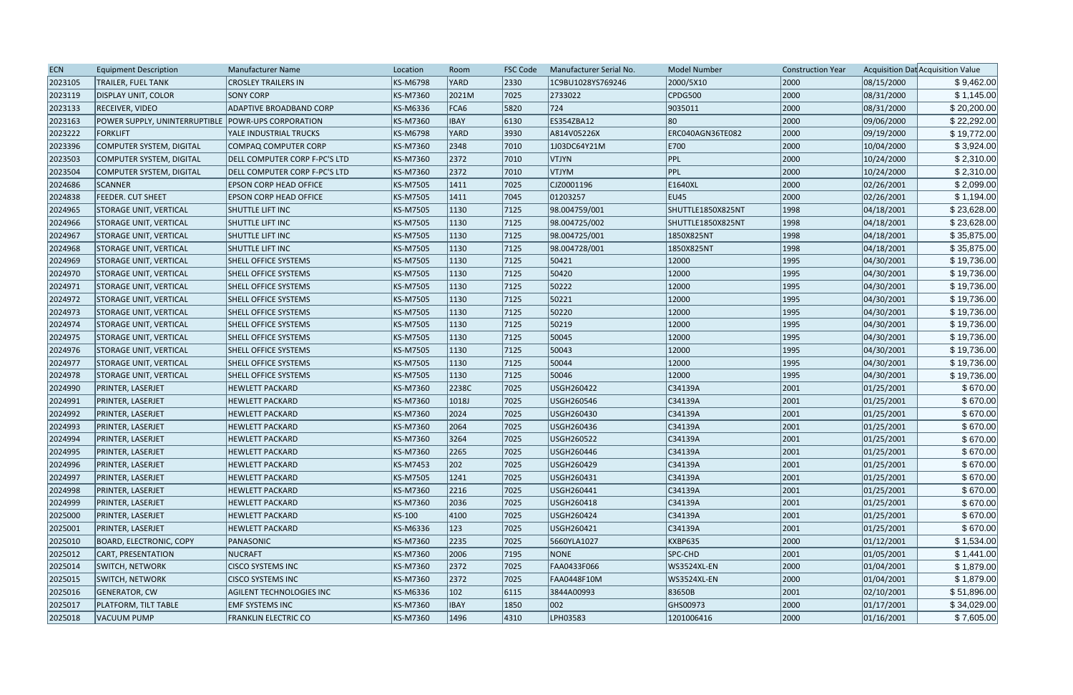| <b>ECN</b> | <b>Equipment Description</b>                         | <b>Manufacturer Name</b>      | Location        | Room           | <b>FSC Code</b> | Manufacturer Serial No. | <b>Model Number</b> | <b>Construction Year</b> |            | Acquisition Dat Acquisition Value |
|------------|------------------------------------------------------|-------------------------------|-----------------|----------------|-----------------|-------------------------|---------------------|--------------------------|------------|-----------------------------------|
| 2023105    | <b>TRAILER, FUEL TANK</b>                            | <b>CROSLEY TRAILERS IN</b>    | KS-M6798        | YARD           | 2330            | 1C9BU1028YS769246       | 2000/5X10           | 2000                     | 08/15/2000 | \$9,462.00                        |
| 2023119    | <b>DISPLAY UNIT, COLOR</b>                           | <b>SONY CORP</b>              | KS-M7360        | 2021M          | 7025            | 2733022                 | CPDG500             | 2000                     | 08/31/2000 | \$1,145.00                        |
| 2023133    | <b>RECEIVER, VIDEO</b>                               | ADAPTIVE BROADBAND CORP       | KS-M6336        | FCA6           | 5820            | 724                     | 9035011             | 2000                     | 08/31/2000 | \$20,200.00                       |
| 2023163    | POWER SUPPLY, UNINTERRUPTIBLE   POWR-UPS CORPORATION |                               | KS-M7360        | <b>IBAY</b>    | 6130            | ES354ZBA12              | 80                  | 2000                     | 09/06/2000 | \$22,292.00                       |
| 2023222    | FORKLIFT                                             | YALE INDUSTRIAL TRUCKS        | <b>KS-M6798</b> | YARD           | 3930            | A814V05226X             | ERC040AGN36TE082    | 2000                     | 09/19/2000 | \$19,772.00                       |
| 2023396    | COMPUTER SYSTEM, DIGITAL                             | COMPAQ COMPUTER CORP          | KS-M7360        | 2348           | 7010            | 1J03DC64Y21M            | E700                | 2000                     | 10/04/2000 | \$3,924.00                        |
| 2023503    | COMPUTER SYSTEM, DIGITAL                             | DELL COMPUTER CORP F-PC'S LTD | KS-M7360        | 2372           | 7010            | <b>VTJYN</b>            | PPL                 | 2000                     | 10/24/2000 | \$2,310.00                        |
| 2023504    | COMPUTER SYSTEM, DIGITAL                             | DELL COMPUTER CORP F-PC'S LTD | KS-M7360        | 2372           | 7010            | <b>VTJYM</b>            | PPL                 | 2000                     | 10/24/2000 | \$2,310.00                        |
| 2024686    | <b>SCANNER</b>                                       | EPSON CORP HEAD OFFICE        | KS-M7505        | 1411           | 7025            | CJZ0001196              | E1640XL             | 2000                     | 02/26/2001 | \$2,099.00                        |
| 2024838    | <b>FEEDER. CUT SHEET</b>                             | EPSON CORP HEAD OFFICE        | KS-M7505        | 1411           | 7045            | 01203257                | EU45                | 2000                     | 02/26/2001 | \$1,194.00                        |
| 2024965    | <b>STORAGE UNIT, VERTICAL</b>                        | SHUTTLE LIFT INC              | KS-M7505        | $ 1130\rangle$ | 7125            | 98.004759/001           | SHUTTLE1850X825NT   | 1998                     | 04/18/2001 | \$23,628.00                       |
| 2024966    | <b>STORAGE UNIT, VERTICAL</b>                        | SHUTTLE LIFT INC              | KS-M7505        | 1130           | 7125            | 98.004725/002           | SHUTTLE1850X825NT   | 1998                     | 04/18/2001 | \$23,628.00                       |
| 2024967    | STORAGE UNIT, VERTICAL                               | SHUTTLE LIFT INC              | KS-M7505        | 1130           | 7125            | 98.004725/001           | 1850X825NT          | 1998                     | 04/18/2001 | \$35,875.00                       |
| 2024968    | STORAGE UNIT, VERTICAL                               | <b>SHUTTLE LIFT INC</b>       | KS-M7505        | 1130           | 7125            | 98.004728/001           | 1850X825NT          | 1998                     | 04/18/2001 | \$35,875.00                       |
| 2024969    | <b>STORAGE UNIT, VERTICAL</b>                        | <b>SHELL OFFICE SYSTEMS</b>   | KS-M7505        | $ 1130\rangle$ | 7125            | 50421                   | 12000               | 1995                     | 04/30/2001 | \$19,736.00                       |
| 2024970    | <b>STORAGE UNIT, VERTICAL</b>                        | <b>SHELL OFFICE SYSTEMS</b>   | KS-M7505        | 1130           | 7125            | 50420                   | 12000               | 1995                     | 04/30/2001 | \$19,736.00                       |
| 2024971    | <b>STORAGE UNIT, VERTICAL</b>                        | <b>SHELL OFFICE SYSTEMS</b>   | KS-M7505        | $ 1130\rangle$ | 7125            | 50222                   | 12000               | 1995                     | 04/30/2001 | \$19,736.00                       |
| 2024972    | <b>STORAGE UNIT, VERTICAL</b>                        | <b>SHELL OFFICE SYSTEMS</b>   | KS-M7505        | $ 1130\rangle$ | 7125            | 50221                   | 12000               | 1995                     | 04/30/2001 | \$19,736.00                       |
| 2024973    | STORAGE UNIT, VERTICAL                               | SHELL OFFICE SYSTEMS          | KS-M7505        | 1130           | 7125            | 50220                   | 12000               | 1995                     | 04/30/2001 | \$19,736.00                       |
| 2024974    | STORAGE UNIT, VERTICAL                               | <b>SHELL OFFICE SYSTEMS</b>   | KS-M7505        | 1130           | 7125            | 50219                   | 12000               | 1995                     | 04/30/2001 | \$19,736.00                       |
| 2024975    | <b>STORAGE UNIT, VERTICAL</b>                        | SHELL OFFICE SYSTEMS          | KS-M7505        | 1130           | 7125            | 50045                   | 12000               | 1995                     | 04/30/2001 | \$19,736.00                       |
| 2024976    | <b>STORAGE UNIT, VERTICAL</b>                        | <b>SHELL OFFICE SYSTEMS</b>   | KS-M7505        | 1130           | 7125            | 50043                   | 12000               | 1995                     | 04/30/2001 | \$19,736.00                       |
| 2024977    | <b>STORAGE UNIT, VERTICAL</b>                        | <b>SHELL OFFICE SYSTEMS</b>   | KS-M7505        | $ 1130\rangle$ | 7125            | 50044                   | 12000               | 1995                     | 04/30/2001 | \$19,736.00                       |
| 2024978    | STORAGE UNIT, VERTICAL                               | SHELL OFFICE SYSTEMS          | KS-M7505        | $ 1130\rangle$ | 7125            | 50046                   | 12000               | 1995                     | 04/30/2001 | \$19,736.00                       |
| 2024990    | <b>PRINTER, LASERJET</b>                             | <b>HEWLETT PACKARD</b>        | KS-M7360        | 2238C          | 7025            | <b>USGH260422</b>       | C34139A             | 2001                     | 01/25/2001 | \$670.00                          |
| 2024991    | <b>PRINTER, LASERJET</b>                             | <b>HEWLETT PACKARD</b>        | KS-M7360        | <b>1018J</b>   | 7025            | <b>USGH260546</b>       | C34139A             | 2001                     | 01/25/2001 | \$670.00                          |
| 2024992    | PRINTER, LASERJET                                    | <b>HEWLETT PACKARD</b>        | KS-M7360        | 2024           | 7025            | <b>USGH260430</b>       | C34139A             | 2001                     | 01/25/2001 | \$670.00                          |
| 2024993    | <b>PRINTER, LASERJET</b>                             | <b>HEWLETT PACKARD</b>        | KS-M7360        | 2064           | 7025            | USGH260436              | C34139A             | 2001                     | 01/25/2001 | \$670.00                          |
| 2024994    | <b>PRINTER, LASERJET</b>                             | <b>HEWLETT PACKARD</b>        | KS-M7360        | 3264           | 7025            | USGH260522              | C34139A             | 2001                     | 01/25/2001 | \$670.00                          |
| 2024995    | <b>PRINTER, LASERJET</b>                             | <b>HEWLETT PACKARD</b>        | KS-M7360        | 2265           | 7025            | USGH260446              | C34139A             | 2001                     | 01/25/2001 | \$670.00                          |
| 2024996    | <b>PRINTER, LASERJET</b>                             | <b>HEWLETT PACKARD</b>        | KS-M7453        | 202            | 7025            | USGH260429              | C34139A             | 2001                     | 01/25/2001 | \$670.00                          |
| 2024997    | PRINTER, LASERJET                                    | <b>HEWLETT PACKARD</b>        | KS-M7505        | 1241           | 7025            | USGH260431              | C34139A             | 2001                     | 01/25/2001 | \$670.00                          |
| 2024998    | <b>PRINTER, LASERJET</b>                             | <b>HEWLETT PACKARD</b>        | KS-M7360        | 2216           | 7025            | USGH260441              | C34139A             | 2001                     | 01/25/2001 | \$670.00                          |
| 2024999    | <b>PRINTER, LASERJET</b>                             | <b>HEWLETT PACKARD</b>        | KS-M7360        | 2036           | 7025            | USGH260418              | C34139A             | 2001                     | 01/25/2001 | \$670.00                          |
| 2025000    | <b>PRINTER, LASERJET</b>                             | <b>HEWLETT PACKARD</b>        | KS-100          | 4100           | 7025            | USGH260424              | C34139A             | 2001                     | 01/25/2001 | \$670.00                          |
| 2025001    | <b>PRINTER, LASERJET</b>                             | <b>HEWLETT PACKARD</b>        | KS-M6336        | $ 123\rangle$  | 7025            | USGH260421              | C34139A             | 2001                     | 01/25/2001 | \$670.00                          |
| 2025010    | BOARD, ELECTRONIC, COPY                              | PANASONIC                     | KS-M7360        | 2235           | 7025            | 5660YLA1027             | <b>KXBP635</b>      | 2000                     | 01/12/2001 | \$1,534.00                        |
| 2025012    | CART, PRESENTATION                                   | <b>NUCRAFT</b>                | KS-M7360        | 2006           | 7195            | <b>NONE</b>             | SPC-CHD             | 2001                     | 01/05/2001 | \$1,441.00                        |
| 2025014    | <b>SWITCH, NETWORK</b>                               | <b>CISCO SYSTEMS INC</b>      | KS-M7360        | 2372           | 7025            | FAA0433F066             | WS3524XL-EN         | 2000                     | 01/04/2001 | \$1,879.00                        |
| 2025015    | <b>SWITCH, NETWORK</b>                               | <b>CISCO SYSTEMS INC</b>      | KS-M7360        | 2372           | 7025            | FAA0448F10M             | WS3524XL-EN         | 2000                     | 01/04/2001 | \$1,879.00                        |
| 2025016    | GENERATOR, CW                                        | AGILENT TECHNOLOGIES INC      | KS-M6336        | $ 102\rangle$  | 6115            | 3844A00993              | 83650B              | 2001                     | 02/10/2001 | \$51,896.00                       |
| 2025017    | PLATFORM, TILT TABLE                                 | <b>EMF SYSTEMS INC</b>        | KS-M7360        | <b>IBAY</b>    | 1850            | $ 002\rangle$           | GHS00973            | 2000                     | 01/17/2001 | \$34,029.00                       |
| 2025018    | VACUUM PUMP                                          | <b>FRANKLIN ELECTRIC CO</b>   | KS-M7360        | 1496           | $ 4310\rangle$  | LPH03583                | 1201006416          | 2000                     | 01/16/2001 | \$7,605.00                        |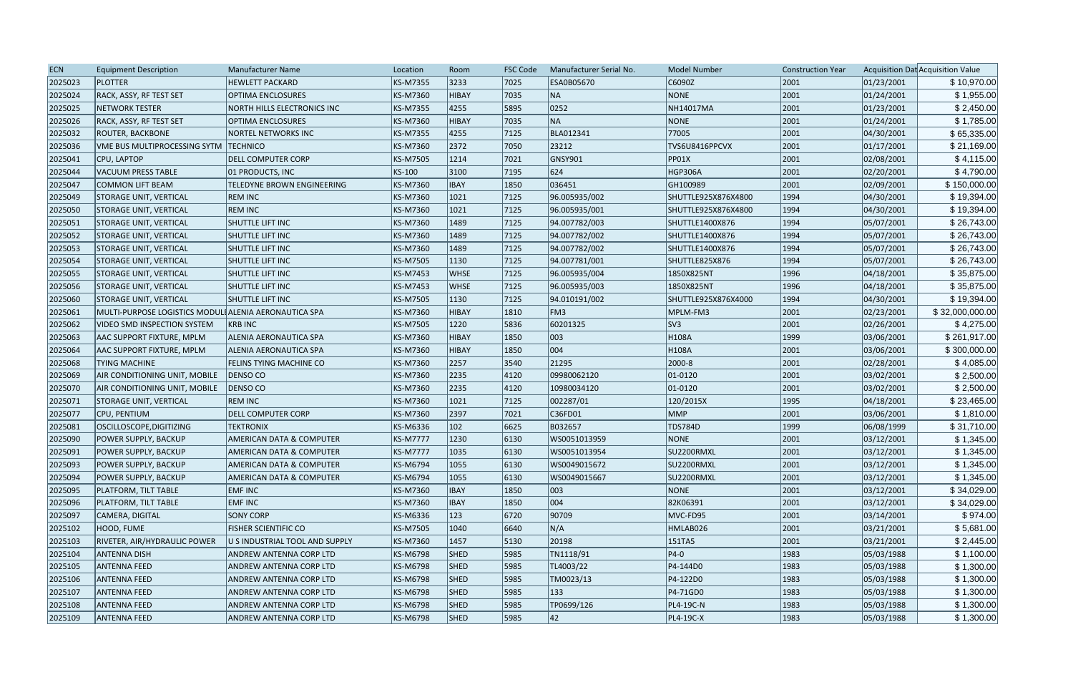| <b>ECN</b> | <b>Equipment Description</b>                          | <b>Manufacturer Name</b>            | Location        | Room        | <b>FSC Code</b> | Manufacturer Serial No. | <b>Model Number</b> | <b>Construction Year</b> |            | Acquisition Dat Acquisition Value |
|------------|-------------------------------------------------------|-------------------------------------|-----------------|-------------|-----------------|-------------------------|---------------------|--------------------------|------------|-----------------------------------|
| 2025023    | <b>PLOTTER</b>                                        | <b>HEWLETT PACKARD</b>              | <b>KS-M7355</b> | 3233        | 7025            | ESA0B05670              | C6090Z              | 2001                     | 01/23/2001 | \$10,970.00                       |
| 2025024    | RACK, ASSY, RF TEST SET                               | <b>OPTIMA ENCLOSURES</b>            | <b>KS-M7360</b> | HIBAY       | 7035            | NA                      | NONE                | 2001                     | 01/24/2001 | \$1,955.00                        |
| 2025025    | <b>NETWORK TESTER</b>                                 | NORTH HILLS ELECTRONICS INC         | <b>KS-M7355</b> | 4255        | 5895            | 0252                    | NH14017MA           | 2001                     | 01/23/2001 | \$2,450.00                        |
| 2025026    | RACK, ASSY, RF TEST SET                               | <b>OPTIMA ENCLOSURES</b>            | <b>KS-M7360</b> | HIBAY       | 7035            | NA                      | <b>NONE</b>         | 2001                     | 01/24/2001 | \$1,785.00                        |
| 2025032    | <b>ROUTER, BACKBONE</b>                               | <b>NORTEL NETWORKS INC</b>          | <b>KS-M7355</b> | 4255        | 7125            | BLA012341               | 77005               | 2001                     | 04/30/2001 | \$65,335.00                       |
| 2025036    | VME BUS MULTIPROCESSING SYTM                          | <b>TECHNICO</b>                     | KS-M7360        | 2372        | 7050            | 23212                   | TVS6U8416PPCVX      | 2001                     | 01/17/2001 | \$21,169.00                       |
| 2025041    | CPU, LAPTOP                                           | DELL COMPUTER CORP                  | KS-M7505        | 1214        | 7021            | GNSY901                 | PP01X               | 2001                     | 02/08/2001 | \$4,115.00                        |
| 2025044    | VACUUM PRESS TABLE                                    | 01 PRODUCTS, INC                    | KS-100          | 3100        | 7195            | 624                     | HGP306A             | 2001                     | 02/20/2001 | \$4,790.00                        |
| 2025047    | COMMON LIFT BEAM                                      | <b>TELEDYNE BROWN ENGINEERING</b>   | <b>KS-M7360</b> | <b>IBAY</b> | 1850            | 036451                  | GH100989            | 2001                     | 02/09/2001 | \$150,000.00                      |
| 2025049    | <b>STORAGE UNIT, VERTICAL</b>                         | <b>REM INC</b>                      | <b>KS-M7360</b> | 1021        | 7125            | 96.005935/002           | SHUTTLE925X876X4800 | 1994                     | 04/30/2001 | \$19,394.00                       |
| 2025050    | <b>STORAGE UNIT, VERTICAL</b>                         | <b>REM INC</b>                      | <b>KS-M7360</b> | 1021        | 7125            | 96.005935/001           | SHUTTLE925X876X4800 | 1994                     | 04/30/2001 | \$19,394.00                       |
| 2025051    | <b>STORAGE UNIT, VERTICAL</b>                         | SHUTTLE LIFT INC                    | KS-M7360        | 1489        | 7125            | 94.007782/003           | SHUTTLE1400X876     | 1994                     | 05/07/2001 | \$26,743.00                       |
| 2025052    | <b>STORAGE UNIT, VERTICAL</b>                         | SHUTTLE LIFT INC                    | KS-M7360        | 1489        | 7125            | 94.007782/002           | SHUTTLE1400X876     | 1994                     | 05/07/2001 | \$26,743.00                       |
| 2025053    | <b>STORAGE UNIT, VERTICAL</b>                         | SHUTTLE LIFT INC                    | <b>KS-M7360</b> | 1489        | 7125            | 94.007782/002           | SHUTTLE1400X876     | 1994                     | 05/07/2001 | \$26,743.00                       |
| 2025054    | <b>STORAGE UNIT, VERTICAL</b>                         | <b>SHUTTLE LIFT INC</b>             | <b>KS-M7505</b> | 1130        | 7125            | 94.007781/001           | SHUTTLE825X876      | 1994                     | 05/07/2001 | \$26,743.00                       |
| 2025055    | <b>STORAGE UNIT, VERTICAL</b>                         | SHUTTLE LIFT INC                    | <b>KS-M7453</b> | <b>WHSE</b> | 7125            | 96.005935/004           | 1850X825NT          | 1996                     | 04/18/2001 | \$35,875.00                       |
| 2025056    | STORAGE UNIT, VERTICAL                                | <b>SHUTTLE LIFT INC</b>             | KS-M7453        | <b>WHSE</b> | 7125            | 96.005935/003           | 1850X825NT          | 1996                     | 04/18/2001 | \$35,875.00                       |
| 2025060    | <b>STORAGE UNIT, VERTICAL</b>                         | <b>SHUTTLE LIFT INC</b>             | <b>KS-M7505</b> | 1130        | 7125            | 94.010191/002           | SHUTTLE925X876X4000 | 1994                     | 04/30/2001 | \$19,394.00                       |
| 2025061    | MULTI-PURPOSE LOGISTICS MODULI ALENIA AERONAUTICA SPA |                                     | KS-M7360        | HIBAY       | 1810            | FM3                     | MPLM-FM3            | 2001                     | 02/23/2001 | \$32,000,000.00                   |
| 2025062    | VIDEO SMD INSPECTION SYSTEM                           | <b>KRB INC</b>                      | <b>KS-M7505</b> | 1220        | 5836            | 60201325                | SV3                 | 2001                     | 02/26/2001 | \$4,275.00                        |
| 2025063    | AAC SUPPORT FIXTURE, MPLM                             | ALENIA AERONAUTICA SPA              | <b>KS-M7360</b> | HIBAY       | 1850            | 003                     | H <sub>108</sub> A  | 1999                     | 03/06/2001 | \$261,917.00                      |
| 2025064    | <b>AAC SUPPORT FIXTURE, MPLM</b>                      | ALENIA AERONAUTICA SPA              | <b>KS-M7360</b> | HIBAY       | 1850            | 004                     | H108A               | 2001                     | 03/06/2001 | \$300,000.00                      |
| 2025068    | <b>TYING MACHINE</b>                                  | FELINS TYING MACHINE CO             | <b>KS-M7360</b> | 2257        | 3540            | 21295                   | 2000-8              | 2001                     | 02/28/2001 | \$4,085.00                        |
| 2025069    | AIR CONDITIONING UNIT, MOBILE                         | DENSO CO                            | <b>KS-M7360</b> | 2235        | 4120            | 09980062120             | $ 01 - 0120 $       | 2001                     | 03/02/2001 | \$2,500.00                        |
| 2025070    | AIR CONDITIONING UNIT, MOBILE                         | DENSO CO                            | <b>KS-M7360</b> | 2235        | 4120            | 10980034120             | $ 01 - 0120 $       | 2001                     | 03/02/2001 | \$2,500.00                        |
| 2025071    | <b>STORAGE UNIT, VERTICAL</b>                         | <b>REM INC</b>                      | <b>KS-M7360</b> | 1021        | 7125            | 002287/01               | 120/2015X           | 1995                     | 04/18/2001 | \$23,465.00                       |
| 2025077    | CPU, PENTIUM                                          | <b>DELL COMPUTER CORP</b>           | <b>KS-M7360</b> | 2397        | 7021            | C36FD01                 | <b>MMP</b>          | 2001                     | 03/06/2001 | \$1,810.00                        |
| 2025081    | OSCILLOSCOPE, DIGITIZING                              | <b>TEKTRONIX</b>                    | KS-M6336        | 102         | 6625            | B032657                 | <b>TDS784D</b>      | 1999                     | 06/08/1999 | \$31,710.00                       |
| 2025090    | <b>POWER SUPPLY, BACKUP</b>                           | <b>AMERICAN DATA &amp; COMPUTER</b> | <b>KS-M7777</b> | 1230        | 6130            | WS0051013959            | NONE                | 2001                     | 03/12/2001 | \$1,345.00                        |
| 2025091    | <b>POWER SUPPLY, BACKUP</b>                           | AMERICAN DATA & COMPUTER            | <b>KS-M7777</b> | 1035        | 6130            | WS0051013954            | SU2200RMXL          | 2001                     | 03/12/2001 | \$1,345.00                        |
| 2025093    | <b>POWER SUPPLY, BACKUP</b>                           | AMERICAN DATA & COMPUTER            | <b>KS-M6794</b> | 1055        | 6130            | WS0049015672            | SU2200RMXL          | 2001                     | 03/12/2001 | \$1,345.00                        |
| 2025094    | <b>POWER SUPPLY, BACKUP</b>                           | AMERICAN DATA & COMPUTER            | <b>KS-M6794</b> | 1055        | 6130            | WS0049015667            | SU2200RMXL          | 2001                     | 03/12/2001 | \$1,345.00                        |
| 2025095    | PLATFORM, TILT TABLE                                  | <b>EMF INC</b>                      | <b>KS-M7360</b> | <b>IBAY</b> | 1850            | 003                     | NONE                | 2001                     | 03/12/2001 | \$34,029.00                       |
| 2025096    | <b>PLATFORM, TILT TABLE</b>                           | <b>EMF INC</b>                      | <b>KS-M7360</b> | <b>IBAY</b> | 1850            | 004                     | 82K06391            | 2001                     | 03/12/2001 | \$34,029.00                       |
| 2025097    | CAMERA, DIGITAL                                       | <b>SONY CORP</b>                    | KS-M6336        | 123         | 6720            | 90709                   | MVC-FD95            | 2001                     | 03/14/2001 | \$974.00                          |
| 2025102    | HOOD, FUME                                            | <b>FISHER SCIENTIFIC CO</b>         | <b>KS-M7505</b> | 1040        | 6640            | N/A                     | HMLAB026            | 2001                     | 03/21/2001 | \$5,681.00                        |
| 2025103    | RIVETER, AIR/HYDRAULIC POWER                          | U S INDUSTRIAL TOOL AND SUPPLY      | <b>KS-M7360</b> | 1457        | 5130            | 20198                   | 151TA5              | 2001                     | 03/21/2001 | \$2,445.00                        |
| 2025104    | <b>ANTENNA DISH</b>                                   | ANDREW ANTENNA CORP LTD             | <b>KS-M6798</b> | <b>SHED</b> | 5985            | TN1118/91               | $ P4-0 $            | 1983                     | 05/03/1988 | \$1,100.00                        |
| 2025105    | <b>ANTENNA FEED</b>                                   | ANDREW ANTENNA CORP LTD             | <b>KS-M6798</b> | <b>SHED</b> | 5985            | TL4003/22               | P4-144D0            | 1983                     | 05/03/1988 | \$1,300.00                        |
| 2025106    | <b>ANTENNA FEED</b>                                   | ANDREW ANTENNA CORP LTD             | <b>KS-M6798</b> | <b>SHED</b> | 5985            | TM0023/13               | P4-122D0            | 1983                     | 05/03/1988 | \$1,300.00                        |
| 2025107    | <b>ANTENNA FEED</b>                                   | ANDREW ANTENNA CORP LTD             | <b>KS-M6798</b> | <b>SHED</b> | 5985            | 133                     | P4-71GD0            | 1983                     | 05/03/1988 | \$1,300.00                        |
| 2025108    | <b>ANTENNA FEED</b>                                   | ANDREW ANTENNA CORP LTD             | <b>KS-M6798</b> | <b>SHED</b> | 5985            | TP0699/126              | PL4-19C-N           | 1983                     | 05/03/1988 | \$1,300.00                        |
| 2025109    | <b>ANTENNA FEED</b>                                   | ANDREW ANTENNA CORP LTD             | <b>KS-M6798</b> | <b>SHED</b> | 5985            | 42                      | PL4-19C-X           | 1983                     | 05/03/1988 | \$1,300.00                        |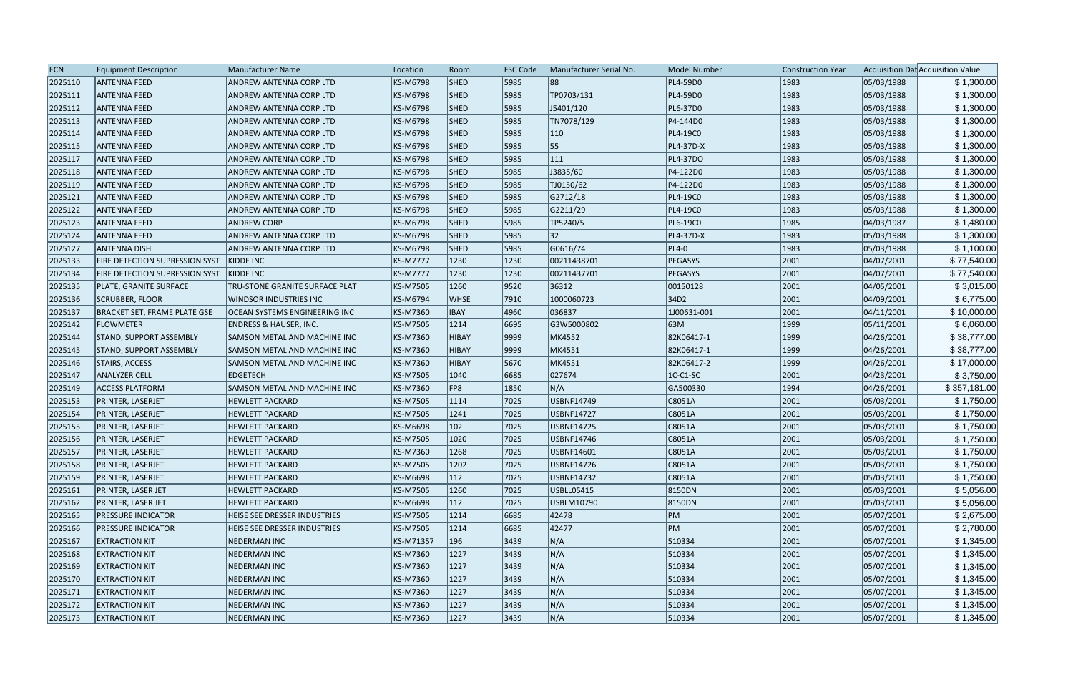| <b>ECN</b> | <b>Equipment Description</b>        | <b>Manufacturer Name</b>              | Location        | Room          | <b>FSC Code</b> | Manufacturer Serial No. | Model Number     | <b>Construction Year</b> |            | Acquisition Dat Acquisition Value |
|------------|-------------------------------------|---------------------------------------|-----------------|---------------|-----------------|-------------------------|------------------|--------------------------|------------|-----------------------------------|
| 2025110    | <b>ANTENNA FEED</b>                 | ANDREW ANTENNA CORP LTD               | KS-M6798        | <b>SHED</b>   | 5985            | 88                      | PL4-59D0         | 1983                     | 05/03/1988 | \$1,300.00                        |
| 2025111    | <b>ANTENNA FEED</b>                 | ANDREW ANTENNA CORP LTD               | KS-M6798        | <b>SHED</b>   | 5985            | TP0703/131              | PL4-59D0         | 1983                     | 05/03/1988 | \$1,300.00                        |
| 2025112    | <b>ANTENNA FEED</b>                 | <b>ANDREW ANTENNA CORP LTD</b>        | KS-M6798        | SHED          | 5985            | J5401/120               | PL6-37D0         | 1983                     | 05/03/1988 | \$1,300.00                        |
| 2025113    | <b>ANTENNA FEED</b>                 | ANDREW ANTENNA CORP LTD               | KS-M6798        | <b>SHED</b>   | 5985            | TN7078/129              | P4-144D0         | 1983                     | 05/03/1988 | \$1,300.00                        |
| 2025114    | <b>ANTENNA FEED</b>                 | ANDREW ANTENNA CORP LTD               | KS-M6798        | <b>SHED</b>   | 5985            | $ 110\rangle$           | PL4-19C0         | 1983                     | 05/03/1988 | \$1,300.00                        |
| 2025115    | <b>ANTENNA FEED</b>                 | <b>ANDREW ANTENNA CORP LTD</b>        | KS-M6798        | <b>SHED</b>   | 5985            | 55                      | PL4-37D-X        | 1983                     | 05/03/1988 | \$1,300.00                        |
| 2025117    | <b>ANTENNA FEED</b>                 | ANDREW ANTENNA CORP LTD               | KS-M6798        | SHED          | 5985            | 111                     | PL4-37DO         | 1983                     | 05/03/1988 | \$1,300.00                        |
| 2025118    | <b>ANTENNA FEED</b>                 | ANDREW ANTENNA CORP LTD               | KS-M6798        | <b>SHED</b>   | 5985            | J3835/60                | P4-122D0         | 1983                     | 05/03/1988 | \$1,300.00                        |
| 2025119    | <b>ANTENNA FEED</b>                 | <b>ANDREW ANTENNA CORP LTD</b>        | KS-M6798        | <b>SHED</b>   | 5985            | TJ0150/62               | P4-122D0         | 1983                     | 05/03/1988 | \$1,300.00                        |
| 2025121    | <b>ANTENNA FEED</b>                 | ANDREW ANTENNA CORP LTD               | KS-M6798        | <b>SHED</b>   | 5985            | G2712/18                | PL4-19C0         | 1983                     | 05/03/1988 | \$1,300.00                        |
| 2025122    | <b>ANTENNA FEED</b>                 | ANDREW ANTENNA CORP LTD               | KS-M6798        | <b>SHED</b>   | 5985            | G2211/29                | PL4-19C0         | 1983                     | 05/03/1988 | \$1,300.00                        |
| 2025123    | <b>ANTENNA FEED</b>                 | <b>ANDREW CORP</b>                    | KS-M6798        | <b>SHED</b>   | 5985            | TP5240/5                | PL6-19C0         | 1985                     | 04/03/1987 | \$1,480.00                        |
| 2025124    | <b>ANTENNA FEED</b>                 | ANDREW ANTENNA CORP LTD               | KS-M6798        | <b>SHED</b>   | 5985            | 32                      | PL4-37D-X        | 1983                     | 05/03/1988 | \$1,300.00                        |
| 2025127    | <b>ANTENNA DISH</b>                 | ANDREW ANTENNA CORP LTD               | KS-M6798        | <b>SHED</b>   | 5985            | G0616/74                | $PL4-0$          | 1983                     | 05/03/1988 | \$1,100.00                        |
| 2025133    | FIRE DETECTION SUPRESSION SYST      | KIDDE INC                             | <b>KS-M7777</b> | 1230          | 1230            | 00211438701             | PEGASYS          | 2001                     | 04/07/2001 | \$77,540.00                       |
| 2025134    | FIRE DETECTION SUPRESSION SYST      | KIDDE INC                             | <b>KS-M7777</b> | 1230          | 1230            | 00211437701             | PEGASYS          | 2001                     | 04/07/2001 | \$77,540.00                       |
| 2025135    | PLATE, GRANITE SURFACE              | <b>TRU-STONE GRANITE SURFACE PLAT</b> | KS-M7505        | 1260          | 9520            | 36312                   | 00150128         | 2001                     | 04/05/2001 | \$3,015.00                        |
| 2025136    | <b>SCRUBBER, FLOOR</b>              | <b>WINDSOR INDUSTRIES INC</b>         | KS-M6794        | <b>WHSE</b>   | 7910            | 1000060723              | 34D <sub>2</sub> | 2001                     | 04/09/2001 | \$6,775.00                        |
| 2025137    | <b>BRACKET SET, FRAME PLATE GSE</b> | OCEAN SYSTEMS ENGINEERING INC         | KS-M7360        | <b>IBAY</b>   | 4960            | 036837                  | 1J00631-001      | 2001                     | 04/11/2001 | \$10,000.00                       |
| 2025142    | <b>FLOWMETER</b>                    | <b>ENDRESS &amp; HAUSER, INC.</b>     | KS-M7505        | 1214          | 6695            | G3W5000802              | 63M              | 1999                     | 05/11/2001 | \$6,060.00                        |
| 2025144    | <b>STAND, SUPPORT ASSEMBLY</b>      | SAMSON METAL AND MACHINE INC          | KS-M7360        | HIBAY         | 9999            | MK4552                  | 82K06417-1       | 1999                     | 04/26/2001 | \$38,777.00                       |
| 2025145    | <b>STAND, SUPPORT ASSEMBLY</b>      | SAMSON METAL AND MACHINE INC          | KS-M7360        | <b>HIBAY</b>  | 9999            | MK4551                  | 82K06417-1       | 1999                     | 04/26/2001 | \$38,777.00                       |
| 2025146    | <b>STAIRS, ACCESS</b>               | SAMSON METAL AND MACHINE INC          | KS-M7360        | <b>HIBAY</b>  | 5670            | MK4551                  | 82K06417-2       | 1999                     | 04/26/2001 | \$17,000.00                       |
| 2025147    | <b>ANALYZER CELL</b>                | <b>EDGETECH</b>                       | KS-M7505        | 1040          | 6685            | 027674                  | $ 1C-C1-SC $     | 2001                     | 04/23/2001 | \$3,750.00                        |
| 2025149    | <b>ACCESS PLATFORM</b>              | SAMSON METAL AND MACHINE INC          | KS-M7360        | FP8           | 1850            | N/A                     | GA500330         | 1994                     | 04/26/2001 | \$357,181.00                      |
| 2025153    | PRINTER, LASERJET                   | <b>HEWLETT PACKARD</b>                | KS-M7505        | 1114          | 7025            | USBNF14749              | C8051A           | 2001                     | 05/03/2001 | \$1,750.00                        |
| 2025154    | PRINTER, LASERJET                   | <b>HEWLETT PACKARD</b>                | KS-M7505        | 1241          | 7025            | USBNF14727              | C8051A           | 2001                     | 05/03/2001 | \$1,750.00                        |
| 2025155    | PRINTER, LASERJET                   | <b>HEWLETT PACKARD</b>                | KS-M6698        | 102           | 7025            | USBNF14725              | C8051A           | 2001                     | 05/03/2001 | \$1,750.00                        |
| 2025156    | <b>PRINTER, LASERJET</b>            | <b>HEWLETT PACKARD</b>                | KS-M7505        | 1020          | 7025            | <b>USBNF14746</b>       | C8051A           | 2001                     | 05/03/2001 | \$1,750.00                        |
| 2025157    | <b>PRINTER, LASERJET</b>            | <b>HEWLETT PACKARD</b>                | KS-M7360        | 1268          | 7025            | USBNF14601              | C8051A           | 2001                     | 05/03/2001 | \$1,750.00                        |
| 2025158    | <b>PRINTER, LASERJET</b>            | <b>HEWLETT PACKARD</b>                | KS-M7505        | 1202          | 7025            | USBNF14726              | C8051A           | 2001                     | 05/03/2001 | \$1,750.00                        |
| 2025159    | PRINTER, LASERJET                   | <b>HEWLETT PACKARD</b>                | KS-M6698        | 112           | 7025            | USBNF14732              | C8051A           | 2001                     | 05/03/2001 | \$1,750.00                        |
| 2025161    | PRINTER, LASER JET                  | <b>HEWLETT PACKARD</b>                | KS-M7505        | 1260          | 7025            | USBLL05415              | 8150DN           | 2001                     | 05/03/2001 | \$5,056.00                        |
| 2025162    | <b>PRINTER, LASER JET</b>           | <b>HEWLETT PACKARD</b>                | KS-M6698        | $ 112\rangle$ | 7025            | USBLM10790              | 8150DN           | 2001                     | 05/03/2001 | \$5,056.00                        |
| 2025165    | <b>PRESSURE INDICATOR</b>           | HEISE SEE DRESSER INDUSTRIES          | KS-M7505        | 1214          | 6685            | 42478                   | PM               | 2001                     | 05/07/2001 | \$2,675.00                        |
| 2025166    | <b>PRESSURE INDICATOR</b>           | HEISE SEE DRESSER INDUSTRIES          | KS-M7505        | 1214          | 6685            | 42477                   | PM               | 2001                     | 05/07/2001 | \$2,780.00                        |
| 2025167    | <b>EXTRACTION KIT</b>               | NEDERMAN INC                          | KS-M71357       | 196           | $ 3439\rangle$  | N/A                     | 510334           | 2001                     | 05/07/2001 | \$1,345.00                        |
| 2025168    | <b>EXTRACTION KIT</b>               | <b>NEDERMAN INC</b>                   | KS-M7360        | 1227          | $ 3439\rangle$  | N/A                     | 510334           | 2001                     | 05/07/2001 | \$1,345.00                        |
| 2025169    | <b>EXTRACTION KIT</b>               | <b>NEDERMAN INC</b>                   | KS-M7360        | 1227          | $ 3439\rangle$  | N/A                     | 510334           | 2001                     | 05/07/2001 | \$1,345.00                        |
| 2025170    | <b>EXTRACTION KIT</b>               | <b>NEDERMAN INC</b>                   | KS-M7360        | 1227          | $ 3439\rangle$  | N/A                     | 510334           | 2001                     | 05/07/2001 | \$1,345.00                        |
| 2025171    | <b>EXTRACTION KIT</b>               | <b>NEDERMAN INC</b>                   | KS-M7360        | 1227          | $ 3439\rangle$  | N/A                     | 510334           | 2001                     | 05/07/2001 | \$1,345.00                        |
| 2025172    | <b>EXTRACTION KIT</b>               | NEDERMAN INC                          | KS-M7360        | 1227          | $ 3439\rangle$  | N/A                     | 510334           | 2001                     | 05/07/2001 | \$1,345.00                        |
| 2025173    | <b>EXTRACTION KIT</b>               | <b>NEDERMAN INC</b>                   | KS-M7360        | 1227          | 3439            | N/A                     | 510334           | 2001                     | 05/07/2001 | \$1,345.00                        |
|            |                                     |                                       |                 |               |                 |                         |                  |                          |            |                                   |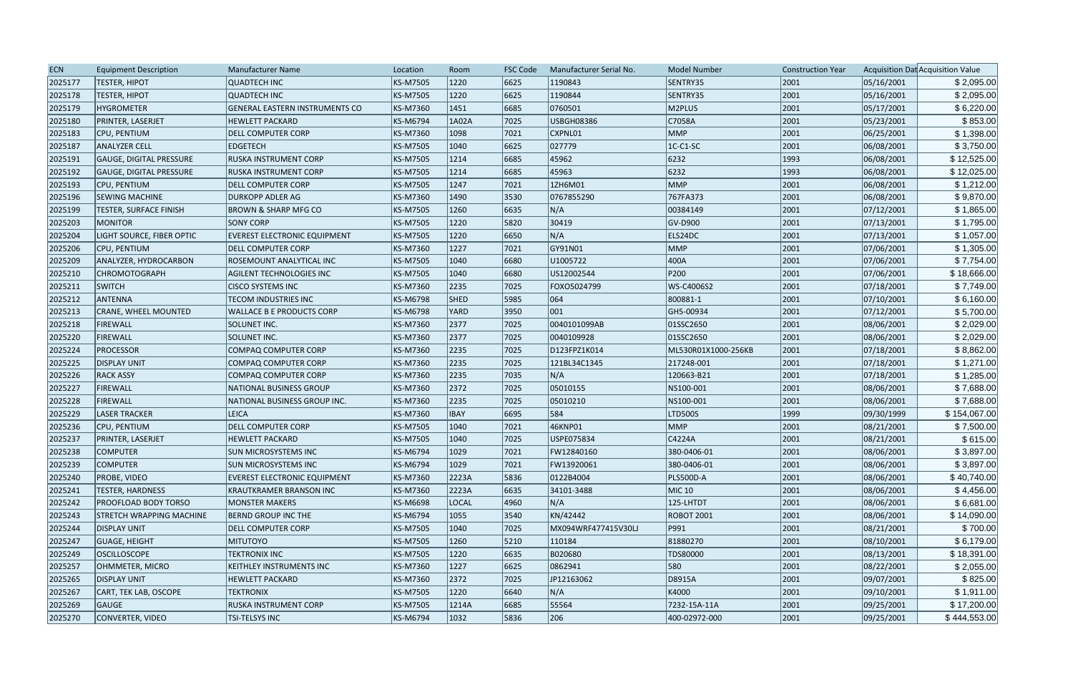| <b>ECN</b> | <b>Equipment Description</b>    | Manufacturer Name                     | Location        | Room        | <b>FSC Code</b> | Manufacturer Serial No. | <b>Model Number</b> | <b>Construction Year</b> |            | Acquisition Dat Acquisition Value |
|------------|---------------------------------|---------------------------------------|-----------------|-------------|-----------------|-------------------------|---------------------|--------------------------|------------|-----------------------------------|
| 2025177    | <b>TESTER, HIPOT</b>            | <b>QUADTECH INC</b>                   | <b>KS-M7505</b> | 1220        | 6625            | 1190843                 | SENTRY35            | 2001                     | 05/16/2001 | \$2,095.00                        |
| 2025178    | <b>TESTER, HIPOT</b>            | <b>QUADTECH INC</b>                   | <b>KS-M7505</b> | 1220        | 6625            | 1190844                 | SENTRY35            | 2001                     | 05/16/2001 | \$2,095.00                        |
| 2025179    | <b>HYGROMETER</b>               | <b>GENERAL EASTERN INSTRUMENTS CO</b> | KS-M7360        | 1451        | 6685            | 0760501                 | M2PLUS              | 2001                     | 05/17/2001 | \$6,220.00                        |
| 2025180    | PRINTER, LASERJET               | <b>HEWLETT PACKARD</b>                | <b>KS-M6794</b> | 1A02A       | 7025            | USBGH08386              | C7058A              | 2001                     | 05/23/2001 | \$853.00                          |
| 2025183    | CPU, PENTIUM                    | DELL COMPUTER CORP                    | <b>KS-M7360</b> | 1098        | 7021            | CXPNL01                 | MMP                 | 2001                     | 06/25/2001 | \$1,398.00                        |
| 2025187    | <b>ANALYZER CELL</b>            | <b>EDGETECH</b>                       | <b>KS-M7505</b> | 1040        | 6625            | 027779                  | $IC-C1-SC$          | 2001                     | 06/08/2001 | \$3,750.00                        |
| 2025191    | GAUGE, DIGITAL PRESSURE         | RUSKA INSTRUMENT CORP                 | KS-M7505        | 1214        | 6685            | 45962                   | 6232                | 1993                     | 06/08/2001 | \$12,525.00                       |
| 2025192    | <b>GAUGE, DIGITAL PRESSURE</b>  | <b>RUSKA INSTRUMENT CORP</b>          | <b>KS-M7505</b> | 1214        | 6685            | 45963                   | 6232                | 1993                     | 06/08/2001 | \$12,025.00                       |
| 2025193    | CPU, PENTIUM                    | <b>DELL COMPUTER CORP</b>             | <b>KS-M7505</b> | 1247        | 7021            | 1ZH6M01                 | MMP                 | 2001                     | 06/08/2001 | \$1,212.00                        |
| 2025196    | <b>SEWING MACHINE</b>           | <b>DURKOPP ADLER AG</b>               | <b>KS-M7360</b> | 1490        | 3530            | 0767855290              | 767FA373            | 2001                     | 06/08/2001 | \$9,870.00                        |
| 2025199    | <b>TESTER, SURFACE FINISH</b>   | <b>BROWN &amp; SHARP MFG CO</b>       | <b>KS-M7505</b> | 1260        | 6635            | N/A                     | 00384149            | 2001                     | 07/12/2001 | \$1,865.00                        |
| 2025203    | <b>MONITOR</b>                  | <b>SONY CORP</b>                      | <b>KS-M7505</b> | 1220        | 5820            | 30419                   | GV-D900             | 2001                     | 07/13/2001 | \$1,795.00                        |
| 2025204    | LIGHT SOURCE, FIBER OPTIC       | <b>EVEREST ELECTRONIC EQUIPMENT</b>   | <b>KS-M7505</b> | 1220        | 6650            | N/A                     | ELS24DC             | 2001                     | 07/13/2001 | \$1,057.00                        |
| 2025206    | CPU, PENTIUM                    | <b>DELL COMPUTER CORP</b>             | <b>KS-M7360</b> | 1227        | 7021            | GY91N01                 | MMP                 | 2001                     | 07/06/2001 | \$1,305.00                        |
| 2025209    | ANALYZER, HYDROCARBON           | ROSEMOUNT ANALYTICAL INC              | <b>KS-M7505</b> | 1040        | 6680            | U1005722                | 400A                | 2001                     | 07/06/2001 | \$7,754.00                        |
| 2025210    | <b>CHROMOTOGRAPH</b>            | AGILENT TECHNOLOGIES INC              | <b>KS-M7505</b> | 1040        | 6680            | US12002544              | P200                | 2001                     | 07/06/2001 | \$18,666.00                       |
| 2025211    | <b>SWITCH</b>                   | <b>CISCO SYSTEMS INC</b>              | <b>KS-M7360</b> | 2235        | 7025            | FOXO5024799             | WS-C4006S2          | 2001                     | 07/18/2001 | \$7,749.00                        |
| 2025212    | <b>ANTENNA</b>                  | <b>TECOM INDUSTRIES INC</b>           | <b>KS-M6798</b> | <b>SHED</b> | 5985            | 064                     | 800881-1            | 2001                     | 07/10/2001 | \$6,160.00                        |
| 2025213    | <b>CRANE, WHEEL MOUNTED</b>     | <b>WALLACE B E PRODUCTS CORP</b>      | KS-M6798        | YARD        | 3950            | 001                     | GH5-00934           | 2001                     | 07/12/2001 | \$5,700.00                        |
| 2025218    | <b>FIREWALL</b>                 | SOLUNET INC.                          | <b>KS-M7360</b> | 2377        | 7025            | 0040101099AB            | 01SSC2650           | 2001                     | 08/06/2001 | \$2,029.00                        |
| 2025220    | <b>FIREWALL</b>                 | SOLUNET INC.                          | <b>KS-M7360</b> | 2377        | 7025            | 0040109928              | 01SSC2650           | 2001                     | 08/06/2001 | \$2,029.00                        |
| 2025224    | <b>PROCESSOR</b>                | COMPAQ COMPUTER CORP                  | <b>KS-M7360</b> | 2235        | 7025            | D123FPZ1K014            | ML530R01X1000-256KB | 2001                     | 07/18/2001 | \$8,862.00                        |
| 2025225    | <b>DISPLAY UNIT</b>             | COMPAQ COMPUTER CORP                  | <b>KS-M7360</b> | 2235        | 7025            | 121BL34C1345            | 217248-001          | 2001                     | 07/18/2001 | \$1,271.00                        |
| 2025226    | <b>RACK ASSY</b>                | COMPAQ COMPUTER CORP                  | <b>KS-M7360</b> | 2235        | 7035            | N/A                     | 120663-B21          | 2001                     | 07/18/2001 | \$1,285.00                        |
| 2025227    | <b>FIREWALL</b>                 | NATIONAL BUSINESS GROUP               | KS-M7360        | 2372        | 7025            | 05010155                | NS100-001           | 2001                     | 08/06/2001 | \$7,688.00                        |
| 2025228    | <b>FIREWALL</b>                 | NATIONAL BUSINESS GROUP INC.          | KS-M7360        | 2235        | 7025            | 05010210                | NS100-001           | 2001                     | 08/06/2001 | \$7,688.00                        |
| 2025229    | <b>LASER TRACKER</b>            | <b>LEICA</b>                          | KS-M7360        | <b>IBAY</b> | 6695            | 584                     | LTD500S             | 1999                     | 09/30/1999 | \$154,067.00                      |
| 2025236    | CPU, PENTIUM                    | <b>DELL COMPUTER CORP</b>             | <b>KS-M7505</b> | 1040        | 7021            | 46KNP01                 | MMP                 | 2001                     | 08/21/2001 | \$7,500.00                        |
| 2025237    | PRINTER, LASERJET               | <b>HEWLETT PACKARD</b>                | <b>KS-M7505</b> | 1040        | 7025            | USPE075834              | C4224A              | 2001                     | 08/21/2001 | \$615.00                          |
| 2025238    | <b>COMPUTER</b>                 | <b>SUN MICROSYSTEMS INC</b>           | KS-M6794        | 1029        | 7021            | FW12840160              | 380-0406-01         | 2001                     | 08/06/2001 | \$3,897.00                        |
| 2025239    | <b>COMPUTER</b>                 | <b>SUN MICROSYSTEMS INC</b>           | <b>KS-M6794</b> | 1029        | 7021            | FW13920061              | 380-0406-01         | 2001                     | 08/06/2001 | \$3,897.00                        |
| 2025240    | PROBE, VIDEO                    | <b>EVEREST ELECTRONIC EQUIPMENT</b>   | <b>KS-M7360</b> | 2223A       | 5836            | 0122B4004               | <b>PLS500D-A</b>    | 2001                     | 08/06/2001 | \$40,740.00                       |
| 2025241    | <b>TESTER, HARDNESS</b>         | KRAUTKRAMER BRANSON INC               | <b>KS-M7360</b> | 2223A       | 6635            | 34101-3488              | ML10                | 2001                     | 08/06/2001 | \$4,456.00                        |
| 2025242    | <b>PROOFLOAD BODY TORSO</b>     | <b>MONSTER MAKERS</b>                 | <b>KS-M6698</b> | LOCAL       | 4960            | N/A                     | 125-LHTDT           | 2001                     | 08/06/2001 | \$6,681.00                        |
| 2025243    | <b>STRETCH WRAPPING MACHINE</b> | <b>BERND GROUP INC THE</b>            | <b>KS-M6794</b> | 1055        | 3540            | KN/42442                | <b>ROBOT 2001</b>   | 2001                     | 08/06/2001 | \$14,090.00                       |
| 2025244    | <b>DISPLAY UNIT</b>             | <b>DELL COMPUTER CORP</b>             | <b>KS-M7505</b> | 1040        | 7025            | MX094WRF477415V30LJ     | P991                | 2001                     | 08/21/2001 | \$700.00                          |
| 2025247    | GUAGE, HEIGHT                   | <b>MITUTOYO</b>                       | <b>KS-M7505</b> | 1260        | 5210            | 110184                  | 81880270            | 2001                     | 08/10/2001 | \$6,179.00                        |
| 2025249    | <b>OSCILLOSCOPE</b>             | <b>TEKTRONIX INC</b>                  | <b>KS-M7505</b> | 1220        | 6635            | B020680                 | TDS80000            | 2001                     | 08/13/2001 | \$18,391.00                       |
| 2025257    | OHMMETER, MICRO                 | <b>KEITHLEY INSTRUMENTS INC</b>       | <b>KS-M7360</b> | 1227        | 6625            | 0862941                 | 580                 | 2001                     | 08/22/2001 | \$2,055.00                        |
| 2025265    | <b>DISPLAY UNIT</b>             | <b>HEWLETT PACKARD</b>                | <b>KS-M7360</b> | 2372        | 7025            | JP12163062              | D8915A              | 2001                     | 09/07/2001 | \$825.00                          |
| 2025267    | CART, TEK LAB, OSCOPE           | <b>TEKTRONIX</b>                      | <b>KS-M7505</b> | 1220        | 6640            | N/A                     | K4000               | 2001                     | 09/10/2001 | \$1,911.00                        |
| 2025269    | GAUGE                           | <b>RUSKA INSTRUMENT CORP</b>          | <b>KS-M7505</b> | 1214A       | 6685            | 55564                   | 7232-15A-11A        | 2001                     | 09/25/2001 | \$17,200.00                       |
| 2025270    | CONVERTER, VIDEO                | <b>TSI-TELSYS INC</b>                 | KS-M6794        | 1032        | 5836            | 206                     | 400-02972-000       | 2001                     | 09/25/2001 | \$444,553.00                      |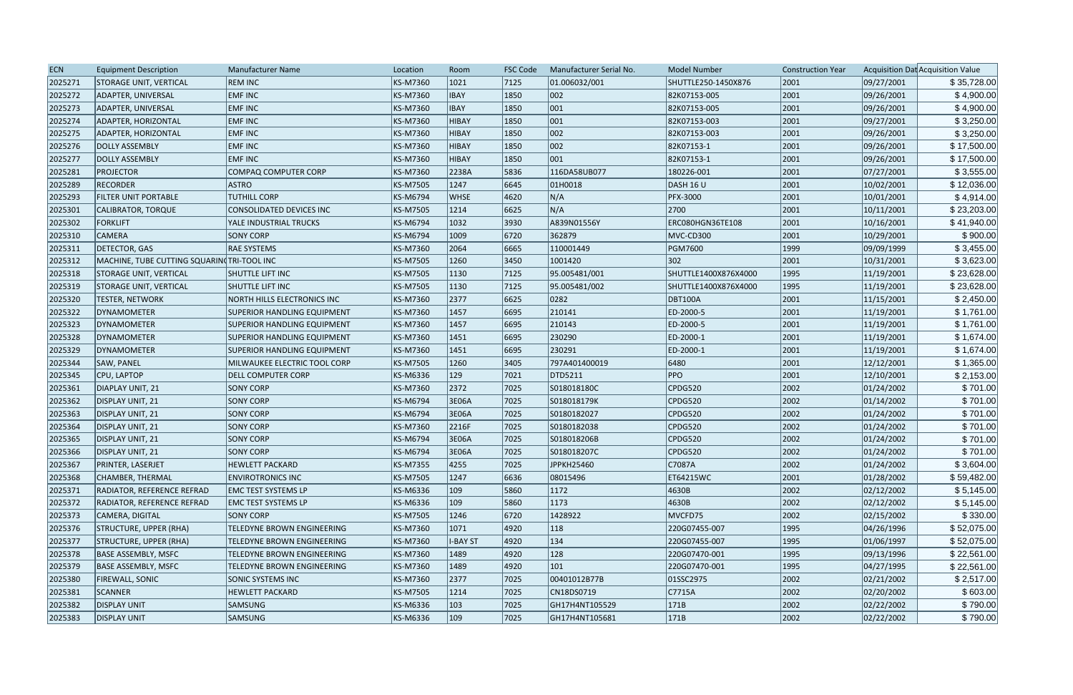| <b>ECN</b> | <b>Equipment Description</b>               | <b>Manufacturer Name</b>           | Location        | Room            | <b>FSC Code</b> | Manufacturer Serial No. | <b>Model Number</b>  | <b>Construction Year</b> |            | Acquisition Dat Acquisition Value |
|------------|--------------------------------------------|------------------------------------|-----------------|-----------------|-----------------|-------------------------|----------------------|--------------------------|------------|-----------------------------------|
| 2025271    | <b>STORAGE UNIT, VERTICAL</b>              | <b>REM INC</b>                     | KS-M7360        | 1021            | 7125            | 01.006032/001           | SHUTTLE250-1450X876  | 2001                     | 09/27/2001 | \$35,728.00                       |
| 2025272    | ADAPTER, UNIVERSAL                         | <b>EMF INC</b>                     | KS-M7360        | <b>IBAY</b>     | 1850            | 002                     | 82K07153-005         | 2001                     | 09/26/2001 | \$4,900.00                        |
| 2025273    | ADAPTER, UNIVERSAL                         | <b>EMF INC</b>                     | <b>KS-M7360</b> | <b>IBAY</b>     | 1850            | 001                     | 82K07153-005         | 2001                     | 09/26/2001 | \$4,900.00                        |
| 2025274    | ADAPTER, HORIZONTAL                        | <b>EMF INC</b>                     | KS-M7360        | HIBAY           | 1850            | 001                     | 82K07153-003         | 2001                     | 09/27/2001 | \$3,250.00                        |
| 2025275    | ADAPTER, HORIZONTAL                        | <b>EMF INC</b>                     | <b>KS-M7360</b> | <b>HIBAY</b>    | 1850            | 002                     | 82K07153-003         | 2001                     | 09/26/2001 | \$3,250.00                        |
| 2025276    | DOLLY ASSEMBLY                             | <b>EMF INC</b>                     | KS-M7360        | <b>HIBAY</b>    | 1850            | 002                     | 82K07153-1           | 2001                     | 09/26/2001 | \$17,500.00                       |
| 2025277    | <b>DOLLY ASSEMBLY</b>                      | <b>EMF INC</b>                     | <b>KS-M7360</b> | <b>HIBAY</b>    | 1850            | 001                     | 82K07153-1           | 2001                     | 09/26/2001 | \$17,500.00                       |
| 2025281    | <b>PROJECTOR</b>                           | COMPAQ COMPUTER CORP               | <b>KS-M7360</b> | 2238A           | 5836            | 116DA58UB077            | 180226-001           | 2001                     | 07/27/2001 | \$3,555.00                        |
| 2025289    | <b>RECORDER</b>                            | <b>ASTRO</b>                       | <b>KS-M7505</b> | 1247            | 6645            | 01H0018                 | <b>DASH 16 U</b>     | 2001                     | 10/02/2001 | \$12,036.00                       |
| 2025293    | FILTER UNIT PORTABLE                       | <b>TUTHILL CORP</b>                | <b>KS-M6794</b> | <b>WHSE</b>     | 4620            | N/A                     | <b>PFX-3000</b>      | 2001                     | 10/01/2001 | \$4,914.00                        |
| 2025301    | CALIBRATOR, TORQUE                         | CONSOLIDATED DEVICES INC           | <b>KS-M7505</b> | 1214            | 6625            | N/A                     | 2700                 | 2001                     | 10/11/2001 | \$23,203.00                       |
| 2025302    | <b>FORKLIFT</b>                            | YALE INDUSTRIAL TRUCKS             | <b>KS-M6794</b> | 1032            | 3930            | A839N01556Y             | ERC080HGN36TE108     | 2001                     | 10/16/2001 | \$41,940.00                       |
| 2025310    | <b>CAMERA</b>                              | <b>SONY CORP</b>                   | <b>KS-M6794</b> | 1009            | 6720            | 362879                  | MVC-CD300            | 2001                     | 10/29/2001 | \$900.00                          |
| 2025311    | <b>DETECTOR, GAS</b>                       | <b>RAE SYSTEMS</b>                 | <b>KS-M7360</b> | 2064            | 6665            | 110001449               | PGM7600              | 1999                     | 09/09/1999 | \$3,455.00                        |
| 2025312    | MACHINE, TUBE CUTTING SQUARIN TRI-TOOL INC |                                    | <b>KS-M7505</b> | 1260            | 3450            | 1001420                 | $ 302\rangle$        | 2001                     | 10/31/2001 | \$3,623.00                        |
| 2025318    | <b>STORAGE UNIT, VERTICAL</b>              | <b>SHUTTLE LIFT INC</b>            | <b>KS-M7505</b> | 1130            | 7125            | 95.005481/001           | SHUTTLE1400X876X4000 | 1995                     | 11/19/2001 | \$23,628.00                       |
| 2025319    | STORAGE UNIT, VERTICAL                     | <b>SHUTTLE LIFT INC</b>            | <b>KS-M7505</b> | 1130            | 7125            | 95.005481/002           | SHUTTLE1400X876X4000 | 1995                     | 11/19/2001 | \$23,628.00                       |
| 2025320    | <b>TESTER, NETWORK</b>                     | <b>NORTH HILLS ELECTRONICS INC</b> | <b>KS-M7360</b> | 2377            | 6625            | 0282                    | <b>DBT100A</b>       | 2001                     | 11/15/2001 | \$2,450.00                        |
| 2025322    | DYNAMOMETER                                | SUPERIOR HANDLING EQUIPMENT        | <b>KS-M7360</b> | 1457            | 6695            | 210141                  | ED-2000-5            | 2001                     | 11/19/2001 | \$1,761.00                        |
| 2025323    | DYNAMOMETER                                | <b>SUPERIOR HANDLING EQUIPMENT</b> | <b>KS-M7360</b> | 1457            | 6695            | 210143                  | ED-2000-5            | 2001                     | 11/19/2001 | \$1,761.00                        |
| 2025328    | DYNAMOMETER                                | <b>SUPERIOR HANDLING EQUIPMENT</b> | <b>KS-M7360</b> | 1451            | 6695            | 230290                  | ED-2000-1            | 2001                     | 11/19/2001 | \$1,674.00                        |
| 2025329    | DYNAMOMETER                                | <b>SUPERIOR HANDLING EQUIPMENT</b> | <b>KS-M7360</b> | 1451            | 6695            | 230291                  | ED-2000-1            | 2001                     | 11/19/2001 | \$1,674.00                        |
| 2025344    | SAW, PANEL                                 | MILWAUKEE ELECTRIC TOOL CORP       | <b>KS-M7505</b> | 1260            | 3405            | 797A401400019           | 6480                 | 2001                     | 12/12/2001 | \$1,365.00                        |
| 2025345    | CPU, LAPTOP                                | <b>DELL COMPUTER CORP</b>          | KS-M6336        | 129             | 7021            | DTD5211                 | <b>PPO</b>           | 2001                     | 12/10/2001 | \$2,153.00                        |
| 2025361    | DIAPLAY UNIT, 21                           | <b>SONY CORP</b>                   | <b>KS-M7360</b> | 2372            | 7025            | S018018180C             | CPDG520              | 2002                     | 01/24/2002 | \$701.00                          |
| 2025362    | DISPLAY UNIT, 21                           | <b>SONY CORP</b>                   | <b>KS-M6794</b> | 3E06A           | 7025            | S018018179K             | CPDG520              | 2002                     | 01/14/2002 | \$701.00                          |
| 2025363    | DISPLAY UNIT, 21                           | <b>SONY CORP</b>                   | <b>KS-M6794</b> | 3E06A           | 7025            | S0180182027             | CPDG520              | 2002                     | 01/24/2002 | \$701.00                          |
| 2025364    | DISPLAY UNIT, 21                           | <b>SONY CORP</b>                   | <b>KS-M7360</b> | 2216F           | 7025            | S0180182038             | CPDG520              | 2002                     | 01/24/2002 | \$701.00                          |
| 2025365    | DISPLAY UNIT, 21                           | <b>SONY CORP</b>                   | <b>KS-M6794</b> | 3E06A           | 7025            | S018018206B             | CPDG520              | 2002                     | 01/24/2002 | \$701.00                          |
| 2025366    | DISPLAY UNIT, 21                           | <b>SONY CORP</b>                   | KS-M6794        | 3E06A           | 7025            | S018018207C             | CPDG520              | 2002                     | 01/24/2002 | \$701.00                          |
| 2025367    | PRINTER, LASERJET                          | <b>HEWLETT PACKARD</b>             | <b>KS-M7355</b> | 4255            | 7025            | JPPKH25460              | C7087A               | 2002                     | 01/24/2002 | \$3,604.00                        |
| 2025368    | CHAMBER, THERMAL                           | <b>ENVIROTRONICS INC</b>           | <b>KS-M7505</b> | 1247            | 6636            | 08015496                | ET64215WC            | 2001                     | 01/28/2002 | \$59,482.00                       |
| 2025371    | <b>RADIATOR, REFERENCE REFRAD</b>          | <b>EMC TEST SYSTEMS LP</b>         | KS-M6336        | $ 109\rangle$   | 5860            | 1172                    | 4630B                | 2002                     | 02/12/2002 | \$5,145.00                        |
| 2025372    | <b>RADIATOR, REFERENCE REFRAD</b>          | <b>EMC TEST SYSTEMS LP</b>         | KS-M6336        | $ 109\rangle$   | 5860            | 1173                    | 4630B                | 2002                     | 02/12/2002 | \$5,145.00                        |
| 2025373    | CAMERA, DIGITAL                            | <b>SONY CORP</b>                   | <b>KS-M7505</b> | 1246            | 6720            | 1428922                 | MVCFD75              | 2002                     | 02/15/2002 | \$330.00                          |
| 2025376    | STRUCTURE, UPPER (RHA)                     | TELEDYNE BROWN ENGINEERING         | KS-M7360        | 1071            | 4920            | $ 118\rangle$           | 220G07455-007        | 1995                     | 04/26/1996 | \$52,075.00                       |
| 2025377    | STRUCTURE, UPPER (RHA)                     | TELEDYNE BROWN ENGINEERING         | KS-M7360        | <b>I-BAY ST</b> | 4920            | 134                     | 220G07455-007        | 1995                     | 01/06/1997 | \$52,075.00                       |
| 2025378    | <b>BASE ASSEMBLY, MSFC</b>                 | TELEDYNE BROWN ENGINEERING         | KS-M7360        | 1489            | 4920            | 128                     | 220G07470-001        | 1995                     | 09/13/1996 | \$22,561.00                       |
| 2025379    | <b>BASE ASSEMBLY, MSFC</b>                 | TELEDYNE BROWN ENGINEERING         | <b>KS-M7360</b> | 1489            | 4920            | 101                     | 220G07470-001        | 1995                     | 04/27/1995 | \$22,561.00                       |
| 2025380    | <b>FIREWALL, SONIC</b>                     | <b>SONIC SYSTEMS INC</b>           | KS-M7360        | 2377            | 7025            | 00401012B77B            | 01SSC2975            | 2002                     | 02/21/2002 | \$2,517.00                        |
| 2025381    | SCANNER                                    | <b>HEWLETT PACKARD</b>             | <b>KS-M7505</b> | 1214            | 7025            | CN18DS0719              | C7715A               | 2002                     | 02/20/2002 | \$603.00                          |
| 2025382    | <b>DISPLAY UNIT</b>                        | SAMSUNG                            | KS-M6336        | $ 103\rangle$   | 7025            | GH17H4NT105529          | 171B                 | 2002                     | 02/22/2002 | \$790.00                          |
| 2025383    | <b>DISPLAY UNIT</b>                        | <b>SAMSUNG</b>                     | KS-M6336        | $ 109\rangle$   | 7025            | GH17H4NT105681          | 171B                 | 2002                     | 02/22/2002 | \$790.00                          |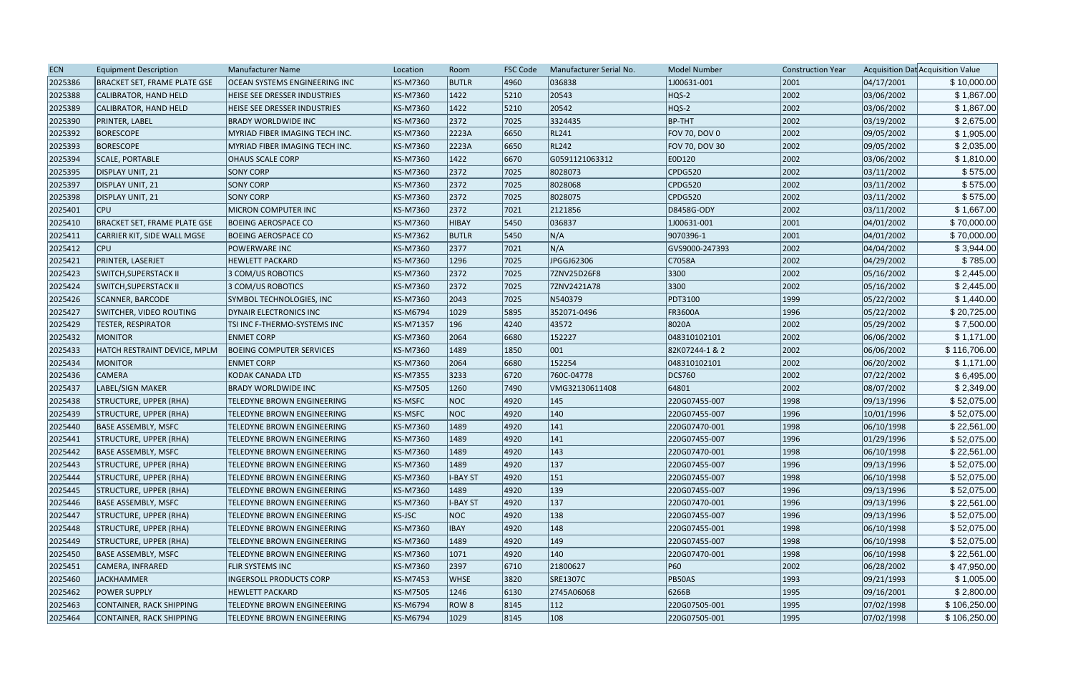| <b>ECN</b> | <b>Equipment Description</b>        | Manufacturer Name                    | Location        | Room            | <b>FSC Code</b> | Manufacturer Serial No. | <b>Model Number</b> | <b>Construction Year</b> |            | Acquisition Dat Acquisition Value |
|------------|-------------------------------------|--------------------------------------|-----------------|-----------------|-----------------|-------------------------|---------------------|--------------------------|------------|-----------------------------------|
| 2025386    | <b>BRACKET SET, FRAME PLATE GSE</b> | <b>OCEAN SYSTEMS ENGINEERING INC</b> | <b>KS-M7360</b> | <b>BUTLR</b>    | 4960            | 036838                  | 1J00631-001         | 2001                     | 04/17/2001 | \$10,000.00                       |
| 2025388    | CALIBRATOR, HAND HELD               | HEISE SEE DRESSER INDUSTRIES         | <b>KS-M7360</b> | 1422            | 5210            | 20543                   | HQS-2               | 2002                     | 03/06/2002 | \$1,867.00                        |
| 2025389    | CALIBRATOR, HAND HELD               | HEISE SEE DRESSER INDUSTRIES         | <b>KS-M7360</b> | 1422            | 5210            | 20542                   | HQS-2               | 2002                     | 03/06/2002 | \$1,867.00                        |
| 2025390    | PRINTER, LABEL                      | <b>BRADY WORLDWIDE INC</b>           | <b>KS-M7360</b> | 2372            | 7025            | 3324435                 | BP-THT              | 2002                     | 03/19/2002 | \$2,675.00                        |
| 2025392    | <b>BORESCOPE</b>                    | MYRIAD FIBER IMAGING TECH INC.       | <b>KS-M7360</b> | 2223A           | 6650            | <b>RL241</b>            | FOV 70, DOV 0       | 2002                     | 09/05/2002 | \$1,905.00                        |
| 2025393    | <b>BORESCOPE</b>                    | MYRIAD FIBER IMAGING TECH INC.       | KS-M7360        | 2223A           | 6650            | <b>RL242</b>            | FOV 70, DOV 30      | 2002                     | 09/05/2002 | \$2,035.00                        |
| 2025394    | SCALE, PORTABLE                     | <b>OHAUS SCALE CORP</b>              | <b>KS-M7360</b> | 1422            | 6670            | G0591121063312          | E0D120              | 2002                     | 03/06/2002 | \$1,810.00                        |
| 2025395    | DISPLAY UNIT, 21                    | <b>SONY CORP</b>                     | <b>KS-M7360</b> | 2372            | 7025            | 8028073                 | CPDG520             | 2002                     | 03/11/2002 | \$575.00                          |
| 2025397    | DISPLAY UNIT, 21                    | <b>SONY CORP</b>                     | <b>KS-M7360</b> | 2372            | 7025            | 8028068                 | CPDG520             | 2002                     | 03/11/2002 | \$575.00                          |
| 2025398    | DISPLAY UNIT, 21                    | <b>SONY CORP</b>                     | <b>KS-M7360</b> | 2372            | 7025            | 8028075                 | CPDG520             | 2002                     | 03/11/2002 | \$575.00                          |
| 2025401    | <b>CPU</b>                          | <b>MICRON COMPUTER INC</b>           | <b>KS-M7360</b> | 2372            | 7021            | 2121856                 | D8458G-ODY          | 2002                     | 03/11/2002 | \$1,667.00                        |
| 2025410    | <b>BRACKET SET, FRAME PLATE GSE</b> | <b>BOEING AEROSPACE CO</b>           | <b>KS-M7360</b> | HIBAY           | 5450            | 036837                  | 1J00631-001         | 2001                     | 04/01/2002 | \$70,000.00                       |
| 2025411    | CARRIER KIT, SIDE WALL MGSE         | <b>BOEING AEROSPACE CO</b>           | <b>KS-M7362</b> | <b>BUTLR</b>    | 5450            | N/A                     | 9070396-1           | 2001                     | 04/01/2002 | \$70,000.00                       |
| 2025412    | <b>CPU</b>                          | <b>POWERWARE INC</b>                 | <b>KS-M7360</b> | 2377            | 7021            | N/A                     | GVS9000-247393      | 2002                     | 04/04/2002 | \$3,944.00                        |
| 2025421    | PRINTER, LASERJET                   | <b>HEWLETT PACKARD</b>               | <b>KS-M7360</b> | 1296            | 7025            | JPGGJ62306              | C7058A              | 2002                     | 04/29/2002 | \$785.00                          |
| 2025423    | <b>SWITCH, SUPERSTACK II</b>        | 3 COM/US ROBOTICS                    | <b>KS-M7360</b> | 2372            | 7025            | 7ZNV25D26F8             | 3300                | 2002                     | 05/16/2002 | \$2,445.00                        |
| 2025424    | SWITCH, SUPERSTACK II               | 3 COM/US ROBOTICS                    | <b>KS-M7360</b> | 2372            | 7025            | 7ZNV2421A78             | 3300                | 2002                     | 05/16/2002 | \$2,445.00                        |
| 2025426    | SCANNER, BARCODE                    | SYMBOL TECHNOLOGIES, INC             | <b>KS-M7360</b> | 2043            | 7025            | N540379                 | <b>PDT3100</b>      | 1999                     | 05/22/2002 | \$1,440.00                        |
| 2025427    | <b>SWITCHER, VIDEO ROUTING</b>      | DYNAIR ELECTRONICS INC               | <b>KS-M6794</b> | 1029            | 5895            | 352071-0496             | <b>FR3600A</b>      | 1996                     | 05/22/2002 | \$20,725.00                       |
| 2025429    | <b>TESTER, RESPIRATOR</b>           | TSI INC F-THERMO-SYSTEMS INC         | KS-M71357       | 196             | 4240            | 43572                   | 8020A               | 2002                     | 05/29/2002 | \$7,500.00                        |
| 2025432    | <b>MONITOR</b>                      | <b>ENMET CORP</b>                    | <b>KS-M7360</b> | 2064            | 6680            | 152227                  | 048310102101        | 2002                     | 06/06/2002 | \$1,171.00                        |
| 2025433    | HATCH RESTRAINT DEVICE, MPLM        | <b>BOEING COMPUTER SERVICES</b>      | <b>KS-M7360</b> | 1489            | 1850            | 001                     | 82K07244-1 & 2      | 2002                     | 06/06/2002 | \$116,706.00                      |
| 2025434    | <b>MONITOR</b>                      | <b>ENMET CORP</b>                    | <b>KS-M7360</b> | 2064            | 6680            | 152254                  | 048310102101        | 2002                     | 06/20/2002 | \$1,171.00                        |
| 2025436    | <b>CAMERA</b>                       | KODAK CANADA LTD                     | <b>KS-M7355</b> | 3233            | 6720            | 760C-04778              | <b>DCS760</b>       | 2002                     | 07/22/2002 | \$6,495.00                        |
| 2025437    | LABEL/SIGN MAKER                    | <b>BRADY WORLDWIDE INC</b>           | <b>KS-M7505</b> | 1260            | 7490            | VMG32130611408          | 64801               | 2002                     | 08/07/2002 | \$2,349.00                        |
| 2025438    | STRUCTURE, UPPER (RHA)              | TELEDYNE BROWN ENGINEERING           | <b>KS-MSFC</b>  | NOC             | 4920            | 145                     | 220G07455-007       | 1998                     | 09/13/1996 | \$52,075.00                       |
| 2025439    | STRUCTURE, UPPER (RHA)              | TELEDYNE BROWN ENGINEERING           | <b>KS-MSFC</b>  | NOC             | 4920            | 140                     | 220G07455-007       | 1996                     | 10/01/1996 | \$52,075.00                       |
| 2025440    | <b>BASE ASSEMBLY, MSFC</b>          | <b>TELEDYNE BROWN ENGINEERING</b>    | <b>KS-M7360</b> | 1489            | 4920            | 141                     | 220G07470-001       | 1998                     | 06/10/1998 | \$22,561.00                       |
| 2025441    | STRUCTURE, UPPER (RHA)              | TELEDYNE BROWN ENGINEERING           | <b>KS-M7360</b> | 1489            | 4920            | 141                     | 220G07455-007       | 1996                     | 01/29/1996 | \$52,075.00                       |
| 2025442    | BASE ASSEMBLY, MSFC                 | <b>TELEDYNE BROWN ENGINEERING</b>    | KS-M7360        | 1489            | 4920            | 143                     | 220G07470-001       | 1998                     | 06/10/1998 | \$22,561.00                       |
| 2025443    | STRUCTURE, UPPER (RHA)              | TELEDYNE BROWN ENGINEERING           | KS-M7360        | 1489            | 4920            | 137                     | 220G07455-007       | 1996                     | 09/13/1996 | \$52,075.00                       |
| 2025444    | STRUCTURE, UPPER (RHA)              | TELEDYNE BROWN ENGINEERING           | KS-M7360        | <b>I-BAY ST</b> | 4920            | 151                     | 220G07455-007       | 1998                     | 06/10/1998 | \$52,075.00                       |
| 2025445    | STRUCTURE, UPPER (RHA)              | TELEDYNE BROWN ENGINEERING           | <b>KS-M7360</b> | 1489            | 4920            | 139                     | 220G07455-007       | 1996                     | 09/13/1996 | \$52,075.00                       |
| 2025446    | <b>BASE ASSEMBLY, MSFC</b>          | TELEDYNE BROWN ENGINEERING           | <b>KS-M7360</b> | <b>I-BAY ST</b> | 4920            | 137                     | 220G07470-001       | 1996                     | 09/13/1996 | \$22,561.00                       |
| 2025447    | STRUCTURE, UPPER (RHA)              | <b>TELEDYNE BROWN ENGINEERING</b>    | <b>KS-JSC</b>   | NOC             | 4920            | 138                     | 220G07455-007       | 1996                     | 09/13/1996 | \$52,075.00                       |
| 2025448    | STRUCTURE, UPPER (RHA)              | TELEDYNE BROWN ENGINEERING           | <b>KS-M7360</b> | IBAY            | 4920            | 148                     | 220G07455-001       | 1998                     | 06/10/1998 | \$52,075.00                       |
| 2025449    | STRUCTURE, UPPER (RHA)              | <b>TELEDYNE BROWN ENGINEERING</b>    | <b>KS-M7360</b> | 1489            | 4920            | 149                     | 220G07455-007       | 1998                     | 06/10/1998 | \$52,075.00                       |
| 2025450    | <b>BASE ASSEMBLY, MSFC</b>          | TELEDYNE BROWN ENGINEERING           | <b>KS-M7360</b> | 1071            | 4920            | 140                     | 220G07470-001       | 1998                     | 06/10/1998 | \$22,561.00                       |
| 2025451    | CAMERA, INFRARED                    | <b>FLIR SYSTEMS INC</b>              | <b>KS-M7360</b> | 2397            | 6710            | 21800627                | <b>P60</b>          | 2002                     | 06/28/2002 | \$47,950.00                       |
| 2025460    | JACKHAMMER                          | <b>INGERSOLL PRODUCTS CORP</b>       | <b>KS-M7453</b> | <b>WHSE</b>     | 3820            | SRE1307C                | PB50AS              | 1993                     | 09/21/1993 | \$1,005.00                        |
| 2025462    | <b>POWER SUPPLY</b>                 | <b>HEWLETT PACKARD</b>               | <b>KS-M7505</b> | 1246            | 6130            | 2745A06068              | 6266B               | 1995                     | 09/16/2001 | \$2,800.00                        |
| 2025463    | CONTAINER, RACK SHIPPING            | TELEDYNE BROWN ENGINEERING           | KS-M6794        | ROW 8           | 8145            | $ 112\rangle$           | 220G07505-001       | 1995                     | 07/02/1998 | \$106,250.00                      |
| 2025464    | CONTAINER, RACK SHIPPING            | TELEDYNE BROWN ENGINEERING           | KS-M6794        | 1029            | 8145            | 108                     | 220G07505-001       | 1995                     | 07/02/1998 | \$106,250.00                      |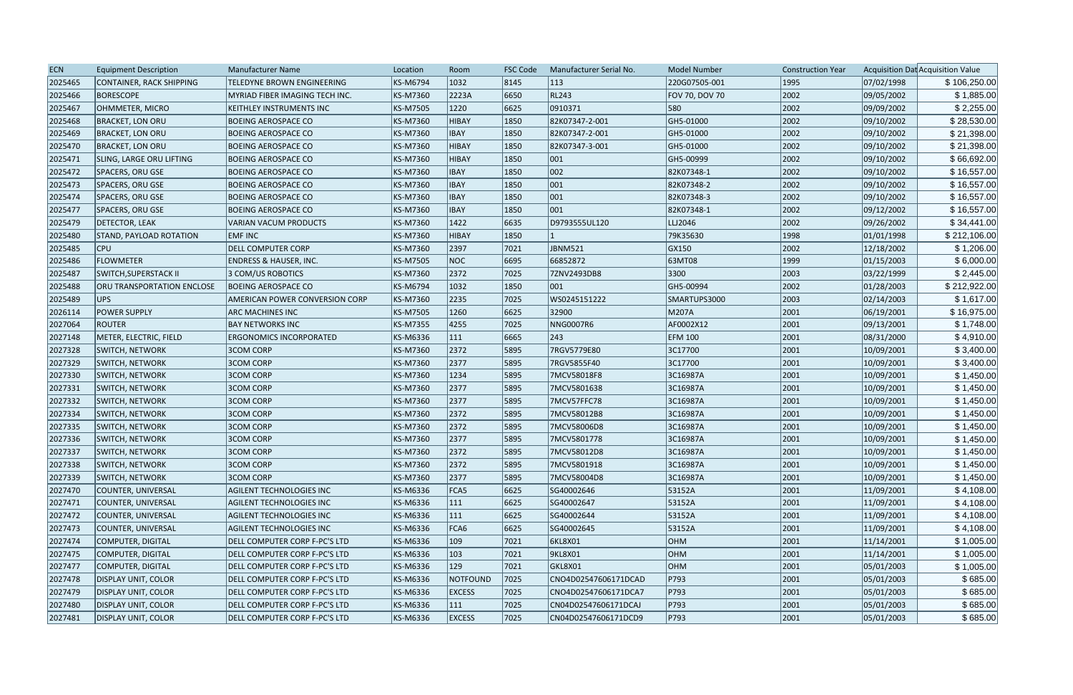| <b>ECN</b> | <b>Equipment Description</b>      | <b>Manufacturer Name</b>              | Location        | Room          | <b>FSC Code</b> | Manufacturer Serial No. | <b>Model Number</b> | <b>Construction Year</b> |            | Acquisition Dat Acquisition Value |
|------------|-----------------------------------|---------------------------------------|-----------------|---------------|-----------------|-------------------------|---------------------|--------------------------|------------|-----------------------------------|
| 2025465    | CONTAINER, RACK SHIPPING          | TELEDYNE BROWN ENGINEERING            | <b>KS-M6794</b> | 1032          | 8145            | 113                     | 220G07505-001       | 1995                     | 07/02/1998 | \$106,250.00                      |
| 2025466    | <b>BORESCOPE</b>                  | <b>MYRIAD FIBER IMAGING TECH INC.</b> | <b>KS-M7360</b> | 2223A         | 6650            | RL243                   | FOV 70, DOV 70      | 2002                     | 09/05/2002 | \$1,885.00                        |
| 2025467    | OHMMETER, MICRO                   | KEITHLEY INSTRUMENTS INC              | <b>KS-M7505</b> | 1220          | 6625            | 0910371                 | 580                 | 2002                     | 09/09/2002 | \$2,255.00                        |
| 2025468    | <b>BRACKET, LON ORU</b>           | <b>BOEING AEROSPACE CO</b>            | <b>KS-M7360</b> | <b>HIBAY</b>  | 1850            | 82K07347-2-001          | GH5-01000           | 2002                     | 09/10/2002 | \$28,530.00                       |
| 2025469    | <b>BRACKET, LON ORU</b>           | <b>BOEING AEROSPACE CO</b>            | <b>KS-M7360</b> | <b>IBAY</b>   | 1850            | 82K07347-2-001          | GH5-01000           | 2002                     | 09/10/2002 | \$21,398.00                       |
| 2025470    | <b>BRACKET, LON ORU</b>           | <b>BOEING AEROSPACE CO</b>            | KS-M7360        | <b>HIBAY</b>  | 1850            | 82K07347-3-001          | GH5-01000           | 2002                     | 09/10/2002 | \$21,398.00                       |
| 2025471    | SLING, LARGE ORU LIFTING          | <b>BOEING AEROSPACE CO</b>            | KS-M7360        | <b>HIBAY</b>  | 1850            | $ 001\rangle$           | GH5-00999           | 2002                     | 09/10/2002 | \$66,692.00                       |
| 2025472    | SPACERS, ORU GSE                  | <b>BOEING AEROSPACE CO</b>            | <b>KS-M7360</b> | <b>IBAY</b>   | 1850            | 002                     | 82K07348-1          | 2002                     | 09/10/2002 | \$16,557.00                       |
| 2025473    | SPACERS, ORU GSE                  | <b>BOEING AEROSPACE CO</b>            | <b>KS-M7360</b> | <b>IBAY</b>   | 1850            | 001                     | 82K07348-2          | 2002                     | 09/10/2002 | \$16,557.00                       |
| 2025474    | SPACERS, ORU GSE                  | <b>BOEING AEROSPACE CO</b>            | KS-M7360        | <b>IBAY</b>   | 1850            | $ 001\rangle$           | 82K07348-3          | 2002                     | 09/10/2002 | \$16,557.00                       |
| 2025477    | SPACERS, ORU GSE                  | <b>BOEING AEROSPACE CO</b>            | KS-M7360        | <b>IBAY</b>   | 1850            | 001                     | 82K07348-1          | 2002                     | 09/12/2002 | \$16,557.00                       |
| 2025479    | <b>DETECTOR, LEAK</b>             | <b>VARIAN VACUM PRODUCTS</b>          | <b>KS-M7360</b> | 1422          | 6635            | D9793555UL120           | LLJ2046             | 2002                     | 09/26/2002 | \$34,441.00                       |
| 2025480    | STAND, PAYLOAD ROTATION           | <b>EMF INC</b>                        | KS-M7360        | <b>HIBAY</b>  | 1850            |                         | 79K35630            | 1998                     | 01/01/1998 | \$212,106.00                      |
| 2025485    | <b>CPU</b>                        | <b>DELL COMPUTER CORP</b>             | <b>KS-M7360</b> | 2397          | 7021            | JBNM521                 | GX150               | 2002                     | 12/18/2002 | \$1,206.00                        |
| 2025486    | <b>FLOWMETER</b>                  | <b>ENDRESS &amp; HAUSER, INC.</b>     | <b>KS-M7505</b> | NOC           | 6695            | 66852872                | 63MT08              | 1999                     | 01/15/2003 | \$6,000.00                        |
| 2025487    | <b>SWITCH, SUPERSTACK II</b>      | 3 COM/US ROBOTICS                     | <b>KS-M7360</b> | 2372          | 7025            | 7ZNV2493DB8             | 3300                | 2003                     | 03/22/1999 | \$2,445.00                        |
| 2025488    | <b>ORU TRANSPORTATION ENCLOSE</b> | <b>BOEING AEROSPACE CO</b>            | <b>KS-M6794</b> | 1032          | 1850            | $ 001\rangle$           | GH5-00994           | 2002                     | 01/28/2003 | \$212,922.00                      |
| 2025489    | UPS                               | <b>AMERICAN POWER CONVERSION CORP</b> | <b>KS-M7360</b> | 2235          | 7025            | WS0245151222            | SMARTUPS3000        | 2003                     | 02/14/2003 | \$1,617.00                        |
| 2026114    | <b>POWER SUPPLY</b>               | ARC MACHINES INC                      | <b>KS-M7505</b> | 1260          | 6625            | 32900                   | M207A               | 2001                     | 06/19/2001 | \$16,975.00                       |
| 2027064    | <b>ROUTER</b>                     | <b>BAY NETWORKS INC</b>               | <b>KS-M7355</b> | 4255          | 7025            | <b>NNG0007R6</b>        | AF0002X12           | 2001                     | 09/13/2001 | \$1,748.00                        |
| 2027148    | METER, ELECTRIC, FIELD            | <b>ERGONOMICS INCORPORATED</b>        | KS-M6336        | 111           | 6665            | 243                     | <b>EFM 100</b>      | 2001                     | 08/31/2000 | \$4,910.00                        |
| 2027328    | <b>SWITCH, NETWORK</b>            | <b>3COM CORP</b>                      | <b>KS-M7360</b> | 2372          | 5895            | 7RGV5779E80             | 3C17700             | 2001                     | 10/09/2001 | \$3,400.00                        |
| 2027329    | SWITCH, NETWORK                   | <b>3COM CORP</b>                      | <b>KS-M7360</b> | 2377          | 5895            | 7RGV5855F40             | 3C17700             | 2001                     | 10/09/2001 | \$3,400.00                        |
| 2027330    | SWITCH, NETWORK                   | <b>3COM CORP</b>                      | <b>KS-M7360</b> | 1234          | 5895            | 7MCV58018F8             | 3C16987A            | 2001                     | 10/09/2001 | \$1,450.00                        |
| 2027331    | <b>SWITCH, NETWORK</b>            | <b>3COM CORP</b>                      | KS-M7360        | 2377          | 5895            | 7MCV5801638             | 3C16987A            | 2001                     | 10/09/2001 | \$1,450.00                        |
| 2027332    | <b>SWITCH, NETWORK</b>            | <b>3COM CORP</b>                      | <b>KS-M7360</b> | 2377          | 5895            | 7MCV57FFC78             | 3C16987A            | 2001                     | 10/09/2001 | \$1,450.00                        |
| 2027334    | SWITCH, NETWORK                   | <b>3COM CORP</b>                      | <b>KS-M7360</b> | 2372          | 5895            | 7MCV58012B8             | 3C16987A            | 2001                     | 10/09/2001 | \$1,450.00                        |
| 2027335    | <b>SWITCH, NETWORK</b>            | <b>3COM CORP</b>                      | <b>KS-M7360</b> | 2372          | 5895            | 7MCV58006D8             | 3C16987A            | 2001                     | 10/09/2001 | \$1,450.00                        |
| 2027336    | SWITCH, NETWORK                   | <b>3COM CORP</b>                      | <b>KS-M7360</b> | 2377          | 5895            | 7MCV5801778             | 3C16987A            | 2001                     | 10/09/2001 | \$1,450.00                        |
| 2027337    | <b>SWITCH, NETWORK</b>            | 3COM CORP                             | KS-M7360        | 2372          | 5895            | 7MCV58012D8             | 3C16987A            | 2001                     | 10/09/2001 | \$1,450.00                        |
| 2027338    | <b>SWITCH, NETWORK</b>            | <b>3COM CORP</b>                      | KS-M7360        | 2372          | 5895            | 7MCV5801918             | 3C16987A            | 2001                     | 10/09/2001 | \$1,450.00                        |
| 2027339    | SWITCH, NETWORK                   | <b>3COM CORP</b>                      | KS-M7360        | 2377          | 5895            | 7MCV58004D8             | 3C16987A            | 2001                     | 10/09/2001 | \$1,450.00                        |
| 2027470    | COUNTER, UNIVERSAL                | AGILENT TECHNOLOGIES INC              | KS-M6336        | FCA5          | 6625            | SG40002646              | 53152A              | 2001                     | 11/09/2001 | \$4,108.00                        |
| 2027471    | COUNTER, UNIVERSAL                | <b>AGILENT TECHNOLOGIES INC</b>       | KS-M6336        | 111           | 6625            | SG40002647              | 53152A              | 2001                     | 11/09/2001 | \$4,108.00                        |
| 2027472    | COUNTER, UNIVERSAL                | <b>AGILENT TECHNOLOGIES INC</b>       | KS-M6336        | 111           | 6625            | SG40002644              | 53152A              | 2001                     | 11/09/2001 | \$4,108.00                        |
| 2027473    | COUNTER, UNIVERSAL                | <b>AGILENT TECHNOLOGIES INC</b>       | KS-M6336        | FCA6          | 6625            | SG40002645              | 53152A              | 2001                     | 11/09/2001 | \$4,108.00                        |
| 2027474    | COMPUTER, DIGITAL                 | DELL COMPUTER CORP F-PC'S LTD         | KS-M6336        | $ 109\rangle$ | 7021            | 6KL8X01                 | <b>OHM</b>          | 2001                     | 11/14/2001 | \$1,005.00                        |
| 2027475    | COMPUTER, DIGITAL                 | DELL COMPUTER CORP F-PC'S LTD         | KS-M6336        | 103           | 7021            | 9KL8X01                 | <b>OHM</b>          | 2001                     | 11/14/2001 | \$1,005.00                        |
| 2027477    | COMPUTER, DIGITAL                 | DELL COMPUTER CORP F-PC'S LTD         | KS-M6336        | 129           | 7021            | GKL8X01                 | <b>OHM</b>          | 2001                     | 05/01/2003 | \$1,005.00                        |
| 2027478    | <b>DISPLAY UNIT, COLOR</b>        | DELL COMPUTER CORP F-PC'S LTD         | KS-M6336        | NOTFOUND      | 7025            | CNO4D02547606171DCAD    | P793                | 2001                     | 05/01/2003 | \$685.00                          |
| 2027479    | DISPLAY UNIT, COLOR               | DELL COMPUTER CORP F-PC'S LTD         | KS-M6336        | <b>EXCESS</b> | 7025            | CNO4D02547606171DCA7    | P793                | 2001                     | 05/01/2003 | \$685.00                          |
| 2027480    | DISPLAY UNIT, COLOR               | DELL COMPUTER CORP F-PC'S LTD         | KS-M6336        | 111           | 7025            | CN04D02547606171DCAJ    | P793                | 2001                     | 05/01/2003 | \$685.00                          |
| 2027481    | <b>DISPLAY UNIT, COLOR</b>        | DELL COMPUTER CORP F-PC'S LTD         | KS-M6336        | <b>EXCESS</b> | 7025            | CN04D02547606171DCD9    | P793                | 2001                     | 05/01/2003 | \$685.00                          |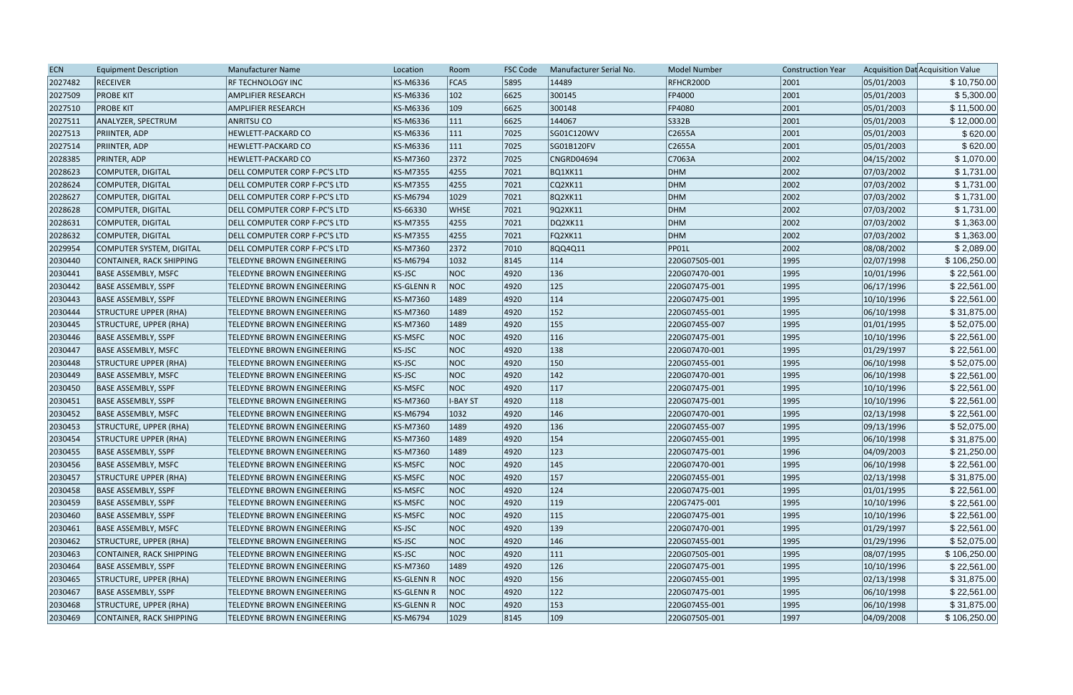| <b>ECN</b> | <b>Equipment Description</b>    | <b>Manufacturer Name</b>          | Location          | Room        | <b>FSC Code</b> | Manufacturer Serial No. | <b>Model Number</b> | <b>Construction Year</b> |            | Acquisition Dat Acquisition Value |
|------------|---------------------------------|-----------------------------------|-------------------|-------------|-----------------|-------------------------|---------------------|--------------------------|------------|-----------------------------------|
| 2027482    | <b>RECEIVER</b>                 | RF TECHNOLOGY INC                 | KS-M6336          | FCA5        | 5895            | 14489                   | RFHCR200D           | 2001                     | 05/01/2003 | \$10,750.00                       |
| 2027509    | <b>PROBE KIT</b>                | AMPLIFIER RESEARCH                | KS-M6336          | 102         | 6625            | 300145                  | FP4000              | 2001                     | 05/01/2003 | \$5,300.00                        |
| 2027510    | <b>PROBE KIT</b>                | AMPLIFIER RESEARCH                | KS-M6336          | 109         | 6625            | 300148                  | FP4080              | 2001                     | 05/01/2003 | \$11,500.00                       |
| 2027511    | ANALYZER, SPECTRUM              | <b>ANRITSU CO</b>                 | KS-M6336          | 111         | 6625            | 144067                  | S332B               | 2001                     | 05/01/2003 | \$12,000.00                       |
| 2027513    | <b>PRIINTER, ADP</b>            | HEWLETT-PACKARD CO                | KS-M6336          | 111         | 7025            | SG01C120WV              | C2655A              | 2001                     | 05/01/2003 | \$620.00                          |
| 2027514    | <b>PRIINTER, ADP</b>            | HEWLETT-PACKARD CO                | KS-M6336          | 111         | 7025            | SG01B120FV              | C2655A              | 2001                     | 05/01/2003 | \$620.00                          |
| 2028385    | <b>PRINTER, ADP</b>             | <b>HEWLETT-PACKARD CO</b>         | KS-M7360          | 2372        | 7025            | CNGRD04694              | C7063A              | 2002                     | 04/15/2002 | \$1,070.00                        |
| 2028623    | COMPUTER, DIGITAL               | DELL COMPUTER CORP F-PC'S LTD     | <b>KS-M7355</b>   | 4255        | 7021            | <b>BQ1XK11</b>          | DHM                 | 2002                     | 07/03/2002 | \$1,731.00                        |
| 2028624    | COMPUTER, DIGITAL               | DELL COMPUTER CORP F-PC'S LTD     | KS-M7355          | 4255        | 7021            | CQ2XK11                 | DHM                 | 2002                     | 07/03/2002 | \$1,731.00                        |
| 2028627    | COMPUTER, DIGITAL               | DELL COMPUTER CORP F-PC'S LTD     | KS-M6794          | 1029        | 7021            | 8Q2XK11                 | DHM                 | 2002                     | 07/03/2002 | \$1,731.00                        |
| 2028628    | COMPUTER, DIGITAL               | DELL COMPUTER CORP F-PC'S LTD     | KS-66330          | <b>WHSE</b> | 7021            | 9Q2XK11                 | DHM                 | 2002                     | 07/03/2002 | \$1,731.00                        |
| 2028631    | COMPUTER, DIGITAL               | DELL COMPUTER CORP F-PC'S LTD     | KS-M7355          | 4255        | 7021            | DQ2XK11                 | DHM                 | 2002                     | 07/03/2002 | \$1,363.00                        |
| 2028632    | COMPUTER, DIGITAL               | DELL COMPUTER CORP F-PC'S LTD     | KS-M7355          | 4255        | 7021            | FQ2XK11                 | DHM                 | 2002                     | 07/03/2002 | \$1,363.00                        |
| 2029954    | COMPUTER SYSTEM, DIGITAL        | DELL COMPUTER CORP F-PC'S LTD     | KS-M7360          | 2372        | 7010            | 8QQ4Q11                 | PP01L               | 2002                     | 08/08/2002 | \$2,089.00                        |
| 2030440    | <b>CONTAINER, RACK SHIPPING</b> | TELEDYNE BROWN ENGINEERING        | KS-M6794          | 1032        | 8145            | $ 114\rangle$           | 220G07505-001       | 1995                     | 02/07/1998 | \$106,250.00                      |
| 2030441    | <b>BASE ASSEMBLY, MSFC</b>      | TELEDYNE BROWN ENGINEERING        | KS-JSC            | <b>NOC</b>  | 4920            | 136                     | 220G07470-001       | 1995                     | 10/01/1996 | \$22,561.00                       |
| 2030442    | <b>BASE ASSEMBLY, SSPF</b>      | TELEDYNE BROWN ENGINEERING        | <b>KS-GLENN R</b> | <b>NOC</b>  | 4920            | $ 125\rangle$           | 220G07475-001       | 1995                     | 06/17/1996 | \$22,561.00                       |
| 2030443    | <b>BASE ASSEMBLY, SSPF</b>      | TELEDYNE BROWN ENGINEERING        | KS-M7360          | 1489        | 4920            | 114                     | 220G07475-001       | 1995                     | 10/10/1996 | \$22,561.00                       |
| 2030444    | <b>STRUCTURE UPPER (RHA)</b>    | TELEDYNE BROWN ENGINEERING        | KS-M7360          | 1489        | 4920            | 152                     | 220G07455-001       | 1995                     | 06/10/1998 | \$31,875.00                       |
| 2030445    | <b>STRUCTURE, UPPER (RHA)</b>   | TELEDYNE BROWN ENGINEERING        | KS-M7360          | 1489        | 4920            | 155                     | 220G07455-007       | 1995                     | 01/01/1995 | \$52,075.00                       |
| 2030446    | BASE ASSEMBLY, SSPF             | TELEDYNE BROWN ENGINEERING        | KS-MSFC           | <b>NOC</b>  | 4920            | 116                     | 220G07475-001       | 1995                     | 10/10/1996 | \$22,561.00                       |
| 2030447    | <b>BASE ASSEMBLY, MSFC</b>      | TELEDYNE BROWN ENGINEERING        | KS-JSC            | <b>NOC</b>  | 4920            | 138                     | 220G07470-001       | 1995                     | 01/29/1997 | \$22,561.00                       |
| 2030448    | <b>STRUCTURE UPPER (RHA)</b>    | <b>TELEDYNE BROWN ENGINEERING</b> | KS-JSC            | <b>NOC</b>  | 4920            | $ 150\rangle$           | 220G07455-001       | 1995                     | 06/10/1998 | \$52,075.00                       |
| 2030449    | <b>BASE ASSEMBLY, MSFC</b>      | TELEDYNE BROWN ENGINEERING        | KS-JSC            | <b>NOC</b>  | 4920            | $ 142\rangle$           | 220G07470-001       | 1995                     | 06/10/1998 | \$22,561.00                       |
| 2030450    | <b>BASE ASSEMBLY, SSPF</b>      | TELEDYNE BROWN ENGINEERING        | <b>KS-MSFC</b>    | <b>NOC</b>  | 4920            | 117                     | 220G07475-001       | 1995                     | 10/10/1996 | \$22,561.00                       |
| 2030451    | <b>BASE ASSEMBLY, SSPF</b>      | TELEDYNE BROWN ENGINEERING        | KS-M7360          | I-BAY ST    | 4920            | $ 118\rangle$           | 220G07475-001       | 1995                     | 10/10/1996 | \$22,561.00                       |
| 2030452    | BASE ASSEMBLY, MSFC             | TELEDYNE BROWN ENGINEERING        | KS-M6794          | 1032        | 4920            | 146                     | 220G07470-001       | 1995                     | 02/13/1998 | \$22,561.00                       |
| 2030453    | <b>STRUCTURE, UPPER (RHA)</b>   | TELEDYNE BROWN ENGINEERING        | KS-M7360          | 1489        | 4920            | 136                     | 220G07455-007       | 1995                     | 09/13/1996 | \$52,075.00                       |
| 2030454    | <b>STRUCTURE UPPER (RHA)</b>    | TELEDYNE BROWN ENGINEERING        | KS-M7360          | 1489        | 4920            | 154                     | 220G07455-001       | 1995                     | 06/10/1998 | \$31,875.00                       |
| 2030455    | <b>BASE ASSEMBLY, SSPF</b>      | TELEDYNE BROWN ENGINEERING        | KS-M7360          | 1489        | 4920            | 123                     | 220G07475-001       | 1996                     | 04/09/2003 | \$21,250.00                       |
| 2030456    | <b>BASE ASSEMBLY, MSFC</b>      | TELEDYNE BROWN ENGINEERING        | <b>KS-MSFC</b>    | <b>NOC</b>  | 4920            | 145                     | 220G07470-001       | 1995                     | 06/10/1998 | \$22,561.00                       |
| 2030457    | <b>STRUCTURE UPPER (RHA)</b>    | TELEDYNE BROWN ENGINEERING        | <b>KS-MSFC</b>    | <b>NOC</b>  | 4920            | 157                     | 220G07455-001       | 1995                     | 02/13/1998 | \$31,875.00                       |
| 2030458    | BASE ASSEMBLY, SSPF             | TELEDYNE BROWN ENGINEERING        | KS-MSFC           | <b>NOC</b>  | 4920            | 124                     | 220G07475-001       | 1995                     | 01/01/1995 | \$22,561.00                       |
| 2030459    | <b>BASE ASSEMBLY, SSPF</b>      | TELEDYNE BROWN ENGINEERING        | KS-MSFC           | <b>NOC</b>  | 4920            | $ 119\rangle$           | 220G7475-001        | 1995                     | 10/10/1996 | \$22,561.00                       |
| 2030460    | BASE ASSEMBLY, SSPF             | TELEDYNE BROWN ENGINEERING        | KS-MSFC           | <b>NOC</b>  | 4920            | 115                     | 220G07475-001       | 1995                     | 10/10/1996 | \$22,561.00                       |
| 2030461    | <b>BASE ASSEMBLY, MSFC</b>      | TELEDYNE BROWN ENGINEERING        | KS-JSC            | <b>NOC</b>  | 4920            | $ 139\rangle$           | 220G07470-001       | 1995                     | 01/29/1997 | \$22,561.00                       |
| 2030462    | STRUCTURE, UPPER (RHA)          | TELEDYNE BROWN ENGINEERING        | KS-JSC            | <b>NOC</b>  | 4920            | 146                     | 220G07455-001       | 1995                     | 01/29/1996 | \$52,075.00                       |
| 2030463    | CONTAINER, RACK SHIPPING        | TELEDYNE BROWN ENGINEERING        | KS-JSC            | <b>NOC</b>  | 4920            | 111                     | 220G07505-001       | 1995                     | 08/07/1995 | \$106,250.00                      |
| 2030464    | <b>BASE ASSEMBLY, SSPF</b>      | TELEDYNE BROWN ENGINEERING        | KS-M7360          | 1489        | 4920            | 126                     | 220G07475-001       | 1995                     | 10/10/1996 | \$22,561.00                       |
| 2030465    | <b>STRUCTURE, UPPER (RHA)</b>   | TELEDYNE BROWN ENGINEERING        | <b>KS-GLENN R</b> | <b>NOC</b>  | 4920            | 156                     | 220G07455-001       | 1995                     | 02/13/1998 | \$31,875.00                       |
| 2030467    | <b>BASE ASSEMBLY, SSPF</b>      | TELEDYNE BROWN ENGINEERING        | KS-GLENN R        | <b>NOC</b>  | 4920            | 122                     | 220G07475-001       | 1995                     | 06/10/1998 | \$22,561.00                       |
| 2030468    | STRUCTURE, UPPER (RHA)          | TELEDYNE BROWN ENGINEERING        | <b>KS-GLENN R</b> | <b>NOC</b>  | 4920            | 153                     | 220G07455-001       | 1995                     | 06/10/1998 | \$31,875.00                       |
| 2030469    | CONTAINER, RACK SHIPPING        | TELEDYNE BROWN ENGINEERING        | KS-M6794          | 1029        | 8145            | $ 109\rangle$           | 220G07505-001       | 1997                     | 04/09/2008 | \$106,250.00                      |
|            |                                 |                                   |                   |             |                 |                         |                     |                          |            |                                   |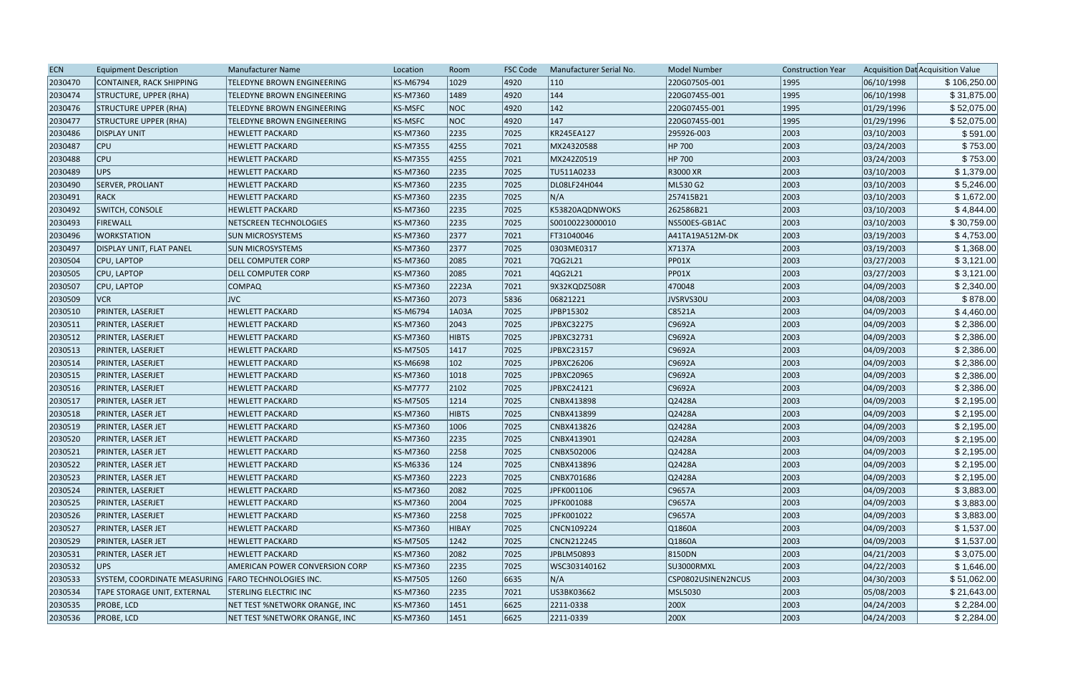| <b>ECN</b> | <b>Equipment Description</b>                        | Manufacturer Name                 | Location        | Room          | <b>FSC Code</b> | Manufacturer Serial No. | <b>Model Number</b> | <b>Construction Year</b> |            | Acquisition Dat Acquisition Value |
|------------|-----------------------------------------------------|-----------------------------------|-----------------|---------------|-----------------|-------------------------|---------------------|--------------------------|------------|-----------------------------------|
| 2030470    | CONTAINER, RACK SHIPPING                            | TELEDYNE BROWN ENGINEERING        | <b>KS-M6794</b> | 1029          | 4920            | $ 110\rangle$           | 220G07505-001       | 1995                     | 06/10/1998 | \$106,250.00                      |
| 2030474    | <b>STRUCTURE, UPPER (RHA)</b>                       | <b>TELEDYNE BROWN ENGINEERING</b> | <b>KS-M7360</b> | 1489          | 4920            | 144                     | 220G07455-001       | 1995                     | 06/10/1998 | \$31,875.00                       |
| 2030476    | <b>STRUCTURE UPPER (RHA)</b>                        | TELEDYNE BROWN ENGINEERING        | <b>KS-MSFC</b>  | NOC           | 4920            | $ 142\rangle$           | 220G07455-001       | 1995                     | 01/29/1996 | \$52,075.00                       |
| 2030477    | <b>STRUCTURE UPPER (RHA)</b>                        | <b>TELEDYNE BROWN ENGINEERING</b> | <b>KS-MSFC</b>  | NOC           | 4920            | $ 147\rangle$           | 220G07455-001       | 1995                     | 01/29/1996 | \$52,075.00                       |
| 2030486    | <b>DISPLAY UNIT</b>                                 | <b>HEWLETT PACKARD</b>            | <b>KS-M7360</b> | 2235          | 7025            | KR245EA127              | 295926-003          | 2003                     | 03/10/2003 | \$591.00                          |
| 2030487    | <b>CPU</b>                                          | <b>HEWLETT PACKARD</b>            | <b>KS-M7355</b> | 4255          | 7021            | MX24320588              | HP 700              | 2003                     | 03/24/2003 | \$753.00                          |
| 2030488    | CPU                                                 | <b>HEWLETT PACKARD</b>            | KS-M7355        | 4255          | 7021            | MX242Z0519              | HP 700              | 2003                     | 03/24/2003 | \$753.00                          |
| 2030489    | <b>UPS</b>                                          | <b>HEWLETT PACKARD</b>            | KS-M7360        | 2235          | 7025            | TU511A0233              | <b>R3000 XR</b>     | 2003                     | 03/10/2003 | \$1,379.00                        |
| 2030490    | <b>SERVER, PROLIANT</b>                             | <b>HEWLETT PACKARD</b>            | <b>KS-M7360</b> | 2235          | 7025            | DL08LF24H044            | ML530 G2            | 2003                     | 03/10/2003 | \$5,246.00                        |
| 2030491    | RACK                                                | <b>HEWLETT PACKARD</b>            | <b>KS-M7360</b> | 2235          | 7025            | N/A                     | 257415B21           | 2003                     | 03/10/2003 | \$1,672.00                        |
| 2030492    | SWITCH, CONSOLE                                     | <b>HEWLETT PACKARD</b>            | <b>KS-M7360</b> | 2235          | 7025            | K53820AQDNWOKS          | 262586B21           | 2003                     | 03/10/2003 | \$4,844.00                        |
| 2030493    | FIREWALL                                            | NETSCREEN TECHNOLOGIES            | KS-M7360        | 2235          | 7025            | S00100223000010         | NS500ES-GB1AC       | 2003                     | 03/10/2003 | \$30,759.00                       |
| 2030496    | <b>WORKSTATION</b>                                  | <b>SUN MICROSYSTEMS</b>           | <b>KS-M7360</b> | 2377          | 7021            | FT31040046              | A41TA19A512M-DK     | 2003                     | 03/19/2003 | \$4,753.00                        |
| 2030497    | <b>DISPLAY UNIT, FLAT PANEL</b>                     | <b>SUN MICROSYSTEMS</b>           | KS-M7360        | 2377          | 7025            | 0303ME0317              | X7137A              | 2003                     | 03/19/2003 | \$1,368.00                        |
| 2030504    | CPU, LAPTOP                                         | <b>DELL COMPUTER CORP</b>         | <b>KS-M7360</b> | 2085          | 7021            | 7QG2L21                 | PP01X               | 2003                     | 03/27/2003 | \$3,121.00                        |
| 2030505    | CPU, LAPTOP                                         | <b>DELL COMPUTER CORP</b>         | <b>KS-M7360</b> | 2085          | 7021            | 4QG2L21                 | PP01X               | 2003                     | 03/27/2003 | \$3,121.00                        |
| 2030507    | CPU, LAPTOP                                         | <b>COMPAQ</b>                     | <b>KS-M7360</b> | 2223A         | 7021            | 9X32KQDZ508R            | 470048              | 2003                     | 04/09/2003 | \$2,340.00                        |
| 2030509    | <b>VCR</b>                                          | <b>JVC</b>                        | KS-M7360        | 2073          | 5836            | 06821221                | JVSRVS30U           | 2003                     | 04/08/2003 | \$878.00                          |
| 2030510    | PRINTER, LASERJET                                   | <b>HEWLETT PACKARD</b>            | <b>KS-M6794</b> | 1A03A         | 7025            | JPBP15302               | C8521A              | 2003                     | 04/09/2003 | \$4,460.00                        |
| 2030511    | PRINTER, LASERJET                                   | <b>HEWLETT PACKARD</b>            | KS-M7360        | 2043          | 7025            | JPBXC32275              | C9692A              | 2003                     | 04/09/2003 | \$2,386.00                        |
| 2030512    | PRINTER, LASERJET                                   | <b>HEWLETT PACKARD</b>            | <b>KS-M7360</b> | <b>HIBTS</b>  | 7025            | JPBXC32731              | C9692A              | 2003                     | 04/09/2003 | \$2,386.00                        |
| 2030513    | PRINTER, LASERJET                                   | <b>HEWLETT PACKARD</b>            | <b>KS-M7505</b> | 1417          | 7025            | JPBXC23157              | C9692A              | 2003                     | 04/09/2003 | \$2,386.00                        |
| 2030514    | PRINTER, LASERJET                                   | <b>HEWLETT PACKARD</b>            | <b>KS-M6698</b> | $ 102\rangle$ | 7025            | JPBXC26206              | C9692A              | 2003                     | 04/09/2003 | \$2,386.00                        |
| 2030515    | PRINTER, LASERJET                                   | <b>HEWLETT PACKARD</b>            | <b>KS-M7360</b> | 1018          | 7025            | JPBXC20965              | C9692A              | 2003                     | 04/09/2003 | \$2,386.00                        |
| 2030516    | PRINTER, LASERJET                                   | <b>HEWLETT PACKARD</b>            | <b>KS-M7777</b> | 2102          | 7025            | JPBXC24121              | C9692A              | 2003                     | 04/09/2003 | \$2,386.00                        |
| 2030517    | PRINTER, LASER JET                                  | <b>HEWLETT PACKARD</b>            | <b>KS-M7505</b> | 1214          | 7025            | CNBX413898              | Q2428A              | 2003                     | 04/09/2003 | \$2,195.00                        |
| 2030518    | PRINTER, LASER JET                                  | <b>HEWLETT PACKARD</b>            | <b>KS-M7360</b> | <b>HIBTS</b>  | 7025            | CNBX413899              | Q2428A              | 2003                     | 04/09/2003 | \$2,195.00                        |
| 2030519    | PRINTER, LASER JET                                  | <b>HEWLETT PACKARD</b>            | KS-M7360        | 1006          | 7025            | CNBX413826              | Q2428A              | 2003                     | 04/09/2003 | \$2,195.00                        |
| 2030520    | PRINTER, LASER JET                                  | <b>HEWLETT PACKARD</b>            | <b>KS-M7360</b> | 2235          | 7025            | CNBX413901              | Q2428A              | 2003                     | 04/09/2003 | \$2,195.00                        |
| 2030521    | PRINTER, LASER JET                                  | <b>HEWLETT PACKARD</b>            | KS-M7360        | 2258          | 7025            | CNBX502006              | Q2428A              | 2003                     | 04/09/2003 | \$2,195.00                        |
| 2030522    | PRINTER, LASER JET                                  | <b>HEWLETT PACKARD</b>            | KS-M6336        | 124           | 7025            | CNBX413896              | Q2428A              | 2003                     | 04/09/2003 | \$2,195.00                        |
| 2030523    | PRINTER, LASER JET                                  | <b>HEWLETT PACKARD</b>            | KS-M7360        | 2223          | 7025            | CNBX701686              | Q2428A              | 2003                     | 04/09/2003 | \$2,195.00                        |
| 2030524    | PRINTER, LASERJET                                   | <b>HEWLETT PACKARD</b>            | <b>KS-M7360</b> | 2082          | 7025            | JPFK001106              | $\big $ C9657A      | 2003                     | 04/09/2003 | \$3,883.00                        |
| 2030525    | PRINTER, LASERJET                                   | <b>HEWLETT PACKARD</b>            | <b>KS-M7360</b> | 2004          | 7025            | JPFK001088              | $\vert$ C9657A      | 2003                     | 04/09/2003 | \$3,883.00                        |
| 2030526    | PRINTER, LASERJET                                   | <b>HEWLETT PACKARD</b>            | KS-M7360        | 2258          | 7025            | JPFK001022              | $\big $ C9657A      | 2003                     | 04/09/2003 | \$3,883.00                        |
| 2030527    | PRINTER, LASER JET                                  | <b>HEWLETT PACKARD</b>            | <b>KS-M7360</b> | HIBAY         | 7025            | CNCN109224              | Q1860A              | 2003                     | 04/09/2003 | \$1,537.00                        |
| 2030529    | PRINTER, LASER JET                                  | <b>HEWLETT PACKARD</b>            | <b>KS-M7505</b> | 1242          | 7025            | CNCN212245              | Q1860A              | 2003                     | 04/09/2003 | \$1,537.00                        |
| 2030531    | PRINTER, LASER JET                                  | <b>HEWLETT PACKARD</b>            | <b>KS-M7360</b> | 2082          | 7025            | JPBLM50893              | 8150DN              | 2003                     | 04/21/2003 | \$3,075.00                        |
| 2030532    | UPS                                                 | AMERICAN POWER CONVERSION CORP    | <b>KS-M7360</b> | 2235          | 7025            | WSC303140162            | SU3000RMXL          | 2003                     | 04/22/2003 | \$1,646.00                        |
| 2030533    | SYSTEM, COORDINATE MEASURING FARO TECHNOLOGIES INC. |                                   | <b>KS-M7505</b> | 1260          | 6635            | N/A                     | CSP0802USINEN2NCUS  | 2003                     | 04/30/2003 | \$51,062.00                       |
| 2030534    | <b>TAPE STORAGE UNIT, EXTERNAL</b>                  | <b>STERLING ELECTRIC INC</b>      | KS-M7360        | 2235          | 7021            | US3BK03662              | MSL5030             | 2003                     | 05/08/2003 | \$21,643.00                       |
| 2030535    | <b>PROBE, LCD</b>                                   | NET TEST %NETWORK ORANGE, INC     | KS-M7360        | 1451          | 6625            | 2211-0338               | 200X                | 2003                     | 04/24/2003 | \$2,284.00                        |
| 2030536    | <b>PROBE, LCD</b>                                   | NET TEST %NETWORK ORANGE, INC     | <b>KS-M7360</b> | 1451          | 6625            | 2211-0339               | 200X                | 2003                     | 04/24/2003 | \$2,284.00                        |
|            |                                                     |                                   |                 |               |                 |                         |                     |                          |            |                                   |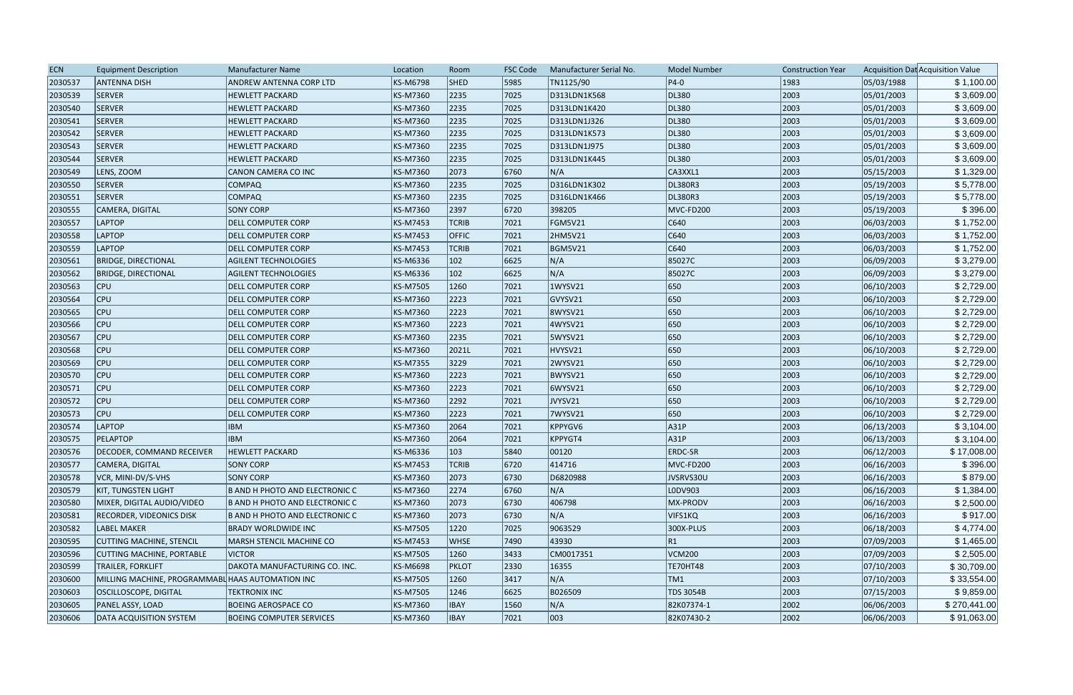| 5985<br>05/03/1988<br>2030537<br><b>ANTENNA DISH</b><br>KS-M6798<br><b>SHED</b><br>TN1125/90<br>$ P4-0 $<br>1983<br>\$1,100.00<br>ANDREW ANTENNA CORP LTD<br><b>SERVER</b><br>7025<br>DL380<br>2003<br>2030539<br><b>HEWLETT PACKARD</b><br>KS-M7360<br>2235<br>D313LDN1K568<br>05/01/2003<br>\$3,609.00<br>2003<br>\$3,609.00<br>2030540<br><b>SERVER</b><br><b>HEWLETT PACKARD</b><br>KS-M7360<br>2235<br>7025<br>D313LDN1K420<br>DL380<br>05/01/2003<br>\$3,609.00<br><b>SERVER</b><br>7025<br>2003<br>05/01/2003<br>2030541<br><b>HEWLETT PACKARD</b><br>KS-M7360<br>2235<br>D313LDN1J326<br>DL380<br>2003<br>SERVER<br>KS-M7360<br>2235<br>7025<br>DL380<br>05/01/2003<br>\$3,609.00<br>2030542<br><b>HEWLETT PACKARD</b><br>D313LDN1K573<br>05/01/2003<br>\$3,609.00<br>2030543<br><b>SERVER</b><br><b>HEWLETT PACKARD</b><br>KS-M7360<br>2235<br>7025<br>D313LDN1J975<br>DL380<br>2003<br>2003<br>\$3,609.00<br>2030544<br><b>SERVER</b><br><b>HEWLETT PACKARD</b><br>KS-M7360<br>2235<br>7025<br>D313LDN1K445<br>DL380<br>05/01/2003<br>\$1,329.00<br>2030549<br>KS-M7360<br>2073<br>6760<br>N/A<br>2003<br>05/15/2003<br>LENS, ZOOM<br>CANON CAMERA CO INC<br>CA3XXL1<br>DL380R3<br>2003<br>2030550<br><b>SERVER</b><br><b>COMPAQ</b><br>KS-M7360<br>2235<br> 7025<br>D316LDN1K302<br>05/19/2003<br>\$5,778.00<br>\$5,778.00<br>SERVER<br>2003<br>2030551<br><b>COMPAQ</b><br>KS-M7360<br>2235<br> 7025 <br>D316LDN1K466<br>DL380R3<br>05/19/2003<br>\$396.00<br>MVC-FD200<br><b>SONY CORP</b><br>KS-M7360<br>2397<br>6720<br>398205<br>2003<br>05/19/2003<br>2030555<br>CAMERA, DIGITAL<br>LAPTOP<br> C640<br>2003<br>06/03/2003<br>2030557<br><b>DELL COMPUTER CORP</b><br>KS-M7453<br><b>TCRIB</b><br>7021<br>FGM5V21<br>\$1,752.00<br> C640<br>\$1,752.00<br>2030558<br>LAPTOP<br><b>OFFIC</b><br>7021<br>2HM5V21<br>2003<br>06/03/2003<br><b>DELL COMPUTER CORP</b><br>KS-M7453<br> C640<br>2003<br><b>LAPTOP</b><br> 7021<br><b>BGM5V21</b><br>06/03/2003<br>\$1,752.00<br>2030559<br><b>DELL COMPUTER CORP</b><br>KS-M7453<br><b>TCRIB</b><br>\$3,279.00<br>2030561<br><b>BRIDGE, DIRECTIONAL</b><br>KS-M6336<br>102<br>6625<br>N/A<br>85027C<br>2003<br>06/09/2003<br><b>AGILENT TECHNOLOGIES</b><br>N/A<br>102<br>85027C<br>2003<br>06/09/2003<br>2030562<br>KS-M6336<br>6625<br>\$3,279.00<br><b>BRIDGE, DIRECTIONAL</b><br><b>AGILENT TECHNOLOGIES</b><br>650<br> 7021<br>2003<br>06/10/2003<br>\$2,729.00<br>2030563<br>CPU<br>KS-M7505<br>1260<br>1WYSV21<br>DELL COMPUTER CORP<br>\$2,729.00<br>2030564<br>GVYSV21<br>650<br>2003<br>06/10/2003<br><b>CPU</b><br>KS-M7360<br>2223<br>7021<br><b>DELL COMPUTER CORP</b><br>650<br>2003<br><b>CPU</b><br>2223<br>7021<br>06/10/2003<br>2030565<br><b>DELL COMPUTER CORP</b><br>KS-M7360<br>8WYSV21<br>\$2,729.00<br>650<br>\$2,729.00<br>2030566<br><b>CPU</b><br>KS-M7360<br>2223<br> 7021<br>4WYSV21<br>2003<br>06/10/2003<br><b>DELL COMPUTER CORP</b><br>650<br>\$2,729.00<br><b>CPU</b><br>5WYSV21<br>2003<br>06/10/2003<br>2030567<br>KS-M7360<br>2235<br> 7021<br><b>DELL COMPUTER CORP</b><br>HVYSV21<br>650<br>2003<br>\$2,729.00<br>2030568<br><b>CPU</b><br><b>DELL COMPUTER CORP</b><br>KS-M7360<br>2021L<br> 7021<br>06/10/2003<br>650<br>2030569<br><b>CPU</b><br>3229<br> 7021<br>2WYSV21<br>2003<br>06/10/2003<br>\$2,729.00<br><b>DELL COMPUTER CORP</b><br>KS-M7355<br>650<br>2003<br>\$2,729.00<br>2030570<br><b>CPU</b><br>KS-M7360<br>2223<br>7021<br>BWYSV21<br>06/10/2003<br><b>DELL COMPUTER CORP</b><br>\$2,729.00<br>650<br>06/10/2003<br>2030571<br><b>CPU</b><br>KS-M7360<br>2223<br>7021<br>6WYSV21<br>2003<br><b>DELL COMPUTER CORP</b><br>650<br>2030572<br>2292<br>JVYSV21<br>2003<br>06/10/2003<br><b>CPU</b><br><b>DELL COMPUTER CORP</b><br>KS-M7360<br> 7021<br>\$2,729.00<br>2030573<br><b>CPU</b><br>KS-M7360<br> 7021<br>7WYSV21<br>650<br>2003<br>\$2,729.00<br>2223<br>06/10/2003<br><b>DELL COMPUTER CORP</b><br><b>LAPTOP</b><br><b>IBM</b><br>KPPYGV6<br>A31P<br>2003<br>06/13/2003<br>\$3,104.00<br>2030574<br>KS-M7360<br>2064<br> 7021<br><b>IBM</b><br>A31P<br>2003<br>\$3,104.00<br>2030575<br><b>PELAPTOP</b><br>KS-M7360<br>2064<br>7021<br>KPPYGT4<br>06/13/2003<br>103<br>5840<br>2003<br>06/12/2003<br>2030576<br><b>HEWLETT PACKARD</b><br>KS-M6336<br>00120<br><b>ERDC-SR</b><br>\$17,008.00<br>DECODER, COMMAND RECEIVER<br>\$396.00<br>KS-M7453<br>6720<br>414716<br>MVC-FD200<br>2003<br>2030577<br>CAMERA, DIGITAL<br><b>SONY CORP</b><br><b>TCRIB</b><br>06/16/2003<br>\$879.00<br>2030578<br><b>SONY CORP</b><br>KS-M7360<br>6730<br>D6820988<br>JVSRVS30U<br>2003<br>06/16/2003<br>VCR, MINI-DV/S-VHS<br>2073<br>N/A<br>2003<br>\$1,384.00<br>2030579<br>KS-M7360<br>2274<br>L0DV903<br>06/16/2003<br><b>KIT, TUNGSTEN LIGHT</b><br><b>B AND H PHOTO AND ELECTRONIC C</b><br>6760<br>2030580<br>MIXER, DIGITAL AUDIO/VIDEO<br>KS-M7360<br> 6730 <br>406798<br>MX-PRODV<br>2003<br>06/16/2003<br>\$2,500.00<br>B AND H PHOTO AND ELECTRONIC C<br>2073<br>N/A<br>06/16/2003<br>\$917.00<br>2030581<br>KS-M7360<br>2073<br> 6730 <br>VIFS1KQ<br>2003<br><b>RECORDER, VIDEONICS DISK</b><br>B AND H PHOTO AND ELECTRONIC C<br>\$4,774.00<br>2003<br>2030582<br>LABEL MAKER<br>KS-M7505<br>1220<br> 7025 <br>9063529<br>300X-PLUS<br>06/18/2003<br><b>BRADY WORLDWIDE INC</b><br>2030595<br><b>CUTTING MACHINE, STENCIL</b><br>KS-M7453<br>43930<br> R1<br>2003<br>07/09/2003<br>\$1,465.00<br>MARSH STENCIL MACHINE CO<br><b>WHSE</b><br> 7490<br>\$2,505.00<br>2030596<br> 3433<br>CM0017351<br>VCM200<br>2003<br>07/09/2003<br><b>CUTTING MACHINE, PORTABLE</b><br><b>VICTOR</b><br>KS-M7505<br>1260<br>\$30,709.00<br>2030599<br><b>TRAILER, FORKLIFT</b><br>KS-M6698<br><b>PKLOT</b><br> 2330 <br>16355<br><b>TE70HT48</b><br>2003<br> 07/10/2003 <br>DAKOTA MANUFACTURING CO. INC.<br>N/A<br>TM1<br>2003<br>\$33,554.00<br>2030600<br>MILLING MACHINE, PROGRAMMABL HAAS AUTOMATION INC<br>KS-M7505<br>1260<br> 3417<br>07/10/2003 | <b>ECN</b> | <b>Equipment Description</b> | <b>Manufacturer Name</b> | Location | Room | <b>FSC Code</b> | Manufacturer Serial No. | <b>Model Number</b> | <b>Construction Year</b> | Acquisition Dat Acquisition Value |
|------------------------------------------------------------------------------------------------------------------------------------------------------------------------------------------------------------------------------------------------------------------------------------------------------------------------------------------------------------------------------------------------------------------------------------------------------------------------------------------------------------------------------------------------------------------------------------------------------------------------------------------------------------------------------------------------------------------------------------------------------------------------------------------------------------------------------------------------------------------------------------------------------------------------------------------------------------------------------------------------------------------------------------------------------------------------------------------------------------------------------------------------------------------------------------------------------------------------------------------------------------------------------------------------------------------------------------------------------------------------------------------------------------------------------------------------------------------------------------------------------------------------------------------------------------------------------------------------------------------------------------------------------------------------------------------------------------------------------------------------------------------------------------------------------------------------------------------------------------------------------------------------------------------------------------------------------------------------------------------------------------------------------------------------------------------------------------------------------------------------------------------------------------------------------------------------------------------------------------------------------------------------------------------------------------------------------------------------------------------------------------------------------------------------------------------------------------------------------------------------------------------------------------------------------------------------------------------------------------------------------------------------------------------------------------------------------------------------------------------------------------------------------------------------------------------------------------------------------------------------------------------------------------------------------------------------------------------------------------------------------------------------------------------------------------------------------------------------------------------------------------------------------------------------------------------------------------------------------------------------------------------------------------------------------------------------------------------------------------------------------------------------------------------------------------------------------------------------------------------------------------------------------------------------------------------------------------------------------------------------------------------------------------------------------------------------------------------------------------------------------------------------------------------------------------------------------------------------------------------------------------------------------------------------------------------------------------------------------------------------------------------------------------------------------------------------------------------------------------------------------------------------------------------------------------------------------------------------------------------------------------------------------------------------------------------------------------------------------------------------------------------------------------------------------------------------------------------------------------------------------------------------------------------------------------------------------------------------------------------------------------------------------------------------------------------------------------------------------------------------------------------------------------------------------------------------------------------------------------------------------------------------------------------------------------------------------------------------------------------------------------------------------------------------------------------------------------------------------------------------------------------------------------------------------------------------------------------------------------------------------------------------------------------------------------------------------------------------------------------------------------------------------------------------------------------------------------------------------------------------------------------------------------------------------------------------------------------------------------------------------------------------------------------------------------------------------------------------------------------------------------------------------------------------------------------------------------------------------------------------------------------------------------------------------------------------------------------------|------------|------------------------------|--------------------------|----------|------|-----------------|-------------------------|---------------------|--------------------------|-----------------------------------|
|                                                                                                                                                                                                                                                                                                                                                                                                                                                                                                                                                                                                                                                                                                                                                                                                                                                                                                                                                                                                                                                                                                                                                                                                                                                                                                                                                                                                                                                                                                                                                                                                                                                                                                                                                                                                                                                                                                                                                                                                                                                                                                                                                                                                                                                                                                                                                                                                                                                                                                                                                                                                                                                                                                                                                                                                                                                                                                                                                                                                                                                                                                                                                                                                                                                                                                                                                                                                                                                                                                                                                                                                                                                                                                                                                                                                                                                                                                                                                                                                                                                                                                                                                                                                                                                                                                                                                                                                                                                                                                                                                                                                                                                                                                                                                                                                                                                                                                                                                                                                                                                                                                                                                                                                                                                                                                                                                                                                                                                                                                                                                                                                                                                                                                                                                                                                                                                                                                                                                                        |            |                              |                          |          |      |                 |                         |                     |                          |                                   |
|                                                                                                                                                                                                                                                                                                                                                                                                                                                                                                                                                                                                                                                                                                                                                                                                                                                                                                                                                                                                                                                                                                                                                                                                                                                                                                                                                                                                                                                                                                                                                                                                                                                                                                                                                                                                                                                                                                                                                                                                                                                                                                                                                                                                                                                                                                                                                                                                                                                                                                                                                                                                                                                                                                                                                                                                                                                                                                                                                                                                                                                                                                                                                                                                                                                                                                                                                                                                                                                                                                                                                                                                                                                                                                                                                                                                                                                                                                                                                                                                                                                                                                                                                                                                                                                                                                                                                                                                                                                                                                                                                                                                                                                                                                                                                                                                                                                                                                                                                                                                                                                                                                                                                                                                                                                                                                                                                                                                                                                                                                                                                                                                                                                                                                                                                                                                                                                                                                                                                                        |            |                              |                          |          |      |                 |                         |                     |                          |                                   |
|                                                                                                                                                                                                                                                                                                                                                                                                                                                                                                                                                                                                                                                                                                                                                                                                                                                                                                                                                                                                                                                                                                                                                                                                                                                                                                                                                                                                                                                                                                                                                                                                                                                                                                                                                                                                                                                                                                                                                                                                                                                                                                                                                                                                                                                                                                                                                                                                                                                                                                                                                                                                                                                                                                                                                                                                                                                                                                                                                                                                                                                                                                                                                                                                                                                                                                                                                                                                                                                                                                                                                                                                                                                                                                                                                                                                                                                                                                                                                                                                                                                                                                                                                                                                                                                                                                                                                                                                                                                                                                                                                                                                                                                                                                                                                                                                                                                                                                                                                                                                                                                                                                                                                                                                                                                                                                                                                                                                                                                                                                                                                                                                                                                                                                                                                                                                                                                                                                                                                                        |            |                              |                          |          |      |                 |                         |                     |                          |                                   |
|                                                                                                                                                                                                                                                                                                                                                                                                                                                                                                                                                                                                                                                                                                                                                                                                                                                                                                                                                                                                                                                                                                                                                                                                                                                                                                                                                                                                                                                                                                                                                                                                                                                                                                                                                                                                                                                                                                                                                                                                                                                                                                                                                                                                                                                                                                                                                                                                                                                                                                                                                                                                                                                                                                                                                                                                                                                                                                                                                                                                                                                                                                                                                                                                                                                                                                                                                                                                                                                                                                                                                                                                                                                                                                                                                                                                                                                                                                                                                                                                                                                                                                                                                                                                                                                                                                                                                                                                                                                                                                                                                                                                                                                                                                                                                                                                                                                                                                                                                                                                                                                                                                                                                                                                                                                                                                                                                                                                                                                                                                                                                                                                                                                                                                                                                                                                                                                                                                                                                                        |            |                              |                          |          |      |                 |                         |                     |                          |                                   |
|                                                                                                                                                                                                                                                                                                                                                                                                                                                                                                                                                                                                                                                                                                                                                                                                                                                                                                                                                                                                                                                                                                                                                                                                                                                                                                                                                                                                                                                                                                                                                                                                                                                                                                                                                                                                                                                                                                                                                                                                                                                                                                                                                                                                                                                                                                                                                                                                                                                                                                                                                                                                                                                                                                                                                                                                                                                                                                                                                                                                                                                                                                                                                                                                                                                                                                                                                                                                                                                                                                                                                                                                                                                                                                                                                                                                                                                                                                                                                                                                                                                                                                                                                                                                                                                                                                                                                                                                                                                                                                                                                                                                                                                                                                                                                                                                                                                                                                                                                                                                                                                                                                                                                                                                                                                                                                                                                                                                                                                                                                                                                                                                                                                                                                                                                                                                                                                                                                                                                                        |            |                              |                          |          |      |                 |                         |                     |                          |                                   |
|                                                                                                                                                                                                                                                                                                                                                                                                                                                                                                                                                                                                                                                                                                                                                                                                                                                                                                                                                                                                                                                                                                                                                                                                                                                                                                                                                                                                                                                                                                                                                                                                                                                                                                                                                                                                                                                                                                                                                                                                                                                                                                                                                                                                                                                                                                                                                                                                                                                                                                                                                                                                                                                                                                                                                                                                                                                                                                                                                                                                                                                                                                                                                                                                                                                                                                                                                                                                                                                                                                                                                                                                                                                                                                                                                                                                                                                                                                                                                                                                                                                                                                                                                                                                                                                                                                                                                                                                                                                                                                                                                                                                                                                                                                                                                                                                                                                                                                                                                                                                                                                                                                                                                                                                                                                                                                                                                                                                                                                                                                                                                                                                                                                                                                                                                                                                                                                                                                                                                                        |            |                              |                          |          |      |                 |                         |                     |                          |                                   |
|                                                                                                                                                                                                                                                                                                                                                                                                                                                                                                                                                                                                                                                                                                                                                                                                                                                                                                                                                                                                                                                                                                                                                                                                                                                                                                                                                                                                                                                                                                                                                                                                                                                                                                                                                                                                                                                                                                                                                                                                                                                                                                                                                                                                                                                                                                                                                                                                                                                                                                                                                                                                                                                                                                                                                                                                                                                                                                                                                                                                                                                                                                                                                                                                                                                                                                                                                                                                                                                                                                                                                                                                                                                                                                                                                                                                                                                                                                                                                                                                                                                                                                                                                                                                                                                                                                                                                                                                                                                                                                                                                                                                                                                                                                                                                                                                                                                                                                                                                                                                                                                                                                                                                                                                                                                                                                                                                                                                                                                                                                                                                                                                                                                                                                                                                                                                                                                                                                                                                                        |            |                              |                          |          |      |                 |                         |                     |                          |                                   |
|                                                                                                                                                                                                                                                                                                                                                                                                                                                                                                                                                                                                                                                                                                                                                                                                                                                                                                                                                                                                                                                                                                                                                                                                                                                                                                                                                                                                                                                                                                                                                                                                                                                                                                                                                                                                                                                                                                                                                                                                                                                                                                                                                                                                                                                                                                                                                                                                                                                                                                                                                                                                                                                                                                                                                                                                                                                                                                                                                                                                                                                                                                                                                                                                                                                                                                                                                                                                                                                                                                                                                                                                                                                                                                                                                                                                                                                                                                                                                                                                                                                                                                                                                                                                                                                                                                                                                                                                                                                                                                                                                                                                                                                                                                                                                                                                                                                                                                                                                                                                                                                                                                                                                                                                                                                                                                                                                                                                                                                                                                                                                                                                                                                                                                                                                                                                                                                                                                                                                                        |            |                              |                          |          |      |                 |                         |                     |                          |                                   |
|                                                                                                                                                                                                                                                                                                                                                                                                                                                                                                                                                                                                                                                                                                                                                                                                                                                                                                                                                                                                                                                                                                                                                                                                                                                                                                                                                                                                                                                                                                                                                                                                                                                                                                                                                                                                                                                                                                                                                                                                                                                                                                                                                                                                                                                                                                                                                                                                                                                                                                                                                                                                                                                                                                                                                                                                                                                                                                                                                                                                                                                                                                                                                                                                                                                                                                                                                                                                                                                                                                                                                                                                                                                                                                                                                                                                                                                                                                                                                                                                                                                                                                                                                                                                                                                                                                                                                                                                                                                                                                                                                                                                                                                                                                                                                                                                                                                                                                                                                                                                                                                                                                                                                                                                                                                                                                                                                                                                                                                                                                                                                                                                                                                                                                                                                                                                                                                                                                                                                                        |            |                              |                          |          |      |                 |                         |                     |                          |                                   |
|                                                                                                                                                                                                                                                                                                                                                                                                                                                                                                                                                                                                                                                                                                                                                                                                                                                                                                                                                                                                                                                                                                                                                                                                                                                                                                                                                                                                                                                                                                                                                                                                                                                                                                                                                                                                                                                                                                                                                                                                                                                                                                                                                                                                                                                                                                                                                                                                                                                                                                                                                                                                                                                                                                                                                                                                                                                                                                                                                                                                                                                                                                                                                                                                                                                                                                                                                                                                                                                                                                                                                                                                                                                                                                                                                                                                                                                                                                                                                                                                                                                                                                                                                                                                                                                                                                                                                                                                                                                                                                                                                                                                                                                                                                                                                                                                                                                                                                                                                                                                                                                                                                                                                                                                                                                                                                                                                                                                                                                                                                                                                                                                                                                                                                                                                                                                                                                                                                                                                                        |            |                              |                          |          |      |                 |                         |                     |                          |                                   |
|                                                                                                                                                                                                                                                                                                                                                                                                                                                                                                                                                                                                                                                                                                                                                                                                                                                                                                                                                                                                                                                                                                                                                                                                                                                                                                                                                                                                                                                                                                                                                                                                                                                                                                                                                                                                                                                                                                                                                                                                                                                                                                                                                                                                                                                                                                                                                                                                                                                                                                                                                                                                                                                                                                                                                                                                                                                                                                                                                                                                                                                                                                                                                                                                                                                                                                                                                                                                                                                                                                                                                                                                                                                                                                                                                                                                                                                                                                                                                                                                                                                                                                                                                                                                                                                                                                                                                                                                                                                                                                                                                                                                                                                                                                                                                                                                                                                                                                                                                                                                                                                                                                                                                                                                                                                                                                                                                                                                                                                                                                                                                                                                                                                                                                                                                                                                                                                                                                                                                                        |            |                              |                          |          |      |                 |                         |                     |                          |                                   |
|                                                                                                                                                                                                                                                                                                                                                                                                                                                                                                                                                                                                                                                                                                                                                                                                                                                                                                                                                                                                                                                                                                                                                                                                                                                                                                                                                                                                                                                                                                                                                                                                                                                                                                                                                                                                                                                                                                                                                                                                                                                                                                                                                                                                                                                                                                                                                                                                                                                                                                                                                                                                                                                                                                                                                                                                                                                                                                                                                                                                                                                                                                                                                                                                                                                                                                                                                                                                                                                                                                                                                                                                                                                                                                                                                                                                                                                                                                                                                                                                                                                                                                                                                                                                                                                                                                                                                                                                                                                                                                                                                                                                                                                                                                                                                                                                                                                                                                                                                                                                                                                                                                                                                                                                                                                                                                                                                                                                                                                                                                                                                                                                                                                                                                                                                                                                                                                                                                                                                                        |            |                              |                          |          |      |                 |                         |                     |                          |                                   |
|                                                                                                                                                                                                                                                                                                                                                                                                                                                                                                                                                                                                                                                                                                                                                                                                                                                                                                                                                                                                                                                                                                                                                                                                                                                                                                                                                                                                                                                                                                                                                                                                                                                                                                                                                                                                                                                                                                                                                                                                                                                                                                                                                                                                                                                                                                                                                                                                                                                                                                                                                                                                                                                                                                                                                                                                                                                                                                                                                                                                                                                                                                                                                                                                                                                                                                                                                                                                                                                                                                                                                                                                                                                                                                                                                                                                                                                                                                                                                                                                                                                                                                                                                                                                                                                                                                                                                                                                                                                                                                                                                                                                                                                                                                                                                                                                                                                                                                                                                                                                                                                                                                                                                                                                                                                                                                                                                                                                                                                                                                                                                                                                                                                                                                                                                                                                                                                                                                                                                                        |            |                              |                          |          |      |                 |                         |                     |                          |                                   |
|                                                                                                                                                                                                                                                                                                                                                                                                                                                                                                                                                                                                                                                                                                                                                                                                                                                                                                                                                                                                                                                                                                                                                                                                                                                                                                                                                                                                                                                                                                                                                                                                                                                                                                                                                                                                                                                                                                                                                                                                                                                                                                                                                                                                                                                                                                                                                                                                                                                                                                                                                                                                                                                                                                                                                                                                                                                                                                                                                                                                                                                                                                                                                                                                                                                                                                                                                                                                                                                                                                                                                                                                                                                                                                                                                                                                                                                                                                                                                                                                                                                                                                                                                                                                                                                                                                                                                                                                                                                                                                                                                                                                                                                                                                                                                                                                                                                                                                                                                                                                                                                                                                                                                                                                                                                                                                                                                                                                                                                                                                                                                                                                                                                                                                                                                                                                                                                                                                                                                                        |            |                              |                          |          |      |                 |                         |                     |                          |                                   |
|                                                                                                                                                                                                                                                                                                                                                                                                                                                                                                                                                                                                                                                                                                                                                                                                                                                                                                                                                                                                                                                                                                                                                                                                                                                                                                                                                                                                                                                                                                                                                                                                                                                                                                                                                                                                                                                                                                                                                                                                                                                                                                                                                                                                                                                                                                                                                                                                                                                                                                                                                                                                                                                                                                                                                                                                                                                                                                                                                                                                                                                                                                                                                                                                                                                                                                                                                                                                                                                                                                                                                                                                                                                                                                                                                                                                                                                                                                                                                                                                                                                                                                                                                                                                                                                                                                                                                                                                                                                                                                                                                                                                                                                                                                                                                                                                                                                                                                                                                                                                                                                                                                                                                                                                                                                                                                                                                                                                                                                                                                                                                                                                                                                                                                                                                                                                                                                                                                                                                                        |            |                              |                          |          |      |                 |                         |                     |                          |                                   |
|                                                                                                                                                                                                                                                                                                                                                                                                                                                                                                                                                                                                                                                                                                                                                                                                                                                                                                                                                                                                                                                                                                                                                                                                                                                                                                                                                                                                                                                                                                                                                                                                                                                                                                                                                                                                                                                                                                                                                                                                                                                                                                                                                                                                                                                                                                                                                                                                                                                                                                                                                                                                                                                                                                                                                                                                                                                                                                                                                                                                                                                                                                                                                                                                                                                                                                                                                                                                                                                                                                                                                                                                                                                                                                                                                                                                                                                                                                                                                                                                                                                                                                                                                                                                                                                                                                                                                                                                                                                                                                                                                                                                                                                                                                                                                                                                                                                                                                                                                                                                                                                                                                                                                                                                                                                                                                                                                                                                                                                                                                                                                                                                                                                                                                                                                                                                                                                                                                                                                                        |            |                              |                          |          |      |                 |                         |                     |                          |                                   |
|                                                                                                                                                                                                                                                                                                                                                                                                                                                                                                                                                                                                                                                                                                                                                                                                                                                                                                                                                                                                                                                                                                                                                                                                                                                                                                                                                                                                                                                                                                                                                                                                                                                                                                                                                                                                                                                                                                                                                                                                                                                                                                                                                                                                                                                                                                                                                                                                                                                                                                                                                                                                                                                                                                                                                                                                                                                                                                                                                                                                                                                                                                                                                                                                                                                                                                                                                                                                                                                                                                                                                                                                                                                                                                                                                                                                                                                                                                                                                                                                                                                                                                                                                                                                                                                                                                                                                                                                                                                                                                                                                                                                                                                                                                                                                                                                                                                                                                                                                                                                                                                                                                                                                                                                                                                                                                                                                                                                                                                                                                                                                                                                                                                                                                                                                                                                                                                                                                                                                                        |            |                              |                          |          |      |                 |                         |                     |                          |                                   |
|                                                                                                                                                                                                                                                                                                                                                                                                                                                                                                                                                                                                                                                                                                                                                                                                                                                                                                                                                                                                                                                                                                                                                                                                                                                                                                                                                                                                                                                                                                                                                                                                                                                                                                                                                                                                                                                                                                                                                                                                                                                                                                                                                                                                                                                                                                                                                                                                                                                                                                                                                                                                                                                                                                                                                                                                                                                                                                                                                                                                                                                                                                                                                                                                                                                                                                                                                                                                                                                                                                                                                                                                                                                                                                                                                                                                                                                                                                                                                                                                                                                                                                                                                                                                                                                                                                                                                                                                                                                                                                                                                                                                                                                                                                                                                                                                                                                                                                                                                                                                                                                                                                                                                                                                                                                                                                                                                                                                                                                                                                                                                                                                                                                                                                                                                                                                                                                                                                                                                                        |            |                              |                          |          |      |                 |                         |                     |                          |                                   |
|                                                                                                                                                                                                                                                                                                                                                                                                                                                                                                                                                                                                                                                                                                                                                                                                                                                                                                                                                                                                                                                                                                                                                                                                                                                                                                                                                                                                                                                                                                                                                                                                                                                                                                                                                                                                                                                                                                                                                                                                                                                                                                                                                                                                                                                                                                                                                                                                                                                                                                                                                                                                                                                                                                                                                                                                                                                                                                                                                                                                                                                                                                                                                                                                                                                                                                                                                                                                                                                                                                                                                                                                                                                                                                                                                                                                                                                                                                                                                                                                                                                                                                                                                                                                                                                                                                                                                                                                                                                                                                                                                                                                                                                                                                                                                                                                                                                                                                                                                                                                                                                                                                                                                                                                                                                                                                                                                                                                                                                                                                                                                                                                                                                                                                                                                                                                                                                                                                                                                                        |            |                              |                          |          |      |                 |                         |                     |                          |                                   |
|                                                                                                                                                                                                                                                                                                                                                                                                                                                                                                                                                                                                                                                                                                                                                                                                                                                                                                                                                                                                                                                                                                                                                                                                                                                                                                                                                                                                                                                                                                                                                                                                                                                                                                                                                                                                                                                                                                                                                                                                                                                                                                                                                                                                                                                                                                                                                                                                                                                                                                                                                                                                                                                                                                                                                                                                                                                                                                                                                                                                                                                                                                                                                                                                                                                                                                                                                                                                                                                                                                                                                                                                                                                                                                                                                                                                                                                                                                                                                                                                                                                                                                                                                                                                                                                                                                                                                                                                                                                                                                                                                                                                                                                                                                                                                                                                                                                                                                                                                                                                                                                                                                                                                                                                                                                                                                                                                                                                                                                                                                                                                                                                                                                                                                                                                                                                                                                                                                                                                                        |            |                              |                          |          |      |                 |                         |                     |                          |                                   |
|                                                                                                                                                                                                                                                                                                                                                                                                                                                                                                                                                                                                                                                                                                                                                                                                                                                                                                                                                                                                                                                                                                                                                                                                                                                                                                                                                                                                                                                                                                                                                                                                                                                                                                                                                                                                                                                                                                                                                                                                                                                                                                                                                                                                                                                                                                                                                                                                                                                                                                                                                                                                                                                                                                                                                                                                                                                                                                                                                                                                                                                                                                                                                                                                                                                                                                                                                                                                                                                                                                                                                                                                                                                                                                                                                                                                                                                                                                                                                                                                                                                                                                                                                                                                                                                                                                                                                                                                                                                                                                                                                                                                                                                                                                                                                                                                                                                                                                                                                                                                                                                                                                                                                                                                                                                                                                                                                                                                                                                                                                                                                                                                                                                                                                                                                                                                                                                                                                                                                                        |            |                              |                          |          |      |                 |                         |                     |                          |                                   |
|                                                                                                                                                                                                                                                                                                                                                                                                                                                                                                                                                                                                                                                                                                                                                                                                                                                                                                                                                                                                                                                                                                                                                                                                                                                                                                                                                                                                                                                                                                                                                                                                                                                                                                                                                                                                                                                                                                                                                                                                                                                                                                                                                                                                                                                                                                                                                                                                                                                                                                                                                                                                                                                                                                                                                                                                                                                                                                                                                                                                                                                                                                                                                                                                                                                                                                                                                                                                                                                                                                                                                                                                                                                                                                                                                                                                                                                                                                                                                                                                                                                                                                                                                                                                                                                                                                                                                                                                                                                                                                                                                                                                                                                                                                                                                                                                                                                                                                                                                                                                                                                                                                                                                                                                                                                                                                                                                                                                                                                                                                                                                                                                                                                                                                                                                                                                                                                                                                                                                                        |            |                              |                          |          |      |                 |                         |                     |                          |                                   |
|                                                                                                                                                                                                                                                                                                                                                                                                                                                                                                                                                                                                                                                                                                                                                                                                                                                                                                                                                                                                                                                                                                                                                                                                                                                                                                                                                                                                                                                                                                                                                                                                                                                                                                                                                                                                                                                                                                                                                                                                                                                                                                                                                                                                                                                                                                                                                                                                                                                                                                                                                                                                                                                                                                                                                                                                                                                                                                                                                                                                                                                                                                                                                                                                                                                                                                                                                                                                                                                                                                                                                                                                                                                                                                                                                                                                                                                                                                                                                                                                                                                                                                                                                                                                                                                                                                                                                                                                                                                                                                                                                                                                                                                                                                                                                                                                                                                                                                                                                                                                                                                                                                                                                                                                                                                                                                                                                                                                                                                                                                                                                                                                                                                                                                                                                                                                                                                                                                                                                                        |            |                              |                          |          |      |                 |                         |                     |                          |                                   |
|                                                                                                                                                                                                                                                                                                                                                                                                                                                                                                                                                                                                                                                                                                                                                                                                                                                                                                                                                                                                                                                                                                                                                                                                                                                                                                                                                                                                                                                                                                                                                                                                                                                                                                                                                                                                                                                                                                                                                                                                                                                                                                                                                                                                                                                                                                                                                                                                                                                                                                                                                                                                                                                                                                                                                                                                                                                                                                                                                                                                                                                                                                                                                                                                                                                                                                                                                                                                                                                                                                                                                                                                                                                                                                                                                                                                                                                                                                                                                                                                                                                                                                                                                                                                                                                                                                                                                                                                                                                                                                                                                                                                                                                                                                                                                                                                                                                                                                                                                                                                                                                                                                                                                                                                                                                                                                                                                                                                                                                                                                                                                                                                                                                                                                                                                                                                                                                                                                                                                                        |            |                              |                          |          |      |                 |                         |                     |                          |                                   |
|                                                                                                                                                                                                                                                                                                                                                                                                                                                                                                                                                                                                                                                                                                                                                                                                                                                                                                                                                                                                                                                                                                                                                                                                                                                                                                                                                                                                                                                                                                                                                                                                                                                                                                                                                                                                                                                                                                                                                                                                                                                                                                                                                                                                                                                                                                                                                                                                                                                                                                                                                                                                                                                                                                                                                                                                                                                                                                                                                                                                                                                                                                                                                                                                                                                                                                                                                                                                                                                                                                                                                                                                                                                                                                                                                                                                                                                                                                                                                                                                                                                                                                                                                                                                                                                                                                                                                                                                                                                                                                                                                                                                                                                                                                                                                                                                                                                                                                                                                                                                                                                                                                                                                                                                                                                                                                                                                                                                                                                                                                                                                                                                                                                                                                                                                                                                                                                                                                                                                                        |            |                              |                          |          |      |                 |                         |                     |                          |                                   |
|                                                                                                                                                                                                                                                                                                                                                                                                                                                                                                                                                                                                                                                                                                                                                                                                                                                                                                                                                                                                                                                                                                                                                                                                                                                                                                                                                                                                                                                                                                                                                                                                                                                                                                                                                                                                                                                                                                                                                                                                                                                                                                                                                                                                                                                                                                                                                                                                                                                                                                                                                                                                                                                                                                                                                                                                                                                                                                                                                                                                                                                                                                                                                                                                                                                                                                                                                                                                                                                                                                                                                                                                                                                                                                                                                                                                                                                                                                                                                                                                                                                                                                                                                                                                                                                                                                                                                                                                                                                                                                                                                                                                                                                                                                                                                                                                                                                                                                                                                                                                                                                                                                                                                                                                                                                                                                                                                                                                                                                                                                                                                                                                                                                                                                                                                                                                                                                                                                                                                                        |            |                              |                          |          |      |                 |                         |                     |                          |                                   |
|                                                                                                                                                                                                                                                                                                                                                                                                                                                                                                                                                                                                                                                                                                                                                                                                                                                                                                                                                                                                                                                                                                                                                                                                                                                                                                                                                                                                                                                                                                                                                                                                                                                                                                                                                                                                                                                                                                                                                                                                                                                                                                                                                                                                                                                                                                                                                                                                                                                                                                                                                                                                                                                                                                                                                                                                                                                                                                                                                                                                                                                                                                                                                                                                                                                                                                                                                                                                                                                                                                                                                                                                                                                                                                                                                                                                                                                                                                                                                                                                                                                                                                                                                                                                                                                                                                                                                                                                                                                                                                                                                                                                                                                                                                                                                                                                                                                                                                                                                                                                                                                                                                                                                                                                                                                                                                                                                                                                                                                                                                                                                                                                                                                                                                                                                                                                                                                                                                                                                                        |            |                              |                          |          |      |                 |                         |                     |                          |                                   |
|                                                                                                                                                                                                                                                                                                                                                                                                                                                                                                                                                                                                                                                                                                                                                                                                                                                                                                                                                                                                                                                                                                                                                                                                                                                                                                                                                                                                                                                                                                                                                                                                                                                                                                                                                                                                                                                                                                                                                                                                                                                                                                                                                                                                                                                                                                                                                                                                                                                                                                                                                                                                                                                                                                                                                                                                                                                                                                                                                                                                                                                                                                                                                                                                                                                                                                                                                                                                                                                                                                                                                                                                                                                                                                                                                                                                                                                                                                                                                                                                                                                                                                                                                                                                                                                                                                                                                                                                                                                                                                                                                                                                                                                                                                                                                                                                                                                                                                                                                                                                                                                                                                                                                                                                                                                                                                                                                                                                                                                                                                                                                                                                                                                                                                                                                                                                                                                                                                                                                                        |            |                              |                          |          |      |                 |                         |                     |                          |                                   |
|                                                                                                                                                                                                                                                                                                                                                                                                                                                                                                                                                                                                                                                                                                                                                                                                                                                                                                                                                                                                                                                                                                                                                                                                                                                                                                                                                                                                                                                                                                                                                                                                                                                                                                                                                                                                                                                                                                                                                                                                                                                                                                                                                                                                                                                                                                                                                                                                                                                                                                                                                                                                                                                                                                                                                                                                                                                                                                                                                                                                                                                                                                                                                                                                                                                                                                                                                                                                                                                                                                                                                                                                                                                                                                                                                                                                                                                                                                                                                                                                                                                                                                                                                                                                                                                                                                                                                                                                                                                                                                                                                                                                                                                                                                                                                                                                                                                                                                                                                                                                                                                                                                                                                                                                                                                                                                                                                                                                                                                                                                                                                                                                                                                                                                                                                                                                                                                                                                                                                                        |            |                              |                          |          |      |                 |                         |                     |                          |                                   |
|                                                                                                                                                                                                                                                                                                                                                                                                                                                                                                                                                                                                                                                                                                                                                                                                                                                                                                                                                                                                                                                                                                                                                                                                                                                                                                                                                                                                                                                                                                                                                                                                                                                                                                                                                                                                                                                                                                                                                                                                                                                                                                                                                                                                                                                                                                                                                                                                                                                                                                                                                                                                                                                                                                                                                                                                                                                                                                                                                                                                                                                                                                                                                                                                                                                                                                                                                                                                                                                                                                                                                                                                                                                                                                                                                                                                                                                                                                                                                                                                                                                                                                                                                                                                                                                                                                                                                                                                                                                                                                                                                                                                                                                                                                                                                                                                                                                                                                                                                                                                                                                                                                                                                                                                                                                                                                                                                                                                                                                                                                                                                                                                                                                                                                                                                                                                                                                                                                                                                                        |            |                              |                          |          |      |                 |                         |                     |                          |                                   |
|                                                                                                                                                                                                                                                                                                                                                                                                                                                                                                                                                                                                                                                                                                                                                                                                                                                                                                                                                                                                                                                                                                                                                                                                                                                                                                                                                                                                                                                                                                                                                                                                                                                                                                                                                                                                                                                                                                                                                                                                                                                                                                                                                                                                                                                                                                                                                                                                                                                                                                                                                                                                                                                                                                                                                                                                                                                                                                                                                                                                                                                                                                                                                                                                                                                                                                                                                                                                                                                                                                                                                                                                                                                                                                                                                                                                                                                                                                                                                                                                                                                                                                                                                                                                                                                                                                                                                                                                                                                                                                                                                                                                                                                                                                                                                                                                                                                                                                                                                                                                                                                                                                                                                                                                                                                                                                                                                                                                                                                                                                                                                                                                                                                                                                                                                                                                                                                                                                                                                                        |            |                              |                          |          |      |                 |                         |                     |                          |                                   |
|                                                                                                                                                                                                                                                                                                                                                                                                                                                                                                                                                                                                                                                                                                                                                                                                                                                                                                                                                                                                                                                                                                                                                                                                                                                                                                                                                                                                                                                                                                                                                                                                                                                                                                                                                                                                                                                                                                                                                                                                                                                                                                                                                                                                                                                                                                                                                                                                                                                                                                                                                                                                                                                                                                                                                                                                                                                                                                                                                                                                                                                                                                                                                                                                                                                                                                                                                                                                                                                                                                                                                                                                                                                                                                                                                                                                                                                                                                                                                                                                                                                                                                                                                                                                                                                                                                                                                                                                                                                                                                                                                                                                                                                                                                                                                                                                                                                                                                                                                                                                                                                                                                                                                                                                                                                                                                                                                                                                                                                                                                                                                                                                                                                                                                                                                                                                                                                                                                                                                                        |            |                              |                          |          |      |                 |                         |                     |                          |                                   |
|                                                                                                                                                                                                                                                                                                                                                                                                                                                                                                                                                                                                                                                                                                                                                                                                                                                                                                                                                                                                                                                                                                                                                                                                                                                                                                                                                                                                                                                                                                                                                                                                                                                                                                                                                                                                                                                                                                                                                                                                                                                                                                                                                                                                                                                                                                                                                                                                                                                                                                                                                                                                                                                                                                                                                                                                                                                                                                                                                                                                                                                                                                                                                                                                                                                                                                                                                                                                                                                                                                                                                                                                                                                                                                                                                                                                                                                                                                                                                                                                                                                                                                                                                                                                                                                                                                                                                                                                                                                                                                                                                                                                                                                                                                                                                                                                                                                                                                                                                                                                                                                                                                                                                                                                                                                                                                                                                                                                                                                                                                                                                                                                                                                                                                                                                                                                                                                                                                                                                                        |            |                              |                          |          |      |                 |                         |                     |                          |                                   |
|                                                                                                                                                                                                                                                                                                                                                                                                                                                                                                                                                                                                                                                                                                                                                                                                                                                                                                                                                                                                                                                                                                                                                                                                                                                                                                                                                                                                                                                                                                                                                                                                                                                                                                                                                                                                                                                                                                                                                                                                                                                                                                                                                                                                                                                                                                                                                                                                                                                                                                                                                                                                                                                                                                                                                                                                                                                                                                                                                                                                                                                                                                                                                                                                                                                                                                                                                                                                                                                                                                                                                                                                                                                                                                                                                                                                                                                                                                                                                                                                                                                                                                                                                                                                                                                                                                                                                                                                                                                                                                                                                                                                                                                                                                                                                                                                                                                                                                                                                                                                                                                                                                                                                                                                                                                                                                                                                                                                                                                                                                                                                                                                                                                                                                                                                                                                                                                                                                                                                                        |            |                              |                          |          |      |                 |                         |                     |                          |                                   |
|                                                                                                                                                                                                                                                                                                                                                                                                                                                                                                                                                                                                                                                                                                                                                                                                                                                                                                                                                                                                                                                                                                                                                                                                                                                                                                                                                                                                                                                                                                                                                                                                                                                                                                                                                                                                                                                                                                                                                                                                                                                                                                                                                                                                                                                                                                                                                                                                                                                                                                                                                                                                                                                                                                                                                                                                                                                                                                                                                                                                                                                                                                                                                                                                                                                                                                                                                                                                                                                                                                                                                                                                                                                                                                                                                                                                                                                                                                                                                                                                                                                                                                                                                                                                                                                                                                                                                                                                                                                                                                                                                                                                                                                                                                                                                                                                                                                                                                                                                                                                                                                                                                                                                                                                                                                                                                                                                                                                                                                                                                                                                                                                                                                                                                                                                                                                                                                                                                                                                                        |            |                              |                          |          |      |                 |                         |                     |                          |                                   |
|                                                                                                                                                                                                                                                                                                                                                                                                                                                                                                                                                                                                                                                                                                                                                                                                                                                                                                                                                                                                                                                                                                                                                                                                                                                                                                                                                                                                                                                                                                                                                                                                                                                                                                                                                                                                                                                                                                                                                                                                                                                                                                                                                                                                                                                                                                                                                                                                                                                                                                                                                                                                                                                                                                                                                                                                                                                                                                                                                                                                                                                                                                                                                                                                                                                                                                                                                                                                                                                                                                                                                                                                                                                                                                                                                                                                                                                                                                                                                                                                                                                                                                                                                                                                                                                                                                                                                                                                                                                                                                                                                                                                                                                                                                                                                                                                                                                                                                                                                                                                                                                                                                                                                                                                                                                                                                                                                                                                                                                                                                                                                                                                                                                                                                                                                                                                                                                                                                                                                                        |            |                              |                          |          |      |                 |                         |                     |                          |                                   |
|                                                                                                                                                                                                                                                                                                                                                                                                                                                                                                                                                                                                                                                                                                                                                                                                                                                                                                                                                                                                                                                                                                                                                                                                                                                                                                                                                                                                                                                                                                                                                                                                                                                                                                                                                                                                                                                                                                                                                                                                                                                                                                                                                                                                                                                                                                                                                                                                                                                                                                                                                                                                                                                                                                                                                                                                                                                                                                                                                                                                                                                                                                                                                                                                                                                                                                                                                                                                                                                                                                                                                                                                                                                                                                                                                                                                                                                                                                                                                                                                                                                                                                                                                                                                                                                                                                                                                                                                                                                                                                                                                                                                                                                                                                                                                                                                                                                                                                                                                                                                                                                                                                                                                                                                                                                                                                                                                                                                                                                                                                                                                                                                                                                                                                                                                                                                                                                                                                                                                                        |            |                              |                          |          |      |                 |                         |                     |                          |                                   |
|                                                                                                                                                                                                                                                                                                                                                                                                                                                                                                                                                                                                                                                                                                                                                                                                                                                                                                                                                                                                                                                                                                                                                                                                                                                                                                                                                                                                                                                                                                                                                                                                                                                                                                                                                                                                                                                                                                                                                                                                                                                                                                                                                                                                                                                                                                                                                                                                                                                                                                                                                                                                                                                                                                                                                                                                                                                                                                                                                                                                                                                                                                                                                                                                                                                                                                                                                                                                                                                                                                                                                                                                                                                                                                                                                                                                                                                                                                                                                                                                                                                                                                                                                                                                                                                                                                                                                                                                                                                                                                                                                                                                                                                                                                                                                                                                                                                                                                                                                                                                                                                                                                                                                                                                                                                                                                                                                                                                                                                                                                                                                                                                                                                                                                                                                                                                                                                                                                                                                                        |            |                              |                          |          |      |                 |                         |                     |                          |                                   |
|                                                                                                                                                                                                                                                                                                                                                                                                                                                                                                                                                                                                                                                                                                                                                                                                                                                                                                                                                                                                                                                                                                                                                                                                                                                                                                                                                                                                                                                                                                                                                                                                                                                                                                                                                                                                                                                                                                                                                                                                                                                                                                                                                                                                                                                                                                                                                                                                                                                                                                                                                                                                                                                                                                                                                                                                                                                                                                                                                                                                                                                                                                                                                                                                                                                                                                                                                                                                                                                                                                                                                                                                                                                                                                                                                                                                                                                                                                                                                                                                                                                                                                                                                                                                                                                                                                                                                                                                                                                                                                                                                                                                                                                                                                                                                                                                                                                                                                                                                                                                                                                                                                                                                                                                                                                                                                                                                                                                                                                                                                                                                                                                                                                                                                                                                                                                                                                                                                                                                                        |            |                              |                          |          |      |                 |                         |                     |                          |                                   |
|                                                                                                                                                                                                                                                                                                                                                                                                                                                                                                                                                                                                                                                                                                                                                                                                                                                                                                                                                                                                                                                                                                                                                                                                                                                                                                                                                                                                                                                                                                                                                                                                                                                                                                                                                                                                                                                                                                                                                                                                                                                                                                                                                                                                                                                                                                                                                                                                                                                                                                                                                                                                                                                                                                                                                                                                                                                                                                                                                                                                                                                                                                                                                                                                                                                                                                                                                                                                                                                                                                                                                                                                                                                                                                                                                                                                                                                                                                                                                                                                                                                                                                                                                                                                                                                                                                                                                                                                                                                                                                                                                                                                                                                                                                                                                                                                                                                                                                                                                                                                                                                                                                                                                                                                                                                                                                                                                                                                                                                                                                                                                                                                                                                                                                                                                                                                                                                                                                                                                                        |            |                              |                          |          |      |                 |                         |                     |                          |                                   |
| 2030603<br>KS-M7505<br> 6625 <br>B026509<br><b>TDS 3054B</b><br>2003<br>07/15/2003<br>\$9,859.00<br>OSCILLOSCOPE, DIGITAL<br>TEKTRONIX INC<br>1246                                                                                                                                                                                                                                                                                                                                                                                                                                                                                                                                                                                                                                                                                                                                                                                                                                                                                                                                                                                                                                                                                                                                                                                                                                                                                                                                                                                                                                                                                                                                                                                                                                                                                                                                                                                                                                                                                                                                                                                                                                                                                                                                                                                                                                                                                                                                                                                                                                                                                                                                                                                                                                                                                                                                                                                                                                                                                                                                                                                                                                                                                                                                                                                                                                                                                                                                                                                                                                                                                                                                                                                                                                                                                                                                                                                                                                                                                                                                                                                                                                                                                                                                                                                                                                                                                                                                                                                                                                                                                                                                                                                                                                                                                                                                                                                                                                                                                                                                                                                                                                                                                                                                                                                                                                                                                                                                                                                                                                                                                                                                                                                                                                                                                                                                                                                                                     |            |                              |                          |          |      |                 |                         |                     |                          |                                   |
| N/A<br>1560<br>82K07374-1<br>06/06/2003<br>\$270,441.00<br>2030605<br><b>PANEL ASSY, LOAD</b><br><b>BOEING AEROSPACE CO</b><br>KS-M7360<br><b>IBAY</b><br>2002                                                                                                                                                                                                                                                                                                                                                                                                                                                                                                                                                                                                                                                                                                                                                                                                                                                                                                                                                                                                                                                                                                                                                                                                                                                                                                                                                                                                                                                                                                                                                                                                                                                                                                                                                                                                                                                                                                                                                                                                                                                                                                                                                                                                                                                                                                                                                                                                                                                                                                                                                                                                                                                                                                                                                                                                                                                                                                                                                                                                                                                                                                                                                                                                                                                                                                                                                                                                                                                                                                                                                                                                                                                                                                                                                                                                                                                                                                                                                                                                                                                                                                                                                                                                                                                                                                                                                                                                                                                                                                                                                                                                                                                                                                                                                                                                                                                                                                                                                                                                                                                                                                                                                                                                                                                                                                                                                                                                                                                                                                                                                                                                                                                                                                                                                                                                         |            |                              |                          |          |      |                 |                         |                     |                          |                                   |
| 003<br> 7021<br>2002<br>\$91,063.00<br>2030606<br>DATA ACQUISITION SYSTEM<br><b>BOEING COMPUTER SERVICES</b><br>KS-M7360<br><b>IBAY</b><br>82K07430-2<br>06/06/2003                                                                                                                                                                                                                                                                                                                                                                                                                                                                                                                                                                                                                                                                                                                                                                                                                                                                                                                                                                                                                                                                                                                                                                                                                                                                                                                                                                                                                                                                                                                                                                                                                                                                                                                                                                                                                                                                                                                                                                                                                                                                                                                                                                                                                                                                                                                                                                                                                                                                                                                                                                                                                                                                                                                                                                                                                                                                                                                                                                                                                                                                                                                                                                                                                                                                                                                                                                                                                                                                                                                                                                                                                                                                                                                                                                                                                                                                                                                                                                                                                                                                                                                                                                                                                                                                                                                                                                                                                                                                                                                                                                                                                                                                                                                                                                                                                                                                                                                                                                                                                                                                                                                                                                                                                                                                                                                                                                                                                                                                                                                                                                                                                                                                                                                                                                                                    |            |                              |                          |          |      |                 |                         |                     |                          |                                   |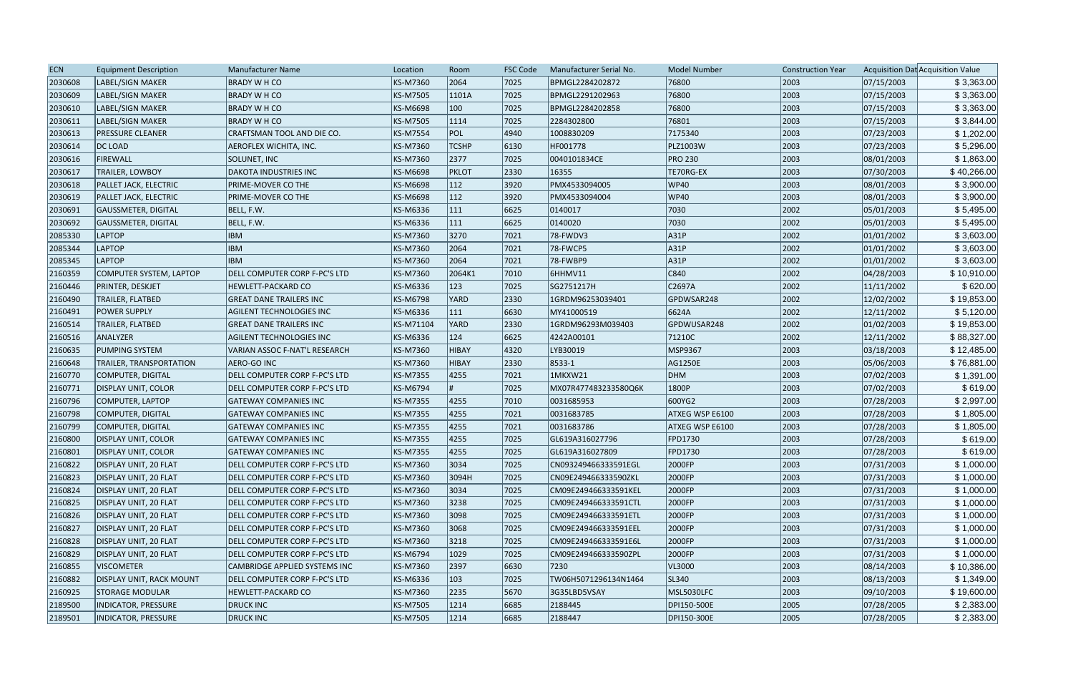| <b>ECN</b> | <b>Equipment Description</b>    | <b>Manufacturer Name</b>       | Location        | Room         | <b>FSC Code</b> | Manufacturer Serial No. | <b>Model Number</b> | <b>Construction Year</b> |            | Acquisition Dat Acquisition Value |
|------------|---------------------------------|--------------------------------|-----------------|--------------|-----------------|-------------------------|---------------------|--------------------------|------------|-----------------------------------|
| 2030608    | LABEL/SIGN MAKER                | <b>BRADY W H CO</b>            | KS-M7360        | 2064         | 7025            | BPMGL2284202872         | 76800               | 2003                     | 07/15/2003 | \$3,363.00                        |
| 2030609    | LABEL/SIGN MAKER                | <b>BRADY W H CO</b>            | KS-M7505        | 1101A        | 7025            | BPMGL2291202963         | 76800               | 2003                     | 07/15/2003 | \$3,363.00                        |
| 2030610    | LABEL/SIGN MAKER                | <b>BRADY W H CO</b>            | KS-M6698        | 100          | 7025            | BPMGL2284202858         | 76800               | 2003                     | 07/15/2003 | \$3,363.00                        |
| 2030611    | LABEL/SIGN MAKER                | <b>BRADY W H CO</b>            | KS-M7505        | 1114         | 7025            | 2284302800              | 76801               | 2003                     | 07/15/2003 | \$3,844.00                        |
| 2030613    | <b>PRESSURE CLEANER</b>         | CRAFTSMAN TOOL AND DIE CO.     | <b>KS-M7554</b> | <b>POL</b>   | 4940            | 1008830209              | 7175340             | 2003                     | 07/23/2003 | \$1,202.00                        |
| 2030614    | DC LOAD                         | AEROFLEX WICHITA, INC.         | KS-M7360        | <b>TCSHP</b> | 6130            | HF001778                | PLZ1003W            | 2003                     | 07/23/2003 | \$5,296.00                        |
| 2030616    | FIREWALL                        | SOLUNET, INC                   | KS-M7360        | 2377         | 7025            | 0040101834CE            | <b>PRO 230</b>      | 2003                     | 08/01/2003 | \$1,863.00                        |
| 2030617    | <b>TRAILER, LOWBOY</b>          | <b>DAKOTA INDUSTRIES INC</b>   | KS-M6698        | <b>PKLOT</b> | 2330            | 16355                   | TE70RG-EX           | 2003                     | 07/30/2003 | \$40,266.00                       |
| 2030618    | <b>PALLET JACK, ELECTRIC</b>    | PRIME-MOVER CO THE             | KS-M6698        | 112          | 3920            | PMX4533094005           | <b>WP40</b>         | 2003                     | 08/01/2003 | \$3,900.00                        |
| 2030619    | <b>PALLET JACK, ELECTRIC</b>    | PRIME-MOVER CO THE             | KS-M6698        | 112          | 3920            | PMX4533094004           | <b>WP40</b>         | 2003                     | 08/01/2003 | \$3,900.00                        |
| 2030691    | <b>GAUSSMETER, DIGITAL</b>      | BELL, F.W.                     | KS-M6336        | 111          | 6625            | 0140017                 | 7030                | 2002                     | 05/01/2003 | \$5,495.00                        |
| 2030692    | GAUSSMETER, DIGITAL             | BELL, F.W.                     | KS-M6336        | 111          | 6625            | 0140020                 | 7030                | 2002                     | 05/01/2003 | \$5,495.00                        |
| 2085330    | <b>LAPTOP</b>                   | <b>IBM</b>                     | KS-M7360        | 3270         | 7021            | 78-FWDV3                | A31P                | 2002                     | 01/01/2002 | \$3,603.00                        |
| 2085344    | LAPTOP                          | <b>IBM</b>                     | KS-M7360        | 2064         | 7021            | 78-FWCP5                | A31P                | 2002                     | 01/01/2002 | \$3,603.00                        |
| 2085345    | LAPTOP                          | <b>IBM</b>                     | KS-M7360        | 2064         | 7021            | 78-FWBP9                | A31P                | 2002                     | 01/01/2002 | \$3,603.00                        |
| 2160359    | COMPUTER SYSTEM, LAPTOP         | DELL COMPUTER CORP F-PC'S LTD  | KS-M7360        | 2064K1       | 7010            | 6HHMV11                 | C840                | 2002                     | 04/28/2003 | \$10,910.00                       |
| 2160446    | <b>PRINTER, DESKJET</b>         | HEWLETT-PACKARD CO             | KS-M6336        | 123          | 7025            | SG2751217H              | C2697A              | 2002                     | 11/11/2002 | \$620.00                          |
| 2160490    | TRAILER, FLATBED                | <b>GREAT DANE TRAILERS INC</b> | KS-M6798        | <b>YARD</b>  | 2330            | 1GRDM96253039401        | GPDWSAR248          | 2002                     | 12/02/2002 | \$19,853.00                       |
| 2160491    | <b>POWER SUPPLY</b>             | AGILENT TECHNOLOGIES INC       | KS-M6336        | 111          | 6630            | MY41000519              | 6624A               | 2002                     | 12/11/2002 | \$5,120.00                        |
| 2160514    | TRAILER, FLATBED                | <b>GREAT DANE TRAILERS INC</b> | KS-M71104       | YARD         | 2330            | 1GRDM96293M039403       | GPDWUSAR248         | 2002                     | 01/02/2003 | \$19,853.00                       |
| 2160516    | ANALYZER                        | AGILENT TECHNOLOGIES INC       | KS-M6336        | 124          | 6625            | 4242A00101              | 71210C              | 2002                     | 12/11/2002 | \$88,327.00                       |
| 2160635    | <b>PUMPING SYSTEM</b>           | VARIAN ASSOC F-NAT'L RESEARCH  | KS-M7360        | <b>HIBAY</b> | 4320            | LYB30019                | MSP9367             | 2003                     | 03/18/2003 | \$12,485.00                       |
| 2160648    | <b>TRAILER, TRANSPORTATION</b>  | AERO-GO INC                    | KS-M7360        | <b>HIBAY</b> | 2330            | 8533-1                  | AG1250E             | 2003                     | 05/06/2003 | \$76,881.00                       |
| 2160770    | COMPUTER, DIGITAL               | DELL COMPUTER CORP F-PC'S LTD  | KS-M7355        | 4255         | 7021            | 1MKXW21                 | DHM                 | 2003                     | 07/02/2003 | \$1,391.00                        |
| 2160771    | <b>DISPLAY UNIT, COLOR</b>      | DELL COMPUTER CORP F-PC'S LTD  | KS-M6794        |              | 7025            | MX07R477483233580Q6K    | 1800P               | 2003                     | 07/02/2003 | \$619.00                          |
| 2160796    | COMPUTER, LAPTOP                | <b>GATEWAY COMPANIES INC</b>   | KS-M7355        | 4255         | 7010            | 0031685953              | 600YG2              | 2003                     | 07/28/2003 | \$2,997.00                        |
| 2160798    | COMPUTER, DIGITAL               | <b>GATEWAY COMPANIES INC</b>   | KS-M7355        | 4255         | 7021            | 0031683785              | ATXEG WSP E6100     | 2003                     | 07/28/2003 | \$1,805.00                        |
| 2160799    | COMPUTER, DIGITAL               | GATEWAY COMPANIES INC          | KS-M7355        | 4255         | 7021            | 0031683786              | ATXEG WSP E6100     | 2003                     | 07/28/2003 | \$1,805.00                        |
| 2160800    | DISPLAY UNIT, COLOR             | <b>GATEWAY COMPANIES INC</b>   | KS-M7355        | 4255         | 7025            | GL619A316027796         | <b>FPD1730</b>      | 2003                     | 07/28/2003 | \$619.00                          |
| 2160801    | <b>DISPLAY UNIT, COLOR</b>      | <b>GATEWAY COMPANIES INC</b>   | KS-M7355        | 4255         | 7025            | GL619A316027809         | FPD1730             | 2003                     | 07/28/2003 | \$619.00                          |
| 2160822    | DISPLAY UNIT, 20 FLAT           | DELL COMPUTER CORP F-PC'S LTD  | KS-M7360        | 3034         | 7025            | CN093249466333591EGL    | 2000FP              | 2003                     | 07/31/2003 | \$1,000.00                        |
| 2160823    | DISPLAY UNIT, 20 FLAT           | DELL COMPUTER CORP F-PC'S LTD  | KS-M7360        | 3094H        | 7025            | CN09E249466333590ZKL    | 2000FP              | 2003                     | 07/31/2003 | \$1,000.00                        |
| 2160824    | DISPLAY UNIT, 20 FLAT           | DELL COMPUTER CORP F-PC'S LTD  | KS-M7360        | 3034         | 7025            | CM09E249466333591KEL    | 2000FP              | 2003                     | 07/31/2003 | \$1,000.00                        |
| 2160825    | DISPLAY UNIT, 20 FLAT           | DELL COMPUTER CORP F-PC'S LTD  | KS-M7360        | 3238         | 7025            | CM09E249466333591CTL    | 2000FP              | 2003                     | 07/31/2003 | \$1,000.00                        |
| 2160826    | DISPLAY UNIT, 20 FLAT           | DELL COMPUTER CORP F-PC'S LTD  | KS-M7360        | 3098         | 7025            | CM09E249466333591ETL    | 2000FP              | 2003                     | 07/31/2003 | \$1,000.00                        |
| 2160827    | DISPLAY UNIT, 20 FLAT           | DELL COMPUTER CORP F-PC'S LTD  | KS-M7360        | 3068         | 7025            | CM09E249466333591EEL    | 2000FP              | 2003                     | 07/31/2003 | \$1,000.00                        |
| 2160828    | DISPLAY UNIT, 20 FLAT           | DELL COMPUTER CORP F-PC'S LTD  | KS-M7360        | 3218         | 7025            | CM09E249466333591E6L    | 2000FP              | 2003                     | 07/31/2003 | \$1,000.00                        |
| 2160829    | DISPLAY UNIT, 20 FLAT           | DELL COMPUTER CORP F-PC'S LTD  | KS-M6794        | 1029         | 7025            | CM09E249466333590ZPL    | 2000FP              | 2003                     | 07/31/2003 | \$1,000.00                        |
| 2160855    | <b>VISCOMETER</b>               | CAMBRIDGE APPLIED SYSTEMS INC  | KS-M7360        | 2397         | 6630            | 7230                    | VL3000              | 2003                     | 08/14/2003 | \$10,386.00                       |
| 2160882    | <b>DISPLAY UNIT, RACK MOUNT</b> | DELL COMPUTER CORP F-PC'S LTD  | KS-M6336        | 103          | 7025            | TW06H5071296134N1464    | SL340               | 2003                     | 08/13/2003 | \$1,349.00                        |
| 2160925    | <b>STORAGE MODULAR</b>          | HEWLETT-PACKARD CO             | KS-M7360        | 2235         | 5670            | 3G35LBD5VSAY            | MSL5030LFC          | 2003                     | 09/10/2003 | \$19,600.00                       |
| 2189500    | INDICATOR, PRESSURE             | <b>DRUCK INC</b>               | KS-M7505        | 1214         | 6685            | 2188445                 | DPI150-500E         | 2005                     | 07/28/2005 | \$2,383.00                        |
| 2189501    | INDICATOR, PRESSURE             | <b>DRUCK INC</b>               | KS-M7505        | 1214         | 6685            | 2188447                 | DPI150-300E         | 2005                     | 07/28/2005 | \$2,383.00                        |
|            |                                 |                                |                 |              |                 |                         |                     |                          |            |                                   |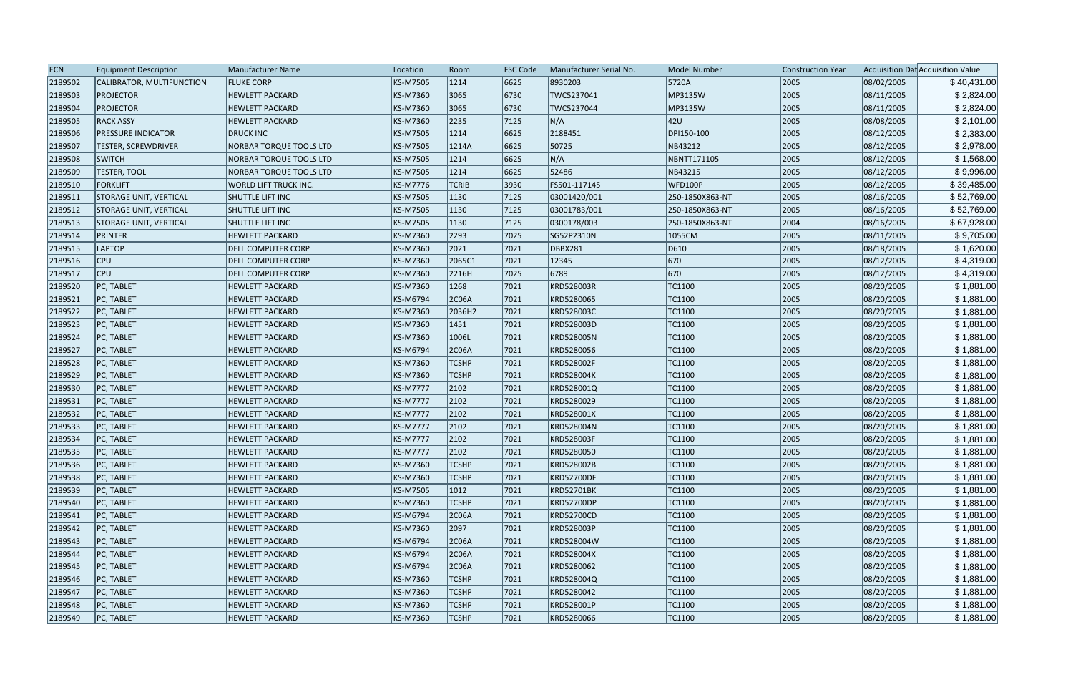| <b>ECN</b> | <b>Equipment Description</b>  | <b>Manufacturer Name</b>       | Location        | Room           | <b>FSC Code</b> | Manufacturer Serial No. | <b>Model Number</b> | <b>Construction Year</b> |            | Acquisition Dat Acquisition Value |
|------------|-------------------------------|--------------------------------|-----------------|----------------|-----------------|-------------------------|---------------------|--------------------------|------------|-----------------------------------|
| 2189502    | CALIBRATOR, MULTIFUNCTION     | <b>FLUKE CORP</b>              | KS-M7505        | 1214           | 6625            | 8930203                 | 5720A               | 2005                     | 08/02/2005 | \$40,431.00                       |
| 2189503    | <b>PROJECTOR</b>              | <b>HEWLETT PACKARD</b>         | KS-M7360        | 3065           | 6730            | TWC5237041              | MP3135W             | 2005                     | 08/11/2005 | \$2,824.00                        |
| 2189504    | <b>PROJECTOR</b>              | <b>HEWLETT PACKARD</b>         | KS-M7360        | 3065           | 6730            | TWC5237044              | MP3135W             | 2005                     | 08/11/2005 | \$2,824.00                        |
| 2189505    | <b>RACK ASSY</b>              | <b>HEWLETT PACKARD</b>         | KS-M7360        | 2235           | 7125            | N/A                     | 42U                 | 2005                     | 08/08/2005 | \$2,101.00                        |
| 2189506    | <b>PRESSURE INDICATOR</b>     | <b>DRUCK INC</b>               | KS-M7505        | 1214           | 6625            | 2188451                 | DPI150-100          | 2005                     | 08/12/2005 | \$2,383.00                        |
| 2189507    | <b>TESTER, SCREWDRIVER</b>    | NORBAR TORQUE TOOLS LTD        | KS-M7505        | 1214A          | 6625            | 50725                   | NB43212             | 2005                     | 08/12/2005 | \$2,978.00                        |
| 2189508    | <b>SWITCH</b>                 | <b>NORBAR TORQUE TOOLS LTD</b> | KS-M7505        | 1214           | 6625            | N/A                     | NBNTT171105         | 2005                     | 08/12/2005 | \$1,568.00                        |
| 2189509    | <b>TESTER, TOOL</b>           | NORBAR TORQUE TOOLS LTD        | KS-M7505        | 1214           | 6625            | 52486                   | NB43215             | 2005                     | 08/12/2005 | \$9,996.00                        |
| 2189510    | <b>FORKLIFT</b>               | <b>WORLD LIFT TRUCK INC.</b>   | KS-M7776        | <b>TCRIB</b>   | 3930            | FS501-117145            | WFD100P             | 2005                     | 08/12/2005 | \$39,485.00                       |
| 2189511    | <b>STORAGE UNIT, VERTICAL</b> | <b>SHUTTLE LIFT INC</b>        | KS-M7505        | 1130           | 7125            | 03001420/001            | 250-1850X863-NT     | 2005                     | 08/16/2005 | \$52,769.00                       |
| 2189512    | <b>STORAGE UNIT, VERTICAL</b> | <b>SHUTTLE LIFT INC</b>        | KS-M7505        | 1130           | 7125            | 03001783/001            | 250-1850X863-NT     | 2005                     | 08/16/2005 | \$52,769.00                       |
| 2189513    | <b>STORAGE UNIT, VERTICAL</b> | SHUTTLE LIFT INC               | KS-M7505        | 1130           | 7125            | 0300178/003             | 250-1850X863-NT     | 2004                     | 08/16/2005 | \$67,928.00                       |
| 2189514    | <b>PRINTER</b>                | <b>HEWLETT PACKARD</b>         | KS-M7360        | 2293           | 7025            | SG52P2310N              | 1055CM              | 2005                     | 08/11/2005 | \$9,705.00                        |
| 2189515    | <b>LAPTOP</b>                 | <b>DELL COMPUTER CORP</b>      | KS-M7360        | 2021           | 7021            | <b>DBBX281</b>          | D610                | 2005                     | 08/18/2005 | \$1,620.00                        |
| 2189516    | <b>CPU</b>                    | <b>DELL COMPUTER CORP</b>      | KS-M7360        | 2065C1         | 7021            | 12345                   | 670                 | 2005                     | 08/12/2005 | \$4,319.00                        |
| 2189517    | <b>CPU</b>                    | DELL COMPUTER CORP             | KS-M7360        | 2216H          | 7025            | 6789                    | 670                 | 2005                     | 08/12/2005 | \$4,319.00                        |
| 2189520    | PC, TABLET                    | <b>HEWLETT PACKARD</b>         | KS-M7360        | 1268           | 7021            | KRD528003R              | TC1100              | 2005                     | 08/20/2005 | \$1,881.00                        |
| 2189521    | PC, TABLET                    | <b>HEWLETT PACKARD</b>         | KS-M6794        | 2C06A          | 7021            | KRD5280065              | TC1100              | 2005                     | 08/20/2005 | \$1,881.00                        |
| 2189522    | PC, TABLET                    | <b>HEWLETT PACKARD</b>         | KS-M7360        | 2036H2         | 7021            | KRD528003C              | TC1100              | 2005                     | 08/20/2005 | \$1,881.00                        |
| 2189523    | PC, TABLET                    | <b>HEWLETT PACKARD</b>         | KS-M7360        | 1451           | 7021            | KRD528003D              | TC1100              | 2005                     | 08/20/2005 | \$1,881.00                        |
| 2189524    | PC, TABLET                    | <b>HEWLETT PACKARD</b>         | KS-M7360        | 1006L          | 7021            | KRD528005N              | TC1100              | 2005                     | 08/20/2005 | \$1,881.00                        |
| 2189527    | PC, TABLET                    | <b>HEWLETT PACKARD</b>         | KS-M6794        | 2C06A          | 7021            | KRD5280056              | TC1100              | 2005                     | 08/20/2005 | \$1,881.00                        |
| 2189528    | PC, TABLET                    | <b>HEWLETT PACKARD</b>         | KS-M7360        | <b>TCSHP</b>   | 7021            | KRD528002F              | TC1100              | 2005                     | 08/20/2005 | \$1,881.00                        |
| 2189529    | PC, TABLET                    | <b>HEWLETT PACKARD</b>         | KS-M7360        | <b>TCSHP</b>   | 7021            | KRD528004K              | TC1100              | 2005                     | 08/20/2005 | \$1,881.00                        |
| 2189530    | PC, TABLET                    | <b>HEWLETT PACKARD</b>         | <b>KS-M7777</b> | 2102           | 7021            | KRD528001Q              | TC1100              | 2005                     | 08/20/2005 | \$1,881.00                        |
| 2189531    | PC, TABLET                    | <b>HEWLETT PACKARD</b>         | <b>KS-M7777</b> | 2102           | 7021            | KRD5280029              | TC1100              | 2005                     | 08/20/2005 | \$1,881.00                        |
| 2189532    | PC, TABLET                    | <b>HEWLETT PACKARD</b>         | <b>KS-M7777</b> | 2102           | 7021            | KRD528001X              | TC1100              | 2005                     | 08/20/2005 | \$1,881.00                        |
| 2189533    | PC, TABLET                    | <b>HEWLETT PACKARD</b>         | <b>KS-M7777</b> | 2102           | 7021            | KRD528004N              | TC1100              | 2005                     | 08/20/2005 | \$1,881.00                        |
| 2189534    | PC, TABLET                    | <b>HEWLETT PACKARD</b>         | <b>KS-M7777</b> | 2102           | 7021            | KRD528003F              | TC1100              | 2005                     | 08/20/2005 | \$1,881.00                        |
| 2189535    | PC, TABLET                    | <b>HEWLETT PACKARD</b>         | <b>KS-M7777</b> | 2102           | 7021            | KRD5280050              | TC1100              | 2005                     | 08/20/2005 | \$1,881.00                        |
| 2189536    | PC, TABLET                    | <b>HEWLETT PACKARD</b>         | <b>KS-M7360</b> | <b>TCSHP</b>   | 7021            | KRD528002B              | TC1100              | 2005                     | 08/20/2005 | \$1,881.00                        |
| 2189538    | PC, TABLET                    | <b>HEWLETT PACKARD</b>         | KS-M7360        | <b>TCSHP</b>   | 7021            | <b>KRD52700DF</b>       | TC1100              | 2005                     | 08/20/2005 | \$1,881.00                        |
| 2189539    | PC, TABLET                    | <b>HEWLETT PACKARD</b>         | KS-M7505        | $ 1012\rangle$ | 7021            | <b>KRD52701BK</b>       | TC1100              | 2005                     | 08/20/2005 | \$1,881.00                        |
| 2189540    | PC. TABLET                    | <b>HEWLETT PACKARD</b>         | KS-M7360        | <b>TCSHP</b>   | 7021            | <b>KRD52700DP</b>       | <b>TC1100</b>       | 2005                     | 08/20/2005 | \$1,881.00                        |
| 2189541    | PC, TABLET                    | <b>HEWLETT PACKARD</b>         | KS-M6794        | 2C06A          | 7021            | <b>KRD52700CD</b>       | TC1100              | 2005                     | 08/20/2005 | \$1,881.00                        |
| 2189542    | PC, TABLET                    | <b>HEWLETT PACKARD</b>         | KS-M7360        | 2097           | 7021            | KRD528003P              | TC1100              | 2005                     | 08/20/2005 | \$1,881.00                        |
| 2189543    | PC, TABLET                    | <b>HEWLETT PACKARD</b>         | KS-M6794        | 2C06A          | 7021            | KRD528004W              | TC1100              | 2005                     | 08/20/2005 | \$1,881.00                        |
| 2189544    | PC, TABLET                    | <b>HEWLETT PACKARD</b>         | KS-M6794        | 2C06A          | 7021            | KRD528004X              | TC1100              | 2005                     | 08/20/2005 | \$1,881.00                        |
| 2189545    | <b>PC, TABLET</b>             | <b>HEWLETT PACKARD</b>         | KS-M6794        | 2C06A          | 7021            | KRD5280062              | TC1100              | 2005                     | 08/20/2005 | \$1,881.00                        |
| 2189546    | PC, TABLET                    | <b>HEWLETT PACKARD</b>         | KS-M7360        | <b>TCSHP</b>   | 7021            | KRD528004Q              | TC1100              | 2005                     | 08/20/2005 | \$1,881.00                        |
| 2189547    | PC, TABLET                    | <b>HEWLETT PACKARD</b>         | KS-M7360        | <b>TCSHP</b>   | 7021            | KRD5280042              | TC1100              | 2005                     | 08/20/2005 | \$1,881.00                        |
| 2189548    | PC, TABLET                    | <b>HEWLETT PACKARD</b>         | KS-M7360        | <b>TCSHP</b>   | 7021            | KRD528001P              | TC1100              | 2005                     | 08/20/2005 | \$1,881.00                        |
| 2189549    | PC, TABLET                    | <b>HEWLETT PACKARD</b>         | KS-M7360        | <b>TCSHP</b>   | 7021            | KRD5280066              | TC1100              | 2005                     | 08/20/2005 | \$1,881.00                        |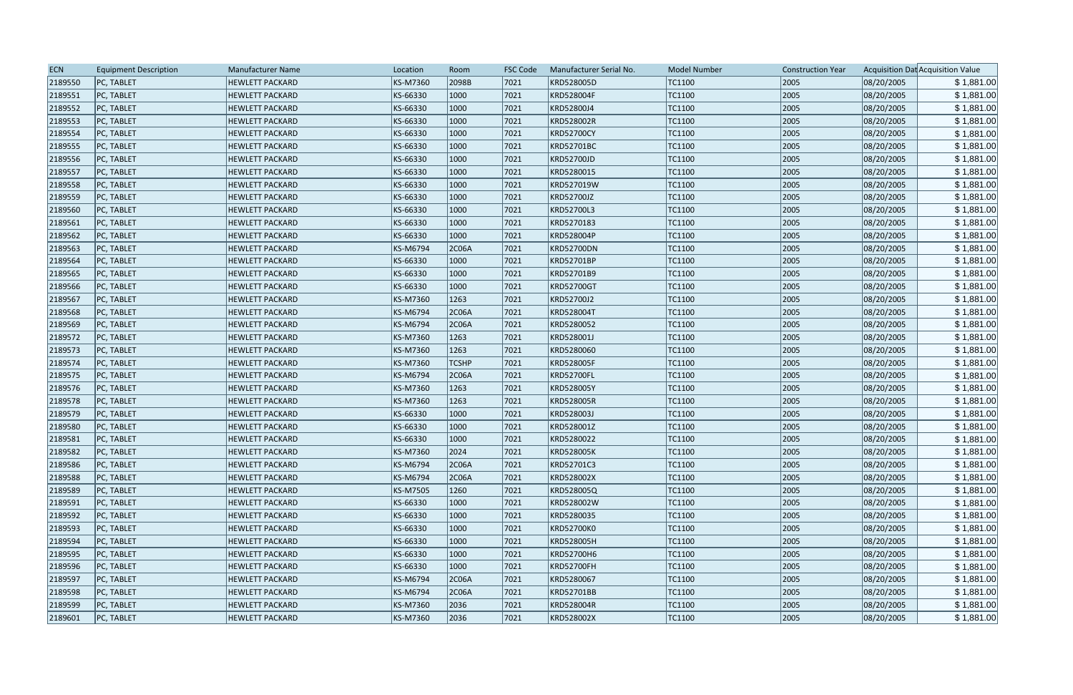| <b>ECN</b> | <b>Equipment Description</b> | <b>Manufacturer Name</b> | Location | Room         | <b>FSC Code</b> | Manufacturer Serial No. | <b>Model Number</b> | <b>Construction Year</b> |            | Acquisition Dat Acquisition Value |
|------------|------------------------------|--------------------------|----------|--------------|-----------------|-------------------------|---------------------|--------------------------|------------|-----------------------------------|
| 2189550    | PC, TABLET                   | <b>HEWLETT PACKARD</b>   | KS-M7360 | 2098B        | 7021            | KRD528005D              | TC1100              | 2005                     | 08/20/2005 | \$1,881.00                        |
| 2189551    | PC, TABLET                   | <b>HEWLETT PACKARD</b>   | KS-66330 | 1000         | 7021            | KRD528004F              | TC1100              | 2005                     | 08/20/2005 | \$1,881.00                        |
| 2189552    | PC, TABLET                   | <b>HEWLETT PACKARD</b>   | KS-66330 | 1000         | 7021            | KRD52800J4              | TC1100              | 2005                     | 08/20/2005 | \$1,881.00                        |
| 2189553    | PC, TABLET                   | <b>HEWLETT PACKARD</b>   | KS-66330 | 1000         | 7021            | KRD528002R              | TC1100              | 2005                     | 08/20/2005 | \$1,881.00                        |
| 2189554    | PC, TABLET                   | <b>HEWLETT PACKARD</b>   | KS-66330 | 1000         | 7021            | <b>KRD52700CY</b>       | TC1100              | 2005                     | 08/20/2005 | \$1,881.00                        |
| 2189555    | PC, TABLET                   | <b>HEWLETT PACKARD</b>   | KS-66330 | 1000         | 7021            | <b>KRD52701BC</b>       | TC1100              | 2005                     | 08/20/2005 | \$1,881.00                        |
| 2189556    | PC, TABLET                   | <b>HEWLETT PACKARD</b>   | KS-66330 | 1000         | 7021            | KRD52700JD              | TC1100              | 2005                     | 08/20/2005 | \$1,881.00                        |
| 2189557    | PC, TABLET                   | <b>HEWLETT PACKARD</b>   | KS-66330 | 1000         | 7021            | KRD5280015              | TC1100              | 2005                     | 08/20/2005 | \$1,881.00                        |
| 2189558    | PC, TABLET                   | <b>HEWLETT PACKARD</b>   | KS-66330 | 1000         | 7021            | KRD527019W              | TC1100              | 2005                     | 08/20/2005 | \$1,881.00                        |
| 2189559    | PC, TABLET                   | <b>HEWLETT PACKARD</b>   | KS-66330 | 1000         | 7021            | KRD52700JZ              | TC1100              | 2005                     | 08/20/2005 | \$1,881.00                        |
| 2189560    | PC, TABLET                   | <b>HEWLETT PACKARD</b>   | KS-66330 | 1000         | 7021            | KRD52700L3              | TC1100              | 2005                     | 08/20/2005 | \$1,881.00                        |
| 2189561    | PC, TABLET                   | <b>HEWLETT PACKARD</b>   | KS-66330 | 1000         | 7021            | KRD5270183              | TC1100              | 2005                     | 08/20/2005 | \$1,881.00                        |
| 2189562    | PC, TABLET                   | <b>HEWLETT PACKARD</b>   | KS-66330 | 1000         | 7021            | KRD528004P              | TC1100              | 2005                     | 08/20/2005 | \$1,881.00                        |
| 2189563    | PC, TABLET                   | <b>HEWLETT PACKARD</b>   | KS-M6794 | 2C06A        | 7021            | <b>KRD52700DN</b>       | TC1100              | 2005                     | 08/20/2005 | \$1,881.00                        |
| 2189564    | PC, TABLET                   | <b>HEWLETT PACKARD</b>   | KS-66330 | 1000         | 7021            | KRD52701BP              | TC1100              | 2005                     | 08/20/2005 | \$1,881.00                        |
| 2189565    | PC, TABLET                   | <b>HEWLETT PACKARD</b>   | KS-66330 | 1000         | 7021            | KRD52701B9              | TC1100              | 2005                     | 08/20/2005 | \$1,881.00                        |
| 2189566    | PC, TABLET                   | <b>HEWLETT PACKARD</b>   | KS-66330 | 1000         | 7021            | <b>KRD52700GT</b>       | TC1100              | 2005                     | 08/20/2005 | \$1,881.00                        |
| 2189567    | PC, TABLET                   | <b>HEWLETT PACKARD</b>   | KS-M7360 | 1263         | 7021            | KRD52700J2              | TC1100              | 2005                     | 08/20/2005 | \$1,881.00                        |
| 2189568    | PC, TABLET                   | <b>HEWLETT PACKARD</b>   | KS-M6794 | 2C06A        | 7021            | KRD528004T              | TC1100              | 2005                     | 08/20/2005 | \$1,881.00                        |
| 2189569    | PC, TABLET                   | <b>HEWLETT PACKARD</b>   | KS-M6794 | 2C06A        | 7021            | KRD5280052              | TC1100              | 2005                     | 08/20/2005 | \$1,881.00                        |
| 2189572    | PC, TABLET                   | <b>HEWLETT PACKARD</b>   | KS-M7360 | 1263         | 7021            | KRD528001J              | TC1100              | 2005                     | 08/20/2005 | \$1,881.00                        |
| 2189573    | PC, TABLET                   | <b>HEWLETT PACKARD</b>   | KS-M7360 | 1263         | 7021            | KRD5280060              | TC1100              | 2005                     | 08/20/2005 | \$1,881.00                        |
| 2189574    | PC, TABLET                   | <b>HEWLETT PACKARD</b>   | KS-M7360 | <b>TCSHP</b> | 7021            | KRD528005F              | TC1100              | 2005                     | 08/20/2005 | \$1,881.00                        |
| 2189575    | PC, TABLET                   | <b>HEWLETT PACKARD</b>   | KS-M6794 | 2C06A        | 7021            | KRD52700FL              | TC1100              | 2005                     | 08/20/2005 | \$1,881.00                        |
| 2189576    | PC, TABLET                   | <b>HEWLETT PACKARD</b>   | KS-M7360 | 1263         | 7021            | KRD528005Y              | TC1100              | 2005                     | 08/20/2005 | \$1,881.00                        |
| 2189578    | PC, TABLET                   | <b>HEWLETT PACKARD</b>   | KS-M7360 | 1263         | 7021            | KRD528005R              | TC1100              | 2005                     | 08/20/2005 | \$1,881.00                        |
| 2189579    | PC, TABLET                   | <b>HEWLETT PACKARD</b>   | KS-66330 | 1000         | 7021            | KRD528003J              | TC1100              | 2005                     | 08/20/2005 | \$1,881.00                        |
| 2189580    | PC, TABLET                   | <b>HEWLETT PACKARD</b>   | KS-66330 | 1000         | 7021            | KRD528001Z              | TC1100              | 2005                     | 08/20/2005 | \$1,881.00                        |
| 2189581    | PC, TABLET                   | <b>HEWLETT PACKARD</b>   | KS-66330 | 1000         | 7021            | KRD5280022              | TC1100              | 2005                     | 08/20/2005 | \$1,881.00                        |
| 2189582    | PC, TABLET                   | <b>HEWLETT PACKARD</b>   | KS-M7360 | 2024         | 7021            | KRD528005K              | TC1100              | 2005                     | 08/20/2005 | \$1,881.00                        |
| 2189586    | PC, TABLET                   | <b>HEWLETT PACKARD</b>   | KS-M6794 | 2C06A        | 7021            | KRD52701C3              | TC1100              | 2005                     | 08/20/2005 | \$1,881.00                        |
| 2189588    | PC, TABLET                   | <b>HEWLETT PACKARD</b>   | KS-M6794 | 2C06A        | 7021            | KRD528002X              | TC1100              | 2005                     | 08/20/2005 | \$1,881.00                        |
| 2189589    | PC, TABLET                   | <b>HEWLETT PACKARD</b>   | KS-M7505 | 1260         | 7021            | KRD528005Q              | TC1100              | 2005                     | 08/20/2005 | \$1,881.00                        |
| 2189591    | PC, TABLET                   | <b>HEWLETT PACKARD</b>   | KS-66330 | 1000         | 7021            | KRD528002W              | <b>TC1100</b>       | 2005                     | 08/20/2005 | \$1,881.00                        |
| 2189592    | <b>PC. TABLET</b>            | <b>HEWLETT PACKARD</b>   | KS-66330 | 1000         | 7021            | KRD5280035              | TC1100              | 2005                     | 08/20/2005 | \$1,881.00                        |
| 2189593    | PC, TABLET                   | <b>HEWLETT PACKARD</b>   | KS-66330 | 1000         | 7021            | <b>KRD52700K0</b>       | TC1100              | 2005                     | 08/20/2005 | \$1,881.00                        |
| 2189594    | PC, TABLET                   | <b>HEWLETT PACKARD</b>   | KS-66330 | 1000         | 7021            | KRD528005H              | TC1100              | 2005                     | 08/20/2005 | \$1,881.00                        |
| 2189595    | PC, TABLET                   | <b>HEWLETT PACKARD</b>   | KS-66330 | 1000         | 7021            | KRD52700H6              | TC1100              | 2005                     | 08/20/2005 | \$1,881.00                        |
| 2189596    | PC, TABLET                   | <b>HEWLETT PACKARD</b>   | KS-66330 | 1000         | 7021            | KRD52700FH              | TC1100              | 2005                     | 08/20/2005 | \$1,881.00                        |
| 2189597    | PC, TABLET                   | <b>HEWLETT PACKARD</b>   | KS-M6794 | 2C06A        | 7021            | KRD5280067              | TC1100              | 2005                     | 08/20/2005 | \$1,881.00                        |
| 2189598    | PC, TABLET                   | <b>HEWLETT PACKARD</b>   | KS-M6794 | 2C06A        | 7021            | KRD52701BB              | TC1100              | 2005                     | 08/20/2005 | \$1,881.00                        |
| 2189599    | PC, TABLET                   | <b>HEWLETT PACKARD</b>   | KS-M7360 | 2036         | 7021            | KRD528004R              | TC1100              | 2005                     | 08/20/2005 | \$1,881.00                        |
| 2189601    | PC, TABLET                   | <b>HEWLETT PACKARD</b>   | KS-M7360 | 2036         | 7021            | KRD528002X              | TC1100              | 2005                     | 08/20/2005 | \$1,881.00                        |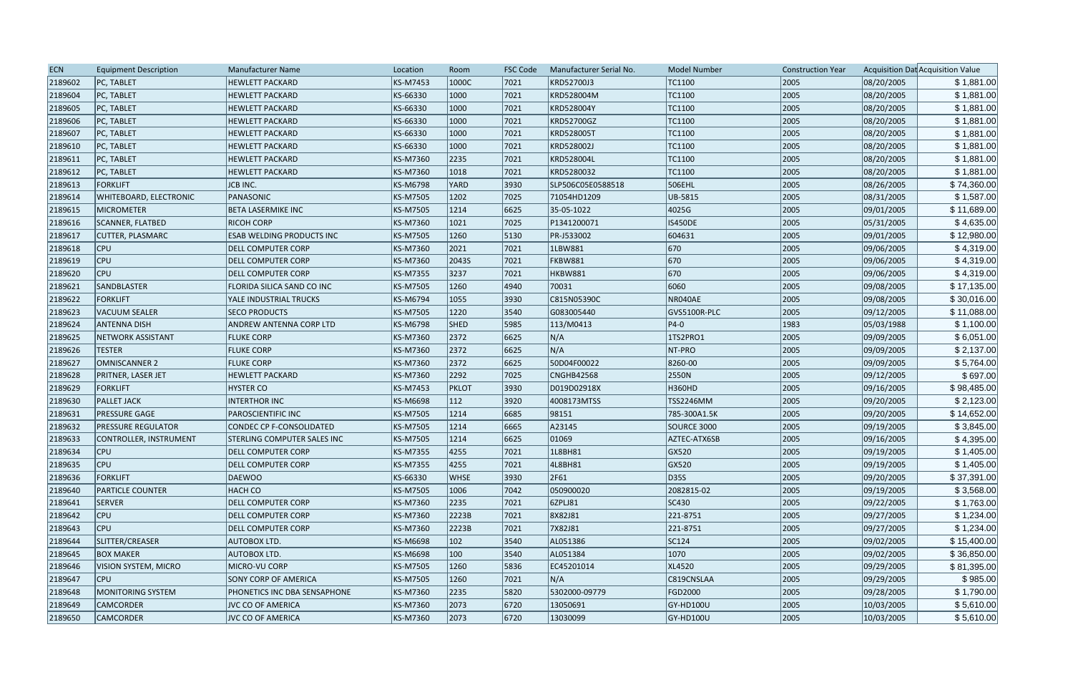| <b>ECN</b> | <b>Equipment Description</b>  | <b>Manufacturer Name</b>         | Location | Room         | <b>FSC Code</b> | Manufacturer Serial No. | <b>Model Number</b> | <b>Construction Year</b> |            | Acquisition Dat Acquisition Value |
|------------|-------------------------------|----------------------------------|----------|--------------|-----------------|-------------------------|---------------------|--------------------------|------------|-----------------------------------|
| 2189602    | PC, TABLET                    | <b>HEWLETT PACKARD</b>           | KS-M7453 | 1000C        | 7021            | KRD52700J3              | TC1100              | 2005                     | 08/20/2005 | \$1,881.00                        |
| 2189604    | PC, TABLET                    | <b>HEWLETT PACKARD</b>           | KS-66330 | 1000         | 7021            | KRD528004M              | TC1100              | 2005                     | 08/20/2005 | \$1,881.00                        |
| 2189605    | PC, TABLET                    | <b>HEWLETT PACKARD</b>           | KS-66330 | 1000         | 7021            | KRD528004Y              | TC1100              | 2005                     | 08/20/2005 | \$1,881.00                        |
| 2189606    | PC, TABLET                    | <b>HEWLETT PACKARD</b>           | KS-66330 | 1000         | 7021            | <b>KRD52700GZ</b>       | TC1100              | 2005                     | 08/20/2005 | \$1,881.00                        |
| 2189607    | PC, TABLET                    | <b>HEWLETT PACKARD</b>           | KS-66330 | 1000         | 7021            | KRD528005T              | TC1100              | 2005                     | 08/20/2005 | \$1,881.00                        |
| 2189610    | PC, TABLET                    | <b>HEWLETT PACKARD</b>           | KS-66330 | 1000         | 7021            | KRD528002J              | TC1100              | 2005                     | 08/20/2005 | \$1,881.00                        |
| 2189611    | PC, TABLET                    | <b>HEWLETT PACKARD</b>           | KS-M7360 | 2235         | 7021            | KRD528004L              | TC1100              | 2005                     | 08/20/2005 | \$1,881.00                        |
| 2189612    | <b>PC, TABLET</b>             | <b>HEWLETT PACKARD</b>           | KS-M7360 | 1018         | 7021            | KRD5280032              | TC1100              | 2005                     | 08/20/2005 | \$1,881.00                        |
| 2189613    | FORKLIFT                      | JCB INC.                         | KS-M6798 | <b>YARD</b>  | 3930            | SLP506C05E0588518       | 506EHL              | 2005                     | 08/26/2005 | \$74,360.00                       |
| 2189614    | <b>WHITEBOARD, ELECTRONIC</b> | PANASONIC                        | KS-M7505 | 1202         | 7025            | 71054HD1209             | UB-5815             | 2005                     | 08/31/2005 | \$1,587.00                        |
| 2189615    | <b>MICROMETER</b>             | <b>BETA LASERMIKE INC</b>        | KS-M7505 | 1214         | 6625            | 35-05-1022              | 4025G               | 2005                     | 09/01/2005 | \$11,689.00                       |
| 2189616    | SCANNER, FLATBED              | <b>RICOH CORP</b>                | KS-M7360 | 1021         | 7025            | P1341200071             | <b>IS450DE</b>      | 2005                     | 05/31/2005 | \$4,635.00                        |
| 2189617    | <b>CUTTER, PLASMARC</b>       | <b>ESAB WELDING PRODUCTS INC</b> | KS-M7505 | 1260         | 5130            | PR-J533002              | 604631              | 2005                     | 09/01/2005 | \$12,980.00                       |
| 2189618    | <b>CPU</b>                    | <b>DELL COMPUTER CORP</b>        | KS-M7360 | 2021         | 7021            | 1LBW881                 | 670                 | 2005                     | 09/06/2005 | \$4,319.00                        |
| 2189619    | <b>CPU</b>                    | <b>DELL COMPUTER CORP</b>        | KS-M7360 | 2043S        | 7021            | FKBW881                 | 670                 | 2005                     | 09/06/2005 | \$4,319.00                        |
| 2189620    | <b>CPU</b>                    | DELL COMPUTER CORP               | KS-M7355 | 3237         | 7021            | HKBW881                 | 670                 | 2005                     | 09/06/2005 | \$4,319.00                        |
| 2189621    | <b>SANDBLASTER</b>            | FLORIDA SILICA SAND CO INC       | KS-M7505 | 1260         | 4940            | 70031                   | 6060                | 2005                     | 09/08/2005 | \$17,135.00                       |
| 2189622    | <b>FORKLIFT</b>               | YALE INDUSTRIAL TRUCKS           | KS-M6794 | 1055         | 3930            | C815N05390C             | NR040AE             | 2005                     | 09/08/2005 | \$30,016.00                       |
| 2189623    | VACUUM SEALER                 | <b>SECO PRODUCTS</b>             | KS-M7505 | 1220         | 3540            | G083005440              | GVS5100R-PLC        | 2005                     | 09/12/2005 | \$11,088.00                       |
| 2189624    | <b>ANTENNA DISH</b>           | ANDREW ANTENNA CORP LTD          | KS-M6798 | <b>SHED</b>  | 5985            | 113/M0413               | $ P4-0 $            | 1983                     | 05/03/1988 | \$1,100.00                        |
| 2189625    | <b>NETWORK ASSISTANT</b>      | <b>FLUKE CORP</b>                | KS-M7360 | 2372         | 6625            | N/A                     | 1TS2PRO1            | 2005                     | 09/09/2005 | \$6,051.00                        |
| 2189626    | <b>TESTER</b>                 | <b>FLUKE CORP</b>                | KS-M7360 | 2372         | 6625            | N/A                     | NT-PRO              | 2005                     | 09/09/2005 | \$2,137.00                        |
| 2189627    | <b>OMNISCANNER 2</b>          | <b>FLUKE CORP</b>                | KS-M7360 | 2372         | 6625            | 50D04F00022             | 8260-00             | 2005                     | 09/09/2005 | \$5,764.00                        |
| 2189628    | PRITNER, LASER JET            | <b>HEWLETT PACKARD</b>           | KS-M7360 | 2292         | 7025            | CNGHB42568              | 2550N               | 2005                     | 09/12/2005 | \$697.00                          |
| 2189629    | <b>FORKLIFT</b>               | <b>HYSTER CO</b>                 | KS-M7453 | <b>PKLOT</b> | 3930            | D019D02918X             | <b>H360HD</b>       | 2005                     | 09/16/2005 | \$98,485.00                       |
| 2189630    | <b>PALLET JACK</b>            | <b>INTERTHOR INC</b>             | KS-M6698 | 112          | 3920            | 4008173MTSS             | TSS2246MM           | 2005                     | 09/20/2005 | \$2,123.00                        |
| 2189631    | <b>PRESSURE GAGE</b>          | <b>PAROSCIENTIFIC INC</b>        | KS-M7505 | 1214         | 6685            | 98151                   | 785-300A1.5K        | 2005                     | 09/20/2005 | \$14,652.00                       |
| 2189632    | <b>PRESSURE REGULATOR</b>     | CONDEC CP F-CONSOLIDATED         | KS-M7505 | 1214         | 6665            | A23145                  | SOURCE 3000         | 2005                     | 09/19/2005 | \$3,845.00                        |
| 2189633    | CONTROLLER, INSTRUMENT        | STERLING COMPUTER SALES INC      | KS-M7505 | 1214         | 6625            | 01069                   | AZTEC-ATX6SB        | 2005                     | 09/16/2005 | \$4,395.00                        |
| 2189634    | <b>CPU</b>                    | <b>DELL COMPUTER CORP</b>        | KS-M7355 | 4255         | 7021            | 1L8BH81                 | GX520               | 2005                     | 09/19/2005 | \$1,405.00                        |
| 2189635    | <b>CPU</b>                    | <b>DELL COMPUTER CORP</b>        | KS-M7355 | 4255         | 7021            | 4L8BH81                 | GX520               | 2005                     | 09/19/2005 | \$1,405.00                        |
| 2189636    | FORKLIFT                      | DAEWOO                           | KS-66330 | <b>WHSE</b>  | 3930            | 2F61                    | D35S                | 2005                     | 09/20/2005 | \$37,391.00                       |
| 2189640    | <b>PARTICLE COUNTER</b>       | <b>HACH CO</b>                   | KS-M7505 | 1006         | 7042            | 050900020               | 2082815-02          | 2005                     | 09/19/2005 | \$3,568.00                        |
| 2189641    | <b>SERVER</b>                 | <b>DELL COMPUTER CORP</b>        | KS-M7360 | 2235         | 7021            | 6ZPLJ81                 | SC430               | 2005                     | 09/22/2005 | \$1,763.00                        |
| 2189642    | $ $ CPU                       | <b>DELL COMPUTER CORP</b>        | KS-M7360 | 2223B        | 7021            | 8X82J81                 | 221-8751            | 2005                     | 09/27/2005 | \$1,234.00                        |
| 2189643    | $ $ CPU                       | <b>DELL COMPUTER CORP</b>        | KS-M7360 | 2223B        | 7021            | 7X82J81                 | 221-8751            | 2005                     | 09/27/2005 | \$1,234.00                        |
| 2189644    | SLITTER/CREASER               | <b>AUTOBOX LTD.</b>              | KS-M6698 | 102          | 3540            | AL051386                | SC124               | 2005                     | 09/02/2005 | \$15,400.00                       |
| 2189645    | <b>BOX MAKER</b>              | AUTOBOX LTD.                     | KS-M6698 | 100          | $ 3540\rangle$  | AL051384                | 1070                | 2005                     | 09/02/2005 | \$36,850.00                       |
| 2189646    | VISION SYSTEM, MICRO          | MICRO-VU CORP                    | KS-M7505 | 1260         | 5836            | EC45201014              | XL4520              | 2005                     | 09/29/2005 | \$81,395.00                       |
| 2189647    | <b>CPU</b>                    | <b>SONY CORP OF AMERICA</b>      | KS-M7505 | 1260         | 7021            | N/A                     | C819CNSLAA          | 2005                     | 09/29/2005 | \$985.00                          |
| 2189648    | MONITORING SYSTEM             | PHONETICS INC DBA SENSAPHONE     | KS-M7360 | 2235         | 5820            | 5302000-09779           | <b>FGD2000</b>      | 2005                     | 09/28/2005 | \$1,790.00                        |
| 2189649    | <b>CAMCORDER</b>              | <b>JVC CO OF AMERICA</b>         | KS-M7360 | 2073         | 6720            | 13050691                | <b>GY-HD100U</b>    | 2005                     | 10/03/2005 | \$5,610.00                        |
| 2189650    | <b>CAMCORDER</b>              | JVC CO OF AMERICA                | KS-M7360 | 2073         | 6720            | 13030099                | <b>GY-HD100U</b>    | 2005                     | 10/03/2005 | \$5,610.00                        |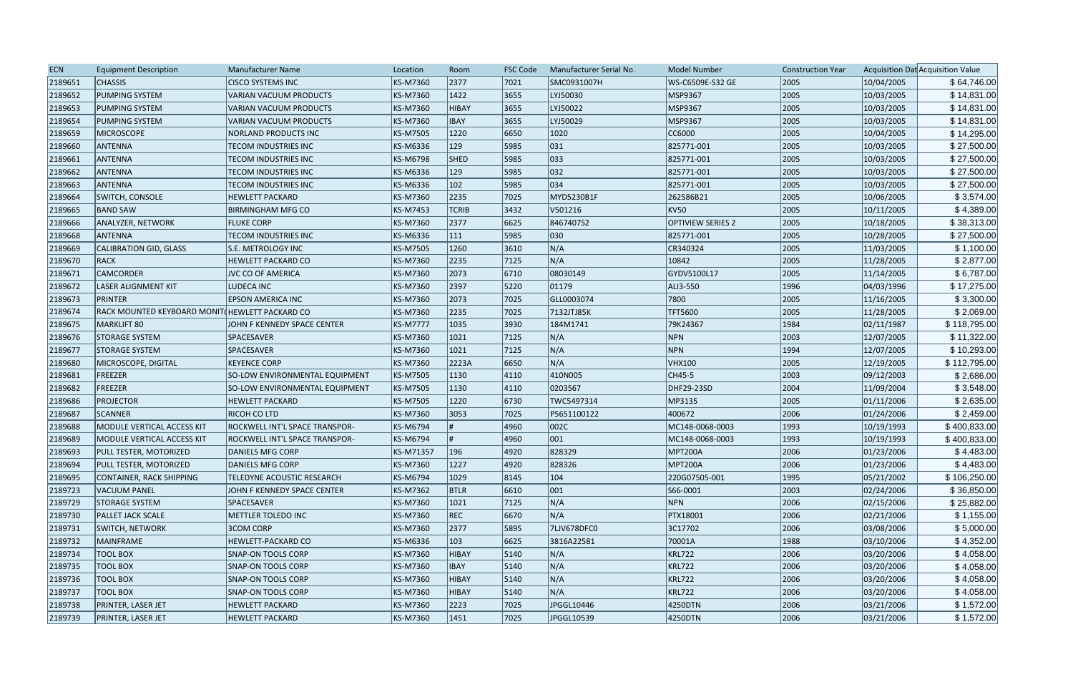| <b>ECN</b> | <b>Equipment Description</b>                   | <b>Manufacturer Name</b>              | Location        | Room         | <b>FSC Code</b> | Manufacturer Serial No. | <b>Model Number</b>      | <b>Construction Year</b> |            | Acquisition Dat Acquisition Value |
|------------|------------------------------------------------|---------------------------------------|-----------------|--------------|-----------------|-------------------------|--------------------------|--------------------------|------------|-----------------------------------|
| 2189651    | <b>CHASSIS</b>                                 | <b>CISCO SYSTEMS INC</b>              | KS-M7360        | 2377         | 7021            | SMC0931007H             | WS-C6509E-S32 GE         | 2005                     | 10/04/2005 | \$64,746.00                       |
| 2189652    | <b>PUMPING SYSTEM</b>                          | <b>VARIAN VACUUM PRODUCTS</b>         | KS-M7360        | 1422         | 3655            | LYJ50030                | MSP9367                  | 2005                     | 10/03/2005 | \$14,831.00                       |
| 2189653    | <b>PUMPING SYSTEM</b>                          | VARIAN VACUUM PRODUCTS                | KS-M7360        | <b>HIBAY</b> | 3655            | LYJ50022                | MSP9367                  | 2005                     | 10/03/2005 | \$14,831.00                       |
| 2189654    | <b>PUMPING SYSTEM</b>                          | VARIAN VACUUM PRODUCTS                | KS-M7360        | <b>IBAY</b>  | 3655            | LYJ50029                | MSP9367                  | 2005                     | 10/03/2005 | \$14,831.00                       |
| 2189659    | <b>MICROSCOPE</b>                              | NORLAND PRODUCTS INC                  | KS-M7505        | 1220         | 6650            | 1020                    | CC6000                   | 2005                     | 10/04/2005 | \$14,295.00                       |
| 2189660    | ANTENNA                                        | TECOM INDUSTRIES INC                  | KS-M6336        | 129          | 5985            | 031                     | 825771-001               | 2005                     | 10/03/2005 | \$27,500.00                       |
| 2189661    | ANTENNA                                        | <b>TECOM INDUSTRIES INC</b>           | KS-M6798        | <b>SHED</b>  | 5985            | 033                     | 825771-001               | 2005                     | 10/03/2005 | \$27,500.00                       |
| 2189662    | ANTENNA                                        | TECOM INDUSTRIES INC                  | KS-M6336        | 129          | 5985            | 032                     | 825771-001               | 2005                     | 10/03/2005 | \$27,500.00                       |
| 2189663    | <b>ANTENNA</b>                                 | TECOM INDUSTRIES INC                  | KS-M6336        | 102          | 5985            | $ 034\rangle$           | 825771-001               | 2005                     | 10/03/2005 | \$27,500.00                       |
| 2189664    | SWITCH, CONSOLE                                | <b>HEWLETT PACKARD</b>                | KS-M7360        | 2235         | 7025            | MYD5230B1F              | 262586B21                | 2005                     | 10/06/2005 | \$3,574.00                        |
| 2189665    | <b>BAND SAW</b>                                | <b>BIRMINGHAM MFG CO</b>              | KS-M7453        | <b>TCRIB</b> | 3432            | V501216                 | KV50                     | 2005                     | 10/11/2005 | \$4,389.00                        |
| 2189666    | ANALYZER, NETWORK                              | <b>FLUKE CORP</b>                     | KS-M7360        | 2377         | 6625            | 8467407S2               | <b>OPTIVIEW SERIES 2</b> | 2005                     | 10/18/2005 | \$38,313.00                       |
| 2189668    | <b>ANTENNA</b>                                 | <b>TECOM INDUSTRIES INC</b>           | KS-M6336        | 111          | 5985            | 030                     | 825771-001               | 2005                     | 10/28/2005 | \$27,500.00                       |
| 2189669    | CALIBRATION GID, GLASS                         | S.E. METROLOGY INC                    | KS-M7505        | 1260         | 3610            | N/A                     | CR340324                 | 2005                     | 11/03/2005 | \$1,100.00                        |
| 2189670    | <b>RACK</b>                                    | <b>HEWLETT PACKARD CO</b>             | KS-M7360        | 2235         | 7125            | N/A                     | 10842                    | 2005                     | 11/28/2005 | \$2,877.00                        |
| 2189671    | <b>CAMCORDER</b>                               | JVC CO OF AMERICA                     | KS-M7360        | 2073         | 6710            | 08030149                | GYDV5100L17              | 2005                     | 11/14/2005 | \$6,787.00                        |
| 2189672    | <b>LASER ALIGNMENT KIT</b>                     | <b>LUDECA INC</b>                     | KS-M7360        | 2397         | 5220            | 01179                   | ALI3-550                 | 1996                     | 04/03/1996 | \$17,275.00                       |
| 2189673    | <b>PRINTER</b>                                 | <b>EPSON AMERICA INC</b>              | KS-M7360        | 2073         | 7025            | GLL0003074              | 7800                     | 2005                     | 11/16/2005 | \$3,300.00                        |
| 2189674    | RACK MOUNTED KEYBOARD MONIT(HEWLETT PACKARD CO |                                       | KS-M7360        | 2235         | 7025            | 7132JTJ85K              | <b>TFT5600</b>           | 2005                     | 11/28/2005 | \$2,069.00                        |
| 2189675    | MARKLIFT 80                                    | JOHN F KENNEDY SPACE CENTER           | <b>KS-M7777</b> | 1035         | 3930            | 184M1741                | 79K24367                 | 1984                     | 02/11/1987 | \$118,795.00                      |
| 2189676    | <b>STORAGE SYSTEM</b>                          | <b>SPACESAVER</b>                     | KS-M7360        | 1021         | 7125            | N/A                     | NPN                      | 2003                     | 12/07/2005 | \$11,322.00                       |
| 2189677    | <b>STORAGE SYSTEM</b>                          | SPACESAVER                            | KS-M7360        | 1021         | 7125            | N/A                     | NPN                      | 1994                     | 12/07/2005 | \$10,293.00                       |
| 2189680    | MICROSCOPE, DIGITAL                            | <b>KEYENCE CORP</b>                   | KS-M7360        | 2223A        | 6650            | N/A                     | <b>VHX100</b>            | 2005                     | 12/19/2005 | \$112,795.00                      |
| 2189681    | FREEZER                                        | SO-LOW ENVIRONMENTAL EQUIPMENT        | KS-M7505        | 1130         | $ 4110\rangle$  | 410N005                 | CH45-5                   | 2003                     | 09/12/2003 | \$2,686.00                        |
| 2189682    | FREEZER                                        | SO-LOW ENVIRONMENTAL EQUIPMENT        | KS-M7505        | 1130         | $ 4110\rangle$  | 0203567                 | DHF29-23SD               | 2004                     | 11/09/2004 | \$3,548.00                        |
| 2189686    | <b>PROJECTOR</b>                               | <b>HEWLETT PACKARD</b>                | KS-M7505        | 1220         | 6730            | TWC5497314              | MP3135                   | 2005                     | 01/11/2006 | \$2,635.00                        |
| 2189687    | <b>SCANNER</b>                                 | <b>RICOH CO LTD</b>                   | KS-M7360        | 3053         | 7025            | P5651100122             | 400672                   | 2006                     | 01/24/2006 | \$2,459.00                        |
| 2189688    | MODULE VERTICAL ACCESS KIT                     | <b>ROCKWELL INT'L SPACE TRANSPOR-</b> | KS-M6794        |              | 4960            | 002C                    | MC148-0068-0003          | 1993                     | 10/19/1993 | \$400,833.00                      |
| 2189689    | MODULE VERTICAL ACCESS KIT                     | ROCKWELL INT'L SPACE TRANSPOR-        | KS-M6794        |              | 4960            | 001                     | MC148-0068-0003          | 1993                     | 10/19/1993 | \$400,833.00                      |
| 2189693    | PULL TESTER, MOTORIZED                         | DANIELS MFG CORP                      | KS-M71357       | 196          | 4920            | 828329                  | <b>MPT200A</b>           | 2006                     | 01/23/2006 | \$4,483.00                        |
| 2189694    | <b>PULL TESTER, MOTORIZED</b>                  | <b>DANIELS MFG CORP</b>               | KS-M7360        | 1227         | 4920            | 828326                  | <b>MPT200A</b>           | 2006                     | 01/23/2006 | \$4,483.00                        |
| 2189695    | CONTAINER, RACK SHIPPING                       | TELEDYNE ACOUSTIC RESEARCH            | KS-M6794        | 1029         | 8145            | 104                     | 220G07505-001            | 1995                     | 05/21/2002 | \$106,250.00                      |
| 2189723    | VACUUM PANEL                                   | JOHN F KENNEDY SPACE CENTER           | KS-M7362        | <b>BTLR</b>  | 6610            | $ 001\rangle$           | S66-0001                 | 2003                     | 02/24/2006 | \$36,850.00                       |
| 2189729    | <b>STORAGE SYSTEM</b>                          | SPACESAVER                            | KS-M7360        | 1021         | 7125            | N/A                     | NPN                      | 2006                     | 02/15/2006 | \$25,882.00                       |
| 2189730    | <b>PALLET JACK SCALE</b>                       | METTLER TOLEDO INC                    | KS-M7360        | <b>REC</b>   | 6670            | N/A                     | <b>PTX18001</b>          | 2006                     | 02/21/2006 | \$1,155.00                        |
| 2189731    | <b>SWITCH, NETWORK</b>                         | <b>3COM CORP</b>                      | KS-M7360        | 2377         | 5895            | 7LJV678DFC0             | 3C17702                  | 2006                     | 03/08/2006 | \$5,000.00                        |
| 2189732    | MAINFRAME                                      | <b>HEWLETT-PACKARD CO</b>             | KS-M6336        | 103          | 6625            | 3816A22581              | 70001A                   | 1988                     | 03/10/2006 | \$4,352.00                        |
| 2189734    | <b>TOOL BOX</b>                                | SNAP-ON TOOLS CORP                    | KS-M7360        | <b>HIBAY</b> | $ 5140\rangle$  | N/A                     | <b>KRL722</b>            | 2006                     | 03/20/2006 | \$4,058.00                        |
| 2189735    | <b>TOOL BOX</b>                                | <b>SNAP-ON TOOLS CORP</b>             | KS-M7360        | <b>IBAY</b>  | $ 5140\rangle$  | N/A                     | <b>KRL722</b>            | 2006                     | 03/20/2006 | \$4,058.00                        |
| 2189736    | <b>TOOL BOX</b>                                | SNAP-ON TOOLS CORP                    | KS-M7360        | <b>HIBAY</b> | $ 5140\rangle$  | N/A                     | <b>KRL722</b>            | 2006                     | 03/20/2006 | \$4,058.00                        |
| 2189737    | <b>TOOL BOX</b>                                | SNAP-ON TOOLS CORP                    | KS-M7360        | <b>HIBAY</b> | $ 5140\rangle$  | N/A                     | <b>KRL722</b>            | 2006                     | 03/20/2006 | \$4,058.00                        |
| 2189738    | <b>PRINTER, LASER JET</b>                      | <b>HEWLETT PACKARD</b>                | KS-M7360        | 2223         | 7025            | JPGGL10446              | 4250DTN                  | 2006                     | 03/21/2006 | \$1,572.00                        |
| 2189739    | <b>PRINTER, LASER JET</b>                      | <b>HEWLETT PACKARD</b>                | KS-M7360        | 1451         | 7025            | JPGGL10539              | 4250DTN                  | 2006                     | 03/21/2006 | \$1,572.00                        |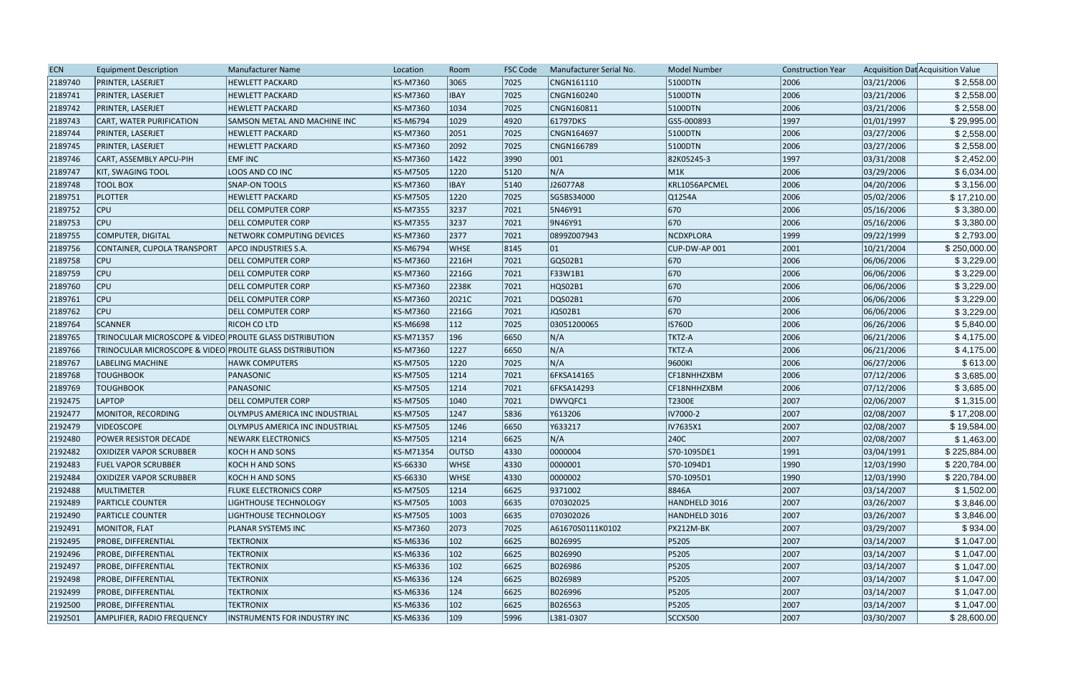| <b>ECN</b> | <b>Equipment Description</b>                             | Manufacturer Name                     | Location  | Room          | <b>FSC Code</b> | Manufacturer Serial No. | <b>Model Number</b> | <b>Construction Year</b> |            | Acquisition Dat Acquisition Value |
|------------|----------------------------------------------------------|---------------------------------------|-----------|---------------|-----------------|-------------------------|---------------------|--------------------------|------------|-----------------------------------|
| 2189740    | PRINTER, LASERJET                                        | <b>HEWLETT PACKARD</b>                | KS-M7360  | 3065          | 7025            | CNGN161110              | 5100DTN             | 2006                     | 03/21/2006 | \$2,558.00                        |
| 2189741    | PRINTER, LASERJET                                        | <b>HEWLETT PACKARD</b>                | KS-M7360  | <b>IBAY</b>   | 7025            | CNGN160240              | 5100DTN             | 2006                     | 03/21/2006 | \$2,558.00                        |
| 2189742    | PRINTER, LASERJET                                        | <b>HEWLETT PACKARD</b>                | KS-M7360  | 1034          | 7025            | CNGN160811              | 5100DTN             | 2006                     | 03/21/2006 | \$2,558.00                        |
| 2189743    | CART, WATER PURIFICATION                                 | <b>SAMSON METAL AND MACHINE INC</b>   | KS-M6794  | 1029          | 4920            | 61797DKS                | GS5-000893          | 1997                     | 01/01/1997 | \$29,995.00                       |
| 2189744    | PRINTER, LASERJET                                        | <b>HEWLETT PACKARD</b>                | KS-M7360  | 2051          | 7025            | CNGN164697              | 5100DTN             | 2006                     | 03/27/2006 | \$2,558.00                        |
| 2189745    | PRINTER, LASERJET                                        | <b>HEWLETT PACKARD</b>                | KS-M7360  | 2092          | 7025            | CNGN166789              | 5100DTN             | 2006                     | 03/27/2006 | \$2,558.00                        |
| 2189746    | CART, ASSEMBLY APCU-PIH                                  | <b>EMF INC</b>                        | KS-M7360  | 1422          | 3990            | $ 001\rangle$           | 82K05245-3          | 1997                     | 03/31/2008 | \$2,452.00                        |
| 2189747    | <b>KIT, SWAGING TOOL</b>                                 | LOOS AND CO INC                       | KS-M7505  | 1220          | 5120            | N/A                     | M1K                 | 2006                     | 03/29/2006 | \$6,034.00                        |
| 2189748    | <b>TOOL BOX</b>                                          | <b>SNAP-ON TOOLS</b>                  | KS-M7360  | <b>IBAY</b>   | 5140            | J26077A8                | KRL1056APCMEL       | 2006                     | 04/20/2006 | \$3,156.00                        |
| 2189751    | <b>PLOTTER</b>                                           | <b>HEWLETT PACKARD</b>                | KS-M7505  | 1220          | 7025            | SG5BS34000              | Q1254A              | 2006                     | 05/02/2006 | \$17,210.00                       |
| 2189752    | <b>CPU</b>                                               | <b>DELL COMPUTER CORP</b>             | KS-M7355  | 3237          | 7021            | 5N46Y91                 | 670                 | 2006                     | 05/16/2006 | \$3,380.00                        |
| 2189753    | CPU                                                      | <b>DELL COMPUTER CORP</b>             | KS-M7355  | 3237          | 7021            | 9N46Y91                 | 670                 | 2006                     | 05/16/2006 | \$3,380.00                        |
| 2189755    | COMPUTER, DIGITAL                                        | NETWORK COMPUTING DEVICES             | KS-M7360  | 2377          | 7021            | 0899Z007943             | NCDXPLORA           | 1999                     | 09/22/1999 | \$2,793.00                        |
| 2189756    | CONTAINER, CUPOLA TRANSPORT                              | <b>APCO INDUSTRIES S.A.</b>           | KS-M6794  | <b>WHSE</b>   | 8145            | 01                      | CUP-DW-AP 001       | 2001                     | 10/21/2004 | \$250,000.00                      |
| 2189758    | CPU                                                      | <b>DELL COMPUTER CORP</b>             | KS-M7360  | 2216H         | 7021            | GQS02B1                 | 670                 | 2006                     | 06/06/2006 | \$3,229.00                        |
| 2189759    | <b>CPU</b>                                               | DELL COMPUTER CORP                    | KS-M7360  | 2216G         | 7021            | F33W1B1                 | 670                 | 2006                     | 06/06/2006 | \$3,229.00                        |
| 2189760    | <b>CPU</b>                                               | <b>DELL COMPUTER CORP</b>             | KS-M7360  | 2238K         | 7021            | HQS02B1                 | 670                 | 2006                     | 06/06/2006 | \$3,229.00                        |
| 2189761    | <b>CPU</b>                                               | <b>DELL COMPUTER CORP</b>             | KS-M7360  | 2021C         | 7021            | DQS02B1                 | 670                 | 2006                     | 06/06/2006 | \$3,229.00                        |
| 2189762    | CPU                                                      | <b>DELL COMPUTER CORP</b>             | KS-M7360  | 2216G         | 7021            | JQS02B1                 | 670                 | 2006                     | 06/06/2006 | \$3,229.00                        |
| 2189764    | <b>SCANNER</b>                                           | RICOH CO LTD                          | KS-M6698  | 112           | 7025            | 03051200065             | <b>IS760D</b>       | 2006                     | 06/26/2006 | \$5,840.00                        |
| 2189765    | TRINOCULAR MICROSCOPE & VIDEO PROLITE GLASS DISTRIBUTION |                                       | KS-M71357 | 196           | 6650            | N/A                     | <b>TKTZ-A</b>       | 2006                     | 06/21/2006 | \$4,175.00                        |
| 2189766    | TRINOCULAR MICROSCOPE & VIDEO PROLITE GLASS DISTRIBUTION |                                       | KS-M7360  | 1227          | 6650            | N/A                     | <b>TKTZ-A</b>       | 2006                     | 06/21/2006 | \$4,175.00                        |
| 2189767    | LABELING MACHINE                                         | <b>HAWK COMPUTERS</b>                 | KS-M7505  | 1220          | 7025            | N/A                     | 9600KI              | 2006                     | 06/27/2006 | \$613.00                          |
| 2189768    | <b>TOUGHBOOK</b>                                         | PANASONIC                             | KS-M7505  | 1214          | 7021            | 6FKSA14165              | CF18NHHZXBM         | 2006                     | 07/12/2006 | \$3,685.00                        |
| 2189769    | <b>TOUGHBOOK</b>                                         | PANASONIC                             | KS-M7505  | 1214          | 7021            | 6FKSA14293              | CF18NHHZXBM         | 2006                     | 07/12/2006 | \$3,685.00                        |
| 2192475    | <b>LAPTOP</b>                                            | <b>DELL COMPUTER CORP</b>             | KS-M7505  | 1040          | 7021            | DWVQFC1                 | T2300E              | 2007                     | 02/06/2007 | \$1,315.00                        |
| 2192477    | MONITOR, RECORDING                                       | OLYMPUS AMERICA INC INDUSTRIAL        | KS-M7505  | 1247          | 5836            | Y613206                 | IV7000-2            | 2007                     | 02/08/2007 | \$17,208.00                       |
| 2192479    | <b>VIDEOSCOPE</b>                                        | <b>OLYMPUS AMERICA INC INDUSTRIAL</b> | KS-M7505  | 1246          | 6650            | Y633217                 | IV7635X1            | 2007                     | 02/08/2007 | \$19,584.00                       |
| 2192480    | POWER RESISTOR DECADE                                    | <b>NEWARK ELECTRONICS</b>             | KS-M7505  | 1214          | 6625            | N/A                     | 240C                | 2007                     | 02/08/2007 | \$1,463.00                        |
| 2192482    | <b>OXIDIZER VAPOR SCRUBBER</b>                           | KOCH H AND SONS                       | KS-M71354 | <b>OUTSD</b>  | 4330            | 0000004                 | S70-1095DE1         | 1991                     | 03/04/1991 | \$225,884.00                      |
| 2192483    | <b>FUEL VAPOR SCRUBBER</b>                               | <b>KOCH H AND SONS</b>                | KS-66330  | WHSE          | 4330            | 0000001                 | S70-1094D1          | 1990                     | 12/03/1990 | \$220,784.00                      |
| 2192484    | <b>OXIDIZER VAPOR SCRUBBER</b>                           | KOCH H AND SONS                       | KS-66330  | <b>WHSE</b>   | 4330            | 0000002                 | S70-1095D1          | 1990                     | 12/03/1990 | \$220,784.00                      |
| 2192488    | <b>MULTIMETER</b>                                        | <b>FLUKE ELECTRONICS CORP</b>         | KS-M7505  | 1214          | 6625            | 9371002                 | 8846A               | 2007                     | 03/14/2007 | \$1,502.00                        |
| 2192489    | <b>PARTICLE COUNTER</b>                                  | <b>LIGHTHOUSE TECHNOLOGY</b>          | KS-M7505  | 1003          | 6635            | 070302025               | HANDHELD 3016       | 2007                     | 03/26/2007 | \$3,846.00                        |
| 2192490    | <b>PARTICLE COUNTER</b>                                  | LIGHTHOUSE TECHNOLOGY                 | KS-M7505  | 1003          | 6635            | 070302026               | HANDHELD 3016       | 2007                     | 03/26/2007 | \$3,846.00                        |
| 2192491    | MONITOR, FLAT                                            | PLANAR SYSTEMS INC                    | KS-M7360  | 2073          | 7025            | A61670S0111K0102        | <b>PX212M-BK</b>    | 2007                     | 03/29/2007 | \$934.00                          |
| 2192495    | <b>PROBE, DIFFERENTIAL</b>                               | <b>TEKTRONIX</b>                      | KS-M6336  | $ 102\rangle$ | 6625            | B026995                 | P5205               | 2007                     | 03/14/2007 | \$1,047.00                        |
| 2192496    | PROBE, DIFFERENTIAL                                      | <b>TEKTRONIX</b>                      | KS-M6336  | 102           | 6625            | B026990                 | P5205               | 2007                     | 03/14/2007 | \$1,047.00                        |
| 2192497    | PROBE, DIFFERENTIAL                                      | <b>TEKTRONIX</b>                      | KS-M6336  | 102           | 6625            | B026986                 | P5205               | 2007                     | 03/14/2007 | \$1,047.00                        |
| 2192498    | PROBE, DIFFERENTIAL                                      | <b>TEKTRONIX</b>                      | KS-M6336  | 124           | 6625            | B026989                 | P5205               | 2007                     | 03/14/2007 | \$1,047.00                        |
| 2192499    | <b>PROBE, DIFFERENTIAL</b>                               | <b>TEKTRONIX</b>                      | KS-M6336  | 124           | 6625            | B026996                 | P5205               | 2007                     | 03/14/2007 | \$1,047.00                        |
| 2192500    | <b>PROBE, DIFFERENTIAL</b>                               | <b>TEKTRONIX</b>                      | KS-M6336  | $ 102\rangle$ | 6625            | B026563                 | P5205               | 2007                     | 03/14/2007 | \$1,047.00                        |
| 2192501    | AMPLIFIER, RADIO FREQUENCY                               | INSTRUMENTS FOR INDUSTRY INC          | KS-M6336  | $ 109\rangle$ | 5996            | L381-0307               | <b>SCCX500</b>      | 2007                     | 03/30/2007 | \$28,600.00                       |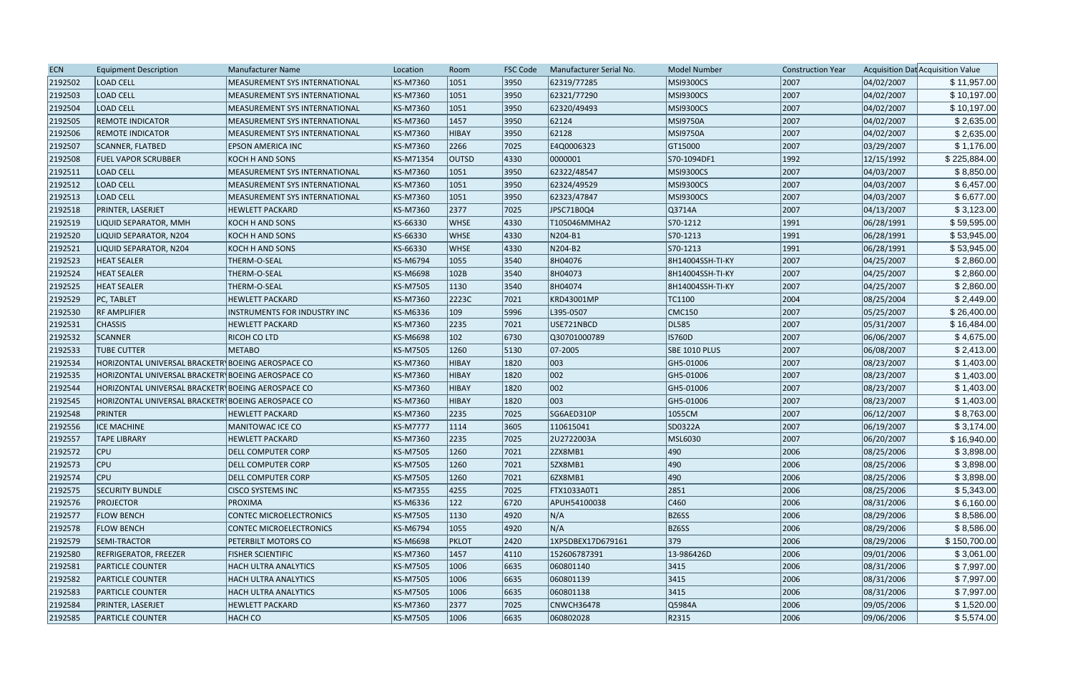| <b>ECN</b> | <b>Equipment Description</b>                      | <b>Manufacturer Name</b>             | Location        | Room         | <b>FSC Code</b> | Manufacturer Serial No. | Model Number         | <b>Construction Year</b> |            | Acquisition Dat Acquisition Value |
|------------|---------------------------------------------------|--------------------------------------|-----------------|--------------|-----------------|-------------------------|----------------------|--------------------------|------------|-----------------------------------|
| 2192502    | <b>LOAD CELL</b>                                  | MEASUREMENT SYS INTERNATIONAL        | KS-M7360        | 1051         | 3950            | 62319/77285             | <b>MSI9300CS</b>     | 2007                     | 04/02/2007 | \$11,957.00                       |
| 2192503    | <b>LOAD CELL</b>                                  | <b>MEASUREMENT SYS INTERNATIONAL</b> | KS-M7360        | 1051         | 3950            | 62321/77290             | <b>MSI9300CS</b>     | 2007                     | 04/02/2007 | \$10,197.00                       |
| 2192504    | <b>LOAD CELL</b>                                  | <b>MEASUREMENT SYS INTERNATIONAL</b> | KS-M7360        | 1051         | 3950            | 62320/49493             | MSI9300CS            | 2007                     | 04/02/2007 | \$10,197.00                       |
| 2192505    | <b>REMOTE INDICATOR</b>                           | MEASUREMENT SYS INTERNATIONAL        | KS-M7360        | 1457         | 3950            | 62124                   | <b>MSI9750A</b>      | 2007                     | 04/02/2007 | \$2,635.00                        |
| 2192506    | <b>REMOTE INDICATOR</b>                           | MEASUREMENT SYS INTERNATIONAL        | KS-M7360        | <b>HIBAY</b> | 3950            | 62128                   | <b>MSI9750A</b>      | 2007                     | 04/02/2007 | \$2,635.00                        |
| 2192507    | SCANNER, FLATBED                                  | <b>EPSON AMERICA INC</b>             | KS-M7360        | 2266         | 7025            | E4Q0006323              | GT15000              | 2007                     | 03/29/2007 | \$1,176.00                        |
| 2192508    | <b>FUEL VAPOR SCRUBBER</b>                        | KOCH H AND SONS                      | KS-M71354       | <b>OUTSD</b> | 4330            | 0000001                 | S70-1094DF1          | 1992                     | 12/15/1992 | \$225,884.00                      |
| 2192511    | <b>LOAD CELL</b>                                  | MEASUREMENT SYS INTERNATIONAL        | KS-M7360        | 1051         | 3950            | 62322/48547             | <b>MSI9300CS</b>     | 2007                     | 04/03/2007 | \$8,850.00                        |
| 2192512    | <b>LOAD CELL</b>                                  | <b>MEASUREMENT SYS INTERNATIONAL</b> | KS-M7360        | 1051         | 3950            | 62324/49529             | MSI9300CS            | 2007                     | 04/03/2007 | \$6,457.00                        |
| 2192513    | <b>LOAD CELL</b>                                  | <b>MEASUREMENT SYS INTERNATIONAL</b> | KS-M7360        | 1051         | 3950            | 62323/47847             | MSI9300CS            | 2007                     | 04/03/2007 | \$6,677.00                        |
| 2192518    | PRINTER, LASERJET                                 | <b>HEWLETT PACKARD</b>               | KS-M7360        | 2377         | 7025            | JPSC71B0Q4              | Q3714A               | 2007                     | 04/13/2007 | \$3,123.00                        |
| 2192519    | LIQUID SEPARATOR, MMH                             | <b>KOCH H AND SONS</b>               | KS-66330        | <b>WHSE</b>  | 4330            | T105046MMHA2            | S70-1212             | 1991                     | 06/28/1991 | \$59,595.00                       |
| 2192520    | LIQUID SEPARATOR, N204                            | <b>KOCH H AND SONS</b>               | KS-66330        | <b>WHSE</b>  | 4330            | N204-B1                 | S70-1213             | 1991                     | 06/28/1991 | \$53,945.00                       |
| 2192521    | LIQUID SEPARATOR, N204                            | KOCH H AND SONS                      | KS-66330        | <b>WHSE</b>  | 4330            | N204-B2                 | S70-1213             | 1991                     | 06/28/1991 | \$53,945.00                       |
| 2192523    | <b>HEAT SEALER</b>                                | THERM-O-SEAL                         | KS-M6794        | 1055         | 3540            | 8H04076                 | 8H14004SSH-TI-KY     | 2007                     | 04/25/2007 | \$2,860.00                        |
| 2192524    | <b>HEAT SEALER</b>                                | THERM-O-SEAL                         | KS-M6698        | 102B         | 3540            | 8H04073                 | 8H14004SSH-TI-KY     | 2007                     | 04/25/2007 | \$2,860.00                        |
| 2192525    | <b>HEAT SEALER</b>                                | THERM-O-SEAL                         | KS-M7505        | 1130         | 3540            | 8H04074                 | 8H14004SSH-TI-KY     | 2007                     | 04/25/2007 | \$2,860.00                        |
| 2192529    | PC, TABLET                                        | <b>HEWLETT PACKARD</b>               | KS-M7360        | 2223C        | 7021            | KRD43001MP              | TC1100               | 2004                     | 08/25/2004 | \$2,449.00                        |
| 2192530    | <b>RF AMPLIFIER</b>                               | INSTRUMENTS FOR INDUSTRY INC         | KS-M6336        | 109          | 5996            | L395-0507               | CMC150               | 2007                     | 05/25/2007 | \$26,400.00                       |
| 2192531    | <b>CHASSIS</b>                                    | <b>HEWLETT PACKARD</b>               | KS-M7360        | 2235         | 7021            | USE721NBCD              | DL585                | 2007                     | 05/31/2007 | \$16,484.00                       |
| 2192532    | <b>SCANNER</b>                                    | RICOH CO LTD                         | KS-M6698        | 102          | 6730            | Q30701000789            | <b>IS760D</b>        | 2007                     | 06/06/2007 | \$4,675.00                        |
| 2192533    | <b>TUBE CUTTER</b>                                | <b>METABO</b>                        | KS-M7505        | 1260         | 5130            | $ 07 - 2005 $           | <b>SBE 1010 PLUS</b> | 2007                     | 06/08/2007 | \$2,413.00                        |
| 2192534    | HORIZONTAL UNIVERSAL BRACKETR\BOEING AEROSPACE CO |                                      | KS-M7360        | <b>HIBAY</b> | 1820            | 003                     | GH5-01006            | 2007                     | 08/23/2007 | \$1,403.00                        |
| 2192535    | HORIZONTAL UNIVERSAL BRACKETR\BOEING AEROSPACE CO |                                      | KS-M7360        | <b>HIBAY</b> | 1820            | 002                     | GH5-01006            | 2007                     | 08/23/2007 | \$1,403.00                        |
| 2192544    | HORIZONTAL UNIVERSAL BRACKETR BOEING AEROSPACE CO |                                      | KS-M7360        | <b>HIBAY</b> | 1820            | 002                     | GH5-01006            | 2007                     | 08/23/2007 | \$1,403.00                        |
| 2192545    | HORIZONTAL UNIVERSAL BRACKETR BOEING AEROSPACE CO |                                      | KS-M7360        | HIBAY        | 1820            | 003                     | GH5-01006            | 2007                     | 08/23/2007 | \$1,403.00                        |
| 2192548    | <b>PRINTER</b>                                    | <b>HEWLETT PACKARD</b>               | KS-M7360        | 2235         | 7025            | SG6AED310P              | 1055CM               | 2007                     | 06/12/2007 | \$8,763.00                        |
| 2192556    | <b>ICE MACHINE</b>                                | <b>MANITOWAC ICE CO</b>              | <b>KS-M7777</b> | 1114         | 3605            | 110615041               | SD0322A              | 2007                     | 06/19/2007 | \$3,174.00                        |
| 2192557    | <b>TAPE LIBRARY</b>                               | <b>HEWLETT PACKARD</b>               | KS-M7360        | 2235         | 7025            | 2U2722003A              | MSL6030              | 2007                     | 06/20/2007 | \$16,940.00                       |
| 2192572    | <b>CPU</b>                                        | <b>DELL COMPUTER CORP</b>            | KS-M7505        | 1260         | 7021            | 2ZX8MB1                 | 490                  | 2006                     | 08/25/2006 | \$3,898.00                        |
| 2192573    | $ $ CPU                                           | <b>DELL COMPUTER CORP</b>            | KS-M7505        | 1260         | 7021            | 5ZX8MB1                 | 490                  | 2006                     | 08/25/2006 | \$3,898.00                        |
| 2192574    | <b>CPU</b>                                        | <b>DELL COMPUTER CORP</b>            | KS-M7505        | 1260         | 7021            | 6ZX8MB1                 | 490                  | 2006                     | 08/25/2006 | \$3,898.00                        |
| 2192575    | <b>SECURITY BUNDLE</b>                            | <b>CISCO SYSTEMS INC</b>             | KS-M7355        | 4255         | 7025            | FTX1033A0T1             | 2851                 | 2006                     | 08/25/2006 | \$5,343.00                        |
| 2192576    | <b>PROJECTOR</b>                                  | PROXIMA                              | KS-M6336        | 122          | 6720            | APUH54100038            | $ C460\rangle$       | 2006                     | 08/31/2006 | \$6,160.00                        |
| 2192577    | <b>FLOW BENCH</b>                                 | <b>CONTEC MICROELECTRONICS</b>       | KS-M7505        | 1130         | 4920            | N/A                     | BZ6SS                | 2006                     | 08/29/2006 | \$8,586.00                        |
| 2192578    | <b>FLOW BENCH</b>                                 | <b>CONTEC MICROELECTRONICS</b>       | KS-M6794        | 1055         | 4920            | N/A                     | BZ6SS                | 2006                     | 08/29/2006 | \$8,586.00                        |
| 2192579    | <b>SEMI-TRACTOR</b>                               | <b>PETERBILT MOTORS CO</b>           | KS-M6698        | PKLOT        | 2420            | 1XP5DBEX17D679161       | 379                  | 2006                     | 08/29/2006 | \$150,700.00                      |
| 2192580    | REFRIGERATOR, FREEZER                             | <b>FISHER SCIENTIFIC</b>             | KS-M7360        | 1457         | 4110            | 152606787391            | 13-986426D           | 2006                     | 09/01/2006 | \$3,061.00                        |
| 2192581    | PARTICLE COUNTER                                  | <b>HACH ULTRA ANALYTICS</b>          | KS-M7505        | 1006         | 6635            | 060801140               | 3415                 | 2006                     | 08/31/2006 | \$7,997.00                        |
| 2192582    | <b>PARTICLE COUNTER</b>                           | <b>HACH ULTRA ANALYTICS</b>          | KS-M7505        | 1006         | 6635            | 060801139               | 3415                 | 2006                     | 08/31/2006 | \$7,997.00                        |
| 2192583    | <b>PARTICLE COUNTER</b>                           | <b>HACH ULTRA ANALYTICS</b>          | KS-M7505        | 1006         | 6635            | 060801138               | 3415                 | 2006                     | 08/31/2006 | \$7,997.00                        |
| 2192584    | <b>PRINTER, LASERJET</b>                          | <b>HEWLETT PACKARD</b>               | KS-M7360        | 2377         | 7025            | CNWCH36478              | Q5984A               | 2006                     | 09/05/2006 | \$1,520.00                        |
| 2192585    | <b>PARTICLE COUNTER</b>                           | HACH CO                              | KS-M7505        | 1006         | 6635            | 060802028               | R2315                | 2006                     | 09/06/2006 | \$5,574.00                        |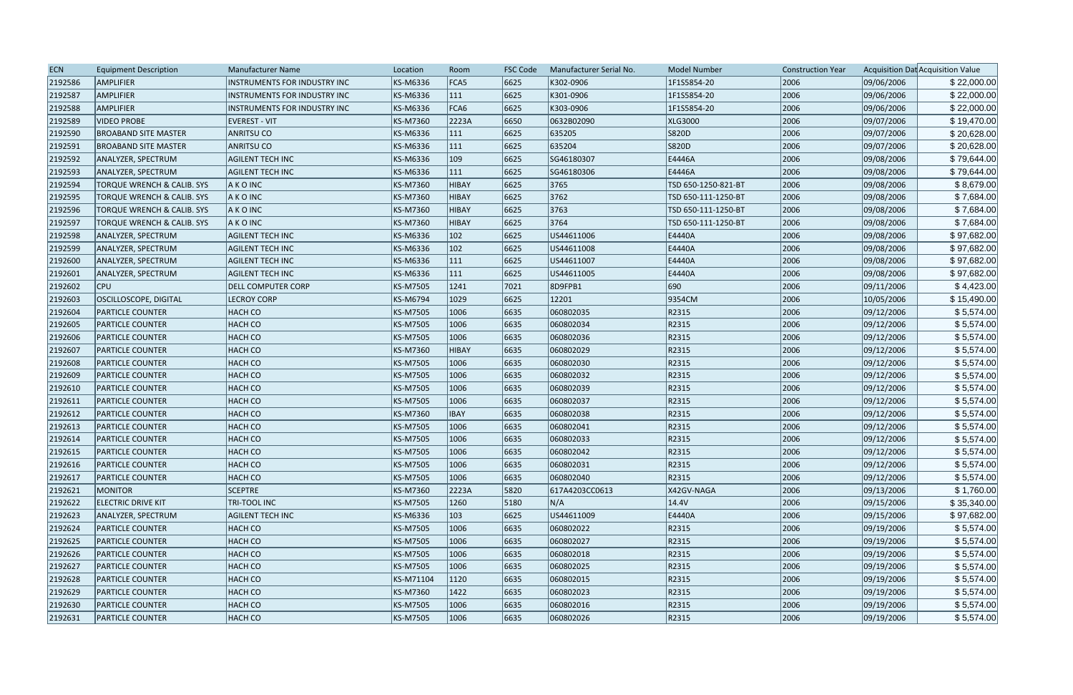| <b>ECN</b> | <b>Equipment Description</b>          | Manufacturer Name            | Location        | Room           | <b>FSC Code</b> | Manufacturer Serial No. | <b>Model Number</b> | <b>Construction Year</b> |            | Acquisition Dat Acquisition Value |
|------------|---------------------------------------|------------------------------|-----------------|----------------|-----------------|-------------------------|---------------------|--------------------------|------------|-----------------------------------|
| 2192586    | AMPLIFIER                             | INSTRUMENTS FOR INDUSTRY INC | KS-M6336        | FCA5           | 6625            | K302-0906               | 1F1S5854-20         | 2006                     | 09/06/2006 | \$22,000.00                       |
| 2192587    | <b>AMPLIFIER</b>                      | INSTRUMENTS FOR INDUSTRY INC | KS-M6336        | 111            | 6625            | K301-0906               | 1F1S5854-20         | 2006                     | 09/06/2006 | \$22,000.00                       |
| 2192588    | <b>AMPLIFIER</b>                      | INSTRUMENTS FOR INDUSTRY INC | KS-M6336        | FCA6           | 6625            | K303-0906               | IF1S5854-20         | 2006                     | 09/06/2006 | \$22,000.00                       |
| 2192589    | <b>VIDEO PROBE</b>                    | <b>EVEREST - VIT</b>         | KS-M7360        | 2223A          | 6650            | 0632B02090              | XLG3000             | 2006                     | 09/07/2006 | \$19,470.00                       |
| 2192590    | <b>BROABAND SITE MASTER</b>           | <b>ANRITSU CO</b>            | KS-M6336        | 111            | 6625            | 635205                  | S820D               | 2006                     | 09/07/2006 | \$20,628.00                       |
| 2192591    | <b>BROABAND SITE MASTER</b>           | <b>ANRITSU CO</b>            | KS-M6336        | 111            | 6625            | 635204                  | S820D               | 2006                     | 09/07/2006 | \$20,628.00                       |
| 2192592    | ANALYZER, SPECTRUM                    | <b>AGILENT TECH INC</b>      | KS-M6336        | 109            | 6625            | SG46180307              | E4446A              | 2006                     | 09/08/2006 | \$79,644.00                       |
| 2192593    | ANALYZER, SPECTRUM                    | <b>AGILENT TECH INC</b>      | <b>KS-M6336</b> | 111            | 6625            | SG46180306              | E4446A              | 2006                     | 09/08/2006 | \$79,644.00                       |
| 2192594    | <b>TORQUE WRENCH &amp; CALIB. SYS</b> | AKOINC                       | KS-M7360        | HIBAY          | 6625            | 3765                    | TSD 650-1250-821-BT | 2006                     | 09/08/2006 | \$8,679.00                        |
| 2192595    | TORQUE WRENCH & CALIB. SYS            | <b>AKOINC</b>                | KS-M7360        | <b>HIBAY</b>   | 6625            | 3762                    | TSD 650-111-1250-BT | 2006                     | 09/08/2006 | \$7,684.00                        |
| 2192596    | TORQUE WRENCH & CALIB. SYS            | AKOINC                       | <b>KS-M7360</b> | <b>HIBAY</b>   | 6625            | 3763                    | TSD 650-111-1250-BT | 2006                     | 09/08/2006 | \$7,684.00                        |
| 2192597    | TORQUE WRENCH & CALIB. SYS            | A K O INC                    | <b>KS-M7360</b> | <b>HIBAY</b>   | 6625            | 3764                    | TSD 650-111-1250-BT | 2006                     | 09/08/2006 | \$7,684.00                        |
| 2192598    | ANALYZER, SPECTRUM                    | <b>AGILENT TECH INC</b>      | KS-M6336        | 102            | 6625            | US44611006              | E4440A              | 2006                     | 09/08/2006 | \$97,682.00                       |
| 2192599    | ANALYZER, SPECTRUM                    | <b>AGILENT TECH INC</b>      | KS-M6336        | $ 102\rangle$  | 6625            | US44611008              | E4440A              | 2006                     | 09/08/2006 | \$97,682.00                       |
| 2192600    | ANALYZER, SPECTRUM                    | <b>AGILENT TECH INC</b>      | KS-M6336        | 111            | 6625            | US44611007              | E4440A              | 2006                     | 09/08/2006 | \$97,682.00                       |
| 2192601    | ANALYZER, SPECTRUM                    | <b>AGILENT TECH INC</b>      | KS-M6336        | 111            | 6625            | US44611005              | E4440A              | 2006                     | 09/08/2006 | \$97,682.00                       |
| 2192602    | <b>CPU</b>                            | <b>DELL COMPUTER CORP</b>    | <b>KS-M7505</b> | 1241           | 7021            | 8D9FPB1                 | 690                 | 2006                     | 09/11/2006 | \$4,423.00                        |
| 2192603    | <b>OSCILLOSCOPE, DIGITAL</b>          | <b>LECROY CORP</b>           | <b>KS-M6794</b> | $ 1029\rangle$ | 6625            | 12201                   | 9354CM              | 2006                     | 10/05/2006 | \$15,490.00                       |
| 2192604    | <b>PARTICLE COUNTER</b>               | HACH CO                      | <b>KS-M7505</b> | 1006           | 6635            | 060802035               | R2315               | 2006                     | 09/12/2006 | \$5,574.00                        |
| 2192605    | <b>PARTICLE COUNTER</b>               | <b>HACH CO</b>               | <b>KS-M7505</b> | 1006           | 6635            | 060802034               | R2315               | 2006                     | 09/12/2006 | \$5,574.00                        |
| 2192606    | <b>PARTICLE COUNTER</b>               | HACH CO                      | <b>KS-M7505</b> | 1006           | 6635            | 060802036               | R2315               | 2006                     | 09/12/2006 | \$5,574.00                        |
| 2192607    | <b>PARTICLE COUNTER</b>               | <b>HACH CO</b>               | KS-M7360        | <b>HIBAY</b>   | 6635            | 060802029               | R2315               | 2006                     | 09/12/2006 | \$5,574.00                        |
| 2192608    | <b>PARTICLE COUNTER</b>               | <b>HACH CO</b>               | <b>KS-M7505</b> | 1006           | 6635            | 060802030               | R2315               | 2006                     | 09/12/2006 | \$5,574.00                        |
| 2192609    | <b>PARTICLE COUNTER</b>               | <b>HACH CO</b>               | <b>KS-M7505</b> | 1006           | 6635            | 060802032               | R2315               | 2006                     | 09/12/2006 | \$5,574.00                        |
| 2192610    | <b>PARTICLE COUNTER</b>               | <b>HACH CO</b>               | <b>KS-M7505</b> | 1006           | 6635            | 060802039               | R2315               | 2006                     | 09/12/2006 | \$5,574.00                        |
| 2192611    | <b>PARTICLE COUNTER</b>               | HACH CO                      | <b>KS-M7505</b> | 1006           | 6635            | 060802037               | R2315               | 2006                     | 09/12/2006 | \$5,574.00                        |
| 2192612    | <b>PARTICLE COUNTER</b>               | <b>HACH CO</b>               | <b>KS-M7360</b> | <b>IBAY</b>    | 6635            | 060802038               | R2315               | 2006                     | 09/12/2006 | \$5,574.00                        |
| 2192613    | <b>PARTICLE COUNTER</b>               | <b>HACH CO</b>               | <b>KS-M7505</b> | 1006           | 6635            | 060802041               | R2315               | 2006                     | 09/12/2006 | \$5,574.00                        |
| 2192614    | <b>PARTICLE COUNTER</b>               | HACH CO                      | <b>KS-M7505</b> | 1006           | 6635            | 060802033               | R2315               | 2006                     | 09/12/2006 | \$5,574.00                        |
| 2192615    | <b>PARTICLE COUNTER</b>               | <b>HACH CO</b>               | <b>KS-M7505</b> | 1006           | 6635            | 060802042               | R2315               | 2006                     | 09/12/2006 | \$5,574.00                        |
| 2192616    | <b>PARTICLE COUNTER</b>               | <b>HACH CO</b>               | <b>KS-M7505</b> | 1006           | 6635            | 060802031               | R2315               | 2006                     | 09/12/2006 | \$5,574.00                        |
| 2192617    | <b>PARTICLE COUNTER</b>               | <b>HACH CO</b>               | <b>KS-M7505</b> | 1006           | 6635            | 060802040               | R2315               | 2006                     | 09/12/2006 | \$5,574.00                        |
| 2192621    | MONITOR                               | <b>SCEPTRE</b>               | <b>KS-M7360</b> | 2223A          | 5820            | 617A4203CC0613          | X42GV-NAGA          | 2006                     | 09/13/2006 | \$1,760.00                        |
| 2192622    | <b>ELECTRIC DRIVE KIT</b>             | TRI-TOOL INC                 | <b>KS-M7505</b> | 1260           | 5180            | N/A                     | 14.4V               | 2006                     | 09/15/2006 | \$35,340.00                       |
| 2192623    | ANALYZER, SPECTRUM                    | <b>AGILENT TECH INC</b>      | KS-M6336        | 103            | 6625            | US44611009              | E4440A              | 2006                     | 09/15/2006 | \$97,682.00                       |
| 2192624    | <b>PARTICLE COUNTER</b>               | <b>HACH CO</b>               | <b>KS-M7505</b> | 1006           | 6635            | 060802022               | R2315               | 2006                     | 09/19/2006 | \$5,574.00                        |
| 2192625    | <b>PARTICLE COUNTER</b>               | <b>HACH CO</b>               | <b>KS-M7505</b> | 1006           | 6635            | 060802027               | R2315               | 2006                     | 09/19/2006 | \$5,574.00                        |
| 2192626    | <b>PARTICLE COUNTER</b>               | <b>HACH CO</b>               | <b>KS-M7505</b> | 1006           | 6635            | 060802018               | R2315               | 2006                     | 09/19/2006 | \$5,574.00                        |
| 2192627    | <b>PARTICLE COUNTER</b>               | <b>HACH CO</b>               | <b>KS-M7505</b> | 1006           | 6635            | 060802025               | R2315               | 2006                     | 09/19/2006 | \$5,574.00                        |
| 2192628    | <b>PARTICLE COUNTER</b>               | <b>HACH CO</b>               | KS-M71104       | 1120           | 6635            | 060802015               | R2315               | 2006                     | 09/19/2006 | \$5,574.00                        |
| 2192629    | <b>PARTICLE COUNTER</b>               | <b>HACH CO</b>               | KS-M7360        | 1422           | 6635            | 060802023               | R2315               | 2006                     | 09/19/2006 | \$5,574.00                        |
| 2192630    | <b>PARTICLE COUNTER</b>               | <b>HACH CO</b>               | KS-M7505        | 1006           | 6635            | 060802016               | R2315               | 2006                     | 09/19/2006 | \$5,574.00                        |
| 2192631    | <b>PARTICLE COUNTER</b>               | <b>HACH CO</b>               | <b>KS-M7505</b> | 1006           | 6635            | 060802026               | R2315               | 2006                     | 09/19/2006 | \$5,574.00                        |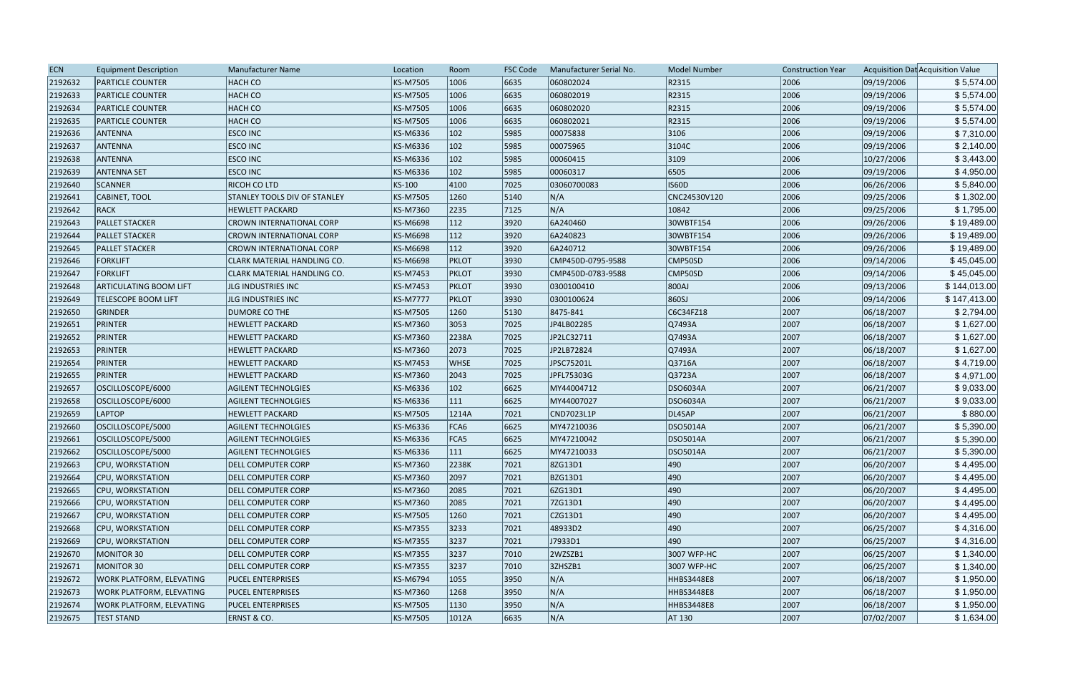| 2192632<br><b>HACH CO</b><br>KS-M7505<br>1006<br>6635<br>060802024<br>R2315<br>2006<br>09/19/2006<br>\$5,574.00<br><b>PARTICLE COUNTER</b><br>R2315<br>2006<br>2192633<br><b>PARTICLE COUNTER</b><br><b>HACH CO</b><br>KS-M7505<br>1006<br>6635<br>060802019<br>09/19/2006<br>\$5,574.00<br>R2315<br>2006<br>\$5,574.00<br>2192634<br><b>HACH CO</b><br>KS-M7505<br>1006<br>6635<br>060802020<br>09/19/2006<br><b>PARTICLE COUNTER</b><br>\$5,574.00<br>R2315<br>2006<br>09/19/2006<br>2192635<br><b>HACH CO</b><br>KS-M7505<br>1006<br>6635<br>060802021<br><b>PARTICLE COUNTER</b><br>2006<br>2192636<br><b>ESCO INC</b><br>KS-M6336<br>102<br>5985<br>00075838<br>3106<br>09/19/2006<br>\$7,310.00<br><b>ANTENNA</b><br>09/19/2006<br>\$2,140.00<br>2192637<br>ANTENNA<br><b>ESCO INC</b><br>KS-M6336<br>102<br>5985<br>00075965<br>3104C<br>2006<br>3109<br>2006<br>\$3,443.00<br>2192638<br>ANTENNA<br><b>ESCO INC</b><br>KS-M6336<br>102<br>5985<br>00060415<br>10/27/2006<br>6505<br>\$4,950.00<br>2192639<br>102<br>5985<br>00060317<br>2006<br>09/19/2006<br><b>ANTENNA SET</b><br><b>ESCO INC</b><br>KS-M6336<br><b>IS60D</b><br>2006<br>2192640<br>SCANNER<br><b>RICOH CO LTD</b><br>KS-100<br>4100<br>7025<br>03060700083<br>06/26/2006<br>\$5,840.00<br>2006<br>\$1,302.00<br>2192641<br>CABINET, TOOL<br>STANLEY TOOLS DIV OF STANLEY<br>KS-M7505<br>1260<br>$ 5140\rangle$<br>N/A<br>CNC24530V120<br>09/25/2006<br>N/A<br>\$1,795.00<br>RACK<br>KS-M7360<br>7125<br>$ 10842\rangle$<br>2006<br>09/25/2006<br>2192642<br><b>HEWLETT PACKARD</b><br>2235<br><b>PALLET STACKER</b><br>3920<br>6A240460<br>2006<br>09/26/2006<br>2192643<br>CROWN INTERNATIONAL CORP<br>KS-M6698<br>112<br>30WBTF154<br>\$19,489.00<br>\$19,489.00<br>3920<br>6A240823<br>2006<br>09/26/2006<br><b>PALLET STACKER</b><br><b>CROWN INTERNATIONAL CORP</b><br>KS-M6698<br>112<br>30WBTF154<br>KS-M6698<br>112<br>3920<br>6A240712<br>2006<br>09/26/2006<br>\$19,489.00<br>2192645<br><b>PALLET STACKER</b><br>30WBTF154<br><b>CROWN INTERNATIONAL CORP</b><br>\$45,045.00<br><b>PKLOT</b><br>CMP450D-0795-9588<br>2006<br>09/14/2006<br>2192646<br><b>FORKLIFT</b><br><b>CLARK MATERIAL HANDLING CO.</b><br>KS-M6698<br> 3930 <br>CMP50SD<br>2006<br>09/14/2006<br>2192647<br><b>FORKLIFT</b><br>KS-M7453<br><b>PKLOT</b><br> 3930 <br>CMP50SD<br>\$45,045.00<br> CLARK MATERIAL HANDLING CO.<br>CMP450D-0783-9588<br>2006<br>\$144,013.00<br>2192648<br><b>ARTICULATING BOOM LIFT</b><br>KS-M7453<br> 3930 <br>800AJ<br>09/13/2006<br><b>JLG INDUSTRIES INC</b><br><b>PKLOT</b><br>0300100410<br>860SJ<br>2006<br>09/14/2006<br>\$147,413.00<br>2192649<br><b>KS-M7777</b><br> 3930 <br><b>TELESCOPE BOOM LIFT</b><br><b>JLG INDUSTRIES INC</b><br><b>PKLOT</b><br>0300100624<br>2007<br>C6C34FZ18<br>06/18/2007<br>2192650<br>GRINDER<br>DUMORE CO THE<br>KS-M7505<br>1260<br> 5130<br>8475-841<br>\$2,794.00<br>\$1,627.00<br>PRINTER<br>KS-M7360<br>3053<br>7025<br>2007<br>06/18/2007<br>2192651<br><b>HEWLETT PACKARD</b><br>JP4LB02285<br>$\overline{Q}$ 7493A<br>PRINTER<br>2007<br>06/18/2007<br>\$1,627.00<br>2192652<br><b>HEWLETT PACKARD</b><br>KS-M7360<br>2238A<br>7025<br>JP2LC32711<br>Q7493A<br>2007<br>\$1,627.00<br>2192653<br><b>PRINTER</b><br>KS-M7360<br>2073<br>7025<br>JP2LB72824<br>Q7493A<br>06/18/2007<br><b>HEWLETT PACKARD</b><br>2192654<br>PRINTER<br>7025<br>JPSC75201L<br>Q3716A<br>2007<br>06/18/2007<br>\$4,719.00<br><b>HEWLETT PACKARD</b><br>KS-M7453<br><b>WHSE</b><br>2007<br>\$4,971.00<br>PRINTER<br>KS-M7360<br>2043<br>7025<br>JPFL75303G<br>Q3723A<br>06/18/2007<br>2192655<br><b>HEWLETT PACKARD</b><br>\$9,033.00<br>2192657<br>OSCILLOSCOPE/6000<br>KS-M6336<br>102<br>6625<br>MY44004712<br>DSO6034A<br>2007<br>06/21/2007<br><b>AGILENT TECHNOLGIES</b><br>2007<br>2192658<br>KS-M6336<br>111<br>6625<br>MY44007027<br><b>DSO6034A</b><br>06/21/2007<br>\$9,033.00<br>OSCILLOSCOPE/6000<br><b>AGILENT TECHNOLGIES</b><br>2192659<br>LAPTOP<br> 7021<br>2007<br><b>HEWLETT PACKARD</b><br>KS-M7505<br>1214A<br>CND7023L1P<br>DL4SAP<br>06/21/2007<br>\$880.00<br>2007<br>\$5,390.00<br>2192660<br>OSCILLOSCOPE/5000<br>KS-M6336<br>FCA6<br>6625<br>MY47210036<br>DSO5014A<br>06/21/2007<br><b>AGILENT TECHNOLGIES</b><br>\$5,390.00<br>2007<br>2192661<br>OSCILLOSCOPE/5000<br><b>AGILENT TECHNOLGIES</b><br>KS-M6336<br>FCA5<br>6625<br>MY47210042<br><b>DSO5014A</b><br>06/21/2007<br>6625<br>2007<br>2192662<br>KS-M6336<br>111<br>MY47210033<br>DSO5014A<br>06/21/2007<br>\$5,390.00<br>OSCILLOSCOPE/5000<br><b>AGILENT TECHNOLGIES</b><br>\$4,495.00<br>KS-M7360<br>2238K<br> 7021<br>490<br>2007<br>2192663<br>CPU, WORKSTATION<br>8ZG13D1<br>06/20/2007<br><b>DELL COMPUTER CORP</b><br>\$4,495.00<br>2192664<br>KS-M7360<br> 7021<br><b>BZG13D1</b><br>490<br>2007<br>06/20/2007<br>CPU, WORKSTATION<br><b>DELL COMPUTER CORP</b><br>2097<br>490<br>2007<br>\$4,495.00<br>2192665<br>KS-M7360<br>2085<br> 7021<br>6ZG13D1<br>06/20/2007<br><b>CPU, WORKSTATION</b><br><b>DELL COMPUTER CORP</b><br>2192666<br><b>DELL COMPUTER CORP</b><br>KS-M7360<br> 7021<br>7ZG13D1<br>490<br>2007<br>06/20/2007<br>\$4,495.00<br><b>CPU, WORKSTATION</b><br>2085<br>06/20/2007<br>\$4,495.00<br>2192667<br><b>DELL COMPUTER CORP</b><br>KS-M7505<br>1260<br> 7021<br>CZG13D1<br>490<br>2007<br><b>CPU, WORKSTATION</b><br>\$4,316.00<br>490<br>06/25/2007<br>2192668<br>CPU, WORKSTATION<br><b>DELL COMPUTER CORP</b><br>KS-M7355<br>3233<br> 7021<br>48933D2<br>2007<br>2192669<br>KS-M7355<br>J7933D1<br>490<br>2007<br>06/25/2007<br>\$4,316.00<br>CPU, WORKSTATION<br><b>DELL COMPUTER CORP</b><br>3237<br> 7021<br>\$1,340.00<br>2192670<br>KS-M7355<br>3237<br>2WZSZB1<br>3007 WFP-HC<br>2007<br>06/25/2007<br>MONITOR 30<br><b>DELL COMPUTER CORP</b><br> 7010<br>2192671<br>3ZHSZB1<br>2007<br>06/25/2007<br>\$1,340.00<br>MONITOR 30<br><b>DELL COMPUTER CORP</b><br>KS-M7355<br>3237<br> 7010<br>3007 WFP-HC<br>N/A<br>2007<br>06/18/2007<br>\$1,950.00<br>2192672<br><b>WORK PLATFORM, ELEVATING</b><br>KS-M6794<br> 3950 <br><b>HHBS3448E8</b><br><b>PUCEL ENTERPRISES</b><br>1055<br>2192673<br><b>PUCEL ENTERPRISES</b><br>KS-M7360<br>1268<br> 3950 <br>N/A<br><b>HHBS3448E8</b><br>2007<br>06/18/2007<br>\$1,950.00<br><b>WORK PLATFORM, ELEVATING</b><br>N/A<br>2192674<br><b>HHBS3448E8</b><br>06/18/2007<br><b>WORK PLATFORM, ELEVATING</b><br><b>PUCEL ENTERPRISES</b><br>KS-M7505<br>1130<br> 3950 <br>2007 | <b>ECN</b> | <b>Equipment Description</b> | <b>Manufacturer Name</b> | Location | Room  | <b>FSC Code</b> | Manufacturer Serial No. | <b>Model Number</b> | <b>Construction Year</b> |            | Acquisition Dat Acquisition Value |
|---------------------------------------------------------------------------------------------------------------------------------------------------------------------------------------------------------------------------------------------------------------------------------------------------------------------------------------------------------------------------------------------------------------------------------------------------------------------------------------------------------------------------------------------------------------------------------------------------------------------------------------------------------------------------------------------------------------------------------------------------------------------------------------------------------------------------------------------------------------------------------------------------------------------------------------------------------------------------------------------------------------------------------------------------------------------------------------------------------------------------------------------------------------------------------------------------------------------------------------------------------------------------------------------------------------------------------------------------------------------------------------------------------------------------------------------------------------------------------------------------------------------------------------------------------------------------------------------------------------------------------------------------------------------------------------------------------------------------------------------------------------------------------------------------------------------------------------------------------------------------------------------------------------------------------------------------------------------------------------------------------------------------------------------------------------------------------------------------------------------------------------------------------------------------------------------------------------------------------------------------------------------------------------------------------------------------------------------------------------------------------------------------------------------------------------------------------------------------------------------------------------------------------------------------------------------------------------------------------------------------------------------------------------------------------------------------------------------------------------------------------------------------------------------------------------------------------------------------------------------------------------------------------------------------------------------------------------------------------------------------------------------------------------------------------------------------------------------------------------------------------------------------------------------------------------------------------------------------------------------------------------------------------------------------------------------------------------------------------------------------------------------------------------------------------------------------------------------------------------------------------------------------------------------------------------------------------------------------------------------------------------------------------------------------------------------------------------------------------------------------------------------------------------------------------------------------------------------------------------------------------------------------------------------------------------------------------------------------------------------------------------------------------------------------------------------------------------------------------------------------------------------------------------------------------------------------------------------------------------------------------------------------------------------------------------------------------------------------------------------------------------------------------------------------------------------------------------------------------------------------------------------------------------------------------------------------------------------------------------------------------------------------------------------------------------------------------------------------------------------------------------------------------------------------------------------------------------------------------------------------------------------------------------------------------------------------------------------------------------------------------------------------------------------------------------------------------------------------------------------------------------------------------------------------------------------------------------------------------------------------------------------------------------------------------------------------------------------------------------------------------------------------------------------------------------------------------------------------------------------------------------------------------------------------------------------------------------------------------------------------------------------------------------------------------------------------------------------------------------------------------------------------------------------------------------------------------------------------------------------------------------------------------------------------------------------------------------------------------------------------------------------------------------------------------------------------------------------------------------------------------------------------------------------------------------------------------------------------------------------------------------------------------------------------------------------------------------------------------------------------------------------------------------------------------------------------------------------------|------------|------------------------------|--------------------------|----------|-------|-----------------|-------------------------|---------------------|--------------------------|------------|-----------------------------------|
|                                                                                                                                                                                                                                                                                                                                                                                                                                                                                                                                                                                                                                                                                                                                                                                                                                                                                                                                                                                                                                                                                                                                                                                                                                                                                                                                                                                                                                                                                                                                                                                                                                                                                                                                                                                                                                                                                                                                                                                                                                                                                                                                                                                                                                                                                                                                                                                                                                                                                                                                                                                                                                                                                                                                                                                                                                                                                                                                                                                                                                                                                                                                                                                                                                                                                                                                                                                                                                                                                                                                                                                                                                                                                                                                                                                                                                                                                                                                                                                                                                                                                                                                                                                                                                                                                                                                                                                                                                                                                                                                                                                                                                                                                                                                                                                                                                                                                                                                                                                                                                                                                                                                                                                                                                                                                                                                                                                                                                                                                                                                                                                                                                                                                                                                                                                                                                                                                                                                                                                                                                                                                                                                                                                                                                                                                                                                                                                                                                                                           |            |                              |                          |          |       |                 |                         |                     |                          |            |                                   |
|                                                                                                                                                                                                                                                                                                                                                                                                                                                                                                                                                                                                                                                                                                                                                                                                                                                                                                                                                                                                                                                                                                                                                                                                                                                                                                                                                                                                                                                                                                                                                                                                                                                                                                                                                                                                                                                                                                                                                                                                                                                                                                                                                                                                                                                                                                                                                                                                                                                                                                                                                                                                                                                                                                                                                                                                                                                                                                                                                                                                                                                                                                                                                                                                                                                                                                                                                                                                                                                                                                                                                                                                                                                                                                                                                                                                                                                                                                                                                                                                                                                                                                                                                                                                                                                                                                                                                                                                                                                                                                                                                                                                                                                                                                                                                                                                                                                                                                                                                                                                                                                                                                                                                                                                                                                                                                                                                                                                                                                                                                                                                                                                                                                                                                                                                                                                                                                                                                                                                                                                                                                                                                                                                                                                                                                                                                                                                                                                                                                                           |            |                              |                          |          |       |                 |                         |                     |                          |            |                                   |
|                                                                                                                                                                                                                                                                                                                                                                                                                                                                                                                                                                                                                                                                                                                                                                                                                                                                                                                                                                                                                                                                                                                                                                                                                                                                                                                                                                                                                                                                                                                                                                                                                                                                                                                                                                                                                                                                                                                                                                                                                                                                                                                                                                                                                                                                                                                                                                                                                                                                                                                                                                                                                                                                                                                                                                                                                                                                                                                                                                                                                                                                                                                                                                                                                                                                                                                                                                                                                                                                                                                                                                                                                                                                                                                                                                                                                                                                                                                                                                                                                                                                                                                                                                                                                                                                                                                                                                                                                                                                                                                                                                                                                                                                                                                                                                                                                                                                                                                                                                                                                                                                                                                                                                                                                                                                                                                                                                                                                                                                                                                                                                                                                                                                                                                                                                                                                                                                                                                                                                                                                                                                                                                                                                                                                                                                                                                                                                                                                                                                           |            |                              |                          |          |       |                 |                         |                     |                          |            |                                   |
|                                                                                                                                                                                                                                                                                                                                                                                                                                                                                                                                                                                                                                                                                                                                                                                                                                                                                                                                                                                                                                                                                                                                                                                                                                                                                                                                                                                                                                                                                                                                                                                                                                                                                                                                                                                                                                                                                                                                                                                                                                                                                                                                                                                                                                                                                                                                                                                                                                                                                                                                                                                                                                                                                                                                                                                                                                                                                                                                                                                                                                                                                                                                                                                                                                                                                                                                                                                                                                                                                                                                                                                                                                                                                                                                                                                                                                                                                                                                                                                                                                                                                                                                                                                                                                                                                                                                                                                                                                                                                                                                                                                                                                                                                                                                                                                                                                                                                                                                                                                                                                                                                                                                                                                                                                                                                                                                                                                                                                                                                                                                                                                                                                                                                                                                                                                                                                                                                                                                                                                                                                                                                                                                                                                                                                                                                                                                                                                                                                                                           |            |                              |                          |          |       |                 |                         |                     |                          |            |                                   |
|                                                                                                                                                                                                                                                                                                                                                                                                                                                                                                                                                                                                                                                                                                                                                                                                                                                                                                                                                                                                                                                                                                                                                                                                                                                                                                                                                                                                                                                                                                                                                                                                                                                                                                                                                                                                                                                                                                                                                                                                                                                                                                                                                                                                                                                                                                                                                                                                                                                                                                                                                                                                                                                                                                                                                                                                                                                                                                                                                                                                                                                                                                                                                                                                                                                                                                                                                                                                                                                                                                                                                                                                                                                                                                                                                                                                                                                                                                                                                                                                                                                                                                                                                                                                                                                                                                                                                                                                                                                                                                                                                                                                                                                                                                                                                                                                                                                                                                                                                                                                                                                                                                                                                                                                                                                                                                                                                                                                                                                                                                                                                                                                                                                                                                                                                                                                                                                                                                                                                                                                                                                                                                                                                                                                                                                                                                                                                                                                                                                                           |            |                              |                          |          |       |                 |                         |                     |                          |            |                                   |
|                                                                                                                                                                                                                                                                                                                                                                                                                                                                                                                                                                                                                                                                                                                                                                                                                                                                                                                                                                                                                                                                                                                                                                                                                                                                                                                                                                                                                                                                                                                                                                                                                                                                                                                                                                                                                                                                                                                                                                                                                                                                                                                                                                                                                                                                                                                                                                                                                                                                                                                                                                                                                                                                                                                                                                                                                                                                                                                                                                                                                                                                                                                                                                                                                                                                                                                                                                                                                                                                                                                                                                                                                                                                                                                                                                                                                                                                                                                                                                                                                                                                                                                                                                                                                                                                                                                                                                                                                                                                                                                                                                                                                                                                                                                                                                                                                                                                                                                                                                                                                                                                                                                                                                                                                                                                                                                                                                                                                                                                                                                                                                                                                                                                                                                                                                                                                                                                                                                                                                                                                                                                                                                                                                                                                                                                                                                                                                                                                                                                           |            |                              |                          |          |       |                 |                         |                     |                          |            |                                   |
|                                                                                                                                                                                                                                                                                                                                                                                                                                                                                                                                                                                                                                                                                                                                                                                                                                                                                                                                                                                                                                                                                                                                                                                                                                                                                                                                                                                                                                                                                                                                                                                                                                                                                                                                                                                                                                                                                                                                                                                                                                                                                                                                                                                                                                                                                                                                                                                                                                                                                                                                                                                                                                                                                                                                                                                                                                                                                                                                                                                                                                                                                                                                                                                                                                                                                                                                                                                                                                                                                                                                                                                                                                                                                                                                                                                                                                                                                                                                                                                                                                                                                                                                                                                                                                                                                                                                                                                                                                                                                                                                                                                                                                                                                                                                                                                                                                                                                                                                                                                                                                                                                                                                                                                                                                                                                                                                                                                                                                                                                                                                                                                                                                                                                                                                                                                                                                                                                                                                                                                                                                                                                                                                                                                                                                                                                                                                                                                                                                                                           |            |                              |                          |          |       |                 |                         |                     |                          |            |                                   |
|                                                                                                                                                                                                                                                                                                                                                                                                                                                                                                                                                                                                                                                                                                                                                                                                                                                                                                                                                                                                                                                                                                                                                                                                                                                                                                                                                                                                                                                                                                                                                                                                                                                                                                                                                                                                                                                                                                                                                                                                                                                                                                                                                                                                                                                                                                                                                                                                                                                                                                                                                                                                                                                                                                                                                                                                                                                                                                                                                                                                                                                                                                                                                                                                                                                                                                                                                                                                                                                                                                                                                                                                                                                                                                                                                                                                                                                                                                                                                                                                                                                                                                                                                                                                                                                                                                                                                                                                                                                                                                                                                                                                                                                                                                                                                                                                                                                                                                                                                                                                                                                                                                                                                                                                                                                                                                                                                                                                                                                                                                                                                                                                                                                                                                                                                                                                                                                                                                                                                                                                                                                                                                                                                                                                                                                                                                                                                                                                                                                                           |            |                              |                          |          |       |                 |                         |                     |                          |            |                                   |
|                                                                                                                                                                                                                                                                                                                                                                                                                                                                                                                                                                                                                                                                                                                                                                                                                                                                                                                                                                                                                                                                                                                                                                                                                                                                                                                                                                                                                                                                                                                                                                                                                                                                                                                                                                                                                                                                                                                                                                                                                                                                                                                                                                                                                                                                                                                                                                                                                                                                                                                                                                                                                                                                                                                                                                                                                                                                                                                                                                                                                                                                                                                                                                                                                                                                                                                                                                                                                                                                                                                                                                                                                                                                                                                                                                                                                                                                                                                                                                                                                                                                                                                                                                                                                                                                                                                                                                                                                                                                                                                                                                                                                                                                                                                                                                                                                                                                                                                                                                                                                                                                                                                                                                                                                                                                                                                                                                                                                                                                                                                                                                                                                                                                                                                                                                                                                                                                                                                                                                                                                                                                                                                                                                                                                                                                                                                                                                                                                                                                           |            |                              |                          |          |       |                 |                         |                     |                          |            |                                   |
|                                                                                                                                                                                                                                                                                                                                                                                                                                                                                                                                                                                                                                                                                                                                                                                                                                                                                                                                                                                                                                                                                                                                                                                                                                                                                                                                                                                                                                                                                                                                                                                                                                                                                                                                                                                                                                                                                                                                                                                                                                                                                                                                                                                                                                                                                                                                                                                                                                                                                                                                                                                                                                                                                                                                                                                                                                                                                                                                                                                                                                                                                                                                                                                                                                                                                                                                                                                                                                                                                                                                                                                                                                                                                                                                                                                                                                                                                                                                                                                                                                                                                                                                                                                                                                                                                                                                                                                                                                                                                                                                                                                                                                                                                                                                                                                                                                                                                                                                                                                                                                                                                                                                                                                                                                                                                                                                                                                                                                                                                                                                                                                                                                                                                                                                                                                                                                                                                                                                                                                                                                                                                                                                                                                                                                                                                                                                                                                                                                                                           |            |                              |                          |          |       |                 |                         |                     |                          |            |                                   |
|                                                                                                                                                                                                                                                                                                                                                                                                                                                                                                                                                                                                                                                                                                                                                                                                                                                                                                                                                                                                                                                                                                                                                                                                                                                                                                                                                                                                                                                                                                                                                                                                                                                                                                                                                                                                                                                                                                                                                                                                                                                                                                                                                                                                                                                                                                                                                                                                                                                                                                                                                                                                                                                                                                                                                                                                                                                                                                                                                                                                                                                                                                                                                                                                                                                                                                                                                                                                                                                                                                                                                                                                                                                                                                                                                                                                                                                                                                                                                                                                                                                                                                                                                                                                                                                                                                                                                                                                                                                                                                                                                                                                                                                                                                                                                                                                                                                                                                                                                                                                                                                                                                                                                                                                                                                                                                                                                                                                                                                                                                                                                                                                                                                                                                                                                                                                                                                                                                                                                                                                                                                                                                                                                                                                                                                                                                                                                                                                                                                                           |            |                              |                          |          |       |                 |                         |                     |                          |            |                                   |
|                                                                                                                                                                                                                                                                                                                                                                                                                                                                                                                                                                                                                                                                                                                                                                                                                                                                                                                                                                                                                                                                                                                                                                                                                                                                                                                                                                                                                                                                                                                                                                                                                                                                                                                                                                                                                                                                                                                                                                                                                                                                                                                                                                                                                                                                                                                                                                                                                                                                                                                                                                                                                                                                                                                                                                                                                                                                                                                                                                                                                                                                                                                                                                                                                                                                                                                                                                                                                                                                                                                                                                                                                                                                                                                                                                                                                                                                                                                                                                                                                                                                                                                                                                                                                                                                                                                                                                                                                                                                                                                                                                                                                                                                                                                                                                                                                                                                                                                                                                                                                                                                                                                                                                                                                                                                                                                                                                                                                                                                                                                                                                                                                                                                                                                                                                                                                                                                                                                                                                                                                                                                                                                                                                                                                                                                                                                                                                                                                                                                           |            |                              |                          |          |       |                 |                         |                     |                          |            |                                   |
|                                                                                                                                                                                                                                                                                                                                                                                                                                                                                                                                                                                                                                                                                                                                                                                                                                                                                                                                                                                                                                                                                                                                                                                                                                                                                                                                                                                                                                                                                                                                                                                                                                                                                                                                                                                                                                                                                                                                                                                                                                                                                                                                                                                                                                                                                                                                                                                                                                                                                                                                                                                                                                                                                                                                                                                                                                                                                                                                                                                                                                                                                                                                                                                                                                                                                                                                                                                                                                                                                                                                                                                                                                                                                                                                                                                                                                                                                                                                                                                                                                                                                                                                                                                                                                                                                                                                                                                                                                                                                                                                                                                                                                                                                                                                                                                                                                                                                                                                                                                                                                                                                                                                                                                                                                                                                                                                                                                                                                                                                                                                                                                                                                                                                                                                                                                                                                                                                                                                                                                                                                                                                                                                                                                                                                                                                                                                                                                                                                                                           | 2192644    |                              |                          |          |       |                 |                         |                     |                          |            |                                   |
|                                                                                                                                                                                                                                                                                                                                                                                                                                                                                                                                                                                                                                                                                                                                                                                                                                                                                                                                                                                                                                                                                                                                                                                                                                                                                                                                                                                                                                                                                                                                                                                                                                                                                                                                                                                                                                                                                                                                                                                                                                                                                                                                                                                                                                                                                                                                                                                                                                                                                                                                                                                                                                                                                                                                                                                                                                                                                                                                                                                                                                                                                                                                                                                                                                                                                                                                                                                                                                                                                                                                                                                                                                                                                                                                                                                                                                                                                                                                                                                                                                                                                                                                                                                                                                                                                                                                                                                                                                                                                                                                                                                                                                                                                                                                                                                                                                                                                                                                                                                                                                                                                                                                                                                                                                                                                                                                                                                                                                                                                                                                                                                                                                                                                                                                                                                                                                                                                                                                                                                                                                                                                                                                                                                                                                                                                                                                                                                                                                                                           |            |                              |                          |          |       |                 |                         |                     |                          |            |                                   |
|                                                                                                                                                                                                                                                                                                                                                                                                                                                                                                                                                                                                                                                                                                                                                                                                                                                                                                                                                                                                                                                                                                                                                                                                                                                                                                                                                                                                                                                                                                                                                                                                                                                                                                                                                                                                                                                                                                                                                                                                                                                                                                                                                                                                                                                                                                                                                                                                                                                                                                                                                                                                                                                                                                                                                                                                                                                                                                                                                                                                                                                                                                                                                                                                                                                                                                                                                                                                                                                                                                                                                                                                                                                                                                                                                                                                                                                                                                                                                                                                                                                                                                                                                                                                                                                                                                                                                                                                                                                                                                                                                                                                                                                                                                                                                                                                                                                                                                                                                                                                                                                                                                                                                                                                                                                                                                                                                                                                                                                                                                                                                                                                                                                                                                                                                                                                                                                                                                                                                                                                                                                                                                                                                                                                                                                                                                                                                                                                                                                                           |            |                              |                          |          |       |                 |                         |                     |                          |            |                                   |
|                                                                                                                                                                                                                                                                                                                                                                                                                                                                                                                                                                                                                                                                                                                                                                                                                                                                                                                                                                                                                                                                                                                                                                                                                                                                                                                                                                                                                                                                                                                                                                                                                                                                                                                                                                                                                                                                                                                                                                                                                                                                                                                                                                                                                                                                                                                                                                                                                                                                                                                                                                                                                                                                                                                                                                                                                                                                                                                                                                                                                                                                                                                                                                                                                                                                                                                                                                                                                                                                                                                                                                                                                                                                                                                                                                                                                                                                                                                                                                                                                                                                                                                                                                                                                                                                                                                                                                                                                                                                                                                                                                                                                                                                                                                                                                                                                                                                                                                                                                                                                                                                                                                                                                                                                                                                                                                                                                                                                                                                                                                                                                                                                                                                                                                                                                                                                                                                                                                                                                                                                                                                                                                                                                                                                                                                                                                                                                                                                                                                           |            |                              |                          |          |       |                 |                         |                     |                          |            |                                   |
|                                                                                                                                                                                                                                                                                                                                                                                                                                                                                                                                                                                                                                                                                                                                                                                                                                                                                                                                                                                                                                                                                                                                                                                                                                                                                                                                                                                                                                                                                                                                                                                                                                                                                                                                                                                                                                                                                                                                                                                                                                                                                                                                                                                                                                                                                                                                                                                                                                                                                                                                                                                                                                                                                                                                                                                                                                                                                                                                                                                                                                                                                                                                                                                                                                                                                                                                                                                                                                                                                                                                                                                                                                                                                                                                                                                                                                                                                                                                                                                                                                                                                                                                                                                                                                                                                                                                                                                                                                                                                                                                                                                                                                                                                                                                                                                                                                                                                                                                                                                                                                                                                                                                                                                                                                                                                                                                                                                                                                                                                                                                                                                                                                                                                                                                                                                                                                                                                                                                                                                                                                                                                                                                                                                                                                                                                                                                                                                                                                                                           |            |                              |                          |          |       |                 |                         |                     |                          |            |                                   |
|                                                                                                                                                                                                                                                                                                                                                                                                                                                                                                                                                                                                                                                                                                                                                                                                                                                                                                                                                                                                                                                                                                                                                                                                                                                                                                                                                                                                                                                                                                                                                                                                                                                                                                                                                                                                                                                                                                                                                                                                                                                                                                                                                                                                                                                                                                                                                                                                                                                                                                                                                                                                                                                                                                                                                                                                                                                                                                                                                                                                                                                                                                                                                                                                                                                                                                                                                                                                                                                                                                                                                                                                                                                                                                                                                                                                                                                                                                                                                                                                                                                                                                                                                                                                                                                                                                                                                                                                                                                                                                                                                                                                                                                                                                                                                                                                                                                                                                                                                                                                                                                                                                                                                                                                                                                                                                                                                                                                                                                                                                                                                                                                                                                                                                                                                                                                                                                                                                                                                                                                                                                                                                                                                                                                                                                                                                                                                                                                                                                                           |            |                              |                          |          |       |                 |                         |                     |                          |            |                                   |
|                                                                                                                                                                                                                                                                                                                                                                                                                                                                                                                                                                                                                                                                                                                                                                                                                                                                                                                                                                                                                                                                                                                                                                                                                                                                                                                                                                                                                                                                                                                                                                                                                                                                                                                                                                                                                                                                                                                                                                                                                                                                                                                                                                                                                                                                                                                                                                                                                                                                                                                                                                                                                                                                                                                                                                                                                                                                                                                                                                                                                                                                                                                                                                                                                                                                                                                                                                                                                                                                                                                                                                                                                                                                                                                                                                                                                                                                                                                                                                                                                                                                                                                                                                                                                                                                                                                                                                                                                                                                                                                                                                                                                                                                                                                                                                                                                                                                                                                                                                                                                                                                                                                                                                                                                                                                                                                                                                                                                                                                                                                                                                                                                                                                                                                                                                                                                                                                                                                                                                                                                                                                                                                                                                                                                                                                                                                                                                                                                                                                           |            |                              |                          |          |       |                 |                         |                     |                          |            |                                   |
|                                                                                                                                                                                                                                                                                                                                                                                                                                                                                                                                                                                                                                                                                                                                                                                                                                                                                                                                                                                                                                                                                                                                                                                                                                                                                                                                                                                                                                                                                                                                                                                                                                                                                                                                                                                                                                                                                                                                                                                                                                                                                                                                                                                                                                                                                                                                                                                                                                                                                                                                                                                                                                                                                                                                                                                                                                                                                                                                                                                                                                                                                                                                                                                                                                                                                                                                                                                                                                                                                                                                                                                                                                                                                                                                                                                                                                                                                                                                                                                                                                                                                                                                                                                                                                                                                                                                                                                                                                                                                                                                                                                                                                                                                                                                                                                                                                                                                                                                                                                                                                                                                                                                                                                                                                                                                                                                                                                                                                                                                                                                                                                                                                                                                                                                                                                                                                                                                                                                                                                                                                                                                                                                                                                                                                                                                                                                                                                                                                                                           |            |                              |                          |          |       |                 |                         |                     |                          |            |                                   |
|                                                                                                                                                                                                                                                                                                                                                                                                                                                                                                                                                                                                                                                                                                                                                                                                                                                                                                                                                                                                                                                                                                                                                                                                                                                                                                                                                                                                                                                                                                                                                                                                                                                                                                                                                                                                                                                                                                                                                                                                                                                                                                                                                                                                                                                                                                                                                                                                                                                                                                                                                                                                                                                                                                                                                                                                                                                                                                                                                                                                                                                                                                                                                                                                                                                                                                                                                                                                                                                                                                                                                                                                                                                                                                                                                                                                                                                                                                                                                                                                                                                                                                                                                                                                                                                                                                                                                                                                                                                                                                                                                                                                                                                                                                                                                                                                                                                                                                                                                                                                                                                                                                                                                                                                                                                                                                                                                                                                                                                                                                                                                                                                                                                                                                                                                                                                                                                                                                                                                                                                                                                                                                                                                                                                                                                                                                                                                                                                                                                                           |            |                              |                          |          |       |                 |                         |                     |                          |            |                                   |
| \$1,950.00                                                                                                                                                                                                                                                                                                                                                                                                                                                                                                                                                                                                                                                                                                                                                                                                                                                                                                                                                                                                                                                                                                                                                                                                                                                                                                                                                                                                                                                                                                                                                                                                                                                                                                                                                                                                                                                                                                                                                                                                                                                                                                                                                                                                                                                                                                                                                                                                                                                                                                                                                                                                                                                                                                                                                                                                                                                                                                                                                                                                                                                                                                                                                                                                                                                                                                                                                                                                                                                                                                                                                                                                                                                                                                                                                                                                                                                                                                                                                                                                                                                                                                                                                                                                                                                                                                                                                                                                                                                                                                                                                                                                                                                                                                                                                                                                                                                                                                                                                                                                                                                                                                                                                                                                                                                                                                                                                                                                                                                                                                                                                                                                                                                                                                                                                                                                                                                                                                                                                                                                                                                                                                                                                                                                                                                                                                                                                                                                                                                                |            |                              |                          |          |       |                 |                         |                     |                          |            |                                   |
|                                                                                                                                                                                                                                                                                                                                                                                                                                                                                                                                                                                                                                                                                                                                                                                                                                                                                                                                                                                                                                                                                                                                                                                                                                                                                                                                                                                                                                                                                                                                                                                                                                                                                                                                                                                                                                                                                                                                                                                                                                                                                                                                                                                                                                                                                                                                                                                                                                                                                                                                                                                                                                                                                                                                                                                                                                                                                                                                                                                                                                                                                                                                                                                                                                                                                                                                                                                                                                                                                                                                                                                                                                                                                                                                                                                                                                                                                                                                                                                                                                                                                                                                                                                                                                                                                                                                                                                                                                                                                                                                                                                                                                                                                                                                                                                                                                                                                                                                                                                                                                                                                                                                                                                                                                                                                                                                                                                                                                                                                                                                                                                                                                                                                                                                                                                                                                                                                                                                                                                                                                                                                                                                                                                                                                                                                                                                                                                                                                                                           |            |                              |                          |          |       |                 |                         |                     |                          |            |                                   |
|                                                                                                                                                                                                                                                                                                                                                                                                                                                                                                                                                                                                                                                                                                                                                                                                                                                                                                                                                                                                                                                                                                                                                                                                                                                                                                                                                                                                                                                                                                                                                                                                                                                                                                                                                                                                                                                                                                                                                                                                                                                                                                                                                                                                                                                                                                                                                                                                                                                                                                                                                                                                                                                                                                                                                                                                                                                                                                                                                                                                                                                                                                                                                                                                                                                                                                                                                                                                                                                                                                                                                                                                                                                                                                                                                                                                                                                                                                                                                                                                                                                                                                                                                                                                                                                                                                                                                                                                                                                                                                                                                                                                                                                                                                                                                                                                                                                                                                                                                                                                                                                                                                                                                                                                                                                                                                                                                                                                                                                                                                                                                                                                                                                                                                                                                                                                                                                                                                                                                                                                                                                                                                                                                                                                                                                                                                                                                                                                                                                                           |            |                              |                          |          |       |                 |                         |                     |                          |            |                                   |
|                                                                                                                                                                                                                                                                                                                                                                                                                                                                                                                                                                                                                                                                                                                                                                                                                                                                                                                                                                                                                                                                                                                                                                                                                                                                                                                                                                                                                                                                                                                                                                                                                                                                                                                                                                                                                                                                                                                                                                                                                                                                                                                                                                                                                                                                                                                                                                                                                                                                                                                                                                                                                                                                                                                                                                                                                                                                                                                                                                                                                                                                                                                                                                                                                                                                                                                                                                                                                                                                                                                                                                                                                                                                                                                                                                                                                                                                                                                                                                                                                                                                                                                                                                                                                                                                                                                                                                                                                                                                                                                                                                                                                                                                                                                                                                                                                                                                                                                                                                                                                                                                                                                                                                                                                                                                                                                                                                                                                                                                                                                                                                                                                                                                                                                                                                                                                                                                                                                                                                                                                                                                                                                                                                                                                                                                                                                                                                                                                                                                           |            |                              |                          |          |       |                 |                         |                     |                          |            |                                   |
|                                                                                                                                                                                                                                                                                                                                                                                                                                                                                                                                                                                                                                                                                                                                                                                                                                                                                                                                                                                                                                                                                                                                                                                                                                                                                                                                                                                                                                                                                                                                                                                                                                                                                                                                                                                                                                                                                                                                                                                                                                                                                                                                                                                                                                                                                                                                                                                                                                                                                                                                                                                                                                                                                                                                                                                                                                                                                                                                                                                                                                                                                                                                                                                                                                                                                                                                                                                                                                                                                                                                                                                                                                                                                                                                                                                                                                                                                                                                                                                                                                                                                                                                                                                                                                                                                                                                                                                                                                                                                                                                                                                                                                                                                                                                                                                                                                                                                                                                                                                                                                                                                                                                                                                                                                                                                                                                                                                                                                                                                                                                                                                                                                                                                                                                                                                                                                                                                                                                                                                                                                                                                                                                                                                                                                                                                                                                                                                                                                                                           |            |                              |                          |          |       |                 |                         |                     |                          |            |                                   |
|                                                                                                                                                                                                                                                                                                                                                                                                                                                                                                                                                                                                                                                                                                                                                                                                                                                                                                                                                                                                                                                                                                                                                                                                                                                                                                                                                                                                                                                                                                                                                                                                                                                                                                                                                                                                                                                                                                                                                                                                                                                                                                                                                                                                                                                                                                                                                                                                                                                                                                                                                                                                                                                                                                                                                                                                                                                                                                                                                                                                                                                                                                                                                                                                                                                                                                                                                                                                                                                                                                                                                                                                                                                                                                                                                                                                                                                                                                                                                                                                                                                                                                                                                                                                                                                                                                                                                                                                                                                                                                                                                                                                                                                                                                                                                                                                                                                                                                                                                                                                                                                                                                                                                                                                                                                                                                                                                                                                                                                                                                                                                                                                                                                                                                                                                                                                                                                                                                                                                                                                                                                                                                                                                                                                                                                                                                                                                                                                                                                                           |            |                              |                          |          |       |                 |                         |                     |                          |            |                                   |
|                                                                                                                                                                                                                                                                                                                                                                                                                                                                                                                                                                                                                                                                                                                                                                                                                                                                                                                                                                                                                                                                                                                                                                                                                                                                                                                                                                                                                                                                                                                                                                                                                                                                                                                                                                                                                                                                                                                                                                                                                                                                                                                                                                                                                                                                                                                                                                                                                                                                                                                                                                                                                                                                                                                                                                                                                                                                                                                                                                                                                                                                                                                                                                                                                                                                                                                                                                                                                                                                                                                                                                                                                                                                                                                                                                                                                                                                                                                                                                                                                                                                                                                                                                                                                                                                                                                                                                                                                                                                                                                                                                                                                                                                                                                                                                                                                                                                                                                                                                                                                                                                                                                                                                                                                                                                                                                                                                                                                                                                                                                                                                                                                                                                                                                                                                                                                                                                                                                                                                                                                                                                                                                                                                                                                                                                                                                                                                                                                                                                           |            |                              |                          |          |       |                 |                         |                     |                          |            |                                   |
|                                                                                                                                                                                                                                                                                                                                                                                                                                                                                                                                                                                                                                                                                                                                                                                                                                                                                                                                                                                                                                                                                                                                                                                                                                                                                                                                                                                                                                                                                                                                                                                                                                                                                                                                                                                                                                                                                                                                                                                                                                                                                                                                                                                                                                                                                                                                                                                                                                                                                                                                                                                                                                                                                                                                                                                                                                                                                                                                                                                                                                                                                                                                                                                                                                                                                                                                                                                                                                                                                                                                                                                                                                                                                                                                                                                                                                                                                                                                                                                                                                                                                                                                                                                                                                                                                                                                                                                                                                                                                                                                                                                                                                                                                                                                                                                                                                                                                                                                                                                                                                                                                                                                                                                                                                                                                                                                                                                                                                                                                                                                                                                                                                                                                                                                                                                                                                                                                                                                                                                                                                                                                                                                                                                                                                                                                                                                                                                                                                                                           |            |                              |                          |          |       |                 |                         |                     |                          |            |                                   |
|                                                                                                                                                                                                                                                                                                                                                                                                                                                                                                                                                                                                                                                                                                                                                                                                                                                                                                                                                                                                                                                                                                                                                                                                                                                                                                                                                                                                                                                                                                                                                                                                                                                                                                                                                                                                                                                                                                                                                                                                                                                                                                                                                                                                                                                                                                                                                                                                                                                                                                                                                                                                                                                                                                                                                                                                                                                                                                                                                                                                                                                                                                                                                                                                                                                                                                                                                                                                                                                                                                                                                                                                                                                                                                                                                                                                                                                                                                                                                                                                                                                                                                                                                                                                                                                                                                                                                                                                                                                                                                                                                                                                                                                                                                                                                                                                                                                                                                                                                                                                                                                                                                                                                                                                                                                                                                                                                                                                                                                                                                                                                                                                                                                                                                                                                                                                                                                                                                                                                                                                                                                                                                                                                                                                                                                                                                                                                                                                                                                                           |            |                              |                          |          |       |                 |                         |                     |                          |            |                                   |
|                                                                                                                                                                                                                                                                                                                                                                                                                                                                                                                                                                                                                                                                                                                                                                                                                                                                                                                                                                                                                                                                                                                                                                                                                                                                                                                                                                                                                                                                                                                                                                                                                                                                                                                                                                                                                                                                                                                                                                                                                                                                                                                                                                                                                                                                                                                                                                                                                                                                                                                                                                                                                                                                                                                                                                                                                                                                                                                                                                                                                                                                                                                                                                                                                                                                                                                                                                                                                                                                                                                                                                                                                                                                                                                                                                                                                                                                                                                                                                                                                                                                                                                                                                                                                                                                                                                                                                                                                                                                                                                                                                                                                                                                                                                                                                                                                                                                                                                                                                                                                                                                                                                                                                                                                                                                                                                                                                                                                                                                                                                                                                                                                                                                                                                                                                                                                                                                                                                                                                                                                                                                                                                                                                                                                                                                                                                                                                                                                                                                           |            |                              |                          |          |       |                 |                         |                     |                          |            |                                   |
|                                                                                                                                                                                                                                                                                                                                                                                                                                                                                                                                                                                                                                                                                                                                                                                                                                                                                                                                                                                                                                                                                                                                                                                                                                                                                                                                                                                                                                                                                                                                                                                                                                                                                                                                                                                                                                                                                                                                                                                                                                                                                                                                                                                                                                                                                                                                                                                                                                                                                                                                                                                                                                                                                                                                                                                                                                                                                                                                                                                                                                                                                                                                                                                                                                                                                                                                                                                                                                                                                                                                                                                                                                                                                                                                                                                                                                                                                                                                                                                                                                                                                                                                                                                                                                                                                                                                                                                                                                                                                                                                                                                                                                                                                                                                                                                                                                                                                                                                                                                                                                                                                                                                                                                                                                                                                                                                                                                                                                                                                                                                                                                                                                                                                                                                                                                                                                                                                                                                                                                                                                                                                                                                                                                                                                                                                                                                                                                                                                                                           |            |                              |                          |          |       |                 |                         |                     |                          |            |                                   |
|                                                                                                                                                                                                                                                                                                                                                                                                                                                                                                                                                                                                                                                                                                                                                                                                                                                                                                                                                                                                                                                                                                                                                                                                                                                                                                                                                                                                                                                                                                                                                                                                                                                                                                                                                                                                                                                                                                                                                                                                                                                                                                                                                                                                                                                                                                                                                                                                                                                                                                                                                                                                                                                                                                                                                                                                                                                                                                                                                                                                                                                                                                                                                                                                                                                                                                                                                                                                                                                                                                                                                                                                                                                                                                                                                                                                                                                                                                                                                                                                                                                                                                                                                                                                                                                                                                                                                                                                                                                                                                                                                                                                                                                                                                                                                                                                                                                                                                                                                                                                                                                                                                                                                                                                                                                                                                                                                                                                                                                                                                                                                                                                                                                                                                                                                                                                                                                                                                                                                                                                                                                                                                                                                                                                                                                                                                                                                                                                                                                                           |            |                              |                          |          |       |                 |                         |                     |                          |            |                                   |
|                                                                                                                                                                                                                                                                                                                                                                                                                                                                                                                                                                                                                                                                                                                                                                                                                                                                                                                                                                                                                                                                                                                                                                                                                                                                                                                                                                                                                                                                                                                                                                                                                                                                                                                                                                                                                                                                                                                                                                                                                                                                                                                                                                                                                                                                                                                                                                                                                                                                                                                                                                                                                                                                                                                                                                                                                                                                                                                                                                                                                                                                                                                                                                                                                                                                                                                                                                                                                                                                                                                                                                                                                                                                                                                                                                                                                                                                                                                                                                                                                                                                                                                                                                                                                                                                                                                                                                                                                                                                                                                                                                                                                                                                                                                                                                                                                                                                                                                                                                                                                                                                                                                                                                                                                                                                                                                                                                                                                                                                                                                                                                                                                                                                                                                                                                                                                                                                                                                                                                                                                                                                                                                                                                                                                                                                                                                                                                                                                                                                           |            |                              |                          |          |       |                 |                         |                     |                          |            |                                   |
|                                                                                                                                                                                                                                                                                                                                                                                                                                                                                                                                                                                                                                                                                                                                                                                                                                                                                                                                                                                                                                                                                                                                                                                                                                                                                                                                                                                                                                                                                                                                                                                                                                                                                                                                                                                                                                                                                                                                                                                                                                                                                                                                                                                                                                                                                                                                                                                                                                                                                                                                                                                                                                                                                                                                                                                                                                                                                                                                                                                                                                                                                                                                                                                                                                                                                                                                                                                                                                                                                                                                                                                                                                                                                                                                                                                                                                                                                                                                                                                                                                                                                                                                                                                                                                                                                                                                                                                                                                                                                                                                                                                                                                                                                                                                                                                                                                                                                                                                                                                                                                                                                                                                                                                                                                                                                                                                                                                                                                                                                                                                                                                                                                                                                                                                                                                                                                                                                                                                                                                                                                                                                                                                                                                                                                                                                                                                                                                                                                                                           |            |                              |                          |          |       |                 |                         |                     |                          |            |                                   |
|                                                                                                                                                                                                                                                                                                                                                                                                                                                                                                                                                                                                                                                                                                                                                                                                                                                                                                                                                                                                                                                                                                                                                                                                                                                                                                                                                                                                                                                                                                                                                                                                                                                                                                                                                                                                                                                                                                                                                                                                                                                                                                                                                                                                                                                                                                                                                                                                                                                                                                                                                                                                                                                                                                                                                                                                                                                                                                                                                                                                                                                                                                                                                                                                                                                                                                                                                                                                                                                                                                                                                                                                                                                                                                                                                                                                                                                                                                                                                                                                                                                                                                                                                                                                                                                                                                                                                                                                                                                                                                                                                                                                                                                                                                                                                                                                                                                                                                                                                                                                                                                                                                                                                                                                                                                                                                                                                                                                                                                                                                                                                                                                                                                                                                                                                                                                                                                                                                                                                                                                                                                                                                                                                                                                                                                                                                                                                                                                                                                                           |            |                              |                          |          |       |                 |                         |                     |                          |            |                                   |
|                                                                                                                                                                                                                                                                                                                                                                                                                                                                                                                                                                                                                                                                                                                                                                                                                                                                                                                                                                                                                                                                                                                                                                                                                                                                                                                                                                                                                                                                                                                                                                                                                                                                                                                                                                                                                                                                                                                                                                                                                                                                                                                                                                                                                                                                                                                                                                                                                                                                                                                                                                                                                                                                                                                                                                                                                                                                                                                                                                                                                                                                                                                                                                                                                                                                                                                                                                                                                                                                                                                                                                                                                                                                                                                                                                                                                                                                                                                                                                                                                                                                                                                                                                                                                                                                                                                                                                                                                                                                                                                                                                                                                                                                                                                                                                                                                                                                                                                                                                                                                                                                                                                                                                                                                                                                                                                                                                                                                                                                                                                                                                                                                                                                                                                                                                                                                                                                                                                                                                                                                                                                                                                                                                                                                                                                                                                                                                                                                                                                           |            |                              |                          |          |       |                 |                         |                     |                          |            |                                   |
|                                                                                                                                                                                                                                                                                                                                                                                                                                                                                                                                                                                                                                                                                                                                                                                                                                                                                                                                                                                                                                                                                                                                                                                                                                                                                                                                                                                                                                                                                                                                                                                                                                                                                                                                                                                                                                                                                                                                                                                                                                                                                                                                                                                                                                                                                                                                                                                                                                                                                                                                                                                                                                                                                                                                                                                                                                                                                                                                                                                                                                                                                                                                                                                                                                                                                                                                                                                                                                                                                                                                                                                                                                                                                                                                                                                                                                                                                                                                                                                                                                                                                                                                                                                                                                                                                                                                                                                                                                                                                                                                                                                                                                                                                                                                                                                                                                                                                                                                                                                                                                                                                                                                                                                                                                                                                                                                                                                                                                                                                                                                                                                                                                                                                                                                                                                                                                                                                                                                                                                                                                                                                                                                                                                                                                                                                                                                                                                                                                                                           |            |                              |                          |          |       |                 |                         |                     |                          |            |                                   |
|                                                                                                                                                                                                                                                                                                                                                                                                                                                                                                                                                                                                                                                                                                                                                                                                                                                                                                                                                                                                                                                                                                                                                                                                                                                                                                                                                                                                                                                                                                                                                                                                                                                                                                                                                                                                                                                                                                                                                                                                                                                                                                                                                                                                                                                                                                                                                                                                                                                                                                                                                                                                                                                                                                                                                                                                                                                                                                                                                                                                                                                                                                                                                                                                                                                                                                                                                                                                                                                                                                                                                                                                                                                                                                                                                                                                                                                                                                                                                                                                                                                                                                                                                                                                                                                                                                                                                                                                                                                                                                                                                                                                                                                                                                                                                                                                                                                                                                                                                                                                                                                                                                                                                                                                                                                                                                                                                                                                                                                                                                                                                                                                                                                                                                                                                                                                                                                                                                                                                                                                                                                                                                                                                                                                                                                                                                                                                                                                                                                                           |            |                              |                          |          |       |                 |                         |                     |                          |            |                                   |
|                                                                                                                                                                                                                                                                                                                                                                                                                                                                                                                                                                                                                                                                                                                                                                                                                                                                                                                                                                                                                                                                                                                                                                                                                                                                                                                                                                                                                                                                                                                                                                                                                                                                                                                                                                                                                                                                                                                                                                                                                                                                                                                                                                                                                                                                                                                                                                                                                                                                                                                                                                                                                                                                                                                                                                                                                                                                                                                                                                                                                                                                                                                                                                                                                                                                                                                                                                                                                                                                                                                                                                                                                                                                                                                                                                                                                                                                                                                                                                                                                                                                                                                                                                                                                                                                                                                                                                                                                                                                                                                                                                                                                                                                                                                                                                                                                                                                                                                                                                                                                                                                                                                                                                                                                                                                                                                                                                                                                                                                                                                                                                                                                                                                                                                                                                                                                                                                                                                                                                                                                                                                                                                                                                                                                                                                                                                                                                                                                                                                           |            |                              |                          |          |       |                 |                         |                     |                          |            |                                   |
|                                                                                                                                                                                                                                                                                                                                                                                                                                                                                                                                                                                                                                                                                                                                                                                                                                                                                                                                                                                                                                                                                                                                                                                                                                                                                                                                                                                                                                                                                                                                                                                                                                                                                                                                                                                                                                                                                                                                                                                                                                                                                                                                                                                                                                                                                                                                                                                                                                                                                                                                                                                                                                                                                                                                                                                                                                                                                                                                                                                                                                                                                                                                                                                                                                                                                                                                                                                                                                                                                                                                                                                                                                                                                                                                                                                                                                                                                                                                                                                                                                                                                                                                                                                                                                                                                                                                                                                                                                                                                                                                                                                                                                                                                                                                                                                                                                                                                                                                                                                                                                                                                                                                                                                                                                                                                                                                                                                                                                                                                                                                                                                                                                                                                                                                                                                                                                                                                                                                                                                                                                                                                                                                                                                                                                                                                                                                                                                                                                                                           |            |                              |                          |          |       |                 |                         |                     |                          |            |                                   |
|                                                                                                                                                                                                                                                                                                                                                                                                                                                                                                                                                                                                                                                                                                                                                                                                                                                                                                                                                                                                                                                                                                                                                                                                                                                                                                                                                                                                                                                                                                                                                                                                                                                                                                                                                                                                                                                                                                                                                                                                                                                                                                                                                                                                                                                                                                                                                                                                                                                                                                                                                                                                                                                                                                                                                                                                                                                                                                                                                                                                                                                                                                                                                                                                                                                                                                                                                                                                                                                                                                                                                                                                                                                                                                                                                                                                                                                                                                                                                                                                                                                                                                                                                                                                                                                                                                                                                                                                                                                                                                                                                                                                                                                                                                                                                                                                                                                                                                                                                                                                                                                                                                                                                                                                                                                                                                                                                                                                                                                                                                                                                                                                                                                                                                                                                                                                                                                                                                                                                                                                                                                                                                                                                                                                                                                                                                                                                                                                                                                                           |            |                              |                          |          |       |                 |                         |                     |                          |            |                                   |
|                                                                                                                                                                                                                                                                                                                                                                                                                                                                                                                                                                                                                                                                                                                                                                                                                                                                                                                                                                                                                                                                                                                                                                                                                                                                                                                                                                                                                                                                                                                                                                                                                                                                                                                                                                                                                                                                                                                                                                                                                                                                                                                                                                                                                                                                                                                                                                                                                                                                                                                                                                                                                                                                                                                                                                                                                                                                                                                                                                                                                                                                                                                                                                                                                                                                                                                                                                                                                                                                                                                                                                                                                                                                                                                                                                                                                                                                                                                                                                                                                                                                                                                                                                                                                                                                                                                                                                                                                                                                                                                                                                                                                                                                                                                                                                                                                                                                                                                                                                                                                                                                                                                                                                                                                                                                                                                                                                                                                                                                                                                                                                                                                                                                                                                                                                                                                                                                                                                                                                                                                                                                                                                                                                                                                                                                                                                                                                                                                                                                           | 2192675    | <b>TEST STAND</b>            | <b>ERNST &amp; CO.</b>   | KS-M7505 | 1012A | 6635            | N/A                     | AT 130              | 2007                     | 07/02/2007 | \$1,634.00                        |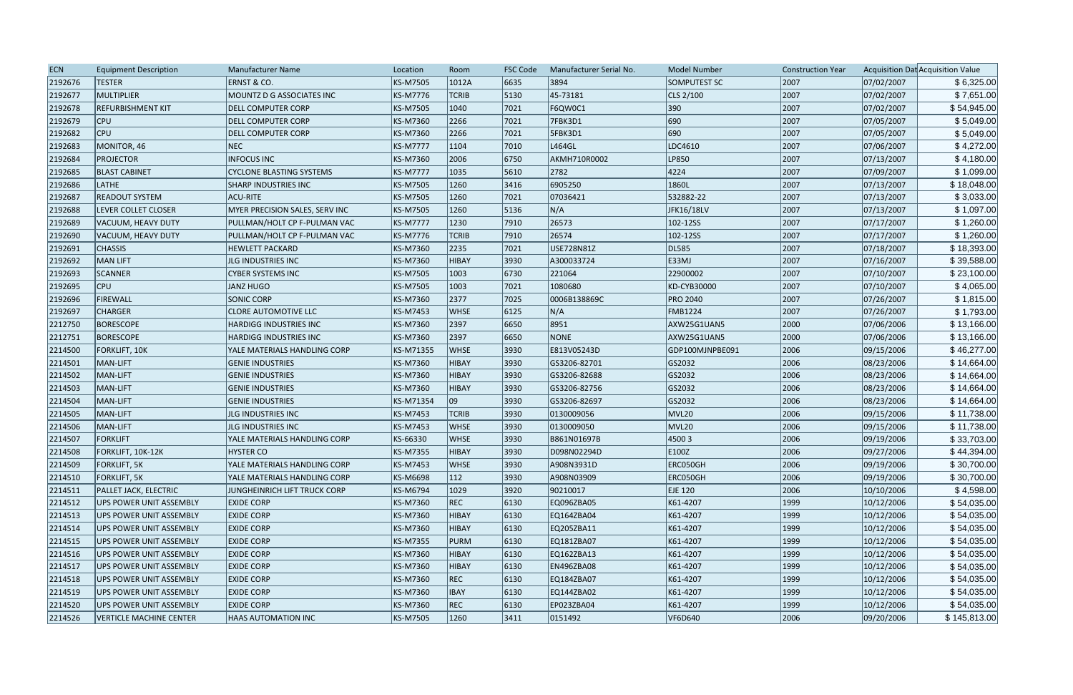| <b>ECN</b> | <b>Equipment Description</b>   | <b>Manufacturer Name</b>        | Location        | Room         | <b>FSC Code</b> | Manufacturer Serial No. | Model Number    | <b>Construction Year</b> |            | Acquisition Dat Acquisition Value |
|------------|--------------------------------|---------------------------------|-----------------|--------------|-----------------|-------------------------|-----------------|--------------------------|------------|-----------------------------------|
| 2192676    | <b>TESTER</b>                  | ERNST & CO.                     | KS-M7505        | 1012A        | 6635            | 3894                    | SOMPUTEST SC    | 2007                     | 07/02/2007 | \$6,325.00                        |
| 2192677    | MULTIPLIER                     | MOUNTZ D G ASSOCIATES INC       | KS-M7776        | <b>TCRIB</b> | 5130            | 45-73181                | CLS 2/100       | 2007                     | 07/02/2007 | \$7,651.00                        |
| 2192678    | <b>REFURBISHMENT KIT</b>       | <b>DELL COMPUTER CORP</b>       | KS-M7505        | 1040         | 7021            | F6QW0C1                 | 390             | 2007                     | 07/02/2007 | \$54,945.00                       |
| 2192679    | <b>CPU</b>                     | <b>DELL COMPUTER CORP</b>       | KS-M7360        | 2266         | 7021            | 7FBK3D1                 | 690             | 2007                     | 07/05/2007 | \$5,049.00                        |
| 2192682    | <b>CPU</b>                     | <b>DELL COMPUTER CORP</b>       | KS-M7360        | 2266         | 7021            | 5FBK3D1                 | 690             | 2007                     | 07/05/2007 | \$5,049.00                        |
| 2192683    | MONITOR, 46                    | NEC                             | <b>KS-M7777</b> | 1104         | 7010            | L464GL                  | LDC4610         | 2007                     | 07/06/2007 | \$4,272.00                        |
| 2192684    | <b>PROJECTOR</b>               | <b>INFOCUS INC</b>              | KS-M7360        | 2006         | 6750            | AKMH710R0002            | LP850           | 2007                     | 07/13/2007 | \$4,180.00                        |
| 2192685    | <b>BLAST CABINET</b>           | <b>CYCLONE BLASTING SYSTEMS</b> | <b>KS-M7777</b> | 1035         | 5610            | 2782                    | 4224            | 2007                     | 07/09/2007 | \$1,099.00                        |
| 2192686    | <b>LATHE</b>                   | <b>SHARP INDUSTRIES INC</b>     | KS-M7505        | 1260         | 3416            | 6905250                 | 1860L           | 2007                     | 07/13/2007 | \$18,048.00                       |
| 2192687    | <b>READOUT SYSTEM</b>          | ACU-RITE                        | KS-M7505        | 1260         | 7021            | 07036421                | 532882-22       | 2007                     | 07/13/2007 | \$3,033.00                        |
| 2192688    | LEVER COLLET CLOSER            | MYER PRECISION SALES, SERV INC  | KS-M7505        | 1260         | 5136            | N/A                     | JFK16/18LV      | 2007                     | 07/13/2007 | \$1,097.00                        |
| 2192689    | VACUUM, HEAVY DUTY             | PULLMAN/HOLT CP F-PULMAN VAC    | <b>KS-M7777</b> | 1230         | 7910            | 26573                   | 102-12SS        | 2007                     | 07/17/2007 | \$1,260.00                        |
| 2192690    | VACUUM, HEAVY DUTY             | PULLMAN/HOLT CP F-PULMAN VAC    | KS-M7776        | <b>TCRIB</b> | 7910            | 26574                   | 102-12SS        | 2007                     | 07/17/2007 | \$1,260.00                        |
| 2192691    | <b>CHASSIS</b>                 | <b>HEWLETT PACKARD</b>          | KS-M7360        | 2235         | 7021            | USE728N81Z              | DL585           | 2007                     | 07/18/2007 | \$18,393.00                       |
| 2192692    | MAN LIFT                       | JLG INDUSTRIES INC              | KS-M7360        | <b>HIBAY</b> | 3930            | A300033724              | E33MJ           | 2007                     | 07/16/2007 | \$39,588.00                       |
| 2192693    | <b>SCANNER</b>                 | <b>CYBER SYSTEMS INC</b>        | KS-M7505        | 1003         | 6730            | 221064                  | 22900002        | 2007                     | 07/10/2007 | \$23,100.00                       |
| 2192695    | CPU                            | JANZ HUGO                       | KS-M7505        | 1003         | 7021            | 1080680                 | KD-CYB30000     | 2007                     | 07/10/2007 | \$4,065.00                        |
| 2192696    | FIREWALL                       | <b>SONIC CORP</b>               | KS-M7360        | 2377         | 7025            | 0006B138869C            | <b>PRO 2040</b> | 2007                     | 07/26/2007 | \$1,815.00                        |
| 2192697    | <b>CHARGER</b>                 | <b>CLORE AUTOMOTIVE LLC</b>     | KS-M7453        | <b>WHSE</b>  | 6125            | N/A                     | <b>FMB1224</b>  | 2007                     | 07/26/2007 | \$1,793.00                        |
| 2212750    | <b>BORESCOPE</b>               | <b>HARDIGG INDUSTRIES INC</b>   | KS-M7360        | 2397         | 6650            | 8951                    | AXW25G1UAN5     | 2000                     | 07/06/2006 | \$13,166.00                       |
| 2212751    | BORESCOPE                      | <b>HARDIGG INDUSTRIES INC</b>   | KS-M7360        | 2397         | 6650            | <b>NONE</b>             | AXW25G1UAN5     | 2000                     | 07/06/2006 | \$13,166.00                       |
| 2214500    | <b>FORKLIFT, 10K</b>           | YALE MATERIALS HANDLING CORP    | KS-M71355       | <b>WHSE</b>  | 3930            | E813V05243D             | GDP100MJNPBE091 | 2006                     | 09/15/2006 | \$46,277.00                       |
| 2214501    | MAN-LIFT                       | <b>GENIE INDUSTRIES</b>         | KS-M7360        | <b>HIBAY</b> | 3930            | GS3206-82701            | GS2032          | 2006                     | 08/23/2006 | \$14,664.00                       |
| 2214502    | MAN-LIFT                       | <b>GENIE INDUSTRIES</b>         | KS-M7360        | <b>HIBAY</b> | 3930            | GS3206-82688            | GS2032          | 2006                     | 08/23/2006 | \$14,664.00                       |
| 2214503    | MAN-LIFT                       | <b>GENIE INDUSTRIES</b>         | KS-M7360        | <b>HIBAY</b> | 3930            | GS3206-82756            | GS2032          | 2006                     | 08/23/2006 | \$14,664.00                       |
| 2214504    | MAN-LIFT                       | <b>GENIE INDUSTRIES</b>         | KS-M71354       | 09           | 3930            | GS3206-82697            | GS2032          | 2006                     | 08/23/2006 | \$14,664.00                       |
| 2214505    | MAN-LIFT                       | JLG INDUSTRIES INC              | KS-M7453        | <b>TCRIB</b> | 3930            | 0130009056              | MVL20           | 2006                     | 09/15/2006 | \$11,738.00                       |
| 2214506    | MAN-LIFT                       | <b>JLG INDUSTRIES INC</b>       | KS-M7453        | <b>WHSE</b>  | 3930            | 0130009050              | MVL20           | 2006                     | 09/15/2006 | \$11,738.00                       |
| 2214507    | <b>FORKLIFT</b>                | YALE MATERIALS HANDLING CORP    | KS-66330        | <b>WHSE</b>  | 3930            | B861N01697B             | 45003           | 2006                     | 09/19/2006 | \$33,703.00                       |
| 2214508    | FORKLIFT, 10K-12K              | <b>HYSTER CO</b>                | KS-M7355        | <b>HIBAY</b> | 3930            | D098N02294D             | E100Z           | 2006                     | 09/27/2006 | \$44,394.00                       |
| 2214509    | <b>FORKLIFT, 5K</b>            | YALE MATERIALS HANDLING CORP    | KS-M7453        | <b>WHSE</b>  | 3930            | A908N3931D              | ERC050GH        | 2006                     | 09/19/2006 | \$30,700.00                       |
| 2214510    | <b>FORKLIFT, 5K</b>            | YALE MATERIALS HANDLING CORP    | KS-M6698        | 112          | 3930            | A908N03909              | ERC050GH        | 2006                     | 09/19/2006 | \$30,700.00                       |
| 2214511    | <b>PALLET JACK, ELECTRIC</b>   | JUNGHEINRICH LIFT TRUCK CORP    | KS-M6794        | 1029         | 3920            | 90210017                | EJE 120         | 2006                     | 10/10/2006 | \$4,598.00                        |
| 2214512    | UPS POWER UNIT ASSEMBLY        | <b>EXIDE CORP</b>               | KS-M7360        | <b>REC</b>   | 6130            | EQ096ZBA05              | K61-4207        | 1999                     | 10/12/2006 | \$54,035.00                       |
| 2214513    | <b>UPS POWER UNIT ASSEMBLY</b> | <b>EXIDE CORP</b>               | KS-M7360        | <b>HIBAY</b> | 6130            | EQ164ZBA04              | K61-4207        | 1999                     | 10/12/2006 | \$54,035.00                       |
| 2214514    | <b>UPS POWER UNIT ASSEMBLY</b> | <b>EXIDE CORP</b>               | KS-M7360        | <b>HIBAY</b> | 6130            | EQ205ZBA11              | K61-4207        | 1999                     | 10/12/2006 | \$54,035.00                       |
| 2214515    | <b>UPS POWER UNIT ASSEMBLY</b> | <b>EXIDE CORP</b>               | KS-M7355        | <b>PURM</b>  | 6130            | EQ181ZBA07              | K61-4207        | 1999                     | 10/12/2006 | \$54,035.00                       |
| 2214516    | <b>UPS POWER UNIT ASSEMBLY</b> | <b>EXIDE CORP</b>               | KS-M7360        | <b>HIBAY</b> | $ 6130\rangle$  | EQ162ZBA13              | K61-4207        | 1999                     | 10/12/2006 | \$54,035.00                       |
| 2214517    | UPS POWER UNIT ASSEMBLY        | <b>EXIDE CORP</b>               | KS-M7360        | <b>HIBAY</b> | $ 6130\rangle$  | <b>EN496ZBA08</b>       | K61-4207        | 1999                     | 10/12/2006 | \$54,035.00                       |
| 2214518    | <b>UPS POWER UNIT ASSEMBLY</b> | <b>EXIDE CORP</b>               | KS-M7360        | <b>REC</b>   | 6130            | EQ184ZBA07              | K61-4207        | 1999                     | 10/12/2006 | \$54,035.00                       |
| 2214519    | <b>UPS POWER UNIT ASSEMBLY</b> | <b>EXIDE CORP</b>               | KS-M7360        | <b>IBAY</b>  | 6130            | EQ144ZBA02              | K61-4207        | 1999                     | 10/12/2006 | \$54,035.00                       |
| 2214520    | <b>UPS POWER UNIT ASSEMBLY</b> | <b>EXIDE CORP</b>               | KS-M7360        | <b>REC</b>   | 6130            | EP023ZBA04              | K61-4207        | 1999                     | 10/12/2006 | \$54,035.00                       |
| 2214526    | <b>VERTICLE MACHINE CENTER</b> | <b>HAAS AUTOMATION INC</b>      | KS-M7505        | 1260         | 3411            | 0151492                 | VF6D640         | 2006                     | 09/20/2006 | \$145,813.00                      |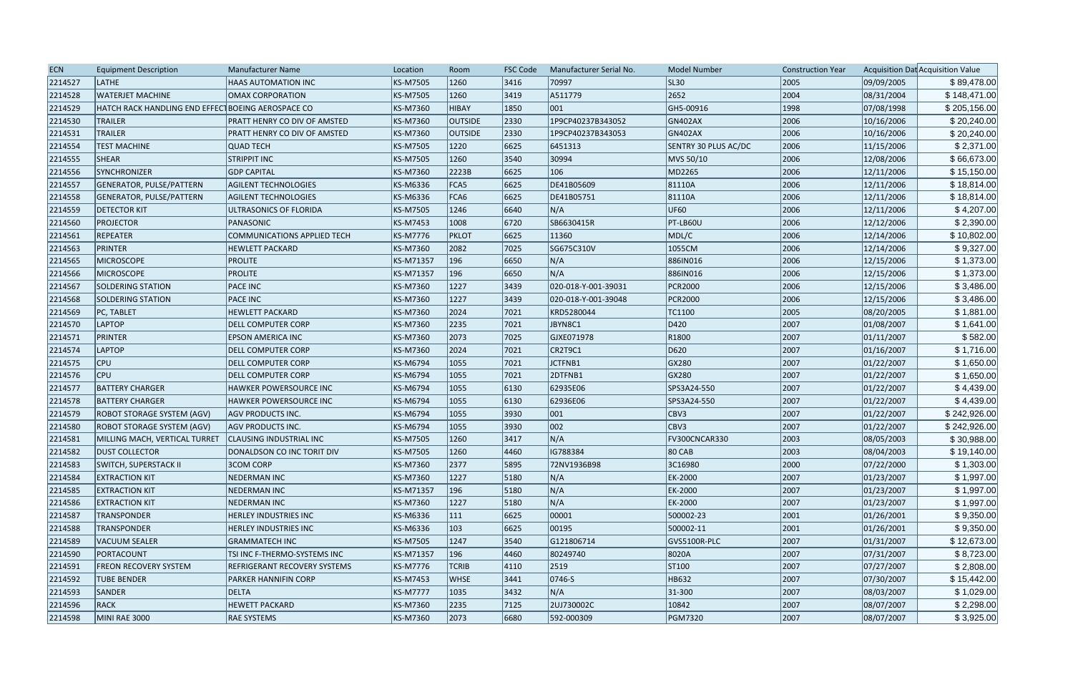| <b>ECN</b><br><b>Equipment Description</b><br><b>Manufacturer Name</b><br>Location<br>Room<br><b>FSC Code</b>                | <b>Model Number</b><br>Manufacturer Serial No. | <b>Construction Year</b> | Acquisition Dat Acquisition Value |              |
|------------------------------------------------------------------------------------------------------------------------------|------------------------------------------------|--------------------------|-----------------------------------|--------------|
| 2214527<br>LATHE<br>KS-M7505<br>1260<br> 3416 <br>HAAS AUTOMATION INC                                                        | <b>SL30</b><br>70997                           | 2005                     | 09/09/2005                        | \$89,478.00  |
| $ 3419\rangle$<br>2214528<br><b>WATERJET MACHINE</b><br>KS-M7505<br>1260<br><b>OMAX CORPORATION</b>                          | 2652<br>A511779                                | 2004                     | 08/31/2004                        | \$148,471.00 |
| 2214529<br>KS-M7360<br>1850<br>001<br>HATCH RACK HANDLING END EFFECT BOEING AEROSPACE CO<br><b>HIBAY</b>                     | GH5-00916                                      | 1998                     | 07/08/1998                        | \$205,156.00 |
| 2330 <br>2214530<br><b>TRAILER</b><br>KS-M7360<br><b>OUTSIDE</b><br>PRATT HENRY CO DIV OF AMSTED                             | GN402AX<br>1P9CP40237B343052                   | 2006                     | 10/16/2006                        | \$20,240.00  |
| <b>TRAILER</b><br>2330<br>2214531<br>PRATT HENRY CO DIV OF AMSTED<br>KS-M7360<br><b>OUTSIDE</b>                              | 1P9CP40237B343053<br>GN402AX                   | 2006                     | 10/16/2006                        | \$20,240.00  |
| 2214554<br><b>TEST MACHINE</b><br><b>QUAD TECH</b><br>KS-M7505<br>1220<br>6625                                               | 6451313<br>SENTRY 30 PLUS AC/DC                | 2006                     | 11/15/2006                        | \$2,371.00   |
| SHEAR<br>3540<br>2214555<br><b>STRIPPIT INC</b><br>KS-M7505<br>1260                                                          | 30994<br>MVS 50/10                             | 2006                     | 12/08/2006                        | \$66,673.00  |
| 6625<br>2214556<br>SYNCHRONIZER<br><b>GDP CAPITAL</b><br>KS-M7360<br>2223B<br>106                                            | MD2265                                         | 2006                     | 12/11/2006                        | \$15,150.00  |
| 2214557<br>GENERATOR, PULSE/PATTERN<br><b>AGILENT TECHNOLOGIES</b><br>KS-M6336<br>FCA5<br>6625                               | DE41B05609<br>81110A                           | 2006                     | 12/11/2006                        | \$18,814.00  |
| 2214558<br>GENERATOR, PULSE/PATTERN<br>KS-M6336<br>FCA6<br>6625<br><b>AGILENT TECHNOLOGIES</b>                               | DE41B05751<br>81110A                           | 2006                     | 12/11/2006                        | \$18,814.00  |
| 6640<br>N/A<br>2214559<br><b>DETECTOR KIT</b><br>KS-M7505<br>1246<br>ULTRASONICS OF FLORIDA                                  | UF60                                           | 2006                     | 12/11/2006                        | \$4,207.00   |
| 2214560<br>1008<br>6720<br><b>PROJECTOR</b><br>PANASONIC<br>KS-M7453                                                         | SB6630415R<br>PT-LB60U                         | 2006                     | 12/12/2006                        | \$2,390.00   |
| 2214561<br><b>REPEATER</b><br>KS-M7776<br>6625<br><b>COMMUNICATIONS APPLIED TECH</b><br><b>PKLOT</b>                         | 11360<br>MDL/C                                 | 2006                     | 12/14/2006                        | \$10,802.00  |
| PRINTER<br>7025<br>2214563<br><b>HEWLETT PACKARD</b><br>KS-M7360<br>2082                                                     | 1055CM<br>SG675C310V                           | 2006                     | 12/14/2006                        | \$9,327.00   |
| 2214565<br><b>PROLITE</b><br>KS-M71357<br>196<br>6650<br>N/A<br><b>MICROSCOPE</b>                                            | 886IN016                                       | 2006                     | 12/15/2006                        | \$1,373.00   |
| <b>PROLITE</b><br>196<br>N/A<br>2214566<br>MICROSCOPE<br>KS-M71357<br>6650                                                   | 886IN016                                       | 2006                     | 12/15/2006                        | \$1,373.00   |
| 1227<br>$ 3439\rangle$<br>2214567<br><b>SOLDERING STATION</b><br><b>PACE INC</b><br>KS-M7360                                 | 020-018-Y-001-39031<br><b>PCR2000</b>          | 2006                     | 12/15/2006                        | \$3,486.00   |
| 2214568<br><b>PACE INC</b><br>KS-M7360<br>1227<br>$ 3439\rangle$<br><b>SOLDERING STATION</b>                                 | <b>PCR2000</b><br>020-018-Y-001-39048          | 2006                     | 12/15/2006                        | \$3,486.00   |
| 2214569<br><b>HEWLETT PACKARD</b><br>2024<br>7021<br>PC, TABLET<br>KS-M7360                                                  | KRD5280044<br>TC1100                           | 2005                     | 08/20/2005                        | \$1,881.00   |
| 2214570<br>LAPTOP<br><b>DELL COMPUTER CORP</b><br>KS-M7360<br>2235<br>7021                                                   | JBYN8C1<br>D420                                | 2007                     | 01/08/2007                        | \$1,641.00   |
| 2214571<br>PRINTER<br>7025<br>KS-M7360<br>2073<br>EPSON AMERICA INC                                                          | R1800<br>GJXE071978                            | 2007                     | 01/11/2007                        | \$582.00     |
| 2214574<br>LAPTOP<br>KS-M7360<br>7021<br><b>DELL COMPUTER CORP</b><br>2024                                                   | CR2T9C1<br>D620                                | 2007                     | 01/16/2007                        | \$1,716.00   |
| <b>CPU</b><br>2214575<br><b>DELL COMPUTER CORP</b><br>KS-M6794<br>1055<br> 7021                                              | GX280<br>JCTFNB1                               | 2007                     | 01/22/2007                        | \$1,650.00   |
| 2214576<br><b>CPU</b><br>KS-M6794<br>1055<br>7021<br><b>DELL COMPUTER CORP</b>                                               | 2DTFNB1<br>GX280                               | 2007                     | 01/22/2007                        | \$1,650.00   |
| 2214577<br><b>BATTERY CHARGER</b><br>KS-M6794<br>1055<br> 6130<br><b>HAWKER POWERSOURCE INC</b>                              | 62935E06<br>SPS3A24-550                        | 2007                     | 01/22/2007                        | \$4,439.00   |
| 2214578<br><b>BATTERY CHARGER</b><br>KS-M6794<br>1055<br>6130<br>HAWKER POWERSOURCE INC                                      | 62936E06<br>SPS3A24-550                        | 2007                     | 01/22/2007                        | \$4,439.00   |
| 001<br>2214579<br>KS-M6794<br>3930<br><b>ROBOT STORAGE SYSTEM (AGV)</b><br><b>AGV PRODUCTS INC.</b><br>1055                  | CBV3                                           | 2007                     | 01/22/2007                        | \$242,926.00 |
| 002<br>2214580<br>KS-M6794<br>1055<br> 3930 <br>ROBOT STORAGE SYSTEM (AGV)<br><b>AGV PRODUCTS INC.</b>                       | CBV3                                           | 2007                     | 01/22/2007                        | \$242,926.00 |
| N/A<br>2214581<br><b>CLAUSING INDUSTRIAL INC</b><br>KS-M7505<br>1260<br> 3417<br>MILLING MACH, VERTICAL TURRET               | FV300CNCAR330                                  | 2003                     | 08/05/2003                        | \$30,988.00  |
| 2214582<br>KS-M7505<br>1260<br>4460<br><b>DUST COLLECTOR</b><br>DONALDSON CO INC TORIT DIV                                   | IG788384<br>80 CAB                             | 2003                     | 08/04/2003                        | \$19,140.00  |
| <b>3COM CORP</b><br>KS-M7360<br>2377<br>5895<br>2214583<br><b>SWITCH, SUPERSTACK II</b>                                      | 3C16980<br>72NV1936B98                         | 2000                     | 07/22/2000                        | \$1,303.00   |
| N/A<br>2214584<br><b>NEDERMAN INC</b><br>KS-M7360<br>1227<br>5180<br><b>EXTRACTION KIT</b>                                   | EK-2000                                        | 2007                     | 01/23/2007                        | \$1,997.00   |
| N/A<br>2214585<br><b>EXTRACTION KIT</b><br>NEDERMAN INC<br>KS-M71357<br>196<br>$ 5180\rangle$                                | EK-2000                                        | 2007                     | 01/23/2007                        | \$1,997.00   |
| N/A<br>2214586<br><b>EXTRACTION KIT</b><br>NEDERMAN INC<br>KS-M7360<br>1227<br>$ 5180\rangle$                                | EK-2000                                        | 2007                     | 01/23/2007                        | \$1,997.00   |
| 2214587<br><b>TRANSPONDER</b><br><b>HERLEY INDUSTRIES INC</b><br>KS-M6336<br> 6625 <br>111                                   | 500002-23<br>00001                             | 2001                     | 01/26/2001                        | \$9,350.00   |
| 2214588<br><b>TRANSPONDER</b><br>HERLEY INDUSTRIES INC<br>KS-M6336<br>103<br> 6625                                           | 00195 <br>500002-11                            | 2001                     | 01/26/2001                        | \$9,350.00   |
| 2214589<br><b>GRAMMATECH INC</b><br>KS-M7505<br>1247<br>$ 3540\rangle$<br>VACUUM SEALER                                      | G121806714<br>GVS5100R-PLC                     | 2007                     | 01/31/2007                        | \$12,673.00  |
| 2214590<br>PORTACOUNT<br>TSI INC F-THERMO-SYSTEMS INC<br>KS-M71357<br>196<br>$ 4460\rangle$                                  | 8020A<br>80249740                              | 2007                     | 07/31/2007                        | \$8,723.00   |
| 2214591<br>KS-M7776<br><b>FREON RECOVERY SYSTEM</b><br><b>REFRIGERANT RECOVERY SYSTEMS</b><br><b>TCRIB</b><br>$ 4110\rangle$ | 2519<br>ST100                                  | 2007                     | 07/27/2007                        | \$2,808.00   |
| 2214592<br><b>TUBE BENDER</b><br>KS-M7453<br> 3441<br>PARKER HANNIFIN CORP<br><b>WHSE</b>                                    | HB632<br>$ 0746 - S$                           | 2007                     | 07/30/2007                        | \$15,442.00  |
| N/A<br>2214593<br>SANDER<br><b>DELTA</b><br><b>KS-M7777</b><br> 3432 <br>1035                                                | $ 31 - 300$                                    | 2007                     | 08/03/2007                        | \$1,029.00   |
| <b>HEWETT PACKARD</b><br>2214596<br>RACK<br>KS-M7360<br>2235<br> 7125                                                        | 2UJ730002C<br>$ 10842\rangle$                  | 2007                     | 08/07/2007                        | \$2,298.00   |
| 6680<br>2214598<br>MINI RAE 3000<br><b>RAE SYSTEMS</b><br>KS-M7360<br>2073                                                   | 592-000309<br><b>PGM7320</b>                   | 2007                     | 08/07/2007                        | \$3,925.00   |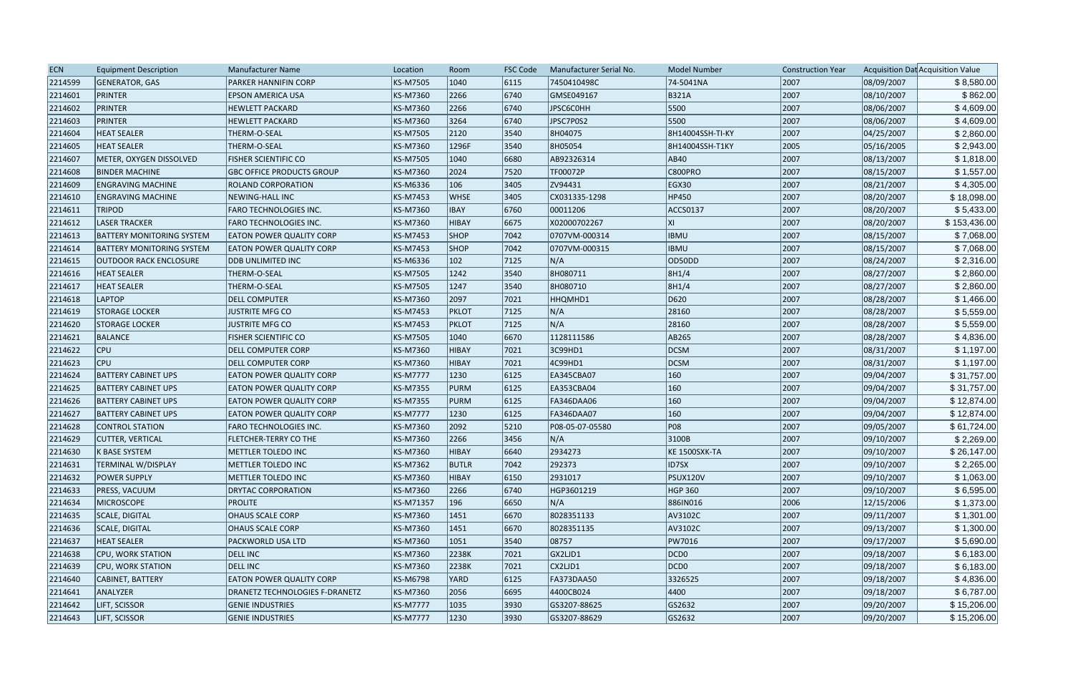| <b>ECN</b> | <b>Equipment Description</b>     | <b>Manufacturer Name</b>              | Location        | Room         | <b>FSC Code</b> | Manufacturer Serial No. | <b>Model Number</b>  | <b>Construction Year</b> |            | Acquisition Dat Acquisition Value |
|------------|----------------------------------|---------------------------------------|-----------------|--------------|-----------------|-------------------------|----------------------|--------------------------|------------|-----------------------------------|
| 2214599    | GENERATOR, GAS                   | PARKER HANNIFIN CORP                  | KS-M7505        | 1040         | 6115            | 7450410498C             | 74-5041NA            | 2007                     | 08/09/2007 | \$8,580.00                        |
| 2214601    | PRINTER                          | <b>EPSON AMERICA USA</b>              | KS-M7360        | 2266         | 6740            | GMSE049167              | <b>B321A</b>         | 2007                     | 08/10/2007 | \$862.00                          |
| 2214602    | PRINTER                          | <b>HEWLETT PACKARD</b>                | KS-M7360        | 2266         | 6740            | JPSC6C0HH               | 5500                 | 2007                     | 08/06/2007 | \$4,609.00                        |
| 2214603    | PRINTER                          | <b>HEWLETT PACKARD</b>                | KS-M7360        | 3264         | 6740            | JPSC7P0S2               | 5500                 | 2007                     | 08/06/2007 | \$4,609.00                        |
| 2214604    | <b>HEAT SEALER</b>               | THERM-O-SEAL                          | KS-M7505        | 2120         | 3540            | 8H04075                 | 8H14004SSH-TI-KY     | 2007                     | 04/25/2007 | \$2,860.00                        |
| 2214605    | <b>HEAT SEALER</b>               | THERM-O-SEAL                          | KS-M7360        | 1296F        | 3540            | 8H05054                 | 8H14004SSH-T1KY      | 2005                     | 05/16/2005 | \$2,943.00                        |
| 2214607    | METER, OXYGEN DISSOLVED          | <b>FISHER SCIENTIFIC CO</b>           | KS-M7505        | 1040         | 6680            | AB92326314              | AB40                 | 2007                     | 08/13/2007 | \$1,818.00                        |
| 2214608    | <b>BINDER MACHINE</b>            | <b>GBC OFFICE PRODUCTS GROUP</b>      | KS-M7360        | 2024         | 7520            | TF00072P                | C800PRO              | 2007                     | 08/15/2007 | \$1,557.00                        |
| 2214609    | <b>ENGRAVING MACHINE</b>         | <b>ROLAND CORPORATION</b>             | KS-M6336        | 106          | 3405            | ZV94431                 | EGX30                | 2007                     | 08/21/2007 | \$4,305.00                        |
| 2214610    | <b>ENGRAVING MACHINE</b>         | NEWING-HALL INC                       | KS-M7453        | <b>WHSE</b>  | 3405            | CX031335-1298           | HP450                | 2007                     | 08/20/2007 | \$18,098.00                       |
| 2214611    | <b>TRIPOD</b>                    | <b>FARO TECHNOLOGIES INC.</b>         | KS-M7360        | <b>IBAY</b>  | 6760            | 00011206                | ACCS0137             | 2007                     | 08/20/2007 | \$5,433.00                        |
| 2214612    | <b>LASER TRACKER</b>             | FARO TECHNOLOGIES INC.                | KS-M7360        | <b>HIBAY</b> | 6675            | X02000702267            | XI                   | 2007                     | 08/20/2007 | \$153,436.00                      |
| 2214613    | <b>BATTERY MONITORING SYSTEM</b> | <b>EATON POWER QUALITY CORP</b>       | KS-M7453        | <b>SHOP</b>  | 7042            | 0707VM-000314           | <b>IBMU</b>          | 2007                     | 08/15/2007 | \$7,068.00                        |
| 2214614    | <b>BATTERY MONITORING SYSTEM</b> | <b>EATON POWER QUALITY CORP</b>       | KS-M7453        | <b>SHOP</b>  | 7042            | 0707VM-000315           | <b>IBMU</b>          | 2007                     | 08/15/2007 | \$7,068.00                        |
| 2214615    | <b>OUTDOOR RACK ENCLOSURE</b>    | <b>DDB UNLIMITED INC</b>              | KS-M6336        | 102          | 7125            | N/A                     | OD50DD               | 2007                     | 08/24/2007 | \$2,316.00                        |
| 2214616    | <b>HEAT SEALER</b>               | THERM-O-SEAL                          | KS-M7505        | 1242         | 3540            | 8H080711                | 8H1/4                | 2007                     | 08/27/2007 | \$2,860.00                        |
| 2214617    | <b>HEAT SEALER</b>               | THERM-O-SEAL                          | KS-M7505        | 1247         | 3540            | 8H080710                | 8H1/4                | 2007                     | 08/27/2007 | \$2,860.00                        |
| 2214618    | <b>LAPTOP</b>                    | <b>DELL COMPUTER</b>                  | KS-M7360        | 2097         | 7021            | HHQMHD1                 | D620                 | 2007                     | 08/28/2007 | \$1,466.00                        |
| 2214619    | <b>STORAGE LOCKER</b>            | <b>JUSTRITE MFG CO</b>                | KS-M7453        | <b>PKLOT</b> | 7125            | N/A                     | 28160                | 2007                     | 08/28/2007 | \$5,559.00                        |
| 2214620    | <b>STORAGE LOCKER</b>            | JUSTRITE MFG CO                       | KS-M7453        | <b>PKLOT</b> | 7125            | N/A                     | 28160                | 2007                     | 08/28/2007 | \$5,559.00                        |
| 2214621    | BALANCE                          | <b>FISHER SCIENTIFIC CO</b>           | KS-M7505        | 1040         | 6670            | 1128111586              | AB265                | 2007                     | 08/28/2007 | \$4,836.00                        |
| 2214622    | <b>CPU</b>                       | <b>DELL COMPUTER CORP</b>             | KS-M7360        | <b>HIBAY</b> | 7021            | 3C99HD1                 | DCSM                 | 2007                     | 08/31/2007 | \$1,197.00                        |
| 2214623    | <b>CPU</b>                       | <b>DELL COMPUTER CORP</b>             | KS-M7360        | <b>HIBAY</b> | 7021            | 4C99HD1                 | DCSM                 | 2007                     | 08/31/2007 | \$1,197.00                        |
| 2214624    | <b>BATTERY CABINET UPS</b>       | <b>EATON POWER QUALITY CORP</b>       | <b>KS-M7777</b> | 1230         | 6125            | EA345CBA07              | 160                  | 2007                     | 09/04/2007 | \$31,757.00                       |
| 2214625    | <b>BATTERY CABINET UPS</b>       | <b>EATON POWER QUALITY CORP</b>       | KS-M7355        | <b>PURM</b>  | 6125            | EA353CBA04              | 160                  | 2007                     | 09/04/2007 | \$31,757.00                       |
| 2214626    | <b>BATTERY CABINET UPS</b>       | <b>EATON POWER QUALITY CORP</b>       | KS-M7355        | <b>PURM</b>  | 6125            | <b>FA346DAA06</b>       | 160                  | 2007                     | 09/04/2007 | \$12,874.00                       |
| 2214627    | <b>BATTERY CABINET UPS</b>       | <b>EATON POWER QUALITY CORP</b>       | <b>KS-M7777</b> | 1230         | 6125            | <b>FA346DAA07</b>       | 160                  | 2007                     | 09/04/2007 | \$12,874.00                       |
| 2214628    | CONTROL STATION                  | <b>FARO TECHNOLOGIES INC.</b>         | KS-M7360        | 2092         | 5210            | P08-05-07-05580         | <b>P08</b>           | 2007                     | 09/05/2007 | \$61,724.00                       |
| 2214629    | <b>CUTTER, VERTICAL</b>          | <b>FLETCHER-TERRY CO THE</b>          | KS-M7360        | 2266         | 3456            | N/A                     | 3100B                | 2007                     | 09/10/2007 | \$2,269.00                        |
| 2214630    | K BASE SYSTEM                    | METTLER TOLEDO INC                    | KS-M7360        | <b>HIBAY</b> | 6640            | 2934273                 | <b>KE 1500SXK-TA</b> | 2007                     | 09/10/2007 | \$26,147.00                       |
| 2214631    | <b>TERMINAL W/DISPLAY</b>        | METTLER TOLEDO INC                    | KS-M7362        | <b>BUTLR</b> | 7042            | 292373                  | ID7SX                | 2007                     | 09/10/2007 | \$2,265.00                        |
| 2214632    | <b>POWER SUPPLY</b>              | METTLER TOLEDO INC                    | KS-M7360        | <b>HIBAY</b> | 6150            | 2931017                 | PSUX120V             | 2007                     | 09/10/2007 | \$1,063.00                        |
| 2214633    | <b>PRESS, VACUUM</b>             | <b>DRYTAC CORPORATION</b>             | KS-M7360        | 2266         | 6740            | HGP3601219              | <b>HGP 360</b>       | 2007                     | 09/10/2007 | \$6,595.00                        |
| 2214634    | <b>MICROSCOPE</b>                | <b>PROLITE</b>                        | KS-M71357       | 196          | 6650            | N/A                     | 886IN016             | 2006                     | 12/15/2006 | \$1,373.00                        |
| 2214635    | SCALE, DIGITAL                   | <b>OHAUS SCALE CORP</b>               | KS-M7360        | 1451         | 6670            | 8028351133              | AV3102C              | 2007                     | 09/11/2007 | \$1,301.00                        |
| 2214636    | SCALE, DIGITAL                   | <b>OHAUS SCALE CORP</b>               | KS-M7360        | 1451         | 6670            | 8028351135              | AV3102C              | 2007                     | 09/13/2007 | \$1,300.00                        |
| 2214637    | <b>HEAT SEALER</b>               | PACKWORLD USA LTD                     | KS-M7360        | 1051         | 3540            | 08757                   | PW7016               | 2007                     | 09/17/2007 | \$5,690.00                        |
| 2214638    | <b>CPU, WORK STATION</b>         | <b>DELL INC</b>                       | KS-M7360        | 2238K        | 7021            | GX2LJD1                 | DCD <sub>0</sub>     | 2007                     | 09/18/2007 | \$6,183.00                        |
| 2214639    | <b>CPU, WORK STATION</b>         | <b>DELL INC</b>                       | KS-M7360        | 2238K        | 7021            | CX2LJD1                 | DCD <sub>0</sub>     | 2007                     | 09/18/2007 | \$6,183.00                        |
| 2214640    | CABINET, BATTERY                 | <b>EATON POWER QUALITY CORP</b>       | KS-M6798        | <b>YARD</b>  | 6125            | <b>FA373DAA50</b>       | 3326525              | 2007                     | 09/18/2007 | \$4,836.00                        |
| 2214641    | <b>ANALYZER</b>                  | <b>DRANETZ TECHNOLOGIES F-DRANETZ</b> | KS-M7360        | 2056         | 6695            | 4400CB024               | 4400                 | 2007                     | 09/18/2007 | \$6,787.00                        |
| 2214642    | LIFT, SCISSOR                    | <b>GENIE INDUSTRIES</b>               | KS-M7777        | 1035         | 3930            | GS3207-88625            | GS2632               | 2007                     | 09/20/2007 | \$15,206.00                       |
| 2214643    | LIFT, SCISSOR                    | <b>GENIE INDUSTRIES</b>               | KS-M7777        | 1230         | 3930            | GS3207-88629            | GS2632               | 2007                     | 09/20/2007 | \$15,206.00                       |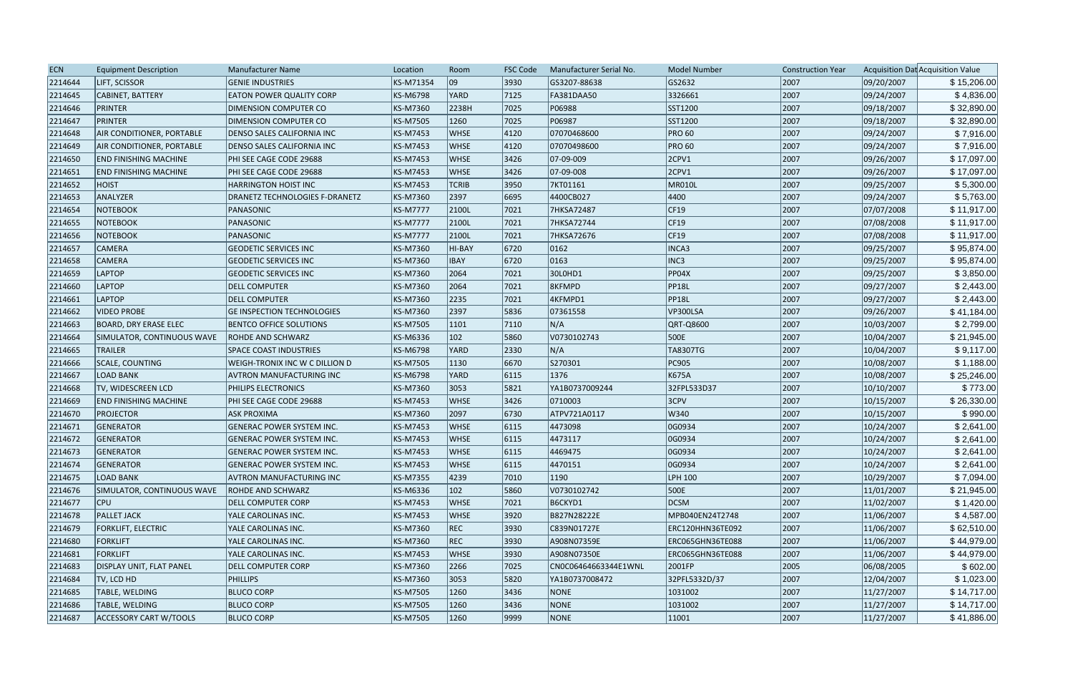| <b>ECN</b> | <b>Equipment Description</b>     | Manufacturer Name                     | Location        | Room         | <b>FSC Code</b> | Manufacturer Serial No. | <b>Model Number</b> | <b>Construction Year</b> |            | Acquisition Dat Acquisition Value |
|------------|----------------------------------|---------------------------------------|-----------------|--------------|-----------------|-------------------------|---------------------|--------------------------|------------|-----------------------------------|
| 2214644    | <b>LIFT, SCISSOR</b>             | <b>GENIE INDUSTRIES</b>               | KS-M71354       | 09           | 3930            | GS3207-88638            | GS2632              | 2007                     | 09/20/2007 | \$15,206.00                       |
| 2214645    | CABINET, BATTERY                 | <b>EATON POWER QUALITY CORP</b>       | KS-M6798        | <b>YARD</b>  | 7125            | <b>FA381DAA50</b>       | 3326661             | 2007                     | 09/24/2007 | \$4,836.00                        |
| 2214646    | PRINTER                          | DIMENSION COMPUTER CO                 | KS-M7360        | 2238H        | 7025            | P06988                  | SST1200             | 2007                     | 09/18/2007 | \$32,890.00                       |
| 2214647    | <b>PRINTER</b>                   | <b>DIMENSION COMPUTER CO</b>          | KS-M7505        | 1260         | 7025            | P06987                  | SST1200             | 2007                     | 09/18/2007 | \$32,890.00                       |
| 2214648    | <b>AIR CONDITIONER, PORTABLE</b> | <b>DENSO SALES CALIFORNIA INC</b>     | KS-M7453        | <b>WHSE</b>  | 4120            | 07070468600             | <b>PRO 60</b>       | 2007                     | 09/24/2007 | \$7,916.00                        |
| 2214649    | <b>AIR CONDITIONER, PORTABLE</b> | <b>DENSO SALES CALIFORNIA INC</b>     | KS-M7453        | <b>WHSE</b>  | 4120            | 07070498600             | <b>PRO 60</b>       | 2007                     | 09/24/2007 | \$7,916.00                        |
| 2214650    | <b>END FINISHING MACHINE</b>     | PHI SEE CAGE CODE 29688               | KS-M7453        | <b>WHSE</b>  | 3426            | 07-09-009               | $ 2$ CPV1           | 2007                     | 09/26/2007 | \$17,097.00                       |
| 2214651    | <b>END FINISHING MACHINE</b>     | PHI SEE CAGE CODE 29688               | KS-M7453        | <b>WHSE</b>  | 3426            | 07-09-008               | $ 2$ CPV1           | 2007                     | 09/26/2007 | \$17,097.00                       |
| 2214652    | <b>HOIST</b>                     | <b>HARRINGTON HOIST INC</b>           | KS-M7453        | <b>TCRIB</b> | 3950            | 7KT01161                | MR010L              | 2007                     | 09/25/2007 | \$5,300.00                        |
| 2214653    | ANALYZER                         | <b>DRANETZ TECHNOLOGIES F-DRANETZ</b> | KS-M7360        | 2397         | 6695            | 4400CB027               | 4400                | 2007                     | 09/24/2007 | \$5,763.00                        |
| 2214654    | NOTEBOOK                         | PANASONIC                             | <b>KS-M7777</b> | 2100L        | 7021            | 7HKSA72487              | CF19                | 2007                     | 07/07/2008 | \$11,917.00                       |
| 2214655    | <b>NOTEBOOK</b>                  | PANASONIC                             | <b>KS-M7777</b> | 2100L        | 7021            | 7HKSA72744              | CF19                | 2007                     | 07/08/2008 | \$11,917.00                       |
| 2214656    | <b>NOTEBOOK</b>                  | PANASONIC                             | <b>KS-M7777</b> | 2100L        | 7021            | 7HKSA72676              | CF19                | 2007                     | 07/08/2008 | \$11,917.00                       |
| 2214657    | <b>CAMERA</b>                    | <b>GEODETIC SERVICES INC</b>          | KS-M7360        | HI-BAY       | 6720            | 0162                    | INCA3               | 2007                     | 09/25/2007 | \$95,874.00                       |
| 2214658    | <b>CAMERA</b>                    | <b>GEODETIC SERVICES INC</b>          | KS-M7360        | <b>IBAY</b>  | 6720            | 0163                    | INC3                | 2007                     | 09/25/2007 | \$95,874.00                       |
| 2214659    | LAPTOP                           | <b>GEODETIC SERVICES INC</b>          | KS-M7360        | 2064         | 7021            | 30L0HD1                 | PP04X               | 2007                     | 09/25/2007 | \$3,850.00                        |
| 2214660    | <b>LAPTOP</b>                    | <b>DELL COMPUTER</b>                  | KS-M7360        | 2064         | 7021            | 8KFMPD                  | <b>PP18L</b>        | 2007                     | 09/27/2007 | \$2,443.00                        |
| 2214661    | <b>LAPTOP</b>                    | <b>DELL COMPUTER</b>                  | KS-M7360        | 2235         | 7021            | 4KFMPD1                 | PP18L               | 2007                     | 09/27/2007 | \$2,443.00                        |
| 2214662    | <b>VIDEO PROBE</b>               | <b>GE INSPECTION TECHNOLOGIES</b>     | KS-M7360        | 2397         | 5836            | 07361558                | VP300LSA            | 2007                     | 09/26/2007 | \$41,184.00                       |
| 2214663    | <b>BOARD, DRY ERASE ELEC</b>     | <b>BENTCO OFFICE SOLUTIONS</b>        | KS-M7505        | 1101         | 7110            | N/A                     | QRT-Q8600           | 2007                     | 10/03/2007 | \$2,799.00                        |
| 2214664    | SIMULATOR, CONTINUOUS WAVE       | <b>ROHDE AND SCHWARZ</b>              | KS-M6336        | 102          | 5860            | V0730102743             | 500E                | 2007                     | 10/04/2007 | \$21,945.00                       |
| 2214665    | <b>TRAILER</b>                   | <b>SPACE COAST INDUSTRIES</b>         | KS-M6798        | <b>YARD</b>  | 2330            | N/A                     | TA8307TG            | 2007                     | 10/04/2007 | \$9,117.00                        |
| 2214666    | <b>SCALE, COUNTING</b>           | <b>WEIGH-TRONIX INC W C DILLION D</b> | KS-M7505        | 1130         | 6670            | S270301                 | PC905               | 2007                     | 10/08/2007 | \$1,188.00                        |
| 2214667    | <b>LOAD BANK</b>                 | <b>AVTRON MANUFACTURING INC</b>       | KS-M6798        | <b>YARD</b>  | 6115            | 1376                    | K675A               | 2007                     | 10/08/2007 | \$25,246.00                       |
| 2214668    | TV, WIDESCREEN LCD               | PHILIPS ELECTRONICS                   | KS-M7360        | 3053         | 5821            | YA1B0737009244          | 32FPL533D37         | 2007                     | 10/10/2007 | \$773.00                          |
| 2214669    | <b>END FINISHING MACHINE</b>     | PHI SEE CAGE CODE 29688               | KS-M7453        | <b>WHSE</b>  | 3426            | 0710003                 | $ 3$ CPV            | 2007                     | 10/15/2007 | \$26,330.00                       |
| 2214670    | <b>PROJECTOR</b>                 | <b>ASK PROXIMA</b>                    | KS-M7360        | 2097         | 6730            | ATPV721A0117            | W340                | 2007                     | 10/15/2007 | \$990.00                          |
| 2214671    | GENERATOR                        | <b>GENERAC POWER SYSTEM INC.</b>      | KS-M7453        | <b>WHSE</b>  | 6115            | 4473098                 | 0G0934              | 2007                     | 10/24/2007 | \$2,641.00                        |
| 2214672    | GENERATOR                        | <b>GENERAC POWER SYSTEM INC.</b>      | KS-M7453        | <b>WHSE</b>  | 6115            | 4473117                 | OG0934              | 2007                     | 10/24/2007 | \$2,641.00                        |
| 2214673    | GENERATOR                        | <b>GENERAC POWER SYSTEM INC.</b>      | KS-M7453        | <b>WHSE</b>  | 6115            | 4469475                 | 0G0934              | 2007                     | 10/24/2007 | \$2,641.00                        |
| 2214674    | GENERATOR                        | <b>GENERAC POWER SYSTEM INC.</b>      | <b>KS-M7453</b> | <b>WHSE</b>  | 6115            | 4470151                 | 0G0934              | 2007                     | 10/24/2007 | \$2,641.00                        |
| 2214675    | <b>LOAD BANK</b>                 | <b>AVTRON MANUFACTURING INC</b>       | KS-M7355        | 4239         | 7010            | 1190                    | LPH 100             | 2007                     | 10/29/2007 | \$7,094.00                        |
| 2214676    | SIMULATOR, CONTINUOUS WAVE       | ROHDE AND SCHWARZ                     | KS-M6336        | 102          | 5860            | V0730102742             | 500E                | 2007                     | 11/01/2007 | \$21,945.00                       |
| 2214677    | <b>CPU</b>                       | <b>DELL COMPUTER CORP</b>             | KS-M7453        | <b>WHSE</b>  | 7021            | B6CKYD1                 | <b>DCSM</b>         | 2007                     | 11/02/2007 | \$1,420.00                        |
| 2214678    | <b>PALLET JACK</b>               | YALE CAROLINAS INC.                   | KS-M7453        | <b>WHSE</b>  | 3920            | B827N28222E             | MPB040EN24T2748     | 2007                     | 11/06/2007 | \$4,587.00                        |
| 2214679    | <b>FORKLIFT, ELECTRIC</b>        | YALE CAROLINAS INC.                   | KS-M7360        | <b>REC</b>   | 3930            | C839N01727E             | ERC120HHN36TE092    | 2007                     | 11/06/2007 | \$62,510.00                       |
| 2214680    | <b>FORKLIFT</b>                  | YALE CAROLINAS INC.                   | KS-M7360        | <b>REC</b>   | 3930            | A908N07359E             | ERC065GHN36TE088    | 2007                     | 11/06/2007 | \$44,979.00                       |
| 2214681    | <b>FORKLIFT</b>                  | YALE CAROLINAS INC.                   | KS-M7453        | <b>WHSE</b>  | 3930            | A908N07350E             | ERC065GHN36TE088    | 2007                     | 11/06/2007 | \$44,979.00                       |
| 2214683    | DISPLAY UNIT, FLAT PANEL         | <b>DELL COMPUTER CORP</b>             | KS-M7360        | 2266         | 7025            | CN0C06464663344E1WNL    | 2001FP              | 2005                     | 06/08/2005 | \$602.00                          |
| 2214684    | TV, LCD HD                       | <b>PHILLIPS</b>                       | KS-M7360        | 3053         | 5820            | YA1B0737008472          | 32PFL5332D/37       | 2007                     | 12/04/2007 | \$1,023.00                        |
| 2214685    | TABLE, WELDING                   | <b>BLUCO CORP</b>                     | KS-M7505        | 1260         | 3436            | <b>NONE</b>             | 1031002             | 2007                     | 11/27/2007 | \$14,717.00                       |
| 2214686    | TABLE, WELDING                   | <b>BLUCO CORP</b>                     | KS-M7505        | 1260         | 3436            | NONE                    | 1031002             | 2007                     | 11/27/2007 | \$14,717.00                       |
| 2214687    | <b>ACCESSORY CART W/TOOLS</b>    | <b>BLUCO CORP</b>                     | KS-M7505        | 1260         | 9999            | <b>NONE</b>             | 11001               | 2007                     | 11/27/2007 | \$41,886.00                       |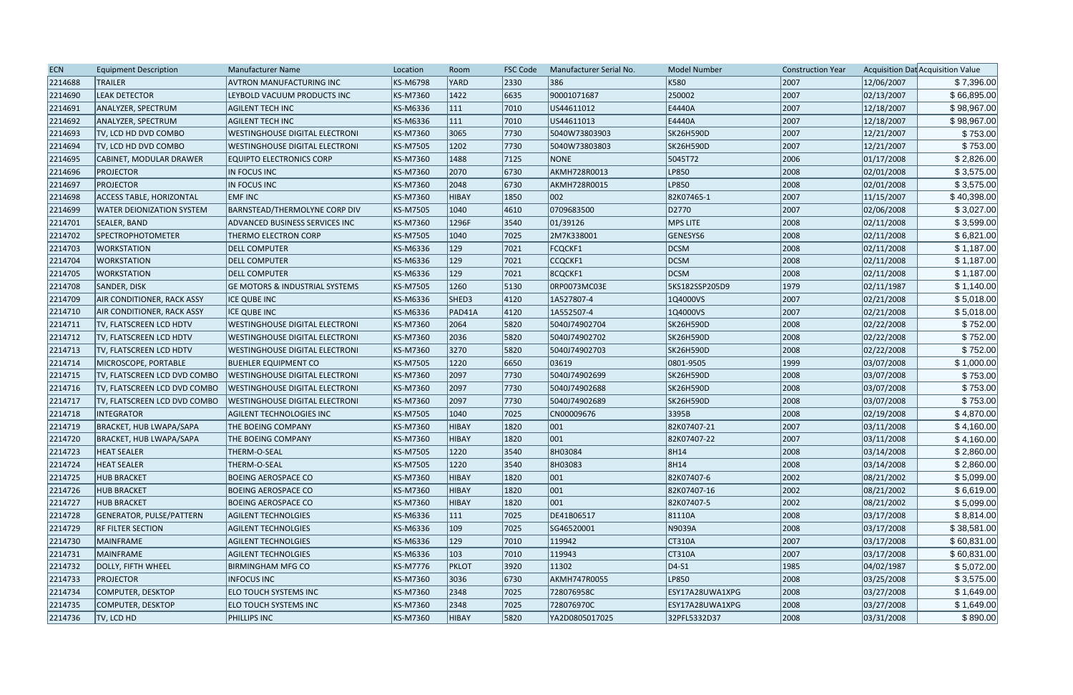| <b>ECN</b> | <b>Equipment Description</b>      | <b>Manufacturer Name</b>                  | Location        | Room          | <b>FSC Code</b> | Manufacturer Serial No. | <b>Model Number</b> | <b>Construction Year</b> |            | Acquisition Dat Acquisition Value |
|------------|-----------------------------------|-------------------------------------------|-----------------|---------------|-----------------|-------------------------|---------------------|--------------------------|------------|-----------------------------------|
| 2214688    | <b>TRAILER</b>                    | AVTRON MANUFACTURING INC                  | <b>KS-M6798</b> | YARD          | 2330            | 386                     | K580                | 2007                     | 12/06/2007 | \$7,396.00                        |
| 2214690    | <b>LEAK DETECTOR</b>              | LEYBOLD VACUUM PRODUCTS INC               | <b>KS-M7360</b> | 1422          | 6635            | 90001071687             | 250002              | 2007                     | 02/13/2007 | \$66,895.00                       |
| 2214691    | ANALYZER, SPECTRUM                | <b>AGILENT TECH INC</b>                   | <b>KS-M6336</b> | 111           | 7010            | US44611012              | E4440A              | 2007                     | 12/18/2007 | \$98,967.00                       |
| 2214692    | ANALYZER, SPECTRUM                | <b>AGILENT TECH INC</b>                   | KS-M6336        | $ 111\rangle$ | 7010            | US44611013              | E4440A              | 2007                     | 12/18/2007 | \$98,967.00                       |
| 2214693    | TV, LCD HD DVD COMBO              | <b>WESTINGHOUSE DIGITAL ELECTRONI</b>     | <b>KS-M7360</b> | 3065          | 7730            | 5040W73803903           | SK26H590D           | 2007                     | 12/21/2007 | \$753.00                          |
| 2214694    | TV, LCD HD DVD COMBO              | <b>WESTINGHOUSE DIGITAL ELECTRONI</b>     | <b>KS-M7505</b> | 1202          | 7730            | 5040W73803803           | SK26H590D           | 2007                     | 12/21/2007 | \$753.00                          |
| 2214695    | <b>CABINET, MODULAR DRAWER</b>    | <b>EQUIPTO ELECTRONICS CORP</b>           | KS-M7360        | 1488          | 7125            | <b>NONE</b>             | 5045T72             | 2006                     | 01/17/2008 | \$2,826.00                        |
| 2214696    | <b>PROJECTOR</b>                  | IN FOCUS INC                              | <b>KS-M7360</b> | 2070          | 6730            | AKMH728R0013            | LP850               | 2008                     | 02/01/2008 | \$3,575.00                        |
| 2214697    | <b>PROJECTOR</b>                  | IN FOCUS INC                              | <b>KS-M7360</b> | 2048          | 6730            | AKMH728R0015            | LP850               | 2008                     | 02/01/2008 | \$3,575.00                        |
| 2214698    | <b>ACCESS TABLE, HORIZONTAL</b>   | <b>EMFINC</b>                             | <b>KS-M7360</b> | HIBAY         | 1850            | 002                     | 82K07465-1          | 2007                     | 11/15/2007 | \$40,398.00                       |
| 2214699    | WATER DEIONIZATION SYSTEM         | <b>BARNSTEAD/THERMOLYNE CORP DIV</b>      | <b>KS-M7505</b> | 1040          | 4610            | 0709683500              | D2770               | 2007                     | 02/06/2008 | \$3,027.00                        |
| 2214701    | SEALER, BAND                      | ADVANCED BUSINESS SERVICES INC            | <b>KS-M7360</b> | 1296F         | 3540            | 01/39126                | MPS LITE            | 2008                     | 02/11/2008 | \$3,599.00                        |
| 2214702    | <b>SPECTROPHOTOMETER</b>          | THERMO ELECTRON CORP                      | <b>KS-M7505</b> | 1040          | 7025            | 2M7K338001              | GENESYS6            | 2008                     | 02/11/2008 | \$6,821.00                        |
| 2214703    | <b>WORKSTATION</b>                | <b>DELL COMPUTER</b>                      | <b>KS-M6336</b> | 129           | 7021            | <b>FCQCKF1</b>          | <b>DCSM</b>         | 2008                     | 02/11/2008 | \$1,187.00                        |
| 2214704    | <b>WORKSTATION</b>                | <b>DELL COMPUTER</b>                      | <b>KS-M6336</b> | 129           | 7021            | CCQCKF1                 | DCSM                | 2008                     | 02/11/2008 | \$1,187.00                        |
| 2214705    | <b>WORKSTATION</b>                | <b>DELL COMPUTER</b>                      | KS-M6336        | $ 129\rangle$ | 7021            | 8CQCKF1                 | DCSM                | 2008                     | 02/11/2008 | \$1,187.00                        |
| 2214708    | SANDER, DISK                      | <b>GE MOTORS &amp; INDUSTRIAL SYSTEMS</b> | <b>KS-M7505</b> | 1260          | 5130            | ORP0073MC03E            | 5KS182SSP205D9      | 1979                     | 02/11/1987 | \$1,140.00                        |
| 2214709    | <b>AIR CONDITIONER, RACK ASSY</b> | <b>ICE QUBE INC</b>                       | <b>KS-M6336</b> | SHED3         | 4120            | 1A527807-4              | 1Q4000VS            | 2007                     | 02/21/2008 | \$5,018.00                        |
| 2214710    | <b>AIR CONDITIONER, RACK ASSY</b> | ICE QUBE INC                              | <b>KS-M6336</b> | PAD41A        | 4120            | 1A552507-4              | 1Q4000VS            | 2007                     | 02/21/2008 | \$5,018.00                        |
| 2214711    | TV, FLATSCREEN LCD HDTV           | <b>WESTINGHOUSE DIGITAL ELECTRONI</b>     | <b>KS-M7360</b> | 2064          | 5820            | 5040J74902704           | SK26H590D           | 2008                     | 02/22/2008 | \$752.00                          |
| 2214712    | TV, FLATSCREEN LCD HDTV           | <b>WESTINGHOUSE DIGITAL ELECTRONI</b>     | <b>KS-M7360</b> | 2036          | 5820            | 5040J74902702           | SK26H590D           | 2008                     | 02/22/2008 | \$752.00                          |
| 2214713    | TV, FLATSCREEN LCD HDTV           | <b>WESTINGHOUSE DIGITAL ELECTRONI</b>     | <b>KS-M7360</b> | 3270          | 5820            | 5040J74902703           | SK26H590D           | 2008                     | 02/22/2008 | \$752.00                          |
| 2214714    | MICROSCOPE, PORTABLE              | BUEHLER EQUIPMENT CO                      | <b>KS-M7505</b> | 1220          | 6650            | 03619                   | 0801-9505           | 1999                     | 03/07/2008 | \$1,000.00                        |
| 2214715    | TV, FLATSCREEN LCD DVD COMBO      | WESTINGHOUSE DIGITAL ELECTRONI            | <b>KS-M7360</b> | 2097          | 7730            | 5040J74902699           | SK26H590D           | 2008                     | 03/07/2008 | \$753.00                          |
| 2214716    | TV, FLATSCREEN LCD DVD COMBO      | <b>WESTINGHOUSE DIGITAL ELECTRONI</b>     | <b>KS-M7360</b> | 2097          | 7730            | 5040J74902688           | SK26H590D           | 2008                     | 03/07/2008 | \$753.00                          |
| 2214717    | TV, FLATSCREEN LCD DVD COMBO      | <b>WESTINGHOUSE DIGITAL ELECTRONI</b>     | <b>KS-M7360</b> | 2097          | 7730            | 5040J74902689           | <b>SK26H590D</b>    | 2008                     | 03/07/2008 | \$753.00                          |
| 2214718    | <b>INTEGRATOR</b>                 | <b>AGILENT TECHNOLOGIES INC</b>           | <b>KS-M7505</b> | 1040          | 7025            | CN00009676              | 3395B               | 2008                     | 02/19/2008 | \$4,870.00                        |
| 2214719    | BRACKET, HUB LWAPA/SAPA           | <b>THE BOEING COMPANY</b>                 | <b>KS-M7360</b> | HIBAY         | 1820            | $ 001\rangle$           | 82K07407-21         | 2007                     | 03/11/2008 | \$4,160.00                        |
| 2214720    | BRACKET, HUB LWAPA/SAPA           | THE BOEING COMPANY                        | <b>KS-M7360</b> | HIBAY         | 1820            | 001                     | 82K07407-22         | 2007                     | 03/11/2008 | \$4,160.00                        |
| 2214723    | <b>HEAT SEALER</b>                | THERM-O-SEAL                              | <b>KS-M7505</b> | 1220          | 3540            | 8H03084                 | 8H14                | 2008                     | 03/14/2008 | \$2,860.00                        |
| 2214724    | <b>HEAT SEALER</b>                | THERM-O-SEAL                              | <b>KS-M7505</b> | 1220          | 3540            | 8H03083                 | 8H14                | 2008                     | 03/14/2008 | \$2,860.00                        |
| 2214725    | <b>HUB BRACKET</b>                | <b>BOEING AEROSPACE CO</b>                | KS-M7360        | HIBAY         | 1820            | 001                     | 82K07407-6          | 2002                     | 08/21/2002 | \$5,099.00                        |
| 2214726    | <b>HUB BRACKET</b>                | <b>BOEING AEROSPACE CO</b>                | <b>KS-M7360</b> | HIBAY         | 1820            | 001                     | 82K07407-16         | 2002                     | 08/21/2002 | \$6,619.00                        |
| 2214727    | <b>HUB BRACKET</b>                | <b>BOEING AEROSPACE CO</b>                | <b>KS-M7360</b> | <b>HIBAY</b>  | 1820            | $ 001\rangle$           | 82K07407-5          | 2002                     | 08/21/2002 | \$5,099.00                        |
| 2214728    | GENERATOR, PULSE/PATTERN          | <b>AGILENT TECHNOLGIES</b>                | KS-M6336        | $ 111\rangle$ | 7025            | DE41B06517              | 81110A              | 2008                     | 03/17/2008 | \$8,814.00                        |
| 2214729    | <b>RF FILTER SECTION</b>          | <b>AGILENT TECHNOLGIES</b>                | KS-M6336        | $ 109\rangle$ | 7025            | SG46520001              | N9039A              | 2008                     | 03/17/2008 | \$38,581.00                       |
| 2214730    | MAINFRAME                         | <b>AGILENT TECHNOLGIES</b>                | KS-M6336        | 129           | 7010            | 119942                  | CT310A              | 2007                     | 03/17/2008 | \$60,831.00                       |
| 2214731    | MAINFRAME                         | <b>AGILENT TECHNOLGIES</b>                | KS-M6336        | $ 103\rangle$ | 7010            | 119943                  | CT310A              | 2007                     | 03/17/2008 | \$60,831.00                       |
| 2214732    | DOLLY, FIFTH WHEEL                | <b>BIRMINGHAM MFG CO</b>                  | <b>KS-M7776</b> | PKLOT         | 3920            | 11302                   | $ D4-S1 $           | 1985                     | 04/02/1987 | \$5,072.00                        |
| 2214733    | <b>PROJECTOR</b>                  | <b>INFOCUS INC</b>                        | KS-M7360        | 3036          | 6730            | AKMH747R0055            | LP850               | 2008                     | 03/25/2008 | \$3,575.00                        |
| 2214734    | COMPUTER, DESKTOP                 | ELO TOUCH SYSTEMS INC                     | <b>KS-M7360</b> | 2348          | 7025            | 728076958C              | ESY17A28UWA1XPG     | 2008                     | 03/27/2008 | \$1,649.00                        |
| 2214735    | COMPUTER, DESKTOP                 | ELO TOUCH SYSTEMS INC                     | <b>KS-M7360</b> | 2348          | 7025            | 728076970C              | ESY17A28UWA1XPG     | 2008                     | 03/27/2008 | \$1,649.00                        |
| 2214736    | TV, LCD HD                        | PHILLIPS INC                              | <b>KS-M7360</b> | <b>HIBAY</b>  | 5820            | YA2D0805017025          | 32PFL5332D37        | 2008                     | 03/31/2008 | \$890.00                          |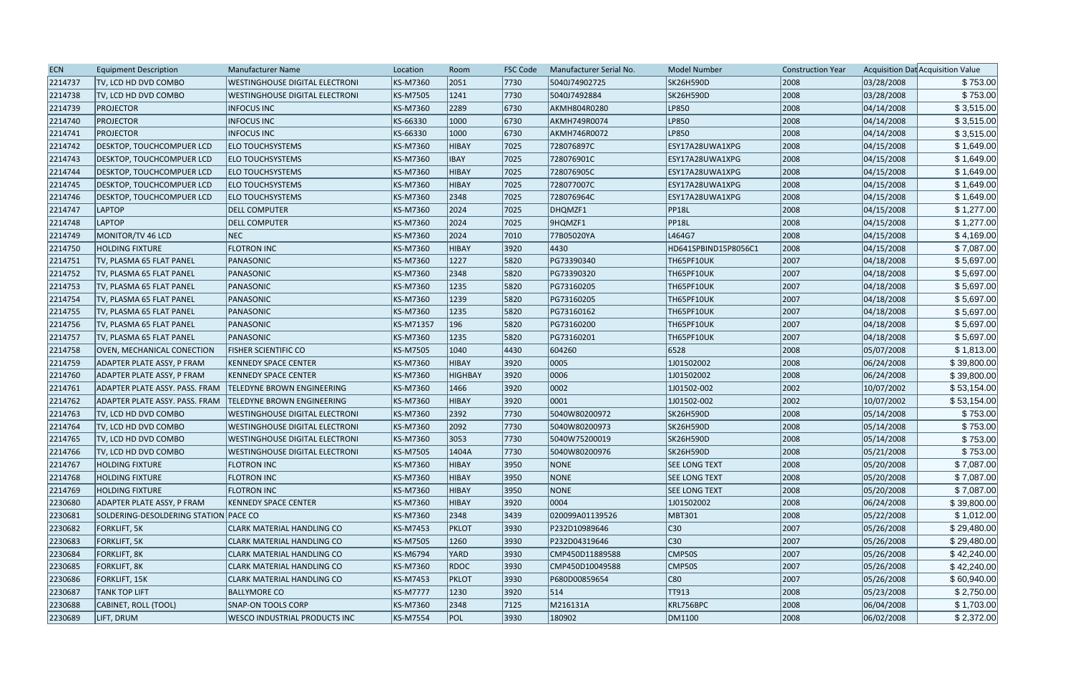| <b>ECN</b> | <b>Equipment Description</b>          | Manufacturer Name                     | Location        | Room         | <b>FSC Code</b> | Manufacturer Serial No. | <b>Model Number</b>  | <b>Construction Year</b> |            | Acquisition Dat Acquisition Value |
|------------|---------------------------------------|---------------------------------------|-----------------|--------------|-----------------|-------------------------|----------------------|--------------------------|------------|-----------------------------------|
| 2214737    | TV, LCD HD DVD COMBO                  | <b>WESTINGHOUSE DIGITAL ELECTRONI</b> | KS-M7360        | 2051         | 7730            | 5040J74902725           | SK26H590D            | 2008                     | 03/28/2008 | \$753.00                          |
| 2214738    | TV, LCD HD DVD COMBO                  | <b>WESTINGHOUSE DIGITAL ELECTRONI</b> | <b>KS-M7505</b> | 1241         | 7730            | 5040J7492884            | SK26H590D            | 2008                     | 03/28/2008 | \$753.00                          |
| 2214739    | <b>PROJECTOR</b>                      | <b>INFOCUS INC</b>                    | <b>KS-M7360</b> | 2289         | 6730            | AKMH804R0280            | LP850                | 2008                     | 04/14/2008 | \$3,515.00                        |
| 2214740    | <b>PROJECTOR</b>                      | <b>INFOCUS INC</b>                    | KS-66330        | 1000         | 6730            | AKMH749R0074            | LP850                | 2008                     | 04/14/2008 | \$3,515.00                        |
| 2214741    | <b>PROJECTOR</b>                      | <b>INFOCUS INC</b>                    | KS-66330        | 1000         | 6730            | AKMH746R0072            | LP850                | 2008                     | 04/14/2008 | \$3,515.00                        |
| 2214742    | <b>DESKTOP, TOUCHCOMPUER LCD</b>      | <b>ELO TOUCHSYSTEMS</b>               | <b>KS-M7360</b> | HIBAY        | 7025            | 728076897C              | ESY17A28UWA1XPG      | 2008                     | 04/15/2008 | \$1,649.00                        |
| 2214743    | <b>DESKTOP, TOUCHCOMPUER LCD</b>      | <b>ELO TOUCHSYSTEMS</b>               | KS-M7360        | <b>IBAY</b>  | 7025            | 728076901C              | ESY17A28UWA1XPG      | 2008                     | 04/15/2008 | \$1,649.00                        |
| 2214744    | DESKTOP, TOUCHCOMPUER LCD             | <b>ELO TOUCHSYSTEMS</b>               | <b>KS-M7360</b> | <b>HIBAY</b> | 7025            | 728076905C              | ESY17A28UWA1XPG      | 2008                     | 04/15/2008 | \$1,649.00                        |
| 2214745    | DESKTOP, TOUCHCOMPUER LCD             | <b>ELO TOUCHSYSTEMS</b>               | <b>KS-M7360</b> | HIBAY        | 7025            | 728077007C              | ESY17A28UWA1XPG      | 2008                     | 04/15/2008 | \$1,649.00                        |
| 2214746    | DESKTOP, TOUCHCOMPUER LCD             | <b>ELO TOUCHSYSTEMS</b>               | <b>KS-M7360</b> | 2348         | 7025            | 728076964C              | ESY17A28UWA1XPG      | 2008                     | 04/15/2008 | \$1,649.00                        |
| 2214747    | <b>LAPTOP</b>                         | <b>DELL COMPUTER</b>                  | <b>KS-M7360</b> | 2024         | 7025            | DHQMZF1                 | <b>PP18L</b>         | 2008                     | 04/15/2008 | \$1,277.00                        |
| 2214748    | <b>LAPTOP</b>                         | <b>DELL COMPUTER</b>                  | KS-M7360        | 2024         | 7025            | 9HQMZF1                 | <b>PP18L</b>         | 2008                     | 04/15/2008 | \$1,277.00                        |
| 2214749    | MONITOR/TV 46 LCD                     | <b>NEC</b>                            | <b>KS-M7360</b> | 2024         | 7010            | 77B05020YA              | L464G7               | 2008                     | 04/15/2008 | \$4,169.00                        |
| 2214750    | <b>HOLDING FIXTURE</b>                | <b>FLOTRON INC</b>                    | <b>KS-M7360</b> | HIBAY        | 3920            | 4430                    | HD641SPBIND15P8056C1 | 2008                     | 04/15/2008 | \$7,087.00                        |
| 2214751    | TV, PLASMA 65 FLAT PANEL              | PANASONIC                             | <b>KS-M7360</b> | 1227         | 5820            | PG73390340              | TH65PF10UK           | 2007                     | 04/18/2008 | \$5,697.00                        |
| 2214752    | TV, PLASMA 65 FLAT PANEL              | PANASONIC                             | KS-M7360        | 2348         | 5820            | PG73390320              | TH65PF10UK           | 2007                     | 04/18/2008 | \$5,697.00                        |
| 2214753    | TV, PLASMA 65 FLAT PANEL              | PANASONIC                             | <b>KS-M7360</b> | 1235         | 5820            | PG73160205              | TH65PF10UK           | 2007                     | 04/18/2008 | \$5,697.00                        |
| 2214754    | TV, PLASMA 65 FLAT PANEL              | PANASONIC                             | <b>KS-M7360</b> | 1239         | 5820            | PG73160205              | TH65PF10UK           | 2007                     | 04/18/2008 | \$5,697.00                        |
| 2214755    | TV, PLASMA 65 FLAT PANEL              | PANASONIC                             | KS-M7360        | 1235         | 5820            | PG73160162              | TH65PF10UK           | 2007                     | 04/18/2008 | \$5,697.00                        |
| 2214756    | TV, PLASMA 65 FLAT PANEL              | PANASONIC                             | KS-M71357       | 196          | 5820            | PG73160200              | TH65PF10UK           | 2007                     | 04/18/2008 | \$5,697.00                        |
| 2214757    | TV, PLASMA 65 FLAT PANEL              | PANASONIC                             | <b>KS-M7360</b> | 1235         | 5820            | PG73160201              | TH65PF10UK           | 2007                     | 04/18/2008 | \$5,697.00                        |
| 2214758    | <b>OVEN, MECHANICAL CONECTION</b>     | <b>FISHER SCIENTIFIC CO</b>           | <b>KS-M7505</b> | 1040         | 4430            | 604260                  | 6528                 | 2008                     | 05/07/2008 | \$1,813.00                        |
| 2214759    | ADAPTER PLATE ASSY, P FRAM            | <b>KENNEDY SPACE CENTER</b>           | <b>KS-M7360</b> | HIBAY        | 3920            | 0005                    | 1J01502002           | 2008                     | 06/24/2008 | \$39,800.00                       |
| 2214760    | ADAPTER PLATE ASSY, P FRAM            | <b>KENNEDY SPACE CENTER</b>           | <b>KS-M7360</b> | HIGHBAY      | 3920            | 0006                    | 1J01502002           | 2008                     | 06/24/2008 | \$39,800.00                       |
| 2214761    | ADAPTER PLATE ASSY. PASS. FRAM        | <b>TELEDYNE BROWN ENGINEERING</b>     | KS-M7360        | 1466         | 3920            | 0002                    | 1J01502-002          | 2002                     | 10/07/2002 | \$53,154.00                       |
| 2214762    | ADAPTER PLATE ASSY. PASS. FRAM        | <b>TELEDYNE BROWN ENGINEERING</b>     | KS-M7360        | HIBAY        | 3920            | 0001                    | 1J01502-002          | 2002                     | 10/07/2002 | \$53,154.00                       |
| 2214763    | TV, LCD HD DVD COMBO                  | <b>WESTINGHOUSE DIGITAL ELECTRONI</b> | KS-M7360        | 2392         | 7730            | 5040W80200972           | SK26H590D            | 2008                     | 05/14/2008 | \$753.00                          |
| 2214764    | TV, LCD HD DVD COMBO                  | <b>WESTINGHOUSE DIGITAL ELECTRONI</b> | <b>KS-M7360</b> | 2092         | 7730            | 5040W80200973           | SK26H590D            | 2008                     | 05/14/2008 | \$753.00                          |
| 2214765    | TV, LCD HD DVD COMBO                  | <b>WESTINGHOUSE DIGITAL ELECTRONI</b> | <b>KS-M7360</b> | 3053         | 7730            | 5040W75200019           | SK26H590D            | 2008                     | 05/14/2008 | \$753.00                          |
| 2214766    | <b>ITV. LCD HD DVD COMBO</b>          | WESTINGHOUSE DIGITAL ELECTRONI        | <b>KS-M7505</b> | 1404A        | 7730            | 5040W80200976           | SK26H590D            | 2008                     | 05/21/2008 | \$753.00                          |
| 2214767    | <b>HOLDING FIXTURE</b>                | <b>FLOTRON INC</b>                    | KS-M7360        | <b>HIBAY</b> | 3950            | NONE                    | <b>SEE LONG TEXT</b> | 2008                     | 05/20/2008 | \$7,087.00                        |
| 2214768    | <b>HOLDING FIXTURE</b>                | <b>FLOTRON INC</b>                    | <b>KS-M7360</b> | HIBAY        | 3950            | <b>NONE</b>             | <b>SEE LONG TEXT</b> | 2008                     | 05/20/2008 | \$7,087.00                        |
| 2214769    | <b>HOLDING FIXTURE</b>                | <b>FLOTRON INC</b>                    | <b>KS-M7360</b> | HIBAY        | 3950            | NONE                    | <b>SEE LONG TEXT</b> | 2008                     | 05/20/2008 | \$7,087.00                        |
| 2230680    | ADAPTER PLATE ASSY, P FRAM            | <b>KENNEDY SPACE CENTER</b>           | <b>KS-M7360</b> | HIBAY        | 3920            | 0004                    | 1J01502002           | 2008                     | 06/24/2008 | \$39,800.00                       |
| 2230681    | SOLDERING-DESOLDERING STATION PACE CO |                                       | KS-M7360        | 2348         | 3439            | 020099A01139526         | MBT301               | 2008                     | 05/22/2008 | \$1,012.00                        |
| 2230682    | FORKLIFT, 5K                          | <b>CLARK MATERIAL HANDLING CO</b>     | <b>KS-M7453</b> | <b>PKLOT</b> | 3930            | P232D10989646           | C30                  | 2007                     | 05/26/2008 | \$29,480.00                       |
| 2230683    | <b>FORKLIFT, 5K</b>                   | <b>CLARK MATERIAL HANDLING CO</b>     | <b>KS-M7505</b> | 1260         | 3930            | P232D04319646           | C30                  | 2007                     | 05/26/2008 | \$29,480.00                       |
| 2230684    | <b>FORKLIFT, 8K</b>                   | <b>CLARK MATERIAL HANDLING CO</b>     | <b>KS-M6794</b> | YARD         | 3930            | CMP450D11889588         | CMP50S               | 2007                     | 05/26/2008 | \$42,240.00                       |
| 2230685    | <b>FORKLIFT, 8K</b>                   | <b>CLARK MATERIAL HANDLING CO</b>     | <b>KS-M7360</b> | RDOC         | 3930            | CMP450D10049588         | CMP50S               | 2007                     | 05/26/2008 | \$42,240.00                       |
| 2230686    | FORKLIFT, 15K                         | <b>CLARK MATERIAL HANDLING CO</b>     | <b>KS-M7453</b> | <b>PKLOT</b> | 3930            | P680D00859654           | C80                  | 2007                     | 05/26/2008 | \$60,940.00                       |
| 2230687    | <b>TANK TOP LIFT</b>                  | <b>BALLYMORE CO</b>                   | <b>KS-M7777</b> | 1230         | 3920            | $ 514\rangle$           | <b>TT913</b>         | 2008                     | 05/23/2008 | \$2,750.00                        |
| 2230688    | CABINET, ROLL (TOOL)                  | <b>SNAP-ON TOOLS CORP</b>             | KS-M7360        | 2348         | 7125            | M216131A                | KRL756BPC            | 2008                     | 06/04/2008 | \$1,703.00                        |
| 2230689    | LIFT, DRUM                            | WESCO INDUSTRIAL PRODUCTS INC         | <b>KS-M7554</b> | POL          | 3930            | 180902                  | DM1100               | 2008                     | 06/02/2008 | \$2,372.00                        |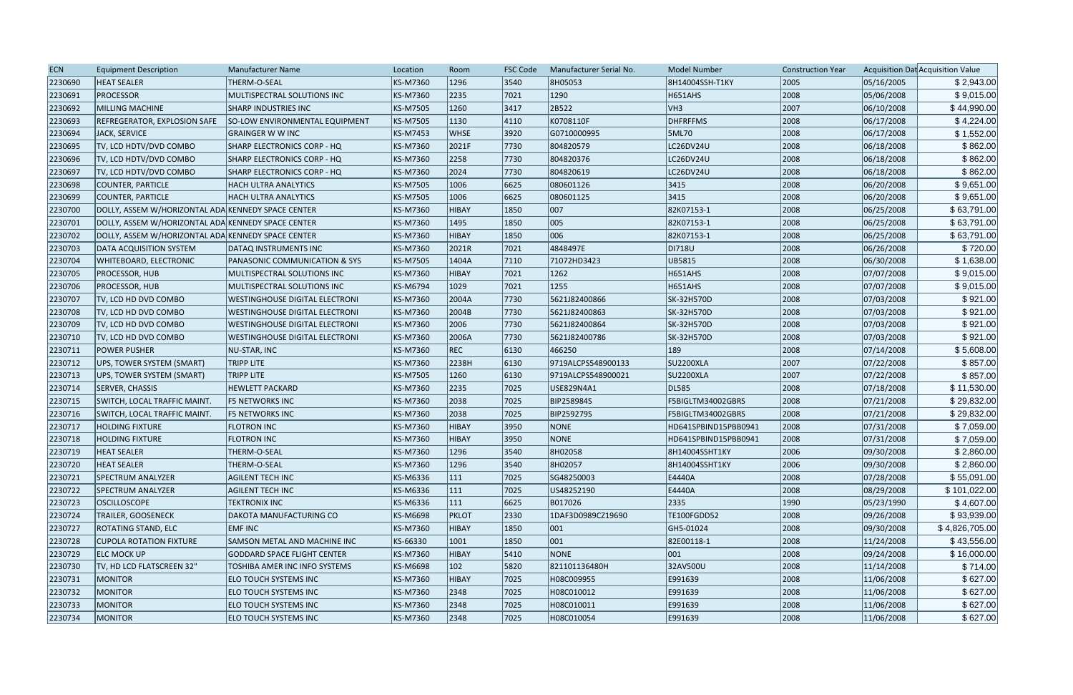| <b>ECN</b> | <b>Equipment Description</b>                       | Manufacturer Name                     | Location        | Room          | <b>FSC Code</b> | Manufacturer Serial No. | <b>Model Number</b>  | <b>Construction Year</b> |            | Acquisition Dat Acquisition Value |
|------------|----------------------------------------------------|---------------------------------------|-----------------|---------------|-----------------|-------------------------|----------------------|--------------------------|------------|-----------------------------------|
| 2230690    | <b>HEAT SEALER</b>                                 | THERM-O-SEAL                          | KS-M7360        | 1296          | 3540            | 8H05053                 | 8H14004SSH-T1KY      | 2005                     | 05/16/2005 | \$2,943.00                        |
| 2230691    | <b>PROCESSOR</b>                                   | MULTISPECTRAL SOLUTIONS INC           | <b>KS-M7360</b> | 2235          | 7021            | 1290                    | H651AHS              | 2008                     | 05/06/2008 | \$9,015.00                        |
| 2230692    | MILLING MACHINE                                    | <b>SHARP INDUSTRIES INC</b>           | <b>KS-M7505</b> | 1260          | 3417            | 2B522                   | VH3                  | 2007                     | 06/10/2008 | \$44,990.00                       |
| 2230693    | REFREGERATOR, EXPLOSION SAFE                       | SO-LOW ENVIRONMENTAL EQUIPMENT        | <b>KS-M7505</b> | 1130          | 4110            | K0708110F               | <b>DHFRFFMS</b>      | 2008                     | 06/17/2008 | \$4,224.00                        |
| 2230694    | JACK, SERVICE                                      | <b>GRAINGER W W INC</b>               | <b>KS-M7453</b> | <b>WHSE</b>   | 3920            | G0710000995             | 5ML70                | 2008                     | 06/17/2008 | \$1,552.00                        |
| 2230695    | TV, LCD HDTV/DVD COMBO                             | SHARP ELECTRONICS CORP - HQ           | KS-M7360        | 2021F         | 7730            | 804820579               | LC26DV24U            | 2008                     | 06/18/2008 | \$862.00                          |
| 2230696    | TV, LCD HDTV/DVD COMBO                             | SHARP ELECTRONICS CORP - HQ           | KS-M7360        | 2258          | 7730            | 804820376               | LC26DV24U            | 2008                     | 06/18/2008 | \$862.00                          |
| 2230697    | TV, LCD HDTV/DVD COMBO                             | SHARP ELECTRONICS CORP - HQ           | <b>KS-M7360</b> | 2024          | 7730            | 804820619               | LC26DV24U            | 2008                     | 06/18/2008 | \$862.00                          |
| 2230698    | COUNTER, PARTICLE                                  | <b>HACH ULTRA ANALYTICS</b>           | <b>KS-M7505</b> | 1006          | 6625            | 080601126               | 3415                 | 2008                     | 06/20/2008 | \$9,651.00                        |
| 2230699    | COUNTER, PARTICLE                                  | <b>HACH ULTRA ANALYTICS</b>           | <b>KS-M7505</b> | 1006          | 6625            | 080601125               | 3415                 | 2008                     | 06/20/2008 | \$9,651.00                        |
| 2230700    | DOLLY, ASSEM W/HORIZONTAL ADA KENNEDY SPACE CENTER |                                       | <b>KS-M7360</b> | HIBAY         | 1850            | 007                     | 82K07153-1           | 2008                     | 06/25/2008 | \$63,791.00                       |
| 2230701    | DOLLY, ASSEM W/HORIZONTAL ADA KENNEDY SPACE CENTER |                                       | KS-M7360        | 1495          | 1850            | 005                     | 82K07153-1           | 2008                     | 06/25/2008 | \$63,791.00                       |
| 2230702    | DOLLY, ASSEM W/HORIZONTAL ADA KENNEDY SPACE CENTER |                                       | <b>KS-M7360</b> | <b>HIBAY</b>  | 1850            | 006                     | 82K07153-1           | 2008                     | 06/25/2008 | \$63,791.00                       |
| 2230703    | DATA ACQUISITION SYSTEM                            | DATAQ INSTRUMENTS INC                 | <b>KS-M7360</b> | 2021R         | 7021            | 4848497E                | <b>DI718U</b>        | 2008                     | 06/26/2008 | \$720.00                          |
| 2230704    | WHITEBOARD, ELECTRONIC                             | PANASONIC COMMUNICATION & SYS         | <b>KS-M7505</b> | 1404A         | 7110            | 71072HD3423             | UB5815               | 2008                     | 06/30/2008 | \$1,638.00                        |
| 2230705    | <b>PROCESSOR, HUB</b>                              | MULTISPECTRAL SOLUTIONS INC           | <b>KS-M7360</b> | HIBAY         | 7021            | 1262                    | <b>H651AHS</b>       | 2008                     | 07/07/2008 | \$9,015.00                        |
| 2230706    | <b>PROCESSOR, HUB</b>                              | MULTISPECTRAL SOLUTIONS INC           | KS-M6794        | 1029          | 7021            | 1255                    | <b>H651AHS</b>       | 2008                     | 07/07/2008 | \$9,015.00                        |
| 2230707    | TV, LCD HD DVD COMBO                               | <b>WESTINGHOUSE DIGITAL ELECTRONI</b> | <b>KS-M7360</b> | 2004A         | 7730            | 5621J82400866           | SK-32H570D           | 2008                     | 07/03/2008 | \$921.00                          |
| 2230708    | TV, LCD HD DVD COMBO                               | <b>WESTINGHOUSE DIGITAL ELECTRONI</b> | <b>KS-M7360</b> | 2004B         | 7730            | 5621J82400863           | SK-32H570D           | 2008                     | 07/03/2008 | \$921.00                          |
| 2230709    | TV, LCD HD DVD COMBO                               | <b>WESTINGHOUSE DIGITAL ELECTRONI</b> | <b>KS-M7360</b> | 2006          | 7730            | 5621J82400864           | SK-32H570D           | 2008                     | 07/03/2008 | \$921.00                          |
| 2230710    | TV, LCD HD DVD COMBO                               | <b>WESTINGHOUSE DIGITAL ELECTRONI</b> | <b>KS-M7360</b> | 2006A         | 7730            | 5621J82400786           | SK-32H570D           | 2008                     | 07/03/2008 | \$921.00                          |
| 2230711    | <b>POWER PUSHER</b>                                | <b>NU-STAR, INC</b>                   | <b>KS-M7360</b> | REC           | 6130            | 466250                  | $ 189\rangle$        | 2008                     | 07/14/2008 | \$5,608.00                        |
| 2230712    | UPS, TOWER SYSTEM (SMART)                          | <b>TRIPP LITE</b>                     | <b>KS-M7360</b> | 2238H         | 6130            | 9719ALCPS548900133      | <b>SU2200XLA</b>     | 2007                     | 07/22/2008 | \$857.00                          |
| 2230713    | UPS, TOWER SYSTEM (SMART)                          | <b>TRIPP LITE</b>                     | <b>KS-M7505</b> | 1260          | 6130            | 9719ALCPS548900021      | <b>SU2200XLA</b>     | 2007                     | 07/22/2008 | \$857.00                          |
| 2230714    | SERVER, CHASSIS                                    | <b>HEWLETT PACKARD</b>                | KS-M7360        | 2235          | 7025            | USE829N4A1              | DL585                | 2008                     | 07/18/2008 | \$11,530.00                       |
| 2230715    | SWITCH, LOCAL TRAFFIC MAINT.                       | <b>F5 NETWORKS INC</b>                | KS-M7360        | 2038          | 7025            | <b>BIP258984S</b>       | F5BIGLTM34002GBRS    | 2008                     | 07/21/2008 | \$29,832.00                       |
| 2230716    | SWITCH, LOCAL TRAFFIC MAINT.                       | F5 NETWORKS INC                       | <b>KS-M7360</b> | 2038          | 7025            | <b>BIP259279S</b>       | F5BIGLTM34002GBRS    | 2008                     | 07/21/2008 | \$29,832.00                       |
| 2230717    | <b>HOLDING FIXTURE</b>                             | <b>FLOTRON INC</b>                    | <b>KS-M7360</b> | HIBAY         | 3950            | NONE                    | HD641SPBIND15PBB0941 | 2008                     | 07/31/2008 | \$7,059.00                        |
| 2230718    | <b>HOLDING FIXTURE</b>                             | <b>FLOTRON INC</b>                    | <b>KS-M7360</b> | HIBAY         | 3950            | NONE                    | HD641SPBIND15PBB0941 | 2008                     | 07/31/2008 | \$7,059.00                        |
| 2230719    | <b>HEAT SEALER</b>                                 | THERM-O-SEAL                          | KS-M7360        | 1296          | 3540            | 8H02058                 | 8H14004SSHT1KY       | 2006                     | 09/30/2008 | \$2,860.00                        |
| 2230720    | <b>HEAT SEALER</b>                                 | THERM-O-SEAL                          | KS-M7360        | 1296          | 3540            | 8H02057                 | 8H14004SSHT1KY       | 2006                     | 09/30/2008 | \$2,860.00                        |
| 2230721    | SPECTRUM ANALYZER                                  | <b>AGILENT TECH INC</b>               | KS-M6336        | $ 111\rangle$ | 7025            | SG48250003              | E4440A               | 2008                     | 07/28/2008 | \$55,091.00                       |
| 2230722    | <b>SPECTRUM ANALYZER</b>                           | <b>AGILENT TECH INC</b>               | KS-M6336        | $ 111\rangle$ | 7025            | US48252190              | E4440A               | 2008                     | 08/29/2008 | \$101,022.00                      |
| 2230723    | <b>OSCILLOSCOPE</b>                                | <b>TEKTRONIX INC</b>                  | KS-M6336        | 111           | 6625            | B017026                 | 2335                 | 1990                     | 05/23/1990 | \$4,607.00                        |
| 2230724    | <b>TRAILER, GOOSENECK</b>                          | <b>DAKOTA MANUFACTURING CO</b>        | <b>KS-M6698</b> | <b>PKLOT</b>  | 2330            | 1DAF3D0989CZ19690       | TE100FGDD52          | 2008                     | 09/26/2008 | \$93,939.00                       |
| 2230727    | <b>ROTATING STAND, ELC</b>                         | <b>EMFINC</b>                         | <b>KS-M7360</b> | HIBAY         | 1850            | 001                     | GH5-01024            | 2008                     | 09/30/2008 | \$4,826,705.00                    |
| 2230728    | <b>CUPOLA ROTATION FIXTURE</b>                     | <b>SAMSON METAL AND MACHINE INC</b>   | KS-66330        | 1001          | 1850            | 001                     | 82E00118-1           | 2008                     | 11/24/2008 | \$43,556.00                       |
| 2230729    | <b>ELC MOCK UP</b>                                 | <b>GODDARD SPACE FLIGHT CENTER</b>    | <b>KS-M7360</b> | HIBAY         | $ 5410\rangle$  | NONE                    | $ 001\rangle$        | 2008                     | 09/24/2008 | \$16,000.00                       |
| 2230730    | TV, HD LCD FLATSCREEN 32"                          | TOSHIBA AMER INC INFO SYSTEMS         | <b>KS-M6698</b> | $ 102\rangle$ | 5820            | 821101136480H           | 32AV500U             | 2008                     | 11/14/2008 | \$714.00                          |
| 2230731    | <b>MONITOR</b>                                     | <b>ELO TOUCH SYSTEMS INC</b>          | <b>KS-M7360</b> | HIBAY         | 7025            | H08C009955              | E991639              | 2008                     | 11/06/2008 | \$627.00                          |
| 2230732    | <b>MONITOR</b>                                     | ELO TOUCH SYSTEMS INC                 | <b>KS-M7360</b> | 2348          | 7025            | H08C010012              | E991639              | 2008                     | 11/06/2008 | \$627.00                          |
| 2230733    | <b>MONITOR</b>                                     | ELO TOUCH SYSTEMS INC                 | <b>KS-M7360</b> | 2348          | 7025            | H08C010011              | E991639              | 2008                     | 11/06/2008 | \$627.00                          |
| 2230734    | MONITOR                                            | ELO TOUCH SYSTEMS INC                 | <b>KS-M7360</b> | 2348          | 7025            | H08C010054              | E991639              | 2008                     | 11/06/2008 | \$627.00                          |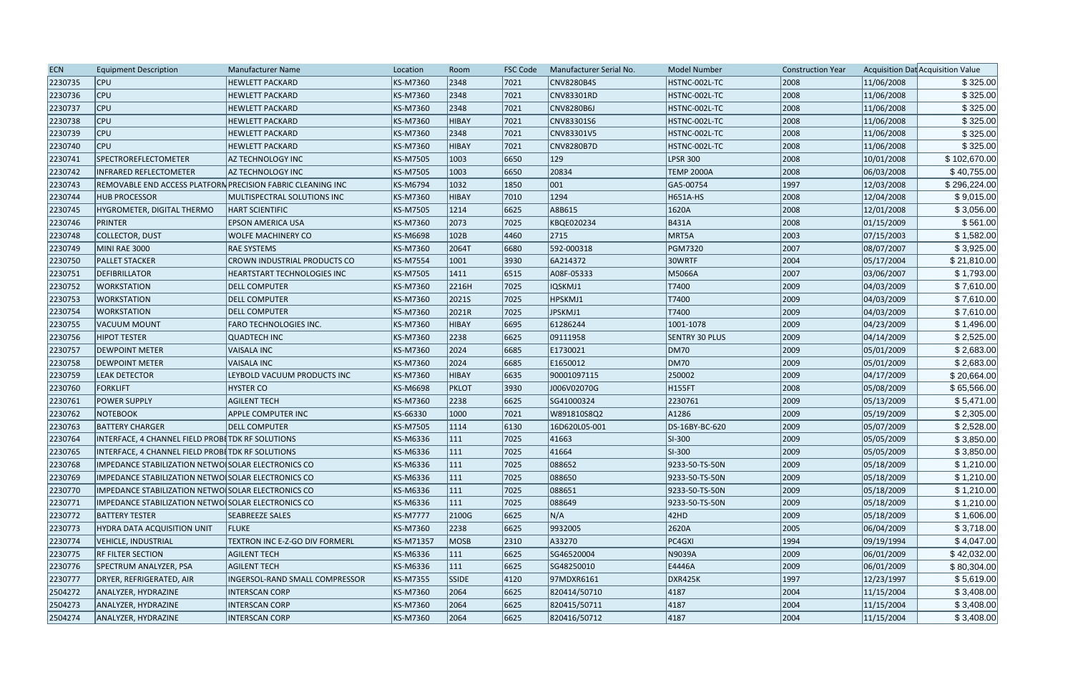| 2230735<br><b>CNV8280B4S</b><br><b>CPU</b><br><b>HEWLETT PACKARD</b><br>KS-M7360<br>2348<br>7021<br>HSTNC-002L-TC<br>2008                            | 11/06/2008 |              |
|------------------------------------------------------------------------------------------------------------------------------------------------------|------------|--------------|
|                                                                                                                                                      |            | \$325.00     |
| 2348<br>2008<br>2230736<br><b>CPU</b><br><b>HEWLETT PACKARD</b><br>KS-M7360<br>7021<br>CNV83301RD<br>HSTNC-002L-TC                                   | 11/06/2008 | \$325.00     |
| 2230737<br><b>CPU</b><br>7021<br>2008<br><b>HEWLETT PACKARD</b><br>KS-M7360<br>2348<br><b>CNV8280B6J</b><br>HSTNC-002L-TC                            | 11/06/2008 | \$325.00     |
| 2230738<br><b>CPU</b><br>2008<br><b>HEWLETT PACKARD</b><br>KS-M7360<br> 7021<br>CNV83301S6<br>HSTNC-002L-TC<br><b>HIBAY</b>                          | 11/06/2008 | \$325.00     |
| <b>CPU</b><br>2008<br>2230739<br><b>HEWLETT PACKARD</b><br>KS-M7360<br>2348<br> 7021<br>CNV83301V5<br>HSTNC-002L-TC                                  | 11/06/2008 | \$325.00     |
| <b>CPU</b><br>2008<br>2230740<br><b>HEWLETT PACKARD</b><br>KS-M7360<br><b>HIBAY</b><br> 7021<br><b>CNV8280B7D</b><br>HSTNC-002L-TC                   | 11/06/2008 | \$325.00     |
| SPECTROREFLECTOMETER<br>KS-M7505<br>6650<br>2008<br>2230741<br>AZ TECHNOLOGY INC<br>1003<br>129<br><b>LPSR 300</b>                                   | 10/01/2008 | \$102,670.00 |
| 2230742<br>6650<br>20834<br><b>TEMP 2000A</b><br>2008<br><b>INFRARED REFLECTOMETER</b><br><b>AZ TECHNOLOGY INC</b><br>KS-M7505<br>1003               | 06/03/2008 | \$40,755.00  |
| KS-M6794<br>1850<br>001<br>1997<br>2230743<br>1032<br>GA5-00754<br>REMOVABLE END ACCESS PLATFORN PRECISION FABRIC CLEANING INC                       | 12/03/2008 | \$296,224.00 |
| 1294<br>2008<br>2230744<br><b>HUB PROCESSOR</b><br>KS-M7360<br><b>HIBAY</b><br> 7010<br>H651A-HS<br>MULTISPECTRAL SOLUTIONS INC                      | 12/04/2008 | \$9,015.00   |
| 2008<br>2230745<br>HYGROMETER, DIGITAL THERMO<br>KS-M7505<br>1214<br>6625<br>A8B615<br>1620A<br><b>HART SCIENTIFIC</b>                               | 12/01/2008 | \$3,056.00   |
| 2073<br>7025<br>2008<br>2230746<br><b>PRINTER</b><br>KS-M7360<br>KBQE020234<br><b>B431A</b><br><b>EPSON AMERICA USA</b>                              | 01/15/2009 | \$561.00     |
| 2715<br>2003<br>2230748<br>KS-M6698<br>102B<br>4460<br>MRT5A<br>COLLECTOR, DUST<br><b>WOLFE MACHINERY CO</b>                                         | 07/15/2003 | \$1,582.00   |
| 2230749<br>6680<br>592-000318<br>2007<br>MINI RAE 3000<br><b>RAE SYSTEMS</b><br>KS-M7360<br>2064T<br>PGM7320                                         | 08/07/2007 | \$3,925.00   |
| 2230750<br><b>PALLET STACKER</b><br>3930<br>6A214372<br>2004<br><b>CROWN INDUSTRIAL PRODUCTS CO</b><br>KS-M7554<br>1001<br>30WRTF                    | 05/17/2004 | \$21,810.00  |
| 2007<br>2230751<br>DEFIBRILLATOR<br>KS-M7505<br> 6515<br>A08F-05333<br>M5066A<br>HEARTSTART TECHNOLOGIES INC<br>1411                                 | 03/06/2007 | \$1,793.00   |
| T7400<br>2009<br>2230752<br><b>WORKSTATION</b><br>KS-M7360<br> 7025 <br>IQSKMJ1<br><b>DELL COMPUTER</b><br>2216H                                     | 04/03/2009 | \$7,610.00   |
| 2009<br>2230753<br><b>WORKSTATION</b><br><b>DELL COMPUTER</b><br>KS-M7360<br>2021S<br> 7025<br>HPSKMJ1<br>T7400                                      | 04/03/2009 | \$7,610.00   |
| 2009<br>KS-M7360<br>2021R<br>7025<br>JPSKMJ1<br>T7400<br>2230754<br><b>WORKSTATION</b><br><b>DELL COMPUTER</b>                                       | 04/03/2009 | \$7,610.00   |
| 2230755<br>KS-M7360<br>6695<br>61286244<br>1001-1078<br>2009<br>VACUUM MOUNT<br><b>FARO TECHNOLOGIES INC.</b><br><b>HIBAY</b>                        | 04/23/2009 | \$1,496.00   |
| 2009<br>2230756<br>KS-M7360<br>2238<br>6625<br>09111958<br><b>SENTRY 30 PLUS</b><br><b>HIPOT TESTER</b><br><b>QUADTECH INC</b>                       | 04/14/2009 | \$2,525.00   |
| KS-M7360<br><b>DM70</b><br>2009<br>2230757<br><b>DEWPOINT METER</b><br><b>VAISALA INC</b><br>2024<br>6685<br>E1730021                                | 05/01/2009 | \$2,683.00   |
| DM70<br>2009<br>2230758<br>KS-M7360<br>2024<br>6685<br>E1650012<br><b>DEWPOINT METER</b><br>VAISALA INC                                              | 05/01/2009 | \$2,683.00   |
| 2009<br>2230759<br><b>LEAK DETECTOR</b><br>KS-M7360<br><b>HIBAY</b><br>6635<br>90001097115<br>250002<br>LEYBOLD VACUUM PRODUCTS INC                  | 04/17/2009 | \$20,664.00  |
| <b>HYSTER CO</b><br>KS-M6698<br> 3930 <br>H155FT<br>2008<br>2230760<br>FORKLIFT<br><b>PKLOT</b><br>J006V02070G                                       | 05/08/2009 | \$65,566.00  |
| 2230761<br>6625<br>2009<br><b>POWER SUPPLY</b><br><b>AGILENT TECH</b><br>KS-M7360<br>2238<br>SG41000324<br>2230761                                   | 05/13/2009 | \$5,471.00   |
| 2230762<br>7021<br>A1286<br>2009<br><b>NOTEBOOK</b><br><b>APPLE COMPUTER INC</b><br>KS-66330<br>1000<br>W891810S8Q2                                  | 05/19/2009 | \$2,305.00   |
| 2009<br>2230763<br><b>BATTERY CHARGER</b><br>KS-M7505<br>1114<br>6130<br>16D620L05-001<br>DS-16BY-BC-620<br><b>DELL COMPUTER</b>                     | 05/07/2009 | \$2,528.00   |
| 2230764<br>SI-300<br>2009<br>INTERFACE, 4 CHANNEL FIELD PROBETDK RF SOLUTIONS<br>KS-M6336<br>111<br>7025<br>41663                                    | 05/05/2009 | \$3,850.00   |
| 111<br>7025<br>SI-300<br>2009<br>2230765<br>INTERFACE, 4 CHANNEL FIELD PROBETDK RF SOLUTIONS<br>KS-M6336<br>41664                                    | 05/05/2009 | \$3,850.00   |
| 7025<br>2009<br>2230768<br>IMPEDANCE STABILIZATION NETWO SOLAR ELECTRONICS CO<br>KS-M6336<br> 111<br>088652<br>9233-50-TS-50N                        | 05/18/2009 | \$1,210.00   |
| 2230769<br>KS-M6336<br>7025<br>088650<br>9233-50-TS-50N<br>2009<br>IMPEDANCE STABILIZATION NETWO SOLAR ELECTRONICS CO<br>111                         | 05/18/2009 | \$1,210.00   |
| 2230770<br>IMPEDANCE STABILIZATION NETWO SOLAR ELECTRONICS CO<br>KS-M6336<br> 7025 <br>088651<br>2009<br>111<br>9233-50-TS-50N                       | 05/18/2009 | \$1,210.00   |
| 2230771<br>IMPEDANCE STABILIZATION NETWO SOLAR ELECTRONICS CO<br>KS-M6336<br>111<br> 7025 <br>088649<br>9233-50-TS-50N<br>2009                       | 05/18/2009 | \$1,210.00   |
| N/A<br> 42HD <br>2230772<br><b>KS-M7777</b><br> 6625 <br>2009<br><b>BATTERY TESTER</b><br><b>SEABREEZE SALES</b><br>2100G                            | 05/18/2009 | \$1,606.00   |
| 2230773<br>HYDRA DATA ACQUISITION UNIT<br>KS-M7360<br>2238<br> 6625 <br>9932005<br>2620A<br>2005<br><b>FLUKE</b>                                     | 06/04/2009 | \$3,718.00   |
| 2230774<br>TEXTRON INC E-Z-GO DIV FORMERL<br>KS-M71357<br><b>MOSB</b><br>$ 2310\rangle$<br>A33270<br>PC4GXI<br>1994<br>VEHICLE, INDUSTRIAL           | 09/19/1994 | \$4,047.00   |
| 2009<br>2230775<br><b>RF FILTER SECTION</b><br><b>AGILENT TECH</b><br>KS-M6336<br> 6625 <br>SG46520004<br>N9039A<br>111                              | 06/01/2009 | \$42,032.00  |
| 2230776<br>KS-M6336<br>E4446A<br>SPECTRUM ANALYZER, PSA<br><b>AGILENT TECH</b><br>111<br> 6625 <br>SG48250010<br>2009                                | 06/01/2009 | \$80,304.00  |
| 2230777<br>INGERSOL-RAND SMALL COMPRESSOR<br>KS-M7355<br><b>SSIDE</b><br>97MDXR6161<br><b>DXR425K</b><br> 1997 <br>DRYER, REFRIGERATED, AIR<br> 4120 | 12/23/1997 | \$5,619.00   |
| 2504272<br>ANALYZER, HYDRAZINE<br>KS-M7360<br>2064<br>820414/50710<br>4187<br>2004<br><b>INTERSCAN CORP</b><br> 6625                                 | 11/15/2004 | \$3,408.00   |
| 2504273<br>KS-M7360<br>2064<br> 6625 <br>4187<br>2004<br>ANALYZER, HYDRAZINE<br><b>INTERSCAN CORP</b><br>820415/50711                                | 11/15/2004 | \$3,408.00   |
| 2504274<br>ANALYZER, HYDRAZINE<br><b>INTERSCAN CORP</b><br>KS-M7360<br>2064<br> 6625 <br>820416/50712<br>4187<br>2004                                | 11/15/2004 | \$3,408.00   |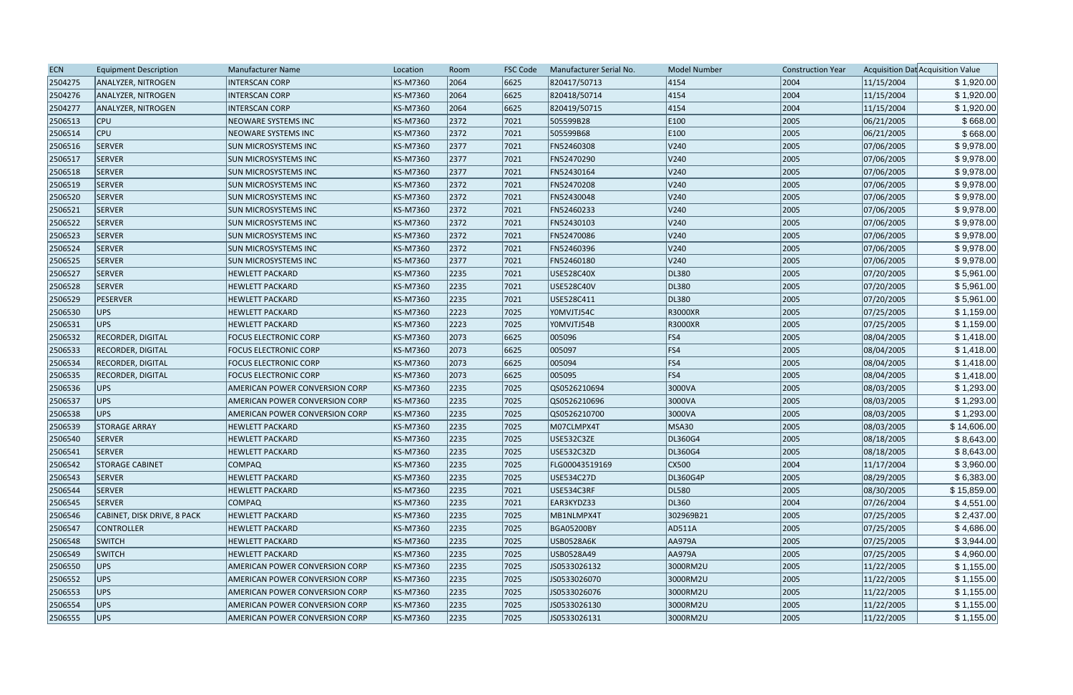| <b>ECN</b> | <b>Equipment Description</b> | Manufacturer Name                     | Location | Room | <b>FSC Code</b> | Manufacturer Serial No. | <b>Model Number</b> | <b>Construction Year</b> |            | Acquisition Dat Acquisition Value |
|------------|------------------------------|---------------------------------------|----------|------|-----------------|-------------------------|---------------------|--------------------------|------------|-----------------------------------|
| 2504275    | ANALYZER, NITROGEN           | <b>INTERSCAN CORP</b>                 | KS-M7360 | 2064 | 6625            | 820417/50713            | 4154                | 2004                     | 11/15/2004 | \$1,920.00                        |
| 2504276    | ANALYZER, NITROGEN           | <b>INTERSCAN CORP</b>                 | KS-M7360 | 2064 | 6625            | 820418/50714            | 4154                | 2004                     | 11/15/2004 | \$1,920.00                        |
| 2504277    | ANALYZER, NITROGEN           | <b>INTERSCAN CORP</b>                 | KS-M7360 | 2064 | 6625            | 820419/50715            | 4154                | 2004                     | 11/15/2004 | \$1,920.00                        |
| 2506513    | <b>CPU</b>                   | <b>NEOWARE SYSTEMS INC</b>            | KS-M7360 | 2372 | 7021            | 505599B28               | E100                | 2005                     | 06/21/2005 | \$668.00                          |
| 2506514    | $ $ CPU                      | <b>NEOWARE SYSTEMS INC</b>            | KS-M7360 | 2372 | 7021            | 505599B68               | E100                | 2005                     | 06/21/2005 | \$668.00                          |
| 2506516    | <b>SERVER</b>                | <b>SUN MICROSYSTEMS INC</b>           | KS-M7360 | 2377 | 7021            | FN52460308              | V240                | 2005                     | 07/06/2005 | \$9,978.00                        |
| 2506517    | SERVER                       | <b>SUN MICROSYSTEMS INC</b>           | KS-M7360 | 2377 | 7021            | FN52470290              | V240                | 2005                     | 07/06/2005 | \$9,978.00                        |
| 2506518    | SERVER                       | <b>SUN MICROSYSTEMS INC</b>           | KS-M7360 | 2377 | 7021            | FN52430164              | V240                | 2005                     | 07/06/2005 | \$9,978.00                        |
| 2506519    | SERVER                       | <b>SUN MICROSYSTEMS INC</b>           | KS-M7360 | 2372 | 7021            | FN52470208              | V240                | 2005                     | 07/06/2005 | \$9,978.00                        |
| 2506520    | <b>SERVER</b>                | <b>SUN MICROSYSTEMS INC</b>           | KS-M7360 | 2372 | 7021            | FN52430048              | V240                | 2005                     | 07/06/2005 | \$9,978.00                        |
| 2506521    | <b>SERVER</b>                | <b>SUN MICROSYSTEMS INC</b>           | KS-M7360 | 2372 | 7021            | FN52460233              | V240                | 2005                     | 07/06/2005 | \$9,978.00                        |
| 2506522    | <b>SERVER</b>                | <b>SUN MICROSYSTEMS INC</b>           | KS-M7360 | 2372 | 7021            | FN52430103              | V240                | 2005                     | 07/06/2005 | \$9,978.00                        |
| 2506523    | SERVER                       | <b>SUN MICROSYSTEMS INC</b>           | KS-M7360 | 2372 | 7021            | FN52470086              | V240                | 2005                     | 07/06/2005 | \$9,978.00                        |
| 2506524    | SERVER                       | <b>SUN MICROSYSTEMS INC</b>           | KS-M7360 | 2372 | 7021            | FN52460396              | V240                | 2005                     | 07/06/2005 | \$9,978.00                        |
| 2506525    | SERVER                       | <b>SUN MICROSYSTEMS INC</b>           | KS-M7360 | 2377 | 7021            | FN52460180              | V240                | 2005                     | 07/06/2005 | \$9,978.00                        |
| 2506527    | <b>SERVER</b>                | <b>HEWLETT PACKARD</b>                | KS-M7360 | 2235 | 7021            | USE528C40X              | DL380               | 2005                     | 07/20/2005 | \$5,961.00                        |
| 2506528    | <b>SERVER</b>                | <b>HEWLETT PACKARD</b>                | KS-M7360 | 2235 | 7021            | USE528C40V              | DL380               | 2005                     | 07/20/2005 | \$5,961.00                        |
| 2506529    | PESERVER                     | <b>HEWLETT PACKARD</b>                | KS-M7360 | 2235 | 7021            | USE528C411              | DL380               | 2005                     | 07/20/2005 | \$5,961.00                        |
| 2506530    | UPS                          | <b>HEWLETT PACKARD</b>                | KS-M7360 | 2223 | 7025            | Y0MVJTJ54C              | R3000XR             | 2005                     | 07/25/2005 | \$1,159.00                        |
| 2506531    | UPS                          | <b>HEWLETT PACKARD</b>                | KS-M7360 | 2223 | 7025            | YOMVJTJ54B              | R3000XR             | 2005                     | 07/25/2005 | \$1,159.00                        |
| 2506532    | <b>RECORDER, DIGITAL</b>     | <b>FOCUS ELECTRONIC CORP</b>          | KS-M7360 | 2073 | 6625            | 005096                  | FS4                 | 2005                     | 08/04/2005 | \$1,418.00                        |
| 2506533    | <b>RECORDER, DIGITAL</b>     | <b>FOCUS ELECTRONIC CORP</b>          | KS-M7360 | 2073 | 6625            | 005097                  | FS4                 | 2005                     | 08/04/2005 | \$1,418.00                        |
| 2506534    | <b>RECORDER, DIGITAL</b>     | <b>FOCUS ELECTRONIC CORP</b>          | KS-M7360 | 2073 | 6625            | 005094                  | FS4                 | 2005                     | 08/04/2005 | \$1,418.00                        |
| 2506535    | <b>RECORDER, DIGITAL</b>     | <b>FOCUS ELECTRONIC CORP</b>          | KS-M7360 | 2073 | 6625            | 005095                  | FS4                 | 2005                     | 08/04/2005 | \$1,418.00                        |
| 2506536    | UPS                          | AMERICAN POWER CONVERSION CORP        | KS-M7360 | 2235 | 7025            | QS0526210694            | 3000VA              | 2005                     | 08/03/2005 | \$1,293.00                        |
| 2506537    | UPS                          | AMERICAN POWER CONVERSION CORP        | KS-M7360 | 2235 | 7025            | QS0526210696            | 3000VA              | 2005                     | 08/03/2005 | \$1,293.00                        |
| 2506538    | UPS                          | AMERICAN POWER CONVERSION CORP        | KS-M7360 | 2235 | 7025            | QS0526210700            | 3000VA              | 2005                     | 08/03/2005 | \$1,293.00                        |
| 2506539    | <b>STORAGE ARRAY</b>         | <b>HEWLETT PACKARD</b>                | KS-M7360 | 2235 | 7025            | M07CLMPX4T              | <b>MSA30</b>        | 2005                     | 08/03/2005 | \$14,606.00                       |
| 2506540    | SERVER                       | <b>HEWLETT PACKARD</b>                | KS-M7360 | 2235 | 7025            | USE532C3ZE              | DL360G4             | 2005                     | 08/18/2005 | \$8,643.00                        |
| 2506541    | SERVER                       | <b>HEWLETT PACKARD</b>                | KS-M7360 | 2235 | 7025            | USE532C3ZD              | DL360G4             | 2005                     | 08/18/2005 | \$8,643.00                        |
| 2506542    | <b>STORAGE CABINET</b>       | <b>COMPAQ</b>                         | KS-M7360 | 2235 | 7025            | FLG00043519169          | $\vert$ CX500       | 2004                     | 11/17/2004 | \$3,960.00                        |
| 2506543    | <b>SERVER</b>                | <b>HEWLETT PACKARD</b>                | KS-M7360 | 2235 | 7025            | <b>USE534C27D</b>       | DL360G4P            | 2005                     | 08/29/2005 | \$6,383.00                        |
| 2506544    | SERVER                       | <b>HEWLETT PACKARD</b>                | KS-M7360 | 2235 | 7021            | USE534C3RF              | DL580               | 2005                     | 08/30/2005 | \$15,859.00                       |
| 2506545    | <b>SERVER</b>                | <b>COMPAQ</b>                         | KS-M7360 | 2235 | 7021            | EAR3KYDZ33              | DL360               | 2004                     | 07/26/2004 | \$4,551.00                        |
| 2506546    | CABINET, DISK DRIVE, 8 PACK  | <b>HEWLETT PACKARD</b>                | KS-M7360 | 2235 | 7025            | MB1NLMPX4T              | 302969B21           | 2005                     | 07/25/2005 | \$2,437.00                        |
| 2506547    | <b>CONTROLLER</b>            | <b>HEWLETT PACKARD</b>                | KS-M7360 | 2235 | 7025            | <b>BGA05200BY</b>       | AD511A              | 2005                     | 07/25/2005 | \$4,686.00                        |
| 2506548    | SWITCH                       | <b>HEWLETT PACKARD</b>                | KS-M7360 | 2235 | 7025            | <b>USB0528A6K</b>       | AA979A              | 2005                     | 07/25/2005 | \$3,944.00                        |
| 2506549    | <b>SWITCH</b>                | <b>HEWLETT PACKARD</b>                | KS-M7360 | 2235 | 7025            | USB0528A49              | AA979A              | 2005                     | 07/25/2005 | \$4,960.00                        |
| 2506550    | UPS                          | AMERICAN POWER CONVERSION CORP        | KS-M7360 | 2235 | 7025            | JS0533026132            | 3000RM2U            | 2005                     | 11/22/2005 | \$1,155.00                        |
| 2506552    | UPS                          | <b>AMERICAN POWER CONVERSION CORP</b> | KS-M7360 | 2235 | 7025            | JS0533026070            | 3000RM2U            | 2005                     | 11/22/2005 | \$1,155.00                        |
| 2506553    | UPS                          | <b>AMERICAN POWER CONVERSION CORP</b> | KS-M7360 | 2235 | 7025            | JS0533026076            | 3000RM2U            | 2005                     | 11/22/2005 | \$1,155.00                        |
| 2506554    | UPS                          | <b>AMERICAN POWER CONVERSION CORP</b> | KS-M7360 | 2235 | 7025            | JS0533026130            | 3000RM2U            | 2005                     | 11/22/2005 | \$1,155.00                        |
| 2506555    | UPS                          | AMERICAN POWER CONVERSION CORP        | KS-M7360 | 2235 | 7025            | JS0533026131            | 3000RM2U            | 2005                     | 11/22/2005 | \$1,155.00                        |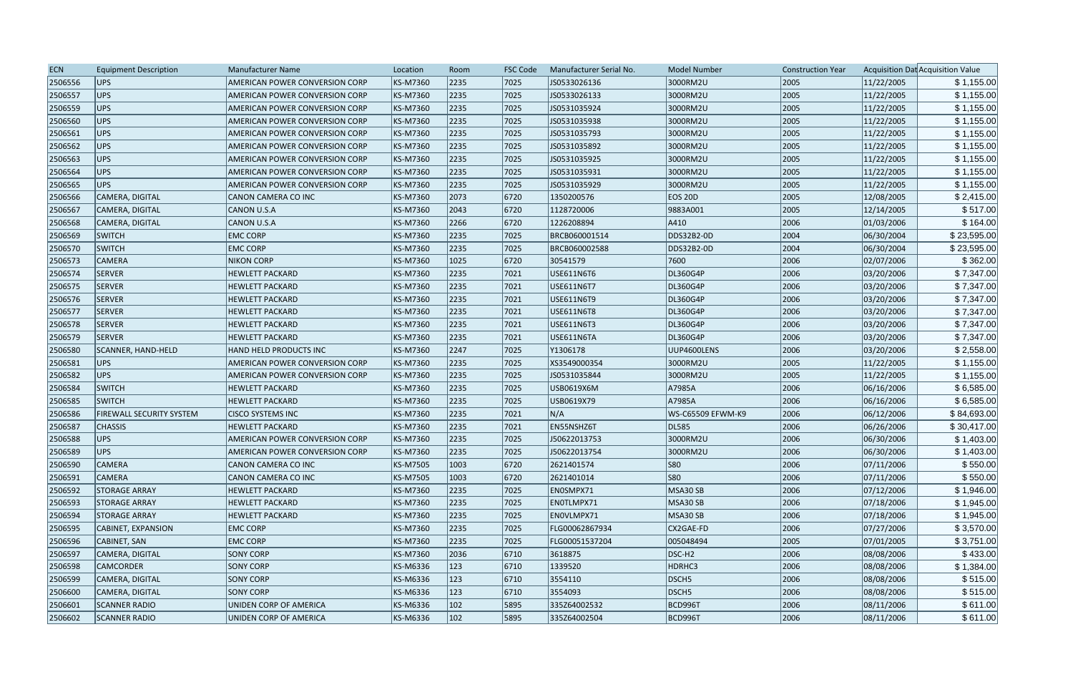| <b>ECN</b> | <b>Equipment Description</b> | <b>Manufacturer Name</b>              | Location | Room          | <b>FSC Code</b> | Manufacturer Serial No. | Model Number       | <b>Construction Year</b> |            | Acquisition Dat Acquisition Value |
|------------|------------------------------|---------------------------------------|----------|---------------|-----------------|-------------------------|--------------------|--------------------------|------------|-----------------------------------|
| 2506556    | <b>UPS</b>                   | AMERICAN POWER CONVERSION CORP        | KS-M7360 | 2235          | 7025            | JS0533026136            | 3000RM2U           | 2005                     | 11/22/2005 | \$1,155.00                        |
| 2506557    | <b>UPS</b>                   | <b>AMERICAN POWER CONVERSION CORP</b> | KS-M7360 | 2235          | 7025            | JS0533026133            | 3000RM2U           | 2005                     | 11/22/2005 | \$1,155.00                        |
| 2506559    | <b>UPS</b>                   | AMERICAN POWER CONVERSION CORP        | KS-M7360 | 2235          | 7025            | JS0531035924            | 3000RM2U           | 2005                     | 11/22/2005 | \$1,155.00                        |
| 2506560    | UPS                          | <b>AMERICAN POWER CONVERSION CORP</b> | KS-M7360 | 2235          | 7025            | JS0531035938            | 3000RM2U           | 2005                     | 11/22/2005 | \$1,155.00                        |
| 2506561    | <b>UPS</b>                   | AMERICAN POWER CONVERSION CORP        | KS-M7360 | 2235          | 7025            | JS0531035793            | 3000RM2U           | 2005                     | 11/22/2005 | \$1,155.00                        |
| 2506562    | <b>UPS</b>                   | AMERICAN POWER CONVERSION CORP        | KS-M7360 | 2235          | 7025            | JS0531035892            | 3000RM2U           | 2005                     | 11/22/2005 | \$1,155.00                        |
| 2506563    | <b>UPS</b>                   | AMERICAN POWER CONVERSION CORP        | KS-M7360 | 2235          | 7025            | JS0531035925            | 3000RM2U           | 2005                     | 11/22/2005 | \$1,155.00                        |
| 2506564    | <b>UPS</b>                   | AMERICAN POWER CONVERSION CORP        | KS-M7360 | 2235          | 7025            | JS0531035931            | 3000RM2U           | 2005                     | 11/22/2005 | \$1,155.00                        |
| 2506565    | <b>UPS</b>                   | <b>AMERICAN POWER CONVERSION CORP</b> | KS-M7360 | 2235          | 7025            | JS0531035929            | 3000RM2U           | 2005                     | 11/22/2005 | \$1,155.00                        |
| 2506566    | CAMERA, DIGITAL              | CANON CAMERA CO INC                   | KS-M7360 | 2073          | 6720            | 1350200576              | <b>EOS 20D</b>     | 2005                     | 12/08/2005 | \$2,415.00                        |
| 2506567    | CAMERA, DIGITAL              | <b>CANON U.S.A</b>                    | KS-M7360 | 2043          | 6720            | 1128720006              | 9883A001           | 2005                     | 12/14/2005 | \$517.00                          |
| 2506568    | CAMERA, DIGITAL              | CANON U.S.A                           | KS-M7360 | 2266          | 6720            | 1226208894              | A410               | 2006                     | 01/03/2006 | \$164.00                          |
| 2506569    | <b>SWITCH</b>                | <b>EMC CORP</b>                       | KS-M7360 | 2235          | 7025            | BRCB060001514           | DDS32B2-0D         | 2004                     | 06/30/2004 | \$23,595.00                       |
| 2506570    | <b>SWITCH</b>                | <b>EMC CORP</b>                       | KS-M7360 | 2235          | 7025            | BRCB060002588           | DDS32B2-0D         | 2004                     | 06/30/2004 | \$23,595.00                       |
| 2506573    | <b>CAMERA</b>                | <b>NIKON CORP</b>                     | KS-M7360 | 1025          | 6720            | 30541579                | 7600               | 2006                     | 02/07/2006 | \$362.00                          |
| 2506574    | SERVER                       | <b>HEWLETT PACKARD</b>                | KS-M7360 | 2235          | 7021            | USE611N6T6              | DL360G4P           | 2006                     | 03/20/2006 | \$7,347.00                        |
| 2506575    | <b>SERVER</b>                | <b>HEWLETT PACKARD</b>                | KS-M7360 | 2235          | 7021            | USE611N6T7              | DL360G4P           | 2006                     | 03/20/2006 | \$7,347.00                        |
| 2506576    | SERVER                       | <b>HEWLETT PACKARD</b>                | KS-M7360 | 2235          | 7021            | USE611N6T9              | DL360G4P           | 2006                     | 03/20/2006 | \$7,347.00                        |
| 2506577    | <b>SERVER</b>                | <b>HEWLETT PACKARD</b>                | KS-M7360 | 2235          | 7021            | <b>USE611N6T8</b>       | DL360G4P           | 2006                     | 03/20/2006 | \$7,347.00                        |
| 2506578    | <b>SERVER</b>                | <b>HEWLETT PACKARD</b>                | KS-M7360 | 2235          | 7021            | USE611N6T3              | DL360G4P           | 2006                     | 03/20/2006 | \$7,347.00                        |
| 2506579    | SERVER                       | <b>HEWLETT PACKARD</b>                | KS-M7360 | 2235          | 7021            | USE611N6TA              | DL360G4P           | 2006                     | 03/20/2006 | \$7,347.00                        |
| 2506580    | SCANNER, HAND-HELD           | HAND HELD PRODUCTS INC                | KS-M7360 | 2247          | 7025            | Y1306178                | UUP4600LENS        | 2006                     | 03/20/2006 | \$2,558.00                        |
| 2506581    | UPS                          | <b>AMERICAN POWER CONVERSION CORP</b> | KS-M7360 | 2235          | 7025            | XS3549000354            | 3000RM2U           | 2005                     | 11/22/2005 | \$1,155.00                        |
| 2506582    | <b>UPS</b>                   | AMERICAN POWER CONVERSION CORP        | KS-M7360 | 2235          | 7025            | JS0531035844            | 3000RM2U           | 2005                     | 11/22/2005 | \$1,155.00                        |
| 2506584    | <b>SWITCH</b>                | <b>HEWLETT PACKARD</b>                | KS-M7360 | 2235          | 7025            | USB0619X6M              | A7985A             | 2006                     | 06/16/2006 | \$6,585.00                        |
| 2506585    | <b>SWITCH</b>                | <b>HEWLETT PACKARD</b>                | KS-M7360 | 2235          | 7025            | USB0619X79              | A7985A             | 2006                     | 06/16/2006 | \$6,585.00                        |
| 2506586    | FIREWALL SECURITY SYSTEM     | <b>CISCO SYSTEMS INC</b>              | KS-M7360 | 2235          | 7021            | N/A                     | WS-C65509 EFWM-K9  | 2006                     | 06/12/2006 | \$84,693.00                       |
| 2506587    | <b>CHASSIS</b>               | <b>HEWLETT PACKARD</b>                | KS-M7360 | 2235          | 7021            | EN55NSHZ6T              | DL585              | 2006                     | 06/26/2006 | \$30,417.00                       |
| 2506588    | <b>UPS</b>                   | AMERICAN POWER CONVERSION CORP        | KS-M7360 | 2235          | 7025            | J50622013753            | 3000RM2U           | 2006                     | 06/30/2006 | \$1,403.00                        |
| 2506589    | UPS                          | <b>AMERICAN POWER CONVERSION CORP</b> | KS-M7360 | 2235          | 7025            | J50622013754            | 3000RM2U           | 2006                     | 06/30/2006 | \$1,403.00                        |
| 2506590    | <b>CAMERA</b>                | CANON CAMERA CO INC                   | KS-M7505 | 1003          | 6720            | 2621401574              | S80                | 2006                     | 07/11/2006 | \$550.00                          |
| 2506591    | <b>CAMERA</b>                | CANON CAMERA CO INC                   | KS-M7505 | 1003          | 6720            | 2621401014              | S80                | 2006                     | 07/11/2006 | \$550.00                          |
| 2506592    | <b>STORAGE ARRAY</b>         | <b>HEWLETT PACKARD</b>                | KS-M7360 | 2235          | 7025            | EN0SMPX71               | MSA30 SB           | 2006                     | 07/12/2006 | \$1,946.00                        |
| 2506593    | <b>STORAGE ARRAY</b>         | <b>HEWLETT PACKARD</b>                | KS-M7360 | 2235          | 7025            | ENOTLMPX71              | MSA30 SB           | 2006                     | 07/18/2006 | \$1,945.00                        |
| 2506594    | <b>STORAGE ARRAY</b>         | <b>HEWLETT PACKARD</b>                | KS-M7360 | 2235          | 7025            | ENOVLMPX71              | MSA30 SB           | 2006                     | 07/18/2006 | \$1,945.00                        |
| 2506595    | CABINET, EXPANSION           | <b>EMC CORP</b>                       | KS-M7360 | 2235          | 7025            | FLG00062867934          | CX2GAE-FD          | 2006                     | 07/27/2006 | \$3,570.00                        |
| 2506596    | CABINET, SAN                 | <b>EMC CORP</b>                       | KS-M7360 | 2235          | 7025            | FLG00051537204          | 005048494          | 2005                     | 07/01/2005 | \$3,751.00                        |
| 2506597    | CAMERA, DIGITAL              | <b>SONY CORP</b>                      | KS-M7360 | 2036          | 6710            | 3618875                 | DSC-H <sub>2</sub> | 2006                     | 08/08/2006 | \$433.00                          |
| 2506598    | <b>CAMCORDER</b>             | <b>SONY CORP</b>                      | KS-M6336 | 123           | 6710            | 1339520                 | HDRHC3             | 2006                     | 08/08/2006 | \$1,384.00                        |
| 2506599    | CAMERA, DIGITAL              | <b>SONY CORP</b>                      | KS-M6336 | 123           | 6710            | 3554110                 | DSCH <sub>5</sub>  | 2006                     | 08/08/2006 | \$515.00                          |
| 2506600    | CAMERA, DIGITAL              | SONY CORP                             | KS-M6336 | $ 123\rangle$ | 6710            | 3554093                 | DSCH <sub>5</sub>  | 2006                     | 08/08/2006 | \$515.00                          |
| 2506601    | <b>SCANNER RADIO</b>         | UNIDEN CORP OF AMERICA                | KS-M6336 | $ 102\rangle$ | 5895            | 335Z64002532            | <b>BCD996T</b>     | 2006                     | 08/11/2006 | \$611.00                          |
| 2506602    | <b>SCANNER RADIO</b>         | UNIDEN CORP OF AMERICA                | KS-M6336 | $ 102\rangle$ | 5895            | 335Z64002504            | <b>BCD996T</b>     | 2006                     | 08/11/2006 | \$611.00                          |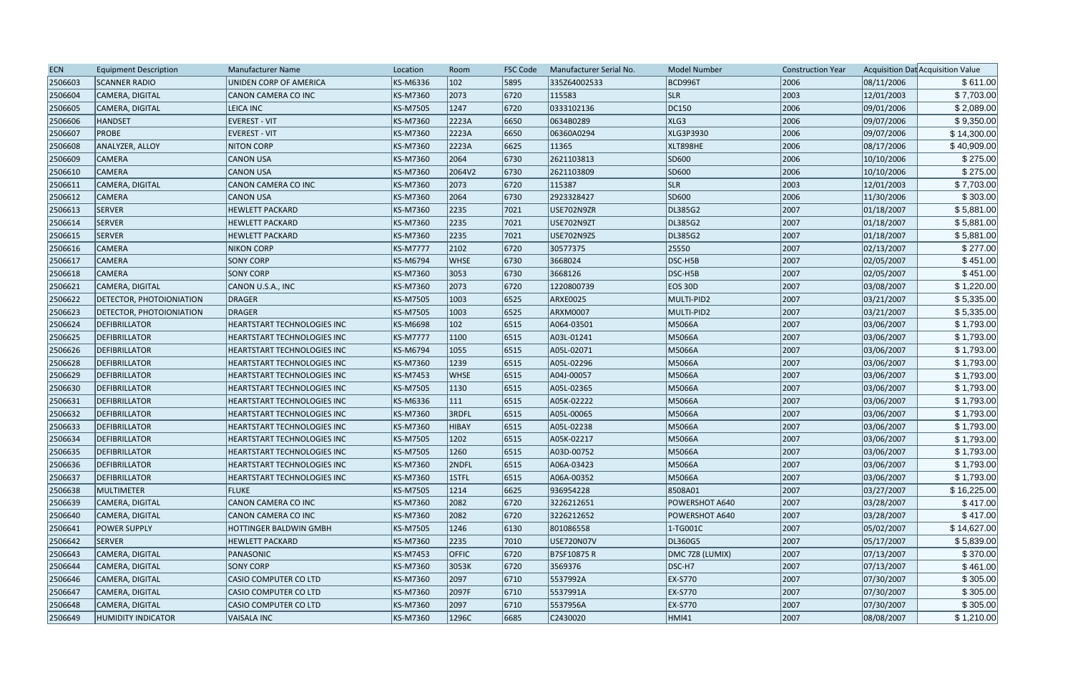| <b>ECN</b> | <b>Equipment Description</b>    | <b>Manufacturer Name</b>           | Location        | Room         | <b>FSC Code</b> | Manufacturer Serial No. | <b>Model Number</b> | <b>Construction Year</b> |            | Acquisition Dat Acquisition Value |
|------------|---------------------------------|------------------------------------|-----------------|--------------|-----------------|-------------------------|---------------------|--------------------------|------------|-----------------------------------|
| 2506603    | <b>SCANNER RADIO</b>            | UNIDEN CORP OF AMERICA             | KS-M6336        | 102          | 5895            | 335Z64002533            | <b>BCD996T</b>      | 2006                     | 08/11/2006 | \$611.00                          |
| 2506604    | CAMERA, DIGITAL                 | CANON CAMERA CO INC                | KS-M7360        | 2073         | 6720            | 115583                  | <b>SLR</b>          | 2003                     | 12/01/2003 | \$7,703.00                        |
| 2506605    | CAMERA, DIGITAL                 | LEICA INC                          | KS-M7505        | 1247         | 6720            | 0333102136              | DC150               | 2006                     | 09/01/2006 | \$2,089.00                        |
| 2506606    | HANDSET                         | <b>EVEREST - VIT</b>               | KS-M7360        | 2223A        | 6650            | 0634B0289               | XLG3                | 2006                     | 09/07/2006 | \$9,350.00                        |
| 2506607    | <b>PROBE</b>                    | <b>EVEREST - VIT</b>               | KS-M7360        | 2223A        | 6650            | 06360A0294              | XLG3P3930           | 2006                     | 09/07/2006 | \$14,300.00                       |
| 2506608    | ANALYZER, ALLOY                 | <b>NITON CORP</b>                  | KS-M7360        | 2223A        | 6625            | 11365                   | XLT898HE            | 2006                     | 08/17/2006 | \$40,909.00                       |
| 2506609    | <b>CAMERA</b>                   | <b>CANON USA</b>                   | KS-M7360        | 2064         | 6730            | 2621103813              | SD600               | 2006                     | 10/10/2006 | \$275.00                          |
| 2506610    | <b>CAMERA</b>                   | <b>CANON USA</b>                   | KS-M7360        | 2064V2       | 6730            | 2621103809              | SD600               | 2006                     | 10/10/2006 | \$275.00                          |
| 2506611    | CAMERA, DIGITAL                 | CANON CAMERA CO INC                | KS-M7360        | 2073         | 6720            | 115387                  | <b>SLR</b>          | 2003                     | 12/01/2003 | \$7,703.00                        |
| 2506612    | <b>CAMERA</b>                   | <b>CANON USA</b>                   | KS-M7360        | 2064         | 6730            | 2923328427              | SD600               | 2006                     | 11/30/2006 | \$303.00                          |
| 2506613    | SERVER                          | <b>HEWLETT PACKARD</b>             | KS-M7360        | 2235         | 7021            | USE702N9ZR              | DL385G2             | 2007                     | 01/18/2007 | \$5,881.00                        |
| 2506614    | SERVER                          | <b>HEWLETT PACKARD</b>             | KS-M7360        | 2235         | 7021            | USE702N9ZT              | DL385G2             | 2007                     | 01/18/2007 | \$5,881.00                        |
| 2506615    | SERVER                          | <b>HEWLETT PACKARD</b>             | KS-M7360        | 2235         | 7021            | USE702N9ZS              | DL385G2             | 2007                     | 01/18/2007 | \$5,881.00                        |
| 2506616    | <b>CAMERA</b>                   | <b>NIKON CORP</b>                  | <b>KS-M7777</b> | 2102         | 6720            | 30577375                | 25550               | 2007                     | 02/13/2007 | \$277.00                          |
| 2506617    | <b>CAMERA</b>                   | <b>SONY CORP</b>                   | KS-M6794        | <b>WHSE</b>  | 6730            | 3668024                 | DSC-H5B             | 2007                     | 02/05/2007 | \$451.00                          |
| 2506618    | <b>CAMERA</b>                   | <b>SONY CORP</b>                   | KS-M7360        | 3053         | 6730            | 3668126                 | DSC-H5B             | 2007                     | 02/05/2007 | \$451.00                          |
| 2506621    | CAMERA, DIGITAL                 | CANON U.S.A., INC                  | KS-M7360        | 2073         | 6720            | 1220800739              | <b>EOS 30D</b>      | 2007                     | 03/08/2007 | \$1,220.00                        |
| 2506622    | <b>DETECTOR, PHOTOIONIATION</b> | DRAGER                             | KS-M7505        | 1003         | 6525            | ARXE0025                | MULTI-PID2          | 2007                     | 03/21/2007 | \$5,335.00                        |
| 2506623    | <b>DETECTOR, PHOTOIONIATION</b> | DRAGER                             | KS-M7505        | 1003         | 6525            | ARXM0007                | MULTI-PID2          | 2007                     | 03/21/2007 | \$5,335.00                        |
| 2506624    | DEFIBRILLATOR                   | <b>HEARTSTART TECHNOLOGIES INC</b> | KS-M6698        | 102          | 6515            | A064-03501              | M5066A              | 2007                     | 03/06/2007 | \$1,793.00                        |
| 2506625    | DEFIBRILLATOR                   | HEARTSTART TECHNOLOGIES INC        | <b>KS-M7777</b> | 1100         | 6515            | A03L-01241              | M5066A              | 2007                     | 03/06/2007 | \$1,793.00                        |
| 2506626    | DEFIBRILLATOR                   | HEARTSTART TECHNOLOGIES INC        | KS-M6794        | 1055         | 6515            | A05L-02071              | M5066A              | 2007                     | 03/06/2007 | \$1,793.00                        |
| 2506628    | DEFIBRILLATOR                   | HEARTSTART TECHNOLOGIES INC        | KS-M7360        | 1239         | 6515            | A05L-02296              | M5066A              | 2007                     | 03/06/2007 | \$1,793.00                        |
| 2506629    | DEFIBRILLATOR                   | <b>HEARTSTART TECHNOLOGIES INC</b> | KS-M7453        | <b>WHSE</b>  | 6515            | A04J-00057              | M5066A              | 2007                     | 03/06/2007 | \$1,793.00                        |
| 2506630    | DEFIBRILLATOR                   | <b>HEARTSTART TECHNOLOGIES INC</b> | KS-M7505        | 1130         | 6515            | A05L-02365              | M5066A              | 2007                     | 03/06/2007 | \$1,793.00                        |
| 2506631    | DEFIBRILLATOR                   | HEARTSTART TECHNOLOGIES INC        | KS-M6336        | 111          | 6515            | A05K-02222              | M5066A              | 2007                     | 03/06/2007 | \$1,793.00                        |
| 2506632    | DEFIBRILLATOR                   | HEARTSTART TECHNOLOGIES INC        | KS-M7360        | 3RDFL        | 6515            | A05L-00065              | M5066A              | 2007                     | 03/06/2007 | \$1,793.00                        |
| 2506633    | DEFIBRILLATOR                   | HEARTSTART TECHNOLOGIES INC        | KS-M7360        | <b>HIBAY</b> | 6515            | A05L-02238              | M5066A              | 2007                     | 03/06/2007 | \$1,793.00                        |
| 2506634    | DEFIBRILLATOR                   | <b>HEARTSTART TECHNOLOGIES INC</b> | KS-M7505        | 1202         | 6515            | A05K-02217              | M5066A              | 2007                     | 03/06/2007 | \$1,793.00                        |
| 2506635    | DEFIBRILLATOR                   | <b>HEARTSTART TECHNOLOGIES INC</b> | KS-M7505        | 1260         | 6515            | A03D-00752              | M5066A              | 2007                     | 03/06/2007 | \$1,793.00                        |
| 2506636    | DEFIBRILLATOR                   | <b>HEARTSTART TECHNOLOGIES INC</b> | KS-M7360        | 2NDFL        | 6515            | A06A-03423              | M5066A              | 2007                     | 03/06/2007 | \$1,793.00                        |
| 2506637    | DEFIBRILLATOR                   | <b>HEARTSTART TECHNOLOGIES INC</b> | KS-M7360        | 1STFL        | 6515            | A06A-00352              | M5066A              | 2007                     | 03/06/2007 | \$1,793.00                        |
| 2506638    | <b>MULTIMETER</b>               | FLUKE                              | KS-M7505        | 1214         | 6625            | 936954228               | 8508A01             | 2007                     | 03/27/2007 | \$16,225.00                       |
| 2506639    | CAMERA, DIGITAL                 | CANON CAMERA CO INC                | KS-M7360        | 2082         | 6720            | 3226212651              | POWERSHOT A640      | 2007                     | 03/28/2007 | \$417.00                          |
| 2506640    | CAMERA, DIGITAL                 | CANON CAMERA CO INC                | KS-M7360        | 2082         | 6720            | 3226212652              | POWERSHOT A640      | 2007                     | 03/28/2007 | \$417.00                          |
| 2506641    | <b>POWER SUPPLY</b>             | <b>HOTTINGER BALDWIN GMBH</b>      | KS-M7505        | 1246         | 6130            | 801086558               | $ 1$ -TG001C        | 2007                     | 05/02/2007 | \$14,627.00                       |
| 2506642    | SERVER                          | <b>HEWLETT PACKARD</b>             | KS-M7360        | 2235         | 7010            | USE720N07V              | DL360G5             | 2007                     | 05/17/2007 | \$5,839.00                        |
| 2506643    | CAMERA, DIGITAL                 | PANASONIC                          | KS-M7453        | <b>OFFIC</b> | 6720            | B7SF10875 R             | DMC 728 (LUMIX)     | 2007                     | 07/13/2007 | \$370.00                          |
| 2506644    | CAMERA, DIGITAL                 | <b>SONY CORP</b>                   | KS-M7360        | 3053K        | 6720            | 3569376                 | DSC-H7              | 2007                     | 07/13/2007 | \$461.00                          |
| 2506646    | CAMERA, DIGITAL                 | <b>CASIO COMPUTER CO LTD</b>       | KS-M7360        | 2097         | 6710            | 5537992A                | EX-S770             | 2007                     | 07/30/2007 | \$305.00                          |
| 2506647    | CAMERA, DIGITAL                 | <b>CASIO COMPUTER CO LTD</b>       | KS-M7360        | 2097F        | 6710            | 5537991A                | EX-S770             | 2007                     | 07/30/2007 | \$305.00                          |
| 2506648    | CAMERA, DIGITAL                 | <b>CASIO COMPUTER CO LTD</b>       | KS-M7360        | 2097         | 6710            | 5537956A                | EX-S770             | 2007                     | 07/30/2007 | \$305.00                          |
| 2506649    | <b>HUMIDITY INDICATOR</b>       | VAISALA INC                        | KS-M7360        | 1296C        | 6685            | C2430020                | HMI41               | 2007                     | 08/08/2007 | \$1,210.00                        |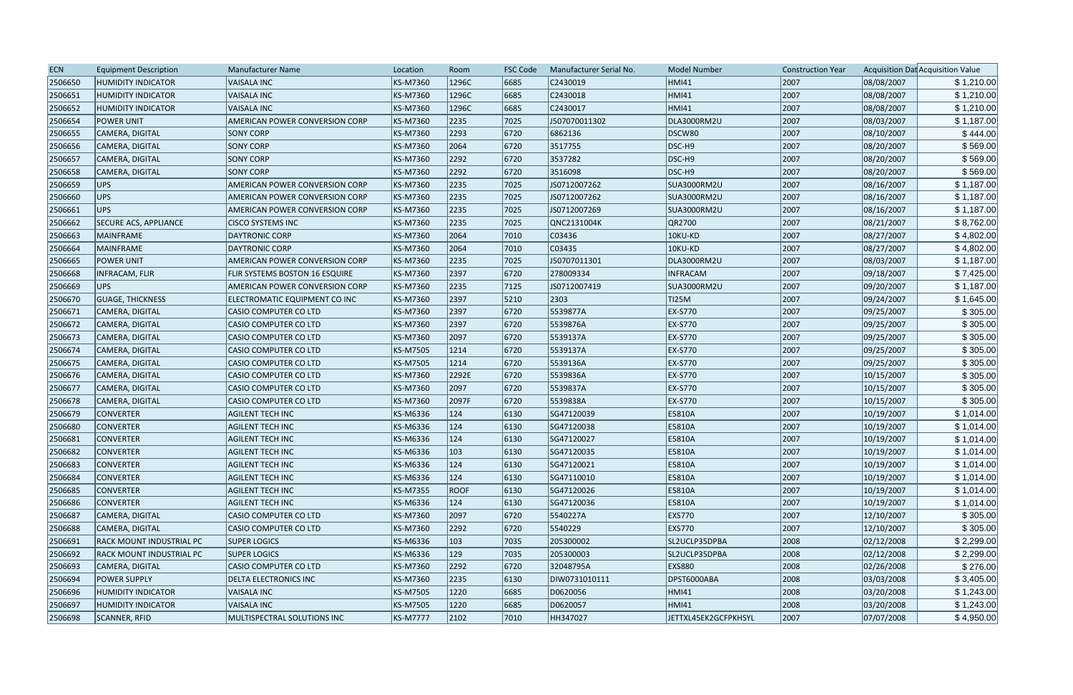| <b>ECN</b> | <b>Equipment Description</b>    | Manufacturer Name                     | Location        | Room          | <b>FSC Code</b> | Manufacturer Serial No. | <b>Model Number</b>  | <b>Construction Year</b> |            | Acquisition Dat Acquisition Value |
|------------|---------------------------------|---------------------------------------|-----------------|---------------|-----------------|-------------------------|----------------------|--------------------------|------------|-----------------------------------|
| 2506650    | <b>HUMIDITY INDICATOR</b>       | <b>VAISALA INC</b>                    | KS-M7360        | 1296C         | 6685            | C2430019                | HMI41                | 2007                     | 08/08/2007 | \$1,210.00                        |
| 2506651    | <b>HUMIDITY INDICATOR</b>       | <b>VAISALA INC</b>                    | <b>KS-M7360</b> | 1296C         | 6685            | C2430018                | HMI41                | 2007                     | 08/08/2007 | \$1,210.00                        |
| 2506652    | <b>HUMIDITY INDICATOR</b>       | <b>VAISALA INC</b>                    | <b>KS-M7360</b> | 1296C         | 6685            | C2430017                | <b>HMI41</b>         | 2007                     | 08/08/2007 | \$1,210.00                        |
| 2506654    | <b>POWER UNIT</b>               | <b>AMERICAN POWER CONVERSION CORP</b> | <b>KS-M7360</b> | 2235          | 7025            | J507070011302           | DLA3000RM2U          | 2007                     | 08/03/2007 | \$1,187.00                        |
| 2506655    | CAMERA, DIGITAL                 | <b>SONY CORP</b>                      | <b>KS-M7360</b> | 2293          | 6720            | 6862136                 | DSCW80               | 2007                     | 08/10/2007 | \$444.00                          |
| 2506656    | CAMERA, DIGITAL                 | <b>SONY CORP</b>                      | KS-M7360        | 2064          | 6720            | 3517755                 | DSC-H9               | 2007                     | 08/20/2007 | \$569.00                          |
| 2506657    | CAMERA, DIGITAL                 | <b>SONY CORP</b>                      | <b>KS-M7360</b> | 2292          | 6720            | 3537282                 | DSC-H9               | 2007                     | 08/20/2007 | \$569.00                          |
| 2506658    | CAMERA, DIGITAL                 | <b>SONY CORP</b>                      | KS-M7360        | 2292          | 6720            | 3516098                 | DSC-H9               | 2007                     | 08/20/2007 | \$569.00                          |
| 2506659    | UPS                             | <b>AMERICAN POWER CONVERSION CORP</b> | <b>KS-M7360</b> | 2235          | 7025            | JS0712007262            | <b>SUA3000RM2U</b>   | 2007                     | 08/16/2007 | \$1,187.00                        |
| 2506660    | UPS                             | AMERICAN POWER CONVERSION CORP        | <b>KS-M7360</b> | 2235          | 7025            | JS0712007262            | SUA3000RM2U          | 2007                     | 08/16/2007 | \$1,187.00                        |
| 2506661    | UPS                             | <b>AMERICAN POWER CONVERSION CORP</b> | KS-M7360        | 2235          | 7025            | JS0712007269            | SUA3000RM2U          | 2007                     | 08/16/2007 | \$1,187.00                        |
| 2506662    | <b>SECURE ACS, APPLIANCE</b>    | <b>CISCO SYSTEMS INC</b>              | <b>KS-M7360</b> | 2235          | 7025            | QNC2131004K             | QR2700               | 2007                     | 08/21/2007 | \$8,762.00                        |
| 2506663    | MAINFRAME                       | <b>DAYTRONIC CORP</b>                 | KS-M7360        | 2064          | 7010            | C03436                  | 10KU-KD              | 2007                     | 08/27/2007 | \$4,802.00                        |
| 2506664    | MAINFRAME                       | <b>DAYTRONIC CORP</b>                 | KS-M7360        | 2064          | 7010            | C03435                  | 10KU-KD              | 2007                     | 08/27/2007 | \$4,802.00                        |
| 2506665    | <b>POWER UNIT</b>               | AMERICAN POWER CONVERSION CORP        | <b>KS-M7360</b> | 2235          | 7025            | J50707011301            | DLA3000RM2U          | 2007                     | 08/03/2007 | \$1,187.00                        |
| 2506668    | <b>INFRACAM, FLIR</b>           | FLIR SYSTEMS BOSTON 16 ESQUIRE        | <b>KS-M7360</b> | 2397          | 6720            | 278009334               | <b>INFRACAM</b>      | 2007                     | 09/18/2007 | \$7,425.00                        |
| 2506669    | UPS                             | AMERICAN POWER CONVERSION CORP        | <b>KS-M7360</b> | 2235          | 7125            | JS0712007419            | SUA3000RM2U          | 2007                     | 09/20/2007 | \$1,187.00                        |
| 2506670    | <b>GUAGE, THICKNESS</b>         | ELECTROMATIC EQUIPMENT CO INC         | KS-M7360        | 2397          | 5210            | 2303                    | TI25M                | 2007                     | 09/24/2007 | \$1,645.00                        |
| 2506671    | CAMERA, DIGITAL                 | CASIO COMPUTER CO LTD                 | <b>KS-M7360</b> | 2397          | 6720            | 5539877A                | <b>EX-S770</b>       | 2007                     | 09/25/2007 | \$305.00                          |
| 2506672    | CAMERA, DIGITAL                 | <b>CASIO COMPUTER CO LTD</b>          | KS-M7360        | 2397          | 6720            | 5539876A                | EX-S770              | 2007                     | 09/25/2007 | \$305.00                          |
| 2506673    | CAMERA, DIGITAL                 | <b>CASIO COMPUTER CO LTD</b>          | <b>KS-M7360</b> | 2097          | 6720            | 5539137A                | EX-S770              | 2007                     | 09/25/2007 | \$305.00                          |
| 2506674    | CAMERA, DIGITAL                 | CASIO COMPUTER CO LTD                 | <b>KS-M7505</b> | 1214          | 6720            | 5539137A                | EX-S770              | 2007                     | 09/25/2007 | \$305.00                          |
| 2506675    | CAMERA, DIGITAL                 | <b>CASIO COMPUTER CO LTD</b>          | <b>KS-M7505</b> | 1214          | 6720            | 5539136A                | EX-S770              | 2007                     | 09/25/2007 | \$305.00                          |
| 2506676    | CAMERA, DIGITAL                 | <b>CASIO COMPUTER CO LTD</b>          | <b>KS-M7360</b> | 2292E         | 6720            | 5539836A                | EX-S770              | 2007                     | 10/15/2007 | \$305.00                          |
| 2506677    | CAMERA, DIGITAL                 | <b>CASIO COMPUTER CO LTD</b>          | <b>KS-M7360</b> | 2097          | 6720            | 5539837A                | EX-S770              | 2007                     | 10/15/2007 | \$305.00                          |
| 2506678    | CAMERA, DIGITAL                 | <b>CASIO COMPUTER CO LTD</b>          | <b>KS-M7360</b> | 2097F         | 6720            | 5539838A                | EX-S770              | 2007                     | 10/15/2007 | \$305.00                          |
| 2506679    | <b>CONVERTER</b>                | <b>AGILENT TECH INC</b>               | <b>KS-M6336</b> | 124           | 6130            | SG47120039              | E5810A               | 2007                     | 10/19/2007 | \$1,014.00                        |
| 2506680    | <b>CONVERTER</b>                | <b>AGILENT TECH INC</b>               | KS-M6336        | $ 124\rangle$ | 6130            | SG47120038              | E5810A               | 2007                     | 10/19/2007 | \$1,014.00                        |
| 2506681    | <b>CONVERTER</b>                | <b>AGILENT TECH INC</b>               | <b>KS-M6336</b> | 124           | 6130            | SG47120027              | E5810A               | 2007                     | 10/19/2007 | \$1,014.00                        |
| 2506682    | <b>CONVERTER</b>                | <b>AGILENT TECH INC</b>               | KS-M6336        | 103           | 6130            | SG47120035              | E5810A               | 2007                     | 10/19/2007 | \$1,014.00                        |
| 2506683    | <b>CONVERTER</b>                | <b>AGILENT TECH INC</b>               | KS-M6336        | $ 124\rangle$ | 6130            | SG47120021              | E5810A               | 2007                     | 10/19/2007 | \$1,014.00                        |
| 2506684    | <b>CONVERTER</b>                | <b>AGILENT TECH INC</b>               | KS-M6336        | 124           | 6130            | SG47110010              | E5810A               | 2007                     | 10/19/2007 | \$1,014.00                        |
| 2506685    | <b>CONVERTER</b>                | <b>AGILENT TECH INC</b>               | <b>KS-M7355</b> | <b>ROOF</b>   | 6130            | SG47120026              | E5810A               | 2007                     | 10/19/2007 | \$1,014.00                        |
| 2506686    | <b>CONVERTER</b>                | <b>AGILENT TECH INC</b>               | KS-M6336        | 124           | 6130            | SG47120036              | E5810A               | 2007                     | 10/19/2007 | \$1,014.00                        |
| 2506687    | CAMERA, DIGITAL                 | <b>CASIO COMPUTER CO LTD</b>          | <b>KS-M7360</b> | 2097          | 6720            | 5540227A                | <b>EXS770</b>        | 2007                     | 12/10/2007 | \$305.00                          |
| 2506688    | CAMERA, DIGITAL                 | <b>CASIO COMPUTER CO LTD</b>          | <b>KS-M7360</b> | 2292          | 6720            | 5540229                 | <b>EXS770</b>        | 2007                     | 12/10/2007 | \$305.00                          |
| 2506691    | <b>RACK MOUNT INDUSTRIAL PC</b> | <b>SUPER LOGICS</b>                   | KS-M6336        | $ 103\rangle$ | 7035            | 205300002               | SL2UCLP35DPBA        | 2008                     | 02/12/2008 | \$2,299.00                        |
| 2506692    | <b>RACK MOUNT INDUSTRIAL PC</b> | <b>SUPER LOGICS</b>                   | <b>KS-M6336</b> | 129           | 7035            | 205300003               | SL2UCLP35DPBA        | 2008                     | 02/12/2008 | \$2,299.00                        |
| 2506693    | CAMERA, DIGITAL                 | <b>CASIO COMPUTER CO LTD</b>          | <b>KS-M7360</b> | 2292          | 6720            | 32048795A               | <b>EXS880</b>        | 2008                     | 02/26/2008 | \$276.00                          |
| 2506694    | <b>POWER SUPPLY</b>             | <b>DELTA ELECTRONICS INC</b>          | <b>KS-M7360</b> | 2235          | 6130            | DIW0731010111           | DPST6000ABA          | 2008                     | 03/03/2008 | \$3,405.00                        |
| 2506696    | <b>HUMIDITY INDICATOR</b>       | <b>VAISALA INC</b>                    | <b>KS-M7505</b> | 1220          | 6685            | D0620056                | HMI41                | 2008                     | 03/20/2008 | \$1,243.00                        |
| 2506697    | <b>HUMIDITY INDICATOR</b>       | <b>VAISALA INC</b>                    | <b>KS-M7505</b> | 1220          | 6685            | D0620057                | <b>HMI41</b>         | 2008                     | 03/20/2008 | \$1,243.00                        |
| 2506698    | SCANNER, RFID                   | MULTISPECTRAL SOLUTIONS INC           | <b>KS-M7777</b> | 2102          | 7010            | HH347027                | JETTXL45EK2GCFPKHSYL | 2007                     | 07/07/2008 | \$4,950.00                        |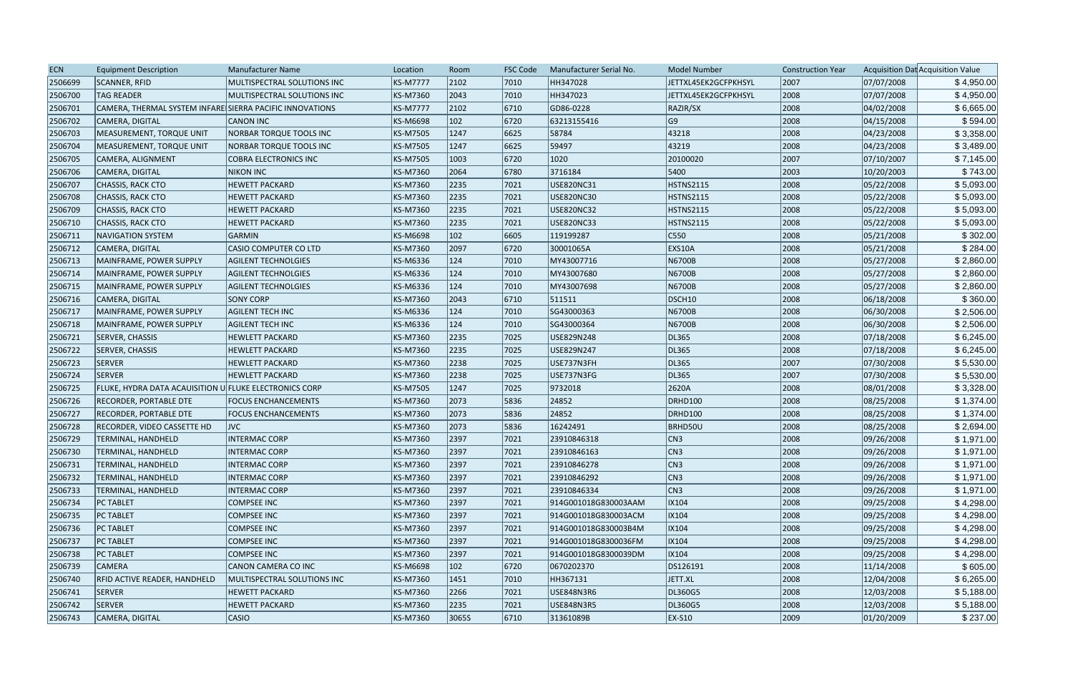| <b>ECN</b> | <b>Equipment Description</b>                             | Manufacturer Name              | Location        | Room          | <b>FSC Code</b> | Manufacturer Serial No. | <b>Model Number</b>  | <b>Construction Year</b> |            | Acquisition Dat Acquisition Value |
|------------|----------------------------------------------------------|--------------------------------|-----------------|---------------|-----------------|-------------------------|----------------------|--------------------------|------------|-----------------------------------|
| 2506699    | SCANNER, RFID                                            | MULTISPECTRAL SOLUTIONS INC    | <b>KS-M7777</b> | 2102          | 7010            | HH347028                | JETTXL45EK2GCFPKHSYL | 2007                     | 07/07/2008 | \$4,950.00                        |
| 2506700    | <b>TAG READER</b>                                        | MULTISPECTRAL SOLUTIONS INC    | <b>KS-M7360</b> | 2043          | 7010            | HH347023                | JETTXL45EK2GCFPKHSYL | 2008                     | 07/07/2008 | \$4,950.00                        |
| 2506701    | CAMERA, THERMAL SYSTEM INFARE SIERRA PACIFIC INNOVATIONS |                                | <b>KS-M7777</b> | 2102          | 6710            | GD86-0228               | RAZIR/SX             | 2008                     | 04/02/2008 | \$6,665.00                        |
| 2506702    | CAMERA, DIGITAL                                          | <b>CANON INC</b>               | <b>KS-M6698</b> | $ 102\rangle$ | 6720            | 63213155416             | G9                   | 2008                     | 04/15/2008 | \$594.00                          |
| 2506703    | MEASUREMENT, TORQUE UNIT                                 | NORBAR TORQUE TOOLS INC        | <b>KS-M7505</b> | 1247          | 6625            | 58784                   | 43218                | 2008                     | 04/23/2008 | \$3,358.00                        |
| 2506704    | MEASUREMENT, TORQUE UNIT                                 | <b>NORBAR TORQUE TOOLS INC</b> | <b>KS-M7505</b> | 1247          | 6625            | 59497                   | 43219                | 2008                     | 04/23/2008 | \$3,489.00                        |
| 2506705    | CAMERA, ALIGNMENT                                        | <b>COBRA ELECTRONICS INC</b>   | KS-M7505        | 1003          | 6720            | 1020                    | 20100020             | 2007                     | 07/10/2007 | \$7,145.00                        |
| 2506706    | CAMERA, DIGITAL                                          | <b>NIKON INC</b>               | KS-M7360        | 2064          | 6780            | 3716184                 | 5400                 | 2003                     | 10/20/2003 | \$743.00                          |
| 2506707    | <b>CHASSIS, RACK CTO</b>                                 | <b>HEWETT PACKARD</b>          | <b>KS-M7360</b> | 2235          | 7021            | USE820NC31              | HSTNS2115            | 2008                     | 05/22/2008 | \$5,093.00                        |
| 2506708    | <b>CHASSIS, RACK CTO</b>                                 | <b>HEWETT PACKARD</b>          | <b>KS-M7360</b> | 2235          | 7021            | USE820NC30              | HSTNS2115            | 2008                     | 05/22/2008 | \$5,093.00                        |
| 2506709    | <b>CHASSIS, RACK CTO</b>                                 | <b>HEWETT PACKARD</b>          | KS-M7360        | 2235          | 7021            | USE820NC32              | HSTNS2115            | 2008                     | 05/22/2008 | \$5,093.00                        |
| 2506710    | <b>CHASSIS, RACK CTO</b>                                 | <b>HEWETT PACKARD</b>          | KS-M7360        | 2235          | 7021            | <b>USE820NC33</b>       | HSTNS2115            | 2008                     | 05/22/2008 | \$5,093.00                        |
| 2506711    | <b>NAVIGATION SYSTEM</b>                                 | <b>GARMIN</b>                  | <b>KS-M6698</b> | 102           | 6605            | 119199287               | C550                 | 2008                     | 05/21/2008 | \$302.00                          |
| 2506712    | CAMERA, DIGITAL                                          | <b>CASIO COMPUTER CO LTD</b>   | <b>KS-M7360</b> | 2097          | 6720            | 30001065A               | EXS10A               | 2008                     | 05/21/2008 | \$284.00                          |
| 2506713    | MAINFRAME, POWER SUPPLY                                  | <b>AGILENT TECHNOLGIES</b>     | KS-M6336        | 124           | 7010            | MY43007716              | N6700B               | 2008                     | 05/27/2008 | \$2,860.00                        |
| 2506714    | MAINFRAME, POWER SUPPLY                                  | <b>AGILENT TECHNOLGIES</b>     | KS-M6336        | 124           | 7010            | MY43007680              | N6700B               | 2008                     | 05/27/2008 | \$2,860.00                        |
| 2506715    | MAINFRAME, POWER SUPPLY                                  | <b>AGILENT TECHNOLGIES</b>     | <b>KS-M6336</b> | 124           | 7010            | MY43007698              | N6700B               | 2008                     | 05/27/2008 | \$2,860.00                        |
| 2506716    | CAMERA, DIGITAL                                          | <b>SONY CORP</b>               | <b>KS-M7360</b> | 2043          | 6710            | 511511                  | DSCH <sub>10</sub>   | 2008                     | 06/18/2008 | \$360.00                          |
| 2506717    | MAINFRAME, POWER SUPPLY                                  | <b>AGILENT TECH INC</b>        | <b>KS-M6336</b> | 124           | 7010            | SG43000363              | N6700B               | 2008                     | 06/30/2008 | \$2,506.00                        |
| 2506718    | MAINFRAME, POWER SUPPLY                                  | <b>AGILENT TECH INC</b>        | KS-M6336        | 124           | 7010            | SG43000364              | N6700B               | 2008                     | 06/30/2008 | \$2,506.00                        |
| 2506721    | SERVER, CHASSIS                                          | <b>HEWLETT PACKARD</b>         | <b>KS-M7360</b> | 2235          | 7025            | USE829N248              | DL365                | 2008                     | 07/18/2008 | \$6,245.00                        |
| 2506722    | SERVER, CHASSIS                                          | <b>HEWLETT PACKARD</b>         | <b>KS-M7360</b> | 2235          | 7025            | USE829N247              | DL365                | 2008                     | 07/18/2008 | \$6,245.00                        |
| 2506723    | <b>SERVER</b>                                            | <b>HEWLETT PACKARD</b>         | <b>KS-M7360</b> | 2238          | 7025            | USE737N3FH              | DL365                | 2007                     | 07/30/2008 | \$5,530.00                        |
| 2506724    | <b>SERVER</b>                                            | <b>HEWLETT PACKARD</b>         | <b>KS-M7360</b> | 2238          | 7025            | USE737N3FG              | DL365                | 2007                     | 07/30/2008 | \$5,530.00                        |
| 2506725    | FLUKE, HYDRA DATA ACAUISITION U FLUKE ELECTRONICS CORP   |                                | <b>KS-M7505</b> | 1247          | 7025            | 9732018                 | 2620A                | 2008                     | 08/01/2008 | \$3,328.00                        |
| 2506726    | RECORDER, PORTABLE DTE                                   | <b>FOCUS ENCHANCEMENTS</b>     | <b>KS-M7360</b> | 2073          | 5836            | 24852                   | DRHD100              | 2008                     | 08/25/2008 | \$1,374.00                        |
| 2506727    | RECORDER, PORTABLE DTE                                   | <b>FOCUS ENCHANCEMENTS</b>     | <b>KS-M7360</b> | 2073          | 5836            | 24852                   | DRHD100              | 2008                     | 08/25/2008 | \$1,374.00                        |
| 2506728    | <b>RECORDER, VIDEO CASSETTE HD</b>                       | <b>JVC</b>                     | KS-M7360        | 2073          | 5836            | 16242491                | <b>BRHD50U</b>       | 2008                     | 08/25/2008 | \$2,694.00                        |
| 2506729    | TERMINAL, HANDHELD                                       | <b>INTERMAC CORP</b>           | <b>KS-M7360</b> | 2397          | 7021            | 23910846318             | CN3                  | 2008                     | 09/26/2008 | \$1,971.00                        |
| 2506730    | <b>TERMINAL, HANDHELD</b>                                | <b>INTERMAC CORP</b>           | KS-M7360        | 2397          | 7021            | 23910846163             | CN3                  | 2008                     | 09/26/2008 | \$1,971.00                        |
| 2506731    | TERMINAL, HANDHELD                                       | <b>INTERMAC CORP</b>           | KS-M7360        | 2397          | 7021            | 23910846278             | CN3                  | 2008                     | 09/26/2008 | \$1,971.00                        |
| 2506732    | TERMINAL, HANDHELD                                       | <b>INTERMAC CORP</b>           | KS-M7360        | 2397          | 7021            | 23910846292             | CN3                  | 2008                     | 09/26/2008 | \$1,971.00                        |
| 2506733    | <b>TERMINAL, HANDHELD</b>                                | <b>INTERMAC CORP</b>           | <b>KS-M7360</b> | 2397          | 7021            | 23910846334             | CN3                  | 2008                     | 09/26/2008 | \$1,971.00                        |
| 2506734    | <b>PC TABLET</b>                                         | <b>COMPSEE INC</b>             | <b>KS-M7360</b> | 2397          | 7021            | 914G001018G830003AAM    | IX104                | 2008                     | 09/25/2008 | \$4,298.00                        |
| 2506735    | <b>PC TABLET</b>                                         | <b>COMPSEE INC</b>             | <b>KS-M7360</b> | 2397          | 7021            | 914G001018G830003ACM    | IX104                | 2008                     | 09/25/2008 | \$4,298.00                        |
| 2506736    | <b>PC TABLET</b>                                         | <b>COMPSEE INC</b>             | <b>KS-M7360</b> | 2397          | 7021            | 914G001018G830003B4M    | IX104                | 2008                     | 09/25/2008 | \$4,298.00                        |
| 2506737    | <b>PC TABLET</b>                                         | <b>COMPSEE INC</b>             | <b>KS-M7360</b> | 2397          | 7021            | 914G001018G8300036FM    | IX104                | 2008                     | 09/25/2008 | \$4,298.00                        |
| 2506738    | <b>PC TABLET</b>                                         | <b>COMPSEE INC</b>             | <b>KS-M7360</b> | 2397          | 7021            | 914G001018G8300039DM    | IX104                | 2008                     | 09/25/2008 | \$4,298.00                        |
| 2506739    | <b>CAMERA</b>                                            | CANON CAMERA CO INC            | <b>KS-M6698</b> | $ 102\rangle$ | 6720            | 0670202370              | DS126191             | 2008                     | 11/14/2008 | \$605.00                          |
| 2506740    | <b>RFID ACTIVE READER, HANDHELD</b>                      | MULTISPECTRAL SOLUTIONS INC    | <b>KS-M7360</b> | 1451          | 7010            | HH367131                | JETT.XL              | 2008                     | 12/04/2008 | \$6,265.00                        |
| 2506741    | <b>SERVER</b>                                            | <b>HEWETT PACKARD</b>          | <b>KS-M7360</b> | 2266          | 7021            | USE848N3R6              | DL360G5              | 2008                     | 12/03/2008 | \$5,188.00                        |
| 2506742    | <b>SERVER</b>                                            | <b>HEWETT PACKARD</b>          | <b>KS-M7360</b> | 2235          | 7021            | USE848N3R5              | DL360G5              | 2008                     | 12/03/2008 | \$5,188.00                        |
| 2506743    | CAMERA, DIGITAL                                          | <b>CASIO</b>                   | KS-M7360        | 30655         | 6710            | 31361089B               | $EX-S10$             | 2009                     | 01/20/2009 | \$237.00                          |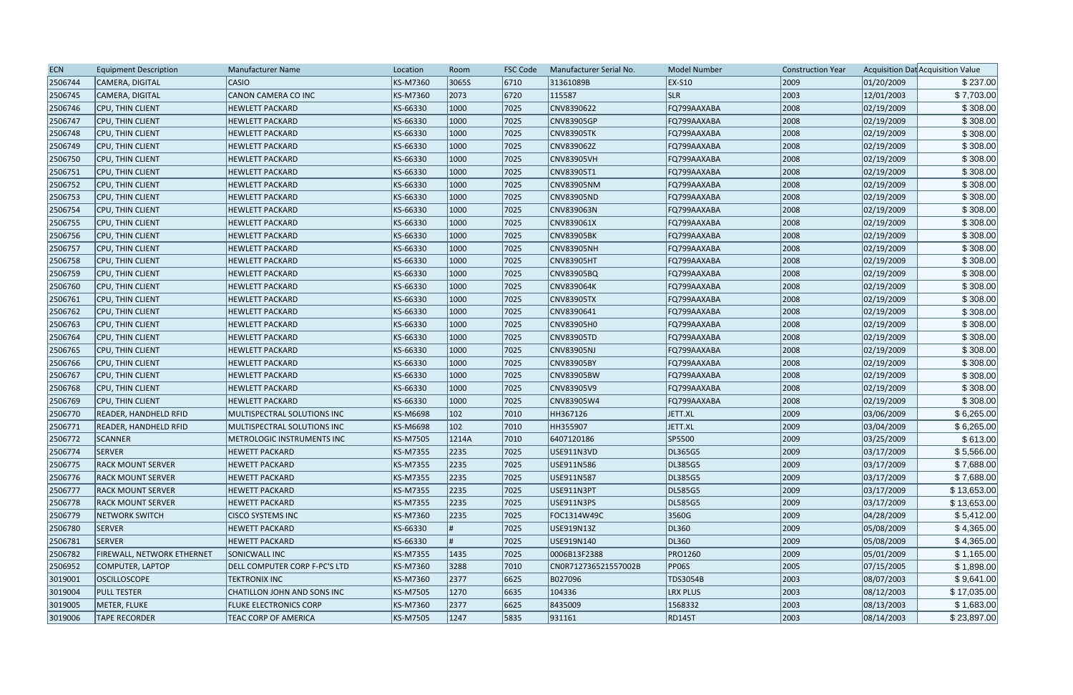| <b>ECN</b> | <b>Equipment Description</b>      | <b>Manufacturer Name</b>      | Location        | Room          | <b>FSC Code</b> | Manufacturer Serial No. | <b>Model Number</b> | <b>Construction Year</b> |            | Acquisition Dat Acquisition Value |
|------------|-----------------------------------|-------------------------------|-----------------|---------------|-----------------|-------------------------|---------------------|--------------------------|------------|-----------------------------------|
| 2506744    | CAMERA, DIGITAL                   | CASIO                         | KS-M7360        | 3065S         | 6710            | 31361089B               | <b>EX-S10</b>       | 2009                     | 01/20/2009 | \$237.00                          |
| 2506745    | CAMERA, DIGITAL                   | CANON CAMERA CO INC           | KS-M7360        | 2073          | 6720            | 115587                  | <b>SLR</b>          | 2003                     | 12/01/2003 | \$7,703.00                        |
| 2506746    | CPU, THIN CLIENT                  | <b>HEWLETT PACKARD</b>        | KS-66330        | 1000          | 7025            | CNV8390622              | FQ799AAXABA         | 2008                     | 02/19/2009 | \$308.00                          |
| 2506747    | CPU, THIN CLIENT                  | <b>HEWLETT PACKARD</b>        | KS-66330        | 1000          | 7025            | <b>CNV83905GP</b>       | FQ799AAXABA         | 2008                     | 02/19/2009 | \$308.00                          |
| 2506748    | CPU, THIN CLIENT                  | <b>HEWLETT PACKARD</b>        | KS-66330        | 1000          | 7025            | <b>CNV83905TK</b>       | FQ799AAXABA         | 2008                     | 02/19/2009 | \$308.00                          |
| 2506749    | CPU, THIN CLIENT                  | <b>HEWLETT PACKARD</b>        | KS-66330        | 1000          | 7025            | CNV839062Z              | FQ799AAXABA         | 2008                     | 02/19/2009 | \$308.00                          |
| 2506750    | CPU, THIN CLIENT                  | <b>HEWLETT PACKARD</b>        | KS-66330        | 1000          | 7025            | <b>CNV83905VH</b>       | FQ799AAXABA         | 2008                     | 02/19/2009 | \$308.00                          |
| 2506751    | CPU, THIN CLIENT                  | <b>HEWLETT PACKARD</b>        | KS-66330        | 1000          | 7025            | CNV83905T1              | FQ799AAXABA         | 2008                     | 02/19/2009 | \$308.00                          |
| 2506752    | CPU, THIN CLIENT                  | <b>HEWLETT PACKARD</b>        | KS-66330        | 1000          | 7025            | <b>CNV83905NM</b>       | FQ799AAXABA         | 2008                     | 02/19/2009 | \$308.00                          |
| 2506753    | CPU, THIN CLIENT                  | <b>HEWLETT PACKARD</b>        | KS-66330        | 1000          | 7025            | CNV83905ND              | FQ799AAXABA         | 2008                     | 02/19/2009 | \$308.00                          |
| 2506754    | <b>CPU, THIN CLIENT</b>           | <b>HEWLETT PACKARD</b>        | KS-66330        | 1000          | 7025            | CNV839063N              | FQ799AAXABA         | 2008                     | 02/19/2009 | \$308.00                          |
| 2506755    | CPU, THIN CLIENT                  | <b>HEWLETT PACKARD</b>        | KS-66330        | 1000          | 7025            | CNV839061X              | FQ799AAXABA         | 2008                     | 02/19/2009 | \$308.00                          |
| 2506756    | CPU, THIN CLIENT                  | <b>HEWLETT PACKARD</b>        | KS-66330        | 1000          | 7025            | <b>CNV83905BK</b>       | FQ799AAXABA         | 2008                     | 02/19/2009 | \$308.00                          |
| 2506757    | CPU, THIN CLIENT                  | <b>HEWLETT PACKARD</b>        | KS-66330        | 1000          | 7025            | <b>CNV83905NH</b>       | FQ799AAXABA         | 2008                     | 02/19/2009 | \$308.00                          |
| 2506758    | CPU, THIN CLIENT                  | <b>HEWLETT PACKARD</b>        | KS-66330        | 1000          | 7025            | <b>CNV83905HT</b>       | FQ799AAXABA         | 2008                     | 02/19/2009 | \$308.00                          |
| 2506759    | <b>CPU, THIN CLIENT</b>           | <b>HEWLETT PACKARD</b>        | KS-66330        | 1000          | 7025            | CNV83905BQ              | FQ799AAXABA         | 2008                     | 02/19/2009 | \$308.00                          |
| 2506760    | <b>CPU, THIN CLIENT</b>           | <b>HEWLETT PACKARD</b>        | KS-66330        | 1000          | 7025            | CNV839064K              | FQ799AAXABA         | 2008                     | 02/19/2009 | \$308.00                          |
| 2506761    | <b>CPU, THIN CLIENT</b>           | <b>HEWLETT PACKARD</b>        | KS-66330        | 1000          | 7025            | CNV83905TX              | FQ799AAXABA         | 2008                     | 02/19/2009 | \$308.00                          |
| 2506762    | CPU, THIN CLIENT                  | <b>HEWLETT PACKARD</b>        | KS-66330        | 1000          | 7025            | CNV8390641              | FQ799AAXABA         | 2008                     | 02/19/2009 | \$308.00                          |
| 2506763    | CPU, THIN CLIENT                  | <b>HEWLETT PACKARD</b>        | KS-66330        | 1000          | 7025            | CNV83905H0              | FQ799AAXABA         | 2008                     | 02/19/2009 | \$308.00                          |
| 2506764    | CPU, THIN CLIENT                  | <b>HEWLETT PACKARD</b>        | KS-66330        | 1000          | 7025            | CNV83905TD              | FQ799AAXABA         | 2008                     | 02/19/2009 | \$308.00                          |
| 2506765    | CPU, THIN CLIENT                  | <b>HEWLETT PACKARD</b>        | KS-66330        | 1000          | 7025            | CNV83905NJ              | FQ799AAXABA         | 2008                     | 02/19/2009 | \$308.00                          |
| 2506766    | CPU, THIN CLIENT                  | <b>HEWLETT PACKARD</b>        | KS-66330        | 1000          | 7025            | CNV83905BY              | FQ799AAXABA         | 2008                     | 02/19/2009 | \$308.00                          |
| 2506767    | <b>CPU, THIN CLIENT</b>           | <b>HEWLETT PACKARD</b>        | KS-66330        | 1000          | 7025            | <b>CNV83905BW</b>       | FQ799AAXABA         | 2008                     | 02/19/2009 | \$308.00                          |
| 2506768    | CPU, THIN CLIENT                  | <b>HEWLETT PACKARD</b>        | KS-66330        | 1000          | 7025            | CNV83905V9              | FQ799AAXABA         | 2008                     | 02/19/2009 | \$308.00                          |
| 2506769    | CPU, THIN CLIENT                  | <b>HEWLETT PACKARD</b>        | KS-66330        | 1000          | 7025            | CNV83905W4              | FQ799AAXABA         | 2008                     | 02/19/2009 | \$308.00                          |
| 2506770    | <b>READER, HANDHELD RFID</b>      | MULTISPECTRAL SOLUTIONS INC   | KS-M6698        | $ 102\rangle$ | 7010            | HH367126                | JETT.XL             | 2009                     | 03/06/2009 | \$6,265.00                        |
| 2506771    | <b>READER, HANDHELD RFID</b>      | MULTISPECTRAL SOLUTIONS INC   | KS-M6698        | $ 102\rangle$ | 7010            | HH355907                | JETT.XL             | 2009                     | 03/04/2009 | \$6,265.00                        |
| 2506772    | SCANNER                           | METROLOGIC INSTRUMENTS INC    | KS-M7505        | 1214A         | 7010            | 6407120186              | SP5500              | 2009                     | 03/25/2009 | \$613.00                          |
| 2506774    | SERVER                            | <b>HEWETT PACKARD</b>         | KS-M7355        | 2235          | 7025            | USE911N3VD              | DL365G5             | 2009                     | 03/17/2009 | \$5,566.00                        |
| 2506775    | <b>RACK MOUNT SERVER</b>          | <b>HEWETT PACKARD</b>         | KS-M7355        | 2235          | 7025            | USE911N586              | DL385G5             | 2009                     | 03/17/2009 | \$7,688.00                        |
| 2506776    | <b>RACK MOUNT SERVER</b>          | <b>HEWETT PACKARD</b>         | KS-M7355        | 2235          | 7025            | USE911N587              | DL385G5             | 2009                     | 03/17/2009 | \$7,688.00                        |
| 2506777    | <b>RACK MOUNT SERVER</b>          | <b>HEWETT PACKARD</b>         | KS-M7355        | 2235          | 7025            | USE911N3PT              | DL585G5             | 2009                     | 03/17/2009 | \$13,653.00                       |
| 2506778    | <b>RACK MOUNT SERVER</b>          | <b>HEWETT PACKARD</b>         | KS-M7355        | 2235          | 7025            | USE911N3PS              | DL585G5             | 2009                     | 03/17/2009 | \$13,653.00                       |
| 2506779    | <b>NETWORK SWITCH</b>             | <b>CISCO SYSTEMS INC</b>      | KS-M7360        | 2235          | 7025            | FOC1314W49C             | 3560G               | 2009                     | 04/28/2009 | \$5,412.00                        |
| 2506780    | <b>SERVER</b>                     | <b>HEWETT PACKARD</b>         | KS-66330        |               | 7025            | USE919N13Z              | DL360               | 2009                     | 05/08/2009 | \$4,365.00                        |
| 2506781    | SERVER                            | <b>HEWETT PACKARD</b>         | KS-66330        |               | 7025            | USE919N140              | DL360               | 2009                     | 05/08/2009 | \$4,365.00                        |
| 2506782    | <b>FIREWALL, NETWORK ETHERNET</b> | SONICWALL INC                 | <b>KS-M7355</b> | 1435          | 7025            | 0006B13F2388            | <b>PRO1260</b>      | 2009                     | 05/01/2009 | \$1,165.00                        |
| 2506952    | COMPUTER, LAPTOP                  | DELL COMPUTER CORP F-PC'S LTD | KS-M7360        | 3288          | 7010            | CN0R712736521557002B    | <b>PP06S</b>        | 2005                     | 07/15/2005 | \$1,898.00                        |
| 3019001    | <b>OSCILLOSCOPE</b>               | <b>TEKTRONIX INC</b>          | KS-M7360        | 2377          | 6625            | B027096                 | TDS3054B            | 2003                     | 08/07/2003 | \$9,641.00                        |
| 3019004    | <b>PULL TESTER</b>                | CHATILLON JOHN AND SONS INC   | KS-M7505        | 1270          | 6635            | 104336                  | <b>LRX PLUS</b>     | 2003                     | 08/12/2003 | \$17,035.00                       |
| 3019005    | METER, FLUKE                      | <b>FLUKE ELECTRONICS CORP</b> | KS-M7360        | 2377          | 6625            | 8435009                 | 1568332             | 2003                     | 08/13/2003 | \$1,683.00                        |
| 3019006    | <b>TAPE RECORDER</b>              | TEAC CORP OF AMERICA          | KS-M7505        | 1247          | 5835            | 931161                  | <b>RD145T</b>       | 2003                     | 08/14/2003 | \$23,897.00                       |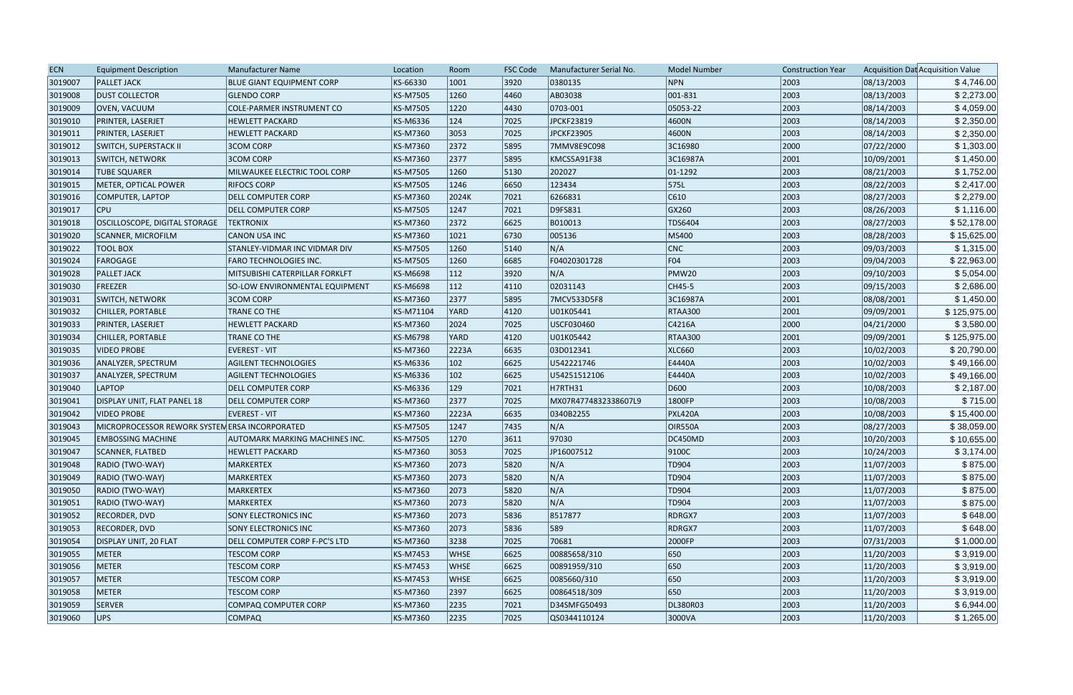| KS-66330<br> 3920 <br>NPN<br>08/13/2003<br>3019007<br><b>PALLET JACK</b><br><b>BLUE GIANT EQUIPMENT CORP</b><br>1001<br>0380135<br>2003<br>\$4,746.00<br>001-831<br>2003<br>3019008<br><b>DUST COLLECTOR</b><br>KS-M7505<br>1260<br>4460<br>AB03038<br>08/13/2003<br>\$2,273.00<br>GLENDO CORP<br>3019009<br>0703-001<br>2003<br>08/14/2003<br>\$4,059.00<br>OVEN, VACUUM<br>COLE-PARMER INSTRUMENT CO<br>KS-M7505<br>1220<br>4430<br>05053-22<br>124<br>7025<br>JPCKF23819<br>4600N<br>2003<br>08/14/2003<br>\$2,350.00<br>3019010<br><b>PRINTER, LASERJET</b><br><b>HEWLETT PACKARD</b><br>KS-M6336<br>3053<br>2003<br>3019011<br><b>PRINTER, LASERJET</b><br><b>HEWLETT PACKARD</b><br>KS-M7360<br>7025<br>JPCKF23905<br>4600N<br>08/14/2003<br>\$2,350.00<br>\$1,303.00<br><b>3COM CORP</b><br>2372<br>3C16980<br>2000<br>07/22/2000<br>3019012<br><b>SWITCH, SUPERSTACK II</b><br>KS-M7360<br>5895<br>7MMV8E9C098<br>KS-M7360<br>2377<br>5895<br>2001<br>10/09/2001<br>\$1,450.00<br>3019013<br><b>SWITCH, NETWORK</b><br><b>3COM CORP</b><br>KMCS5A91F38<br>3C16987A<br>\$1,752.00<br>3019014<br> 5130<br>202027<br>$ 01-1292\rangle$<br>2003<br>08/21/2003<br><b>TUBE SQUARER</b><br>MILWAUKEE ELECTRIC TOOL CORP<br>KS-M7505<br>1260<br>2003<br>575L<br>08/22/2003<br>3019015<br>METER, OPTICAL POWER<br><b>RIFOCS CORP</b><br>KS-M7505<br>1246<br>6650<br>123434<br>\$2,417.00<br>\$2,279.00<br>3019016<br>KS-M7360<br>6266831<br> C610<br>2003<br>08/27/2003<br>COMPUTER, LAPTOP<br><b>DELL COMPUTER CORP</b><br>2024K<br> 7021<br>D9FS831<br>GX260<br>2003<br>\$1,116.00<br>3019017<br><b>CPU</b><br>KS-M7505<br>1247<br> 7021<br>08/26/2003<br><b>DELL COMPUTER CORP</b><br>2372<br>6625<br>2003<br>3019018<br>OSCILLOSCOPE, DIGITAL STORAGE<br>KS-M7360<br>B010013<br>TDS6404<br>08/27/2003<br>\$52,178.00<br><b>TEKTRONIX</b><br>6730<br>2003<br>08/28/2003<br>\$15,625.00<br>3019020<br>KS-M7360<br>1021<br>005136<br>MS400<br><b>SCANNER, MICROFILM</b><br><b>CANON USA INC</b><br>5140<br>N/A<br> CNC <br>2003<br>09/03/2003<br>\$1,315.00<br>3019022<br><b>TOOL BOX</b><br>STANLEY-VIDMAR INC VIDMAR DIV<br>KS-M7505<br>1260<br> FO4<br>\$22,963.00<br>6685<br>F04020301728<br>2003<br>09/04/2003<br>3019024<br>FAROGAGE<br><b>FARO TECHNOLOGIES INC.</b><br>KS-M7505<br>1260<br>N/A<br>112<br> 3920 <br>PMW20<br>2003<br>3019028<br><b>PALLET JACK</b><br>KS-M6698<br>09/10/2003<br>\$5,054.00<br>MITSUBISHI CATERPILLAR FORKLFT<br>3019030<br>2003<br>\$2,686.00<br>FREEZER<br>KS-M6698<br>112<br>$ 4110\rangle$<br>02031143<br>CH45-5<br>09/15/2003<br>SO-LOW ENVIRONMENTAL EQUIPMENT<br>2001<br>\$1,450.00<br>3019031<br><b>SWITCH, NETWORK</b><br>3COM CORP<br>KS-M7360<br>2377<br>5895<br>7MCV533D5F8<br>3C16987A<br>08/08/2001<br>2001<br>3019032<br>4120<br><b>RTAA300</b><br>09/09/2001<br>CHILLER, PORTABLE<br>TRANE CO THE<br>KS-M71104<br>YARD<br>U01K05441<br>\$125,975.00<br>\$3,580.00<br>3019033<br><b>PRINTER, LASERJET</b><br><b>HEWLETT PACKARD</b><br>KS-M7360<br>2024<br>7025<br>USCF030460<br>C4216A<br>2000<br>04/21/2000<br>2001<br>\$125,975.00<br>3019034<br>CHILLER, PORTABLE<br>TRANE CO THE<br>KS-M6798<br>4120<br>U01K05442<br><b>RTAA300</b><br>09/09/2001<br>YARD<br>\$20,790.00<br>3019035<br>6635<br>2003<br>10/02/2003<br><b>VIDEO PROBE</b><br><b>EVEREST - VIT</b><br>KS-M7360<br>2223A<br>03D012341<br><b>XLC660</b><br>102<br>2003<br>3019036<br>ANALYZER, SPECTRUM<br><b>AGILENT TECHNOLOGIES</b><br>KS-M6336<br>6625<br>U542221746<br>E4440A<br>10/02/2003<br>\$49,166.00<br>102<br>2003<br>\$49,166.00<br>3019037<br>KS-M6336<br>6625<br>U54251512106<br>E4440A<br>10/02/2003<br>ANALYZER, SPECTRUM<br><b>AGILENT TECHNOLOGIES</b><br>\$2,187.00<br>3019040<br><b>LAPTOP</b><br>KS-M6336<br>129<br>H7RTH31<br>D600<br>2003<br>10/08/2003<br> 7021<br><b>DELL COMPUTER CORP</b><br>2377<br>7025<br>2003<br>3019041<br>DISPLAY UNIT, FLAT PANEL 18<br><b>DELL COMPUTER CORP</b><br>KS-M7360<br>MX07R4774832338607L9<br>1800FP<br>10/08/2003<br>\$715.00<br>3019042<br><b>VIDEO PROBE</b><br><b>EVEREST - VIT</b><br>6635<br>0340B2255<br>2003<br>10/08/2003<br>KS-M7360<br>2223A<br><b>PXL420A</b><br>\$15,400.00<br>N/A<br>2003<br>\$38,059.00<br>3019043<br>MICROPROCESSOR REWORK SYSTEM ERSA INCORPORATED<br>KS-M7505<br>1247<br> 7435<br><b>OIR550A</b><br>08/27/2003<br>1270<br>97030<br>2003<br>10/20/2003<br>\$10,655.00<br>3019045<br><b>EMBOSSING MACHINE</b><br>KS-M7505<br>3611<br>DC450MD<br>AUTOMARK MARKING MACHINES INC.<br>3053<br>7025<br>JP16007512<br> 9100C<br>2003<br>10/24/2003<br>3019047<br>SCANNER, FLATBED<br><b>HEWLETT PACKARD</b><br>KS-M7360<br>\$3,174.00<br>\$875.00<br>KS-M7360<br>5820<br>N/A<br>TD904<br>2003<br>11/07/2003<br>3019048<br>RADIO (TWO-WAY)<br>MARKERTEX<br>2073<br>N/A<br>\$875.00<br>MARKERTEX<br>KS-M7360<br>2003<br>11/07/2003<br>3019049<br>RADIO (TWO-WAY)<br>2073<br>5820<br>TD904<br>N/A<br>\$875.00<br>2003<br>11/07/2003<br>3019050<br>RADIO (TWO-WAY)<br>MARKERTEX<br>KS-M7360<br>2073<br>5820<br>TD904<br>N/A<br>5820<br>TD904<br>2003<br>11/07/2003<br>\$875.00<br>3019051<br>RADIO (TWO-WAY)<br>MARKERTEX<br>KS-M7360<br>2073<br>8517877<br>RDRGX7<br>2003<br>11/07/2003<br>\$648.00<br>3019052<br>RECORDER, DVD<br><b>SONY ELECTRONICS INC</b><br>KS-M7360<br>2073<br>5836<br>\$648.00<br>11/07/2003<br>3019053<br>RECORDER, DVD<br><b>SONY ELECTRONICS INC</b><br>KS-M7360<br>2073<br>5836<br>589<br>RDRGX7<br>2003<br>3019054<br>7025<br>70681<br>2000FP<br>2003<br>07/31/2003<br>\$1,000.00<br>DISPLAY UNIT, 20 FLAT<br>DELL COMPUTER CORP F-PC'S LTD<br>KS-M7360<br>3238<br>\$3,919.00<br>6625<br>00885658/310<br>650<br>2003<br>11/20/2003<br>3019055<br>METER<br><b>TESCOM CORP</b><br>KS-M7453<br><b>WHSE</b><br>650<br>\$3,919.00<br>3019056<br>METER<br><b>TESCOM CORP</b><br>KS-M7453<br>6625<br>00891959/310<br>2003<br>11/20/2003<br><b>WHSE</b><br>METER<br>650<br>11/20/2003<br>3019057<br><b>TESCOM CORP</b><br>KS-M7453<br><b>WHSE</b><br>6625<br>0085660/310<br>2003<br>650<br>2003<br>\$3,919.00<br>3019058<br>METER<br><b>TESCOM CORP</b><br>KS-M7360<br>2397<br> 6625 <br>00864518/309<br>11/20/2003<br>DL380R03<br>\$6,944.00<br>3019059<br>SERVER<br>COMPAQ COMPUTER CORP<br>KS-M7360<br>2235<br> 7021<br>D34SMFG50493<br>2003<br>11/20/2003 | <b>ECN</b> | <b>Equipment Description</b> | <b>Manufacturer Name</b> | Location | Room | <b>FSC Code</b> | Manufacturer Serial No. | <b>Model Number</b> | <b>Construction Year</b> | Acquisition Dat Acquisition Value |
|----------------------------------------------------------------------------------------------------------------------------------------------------------------------------------------------------------------------------------------------------------------------------------------------------------------------------------------------------------------------------------------------------------------------------------------------------------------------------------------------------------------------------------------------------------------------------------------------------------------------------------------------------------------------------------------------------------------------------------------------------------------------------------------------------------------------------------------------------------------------------------------------------------------------------------------------------------------------------------------------------------------------------------------------------------------------------------------------------------------------------------------------------------------------------------------------------------------------------------------------------------------------------------------------------------------------------------------------------------------------------------------------------------------------------------------------------------------------------------------------------------------------------------------------------------------------------------------------------------------------------------------------------------------------------------------------------------------------------------------------------------------------------------------------------------------------------------------------------------------------------------------------------------------------------------------------------------------------------------------------------------------------------------------------------------------------------------------------------------------------------------------------------------------------------------------------------------------------------------------------------------------------------------------------------------------------------------------------------------------------------------------------------------------------------------------------------------------------------------------------------------------------------------------------------------------------------------------------------------------------------------------------------------------------------------------------------------------------------------------------------------------------------------------------------------------------------------------------------------------------------------------------------------------------------------------------------------------------------------------------------------------------------------------------------------------------------------------------------------------------------------------------------------------------------------------------------------------------------------------------------------------------------------------------------------------------------------------------------------------------------------------------------------------------------------------------------------------------------------------------------------------------------------------------------------------------------------------------------------------------------------------------------------------------------------------------------------------------------------------------------------------------------------------------------------------------------------------------------------------------------------------------------------------------------------------------------------------------------------------------------------------------------------------------------------------------------------------------------------------------------------------------------------------------------------------------------------------------------------------------------------------------------------------------------------------------------------------------------------------------------------------------------------------------------------------------------------------------------------------------------------------------------------------------------------------------------------------------------------------------------------------------------------------------------------------------------------------------------------------------------------------------------------------------------------------------------------------------------------------------------------------------------------------------------------------------------------------------------------------------------------------------------------------------------------------------------------------------------------------------------------------------------------------------------------------------------------------------------------------------------------------------------------------------------------------------------------------------------------------------------------------------------------------------------------------------------------------------------------------------------------------------------------------------------------------------------------------------------------------------------------------------------------------------------------------------------------------------------------------------------------------------------------------------------------------------------------------------------------------------------------------------------------------------------------------------------------------------------------------------------------------------------------------------------------------------------------------------------------------------------------------------------------------------------------------------------------------------------------------------------------------------------------------------|------------|------------------------------|--------------------------|----------|------|-----------------|-------------------------|---------------------|--------------------------|-----------------------------------|
|                                                                                                                                                                                                                                                                                                                                                                                                                                                                                                                                                                                                                                                                                                                                                                                                                                                                                                                                                                                                                                                                                                                                                                                                                                                                                                                                                                                                                                                                                                                                                                                                                                                                                                                                                                                                                                                                                                                                                                                                                                                                                                                                                                                                                                                                                                                                                                                                                                                                                                                                                                                                                                                                                                                                                                                                                                                                                                                                                                                                                                                                                                                                                                                                                                                                                                                                                                                                                                                                                                                                                                                                                                                                                                                                                                                                                                                                                                                                                                                                                                                                                                                                                                                                                                                                                                                                                                                                                                                                                                                                                                                                                                                                                                                                                                                                                                                                                                                                                                                                                                                                                                                                                                                                                                                                                                                                                                                                                                                                                                                                                                                                                                                                                                                                                                                                                                                                                                                                                                                                                                                                                                                                                                                                                                                                                              |            |                              |                          |          |      |                 |                         |                     |                          |                                   |
|                                                                                                                                                                                                                                                                                                                                                                                                                                                                                                                                                                                                                                                                                                                                                                                                                                                                                                                                                                                                                                                                                                                                                                                                                                                                                                                                                                                                                                                                                                                                                                                                                                                                                                                                                                                                                                                                                                                                                                                                                                                                                                                                                                                                                                                                                                                                                                                                                                                                                                                                                                                                                                                                                                                                                                                                                                                                                                                                                                                                                                                                                                                                                                                                                                                                                                                                                                                                                                                                                                                                                                                                                                                                                                                                                                                                                                                                                                                                                                                                                                                                                                                                                                                                                                                                                                                                                                                                                                                                                                                                                                                                                                                                                                                                                                                                                                                                                                                                                                                                                                                                                                                                                                                                                                                                                                                                                                                                                                                                                                                                                                                                                                                                                                                                                                                                                                                                                                                                                                                                                                                                                                                                                                                                                                                                                              |            |                              |                          |          |      |                 |                         |                     |                          |                                   |
|                                                                                                                                                                                                                                                                                                                                                                                                                                                                                                                                                                                                                                                                                                                                                                                                                                                                                                                                                                                                                                                                                                                                                                                                                                                                                                                                                                                                                                                                                                                                                                                                                                                                                                                                                                                                                                                                                                                                                                                                                                                                                                                                                                                                                                                                                                                                                                                                                                                                                                                                                                                                                                                                                                                                                                                                                                                                                                                                                                                                                                                                                                                                                                                                                                                                                                                                                                                                                                                                                                                                                                                                                                                                                                                                                                                                                                                                                                                                                                                                                                                                                                                                                                                                                                                                                                                                                                                                                                                                                                                                                                                                                                                                                                                                                                                                                                                                                                                                                                                                                                                                                                                                                                                                                                                                                                                                                                                                                                                                                                                                                                                                                                                                                                                                                                                                                                                                                                                                                                                                                                                                                                                                                                                                                                                                                              |            |                              |                          |          |      |                 |                         |                     |                          |                                   |
|                                                                                                                                                                                                                                                                                                                                                                                                                                                                                                                                                                                                                                                                                                                                                                                                                                                                                                                                                                                                                                                                                                                                                                                                                                                                                                                                                                                                                                                                                                                                                                                                                                                                                                                                                                                                                                                                                                                                                                                                                                                                                                                                                                                                                                                                                                                                                                                                                                                                                                                                                                                                                                                                                                                                                                                                                                                                                                                                                                                                                                                                                                                                                                                                                                                                                                                                                                                                                                                                                                                                                                                                                                                                                                                                                                                                                                                                                                                                                                                                                                                                                                                                                                                                                                                                                                                                                                                                                                                                                                                                                                                                                                                                                                                                                                                                                                                                                                                                                                                                                                                                                                                                                                                                                                                                                                                                                                                                                                                                                                                                                                                                                                                                                                                                                                                                                                                                                                                                                                                                                                                                                                                                                                                                                                                                                              |            |                              |                          |          |      |                 |                         |                     |                          |                                   |
|                                                                                                                                                                                                                                                                                                                                                                                                                                                                                                                                                                                                                                                                                                                                                                                                                                                                                                                                                                                                                                                                                                                                                                                                                                                                                                                                                                                                                                                                                                                                                                                                                                                                                                                                                                                                                                                                                                                                                                                                                                                                                                                                                                                                                                                                                                                                                                                                                                                                                                                                                                                                                                                                                                                                                                                                                                                                                                                                                                                                                                                                                                                                                                                                                                                                                                                                                                                                                                                                                                                                                                                                                                                                                                                                                                                                                                                                                                                                                                                                                                                                                                                                                                                                                                                                                                                                                                                                                                                                                                                                                                                                                                                                                                                                                                                                                                                                                                                                                                                                                                                                                                                                                                                                                                                                                                                                                                                                                                                                                                                                                                                                                                                                                                                                                                                                                                                                                                                                                                                                                                                                                                                                                                                                                                                                                              |            |                              |                          |          |      |                 |                         |                     |                          |                                   |
|                                                                                                                                                                                                                                                                                                                                                                                                                                                                                                                                                                                                                                                                                                                                                                                                                                                                                                                                                                                                                                                                                                                                                                                                                                                                                                                                                                                                                                                                                                                                                                                                                                                                                                                                                                                                                                                                                                                                                                                                                                                                                                                                                                                                                                                                                                                                                                                                                                                                                                                                                                                                                                                                                                                                                                                                                                                                                                                                                                                                                                                                                                                                                                                                                                                                                                                                                                                                                                                                                                                                                                                                                                                                                                                                                                                                                                                                                                                                                                                                                                                                                                                                                                                                                                                                                                                                                                                                                                                                                                                                                                                                                                                                                                                                                                                                                                                                                                                                                                                                                                                                                                                                                                                                                                                                                                                                                                                                                                                                                                                                                                                                                                                                                                                                                                                                                                                                                                                                                                                                                                                                                                                                                                                                                                                                                              |            |                              |                          |          |      |                 |                         |                     |                          |                                   |
|                                                                                                                                                                                                                                                                                                                                                                                                                                                                                                                                                                                                                                                                                                                                                                                                                                                                                                                                                                                                                                                                                                                                                                                                                                                                                                                                                                                                                                                                                                                                                                                                                                                                                                                                                                                                                                                                                                                                                                                                                                                                                                                                                                                                                                                                                                                                                                                                                                                                                                                                                                                                                                                                                                                                                                                                                                                                                                                                                                                                                                                                                                                                                                                                                                                                                                                                                                                                                                                                                                                                                                                                                                                                                                                                                                                                                                                                                                                                                                                                                                                                                                                                                                                                                                                                                                                                                                                                                                                                                                                                                                                                                                                                                                                                                                                                                                                                                                                                                                                                                                                                                                                                                                                                                                                                                                                                                                                                                                                                                                                                                                                                                                                                                                                                                                                                                                                                                                                                                                                                                                                                                                                                                                                                                                                                                              |            |                              |                          |          |      |                 |                         |                     |                          |                                   |
|                                                                                                                                                                                                                                                                                                                                                                                                                                                                                                                                                                                                                                                                                                                                                                                                                                                                                                                                                                                                                                                                                                                                                                                                                                                                                                                                                                                                                                                                                                                                                                                                                                                                                                                                                                                                                                                                                                                                                                                                                                                                                                                                                                                                                                                                                                                                                                                                                                                                                                                                                                                                                                                                                                                                                                                                                                                                                                                                                                                                                                                                                                                                                                                                                                                                                                                                                                                                                                                                                                                                                                                                                                                                                                                                                                                                                                                                                                                                                                                                                                                                                                                                                                                                                                                                                                                                                                                                                                                                                                                                                                                                                                                                                                                                                                                                                                                                                                                                                                                                                                                                                                                                                                                                                                                                                                                                                                                                                                                                                                                                                                                                                                                                                                                                                                                                                                                                                                                                                                                                                                                                                                                                                                                                                                                                                              |            |                              |                          |          |      |                 |                         |                     |                          |                                   |
|                                                                                                                                                                                                                                                                                                                                                                                                                                                                                                                                                                                                                                                                                                                                                                                                                                                                                                                                                                                                                                                                                                                                                                                                                                                                                                                                                                                                                                                                                                                                                                                                                                                                                                                                                                                                                                                                                                                                                                                                                                                                                                                                                                                                                                                                                                                                                                                                                                                                                                                                                                                                                                                                                                                                                                                                                                                                                                                                                                                                                                                                                                                                                                                                                                                                                                                                                                                                                                                                                                                                                                                                                                                                                                                                                                                                                                                                                                                                                                                                                                                                                                                                                                                                                                                                                                                                                                                                                                                                                                                                                                                                                                                                                                                                                                                                                                                                                                                                                                                                                                                                                                                                                                                                                                                                                                                                                                                                                                                                                                                                                                                                                                                                                                                                                                                                                                                                                                                                                                                                                                                                                                                                                                                                                                                                                              |            |                              |                          |          |      |                 |                         |                     |                          |                                   |
|                                                                                                                                                                                                                                                                                                                                                                                                                                                                                                                                                                                                                                                                                                                                                                                                                                                                                                                                                                                                                                                                                                                                                                                                                                                                                                                                                                                                                                                                                                                                                                                                                                                                                                                                                                                                                                                                                                                                                                                                                                                                                                                                                                                                                                                                                                                                                                                                                                                                                                                                                                                                                                                                                                                                                                                                                                                                                                                                                                                                                                                                                                                                                                                                                                                                                                                                                                                                                                                                                                                                                                                                                                                                                                                                                                                                                                                                                                                                                                                                                                                                                                                                                                                                                                                                                                                                                                                                                                                                                                                                                                                                                                                                                                                                                                                                                                                                                                                                                                                                                                                                                                                                                                                                                                                                                                                                                                                                                                                                                                                                                                                                                                                                                                                                                                                                                                                                                                                                                                                                                                                                                                                                                                                                                                                                                              |            |                              |                          |          |      |                 |                         |                     |                          |                                   |
|                                                                                                                                                                                                                                                                                                                                                                                                                                                                                                                                                                                                                                                                                                                                                                                                                                                                                                                                                                                                                                                                                                                                                                                                                                                                                                                                                                                                                                                                                                                                                                                                                                                                                                                                                                                                                                                                                                                                                                                                                                                                                                                                                                                                                                                                                                                                                                                                                                                                                                                                                                                                                                                                                                                                                                                                                                                                                                                                                                                                                                                                                                                                                                                                                                                                                                                                                                                                                                                                                                                                                                                                                                                                                                                                                                                                                                                                                                                                                                                                                                                                                                                                                                                                                                                                                                                                                                                                                                                                                                                                                                                                                                                                                                                                                                                                                                                                                                                                                                                                                                                                                                                                                                                                                                                                                                                                                                                                                                                                                                                                                                                                                                                                                                                                                                                                                                                                                                                                                                                                                                                                                                                                                                                                                                                                                              |            |                              |                          |          |      |                 |                         |                     |                          |                                   |
|                                                                                                                                                                                                                                                                                                                                                                                                                                                                                                                                                                                                                                                                                                                                                                                                                                                                                                                                                                                                                                                                                                                                                                                                                                                                                                                                                                                                                                                                                                                                                                                                                                                                                                                                                                                                                                                                                                                                                                                                                                                                                                                                                                                                                                                                                                                                                                                                                                                                                                                                                                                                                                                                                                                                                                                                                                                                                                                                                                                                                                                                                                                                                                                                                                                                                                                                                                                                                                                                                                                                                                                                                                                                                                                                                                                                                                                                                                                                                                                                                                                                                                                                                                                                                                                                                                                                                                                                                                                                                                                                                                                                                                                                                                                                                                                                                                                                                                                                                                                                                                                                                                                                                                                                                                                                                                                                                                                                                                                                                                                                                                                                                                                                                                                                                                                                                                                                                                                                                                                                                                                                                                                                                                                                                                                                                              |            |                              |                          |          |      |                 |                         |                     |                          |                                   |
|                                                                                                                                                                                                                                                                                                                                                                                                                                                                                                                                                                                                                                                                                                                                                                                                                                                                                                                                                                                                                                                                                                                                                                                                                                                                                                                                                                                                                                                                                                                                                                                                                                                                                                                                                                                                                                                                                                                                                                                                                                                                                                                                                                                                                                                                                                                                                                                                                                                                                                                                                                                                                                                                                                                                                                                                                                                                                                                                                                                                                                                                                                                                                                                                                                                                                                                                                                                                                                                                                                                                                                                                                                                                                                                                                                                                                                                                                                                                                                                                                                                                                                                                                                                                                                                                                                                                                                                                                                                                                                                                                                                                                                                                                                                                                                                                                                                                                                                                                                                                                                                                                                                                                                                                                                                                                                                                                                                                                                                                                                                                                                                                                                                                                                                                                                                                                                                                                                                                                                                                                                                                                                                                                                                                                                                                                              |            |                              |                          |          |      |                 |                         |                     |                          |                                   |
|                                                                                                                                                                                                                                                                                                                                                                                                                                                                                                                                                                                                                                                                                                                                                                                                                                                                                                                                                                                                                                                                                                                                                                                                                                                                                                                                                                                                                                                                                                                                                                                                                                                                                                                                                                                                                                                                                                                                                                                                                                                                                                                                                                                                                                                                                                                                                                                                                                                                                                                                                                                                                                                                                                                                                                                                                                                                                                                                                                                                                                                                                                                                                                                                                                                                                                                                                                                                                                                                                                                                                                                                                                                                                                                                                                                                                                                                                                                                                                                                                                                                                                                                                                                                                                                                                                                                                                                                                                                                                                                                                                                                                                                                                                                                                                                                                                                                                                                                                                                                                                                                                                                                                                                                                                                                                                                                                                                                                                                                                                                                                                                                                                                                                                                                                                                                                                                                                                                                                                                                                                                                                                                                                                                                                                                                                              |            |                              |                          |          |      |                 |                         |                     |                          |                                   |
|                                                                                                                                                                                                                                                                                                                                                                                                                                                                                                                                                                                                                                                                                                                                                                                                                                                                                                                                                                                                                                                                                                                                                                                                                                                                                                                                                                                                                                                                                                                                                                                                                                                                                                                                                                                                                                                                                                                                                                                                                                                                                                                                                                                                                                                                                                                                                                                                                                                                                                                                                                                                                                                                                                                                                                                                                                                                                                                                                                                                                                                                                                                                                                                                                                                                                                                                                                                                                                                                                                                                                                                                                                                                                                                                                                                                                                                                                                                                                                                                                                                                                                                                                                                                                                                                                                                                                                                                                                                                                                                                                                                                                                                                                                                                                                                                                                                                                                                                                                                                                                                                                                                                                                                                                                                                                                                                                                                                                                                                                                                                                                                                                                                                                                                                                                                                                                                                                                                                                                                                                                                                                                                                                                                                                                                                                              |            |                              |                          |          |      |                 |                         |                     |                          |                                   |
|                                                                                                                                                                                                                                                                                                                                                                                                                                                                                                                                                                                                                                                                                                                                                                                                                                                                                                                                                                                                                                                                                                                                                                                                                                                                                                                                                                                                                                                                                                                                                                                                                                                                                                                                                                                                                                                                                                                                                                                                                                                                                                                                                                                                                                                                                                                                                                                                                                                                                                                                                                                                                                                                                                                                                                                                                                                                                                                                                                                                                                                                                                                                                                                                                                                                                                                                                                                                                                                                                                                                                                                                                                                                                                                                                                                                                                                                                                                                                                                                                                                                                                                                                                                                                                                                                                                                                                                                                                                                                                                                                                                                                                                                                                                                                                                                                                                                                                                                                                                                                                                                                                                                                                                                                                                                                                                                                                                                                                                                                                                                                                                                                                                                                                                                                                                                                                                                                                                                                                                                                                                                                                                                                                                                                                                                                              |            |                              |                          |          |      |                 |                         |                     |                          |                                   |
|                                                                                                                                                                                                                                                                                                                                                                                                                                                                                                                                                                                                                                                                                                                                                                                                                                                                                                                                                                                                                                                                                                                                                                                                                                                                                                                                                                                                                                                                                                                                                                                                                                                                                                                                                                                                                                                                                                                                                                                                                                                                                                                                                                                                                                                                                                                                                                                                                                                                                                                                                                                                                                                                                                                                                                                                                                                                                                                                                                                                                                                                                                                                                                                                                                                                                                                                                                                                                                                                                                                                                                                                                                                                                                                                                                                                                                                                                                                                                                                                                                                                                                                                                                                                                                                                                                                                                                                                                                                                                                                                                                                                                                                                                                                                                                                                                                                                                                                                                                                                                                                                                                                                                                                                                                                                                                                                                                                                                                                                                                                                                                                                                                                                                                                                                                                                                                                                                                                                                                                                                                                                                                                                                                                                                                                                                              |            |                              |                          |          |      |                 |                         |                     |                          |                                   |
|                                                                                                                                                                                                                                                                                                                                                                                                                                                                                                                                                                                                                                                                                                                                                                                                                                                                                                                                                                                                                                                                                                                                                                                                                                                                                                                                                                                                                                                                                                                                                                                                                                                                                                                                                                                                                                                                                                                                                                                                                                                                                                                                                                                                                                                                                                                                                                                                                                                                                                                                                                                                                                                                                                                                                                                                                                                                                                                                                                                                                                                                                                                                                                                                                                                                                                                                                                                                                                                                                                                                                                                                                                                                                                                                                                                                                                                                                                                                                                                                                                                                                                                                                                                                                                                                                                                                                                                                                                                                                                                                                                                                                                                                                                                                                                                                                                                                                                                                                                                                                                                                                                                                                                                                                                                                                                                                                                                                                                                                                                                                                                                                                                                                                                                                                                                                                                                                                                                                                                                                                                                                                                                                                                                                                                                                                              |            |                              |                          |          |      |                 |                         |                     |                          |                                   |
|                                                                                                                                                                                                                                                                                                                                                                                                                                                                                                                                                                                                                                                                                                                                                                                                                                                                                                                                                                                                                                                                                                                                                                                                                                                                                                                                                                                                                                                                                                                                                                                                                                                                                                                                                                                                                                                                                                                                                                                                                                                                                                                                                                                                                                                                                                                                                                                                                                                                                                                                                                                                                                                                                                                                                                                                                                                                                                                                                                                                                                                                                                                                                                                                                                                                                                                                                                                                                                                                                                                                                                                                                                                                                                                                                                                                                                                                                                                                                                                                                                                                                                                                                                                                                                                                                                                                                                                                                                                                                                                                                                                                                                                                                                                                                                                                                                                                                                                                                                                                                                                                                                                                                                                                                                                                                                                                                                                                                                                                                                                                                                                                                                                                                                                                                                                                                                                                                                                                                                                                                                                                                                                                                                                                                                                                                              |            |                              |                          |          |      |                 |                         |                     |                          |                                   |
|                                                                                                                                                                                                                                                                                                                                                                                                                                                                                                                                                                                                                                                                                                                                                                                                                                                                                                                                                                                                                                                                                                                                                                                                                                                                                                                                                                                                                                                                                                                                                                                                                                                                                                                                                                                                                                                                                                                                                                                                                                                                                                                                                                                                                                                                                                                                                                                                                                                                                                                                                                                                                                                                                                                                                                                                                                                                                                                                                                                                                                                                                                                                                                                                                                                                                                                                                                                                                                                                                                                                                                                                                                                                                                                                                                                                                                                                                                                                                                                                                                                                                                                                                                                                                                                                                                                                                                                                                                                                                                                                                                                                                                                                                                                                                                                                                                                                                                                                                                                                                                                                                                                                                                                                                                                                                                                                                                                                                                                                                                                                                                                                                                                                                                                                                                                                                                                                                                                                                                                                                                                                                                                                                                                                                                                                                              |            |                              |                          |          |      |                 |                         |                     |                          |                                   |
|                                                                                                                                                                                                                                                                                                                                                                                                                                                                                                                                                                                                                                                                                                                                                                                                                                                                                                                                                                                                                                                                                                                                                                                                                                                                                                                                                                                                                                                                                                                                                                                                                                                                                                                                                                                                                                                                                                                                                                                                                                                                                                                                                                                                                                                                                                                                                                                                                                                                                                                                                                                                                                                                                                                                                                                                                                                                                                                                                                                                                                                                                                                                                                                                                                                                                                                                                                                                                                                                                                                                                                                                                                                                                                                                                                                                                                                                                                                                                                                                                                                                                                                                                                                                                                                                                                                                                                                                                                                                                                                                                                                                                                                                                                                                                                                                                                                                                                                                                                                                                                                                                                                                                                                                                                                                                                                                                                                                                                                                                                                                                                                                                                                                                                                                                                                                                                                                                                                                                                                                                                                                                                                                                                                                                                                                                              |            |                              |                          |          |      |                 |                         |                     |                          |                                   |
|                                                                                                                                                                                                                                                                                                                                                                                                                                                                                                                                                                                                                                                                                                                                                                                                                                                                                                                                                                                                                                                                                                                                                                                                                                                                                                                                                                                                                                                                                                                                                                                                                                                                                                                                                                                                                                                                                                                                                                                                                                                                                                                                                                                                                                                                                                                                                                                                                                                                                                                                                                                                                                                                                                                                                                                                                                                                                                                                                                                                                                                                                                                                                                                                                                                                                                                                                                                                                                                                                                                                                                                                                                                                                                                                                                                                                                                                                                                                                                                                                                                                                                                                                                                                                                                                                                                                                                                                                                                                                                                                                                                                                                                                                                                                                                                                                                                                                                                                                                                                                                                                                                                                                                                                                                                                                                                                                                                                                                                                                                                                                                                                                                                                                                                                                                                                                                                                                                                                                                                                                                                                                                                                                                                                                                                                                              |            |                              |                          |          |      |                 |                         |                     |                          |                                   |
|                                                                                                                                                                                                                                                                                                                                                                                                                                                                                                                                                                                                                                                                                                                                                                                                                                                                                                                                                                                                                                                                                                                                                                                                                                                                                                                                                                                                                                                                                                                                                                                                                                                                                                                                                                                                                                                                                                                                                                                                                                                                                                                                                                                                                                                                                                                                                                                                                                                                                                                                                                                                                                                                                                                                                                                                                                                                                                                                                                                                                                                                                                                                                                                                                                                                                                                                                                                                                                                                                                                                                                                                                                                                                                                                                                                                                                                                                                                                                                                                                                                                                                                                                                                                                                                                                                                                                                                                                                                                                                                                                                                                                                                                                                                                                                                                                                                                                                                                                                                                                                                                                                                                                                                                                                                                                                                                                                                                                                                                                                                                                                                                                                                                                                                                                                                                                                                                                                                                                                                                                                                                                                                                                                                                                                                                                              |            |                              |                          |          |      |                 |                         |                     |                          |                                   |
|                                                                                                                                                                                                                                                                                                                                                                                                                                                                                                                                                                                                                                                                                                                                                                                                                                                                                                                                                                                                                                                                                                                                                                                                                                                                                                                                                                                                                                                                                                                                                                                                                                                                                                                                                                                                                                                                                                                                                                                                                                                                                                                                                                                                                                                                                                                                                                                                                                                                                                                                                                                                                                                                                                                                                                                                                                                                                                                                                                                                                                                                                                                                                                                                                                                                                                                                                                                                                                                                                                                                                                                                                                                                                                                                                                                                                                                                                                                                                                                                                                                                                                                                                                                                                                                                                                                                                                                                                                                                                                                                                                                                                                                                                                                                                                                                                                                                                                                                                                                                                                                                                                                                                                                                                                                                                                                                                                                                                                                                                                                                                                                                                                                                                                                                                                                                                                                                                                                                                                                                                                                                                                                                                                                                                                                                                              |            |                              |                          |          |      |                 |                         |                     |                          |                                   |
| \$3,919.00                                                                                                                                                                                                                                                                                                                                                                                                                                                                                                                                                                                                                                                                                                                                                                                                                                                                                                                                                                                                                                                                                                                                                                                                                                                                                                                                                                                                                                                                                                                                                                                                                                                                                                                                                                                                                                                                                                                                                                                                                                                                                                                                                                                                                                                                                                                                                                                                                                                                                                                                                                                                                                                                                                                                                                                                                                                                                                                                                                                                                                                                                                                                                                                                                                                                                                                                                                                                                                                                                                                                                                                                                                                                                                                                                                                                                                                                                                                                                                                                                                                                                                                                                                                                                                                                                                                                                                                                                                                                                                                                                                                                                                                                                                                                                                                                                                                                                                                                                                                                                                                                                                                                                                                                                                                                                                                                                                                                                                                                                                                                                                                                                                                                                                                                                                                                                                                                                                                                                                                                                                                                                                                                                                                                                                                                                   |            |                              |                          |          |      |                 |                         |                     |                          |                                   |
|                                                                                                                                                                                                                                                                                                                                                                                                                                                                                                                                                                                                                                                                                                                                                                                                                                                                                                                                                                                                                                                                                                                                                                                                                                                                                                                                                                                                                                                                                                                                                                                                                                                                                                                                                                                                                                                                                                                                                                                                                                                                                                                                                                                                                                                                                                                                                                                                                                                                                                                                                                                                                                                                                                                                                                                                                                                                                                                                                                                                                                                                                                                                                                                                                                                                                                                                                                                                                                                                                                                                                                                                                                                                                                                                                                                                                                                                                                                                                                                                                                                                                                                                                                                                                                                                                                                                                                                                                                                                                                                                                                                                                                                                                                                                                                                                                                                                                                                                                                                                                                                                                                                                                                                                                                                                                                                                                                                                                                                                                                                                                                                                                                                                                                                                                                                                                                                                                                                                                                                                                                                                                                                                                                                                                                                                                              |            |                              |                          |          |      |                 |                         |                     |                          |                                   |
|                                                                                                                                                                                                                                                                                                                                                                                                                                                                                                                                                                                                                                                                                                                                                                                                                                                                                                                                                                                                                                                                                                                                                                                                                                                                                                                                                                                                                                                                                                                                                                                                                                                                                                                                                                                                                                                                                                                                                                                                                                                                                                                                                                                                                                                                                                                                                                                                                                                                                                                                                                                                                                                                                                                                                                                                                                                                                                                                                                                                                                                                                                                                                                                                                                                                                                                                                                                                                                                                                                                                                                                                                                                                                                                                                                                                                                                                                                                                                                                                                                                                                                                                                                                                                                                                                                                                                                                                                                                                                                                                                                                                                                                                                                                                                                                                                                                                                                                                                                                                                                                                                                                                                                                                                                                                                                                                                                                                                                                                                                                                                                                                                                                                                                                                                                                                                                                                                                                                                                                                                                                                                                                                                                                                                                                                                              |            |                              |                          |          |      |                 |                         |                     |                          |                                   |
|                                                                                                                                                                                                                                                                                                                                                                                                                                                                                                                                                                                                                                                                                                                                                                                                                                                                                                                                                                                                                                                                                                                                                                                                                                                                                                                                                                                                                                                                                                                                                                                                                                                                                                                                                                                                                                                                                                                                                                                                                                                                                                                                                                                                                                                                                                                                                                                                                                                                                                                                                                                                                                                                                                                                                                                                                                                                                                                                                                                                                                                                                                                                                                                                                                                                                                                                                                                                                                                                                                                                                                                                                                                                                                                                                                                                                                                                                                                                                                                                                                                                                                                                                                                                                                                                                                                                                                                                                                                                                                                                                                                                                                                                                                                                                                                                                                                                                                                                                                                                                                                                                                                                                                                                                                                                                                                                                                                                                                                                                                                                                                                                                                                                                                                                                                                                                                                                                                                                                                                                                                                                                                                                                                                                                                                                                              |            |                              |                          |          |      |                 |                         |                     |                          |                                   |
|                                                                                                                                                                                                                                                                                                                                                                                                                                                                                                                                                                                                                                                                                                                                                                                                                                                                                                                                                                                                                                                                                                                                                                                                                                                                                                                                                                                                                                                                                                                                                                                                                                                                                                                                                                                                                                                                                                                                                                                                                                                                                                                                                                                                                                                                                                                                                                                                                                                                                                                                                                                                                                                                                                                                                                                                                                                                                                                                                                                                                                                                                                                                                                                                                                                                                                                                                                                                                                                                                                                                                                                                                                                                                                                                                                                                                                                                                                                                                                                                                                                                                                                                                                                                                                                                                                                                                                                                                                                                                                                                                                                                                                                                                                                                                                                                                                                                                                                                                                                                                                                                                                                                                                                                                                                                                                                                                                                                                                                                                                                                                                                                                                                                                                                                                                                                                                                                                                                                                                                                                                                                                                                                                                                                                                                                                              |            |                              |                          |          |      |                 |                         |                     |                          |                                   |
|                                                                                                                                                                                                                                                                                                                                                                                                                                                                                                                                                                                                                                                                                                                                                                                                                                                                                                                                                                                                                                                                                                                                                                                                                                                                                                                                                                                                                                                                                                                                                                                                                                                                                                                                                                                                                                                                                                                                                                                                                                                                                                                                                                                                                                                                                                                                                                                                                                                                                                                                                                                                                                                                                                                                                                                                                                                                                                                                                                                                                                                                                                                                                                                                                                                                                                                                                                                                                                                                                                                                                                                                                                                                                                                                                                                                                                                                                                                                                                                                                                                                                                                                                                                                                                                                                                                                                                                                                                                                                                                                                                                                                                                                                                                                                                                                                                                                                                                                                                                                                                                                                                                                                                                                                                                                                                                                                                                                                                                                                                                                                                                                                                                                                                                                                                                                                                                                                                                                                                                                                                                                                                                                                                                                                                                                                              |            |                              |                          |          |      |                 |                         |                     |                          |                                   |
|                                                                                                                                                                                                                                                                                                                                                                                                                                                                                                                                                                                                                                                                                                                                                                                                                                                                                                                                                                                                                                                                                                                                                                                                                                                                                                                                                                                                                                                                                                                                                                                                                                                                                                                                                                                                                                                                                                                                                                                                                                                                                                                                                                                                                                                                                                                                                                                                                                                                                                                                                                                                                                                                                                                                                                                                                                                                                                                                                                                                                                                                                                                                                                                                                                                                                                                                                                                                                                                                                                                                                                                                                                                                                                                                                                                                                                                                                                                                                                                                                                                                                                                                                                                                                                                                                                                                                                                                                                                                                                                                                                                                                                                                                                                                                                                                                                                                                                                                                                                                                                                                                                                                                                                                                                                                                                                                                                                                                                                                                                                                                                                                                                                                                                                                                                                                                                                                                                                                                                                                                                                                                                                                                                                                                                                                                              |            |                              |                          |          |      |                 |                         |                     |                          |                                   |
|                                                                                                                                                                                                                                                                                                                                                                                                                                                                                                                                                                                                                                                                                                                                                                                                                                                                                                                                                                                                                                                                                                                                                                                                                                                                                                                                                                                                                                                                                                                                                                                                                                                                                                                                                                                                                                                                                                                                                                                                                                                                                                                                                                                                                                                                                                                                                                                                                                                                                                                                                                                                                                                                                                                                                                                                                                                                                                                                                                                                                                                                                                                                                                                                                                                                                                                                                                                                                                                                                                                                                                                                                                                                                                                                                                                                                                                                                                                                                                                                                                                                                                                                                                                                                                                                                                                                                                                                                                                                                                                                                                                                                                                                                                                                                                                                                                                                                                                                                                                                                                                                                                                                                                                                                                                                                                                                                                                                                                                                                                                                                                                                                                                                                                                                                                                                                                                                                                                                                                                                                                                                                                                                                                                                                                                                                              |            |                              |                          |          |      |                 |                         |                     |                          |                                   |
|                                                                                                                                                                                                                                                                                                                                                                                                                                                                                                                                                                                                                                                                                                                                                                                                                                                                                                                                                                                                                                                                                                                                                                                                                                                                                                                                                                                                                                                                                                                                                                                                                                                                                                                                                                                                                                                                                                                                                                                                                                                                                                                                                                                                                                                                                                                                                                                                                                                                                                                                                                                                                                                                                                                                                                                                                                                                                                                                                                                                                                                                                                                                                                                                                                                                                                                                                                                                                                                                                                                                                                                                                                                                                                                                                                                                                                                                                                                                                                                                                                                                                                                                                                                                                                                                                                                                                                                                                                                                                                                                                                                                                                                                                                                                                                                                                                                                                                                                                                                                                                                                                                                                                                                                                                                                                                                                                                                                                                                                                                                                                                                                                                                                                                                                                                                                                                                                                                                                                                                                                                                                                                                                                                                                                                                                                              |            |                              |                          |          |      |                 |                         |                     |                          |                                   |
|                                                                                                                                                                                                                                                                                                                                                                                                                                                                                                                                                                                                                                                                                                                                                                                                                                                                                                                                                                                                                                                                                                                                                                                                                                                                                                                                                                                                                                                                                                                                                                                                                                                                                                                                                                                                                                                                                                                                                                                                                                                                                                                                                                                                                                                                                                                                                                                                                                                                                                                                                                                                                                                                                                                                                                                                                                                                                                                                                                                                                                                                                                                                                                                                                                                                                                                                                                                                                                                                                                                                                                                                                                                                                                                                                                                                                                                                                                                                                                                                                                                                                                                                                                                                                                                                                                                                                                                                                                                                                                                                                                                                                                                                                                                                                                                                                                                                                                                                                                                                                                                                                                                                                                                                                                                                                                                                                                                                                                                                                                                                                                                                                                                                                                                                                                                                                                                                                                                                                                                                                                                                                                                                                                                                                                                                                              |            |                              |                          |          |      |                 |                         |                     |                          |                                   |
|                                                                                                                                                                                                                                                                                                                                                                                                                                                                                                                                                                                                                                                                                                                                                                                                                                                                                                                                                                                                                                                                                                                                                                                                                                                                                                                                                                                                                                                                                                                                                                                                                                                                                                                                                                                                                                                                                                                                                                                                                                                                                                                                                                                                                                                                                                                                                                                                                                                                                                                                                                                                                                                                                                                                                                                                                                                                                                                                                                                                                                                                                                                                                                                                                                                                                                                                                                                                                                                                                                                                                                                                                                                                                                                                                                                                                                                                                                                                                                                                                                                                                                                                                                                                                                                                                                                                                                                                                                                                                                                                                                                                                                                                                                                                                                                                                                                                                                                                                                                                                                                                                                                                                                                                                                                                                                                                                                                                                                                                                                                                                                                                                                                                                                                                                                                                                                                                                                                                                                                                                                                                                                                                                                                                                                                                                              |            |                              |                          |          |      |                 |                         |                     |                          |                                   |
|                                                                                                                                                                                                                                                                                                                                                                                                                                                                                                                                                                                                                                                                                                                                                                                                                                                                                                                                                                                                                                                                                                                                                                                                                                                                                                                                                                                                                                                                                                                                                                                                                                                                                                                                                                                                                                                                                                                                                                                                                                                                                                                                                                                                                                                                                                                                                                                                                                                                                                                                                                                                                                                                                                                                                                                                                                                                                                                                                                                                                                                                                                                                                                                                                                                                                                                                                                                                                                                                                                                                                                                                                                                                                                                                                                                                                                                                                                                                                                                                                                                                                                                                                                                                                                                                                                                                                                                                                                                                                                                                                                                                                                                                                                                                                                                                                                                                                                                                                                                                                                                                                                                                                                                                                                                                                                                                                                                                                                                                                                                                                                                                                                                                                                                                                                                                                                                                                                                                                                                                                                                                                                                                                                                                                                                                                              |            |                              |                          |          |      |                 |                         |                     |                          |                                   |
|                                                                                                                                                                                                                                                                                                                                                                                                                                                                                                                                                                                                                                                                                                                                                                                                                                                                                                                                                                                                                                                                                                                                                                                                                                                                                                                                                                                                                                                                                                                                                                                                                                                                                                                                                                                                                                                                                                                                                                                                                                                                                                                                                                                                                                                                                                                                                                                                                                                                                                                                                                                                                                                                                                                                                                                                                                                                                                                                                                                                                                                                                                                                                                                                                                                                                                                                                                                                                                                                                                                                                                                                                                                                                                                                                                                                                                                                                                                                                                                                                                                                                                                                                                                                                                                                                                                                                                                                                                                                                                                                                                                                                                                                                                                                                                                                                                                                                                                                                                                                                                                                                                                                                                                                                                                                                                                                                                                                                                                                                                                                                                                                                                                                                                                                                                                                                                                                                                                                                                                                                                                                                                                                                                                                                                                                                              |            |                              |                          |          |      |                 |                         |                     |                          |                                   |
|                                                                                                                                                                                                                                                                                                                                                                                                                                                                                                                                                                                                                                                                                                                                                                                                                                                                                                                                                                                                                                                                                                                                                                                                                                                                                                                                                                                                                                                                                                                                                                                                                                                                                                                                                                                                                                                                                                                                                                                                                                                                                                                                                                                                                                                                                                                                                                                                                                                                                                                                                                                                                                                                                                                                                                                                                                                                                                                                                                                                                                                                                                                                                                                                                                                                                                                                                                                                                                                                                                                                                                                                                                                                                                                                                                                                                                                                                                                                                                                                                                                                                                                                                                                                                                                                                                                                                                                                                                                                                                                                                                                                                                                                                                                                                                                                                                                                                                                                                                                                                                                                                                                                                                                                                                                                                                                                                                                                                                                                                                                                                                                                                                                                                                                                                                                                                                                                                                                                                                                                                                                                                                                                                                                                                                                                                              |            |                              |                          |          |      |                 |                         |                     |                          |                                   |
|                                                                                                                                                                                                                                                                                                                                                                                                                                                                                                                                                                                                                                                                                                                                                                                                                                                                                                                                                                                                                                                                                                                                                                                                                                                                                                                                                                                                                                                                                                                                                                                                                                                                                                                                                                                                                                                                                                                                                                                                                                                                                                                                                                                                                                                                                                                                                                                                                                                                                                                                                                                                                                                                                                                                                                                                                                                                                                                                                                                                                                                                                                                                                                                                                                                                                                                                                                                                                                                                                                                                                                                                                                                                                                                                                                                                                                                                                                                                                                                                                                                                                                                                                                                                                                                                                                                                                                                                                                                                                                                                                                                                                                                                                                                                                                                                                                                                                                                                                                                                                                                                                                                                                                                                                                                                                                                                                                                                                                                                                                                                                                                                                                                                                                                                                                                                                                                                                                                                                                                                                                                                                                                                                                                                                                                                                              |            |                              |                          |          |      |                 |                         |                     |                          |                                   |
|                                                                                                                                                                                                                                                                                                                                                                                                                                                                                                                                                                                                                                                                                                                                                                                                                                                                                                                                                                                                                                                                                                                                                                                                                                                                                                                                                                                                                                                                                                                                                                                                                                                                                                                                                                                                                                                                                                                                                                                                                                                                                                                                                                                                                                                                                                                                                                                                                                                                                                                                                                                                                                                                                                                                                                                                                                                                                                                                                                                                                                                                                                                                                                                                                                                                                                                                                                                                                                                                                                                                                                                                                                                                                                                                                                                                                                                                                                                                                                                                                                                                                                                                                                                                                                                                                                                                                                                                                                                                                                                                                                                                                                                                                                                                                                                                                                                                                                                                                                                                                                                                                                                                                                                                                                                                                                                                                                                                                                                                                                                                                                                                                                                                                                                                                                                                                                                                                                                                                                                                                                                                                                                                                                                                                                                                                              |            |                              |                          |          |      |                 |                         |                     |                          |                                   |
|                                                                                                                                                                                                                                                                                                                                                                                                                                                                                                                                                                                                                                                                                                                                                                                                                                                                                                                                                                                                                                                                                                                                                                                                                                                                                                                                                                                                                                                                                                                                                                                                                                                                                                                                                                                                                                                                                                                                                                                                                                                                                                                                                                                                                                                                                                                                                                                                                                                                                                                                                                                                                                                                                                                                                                                                                                                                                                                                                                                                                                                                                                                                                                                                                                                                                                                                                                                                                                                                                                                                                                                                                                                                                                                                                                                                                                                                                                                                                                                                                                                                                                                                                                                                                                                                                                                                                                                                                                                                                                                                                                                                                                                                                                                                                                                                                                                                                                                                                                                                                                                                                                                                                                                                                                                                                                                                                                                                                                                                                                                                                                                                                                                                                                                                                                                                                                                                                                                                                                                                                                                                                                                                                                                                                                                                                              |            |                              |                          |          |      |                 |                         |                     |                          |                                   |
|                                                                                                                                                                                                                                                                                                                                                                                                                                                                                                                                                                                                                                                                                                                                                                                                                                                                                                                                                                                                                                                                                                                                                                                                                                                                                                                                                                                                                                                                                                                                                                                                                                                                                                                                                                                                                                                                                                                                                                                                                                                                                                                                                                                                                                                                                                                                                                                                                                                                                                                                                                                                                                                                                                                                                                                                                                                                                                                                                                                                                                                                                                                                                                                                                                                                                                                                                                                                                                                                                                                                                                                                                                                                                                                                                                                                                                                                                                                                                                                                                                                                                                                                                                                                                                                                                                                                                                                                                                                                                                                                                                                                                                                                                                                                                                                                                                                                                                                                                                                                                                                                                                                                                                                                                                                                                                                                                                                                                                                                                                                                                                                                                                                                                                                                                                                                                                                                                                                                                                                                                                                                                                                                                                                                                                                                                              |            |                              |                          |          |      |                 |                         |                     |                          |                                   |
| \$1,265.00<br>3019060<br> UPS <br><b>COMPAQ</b><br>KS-M7360<br>2235<br> 7025 <br>QS0344110124<br>3000VA<br>2003<br>11/20/2003                                                                                                                                                                                                                                                                                                                                                                                                                                                                                                                                                                                                                                                                                                                                                                                                                                                                                                                                                                                                                                                                                                                                                                                                                                                                                                                                                                                                                                                                                                                                                                                                                                                                                                                                                                                                                                                                                                                                                                                                                                                                                                                                                                                                                                                                                                                                                                                                                                                                                                                                                                                                                                                                                                                                                                                                                                                                                                                                                                                                                                                                                                                                                                                                                                                                                                                                                                                                                                                                                                                                                                                                                                                                                                                                                                                                                                                                                                                                                                                                                                                                                                                                                                                                                                                                                                                                                                                                                                                                                                                                                                                                                                                                                                                                                                                                                                                                                                                                                                                                                                                                                                                                                                                                                                                                                                                                                                                                                                                                                                                                                                                                                                                                                                                                                                                                                                                                                                                                                                                                                                                                                                                                                                |            |                              |                          |          |      |                 |                         |                     |                          |                                   |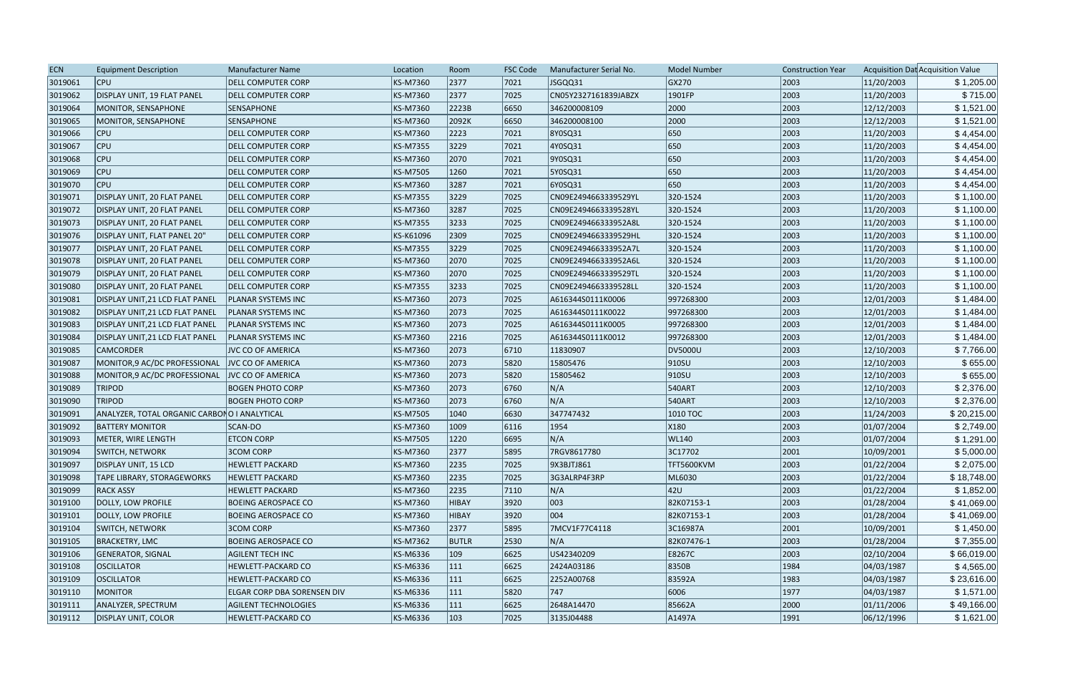| <b>ECN</b> | <b>Equipment Description</b>                 | Manufacturer Name           | Location  | Room          | <b>FSC Code</b> | Manufacturer Serial No. | <b>Model Number</b> | <b>Construction Year</b> |            | Acquisition Dat Acquisition Value |
|------------|----------------------------------------------|-----------------------------|-----------|---------------|-----------------|-------------------------|---------------------|--------------------------|------------|-----------------------------------|
| 3019061    | <b>CPU</b>                                   | <b>DELL COMPUTER CORP</b>   | KS-M7360  | 2377          | 7021            | JSGQQ31                 | GX270               | 2003                     | 11/20/2003 | \$1,205.00                        |
| 3019062    | DISPLAY UNIT, 19 FLAT PANEL                  | <b>DELL COMPUTER CORP</b>   | KS-M7360  | 2377          | 7025            | CN05Y2327161839JABZX    | 1901FP              | 2003                     | 11/20/2003 | \$715.00                          |
| 3019064    | MONITOR, SENSAPHONE                          | <b>SENSAPHONE</b>           | KS-M7360  | 2223B         | 6650            | 346200008109            | 2000                | 2003                     | 12/12/2003 | \$1,521.00                        |
| 3019065    | MONITOR, SENSAPHONE                          | <b>SENSAPHONE</b>           | KS-M7360  | 2092K         | 6650            | 346200008100            | 2000                | 2003                     | 12/12/2003 | \$1,521.00                        |
| 3019066    | <b>CPU</b>                                   | <b>DELL COMPUTER CORP</b>   | KS-M7360  | 2223          | 7021            | 8Y0SQ31                 | 650                 | 2003                     | 11/20/2003 | \$4,454.00                        |
| 3019067    | <b>CPU</b>                                   | <b>DELL COMPUTER CORP</b>   | KS-M7355  | 3229          | 7021            | 4Y0SQ31                 | 650                 | 2003                     | 11/20/2003 | \$4,454.00                        |
| 3019068    | <b>CPU</b>                                   | <b>DELL COMPUTER CORP</b>   | KS-M7360  | 2070          | 7021            | 9Y0SQ31                 | 650                 | 2003                     | 11/20/2003 | \$4,454.00                        |
| 3019069    | CPU                                          | <b>DELL COMPUTER CORP</b>   | KS-M7505  | 1260          | 7021            | 5Y0SQ31                 | 650                 | 2003                     | 11/20/2003 | \$4,454.00                        |
| 3019070    | <b>CPU</b>                                   | <b>DELL COMPUTER CORP</b>   | KS-M7360  | 3287          | 7021            | 6Y0SQ31                 | 650                 | 2003                     | 11/20/2003 | \$4,454.00                        |
| 3019071    | DISPLAY UNIT, 20 FLAT PANEL                  | <b>DELL COMPUTER CORP</b>   | KS-M7355  | 3229          | 7025            | CN09E2494663339529YL    | 320-1524            | 2003                     | 11/20/2003 | \$1,100.00                        |
| 3019072    | DISPLAY UNIT, 20 FLAT PANEL                  | <b>DELL COMPUTER CORP</b>   | KS-M7360  | 3287          | 7025            | CN09E2494663339528YL    | 320-1524            | 2003                     | 11/20/2003 | \$1,100.00                        |
| 3019073    | DISPLAY UNIT, 20 FLAT PANEL                  | DELL COMPUTER CORP          | KS-M7355  | 3233          | 7025            | CN09E249466333952A8L    | 320-1524            | 2003                     | 11/20/2003 | \$1,100.00                        |
| 3019076    | DISPLAY UNIT, FLAT PANEL 20"                 | <b>DELL COMPUTER CORP</b>   | KS-K61096 | 2309          | 7025            | CN09E2494663339529HL    | 320-1524            | 2003                     | 11/20/2003 | \$1,100.00                        |
| 3019077    | DISPLAY UNIT, 20 FLAT PANEL                  | <b>DELL COMPUTER CORP</b>   | KS-M7355  | 3229          | 7025            | CN09E249466333952A7L    | 320-1524            | 2003                     | 11/20/2003 | \$1,100.00                        |
| 3019078    | DISPLAY UNIT, 20 FLAT PANEL                  | <b>DELL COMPUTER CORP</b>   | KS-M7360  | 2070          | 7025            | CN09E249466333952A6L    | 320-1524            | 2003                     | 11/20/2003 | \$1,100.00                        |
| 3019079    | <b>DISPLAY UNIT, 20 FLAT PANEL</b>           | <b>DELL COMPUTER CORP</b>   | KS-M7360  | 2070          | 7025            | CN09E2494663339529TL    | 320-1524            | 2003                     | 11/20/2003 | \$1,100.00                        |
| 3019080    | DISPLAY UNIT, 20 FLAT PANEL                  | DELL COMPUTER CORP          | KS-M7355  | 3233          | 7025            | CN09E2494663339528LL    | 320-1524            | 2003                     | 11/20/2003 | \$1,100.00                        |
| 3019081    | DISPLAY UNIT, 21 LCD FLAT PANEL              | <b>PLANAR SYSTEMS INC</b>   | KS-M7360  | 2073          | 7025            | A616344S0111K0006       | 997268300           | 2003                     | 12/01/2003 | \$1,484.00                        |
| 3019082    | DISPLAY UNIT, 21 LCD FLAT PANEL              | <b>PLANAR SYSTEMS INC</b>   | KS-M7360  | 2073          | 7025            | A616344S0111K0022       | 997268300           | 2003                     | 12/01/2003 | \$1,484.00                        |
| 3019083    | DISPLAY UNIT, 21 LCD FLAT PANEL              | <b>PLANAR SYSTEMS INC</b>   | KS-M7360  | 2073          | 7025            | A616344S0111K0005       | 997268300           | 2003                     | 12/01/2003 | \$1,484.00                        |
| 3019084    | DISPLAY UNIT, 21 LCD FLAT PANEL              | <b>PLANAR SYSTEMS INC</b>   | KS-M7360  | 2216          | 7025            | A616344S0111K0012       | 997268300           | 2003                     | 12/01/2003 | \$1,484.00                        |
| 3019085    | <b>CAMCORDER</b>                             | <b>JVC CO OF AMERICA</b>    | KS-M7360  | 2073          | 6710            | 11830907                | DV5000U             | 2003                     | 12/10/2003 | \$7,766.00                        |
| 3019087    | MONITOR, 9 AC/DC PROFESSIONAL                | <b>JVC CO OF AMERICA</b>    | KS-M7360  | 2073          | 5820            | 15805476                | $ 910S$ U           | 2003                     | 12/10/2003 | \$655.00                          |
| 3019088    | MONITOR,9 AC/DC PROFESSIONAL                 | <b>JVC CO OF AMERICA</b>    | KS-M7360  | 2073          | 5820            | 15805462                | $ 910S$ U           | 2003                     | 12/10/2003 | \$655.00                          |
| 3019089    | <b>TRIPOD</b>                                | <b>BOGEN PHOTO CORP</b>     | KS-M7360  | 2073          | 6760            | N/A                     | 540ART              | 2003                     | 12/10/2003 | \$2,376.00                        |
| 3019090    | <b>TRIPOD</b>                                | <b>BOGEN PHOTO CORP</b>     | KS-M7360  | 2073          | 6760            | N/A                     | 540ART              | 2003                     | 12/10/2003 | \$2,376.00                        |
| 3019091    | ANALYZER, TOTAL ORGANIC CARBONO I ANALYTICAL |                             | KS-M7505  | 1040          | 6630            | 347747432               | 1010 TOC            | 2003                     | 11/24/2003 | \$20,215.00                       |
| 3019092    | <b>BATTERY MONITOR</b>                       | SCAN-DO                     | KS-M7360  | 1009          | 6116            | 1954                    | X180                | 2003                     | 01/07/2004 | \$2,749.00                        |
| 3019093    | METER, WIRE LENGTH                           | <b>ETCON CORP</b>           | KS-M7505  | 1220          | 6695            | N/A                     | <b>WL140</b>        | 2003                     | 01/07/2004 | \$1,291.00                        |
| 3019094    | <b>SWITCH, NETWORK</b>                       | 3COM CORP                   | KS-M7360  | 2377          | 5895            | 7RGV8617780             | 3C17702             | 2001                     | 10/09/2001 | \$5,000.00                        |
| 3019097    | <b>DISPLAY UNIT, 15 LCD</b>                  | <b>HEWLETT PACKARD</b>      | KS-M7360  | 2235          | 7025            | 9X3BJTJ861              | TFT5600KVM          | 2003                     | 01/22/2004 | \$2,075.00                        |
| 3019098    | <b>TAPE LIBRARY, STORAGEWORKS</b>            | <b>HEWLETT PACKARD</b>      | KS-M7360  | 2235          | 7025            | 3G3ALRP4F3RP            | ML6030              | 2003                     | 01/22/2004 | \$18,748.00                       |
| 3019099    | RACK ASSY                                    | <b>HEWLETT PACKARD</b>      | KS-M7360  | 2235          | $ 7110\rangle$  | N/A                     | 42U                 | 2003                     | 01/22/2004 | \$1,852.00                        |
| 3019100    | DOLLY, LOW PROFILE                           | <b>BOEING AEROSPACE CO</b>  | KS-M7360  | HIBAY         | 3920            | 003                     | 82K07153-1          | 2003                     | 01/28/2004 | \$41,069.00                       |
| 3019101    | DOLLY, LOW PROFILE                           | <b>BOEING AEROSPACE CO</b>  | KS-M7360  | HIBAY         | 3920            | $ 004\rangle$           | 82K07153-1          | 2003                     | 01/28/2004 | \$41,069.00                       |
| 3019104    | <b>SWITCH, NETWORK</b>                       | <b>3COM CORP</b>            | KS-M7360  | 2377          | 5895            | 7MCV1F77C4118           | 3C16987A            | 2001                     | 10/09/2001 | \$1,450.00                        |
| 3019105    | <b>BRACKETRY, LMC</b>                        | <b>BOEING AEROSPACE CO</b>  | KS-M7362  | <b>BUTLR</b>  | 2530            | N/A                     | 82K07476-1          | 2003                     | 01/28/2004 | \$7,355.00                        |
| 3019106    | <b>GENERATOR, SIGNAL</b>                     | <b>AGILENT TECH INC</b>     | KS-M6336  | 109           | 6625            | US42340209              | E8267C              | 2003                     | 02/10/2004 | \$66,019.00                       |
| 3019108    | <b>OSCILLATOR</b>                            | <b>HEWLETT-PACKARD CO</b>   | KS-M6336  | 111           | 6625            | 2424A03186              | 8350B               | 1984                     | 04/03/1987 | \$4,565.00                        |
| 3019109    | <b>OSCILLATOR</b>                            | <b>HEWLETT-PACKARD CO</b>   | KS-M6336  | 111           | 6625            | 2252A00768              | 83592A              | 1983                     | 04/03/1987 | \$23,616.00                       |
| 3019110    | <b>MONITOR</b>                               | ELGAR CORP DBA SORENSEN DIV | KS-M6336  | 111           | 5820            | 747                     | 6006                | 1977                     | 04/03/1987 | \$1,571.00                        |
| 3019111    | ANALYZER, SPECTRUM                           | <b>AGILENT TECHNOLOGIES</b> | KS-M6336  | 111           | 6625            | 2648A14470              | 85662A              | 2000                     | 01/11/2006 | \$49,166.00                       |
| 3019112    | <b>DISPLAY UNIT, COLOR</b>                   | <b>HEWLETT-PACKARD CO</b>   | KS-M6336  | $ 103\rangle$ | 7025            | 3135J04488              | A1497A              | 1991                     | 06/12/1996 | \$1,621.00                        |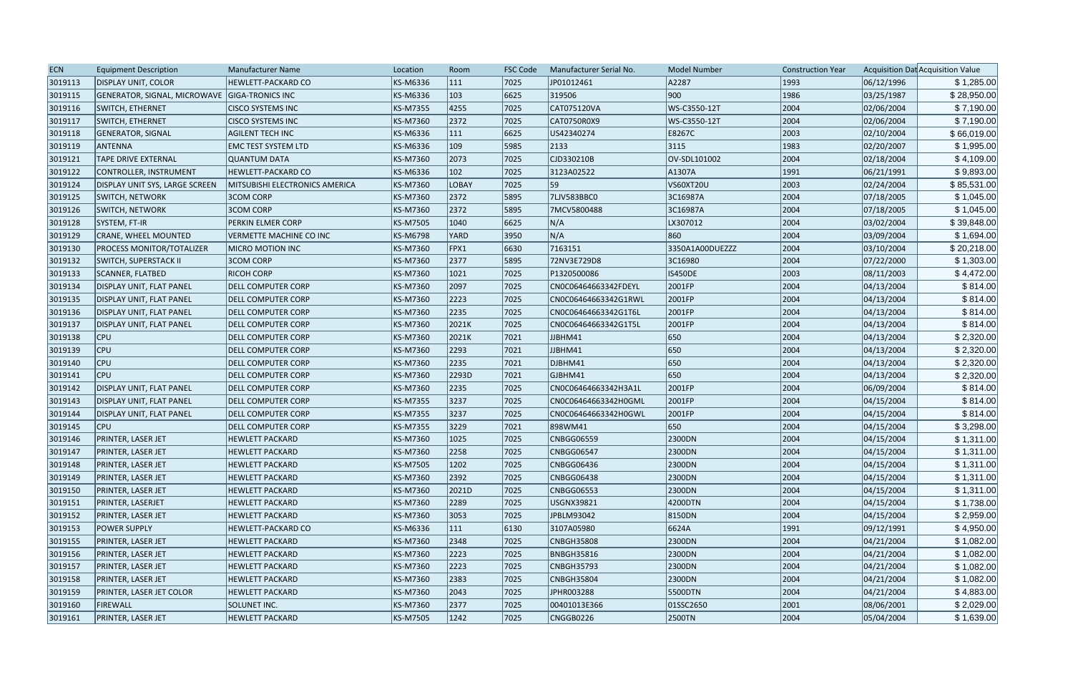| 7025<br>06/12/1996<br>3019113<br><b>DISPLAY UNIT, COLOR</b><br>KS-M6336<br> 111<br>JP01012461<br>A2287<br><b>HEWLETT-PACKARD CO</b><br>1993<br>103<br>6625<br> 900 <br>1986<br>3019115<br>GENERATOR, SIGNAL, MICROWAVE GIGA-TRONICS INC<br>KS-M6336<br>319506<br>03/25/1987<br>KS-M7355<br>4255<br>7025<br>CAT075120VA<br>2004<br>02/06/2004<br>3019116<br>SWITCH, ETHERNET<br><b>CISCO SYSTEMS INC</b><br>WS-C3550-12T<br>2372<br>7025<br>2004<br>02/06/2004<br>3019117<br>KS-M7360<br>CAT0750R0X9<br>WS-C3550-12T<br><b>SWITCH, ETHERNET</b><br><b>CISCO SYSTEMS INC</b><br>2003<br> 111<br>6625<br>02/10/2004<br>3019118<br><b>AGILENT TECH INC</b><br>KS-M6336<br>US42340274<br>E8267C<br><b>GENERATOR, SIGNAL</b><br>$ 109\rangle$<br>2133<br> 3115 <br>1983<br>02/20/2007<br>3019119<br>ANTENNA<br><b>EMC TEST SYSTEM LTD</b><br>KS-M6336<br>5985<br>2073<br>7025<br>CJD330210B<br>2004<br>02/18/2004<br>3019121<br><b>TAPE DRIVE EXTERNAL</b><br><b>QUANTUM DATA</b><br>KS-M7360<br>OV-SDL101002<br>KS-M6336<br>102<br>7025<br>A1307A<br>06/21/1991<br>3019122<br>CONTROLLER, INSTRUMENT<br><b>HEWLETT-PACKARD CO</b><br>3123A02522<br> 1991<br>59<br>2003<br>7025<br>VS60XT20U<br>02/24/2004<br>3019124<br>KS-M7360<br><b>LOBAY</b><br><b>DISPLAY UNIT SYS, LARGE SCREEN</b><br><b>MITSUBISHI ELECTRONICS AMERICA</b><br>2372<br>7LJV583BBC0<br>2004<br>07/18/2005<br>3019125<br><b>3COM CORP</b><br>KS-M7360<br>5895<br>3C16987A<br><b>SWITCH, NETWORK</b><br><b>3COM CORP</b><br>2372<br>3C16987A<br>2004<br>07/18/2005<br>3019126<br>KS-M7360<br>5895<br>7MCV5800488<br><b>SWITCH, NETWORK</b><br>N/A<br>3019128<br>1040<br>6625<br>2004<br>03/02/2004<br>SYSTEM, FT-IR<br>PERKIN ELMER CORP<br>KS-M7505<br>LX307012<br>N/A<br>860<br>3019129<br>KS-M6798<br><b>YARD</b><br>3950<br>2004<br>03/09/2004<br><b>CRANE, WHEEL MOUNTED</b><br><b>VERMETTE MACHINE CO INC</b><br>$ $ FPX1<br>6630<br>7163151<br>2004<br>03/10/2004<br>3019130<br><b>PROCESS MONITOR/TOTALIZER</b><br>KS-M7360<br>3350A1A00DUEZZZ<br><b>MICRO MOTION INC</b><br>2377<br>KS-M7360<br>5895<br>72NV3E729D8<br>3C16980<br>2004<br>07/22/2000<br>3019132<br><b>SWITCH, SUPERSTACK II</b><br><b>3COM CORP</b><br>2003<br>3019133<br><b>RICOH CORP</b><br>KS-M7360<br> 1021<br>7025<br>P1320500086<br><b>IS450DE</b><br>08/11/2003<br>SCANNER, FLATBED<br>2097<br>7025<br>2004<br>3019134<br><b>DELL COMPUTER CORP</b><br>KS-M7360<br>CN0C06464663342FDEYL<br>2001FP<br>04/13/2004<br>DISPLAY UNIT, FLAT PANEL<br>2223<br>2004<br>3019135<br>KS-M7360<br>7025<br>2001FP<br>04/13/2004<br><b>DISPLAY UNIT, FLAT PANEL</b><br><b>DELL COMPUTER CORP</b><br>CN0C06464663342G1RWL<br>2235<br>7025<br>2004<br>04/13/2004<br>3019136<br>DISPLAY UNIT, FLAT PANEL<br><b>DELL COMPUTER CORP</b><br>KS-M7360<br>CN0C06464663342G1T6L<br>2001FP<br>2004<br>3019137<br>KS-M7360<br>2021K<br>7025<br>2001FP<br>04/13/2004<br>DISPLAY UNIT, FLAT PANEL<br><b>DELL COMPUTER CORP</b><br>CN0C06464663342G1T5L<br><b>CPU</b><br>2021K<br>7021<br>650<br>2004<br>04/13/2004<br>3019138<br><b>DELL COMPUTER CORP</b><br>KS-M7360<br>JJBHM41<br>3019139<br><b>CPU</b><br>KS-M7360<br>2293<br>7021<br>650<br>2004<br>04/13/2004<br><b>DELL COMPUTER CORP</b><br>JJBHM41<br><b>CPU</b><br>2235<br>650<br>2004<br>04/13/2004<br>3019140<br><b>DELL COMPUTER CORP</b><br>KS-M7360<br>7021<br>DJBHM41<br>650<br>CPU<br>2293D<br>7021<br>2004<br>04/13/2004<br>3019141<br><b>DELL COMPUTER CORP</b><br>KS-M7360<br>GJBHM41<br>2235<br>2004<br>06/09/2004<br>3019142<br>DISPLAY UNIT, FLAT PANEL<br>KS-M7360<br>7025<br>CN0C06464663342H3A1L<br>2001FP<br><b>DELL COMPUTER CORP</b><br>3237<br>7025<br>2004<br>3019143<br>DISPLAY UNIT, FLAT PANEL<br>KS-M7355<br>CN0C06464663342H0GML<br>2001FP<br>04/15/2004<br>DELL COMPUTER CORP<br>KS-M7355<br>3237<br>7025<br>2004<br>04/15/2004<br>3019144<br>DISPLAY UNIT, FLAT PANEL<br><b>DELL COMPUTER CORP</b><br>CN0C06464663342H0GWL<br>2001FP<br>2004<br><b>CPU</b><br>3229<br>7021<br>898WM41<br>650<br>04/15/2004<br>3019145<br><b>DELL COMPUTER CORP</b><br>KS-M7355<br>1025<br>2004<br>3019146<br>PRINTER, LASER JET<br>KS-M7360<br>7025<br>CNBGG06559<br>2300DN<br>04/15/2004<br><b>HEWLETT PACKARD</b><br>2258<br>2004<br>04/15/2004<br>3019147<br><b>HEWLETT PACKARD</b><br>KS-M7360<br>7025<br><b>CNBGG06547</b><br>2300DN<br><b>PRINTER, LASER JET</b><br>2004<br>KS-M7505<br>1202<br>7025<br>CNBGG06436<br>2300DN<br>04/15/2004<br>3019148<br><b>PRINTER, LASER JET</b><br><b>HEWLETT PACKARD</b><br>04/15/2004<br>\$1,311.00<br>3019149<br>PRINTER, LASER JET<br><b>HEWLETT PACKARD</b><br>KS-M7360<br>2392<br>7025<br><b>CNBGG06438</b><br>2300DN<br>2004<br>\$1,311.00<br>3019150<br><b>PRINTER, LASER JET</b><br>KS-M7360<br>2021D<br>7025<br>CNBGG06553<br>2300DN<br>2004<br>04/15/2004<br><b>HEWLETT PACKARD</b><br>2289<br>2004<br>3019151<br><b>PRINTER, LASERJET</b><br><b>HEWLETT PACKARD</b><br>KS-M7360<br>7025<br>USGNX39821<br>4200DTN<br>04/15/2004<br>\$1,738.00<br>3019152<br><b>PRINTER, LASER JET</b><br>KS-M7360<br>3053<br>7025<br>JPBLM93042<br>8150DN<br>2004<br>04/15/2004<br><b>HEWLETT PACKARD</b><br>\$4,950.00<br>3019153<br><b>POWER SUPPLY</b><br><b>HEWLETT-PACKARD CO</b><br>KS-M6336<br> 111<br>3107A05980<br>6624A<br> 1991<br>09/12/1991<br> 6130 <br>3019155<br>KS-M7360<br>2348<br>7025<br><b>CNBGH35808</b><br>2300DN<br>2004<br>04/21/2004<br>\$1,082.00<br><b>PRINTER, LASER JET</b><br><b>HEWLETT PACKARD</b><br>3019156<br>PRINTER, LASER JET<br><b>HEWLETT PACKARD</b><br>KS-M7360<br>2223<br>7025<br><b>BNBGH35816</b><br>2300DN<br>2004<br>04/21/2004 | <b>ECN</b> | <b>Equipment Description</b> | Manufacturer Name      | Location | Room | <b>FSC Code</b> | Manufacturer Serial No. | <b>Model Number</b> | <b>Construction Year</b> |            | Acquisition Dat Acquisition Value |
|----------------------------------------------------------------------------------------------------------------------------------------------------------------------------------------------------------------------------------------------------------------------------------------------------------------------------------------------------------------------------------------------------------------------------------------------------------------------------------------------------------------------------------------------------------------------------------------------------------------------------------------------------------------------------------------------------------------------------------------------------------------------------------------------------------------------------------------------------------------------------------------------------------------------------------------------------------------------------------------------------------------------------------------------------------------------------------------------------------------------------------------------------------------------------------------------------------------------------------------------------------------------------------------------------------------------------------------------------------------------------------------------------------------------------------------------------------------------------------------------------------------------------------------------------------------------------------------------------------------------------------------------------------------------------------------------------------------------------------------------------------------------------------------------------------------------------------------------------------------------------------------------------------------------------------------------------------------------------------------------------------------------------------------------------------------------------------------------------------------------------------------------------------------------------------------------------------------------------------------------------------------------------------------------------------------------------------------------------------------------------------------------------------------------------------------------------------------------------------------------------------------------------------------------------------------------------------------------------------------------------------------------------------------------------------------------------------------------------------------------------------------------------------------------------------------------------------------------------------------------------------------------------------------------------------------------------------------------------------------------------------------------------------------------------------------------------------------------------------------------------------------------------------------------------------------------------------------------------------------------------------------------------------------------------------------------------------------------------------------------------------------------------------------------------------------------------------------------------------------------------------------------------------------------------------------------------------------------------------------------------------------------------------------------------------------------------------------------------------------------------------------------------------------------------------------------------------------------------------------------------------------------------------------------------------------------------------------------------------------------------------------------------------------------------------------------------------------------------------------------------------------------------------------------------------------------------------------------------------------------------------------------------------------------------------------------------------------------------------------------------------------------------------------------------------------------------------------------------------------------------------------------------------------------------------------------------------------------------------------------------------------------------------------------------------------------------------------------------------------------------------------------------------------------------------------------------------------------------------------------------------------------------------------------------------------------------------------------------------------------------------------------------------------------------------------------------------------------------------------------------------------------------------------------------------------------------------------------------------------------------------------------------------------------------------------------------------------------------------------------------------------------------------------------------------------------------------------------------------------------------------------------------------------------------------------------------------------------------------------|------------|------------------------------|------------------------|----------|------|-----------------|-------------------------|---------------------|--------------------------|------------|-----------------------------------|
|                                                                                                                                                                                                                                                                                                                                                                                                                                                                                                                                                                                                                                                                                                                                                                                                                                                                                                                                                                                                                                                                                                                                                                                                                                                                                                                                                                                                                                                                                                                                                                                                                                                                                                                                                                                                                                                                                                                                                                                                                                                                                                                                                                                                                                                                                                                                                                                                                                                                                                                                                                                                                                                                                                                                                                                                                                                                                                                                                                                                                                                                                                                                                                                                                                                                                                                                                                                                                                                                                                                                                                                                                                                                                                                                                                                                                                                                                                                                                                                                                                                                                                                                                                                                                                                                                                                                                                                                                                                                                                                                                                                                                                                                                                                                                                                                                                                                                                                                                                                                                                                                                                                                                                                                                                                                                                                                                                                                                                                                                                                                                                                                                |            |                              |                        |          |      |                 |                         |                     |                          |            | \$1,285.00                        |
|                                                                                                                                                                                                                                                                                                                                                                                                                                                                                                                                                                                                                                                                                                                                                                                                                                                                                                                                                                                                                                                                                                                                                                                                                                                                                                                                                                                                                                                                                                                                                                                                                                                                                                                                                                                                                                                                                                                                                                                                                                                                                                                                                                                                                                                                                                                                                                                                                                                                                                                                                                                                                                                                                                                                                                                                                                                                                                                                                                                                                                                                                                                                                                                                                                                                                                                                                                                                                                                                                                                                                                                                                                                                                                                                                                                                                                                                                                                                                                                                                                                                                                                                                                                                                                                                                                                                                                                                                                                                                                                                                                                                                                                                                                                                                                                                                                                                                                                                                                                                                                                                                                                                                                                                                                                                                                                                                                                                                                                                                                                                                                                                                |            |                              |                        |          |      |                 |                         |                     |                          |            | \$28,950.00                       |
|                                                                                                                                                                                                                                                                                                                                                                                                                                                                                                                                                                                                                                                                                                                                                                                                                                                                                                                                                                                                                                                                                                                                                                                                                                                                                                                                                                                                                                                                                                                                                                                                                                                                                                                                                                                                                                                                                                                                                                                                                                                                                                                                                                                                                                                                                                                                                                                                                                                                                                                                                                                                                                                                                                                                                                                                                                                                                                                                                                                                                                                                                                                                                                                                                                                                                                                                                                                                                                                                                                                                                                                                                                                                                                                                                                                                                                                                                                                                                                                                                                                                                                                                                                                                                                                                                                                                                                                                                                                                                                                                                                                                                                                                                                                                                                                                                                                                                                                                                                                                                                                                                                                                                                                                                                                                                                                                                                                                                                                                                                                                                                                                                |            |                              |                        |          |      |                 |                         |                     |                          |            | \$7,190.00                        |
|                                                                                                                                                                                                                                                                                                                                                                                                                                                                                                                                                                                                                                                                                                                                                                                                                                                                                                                                                                                                                                                                                                                                                                                                                                                                                                                                                                                                                                                                                                                                                                                                                                                                                                                                                                                                                                                                                                                                                                                                                                                                                                                                                                                                                                                                                                                                                                                                                                                                                                                                                                                                                                                                                                                                                                                                                                                                                                                                                                                                                                                                                                                                                                                                                                                                                                                                                                                                                                                                                                                                                                                                                                                                                                                                                                                                                                                                                                                                                                                                                                                                                                                                                                                                                                                                                                                                                                                                                                                                                                                                                                                                                                                                                                                                                                                                                                                                                                                                                                                                                                                                                                                                                                                                                                                                                                                                                                                                                                                                                                                                                                                                                |            |                              |                        |          |      |                 |                         |                     |                          |            | \$7,190.00                        |
|                                                                                                                                                                                                                                                                                                                                                                                                                                                                                                                                                                                                                                                                                                                                                                                                                                                                                                                                                                                                                                                                                                                                                                                                                                                                                                                                                                                                                                                                                                                                                                                                                                                                                                                                                                                                                                                                                                                                                                                                                                                                                                                                                                                                                                                                                                                                                                                                                                                                                                                                                                                                                                                                                                                                                                                                                                                                                                                                                                                                                                                                                                                                                                                                                                                                                                                                                                                                                                                                                                                                                                                                                                                                                                                                                                                                                                                                                                                                                                                                                                                                                                                                                                                                                                                                                                                                                                                                                                                                                                                                                                                                                                                                                                                                                                                                                                                                                                                                                                                                                                                                                                                                                                                                                                                                                                                                                                                                                                                                                                                                                                                                                |            |                              |                        |          |      |                 |                         |                     |                          |            | \$66,019.00                       |
|                                                                                                                                                                                                                                                                                                                                                                                                                                                                                                                                                                                                                                                                                                                                                                                                                                                                                                                                                                                                                                                                                                                                                                                                                                                                                                                                                                                                                                                                                                                                                                                                                                                                                                                                                                                                                                                                                                                                                                                                                                                                                                                                                                                                                                                                                                                                                                                                                                                                                                                                                                                                                                                                                                                                                                                                                                                                                                                                                                                                                                                                                                                                                                                                                                                                                                                                                                                                                                                                                                                                                                                                                                                                                                                                                                                                                                                                                                                                                                                                                                                                                                                                                                                                                                                                                                                                                                                                                                                                                                                                                                                                                                                                                                                                                                                                                                                                                                                                                                                                                                                                                                                                                                                                                                                                                                                                                                                                                                                                                                                                                                                                                |            |                              |                        |          |      |                 |                         |                     |                          |            | \$1,995.00                        |
|                                                                                                                                                                                                                                                                                                                                                                                                                                                                                                                                                                                                                                                                                                                                                                                                                                                                                                                                                                                                                                                                                                                                                                                                                                                                                                                                                                                                                                                                                                                                                                                                                                                                                                                                                                                                                                                                                                                                                                                                                                                                                                                                                                                                                                                                                                                                                                                                                                                                                                                                                                                                                                                                                                                                                                                                                                                                                                                                                                                                                                                                                                                                                                                                                                                                                                                                                                                                                                                                                                                                                                                                                                                                                                                                                                                                                                                                                                                                                                                                                                                                                                                                                                                                                                                                                                                                                                                                                                                                                                                                                                                                                                                                                                                                                                                                                                                                                                                                                                                                                                                                                                                                                                                                                                                                                                                                                                                                                                                                                                                                                                                                                |            |                              |                        |          |      |                 |                         |                     |                          |            | \$4,109.00                        |
|                                                                                                                                                                                                                                                                                                                                                                                                                                                                                                                                                                                                                                                                                                                                                                                                                                                                                                                                                                                                                                                                                                                                                                                                                                                                                                                                                                                                                                                                                                                                                                                                                                                                                                                                                                                                                                                                                                                                                                                                                                                                                                                                                                                                                                                                                                                                                                                                                                                                                                                                                                                                                                                                                                                                                                                                                                                                                                                                                                                                                                                                                                                                                                                                                                                                                                                                                                                                                                                                                                                                                                                                                                                                                                                                                                                                                                                                                                                                                                                                                                                                                                                                                                                                                                                                                                                                                                                                                                                                                                                                                                                                                                                                                                                                                                                                                                                                                                                                                                                                                                                                                                                                                                                                                                                                                                                                                                                                                                                                                                                                                                                                                |            |                              |                        |          |      |                 |                         |                     |                          |            | \$9,893.00                        |
|                                                                                                                                                                                                                                                                                                                                                                                                                                                                                                                                                                                                                                                                                                                                                                                                                                                                                                                                                                                                                                                                                                                                                                                                                                                                                                                                                                                                                                                                                                                                                                                                                                                                                                                                                                                                                                                                                                                                                                                                                                                                                                                                                                                                                                                                                                                                                                                                                                                                                                                                                                                                                                                                                                                                                                                                                                                                                                                                                                                                                                                                                                                                                                                                                                                                                                                                                                                                                                                                                                                                                                                                                                                                                                                                                                                                                                                                                                                                                                                                                                                                                                                                                                                                                                                                                                                                                                                                                                                                                                                                                                                                                                                                                                                                                                                                                                                                                                                                                                                                                                                                                                                                                                                                                                                                                                                                                                                                                                                                                                                                                                                                                |            |                              |                        |          |      |                 |                         |                     |                          |            | \$85,531.00                       |
|                                                                                                                                                                                                                                                                                                                                                                                                                                                                                                                                                                                                                                                                                                                                                                                                                                                                                                                                                                                                                                                                                                                                                                                                                                                                                                                                                                                                                                                                                                                                                                                                                                                                                                                                                                                                                                                                                                                                                                                                                                                                                                                                                                                                                                                                                                                                                                                                                                                                                                                                                                                                                                                                                                                                                                                                                                                                                                                                                                                                                                                                                                                                                                                                                                                                                                                                                                                                                                                                                                                                                                                                                                                                                                                                                                                                                                                                                                                                                                                                                                                                                                                                                                                                                                                                                                                                                                                                                                                                                                                                                                                                                                                                                                                                                                                                                                                                                                                                                                                                                                                                                                                                                                                                                                                                                                                                                                                                                                                                                                                                                                                                                |            |                              |                        |          |      |                 |                         |                     |                          |            | \$1,045.00                        |
|                                                                                                                                                                                                                                                                                                                                                                                                                                                                                                                                                                                                                                                                                                                                                                                                                                                                                                                                                                                                                                                                                                                                                                                                                                                                                                                                                                                                                                                                                                                                                                                                                                                                                                                                                                                                                                                                                                                                                                                                                                                                                                                                                                                                                                                                                                                                                                                                                                                                                                                                                                                                                                                                                                                                                                                                                                                                                                                                                                                                                                                                                                                                                                                                                                                                                                                                                                                                                                                                                                                                                                                                                                                                                                                                                                                                                                                                                                                                                                                                                                                                                                                                                                                                                                                                                                                                                                                                                                                                                                                                                                                                                                                                                                                                                                                                                                                                                                                                                                                                                                                                                                                                                                                                                                                                                                                                                                                                                                                                                                                                                                                                                |            |                              |                        |          |      |                 |                         |                     |                          |            | \$1,045.00                        |
|                                                                                                                                                                                                                                                                                                                                                                                                                                                                                                                                                                                                                                                                                                                                                                                                                                                                                                                                                                                                                                                                                                                                                                                                                                                                                                                                                                                                                                                                                                                                                                                                                                                                                                                                                                                                                                                                                                                                                                                                                                                                                                                                                                                                                                                                                                                                                                                                                                                                                                                                                                                                                                                                                                                                                                                                                                                                                                                                                                                                                                                                                                                                                                                                                                                                                                                                                                                                                                                                                                                                                                                                                                                                                                                                                                                                                                                                                                                                                                                                                                                                                                                                                                                                                                                                                                                                                                                                                                                                                                                                                                                                                                                                                                                                                                                                                                                                                                                                                                                                                                                                                                                                                                                                                                                                                                                                                                                                                                                                                                                                                                                                                |            |                              |                        |          |      |                 |                         |                     |                          |            | \$39,848.00                       |
|                                                                                                                                                                                                                                                                                                                                                                                                                                                                                                                                                                                                                                                                                                                                                                                                                                                                                                                                                                                                                                                                                                                                                                                                                                                                                                                                                                                                                                                                                                                                                                                                                                                                                                                                                                                                                                                                                                                                                                                                                                                                                                                                                                                                                                                                                                                                                                                                                                                                                                                                                                                                                                                                                                                                                                                                                                                                                                                                                                                                                                                                                                                                                                                                                                                                                                                                                                                                                                                                                                                                                                                                                                                                                                                                                                                                                                                                                                                                                                                                                                                                                                                                                                                                                                                                                                                                                                                                                                                                                                                                                                                                                                                                                                                                                                                                                                                                                                                                                                                                                                                                                                                                                                                                                                                                                                                                                                                                                                                                                                                                                                                                                |            |                              |                        |          |      |                 |                         |                     |                          |            | \$1,694.00                        |
|                                                                                                                                                                                                                                                                                                                                                                                                                                                                                                                                                                                                                                                                                                                                                                                                                                                                                                                                                                                                                                                                                                                                                                                                                                                                                                                                                                                                                                                                                                                                                                                                                                                                                                                                                                                                                                                                                                                                                                                                                                                                                                                                                                                                                                                                                                                                                                                                                                                                                                                                                                                                                                                                                                                                                                                                                                                                                                                                                                                                                                                                                                                                                                                                                                                                                                                                                                                                                                                                                                                                                                                                                                                                                                                                                                                                                                                                                                                                                                                                                                                                                                                                                                                                                                                                                                                                                                                                                                                                                                                                                                                                                                                                                                                                                                                                                                                                                                                                                                                                                                                                                                                                                                                                                                                                                                                                                                                                                                                                                                                                                                                                                |            |                              |                        |          |      |                 |                         |                     |                          |            | \$20,218.00                       |
|                                                                                                                                                                                                                                                                                                                                                                                                                                                                                                                                                                                                                                                                                                                                                                                                                                                                                                                                                                                                                                                                                                                                                                                                                                                                                                                                                                                                                                                                                                                                                                                                                                                                                                                                                                                                                                                                                                                                                                                                                                                                                                                                                                                                                                                                                                                                                                                                                                                                                                                                                                                                                                                                                                                                                                                                                                                                                                                                                                                                                                                                                                                                                                                                                                                                                                                                                                                                                                                                                                                                                                                                                                                                                                                                                                                                                                                                                                                                                                                                                                                                                                                                                                                                                                                                                                                                                                                                                                                                                                                                                                                                                                                                                                                                                                                                                                                                                                                                                                                                                                                                                                                                                                                                                                                                                                                                                                                                                                                                                                                                                                                                                |            |                              |                        |          |      |                 |                         |                     |                          |            | \$1,303.00                        |
|                                                                                                                                                                                                                                                                                                                                                                                                                                                                                                                                                                                                                                                                                                                                                                                                                                                                                                                                                                                                                                                                                                                                                                                                                                                                                                                                                                                                                                                                                                                                                                                                                                                                                                                                                                                                                                                                                                                                                                                                                                                                                                                                                                                                                                                                                                                                                                                                                                                                                                                                                                                                                                                                                                                                                                                                                                                                                                                                                                                                                                                                                                                                                                                                                                                                                                                                                                                                                                                                                                                                                                                                                                                                                                                                                                                                                                                                                                                                                                                                                                                                                                                                                                                                                                                                                                                                                                                                                                                                                                                                                                                                                                                                                                                                                                                                                                                                                                                                                                                                                                                                                                                                                                                                                                                                                                                                                                                                                                                                                                                                                                                                                |            |                              |                        |          |      |                 |                         |                     |                          |            | \$4,472.00                        |
|                                                                                                                                                                                                                                                                                                                                                                                                                                                                                                                                                                                                                                                                                                                                                                                                                                                                                                                                                                                                                                                                                                                                                                                                                                                                                                                                                                                                                                                                                                                                                                                                                                                                                                                                                                                                                                                                                                                                                                                                                                                                                                                                                                                                                                                                                                                                                                                                                                                                                                                                                                                                                                                                                                                                                                                                                                                                                                                                                                                                                                                                                                                                                                                                                                                                                                                                                                                                                                                                                                                                                                                                                                                                                                                                                                                                                                                                                                                                                                                                                                                                                                                                                                                                                                                                                                                                                                                                                                                                                                                                                                                                                                                                                                                                                                                                                                                                                                                                                                                                                                                                                                                                                                                                                                                                                                                                                                                                                                                                                                                                                                                                                |            |                              |                        |          |      |                 |                         |                     |                          |            | \$814.00                          |
|                                                                                                                                                                                                                                                                                                                                                                                                                                                                                                                                                                                                                                                                                                                                                                                                                                                                                                                                                                                                                                                                                                                                                                                                                                                                                                                                                                                                                                                                                                                                                                                                                                                                                                                                                                                                                                                                                                                                                                                                                                                                                                                                                                                                                                                                                                                                                                                                                                                                                                                                                                                                                                                                                                                                                                                                                                                                                                                                                                                                                                                                                                                                                                                                                                                                                                                                                                                                                                                                                                                                                                                                                                                                                                                                                                                                                                                                                                                                                                                                                                                                                                                                                                                                                                                                                                                                                                                                                                                                                                                                                                                                                                                                                                                                                                                                                                                                                                                                                                                                                                                                                                                                                                                                                                                                                                                                                                                                                                                                                                                                                                                                                |            |                              |                        |          |      |                 |                         |                     |                          |            | \$814.00                          |
|                                                                                                                                                                                                                                                                                                                                                                                                                                                                                                                                                                                                                                                                                                                                                                                                                                                                                                                                                                                                                                                                                                                                                                                                                                                                                                                                                                                                                                                                                                                                                                                                                                                                                                                                                                                                                                                                                                                                                                                                                                                                                                                                                                                                                                                                                                                                                                                                                                                                                                                                                                                                                                                                                                                                                                                                                                                                                                                                                                                                                                                                                                                                                                                                                                                                                                                                                                                                                                                                                                                                                                                                                                                                                                                                                                                                                                                                                                                                                                                                                                                                                                                                                                                                                                                                                                                                                                                                                                                                                                                                                                                                                                                                                                                                                                                                                                                                                                                                                                                                                                                                                                                                                                                                                                                                                                                                                                                                                                                                                                                                                                                                                |            |                              |                        |          |      |                 |                         |                     |                          |            | \$814.00                          |
|                                                                                                                                                                                                                                                                                                                                                                                                                                                                                                                                                                                                                                                                                                                                                                                                                                                                                                                                                                                                                                                                                                                                                                                                                                                                                                                                                                                                                                                                                                                                                                                                                                                                                                                                                                                                                                                                                                                                                                                                                                                                                                                                                                                                                                                                                                                                                                                                                                                                                                                                                                                                                                                                                                                                                                                                                                                                                                                                                                                                                                                                                                                                                                                                                                                                                                                                                                                                                                                                                                                                                                                                                                                                                                                                                                                                                                                                                                                                                                                                                                                                                                                                                                                                                                                                                                                                                                                                                                                                                                                                                                                                                                                                                                                                                                                                                                                                                                                                                                                                                                                                                                                                                                                                                                                                                                                                                                                                                                                                                                                                                                                                                |            |                              |                        |          |      |                 |                         |                     |                          |            | \$814.00                          |
|                                                                                                                                                                                                                                                                                                                                                                                                                                                                                                                                                                                                                                                                                                                                                                                                                                                                                                                                                                                                                                                                                                                                                                                                                                                                                                                                                                                                                                                                                                                                                                                                                                                                                                                                                                                                                                                                                                                                                                                                                                                                                                                                                                                                                                                                                                                                                                                                                                                                                                                                                                                                                                                                                                                                                                                                                                                                                                                                                                                                                                                                                                                                                                                                                                                                                                                                                                                                                                                                                                                                                                                                                                                                                                                                                                                                                                                                                                                                                                                                                                                                                                                                                                                                                                                                                                                                                                                                                                                                                                                                                                                                                                                                                                                                                                                                                                                                                                                                                                                                                                                                                                                                                                                                                                                                                                                                                                                                                                                                                                                                                                                                                |            |                              |                        |          |      |                 |                         |                     |                          |            | \$2,320.00                        |
|                                                                                                                                                                                                                                                                                                                                                                                                                                                                                                                                                                                                                                                                                                                                                                                                                                                                                                                                                                                                                                                                                                                                                                                                                                                                                                                                                                                                                                                                                                                                                                                                                                                                                                                                                                                                                                                                                                                                                                                                                                                                                                                                                                                                                                                                                                                                                                                                                                                                                                                                                                                                                                                                                                                                                                                                                                                                                                                                                                                                                                                                                                                                                                                                                                                                                                                                                                                                                                                                                                                                                                                                                                                                                                                                                                                                                                                                                                                                                                                                                                                                                                                                                                                                                                                                                                                                                                                                                                                                                                                                                                                                                                                                                                                                                                                                                                                                                                                                                                                                                                                                                                                                                                                                                                                                                                                                                                                                                                                                                                                                                                                                                |            |                              |                        |          |      |                 |                         |                     |                          |            | \$2,320.00                        |
|                                                                                                                                                                                                                                                                                                                                                                                                                                                                                                                                                                                                                                                                                                                                                                                                                                                                                                                                                                                                                                                                                                                                                                                                                                                                                                                                                                                                                                                                                                                                                                                                                                                                                                                                                                                                                                                                                                                                                                                                                                                                                                                                                                                                                                                                                                                                                                                                                                                                                                                                                                                                                                                                                                                                                                                                                                                                                                                                                                                                                                                                                                                                                                                                                                                                                                                                                                                                                                                                                                                                                                                                                                                                                                                                                                                                                                                                                                                                                                                                                                                                                                                                                                                                                                                                                                                                                                                                                                                                                                                                                                                                                                                                                                                                                                                                                                                                                                                                                                                                                                                                                                                                                                                                                                                                                                                                                                                                                                                                                                                                                                                                                |            |                              |                        |          |      |                 |                         |                     |                          |            | \$2,320.00                        |
|                                                                                                                                                                                                                                                                                                                                                                                                                                                                                                                                                                                                                                                                                                                                                                                                                                                                                                                                                                                                                                                                                                                                                                                                                                                                                                                                                                                                                                                                                                                                                                                                                                                                                                                                                                                                                                                                                                                                                                                                                                                                                                                                                                                                                                                                                                                                                                                                                                                                                                                                                                                                                                                                                                                                                                                                                                                                                                                                                                                                                                                                                                                                                                                                                                                                                                                                                                                                                                                                                                                                                                                                                                                                                                                                                                                                                                                                                                                                                                                                                                                                                                                                                                                                                                                                                                                                                                                                                                                                                                                                                                                                                                                                                                                                                                                                                                                                                                                                                                                                                                                                                                                                                                                                                                                                                                                                                                                                                                                                                                                                                                                                                |            |                              |                        |          |      |                 |                         |                     |                          |            | \$2,320.00                        |
|                                                                                                                                                                                                                                                                                                                                                                                                                                                                                                                                                                                                                                                                                                                                                                                                                                                                                                                                                                                                                                                                                                                                                                                                                                                                                                                                                                                                                                                                                                                                                                                                                                                                                                                                                                                                                                                                                                                                                                                                                                                                                                                                                                                                                                                                                                                                                                                                                                                                                                                                                                                                                                                                                                                                                                                                                                                                                                                                                                                                                                                                                                                                                                                                                                                                                                                                                                                                                                                                                                                                                                                                                                                                                                                                                                                                                                                                                                                                                                                                                                                                                                                                                                                                                                                                                                                                                                                                                                                                                                                                                                                                                                                                                                                                                                                                                                                                                                                                                                                                                                                                                                                                                                                                                                                                                                                                                                                                                                                                                                                                                                                                                |            |                              |                        |          |      |                 |                         |                     |                          |            | \$814.00                          |
|                                                                                                                                                                                                                                                                                                                                                                                                                                                                                                                                                                                                                                                                                                                                                                                                                                                                                                                                                                                                                                                                                                                                                                                                                                                                                                                                                                                                                                                                                                                                                                                                                                                                                                                                                                                                                                                                                                                                                                                                                                                                                                                                                                                                                                                                                                                                                                                                                                                                                                                                                                                                                                                                                                                                                                                                                                                                                                                                                                                                                                                                                                                                                                                                                                                                                                                                                                                                                                                                                                                                                                                                                                                                                                                                                                                                                                                                                                                                                                                                                                                                                                                                                                                                                                                                                                                                                                                                                                                                                                                                                                                                                                                                                                                                                                                                                                                                                                                                                                                                                                                                                                                                                                                                                                                                                                                                                                                                                                                                                                                                                                                                                |            |                              |                        |          |      |                 |                         |                     |                          |            | \$814.00                          |
|                                                                                                                                                                                                                                                                                                                                                                                                                                                                                                                                                                                                                                                                                                                                                                                                                                                                                                                                                                                                                                                                                                                                                                                                                                                                                                                                                                                                                                                                                                                                                                                                                                                                                                                                                                                                                                                                                                                                                                                                                                                                                                                                                                                                                                                                                                                                                                                                                                                                                                                                                                                                                                                                                                                                                                                                                                                                                                                                                                                                                                                                                                                                                                                                                                                                                                                                                                                                                                                                                                                                                                                                                                                                                                                                                                                                                                                                                                                                                                                                                                                                                                                                                                                                                                                                                                                                                                                                                                                                                                                                                                                                                                                                                                                                                                                                                                                                                                                                                                                                                                                                                                                                                                                                                                                                                                                                                                                                                                                                                                                                                                                                                |            |                              |                        |          |      |                 |                         |                     |                          |            | \$814.00                          |
|                                                                                                                                                                                                                                                                                                                                                                                                                                                                                                                                                                                                                                                                                                                                                                                                                                                                                                                                                                                                                                                                                                                                                                                                                                                                                                                                                                                                                                                                                                                                                                                                                                                                                                                                                                                                                                                                                                                                                                                                                                                                                                                                                                                                                                                                                                                                                                                                                                                                                                                                                                                                                                                                                                                                                                                                                                                                                                                                                                                                                                                                                                                                                                                                                                                                                                                                                                                                                                                                                                                                                                                                                                                                                                                                                                                                                                                                                                                                                                                                                                                                                                                                                                                                                                                                                                                                                                                                                                                                                                                                                                                                                                                                                                                                                                                                                                                                                                                                                                                                                                                                                                                                                                                                                                                                                                                                                                                                                                                                                                                                                                                                                |            |                              |                        |          |      |                 |                         |                     |                          |            | \$3,298.00                        |
|                                                                                                                                                                                                                                                                                                                                                                                                                                                                                                                                                                                                                                                                                                                                                                                                                                                                                                                                                                                                                                                                                                                                                                                                                                                                                                                                                                                                                                                                                                                                                                                                                                                                                                                                                                                                                                                                                                                                                                                                                                                                                                                                                                                                                                                                                                                                                                                                                                                                                                                                                                                                                                                                                                                                                                                                                                                                                                                                                                                                                                                                                                                                                                                                                                                                                                                                                                                                                                                                                                                                                                                                                                                                                                                                                                                                                                                                                                                                                                                                                                                                                                                                                                                                                                                                                                                                                                                                                                                                                                                                                                                                                                                                                                                                                                                                                                                                                                                                                                                                                                                                                                                                                                                                                                                                                                                                                                                                                                                                                                                                                                                                                |            |                              |                        |          |      |                 |                         |                     |                          |            | \$1,311.00                        |
|                                                                                                                                                                                                                                                                                                                                                                                                                                                                                                                                                                                                                                                                                                                                                                                                                                                                                                                                                                                                                                                                                                                                                                                                                                                                                                                                                                                                                                                                                                                                                                                                                                                                                                                                                                                                                                                                                                                                                                                                                                                                                                                                                                                                                                                                                                                                                                                                                                                                                                                                                                                                                                                                                                                                                                                                                                                                                                                                                                                                                                                                                                                                                                                                                                                                                                                                                                                                                                                                                                                                                                                                                                                                                                                                                                                                                                                                                                                                                                                                                                                                                                                                                                                                                                                                                                                                                                                                                                                                                                                                                                                                                                                                                                                                                                                                                                                                                                                                                                                                                                                                                                                                                                                                                                                                                                                                                                                                                                                                                                                                                                                                                |            |                              |                        |          |      |                 |                         |                     |                          |            | \$1,311.00                        |
|                                                                                                                                                                                                                                                                                                                                                                                                                                                                                                                                                                                                                                                                                                                                                                                                                                                                                                                                                                                                                                                                                                                                                                                                                                                                                                                                                                                                                                                                                                                                                                                                                                                                                                                                                                                                                                                                                                                                                                                                                                                                                                                                                                                                                                                                                                                                                                                                                                                                                                                                                                                                                                                                                                                                                                                                                                                                                                                                                                                                                                                                                                                                                                                                                                                                                                                                                                                                                                                                                                                                                                                                                                                                                                                                                                                                                                                                                                                                                                                                                                                                                                                                                                                                                                                                                                                                                                                                                                                                                                                                                                                                                                                                                                                                                                                                                                                                                                                                                                                                                                                                                                                                                                                                                                                                                                                                                                                                                                                                                                                                                                                                                |            |                              |                        |          |      |                 |                         |                     |                          |            | \$1,311.00                        |
|                                                                                                                                                                                                                                                                                                                                                                                                                                                                                                                                                                                                                                                                                                                                                                                                                                                                                                                                                                                                                                                                                                                                                                                                                                                                                                                                                                                                                                                                                                                                                                                                                                                                                                                                                                                                                                                                                                                                                                                                                                                                                                                                                                                                                                                                                                                                                                                                                                                                                                                                                                                                                                                                                                                                                                                                                                                                                                                                                                                                                                                                                                                                                                                                                                                                                                                                                                                                                                                                                                                                                                                                                                                                                                                                                                                                                                                                                                                                                                                                                                                                                                                                                                                                                                                                                                                                                                                                                                                                                                                                                                                                                                                                                                                                                                                                                                                                                                                                                                                                                                                                                                                                                                                                                                                                                                                                                                                                                                                                                                                                                                                                                |            |                              |                        |          |      |                 |                         |                     |                          |            |                                   |
|                                                                                                                                                                                                                                                                                                                                                                                                                                                                                                                                                                                                                                                                                                                                                                                                                                                                                                                                                                                                                                                                                                                                                                                                                                                                                                                                                                                                                                                                                                                                                                                                                                                                                                                                                                                                                                                                                                                                                                                                                                                                                                                                                                                                                                                                                                                                                                                                                                                                                                                                                                                                                                                                                                                                                                                                                                                                                                                                                                                                                                                                                                                                                                                                                                                                                                                                                                                                                                                                                                                                                                                                                                                                                                                                                                                                                                                                                                                                                                                                                                                                                                                                                                                                                                                                                                                                                                                                                                                                                                                                                                                                                                                                                                                                                                                                                                                                                                                                                                                                                                                                                                                                                                                                                                                                                                                                                                                                                                                                                                                                                                                                                |            |                              |                        |          |      |                 |                         |                     |                          |            |                                   |
|                                                                                                                                                                                                                                                                                                                                                                                                                                                                                                                                                                                                                                                                                                                                                                                                                                                                                                                                                                                                                                                                                                                                                                                                                                                                                                                                                                                                                                                                                                                                                                                                                                                                                                                                                                                                                                                                                                                                                                                                                                                                                                                                                                                                                                                                                                                                                                                                                                                                                                                                                                                                                                                                                                                                                                                                                                                                                                                                                                                                                                                                                                                                                                                                                                                                                                                                                                                                                                                                                                                                                                                                                                                                                                                                                                                                                                                                                                                                                                                                                                                                                                                                                                                                                                                                                                                                                                                                                                                                                                                                                                                                                                                                                                                                                                                                                                                                                                                                                                                                                                                                                                                                                                                                                                                                                                                                                                                                                                                                                                                                                                                                                |            |                              |                        |          |      |                 |                         |                     |                          |            |                                   |
|                                                                                                                                                                                                                                                                                                                                                                                                                                                                                                                                                                                                                                                                                                                                                                                                                                                                                                                                                                                                                                                                                                                                                                                                                                                                                                                                                                                                                                                                                                                                                                                                                                                                                                                                                                                                                                                                                                                                                                                                                                                                                                                                                                                                                                                                                                                                                                                                                                                                                                                                                                                                                                                                                                                                                                                                                                                                                                                                                                                                                                                                                                                                                                                                                                                                                                                                                                                                                                                                                                                                                                                                                                                                                                                                                                                                                                                                                                                                                                                                                                                                                                                                                                                                                                                                                                                                                                                                                                                                                                                                                                                                                                                                                                                                                                                                                                                                                                                                                                                                                                                                                                                                                                                                                                                                                                                                                                                                                                                                                                                                                                                                                |            |                              |                        |          |      |                 |                         |                     |                          |            | \$2,959.00                        |
|                                                                                                                                                                                                                                                                                                                                                                                                                                                                                                                                                                                                                                                                                                                                                                                                                                                                                                                                                                                                                                                                                                                                                                                                                                                                                                                                                                                                                                                                                                                                                                                                                                                                                                                                                                                                                                                                                                                                                                                                                                                                                                                                                                                                                                                                                                                                                                                                                                                                                                                                                                                                                                                                                                                                                                                                                                                                                                                                                                                                                                                                                                                                                                                                                                                                                                                                                                                                                                                                                                                                                                                                                                                                                                                                                                                                                                                                                                                                                                                                                                                                                                                                                                                                                                                                                                                                                                                                                                                                                                                                                                                                                                                                                                                                                                                                                                                                                                                                                                                                                                                                                                                                                                                                                                                                                                                                                                                                                                                                                                                                                                                                                |            |                              |                        |          |      |                 |                         |                     |                          |            |                                   |
|                                                                                                                                                                                                                                                                                                                                                                                                                                                                                                                                                                                                                                                                                                                                                                                                                                                                                                                                                                                                                                                                                                                                                                                                                                                                                                                                                                                                                                                                                                                                                                                                                                                                                                                                                                                                                                                                                                                                                                                                                                                                                                                                                                                                                                                                                                                                                                                                                                                                                                                                                                                                                                                                                                                                                                                                                                                                                                                                                                                                                                                                                                                                                                                                                                                                                                                                                                                                                                                                                                                                                                                                                                                                                                                                                                                                                                                                                                                                                                                                                                                                                                                                                                                                                                                                                                                                                                                                                                                                                                                                                                                                                                                                                                                                                                                                                                                                                                                                                                                                                                                                                                                                                                                                                                                                                                                                                                                                                                                                                                                                                                                                                |            |                              |                        |          |      |                 |                         |                     |                          |            |                                   |
|                                                                                                                                                                                                                                                                                                                                                                                                                                                                                                                                                                                                                                                                                                                                                                                                                                                                                                                                                                                                                                                                                                                                                                                                                                                                                                                                                                                                                                                                                                                                                                                                                                                                                                                                                                                                                                                                                                                                                                                                                                                                                                                                                                                                                                                                                                                                                                                                                                                                                                                                                                                                                                                                                                                                                                                                                                                                                                                                                                                                                                                                                                                                                                                                                                                                                                                                                                                                                                                                                                                                                                                                                                                                                                                                                                                                                                                                                                                                                                                                                                                                                                                                                                                                                                                                                                                                                                                                                                                                                                                                                                                                                                                                                                                                                                                                                                                                                                                                                                                                                                                                                                                                                                                                                                                                                                                                                                                                                                                                                                                                                                                                                |            |                              |                        |          |      |                 |                         |                     |                          |            | \$1,082.00                        |
|                                                                                                                                                                                                                                                                                                                                                                                                                                                                                                                                                                                                                                                                                                                                                                                                                                                                                                                                                                                                                                                                                                                                                                                                                                                                                                                                                                                                                                                                                                                                                                                                                                                                                                                                                                                                                                                                                                                                                                                                                                                                                                                                                                                                                                                                                                                                                                                                                                                                                                                                                                                                                                                                                                                                                                                                                                                                                                                                                                                                                                                                                                                                                                                                                                                                                                                                                                                                                                                                                                                                                                                                                                                                                                                                                                                                                                                                                                                                                                                                                                                                                                                                                                                                                                                                                                                                                                                                                                                                                                                                                                                                                                                                                                                                                                                                                                                                                                                                                                                                                                                                                                                                                                                                                                                                                                                                                                                                                                                                                                                                                                                                                | 3019157    | PRINTER, LASER JET           | <b>HEWLETT PACKARD</b> | KS-M7360 | 2223 | 7025            | CNBGH35793              | 2300DN              | 2004                     | 04/21/2004 | \$1,082.00                        |
| 2383<br>2004<br><b>PRINTER, LASER JET</b><br>KS-M7360<br>7025<br><b>CNBGH35804</b><br>2300DN<br>04/21/2004<br>3019158<br><b>HEWLETT PACKARD</b>                                                                                                                                                                                                                                                                                                                                                                                                                                                                                                                                                                                                                                                                                                                                                                                                                                                                                                                                                                                                                                                                                                                                                                                                                                                                                                                                                                                                                                                                                                                                                                                                                                                                                                                                                                                                                                                                                                                                                                                                                                                                                                                                                                                                                                                                                                                                                                                                                                                                                                                                                                                                                                                                                                                                                                                                                                                                                                                                                                                                                                                                                                                                                                                                                                                                                                                                                                                                                                                                                                                                                                                                                                                                                                                                                                                                                                                                                                                                                                                                                                                                                                                                                                                                                                                                                                                                                                                                                                                                                                                                                                                                                                                                                                                                                                                                                                                                                                                                                                                                                                                                                                                                                                                                                                                                                                                                                                                                                                                                |            |                              |                        |          |      |                 |                         |                     |                          |            | \$1,082.00                        |
| 3019159<br><b>PRINTER, LASER JET COLOR</b><br><b>HEWLETT PACKARD</b><br>KS-M7360<br> 2043<br>7025<br>JPHR003288<br>5500DTN<br>2004<br>04/21/2004                                                                                                                                                                                                                                                                                                                                                                                                                                                                                                                                                                                                                                                                                                                                                                                                                                                                                                                                                                                                                                                                                                                                                                                                                                                                                                                                                                                                                                                                                                                                                                                                                                                                                                                                                                                                                                                                                                                                                                                                                                                                                                                                                                                                                                                                                                                                                                                                                                                                                                                                                                                                                                                                                                                                                                                                                                                                                                                                                                                                                                                                                                                                                                                                                                                                                                                                                                                                                                                                                                                                                                                                                                                                                                                                                                                                                                                                                                                                                                                                                                                                                                                                                                                                                                                                                                                                                                                                                                                                                                                                                                                                                                                                                                                                                                                                                                                                                                                                                                                                                                                                                                                                                                                                                                                                                                                                                                                                                                                               |            |                              |                        |          |      |                 |                         |                     |                          |            | \$4,883.00                        |
| 01SSC2650<br>08/06/2001<br>3019160<br>SOLUNET INC.<br>KS-M7360<br>2377<br>7025<br>00401013E366<br>2001<br>FIREWALL                                                                                                                                                                                                                                                                                                                                                                                                                                                                                                                                                                                                                                                                                                                                                                                                                                                                                                                                                                                                                                                                                                                                                                                                                                                                                                                                                                                                                                                                                                                                                                                                                                                                                                                                                                                                                                                                                                                                                                                                                                                                                                                                                                                                                                                                                                                                                                                                                                                                                                                                                                                                                                                                                                                                                                                                                                                                                                                                                                                                                                                                                                                                                                                                                                                                                                                                                                                                                                                                                                                                                                                                                                                                                                                                                                                                                                                                                                                                                                                                                                                                                                                                                                                                                                                                                                                                                                                                                                                                                                                                                                                                                                                                                                                                                                                                                                                                                                                                                                                                                                                                                                                                                                                                                                                                                                                                                                                                                                                                                             |            |                              |                        |          |      |                 |                         |                     |                          |            | \$2,029.00                        |
| 3019161<br><b>PRINTER, LASER JET</b><br><b>HEWLETT PACKARD</b><br>KS-M7505<br>$ 1242\rangle$<br>7025<br>CNGGB0226<br>2500TN<br>2004<br>05/04/2004                                                                                                                                                                                                                                                                                                                                                                                                                                                                                                                                                                                                                                                                                                                                                                                                                                                                                                                                                                                                                                                                                                                                                                                                                                                                                                                                                                                                                                                                                                                                                                                                                                                                                                                                                                                                                                                                                                                                                                                                                                                                                                                                                                                                                                                                                                                                                                                                                                                                                                                                                                                                                                                                                                                                                                                                                                                                                                                                                                                                                                                                                                                                                                                                                                                                                                                                                                                                                                                                                                                                                                                                                                                                                                                                                                                                                                                                                                                                                                                                                                                                                                                                                                                                                                                                                                                                                                                                                                                                                                                                                                                                                                                                                                                                                                                                                                                                                                                                                                                                                                                                                                                                                                                                                                                                                                                                                                                                                                                              |            |                              |                        |          |      |                 |                         |                     |                          |            | \$1,639.00                        |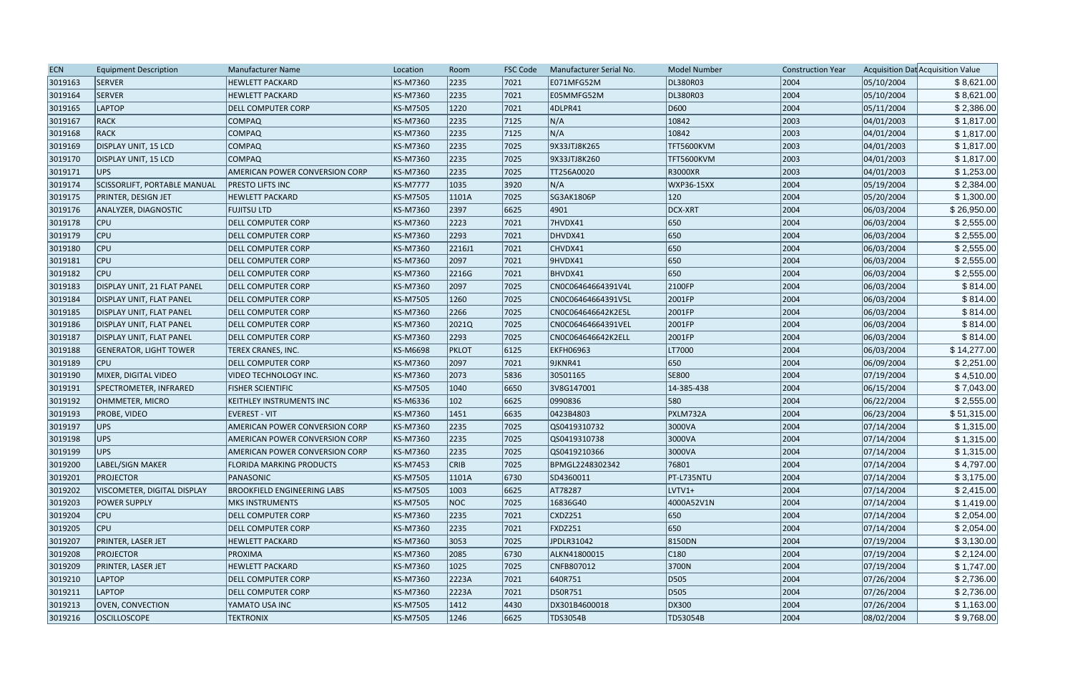| <b>ECN</b> | <b>Equipment Description</b>    | <b>Manufacturer Name</b>              | Location        | Room         | <b>FSC Code</b> | Manufacturer Serial No. | <b>Model Number</b> | <b>Construction Year</b> |            | Acquisition Dat Acquisition Value |
|------------|---------------------------------|---------------------------------------|-----------------|--------------|-----------------|-------------------------|---------------------|--------------------------|------------|-----------------------------------|
| 3019163    | SERVER                          | <b>HEWLETT PACKARD</b>                | KS-M7360        | 2235         | 7021            | E071MFG52M              | DL380R03            | 2004                     | 05/10/2004 | \$8,621.00                        |
| 3019164    | SERVER                          | <b>HEWLETT PACKARD</b>                | KS-M7360        | 2235         | 7021            | E05MMFG52M              | DL380R03            | 2004                     | 05/10/2004 | \$8,621.00                        |
| 3019165    | LAPTOP                          | <b>DELL COMPUTER CORP</b>             | KS-M7505        | 1220         | 7021            | 4DLPR41                 | D600                | 2004                     | 05/11/2004 | \$2,386.00                        |
| 3019167    | RACK                            | <b>COMPAQ</b>                         | KS-M7360        | 2235         | 7125            | N/A                     | 10842               | 2003                     | 04/01/2003 | \$1,817.00                        |
| 3019168    | RACK                            | <b>COMPAQ</b>                         | KS-M7360        | 2235         | 7125            | N/A                     | 10842               | 2003                     | 04/01/2004 | \$1,817.00                        |
| 3019169    | DISPLAY UNIT, 15 LCD            | <b>COMPAQ</b>                         | KS-M7360        | 2235         | 7025            | 9X33JTJ8K265            | TFT5600KVM          | 2003                     | 04/01/2003 | \$1,817.00                        |
| 3019170    | DISPLAY UNIT, 15 LCD            | <b>COMPAQ</b>                         | KS-M7360        | 2235         | 7025            | 9X33JTJ8K260            | TFT5600KVM          | 2003                     | 04/01/2003 | \$1,817.00                        |
| 3019171    | UPS                             | AMERICAN POWER CONVERSION CORP        | KS-M7360        | 2235         | 7025            | TT256A0020              | R3000XR             | 2003                     | 04/01/2003 | \$1,253.00                        |
| 3019174    | SCISSORLIFT, PORTABLE MANUAL    | <b>PRESTO LIFTS INC</b>               | <b>KS-M7777</b> | 1035         | 3920            | N/A                     | WXP36-15XX          | 2004                     | 05/19/2004 | \$2,384.00                        |
| 3019175    | <b>PRINTER, DESIGN JET</b>      | <b>HEWLETT PACKARD</b>                | KS-M7505        | 1101A        | 7025            | SG3AK1806P              | $ 120\rangle$       | 2004                     | 05/20/2004 | \$1,300.00                        |
| 3019176    | ANALYZER, DIAGNOSTIC            | <b>FUJITSU LTD</b>                    | KS-M7360        | 2397         | 6625            | 4901                    | DCX-XRT             | 2004                     | 06/03/2004 | \$26,950.00                       |
| 3019178    | <b>CPU</b>                      | <b>DELL COMPUTER CORP</b>             | KS-M7360        | 2223         | 7021            | 7HVDX41                 | 650                 | 2004                     | 06/03/2004 | \$2,555.00                        |
| 3019179    | <b>CPU</b>                      | <b>DELL COMPUTER CORP</b>             | KS-M7360        | 2293         | 7021            | DHVDX41                 | 650                 | 2004                     | 06/03/2004 | \$2,555.00                        |
| 3019180    | <b>CPU</b>                      | <b>DELL COMPUTER CORP</b>             | KS-M7360        | 2216J1       | 7021            | CHVDX41                 | 650                 | 2004                     | 06/03/2004 | \$2,555.00                        |
| 3019181    | <b>CPU</b>                      | <b>DELL COMPUTER CORP</b>             | KS-M7360        | 2097         | 7021            | 9HVDX41                 | 650                 | 2004                     | 06/03/2004 | \$2,555.00                        |
| 3019182    | <b>CPU</b>                      | <b>DELL COMPUTER CORP</b>             | KS-M7360        | 2216G        | 7021            | BHVDX41                 | 650                 | 2004                     | 06/03/2004 | \$2,555.00                        |
| 3019183    | DISPLAY UNIT, 21 FLAT PANEL     | <b>DELL COMPUTER CORP</b>             | KS-M7360        | 2097         | 7025            | CN0C06464664391V4L      | 2100FP              | 2004                     | 06/03/2004 | \$814.00                          |
| 3019184    | <b>DISPLAY UNIT, FLAT PANEL</b> | <b>DELL COMPUTER CORP</b>             | KS-M7505        | 1260         | 7025            | CN0C06464664391V5L      | 2001FP              | 2004                     | 06/03/2004 | \$814.00                          |
| 3019185    | <b>DISPLAY UNIT, FLAT PANEL</b> | <b>DELL COMPUTER CORP</b>             | KS-M7360        | 2266         | 7025            | CN0C064646642K2E5L      | 2001FP              | 2004                     | 06/03/2004 | \$814.00                          |
| 3019186    | <b>DISPLAY UNIT, FLAT PANEL</b> | <b>DELL COMPUTER CORP</b>             | KS-M7360        | 2021Q        | 7025            | CN0C06464664391VEL      | 2001FP              | 2004                     | 06/03/2004 | \$814.00                          |
| 3019187    | <b>DISPLAY UNIT, FLAT PANEL</b> | <b>DELL COMPUTER CORP</b>             | KS-M7360        | 2293         | 7025            | CN0C064646642K2ELL      | 2001FP              | 2004                     | 06/03/2004 | \$814.00                          |
| 3019188    | <b>GENERATOR, LIGHT TOWER</b>   | TEREX CRANES, INC.                    | KS-M6698        | <b>PKLOT</b> | 6125            | <b>EKFH06963</b>        | LT7000              | 2004                     | 06/03/2004 | \$14,277.00                       |
| 3019189    | <b>CPU</b>                      | <b>DELL COMPUTER CORP</b>             | KS-M7360        | 2097         | 7021            | 9JKNR41                 | 650                 | 2004                     | 06/09/2004 | \$2,251.00                        |
| 3019190    | MIXER, DIGITAL VIDEO            | VIDEO TECHNOLOGY INC.                 | KS-M7360        | 2073         | 5836            | 30501165                | <b>SE800</b>        | 2004                     | 07/19/2004 | \$4,510.00                        |
| 3019191    | SPECTROMETER, INFRARED          | <b>FISHER SCIENTIFIC</b>              | KS-M7505        | 1040         | 6650            | 3V8G147001              | 14-385-438          | 2004                     | 06/15/2004 | \$7,043.00                        |
| 3019192    | OHMMETER, MICRO                 | KEITHLEY INSTRUMENTS INC              | KS-M6336        | 102          | 6625            | 0990836                 | 580                 | 2004                     | 06/22/2004 | \$2,555.00                        |
| 3019193    | <b>PROBE, VIDEO</b>             | <b>EVEREST - VIT</b>                  | KS-M7360        | 1451         | 6635            | 0423B4803               | PXLM732A            | 2004                     | 06/23/2004 | \$51,315.00                       |
| 3019197    | UPS                             | <b>AMERICAN POWER CONVERSION CORP</b> | KS-M7360        | 2235         | 7025            | QS0419310732            | 3000VA              | 2004                     | 07/14/2004 | \$1,315.00                        |
| 3019198    | UPS                             | AMERICAN POWER CONVERSION CORP        | KS-M7360        | 2235         | 7025            | QS0419310738            | 3000VA              | 2004                     | 07/14/2004 | \$1,315.00                        |
| 3019199    | UPS                             | <b>AMERICAN POWER CONVERSION CORP</b> | KS-M7360        | 2235         | 7025            | QS0419210366            | 3000VA              | 2004                     | 07/14/2004 | \$1,315.00                        |
| 3019200    | LABEL/SIGN MAKER                | <b>FLORIDA MARKING PRODUCTS</b>       | KS-M7453        | <b>CRIB</b>  | 7025            | BPMGL2248302342         | 76801               | 2004                     | 07/14/2004 | \$4,797.00                        |
| 3019201    | PROJECTOR                       | PANASONIC                             | KS-M7505        | 1101A        | 6730            | SD4360011               | PT-L735NTU          | 2004                     | 07/14/2004 | \$3,175.00                        |
| 3019202    | VISCOMETER, DIGITAL DISPLAY     | <b>BROOKFIELD ENGINEERING LABS</b>    | KS-M7505        | 1003         | 6625            | AT78287                 | LVTV1+              | 2004                     | 07/14/2004 | \$2,415.00                        |
| 3019203    | <b>POWER SUPPLY</b>             | <b>MKS INSTRUMENTS</b>                | KS-M7505        | <b>NOC</b>   | 7025            | 16836G40                | 4000A52V1N          | 2004                     | 07/14/2004 | \$1,419.00                        |
| 3019204    | $ $ CPU                         | DELL COMPUTER CORP                    | KS-M7360        | 2235         | 7021            | CXDZ251                 | 650                 | 2004                     | 07/14/2004 | \$2,054.00                        |
| 3019205    | $ $ CPU                         | <b>DELL COMPUTER CORP</b>             | KS-M7360        | 2235         | 7021            | FXDZ251                 | 650                 | 2004                     | 07/14/2004 | \$2,054.00                        |
| 3019207    | <b>PRINTER, LASER JET</b>       | <b>HEWLETT PACKARD</b>                | KS-M7360        | 3053         | 7025            | JPDLR31042              | 8150DN              | 2004                     | 07/19/2004 | \$3,130.00                        |
| 3019208    | <b>PROJECTOR</b>                | PROXIMA                               | KS-M7360        | 2085         | 6730            | ALKN41800015            | C180                | 2004                     | 07/19/2004 | \$2,124.00                        |
| 3019209    | <b>PRINTER, LASER JET</b>       | <b>HEWLETT PACKARD</b>                | KS-M7360        | 1025         | 7025            | CNFB807012              | 3700N               | 2004                     | 07/19/2004 | \$1,747.00                        |
| 3019210    | <b>LAPTOP</b>                   | <b>DELL COMPUTER CORP</b>             | KS-M7360        | 2223A        | 7021            | 640R751                 | D505                | 2004                     | 07/26/2004 | \$2,736.00                        |
| 3019211    | LAPTOP                          | <b>DELL COMPUTER CORP</b>             | KS-M7360        | 2223A        | 7021            | D50R751                 | D505                | 2004                     | 07/26/2004 | \$2,736.00                        |
| 3019213    | <b>OVEN, CONVECTION</b>         | YAMATO USA INC                        | KS-M7505        | 1412         | $ 4430\rangle$  | DX301B4600018           | DX300               | 2004                     | 07/26/2004 | \$1,163.00                        |
| 3019216    | <b>OSCILLOSCOPE</b>             | <b>TEKTRONIX</b>                      | KS-M7505        | 1246         | 6625            | <b>TDS3054B</b>         | TD53054B            | 2004                     | 08/02/2004 | \$9,768.00                        |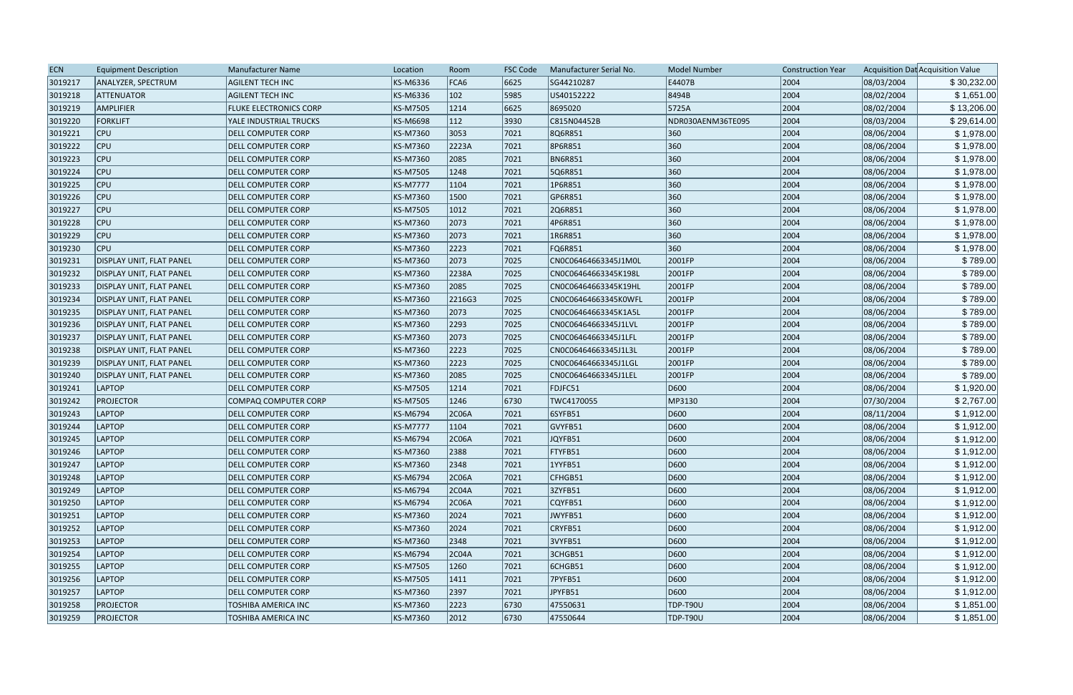| <b>ECN</b> | <b>Equipment Description</b>    | <b>Manufacturer Name</b>      | Location        | Room           | <b>FSC Code</b> | Manufacturer Serial No. | <b>Model Number</b> | <b>Construction Year</b> |            | Acquisition Dat Acquisition Value |
|------------|---------------------------------|-------------------------------|-----------------|----------------|-----------------|-------------------------|---------------------|--------------------------|------------|-----------------------------------|
| 3019217    | ANALYZER, SPECTRUM              | <b>AGILENT TECH INC</b>       | KS-M6336        | FCA6           | 6625            | SG44210287              | E4407B              | 2004                     | 08/03/2004 | \$30,232.00                       |
| 3019218    | <b>ATTENUATOR</b>               | <b>AGILENT TECH INC</b>       | KS-M6336        | 102            | 5985            | US40152222              | 8494B               | 2004                     | 08/02/2004 | \$1,651.00                        |
| 3019219    | <b>AMPLIFIER</b>                | <b>FLUKE ELECTRONICS CORP</b> | KS-M7505        | 1214           | 6625            | 8695020                 | 5725A               | 2004                     | 08/02/2004 | \$13,206.00                       |
| 3019220    | <b>FORKLIFT</b>                 | YALE INDUSTRIAL TRUCKS        | KS-M6698        | 112            | 3930            | C815N04452B             | NDR030AENM36TE095   | 2004                     | 08/03/2004 | \$29,614.00                       |
| 3019221    | $ $ CPU                         | <b>DELL COMPUTER CORP</b>     | KS-M7360        | 3053           | 7021            | 8Q6R851                 | 360                 | 2004                     | 08/06/2004 | \$1,978.00                        |
| 3019222    | <b>CPU</b>                      | <b>DELL COMPUTER CORP</b>     | KS-M7360        | 2223A          | 7021            | 8P6R851                 | 360                 | 2004                     | 08/06/2004 | \$1,978.00                        |
| 3019223    | <b>CPU</b>                      | <b>DELL COMPUTER CORP</b>     | KS-M7360        | 2085           | 7021            | <b>BN6R851</b>          | 360                 | 2004                     | 08/06/2004 | \$1,978.00                        |
| 3019224    | <b>CPU</b>                      | <b>DELL COMPUTER CORP</b>     | KS-M7505        | 1248           | 7021            | 5Q6R851                 | 360                 | 2004                     | 08/06/2004 | \$1,978.00                        |
| 3019225    | <b>CPU</b>                      | <b>DELL COMPUTER CORP</b>     | <b>KS-M7777</b> | 1104           | 7021            | 1P6R851                 | 360                 | 2004                     | 08/06/2004 | \$1,978.00                        |
| 3019226    | <b>CPU</b>                      | <b>DELL COMPUTER CORP</b>     | KS-M7360        | 1500           | 7021            | GP6R851                 | 360                 | 2004                     | 08/06/2004 | \$1,978.00                        |
| 3019227    | $ $ CPU                         | <b>DELL COMPUTER CORP</b>     | KS-M7505        | 1012           | 7021            | 2Q6R851                 | 360                 | 2004                     | 08/06/2004 | \$1,978.00                        |
| 3019228    | <b>CPU</b>                      | <b>DELL COMPUTER CORP</b>     | KS-M7360        | 2073           | 7021            | 4P6R851                 | 360                 | 2004                     | 08/06/2004 | \$1,978.00                        |
| 3019229    | <b>CPU</b>                      | <b>DELL COMPUTER CORP</b>     | KS-M7360        | 2073           | 7021            | 1R6R851                 | 360                 | 2004                     | 08/06/2004 | \$1,978.00                        |
| 3019230    | <b>CPU</b>                      | <b>DELL COMPUTER CORP</b>     | KS-M7360        | 2223           | 7021            | FQ6R851                 | 360                 | 2004                     | 08/06/2004 | \$1,978.00                        |
| 3019231    | <b>DISPLAY UNIT, FLAT PANEL</b> | <b>DELL COMPUTER CORP</b>     | KS-M7360        | 2073           | 7025            | CN0C06464663345J1M0L    | 2001FP              | 2004                     | 08/06/2004 | \$789.00                          |
| 3019232    | <b>DISPLAY UNIT, FLAT PANEL</b> | <b>DELL COMPUTER CORP</b>     | KS-M7360        | 2238A          | 7025            | CN0C06464663345K198L    | 2001FP              | 2004                     | 08/06/2004 | \$789.00                          |
| 3019233    | <b>DISPLAY UNIT, FLAT PANEL</b> | <b>DELL COMPUTER CORP</b>     | KS-M7360        | 2085           | 7025            | CN0C06464663345K19HL    | 2001FP              | 2004                     | 08/06/2004 | \$789.00                          |
| 3019234    | <b>DISPLAY UNIT, FLAT PANEL</b> | <b>DELL COMPUTER CORP</b>     | KS-M7360        | 2216G3         | 7025            | CN0C06464663345K0WFL    | 2001FP              | 2004                     | 08/06/2004 | \$789.00                          |
| 3019235    | <b>DISPLAY UNIT, FLAT PANEL</b> | <b>DELL COMPUTER CORP</b>     | KS-M7360        | 2073           | 7025            | CN0C06464663345K1A5L    | 2001FP              | 2004                     | 08/06/2004 | \$789.00                          |
| 3019236    | <b>DISPLAY UNIT, FLAT PANEL</b> | <b>DELL COMPUTER CORP</b>     | KS-M7360        | 2293           | 7025            | CN0C06464663345J1LVL    | 2001FP              | 2004                     | 08/06/2004 | \$789.00                          |
| 3019237    | <b>DISPLAY UNIT, FLAT PANEL</b> | <b>DELL COMPUTER CORP</b>     | KS-M7360        | 2073           | 7025            | CN0C06464663345J1LFL    | 2001FP              | 2004                     | 08/06/2004 | \$789.00                          |
| 3019238    | <b>DISPLAY UNIT, FLAT PANEL</b> | <b>DELL COMPUTER CORP</b>     | KS-M7360        | 2223           | 7025            | CN0C06464663345J1L3L    | 2001FP              | 2004                     | 08/06/2004 | \$789.00                          |
| 3019239    | <b>DISPLAY UNIT, FLAT PANEL</b> | <b>DELL COMPUTER CORP</b>     | KS-M7360        | 2223           | 7025            | CN0C06464663345J1LGL    | 2001FP              | 2004                     | 08/06/2004 | \$789.00                          |
| 3019240    | DISPLAY UNIT, FLAT PANEL        | <b>DELL COMPUTER CORP</b>     | KS-M7360        | 2085           | 7025            | CN0C06464663345J1LEL    | 2001FP              | 2004                     | 08/06/2004 | \$789.00                          |
| 3019241    | LAPTOP                          | <b>DELL COMPUTER CORP</b>     | KS-M7505        | 1214           | 7021            | FDJFC51                 | D600                | 2004                     | 08/06/2004 | \$1,920.00                        |
| 3019242    | <b>PROJECTOR</b>                | COMPAQ COMPUTER CORP          | KS-M7505        | 1246           | 6730            | TWC4170055              | MP3130              | 2004                     | 07/30/2004 | \$2,767.00                        |
| 3019243    | <b>LAPTOP</b>                   | <b>DELL COMPUTER CORP</b>     | KS-M6794        | 2C06A          | 7021            | 6SYFB51                 | D600                | 2004                     | 08/11/2004 | \$1,912.00                        |
| 3019244    | LAPTOP                          | <b>DELL COMPUTER CORP</b>     | <b>KS-M7777</b> | 1104           | 7021            | GVYFB51                 | D600                | 2004                     | 08/06/2004 | \$1,912.00                        |
| 3019245    | LAPTOP                          | <b>DELL COMPUTER CORP</b>     | KS-M6794        | 2C06A          | 7021            | JQYFB51                 | D600                | 2004                     | 08/06/2004 | \$1,912.00                        |
| 3019246    | LAPTOP                          | <b>DELL COMPUTER CORP</b>     | KS-M7360        | 2388           | 7021            | FTYFB51                 | D600                | 2004                     | 08/06/2004 | \$1,912.00                        |
| 3019247    | LAPTOP                          | <b>DELL COMPUTER CORP</b>     | KS-M7360        | 2348           | $ 7021$         | 1YYFB51                 | D600                | 2004                     | 08/06/2004 | \$1,912.00                        |
| 3019248    | LAPTOP                          | <b>DELL COMPUTER CORP</b>     | KS-M6794        | 2C06A          | 7021            | CFHGB51                 | D600                | 2004                     | 08/06/2004 | \$1,912.00                        |
| 3019249    | LAPTOP                          | <b>DELL COMPUTER CORP</b>     | KS-M6794        | 2C04A          | 7021            | 3ZYFB51                 | D600                | 2004                     | 08/06/2004 | \$1,912.00                        |
| 3019250    | LAPTOP                          | <b>DELL COMPUTER CORP</b>     | KS-M6794        | 2C06A          | 7021            | CQYFB51                 | D600                | 2004                     | 08/06/2004 | \$1,912.00                        |
| 3019251    | LAPTOP                          | <b>DELL COMPUTER CORP</b>     | KS-M7360        | 2024           | 7021            | JWYFB51                 | D600                | 2004                     | 08/06/2004 | \$1,912.00                        |
| 3019252    | LAPTOP                          | <b>DELL COMPUTER CORP</b>     | KS-M7360        | 2024           | 7021            | CRYFB51                 | D600                | 2004                     | 08/06/2004 | \$1,912.00                        |
| 3019253    | LAPTOP                          | <b>DELL COMPUTER CORP</b>     | KS-M7360        | 2348           | 7021            | 3VYFB51                 | D600                | 2004                     | 08/06/2004 | \$1,912.00                        |
| 3019254    | LAPTOP                          | <b>DELL COMPUTER CORP</b>     | KS-M6794        | 2C04A          | 7021            | 3CHGB51                 | D600                | 2004                     | 08/06/2004 | \$1,912.00                        |
| 3019255    | LAPTOP                          | <b>DELL COMPUTER CORP</b>     | KS-M7505        | 1260           | 7021            | 6CHGB51                 | D600                | 2004                     | 08/06/2004 | \$1,912.00                        |
| 3019256    | LAPTOP                          | <b>DELL COMPUTER CORP</b>     | KS-M7505        | 1411           | 7021            | 7PYFB51                 | D600                | 2004                     | 08/06/2004 | \$1,912.00                        |
| 3019257    | LAPTOP                          | <b>DELL COMPUTER CORP</b>     | KS-M7360        | 2397           | 7021            | JPYFB51                 | D600                | 2004                     | 08/06/2004 | \$1,912.00                        |
| 3019258    | <b>PROJECTOR</b>                | <b>TOSHIBA AMERICA INC</b>    | KS-M7360        | 2223           | 6730            | 47550631                | <b>TDP-T90U</b>     | 2004                     | 08/06/2004 | \$1,851.00                        |
| 3019259    | <b>PROJECTOR</b>                | TOSHIBA AMERICA INC           | KS-M7360        | $ 2012\rangle$ | 6730            | 47550644                | <b>TDP-T90U</b>     | 2004                     | 08/06/2004 | \$1,851.00                        |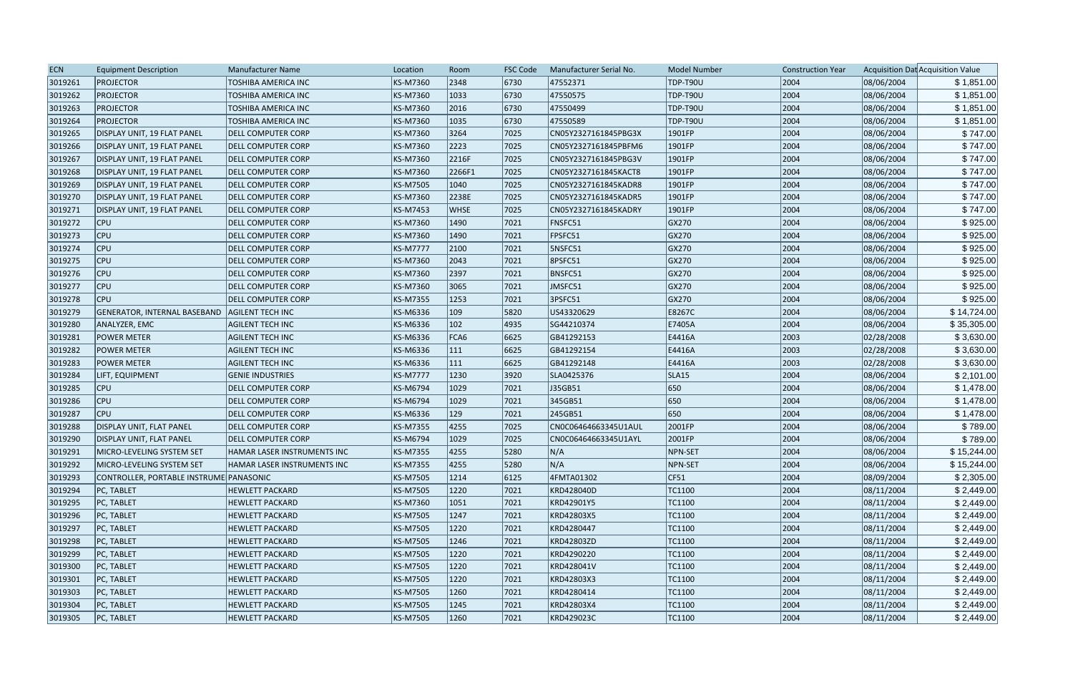| <b>ECN</b> | <b>Equipment Description</b>                    | Manufacturer Name                  | Location        | Room        | <b>FSC Code</b> | Manufacturer Serial No. | <b>Model Number</b> | <b>Construction Year</b> |            | Acquisition Dat Acquisition Value |
|------------|-------------------------------------------------|------------------------------------|-----------------|-------------|-----------------|-------------------------|---------------------|--------------------------|------------|-----------------------------------|
| 3019261    | PROJECTOR                                       | TOSHIBA AMERICA INC                | KS-M7360        | 2348        | 6730            | 47552371                | TDP-T90U            | 2004                     | 08/06/2004 | \$1,851.00                        |
| 3019262    | <b>PROJECTOR</b>                                | TOSHIBA AMERICA INC                | KS-M7360        | 1033        | 6730            | 47550575                | TDP-T90U            | 2004                     | 08/06/2004 | \$1,851.00                        |
| 3019263    | <b>PROJECTOR</b>                                | <b>TOSHIBA AMERICA INC</b>         | KS-M7360        | 2016        | 6730            | 47550499                | TDP-T90U            | 2004                     | 08/06/2004 | \$1,851.00                        |
| 3019264    | <b>PROJECTOR</b>                                | TOSHIBA AMERICA INC                | KS-M7360        | 1035        | 6730            | 47550589                | TDP-T90U            | 2004                     | 08/06/2004 | \$1,851.00                        |
| 3019265    | DISPLAY UNIT, 19 FLAT PANEL                     | <b>DELL COMPUTER CORP</b>          | KS-M7360        | 3264        | 7025            | CN05Y2327161845PBG3X    | 1901FP              | 2004                     | 08/06/2004 | \$747.00                          |
| 3019266    | DISPLAY UNIT, 19 FLAT PANEL                     | <b>DELL COMPUTER CORP</b>          | KS-M7360        | 2223        | 7025            | CN05Y2327161845PBFM6    | 1901FP              | 2004                     | 08/06/2004 | \$747.00                          |
| 3019267    | DISPLAY UNIT, 19 FLAT PANEL                     | <b>DELL COMPUTER CORP</b>          | KS-M7360        | 2216F       | 7025            | CN05Y2327161845PBG3V    | $ 1901$ FP          | 2004                     | 08/06/2004 | \$747.00                          |
| 3019268    | DISPLAY UNIT, 19 FLAT PANEL                     | <b>DELL COMPUTER CORP</b>          | KS-M7360        | 2266F1      | 7025            | CN05Y2327161845KACT8    | 1901FP              | 2004                     | 08/06/2004 | \$747.00                          |
| 3019269    | DISPLAY UNIT, 19 FLAT PANEL                     | <b>DELL COMPUTER CORP</b>          | KS-M7505        | 1040        | 7025            | CN05Y2327161845KADR8    | 1901FP              | 2004                     | 08/06/2004 | \$747.00                          |
| 3019270    | DISPLAY UNIT, 19 FLAT PANEL                     | <b>DELL COMPUTER CORP</b>          | KS-M7360        | 2238E       | 7025            | CN05Y2327161845KADR5    | 1901FP              | 2004                     | 08/06/2004 | \$747.00                          |
| 3019271    | <b>DISPLAY UNIT, 19 FLAT PANEL</b>              | <b>DELL COMPUTER CORP</b>          | KS-M7453        | <b>WHSE</b> | 7025            | CN05Y2327161845KADRY    | 1901FP              | 2004                     | 08/06/2004 | \$747.00                          |
| 3019272    | <b>CPU</b>                                      | <b>DELL COMPUTER CORP</b>          | KS-M7360        | 1490        | 7021            | FNSFC51                 | GX270               | 2004                     | 08/06/2004 | \$925.00                          |
| 3019273    | <b>CPU</b>                                      | <b>DELL COMPUTER CORP</b>          | KS-M7360        | 1490        | 7021            | FPSFC51                 | GX270               | 2004                     | 08/06/2004 | \$925.00                          |
| 3019274    | <b>CPU</b>                                      | <b>DELL COMPUTER CORP</b>          | <b>KS-M7777</b> | 2100        | 7021            | <b>5NSFC51</b>          | GX270               | 2004                     | 08/06/2004 | \$925.00                          |
| 3019275    | <b>CPU</b>                                      | <b>DELL COMPUTER CORP</b>          | KS-M7360        | 2043        | 7021            | <b>8PSFC51</b>          | GX270               | 2004                     | 08/06/2004 | \$925.00                          |
| 3019276    | <b>CPU</b>                                      | <b>DELL COMPUTER CORP</b>          | KS-M7360        | 2397        | 7021            | BNSFC51                 | GX270               | 2004                     | 08/06/2004 | \$925.00                          |
| 3019277    | <b>CPU</b>                                      | <b>DELL COMPUTER CORP</b>          | KS-M7360        | 3065        | 7021            | JMSFC51                 | GX270               | 2004                     | 08/06/2004 | \$925.00                          |
| 3019278    | <b>CPU</b>                                      | <b>DELL COMPUTER CORP</b>          | KS-M7355        | 1253        | 7021            | 3PSFC51                 | GX270               | 2004                     | 08/06/2004 | \$925.00                          |
| 3019279    | GENERATOR, INTERNAL BASEBAND   AGILENT TECH INC |                                    | KS-M6336        | 109         | 5820            | US43320629              | E8267C              | 2004                     | 08/06/2004 | \$14,724.00                       |
| 3019280    | ANALYZER, EMC                                   | <b>AGILENT TECH INC</b>            | KS-M6336        | 102         | 4935            | SG44210374              | E7405A              | 2004                     | 08/06/2004 | \$35,305.00                       |
| 3019281    | <b>POWER METER</b>                              | <b>AGILENT TECH INC</b>            | KS-M6336        | FCA6        | 6625            | GB41292153              | E4416A              | 2003                     | 02/28/2008 | \$3,630.00                        |
| 3019282    | <b>POWER METER</b>                              | <b>AGILENT TECH INC</b>            | KS-M6336        | 111         | 6625            | GB41292154              | E4416A              | 2003                     | 02/28/2008 | \$3,630.00                        |
| 3019283    | <b>POWER METER</b>                              | <b>AGILENT TECH INC</b>            | KS-M6336        | 111         | 6625            | GB41292148              | E4416A              | 2003                     | 02/28/2008 | \$3,630.00                        |
| 3019284    | <b>LIFT, EQUIPMENT</b>                          | <b>GENIE INDUSTRIES</b>            | <b>KS-M7777</b> | 1230        | 3920            | SLA0425376              | SLA <sub>15</sub>   | 2004                     | 08/06/2004 | \$2,101.00                        |
| 3019285    | <b>CPU</b>                                      | <b>DELL COMPUTER CORP</b>          | KS-M6794        | 1029        | 7021            | J35GB51                 | 650                 | 2004                     | 08/06/2004 | \$1,478.00                        |
| 3019286    | <b>CPU</b>                                      | <b>DELL COMPUTER CORP</b>          | KS-M6794        | 1029        | 7021            | 345GB51                 | 650                 | 2004                     | 08/06/2004 | \$1,478.00                        |
| 3019287    | <b>CPU</b>                                      | <b>DELL COMPUTER CORP</b>          | KS-M6336        | 129         | 7021            | 245GB51                 | 650                 | 2004                     | 08/06/2004 | \$1,478.00                        |
| 3019288    | <b>DISPLAY UNIT, FLAT PANEL</b>                 | <b>DELL COMPUTER CORP</b>          | KS-M7355        | 4255        | 7025            | CN0C06464663345U1AUL    | 2001FP              | 2004                     | 08/06/2004 | \$789.00                          |
| 3019290    | DISPLAY UNIT, FLAT PANEL                        | <b>DELL COMPUTER CORP</b>          | KS-M6794        | 1029        | 7025            | CN0C06464663345U1AYL    | 2001FP              | 2004                     | 08/06/2004 | \$789.00                          |
| 3019291    | MICRO-LEVELING SYSTEM SET                       | HAMAR LASER INSTRUMENTS INC        | KS-M7355        | 4255        | 5280            | N/A                     | NPN-SET             | 2004                     | 08/06/2004 | \$15,244.00                       |
| 3019292    | MICRO-LEVELING SYSTEM SET                       | <b>HAMAR LASER INSTRUMENTS INC</b> | KS-M7355        | 4255        | 5280            | N/A                     | NPN-SET             | 2004                     | 08/06/2004 | \$15,244.00                       |
| 3019293    | CONTROLLER, PORTABLE INSTRUME PANASONIC         |                                    | KS-M7505        | 1214        | 6125            | 4FMTA01302              | CF51                | 2004                     | 08/09/2004 | \$2,305.00                        |
| 3019294    | <b>PC, TABLET</b>                               | <b>HEWLETT PACKARD</b>             | KS-M7505        | 1220        | 7021            | KRD428040D              | TC1100              | 2004                     | 08/11/2004 | \$2,449.00                        |
| 3019295    | PC, TABLET                                      | <b>HEWLETT PACKARD</b>             | KS-M7360        | 1051        | 7021            | KRD42901Y5              | TC1100              | 2004                     | 08/11/2004 | \$2,449.00                        |
| 3019296    | PC, TABLET                                      | <b>HEWLETT PACKARD</b>             | KS-M7505        | 1247        | 7021            | KRD42803X5              | TC1100              | 2004                     | 08/11/2004 | \$2,449.00                        |
| 3019297    | PC, TABLET                                      | <b>HEWLETT PACKARD</b>             | KS-M7505        | 1220        | 7021            | KRD4280447              | TC1100              | 2004                     | 08/11/2004 | \$2,449.00                        |
| 3019298    | PC, TABLET                                      | <b>HEWLETT PACKARD</b>             | KS-M7505        | 1246        | 7021            | KRD42803ZD              | TC1100              | 2004                     | 08/11/2004 | \$2,449.00                        |
| 3019299    | PC, TABLET                                      | <b>HEWLETT PACKARD</b>             | KS-M7505        | 1220        | 7021            | KRD4290220              | TC1100              | 2004                     | 08/11/2004 | \$2,449.00                        |
| 3019300    | PC, TABLET                                      | <b>HEWLETT PACKARD</b>             | KS-M7505        | 1220        | 7021            | KRD428041V              | TC1100              | 2004                     | 08/11/2004 | \$2,449.00                        |
| 3019301    | <b>PC, TABLET</b>                               | <b>HEWLETT PACKARD</b>             | KS-M7505        | 1220        | 7021            | KRD42803X3              | TC1100              | 2004                     | 08/11/2004 | \$2,449.00                        |
| 3019303    | PC, TABLET                                      | <b>HEWLETT PACKARD</b>             | KS-M7505        | 1260        | 7021            | KRD4280414              | TC1100              | 2004                     | 08/11/2004 | \$2,449.00                        |
| 3019304    | PC, TABLET                                      | <b>HEWLETT PACKARD</b>             | KS-M7505        | 1245        | 7021            | KRD42803X4              | TC1100              | 2004                     | 08/11/2004 | \$2,449.00                        |
| 3019305    | PC, TABLET                                      | <b>HEWLETT PACKARD</b>             | KS-M7505        | 1260        | 7021            | KRD429023C              | TC1100              | 2004                     | 08/11/2004 | \$2,449.00                        |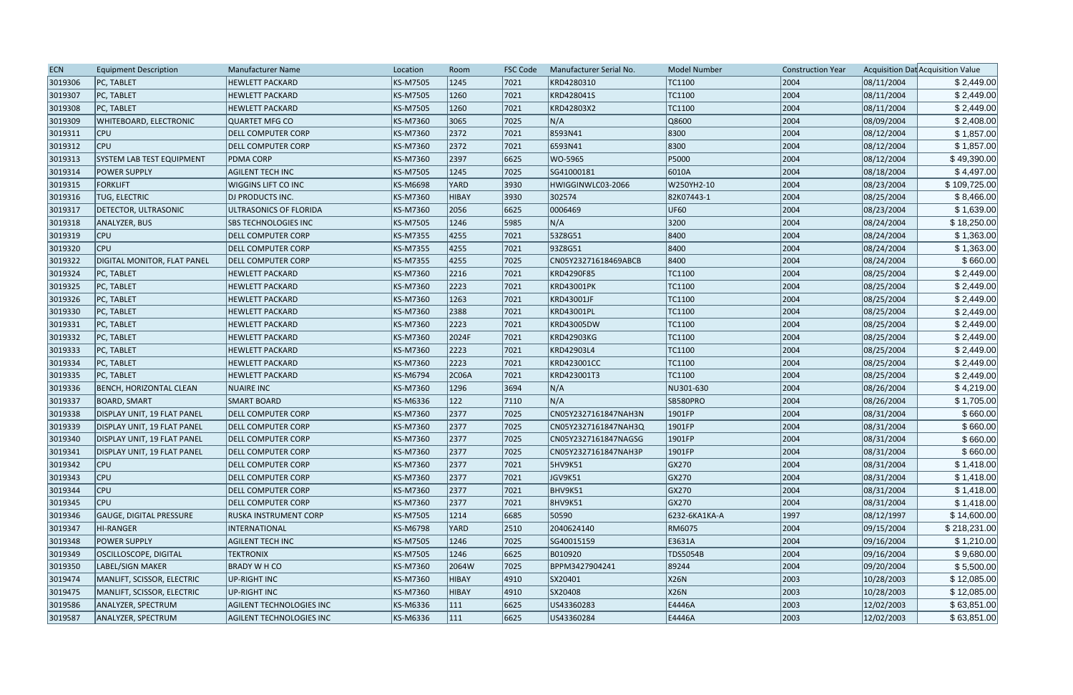| <b>HEWLETT PACKARD</b><br>KS-M7505<br>1245<br> 7021<br>KRD4280310<br>TC1100<br>2004<br>08/11/2004<br>3019306<br><b>PC, TABLET</b><br>KRD428041S<br>TC1100<br>2004<br>3019307<br>PC, TABLET<br><b>HEWLETT PACKARD</b><br>KS-M7505<br>1260<br> 7021<br>08/11/2004<br>2004<br>3019308<br><b>PC, TABLET</b><br>KS-M7505<br>1260<br>7021<br>KRD42803X2<br>TC1100<br>08/11/2004<br><b>HEWLETT PACKARD</b><br>N/A<br>7025<br>2004<br>08/09/2004<br>3019309<br><b>WHITEBOARD, ELECTRONIC</b><br>QUARTET MFG CO<br>KS-M7360<br>3065<br>Q8600<br>8300<br>2004<br>3019311<br>KS-M7360<br>2372<br>7021<br>8593N41<br>08/12/2004<br><b>CPU</b><br><b>DELL COMPUTER CORP</b><br>6593N41<br>8300<br>3019312<br>CPU<br>KS-M7360<br>2372<br>7021<br>2004<br>08/12/2004<br><b>DELL COMPUTER CORP</b><br>P5000<br>2004<br>2397<br>6625<br>3019313<br>SYSTEM LAB TEST EQUIPMENT<br>KS-M7360<br>WO-5965<br>08/12/2004<br><b>PDMA CORP</b><br>2004<br>3019314<br>KS-M7505<br>1245<br>7025<br>SG41000181<br>6010A<br>08/18/2004<br><b>POWER SUPPLY</b><br><b>AGILENT TECH INC</b><br>2004<br>3019315<br><b>FORKLIFT</b><br><b>WIGGINS LIFT CO INC</b><br>KS-M6698<br><b>YARD</b><br> 3930 <br>HWIGGINWLC03-2066<br>W250YH2-10<br>08/23/2004<br>2004<br>3930<br>3019316<br><b>TUG, ELECTRIC</b><br><b>DJ PRODUCTS INC.</b><br>KS-M7360<br><b>HIBAY</b><br>302574<br>82K07443-1<br>08/25/2004<br>2056<br>2004<br>3019317<br><b>DETECTOR, ULTRASONIC</b><br>KS-M7360<br>6625<br>0006469<br><b>UF60</b><br>08/23/2004<br>ULTRASONICS OF FLORIDA<br>N/A<br>3200<br>5985<br>2004<br>08/24/2004<br>3019318<br>ANALYZER, BUS<br>SBS TECHNOLOGIES INC<br>KS-M7505<br>1246<br>7021<br>53Z8G51<br>8400<br>2004<br>3019319<br> CPU<br>KS-M7355<br>4255<br>08/24/2004<br><b>DELL COMPUTER CORP</b><br>2004<br>3019320<br><b>CPU</b><br>KS-M7355<br>4255<br>7021<br>93Z8G51<br>8400<br>08/24/2004<br><b>DELL COMPUTER CORP</b><br>3019322<br>KS-M7355<br>4255<br>7025<br>8400<br>2004<br>08/24/2004<br>DIGITAL MONITOR, FLAT PANEL<br><b>DELL COMPUTER CORP</b><br>CN05Y23271618469ABCB<br>2216<br>2004<br>08/25/2004<br>3019324<br>PC, TABLET<br>KS-M7360<br>7021<br>KRD4290F85<br>TC1100<br><b>HEWLETT PACKARD</b><br>2004<br>2223<br>7021<br>3019325<br>PC, TABLET<br><b>HEWLETT PACKARD</b><br>KS-M7360<br><b>KRD43001PK</b><br>TC1100<br>08/25/2004<br>2004<br>08/25/2004<br>3019326<br>PC, TABLET<br>KS-M7360<br>1263<br> 7021<br>KRD43001JF<br>TC1100<br><b>HEWLETT PACKARD</b><br>2004<br>KS-M7360<br>2388<br>7021<br>TC1100<br>08/25/2004<br>3019330<br>PC, TABLET<br><b>HEWLETT PACKARD</b><br>KRD43001PL<br>2004<br>PC, TABLET<br>KS-M7360<br>2223<br>7021<br>KRD43005DW<br>08/25/2004<br>3019331<br><b>HEWLETT PACKARD</b><br>TC1100<br>2004<br>2024F<br>3019332<br>PC, TABLET<br>KS-M7360<br> 7021<br><b>KRD42903KG</b><br>TC1100<br>08/25/2004<br><b>HEWLETT PACKARD</b><br>2004<br>3019333<br>KS-M7360<br>2223<br> 7021<br>KRD42903L4<br>TC1100<br>08/25/2004<br>PC, TABLET<br><b>HEWLETT PACKARD</b><br>2004<br>3019334<br>KS-M7360<br>2223<br> 7021<br>TC1100<br>08/25/2004<br>PC, TABLET<br><b>HEWLETT PACKARD</b><br>KRD423001CC<br>2004<br>3019335<br>KS-M6794<br>2C06A<br> 7021<br>KRD423001T3<br>TC1100<br>08/25/2004<br>PC, TABLET<br><b>HEWLETT PACKARD</b><br>3019336<br>KS-M7360<br>1296<br>3694<br>N/A<br>NU301-630<br>2004<br>08/26/2004<br>BENCH, HORIZONTAL CLEAN<br>NUAIRE INC<br>2004<br>122<br>N/A<br>3019337<br>KS-M6336<br> 7110<br>SB580PRO<br>08/26/2004<br>BOARD, SMART<br><b>SMART BOARD</b><br>KS-M7360<br>2377<br>7025<br>2004<br>3019338<br>DISPLAY UNIT, 19 FLAT PANEL<br><b>DELL COMPUTER CORP</b><br>CN05Y2327161847NAH3N<br>1901FP<br>08/31/2004<br>2377<br>2004<br>3019339<br>KS-M7360<br> 7025<br>1901FP<br>08/31/2004<br>DISPLAY UNIT, 19 FLAT PANEL<br><b>DELL COMPUTER CORP</b><br>CN05Y2327161847NAH3Q<br>2004<br>3019340<br><b>DELL COMPUTER CORP</b><br>KS-M7360<br>2377<br>7025<br>CN05Y2327161847NAGSG<br>1901FP<br>08/31/2004<br>DISPLAY UNIT, 19 FLAT PANEL<br>2377<br>7025<br>2004<br>08/31/2004<br>3019341<br>KS-M7360<br>1901FP<br>DISPLAY UNIT, 19 FLAT PANEL<br><b>DELL COMPUTER CORP</b><br>CN05Y2327161847NAH3P<br><b>CPU</b><br>KS-M7360<br>2377<br> 7021<br><b>5HV9K51</b><br>GX270<br>2004<br>08/31/2004<br>3019342<br><b>DELL COMPUTER CORP</b><br>2004<br>3019343<br><b>CPU</b><br><b>DELL COMPUTER CORP</b><br>KS-M7360<br>2377<br>7021<br>JGV9K51<br>GX270<br>08/31/2004<br><b>CPU</b><br>2377<br>BHV9K51<br>GX270<br>2004<br>08/31/2004<br>3019344<br><b>DELL COMPUTER CORP</b><br>KS-M7360<br> 7021<br>2004<br>3019345<br><b>CPU</b><br><b>DELL COMPUTER CORP</b><br>KS-M7360<br>2377<br> 7021<br><b>8HV9K51</b><br>GX270<br>08/31/2004<br>08/12/1997<br>3019346<br><b>GAUGE, DIGITAL PRESSURE</b><br>RUSKA INSTRUMENT CORP<br>KS-M7505<br>1214<br>6685<br>50590<br>6232-6KA1KA-A<br>1997<br>KS-M6798<br>2040624140<br>2004<br>3019347<br>INTERNATIONAL<br><b>YARD</b><br>$ 2510\rangle$<br>RM6075<br>09/15/2004<br>HI-RANGER<br>3019348<br><b>POWER SUPPLY</b><br><b>AGILENT TECH INC</b><br>KS-M7505<br>7025<br>SG40015159<br>E3631A<br>2004<br>09/16/2004<br>1246<br>2004<br>3019349<br>OSCILLOSCOPE, DIGITAL<br><b>TEKTRONIX</b><br>KS-M7505<br>1246<br> 6625 <br>B010920<br>TDS5054B<br>09/16/2004<br>3019350<br>7025<br>BPPM3427904241<br>2004<br>09/20/2004<br>LABEL/SIGN MAKER<br><b>BRADY W H CO</b><br>KS-M7360<br>2064W<br>89244<br>X26N<br>2003<br>10/28/2003<br>3019474<br>MANLIFT, SCISSOR, ELECTRIC<br>UP-RIGHT INC<br>KS-M7360<br><b>HIBAY</b><br> 4910 <br>SX20401<br>X26N<br>2003<br>3019475<br>MANLIFT, SCISSOR, ELECTRIC<br>UP-RIGHT INC<br>KS-M7360<br>$ 4910\rangle$<br>SX20408<br>10/28/2003<br><b>HIBAY</b><br>3019586<br>KS-M6336<br>6625<br>US43360283<br>E4446A<br>2003<br>12/02/2003<br>ANALYZER, SPECTRUM<br>AGILENT TECHNOLOGIES INC<br>111 | <b>ECN</b> | <b>Equipment Description</b> | Manufacturer Name | Location | Room | <b>FSC Code</b> | Manufacturer Serial No. | <b>Model Number</b> | <b>Construction Year</b> | Acquisition Dat Acquisition Value |
|----------------------------------------------------------------------------------------------------------------------------------------------------------------------------------------------------------------------------------------------------------------------------------------------------------------------------------------------------------------------------------------------------------------------------------------------------------------------------------------------------------------------------------------------------------------------------------------------------------------------------------------------------------------------------------------------------------------------------------------------------------------------------------------------------------------------------------------------------------------------------------------------------------------------------------------------------------------------------------------------------------------------------------------------------------------------------------------------------------------------------------------------------------------------------------------------------------------------------------------------------------------------------------------------------------------------------------------------------------------------------------------------------------------------------------------------------------------------------------------------------------------------------------------------------------------------------------------------------------------------------------------------------------------------------------------------------------------------------------------------------------------------------------------------------------------------------------------------------------------------------------------------------------------------------------------------------------------------------------------------------------------------------------------------------------------------------------------------------------------------------------------------------------------------------------------------------------------------------------------------------------------------------------------------------------------------------------------------------------------------------------------------------------------------------------------------------------------------------------------------------------------------------------------------------------------------------------------------------------------------------------------------------------------------------------------------------------------------------------------------------------------------------------------------------------------------------------------------------------------------------------------------------------------------------------------------------------------------------------------------------------------------------------------------------------------------------------------------------------------------------------------------------------------------------------------------------------------------------------------------------------------------------------------------------------------------------------------------------------------------------------------------------------------------------------------------------------------------------------------------------------------------------------------------------------------------------------------------------------------------------------------------------------------------------------------------------------------------------------------------------------------------------------------------------------------------------------------------------------------------------------------------------------------------------------------------------------------------------------------------------------------------------------------------------------------------------------------------------------------------------------------------------------------------------------------------------------------------------------------------------------------------------------------------------------------------------------------------------------------------------------------------------------------------------------------------------------------------------------------------------------------------------------------------------------------------------------------------------------------------------------------------------------------------------------------------------------------------------------------------------------------------------------------------------------------------------------------------------------------------------------------------------------------------------------------------------------------------------------------------------------------------------------------------------------------------------------------------------------------------------------------------------------------------------------------------------------------------------------------------------------------------------------------------------------------------------------------------------------------------------------------------------------------------------------------------------------------------------------------------------------------------------------------------------------------------------------------------------------------------------------------------------------------------------------------------------------------------------------------------------------------------------------------------------------------|------------|------------------------------|-------------------|----------|------|-----------------|-------------------------|---------------------|--------------------------|-----------------------------------|
| \$2,449.00<br>\$2,449.00<br>\$2,408.00<br>\$1,857.00<br>\$1,857.00<br>\$49,390.00<br>\$4,497.00<br>\$109,725.00<br>\$8,466.00<br>\$1,639.00<br>\$18,250.00<br>\$1,363.00<br>\$1,363.00<br>\$660.00<br>\$2,449.00<br>\$2,449.00<br>\$2,449.00<br>\$2,449.00<br>\$2,449.00<br>\$2,449.00<br>\$2,449.00<br>\$2,449.00<br>\$2,449.00<br>\$4,219.00<br>\$1,705.00<br>\$660.00<br>\$660.00<br>\$660.00<br>\$1,418.00<br>\$1,418.00<br>\$1,418.00<br>\$1,418.00<br>\$14,600.00<br>\$1,210.00<br>\$9,680.00<br>\$5,500.00<br>\$12,085.00<br>\$12,085.00                                                                                                                                                                                                                                                                                                                                                                                                                                                                                                                                                                                                                                                                                                                                                                                                                                                                                                                                                                                                                                                                                                                                                                                                                                                                                                                                                                                                                                                                                                                                                                                                                                                                                                                                                                                                                                                                                                                                                                                                                                                                                                                                                                                                                                                                                                                                                                                                                                                                                                                                                                                                                                                                                                                                                                                                                                                                                                                                                                                                                                                                                                                                                                                                                                                                                                                                                                                                                                                                                                                                                                                                                                                                                                                                                                                                                                                                                                                                                                                                                                                                                                                                                                                                                                                                                                                                                                                                                                                                                                                                                                                                                                                                                                                                                                                                                                                                                                                                                                                                                                                                                                                                                                                                                                                                |            |                              |                   |          |      |                 |                         |                     |                          | \$2,449.00                        |
| \$660.00<br>\$218,231.00                                                                                                                                                                                                                                                                                                                                                                                                                                                                                                                                                                                                                                                                                                                                                                                                                                                                                                                                                                                                                                                                                                                                                                                                                                                                                                                                                                                                                                                                                                                                                                                                                                                                                                                                                                                                                                                                                                                                                                                                                                                                                                                                                                                                                                                                                                                                                                                                                                                                                                                                                                                                                                                                                                                                                                                                                                                                                                                                                                                                                                                                                                                                                                                                                                                                                                                                                                                                                                                                                                                                                                                                                                                                                                                                                                                                                                                                                                                                                                                                                                                                                                                                                                                                                                                                                                                                                                                                                                                                                                                                                                                                                                                                                                                                                                                                                                                                                                                                                                                                                                                                                                                                                                                                                                                                                                                                                                                                                                                                                                                                                                                                                                                                                                                                                                                       |            |                              |                   |          |      |                 |                         |                     |                          |                                   |
|                                                                                                                                                                                                                                                                                                                                                                                                                                                                                                                                                                                                                                                                                                                                                                                                                                                                                                                                                                                                                                                                                                                                                                                                                                                                                                                                                                                                                                                                                                                                                                                                                                                                                                                                                                                                                                                                                                                                                                                                                                                                                                                                                                                                                                                                                                                                                                                                                                                                                                                                                                                                                                                                                                                                                                                                                                                                                                                                                                                                                                                                                                                                                                                                                                                                                                                                                                                                                                                                                                                                                                                                                                                                                                                                                                                                                                                                                                                                                                                                                                                                                                                                                                                                                                                                                                                                                                                                                                                                                                                                                                                                                                                                                                                                                                                                                                                                                                                                                                                                                                                                                                                                                                                                                                                                                                                                                                                                                                                                                                                                                                                                                                                                                                                                                                                                                |            |                              |                   |          |      |                 |                         |                     |                          |                                   |
|                                                                                                                                                                                                                                                                                                                                                                                                                                                                                                                                                                                                                                                                                                                                                                                                                                                                                                                                                                                                                                                                                                                                                                                                                                                                                                                                                                                                                                                                                                                                                                                                                                                                                                                                                                                                                                                                                                                                                                                                                                                                                                                                                                                                                                                                                                                                                                                                                                                                                                                                                                                                                                                                                                                                                                                                                                                                                                                                                                                                                                                                                                                                                                                                                                                                                                                                                                                                                                                                                                                                                                                                                                                                                                                                                                                                                                                                                                                                                                                                                                                                                                                                                                                                                                                                                                                                                                                                                                                                                                                                                                                                                                                                                                                                                                                                                                                                                                                                                                                                                                                                                                                                                                                                                                                                                                                                                                                                                                                                                                                                                                                                                                                                                                                                                                                                                |            |                              |                   |          |      |                 |                         |                     |                          |                                   |
|                                                                                                                                                                                                                                                                                                                                                                                                                                                                                                                                                                                                                                                                                                                                                                                                                                                                                                                                                                                                                                                                                                                                                                                                                                                                                                                                                                                                                                                                                                                                                                                                                                                                                                                                                                                                                                                                                                                                                                                                                                                                                                                                                                                                                                                                                                                                                                                                                                                                                                                                                                                                                                                                                                                                                                                                                                                                                                                                                                                                                                                                                                                                                                                                                                                                                                                                                                                                                                                                                                                                                                                                                                                                                                                                                                                                                                                                                                                                                                                                                                                                                                                                                                                                                                                                                                                                                                                                                                                                                                                                                                                                                                                                                                                                                                                                                                                                                                                                                                                                                                                                                                                                                                                                                                                                                                                                                                                                                                                                                                                                                                                                                                                                                                                                                                                                                |            |                              |                   |          |      |                 |                         |                     |                          |                                   |
|                                                                                                                                                                                                                                                                                                                                                                                                                                                                                                                                                                                                                                                                                                                                                                                                                                                                                                                                                                                                                                                                                                                                                                                                                                                                                                                                                                                                                                                                                                                                                                                                                                                                                                                                                                                                                                                                                                                                                                                                                                                                                                                                                                                                                                                                                                                                                                                                                                                                                                                                                                                                                                                                                                                                                                                                                                                                                                                                                                                                                                                                                                                                                                                                                                                                                                                                                                                                                                                                                                                                                                                                                                                                                                                                                                                                                                                                                                                                                                                                                                                                                                                                                                                                                                                                                                                                                                                                                                                                                                                                                                                                                                                                                                                                                                                                                                                                                                                                                                                                                                                                                                                                                                                                                                                                                                                                                                                                                                                                                                                                                                                                                                                                                                                                                                                                                |            |                              |                   |          |      |                 |                         |                     |                          |                                   |
|                                                                                                                                                                                                                                                                                                                                                                                                                                                                                                                                                                                                                                                                                                                                                                                                                                                                                                                                                                                                                                                                                                                                                                                                                                                                                                                                                                                                                                                                                                                                                                                                                                                                                                                                                                                                                                                                                                                                                                                                                                                                                                                                                                                                                                                                                                                                                                                                                                                                                                                                                                                                                                                                                                                                                                                                                                                                                                                                                                                                                                                                                                                                                                                                                                                                                                                                                                                                                                                                                                                                                                                                                                                                                                                                                                                                                                                                                                                                                                                                                                                                                                                                                                                                                                                                                                                                                                                                                                                                                                                                                                                                                                                                                                                                                                                                                                                                                                                                                                                                                                                                                                                                                                                                                                                                                                                                                                                                                                                                                                                                                                                                                                                                                                                                                                                                                |            |                              |                   |          |      |                 |                         |                     |                          |                                   |
|                                                                                                                                                                                                                                                                                                                                                                                                                                                                                                                                                                                                                                                                                                                                                                                                                                                                                                                                                                                                                                                                                                                                                                                                                                                                                                                                                                                                                                                                                                                                                                                                                                                                                                                                                                                                                                                                                                                                                                                                                                                                                                                                                                                                                                                                                                                                                                                                                                                                                                                                                                                                                                                                                                                                                                                                                                                                                                                                                                                                                                                                                                                                                                                                                                                                                                                                                                                                                                                                                                                                                                                                                                                                                                                                                                                                                                                                                                                                                                                                                                                                                                                                                                                                                                                                                                                                                                                                                                                                                                                                                                                                                                                                                                                                                                                                                                                                                                                                                                                                                                                                                                                                                                                                                                                                                                                                                                                                                                                                                                                                                                                                                                                                                                                                                                                                                |            |                              |                   |          |      |                 |                         |                     |                          |                                   |
|                                                                                                                                                                                                                                                                                                                                                                                                                                                                                                                                                                                                                                                                                                                                                                                                                                                                                                                                                                                                                                                                                                                                                                                                                                                                                                                                                                                                                                                                                                                                                                                                                                                                                                                                                                                                                                                                                                                                                                                                                                                                                                                                                                                                                                                                                                                                                                                                                                                                                                                                                                                                                                                                                                                                                                                                                                                                                                                                                                                                                                                                                                                                                                                                                                                                                                                                                                                                                                                                                                                                                                                                                                                                                                                                                                                                                                                                                                                                                                                                                                                                                                                                                                                                                                                                                                                                                                                                                                                                                                                                                                                                                                                                                                                                                                                                                                                                                                                                                                                                                                                                                                                                                                                                                                                                                                                                                                                                                                                                                                                                                                                                                                                                                                                                                                                                                |            |                              |                   |          |      |                 |                         |                     |                          |                                   |
|                                                                                                                                                                                                                                                                                                                                                                                                                                                                                                                                                                                                                                                                                                                                                                                                                                                                                                                                                                                                                                                                                                                                                                                                                                                                                                                                                                                                                                                                                                                                                                                                                                                                                                                                                                                                                                                                                                                                                                                                                                                                                                                                                                                                                                                                                                                                                                                                                                                                                                                                                                                                                                                                                                                                                                                                                                                                                                                                                                                                                                                                                                                                                                                                                                                                                                                                                                                                                                                                                                                                                                                                                                                                                                                                                                                                                                                                                                                                                                                                                                                                                                                                                                                                                                                                                                                                                                                                                                                                                                                                                                                                                                                                                                                                                                                                                                                                                                                                                                                                                                                                                                                                                                                                                                                                                                                                                                                                                                                                                                                                                                                                                                                                                                                                                                                                                |            |                              |                   |          |      |                 |                         |                     |                          |                                   |
|                                                                                                                                                                                                                                                                                                                                                                                                                                                                                                                                                                                                                                                                                                                                                                                                                                                                                                                                                                                                                                                                                                                                                                                                                                                                                                                                                                                                                                                                                                                                                                                                                                                                                                                                                                                                                                                                                                                                                                                                                                                                                                                                                                                                                                                                                                                                                                                                                                                                                                                                                                                                                                                                                                                                                                                                                                                                                                                                                                                                                                                                                                                                                                                                                                                                                                                                                                                                                                                                                                                                                                                                                                                                                                                                                                                                                                                                                                                                                                                                                                                                                                                                                                                                                                                                                                                                                                                                                                                                                                                                                                                                                                                                                                                                                                                                                                                                                                                                                                                                                                                                                                                                                                                                                                                                                                                                                                                                                                                                                                                                                                                                                                                                                                                                                                                                                |            |                              |                   |          |      |                 |                         |                     |                          |                                   |
|                                                                                                                                                                                                                                                                                                                                                                                                                                                                                                                                                                                                                                                                                                                                                                                                                                                                                                                                                                                                                                                                                                                                                                                                                                                                                                                                                                                                                                                                                                                                                                                                                                                                                                                                                                                                                                                                                                                                                                                                                                                                                                                                                                                                                                                                                                                                                                                                                                                                                                                                                                                                                                                                                                                                                                                                                                                                                                                                                                                                                                                                                                                                                                                                                                                                                                                                                                                                                                                                                                                                                                                                                                                                                                                                                                                                                                                                                                                                                                                                                                                                                                                                                                                                                                                                                                                                                                                                                                                                                                                                                                                                                                                                                                                                                                                                                                                                                                                                                                                                                                                                                                                                                                                                                                                                                                                                                                                                                                                                                                                                                                                                                                                                                                                                                                                                                |            |                              |                   |          |      |                 |                         |                     |                          |                                   |
|                                                                                                                                                                                                                                                                                                                                                                                                                                                                                                                                                                                                                                                                                                                                                                                                                                                                                                                                                                                                                                                                                                                                                                                                                                                                                                                                                                                                                                                                                                                                                                                                                                                                                                                                                                                                                                                                                                                                                                                                                                                                                                                                                                                                                                                                                                                                                                                                                                                                                                                                                                                                                                                                                                                                                                                                                                                                                                                                                                                                                                                                                                                                                                                                                                                                                                                                                                                                                                                                                                                                                                                                                                                                                                                                                                                                                                                                                                                                                                                                                                                                                                                                                                                                                                                                                                                                                                                                                                                                                                                                                                                                                                                                                                                                                                                                                                                                                                                                                                                                                                                                                                                                                                                                                                                                                                                                                                                                                                                                                                                                                                                                                                                                                                                                                                                                                |            |                              |                   |          |      |                 |                         |                     |                          |                                   |
|                                                                                                                                                                                                                                                                                                                                                                                                                                                                                                                                                                                                                                                                                                                                                                                                                                                                                                                                                                                                                                                                                                                                                                                                                                                                                                                                                                                                                                                                                                                                                                                                                                                                                                                                                                                                                                                                                                                                                                                                                                                                                                                                                                                                                                                                                                                                                                                                                                                                                                                                                                                                                                                                                                                                                                                                                                                                                                                                                                                                                                                                                                                                                                                                                                                                                                                                                                                                                                                                                                                                                                                                                                                                                                                                                                                                                                                                                                                                                                                                                                                                                                                                                                                                                                                                                                                                                                                                                                                                                                                                                                                                                                                                                                                                                                                                                                                                                                                                                                                                                                                                                                                                                                                                                                                                                                                                                                                                                                                                                                                                                                                                                                                                                                                                                                                                                |            |                              |                   |          |      |                 |                         |                     |                          |                                   |
|                                                                                                                                                                                                                                                                                                                                                                                                                                                                                                                                                                                                                                                                                                                                                                                                                                                                                                                                                                                                                                                                                                                                                                                                                                                                                                                                                                                                                                                                                                                                                                                                                                                                                                                                                                                                                                                                                                                                                                                                                                                                                                                                                                                                                                                                                                                                                                                                                                                                                                                                                                                                                                                                                                                                                                                                                                                                                                                                                                                                                                                                                                                                                                                                                                                                                                                                                                                                                                                                                                                                                                                                                                                                                                                                                                                                                                                                                                                                                                                                                                                                                                                                                                                                                                                                                                                                                                                                                                                                                                                                                                                                                                                                                                                                                                                                                                                                                                                                                                                                                                                                                                                                                                                                                                                                                                                                                                                                                                                                                                                                                                                                                                                                                                                                                                                                                |            |                              |                   |          |      |                 |                         |                     |                          |                                   |
|                                                                                                                                                                                                                                                                                                                                                                                                                                                                                                                                                                                                                                                                                                                                                                                                                                                                                                                                                                                                                                                                                                                                                                                                                                                                                                                                                                                                                                                                                                                                                                                                                                                                                                                                                                                                                                                                                                                                                                                                                                                                                                                                                                                                                                                                                                                                                                                                                                                                                                                                                                                                                                                                                                                                                                                                                                                                                                                                                                                                                                                                                                                                                                                                                                                                                                                                                                                                                                                                                                                                                                                                                                                                                                                                                                                                                                                                                                                                                                                                                                                                                                                                                                                                                                                                                                                                                                                                                                                                                                                                                                                                                                                                                                                                                                                                                                                                                                                                                                                                                                                                                                                                                                                                                                                                                                                                                                                                                                                                                                                                                                                                                                                                                                                                                                                                                |            |                              |                   |          |      |                 |                         |                     |                          |                                   |
|                                                                                                                                                                                                                                                                                                                                                                                                                                                                                                                                                                                                                                                                                                                                                                                                                                                                                                                                                                                                                                                                                                                                                                                                                                                                                                                                                                                                                                                                                                                                                                                                                                                                                                                                                                                                                                                                                                                                                                                                                                                                                                                                                                                                                                                                                                                                                                                                                                                                                                                                                                                                                                                                                                                                                                                                                                                                                                                                                                                                                                                                                                                                                                                                                                                                                                                                                                                                                                                                                                                                                                                                                                                                                                                                                                                                                                                                                                                                                                                                                                                                                                                                                                                                                                                                                                                                                                                                                                                                                                                                                                                                                                                                                                                                                                                                                                                                                                                                                                                                                                                                                                                                                                                                                                                                                                                                                                                                                                                                                                                                                                                                                                                                                                                                                                                                                |            |                              |                   |          |      |                 |                         |                     |                          |                                   |
|                                                                                                                                                                                                                                                                                                                                                                                                                                                                                                                                                                                                                                                                                                                                                                                                                                                                                                                                                                                                                                                                                                                                                                                                                                                                                                                                                                                                                                                                                                                                                                                                                                                                                                                                                                                                                                                                                                                                                                                                                                                                                                                                                                                                                                                                                                                                                                                                                                                                                                                                                                                                                                                                                                                                                                                                                                                                                                                                                                                                                                                                                                                                                                                                                                                                                                                                                                                                                                                                                                                                                                                                                                                                                                                                                                                                                                                                                                                                                                                                                                                                                                                                                                                                                                                                                                                                                                                                                                                                                                                                                                                                                                                                                                                                                                                                                                                                                                                                                                                                                                                                                                                                                                                                                                                                                                                                                                                                                                                                                                                                                                                                                                                                                                                                                                                                                |            |                              |                   |          |      |                 |                         |                     |                          |                                   |
|                                                                                                                                                                                                                                                                                                                                                                                                                                                                                                                                                                                                                                                                                                                                                                                                                                                                                                                                                                                                                                                                                                                                                                                                                                                                                                                                                                                                                                                                                                                                                                                                                                                                                                                                                                                                                                                                                                                                                                                                                                                                                                                                                                                                                                                                                                                                                                                                                                                                                                                                                                                                                                                                                                                                                                                                                                                                                                                                                                                                                                                                                                                                                                                                                                                                                                                                                                                                                                                                                                                                                                                                                                                                                                                                                                                                                                                                                                                                                                                                                                                                                                                                                                                                                                                                                                                                                                                                                                                                                                                                                                                                                                                                                                                                                                                                                                                                                                                                                                                                                                                                                                                                                                                                                                                                                                                                                                                                                                                                                                                                                                                                                                                                                                                                                                                                                |            |                              |                   |          |      |                 |                         |                     |                          |                                   |
|                                                                                                                                                                                                                                                                                                                                                                                                                                                                                                                                                                                                                                                                                                                                                                                                                                                                                                                                                                                                                                                                                                                                                                                                                                                                                                                                                                                                                                                                                                                                                                                                                                                                                                                                                                                                                                                                                                                                                                                                                                                                                                                                                                                                                                                                                                                                                                                                                                                                                                                                                                                                                                                                                                                                                                                                                                                                                                                                                                                                                                                                                                                                                                                                                                                                                                                                                                                                                                                                                                                                                                                                                                                                                                                                                                                                                                                                                                                                                                                                                                                                                                                                                                                                                                                                                                                                                                                                                                                                                                                                                                                                                                                                                                                                                                                                                                                                                                                                                                                                                                                                                                                                                                                                                                                                                                                                                                                                                                                                                                                                                                                                                                                                                                                                                                                                                |            |                              |                   |          |      |                 |                         |                     |                          |                                   |
|                                                                                                                                                                                                                                                                                                                                                                                                                                                                                                                                                                                                                                                                                                                                                                                                                                                                                                                                                                                                                                                                                                                                                                                                                                                                                                                                                                                                                                                                                                                                                                                                                                                                                                                                                                                                                                                                                                                                                                                                                                                                                                                                                                                                                                                                                                                                                                                                                                                                                                                                                                                                                                                                                                                                                                                                                                                                                                                                                                                                                                                                                                                                                                                                                                                                                                                                                                                                                                                                                                                                                                                                                                                                                                                                                                                                                                                                                                                                                                                                                                                                                                                                                                                                                                                                                                                                                                                                                                                                                                                                                                                                                                                                                                                                                                                                                                                                                                                                                                                                                                                                                                                                                                                                                                                                                                                                                                                                                                                                                                                                                                                                                                                                                                                                                                                                                |            |                              |                   |          |      |                 |                         |                     |                          |                                   |
|                                                                                                                                                                                                                                                                                                                                                                                                                                                                                                                                                                                                                                                                                                                                                                                                                                                                                                                                                                                                                                                                                                                                                                                                                                                                                                                                                                                                                                                                                                                                                                                                                                                                                                                                                                                                                                                                                                                                                                                                                                                                                                                                                                                                                                                                                                                                                                                                                                                                                                                                                                                                                                                                                                                                                                                                                                                                                                                                                                                                                                                                                                                                                                                                                                                                                                                                                                                                                                                                                                                                                                                                                                                                                                                                                                                                                                                                                                                                                                                                                                                                                                                                                                                                                                                                                                                                                                                                                                                                                                                                                                                                                                                                                                                                                                                                                                                                                                                                                                                                                                                                                                                                                                                                                                                                                                                                                                                                                                                                                                                                                                                                                                                                                                                                                                                                                |            |                              |                   |          |      |                 |                         |                     |                          |                                   |
|                                                                                                                                                                                                                                                                                                                                                                                                                                                                                                                                                                                                                                                                                                                                                                                                                                                                                                                                                                                                                                                                                                                                                                                                                                                                                                                                                                                                                                                                                                                                                                                                                                                                                                                                                                                                                                                                                                                                                                                                                                                                                                                                                                                                                                                                                                                                                                                                                                                                                                                                                                                                                                                                                                                                                                                                                                                                                                                                                                                                                                                                                                                                                                                                                                                                                                                                                                                                                                                                                                                                                                                                                                                                                                                                                                                                                                                                                                                                                                                                                                                                                                                                                                                                                                                                                                                                                                                                                                                                                                                                                                                                                                                                                                                                                                                                                                                                                                                                                                                                                                                                                                                                                                                                                                                                                                                                                                                                                                                                                                                                                                                                                                                                                                                                                                                                                |            |                              |                   |          |      |                 |                         |                     |                          |                                   |
|                                                                                                                                                                                                                                                                                                                                                                                                                                                                                                                                                                                                                                                                                                                                                                                                                                                                                                                                                                                                                                                                                                                                                                                                                                                                                                                                                                                                                                                                                                                                                                                                                                                                                                                                                                                                                                                                                                                                                                                                                                                                                                                                                                                                                                                                                                                                                                                                                                                                                                                                                                                                                                                                                                                                                                                                                                                                                                                                                                                                                                                                                                                                                                                                                                                                                                                                                                                                                                                                                                                                                                                                                                                                                                                                                                                                                                                                                                                                                                                                                                                                                                                                                                                                                                                                                                                                                                                                                                                                                                                                                                                                                                                                                                                                                                                                                                                                                                                                                                                                                                                                                                                                                                                                                                                                                                                                                                                                                                                                                                                                                                                                                                                                                                                                                                                                                |            |                              |                   |          |      |                 |                         |                     |                          |                                   |
|                                                                                                                                                                                                                                                                                                                                                                                                                                                                                                                                                                                                                                                                                                                                                                                                                                                                                                                                                                                                                                                                                                                                                                                                                                                                                                                                                                                                                                                                                                                                                                                                                                                                                                                                                                                                                                                                                                                                                                                                                                                                                                                                                                                                                                                                                                                                                                                                                                                                                                                                                                                                                                                                                                                                                                                                                                                                                                                                                                                                                                                                                                                                                                                                                                                                                                                                                                                                                                                                                                                                                                                                                                                                                                                                                                                                                                                                                                                                                                                                                                                                                                                                                                                                                                                                                                                                                                                                                                                                                                                                                                                                                                                                                                                                                                                                                                                                                                                                                                                                                                                                                                                                                                                                                                                                                                                                                                                                                                                                                                                                                                                                                                                                                                                                                                                                                |            |                              |                   |          |      |                 |                         |                     |                          |                                   |
|                                                                                                                                                                                                                                                                                                                                                                                                                                                                                                                                                                                                                                                                                                                                                                                                                                                                                                                                                                                                                                                                                                                                                                                                                                                                                                                                                                                                                                                                                                                                                                                                                                                                                                                                                                                                                                                                                                                                                                                                                                                                                                                                                                                                                                                                                                                                                                                                                                                                                                                                                                                                                                                                                                                                                                                                                                                                                                                                                                                                                                                                                                                                                                                                                                                                                                                                                                                                                                                                                                                                                                                                                                                                                                                                                                                                                                                                                                                                                                                                                                                                                                                                                                                                                                                                                                                                                                                                                                                                                                                                                                                                                                                                                                                                                                                                                                                                                                                                                                                                                                                                                                                                                                                                                                                                                                                                                                                                                                                                                                                                                                                                                                                                                                                                                                                                                |            |                              |                   |          |      |                 |                         |                     |                          |                                   |
|                                                                                                                                                                                                                                                                                                                                                                                                                                                                                                                                                                                                                                                                                                                                                                                                                                                                                                                                                                                                                                                                                                                                                                                                                                                                                                                                                                                                                                                                                                                                                                                                                                                                                                                                                                                                                                                                                                                                                                                                                                                                                                                                                                                                                                                                                                                                                                                                                                                                                                                                                                                                                                                                                                                                                                                                                                                                                                                                                                                                                                                                                                                                                                                                                                                                                                                                                                                                                                                                                                                                                                                                                                                                                                                                                                                                                                                                                                                                                                                                                                                                                                                                                                                                                                                                                                                                                                                                                                                                                                                                                                                                                                                                                                                                                                                                                                                                                                                                                                                                                                                                                                                                                                                                                                                                                                                                                                                                                                                                                                                                                                                                                                                                                                                                                                                                                |            |                              |                   |          |      |                 |                         |                     |                          |                                   |
|                                                                                                                                                                                                                                                                                                                                                                                                                                                                                                                                                                                                                                                                                                                                                                                                                                                                                                                                                                                                                                                                                                                                                                                                                                                                                                                                                                                                                                                                                                                                                                                                                                                                                                                                                                                                                                                                                                                                                                                                                                                                                                                                                                                                                                                                                                                                                                                                                                                                                                                                                                                                                                                                                                                                                                                                                                                                                                                                                                                                                                                                                                                                                                                                                                                                                                                                                                                                                                                                                                                                                                                                                                                                                                                                                                                                                                                                                                                                                                                                                                                                                                                                                                                                                                                                                                                                                                                                                                                                                                                                                                                                                                                                                                                                                                                                                                                                                                                                                                                                                                                                                                                                                                                                                                                                                                                                                                                                                                                                                                                                                                                                                                                                                                                                                                                                                |            |                              |                   |          |      |                 |                         |                     |                          |                                   |
|                                                                                                                                                                                                                                                                                                                                                                                                                                                                                                                                                                                                                                                                                                                                                                                                                                                                                                                                                                                                                                                                                                                                                                                                                                                                                                                                                                                                                                                                                                                                                                                                                                                                                                                                                                                                                                                                                                                                                                                                                                                                                                                                                                                                                                                                                                                                                                                                                                                                                                                                                                                                                                                                                                                                                                                                                                                                                                                                                                                                                                                                                                                                                                                                                                                                                                                                                                                                                                                                                                                                                                                                                                                                                                                                                                                                                                                                                                                                                                                                                                                                                                                                                                                                                                                                                                                                                                                                                                                                                                                                                                                                                                                                                                                                                                                                                                                                                                                                                                                                                                                                                                                                                                                                                                                                                                                                                                                                                                                                                                                                                                                                                                                                                                                                                                                                                |            |                              |                   |          |      |                 |                         |                     |                          |                                   |
|                                                                                                                                                                                                                                                                                                                                                                                                                                                                                                                                                                                                                                                                                                                                                                                                                                                                                                                                                                                                                                                                                                                                                                                                                                                                                                                                                                                                                                                                                                                                                                                                                                                                                                                                                                                                                                                                                                                                                                                                                                                                                                                                                                                                                                                                                                                                                                                                                                                                                                                                                                                                                                                                                                                                                                                                                                                                                                                                                                                                                                                                                                                                                                                                                                                                                                                                                                                                                                                                                                                                                                                                                                                                                                                                                                                                                                                                                                                                                                                                                                                                                                                                                                                                                                                                                                                                                                                                                                                                                                                                                                                                                                                                                                                                                                                                                                                                                                                                                                                                                                                                                                                                                                                                                                                                                                                                                                                                                                                                                                                                                                                                                                                                                                                                                                                                                |            |                              |                   |          |      |                 |                         |                     |                          |                                   |
|                                                                                                                                                                                                                                                                                                                                                                                                                                                                                                                                                                                                                                                                                                                                                                                                                                                                                                                                                                                                                                                                                                                                                                                                                                                                                                                                                                                                                                                                                                                                                                                                                                                                                                                                                                                                                                                                                                                                                                                                                                                                                                                                                                                                                                                                                                                                                                                                                                                                                                                                                                                                                                                                                                                                                                                                                                                                                                                                                                                                                                                                                                                                                                                                                                                                                                                                                                                                                                                                                                                                                                                                                                                                                                                                                                                                                                                                                                                                                                                                                                                                                                                                                                                                                                                                                                                                                                                                                                                                                                                                                                                                                                                                                                                                                                                                                                                                                                                                                                                                                                                                                                                                                                                                                                                                                                                                                                                                                                                                                                                                                                                                                                                                                                                                                                                                                |            |                              |                   |          |      |                 |                         |                     |                          |                                   |
|                                                                                                                                                                                                                                                                                                                                                                                                                                                                                                                                                                                                                                                                                                                                                                                                                                                                                                                                                                                                                                                                                                                                                                                                                                                                                                                                                                                                                                                                                                                                                                                                                                                                                                                                                                                                                                                                                                                                                                                                                                                                                                                                                                                                                                                                                                                                                                                                                                                                                                                                                                                                                                                                                                                                                                                                                                                                                                                                                                                                                                                                                                                                                                                                                                                                                                                                                                                                                                                                                                                                                                                                                                                                                                                                                                                                                                                                                                                                                                                                                                                                                                                                                                                                                                                                                                                                                                                                                                                                                                                                                                                                                                                                                                                                                                                                                                                                                                                                                                                                                                                                                                                                                                                                                                                                                                                                                                                                                                                                                                                                                                                                                                                                                                                                                                                                                |            |                              |                   |          |      |                 |                         |                     |                          |                                   |
|                                                                                                                                                                                                                                                                                                                                                                                                                                                                                                                                                                                                                                                                                                                                                                                                                                                                                                                                                                                                                                                                                                                                                                                                                                                                                                                                                                                                                                                                                                                                                                                                                                                                                                                                                                                                                                                                                                                                                                                                                                                                                                                                                                                                                                                                                                                                                                                                                                                                                                                                                                                                                                                                                                                                                                                                                                                                                                                                                                                                                                                                                                                                                                                                                                                                                                                                                                                                                                                                                                                                                                                                                                                                                                                                                                                                                                                                                                                                                                                                                                                                                                                                                                                                                                                                                                                                                                                                                                                                                                                                                                                                                                                                                                                                                                                                                                                                                                                                                                                                                                                                                                                                                                                                                                                                                                                                                                                                                                                                                                                                                                                                                                                                                                                                                                                                                |            |                              |                   |          |      |                 |                         |                     |                          |                                   |
|                                                                                                                                                                                                                                                                                                                                                                                                                                                                                                                                                                                                                                                                                                                                                                                                                                                                                                                                                                                                                                                                                                                                                                                                                                                                                                                                                                                                                                                                                                                                                                                                                                                                                                                                                                                                                                                                                                                                                                                                                                                                                                                                                                                                                                                                                                                                                                                                                                                                                                                                                                                                                                                                                                                                                                                                                                                                                                                                                                                                                                                                                                                                                                                                                                                                                                                                                                                                                                                                                                                                                                                                                                                                                                                                                                                                                                                                                                                                                                                                                                                                                                                                                                                                                                                                                                                                                                                                                                                                                                                                                                                                                                                                                                                                                                                                                                                                                                                                                                                                                                                                                                                                                                                                                                                                                                                                                                                                                                                                                                                                                                                                                                                                                                                                                                                                                |            |                              |                   |          |      |                 |                         |                     |                          |                                   |
|                                                                                                                                                                                                                                                                                                                                                                                                                                                                                                                                                                                                                                                                                                                                                                                                                                                                                                                                                                                                                                                                                                                                                                                                                                                                                                                                                                                                                                                                                                                                                                                                                                                                                                                                                                                                                                                                                                                                                                                                                                                                                                                                                                                                                                                                                                                                                                                                                                                                                                                                                                                                                                                                                                                                                                                                                                                                                                                                                                                                                                                                                                                                                                                                                                                                                                                                                                                                                                                                                                                                                                                                                                                                                                                                                                                                                                                                                                                                                                                                                                                                                                                                                                                                                                                                                                                                                                                                                                                                                                                                                                                                                                                                                                                                                                                                                                                                                                                                                                                                                                                                                                                                                                                                                                                                                                                                                                                                                                                                                                                                                                                                                                                                                                                                                                                                                |            |                              |                   |          |      |                 |                         |                     |                          |                                   |
|                                                                                                                                                                                                                                                                                                                                                                                                                                                                                                                                                                                                                                                                                                                                                                                                                                                                                                                                                                                                                                                                                                                                                                                                                                                                                                                                                                                                                                                                                                                                                                                                                                                                                                                                                                                                                                                                                                                                                                                                                                                                                                                                                                                                                                                                                                                                                                                                                                                                                                                                                                                                                                                                                                                                                                                                                                                                                                                                                                                                                                                                                                                                                                                                                                                                                                                                                                                                                                                                                                                                                                                                                                                                                                                                                                                                                                                                                                                                                                                                                                                                                                                                                                                                                                                                                                                                                                                                                                                                                                                                                                                                                                                                                                                                                                                                                                                                                                                                                                                                                                                                                                                                                                                                                                                                                                                                                                                                                                                                                                                                                                                                                                                                                                                                                                                                                |            |                              |                   |          |      |                 |                         |                     |                          |                                   |
| \$63,851.00                                                                                                                                                                                                                                                                                                                                                                                                                                                                                                                                                                                                                                                                                                                                                                                                                                                                                                                                                                                                                                                                                                                                                                                                                                                                                                                                                                                                                                                                                                                                                                                                                                                                                                                                                                                                                                                                                                                                                                                                                                                                                                                                                                                                                                                                                                                                                                                                                                                                                                                                                                                                                                                                                                                                                                                                                                                                                                                                                                                                                                                                                                                                                                                                                                                                                                                                                                                                                                                                                                                                                                                                                                                                                                                                                                                                                                                                                                                                                                                                                                                                                                                                                                                                                                                                                                                                                                                                                                                                                                                                                                                                                                                                                                                                                                                                                                                                                                                                                                                                                                                                                                                                                                                                                                                                                                                                                                                                                                                                                                                                                                                                                                                                                                                                                                                                    |            |                              |                   |          |      |                 |                         |                     |                          |                                   |
|                                                                                                                                                                                                                                                                                                                                                                                                                                                                                                                                                                                                                                                                                                                                                                                                                                                                                                                                                                                                                                                                                                                                                                                                                                                                                                                                                                                                                                                                                                                                                                                                                                                                                                                                                                                                                                                                                                                                                                                                                                                                                                                                                                                                                                                                                                                                                                                                                                                                                                                                                                                                                                                                                                                                                                                                                                                                                                                                                                                                                                                                                                                                                                                                                                                                                                                                                                                                                                                                                                                                                                                                                                                                                                                                                                                                                                                                                                                                                                                                                                                                                                                                                                                                                                                                                                                                                                                                                                                                                                                                                                                                                                                                                                                                                                                                                                                                                                                                                                                                                                                                                                                                                                                                                                                                                                                                                                                                                                                                                                                                                                                                                                                                                                                                                                                                                |            |                              |                   |          |      |                 |                         |                     |                          |                                   |
|                                                                                                                                                                                                                                                                                                                                                                                                                                                                                                                                                                                                                                                                                                                                                                                                                                                                                                                                                                                                                                                                                                                                                                                                                                                                                                                                                                                                                                                                                                                                                                                                                                                                                                                                                                                                                                                                                                                                                                                                                                                                                                                                                                                                                                                                                                                                                                                                                                                                                                                                                                                                                                                                                                                                                                                                                                                                                                                                                                                                                                                                                                                                                                                                                                                                                                                                                                                                                                                                                                                                                                                                                                                                                                                                                                                                                                                                                                                                                                                                                                                                                                                                                                                                                                                                                                                                                                                                                                                                                                                                                                                                                                                                                                                                                                                                                                                                                                                                                                                                                                                                                                                                                                                                                                                                                                                                                                                                                                                                                                                                                                                                                                                                                                                                                                                                                |            |                              |                   |          |      |                 |                         |                     |                          |                                   |
|                                                                                                                                                                                                                                                                                                                                                                                                                                                                                                                                                                                                                                                                                                                                                                                                                                                                                                                                                                                                                                                                                                                                                                                                                                                                                                                                                                                                                                                                                                                                                                                                                                                                                                                                                                                                                                                                                                                                                                                                                                                                                                                                                                                                                                                                                                                                                                                                                                                                                                                                                                                                                                                                                                                                                                                                                                                                                                                                                                                                                                                                                                                                                                                                                                                                                                                                                                                                                                                                                                                                                                                                                                                                                                                                                                                                                                                                                                                                                                                                                                                                                                                                                                                                                                                                                                                                                                                                                                                                                                                                                                                                                                                                                                                                                                                                                                                                                                                                                                                                                                                                                                                                                                                                                                                                                                                                                                                                                                                                                                                                                                                                                                                                                                                                                                                                                |            |                              |                   |          |      |                 |                         |                     |                          |                                   |
|                                                                                                                                                                                                                                                                                                                                                                                                                                                                                                                                                                                                                                                                                                                                                                                                                                                                                                                                                                                                                                                                                                                                                                                                                                                                                                                                                                                                                                                                                                                                                                                                                                                                                                                                                                                                                                                                                                                                                                                                                                                                                                                                                                                                                                                                                                                                                                                                                                                                                                                                                                                                                                                                                                                                                                                                                                                                                                                                                                                                                                                                                                                                                                                                                                                                                                                                                                                                                                                                                                                                                                                                                                                                                                                                                                                                                                                                                                                                                                                                                                                                                                                                                                                                                                                                                                                                                                                                                                                                                                                                                                                                                                                                                                                                                                                                                                                                                                                                                                                                                                                                                                                                                                                                                                                                                                                                                                                                                                                                                                                                                                                                                                                                                                                                                                                                                |            |                              |                   |          |      |                 |                         |                     |                          |                                   |
|                                                                                                                                                                                                                                                                                                                                                                                                                                                                                                                                                                                                                                                                                                                                                                                                                                                                                                                                                                                                                                                                                                                                                                                                                                                                                                                                                                                                                                                                                                                                                                                                                                                                                                                                                                                                                                                                                                                                                                                                                                                                                                                                                                                                                                                                                                                                                                                                                                                                                                                                                                                                                                                                                                                                                                                                                                                                                                                                                                                                                                                                                                                                                                                                                                                                                                                                                                                                                                                                                                                                                                                                                                                                                                                                                                                                                                                                                                                                                                                                                                                                                                                                                                                                                                                                                                                                                                                                                                                                                                                                                                                                                                                                                                                                                                                                                                                                                                                                                                                                                                                                                                                                                                                                                                                                                                                                                                                                                                                                                                                                                                                                                                                                                                                                                                                                                |            |                              |                   |          |      |                 |                         |                     |                          |                                   |
| 3019587<br>6625<br>US43360284<br>2003<br>12/02/2003<br>\$63,851.00<br>ANALYZER, SPECTRUM<br><b>AGILENT TECHNOLOGIES INC</b><br>KS-M6336<br> 111 <br>E4446A                                                                                                                                                                                                                                                                                                                                                                                                                                                                                                                                                                                                                                                                                                                                                                                                                                                                                                                                                                                                                                                                                                                                                                                                                                                                                                                                                                                                                                                                                                                                                                                                                                                                                                                                                                                                                                                                                                                                                                                                                                                                                                                                                                                                                                                                                                                                                                                                                                                                                                                                                                                                                                                                                                                                                                                                                                                                                                                                                                                                                                                                                                                                                                                                                                                                                                                                                                                                                                                                                                                                                                                                                                                                                                                                                                                                                                                                                                                                                                                                                                                                                                                                                                                                                                                                                                                                                                                                                                                                                                                                                                                                                                                                                                                                                                                                                                                                                                                                                                                                                                                                                                                                                                                                                                                                                                                                                                                                                                                                                                                                                                                                                                                     |            |                              |                   |          |      |                 |                         |                     |                          |                                   |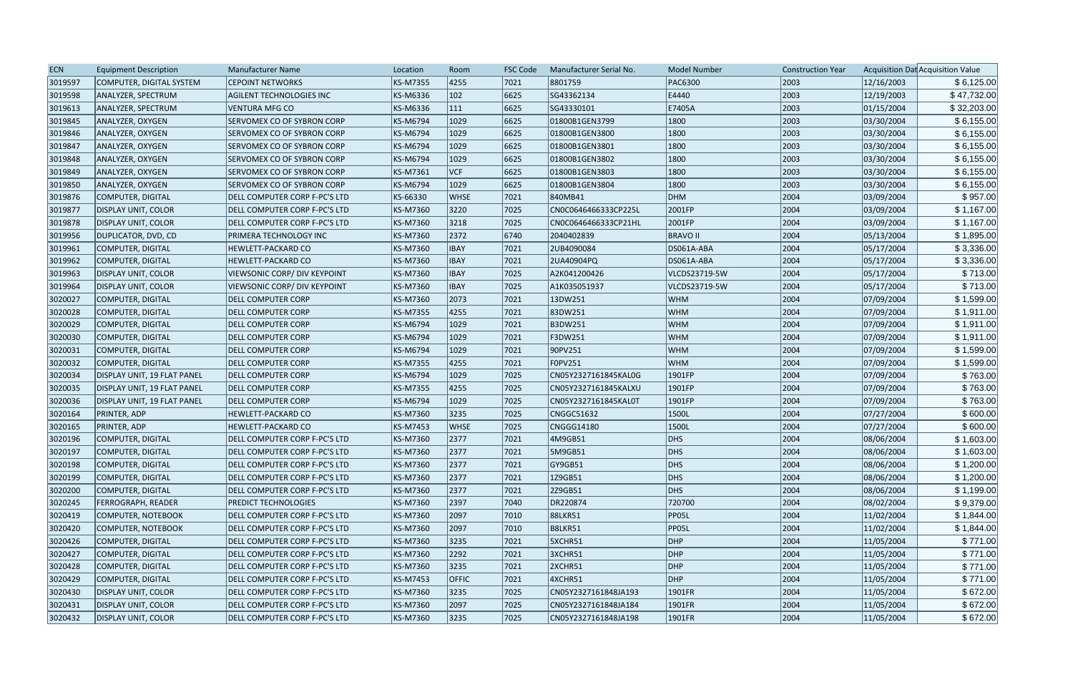| <b>ECN</b> | <b>Equipment Description</b> | <b>Manufacturer Name</b>            | Location        | Room          | <b>FSC Code</b> | Manufacturer Serial No. | <b>Model Number</b> | <b>Construction Year</b> |            | Acquisition Dat Acquisition Value |
|------------|------------------------------|-------------------------------------|-----------------|---------------|-----------------|-------------------------|---------------------|--------------------------|------------|-----------------------------------|
| 3019597    | COMPUTER, DIGITAL SYSTEM     | <b>CEPOINT NETWORKS</b>             | <b>KS-M7355</b> | 4255          | 7021            | 8801759                 | <b>PAC6300</b>      | 2003                     | 12/16/2003 | \$6,125.00                        |
| 3019598    | ANALYZER, SPECTRUM           | AGILENT TECHNOLOGIES INC            | KS-M6336        | $ 102\rangle$ | 6625            | SG43362134              | E4440               | 2003                     | 12/19/2003 | \$47,732.00                       |
| 3019613    | ANALYZER, SPECTRUM           | <b>VENTURA MFG CO</b>               | <b>KS-M6336</b> | $ 111\rangle$ | 6625            | SG43330101              | E7405A              | 2003                     | 01/15/2004 | \$32,203.00                       |
| 3019845    | ANALYZER, OXYGEN             | SERVOMEX CO OF SYBRON CORP          | <b>KS-M6794</b> | 1029          | 6625            | 01800B1GEN3799          | 1800                | 2003                     | 03/30/2004 | \$6,155.00                        |
| 3019846    | ANALYZER, OXYGEN             | SERVOMEX CO OF SYBRON CORP          | <b>KS-M6794</b> | 1029          | 6625            | 01800B1GEN3800          | 1800                | 2003                     | 03/30/2004 | \$6,155.00                        |
| 3019847    | ANALYZER, OXYGEN             | SERVOMEX CO OF SYBRON CORP          | <b>KS-M6794</b> | 1029          | 6625            | 01800B1GEN3801          | 1800                | 2003                     | 03/30/2004 | \$6,155.00                        |
| 3019848    | ANALYZER, OXYGEN             | SERVOMEX CO OF SYBRON CORP          | KS-M6794        | 1029          | 6625            | 01800B1GEN3802          | 1800                | 2003                     | 03/30/2004 | \$6,155.00                        |
| 3019849    | ANALYZER, OXYGEN             | SERVOMEX CO OF SYBRON CORP          | KS-M7361        | VCF           | 6625            | 01800B1GEN3803          | 1800                | 2003                     | 03/30/2004 | \$6,155.00                        |
| 3019850    | ANALYZER, OXYGEN             | SERVOMEX CO OF SYBRON CORP          | <b>KS-M6794</b> | 1029          | 6625            | 01800B1GEN3804          | 1800                | 2003                     | 03/30/2004 | \$6,155.00                        |
| 3019876    | COMPUTER, DIGITAL            | DELL COMPUTER CORP F-PC'S LTD       | KS-66330        | <b>WHSE</b>   | 7021            | 840MB41                 | DHM                 | 2004                     | 03/09/2004 | \$957.00                          |
| 3019877    | <b>DISPLAY UNIT, COLOR</b>   | DELL COMPUTER CORP F-PC'S LTD       | <b>KS-M7360</b> | 3220          | 7025            | CN0C0646466333CP225L    | 2001FP              | 2004                     | 03/09/2004 | \$1,167.00                        |
| 3019878    | <b>DISPLAY UNIT, COLOR</b>   | DELL COMPUTER CORP F-PC'S LTD       | <b>KS-M7360</b> | 3218          | 7025            | CN0C0646466333CP21HL    | 2001FP              | 2004                     | 03/09/2004 | \$1,167.00                        |
| 3019956    | <b>DUPLICATOR, DVD, CD</b>   | PRIMERA TECHNOLOGY INC              | <b>KS-M7360</b> | 2372          | 6740            | 2040402839              | <b>BRAVO II</b>     | 2004                     | 05/13/2004 | \$1,895.00                        |
| 3019961    | COMPUTER, DIGITAL            | <b>HEWLETT-PACKARD CO</b>           | <b>KS-M7360</b> | <b>IBAY</b>   | 7021            | 2UB4090084              | DS061A-ABA          | 2004                     | 05/17/2004 | \$3,336.00                        |
| 3019962    | COMPUTER, DIGITAL            | <b>HEWLETT-PACKARD CO</b>           | KS-M7360        | <b>IBAY</b>   | 7021            | 2UA40904PQ              | DS061A-ABA          | 2004                     | 05/17/2004 | \$3,336.00                        |
| 3019963    | <b>DISPLAY UNIT, COLOR</b>   | <b>VIEWSONIC CORP/ DIV KEYPOINT</b> | <b>KS-M7360</b> | <b>IBAY</b>   | 7025            | A2K041200426            | VLCDS23719-5W       | 2004                     | 05/17/2004 | \$713.00                          |
| 3019964    | <b>DISPLAY UNIT, COLOR</b>   | <b>VIEWSONIC CORP/ DIV KEYPOINT</b> | <b>KS-M7360</b> | <b>IBAY</b>   | 7025            | A1K035051937            | VLCDS23719-5W       | 2004                     | 05/17/2004 | \$713.00                          |
| 3020027    | COMPUTER, DIGITAL            | <b>DELL COMPUTER CORP</b>           | <b>KS-M7360</b> | 2073          | 7021            | 13DW251                 | <b>WHM</b>          | 2004                     | 07/09/2004 | \$1,599.00                        |
| 3020028    | COMPUTER, DIGITAL            | DELL COMPUTER CORP                  | KS-M7355        | 4255          | 7021            | 83DW251                 | <b>WHM</b>          | 2004                     | 07/09/2004 | \$1,911.00                        |
| 3020029    | COMPUTER, DIGITAL            | <b>DELL COMPUTER CORP</b>           | <b>KS-M6794</b> | 1029          | 7021            | <b>B3DW251</b>          | <b>WHM</b>          | 2004                     | 07/09/2004 | \$1,911.00                        |
| 3020030    | COMPUTER, DIGITAL            | DELL COMPUTER CORP                  | <b>KS-M6794</b> | 1029          | 7021            | F3DW251                 | <b>WHM</b>          | 2004                     | 07/09/2004 | \$1,911.00                        |
| 3020031    | COMPUTER, DIGITAL            | <b>DELL COMPUTER CORP</b>           | <b>KS-M6794</b> | 1029          | 7021            | 90PV251                 | <b>WHM</b>          | 2004                     | 07/09/2004 | \$1,599.00                        |
| 3020032    | COMPUTER, DIGITAL            | <b>DELL COMPUTER CORP</b>           | <b>KS-M7355</b> | 4255          | 7021            | F0PV251                 | <b>WHM</b>          | 2004                     | 07/09/2004 | \$1,599.00                        |
| 3020034    | DISPLAY UNIT, 19 FLAT PANEL  | <b>DELL COMPUTER CORP</b>           | <b>KS-M6794</b> | 1029          | 7025            | CN05Y2327161845KAL0G    | $ 1901$ FP          | 2004                     | 07/09/2004 | \$763.00                          |
| 3020035    | DISPLAY UNIT, 19 FLAT PANEL  | <b>DELL COMPUTER CORP</b>           | <b>KS-M7355</b> | 4255          | 7025            | CN05Y2327161845KALXU    | 1901FP              | 2004                     | 07/09/2004 | \$763.00                          |
| 3020036    | DISPLAY UNIT, 19 FLAT PANEL  | <b>DELL COMPUTER CORP</b>           | KS-M6794        | 1029          | 7025            | CN05Y2327161845KAL0T    | 1901FP              | 2004                     | 07/09/2004 | \$763.00                          |
| 3020164    | PRINTER, ADP                 | <b>HEWLETT-PACKARD CO</b>           | <b>KS-M7360</b> | 3235          | 7025            | CNGGC51632              | 1500L               | 2004                     | 07/27/2004 | \$600.00                          |
| 3020165    | <b>PRINTER, ADP</b>          | <b>HEWLETT-PACKARD CO</b>           | <b>KS-M7453</b> | <b>WHSE</b>   | 7025            | CNGGG14180              | 1500L               | 2004                     | 07/27/2004 | \$600.00                          |
| 3020196    | COMPUTER, DIGITAL            | DELL COMPUTER CORP F-PC'S LTD       | <b>KS-M7360</b> | 2377          | 7021            | 4M9GB51                 | DHS                 | 2004                     | 08/06/2004 | \$1,603.00                        |
| 3020197    | COMPUTER, DIGITAL            | DELL COMPUTER CORP F-PC'S LTD       | KS-M7360        | 2377          | 7021            | 5M9GB51                 | DHS                 | 2004                     | 08/06/2004 | \$1,603.00                        |
| 3020198    | COMPUTER, DIGITAL            | DELL COMPUTER CORP F-PC'S LTD       | KS-M7360        | 2377          | 7021            | GY9GB51                 | D <sub>HS</sub>     | 2004                     | 08/06/2004 | \$1,200.00                        |
| 3020199    | COMPUTER, DIGITAL            | DELL COMPUTER CORP F-PC'S LTD       | <b>KS-M7360</b> | 2377          | 7021            | 1Z9GB51                 | DHS                 | 2004                     | 08/06/2004 | \$1,200.00                        |
| 3020200    | COMPUTER, DIGITAL            | DELL COMPUTER CORP F-PC'S LTD       | <b>KS-M7360</b> | 2377          | 7021            | 2Z9GB51                 | DHS                 | 2004                     | 08/06/2004 | \$1,199.00                        |
| 3020245    | <b>FERROGRAPH, READER</b>    | PREDICT TECHNOLOGIES                | <b>KS-M7360</b> | 2397          | 7040            | DR220874                | 720700              | 2004                     | 08/02/2004 | \$9,379.00                        |
| 3020419    | COMPUTER, NOTEBOOK           | DELL COMPUTER CORP F-PC'S LTD       | KS-M7360        | 2097          | 7010            | 88LKR51                 | <b>PP05L</b>        | 2004                     | 11/02/2004 | \$1,844.00                        |
| 3020420    | COMPUTER, NOTEBOOK           | DELL COMPUTER CORP F-PC'S LTD       | KS-M7360        | 2097          | 7010            | B8LKR51                 | <b>PP05L</b>        | 2004                     | 11/02/2004 | \$1,844.00                        |
| 3020426    | COMPUTER, DIGITAL            | DELL COMPUTER CORP F-PC'S LTD       | KS-M7360        | 3235          | 7021            | 5XCHR51                 | DHP                 | 2004                     | 11/05/2004 | \$771.00                          |
| 3020427    | COMPUTER, DIGITAL            | DELL COMPUTER CORP F-PC'S LTD       | <b>KS-M7360</b> | 2292          | 7021            | 3XCHR51                 | DHP                 | 2004                     | 11/05/2004 | \$771.00                          |
| 3020428    | COMPUTER, DIGITAL            | DELL COMPUTER CORP F-PC'S LTD       | <b>KS-M7360</b> | 3235          | 7021            | 2XCHR51                 | DHP                 | 2004                     | 11/05/2004 | \$771.00                          |
| 3020429    | COMPUTER, DIGITAL            | DELL COMPUTER CORP F-PC'S LTD       | <b>KS-M7453</b> | <b>OFFIC</b>  | 7021            | 4XCHR51                 | DHP                 | 2004                     | 11/05/2004 | \$771.00                          |
| 3020430    | <b>DISPLAY UNIT, COLOR</b>   | DELL COMPUTER CORP F-PC'S LTD       | <b>KS-M7360</b> | 3235          | 7025            | CN05Y2327161848JA193    | $ 1901$ FR          | 2004                     | 11/05/2004 | \$672.00                          |
| 3020431    | DISPLAY UNIT, COLOR          | DELL COMPUTER CORP F-PC'S LTD       | KS-M7360        | 2097          | 7025            | CN05Y2327161848JA184    | 1901FR              | 2004                     | 11/05/2004 | \$672.00                          |
| 3020432    | <b>DISPLAY UNIT, COLOR</b>   | DELL COMPUTER CORP F-PC'S LTD       | <b>KS-M7360</b> | 3235          | 7025            | CN05Y2327161848JA198    | 1901FR              | 2004                     | 11/05/2004 | \$672.00                          |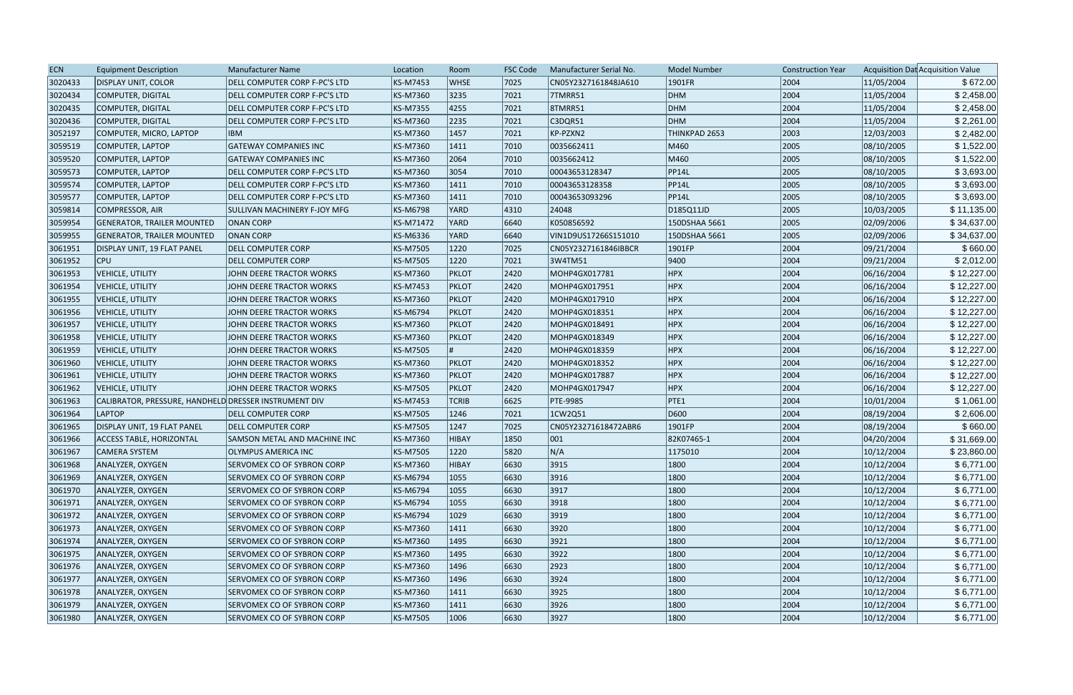| <b>ECN</b> | <b>Equipment Description</b>                          | <b>Manufacturer Name</b>          | Location  | Room           | <b>FSC Code</b> | Manufacturer Serial No. | <b>Model Number</b> | <b>Construction Year</b> |            | Acquisition Dat Acquisition Value |
|------------|-------------------------------------------------------|-----------------------------------|-----------|----------------|-----------------|-------------------------|---------------------|--------------------------|------------|-----------------------------------|
| 3020433    | <b>DISPLAY UNIT, COLOR</b>                            | DELL COMPUTER CORP F-PC'S LTD     | KS-M7453  | <b>WHSE</b>    | 7025            | CN05Y2327161848JA610    | 1901FR              | 2004                     | 11/05/2004 | \$672.00                          |
| 3020434    | <b>COMPUTER, DIGITAL</b>                              | DELL COMPUTER CORP F-PC'S LTD     | KS-M7360  | 3235           | 7021            | 7TMRR51                 | DHM                 | 2004                     | 11/05/2004 | \$2,458.00                        |
| 3020435    | COMPUTER, DIGITAL                                     | DELL COMPUTER CORP F-PC'S LTD     | KS-M7355  | 4255           | 7021            | <b>8TMRR51</b>          | DHM                 | 2004                     | 11/05/2004 | \$2,458.00                        |
| 3020436    | <b>COMPUTER, DIGITAL</b>                              | DELL COMPUTER CORP F-PC'S LTD     | KS-M7360  | 2235           | 7021            | C3DQR51                 | DHM                 | 2004                     | 11/05/2004 | \$2,261.00                        |
| 3052197    | COMPUTER, MICRO, LAPTOP                               | <b>IBM</b>                        | KS-M7360  | 1457           | 7021            | KP-PZXN2                | THINKPAD 2653       | 2003                     | 12/03/2003 | \$2,482.00                        |
| 3059519    | COMPUTER, LAPTOP                                      | <b>GATEWAY COMPANIES INC</b>      | KS-M7360  | 1411           | 7010            | 0035662411              | M460                | 2005                     | 08/10/2005 | \$1,522.00                        |
| 3059520    | COMPUTER, LAPTOP                                      | <b>GATEWAY COMPANIES INC</b>      | KS-M7360  | 2064           | 7010            | 0035662412              | M460                | 2005                     | 08/10/2005 | \$1,522.00                        |
| 3059573    | COMPUTER, LAPTOP                                      | DELL COMPUTER CORP F-PC'S LTD     | KS-M7360  | 3054           | 7010            | 00043653128347          | PP14L               | 2005                     | 08/10/2005 | \$3,693.00                        |
| 3059574    | COMPUTER, LAPTOP                                      | DELL COMPUTER CORP F-PC'S LTD     | KS-M7360  | 1411           | 7010            | 00043653128358          | PP14L               | 2005                     | 08/10/2005 | \$3,693.00                        |
| 3059577    | COMPUTER, LAPTOP                                      | DELL COMPUTER CORP F-PC'S LTD     | KS-M7360  | 1411           | 7010            | 00043653093296          | PP14L               | 2005                     | 08/10/2005 | \$3,693.00                        |
| 3059814    | COMPRESSOR, AIR                                       | SULLIVAN MACHINERY F-JOY MFG      | KS-M6798  | YARD           | 4310            | 24048                   | D185Q11JD           | 2005                     | 10/03/2005 | \$11,135.00                       |
| 3059954    | <b>GENERATOR, TRAILER MOUNTED</b>                     | <b>ONAN CORP</b>                  | KS-M71472 | YARD           | 6640            | K050856592              | 150DSHAA 5661       | 2005                     | 02/09/2006 | \$34,637.00                       |
| 3059955    | <b>GENERATOR, TRAILER MOUNTED</b>                     | <b>ONAN CORP</b>                  | KS-M6336  | <b>YARD</b>    | 6640            | VIN1D9US17266S151010    | 150DSHAA 5661       | 2005                     | 02/09/2006 | \$34,637.00                       |
| 3061951    | DISPLAY UNIT, 19 FLAT PANEL                           | DELL COMPUTER CORP                | KS-M7505  | 1220           | 7025            | CN05Y2327161846IBBCR    | 1901FP              | 2004                     | 09/21/2004 | \$660.00                          |
| 3061952    | <b>CPU</b>                                            | <b>DELL COMPUTER CORP</b>         | KS-M7505  | 1220           | 7021            | 3W4TM51                 | 9400                | 2004                     | 09/21/2004 | \$2,012.00                        |
| 3061953    | VEHICLE, UTILITY                                      | JOHN DEERE TRACTOR WORKS          | KS-M7360  | PKLOT          | 2420            | MOHP4GX017781           | <b>HPX</b>          | 2004                     | 06/16/2004 | \$12,227.00                       |
| 3061954    | <b>VEHICLE, UTILITY</b>                               | JOHN DEERE TRACTOR WORKS          | KS-M7453  | PKLOT          | $ 2420\rangle$  | MOHP4GX017951           | <b>HPX</b>          | 2004                     | 06/16/2004 | \$12,227.00                       |
| 3061955    | <b>VEHICLE, UTILITY</b>                               | JOHN DEERE TRACTOR WORKS          | KS-M7360  | PKLOT          | $ 2420\rangle$  | MOHP4GX017910           | <b>HPX</b>          | 2004                     | 06/16/2004 | \$12,227.00                       |
| 3061956    | VEHICLE, UTILITY                                      | JOHN DEERE TRACTOR WORKS          | KS-M6794  | PKLOT          | 2420            | MOHP4GX018351           | <b>HPX</b>          | 2004                     | 06/16/2004 | \$12,227.00                       |
| 3061957    | <b>VEHICLE, UTILITY</b>                               | JOHN DEERE TRACTOR WORKS          | KS-M7360  | PKLOT          | 2420            | MOHP4GX018491           | <b>HPX</b>          | 2004                     | 06/16/2004 | \$12,227.00                       |
| 3061958    | <b>VEHICLE, UTILITY</b>                               | JOHN DEERE TRACTOR WORKS          | KS-M7360  | PKLOT          | 2420            | MOHP4GX018349           | <b>HPX</b>          | 2004                     | 06/16/2004 | \$12,227.00                       |
| 3061959    | <b>VEHICLE, UTILITY</b>                               | JOHN DEERE TRACTOR WORKS          | KS-M7505  |                | $ 2420\rangle$  | MOHP4GX018359           | <b>HPX</b>          | 2004                     | 06/16/2004 | \$12,227.00                       |
| 3061960    | <b>VEHICLE, UTILITY</b>                               | JOHN DEERE TRACTOR WORKS          | KS-M7360  | PKLOT          | 2420            | MOHP4GX018352           | <b>HPX</b>          | 2004                     | 06/16/2004 | \$12,227.00                       |
| 3061961    | <b>VEHICLE, UTILITY</b>                               | JOHN DEERE TRACTOR WORKS          | KS-M7360  | PKLOT          | $ 2420\rangle$  | MOHP4GX017887           | <b>HPX</b>          | 2004                     | 06/16/2004 | \$12,227.00                       |
| 3061962    | <b>VEHICLE, UTILITY</b>                               | JOHN DEERE TRACTOR WORKS          | KS-M7505  | PKLOT          | 2420            | MOHP4GX017947           | <b>HPX</b>          | 2004                     | 06/16/2004 | \$12,227.00                       |
| 3061963    | CALIBRATOR, PRESSURE, HANDHELD DRESSER INSTRUMENT DIV |                                   | KS-M7453  | <b>TCRIB</b>   | 6625            | <b>PTE-9985</b>         | PTE1                | 2004                     | 10/01/2004 | \$1,061.00                        |
| 3061964    | <b>LAPTOP</b>                                         | <b>DELL COMPUTER CORP</b>         | KS-M7505  | 1246           | 7021            | 1CW2Q51                 | D600                | 2004                     | 08/19/2004 | \$2,606.00                        |
| 3061965    | DISPLAY UNIT, 19 FLAT PANEL                           | <b>DELL COMPUTER CORP</b>         | KS-M7505  | 1247           | 7025            | CN05Y23271618472ABR6    | $ 1901$ FP          | 2004                     | 08/19/2004 | \$660.00                          |
| 3061966    | <b>ACCESS TABLE, HORIZONTAL</b>                       | SAMSON METAL AND MACHINE INC      | KS-M7360  | HIBAY          | 1850            | $ 001\rangle$           | 82K07465-1          | 2004                     | 04/20/2004 | \$31,669.00                       |
| 3061967    | <b>CAMERA SYSTEM</b>                                  | <b>OLYMPUS AMERICA INC</b>        | KS-M7505  | 1220           | 5820            | N/A                     | 1175010             | 2004                     | 10/12/2004 | \$23,860.00                       |
| 3061968    | ANALYZER, OXYGEN                                      | SERVOMEX CO OF SYBRON CORP        | KS-M7360  | <b>HIBAY</b>   | 6630            | 3915                    | 1800                | 2004                     | 10/12/2004 | \$6,771.00                        |
| 3061969    | ANALYZER, OXYGEN                                      | <b>SERVOMEX CO OF SYBRON CORP</b> | KS-M6794  | 1055           | 6630            | 3916                    | 1800                | 2004                     | 10/12/2004 | \$6,771.00                        |
| 3061970    | ANALYZER, OXYGEN                                      | SERVOMEX CO OF SYBRON CORP        | KS-M6794  | 1055           | 6630            | 3917                    | 1800                | 2004                     | 10/12/2004 | \$6,771.00                        |
| 3061971    | ANALYZER, OXYGEN                                      | <b>SERVOMEX CO OF SYBRON CORP</b> | KS-M6794  | 1055           | 6630            | 3918                    | 1800                | 2004                     | 10/12/2004 | \$6,771.00                        |
| 3061972    | ANALYZER, OXYGEN                                      | <b>SERVOMEX CO OF SYBRON CORP</b> | KS-M6794  | $ 1029\rangle$ | 6630            | 3919                    | 1800                | 2004                     | 10/12/2004 | \$6,771.00                        |
| 3061973    | ANALYZER, OXYGEN                                      | SERVOMEX CO OF SYBRON CORP        | KS-M7360  | 1411           | 6630            | 3920                    | 1800                | 2004                     | 10/12/2004 | \$6,771.00                        |
| 3061974    | ANALYZER, OXYGEN                                      | <b>SERVOMEX CO OF SYBRON CORP</b> | KS-M7360  | 1495           | 6630            | 3921                    | 1800                | 2004                     | 10/12/2004 | \$6,771.00                        |
| 3061975    | ANALYZER, OXYGEN                                      | SERVOMEX CO OF SYBRON CORP        | KS-M7360  | 1495           | 6630            | 3922                    | 1800                | 2004                     | 10/12/2004 | \$6,771.00                        |
| 3061976    | ANALYZER, OXYGEN                                      | <b>SERVOMEX CO OF SYBRON CORP</b> | KS-M7360  | 1496           | 6630            | 2923                    | 1800                | 2004                     | 10/12/2004 | \$6,771.00                        |
| 3061977    | ANALYZER, OXYGEN                                      | <b>SERVOMEX CO OF SYBRON CORP</b> | KS-M7360  | 1496           | 6630            | 3924                    | 1800                | 2004                     | 10/12/2004 | \$6,771.00                        |
| 3061978    | ANALYZER, OXYGEN                                      | SERVOMEX CO OF SYBRON CORP        | KS-M7360  | 1411           | 6630            | 3925                    | 1800                | 2004                     | 10/12/2004 | \$6,771.00                        |
| 3061979    | ANALYZER, OXYGEN                                      | <b>SERVOMEX CO OF SYBRON CORP</b> | KS-M7360  | 1411           | 6630            | 3926                    | 1800                | 2004                     | 10/12/2004 | \$6,771.00                        |
| 3061980    | ANALYZER, OXYGEN                                      | SERVOMEX CO OF SYBRON CORP        | KS-M7505  | 1006           | 6630            | 3927                    | 1800                | 2004                     | 10/12/2004 | \$6,771.00                        |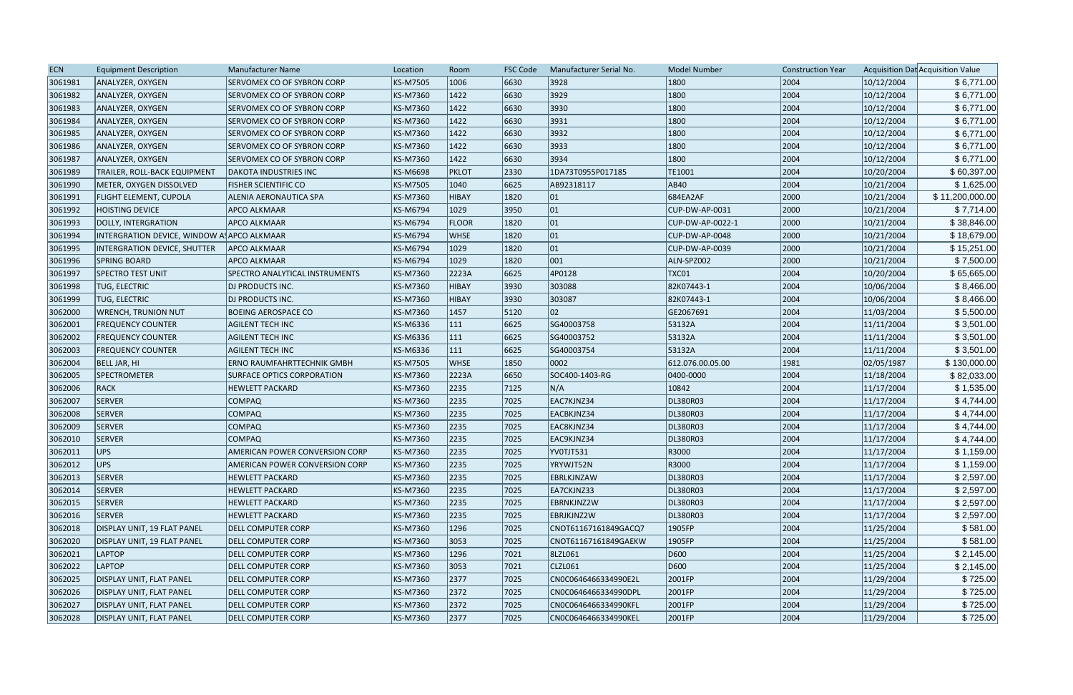| <b>ECN</b> | <b>Equipment Description</b>               | Manufacturer Name                     | Location        | Room           | <b>FSC Code</b> | Manufacturer Serial No. | <b>Model Number</b> | <b>Construction Year</b> |            | Acquisition Dat Acquisition Value |
|------------|--------------------------------------------|---------------------------------------|-----------------|----------------|-----------------|-------------------------|---------------------|--------------------------|------------|-----------------------------------|
| 3061981    | ANALYZER, OXYGEN                           | SERVOMEX CO OF SYBRON CORP            | <b>KS-M7505</b> | 1006           | 6630            | 3928                    | 1800                | 2004                     | 10/12/2004 | \$6,771.00                        |
| 3061982    | ANALYZER, OXYGEN                           | SERVOMEX CO OF SYBRON CORP            | KS-M7360        | 1422           | 6630            | 3929                    | 1800                | 2004                     | 10/12/2004 | \$6,771.00                        |
| 3061983    | ANALYZER, OXYGEN                           | SERVOMEX CO OF SYBRON CORP            | <b>KS-M7360</b> | 1422           | 6630            | 3930                    | 1800                | 2004                     | 10/12/2004 | \$6,771.00                        |
| 3061984    | ANALYZER, OXYGEN                           | SERVOMEX CO OF SYBRON CORP            | <b>KS-M7360</b> | 1422           | 6630            | 3931                    | 1800                | 2004                     | 10/12/2004 | \$6,771.00                        |
| 3061985    | ANALYZER, OXYGEN                           | SERVOMEX CO OF SYBRON CORP            | <b>KS-M7360</b> | $ 1422\rangle$ | 6630            | 3932                    | 1800                | 2004                     | 10/12/2004 | \$6,771.00                        |
| 3061986    | ANALYZER, OXYGEN                           | SERVOMEX CO OF SYBRON CORP            | <b>KS-M7360</b> | 1422           | 6630            | 3933                    | 1800                | 2004                     | 10/12/2004 | \$6,771.00                        |
| 3061987    | ANALYZER, OXYGEN                           | SERVOMEX CO OF SYBRON CORP            | <b>KS-M7360</b> | 1422           | 6630            | 3934                    | 1800                | 2004                     | 10/12/2004 | \$6,771.00                        |
| 3061989    | TRAILER, ROLL-BACK EQUIPMENT               | <b>DAKOTA INDUSTRIES INC</b>          | <b>KS-M6698</b> | <b>PKLOT</b>   | 2330            | 1DA73T0955P017185       | TE1001              | 2004                     | 10/20/2004 | \$60,397.00                       |
| 3061990    | METER, OXYGEN DISSOLVED                    | <b>FISHER SCIENTIFIC CO</b>           | <b>KS-M7505</b> | 1040           | 6625            | AB92318117              | <b>AB40</b>         | 2004                     | 10/21/2004 | \$1,625.00                        |
| 3061991    | <b>FLIGHT ELEMENT, CUPOLA</b>              | ALENIA AERONAUTICA SPA                | <b>KS-M7360</b> | HIBAY          | 1820            | 01                      | 684EA2AF            | 2000                     | 10/21/2004 | \$11,200,000.00                   |
| 3061992    | <b>HOISTING DEVICE</b>                     | <b>APCO ALKMAAR</b>                   | <b>KS-M6794</b> | 1029           | 3950            | 01                      | CUP-DW-AP-0031      | 2000                     | 10/21/2004 | \$7,714.00                        |
| 3061993    | DOLLY, INTERGRATION                        | <b>APCO ALKMAAR</b>                   | <b>KS-M6794</b> | <b>FLOOR</b>   | 1820            | 01                      | CUP-DW-AP-0022-1    | 2000                     | 10/21/2004 | \$38,846.00                       |
| 3061994    | INTERGRATION DEVICE, WINDOW A APCO ALKMAAR |                                       | <b>KS-M6794</b> | <b>WHSE</b>    | 1820            | 01                      | CUP-DW-AP-0048      | 2000                     | 10/21/2004 | \$18,679.00                       |
| 3061995    | INTERGRATION DEVICE, SHUTTER               | <b>APCO ALKMAAR</b>                   | KS-M6794        | 1029           | 1820            | 01                      | CUP-DW-AP-0039      | 2000                     | 10/21/2004 | \$15,251.00                       |
| 3061996    | SPRING BOARD                               | <b>APCO ALKMAAR</b>                   | <b>KS-M6794</b> | 1029           | 1820            | 001                     | ALN-SPZ002          | 2000                     | 10/21/2004 | \$7,500.00                        |
| 3061997    | <b>SPECTRO TEST UNIT</b>                   | <b>SPECTRO ANALYTICAL INSTRUMENTS</b> | <b>KS-M7360</b> | 2223A          | 6625            | 4P0128                  | TXCO1               | 2004                     | 10/20/2004 | \$65,665.00                       |
| 3061998    | <b>TUG, ELECTRIC</b>                       | <b>DJ PRODUCTS INC.</b>               | <b>KS-M7360</b> | HIBAY          | 3930            | 303088                  | 82K07443-1          | 2004                     | 10/06/2004 | \$8,466.00                        |
| 3061999    | <b>TUG, ELECTRIC</b>                       | <b>DJ PRODUCTS INC.</b>               | <b>KS-M7360</b> | HIBAY          | 3930            | 303087                  | 82K07443-1          | 2004                     | 10/06/2004 | \$8,466.00                        |
| 3062000    | <b>WRENCH, TRUNION NUT</b>                 | <b>BOEING AEROSPACE CO</b>            | <b>KS-M7360</b> | 1457           | 5120            | 02                      | GE2067691           | 2004                     | 11/03/2004 | \$5,500.00                        |
| 3062001    | <b>FREQUENCY COUNTER</b>                   | <b>AGILENT TECH INC</b>               | KS-M6336        | $ 111\rangle$  | 6625            | SG40003758              | 53132A              | 2004                     | 11/11/2004 | \$3,501.00                        |
| 3062002    | <b>FREQUENCY COUNTER</b>                   | <b>AGILENT TECH INC</b>               | <b>KS-M6336</b> | $ 111\rangle$  | 6625            | SG40003752              | 53132A              | 2004                     | 11/11/2004 | \$3,501.00                        |
| 3062003    | <b>FREQUENCY COUNTER</b>                   | <b>AGILENT TECH INC</b>               | <b>KS-M6336</b> | $ 111\rangle$  | 6625            | SG40003754              | 53132A              | 2004                     | 11/11/2004 | \$3,501.00                        |
| 3062004    | BELL JAR, HI                               | <b>ERNO RAUMFAHRTTECHNIK GMBH</b>     | <b>KS-M7505</b> | <b>WHSE</b>    | 1850            | 0002                    | 612.076.00.05.00    | 1981                     | 02/05/1987 | \$130,000.00                      |
| 3062005    | <b>SPECTROMETER</b>                        | SURFACE OPTICS CORPORATION            | <b>KS-M7360</b> | 2223A          | 6650            | SOC400-1403-RG          | 0400-0000           | 2004                     | 11/18/2004 | \$82,033.00                       |
| 3062006    | RACK                                       | <b>HEWLETT PACKARD</b>                | <b>KS-M7360</b> | 2235           | 7125            | N/A                     | $ 10842\rangle$     | 2004                     | 11/17/2004 | \$1,535.00                        |
| 3062007    | <b>SERVER</b>                              | <b>COMPAQ</b>                         | KS-M7360        | 2235           | 7025            | EAC7KJNZ34              | DL380R03            | 2004                     | 11/17/2004 | \$4,744.00                        |
| 3062008    | <b>SERVER</b>                              | <b>COMPAQ</b>                         | <b>KS-M7360</b> | 2235           | 7025            | EACBKJNZ34              | <b>DL380R03</b>     | 2004                     | 11/17/2004 | \$4,744.00                        |
| 3062009    | <b>SERVER</b>                              | <b>COMPAQ</b>                         | <b>KS-M7360</b> | 2235           | 7025            | EAC8KJNZ34              | DL380R03            | 2004                     | 11/17/2004 | \$4,744.00                        |
| 3062010    | <b>SERVER</b>                              | <b>COMPAQ</b>                         | <b>KS-M7360</b> | 2235           | 7025            | EAC9KJNZ34              | <b>DL380R03</b>     | 2004                     | 11/17/2004 | \$4,744.00                        |
| 3062011    | UPS                                        | <b>AMERICAN POWER CONVERSION CORP</b> | KS-M7360        | 2235           | 7025            | YV0TJT531               | R3000               | 2004                     | 11/17/2004 | \$1,159.00                        |
| 3062012    | UPS                                        | AMERICAN POWER CONVERSION CORP        | <b>KS-M7360</b> | 2235           | 7025            | YRYWJT52N               | R3000               | 2004                     | 11/17/2004 | \$1,159.00                        |
| 3062013    | SERVER                                     | <b>HEWLETT PACKARD</b>                | KS-M7360        | 2235           | 7025            | EBRLKJNZAW              | DL380R03            | 2004                     | 11/17/2004 | \$2,597.00                        |
| 3062014    | SERVER                                     | <b>HEWLETT PACKARD</b>                | <b>KS-M7360</b> | 2235           | 7025            | EA7CKJNZ33              | DL380R03            | 2004                     | 11/17/2004 | \$2,597.00                        |
| 3062015    | <b>SERVER</b>                              | <b>HEWLETT PACKARD</b>                | <b>KS-M7360</b> | 2235           | 7025            | <b>EBRNKJNZ2W</b>       | DL380R03            | 2004                     | 11/17/2004 | \$2,597.00                        |
| 3062016    | <b>SERVER</b>                              | <b>HEWLETT PACKARD</b>                | KS-M7360        | 2235           | 7025            | EBRJKJNZ2W              | DL380R03            | 2004                     | 11/17/2004 | \$2,597.00                        |
| 3062018    | DISPLAY UNIT, 19 FLAT PANEL                | <b>DELL COMPUTER CORP</b>             | <b>KS-M7360</b> | 1296           | 7025            | CNOT61167161849GACQ7    | 1905FP              | 2004                     | 11/25/2004 | \$581.00                          |
| 3062020    | DISPLAY UNIT, 19 FLAT PANEL                | <b>DELL COMPUTER CORP</b>             | <b>KS-M7360</b> | 3053           | 7025            | CNOT61167161849GAEKW    | 1905FP              | 2004                     | 11/25/2004 | \$581.00                          |
| 3062021    | <b>LAPTOP</b>                              | <b>DELL COMPUTER CORP</b>             | <b>KS-M7360</b> | 1296           | 7021            | 8LZL061                 | D600                | 2004                     | 11/25/2004 | \$2,145.00                        |
| 3062022    | <b>LAPTOP</b>                              | <b>DELL COMPUTER CORP</b>             | <b>KS-M7360</b> | 3053           | 7021            | CLZL061                 | D600                | 2004                     | 11/25/2004 | \$2,145.00                        |
| 3062025    | <b>DISPLAY UNIT, FLAT PANEL</b>            | <b>DELL COMPUTER CORP</b>             | <b>KS-M7360</b> | 2377           | 7025            | CN0C0646466334990E2L    | 2001FP              | 2004                     | 11/29/2004 | \$725.00                          |
| 3062026    | <b>DISPLAY UNIT, FLAT PANEL</b>            | <b>DELL COMPUTER CORP</b>             | <b>KS-M7360</b> | 2372           | 7025            | CN0C0646466334990DPL    | 2001FP              | 2004                     | 11/29/2004 | \$725.00                          |
| 3062027    | DISPLAY UNIT, FLAT PANEL                   | <b>DELL COMPUTER CORP</b>             | KS-M7360        | 2372           | 7025            | CN0C0646466334990KFL    | 2001FP              | 2004                     | 11/29/2004 | \$725.00                          |
| 3062028    | <b>DISPLAY UNIT, FLAT PANEL</b>            | <b>DELL COMPUTER CORP</b>             | KS-M7360        | 2377           | 7025            | CN0C0646466334990KEL    | 2001FP              | 2004                     | 11/29/2004 | \$725.00                          |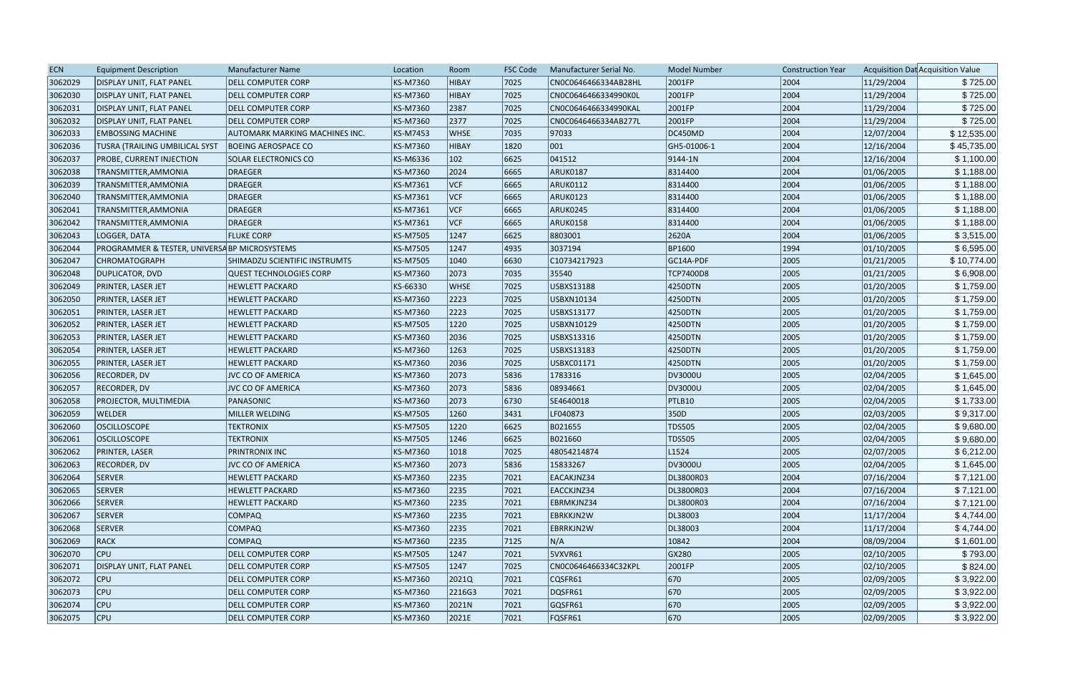| <b>ECN</b> | <b>Equipment Description</b>                             | <b>Manufacturer Name</b>             | Location | Room        | <b>FSC Code</b> | Manufacturer Serial No. | <b>Model Number</b> | <b>Construction Year</b> |            | Acquisition Dat Acquisition Value |
|------------|----------------------------------------------------------|--------------------------------------|----------|-------------|-----------------|-------------------------|---------------------|--------------------------|------------|-----------------------------------|
| 3062029    | <b>DISPLAY UNIT, FLAT PANEL</b>                          | DELL COMPUTER CORP                   | KS-M7360 | HIBAY       | 7025            | CN0C0646466334AB28HL    | 2001FP              | 2004                     | 11/29/2004 | \$725.00                          |
| 3062030    | DISPLAY UNIT, FLAT PANEL                                 | DELL COMPUTER CORP                   | KS-M7360 | HIBAY       | 7025            | CN0C0646466334990K0L    | 2001FP              | 2004                     | 11/29/2004 | \$725.00                          |
| 3062031    | <b>DISPLAY UNIT, FLAT PANEL</b>                          | DELL COMPUTER CORP                   | KS-M7360 | 2387        | 7025            | CN0C0646466334990KAL    | 2001FP              | 2004                     | 11/29/2004 | \$725.00                          |
| 3062032    | <b>DISPLAY UNIT, FLAT PANEL</b>                          | <b>DELL COMPUTER CORP</b>            | KS-M7360 | 2377        | 7025            | CN0C0646466334AB277L    | 2001FP              | 2004                     | 11/29/2004 | \$725.00                          |
| 3062033    | <b>EMBOSSING MACHINE</b>                                 | AUTOMARK MARKING MACHINES INC.       | KS-M7453 | <b>WHSE</b> | 7035            | 97033                   | DC450MD             | 2004                     | 12/07/2004 | \$12,535.00                       |
| 3062036    | <b>TUSRA (TRAILING UMBILICAL SYST</b>                    | <b>BOEING AEROSPACE CO</b>           | KS-M7360 | HIBAY       | 1820            | 001                     | GH5-01006-1         | 2004                     | 12/16/2004 | \$45,735.00                       |
| 3062037    | <b>PROBE, CURRENT INJECTION</b>                          | SOLAR ELECTRONICS CO                 | KS-M6336 | 102         | 6625            | 041512                  | $ 9144 - 1N$        | 2004                     | 12/16/2004 | \$1,100.00                        |
| 3062038    | TRANSMITTER, AMMONIA                                     | <b>DRAEGER</b>                       | KS-M7360 | 2024        | 6665            | ARUK0187                | 8314400             | 2004                     | 01/06/2005 | \$1,188.00                        |
| 3062039    | TRANSMITTER, AMMONIA                                     | <b>DRAEGER</b>                       | KS-M7361 | VCF         | 6665            | ARUK0112                | 8314400             | 2004                     | 01/06/2005 | \$1,188.00                        |
| 3062040    | TRANSMITTER, AMMONIA                                     | <b>DRAEGER</b>                       | KS-M7361 | VCF         | 6665            | ARUK0123                | 8314400             | 2004                     | 01/06/2005 | \$1,188.00                        |
| 3062041    | TRANSMITTER, AMMONIA                                     | <b>DRAEGER</b>                       | KS-M7361 | VCF         | 6665            | ARUK0245                | 8314400             | 2004                     | 01/06/2005 | \$1,188.00                        |
| 3062042    | TRANSMITTER, AMMONIA                                     | <b>DRAEGER</b>                       | KS-M7361 | VCF         | 6665            | ARUK0158                | 8314400             | 2004                     | 01/06/2005 | \$1,188.00                        |
| 3062043    | LOGGER, DATA                                             | <b>FLUKE CORP</b>                    | KS-M7505 | 1247        | 6625            | 8803001                 | 2620A               | 2004                     | 01/06/2005 | \$3,515.00                        |
| 3062044    | <b>PROGRAMMER &amp; TESTER, UNIVERSA BP MICROSYSTEMS</b> |                                      | KS-M7505 | 1247        | 4935            | 3037194                 | BP1600              | 1994                     | 01/10/2005 | \$6,595.00                        |
| 3062047    | <b>CHROMATOGRAPH</b>                                     | <b>SHIMADZU SCIENTIFIC INSTRUMTS</b> | KS-M7505 | 1040        | 6630            | C10734217923            | GC14A-PDF           | 2005                     | 01/21/2005 | \$10,774.00                       |
| 3062048    | DUPLICATOR, DVD                                          | <b>QUEST TECHNOLOGIES CORP</b>       | KS-M7360 | 2073        | 7035            | 35540                   | <b>TCP7400D8</b>    | 2005                     | 01/21/2005 | \$6,908.00                        |
| 3062049    | <b>PRINTER, LASER JET</b>                                | <b>HEWLETT PACKARD</b>               | KS-66330 | WHSE        | 7025            | USBXS13188              | 4250DTN             | 2005                     | 01/20/2005 | \$1,759.00                        |
| 3062050    | <b>PRINTER, LASER JET</b>                                | <b>HEWLETT PACKARD</b>               | KS-M7360 | 2223        | 7025            | USBXN10134              | 4250DTN             | 2005                     | 01/20/2005 | \$1,759.00                        |
| 3062051    | <b>PRINTER, LASER JET</b>                                | <b>HEWLETT PACKARD</b>               | KS-M7360 | 2223        | 7025            | <b>USBXS13177</b>       | 4250DTN             | 2005                     | 01/20/2005 | \$1,759.00                        |
| 3062052    | PRINTER, LASER JET                                       | <b>HEWLETT PACKARD</b>               | KS-M7505 | 1220        | 7025            | USBXN10129              | 4250DTN             | 2005                     | 01/20/2005 | \$1,759.00                        |
| 3062053    | <b>PRINTER, LASER JET</b>                                | <b>HEWLETT PACKARD</b>               | KS-M7360 | 2036        | 7025            | USBXS13316              | 4250DTN             | 2005                     | 01/20/2005 | \$1,759.00                        |
| 3062054    | <b>PRINTER, LASER JET</b>                                | <b>HEWLETT PACKARD</b>               | KS-M7360 | 1263        | 7025            | <b>USBXS13183</b>       | 4250DTN             | 2005                     | 01/20/2005 | \$1,759.00                        |
| 3062055    | <b>PRINTER, LASER JET</b>                                | <b>HEWLETT PACKARD</b>               | KS-M7360 | 2036        | 7025            | USBXC01171              | 4250DTN             | 2005                     | 01/20/2005 | \$1,759.00                        |
| 3062056    | RECORDER, DV                                             | JVC CO OF AMERICA                    | KS-M7360 | 2073        | 5836            | 1783316                 | DV3000U             | 2005                     | 02/04/2005 | \$1,645.00                        |
| 3062057    | RECORDER, DV                                             | <b>JVC CO OF AMERICA</b>             | KS-M7360 | 2073        | 5836            | 08934661                | DV3000U             | 2005                     | 02/04/2005 | \$1,645.00                        |
| 3062058    | <b>PROJECTOR, MULTIMEDIA</b>                             | PANASONIC                            | KS-M7360 | 2073        | 6730            | SE4640018               | PTLB10              | 2005                     | 02/04/2005 | \$1,733.00                        |
| 3062059    | <b>WELDER</b>                                            | MILLER WELDING                       | KS-M7505 | 1260        | 3431            | LF040873                | 350D                | 2005                     | 02/03/2005 | \$9,317.00                        |
| 3062060    | <b>OSCILLOSCOPE</b>                                      | <b>TEKTRONIX</b>                     | KS-M7505 | 1220        | 6625            | B021655                 | <b>TDS505</b>       | 2005                     | 02/04/2005 | \$9,680.00                        |
| 3062061    | <b>OSCILLOSCOPE</b>                                      | <b>TEKTRONIX</b>                     | KS-M7505 | 1246        | 6625            | B021660                 | <b>TDS505</b>       | 2005                     | 02/04/2005 | \$9,680.00                        |
| 3062062    | <b>PRINTER, LASER</b>                                    | <b>PRINTRONIX INC</b>                | KS-M7360 | 1018        | 7025            | 48054214874             | L <sub>1524</sub>   | 2005                     | 02/07/2005 | \$6,212.00                        |
| 3062063    | RECORDER, DV                                             | <b>JVC CO OF AMERICA</b>             | KS-M7360 | 2073        | 5836            | 15833267                | DV3000U             | 2005                     | 02/04/2005 | \$1,645.00                        |
| 3062064    | SERVER                                                   | <b>HEWLETT PACKARD</b>               | KS-M7360 | 2235        | 7021            | EACAKJNZ34              | DL3800R03           | 2004                     | 07/16/2004 | \$7,121.00                        |
| 3062065    | SERVER                                                   | <b>HEWLETT PACKARD</b>               | KS-M7360 | 2235        | 7021            | EACCKJNZ34              | DL3800R03           | 2004                     | 07/16/2004 | \$7,121.00                        |
| 3062066    | SERVER                                                   | <b>HEWLETT PACKARD</b>               | KS-M7360 | 2235        | 7021            | EBRMKJNZ34              | DL3800R03           | 2004                     | 07/16/2004 | \$7,121.00                        |
| 3062067    | SERVER                                                   | <b>COMPAQ</b>                        | KS-M7360 | 2235        | 7021            | EBRKKJN2W               | DL38003             | 2004                     | 11/17/2004 | \$4,744.00                        |
| 3062068    | SERVER                                                   | <b>COMPAQ</b>                        | KS-M7360 | 2235        | 7021            | EBRRKJN2W               | DL38003             | 2004                     | 11/17/2004 | \$4,744.00                        |
| 3062069    | RACK                                                     | <b>COMPAQ</b>                        | KS-M7360 | 2235        | 7125            | N/A                     | 10842               | 2004                     | 08/09/2004 | \$1,601.00                        |
| 3062070    | CPU                                                      | DELL COMPUTER CORP                   | KS-M7505 | 1247        | 7021            | 5VXVR61                 | GX280               | 2005                     | 02/10/2005 | \$793.00                          |
| 3062071    | <b>DISPLAY UNIT, FLAT PANEL</b>                          | <b>DELL COMPUTER CORP</b>            | KS-M7505 | 1247        | 7025            | CN0C0646466334C32KPL    | 2001FP              | 2005                     | 02/10/2005 | \$824.00                          |
| 3062072    | <b>CPU</b>                                               | <b>DELL COMPUTER CORP</b>            | KS-M7360 | 2021Q       | 7021            | CQSFR61                 | 670                 | 2005                     | 02/09/2005 | \$3,922.00                        |
| 3062073    | CPU                                                      | DELL COMPUTER CORP                   | KS-M7360 | 2216G3      | 7021            | DQSFR61                 | 670                 | 2005                     | 02/09/2005 | \$3,922.00                        |
| 3062074    | <b>CPU</b>                                               | <b>DELL COMPUTER CORP</b>            | KS-M7360 | 2021N       | 7021            | GQSFR61                 | 670                 | 2005                     | 02/09/2005 | \$3,922.00                        |
| 3062075    | $ $ CPU                                                  | <b>DELL COMPUTER CORP</b>            | KS-M7360 | 2021E       | 7021            | FQSFR61                 | $ 670\rangle$       | 2005                     | 02/09/2005 | \$3,922.00                        |
|            |                                                          |                                      |          |             |                 |                         |                     |                          |            |                                   |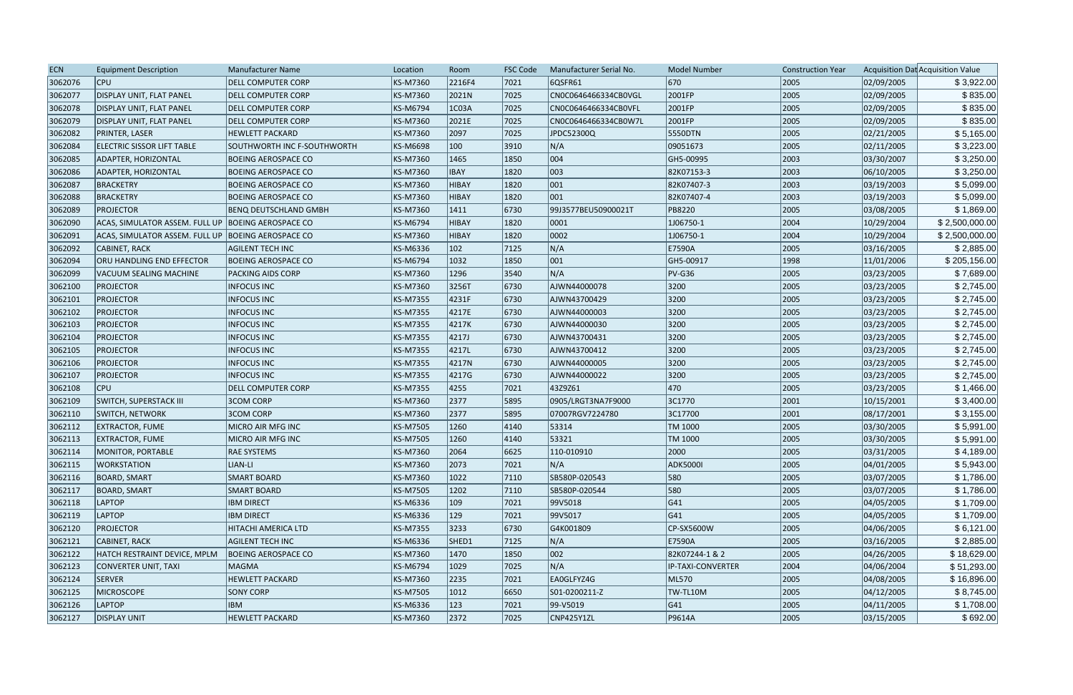| <b>ECN</b> | <b>Equipment Description</b>                         | Manufacturer Name            | Location        | Room          | <b>FSC Code</b> | Manufacturer Serial No. | <b>Model Number</b> | <b>Construction Year</b> |            | Acquisition Dat Acquisition Value |
|------------|------------------------------------------------------|------------------------------|-----------------|---------------|-----------------|-------------------------|---------------------|--------------------------|------------|-----------------------------------|
| 3062076    | <b>CPU</b>                                           | <b>DELL COMPUTER CORP</b>    | KS-M7360        | 2216F4        | 7021            | 6QSFR61                 | 670                 | 2005                     | 02/09/2005 | \$3,922.00                        |
| 3062077    | <b>DISPLAY UNIT, FLAT PANEL</b>                      | <b>DELL COMPUTER CORP</b>    | <b>KS-M7360</b> | 2021N         | 7025            | CN0C0646466334CB0VGL    | 2001FP              | 2005                     | 02/09/2005 | \$835.00                          |
| 3062078    | <b>DISPLAY UNIT, FLAT PANEL</b>                      | <b>DELL COMPUTER CORP</b>    | <b>KS-M6794</b> | 1C03A         | 7025            | CN0C0646466334CB0VFL    | 2001FP              | 2005                     | 02/09/2005 | \$835.00                          |
| 3062079    | DISPLAY UNIT, FLAT PANEL                             | <b>DELL COMPUTER CORP</b>    | <b>KS-M7360</b> | 2021E         | 7025            | CN0C0646466334CB0W7L    | 2001FP              | 2005                     | 02/09/2005 | \$835.00                          |
| 3062082    | <b>PRINTER, LASER</b>                                | <b>HEWLETT PACKARD</b>       | <b>KS-M7360</b> | 2097          | 7025            | JPDC52300Q              | 5550DTN             | 2005                     | 02/21/2005 | \$5,165.00                        |
| 3062084    | <b>ELECTRIC SISSOR LIFT TABLE</b>                    | SOUTHWORTH INC F-SOUTHWORTH  | <b>KS-M6698</b> | 100           | 3910            | N/A                     | 09051673            | 2005                     | 02/11/2005 | \$3,223.00                        |
| 3062085    | <b>ADAPTER, HORIZONTAL</b>                           | <b>BOEING AEROSPACE CO</b>   | <b>KS-M7360</b> | 1465          | 1850            | 004                     | GH5-00995           | 2003                     | 03/30/2007 | \$3,250.00                        |
| 3062086    | <b>ADAPTER, HORIZONTAL</b>                           | <b>BOEING AEROSPACE CO</b>   | <b>KS-M7360</b> | <b>IBAY</b>   | 1820            | 003                     | 82K07153-3          | 2003                     | 06/10/2005 | \$3,250.00                        |
| 3062087    | BRACKETRY                                            | <b>BOEING AEROSPACE CO</b>   | <b>KS-M7360</b> | HIBAY         | 1820            | 001                     | 82K07407-3          | 2003                     | 03/19/2003 | \$5,099.00                        |
| 3062088    | <b>BRACKETRY</b>                                     | <b>BOEING AEROSPACE CO</b>   | <b>KS-M7360</b> | <b>HIBAY</b>  | 1820            | 001                     | 82K07407-4          | 2003                     | 03/19/2003 | \$5,099.00                        |
| 3062089    | <b>PROJECTOR</b>                                     | <b>BENQ DEUTSCHLAND GMBH</b> | <b>KS-M7360</b> | 1411          | 6730            | 99J3577BEU50900021T     | <b>PB8220</b>       | 2005                     | 03/08/2005 | \$1,869.00                        |
| 3062090    | ACAS, SIMULATOR ASSEM. FULL UP   BOEING AEROSPACE CO |                              | <b>KS-M6794</b> | <b>HIBAY</b>  | 1820            | 0001                    | 1J06750-1           | 2004                     | 10/29/2004 | \$2,500,000.00                    |
| 3062091    | ACAS, SIMULATOR ASSEM. FULL UP   BOEING AEROSPACE CO |                              | KS-M7360        | <b>HIBAY</b>  | 1820            | 0002                    | 1J06750-1           | 2004                     | 10/29/2004 | \$2,500,000.00                    |
| 3062092    | CABINET, RACK                                        | <b>AGILENT TECH INC</b>      | <b>KS-M6336</b> | $ 102\rangle$ | 7125            | N/A                     | E7590A              | 2005                     | 03/16/2005 | \$2,885.00                        |
| 3062094    | ORU HANDLING END EFFECTOR                            | <b>BOEING AEROSPACE CO</b>   | <b>KS-M6794</b> | 1032          | 1850            | 001                     | GH5-00917           | 1998                     | 11/01/2006 | \$205,156.00                      |
| 3062099    | VACUUM SEALING MACHINE                               | <b>PACKING AIDS CORP</b>     | <b>KS-M7360</b> | 1296          | 3540            | N/A                     | $PV-G36$            | 2005                     | 03/23/2005 | \$7,689.00                        |
| 3062100    | <b>PROJECTOR</b>                                     | <b>INFOCUS INC</b>           | <b>KS-M7360</b> | 3256T         | 6730            | AJWN44000078            | 3200                | 2005                     | 03/23/2005 | \$2,745.00                        |
| 3062101    | <b>PROJECTOR</b>                                     | <b>INFOCUS INC</b>           | <b>KS-M7355</b> | 4231F         | 6730            | AJWN43700429            | 3200                | 2005                     | 03/23/2005 | \$2,745.00                        |
| 3062102    | <b>PROJECTOR</b>                                     | <b>INFOCUS INC</b>           | <b>KS-M7355</b> | 4217E         | 6730            | AJWN44000003            | 3200                | 2005                     | 03/23/2005 | \$2,745.00                        |
| 3062103    | <b>PROJECTOR</b>                                     | <b>INFOCUS INC</b>           | <b>KS-M7355</b> | 4217K         | 6730            | AJWN44000030            | 3200                | 2005                     | 03/23/2005 | \$2,745.00                        |
| 3062104    | <b>PROJECTOR</b>                                     | <b>INFOCUS INC</b>           | <b>KS-M7355</b> | 4217J         | 6730            | AJWN43700431            | 3200                | 2005                     | 03/23/2005 | \$2,745.00                        |
| 3062105    | <b>PROJECTOR</b>                                     | <b>INFOCUS INC</b>           | <b>KS-M7355</b> | 4217L         | 6730            | AJWN43700412            | 3200                | 2005                     | 03/23/2005 | \$2,745.00                        |
| 3062106    | <b>PROJECTOR</b>                                     | <b>INFOCUS INC</b>           | <b>KS-M7355</b> | 4217N         | 6730            | AJWN44000005            | 3200                | 2005                     | 03/23/2005 | \$2,745.00                        |
| 3062107    | <b>PROJECTOR</b>                                     | <b>INFOCUS INC</b>           | <b>KS-M7355</b> | 4217G         | 6730            | AJWN44000022            | 3200                | 2005                     | 03/23/2005 | \$2,745.00                        |
| 3062108    | <b>CPU</b>                                           | <b>DELL COMPUTER CORP</b>    | <b>KS-M7355</b> | 4255          | 7021            | 43Z9Z61                 | 470                 | 2005                     | 03/23/2005 | \$1,466.00                        |
| 3062109    | <b>SWITCH, SUPERSTACK III</b>                        | <b>3COM CORP</b>             | <b>KS-M7360</b> | 2377          | 5895            | 0905/LRGT3NA7F9000      | 3C1770              | 2001                     | 10/15/2001 | \$3,400.00                        |
| 3062110    | <b>SWITCH, NETWORK</b>                               | <b>3COM CORP</b>             | KS-M7360        | 2377          | 5895            | 07007RGV7224780         | 3C17700             | 2001                     | 08/17/2001 | \$3,155.00                        |
| 3062112    | <b>EXTRACTOR, FUME</b>                               | MICRO AIR MFG INC            | <b>KS-M7505</b> | 1260          | 4140            | 53314                   | TM 1000             | 2005                     | 03/30/2005 | \$5,991.00                        |
| 3062113    | <b>EXTRACTOR, FUME</b>                               | MICRO AIR MFG INC            | <b>KS-M7505</b> | 1260          | 4140            | 53321                   | TM 1000             | 2005                     | 03/30/2005 | \$5,991.00                        |
| 3062114    | MONITOR, PORTABLE                                    | <b>RAE SYSTEMS</b>           | KS-M7360        | 2064          | 6625            | 110-010910              | 2000                | 2005                     | 03/31/2005 | \$4,189.00                        |
| 3062115    | <b>WORKSTATION</b>                                   | LIAN-LI                      | <b>KS-M7360</b> | 2073          | 7021            | N/A                     | <b>ADK5000I</b>     | 2005                     | 04/01/2005 | \$5,943.00                        |
| 3062116    | <b>BOARD, SMART</b>                                  | <b>SMART BOARD</b>           | KS-M7360        | 1022          | 7110            | SB580P-020543           | 580                 | 2005                     | 03/07/2005 | \$1,786.00                        |
| 3062117    | <b>BOARD, SMART</b>                                  | <b>SMART BOARD</b>           | <b>KS-M7505</b> | 1202          | 7110            | SB580P-020544           | 580                 | 2005                     | 03/07/2005 | \$1,786.00                        |
| 3062118    | <b>LAPTOP</b>                                        | <b>IBM DIRECT</b>            | KS-M6336        | $ 109\rangle$ | 7021            | 99V5018                 | G41                 | 2005                     | 04/05/2005 | \$1,709.00                        |
| 3062119    | <b>LAPTOP</b>                                        | <b>IBM DIRECT</b>            | KS-M6336        | $ 129\rangle$ | 7021            | 99V5017                 | G41                 | 2005                     | 04/05/2005 | \$1,709.00                        |
| 3062120    | <b>PROJECTOR</b>                                     | HITACHI AMERICA LTD          | <b>KS-M7355</b> | 3233          | 6730            | G4K001809               | CP-SX5600W          | 2005                     | 04/06/2005 | \$6,121.00                        |
| 3062121    | CABINET, RACK                                        | <b>AGILENT TECH INC</b>      | KS-M6336        | SHED1         | 7125            | N/A                     | E7590A              | 2005                     | 03/16/2005 | \$2,885.00                        |
| 3062122    | HATCH RESTRAINT DEVICE, MPLM                         | <b>BOEING AEROSPACE CO</b>   | <b>KS-M7360</b> | 1470          | 1850            | 002                     | 82K07244-1 & 2      | 2005                     | 04/26/2005 | \$18,629.00                       |
| 3062123    | CONVERTER UNIT, TAXI                                 | <b>MAGMA</b>                 | <b>KS-M6794</b> | 1029          | 7025            | N/A                     | IP-TAXI-CONVERTER   | 2004                     | 04/06/2004 | \$51,293.00                       |
| 3062124    | <b>SERVER</b>                                        | <b>HEWLETT PACKARD</b>       | <b>KS-M7360</b> | 2235          | 7021            | EA0GLFYZ4G              | ML570               | 2005                     | 04/08/2005 | \$16,896.00                       |
| 3062125    | <b>MICROSCOPE</b>                                    | <b>SONY CORP</b>             | <b>KS-M7505</b> | 1012          | 6650            | S01-0200211-Z           | TW-TL10M            | 2005                     | 04/12/2005 | \$8,745.00                        |
| 3062126    | <b>LAPTOP</b>                                        | <b>IBM</b>                   | KS-M6336        | 123           | 7021            | $ 99-Y5019 $            | G41                 | 2005                     | 04/11/2005 | \$1,708.00                        |
| 3062127    | <b>DISPLAY UNIT</b>                                  | <b>HEWLETT PACKARD</b>       | KS-M7360        | 2372          | 7025            | CNP425Y1ZL              | P9614A              | 2005                     | 03/15/2005 | \$692.00                          |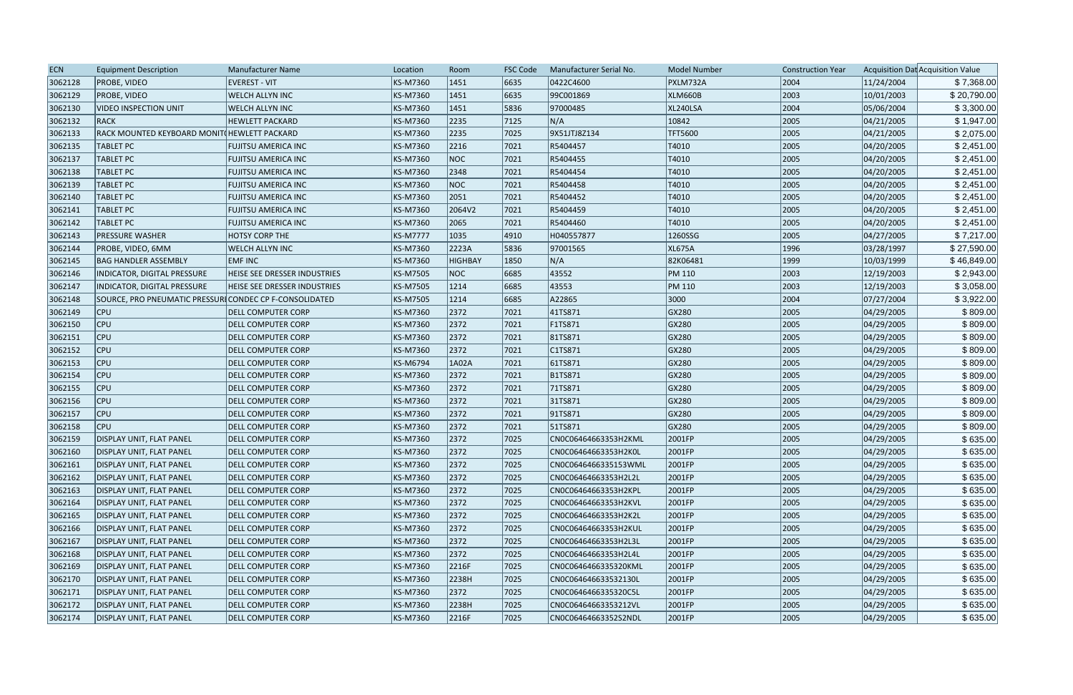| <b>ECN</b> | <b>Equipment Description</b>                           | Manufacturer Name                   | Location        | Room           | <b>FSC Code</b> | Manufacturer Serial No. | <b>Model Number</b> | <b>Construction Year</b> |            | Acquisition Dat Acquisition Value |
|------------|--------------------------------------------------------|-------------------------------------|-----------------|----------------|-----------------|-------------------------|---------------------|--------------------------|------------|-----------------------------------|
| 3062128    | <b>PROBE, VIDEO</b>                                    | <b>EVEREST - VIT</b>                | KS-M7360        | 1451           | 6635            | 0422C4600               | PXLM732A            | 2004                     | 11/24/2004 | \$7,368.00                        |
| 3062129    | <b>PROBE, VIDEO</b>                                    | WELCH ALLYN INC                     | KS-M7360        | 1451           | 6635            | 99C001869               | <b>XLM660B</b>      | 2003                     | 10/01/2003 | \$20,790.00                       |
| 3062130    | <b>VIDEO INSPECTION UNIT</b>                           | WELCH ALLYN INC                     | KS-M7360        | 1451           | 5836            | 97000485                | XL240LSA            | 2004                     | 05/06/2004 | \$3,300.00                        |
| 3062132    | RACK                                                   | <b>HEWLETT PACKARD</b>              | KS-M7360        | 2235           | 7125            | N/A                     | 10842               | 2005                     | 04/21/2005 | \$1,947.00                        |
| 3062133    | RACK MOUNTED KEYBOARD MONIT(HEWLETT PACKARD            |                                     | KS-M7360        | 2235           | 7025            | 9X51JTJ8Z134            | <b>TFT5600</b>      | 2005                     | 04/21/2005 | \$2,075.00                        |
| 3062135    | <b>TABLET PC</b>                                       | <b>FUJITSU AMERICA INC</b>          | KS-M7360        | 2216           | 7021            | R5404457                | T4010               | 2005                     | 04/20/2005 | \$2,451.00                        |
| 3062137    | <b>TABLET PC</b>                                       | <b>FUJITSU AMERICA INC</b>          | KS-M7360        | <b>NOC</b>     | 7021            | R5404455                | T4010               | 2005                     | 04/20/2005 | \$2,451.00                        |
| 3062138    | <b>TABLET PC</b>                                       | <b>FUJITSU AMERICA INC</b>          | KS-M7360        | 2348           | 7021            | R5404454                | T4010               | 2005                     | 04/20/2005 | \$2,451.00                        |
| 3062139    | <b>TABLET PC</b>                                       | <b>FUJITSU AMERICA INC</b>          | KS-M7360        | <b>NOC</b>     | 7021            | R5404458                | T4010               | 2005                     | 04/20/2005 | \$2,451.00                        |
| 3062140    | <b>TABLET PC</b>                                       | <b>FUJITSU AMERICA INC</b>          | KS-M7360        | 2051           | 7021            | R5404452                | T4010               | 2005                     | 04/20/2005 | \$2,451.00                        |
| 3062141    | <b>TABLET PC</b>                                       | <b>FUJITSU AMERICA INC</b>          | KS-M7360        | 2064V2         | 7021            | R5404459                | T4010               | 2005                     | 04/20/2005 | \$2,451.00                        |
| 3062142    | <b>TABLET PC</b>                                       | <b>FUJITSU AMERICA INC</b>          | KS-M7360        | 2065           | 7021            | R5404460                | T4010               | 2005                     | 04/20/2005 | \$2,451.00                        |
| 3062143    | <b>PRESSURE WASHER</b>                                 | <b>HOTSY CORP THE</b>               | <b>KS-M7777</b> | 1035           | 4910            | H040557877              | 1260SSG             | 2005                     | 04/27/2005 | \$7,217.00                        |
| 3062144    | PROBE, VIDEO, 6MM                                      | WELCH ALLYN INC                     | KS-M7360        | 2223A          | 5836            | 97001565                | <b>XL675A</b>       | 1996                     | 03/28/1997 | \$27,590.00                       |
| 3062145    | <b>BAG HANDLER ASSEMBLY</b>                            | <b>EMF INC</b>                      | KS-M7360        | <b>HIGHBAY</b> | 1850            | N/A                     | 82K06481            | 1999                     | 10/03/1999 | \$46,849.00                       |
| 3062146    | INDICATOR, DIGITAL PRESSURE                            | <b>HEISE SEE DRESSER INDUSTRIES</b> | KS-M7505        | <b>NOC</b>     | 6685            | 43552                   | <b>PM 110</b>       | 2003                     | 12/19/2003 | \$2,943.00                        |
| 3062147    | INDICATOR, DIGITAL PRESSURE                            | <b>HEISE SEE DRESSER INDUSTRIES</b> | KS-M7505        | 1214           | 6685            | 43553                   | PM 110              | 2003                     | 12/19/2003 | \$3,058.00                        |
| 3062148    | SOURCE, PRO PNEUMATIC PRESSURICONDEC CP F-CONSOLIDATED |                                     | KS-M7505        | 1214           | 6685            | A22865                  | 3000                | 2004                     | 07/27/2004 | \$3,922.00                        |
| 3062149    | <b>CPU</b>                                             | <b>DELL COMPUTER CORP</b>           | KS-M7360        | 2372           | 7021            | 41TS871                 | GX280               | 2005                     | 04/29/2005 | \$809.00                          |
| 3062150    | <b>CPU</b>                                             | <b>DELL COMPUTER CORP</b>           | KS-M7360        | 2372           | 7021            | F1TS871                 | GX280               | 2005                     | 04/29/2005 | \$809.00                          |
| 3062151    | <b>CPU</b>                                             | <b>DELL COMPUTER CORP</b>           | KS-M7360        | 2372           | 7021            | 81TS871                 | GX280               | 2005                     | 04/29/2005 | \$809.00                          |
| 3062152    | <b>CPU</b>                                             | <b>DELL COMPUTER CORP</b>           | KS-M7360        | 2372           | 7021            | CITS871                 | GX280               | 2005                     | 04/29/2005 | \$809.00                          |
| 3062153    | <b>CPU</b>                                             | <b>DELL COMPUTER CORP</b>           | KS-M6794        | 1A02A          | 7021            | 61TS871                 | GX280               | 2005                     | 04/29/2005 | \$809.00                          |
| 3062154    | <b>CPU</b>                                             | DELL COMPUTER CORP                  | KS-M7360        | 2372           | 7021            | B1TS871                 | GX280               | 2005                     | 04/29/2005 | \$809.00                          |
| 3062155    | <b>CPU</b>                                             | <b>DELL COMPUTER CORP</b>           | KS-M7360        | 2372           | 7021            | 71TS871                 | GX280               | 2005                     | 04/29/2005 | \$809.00                          |
| 3062156    | <b>CPU</b>                                             | <b>DELL COMPUTER CORP</b>           | KS-M7360        | 2372           | 7021            | 31TS871                 | GX280               | 2005                     | 04/29/2005 | \$809.00                          |
| 3062157    | <b>CPU</b>                                             | <b>DELL COMPUTER CORP</b>           | KS-M7360        | 2372           | 7021            | 91TS871                 | GX280               | 2005                     | 04/29/2005 | \$809.00                          |
| 3062158    | <b>CPU</b>                                             | <b>DELL COMPUTER CORP</b>           | KS-M7360        | 2372           | 7021            | 51TS871                 | GX280               | 2005                     | 04/29/2005 | \$809.00                          |
| 3062159    | <b>DISPLAY UNIT, FLAT PANEL</b>                        | <b>DELL COMPUTER CORP</b>           | KS-M7360        | 2372           | 7025            | CN0C06464663353H2KML    | 2001FP              | 2005                     | 04/29/2005 | \$635.00                          |
| 3062160    | <b>DISPLAY UNIT, FLAT PANEL</b>                        | <b>DELL COMPUTER CORP</b>           | KS-M7360        | 2372           | 7025            | CN0C06464663353H2K0L    | 2001FP              | 2005                     | 04/29/2005 | \$635.00                          |
| 3062161    | <b>DISPLAY UNIT, FLAT PANEL</b>                        | <b>DELL COMPUTER CORP</b>           | KS-M7360        | 2372           | 7025            | CN0C0646466335153WML    | 2001FP              | 2005                     | 04/29/2005 | \$635.00                          |
| 3062162    | <b>DISPLAY UNIT, FLAT PANEL</b>                        | <b>DELL COMPUTER CORP</b>           | KS-M7360        | 2372           | 7025            | CN0C06464663353H2L2L    | 2001FP              | 2005                     | 04/29/2005 | \$635.00                          |
| 3062163    | <b>DISPLAY UNIT, FLAT PANEL</b>                        | <b>DELL COMPUTER CORP</b>           | KS-M7360        | 2372           | 7025            | CN0C06464663353H2KPL    | 2001FP              | 2005                     | 04/29/2005 | \$635.00                          |
| 3062164    | <b>DISPLAY UNIT, FLAT PANEL</b>                        | <b>DELL COMPUTER CORP</b>           | KS-M7360        | 2372           | 7025            | CN0C06464663353H2KVL    | 2001FP              | 2005                     | 04/29/2005 | \$635.00                          |
| 3062165    | <b>DISPLAY UNIT, FLAT PANEL</b>                        | <b>DELL COMPUTER CORP</b>           | KS-M7360        | 2372           | 7025            | CN0C06464663353H2K2L    | 2001FP              | 2005                     | 04/29/2005 | \$635.00                          |
| 3062166    | <b>DISPLAY UNIT, FLAT PANEL</b>                        | <b>DELL COMPUTER CORP</b>           | KS-M7360        | 2372           | 7025            | CN0C06464663353H2KUL    | 2001FP              | 2005                     | 04/29/2005 | \$635.00                          |
| 3062167    | <b>DISPLAY UNIT, FLAT PANEL</b>                        | <b>DELL COMPUTER CORP</b>           | KS-M7360        | 2372           | 7025            | CN0C06464663353H2L3L    | 2001FP              | 2005                     | 04/29/2005 | \$635.00                          |
| 3062168    | <b>DISPLAY UNIT, FLAT PANEL</b>                        | <b>DELL COMPUTER CORP</b>           | KS-M7360        | 2372           | 7025            | CN0C06464663353H2L4L    | 2001FP              | 2005                     | 04/29/2005 | \$635.00                          |
| 3062169    | <b>DISPLAY UNIT, FLAT PANEL</b>                        | <b>DELL COMPUTER CORP</b>           | KS-M7360        | 2216F          | 7025            | CN0C0646466335320KML    | 2001FP              | 2005                     | 04/29/2005 | \$635.00                          |
| 3062170    | <b>DISPLAY UNIT, FLAT PANEL</b>                        | <b>DELL COMPUTER CORP</b>           | KS-M7360        | 2238H          | 7025            | CN0C064646633532130L    | 2001FP              | 2005                     | 04/29/2005 | \$635.00                          |
| 3062171    | <b>DISPLAY UNIT, FLAT PANEL</b>                        | <b>DELL COMPUTER CORP</b>           | KS-M7360        | 2372           | 7025            | CN0C0646466335320C5L    | 2001FP              | 2005                     | 04/29/2005 | \$635.00                          |
| 3062172    | <b>DISPLAY UNIT, FLAT PANEL</b>                        | <b>DELL COMPUTER CORP</b>           | KS-M7360        | 2238H          | 7025            | CN0C06464663353212VL    | 2001FP              | 2005                     | 04/29/2005 | \$635.00                          |
| 3062174    | <b>DISPLAY UNIT, FLAT PANEL</b>                        | <b>DELL COMPUTER CORP</b>           | KS-M7360        | 2216F          | 7025            | CN0C06464663352S2NDL    | 2001FP              | 2005                     | 04/29/2005 | \$635.00                          |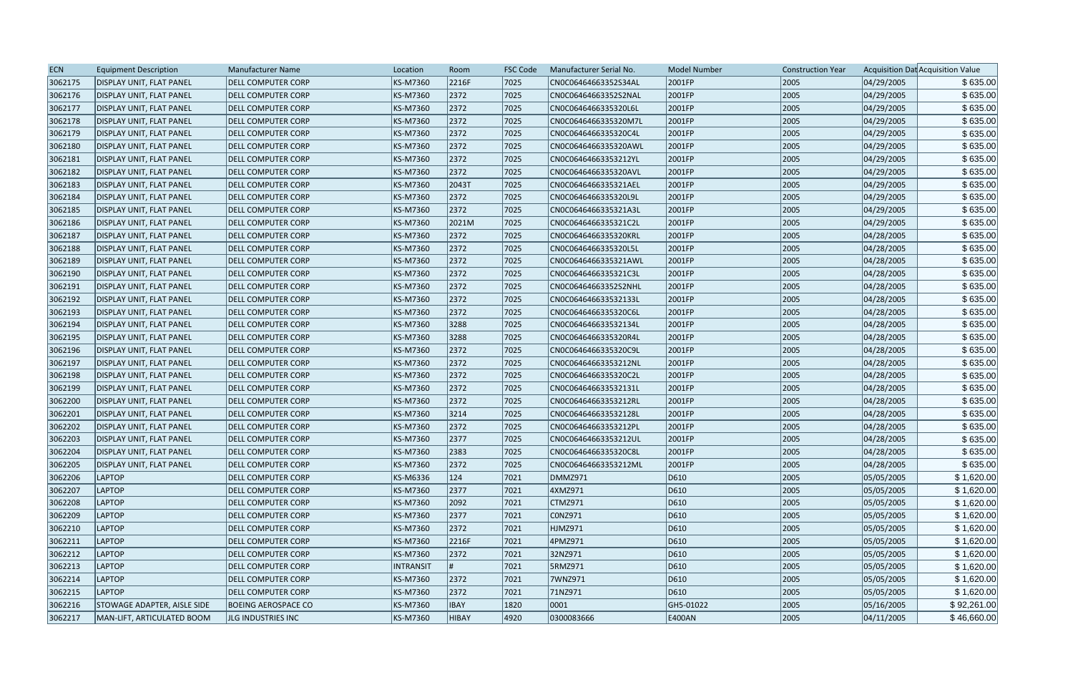| <b>ECN</b> | <b>Equipment Description</b>    | Manufacturer Name          | Location         | Room        | <b>FSC Code</b> | Manufacturer Serial No. | <b>Model Number</b> | <b>Construction Year</b> |            | Acquisition Dat Acquisition Value |
|------------|---------------------------------|----------------------------|------------------|-------------|-----------------|-------------------------|---------------------|--------------------------|------------|-----------------------------------|
| 3062175    | <b>DISPLAY UNIT, FLAT PANEL</b> | <b>DELL COMPUTER CORP</b>  | KS-M7360         | 2216F       | 7025            | CN0C06464663352S34AL    | 2001FP              | 2005                     | 04/29/2005 | \$635.00                          |
| 3062176    | <b>DISPLAY UNIT, FLAT PANEL</b> | DELL COMPUTER CORP         | <b>KS-M7360</b>  | 2372        | 7025            | CN0C06464663352S2NAL    | 2001FP              | 2005                     | 04/29/2005 | \$635.00                          |
| 3062177    | <b>DISPLAY UNIT, FLAT PANEL</b> | <b>DELL COMPUTER CORP</b>  | <b>KS-M7360</b>  | 2372        | 7025            | CN0C0646466335320L6L    | 2001FP              | 2005                     | 04/29/2005 | \$635.00                          |
| 3062178    | <b>DISPLAY UNIT, FLAT PANEL</b> | <b>DELL COMPUTER CORP</b>  | KS-M7360         | 2372        | 7025            | CN0C0646466335320M7L    | 2001FP              | 2005                     | 04/29/2005 | \$635.00                          |
| 3062179    | DISPLAY UNIT, FLAT PANEL        | <b>DELL COMPUTER CORP</b>  | <b>KS-M7360</b>  | 2372        | 7025            | CN0C0646466335320C4L    | 2001FP              | 2005                     | 04/29/2005 | \$635.00                          |
| 3062180    | DISPLAY UNIT, FLAT PANEL        | <b>DELL COMPUTER CORP</b>  | KS-M7360         | 2372        | 7025            | CN0C0646466335320AWL    | 2001FP              | 2005                     | 04/29/2005 | \$635.00                          |
| 3062181    | DISPLAY UNIT, FLAT PANEL        | DELL COMPUTER CORP         | KS-M7360         | 2372        | 7025            | CN0C06464663353212YL    | 2001FP              | 2005                     | 04/29/2005 | \$635.00                          |
| 3062182    | DISPLAY UNIT, FLAT PANEL        | <b>DELL COMPUTER CORP</b>  | <b>KS-M7360</b>  | 2372        | 7025            | CN0C0646466335320AVL    | 2001FP              | 2005                     | 04/29/2005 | \$635.00                          |
| 3062183    | <b>DISPLAY UNIT, FLAT PANEL</b> | <b>DELL COMPUTER CORP</b>  | <b>KS-M7360</b>  | 2043T       | 7025            | CN0C0646466335321AEL    | 2001FP              | 2005                     | 04/29/2005 | \$635.00                          |
| 3062184    | DISPLAY UNIT, FLAT PANEL        | <b>DELL COMPUTER CORP</b>  | <b>KS-M7360</b>  | 2372        | 7025            | CN0C0646466335320L9L    | 2001FP              | 2005                     | 04/29/2005 | \$635.00                          |
| 3062185    | DISPLAY UNIT, FLAT PANEL        | <b>DELL COMPUTER CORP</b>  | <b>KS-M7360</b>  | 2372        | 7025            | CN0C0646466335321A3L    | 2001FP              | 2005                     | 04/29/2005 | \$635.00                          |
| 3062186    | <b>DISPLAY UNIT, FLAT PANEL</b> | <b>DELL COMPUTER CORP</b>  | KS-M7360         | 2021M       | 7025            | CN0C0646466335321C2L    | 2001FP              | 2005                     | 04/29/2005 | \$635.00                          |
| 3062187    | <b>DISPLAY UNIT, FLAT PANEL</b> | <b>DELL COMPUTER CORP</b>  | <b>KS-M7360</b>  | 2372        | 7025            | CN0C0646466335320KRL    | 2001FP              | 2005                     | 04/28/2005 | \$635.00                          |
| 3062188    | DISPLAY UNIT, FLAT PANEL        | <b>DELL COMPUTER CORP</b>  | KS-M7360         | 2372        | 7025            | CN0C0646466335320L5L    | 2001FP              | 2005                     | 04/28/2005 | \$635.00                          |
| 3062189    | <b>DISPLAY UNIT, FLAT PANEL</b> | <b>DELL COMPUTER CORP</b>  | <b>KS-M7360</b>  | 2372        | 7025            | CN0C0646466335321AWL    | 2001FP              | 2005                     | 04/28/2005 | \$635.00                          |
| 3062190    | <b>DISPLAY UNIT, FLAT PANEL</b> | <b>DELL COMPUTER CORP</b>  | <b>KS-M7360</b>  | 2372        | 7025            | CN0C0646466335321C3L    | 2001FP              | 2005                     | 04/28/2005 | \$635.00                          |
| 3062191    | DISPLAY UNIT, FLAT PANEL        | <b>DELL COMPUTER CORP</b>  | <b>KS-M7360</b>  | 2372        | 7025            | CN0C06464663352S2NHL    | 2001FP              | 2005                     | 04/28/2005 | \$635.00                          |
| 3062192    | <b>DISPLAY UNIT, FLAT PANEL</b> | DELL COMPUTER CORP         | <b>KS-M7360</b>  | 2372        | 7025            | CN0C064646633532133L    | 2001FP              | 2005                     | 04/28/2005 | \$635.00                          |
| 3062193    | <b>DISPLAY UNIT, FLAT PANEL</b> | DELL COMPUTER CORP         | KS-M7360         | 2372        | 7025            | CN0C0646466335320C6L    | 2001FP              | 2005                     | 04/28/2005 | \$635.00                          |
| 3062194    | DISPLAY UNIT, FLAT PANEL        | <b>DELL COMPUTER CORP</b>  | <b>KS-M7360</b>  | 3288        | 7025            | CN0C064646633532134L    | 2001FP              | 2005                     | 04/28/2005 | \$635.00                          |
| 3062195    | <b>DISPLAY UNIT, FLAT PANEL</b> | <b>DELL COMPUTER CORP</b>  | <b>KS-M7360</b>  | 3288        | 7025            | CN0C0646466335320R4L    | 2001FP              | 2005                     | 04/28/2005 | \$635.00                          |
| 3062196    | <b>DISPLAY UNIT, FLAT PANEL</b> | <b>DELL COMPUTER CORP</b>  | <b>KS-M7360</b>  | 2372        | 7025            | CN0C0646466335320C9L    | 2001FP              | 2005                     | 04/28/2005 | \$635.00                          |
| 3062197    | <b>DISPLAY UNIT, FLAT PANEL</b> | <b>DELL COMPUTER CORP</b>  | <b>KS-M7360</b>  | 2372        | 7025            | CN0C06464663353212NL    | 2001FP              | 2005                     | 04/28/2005 | \$635.00                          |
| 3062198    | DISPLAY UNIT, FLAT PANEL        | <b>DELL COMPUTER CORP</b>  | <b>KS-M7360</b>  | 2372        | 7025            | CN0C0646466335320C2L    | 2001FP              | 2005                     | 04/28/2005 | \$635.00                          |
| 3062199    | <b>DISPLAY UNIT, FLAT PANEL</b> | <b>DELL COMPUTER CORP</b>  | <b>KS-M7360</b>  | 2372        | 7025            | CN0C064646633532131L    | 2001FP              | 2005                     | 04/28/2005 | \$635.00                          |
| 3062200    | <b>DISPLAY UNIT, FLAT PANEL</b> | <b>DELL COMPUTER CORP</b>  | KS-M7360         | 2372        | 7025            | CN0C06464663353212RL    | 2001FP              | 2005                     | 04/28/2005 | \$635.00                          |
| 3062201    | DISPLAY UNIT, FLAT PANEL        | <b>DELL COMPUTER CORP</b>  | <b>KS-M7360</b>  | 3214        | 7025            | CN0C064646633532128L    | 2001FP              | 2005                     | 04/28/2005 | \$635.00                          |
| 3062202    | DISPLAY UNIT, FLAT PANEL        | <b>DELL COMPUTER CORP</b>  | <b>KS-M7360</b>  | 2372        | 7025            | CN0C06464663353212PL    | 2001FP              | 2005                     | 04/28/2005 | \$635.00                          |
| 3062203    | DISPLAY UNIT, FLAT PANEL        | <b>DELL COMPUTER CORP</b>  | <b>KS-M7360</b>  | 2377        | 7025            | CN0C06464663353212UL    | 2001FP              | 2005                     | 04/28/2005 | \$635.00                          |
| 3062204    | <b>DISPLAY UNIT, FLAT PANEL</b> | <b>DELL COMPUTER CORP</b>  | KS-M7360         | 2383        | 7025            | CN0C0646466335320C8L    | 2001FP              | 2005                     | 04/28/2005 | \$635.00                          |
| 3062205    | DISPLAY UNIT, FLAT PANEL        | <b>DELL COMPUTER CORP</b>  | KS-M7360         | 2372        | 7025            | CN0C06464663353212ML    | 2001FP              | 2005                     | 04/28/2005 | \$635.00                          |
| 3062206    | <b>LAPTOP</b>                   | <b>DELL COMPUTER CORP</b>  | KS-M6336         | 124         | 7021            | DMMZ971                 | D610                | 2005                     | 05/05/2005 | \$1,620.00                        |
| 3062207    | <b>LAPTOP</b>                   | <b>DELL COMPUTER CORP</b>  | <b>KS-M7360</b>  | 2377        | 7021            | 4XMZ971                 | D610                | 2005                     | 05/05/2005 | \$1,620.00                        |
| 3062208    | LAPTOP                          | <b>DELL COMPUTER CORP</b>  | <b>KS-M7360</b>  | 2092        | 7021            | CTMZ971                 | D610                | 2005                     | 05/05/2005 | \$1,620.00                        |
| 3062209    | <b>LAPTOP</b>                   | <b>DELL COMPUTER CORP</b>  | KS-M7360         | 2377        | 7021            | CONZ971                 | D610                | 2005                     | 05/05/2005 | \$1,620.00                        |
| 3062210    | <b>LAPTOP</b>                   | <b>DELL COMPUTER CORP</b>  | KS-M7360         | 2372        | 7021            | HJMZ971                 | D610                | 2005                     | 05/05/2005 | \$1,620.00                        |
| 3062211    | <b>LAPTOP</b>                   | <b>DELL COMPUTER CORP</b>  | <b>KS-M7360</b>  | 2216F       | 7021            | 4PMZ971                 | D610                | 2005                     | 05/05/2005 | \$1,620.00                        |
| 3062212    | LAPTOP                          | <b>DELL COMPUTER CORP</b>  | KS-M7360         | 2372        | 7021            | 32NZ971                 | D610                | 2005                     | 05/05/2005 | \$1,620.00                        |
| 3062213    | <b>LAPTOP</b>                   | <b>DELL COMPUTER CORP</b>  | <b>INTRANSIT</b> |             | 7021            | 5RMZ971                 | D610                | 2005                     | 05/05/2005 | \$1,620.00                        |
| 3062214    | LAPTOP                          | <b>DELL COMPUTER CORP</b>  | KS-M7360         | 2372        | 7021            | 7WNZ971                 | D610                | 2005                     | 05/05/2005 | \$1,620.00                        |
| 3062215    | LAPTOP                          | <b>DELL COMPUTER CORP</b>  | <b>KS-M7360</b>  | 2372        | 7021            | 71NZ971                 | D610                | 2005                     | 05/05/2005 | \$1,620.00                        |
| 3062216    | STOWAGE ADAPTER, AISLE SIDE     | <b>BOEING AEROSPACE CO</b> | KS-M7360         | <b>IBAY</b> | 1820            | 0001                    | GH5-01022           | 2005                     | 05/16/2005 | \$92,261.00                       |
| 3062217    | MAN-LIFT, ARTICULATED BOOM      | JLG INDUSTRIES INC         | KS-M7360         | HIBAY       | 4920            | 0300083666              | E400AN              | 2005                     | 04/11/2005 | \$46,660.00                       |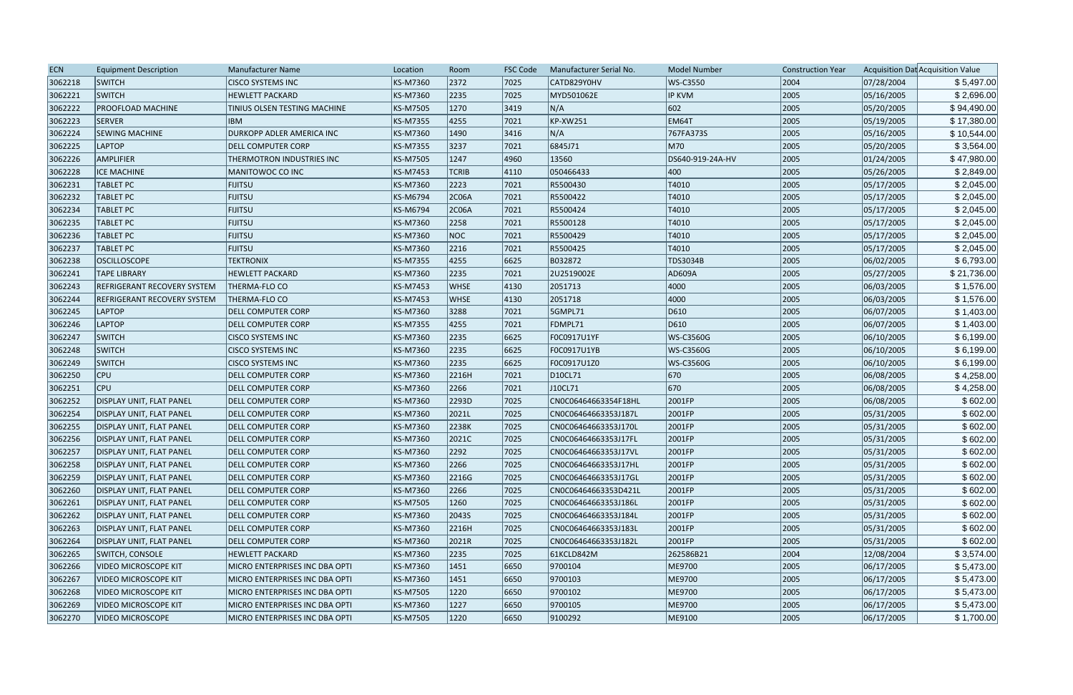| <b>ECN</b> | <b>Equipment Description</b>       | Manufacturer Name              | Location | Room         | <b>FSC Code</b> | Manufacturer Serial No. | <b>Model Number</b> | <b>Construction Year</b> |            | Acquisition Dat Acquisition Value |
|------------|------------------------------------|--------------------------------|----------|--------------|-----------------|-------------------------|---------------------|--------------------------|------------|-----------------------------------|
| 3062218    | <b>SWITCH</b>                      | <b>CISCO SYSTEMS INC</b>       | KS-M7360 | 2372         | 7025            | CATD829Y0HV             | WS-C3550            | 2004                     | 07/28/2004 | \$5,497.00                        |
| 3062221    | <b>SWITCH</b>                      | <b>HEWLETT PACKARD</b>         | KS-M7360 | 2235         | 7025            | MYD501062E              | <b>IP KVM</b>       | 2005                     | 05/16/2005 | \$2,696.00                        |
| 3062222    | <b>PROOFLOAD MACHINE</b>           | TINIUS OLSEN TESTING MACHINE   | KS-M7505 | 1270         | $ 3419\rangle$  | N/A                     | 602                 | 2005                     | 05/20/2005 | \$94,490.00                       |
| 3062223    | <b>SERVER</b>                      | <b>IBM</b>                     | KS-M7355 | 4255         | 7021            | KP-XW251                | EM64T               | 2005                     | 05/19/2005 | \$17,380.00                       |
| 3062224    | <b>SEWING MACHINE</b>              | DURKOPP ADLER AMERICA INC      | KS-M7360 | 1490         | 3416            | N/A                     | 767FA373S           | 2005                     | 05/16/2005 | \$10,544.00                       |
| 3062225    | LAPTOP                             | <b>DELL COMPUTER CORP</b>      | KS-M7355 | 3237         | 7021            | 6845J71                 | M70                 | 2005                     | 05/20/2005 | \$3,564.00                        |
| 3062226    | <b>AMPLIFIER</b>                   | THERMOTRON INDUSTRIES INC      | KS-M7505 | 1247         | 4960            | 13560                   | DS640-919-24A-HV    | 2005                     | 01/24/2005 | \$47,980.00                       |
| 3062228    | <b>ICE MACHINE</b>                 | MANITOWOC CO INC               | KS-M7453 | <b>TCRIB</b> | $ 4110\rangle$  | 050466433               | $ 400\rangle$       | 2005                     | 05/26/2005 | \$2,849.00                        |
| 3062231    | <b>TABLET PC</b>                   | <b>FIJITSU</b>                 | KS-M7360 | 2223         | 7021            | R5500430                | T4010               | 2005                     | 05/17/2005 | \$2,045.00                        |
| 3062232    | <b>TABLET PC</b>                   | <b>FIJITSU</b>                 | KS-M6794 | 2C06A        | 7021            | R5500422                | T4010               | 2005                     | 05/17/2005 | \$2,045.00                        |
| 3062234    | <b>TABLET PC</b>                   | <b>FIJITSU</b>                 | KS-M6794 | 2C06A        | 7021            | R5500424                | T4010               | 2005                     | 05/17/2005 | \$2,045.00                        |
| 3062235    | <b>TABLET PC</b>                   | <b>FIJITSU</b>                 | KS-M7360 | 2258         | 7021            | R5500128                | T4010               | 2005                     | 05/17/2005 | \$2,045.00                        |
| 3062236    | <b>TABLET PC</b>                   | <b>FIJITSU</b>                 | KS-M7360 | <b>NOC</b>   | 7021            | R5500429                | T4010               | 2005                     | 05/17/2005 | \$2,045.00                        |
| 3062237    | <b>TABLET PC</b>                   | <b>FIJITSU</b>                 | KS-M7360 | 2216         | 7021            | R5500425                | T4010               | 2005                     | 05/17/2005 | \$2,045.00                        |
| 3062238    | <b>OSCILLOSCOPE</b>                | <b>TEKTRONIX</b>               | KS-M7355 | 4255         | 6625            | B032872                 | TDS3034B            | 2005                     | 06/02/2005 | \$6,793.00                        |
| 3062241    | <b>TAPE LIBRARY</b>                | <b>HEWLETT PACKARD</b>         | KS-M7360 | 2235         | 7021            | 2U2519002E              | AD609A              | 2005                     | 05/27/2005 | \$21,736.00                       |
| 3062243    | <b>REFRIGERANT RECOVERY SYSTEM</b> | THERMA-FLO CO                  | KS-M7453 | <b>WHSE</b>  | $ 4130\rangle$  | 2051713                 | 4000                | 2005                     | 06/03/2005 | \$1,576.00                        |
| 3062244    | <b>REFRIGERANT RECOVERY SYSTEM</b> | <b>THERMA-FLO CO</b>           | KS-M7453 | <b>WHSE</b>  | 4130            | 2051718                 | 4000                | 2005                     | 06/03/2005 | \$1,576.00                        |
| 3062245    | <b>LAPTOP</b>                      | <b>DELL COMPUTER CORP</b>      | KS-M7360 | 3288         | 7021            | 5GMPL71                 | D610                | 2005                     | 06/07/2005 | \$1,403.00                        |
| 3062246    | LAPTOP                             | <b>DELL COMPUTER CORP</b>      | KS-M7355 | 4255         | 7021            | FDMPL71                 | D610                | 2005                     | 06/07/2005 | \$1,403.00                        |
| 3062247    | <b>SWITCH</b>                      | <b>CISCO SYSTEMS INC</b>       | KS-M7360 | 2235         | 6625            | F0C0917U1YF             | WS-C3560G           | 2005                     | 06/10/2005 | \$6,199.00                        |
| 3062248    | <b>SWITCH</b>                      | <b>CISCO SYSTEMS INC</b>       | KS-M7360 | 2235         | 6625            | F0C0917U1YB             | WS-C3560G           | 2005                     | 06/10/2005 | \$6,199.00                        |
| 3062249    | SWITCH                             | <b>CISCO SYSTEMS INC</b>       | KS-M7360 | 2235         | 6625            | F0C0917U1Z0             | WS-C3560G           | 2005                     | 06/10/2005 | \$6,199.00                        |
| 3062250    | CPU                                | <b>DELL COMPUTER CORP</b>      | KS-M7360 | 2216H        | $ 7021$         | D10CL71                 | 670                 | 2005                     | 06/08/2005 | \$4,258.00                        |
| 3062251    | <b>CPU</b>                         | <b>DELL COMPUTER CORP</b>      | KS-M7360 | 2266         | 7021            | J10CL71                 | 670                 | 2005                     | 06/08/2005 | \$4,258.00                        |
| 3062252    | <b>DISPLAY UNIT, FLAT PANEL</b>    | <b>DELL COMPUTER CORP</b>      | KS-M7360 | 2293D        | 7025            | CN0C06464663354F18HL    | 2001FP              | 2005                     | 06/08/2005 | \$602.00                          |
| 3062254    | <b>DISPLAY UNIT, FLAT PANEL</b>    | <b>DELL COMPUTER CORP</b>      | KS-M7360 | 2021L        | 7025            | CN0C06464663353J187L    | 2001FP              | 2005                     | 05/31/2005 | \$602.00                          |
| 3062255    | <b>DISPLAY UNIT, FLAT PANEL</b>    | <b>DELL COMPUTER CORP</b>      | KS-M7360 | 2238K        | 7025            | CN0C06464663353J170L    | 2001FP              | 2005                     | 05/31/2005 | \$602.00                          |
| 3062256    | DISPLAY UNIT, FLAT PANEL           | <b>DELL COMPUTER CORP</b>      | KS-M7360 | 2021C        | 7025            | CN0C06464663353J17FL    | 2001FP              | 2005                     | 05/31/2005 | \$602.00                          |
| 3062257    | <b>DISPLAY UNIT, FLAT PANEL</b>    | <b>DELL COMPUTER CORP</b>      | KS-M7360 | 2292         | 7025            | CN0C06464663353J17VL    | 2001FP              | 2005                     | 05/31/2005 | \$602.00                          |
| 3062258    | DISPLAY UNIT, FLAT PANEL           | <b>DELL COMPUTER CORP</b>      | KS-M7360 | 2266         | 7025            | CN0C06464663353J17HL    | 2001FP              | 2005                     | 05/31/2005 | \$602.00                          |
| 3062259    | <b>DISPLAY UNIT, FLAT PANEL</b>    | <b>DELL COMPUTER CORP</b>      | KS-M7360 | 2216G        | 7025            | CN0C06464663353J17GL    | 2001FP              | 2005                     | 05/31/2005 | \$602.00                          |
| 3062260    | DISPLAY UNIT, FLAT PANEL           | <b>DELL COMPUTER CORP</b>      | KS-M7360 | 2266         | 7025            | CN0C06464663353D421L    | 2001FP              | 2005                     | 05/31/2005 | \$602.00                          |
| 3062261    | DISPLAY UNIT, FLAT PANEL           | <b>DELL COMPUTER CORP</b>      | KS-M7505 | 1260         | 7025            | CN0C06464663353J186L    | 2001FP              | 2005                     | 05/31/2005 | \$602.00                          |
| 3062262    | <b>DISPLAY UNIT, FLAT PANEL</b>    | DELL COMPUTER CORP             | KS-M7360 | 2043S        | 7025            | CN0C06464663353J184L    | 2001FP              | 2005                     | 05/31/2005 | \$602.00                          |
| 3062263    | DISPLAY UNIT, FLAT PANEL           | <b>DELL COMPUTER CORP</b>      | KS-M7360 | 2216H        | 7025            | CN0C06464663353J183L    | 2001FP              | 2005                     | 05/31/2005 | \$602.00                          |
| 3062264    | <b>DISPLAY UNIT, FLAT PANEL</b>    | <b>DELL COMPUTER CORP</b>      | KS-M7360 | 2021R        | 7025            | CN0C06464663353J182L    | 2001FP              | 2005                     | 05/31/2005 | \$602.00                          |
| 3062265    | <b>SWITCH, CONSOLE</b>             | <b>HEWLETT PACKARD</b>         | KS-M7360 | 2235         | 7025            | 61KCLD842M              | 262586B21           | 2004                     | 12/08/2004 | \$3,574.00                        |
| 3062266    | <b>VIDEO MICROSCOPE KIT</b>        | MICRO ENTERPRISES INC DBA OPTI | KS-M7360 | 1451         | 6650            | 9700104                 | ME9700              | 2005                     | 06/17/2005 | \$5,473.00                        |
| 3062267    | <b>VIDEO MICROSCOPE KIT</b>        | MICRO ENTERPRISES INC DBA OPTI | KS-M7360 | 1451         | 6650            | 9700103                 | ME9700              | 2005                     | 06/17/2005 | \$5,473.00                        |
| 3062268    | VIDEO MICROSCOPE KIT               | MICRO ENTERPRISES INC DBA OPTI | KS-M7505 | 1220         | 6650            | 9700102                 | ME9700              | 2005                     | 06/17/2005 | \$5,473.00                        |
| 3062269    | VIDEO MICROSCOPE KIT               | MICRO ENTERPRISES INC DBA OPTI | KS-M7360 | 1227         | 6650            | 9700105                 | ME9700              | 2005                     | 06/17/2005 | \$5,473.00                        |
| 3062270    | <b>VIDEO MICROSCOPE</b>            | MICRO ENTERPRISES INC DBA OPTI | KS-M7505 | 1220         | 6650            | 9100292                 | ME9100              | 2005                     | 06/17/2005 | \$1,700.00                        |
|            |                                    |                                |          |              |                 |                         |                     |                          |            |                                   |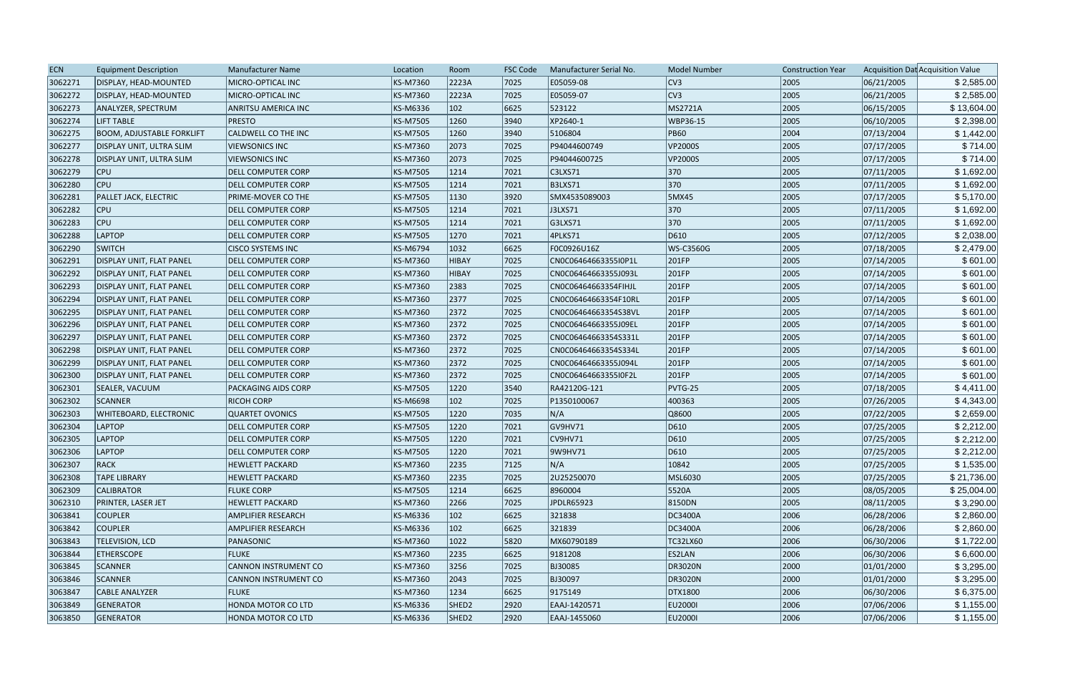| <b>ECN</b> | <b>Equipment Description</b>     | Manufacturer Name           | Location        | Room              | <b>FSC Code</b> | Manufacturer Serial No. | <b>Model Number</b> | <b>Construction Year</b> |            | Acquisition Dat Acquisition Value |
|------------|----------------------------------|-----------------------------|-----------------|-------------------|-----------------|-------------------------|---------------------|--------------------------|------------|-----------------------------------|
| 3062271    | DISPLAY, HEAD-MOUNTED            | MICRO-OPTICAL INC           | KS-M7360        | 2223A             | 7025            | E05059-08               | CV3                 | 2005                     | 06/21/2005 | \$2,585.00                        |
| 3062272    | DISPLAY, HEAD-MOUNTED            | MICRO-OPTICAL INC           | <b>KS-M7360</b> | 2223A             | 7025            | E05059-07               | CV3                 | 2005                     | 06/21/2005 | \$2,585.00                        |
| 3062273    | ANALYZER, SPECTRUM               | <b>ANRITSU AMERICA INC</b>  | KS-M6336        | $ 102\rangle$     | 6625            | 523122                  | MS2721A             | 2005                     | 06/15/2005 | \$13,604.00                       |
| 3062274    | <b>LIFT TABLE</b>                | <b>PRESTO</b>               | <b>KS-M7505</b> | 1260              | 3940            | XP2640-1                | <b>WBP36-15</b>     | 2005                     | 06/10/2005 | \$2,398.00                        |
| 3062275    | <b>BOOM, ADJUSTABLE FORKLIFT</b> | CALDWELL CO THE INC         | <b>KS-M7505</b> | 1260              | 3940            | 5106804                 | <b>PB60</b>         | 2004                     | 07/13/2004 | \$1,442.00                        |
| 3062277    | DISPLAY UNIT, ULTRA SLIM         | <b>VIEWSONICS INC</b>       | KS-M7360        | 2073              | 7025            | P94044600749            | VP2000S             | 2005                     | 07/17/2005 | \$714.00                          |
| 3062278    | DISPLAY UNIT, ULTRA SLIM         | <b>VIEWSONICS INC</b>       | <b>KS-M7360</b> | 2073              | 7025            | P94044600725            | VP2000S             | 2005                     | 07/17/2005 | \$714.00                          |
| 3062279    | <b>CPU</b>                       | <b>DELL COMPUTER CORP</b>   | <b>KS-M7505</b> | 1214              | 7021            | C3LXS71                 | 370                 | 2005                     | 07/11/2005 | \$1,692.00                        |
| 3062280    | <b>CPU</b>                       | <b>DELL COMPUTER CORP</b>   | <b>KS-M7505</b> | 1214              | 7021            | <b>B3LXS71</b>          | 370                 | 2005                     | 07/11/2005 | \$1,692.00                        |
| 3062281    | <b>PALLET JACK, ELECTRIC</b>     | PRIME-MOVER CO THE          | <b>KS-M7505</b> | 1130              | 3920            | SMX4535089003           | <b>5MX45</b>        | 2005                     | 07/17/2005 | \$5,170.00                        |
| 3062282    | <b>CPU</b>                       | <b>DELL COMPUTER CORP</b>   | <b>KS-M7505</b> | 1214              | 7021            | J3LXS71                 | 370                 | 2005                     | 07/11/2005 | \$1,692.00                        |
| 3062283    | <b>CPU</b>                       | DELL COMPUTER CORP          | KS-M7505        | 1214              | 7021            | G3LXS71                 | 370                 | 2005                     | 07/11/2005 | \$1,692.00                        |
| 3062288    | <b>LAPTOP</b>                    | <b>DELL COMPUTER CORP</b>   | <b>KS-M7505</b> | 1270              | 7021            | 4PLKS71                 | D610                | 2005                     | 07/12/2005 | \$2,038.00                        |
| 3062290    | <b>SWITCH</b>                    | <b>CISCO SYSTEMS INC</b>    | <b>KS-M6794</b> | 1032              | 6625            | F0C0926U16Z             | WS-C3560G           | 2005                     | 07/18/2005 | \$2,479.00                        |
| 3062291    | DISPLAY UNIT, FLAT PANEL         | <b>DELL COMPUTER CORP</b>   | KS-M7360        | HIBAY             | 7025            | CN0C06464663355I0P1L    | 201FP               | 2005                     | 07/14/2005 | \$601.00                          |
| 3062292    | DISPLAY UNIT, FLAT PANEL         | <b>DELL COMPUTER CORP</b>   | <b>KS-M7360</b> | HIBAY             | 7025            | CN0C06464663355J093L    | 201FP               | 2005                     | 07/14/2005 | \$601.00                          |
| 3062293    | DISPLAY UNIT, FLAT PANEL         | <b>DELL COMPUTER CORP</b>   | <b>KS-M7360</b> | 2383              | 7025            | CN0C06464663354FIHJL    | 201FP               | 2005                     | 07/14/2005 | \$601.00                          |
| 3062294    | <b>DISPLAY UNIT, FLAT PANEL</b>  | <b>DELL COMPUTER CORP</b>   | KS-M7360        | 2377              | 7025            | CN0C06464663354F10RL    | 201FP               | 2005                     | 07/14/2005 | \$601.00                          |
| 3062295    | DISPLAY UNIT, FLAT PANEL         | <b>DELL COMPUTER CORP</b>   | <b>KS-M7360</b> | 2372              | 7025            | CN0C06464663354S38VL    | 201FP               | 2005                     | 07/14/2005 | \$601.00                          |
| 3062296    | <b>DISPLAY UNIT, FLAT PANEL</b>  | <b>DELL COMPUTER CORP</b>   | KS-M7360        | 2372              | 7025            | CN0C06464663355J09EL    | 201FP               | 2005                     | 07/14/2005 | \$601.00                          |
| 3062297    | DISPLAY UNIT, FLAT PANEL         | <b>DELL COMPUTER CORP</b>   | <b>KS-M7360</b> | 2372              | 7025            | CN0C06464663354S331L    | 201FP               | 2005                     | 07/14/2005 | \$601.00                          |
| 3062298    | DISPLAY UNIT, FLAT PANEL         | <b>DELL COMPUTER CORP</b>   | <b>KS-M7360</b> | 2372              | 7025            | CN0C06464663354S334L    | 201FP               | 2005                     | 07/14/2005 | \$601.00                          |
| 3062299    | DISPLAY UNIT, FLAT PANEL         | <b>DELL COMPUTER CORP</b>   | KS-M7360        | 2372              | 7025            | CN0C06464663355J094L    | 201FP               | 2005                     | 07/14/2005 | \$601.00                          |
| 3062300    | <b>DISPLAY UNIT, FLAT PANEL</b>  | DELL COMPUTER CORP          | <b>KS-M7360</b> | 2372              | 7025            | CN0C06464663355I0F2L    | 201FP               | 2005                     | 07/14/2005 | \$601.00                          |
| 3062301    | <b>SEALER, VACUUM</b>            | PACKAGING AIDS CORP         | <b>KS-M7505</b> | 1220              | 3540            | RA42120G-121            | PVTG-25             | 2005                     | 07/18/2005 | \$4,411.00                        |
| 3062302    | <b>SCANNER</b>                   | <b>RICOH CORP</b>           | <b>KS-M6698</b> | $ 102\rangle$     | 7025            | P1350100067             | 400363              | 2005                     | 07/26/2005 | \$4,343.00                        |
| 3062303    | <b>WHITEBOARD, ELECTRONIC</b>    | <b>QUARTET OVONICS</b>      | <b>KS-M7505</b> | 1220              | 7035            | N/A                     | Q8600               | 2005                     | 07/22/2005 | \$2,659.00                        |
| 3062304    | <b>LAPTOP</b>                    | <b>DELL COMPUTER CORP</b>   | <b>KS-M7505</b> | 1220              | 7021            | GV9HV71                 | D610                | 2005                     | 07/25/2005 | \$2,212.00                        |
| 3062305    | <b>LAPTOP</b>                    | <b>DELL COMPUTER CORP</b>   | <b>KS-M7505</b> | 1220              | 7021            | CV9HV71                 | D610                | 2005                     | 07/25/2005 | \$2,212.00                        |
| 3062306    | <b>LAPTOP</b>                    | <b>DELL COMPUTER CORP</b>   | <b>KS-M7505</b> | 1220              | 7021            | 9W9HV71                 | D610                | 2005                     | 07/25/2005 | \$2,212.00                        |
| 3062307    | RACK                             | <b>HEWLETT PACKARD</b>      | KS-M7360        | 2235              | 7125            | N/A                     | 10842               | 2005                     | 07/25/2005 | \$1,535.00                        |
| 3062308    | <b>TAPE LIBRARY</b>              | <b>HEWLETT PACKARD</b>      | KS-M7360        | 2235              | 7025            | 2U25250070              | MSL6030             | 2005                     | 07/25/2005 | \$21,736.00                       |
| 3062309    | <b>CALIBRATOR</b>                | <b>FLUKE CORP</b>           | <b>KS-M7505</b> | 1214              | 6625            | 8960004                 | 5520A               | 2005                     | 08/05/2005 | \$25,004.00                       |
| 3062310    | <b>PRINTER, LASER JET</b>        | <b>HEWLETT PACKARD</b>      | <b>KS-M7360</b> | 2266              | 7025            | JPDLR65923              | 8150DN              | 2005                     | 08/11/2005 | \$3,290.00                        |
| 3063841    | <b>COUPLER</b>                   | <b>AMPLIFIER RESEARCH</b>   | KS-M6336        | $ 102\rangle$     | 6625            | 321838                  | DC3400A             | 2006                     | 06/28/2006 | \$2,860.00                        |
| 3063842    | <b>COUPLER</b>                   | AMPLIFIER RESEARCH          | KS-M6336        | $ 102\rangle$     | 6625            | 321839                  | DC3400A             | 2006                     | 06/28/2006 | \$2,860.00                        |
| 3063843    | TELEVISION, LCD                  | PANASONIC                   | KS-M7360        | 1022              | 5820            | MX60790189              | TC32LX60            | 2006                     | 06/30/2006 | \$1,722.00                        |
| 3063844    | <b>ETHERSCOPE</b>                | <b>FLUKE</b>                | <b>KS-M7360</b> | 2235              | 6625            | 9181208                 | ES2LAN              | 2006                     | 06/30/2006 | \$6,600.00                        |
| 3063845    | <b>SCANNER</b>                   | <b>CANNON INSTRUMENT CO</b> | KS-M7360        | 3256              | 7025            | <b>BJ30085</b>          | DR3020N             | 2000                     | 01/01/2000 | \$3,295.00                        |
| 3063846    | <b>SCANNER</b>                   | <b>CANNON INSTRUMENT CO</b> | KS-M7360        | 2043              | 7025            | BJ30097                 | DR3020N             | 2000                     | 01/01/2000 | \$3,295.00                        |
| 3063847    | CABLE ANALYZER                   | <b>FLUKE</b>                | <b>KS-M7360</b> | 1234              | 6625            | 9175149                 | DTX1800             | 2006                     | 06/30/2006 | \$6,375.00                        |
| 3063849    | GENERATOR                        | HONDA MOTOR CO LTD          | <b>KS-M6336</b> | SHED <sub>2</sub> | 2920            | EAAJ-1420571            | <b>EU2000I</b>      | 2006                     | 07/06/2006 | \$1,155.00                        |
| 3063850    | GENERATOR                        | HONDA MOTOR CO LTD          | <b>KS-M6336</b> | SHED <sub>2</sub> | 2920            | EAAJ-1455060            | <b>EU2000I</b>      | 2006                     | 07/06/2006 | \$1,155.00                        |
|            |                                  |                             |                 |                   |                 |                         |                     |                          |            |                                   |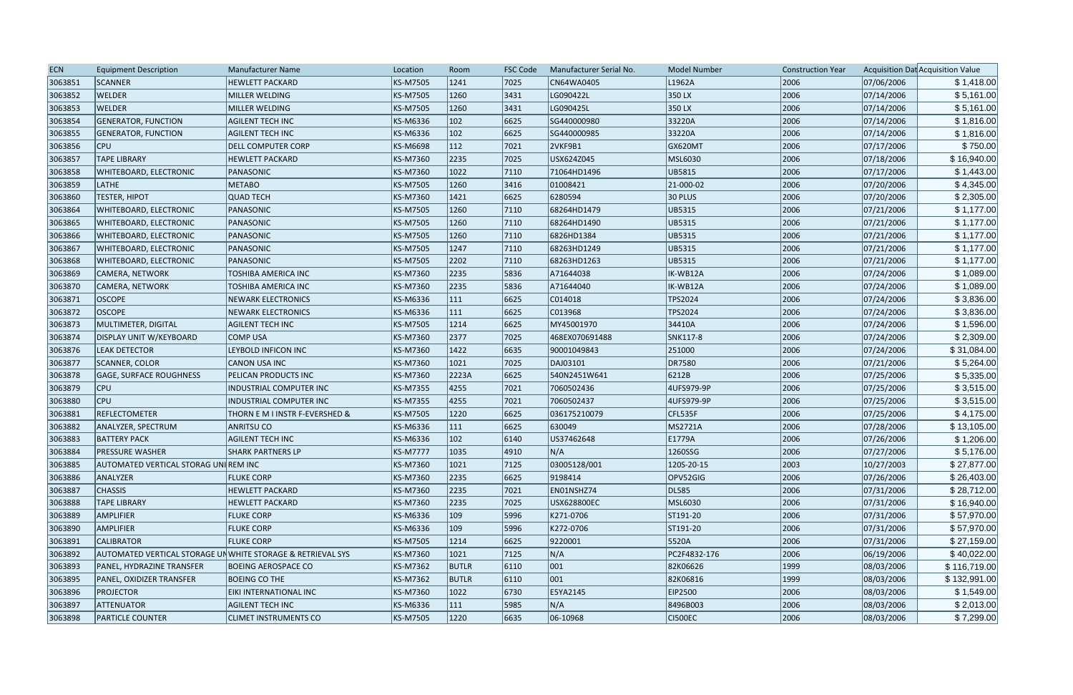| <b>ECN</b> | <b>Equipment Description</b>                               | Manufacturer Name              | Location        | Room         | <b>FSC Code</b> | Manufacturer Serial No. | <b>Model Number</b> | <b>Construction Year</b> |            | Acquisition Dat Acquisition Value |
|------------|------------------------------------------------------------|--------------------------------|-----------------|--------------|-----------------|-------------------------|---------------------|--------------------------|------------|-----------------------------------|
| 3063851    | SCANNER                                                    | <b>HEWLETT PACKARD</b>         | KS-M7505        | 1241         | 7025            | CN64WA0405              | L <sub>1962</sub> A | 2006                     | 07/06/2006 | \$1,418.00                        |
| 3063852    | <b>WELDER</b>                                              | MILLER WELDING                 | KS-M7505        | 1260         | 3431            | LG090422L               | 350 LX              | 2006                     | 07/14/2006 | \$5,161.00                        |
| 3063853    | <b>WELDER</b>                                              | MILLER WELDING                 | KS-M7505        | 1260         | 3431            | LG090425L               | 350 LX              | 2006                     | 07/14/2006 | \$5,161.00                        |
| 3063854    | <b>GENERATOR, FUNCTION</b>                                 | AGILENT TECH INC               | KS-M6336        | 102          | 6625            | SG440000980             | 33220A              | 2006                     | 07/14/2006 | \$1,816.00                        |
| 3063855    | <b>GENERATOR, FUNCTION</b>                                 | <b>AGILENT TECH INC</b>        | KS-M6336        | 102          | 6625            | SG440000985             | 33220A              | 2006                     | 07/14/2006 | \$1,816.00                        |
| 3063856    | <b>CPU</b>                                                 | <b>DELL COMPUTER CORP</b>      | KS-M6698        | 112          | 7021            | 2VKF9B1                 | GX620MT             | 2006                     | 07/17/2006 | \$750.00                          |
| 3063857    | <b>TAPE LIBRARY</b>                                        | <b>HEWLETT PACKARD</b>         | KS-M7360        | 2235         | 7025            | USX624Z045              | MSL6030             | 2006                     | 07/18/2006 | \$16,940.00                       |
| 3063858    | <b>WHITEBOARD, ELECTRONIC</b>                              | PANASONIC                      | KS-M7360        | 1022         | 7110            | 71064HD1496             | UB5815              | 2006                     | 07/17/2006 | \$1,443.00                        |
| 3063859    | <b>LATHE</b>                                               | <b>METABO</b>                  | KS-M7505        | 1260         | 3416            | 01008421                | 21-000-02           | 2006                     | 07/20/2006 | \$4,345.00                        |
| 3063860    | <b>TESTER, HIPOT</b>                                       | <b>QUAD TECH</b>               | KS-M7360        | 1421         | 6625            | 6280594                 | $ 30$ PLUS          | 2006                     | 07/20/2006 | \$2,305.00                        |
| 3063864    | <b>WHITEBOARD, ELECTRONIC</b>                              | PANASONIC                      | KS-M7505        | 1260         | 7110            | 68264HD1479             | UB5315              | 2006                     | 07/21/2006 | \$1,177.00                        |
| 3063865    | <b>WHITEBOARD, ELECTRONIC</b>                              | PANASONIC                      | KS-M7505        | 1260         | 7110            | 68264HD1490             | UB5315              | 2006                     | 07/21/2006 | \$1,177.00                        |
| 3063866    | <b>WHITEBOARD, ELECTRONIC</b>                              | PANASONIC                      | KS-M7505        | 1260         | 7110            | 6826HD1384              | UB5315              | 2006                     | 07/21/2006 | \$1,177.00                        |
| 3063867    | <b>WHITEBOARD, ELECTRONIC</b>                              | PANASONIC                      | KS-M7505        | 1247         | 7110            | 68263HD1249             | UB5315              | 2006                     | 07/21/2006 | \$1,177.00                        |
| 3063868    | <b>WHITEBOARD, ELECTRONIC</b>                              | PANASONIC                      | KS-M7505        | 2202         | 7110            | 68263HD1263             | UB5315              | 2006                     | 07/21/2006 | \$1,177.00                        |
| 3063869    | CAMERA, NETWORK                                            | TOSHIBA AMERICA INC            | KS-M7360        | 2235         | 5836            | A71644038               | IK-WB12A            | 2006                     | 07/24/2006 | \$1,089.00                        |
| 3063870    | CAMERA, NETWORK                                            | TOSHIBA AMERICA INC            | KS-M7360        | 2235         | 5836            | A71644040               | IK-WB12A            | 2006                     | 07/24/2006 | \$1,089.00                        |
| 3063871    | <b>OSCOPE</b>                                              | <b>NEWARK ELECTRONICS</b>      | KS-M6336        | 111          | 6625            | C014018                 | TPS2024             | 2006                     | 07/24/2006 | \$3,836.00                        |
| 3063872    | <b>OSCOPE</b>                                              | <b>NEWARK ELECTRONICS</b>      | KS-M6336        | 111          | 6625            | C013968                 | TPS2024             | 2006                     | 07/24/2006 | \$3,836.00                        |
| 3063873    | MULTIMETER, DIGITAL                                        | <b>AGILENT TECH INC</b>        | KS-M7505        | 1214         | 6625            | MY45001970              | 34410A              | 2006                     | 07/24/2006 | \$1,596.00                        |
| 3063874    | DISPLAY UNIT W/KEYBOARD                                    | COMP USA                       | KS-M7360        | 2377         | 7025            | 468EX070691488          | SNK117-8            | 2006                     | 07/24/2006 | \$2,309.00                        |
| 3063876    | <b>LEAK DETECTOR</b>                                       | LEYBOLD INFICON INC            | KS-M7360        | 1422         | 6635            | 90001049843             | 251000              | 2006                     | 07/24/2006 | \$31,084.00                       |
| 3063877    | <b>SCANNER, COLOR</b>                                      | CANON USA INC                  | KS-M7360        | 1021         | 7025            | DAJ03101                | DR7580              | 2006                     | 07/21/2006 | \$5,264.00                        |
| 3063878    | <b>GAGE, SURFACE ROUGHNESS</b>                             | PELICAN PRODUCTS INC           | KS-M7360        | 2223A        | 6625            | 540N2451W641            | 6212B               | 2006                     | 07/25/2006 | \$5,335.00                        |
| 3063879    | <b>CPU</b>                                                 | <b>INDUSTRIAL COMPUTER INC</b> | KS-M7355        | 4255         | 7021            | 7060502436              | 4UFS979-9P          | 2006                     | 07/25/2006 | \$3,515.00                        |
| 3063880    | <b>CPU</b>                                                 | <b>INDUSTRIAL COMPUTER INC</b> | KS-M7355        | 4255         | 7021            | 7060502437              | 4UFS979-9P          | 2006                     | 07/25/2006 | \$3,515.00                        |
| 3063881    | REFLECTOMETER                                              | THORN E M I INSTR F-EVERSHED & | KS-M7505        | 1220         | 6625            | 036175210079            | CFL535F             | 2006                     | 07/25/2006 | \$4,175.00                        |
| 3063882    | <b>ANALYZER, SPECTRUM</b>                                  | <b>ANRITSU CO</b>              | KS-M6336        | 111          | 6625            | 630049                  | MS2721A             | 2006                     | 07/28/2006 | \$13,105.00                       |
| 3063883    | <b>BATTERY PACK</b>                                        | <b>AGILENT TECH INC</b>        | KS-M6336        | 102          | 6140            | US37462648              | E1779A              | 2006                     | 07/26/2006 | \$1,206.00                        |
| 3063884    | <b>PRESSURE WASHER</b>                                     | <b>SHARK PARTNERS LP</b>       | <b>KS-M7777</b> | 1035         | 4910            | N/A                     | 1260SSG             | 2006                     | 07/27/2006 | \$5,176.00                        |
| 3063885    | AUTOMATED VERTICAL STORAG UNI REM INC                      |                                | KS-M7360        | 1021         | 7125            | 03005128/001            | 120S-20-15          | 2003                     | 10/27/2003 | \$27,877.00                       |
| 3063886    | ANALYZER                                                   | <b>FLUKE CORP</b>              | KS-M7360        | 2235         | 6625            | 9198414                 | OPV52GIG            | 2006                     | 07/26/2006 | \$26,403.00                       |
| 3063887    | <b>CHASSIS</b>                                             | <b>HEWLETT PACKARD</b>         | KS-M7360        | 2235         | 7021            | EN01NSHZ74              | DL585               | 2006                     | 07/31/2006 | \$28,712.00                       |
| 3063888    | <b>TAPE LIBRARY</b>                                        | <b>HEWLETT PACKARD</b>         | KS-M7360        | 2235         | 7025            | USX628800EC             | MSL6030             | 2006                     | 07/31/2006 | \$16,940.00                       |
| 3063889    | <b>AMPLIFIER</b>                                           | <b>FLUKE CORP</b>              | KS-M6336        | 109          | 5996            | K271-0706               | ST191-20            | 2006                     | 07/31/2006 | \$57,970.00                       |
| 3063890    | <b>AMPLIFIER</b>                                           | <b>FLUKE CORP</b>              | KS-M6336        | 109          | 5996            | K272-0706               | ST191-20            | 2006                     | 07/31/2006 | \$57,970.00                       |
| 3063891    | <b>CALIBRATOR</b>                                          | <b>FLUKE CORP</b>              | KS-M7505        | 1214         | 6625            | 9220001                 | 5520A               | 2006                     | 07/31/2006 | \$27,159.00                       |
| 3063892    | AUTOMATED VERTICAL STORAGE UNWHITE STORAGE & RETRIEVAL SYS |                                | KS-M7360        | 1021         | 7125            | N/A                     | PC2F4832-176        | 2006                     | 06/19/2006 | \$40,022.00                       |
| 3063893    | PANEL, HYDRAZINE TRANSFER                                  | <b>BOEING AEROSPACE CO</b>     | KS-M7362        | <b>BUTLR</b> | $ 6110\rangle$  | $ 001\rangle$           | 82K06626            | 1999                     | 08/03/2006 | \$116,719.00                      |
| 3063895    | <b>PANEL, OXIDIZER TRANSFER</b>                            | <b>BOEING CO THE</b>           | KS-M7362        | <b>BUTLR</b> | $ 6110\rangle$  | 001                     | 82K06816            | 1999                     | 08/03/2006 | \$132,991.00                      |
| 3063896    | <b>PROJECTOR</b>                                           | EIKI INTERNATIONAL INC         | KS-M7360        | 1022         | 6730            | E5YA2145                | EIP2500             | 2006                     | 08/03/2006 | \$1,549.00                        |
| 3063897    | <b>ATTENUATOR</b>                                          | <b>AGILENT TECH INC</b>        | KS-M6336        | 111          | 5985            | N/A                     | 8496B003            | 2006                     | 08/03/2006 | \$2,013.00                        |
| 3063898    | <b>PARTICLE COUNTER</b>                                    | <b>CLIMET INSTRUMENTS CO</b>   | KS-M7505        | 1220         | 6635            | 06-10968                | CI500EC             | 2006                     | 08/03/2006 | \$7,299.00                        |